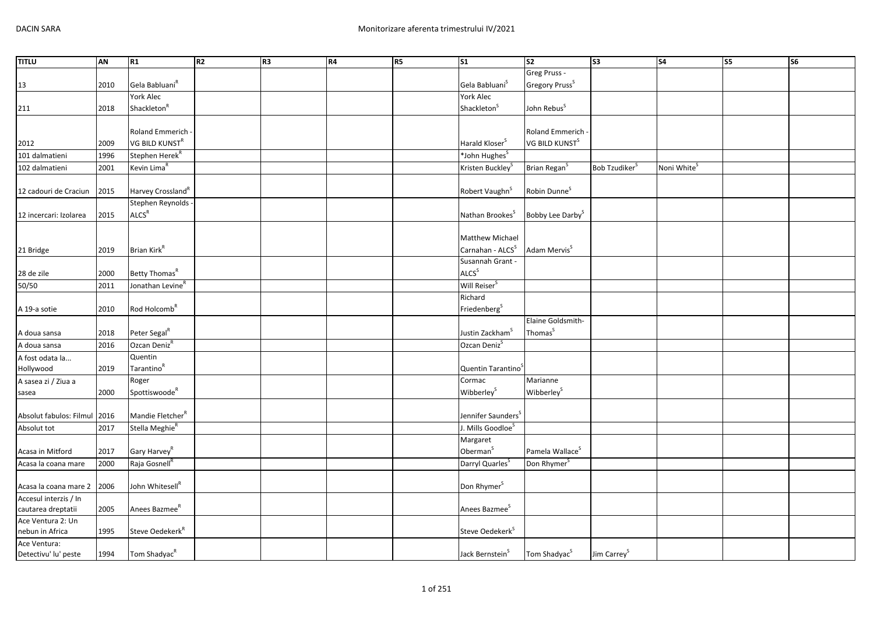| <b>TITLU</b>            | AN   | R1                            | R <sub>2</sub> | R <sub>3</sub> | R4 | R <sub>5</sub> | $\overline{\text{S1}}$         | S <sub>2</sub>               | $\sqrt{53}$               | S <sub>4</sub>          | S5 | $\overline{\text{S6}}$ |
|-------------------------|------|-------------------------------|----------------|----------------|----|----------------|--------------------------------|------------------------------|---------------------------|-------------------------|----|------------------------|
|                         |      |                               |                |                |    |                |                                | Greg Pruss -                 |                           |                         |    |                        |
| 13                      | 2010 | Gela Babluani <sup>R</sup>    |                |                |    |                | Gela Babluani <sup>S</sup>     | Gregory Pruss <sup>S</sup>   |                           |                         |    |                        |
|                         |      | York Alec                     |                |                |    |                | York Alec                      |                              |                           |                         |    |                        |
| 211                     | 2018 | Shackleton <sup>R</sup>       |                |                |    |                | Shackleton <sup>S</sup>        | John Rebus <sup>S</sup>      |                           |                         |    |                        |
|                         |      |                               |                |                |    |                |                                |                              |                           |                         |    |                        |
|                         |      | Roland Emmerich -             |                |                |    |                |                                | Roland Emmerich              |                           |                         |    |                        |
| 2012                    | 2009 | VG BILD KUNST <sup>R</sup>    |                |                |    |                | Harald Kloser <sup>S</sup>     | VG BILD KUNST <sup>S</sup>   |                           |                         |    |                        |
| 101 dalmatieni          | 1996 | Stephen Herek <sup>R</sup>    |                |                |    |                | *John Hughes <sup>S</sup>      |                              |                           |                         |    |                        |
| 102 dalmatieni          | 2001 | Kevin Lima <sup>R</sup>       |                |                |    |                | Kristen Buckley <sup>S</sup>   | Brian Regan <sup>S</sup>     | Bob Tzudiker <sup>S</sup> | Noni White <sup>S</sup> |    |                        |
|                         |      |                               |                |                |    |                |                                |                              |                           |                         |    |                        |
| 12 cadouri de Craciun   | 2015 | Harvey Crossland <sup>R</sup> |                |                |    |                | Robert Vaughn <sup>S</sup>     | Robin Dunne <sup>S</sup>     |                           |                         |    |                        |
|                         |      | Stephen Reynolds -            |                |                |    |                |                                |                              |                           |                         |    |                        |
| 12 incercari: Izolarea  | 2015 | ALCS <sup>R</sup>             |                |                |    |                | Nathan Brookes <sup>5</sup>    | Bobby Lee Darby <sup>S</sup> |                           |                         |    |                        |
|                         |      |                               |                |                |    |                |                                |                              |                           |                         |    |                        |
|                         |      |                               |                |                |    |                | Matthew Michael                |                              |                           |                         |    |                        |
| 21 Bridge               | 2019 | Brian Kirk <sup>R</sup>       |                |                |    |                | Carnahan - ALCS <sup>S</sup>   | Adam Mervis <sup>S</sup>     |                           |                         |    |                        |
|                         |      |                               |                |                |    |                | Susannah Grant -               |                              |                           |                         |    |                        |
| 28 de zile              | 2000 | Betty Thomas <sup>R</sup>     |                |                |    |                | ALCS <sup>S</sup>              |                              |                           |                         |    |                        |
| 50/50                   | 2011 | Jonathan Levine <sup>R</sup>  |                |                |    |                | Will Reiser <sup>S</sup>       |                              |                           |                         |    |                        |
|                         |      |                               |                |                |    |                | Richard                        |                              |                           |                         |    |                        |
| A 19-a sotie            | 2010 | Rod Holcomb <sup>R</sup>      |                |                |    |                | Friedenberg <sup>S</sup>       |                              |                           |                         |    |                        |
|                         |      |                               |                |                |    |                |                                | Elaine Goldsmith-            |                           |                         |    |                        |
| A doua sansa            | 2018 | Peter Segal <sup>R</sup>      |                |                |    |                | Justin Zackham <sup>S</sup>    | Thomas <sup>S</sup>          |                           |                         |    |                        |
| A doua sansa            | 2016 | Ozcan Deniz <sup>R</sup>      |                |                |    |                | Ozcan Deniz <sup>S</sup>       |                              |                           |                         |    |                        |
| A fost odata la         |      | Quentin                       |                |                |    |                |                                |                              |                           |                         |    |                        |
| Hollywood               | 2019 | Tarantino <sup>R</sup>        |                |                |    |                | Quentin Tarantino <sup>5</sup> |                              |                           |                         |    |                        |
| A sasea zi / Ziua a     |      | Roger                         |                |                |    |                | Cormac                         | Marianne                     |                           |                         |    |                        |
| sasea                   | 2000 | Spottiswoode <sup>R</sup>     |                |                |    |                | Wibberley <sup>S</sup>         | Wibberley <sup>S</sup>       |                           |                         |    |                        |
|                         |      |                               |                |                |    |                |                                |                              |                           |                         |    |                        |
| Absolut fabulos: Filmul | 2016 | Mandie Fletcher <sup>R</sup>  |                |                |    |                | Jennifer Saunders <sup>5</sup> |                              |                           |                         |    |                        |
| Absolut tot             | 2017 | Stella Meghie <sup>R</sup>    |                |                |    |                | J. Mills Goodloe <sup>S</sup>  |                              |                           |                         |    |                        |
|                         |      |                               |                |                |    |                | Margaret                       |                              |                           |                         |    |                        |
| Acasa in Mitford        | 2017 | Gary Harvey <sup>R</sup>      |                |                |    |                | Oberman <sup>S</sup>           | Pamela Wallace <sup>S</sup>  |                           |                         |    |                        |
| Acasa la coana mare     | 2000 | Raja Gosnell <sup>R</sup>     |                |                |    |                | Darryl Quarles <sup>5</sup>    | Don Rhymer <sup>S</sup>      |                           |                         |    |                        |
|                         |      |                               |                |                |    |                |                                |                              |                           |                         |    |                        |
| Acasa la coana mare 2   | 2006 | John Whitesell <sup>R</sup>   |                |                |    |                | Don Rhymer <sup>S</sup>        |                              |                           |                         |    |                        |
| Accesul interzis / In   |      |                               |                |                |    |                |                                |                              |                           |                         |    |                        |
| cautarea dreptatii      | 2005 | Anees Bazmee <sup>R</sup>     |                |                |    |                | Anees Bazmee <sup>S</sup>      |                              |                           |                         |    |                        |
| Ace Ventura 2: Un       |      |                               |                |                |    |                |                                |                              |                           |                         |    |                        |
| nebun in Africa         | 1995 | Steve Oedekerk <sup>R</sup>   |                |                |    |                | Steve Oedekerk <sup>S</sup>    |                              |                           |                         |    |                        |
| Ace Ventura:            |      |                               |                |                |    |                |                                |                              |                           |                         |    |                        |
| Detectivu' lu' peste    | 1994 | Tom Shadyac <sup>R</sup>      |                |                |    |                | Jack Bernstein <sup>S</sup>    | Tom Shadyac <sup>S</sup>     | Jim Carrey <sup>S</sup>   |                         |    |                        |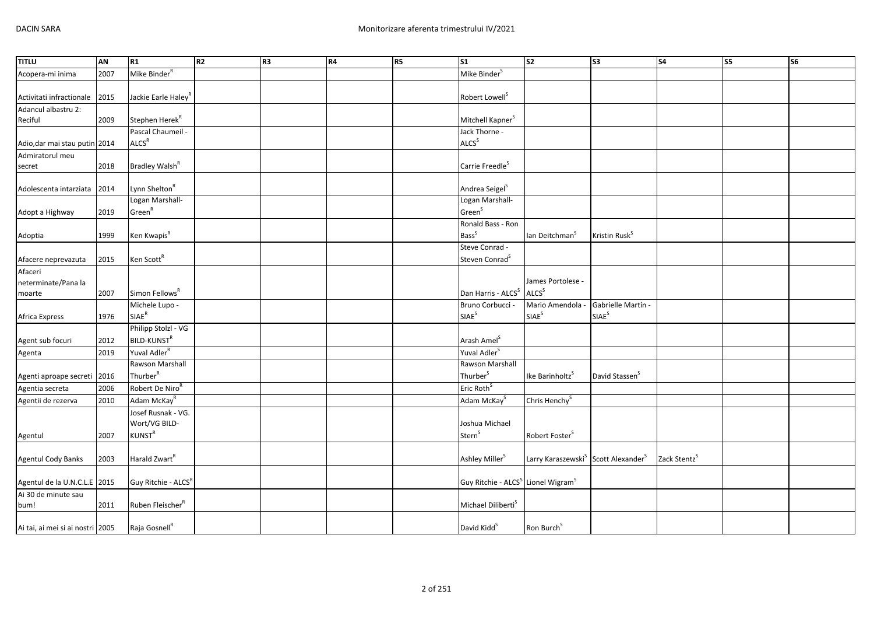| <b>TITLU</b>                     | AN   | R1                              | R <sub>2</sub> | R <sub>3</sub> | R4 | R <sub>5</sub> | <b>S1</b>                                                  | S <sub>2</sub>                                              | S <sub>3</sub>             | S <sub>4</sub>           | S <sub>5</sub> | S6 |
|----------------------------------|------|---------------------------------|----------------|----------------|----|----------------|------------------------------------------------------------|-------------------------------------------------------------|----------------------------|--------------------------|----------------|----|
| Acopera-mi inima                 | 2007 | Mike Binder <sup>R</sup>        |                |                |    |                | Mike Binder <sup>S</sup>                                   |                                                             |                            |                          |                |    |
|                                  |      |                                 |                |                |    |                |                                                            |                                                             |                            |                          |                |    |
| Activitati infractionale         | 2015 | Jackie Earle Haley <sup>R</sup> |                |                |    |                | Robert Lowell <sup>S</sup>                                 |                                                             |                            |                          |                |    |
| Adancul albastru 2:              |      |                                 |                |                |    |                |                                                            |                                                             |                            |                          |                |    |
| Reciful                          | 2009 | Stephen Herek <sup>R</sup>      |                |                |    |                | Mitchell Kapner <sup>S</sup>                               |                                                             |                            |                          |                |    |
|                                  |      | Pascal Chaumeil -               |                |                |    |                | Jack Thorne -                                              |                                                             |                            |                          |                |    |
| Adio, dar mai stau putin 2014    |      | <b>ALCS<sup>R</sup></b>         |                |                |    |                | ALCS <sup>S</sup>                                          |                                                             |                            |                          |                |    |
| Admiratorul meu                  |      |                                 |                |                |    |                |                                                            |                                                             |                            |                          |                |    |
| secret                           | 2018 | Bradley Walsh <sup>R</sup>      |                |                |    |                | Carrie Freedle <sup>S</sup>                                |                                                             |                            |                          |                |    |
|                                  |      |                                 |                |                |    |                |                                                            |                                                             |                            |                          |                |    |
| Adolescenta intarziata           | 2014 | Lynn Shelton <sup>R</sup>       |                |                |    |                | Andrea Seigel <sup>S</sup>                                 |                                                             |                            |                          |                |    |
|                                  |      | Logan Marshall-                 |                |                |    |                | Logan Marshall-                                            |                                                             |                            |                          |                |    |
| Adopt a Highway                  | 2019 | Green <sup>R</sup>              |                |                |    |                | Green <sup>S</sup>                                         |                                                             |                            |                          |                |    |
|                                  |      |                                 |                |                |    |                | Ronald Bass - Ron                                          |                                                             |                            |                          |                |    |
| Adoptia                          | 1999 | Ken Kwapis <sup>R</sup>         |                |                |    |                | Bass <sup>S</sup>                                          | lan Deitchman <sup>5</sup>                                  | Kristin Rusk <sup>S</sup>  |                          |                |    |
|                                  |      |                                 |                |                |    |                | Steve Conrad -                                             |                                                             |                            |                          |                |    |
| Afacere neprevazuta              | 2015 | Ken Scott <sup>R</sup>          |                |                |    |                | Steven Conrad <sup>S</sup>                                 |                                                             |                            |                          |                |    |
| Afaceri                          |      |                                 |                |                |    |                |                                                            | James Portolese -                                           |                            |                          |                |    |
| neterminate/Pana la<br>moarte    | 2007 | Simon Fellows <sup>R</sup>      |                |                |    |                | Dan Harris - ALCS <sup>S</sup>                             | <b>ALCS</b> <sup>S</sup>                                    |                            |                          |                |    |
|                                  |      | Michele Lupo -                  |                |                |    |                | Bruno Corbucci -                                           | Mario Amendola -                                            | Gabrielle Martin -         |                          |                |    |
| Africa Express                   | 1976 | $SIAE^R$                        |                |                |    |                | SIAE <sup>S</sup>                                          | SIAE <sup>S</sup>                                           | <b>SIAE</b> <sup>S</sup>   |                          |                |    |
|                                  |      | Philipp Stolzl - VG             |                |                |    |                |                                                            |                                                             |                            |                          |                |    |
| Agent sub focuri                 | 2012 | <b>BILD-KUNST<sup>R</sup></b>   |                |                |    |                | Arash Amel <sup>S</sup>                                    |                                                             |                            |                          |                |    |
| Agenta                           | 2019 | Yuval Adler <sup>R</sup>        |                |                |    |                | Yuval Adler <sup>S</sup>                                   |                                                             |                            |                          |                |    |
|                                  |      | Rawson Marshall                 |                |                |    |                | Rawson Marshall                                            |                                                             |                            |                          |                |    |
| Agenti aproape secreti 2016      |      | Thurber <sup>R</sup>            |                |                |    |                | Thurber <sup>S</sup>                                       | Ike Barinholtz <sup>S</sup>                                 | David Stassen <sup>S</sup> |                          |                |    |
| Agentia secreta                  | 2006 | Robert De Niro <sup>R</sup>     |                |                |    |                | Eric Roth <sup>S</sup>                                     |                                                             |                            |                          |                |    |
| Agentii de rezerva               | 2010 | Adam McKay <sup>R</sup>         |                |                |    |                | Adam McKay <sup>S</sup>                                    | Chris Henchy <sup>S</sup>                                   |                            |                          |                |    |
|                                  |      | Josef Rusnak - VG.              |                |                |    |                |                                                            |                                                             |                            |                          |                |    |
|                                  |      | Wort/VG BILD-                   |                |                |    |                | Joshua Michael                                             |                                                             |                            |                          |                |    |
| Agentul                          | 2007 | <b>KUNST<sup>R</sup></b>        |                |                |    |                | Stern <sup>S</sup>                                         | Robert Foster <sup>S</sup>                                  |                            |                          |                |    |
|                                  |      |                                 |                |                |    |                |                                                            |                                                             |                            |                          |                |    |
| Agentul Cody Banks               | 2003 | Harald Zwart <sup>R</sup>       |                |                |    |                | Ashley Miller <sup>S</sup>                                 | Larry Karaszewski <sup>S</sup> Scott Alexander <sup>S</sup> |                            | Zack Stentz <sup>S</sup> |                |    |
|                                  |      |                                 |                |                |    |                |                                                            |                                                             |                            |                          |                |    |
| Agentul de la U.N.C.L.E 2015     |      | Guy Ritchie - ALCS <sup>R</sup> |                |                |    |                | Guy Ritchie - ALCS <sup>S</sup> Lionel Wigram <sup>S</sup> |                                                             |                            |                          |                |    |
| Ai 30 de minute sau              |      |                                 |                |                |    |                |                                                            |                                                             |                            |                          |                |    |
| bum!                             | 2011 | Ruben Fleischer <sup>R</sup>    |                |                |    |                | Michael Diliberti <sup>S</sup>                             |                                                             |                            |                          |                |    |
|                                  |      |                                 |                |                |    |                |                                                            |                                                             |                            |                          |                |    |
| Ai tai, ai mei si ai nostri 2005 |      | Raja Gosnell <sup>R</sup>       |                |                |    |                | David Kidd <sup>S</sup>                                    | Ron Burch <sup>S</sup>                                      |                            |                          |                |    |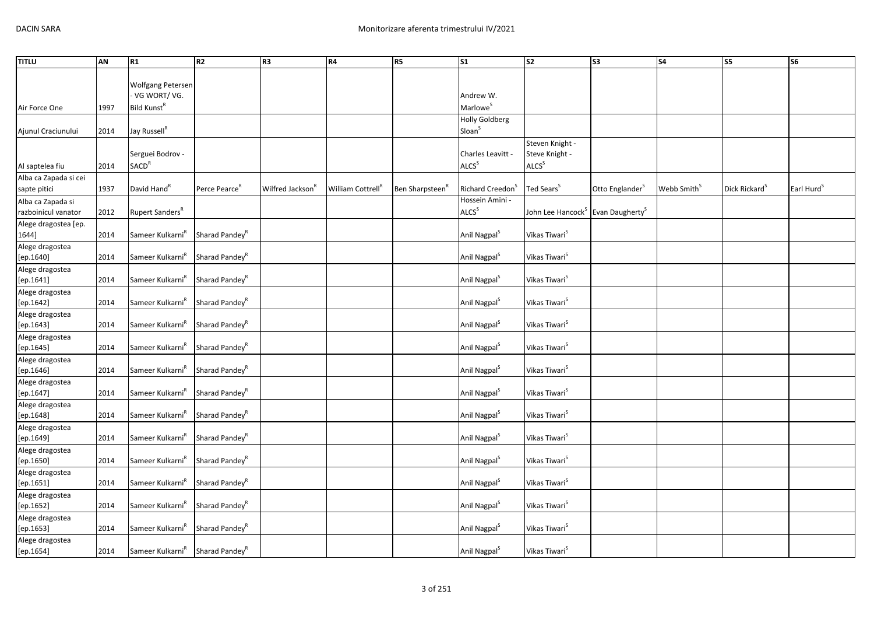| <b>TITLU</b>                             | AN   | R1                                          | R <sub>2</sub>             | R <sub>3</sub>               | R4                            | R <sub>5</sub>              | S <sub>1</sub>                              | S <sub>2</sub>                                         | S <sub>3</sub>              | <b>S4</b>               | S5                        | <b>S6</b>              |
|------------------------------------------|------|---------------------------------------------|----------------------------|------------------------------|-------------------------------|-----------------------------|---------------------------------------------|--------------------------------------------------------|-----------------------------|-------------------------|---------------------------|------------------------|
|                                          |      | Wolfgang Petersen<br>VG WORT/VG.            |                            |                              |                               |                             | Andrew W.                                   |                                                        |                             |                         |                           |                        |
| Air Force One                            | 1997 | Bild Kunst <sup>R</sup>                     |                            |                              |                               |                             | Marlowe <sup>S</sup>                        |                                                        |                             |                         |                           |                        |
| Ajunul Craciunului                       | 2014 | Jay Russell <sup>R</sup>                    |                            |                              |                               |                             | <b>Holly Goldberg</b><br>Sloan <sup>S</sup> |                                                        |                             |                         |                           |                        |
| Al saptelea fiu                          | 2014 | Serguei Bodrov -<br><b>SACD<sup>R</sup></b> |                            |                              |                               |                             | Charles Leavitt -<br>ALCS <sup>S</sup>      | Steven Knight -<br>Steve Knight -<br>ALCS <sup>S</sup> |                             |                         |                           |                        |
| Alba ca Zapada si cei                    |      |                                             |                            |                              |                               |                             |                                             |                                                        |                             |                         |                           |                        |
| sapte pitici                             | 1937 | David Hand <sup>R</sup>                     | Perce Pearce <sup>R</sup>  | Wilfred Jackson <sup>R</sup> | William Cottrell <sup>R</sup> | Ben Sharpsteen <sup>R</sup> | Richard Creedon <sup>S</sup>                | Ted Sears <sup>S</sup>                                 | Otto Englander <sup>S</sup> | Webb Smith <sup>S</sup> | Dick Rickard <sup>S</sup> | Earl Hurd <sup>S</sup> |
| Alba ca Zapada si<br>razboinicul vanator | 2012 | Rupert Sanders <sup>R</sup>                 |                            |                              |                               |                             | Hossein Amini -<br>ALCS <sup>S</sup>        | John Lee Hancock <sup>S</sup>                          | Evan Daugherty <sup>S</sup> |                         |                           |                        |
| Alege dragostea [ep.<br>1644]            | 2014 | Sameer Kulkarni <sup>n</sup>                | Sharad Pandey <sup>R</sup> |                              |                               |                             | Anil Nagpal <sup>S</sup>                    | Vikas Tiwari <sup>S</sup>                              |                             |                         |                           |                        |
| Alege dragostea<br>[ep.1640]             | 2014 | Sameer Kulkarni <sup>R</sup>                | Sharad Pandey <sup>R</sup> |                              |                               |                             | Anil Nagpal <sup>S</sup>                    | Vikas Tiwari <sup>S</sup>                              |                             |                         |                           |                        |
| Alege dragostea<br>[ep.1641]             | 2014 | Sameer Kulkarni <sup>R</sup>                | Sharad Pandey <sup>R</sup> |                              |                               |                             | Anil Nagpal <sup>S</sup>                    | Vikas Tiwari <sup>s</sup>                              |                             |                         |                           |                        |
| Alege dragostea<br>$[{\sf ep.1642}]$     | 2014 | Sameer Kulkarni <sup>R</sup>                | Sharad Pandey <sup>R</sup> |                              |                               |                             | Anil Nagpal <sup>S</sup>                    | Vikas Tiwari <sup>s</sup>                              |                             |                         |                           |                        |
| Alege dragostea<br>[ep.1643]             | 2014 | Sameer Kulkarni <sup>R</sup>                | Sharad Pandey <sup>R</sup> |                              |                               |                             | Anil Nagpal <sup>S</sup>                    | Vikas Tiwari <sup>s</sup>                              |                             |                         |                           |                        |
| Alege dragostea<br>[ep.1645]             | 2014 | Sameer Kulkarni <sup>R</sup>                | Sharad Pandey <sup>R</sup> |                              |                               |                             | Anil Nagpal <sup>S</sup>                    | Vikas Tiwari <sup>S</sup>                              |                             |                         |                           |                        |
| Alege dragostea<br>[ep.1646]             | 2014 | Sameer Kulkarni <sup>R</sup>                | Sharad Pandey <sup>R</sup> |                              |                               |                             | Anil Nagpal <sup>S</sup>                    | Vikas Tiwari <sup>S</sup>                              |                             |                         |                           |                        |
| Alege dragostea<br>[ep.1647]             | 2014 | Sameer Kulkarni <sup>k</sup>                | Sharad Pandey <sup>R</sup> |                              |                               |                             | Anil Nagpal <sup>S</sup>                    | Vikas Tiwari <sup>s</sup>                              |                             |                         |                           |                        |
| Alege dragostea<br>[ep.1648]             | 2014 | Sameer Kulkarni <sup>R</sup>                | Sharad Pandey <sup>R</sup> |                              |                               |                             | Anil Nagpal <sup>S</sup>                    | Vikas Tiwari <sup>s</sup>                              |                             |                         |                           |                        |
| Alege dragostea<br>$[{\sf ep.1649}]$     | 2014 | Sameer Kulkarni <sup>R</sup>                | Sharad Pandey <sup>R</sup> |                              |                               |                             | Anil Nagpal <sup>S</sup>                    | Vikas Tiwari <sup>s</sup>                              |                             |                         |                           |                        |
| Alege dragostea<br>[ep.1650]             | 2014 | Sameer Kulkarni <sup>k</sup>                | Sharad Pandey <sup>R</sup> |                              |                               |                             | Anil Nagpal <sup>S</sup>                    | Vikas Tiwari <sup>s</sup>                              |                             |                         |                           |                        |
| Alege dragostea<br>[ep.1651]             | 2014 | Sameer Kulkarni <sup>R</sup>                | Sharad Pandey <sup>R</sup> |                              |                               |                             | Anil Nagpal <sup>S</sup>                    | Vikas Tiwari <sup>s</sup>                              |                             |                         |                           |                        |
| Alege dragostea<br>[ep.1652]             | 2014 | Sameer Kulkarni <sup>R</sup>                | Sharad Pandey <sup>R</sup> |                              |                               |                             | Anil Nagpal <sup>S</sup>                    | Vikas Tiwari <sup>s</sup>                              |                             |                         |                           |                        |
| Alege dragostea<br>[ep.1653]             | 2014 | Sameer Kulkarni <sup>k</sup>                | Sharad Pandey <sup>R</sup> |                              |                               |                             | Anil Nagpal <sup>S</sup>                    | Vikas Tiwari <sup>S</sup>                              |                             |                         |                           |                        |
| Alege dragostea<br>[ep.1654]             | 2014 | Sameer Kulkarni <sup>R</sup>                | Sharad Pandey <sup>R</sup> |                              |                               |                             | Anil Nagpal <sup>S</sup>                    | Vikas Tiwari <sup>5</sup>                              |                             |                         |                           |                        |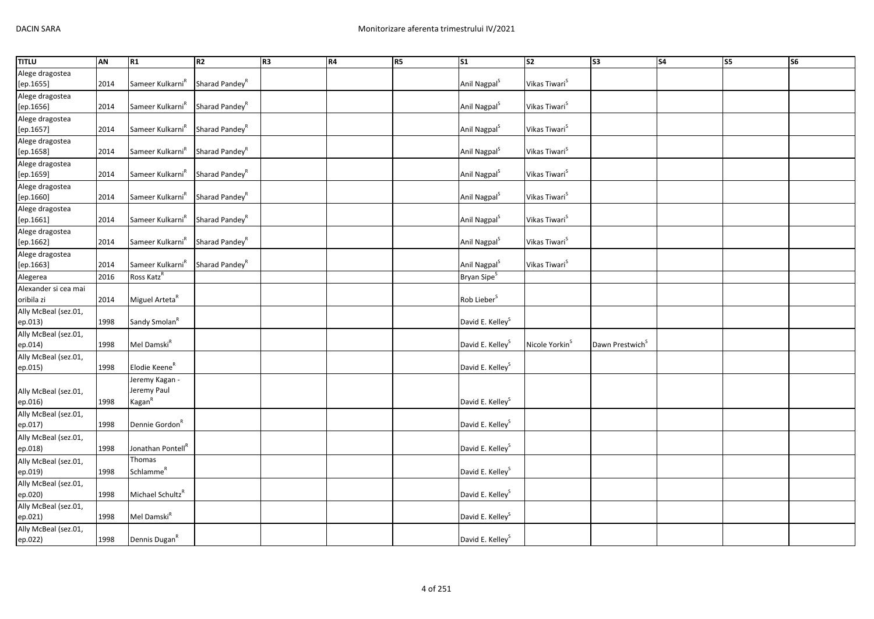| <b>TITLU</b>         | AN   | R1                            | R2                         | R3 | R4 | R <sub>5</sub> | S <sub>1</sub>               | $\overline{\text{S2}}$     | $\overline{\text{S3}}$      | $\overline{\text{S4}}$ | S <sub>5</sub> | <b>S6</b> |
|----------------------|------|-------------------------------|----------------------------|----|----|----------------|------------------------------|----------------------------|-----------------------------|------------------------|----------------|-----------|
| Alege dragostea      |      |                               |                            |    |    |                |                              |                            |                             |                        |                |           |
| [ep.1655]            | 2014 | Sameer Kulkarni <sup>R</sup>  | Sharad Pandey <sup>R</sup> |    |    |                | Anil Nagpal <sup>S</sup>     | Vikas Tiwari <sup>S</sup>  |                             |                        |                |           |
| Alege dragostea      |      |                               |                            |    |    |                |                              |                            |                             |                        |                |           |
| [ep.1656]            | 2014 | Sameer Kulkarni <sup>R</sup>  | Sharad Pandey <sup>R</sup> |    |    |                | Anil Nagpal <sup>S</sup>     | Vikas Tiwari <sup>S</sup>  |                             |                        |                |           |
| Alege dragostea      |      |                               |                            |    |    |                |                              |                            |                             |                        |                |           |
| [ep.1657]            | 2014 | Sameer Kulkarni <sup>R</sup>  | Sharad Pandey <sup>R</sup> |    |    |                | Anil Nagpal <sup>S</sup>     | Vikas Tiwari <sup>S</sup>  |                             |                        |                |           |
| Alege dragostea      |      |                               |                            |    |    |                |                              |                            |                             |                        |                |           |
| [ep.1658]            | 2014 | Sameer Kulkarni <sup>R</sup>  | Sharad Pandey <sup>R</sup> |    |    |                | Anil Nagpal <sup>S</sup>     | Vikas Tiwari <sup>S</sup>  |                             |                        |                |           |
| Alege dragostea      |      |                               |                            |    |    |                |                              |                            |                             |                        |                |           |
| [ep.1659]            | 2014 | Sameer Kulkarni <sup>R</sup>  | Sharad Pandey <sup>R</sup> |    |    |                | Anil Nagpal <sup>S</sup>     | Vikas Tiwari <sup>S</sup>  |                             |                        |                |           |
| Alege dragostea      |      |                               |                            |    |    |                |                              |                            |                             |                        |                |           |
| [ep.1660]            | 2014 | Sameer Kulkarni <sup>R</sup>  | Sharad Pandey <sup>R</sup> |    |    |                | Anil Nagpal <sup>S</sup>     | Vikas Tiwari <sup>S</sup>  |                             |                        |                |           |
| Alege dragostea      |      |                               |                            |    |    |                |                              |                            |                             |                        |                |           |
| [ep.1661]            | 2014 | Sameer Kulkarni <sup>R</sup>  | Sharad Pandey <sup>R</sup> |    |    |                | Anil Nagpal <sup>S</sup>     | Vikas Tiwari <sup>S</sup>  |                             |                        |                |           |
| Alege dragostea      |      |                               |                            |    |    |                |                              |                            |                             |                        |                |           |
| [ep.1662]            | 2014 | Sameer Kulkarni <sup>R</sup>  | Sharad Pandey <sup>R</sup> |    |    |                | Anil Nagpal <sup>S</sup>     | Vikas Tiwari <sup>S</sup>  |                             |                        |                |           |
| Alege dragostea      |      |                               |                            |    |    |                |                              |                            |                             |                        |                |           |
| [ep.1663]            | 2014 | Sameer Kulkarni <sup>R</sup>  | Sharad Pandey <sup>R</sup> |    |    |                | Anil Nagpal <sup>S</sup>     | Vikas Tiwari <sup>S</sup>  |                             |                        |                |           |
| Alegerea             | 2016 | Ross Katz <sup>R</sup>        |                            |    |    |                | Bryan Sipe <sup>S</sup>      |                            |                             |                        |                |           |
| Alexander si cea mai |      |                               |                            |    |    |                |                              |                            |                             |                        |                |           |
| oribila zi           | 2014 | Miguel Arteta <sup>R</sup>    |                            |    |    |                | Rob Lieber <sup>S</sup>      |                            |                             |                        |                |           |
| Ally McBeal (sez.01, |      |                               |                            |    |    |                |                              |                            |                             |                        |                |           |
| ep.013)              | 1998 | Sandy Smolan <sup>R</sup>     |                            |    |    |                | David E. Kelley <sup>S</sup> |                            |                             |                        |                |           |
| Ally McBeal (sez.01, |      |                               |                            |    |    |                |                              |                            |                             |                        |                |           |
| ep.014)              | 1998 | Mel Damski <sup>R</sup>       |                            |    |    |                | David E. Kelley <sup>S</sup> | Nicole Yorkin <sup>S</sup> | Dawn Prestwich <sup>S</sup> |                        |                |           |
| Ally McBeal (sez.01, |      |                               |                            |    |    |                |                              |                            |                             |                        |                |           |
| ep.015)              | 1998 | Elodie Keene <sup>R</sup>     |                            |    |    |                | David E. Kelley <sup>S</sup> |                            |                             |                        |                |           |
|                      |      | Jeremy Kagan -                |                            |    |    |                |                              |                            |                             |                        |                |           |
| Ally McBeal (sez.01, |      | Jeremy Paul                   |                            |    |    |                |                              |                            |                             |                        |                |           |
| ep.016)              | 1998 | $\text{Kagan}^{\text{R}}$     |                            |    |    |                | David E. Kelley <sup>S</sup> |                            |                             |                        |                |           |
| Ally McBeal (sez.01, |      |                               |                            |    |    |                |                              |                            |                             |                        |                |           |
| ep.017)              | 1998 | Dennie Gordon <sup>R</sup>    |                            |    |    |                | David E. Kelley <sup>S</sup> |                            |                             |                        |                |           |
| Ally McBeal (sez.01, |      |                               |                            |    |    |                |                              |                            |                             |                        |                |           |
| ep.018)              | 1998 | Jonathan Pontell <sup>R</sup> |                            |    |    |                | David E. Kelley <sup>S</sup> |                            |                             |                        |                |           |
| Ally McBeal (sez.01, |      | Thomas                        |                            |    |    |                |                              |                            |                             |                        |                |           |
| ep.019)              | 1998 | Schlamme <sup>R</sup>         |                            |    |    |                | David E. Kelley <sup>S</sup> |                            |                             |                        |                |           |
| Ally McBeal (sez.01, |      |                               |                            |    |    |                |                              |                            |                             |                        |                |           |
| ep.020)              | 1998 | Michael Schultz <sup>R</sup>  |                            |    |    |                | David E. Kelley <sup>S</sup> |                            |                             |                        |                |           |
| Ally McBeal (sez.01, |      |                               |                            |    |    |                |                              |                            |                             |                        |                |           |
| ep.021)              | 1998 | Mel Damski <sup>R</sup>       |                            |    |    |                | David E. Kelley <sup>S</sup> |                            |                             |                        |                |           |
| Ally McBeal (sez.01, |      |                               |                            |    |    |                |                              |                            |                             |                        |                |           |
| ep.022)              | 1998 | Dennis Dugan <sup>R</sup>     |                            |    |    |                | David E. Kelley <sup>S</sup> |                            |                             |                        |                |           |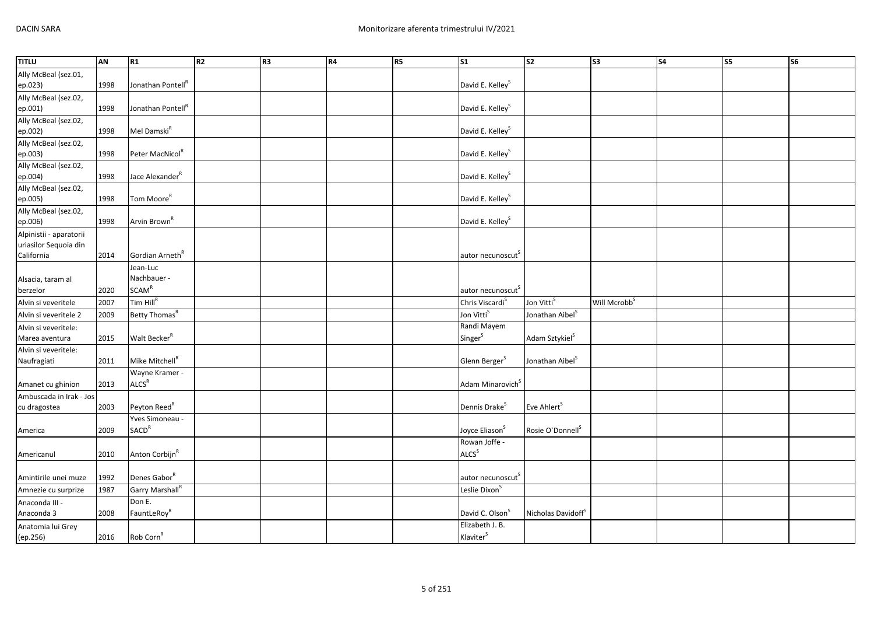| <b>TITLU</b>            | AN   | R1                            | R2 | R <sub>3</sub> | R4 | <b>R5</b> | <b>S1</b>                     | $\overline{\text{S2}}$         | $\overline{\text{S3}}$   | $\overline{\text{S4}}$ | $\overline{\text{S}}$ | <b>S6</b> |
|-------------------------|------|-------------------------------|----|----------------|----|-----------|-------------------------------|--------------------------------|--------------------------|------------------------|-----------------------|-----------|
| Ally McBeal (sez.01,    |      |                               |    |                |    |           |                               |                                |                          |                        |                       |           |
| ep.023)                 | 1998 | Jonathan Pontell <sup>R</sup> |    |                |    |           | David E. Kelley <sup>S</sup>  |                                |                          |                        |                       |           |
| Ally McBeal (sez.02,    |      |                               |    |                |    |           |                               |                                |                          |                        |                       |           |
| ep.001)                 | 1998 | Jonathan Pontell <sup>R</sup> |    |                |    |           | David E. Kelley <sup>S</sup>  |                                |                          |                        |                       |           |
| Ally McBeal (sez.02,    |      |                               |    |                |    |           |                               |                                |                          |                        |                       |           |
| ep.002)                 | 1998 | Mel Damski <sup>R</sup>       |    |                |    |           | David E. Kelley <sup>S</sup>  |                                |                          |                        |                       |           |
| Ally McBeal (sez.02,    |      |                               |    |                |    |           |                               |                                |                          |                        |                       |           |
| ep.003)                 | 1998 | Peter MacNicol <sup>R</sup>   |    |                |    |           | David E. Kelley <sup>S</sup>  |                                |                          |                        |                       |           |
| Ally McBeal (sez.02,    |      |                               |    |                |    |           |                               |                                |                          |                        |                       |           |
| ep.004)                 | 1998 | Jace Alexander <sup>R</sup>   |    |                |    |           | David E. Kelley <sup>S</sup>  |                                |                          |                        |                       |           |
| Ally McBeal (sez.02,    |      |                               |    |                |    |           |                               |                                |                          |                        |                       |           |
| ep.005)                 | 1998 | Tom Moore <sup>R</sup>        |    |                |    |           | David E. Kelley <sup>S</sup>  |                                |                          |                        |                       |           |
| Ally McBeal (sez.02,    |      |                               |    |                |    |           |                               |                                |                          |                        |                       |           |
| ep.006)                 | 1998 | Arvin Brown <sup>R</sup>      |    |                |    |           | David E. Kelley <sup>S</sup>  |                                |                          |                        |                       |           |
| Alpinistii - aparatorii |      |                               |    |                |    |           |                               |                                |                          |                        |                       |           |
| uriasilor Sequoia din   |      |                               |    |                |    |           |                               |                                |                          |                        |                       |           |
| California              | 2014 | Gordian Arneth <sup>R</sup>   |    |                |    |           | autor necunoscut <sup>s</sup> |                                |                          |                        |                       |           |
|                         |      | Jean-Luc                      |    |                |    |           |                               |                                |                          |                        |                       |           |
| Alsacia, taram al       |      | Nachbauer -                   |    |                |    |           |                               |                                |                          |                        |                       |           |
| berzelor                | 2020 | <b>SCAM<sup>R</sup></b>       |    |                |    |           | autor necunoscut <sup>S</sup> |                                |                          |                        |                       |           |
| Alvin si veveritele     | 2007 | Tim Hill <sup>R</sup>         |    |                |    |           | Chris Viscardi <sup>S</sup>   | Jon Vitti <sup>s</sup>         | Will Mcrobb <sup>S</sup> |                        |                       |           |
| Alvin si veveritele 2   | 2009 | Betty Thomas <sup>R</sup>     |    |                |    |           | Jon Vitti <sup>S</sup>        | Jonathan Aibel <sup>S</sup>    |                          |                        |                       |           |
| Alvin si veveritele:    |      |                               |    |                |    |           | Randi Mayem                   |                                |                          |                        |                       |           |
| Marea aventura          | 2015 | Walt Becker <sup>R</sup>      |    |                |    |           | Singer <sup>S</sup>           | Adam Sztykiel <sup>S</sup>     |                          |                        |                       |           |
| Alvin si veveritele:    |      |                               |    |                |    |           |                               |                                |                          |                        |                       |           |
| Naufragiati             | 2011 | Mike Mitchell <sup>R</sup>    |    |                |    |           | Glenn Berger <sup>S</sup>     | Jonathan Aibel <sup>S</sup>    |                          |                        |                       |           |
|                         |      | Wayne Kramer -                |    |                |    |           |                               |                                |                          |                        |                       |           |
| Amanet cu ghinion       | 2013 | ALCS <sup>R</sup>             |    |                |    |           | Adam Minarovich <sup>S</sup>  |                                |                          |                        |                       |           |
| Ambuscada in Irak - Jos |      |                               |    |                |    |           |                               |                                |                          |                        |                       |           |
| cu dragostea            | 2003 | Peyton Reed <sup>R</sup>      |    |                |    |           | Dennis Drake <sup>S</sup>     | Eve Ahlert <sup>S</sup>        |                          |                        |                       |           |
|                         |      | Yves Simoneau -               |    |                |    |           |                               |                                |                          |                        |                       |           |
| America                 | 2009 | <b>SACD<sup>R</sup></b>       |    |                |    |           | Joyce Eliason <sup>S</sup>    | Rosie O'Donnell <sup>S</sup>   |                          |                        |                       |           |
|                         |      |                               |    |                |    |           | Rowan Joffe -                 |                                |                          |                        |                       |           |
| Americanul              | 2010 | Anton Corbijn <sup>R</sup>    |    |                |    |           | ALCS <sup>S</sup>             |                                |                          |                        |                       |           |
|                         |      |                               |    |                |    |           |                               |                                |                          |                        |                       |           |
| Amintirile unei muze    | 1992 | Denes Gabor <sup>R</sup>      |    |                |    |           | autor necunoscut <sup>s</sup> |                                |                          |                        |                       |           |
| Amnezie cu surprize     | 1987 | Garry Marshall <sup>R</sup>   |    |                |    |           | Leslie Dixon <sup>5</sup>     |                                |                          |                        |                       |           |
| Anaconda III -          |      | Don E.                        |    |                |    |           |                               |                                |                          |                        |                       |           |
| Anaconda 3              | 2008 | FauntLeRoy <sup>R</sup>       |    |                |    |           | David C. Olson <sup>S</sup>   | Nicholas Davidoff <sup>S</sup> |                          |                        |                       |           |
| Anatomia lui Grey       |      |                               |    |                |    |           | Elizabeth J. B.               |                                |                          |                        |                       |           |
| (ep.256)                | 2016 | Rob Corn <sup>R</sup>         |    |                |    |           | Klaviter <sup>S</sup>         |                                |                          |                        |                       |           |
|                         |      |                               |    |                |    |           |                               |                                |                          |                        |                       |           |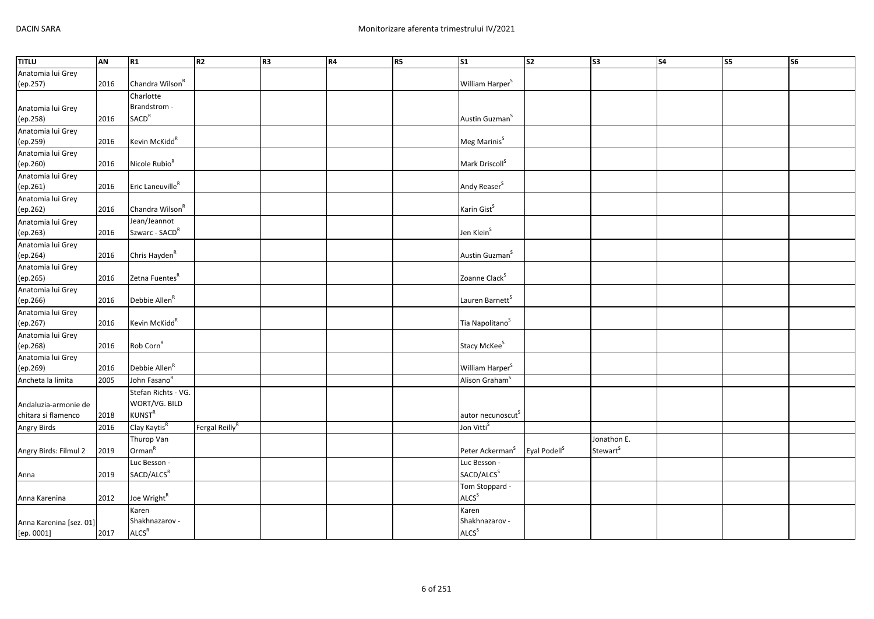| <b>TITLU</b>            | AN   | R1                           | R <sub>2</sub>             | R <sub>3</sub> | R4 | <b>R5</b> | <b>S1</b>                     | S <sub>2</sub>           | S <sub>3</sub>       | S <sub>4</sub> | S5 | S <sub>6</sub> |
|-------------------------|------|------------------------------|----------------------------|----------------|----|-----------|-------------------------------|--------------------------|----------------------|----------------|----|----------------|
| Anatomia lui Grey       |      |                              |                            |                |    |           |                               |                          |                      |                |    |                |
| (ep.257)                | 2016 | Chandra Wilson <sup>R</sup>  |                            |                |    |           | William Harper <sup>S</sup>   |                          |                      |                |    |                |
|                         |      | Charlotte                    |                            |                |    |           |                               |                          |                      |                |    |                |
| Anatomia lui Grey       |      | Brandstrom -                 |                            |                |    |           |                               |                          |                      |                |    |                |
| (ep.258)                | 2016 | SACD <sup>R</sup>            |                            |                |    |           | Austin Guzman <sup>S</sup>    |                          |                      |                |    |                |
| Anatomia lui Grey       |      |                              |                            |                |    |           |                               |                          |                      |                |    |                |
| (ep.259)                | 2016 | Kevin McKidd <sup>R</sup>    |                            |                |    |           | Meg Marinis <sup>S</sup>      |                          |                      |                |    |                |
| Anatomia lui Grey       |      |                              |                            |                |    |           |                               |                          |                      |                |    |                |
| (ep.260)                | 2016 | Nicole Rubio <sup>R</sup>    |                            |                |    |           | Mark Driscoll <sup>S</sup>    |                          |                      |                |    |                |
| Anatomia lui Grey       |      |                              |                            |                |    |           |                               |                          |                      |                |    |                |
| (ep.261)                | 2016 | Eric Laneuville <sup>R</sup> |                            |                |    |           | Andy Reaser <sup>S</sup>      |                          |                      |                |    |                |
| Anatomia lui Grey       |      |                              |                            |                |    |           |                               |                          |                      |                |    |                |
| (ep.262)                | 2016 | Chandra Wilson <sup>R</sup>  |                            |                |    |           | Karin Gist <sup>S</sup>       |                          |                      |                |    |                |
| Anatomia lui Grey       |      | Jean/Jeannot                 |                            |                |    |           |                               |                          |                      |                |    |                |
| (ep.263)                | 2016 | Szwarc - SACD <sup>R</sup>   |                            |                |    |           | Jen Klein <sup>S</sup>        |                          |                      |                |    |                |
| Anatomia lui Grey       |      |                              |                            |                |    |           |                               |                          |                      |                |    |                |
| (ep.264)                | 2016 | Chris Hayden <sup>R</sup>    |                            |                |    |           | Austin Guzman <sup>S</sup>    |                          |                      |                |    |                |
| Anatomia lui Grey       |      |                              |                            |                |    |           |                               |                          |                      |                |    |                |
| (ep.265)                | 2016 | Zetna Fuentes <sup>R</sup>   |                            |                |    |           | Zoanne Clack <sup>S</sup>     |                          |                      |                |    |                |
| Anatomia lui Grey       |      |                              |                            |                |    |           |                               |                          |                      |                |    |                |
| (ep.266)                | 2016 | Debbie Allen <sup>R</sup>    |                            |                |    |           | Lauren Barnett <sup>S</sup>   |                          |                      |                |    |                |
| Anatomia lui Grey       |      |                              |                            |                |    |           |                               |                          |                      |                |    |                |
| (ep.267)                | 2016 | Kevin McKidd <sup>R</sup>    |                            |                |    |           | Tia Napolitano <sup>S</sup>   |                          |                      |                |    |                |
| Anatomia lui Grey       |      |                              |                            |                |    |           |                               |                          |                      |                |    |                |
| (ep.268)                | 2016 | Rob Corn <sup>R</sup>        |                            |                |    |           | Stacy McKee <sup>S</sup>      |                          |                      |                |    |                |
| Anatomia lui Grey       |      |                              |                            |                |    |           |                               |                          |                      |                |    |                |
| (ep.269)                | 2016 | Debbie Allen <sup>R</sup>    |                            |                |    |           | William Harper <sup>S</sup>   |                          |                      |                |    |                |
| Ancheta la limita       | 2005 | John Fasano <sup>R</sup>     |                            |                |    |           | Alison Graham <sup>S</sup>    |                          |                      |                |    |                |
|                         |      | Stefan Richts - VG.          |                            |                |    |           |                               |                          |                      |                |    |                |
| Andaluzia-armonie de    |      | WORT/VG. BILD                |                            |                |    |           |                               |                          |                      |                |    |                |
| chitara si flamenco     | 2018 | <b>KUNST<sup>R</sup></b>     |                            |                |    |           | autor necunoscut <sup>S</sup> |                          |                      |                |    |                |
| Angry Birds             | 2016 | Clay Kaytis <sup>R</sup>     | Fergal Reilly <sup>R</sup> |                |    |           | Jon Vitti <sup>S</sup>        |                          |                      |                |    |                |
|                         |      | Thurop Van                   |                            |                |    |           |                               |                          | Jonathon E.          |                |    |                |
| Angry Birds: Filmul 2   | 2019 | Orman <sup>R</sup>           |                            |                |    |           | Peter Ackerman <sup>S</sup>   | Eyal Podell <sup>S</sup> | Stewart <sup>S</sup> |                |    |                |
|                         |      | Luc Besson -                 |                            |                |    |           | Luc Besson -                  |                          |                      |                |    |                |
| Anna                    | 2019 | SACD/ALCS <sup>R</sup>       |                            |                |    |           | SACD/ALCS <sup>S</sup>        |                          |                      |                |    |                |
|                         |      |                              |                            |                |    |           | Tom Stoppard -                |                          |                      |                |    |                |
| Anna Karenina           | 2012 | Joe Wright <sup>R</sup>      |                            |                |    |           | ALCS <sup>S</sup>             |                          |                      |                |    |                |
|                         |      | Karen                        |                            |                |    |           | Karen                         |                          |                      |                |    |                |
| Anna Karenina [sez. 01] |      | Shakhnazarov -               |                            |                |    |           | Shakhnazarov -                |                          |                      |                |    |                |
| [ep. 0001]              | 2017 | ALCS <sup>R</sup>            |                            |                |    |           | ALCS <sup>S</sup>             |                          |                      |                |    |                |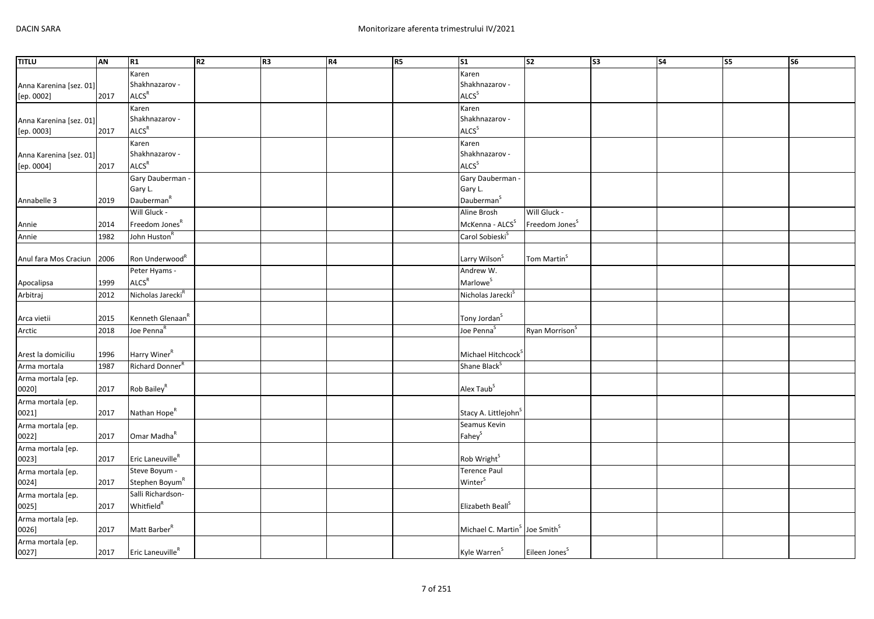| <b>TITLU</b>            | AN   | R1                            | R <sub>2</sub> | R <sub>3</sub> | R4 | R <sub>5</sub> | $\overline{\text{S1}}$                                | $\overline{\text{S2}}$     | $\overline{\text{S3}}$ | $\overline{\text{S4}}$ | $\overline{\text{S5}}$ | <b>S6</b> |
|-------------------------|------|-------------------------------|----------------|----------------|----|----------------|-------------------------------------------------------|----------------------------|------------------------|------------------------|------------------------|-----------|
|                         |      | Karen                         |                |                |    |                | Karen                                                 |                            |                        |                        |                        |           |
| Anna Karenina [sez. 01] |      | Shakhnazarov -                |                |                |    |                | Shakhnazarov -                                        |                            |                        |                        |                        |           |
| [ep. 0002]              | 2017 | ALCS <sup>R</sup>             |                |                |    |                | ALCS <sup>S</sup>                                     |                            |                        |                        |                        |           |
|                         |      | Karen                         |                |                |    |                | Karen                                                 |                            |                        |                        |                        |           |
| Anna Karenina [sez. 01] |      | Shakhnazarov -                |                |                |    |                | Shakhnazarov -                                        |                            |                        |                        |                        |           |
| [ep. 0003]              | 2017 | <b>ALCS<sup>R</sup></b>       |                |                |    |                | ALCS <sup>S</sup>                                     |                            |                        |                        |                        |           |
|                         |      | Karen                         |                |                |    |                | Karen                                                 |                            |                        |                        |                        |           |
| Anna Karenina [sez. 01] |      | Shakhnazarov -                |                |                |    |                | Shakhnazarov -                                        |                            |                        |                        |                        |           |
| [ep. 0004]              | 2017 | ALCS <sup>R</sup>             |                |                |    |                | ALCS <sup>S</sup>                                     |                            |                        |                        |                        |           |
|                         |      | Gary Dauberman -              |                |                |    |                | Gary Dauberman -                                      |                            |                        |                        |                        |           |
|                         |      | Gary L.                       |                |                |    |                | Gary L.                                               |                            |                        |                        |                        |           |
| Annabelle 3             | 2019 | Dauberman <sup>R</sup>        |                |                |    |                | Dauberman <sup>S</sup>                                |                            |                        |                        |                        |           |
|                         |      | Will Gluck -                  |                |                |    |                | Aline Brosh                                           | Will Gluck -               |                        |                        |                        |           |
| Annie                   | 2014 | Freedom Jones <sup>R</sup>    |                |                |    |                | McKenna - ALCS <sup>S</sup>                           | Freedom Jones <sup>S</sup> |                        |                        |                        |           |
| Annie                   | 1982 | John Huston <sup>R</sup>      |                |                |    |                | Carol Sobieski <sup>S</sup>                           |                            |                        |                        |                        |           |
|                         |      |                               |                |                |    |                |                                                       |                            |                        |                        |                        |           |
| Anul fara Mos Craciun   | 2006 | Ron Underwood <sup>R</sup>    |                |                |    |                | Larry Wilson <sup>S</sup>                             | Tom Martin <sup>S</sup>    |                        |                        |                        |           |
|                         |      | Peter Hyams -                 |                |                |    |                | Andrew W.                                             |                            |                        |                        |                        |           |
|                         |      | ALCS <sup>R</sup>             |                |                |    |                | Marlowe <sup>S</sup>                                  |                            |                        |                        |                        |           |
| Apocalipsa              | 1999 |                               |                |                |    |                |                                                       |                            |                        |                        |                        |           |
| Arbitraj                | 2012 | Nicholas Jarecki <sup>R</sup> |                |                |    |                | Nicholas Jarecki <sup>S</sup>                         |                            |                        |                        |                        |           |
|                         |      |                               |                |                |    |                |                                                       |                            |                        |                        |                        |           |
| Arca vietii             | 2015 | Kenneth Glenaan <sup>K</sup>  |                |                |    |                | Tony Jordan <sup>S</sup>                              |                            |                        |                        |                        |           |
| Arctic                  | 2018 | Joe Penna <sup>R</sup>        |                |                |    |                | Joe Penna <sup>S</sup>                                | Ryan Morrison <sup>S</sup> |                        |                        |                        |           |
|                         |      |                               |                |                |    |                |                                                       |                            |                        |                        |                        |           |
| Arest la domiciliu      | 1996 | Harry Winer <sup>R</sup>      |                |                |    |                | Michael Hitchcock <sup>5</sup>                        |                            |                        |                        |                        |           |
| Arma mortala            | 1987 | Richard Donner                |                |                |    |                | Shane Black <sup>S</sup>                              |                            |                        |                        |                        |           |
| Arma mortala [ep.       |      |                               |                |                |    |                |                                                       |                            |                        |                        |                        |           |
| 0020]                   | 2017 | Rob Bailey <sup>R</sup>       |                |                |    |                | Alex Taub <sup>S</sup>                                |                            |                        |                        |                        |           |
| Arma mortala [ep.       |      |                               |                |                |    |                |                                                       |                            |                        |                        |                        |           |
| 0021]                   | 2017 | Nathan Hope <sup>R</sup>      |                |                |    |                | Stacy A. Littlejohn <sup>S</sup>                      |                            |                        |                        |                        |           |
| Arma mortala [ep.       |      |                               |                |                |    |                | Seamus Kevin                                          |                            |                        |                        |                        |           |
| 0022]                   | 2017 | Omar Madha <sup>R</sup>       |                |                |    |                | Fahey <sup>S</sup>                                    |                            |                        |                        |                        |           |
| Arma mortala [ep.       |      |                               |                |                |    |                |                                                       |                            |                        |                        |                        |           |
| 0023]                   | 2017 | Eric Laneuville <sup>R</sup>  |                |                |    |                | Rob Wright <sup>S</sup>                               |                            |                        |                        |                        |           |
| Arma mortala [ep.       |      | Steve Boyum -                 |                |                |    |                | <b>Terence Paul</b>                                   |                            |                        |                        |                        |           |
| 0024]                   | 2017 | Stephen Boyum <sup>R</sup>    |                |                |    |                | Winter <sup>S</sup>                                   |                            |                        |                        |                        |           |
| Arma mortala [ep.       |      | Salli Richardson-             |                |                |    |                |                                                       |                            |                        |                        |                        |           |
| 0025]                   | 2017 | <b>Whitfield</b> <sup>R</sup> |                |                |    |                | Elizabeth Beall <sup>S</sup>                          |                            |                        |                        |                        |           |
| Arma mortala [ep.       |      |                               |                |                |    |                |                                                       |                            |                        |                        |                        |           |
| 0026]                   | 2017 | Matt Barber <sup>R</sup>      |                |                |    |                | Michael C. Martin <sup>S</sup> Joe Smith <sup>S</sup> |                            |                        |                        |                        |           |
| Arma mortala [ep.       |      |                               |                |                |    |                |                                                       |                            |                        |                        |                        |           |
| 0027]                   | 2017 | Eric Laneuville <sup>R</sup>  |                |                |    |                | Kyle Warren <sup>S</sup>                              | Eileen Jones <sup>S</sup>  |                        |                        |                        |           |
|                         |      |                               |                |                |    |                |                                                       |                            |                        |                        |                        |           |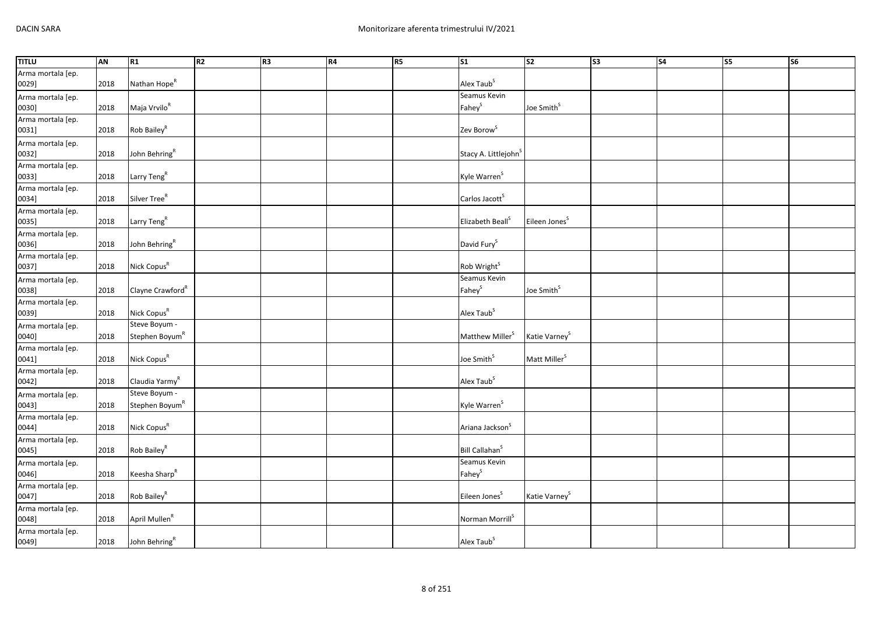| <b>TITLU</b>               | AN   | R1                           | R <sub>2</sub> | R3 | R4 | R5 | $\overline{\text{S1}}$           | $\overline{\text{S2}}$    | $\overline{\text{S3}}$ | $\overline{\text{S4}}$ | <b>S5</b> | $\overline{\text{S6}}$ |
|----------------------------|------|------------------------------|----------------|----|----|----|----------------------------------|---------------------------|------------------------|------------------------|-----------|------------------------|
| Arma mortala [ep.          |      |                              |                |    |    |    |                                  |                           |                        |                        |           |                        |
| 0029]                      | 2018 | Nathan Hope <sup>R</sup>     |                |    |    |    | Alex Taub <sup>S</sup>           |                           |                        |                        |           |                        |
| Arma mortala [ep.          |      |                              |                |    |    |    | Seamus Kevin                     |                           |                        |                        |           |                        |
| 0030]                      | 2018 | Maja Vrvilo <sup>R</sup>     |                |    |    |    | Fahey <sup>S</sup>               | Joe Smith <sup>S</sup>    |                        |                        |           |                        |
| Arma mortala [ep.          |      |                              |                |    |    |    |                                  |                           |                        |                        |           |                        |
| 0031]                      | 2018 | Rob Bailey <sup>R</sup>      |                |    |    |    | Zev Borow <sup>S</sup>           |                           |                        |                        |           |                        |
| Arma mortala [ep.          |      |                              |                |    |    |    |                                  |                           |                        |                        |           |                        |
| 0032]                      | 2018 | John Behring <sup>R</sup>    |                |    |    |    | Stacy A. Littlejohn <sup>S</sup> |                           |                        |                        |           |                        |
| Arma mortala [ep.          |      |                              |                |    |    |    |                                  |                           |                        |                        |           |                        |
| 0033]                      | 2018 | Larry Teng <sup>R</sup>      |                |    |    |    | Kyle Warren <sup>S</sup>         |                           |                        |                        |           |                        |
| Arma mortala [ep.          |      |                              |                |    |    |    |                                  |                           |                        |                        |           |                        |
| 0034]                      | 2018 | Silver Tree <sup>R</sup>     |                |    |    |    | Carlos Jacott <sup>S</sup>       |                           |                        |                        |           |                        |
| Arma mortala [ep.          |      |                              |                |    |    |    |                                  |                           |                        |                        |           |                        |
| 0035]                      | 2018 | Larry Teng <sup>R</sup>      |                |    |    |    | Elizabeth Beall <sup>S</sup>     | Eileen Jones <sup>S</sup> |                        |                        |           |                        |
| Arma mortala [ep.          |      |                              |                |    |    |    |                                  |                           |                        |                        |           |                        |
| 0036]                      | 2018 | John Behring <sup>R</sup>    |                |    |    |    | David Fury <sup>S</sup>          |                           |                        |                        |           |                        |
| Arma mortala [ep.          |      |                              |                |    |    |    |                                  |                           |                        |                        |           |                        |
| 0037]                      | 2018 | Nick Copus <sup>R</sup>      |                |    |    |    | Rob Wright <sup>S</sup>          |                           |                        |                        |           |                        |
| Arma mortala [ep.          |      |                              |                |    |    |    | Seamus Kevin                     |                           |                        |                        |           |                        |
| 0038]                      | 2018 | Clayne Crawford <sup>R</sup> |                |    |    |    | Fahey <sup>S</sup>               | Joe Smith <sup>S</sup>    |                        |                        |           |                        |
| Arma mortala [ep.          |      |                              |                |    |    |    |                                  |                           |                        |                        |           |                        |
| 0039]                      | 2018 | Nick Copus <sup>R</sup>      |                |    |    |    | Alex Taub <sup>S</sup>           |                           |                        |                        |           |                        |
| Arma mortala [ep.          |      | Steve Boyum -                |                |    |    |    |                                  |                           |                        |                        |           |                        |
| 0040]                      | 2018 | Stephen Boyum <sup>R</sup>   |                |    |    |    | Matthew Miller <sup>S</sup>      | Katie Varney <sup>S</sup> |                        |                        |           |                        |
| Arma mortala [ep.          |      |                              |                |    |    |    |                                  |                           |                        |                        |           |                        |
| 0041]<br>Arma mortala [ep. | 2018 | Nick Copus <sup>R</sup>      |                |    |    |    | Joe Smith <sup>S</sup>           | Matt Miller <sup>S</sup>  |                        |                        |           |                        |
|                            |      |                              |                |    |    |    |                                  |                           |                        |                        |           |                        |
| 0042]                      | 2018 | Claudia Yarmy <sup>R</sup>   |                |    |    |    | Alex Taub <sup>S</sup>           |                           |                        |                        |           |                        |
| Arma mortala [ep.          |      | Steve Boyum -                |                |    |    |    |                                  |                           |                        |                        |           |                        |
| 0043]                      | 2018 | Stephen Boyum <sup>R</sup>   |                |    |    |    | Kyle Warren <sup>S</sup>         |                           |                        |                        |           |                        |
| Arma mortala [ep.          |      |                              |                |    |    |    |                                  |                           |                        |                        |           |                        |
| 0044]                      | 2018 | Nick Copus <sup>R</sup>      |                |    |    |    | Ariana Jackson <sup>S</sup>      |                           |                        |                        |           |                        |
| Arma mortala [ep.          |      |                              |                |    |    |    |                                  |                           |                        |                        |           |                        |
| 0045]                      | 2018 | Rob Bailey <sup>R</sup>      |                |    |    |    | Bill Callahan <sup>S</sup>       |                           |                        |                        |           |                        |
| Arma mortala [ep.          |      |                              |                |    |    |    | Seamus Kevin                     |                           |                        |                        |           |                        |
| 0046]                      | 2018 | Keesha Sharp <sup>R</sup>    |                |    |    |    | Fahey <sup>S</sup>               |                           |                        |                        |           |                        |
| Arma mortala [ep.          |      |                              |                |    |    |    |                                  |                           |                        |                        |           |                        |
| 0047]                      | 2018 | Rob Bailey <sup>R</sup>      |                |    |    |    | Eileen Jones <sup>S</sup>        | Katie Varney <sup>S</sup> |                        |                        |           |                        |
| Arma mortala [ep.          |      |                              |                |    |    |    |                                  |                           |                        |                        |           |                        |
| 0048]                      | 2018 | April Mullen <sup>R</sup>    |                |    |    |    | Norman Morrill <sup>S</sup>      |                           |                        |                        |           |                        |
| Arma mortala [ep.          |      |                              |                |    |    |    |                                  |                           |                        |                        |           |                        |
| 0049]                      | 2018 | John Behring <sup>R</sup>    |                |    |    |    | Alex Taub <sup>S</sup>           |                           |                        |                        |           |                        |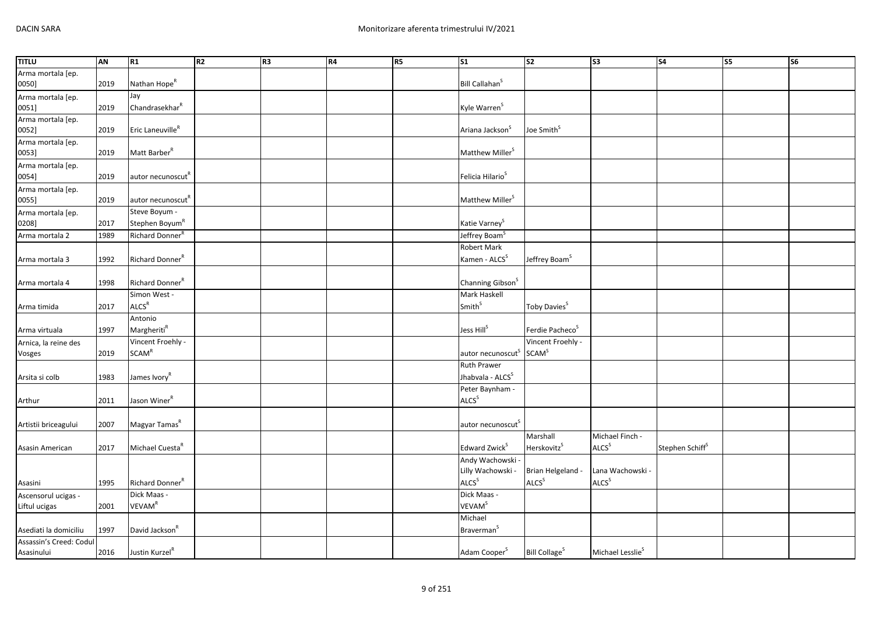| <b>TITLU</b>                          | <b>AN</b> | R1                                          | R <sub>2</sub> | R <sub>3</sub> | R4 | R <sub>5</sub> | $\overline{\text{S1}}$                                 | S <sub>2</sub>                  | S <sub>3</sub>               | <b>S4</b>                   | S5 | S6 |
|---------------------------------------|-----------|---------------------------------------------|----------------|----------------|----|----------------|--------------------------------------------------------|---------------------------------|------------------------------|-----------------------------|----|----|
| Arma mortala [ep.                     |           |                                             |                |                |    |                |                                                        |                                 |                              |                             |    |    |
| 0050]                                 | 2019      | Nathan Hope <sup>R</sup>                    |                |                |    |                | Bill Callahan <sup>S</sup>                             |                                 |                              |                             |    |    |
| Arma mortala [ep.                     |           | Jay                                         |                |                |    |                |                                                        |                                 |                              |                             |    |    |
| 0051]                                 | 2019      | Chandrasekhar <sup>R</sup>                  |                |                |    |                | Kyle Warren <sup>S</sup>                               |                                 |                              |                             |    |    |
| Arma mortala [ep.                     |           |                                             |                |                |    |                |                                                        |                                 |                              |                             |    |    |
| 0052]                                 | 2019      | Eric Laneuville <sup>R</sup>                |                |                |    |                | Ariana Jackson <sup>S</sup>                            | Joe Smith <sup>5</sup>          |                              |                             |    |    |
| Arma mortala [ep.                     |           | Matt Barber <sup>R</sup>                    |                |                |    |                |                                                        |                                 |                              |                             |    |    |
| 0053]                                 | 2019      |                                             |                |                |    |                | Matthew Miller <sup>S</sup>                            |                                 |                              |                             |    |    |
| Arma mortala [ep.                     |           |                                             |                |                |    |                | Felicia Hilario <sup>S</sup>                           |                                 |                              |                             |    |    |
| 0054]                                 | 2019      | autor necunoscut <sup>R</sup>               |                |                |    |                |                                                        |                                 |                              |                             |    |    |
| Arma mortala [ep.                     |           |                                             |                |                |    |                | Matthew Miller <sup>S</sup>                            |                                 |                              |                             |    |    |
| 0055]                                 | 2019      | autor necunoscut <sup>R</sup>               |                |                |    |                |                                                        |                                 |                              |                             |    |    |
| Arma mortala [ep.<br>0208]            |           | Steve Boyum -<br>Stephen Boyum <sup>R</sup> |                |                |    |                |                                                        |                                 |                              |                             |    |    |
|                                       | 2017      | Richard Donner <sup>R</sup>                 |                |                |    |                | Katie Varney <sup>S</sup><br>Jeffrey Boam <sup>S</sup> |                                 |                              |                             |    |    |
| Arma mortala 2                        | 1989      |                                             |                |                |    |                |                                                        |                                 |                              |                             |    |    |
|                                       |           | Richard Donner <sup>R</sup>                 |                |                |    |                | Robert Mark<br>Kamen - ALCS <sup>S</sup>               |                                 |                              |                             |    |    |
| Arma mortala 3                        | 1992      |                                             |                |                |    |                |                                                        | Jeffrey Boam <sup>S</sup>       |                              |                             |    |    |
|                                       |           | Richard Donner <sup>R</sup>                 |                |                |    |                |                                                        |                                 |                              |                             |    |    |
| Arma mortala 4                        | 1998      | Simon West -                                |                |                |    |                | Channing Gibson <sup>S</sup><br>Mark Haskell           |                                 |                              |                             |    |    |
|                                       |           | ALCS <sup>R</sup>                           |                |                |    |                | Smith <sup>S</sup>                                     |                                 |                              |                             |    |    |
| Arma timida                           | 2017      | Antonio                                     |                |                |    |                |                                                        | Toby Davies <sup>S</sup>        |                              |                             |    |    |
|                                       |           | MargheritiR                                 |                |                |    |                | Jess Hill <sup>S</sup>                                 | Ferdie Pacheco <sup>S</sup>     |                              |                             |    |    |
| Arma virtuala                         | 1997      | Vincent Froehly -                           |                |                |    |                |                                                        | Vincent Froehly -               |                              |                             |    |    |
| Arnica, la reine des                  |           | SCAM <sup>R</sup>                           |                |                |    |                | autor necunoscut <sup>S</sup>                          | SCAM <sup>S</sup>               |                              |                             |    |    |
| Vosges                                | 2019      |                                             |                |                |    |                | Ruth Prawer                                            |                                 |                              |                             |    |    |
|                                       |           | James Ivory <sup>R</sup>                    |                |                |    |                | Jhabvala - ALCS <sup>S</sup>                           |                                 |                              |                             |    |    |
| Arsita si colb                        | 1983      |                                             |                |                |    |                | Peter Baynham -                                        |                                 |                              |                             |    |    |
|                                       |           | Jason Winer <sup>R</sup>                    |                |                |    |                | ALCS <sup>S</sup>                                      |                                 |                              |                             |    |    |
| Arthur                                | 2011      |                                             |                |                |    |                |                                                        |                                 |                              |                             |    |    |
| Artistii briceagului                  | 2007      | Magyar Tamas <sup>R</sup>                   |                |                |    |                | autor necunoscut <sup>s</sup>                          |                                 |                              |                             |    |    |
|                                       |           |                                             |                |                |    |                |                                                        | Marshall                        | Michael Finch -              |                             |    |    |
|                                       | 2017      | Michael Cuesta <sup>R</sup>                 |                |                |    |                | Edward Zwick <sup>S</sup>                              | Herskovitz <sup>S</sup>         | <b>ALCS</b> <sup>S</sup>     | Stephen Schiff <sup>S</sup> |    |    |
| Asasin American                       |           |                                             |                |                |    |                |                                                        |                                 |                              |                             |    |    |
|                                       |           |                                             |                |                |    |                | Andy Wachowski -<br>Lilly Wachowski -                  | Brian Helgeland -               | Lana Wachowski -             |                             |    |    |
|                                       | 1995      | Richard Donner <sup>R</sup>                 |                |                |    |                | ALCS <sup>S</sup>                                      | ALCS <sup>S</sup>               | <b>ALCS</b> <sup>S</sup>     |                             |    |    |
| Asasini                               |           | Dick Maas -                                 |                |                |    |                | Dick Maas -                                            |                                 |                              |                             |    |    |
| Ascensorul ucigas -                   |           | <b>VEVAM<sup>R</sup></b>                    |                |                |    |                | <b>VEVAM<sup>S</sup></b>                               |                                 |                              |                             |    |    |
| Liftul ucigas                         | 2001      |                                             |                |                |    |                | Michael                                                |                                 |                              |                             |    |    |
| Asediati la domiciliu                 | 1997      | David Jackson <sup>R</sup>                  |                |                |    |                | Braverman <sup>5</sup>                                 |                                 |                              |                             |    |    |
|                                       |           |                                             |                |                |    |                |                                                        |                                 |                              |                             |    |    |
| Assassin's Creed: Codul<br>Asasinului | 2016      | Justin Kurzel <sup>R</sup>                  |                |                |    |                | Adam Cooper <sup>S</sup>                               | <b>Bill Collage<sup>S</sup></b> | Michael Lesslie <sup>S</sup> |                             |    |    |
|                                       |           |                                             |                |                |    |                |                                                        |                                 |                              |                             |    |    |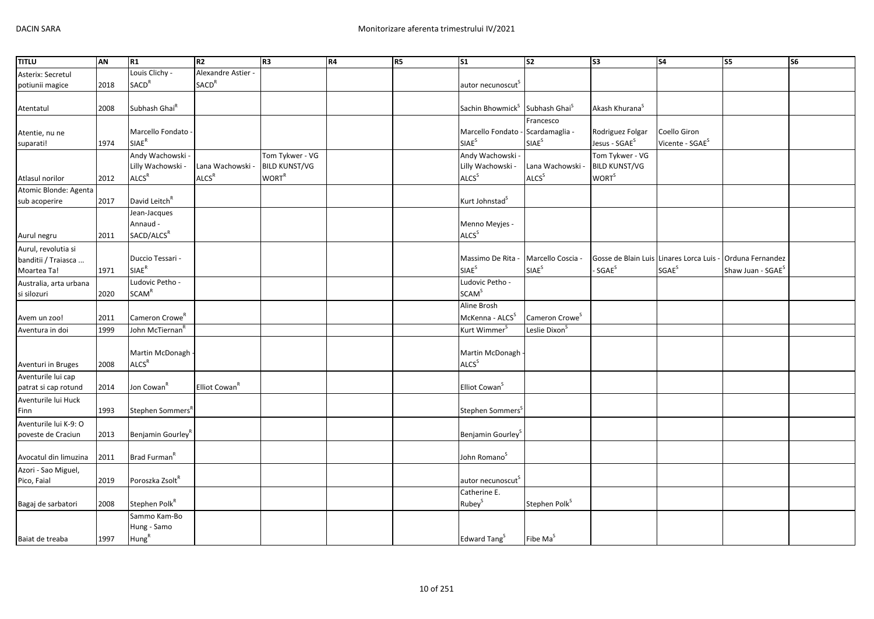| TITLU                  | AN   | R1                            | R <sub>2</sub>            | R <sub>3</sub>           | R4 | R5 | S <sub>1</sub>                    | S <sub>2</sub>             | $\overline{\text{S3}}$     | S <sub>4</sub>              | S5                                                        | S <sub>6</sub> |
|------------------------|------|-------------------------------|---------------------------|--------------------------|----|----|-----------------------------------|----------------------------|----------------------------|-----------------------------|-----------------------------------------------------------|----------------|
| Asterix: Secretul      |      | Louis Clichy -                | Alexandre Astier -        |                          |    |    |                                   |                            |                            |                             |                                                           |                |
| potiunii magice        | 2018 | <b>SACD<sup>R</sup></b>       | <b>SACD<sup>R</sup></b>   |                          |    |    | autor necunoscut <sup>5</sup>     |                            |                            |                             |                                                           |                |
|                        |      |                               |                           |                          |    |    |                                   |                            |                            |                             |                                                           |                |
| Atentatul              | 2008 | Subhash Ghai <sup>R</sup>     |                           |                          |    |    | Sachin Bhowmick <sup>S</sup>      | Subhash Ghai <sup>s</sup>  | Akash Khurana <sup>S</sup> |                             |                                                           |                |
|                        |      |                               |                           |                          |    |    |                                   | Francesco                  |                            |                             |                                                           |                |
| Atentie, nu ne         |      | Marcello Fondato -            |                           |                          |    |    | Marcello Fondato - Scardamaglia - |                            | Rodriguez Folgar           | Coello Giron                |                                                           |                |
| suparati!              | 1974 | <b>SIAE<sup>R</sup></b>       |                           |                          |    |    | <b>SIAE</b> <sup>S</sup>          | SIAE <sup>S</sup>          | Jesus - SGAE <sup>S</sup>  | Vicente - SGAE <sup>S</sup> |                                                           |                |
|                        |      | Andy Wachowski -              |                           | Tom Tykwer - VG          |    |    | Andy Wachowski -                  |                            | Tom Tykwer - VG            |                             |                                                           |                |
|                        |      | Lilly Wachowski -             | Lana Wachowski -          | <b>BILD KUNST/VG</b>     |    |    | Lilly Wachowski -                 | Lana Wachowski -           | <b>BILD KUNST/VG</b>       |                             |                                                           |                |
| Atlasul norilor        | 2012 | ALCS <sup>R</sup>             | ALCS <sup>R</sup>         | <b>WORT</b> <sup>R</sup> |    |    | ALCS <sup>S</sup>                 | ALCS <sup>S</sup>          | <b>WORT</b> <sup>S</sup>   |                             |                                                           |                |
| Atomic Blonde: Agenta  |      |                               |                           |                          |    |    |                                   |                            |                            |                             |                                                           |                |
| sub acoperire          | 2017 | David Leitch <sup>R</sup>     |                           |                          |    |    | Kurt Johnstad <sup>S</sup>        |                            |                            |                             |                                                           |                |
|                        |      | Jean-Jacques                  |                           |                          |    |    |                                   |                            |                            |                             |                                                           |                |
|                        |      | Annaud -                      |                           |                          |    |    | Menno Meyjes -                    |                            |                            |                             |                                                           |                |
| Aurul negru            | 2011 | SACD/ALCS <sup>R</sup>        |                           |                          |    |    | ALCS <sup>S</sup>                 |                            |                            |                             |                                                           |                |
| Aurul, revolutia si    |      |                               |                           |                          |    |    |                                   |                            |                            |                             |                                                           |                |
| banditii / Traiasca    |      | Duccio Tessari -              |                           |                          |    |    | Massimo De Rita -                 | Marcello Coscia            |                            |                             | Gosse de Blain Luis Linares Lorca Luis - Orduna Fernandez |                |
| Moartea Ta!            | 1971 | $\mathsf{SIAE}^\mathsf{R}$    |                           |                          |    |    | <b>SIAE<sup>S</sup></b>           | SIAE <sup>S</sup>          | - SGAE <sup>S</sup>        | SGAE <sup>S</sup>           | Shaw Juan - SGAE <sup>S</sup>                             |                |
| Australia, arta urbana |      | Ludovic Petho -               |                           |                          |    |    | Ludovic Petho -                   |                            |                            |                             |                                                           |                |
| si silozuri            | 2020 | <b>SCAM<sup>R</sup></b>       |                           |                          |    |    | <b>SCAM</b> <sup>S</sup>          |                            |                            |                             |                                                           |                |
|                        |      |                               |                           |                          |    |    | Aline Brosh                       |                            |                            |                             |                                                           |                |
| Avem un zoo!           | 2011 | Cameron Crowe <sup>R</sup>    |                           |                          |    |    | McKenna - ALCS <sup>S</sup>       | Cameron Crowe <sup>S</sup> |                            |                             |                                                           |                |
| Aventura in doi        | 1999 | John McTiernan <sup>"</sup>   |                           |                          |    |    | Kurt Wimmer                       | Leslie Dixon <sup>3</sup>  |                            |                             |                                                           |                |
|                        |      |                               |                           |                          |    |    |                                   |                            |                            |                             |                                                           |                |
|                        |      | Martin McDonagh -             |                           |                          |    |    | Martin McDonagh                   |                            |                            |                             |                                                           |                |
| Aventuri in Bruges     | 2008 | ALCS <sup>R</sup>             |                           |                          |    |    | <b>ALCS</b> <sup>S</sup>          |                            |                            |                             |                                                           |                |
| Aventurile lui cap     |      |                               |                           |                          |    |    |                                   |                            |                            |                             |                                                           |                |
| patrat si cap rotund   | 2014 | Jon Cowan <sup>R</sup>        | Elliot Cowan <sup>R</sup> |                          |    |    | Elliot Cowan <sup>S</sup>         |                            |                            |                             |                                                           |                |
| Aventurile lui Huck    |      |                               |                           |                          |    |    |                                   |                            |                            |                             |                                                           |                |
| Finn                   | 1993 | Stephen Sommers <sup>R</sup>  |                           |                          |    |    | Stephen Sommers <sup>5</sup>      |                            |                            |                             |                                                           |                |
| Aventurile lui K-9: O  |      |                               |                           |                          |    |    |                                   |                            |                            |                             |                                                           |                |
| poveste de Craciun     | 2013 | Benjamin Gourley <sup>R</sup> |                           |                          |    |    | Benjamin Gourley <sup>3</sup>     |                            |                            |                             |                                                           |                |
|                        |      |                               |                           |                          |    |    |                                   |                            |                            |                             |                                                           |                |
| Avocatul din limuzina  | 2011 | Brad Furman <sup>R</sup>      |                           |                          |    |    | John Romano <sup>S</sup>          |                            |                            |                             |                                                           |                |
| Azori - Sao Miguel,    |      |                               |                           |                          |    |    |                                   |                            |                            |                             |                                                           |                |
| Pico, Faial            | 2019 | Poroszka Zsolt <sup>R</sup>   |                           |                          |    |    | autor necunoscut                  |                            |                            |                             |                                                           |                |
|                        |      |                               |                           |                          |    |    | Catherine E.                      |                            |                            |                             |                                                           |                |
| Bagaj de sarbatori     | 2008 | Stephen Polk <sup>R</sup>     |                           |                          |    |    | Rubey <sup>S</sup>                | Stephen Polk <sup>S</sup>  |                            |                             |                                                           |                |
|                        |      | Sammo Kam-Bo                  |                           |                          |    |    |                                   |                            |                            |                             |                                                           |                |
|                        |      | Hung - Samo                   |                           |                          |    |    |                                   |                            |                            |                             |                                                           |                |
| Baiat de treaba        | 1997 | Hung <sup>R</sup>             |                           |                          |    |    | Edward Tang <sup>S</sup>          | Fibe Ma <sup>S</sup>       |                            |                             |                                                           |                |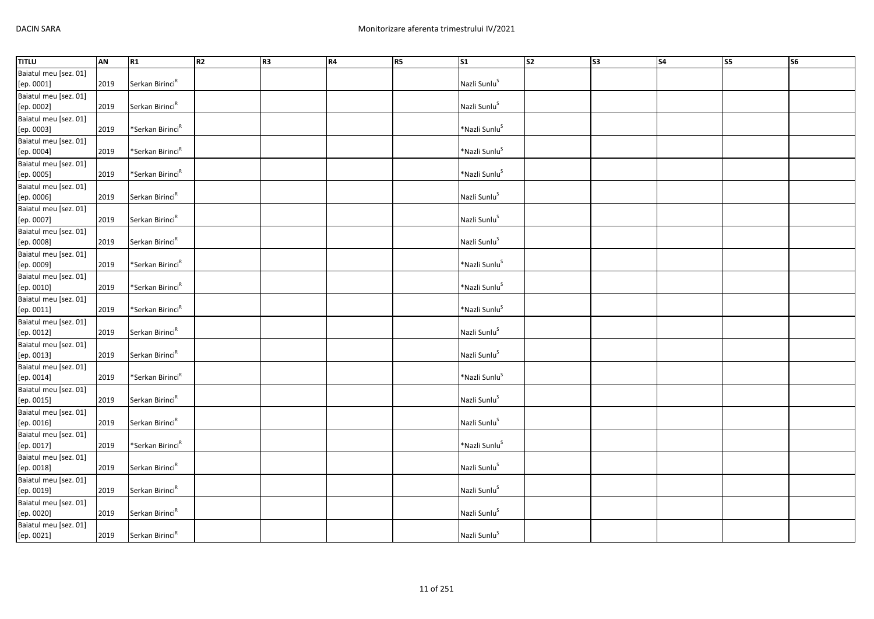| <b>TITLU</b>          | AN   | R1                           | R2 | R <sub>3</sub> | R4 | R5 | $\overline{\text{S1}}$    | $\overline{\text{S2}}$ | S <sub>3</sub> | $\overline{\phantom{a}}$ S4 | $\overline{\text{S5}}$ | <b>S6</b> |
|-----------------------|------|------------------------------|----|----------------|----|----|---------------------------|------------------------|----------------|-----------------------------|------------------------|-----------|
| Baiatul meu [sez. 01] |      |                              |    |                |    |    |                           |                        |                |                             |                        |           |
| [ep. 0001]            | 2019 | Serkan Birinci <sup>R</sup>  |    |                |    |    | Nazli Sunlu <sup>S</sup>  |                        |                |                             |                        |           |
| Baiatul meu [sez. 01] |      |                              |    |                |    |    |                           |                        |                |                             |                        |           |
| [ep. 0002]            | 2019 | Serkan Birinci <sup>R</sup>  |    |                |    |    | Nazli Sunlu <sup>S</sup>  |                        |                |                             |                        |           |
| Baiatul meu [sez. 01] |      |                              |    |                |    |    |                           |                        |                |                             |                        |           |
| [ep. 0003]            | 2019 | *Serkan Birinci <sup>R</sup> |    |                |    |    | *Nazli Sunlu <sup>S</sup> |                        |                |                             |                        |           |
| Baiatul meu [sez. 01] |      |                              |    |                |    |    |                           |                        |                |                             |                        |           |
| [ep. 0004]            | 2019 | *Serkan Birinci <sup>R</sup> |    |                |    |    | *Nazli Sunlu <sup>S</sup> |                        |                |                             |                        |           |
| Baiatul meu [sez. 01] |      |                              |    |                |    |    |                           |                        |                |                             |                        |           |
| [ep. 0005]            | 2019 | *Serkan Birinci <sup>R</sup> |    |                |    |    | *Nazli Sunlu <sup>S</sup> |                        |                |                             |                        |           |
| Baiatul meu [sez. 01] |      |                              |    |                |    |    |                           |                        |                |                             |                        |           |
| [ep. 0006]            | 2019 | Serkan Birinci <sup>R</sup>  |    |                |    |    | Nazli Sunlu <sup>S</sup>  |                        |                |                             |                        |           |
| Baiatul meu [sez. 01] |      |                              |    |                |    |    |                           |                        |                |                             |                        |           |
| [ep. 0007]            | 2019 | Serkan Birinci <sup>R</sup>  |    |                |    |    | Nazli Sunlu <sup>S</sup>  |                        |                |                             |                        |           |
| Baiatul meu [sez. 01] |      |                              |    |                |    |    |                           |                        |                |                             |                        |           |
| [ep. 0008]            | 2019 | Serkan Birinci <sup>R</sup>  |    |                |    |    | Nazli Sunlu <sup>S</sup>  |                        |                |                             |                        |           |
| Baiatul meu [sez. 01] |      |                              |    |                |    |    |                           |                        |                |                             |                        |           |
| [ep. 0009]            | 2019 | *Serkan Birinci <sup>R</sup> |    |                |    |    | *Nazli Sunlu <sup>S</sup> |                        |                |                             |                        |           |
| Baiatul meu [sez. 01] |      |                              |    |                |    |    |                           |                        |                |                             |                        |           |
| [ep. 0010]            | 2019 | *Serkan Birinci <sup>R</sup> |    |                |    |    | *Nazli Sunlu <sup>S</sup> |                        |                |                             |                        |           |
| Baiatul meu [sez. 01] |      |                              |    |                |    |    |                           |                        |                |                             |                        |           |
| [ep. 0011]            | 2019 | *Serkan Birinci <sup>R</sup> |    |                |    |    | *Nazli Sunlu <sup>S</sup> |                        |                |                             |                        |           |
| Baiatul meu [sez. 01] |      |                              |    |                |    |    |                           |                        |                |                             |                        |           |
| [ep. 0012]            | 2019 | Serkan Birinci <sup>R</sup>  |    |                |    |    | Nazli Sunlu <sup>S</sup>  |                        |                |                             |                        |           |
| Baiatul meu [sez. 01] |      |                              |    |                |    |    |                           |                        |                |                             |                        |           |
| [ep. 0013]            | 2019 | Serkan Birinci <sup>R</sup>  |    |                |    |    | Nazli Sunlu <sup>S</sup>  |                        |                |                             |                        |           |
| Baiatul meu [sez. 01] |      |                              |    |                |    |    |                           |                        |                |                             |                        |           |
| [ep. 0014]            | 2019 | *Serkan Birinci <sup>R</sup> |    |                |    |    | *Nazli Sunlu <sup>S</sup> |                        |                |                             |                        |           |
| Baiatul meu [sez. 01] |      |                              |    |                |    |    |                           |                        |                |                             |                        |           |
| [ep. 0015]            | 2019 | Serkan Birinci <sup>R</sup>  |    |                |    |    | Nazli Sunlu <sup>S</sup>  |                        |                |                             |                        |           |
| Baiatul meu [sez. 01] |      |                              |    |                |    |    |                           |                        |                |                             |                        |           |
| [ep. 0016]            | 2019 | Serkan Birinci <sup>R</sup>  |    |                |    |    | Nazli Sunlu <sup>S</sup>  |                        |                |                             |                        |           |
| Baiatul meu [sez. 01] |      |                              |    |                |    |    |                           |                        |                |                             |                        |           |
| [ep. 0017]            | 2019 | *Serkan Birinci <sup>R</sup> |    |                |    |    | *Nazli Sunlu <sup>S</sup> |                        |                |                             |                        |           |
| Baiatul meu [sez. 01] |      |                              |    |                |    |    |                           |                        |                |                             |                        |           |
| [ep. 0018]            | 2019 | Serkan Birinci <sup>R</sup>  |    |                |    |    | Nazli Sunlu <sup>S</sup>  |                        |                |                             |                        |           |
| Baiatul meu [sez. 01] |      |                              |    |                |    |    |                           |                        |                |                             |                        |           |
| [ep. 0019]            | 2019 | Serkan Birinci <sup>R</sup>  |    |                |    |    | Nazli Sunlu <sup>S</sup>  |                        |                |                             |                        |           |
| Baiatul meu [sez. 01] |      |                              |    |                |    |    |                           |                        |                |                             |                        |           |
| [ep. 0020]            | 2019 | Serkan Birinci <sup>R</sup>  |    |                |    |    | Nazli Sunlu <sup>S</sup>  |                        |                |                             |                        |           |
| Baiatul meu [sez. 01] |      |                              |    |                |    |    |                           |                        |                |                             |                        |           |
| [ep. 0021]            | 2019 | Serkan Birinci <sup>R</sup>  |    |                |    |    | Nazli Sunlu <sup>S</sup>  |                        |                |                             |                        |           |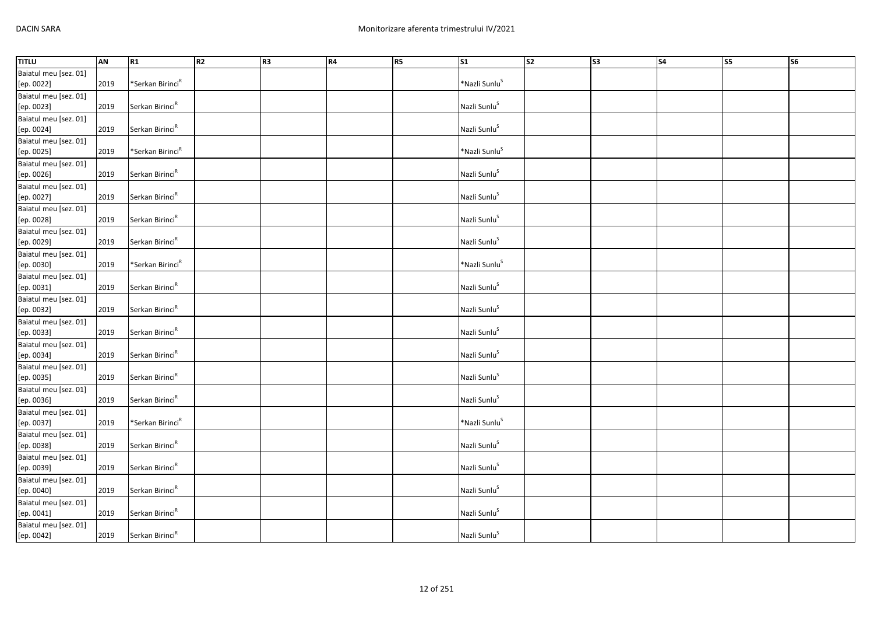| <b>TITLU</b>          | AN   | R1                           | R2 | R <sub>3</sub> | R4 | R5 | $\overline{\text{S1}}$    | $\overline{\text{S2}}$ | S <sub>3</sub> | $\overline{\phantom{a}}$ S4 | $\overline{\text{S5}}$ | <b>S6</b> |
|-----------------------|------|------------------------------|----|----------------|----|----|---------------------------|------------------------|----------------|-----------------------------|------------------------|-----------|
| Baiatul meu [sez. 01] |      |                              |    |                |    |    |                           |                        |                |                             |                        |           |
| [ep. 0022]            | 2019 | *Serkan Birinci <sup>R</sup> |    |                |    |    | *Nazli Sunlu <sup>S</sup> |                        |                |                             |                        |           |
| Baiatul meu [sez. 01] |      |                              |    |                |    |    |                           |                        |                |                             |                        |           |
| [ep. 0023]            | 2019 | Serkan Birinci <sup>R</sup>  |    |                |    |    | Nazli Sunlu <sup>S</sup>  |                        |                |                             |                        |           |
| Baiatul meu [sez. 01] |      |                              |    |                |    |    |                           |                        |                |                             |                        |           |
| [ep. 0024]            | 2019 | Serkan Birinci <sup>R</sup>  |    |                |    |    | Nazli Sunlu <sup>S</sup>  |                        |                |                             |                        |           |
| Baiatul meu [sez. 01] |      |                              |    |                |    |    |                           |                        |                |                             |                        |           |
| [ep. 0025]            | 2019 | *Serkan Birinci <sup>R</sup> |    |                |    |    | *Nazli Sunlu <sup>S</sup> |                        |                |                             |                        |           |
| Baiatul meu [sez. 01] |      |                              |    |                |    |    |                           |                        |                |                             |                        |           |
| [ep. 0026]            | 2019 | Serkan Birinci <sup>R</sup>  |    |                |    |    | Nazli Sunlu <sup>S</sup>  |                        |                |                             |                        |           |
| Baiatul meu [sez. 01] |      |                              |    |                |    |    |                           |                        |                |                             |                        |           |
| [ep. 0027]            | 2019 | Serkan Birinci <sup>R</sup>  |    |                |    |    | Nazli Sunlu <sup>S</sup>  |                        |                |                             |                        |           |
| Baiatul meu [sez. 01] |      |                              |    |                |    |    |                           |                        |                |                             |                        |           |
| [ep. 0028]            | 2019 | Serkan Birinci <sup>R</sup>  |    |                |    |    | Nazli Sunlu <sup>S</sup>  |                        |                |                             |                        |           |
| Baiatul meu [sez. 01] |      |                              |    |                |    |    |                           |                        |                |                             |                        |           |
| [ep. 0029]            | 2019 | Serkan Birinci <sup>R</sup>  |    |                |    |    | Nazli Sunlu <sup>S</sup>  |                        |                |                             |                        |           |
| Baiatul meu [sez. 01] |      |                              |    |                |    |    |                           |                        |                |                             |                        |           |
| [ep. 0030]            | 2019 | *Serkan Birinci <sup>R</sup> |    |                |    |    | *Nazli Sunlu <sup>S</sup> |                        |                |                             |                        |           |
| Baiatul meu [sez. 01] |      |                              |    |                |    |    |                           |                        |                |                             |                        |           |
| [ep. 0031]            | 2019 | Serkan Birinci <sup>R</sup>  |    |                |    |    | Nazli Sunlu <sup>S</sup>  |                        |                |                             |                        |           |
| Baiatul meu [sez. 01] |      |                              |    |                |    |    |                           |                        |                |                             |                        |           |
| [ep. 0032]            | 2019 | Serkan Birinci <sup>R</sup>  |    |                |    |    | Nazli Sunlu <sup>S</sup>  |                        |                |                             |                        |           |
| Baiatul meu [sez. 01] |      |                              |    |                |    |    |                           |                        |                |                             |                        |           |
| [ep. 0033]            | 2019 | Serkan Birinci <sup>R</sup>  |    |                |    |    | Nazli Sunlu <sup>S</sup>  |                        |                |                             |                        |           |
| Baiatul meu [sez. 01] |      |                              |    |                |    |    |                           |                        |                |                             |                        |           |
| [ep. 0034]            | 2019 | Serkan Birinci <sup>R</sup>  |    |                |    |    | Nazli Sunlu <sup>S</sup>  |                        |                |                             |                        |           |
| Baiatul meu [sez. 01] |      |                              |    |                |    |    |                           |                        |                |                             |                        |           |
| [ep. 0035]            | 2019 | Serkan Birinci <sup>R</sup>  |    |                |    |    | Nazli Sunlu <sup>S</sup>  |                        |                |                             |                        |           |
| Baiatul meu [sez. 01] |      |                              |    |                |    |    |                           |                        |                |                             |                        |           |
| [ep. 0036]            | 2019 | Serkan Birinci <sup>R</sup>  |    |                |    |    | Nazli Sunlu <sup>S</sup>  |                        |                |                             |                        |           |
| Baiatul meu [sez. 01] |      |                              |    |                |    |    |                           |                        |                |                             |                        |           |
| [ep. 0037]            | 2019 | *Serkan Birinci <sup>R</sup> |    |                |    |    | *Nazli Sunlu <sup>S</sup> |                        |                |                             |                        |           |
| Baiatul meu [sez. 01] |      |                              |    |                |    |    |                           |                        |                |                             |                        |           |
| [ep. 0038]            | 2019 | Serkan Birinci <sup>R</sup>  |    |                |    |    | Nazli Sunlu <sup>S</sup>  |                        |                |                             |                        |           |
| Baiatul meu [sez. 01] |      |                              |    |                |    |    |                           |                        |                |                             |                        |           |
| [ep. 0039]            | 2019 | Serkan Birinci <sup>R</sup>  |    |                |    |    | Nazli Sunlu <sup>S</sup>  |                        |                |                             |                        |           |
| Baiatul meu [sez. 01] |      |                              |    |                |    |    |                           |                        |                |                             |                        |           |
| [ep. 0040]            | 2019 | Serkan Birinci <sup>R</sup>  |    |                |    |    | Nazli Sunlu <sup>S</sup>  |                        |                |                             |                        |           |
| Baiatul meu [sez. 01] |      |                              |    |                |    |    |                           |                        |                |                             |                        |           |
| [ep. 0041]            | 2019 | Serkan Birinci <sup>R</sup>  |    |                |    |    | Nazli Sunlu <sup>S</sup>  |                        |                |                             |                        |           |
| Baiatul meu [sez. 01] |      |                              |    |                |    |    |                           |                        |                |                             |                        |           |
| [ep. 0042]            | 2019 | Serkan Birinci <sup>R</sup>  |    |                |    |    | Nazli Sunlu <sup>S</sup>  |                        |                |                             |                        |           |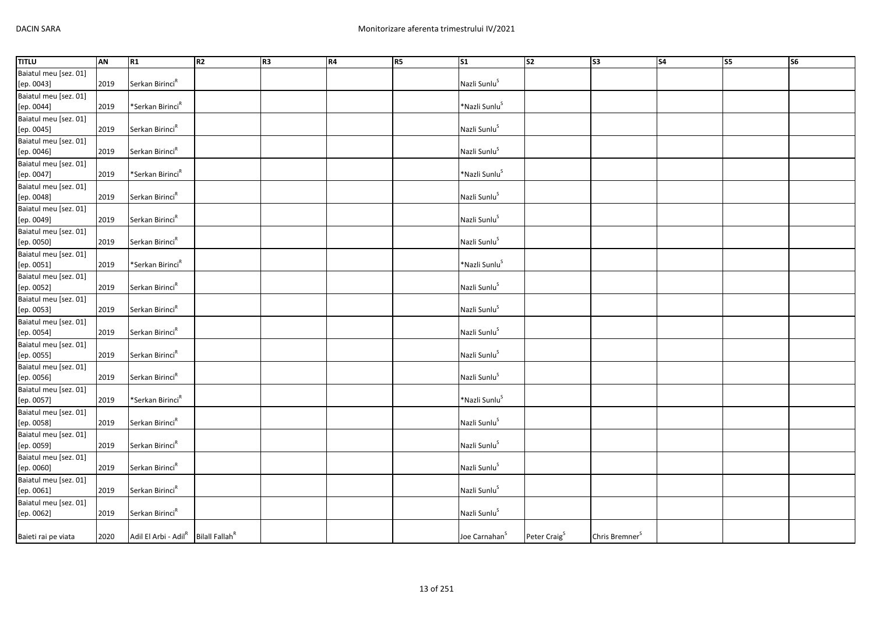| <b>TITLU</b>          | AN   | R1                                                          | R2 | R <sub>3</sub> | R4 | R5 | S <sub>1</sub>            | $\overline{\text{S2}}$   | S <sub>3</sub>             | S <sub>4</sub> | $\overline{\text{S}}$ | <b>S6</b> |
|-----------------------|------|-------------------------------------------------------------|----|----------------|----|----|---------------------------|--------------------------|----------------------------|----------------|-----------------------|-----------|
| Baiatul meu [sez. 01] |      |                                                             |    |                |    |    |                           |                          |                            |                |                       |           |
| [ep. 0043]            | 2019 | Serkan Birinci <sup>R</sup>                                 |    |                |    |    | Nazli Sunlu <sup>S</sup>  |                          |                            |                |                       |           |
| Baiatul meu [sez. 01] |      |                                                             |    |                |    |    |                           |                          |                            |                |                       |           |
| [ep. 0044]            | 2019 | *Serkan Birinci <sup>R</sup>                                |    |                |    |    | *Nazli Sunlu <sup>S</sup> |                          |                            |                |                       |           |
| Baiatul meu [sez. 01] |      |                                                             |    |                |    |    |                           |                          |                            |                |                       |           |
| [ep. 0045]            | 2019 | Serkan Birinci <sup>R</sup>                                 |    |                |    |    | Nazli Sunlu <sup>S</sup>  |                          |                            |                |                       |           |
| Baiatul meu [sez. 01] |      |                                                             |    |                |    |    |                           |                          |                            |                |                       |           |
| [ep. 0046]            | 2019 | Serkan Birinci <sup>R</sup>                                 |    |                |    |    | Nazli Sunlu <sup>S</sup>  |                          |                            |                |                       |           |
| Baiatul meu [sez. 01] |      |                                                             |    |                |    |    |                           |                          |                            |                |                       |           |
| [ep. 0047]            | 2019 | *Serkan Birinci <sup>R</sup>                                |    |                |    |    | *Nazli Sunlu <sup>S</sup> |                          |                            |                |                       |           |
| Baiatul meu [sez. 01] |      |                                                             |    |                |    |    |                           |                          |                            |                |                       |           |
| [ep. 0048]            | 2019 | Serkan Birinci <sup>R</sup>                                 |    |                |    |    | Nazli Sunlu <sup>S</sup>  |                          |                            |                |                       |           |
| Baiatul meu [sez. 01] |      |                                                             |    |                |    |    |                           |                          |                            |                |                       |           |
| [ep. 0049]            | 2019 | Serkan Birinci <sup>R</sup>                                 |    |                |    |    | Nazli Sunlu <sup>S</sup>  |                          |                            |                |                       |           |
| Baiatul meu [sez. 01] |      |                                                             |    |                |    |    |                           |                          |                            |                |                       |           |
| [ep. 0050]            | 2019 | Serkan Birinci <sup>R</sup>                                 |    |                |    |    | Nazli Sunlu <sup>S</sup>  |                          |                            |                |                       |           |
| Baiatul meu [sez. 01] |      |                                                             |    |                |    |    |                           |                          |                            |                |                       |           |
| [ep. 0051]            | 2019 | *Serkan Birinci <sup>R</sup>                                |    |                |    |    | *Nazli Sunlu <sup>S</sup> |                          |                            |                |                       |           |
| Baiatul meu [sez. 01] |      |                                                             |    |                |    |    |                           |                          |                            |                |                       |           |
| [ep. 0052]            | 2019 | Serkan Birinci <sup>R</sup>                                 |    |                |    |    | Nazli Sunlu <sup>S</sup>  |                          |                            |                |                       |           |
| Baiatul meu [sez. 01] |      |                                                             |    |                |    |    |                           |                          |                            |                |                       |           |
| [ep. 0053]            | 2019 | Serkan Birinci <sup>R</sup>                                 |    |                |    |    | Nazli Sunlu <sup>S</sup>  |                          |                            |                |                       |           |
| Baiatul meu [sez. 01] |      |                                                             |    |                |    |    |                           |                          |                            |                |                       |           |
| [ep. 0054]            | 2019 | Serkan Birinci <sup>R</sup>                                 |    |                |    |    | Nazli Sunlu <sup>S</sup>  |                          |                            |                |                       |           |
| Baiatul meu [sez. 01] |      |                                                             |    |                |    |    |                           |                          |                            |                |                       |           |
| [ep. 0055]            | 2019 | Serkan Birinci <sup>R</sup>                                 |    |                |    |    | Nazli Sunlu <sup>S</sup>  |                          |                            |                |                       |           |
| Baiatul meu [sez. 01] |      |                                                             |    |                |    |    |                           |                          |                            |                |                       |           |
| [ep. 0056]            | 2019 | Serkan Birinci <sup>R</sup>                                 |    |                |    |    | Nazli Sunlu <sup>S</sup>  |                          |                            |                |                       |           |
| Baiatul meu [sez. 01] |      |                                                             |    |                |    |    |                           |                          |                            |                |                       |           |
| [ep. 0057]            | 2019 | *Serkan Birinci $R$                                         |    |                |    |    | *Nazli Sunlu <sup>S</sup> |                          |                            |                |                       |           |
| Baiatul meu [sez. 01] |      |                                                             |    |                |    |    |                           |                          |                            |                |                       |           |
| [ep. 0058]            | 2019 | Serkan Birinci <sup>R</sup>                                 |    |                |    |    | Nazli Sunlu <sup>S</sup>  |                          |                            |                |                       |           |
| Baiatul meu [sez. 01] |      |                                                             |    |                |    |    |                           |                          |                            |                |                       |           |
| [ep. 0059]            | 2019 | Serkan Birinci <sup>R</sup>                                 |    |                |    |    | Nazli Sunlu <sup>S</sup>  |                          |                            |                |                       |           |
| Baiatul meu [sez. 01] |      |                                                             |    |                |    |    |                           |                          |                            |                |                       |           |
| [ep. 0060]            | 2019 | Serkan Birinci <sup>R</sup>                                 |    |                |    |    | Nazli Sunlu <sup>S</sup>  |                          |                            |                |                       |           |
| Baiatul meu [sez. 01] |      |                                                             |    |                |    |    |                           |                          |                            |                |                       |           |
| [ep. 0061]            | 2019 | Serkan Birinci <sup>R</sup>                                 |    |                |    |    | Nazli Sunlu <sup>S</sup>  |                          |                            |                |                       |           |
| Baiatul meu [sez. 01] |      |                                                             |    |                |    |    |                           |                          |                            |                |                       |           |
| [ep. 0062]            | 2019 | Serkan Birinci <sup>R</sup>                                 |    |                |    |    | Nazli Sunlu <sup>S</sup>  |                          |                            |                |                       |           |
| Baieti rai pe viata   | 2020 | Adil El Arbi - Adil <sup>R</sup> Bilall Fallah <sup>R</sup> |    |                |    |    | Joe Carnahan <sup>S</sup> | Peter Craig <sup>S</sup> | Chris Bremner <sup>S</sup> |                |                       |           |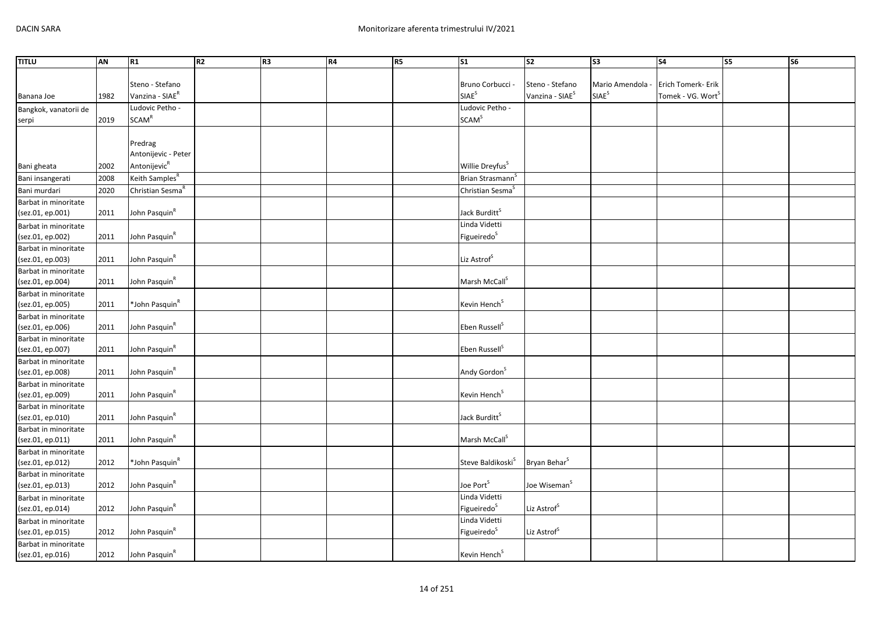| <b>TITLU</b>                             | AN   | R1                           | R <sub>2</sub> | R3 | R4 | R5 | $\overline{\text{S1}}$        | S <sub>2</sub>              | $\overline{\text{S3}}$ | S <sub>4</sub>                | <b>S5</b> | <b>S6</b> |
|------------------------------------------|------|------------------------------|----------------|----|----|----|-------------------------------|-----------------------------|------------------------|-------------------------------|-----------|-----------|
|                                          |      |                              |                |    |    |    |                               |                             |                        |                               |           |           |
|                                          |      | Steno - Stefano              |                |    |    |    | Bruno Corbucci                | Steno - Stefano             | Mario Amendola         | Erich Tomerk- Erik            |           |           |
| Banana Joe                               | 1982 | Vanzina - SIAE <sup>R</sup>  |                |    |    |    | SIAE <sup>S</sup>             | Vanzina - SIAE <sup>S</sup> | SIAE <sup>S</sup>      | Tomek - VG. Wort <sup>S</sup> |           |           |
| Bangkok, vanatorii de                    |      | Ludovic Petho -              |                |    |    |    | Ludovic Petho -               |                             |                        |                               |           |           |
| serpi                                    | 2019 | SCAM <sup>R</sup>            |                |    |    |    | SCAM <sup>S</sup>             |                             |                        |                               |           |           |
|                                          |      |                              |                |    |    |    |                               |                             |                        |                               |           |           |
|                                          |      | Predrag                      |                |    |    |    |                               |                             |                        |                               |           |           |
|                                          |      | Antonijevic - Peter          |                |    |    |    |                               |                             |                        |                               |           |           |
| Bani gheata                              | 2002 | Antonijevic <sup>R</sup>     |                |    |    |    | Willie Dreyfus <sup>S</sup>   |                             |                        |                               |           |           |
| Bani insangerati                         | 2008 | Keith Samples <sup>R</sup>   |                |    |    |    | Brian Strasmann <sup>5</sup>  |                             |                        |                               |           |           |
| Bani murdari                             | 2020 | Christian Sesma <sup>R</sup> |                |    |    |    | Christian Sesma <sup>S</sup>  |                             |                        |                               |           |           |
| Barbat in minoritate                     |      |                              |                |    |    |    |                               |                             |                        |                               |           |           |
| (sez.01, ep.001)                         | 2011 | John Pasquin <sup>R</sup>    |                |    |    |    | Jack Burditt <sup>S</sup>     |                             |                        |                               |           |           |
| Barbat in minoritate                     |      |                              |                |    |    |    | Linda Videtti                 |                             |                        |                               |           |           |
| (sez.01, ep.002)                         | 2011 | John Pasquin <sup>R</sup>    |                |    |    |    | Figueiredo <sup>S</sup>       |                             |                        |                               |           |           |
| Barbat in minoritate                     |      |                              |                |    |    |    |                               |                             |                        |                               |           |           |
| (sez.01, ep.003)                         | 2011 | John Pasquin <sup>R</sup>    |                |    |    |    | Liz Astrof <sup>S</sup>       |                             |                        |                               |           |           |
| Barbat in minoritate                     |      |                              |                |    |    |    |                               |                             |                        |                               |           |           |
| (sez.01, ep.004)                         | 2011 | John Pasquin <sup>R</sup>    |                |    |    |    | Marsh McCall <sup>S</sup>     |                             |                        |                               |           |           |
| Barbat in minoritate                     |      |                              |                |    |    |    |                               |                             |                        |                               |           |           |
| (sez.01, ep.005)                         | 2011 | *John Pasquin <sup>R</sup>   |                |    |    |    | Kevin Hench <sup>S</sup>      |                             |                        |                               |           |           |
| Barbat in minoritate                     |      |                              |                |    |    |    |                               |                             |                        |                               |           |           |
| (sez.01, ep.006)                         | 2011 | John Pasquin <sup>R</sup>    |                |    |    |    | Eben Russell <sup>S</sup>     |                             |                        |                               |           |           |
| Barbat in minoritate                     |      | John Pasquin <sup>R</sup>    |                |    |    |    | Eben Russell <sup>S</sup>     |                             |                        |                               |           |           |
| (sez.01, ep.007)<br>Barbat in minoritate | 2011 |                              |                |    |    |    |                               |                             |                        |                               |           |           |
| (sez.01, ep.008)                         | 2011 | John Pasquin <sup>R</sup>    |                |    |    |    | Andy Gordon <sup>S</sup>      |                             |                        |                               |           |           |
| Barbat in minoritate                     |      |                              |                |    |    |    |                               |                             |                        |                               |           |           |
| (sez.01, ep.009)                         | 2011 | John Pasquin <sup>R</sup>    |                |    |    |    | Kevin Hench <sup>S</sup>      |                             |                        |                               |           |           |
| Barbat in minoritate                     |      |                              |                |    |    |    |                               |                             |                        |                               |           |           |
| (sez.01, ep.010)                         | 2011 | John Pasquin <sup>R</sup>    |                |    |    |    | Jack Burditt <sup>S</sup>     |                             |                        |                               |           |           |
| Barbat in minoritate                     |      |                              |                |    |    |    |                               |                             |                        |                               |           |           |
| (sez.01, ep.011)                         | 2011 | John Pasquin <sup>R</sup>    |                |    |    |    | Marsh McCall <sup>S</sup>     |                             |                        |                               |           |           |
| Barbat in minoritate                     |      |                              |                |    |    |    |                               |                             |                        |                               |           |           |
| (sez.01, ep.012)                         | 2012 | *John Pasquin <sup>R</sup>   |                |    |    |    | Steve Baldikoski <sup>S</sup> | Bryan Behar <sup>S</sup>    |                        |                               |           |           |
| Barbat in minoritate                     |      |                              |                |    |    |    |                               |                             |                        |                               |           |           |
| (sez.01, ep.013)                         | 2012 | John Pasquin <sup>R</sup>    |                |    |    |    | Joe Port <sup>S</sup>         | Joe Wiseman <sup>S</sup>    |                        |                               |           |           |
| Barbat in minoritate                     |      |                              |                |    |    |    | Linda Videtti                 |                             |                        |                               |           |           |
| (sez.01, ep.014)                         | 2012 | John Pasquin <sup>R</sup>    |                |    |    |    | Figueiredo <sup>S</sup>       | Liz Astrof <sup>S</sup>     |                        |                               |           |           |
| Barbat in minoritate                     |      |                              |                |    |    |    | Linda Videtti                 |                             |                        |                               |           |           |
| (sez.01, ep.015)                         | 2012 | John Pasquin <sup>R</sup>    |                |    |    |    | Figueiredo <sup>S</sup>       | Liz Astrof <sup>S</sup>     |                        |                               |           |           |
| Barbat in minoritate                     |      |                              |                |    |    |    |                               |                             |                        |                               |           |           |
| (sez.01, ep.016)                         | 2012 | John Pasquin <sup>R</sup>    |                |    |    |    | Kevin Hench <sup>S</sup>      |                             |                        |                               |           |           |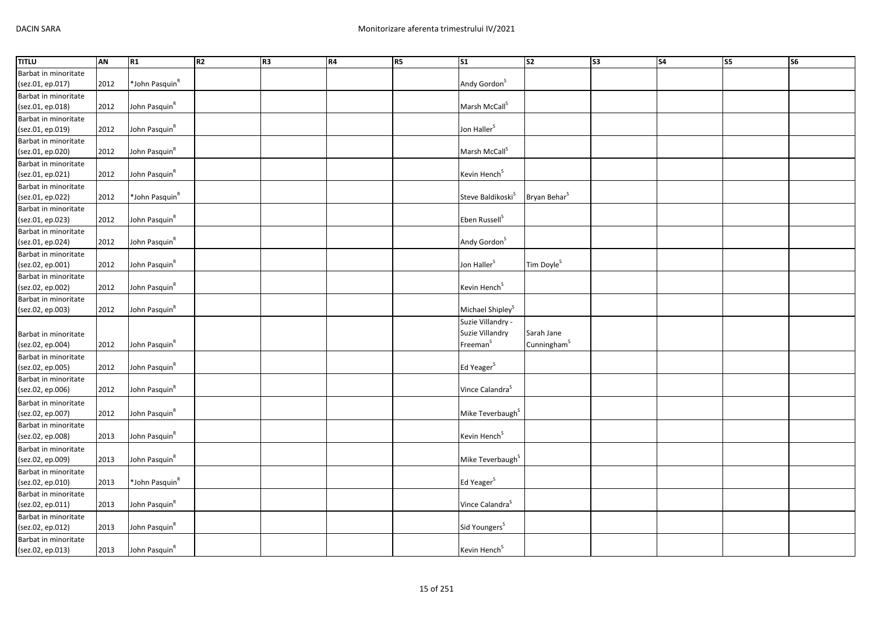| <b>TITLU</b>         | <b>AN</b> | R1                         | R <sub>2</sub> | R <sub>3</sub> | R4 | R5 | $\overline{\text{S1}}$        | s <sub>2</sub>           | S <sub>3</sub> | S4 | <b>S5</b> | $\overline{\text{S6}}$ |
|----------------------|-----------|----------------------------|----------------|----------------|----|----|-------------------------------|--------------------------|----------------|----|-----------|------------------------|
| Barbat in minoritate |           |                            |                |                |    |    |                               |                          |                |    |           |                        |
| (sez.01, ep.017)     | 2012      | *John Pasquin <sup>R</sup> |                |                |    |    | Andy Gordon <sup>S</sup>      |                          |                |    |           |                        |
| Barbat in minoritate |           |                            |                |                |    |    |                               |                          |                |    |           |                        |
| (sez.01, ep.018)     | 2012      | John Pasquin <sup>R</sup>  |                |                |    |    | Marsh McCall <sup>S</sup>     |                          |                |    |           |                        |
| Barbat in minoritate |           |                            |                |                |    |    |                               |                          |                |    |           |                        |
| (sez.01, ep.019)     | 2012      | John Pasquin <sup>R</sup>  |                |                |    |    | Jon Haller <sup>S</sup>       |                          |                |    |           |                        |
| Barbat in minoritate |           |                            |                |                |    |    |                               |                          |                |    |           |                        |
| (sez.01, ep.020)     | 2012      | John Pasquin <sup>R</sup>  |                |                |    |    | Marsh McCall <sup>S</sup>     |                          |                |    |           |                        |
| Barbat in minoritate |           |                            |                |                |    |    |                               |                          |                |    |           |                        |
| (sez.01, ep.021)     | 2012      | John Pasquin <sup>R</sup>  |                |                |    |    | Kevin Hench <sup>S</sup>      |                          |                |    |           |                        |
| Barbat in minoritate |           |                            |                |                |    |    |                               |                          |                |    |           |                        |
| (sez.01, ep.022)     | 2012      | *John Pasquin <sup>R</sup> |                |                |    |    | Steve Baldikoski <sup>S</sup> | Bryan Behar <sup>S</sup> |                |    |           |                        |
| Barbat in minoritate |           |                            |                |                |    |    |                               |                          |                |    |           |                        |
| (sez.01, ep.023)     | 2012      | John Pasquin <sup>R</sup>  |                |                |    |    | Eben Russell <sup>S</sup>     |                          |                |    |           |                        |
| Barbat in minoritate |           |                            |                |                |    |    |                               |                          |                |    |           |                        |
| (sez.01, ep.024)     | 2012      | John Pasquin <sup>R</sup>  |                |                |    |    | Andy Gordon <sup>S</sup>      |                          |                |    |           |                        |
| Barbat in minoritate |           |                            |                |                |    |    |                               |                          |                |    |           |                        |
| (sez.02, ep.001)     | 2012      | John Pasquin <sup>R</sup>  |                |                |    |    | Jon Haller <sup>S</sup>       | Tim Doyle <sup>S</sup>   |                |    |           |                        |
| Barbat in minoritate |           |                            |                |                |    |    |                               |                          |                |    |           |                        |
| (sez.02, ep.002)     | 2012      | John Pasquin <sup>R</sup>  |                |                |    |    | Kevin Hench <sup>S</sup>      |                          |                |    |           |                        |
| Barbat in minoritate |           |                            |                |                |    |    |                               |                          |                |    |           |                        |
| (sez.02, ep.003)     | 2012      | John Pasquin <sup>R</sup>  |                |                |    |    | Michael Shipley <sup>S</sup>  |                          |                |    |           |                        |
|                      |           |                            |                |                |    |    | Suzie Villandry -             |                          |                |    |           |                        |
| Barbat in minoritate |           |                            |                |                |    |    | Suzie Villandry               | Sarah Jane               |                |    |           |                        |
| (sez.02, ep.004)     | 2012      | John Pasquin <sup>R</sup>  |                |                |    |    | Freeman <sup>S</sup>          | Cunningham <sup>S</sup>  |                |    |           |                        |
| Barbat in minoritate |           |                            |                |                |    |    |                               |                          |                |    |           |                        |
| (sez.02, ep.005)     | 2012      | John Pasquin <sup>R</sup>  |                |                |    |    | Ed Yeager <sup>S</sup>        |                          |                |    |           |                        |
| Barbat in minoritate |           |                            |                |                |    |    |                               |                          |                |    |           |                        |
| (sez.02, ep.006)     | 2012      | John Pasquin <sup>R</sup>  |                |                |    |    | Vince Calandra <sup>S</sup>   |                          |                |    |           |                        |
| Barbat in minoritate |           |                            |                |                |    |    |                               |                          |                |    |           |                        |
| (sez.02, ep.007)     | 2012      | John Pasquin <sup>R</sup>  |                |                |    |    | Mike Teverbaugh <sup>S</sup>  |                          |                |    |           |                        |
| Barbat in minoritate |           |                            |                |                |    |    |                               |                          |                |    |           |                        |
| (sez.02, ep.008)     | 2013      | John Pasquin <sup>R</sup>  |                |                |    |    | Kevin Hench <sup>S</sup>      |                          |                |    |           |                        |
| Barbat in minoritate |           |                            |                |                |    |    |                               |                          |                |    |           |                        |
| (sez.02, ep.009)     | 2013      | John Pasquin <sup>R</sup>  |                |                |    |    | Mike Teverbaugh <sup>S</sup>  |                          |                |    |           |                        |
| Barbat in minoritate |           |                            |                |                |    |    |                               |                          |                |    |           |                        |
| (sez.02, ep.010)     | 2013      | *John Pasquin <sup>R</sup> |                |                |    |    | Ed Yeager <sup>S</sup>        |                          |                |    |           |                        |
| Barbat in minoritate |           |                            |                |                |    |    |                               |                          |                |    |           |                        |
| (sez.02, ep.011)     | 2013      | John Pasquin <sup>R</sup>  |                |                |    |    | Vince Calandra <sup>S</sup>   |                          |                |    |           |                        |
| Barbat in minoritate |           |                            |                |                |    |    |                               |                          |                |    |           |                        |
| (sez.02, ep.012)     | 2013      | John Pasquin <sup>R</sup>  |                |                |    |    | Sid Youngers <sup>S</sup>     |                          |                |    |           |                        |
| Barbat in minoritate |           |                            |                |                |    |    |                               |                          |                |    |           |                        |
| (sez.02, ep.013)     | 2013      | John Pasquin <sup>R</sup>  |                |                |    |    | Kevin Hench <sup>S</sup>      |                          |                |    |           |                        |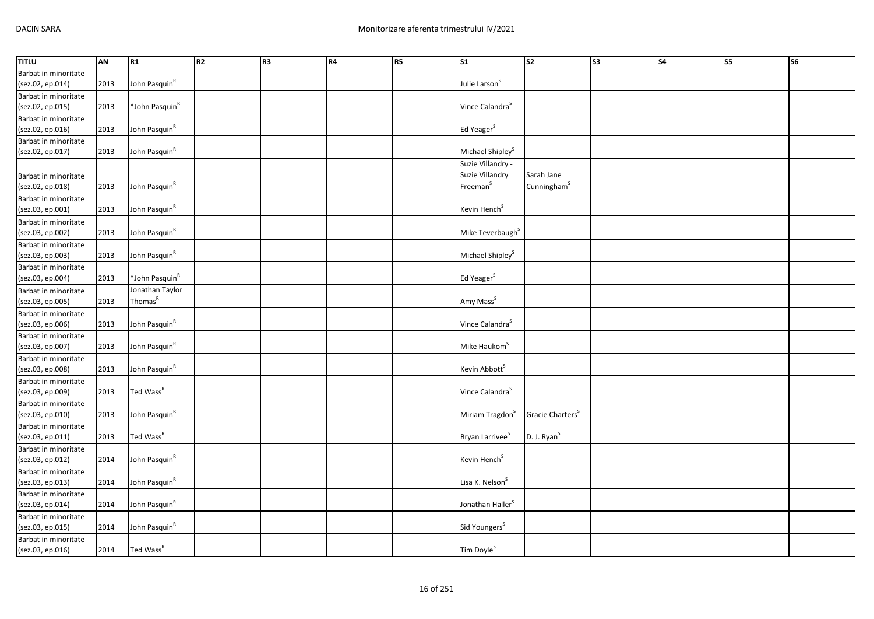| <b>TITLU</b>                             | AN   | R1                         | R2 | R <sub>3</sub> | <b>R4</b> | R5 | $\overline{\text{S1}}$       | s <sub>2</sub>               | S3 | S <sub>4</sub> | <b>S5</b> | $\overline{\text{S6}}$ |
|------------------------------------------|------|----------------------------|----|----------------|-----------|----|------------------------------|------------------------------|----|----------------|-----------|------------------------|
| Barbat in minoritate                     |      |                            |    |                |           |    |                              |                              |    |                |           |                        |
| (sez.02, ep.014)                         | 2013 | John Pasquin <sup>R</sup>  |    |                |           |    | Julie Larson <sup>S</sup>    |                              |    |                |           |                        |
| Barbat in minoritate                     |      |                            |    |                |           |    |                              |                              |    |                |           |                        |
| (sez.02, ep.015)                         | 2013 | *John Pasquin <sup>R</sup> |    |                |           |    | Vince Calandra <sup>S</sup>  |                              |    |                |           |                        |
| Barbat in minoritate                     |      |                            |    |                |           |    |                              |                              |    |                |           |                        |
| (sez.02, ep.016)                         | 2013 | John Pasquin <sup>R</sup>  |    |                |           |    | Ed Yeager <sup>S</sup>       |                              |    |                |           |                        |
| Barbat in minoritate                     |      |                            |    |                |           |    |                              |                              |    |                |           |                        |
| (sez.02, ep.017)                         | 2013 | John Pasquin <sup>R</sup>  |    |                |           |    | Michael Shipley <sup>S</sup> |                              |    |                |           |                        |
|                                          |      |                            |    |                |           |    | Suzie Villandry -            |                              |    |                |           |                        |
| Barbat in minoritate                     |      |                            |    |                |           |    | Suzie Villandry              | Sarah Jane                   |    |                |           |                        |
| (sez.02, ep.018)                         | 2013 | John Pasquin <sup>R</sup>  |    |                |           |    | Freeman <sup>S</sup>         | Cunningham <sup>S</sup>      |    |                |           |                        |
| Barbat in minoritate                     |      |                            |    |                |           |    |                              |                              |    |                |           |                        |
| (sez.03, ep.001)                         | 2013 | John Pasquin <sup>R</sup>  |    |                |           |    | Kevin Hench <sup>S</sup>     |                              |    |                |           |                        |
|                                          |      |                            |    |                |           |    |                              |                              |    |                |           |                        |
| Barbat in minoritate<br>(sez.03, ep.002) | 2013 | John Pasquin <sup>R</sup>  |    |                |           |    | Mike Teverbaugh <sup>S</sup> |                              |    |                |           |                        |
|                                          |      |                            |    |                |           |    |                              |                              |    |                |           |                        |
| Barbat in minoritate                     |      |                            |    |                |           |    |                              |                              |    |                |           |                        |
| (sez.03, ep.003)                         | 2013 | John Pasquin <sup>R</sup>  |    |                |           |    | Michael Shipley <sup>S</sup> |                              |    |                |           |                        |
| Barbat in minoritate                     |      |                            |    |                |           |    |                              |                              |    |                |           |                        |
| (sez.03, ep.004)                         | 2013 | *John Pasquin <sup>R</sup> |    |                |           |    | Ed Yeager <sup>S</sup>       |                              |    |                |           |                        |
| Barbat in minoritate                     |      | Jonathan Taylor            |    |                |           |    |                              |                              |    |                |           |                        |
| (sez.03, ep.005)                         | 2013 | Thomas <sup>R</sup>        |    |                |           |    | Amy Mass <sup>S</sup>        |                              |    |                |           |                        |
| Barbat in minoritate                     |      |                            |    |                |           |    |                              |                              |    |                |           |                        |
| (sez.03, ep.006)                         | 2013 | John Pasquin <sup>R</sup>  |    |                |           |    | Vince Calandra <sup>S</sup>  |                              |    |                |           |                        |
| Barbat in minoritate                     |      |                            |    |                |           |    |                              |                              |    |                |           |                        |
| (sez.03, ep.007)                         | 2013 | John Pasquin <sup>R</sup>  |    |                |           |    | Mike Haukom <sup>S</sup>     |                              |    |                |           |                        |
| Barbat in minoritate                     |      |                            |    |                |           |    |                              |                              |    |                |           |                        |
| (sez.03, ep.008)                         | 2013 | John Pasquin <sup>R</sup>  |    |                |           |    | Kevin Abbott <sup>S</sup>    |                              |    |                |           |                        |
| Barbat in minoritate                     |      |                            |    |                |           |    |                              |                              |    |                |           |                        |
| (sez.03, ep.009)                         | 2013 | Ted Wass <sup>R</sup>      |    |                |           |    | Vince Calandra <sup>S</sup>  |                              |    |                |           |                        |
| Barbat in minoritate                     |      |                            |    |                |           |    |                              |                              |    |                |           |                        |
| (sez.03, ep.010)                         | 2013 | John Pasquin <sup>R</sup>  |    |                |           |    | Miriam Tragdon <sup>S</sup>  | Gracie Charters <sup>S</sup> |    |                |           |                        |
| Barbat in minoritate                     |      |                            |    |                |           |    |                              |                              |    |                |           |                        |
| (sez.03, ep.011)                         | 2013 | Ted Wass <sup>R</sup>      |    |                |           |    | Bryan Larrivee <sup>S</sup>  | D. J. Ryan <sup>S</sup>      |    |                |           |                        |
| Barbat in minoritate                     |      |                            |    |                |           |    |                              |                              |    |                |           |                        |
| (sez.03, ep.012)                         | 2014 | John Pasquin <sup>R</sup>  |    |                |           |    | Kevin Hench <sup>S</sup>     |                              |    |                |           |                        |
| Barbat in minoritate                     |      |                            |    |                |           |    |                              |                              |    |                |           |                        |
| (sez.03, ep.013)                         | 2014 | John Pasquin <sup>R</sup>  |    |                |           |    | Lisa K. Nelson <sup>S</sup>  |                              |    |                |           |                        |
| Barbat in minoritate                     |      |                            |    |                |           |    |                              |                              |    |                |           |                        |
| (sez.03, ep.014)                         | 2014 | John Pasquin <sup>R</sup>  |    |                |           |    | Jonathan Haller <sup>S</sup> |                              |    |                |           |                        |
| Barbat in minoritate                     |      |                            |    |                |           |    |                              |                              |    |                |           |                        |
| (sez.03, ep.015)                         | 2014 | John Pasquin <sup>R</sup>  |    |                |           |    | Sid Youngers <sup>S</sup>    |                              |    |                |           |                        |
| Barbat in minoritate                     |      |                            |    |                |           |    |                              |                              |    |                |           |                        |
| (sez.03, ep.016)                         | 2014 | Ted Wass <sup>R</sup>      |    |                |           |    | Tim Doyle <sup>S</sup>       |                              |    |                |           |                        |
|                                          |      |                            |    |                |           |    |                              |                              |    |                |           |                        |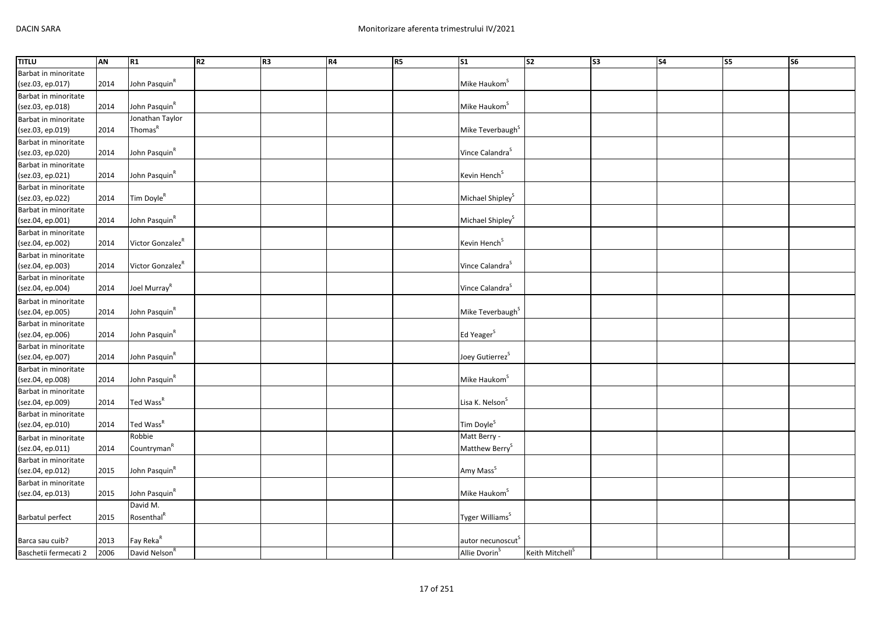| <b>TITLU</b>            | AN   | R1                           | R2 | R3 | <b>R4</b> | R5 | S <sub>1</sub>                | $\overline{\text{S2}}$      | S3 | $\overline{\phantom{a}}$ S4 | <b>S5</b> | <b>S6</b> |
|-------------------------|------|------------------------------|----|----|-----------|----|-------------------------------|-----------------------------|----|-----------------------------|-----------|-----------|
| Barbat in minoritate    |      |                              |    |    |           |    |                               |                             |    |                             |           |           |
| (sez.03, ep.017)        | 2014 | John Pasquin <sup>R</sup>    |    |    |           |    | Mike Haukom <sup>S</sup>      |                             |    |                             |           |           |
| Barbat in minoritate    |      |                              |    |    |           |    |                               |                             |    |                             |           |           |
| (sez.03, ep.018)        | 2014 | John Pasquin <sup>R</sup>    |    |    |           |    | Mike Haukom <sup>S</sup>      |                             |    |                             |           |           |
| Barbat in minoritate    |      | Jonathan Taylor              |    |    |           |    |                               |                             |    |                             |           |           |
| (sez.03, ep.019)        | 2014 | Thomas <sup>R</sup>          |    |    |           |    | Mike Teverbaugh <sup>S</sup>  |                             |    |                             |           |           |
| Barbat in minoritate    |      |                              |    |    |           |    |                               |                             |    |                             |           |           |
| (sez.03, ep.020)        | 2014 | John Pasquin <sup>R</sup>    |    |    |           |    | Vince Calandra <sup>S</sup>   |                             |    |                             |           |           |
| Barbat in minoritate    |      |                              |    |    |           |    |                               |                             |    |                             |           |           |
| (sez.03, ep.021)        | 2014 | John Pasquin <sup>R</sup>    |    |    |           |    | Kevin Hench <sup>S</sup>      |                             |    |                             |           |           |
| Barbat in minoritate    |      |                              |    |    |           |    |                               |                             |    |                             |           |           |
| (sez.03, ep.022)        | 2014 | Tim Doyle <sup>R</sup>       |    |    |           |    | Michael Shipley <sup>S</sup>  |                             |    |                             |           |           |
| Barbat in minoritate    |      |                              |    |    |           |    |                               |                             |    |                             |           |           |
| (sez.04, ep.001)        | 2014 | John Pasquin <sup>R</sup>    |    |    |           |    | Michael Shipley <sup>S</sup>  |                             |    |                             |           |           |
| Barbat in minoritate    |      |                              |    |    |           |    |                               |                             |    |                             |           |           |
| (sez.04, ep.002)        | 2014 | Victor Gonzalez <sup>R</sup> |    |    |           |    | Kevin Hench <sup>S</sup>      |                             |    |                             |           |           |
| Barbat in minoritate    |      |                              |    |    |           |    |                               |                             |    |                             |           |           |
| (sez.04, ep.003)        | 2014 | Victor Gonzalez <sup>R</sup> |    |    |           |    | Vince Calandra <sup>S</sup>   |                             |    |                             |           |           |
| Barbat in minoritate    |      |                              |    |    |           |    |                               |                             |    |                             |           |           |
| (sez.04, ep.004)        | 2014 | Joel Murray <sup>R</sup>     |    |    |           |    | Vince Calandra <sup>S</sup>   |                             |    |                             |           |           |
| Barbat in minoritate    |      |                              |    |    |           |    |                               |                             |    |                             |           |           |
| (sez.04, ep.005)        | 2014 | John Pasquin <sup>R</sup>    |    |    |           |    | Mike Teverbaugh <sup>S</sup>  |                             |    |                             |           |           |
| Barbat in minoritate    |      |                              |    |    |           |    |                               |                             |    |                             |           |           |
| (sez.04, ep.006)        | 2014 | John Pasquin <sup>R</sup>    |    |    |           |    | Ed Yeager <sup>S</sup>        |                             |    |                             |           |           |
| Barbat in minoritate    |      |                              |    |    |           |    |                               |                             |    |                             |           |           |
| (sez.04, ep.007)        | 2014 | John Pasquin <sup>R</sup>    |    |    |           |    | Joey Gutierrez <sup>S</sup>   |                             |    |                             |           |           |
| Barbat in minoritate    |      |                              |    |    |           |    |                               |                             |    |                             |           |           |
| (sez.04, ep.008)        | 2014 | John Pasquin <sup>R</sup>    |    |    |           |    | Mike Haukom <sup>S</sup>      |                             |    |                             |           |           |
| Barbat in minoritate    |      |                              |    |    |           |    |                               |                             |    |                             |           |           |
| (sez.04, ep.009)        | 2014 | Ted Wass <sup>R</sup>        |    |    |           |    | Lisa K. Nelson <sup>S</sup>   |                             |    |                             |           |           |
| Barbat in minoritate    |      |                              |    |    |           |    |                               |                             |    |                             |           |           |
| (sez.04, ep.010)        | 2014 | Ted Wass <sup>R</sup>        |    |    |           |    | Tim Doyle <sup>S</sup>        |                             |    |                             |           |           |
| Barbat in minoritate    |      | Robbie                       |    |    |           |    | Matt Berry -                  |                             |    |                             |           |           |
| (sez.04, ep.011)        | 2014 | Countryman <sup>R</sup>      |    |    |           |    | Matthew Berry <sup>S</sup>    |                             |    |                             |           |           |
| Barbat in minoritate    |      |                              |    |    |           |    |                               |                             |    |                             |           |           |
| (sez.04, ep.012)        | 2015 | John Pasquin <sup>R</sup>    |    |    |           |    | Amy Mass <sup>S</sup>         |                             |    |                             |           |           |
| Barbat in minoritate    |      |                              |    |    |           |    |                               |                             |    |                             |           |           |
| (sez.04, ep.013)        | 2015 | John Pasquin <sup>R</sup>    |    |    |           |    | Mike Haukom <sup>S</sup>      |                             |    |                             |           |           |
|                         |      | David M.                     |    |    |           |    |                               |                             |    |                             |           |           |
| <b>Barbatul perfect</b> | 2015 | Rosenthal <sup>R</sup>       |    |    |           |    | Tyger Williams <sup>S</sup>   |                             |    |                             |           |           |
|                         |      |                              |    |    |           |    |                               |                             |    |                             |           |           |
| Barca sau cuib?         | 2013 | Fay Reka <sup>R</sup>        |    |    |           |    | autor necunoscut <sup>S</sup> |                             |    |                             |           |           |
| Baschetii fermecati 2   | 2006 | David Nelson <sup>R</sup>    |    |    |           |    | Allie Dvorin <sup>5</sup>     | Keith Mitchell <sup>S</sup> |    |                             |           |           |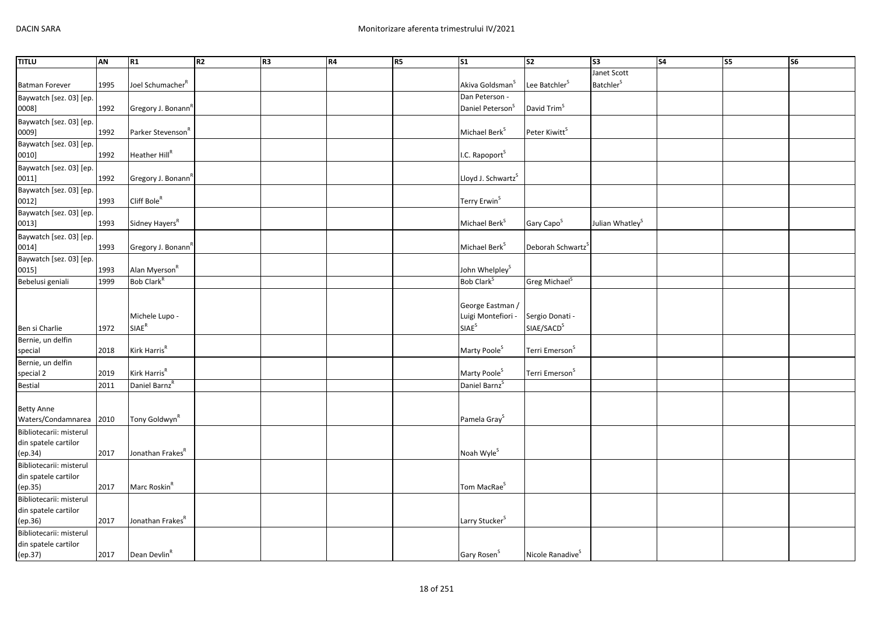| <b>TITLU</b>            | <b>AN</b> | R1                             | R2 | R <sub>3</sub> | <b>R4</b> | R5 | $\overline{\text{S1}}$         | s <sub>2</sub>                | S <sub>3</sub>               | $\overline{\text{S4}}$ | $\overline{\text{S5}}$ | <b>S6</b> |
|-------------------------|-----------|--------------------------------|----|----------------|-----------|----|--------------------------------|-------------------------------|------------------------------|------------------------|------------------------|-----------|
|                         |           |                                |    |                |           |    |                                |                               | Janet Scott                  |                        |                        |           |
| <b>Batman Forever</b>   | 1995      | Joel Schumacher <sup>R</sup>   |    |                |           |    | Akiva Goldsman <sup>S</sup>    | Lee Batchler <sup>S</sup>     | <b>Batchler</b> <sup>S</sup> |                        |                        |           |
| Baywatch [sez. 03] [ep. |           |                                |    |                |           |    | Dan Peterson -                 |                               |                              |                        |                        |           |
| 0008]                   | 1992      | Gregory J. Bonann <sup>R</sup> |    |                |           |    | Daniel Peterson <sup>S</sup>   | David Trim <sup>S</sup>       |                              |                        |                        |           |
| Baywatch [sez. 03] [ep. |           |                                |    |                |           |    |                                |                               |                              |                        |                        |           |
| 0009]                   | 1992      | Parker Stevenson <sup>R</sup>  |    |                |           |    | Michael Berk <sup>S</sup>      | Peter Kiwitt <sup>S</sup>     |                              |                        |                        |           |
| Baywatch [sez. 03] [ep. |           |                                |    |                |           |    |                                |                               |                              |                        |                        |           |
| 0010]                   | 1992      | Heather Hill <sup>R</sup>      |    |                |           |    | I.C. Rapoport <sup>S</sup>     |                               |                              |                        |                        |           |
| Baywatch [sez. 03] [ep. |           |                                |    |                |           |    |                                |                               |                              |                        |                        |           |
| 0011]                   | 1992      | Gregory J. Bonann <sup>R</sup> |    |                |           |    | Lloyd J. Schwartz <sup>S</sup> |                               |                              |                        |                        |           |
| Baywatch [sez. 03] [ep. |           |                                |    |                |           |    |                                |                               |                              |                        |                        |           |
| 0012]                   | 1993      | Cliff Bole <sup>R</sup>        |    |                |           |    | Terry Erwin <sup>S</sup>       |                               |                              |                        |                        |           |
| Baywatch [sez. 03] [ep. |           |                                |    |                |           |    |                                |                               |                              |                        |                        |           |
| 0013]                   | 1993      | Sidney Hayers <sup>R</sup>     |    |                |           |    | Michael Berk <sup>S</sup>      | Gary Capo <sup>S</sup>        | Julian Whatley <sup>S</sup>  |                        |                        |           |
| Baywatch [sez. 03] [ep. |           |                                |    |                |           |    |                                |                               |                              |                        |                        |           |
| 0014]                   | 1993      | Gregory J. Bonann <sup>R</sup> |    |                |           |    | Michael Berk <sup>S</sup>      | Deborah Schwartz <sup>5</sup> |                              |                        |                        |           |
| Baywatch [sez. 03] [ep. |           |                                |    |                |           |    |                                |                               |                              |                        |                        |           |
| 0015]                   | 1993      | Alan Myerson <sup>R</sup>      |    |                |           |    | John Whelpley <sup>S</sup>     |                               |                              |                        |                        |           |
| Bebelusi geniali        | 1999      | Bob Clark <sup>R</sup>         |    |                |           |    | Bob Clark <sup>S</sup>         | Greg Michael <sup>S</sup>     |                              |                        |                        |           |
|                         |           |                                |    |                |           |    |                                |                               |                              |                        |                        |           |
|                         |           |                                |    |                |           |    | George Eastman /               |                               |                              |                        |                        |           |
|                         |           | Michele Lupo -                 |    |                |           |    | Luigi Montefiori -             | Sergio Donati -               |                              |                        |                        |           |
| Ben si Charlie          | 1972      | SIAE <sup>R</sup>              |    |                |           |    | SIAE <sup>S</sup>              | SIAE/SACD <sup>S</sup>        |                              |                        |                        |           |
| Bernie, un delfin       |           |                                |    |                |           |    |                                |                               |                              |                        |                        |           |
| special                 | 2018      | Kirk Harris <sup>R</sup>       |    |                |           |    | Marty Poole <sup>S</sup>       | Terri Emerson <sup>S</sup>    |                              |                        |                        |           |
| Bernie, un delfin       |           |                                |    |                |           |    |                                |                               |                              |                        |                        |           |
| special 2               | 2019      | Kirk Harris <sup>R</sup>       |    |                |           |    | Marty Poole <sup>S</sup>       | Terri Emerson <sup>S</sup>    |                              |                        |                        |           |
| <b>Bestial</b>          | 2011      | Daniel Barnz <sup>R</sup>      |    |                |           |    | Daniel Barnz <sup>S</sup>      |                               |                              |                        |                        |           |
|                         |           |                                |    |                |           |    |                                |                               |                              |                        |                        |           |
| <b>Betty Anne</b>       |           |                                |    |                |           |    |                                |                               |                              |                        |                        |           |
| Waters/Condamnarea 2010 |           | Tony Goldwyn <sup>R</sup>      |    |                |           |    | Pamela Gray <sup>S</sup>       |                               |                              |                        |                        |           |
| Bibliotecarii: misterul |           |                                |    |                |           |    |                                |                               |                              |                        |                        |           |
| din spatele cartilor    |           |                                |    |                |           |    |                                |                               |                              |                        |                        |           |
| (ep.34)                 | 2017      | Jonathan Frakes <sup>R</sup>   |    |                |           |    | Noah Wyle <sup>S</sup>         |                               |                              |                        |                        |           |
| Bibliotecarii: misterul |           |                                |    |                |           |    |                                |                               |                              |                        |                        |           |
| din spatele cartilor    |           |                                |    |                |           |    |                                |                               |                              |                        |                        |           |
| (ep.35)                 | 2017      | Marc Roskin <sup>R</sup>       |    |                |           |    | Tom MacRae <sup>S</sup>        |                               |                              |                        |                        |           |
| Bibliotecarii: misterul |           |                                |    |                |           |    |                                |                               |                              |                        |                        |           |
| din spatele cartilor    |           |                                |    |                |           |    |                                |                               |                              |                        |                        |           |
| (ep.36)                 | 2017      | Jonathan Frakes <sup>K</sup>   |    |                |           |    | Larry Stucker <sup>S</sup>     |                               |                              |                        |                        |           |
| Bibliotecarii: misterul |           |                                |    |                |           |    |                                |                               |                              |                        |                        |           |
| din spatele cartilor    |           |                                |    |                |           |    |                                |                               |                              |                        |                        |           |
| (ep.37)                 | 2017      | Dean Devlin <sup>R</sup>       |    |                |           |    | Gary Rosen <sup>S</sup>        | Nicole Ranadive <sup>S</sup>  |                              |                        |                        |           |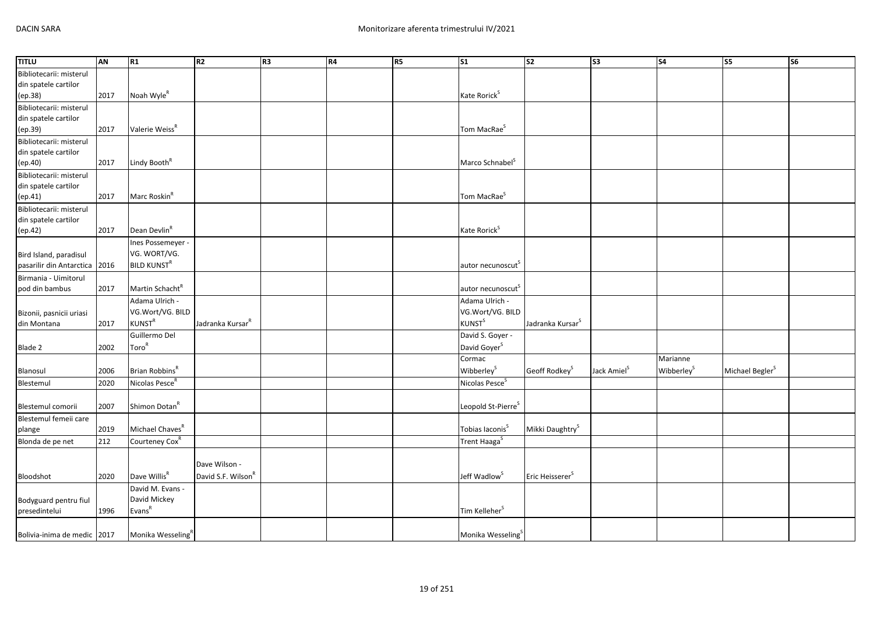| <b>TITLU</b>                                               | AN           | R1                                                                 | R <sub>2</sub>                                  | R <sub>3</sub> | R4 | <b>R5</b> | $\mathsf{S}1$                                                   | $\overline{\text{S2}}$       | S <sub>3</sub>          | S <sub>4</sub>                     | $\overline{\text{S}}$       | $\overline{\text{S6}}$ |
|------------------------------------------------------------|--------------|--------------------------------------------------------------------|-------------------------------------------------|----------------|----|-----------|-----------------------------------------------------------------|------------------------------|-------------------------|------------------------------------|-----------------------------|------------------------|
| Bibliotecarii: misterul<br>din spatele cartilor<br>(ep.38) | 2017         | Noah Wyle <sup>R</sup>                                             |                                                 |                |    |           | Kate Rorick <sup>S</sup>                                        |                              |                         |                                    |                             |                        |
| Bibliotecarii: misterul<br>din spatele cartilor<br>(ep.39) | 2017         | Valerie Weiss <sup>R</sup>                                         |                                                 |                |    |           | Tom MacRae <sup>S</sup>                                         |                              |                         |                                    |                             |                        |
| Bibliotecarii: misterul<br>din spatele cartilor<br>(ep.40) | 2017         | Lindy Booth <sup>R</sup>                                           |                                                 |                |    |           | Marco Schnabel <sup>S</sup>                                     |                              |                         |                                    |                             |                        |
| Bibliotecarii: misterul<br>din spatele cartilor<br>(ep.41) | 2017         | Marc Roskin <sup>R</sup>                                           |                                                 |                |    |           | Tom MacRae <sup>S</sup>                                         |                              |                         |                                    |                             |                        |
| Bibliotecarii: misterul<br>din spatele cartilor<br>(ep.42) | 2017         | Dean Devlin <sup>R</sup>                                           |                                                 |                |    |           | Kate Rorick <sup>S</sup>                                        |                              |                         |                                    |                             |                        |
| Bird Island, paradisul<br>pasarilir din Antarctica 2016    |              | Ines Possemeyer -<br>VG. WORT/VG.<br><b>BILD KUNST<sup>R</sup></b> |                                                 |                |    |           | autor necunoscut <sup>5</sup>                                   |                              |                         |                                    |                             |                        |
| Birmania - Uimitorul<br>pod din bambus                     | 2017         | Martin Schacht <sup>R</sup>                                        |                                                 |                |    |           | autor necunoscut <sup>s</sup>                                   |                              |                         |                                    |                             |                        |
| Bizonii, pasnicii uriasi<br>din Montana                    | 2017         | Adama Ulrich -<br>VG.Wort/VG. BILD<br>KUNST <sup>R</sup>           | Jadranka Kursar <sup>R</sup>                    |                |    |           | Adama Ulrich -<br>VG.Wort/VG. BILD<br><b>KUNST</b> <sup>S</sup> | Jadranka Kursar <sup>S</sup> |                         |                                    |                             |                        |
| Blade 2                                                    | 2002         | Guillermo Del<br>Toro <sup>R</sup>                                 |                                                 |                |    |           | David S. Goyer -<br>David Goyer <sup>S</sup>                    |                              |                         |                                    |                             |                        |
| Blanosul<br>Blestemul                                      | 2006<br>2020 | Brian Robbins <sup>R</sup><br>Nicolas Pesce <sup>R</sup>           |                                                 |                |    |           | Cormac<br>Wibberley <sup>S</sup><br>Nicolas Pesce <sup>S</sup>  | Geoff Rodkey <sup>S</sup>    | Jack Amiel <sup>S</sup> | Marianne<br>Wibberley <sup>S</sup> | Michael Begler <sup>S</sup> |                        |
| Blestemul comorii                                          | 2007         | Shimon Dotan <sup>R</sup>                                          |                                                 |                |    |           | Leopold St-Pierre <sup>S</sup>                                  |                              |                         |                                    |                             |                        |
| Blestemul femeii care<br>plange                            | 2019         | Michael Chaves <sup>R</sup>                                        |                                                 |                |    |           | Tobias Iaconis <sup>S</sup>                                     | Mikki Daughtry <sup>S</sup>  |                         |                                    |                             |                        |
| Blonda de pe net                                           | 212          | Courteney Cox <sup>R</sup>                                         |                                                 |                |    |           | Trent Haaga <sup>S</sup>                                        |                              |                         |                                    |                             |                        |
| Bloodshot                                                  | 2020         | Dave Willis <sup>R</sup>                                           | Dave Wilson -<br>David S.F. Wilson <sup>F</sup> |                |    |           | Jeff Wadlow <sup>S</sup>                                        | Eric Heisserer <sup>S</sup>  |                         |                                    |                             |                        |
| Bodyguard pentru fiul<br>presedintelui                     | 1996         | David M. Evans -<br>David Mickey<br>Evars <sup>R</sup>             |                                                 |                |    |           | Tim Kelleher <sup>S</sup>                                       |                              |                         |                                    |                             |                        |
| Bolivia-inima de medic 2017                                |              | Monika Wesseling <sup>R</sup>                                      |                                                 |                |    |           | Monika Wesseling <sup>S</sup>                                   |                              |                         |                                    |                             |                        |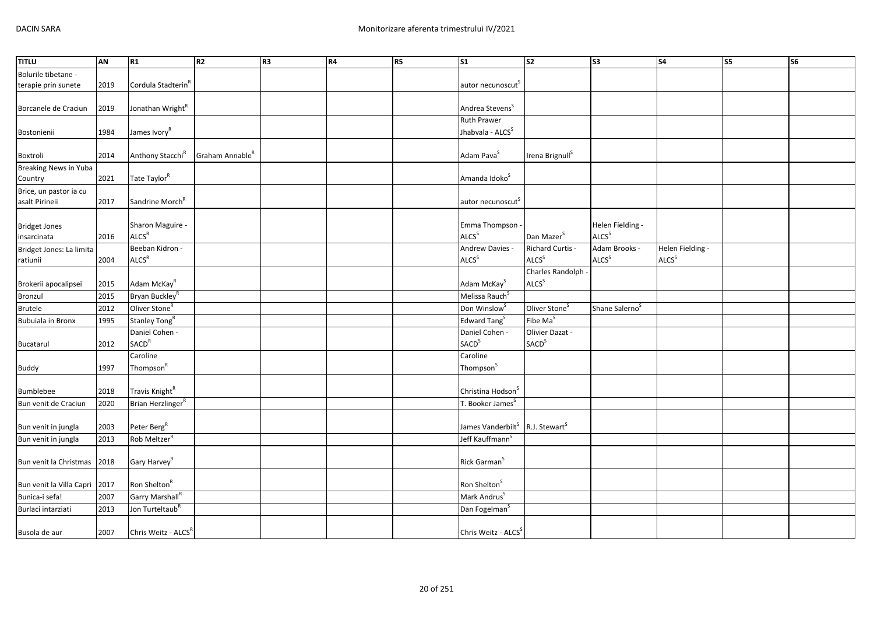| <b>TITLU</b>             | AN   | R1                             | R2                          | R <sub>3</sub> | <b>R4</b> | R <sub>5</sub> | <b>S1</b>                                               | S <sub>2</sub>              | S <sub>3</sub>             | <b>S4</b>         | S5 | S <sub>6</sub> |
|--------------------------|------|--------------------------------|-----------------------------|----------------|-----------|----------------|---------------------------------------------------------|-----------------------------|----------------------------|-------------------|----|----------------|
| Bolurile tibetane -      |      |                                |                             |                |           |                |                                                         |                             |                            |                   |    |                |
| terapie prin sunete      | 2019 | Cordula Stadterin <sup>8</sup> |                             |                |           |                | autor necunoscut <sup>5</sup>                           |                             |                            |                   |    |                |
|                          |      |                                |                             |                |           |                |                                                         |                             |                            |                   |    |                |
| Borcanele de Craciun     | 2019 | Jonathan Wright <sup>R</sup>   |                             |                |           |                | Andrea Stevens <sup>S</sup>                             |                             |                            |                   |    |                |
|                          |      |                                |                             |                |           |                | <b>Ruth Prawer</b>                                      |                             |                            |                   |    |                |
| Bostonienii              | 1984 | James Ivory <sup>R</sup>       |                             |                |           |                | Jhabvala - ALCS <sup>S</sup>                            |                             |                            |                   |    |                |
|                          |      |                                |                             |                |           |                |                                                         |                             |                            |                   |    |                |
| Boxtroli                 | 2014 | Anthony Stacchi <sup>R</sup>   | Graham Annable <sup>R</sup> |                |           |                | Adam Pava <sup>S</sup>                                  | Irena Brignull <sup>S</sup> |                            |                   |    |                |
| Breaking News in Yuba    |      |                                |                             |                |           |                |                                                         |                             |                            |                   |    |                |
| Country                  | 2021 | Tate Taylor <sup>R</sup>       |                             |                |           |                | Amanda Idoko <sup>S</sup>                               |                             |                            |                   |    |                |
| Brice, un pastor ia cu   |      |                                |                             |                |           |                |                                                         |                             |                            |                   |    |                |
| asalt Pirineii           | 2017 | Sandrine Morch <sup>R</sup>    |                             |                |           |                | autor necunoscut <sup>5</sup>                           |                             |                            |                   |    |                |
|                          |      |                                |                             |                |           |                |                                                         |                             |                            |                   |    |                |
| <b>Bridget Jones</b>     |      | Sharon Maguire -               |                             |                |           |                | Emma Thompson ·                                         |                             | Helen Fielding -           |                   |    |                |
| insarcinata              | 2016 | <b>ALCS<sup>R</sup></b>        |                             |                |           |                | <b>ALCS</b> <sup>S</sup>                                | Dan Mazer <sup>S</sup>      | <b>ALCS</b> <sup>S</sup>   |                   |    |                |
| Bridget Jones: La limita |      | Beeban Kidron -                |                             |                |           |                | Andrew Davies -                                         | Richard Curtis -            | Adam Brooks -              | Helen Fielding -  |    |                |
| ratiunii                 | 2004 | ALCS <sup>R</sup>              |                             |                |           |                | ALCS <sup>S</sup>                                       | ALCS <sup>S</sup>           | ALCS <sup>S</sup>          | ALCS <sup>S</sup> |    |                |
|                          |      |                                |                             |                |           |                |                                                         | Charles Randolph -          |                            |                   |    |                |
| Brokerii apocalipsei     | 2015 | Adam McKay <sup>R</sup>        |                             |                |           |                | Adam McKay <sup>S</sup>                                 | ALCS <sup>S</sup>           |                            |                   |    |                |
| Bronzul                  | 2015 | Bryan Buckley <sup>R</sup>     |                             |                |           |                | Melissa Rauch <sup>S</sup>                              |                             |                            |                   |    |                |
| <b>Brutele</b>           | 2012 | Oliver Stone <sup>R</sup>      |                             |                |           |                | Don Winslow <sup>S</sup>                                | Oliver Stone <sup>5</sup>   | Shane Salerno <sup>S</sup> |                   |    |                |
| Bubuiala in Bronx        | 1995 | Stanley Tong <sup>R</sup>      |                             |                |           |                | Edward Tang <sup>S</sup>                                | Fibe Ma <sup>S</sup>        |                            |                   |    |                |
|                          |      | Daniel Cohen -                 |                             |                |           |                | Daniel Cohen -                                          | Olivier Dazat -             |                            |                   |    |                |
| Bucatarul                | 2012 | <b>SACD<sup>R</sup></b>        |                             |                |           |                | <b>SACD</b> <sup>S</sup>                                | <b>SACD</b> <sup>S</sup>    |                            |                   |    |                |
|                          |      | Caroline                       |                             |                |           |                | Caroline                                                |                             |                            |                   |    |                |
| Buddy                    | 1997 | Thompson <sup>R</sup>          |                             |                |           |                | Thompson <sup>S</sup>                                   |                             |                            |                   |    |                |
|                          |      |                                |                             |                |           |                |                                                         |                             |                            |                   |    |                |
| Bumblebee                | 2018 | Travis Knight <sup>R</sup>     |                             |                |           |                | Christina Hodson <sup>S</sup>                           |                             |                            |                   |    |                |
| Bun venit de Craciun     | 2020 | Brian Herzlinger <sup>R</sup>  |                             |                |           |                | T. Booker James <sup>S</sup>                            |                             |                            |                   |    |                |
|                          |      |                                |                             |                |           |                |                                                         |                             |                            |                   |    |                |
| Bun venit in jungla      | 2003 | Peter Berg <sup>R</sup>        |                             |                |           |                | James Vanderbilt <sup>S</sup> R.J. Stewart <sup>S</sup> |                             |                            |                   |    |                |
| Bun venit in jungla      | 2013 | Rob Meltzer <sup>R</sup>       |                             |                |           |                | Jeff Kauffmann <sup>S</sup>                             |                             |                            |                   |    |                |
|                          |      |                                |                             |                |           |                |                                                         |                             |                            |                   |    |                |
| Bun venit la Christmas   | 2018 | Gary Harvey <sup>R</sup>       |                             |                |           |                | Rick Garman <sup>S</sup>                                |                             |                            |                   |    |                |
| Bun venit la Villa Capri | 2017 | Ron Shelton <sup>R</sup>       |                             |                |           |                | Ron Shelton <sup>S</sup>                                |                             |                            |                   |    |                |
| Bunica-i sefa!           | 2007 | Garry Marshall <sup>R</sup>    |                             |                |           |                | Mark Andrus <sup>S</sup>                                |                             |                            |                   |    |                |
| Burlaci intarziati       | 2013 | Jon Turteltaub <sup>R</sup>    |                             |                |           |                | Dan Fogelman <sup>S</sup>                               |                             |                            |                   |    |                |
|                          |      |                                |                             |                |           |                |                                                         |                             |                            |                   |    |                |
| Busola de aur            | 2007 | Chris Weitz - ALCSR            |                             |                |           |                | Chris Weitz - ALCS <sup>S</sup>                         |                             |                            |                   |    |                |
|                          |      |                                |                             |                |           |                |                                                         |                             |                            |                   |    |                |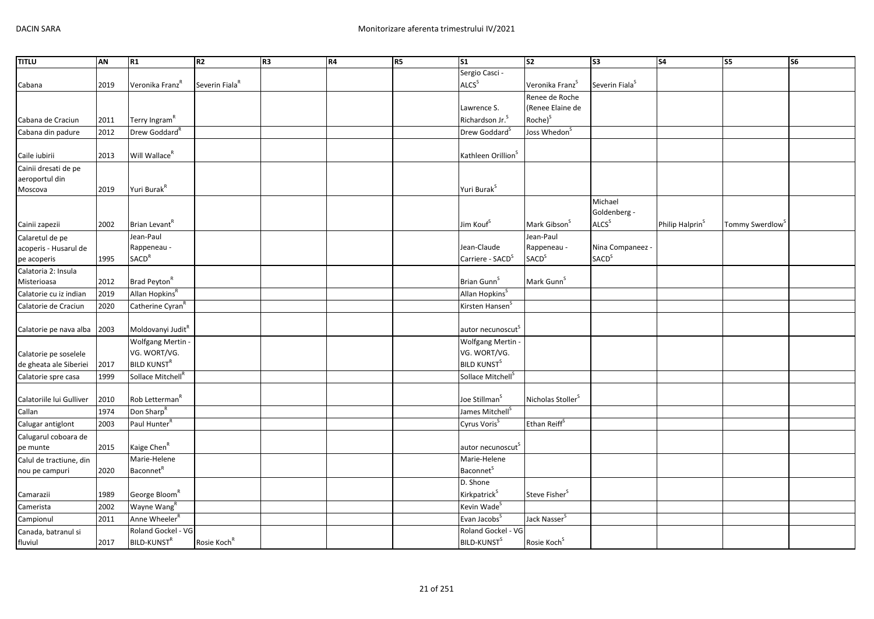| <b>TITLU</b>                                            | AN   | R1                                                  | R2                         | R3 | <b>R4</b> | R <sub>5</sub> | $\overline{\text{S1}}$                      | $\overline{\text{S2}}$                               | $\overline{\text{S3}}$                       | S <sub>4</sub>              | S5                          | $\overline{\text{S6}}$ |
|---------------------------------------------------------|------|-----------------------------------------------------|----------------------------|----|-----------|----------------|---------------------------------------------|------------------------------------------------------|----------------------------------------------|-----------------------------|-----------------------------|------------------------|
|                                                         |      |                                                     |                            |    |           |                | Sergio Casci -                              |                                                      |                                              |                             |                             |                        |
| Cabana                                                  | 2019 | Veronika Franz <sup>R</sup>                         | Severin Fiala <sup>R</sup> |    |           |                | ALCS <sup>S</sup>                           | Veronika Franz <sup>5</sup>                          | Severin Fiala <sup>S</sup>                   |                             |                             |                        |
|                                                         |      |                                                     |                            |    |           |                |                                             | Renee de Roche                                       |                                              |                             |                             |                        |
|                                                         |      |                                                     |                            |    |           |                | Lawrence S.                                 | (Renee Elaine de                                     |                                              |                             |                             |                        |
| Cabana de Craciun                                       | 2011 | Terry Ingram <sup>R</sup>                           |                            |    |           |                | Richardson Jr. <sup>5</sup>                 | Roche) <sup>S</sup>                                  |                                              |                             |                             |                        |
| Cabana din padure                                       | 2012 | Drew Goddard <sup>R</sup>                           |                            |    |           |                | Drew Goddard <sup>S</sup>                   | Joss Whedon <sup>S</sup>                             |                                              |                             |                             |                        |
| Caile iubirii                                           | 2013 | Will Wallace <sup>R</sup>                           |                            |    |           |                | Kathleen Orillion <sup>S</sup>              |                                                      |                                              |                             |                             |                        |
| Cainii dresati de pe<br>aeroportul din                  |      |                                                     |                            |    |           |                |                                             |                                                      |                                              |                             |                             |                        |
| Moscova                                                 | 2019 | Yuri Burak <sup>R</sup>                             |                            |    |           |                | Yuri Burak <sup>S</sup>                     |                                                      |                                              |                             |                             |                        |
|                                                         |      |                                                     |                            |    |           |                |                                             |                                                      | Michael<br>Goldenberg -                      |                             |                             |                        |
| Cainii zapezii                                          | 2002 | Brian Levant <sup>R</sup>                           |                            |    |           |                | Jim Kouf <sup>S</sup>                       | Mark Gibson <sup>S</sup>                             | <b>ALCS</b> <sup>S</sup>                     | Philip Halprin <sup>S</sup> | Tommy Swerdlow <sup>S</sup> |                        |
| Calaretul de pe<br>acoperis - Husarul de<br>pe acoperis | 1995 | Jean-Paul<br>Rappeneau -<br><b>SACD<sup>R</sup></b> |                            |    |           |                | Jean-Claude<br>Carriere - SACD <sup>S</sup> | Jean-Paul<br>Rappeneau -<br><b>SACD</b> <sup>S</sup> | Nina Companeez -<br><b>SACD</b> <sup>S</sup> |                             |                             |                        |
| Calatoria 2: Insula                                     |      |                                                     |                            |    |           |                |                                             |                                                      |                                              |                             |                             |                        |
| Misterioasa                                             | 2012 | Brad Peyton <sup>R</sup>                            |                            |    |           |                | Brian Gunn <sup>S</sup>                     | Mark Gunn <sup>S</sup>                               |                                              |                             |                             |                        |
| Calatorie cu iz indian                                  | 2019 | Allan Hopkins <sup>R</sup>                          |                            |    |           |                | Allan Hopkins <sup>S</sup>                  |                                                      |                                              |                             |                             |                        |
| Calatorie de Craciun                                    | 2020 | Catherine Cyran <sup>n</sup>                        |                            |    |           |                | Kirsten Hansen <sup>S</sup>                 |                                                      |                                              |                             |                             |                        |
| Calatorie pe nava alba                                  | 2003 | Moldovanyi Judit <sup>R</sup>                       |                            |    |           |                | autor necunoscut <sup>5</sup>               |                                                      |                                              |                             |                             |                        |
|                                                         |      | <b>Wolfgang Mertin</b>                              |                            |    |           |                | <b>Wolfgang Mertin</b>                      |                                                      |                                              |                             |                             |                        |
| Calatorie pe soselele                                   |      | VG. WORT/VG.                                        |                            |    |           |                | VG. WORT/VG.                                |                                                      |                                              |                             |                             |                        |
| de gheata ale Siberiei                                  | 2017 | <b>BILD KUNST<sup>R</sup></b>                       |                            |    |           |                | <b>BILD KUNST</b> <sup>S</sup>              |                                                      |                                              |                             |                             |                        |
| Calatorie spre casa                                     | 1999 | Sollace Mitchell <sup>R</sup>                       |                            |    |           |                | Sollace Mitchell <sup>S</sup>               |                                                      |                                              |                             |                             |                        |
| Calatoriile lui Gulliver                                | 2010 | Rob Letterman <sup>k</sup>                          |                            |    |           |                | Joe Stillman <sup>S</sup>                   | Nicholas Stoller <sup>S</sup>                        |                                              |                             |                             |                        |
| Callan                                                  | 1974 | Don Sharp <sup>R</sup>                              |                            |    |           |                | James Mitchell <sup>S</sup>                 |                                                      |                                              |                             |                             |                        |
| Calugar antiglont                                       | 2003 | Paul Hunter <sup>R</sup>                            |                            |    |           |                | Cyrus Voris <sup>S</sup>                    | Ethan Reiff <sup>S</sup>                             |                                              |                             |                             |                        |
| Calugarul coboara de                                    |      |                                                     |                            |    |           |                |                                             |                                                      |                                              |                             |                             |                        |
| pe munte                                                | 2015 | Kaige Chen <sup>R</sup>                             |                            |    |           |                | autor necunoscut <sup>s</sup>               |                                                      |                                              |                             |                             |                        |
| Calul de tractiune, din                                 |      | Marie-Helene                                        |                            |    |           |                | Marie-Helene                                |                                                      |                                              |                             |                             |                        |
| nou pe campuri                                          | 2020 | <b>Baconnet</b> <sup>R</sup>                        |                            |    |           |                | <b>Baconnet</b> <sup>S</sup>                |                                                      |                                              |                             |                             |                        |
|                                                         |      |                                                     |                            |    |           |                | D. Shone                                    |                                                      |                                              |                             |                             |                        |
| Camarazii                                               | 1989 | George Bloom <sup>"</sup>                           |                            |    |           |                | Kirkpatrick <sup>S</sup>                    | Steve Fisher <sup>S</sup>                            |                                              |                             |                             |                        |
| Camerista                                               | 2002 | Wayne Wang                                          |                            |    |           |                | Kevin Wade <sup>5</sup>                     |                                                      |                                              |                             |                             |                        |
| Campionul                                               | 2011 | Anne Wheeler <sup>R</sup>                           |                            |    |           |                | Evan Jacobs <sup>S</sup>                    | Jack Nasser <sup>5</sup>                             |                                              |                             |                             |                        |
| Canada, batranul si                                     |      | Roland Gockel - VG                                  |                            |    |           |                | Roland Gockel - VG                          |                                                      |                                              |                             |                             |                        |
| fluviul                                                 | 2017 | <b>BILD-KUNST<sup>R</sup></b>                       | Rosie Koch <sup>R</sup>    |    |           |                | BILD-KUNST <sup>S</sup>                     | Rosie Koch <sup>S</sup>                              |                                              |                             |                             |                        |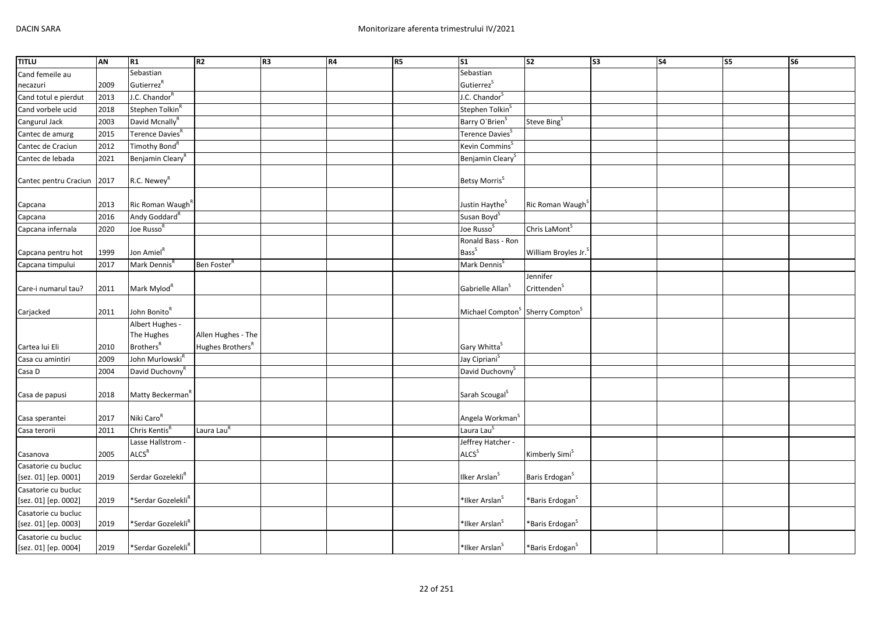| Sebastian<br>Sebastian<br>Cand femeile au<br>Gutierrez <sup>R</sup><br>Gutierrez <sup>S</sup><br>2009<br>necazuri<br>J.C. Chandor <sup>R</sup><br>J.C. Chandor <sup>S</sup><br>Cand totul e pierdut<br>2013<br>Stephen Tolkin <sup>S</sup><br>Cand vorbele ucid<br>2018<br>Stephen Tolkin <sup>R</sup><br>David Mcnally <sup>R</sup><br>Cangurul Jack<br>2003<br>Barry O'Brien <sup>5</sup><br>Steve Bing <sup>S</sup><br>Terence Davies <sup>R</sup><br>2015<br>Terence Davies <sup>S</sup><br>Cantec de amurg<br>Kevin Commins <sup>S</sup><br>2012<br>Timothy Bond <sup>R</sup><br>Cantec de Craciun<br>Benjamin Cleary <sup>R</sup><br>Benjamin Cleary <sup>S</sup><br>Cantec de lebada<br>2021<br>R.C. Newey <sup>R</sup><br>Betsy Morris <sup>S</sup><br>2017<br>Cantec pentru Craciun | <b>TITLU</b> | AN | R1 | R <sub>2</sub> | R <sub>3</sub> | R4 | R5 | S <sub>1</sub> | s <sub>2</sub> | S3 | <b>S4</b> | s <sub>5</sub> | S <sub>6</sub> |
|----------------------------------------------------------------------------------------------------------------------------------------------------------------------------------------------------------------------------------------------------------------------------------------------------------------------------------------------------------------------------------------------------------------------------------------------------------------------------------------------------------------------------------------------------------------------------------------------------------------------------------------------------------------------------------------------------------------------------------------------------------------------------------------------|--------------|----|----|----------------|----------------|----|----|----------------|----------------|----|-----------|----------------|----------------|
|                                                                                                                                                                                                                                                                                                                                                                                                                                                                                                                                                                                                                                                                                                                                                                                              |              |    |    |                |                |    |    |                |                |    |           |                |                |
|                                                                                                                                                                                                                                                                                                                                                                                                                                                                                                                                                                                                                                                                                                                                                                                              |              |    |    |                |                |    |    |                |                |    |           |                |                |
|                                                                                                                                                                                                                                                                                                                                                                                                                                                                                                                                                                                                                                                                                                                                                                                              |              |    |    |                |                |    |    |                |                |    |           |                |                |
|                                                                                                                                                                                                                                                                                                                                                                                                                                                                                                                                                                                                                                                                                                                                                                                              |              |    |    |                |                |    |    |                |                |    |           |                |                |
|                                                                                                                                                                                                                                                                                                                                                                                                                                                                                                                                                                                                                                                                                                                                                                                              |              |    |    |                |                |    |    |                |                |    |           |                |                |
|                                                                                                                                                                                                                                                                                                                                                                                                                                                                                                                                                                                                                                                                                                                                                                                              |              |    |    |                |                |    |    |                |                |    |           |                |                |
|                                                                                                                                                                                                                                                                                                                                                                                                                                                                                                                                                                                                                                                                                                                                                                                              |              |    |    |                |                |    |    |                |                |    |           |                |                |
|                                                                                                                                                                                                                                                                                                                                                                                                                                                                                                                                                                                                                                                                                                                                                                                              |              |    |    |                |                |    |    |                |                |    |           |                |                |
|                                                                                                                                                                                                                                                                                                                                                                                                                                                                                                                                                                                                                                                                                                                                                                                              |              |    |    |                |                |    |    |                |                |    |           |                |                |
|                                                                                                                                                                                                                                                                                                                                                                                                                                                                                                                                                                                                                                                                                                                                                                                              |              |    |    |                |                |    |    |                |                |    |           |                |                |
| 2013<br>Ric Roman Waugh <sup>K</sup><br>Justin Haythe <sup>S</sup><br>Ric Roman Waugh <sup>S</sup><br>Capcana                                                                                                                                                                                                                                                                                                                                                                                                                                                                                                                                                                                                                                                                                |              |    |    |                |                |    |    |                |                |    |           |                |                |
| Andy Goddard <sup>R</sup><br>2016<br>Susan Boyd <sup>S</sup><br>Capcana                                                                                                                                                                                                                                                                                                                                                                                                                                                                                                                                                                                                                                                                                                                      |              |    |    |                |                |    |    |                |                |    |           |                |                |
| Joe Russo <sup>F</sup><br>Joe Russo <sup>S</sup><br>Chris LaMont <sup>S</sup><br>2020<br>Capcana infernala                                                                                                                                                                                                                                                                                                                                                                                                                                                                                                                                                                                                                                                                                   |              |    |    |                |                |    |    |                |                |    |           |                |                |
| Ronald Bass - Ron                                                                                                                                                                                                                                                                                                                                                                                                                                                                                                                                                                                                                                                                                                                                                                            |              |    |    |                |                |    |    |                |                |    |           |                |                |
| <b>Bass</b> <sup>S</sup><br>Jon Amiel <sup>R</sup><br>1999<br>William Broyles Jr.<br>Capcana pentru hot                                                                                                                                                                                                                                                                                                                                                                                                                                                                                                                                                                                                                                                                                      |              |    |    |                |                |    |    |                |                |    |           |                |                |
| Mark Dennis <sup>S</sup><br>Mark Dennis <sup>R</sup><br>2017<br>Ben Foster <sup>K</sup><br>Capcana timpului                                                                                                                                                                                                                                                                                                                                                                                                                                                                                                                                                                                                                                                                                  |              |    |    |                |                |    |    |                |                |    |           |                |                |
| Jennifer                                                                                                                                                                                                                                                                                                                                                                                                                                                                                                                                                                                                                                                                                                                                                                                     |              |    |    |                |                |    |    |                |                |    |           |                |                |
| Crittenden <sup>S</sup><br>Mark Mylod <sup>R</sup><br>Gabrielle Allan <sup>5</sup><br>2011<br>Care-i numarul tau?                                                                                                                                                                                                                                                                                                                                                                                                                                                                                                                                                                                                                                                                            |              |    |    |                |                |    |    |                |                |    |           |                |                |
| John Bonito <sup>R</sup><br>Michael Compton <sup>S</sup> Sherry Compton <sup>S</sup><br>Carjacked<br>2011                                                                                                                                                                                                                                                                                                                                                                                                                                                                                                                                                                                                                                                                                    |              |    |    |                |                |    |    |                |                |    |           |                |                |
| Albert Hughes -                                                                                                                                                                                                                                                                                                                                                                                                                                                                                                                                                                                                                                                                                                                                                                              |              |    |    |                |                |    |    |                |                |    |           |                |                |
| The Hughes<br>Allen Hughes - The                                                                                                                                                                                                                                                                                                                                                                                                                                                                                                                                                                                                                                                                                                                                                             |              |    |    |                |                |    |    |                |                |    |           |                |                |
| <b>Brothers</b> <sup>R</sup><br>Hughes Brothers <sup>R</sup><br>Gary Whitta <sup>S</sup><br>Cartea lui Eli<br>2010                                                                                                                                                                                                                                                                                                                                                                                                                                                                                                                                                                                                                                                                           |              |    |    |                |                |    |    |                |                |    |           |                |                |
| John Murlowski <sup>R</sup><br>Jay Cipriani <sup>S</sup><br>Casa cu amintiri<br>2009                                                                                                                                                                                                                                                                                                                                                                                                                                                                                                                                                                                                                                                                                                         |              |    |    |                |                |    |    |                |                |    |           |                |                |
| Casa D<br>David Duchovny <sup>R</sup><br>David Duchovny <sup>S</sup><br>2004                                                                                                                                                                                                                                                                                                                                                                                                                                                                                                                                                                                                                                                                                                                 |              |    |    |                |                |    |    |                |                |    |           |                |                |
| Sarah Scougal <sup>S</sup><br>Matty Beckerman <sup>f</sup><br>2018<br>Casa de papusi                                                                                                                                                                                                                                                                                                                                                                                                                                                                                                                                                                                                                                                                                                         |              |    |    |                |                |    |    |                |                |    |           |                |                |
| Niki Caro <sup>R</sup><br>Angela Workman <sup>S</sup><br>2017<br>Casa sperantei                                                                                                                                                                                                                                                                                                                                                                                                                                                                                                                                                                                                                                                                                                              |              |    |    |                |                |    |    |                |                |    |           |                |                |
| Chris Kentis <sup>R</sup><br>Laura Lau <sup>R</sup><br>Laura Lau <sup>S</sup><br>2011<br>Casa terorii                                                                                                                                                                                                                                                                                                                                                                                                                                                                                                                                                                                                                                                                                        |              |    |    |                |                |    |    |                |                |    |           |                |                |
| Lasse Hallstrom -<br>Jeffrey Hatcher -                                                                                                                                                                                                                                                                                                                                                                                                                                                                                                                                                                                                                                                                                                                                                       |              |    |    |                |                |    |    |                |                |    |           |                |                |
| ALCS <sup>R</sup><br>ALCS <sup>S</sup><br>Kimberly Simi <sup>S</sup><br>2005<br>Casanova                                                                                                                                                                                                                                                                                                                                                                                                                                                                                                                                                                                                                                                                                                     |              |    |    |                |                |    |    |                |                |    |           |                |                |
| Casatorie cu bucluc                                                                                                                                                                                                                                                                                                                                                                                                                                                                                                                                                                                                                                                                                                                                                                          |              |    |    |                |                |    |    |                |                |    |           |                |                |
| Serdar Gozelekli <sup>R</sup><br>Ilker Arslan <sup>S</sup><br>Baris Erdogan <sup>S</sup><br>[sez. 01] [ep. 0001]<br>2019                                                                                                                                                                                                                                                                                                                                                                                                                                                                                                                                                                                                                                                                     |              |    |    |                |                |    |    |                |                |    |           |                |                |
| Casatorie cu bucluc                                                                                                                                                                                                                                                                                                                                                                                                                                                                                                                                                                                                                                                                                                                                                                          |              |    |    |                |                |    |    |                |                |    |           |                |                |
| *Serdar Gozelekli <sup>R</sup><br>*Ilker Arslan <sup>S</sup><br>*Baris Erdogan <sup>S</sup><br>[sez. 01] [ep. 0002]<br>2019                                                                                                                                                                                                                                                                                                                                                                                                                                                                                                                                                                                                                                                                  |              |    |    |                |                |    |    |                |                |    |           |                |                |
| Casatorie cu bucluc                                                                                                                                                                                                                                                                                                                                                                                                                                                                                                                                                                                                                                                                                                                                                                          |              |    |    |                |                |    |    |                |                |    |           |                |                |
| *Serdar Gozelekli <sup>R</sup><br>*Ilker Arslan <sup>S</sup><br>[sez. 01] [ep. 0003]<br>2019<br>*Baris Erdogan <sup>S</sup>                                                                                                                                                                                                                                                                                                                                                                                                                                                                                                                                                                                                                                                                  |              |    |    |                |                |    |    |                |                |    |           |                |                |
| Casatorie cu bucluc<br>*Serdar Gozelekli <sup>R</sup><br>[sez. 01] [ep. 0004]<br>2019<br>*Ilker Arslan <sup>5</sup><br>*Baris Erdogan <sup>5</sup>                                                                                                                                                                                                                                                                                                                                                                                                                                                                                                                                                                                                                                           |              |    |    |                |                |    |    |                |                |    |           |                |                |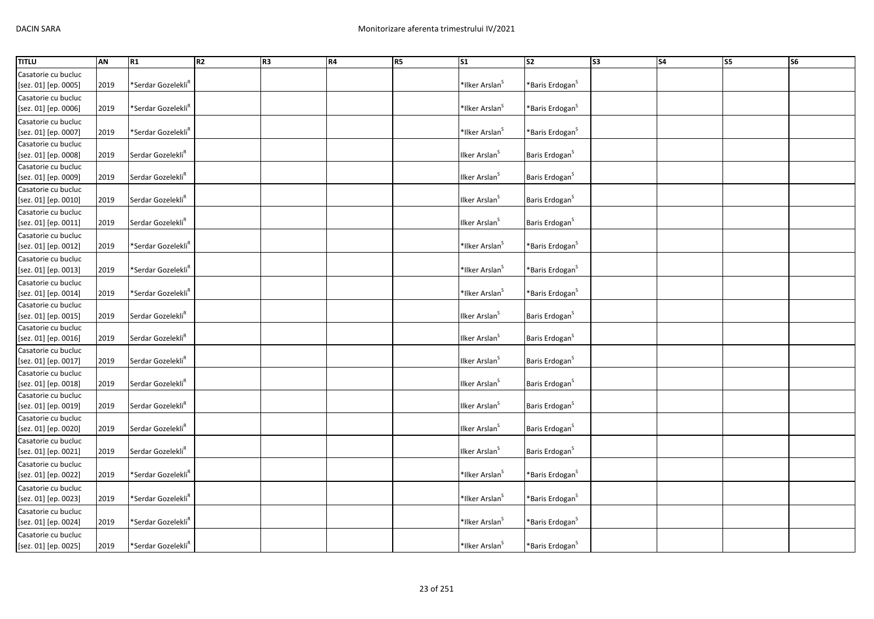| <b>TITLU</b>                                | AN   | R1                             | R2 | R3 | R4 | R <sub>5</sub> | $\overline{\text{S1}}$     | $\overline{\text{S2}}$       | $\overline{\text{S3}}$ | $\overline{\text{S4}}$ | S <sub>5</sub> | <b>S6</b> |
|---------------------------------------------|------|--------------------------------|----|----|----|----------------|----------------------------|------------------------------|------------------------|------------------------|----------------|-----------|
| Casatorie cu bucluc                         |      |                                |    |    |    |                |                            |                              |                        |                        |                |           |
| [sez. 01] [ep. 0005]                        | 2019 | *Serdar Gozelekli <sup>R</sup> |    |    |    |                | *Ilker Arslan <sup>S</sup> | *Baris Erdogan <sup>S</sup>  |                        |                        |                |           |
| Casatorie cu bucluc                         |      |                                |    |    |    |                |                            |                              |                        |                        |                |           |
| [sez. 01] [ep. 0006]                        | 2019 | *Serdar Gozelekli <sup>R</sup> |    |    |    |                | *Ilker Arslan <sup>S</sup> | *Baris Erdogan <sup>S</sup>  |                        |                        |                |           |
|                                             |      |                                |    |    |    |                |                            |                              |                        |                        |                |           |
| Casatorie cu bucluc<br>[sez. 01] [ep. 0007] | 2019 | *Serdar Gozelekli <sup>R</sup> |    |    |    |                | *Ilker Arslan <sup>S</sup> | *Baris Erdogan $^{\text{S}}$ |                        |                        |                |           |
|                                             |      |                                |    |    |    |                |                            |                              |                        |                        |                |           |
| Casatorie cu bucluc                         |      |                                |    |    |    |                |                            |                              |                        |                        |                |           |
| [sez. 01] [ep. 0008]                        | 2019 | Serdar Gozelekli <sup>R</sup>  |    |    |    |                | Ilker Arslan <sup>s</sup>  | Baris Erdogan <sup>S</sup>   |                        |                        |                |           |
| Casatorie cu bucluc                         |      |                                |    |    |    |                |                            |                              |                        |                        |                |           |
| [sez. 01] [ep. 0009]                        | 2019 | Serdar Gozelekli <sup>R</sup>  |    |    |    |                | Ilker Arslan <sup>S</sup>  | Baris Erdogan <sup>S</sup>   |                        |                        |                |           |
| Casatorie cu bucluc                         |      |                                |    |    |    |                |                            |                              |                        |                        |                |           |
| [sez. 01] [ep. 0010]                        | 2019 | Serdar Gozelekli <sup>R</sup>  |    |    |    |                | Ilker Arslan <sup>S</sup>  | Baris Erdogan <sup>S</sup>   |                        |                        |                |           |
| Casatorie cu bucluc                         |      |                                |    |    |    |                |                            |                              |                        |                        |                |           |
| [sez. 01] [ep. 0011]                        | 2019 | Serdar Gozelekli <sup>R</sup>  |    |    |    |                | Ilker Arslan <sup>S</sup>  | Baris Erdogan <sup>S</sup>   |                        |                        |                |           |
| Casatorie cu bucluc                         |      |                                |    |    |    |                |                            |                              |                        |                        |                |           |
| [sez. 01] [ep. 0012]                        | 2019 | *Serdar Gozelekli <sup>R</sup> |    |    |    |                | *Ilker Arslan <sup>S</sup> | *Baris Erdogan $^{\text{S}}$ |                        |                        |                |           |
| Casatorie cu bucluc                         |      |                                |    |    |    |                |                            |                              |                        |                        |                |           |
| [sez. 01] [ep. 0013]                        | 2019 | *Serdar Gozelekli <sup>R</sup> |    |    |    |                | *Ilker Arslan <sup>S</sup> | *Baris Erdogan <sup>S</sup>  |                        |                        |                |           |
| Casatorie cu bucluc                         |      |                                |    |    |    |                |                            |                              |                        |                        |                |           |
| [sez. 01] [ep. 0014]                        | 2019 | *Serdar Gozelekli <sup>R</sup> |    |    |    |                | *Ilker Arslan <sup>S</sup> | *Baris Erdogan <sup>S</sup>  |                        |                        |                |           |
| Casatorie cu bucluc                         |      |                                |    |    |    |                |                            |                              |                        |                        |                |           |
| [sez. 01] [ep. 0015]                        | 2019 | Serdar Gozelekli <sup>R</sup>  |    |    |    |                | Ilker Arslan <sup>S</sup>  | Baris Erdogan <sup>S</sup>   |                        |                        |                |           |
| Casatorie cu bucluc                         |      |                                |    |    |    |                |                            |                              |                        |                        |                |           |
| [sez. 01] [ep. 0016]                        | 2019 | Serdar Gozelekli <sup>R</sup>  |    |    |    |                | Ilker Arslan <sup>S</sup>  | Baris Erdogan <sup>S</sup>   |                        |                        |                |           |
| Casatorie cu bucluc                         |      |                                |    |    |    |                |                            |                              |                        |                        |                |           |
| [sez. 01] [ep. 0017]                        | 2019 | Serdar Gozelekli <sup>R</sup>  |    |    |    |                | Ilker Arslan <sup>S</sup>  | Baris Erdogan <sup>S</sup>   |                        |                        |                |           |
| Casatorie cu bucluc                         |      |                                |    |    |    |                |                            |                              |                        |                        |                |           |
| [sez. 01] [ep. 0018]                        | 2019 | Serdar Gozelekli <sup>R</sup>  |    |    |    |                | Ilker Arslan <sup>S</sup>  | Baris Erdogan <sup>S</sup>   |                        |                        |                |           |
| Casatorie cu bucluc                         |      |                                |    |    |    |                |                            |                              |                        |                        |                |           |
| [sez. 01] [ep. 0019]                        | 2019 | Serdar Gozelekli <sup>R</sup>  |    |    |    |                | Ilker Arslan <sup>S</sup>  | Baris Erdogan <sup>S</sup>   |                        |                        |                |           |
| Casatorie cu bucluc                         |      |                                |    |    |    |                |                            |                              |                        |                        |                |           |
| [sez. 01] [ep. 0020]                        | 2019 | Serdar Gozelekli <sup>R</sup>  |    |    |    |                | Ilker Arslan <sup>S</sup>  | Baris Erdogan <sup>S</sup>   |                        |                        |                |           |
|                                             |      |                                |    |    |    |                |                            |                              |                        |                        |                |           |
| Casatorie cu bucluc                         | 2019 | Serdar Gozelekli <sup>R</sup>  |    |    |    |                | Ilker Arslan <sup>S</sup>  | Baris Erdogan <sup>S</sup>   |                        |                        |                |           |
| [sez. 01] [ep. 0021]                        |      |                                |    |    |    |                |                            |                              |                        |                        |                |           |
| Casatorie cu bucluc                         |      |                                |    |    |    |                |                            |                              |                        |                        |                |           |
| [sez. 01] [ep. 0022]                        | 2019 | *Serdar Gozelekli <sup>R</sup> |    |    |    |                | *Ilker Arslan <sup>S</sup> | *Baris Erdogan <sup>S</sup>  |                        |                        |                |           |
| Casatorie cu bucluc                         |      |                                |    |    |    |                |                            |                              |                        |                        |                |           |
| [sez. 01] [ep. 0023]                        | 2019 | *Serdar Gozelekli <sup>R</sup> |    |    |    |                | *Ilker Arslan <sup>S</sup> | *Baris Erdogan $^{\text{S}}$ |                        |                        |                |           |
| Casatorie cu bucluc                         |      |                                |    |    |    |                |                            |                              |                        |                        |                |           |
| [sez. 01] [ep. 0024]                        | 2019 | *Serdar Gozelekli <sup>R</sup> |    |    |    |                | *Ilker Arslan <sup>S</sup> | *Baris Erdogan <sup>S</sup>  |                        |                        |                |           |
| Casatorie cu bucluc                         |      |                                |    |    |    |                |                            |                              |                        |                        |                |           |
| [sez. 01] [ep. 0025]                        | 2019 | *Serdar Gozelekli <sup>R</sup> |    |    |    |                | *Ilker Arslan <sup>S</sup> | *Baris Erdogan <sup>S</sup>  |                        |                        |                |           |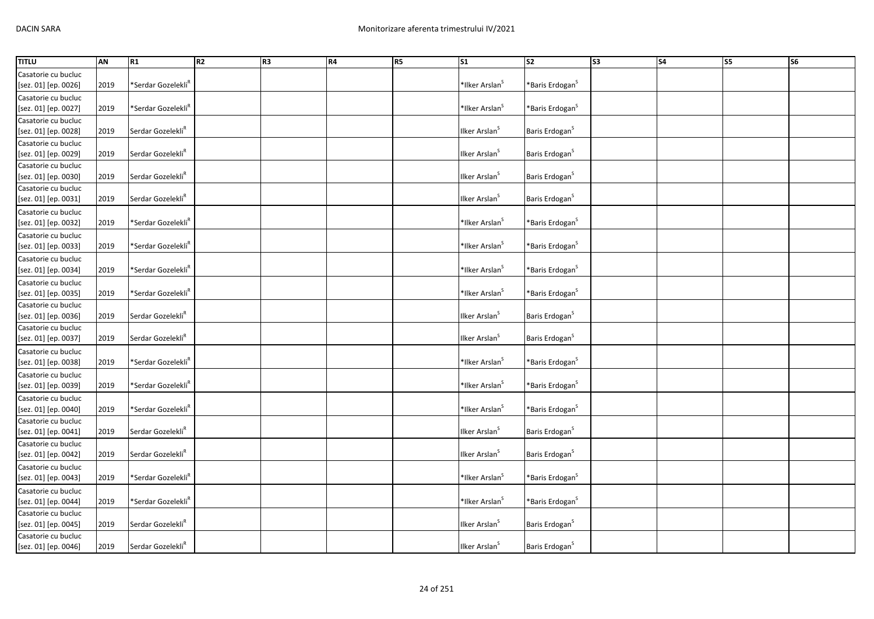| <b>TITLU</b>         | AN   | R1                             | R <sub>2</sub> | R3 | R4 | R <sub>5</sub> | $\overline{\text{S1}}$     | S2                           | S3 | $\overline{\phantom{a}}$ S4 | <b>S5</b> | <b>S6</b> |
|----------------------|------|--------------------------------|----------------|----|----|----------------|----------------------------|------------------------------|----|-----------------------------|-----------|-----------|
| Casatorie cu bucluc  |      |                                |                |    |    |                |                            |                              |    |                             |           |           |
| [sez. 01] [ep. 0026] | 2019 | *Serdar Gozelekli <sup>R</sup> |                |    |    |                | *Ilker Arslan <sup>S</sup> | *Baris Erdogan <sup>S</sup>  |    |                             |           |           |
| Casatorie cu bucluc  |      |                                |                |    |    |                |                            |                              |    |                             |           |           |
| [sez. 01] [ep. 0027] | 2019 | *Serdar Gozelekli <sup>R</sup> |                |    |    |                | *Ilker Arslan <sup>S</sup> | *Baris Erdogan <sup>S</sup>  |    |                             |           |           |
| Casatorie cu bucluc  |      |                                |                |    |    |                |                            |                              |    |                             |           |           |
| [sez. 01] [ep. 0028] | 2019 | Serdar Gozelekli <sup>R</sup>  |                |    |    |                | Ilker Arslan <sup>S</sup>  | Baris Erdogan <sup>S</sup>   |    |                             |           |           |
| Casatorie cu bucluc  |      |                                |                |    |    |                |                            |                              |    |                             |           |           |
| [sez. 01] [ep. 0029] | 2019 | Serdar Gozelekli <sup>R</sup>  |                |    |    |                | Ilker Arslan <sup>S</sup>  | Baris Erdogan <sup>S</sup>   |    |                             |           |           |
| Casatorie cu bucluc  |      |                                |                |    |    |                |                            |                              |    |                             |           |           |
| [sez. 01] [ep. 0030] | 2019 | Serdar Gozelekli <sup>R</sup>  |                |    |    |                | Ilker Arslan <sup>S</sup>  | Baris Erdogan <sup>S</sup>   |    |                             |           |           |
| Casatorie cu bucluc  |      |                                |                |    |    |                |                            |                              |    |                             |           |           |
| [sez. 01] [ep. 0031] | 2019 | Serdar Gozelekli <sup>R</sup>  |                |    |    |                | Ilker Arslan <sup>S</sup>  | Baris Erdogan <sup>S</sup>   |    |                             |           |           |
| Casatorie cu bucluc  |      |                                |                |    |    |                |                            |                              |    |                             |           |           |
| [sez. 01] [ep. 0032] | 2019 | *Serdar Gozelekli <sup>R</sup> |                |    |    |                | *Ilker Arslan <sup>S</sup> | *Baris Erdogan $^{\text{S}}$ |    |                             |           |           |
| Casatorie cu bucluc  |      |                                |                |    |    |                |                            |                              |    |                             |           |           |
| [sez. 01] [ep. 0033] | 2019 | *Serdar Gozelekli <sup>R</sup> |                |    |    |                | *Ilker Arslan <sup>S</sup> | *Baris Erdogan $^{\text{S}}$ |    |                             |           |           |
| Casatorie cu bucluc  |      |                                |                |    |    |                |                            |                              |    |                             |           |           |
| [sez. 01] [ep. 0034] | 2019 | *Serdar Gozelekli <sup>ĸ</sup> |                |    |    |                | *Ilker Arslan <sup>S</sup> | *Baris Erdogan $^{\text{S}}$ |    |                             |           |           |
| Casatorie cu bucluc  |      |                                |                |    |    |                |                            |                              |    |                             |           |           |
| [sez. 01] [ep. 0035] | 2019 | *Serdar Gozelekli <sup>R</sup> |                |    |    |                | *Ilker Arslan <sup>S</sup> | *Baris Erdogan <sup>S</sup>  |    |                             |           |           |
| Casatorie cu bucluc  |      |                                |                |    |    |                |                            |                              |    |                             |           |           |
| [sez. 01] [ep. 0036] | 2019 | Serdar Gozelekli <sup>R</sup>  |                |    |    |                | Ilker Arslan <sup>S</sup>  | Baris Erdogan <sup>S</sup>   |    |                             |           |           |
| Casatorie cu bucluc  |      |                                |                |    |    |                |                            |                              |    |                             |           |           |
| [sez. 01] [ep. 0037] | 2019 | Serdar Gozelekli <sup>R</sup>  |                |    |    |                | Ilker Arslan <sup>S</sup>  | Baris Erdogan <sup>S</sup>   |    |                             |           |           |
| Casatorie cu bucluc  |      |                                |                |    |    |                |                            |                              |    |                             |           |           |
| [sez. 01] [ep. 0038] | 2019 | *Serdar Gozelekli <sup>R</sup> |                |    |    |                | *Ilker Arslan <sup>S</sup> | *Baris Erdogan <sup>S</sup>  |    |                             |           |           |
| Casatorie cu bucluc  |      |                                |                |    |    |                |                            |                              |    |                             |           |           |
| [sez. 01] [ep. 0039] | 2019 | *Serdar Gozelekli <sup>R</sup> |                |    |    |                | *Ilker Arslan <sup>S</sup> | *Baris Erdogan $^{\text{S}}$ |    |                             |           |           |
| Casatorie cu bucluc  |      |                                |                |    |    |                |                            |                              |    |                             |           |           |
| [sez. 01] [ep. 0040] | 2019 | *Serdar Gozelekli <sup>R</sup> |                |    |    |                | *Ilker Arslan <sup>S</sup> | *Baris Erdogan $^{\text{S}}$ |    |                             |           |           |
| Casatorie cu bucluc  |      |                                |                |    |    |                |                            |                              |    |                             |           |           |
| [sez. 01] [ep. 0041] | 2019 | Serdar Gozelekli <sup>R</sup>  |                |    |    |                | Ilker Arslan <sup>S</sup>  | Baris Erdogan <sup>S</sup>   |    |                             |           |           |
| Casatorie cu bucluc  |      |                                |                |    |    |                |                            |                              |    |                             |           |           |
| [sez. 01] [ep. 0042] | 2019 | Serdar Gozelekli <sup>R</sup>  |                |    |    |                | Ilker Arslan <sup>S</sup>  | Baris Erdogan <sup>S</sup>   |    |                             |           |           |
| Casatorie cu bucluc  |      |                                |                |    |    |                |                            |                              |    |                             |           |           |
| [sez. 01] [ep. 0043] | 2019 | *Serdar Gozelekli <sup>R</sup> |                |    |    |                | *Ilker Arslan <sup>S</sup> | *Baris Erdogan <sup>S</sup>  |    |                             |           |           |
| Casatorie cu bucluc  |      |                                |                |    |    |                |                            |                              |    |                             |           |           |
| [sez. 01] [ep. 0044] | 2019 | *Serdar Gozelekli <sup>R</sup> |                |    |    |                | *Ilker Arslan <sup>S</sup> | *Baris Erdogan <sup>S</sup>  |    |                             |           |           |
| Casatorie cu bucluc  |      |                                |                |    |    |                |                            |                              |    |                             |           |           |
| [sez. 01] [ep. 0045] | 2019 | Serdar Gozelekli <sup>R</sup>  |                |    |    |                | Ilker Arslan <sup>s</sup>  | Baris Erdogan <sup>S</sup>   |    |                             |           |           |
| Casatorie cu bucluc  |      |                                |                |    |    |                |                            |                              |    |                             |           |           |
| [sez. 01] [ep. 0046] | 2019 | Serdar Gozelekli <sup>R</sup>  |                |    |    |                | Ilker Arslan <sup>S</sup>  | Baris Erdogan <sup>S</sup>   |    |                             |           |           |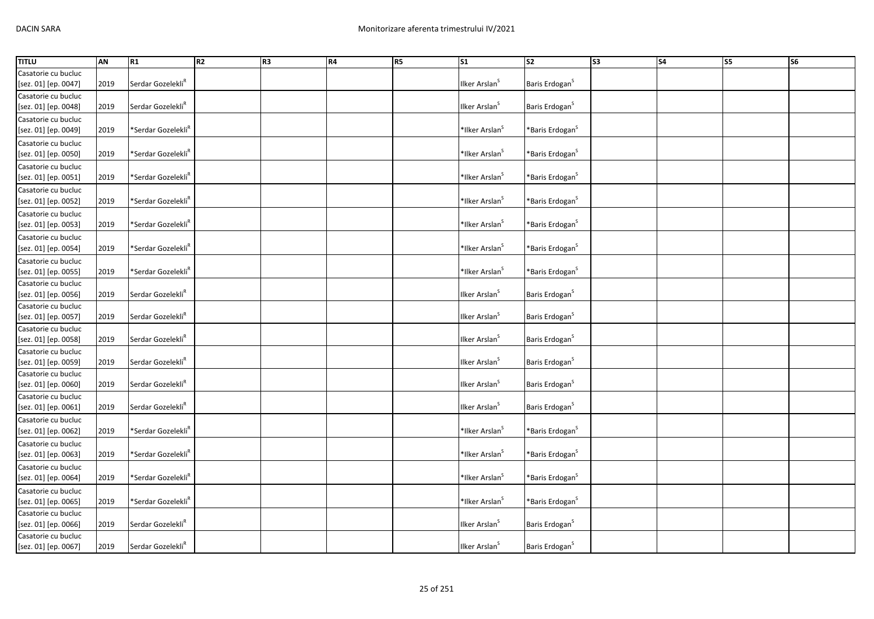| <b>TITLU</b>         | AN   | R1                             | R <sub>2</sub> | R3 | R4 | R <sub>5</sub> | $\overline{\text{S1}}$     | S2                           | S3 | S <sub>4</sub> | S5 | <b>S6</b> |
|----------------------|------|--------------------------------|----------------|----|----|----------------|----------------------------|------------------------------|----|----------------|----|-----------|
| Casatorie cu bucluc  |      |                                |                |    |    |                |                            |                              |    |                |    |           |
| [sez. 01] [ep. 0047] | 2019 | Serdar Gozelekli <sup>R</sup>  |                |    |    |                | Ilker Arslan <sup>S</sup>  | Baris Erdogan <sup>S</sup>   |    |                |    |           |
| Casatorie cu bucluc  |      |                                |                |    |    |                |                            |                              |    |                |    |           |
| [sez. 01] [ep. 0048] | 2019 | Serdar Gozelekli <sup>R</sup>  |                |    |    |                | Ilker Arslan <sup>5</sup>  | Baris Erdogan <sup>S</sup>   |    |                |    |           |
| Casatorie cu bucluc  |      |                                |                |    |    |                |                            |                              |    |                |    |           |
| [sez. 01] [ep. 0049] | 2019 | *Serdar Gozelekli <sup>R</sup> |                |    |    |                | *Ilker Arslan <sup>S</sup> | *Baris Erdogan $^{\text{S}}$ |    |                |    |           |
| Casatorie cu bucluc  |      |                                |                |    |    |                |                            |                              |    |                |    |           |
| [sez. 01] [ep. 0050] | 2019 | *Serdar Gozelekli <sup>R</sup> |                |    |    |                | *Ilker Arslan <sup>S</sup> | *Baris Erdogan <sup>S</sup>  |    |                |    |           |
| Casatorie cu bucluc  |      |                                |                |    |    |                |                            |                              |    |                |    |           |
| [sez. 01] [ep. 0051] | 2019 | *Serdar Gozelekli <sup>R</sup> |                |    |    |                | *Ilker Arslan <sup>S</sup> | *Baris Erdogan <sup>S</sup>  |    |                |    |           |
| Casatorie cu bucluc  |      |                                |                |    |    |                |                            |                              |    |                |    |           |
| [sez. 01] [ep. 0052] | 2019 | *Serdar Gozelekli <sup>R</sup> |                |    |    |                | *Ilker Arslan <sup>S</sup> | *Baris Erdogan <sup>S</sup>  |    |                |    |           |
| Casatorie cu bucluc  |      |                                |                |    |    |                |                            |                              |    |                |    |           |
| [sez. 01] [ep. 0053] | 2019 | *Serdar Gozelekli <sup>R</sup> |                |    |    |                | *Ilker Arslan <sup>S</sup> | *Baris Erdogan <sup>S</sup>  |    |                |    |           |
| Casatorie cu bucluc  |      |                                |                |    |    |                |                            |                              |    |                |    |           |
| [sez. 01] [ep. 0054] | 2019 | *Serdar Gozelekli <sup>R</sup> |                |    |    |                | *Ilker Arslan <sup>S</sup> | *Baris Erdogan $^{\text{S}}$ |    |                |    |           |
| Casatorie cu bucluc  |      |                                |                |    |    |                |                            |                              |    |                |    |           |
| [sez. 01] [ep. 0055] | 2019 | *Serdar Gozelekli <sup>R</sup> |                |    |    |                | *Ilker Arslan <sup>S</sup> | *Baris Erdogan <sup>S</sup>  |    |                |    |           |
| Casatorie cu bucluc  |      |                                |                |    |    |                |                            |                              |    |                |    |           |
| [sez. 01] [ep. 0056] | 2019 | Serdar Gozelekli <sup>R</sup>  |                |    |    |                | Ilker Arslan <sup>S</sup>  | Baris Erdogan <sup>S</sup>   |    |                |    |           |
| Casatorie cu bucluc  |      |                                |                |    |    |                |                            |                              |    |                |    |           |
| [sez. 01] [ep. 0057] | 2019 | Serdar Gozelekli <sup>R</sup>  |                |    |    |                | Ilker Arslan <sup>s</sup>  | Baris Erdogan <sup>S</sup>   |    |                |    |           |
| Casatorie cu bucluc  |      |                                |                |    |    |                |                            |                              |    |                |    |           |
| [sez. 01] [ep. 0058] | 2019 | Serdar Gozelekli <sup>R</sup>  |                |    |    |                | Ilker Arslan <sup>S</sup>  | Baris Erdogan <sup>S</sup>   |    |                |    |           |
| Casatorie cu bucluc  |      |                                |                |    |    |                |                            |                              |    |                |    |           |
| [sez. 01] [ep. 0059] | 2019 | Serdar Gozelekli <sup>R</sup>  |                |    |    |                | Ilker Arslan <sup>S</sup>  | Baris Erdogan <sup>S</sup>   |    |                |    |           |
| Casatorie cu bucluc  |      |                                |                |    |    |                |                            |                              |    |                |    |           |
| [sez. 01] [ep. 0060] | 2019 | Serdar Gozelekli <sup>R</sup>  |                |    |    |                | Ilker Arslan <sup>S</sup>  | Baris Erdogan <sup>S</sup>   |    |                |    |           |
| Casatorie cu bucluc  |      |                                |                |    |    |                |                            |                              |    |                |    |           |
| [sez. 01] [ep. 0061] | 2019 | Serdar Gozelekli <sup>R</sup>  |                |    |    |                | Ilker Arslan <sup>S</sup>  | Baris Erdogan <sup>S</sup>   |    |                |    |           |
| Casatorie cu bucluc  |      |                                |                |    |    |                |                            |                              |    |                |    |           |
| [sez. 01] [ep. 0062] | 2019 | *Serdar Gozelekli <sup>R</sup> |                |    |    |                | *Ilker Arslan <sup>S</sup> | *Baris Erdogan $^{\text{S}}$ |    |                |    |           |
| Casatorie cu bucluc  |      |                                |                |    |    |                |                            |                              |    |                |    |           |
| [sez. 01] [ep. 0063] | 2019 | *Serdar Gozelekli <sup>R</sup> |                |    |    |                | *Ilker Arslan <sup>S</sup> | *Baris Erdogan <sup>S</sup>  |    |                |    |           |
| Casatorie cu bucluc  |      |                                |                |    |    |                |                            |                              |    |                |    |           |
| [sez. 01] [ep. 0064] | 2019 | *Serdar Gozelekli <sup>R</sup> |                |    |    |                | *Ilker Arslan <sup>S</sup> | *Baris Erdogan <sup>S</sup>  |    |                |    |           |
| Casatorie cu bucluc  |      |                                |                |    |    |                |                            |                              |    |                |    |           |
| [sez. 01] [ep. 0065] | 2019 | *Serdar Gozelekli <sup>R</sup> |                |    |    |                | *Ilker Arslan <sup>S</sup> | *Baris Erdogan <sup>S</sup>  |    |                |    |           |
| Casatorie cu bucluc  |      |                                |                |    |    |                |                            |                              |    |                |    |           |
| [sez. 01] [ep. 0066] | 2019 | Serdar Gozelekli <sup>R</sup>  |                |    |    |                | Ilker Arslan <sup>s</sup>  | Baris Erdogan <sup>S</sup>   |    |                |    |           |
| Casatorie cu bucluc  |      |                                |                |    |    |                |                            |                              |    |                |    |           |
| [sez. 01] [ep. 0067] | 2019 | Serdar Gozelekli <sup>R</sup>  |                |    |    |                | Ilker Arslan <sup>S</sup>  | Baris Erdogan <sup>S</sup>   |    |                |    |           |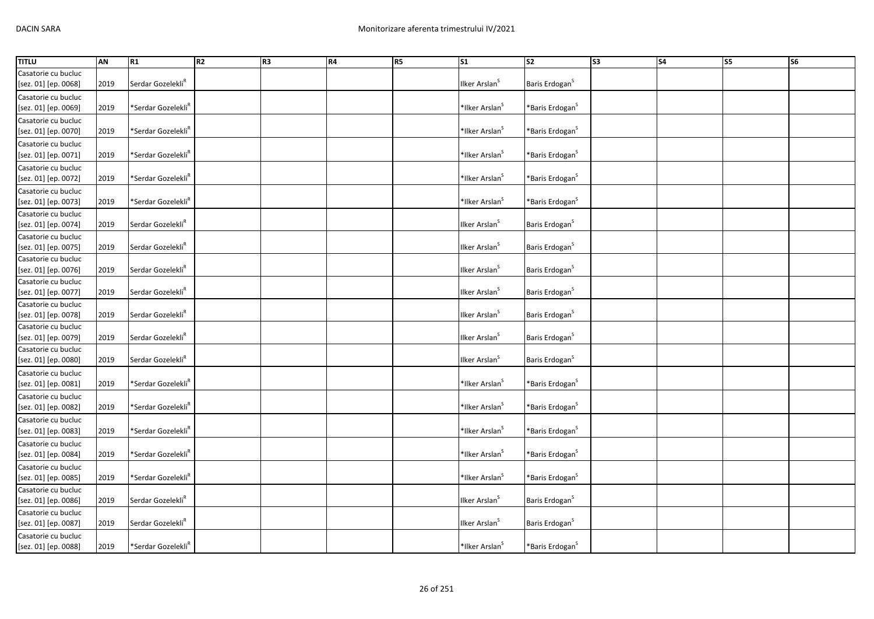| <b>TITLU</b>         | AN   | R1                             | R2 | R3 | R4 | R <sub>5</sub> | $\overline{\text{S1}}$     | $\overline{\text{S2}}$       | S3 | S <sub>4</sub> | S5 | $\overline{\text{S6}}$ |
|----------------------|------|--------------------------------|----|----|----|----------------|----------------------------|------------------------------|----|----------------|----|------------------------|
| Casatorie cu bucluc  |      |                                |    |    |    |                |                            |                              |    |                |    |                        |
| [sez. 01] [ep. 0068] | 2019 | Serdar Gozelekli <sup>R</sup>  |    |    |    |                | Ilker Arslan <sup>S</sup>  | Baris Erdogan <sup>S</sup>   |    |                |    |                        |
| Casatorie cu bucluc  |      |                                |    |    |    |                |                            |                              |    |                |    |                        |
| [sez. 01] [ep. 0069] | 2019 | *Serdar Gozelekli <sup>R</sup> |    |    |    |                | *Ilker Arslan <sup>S</sup> | *Baris Erdogan $^{\text{S}}$ |    |                |    |                        |
| Casatorie cu bucluc  |      |                                |    |    |    |                |                            |                              |    |                |    |                        |
| [sez. 01] [ep. 0070] | 2019 | *Serdar Gozelekli <sup>R</sup> |    |    |    |                | *Ilker Arslan <sup>S</sup> | *Baris Erdogan <sup>S</sup>  |    |                |    |                        |
| Casatorie cu bucluc  |      |                                |    |    |    |                |                            |                              |    |                |    |                        |
| [sez. 01] [ep. 0071] | 2019 | *Serdar Gozelekli <sup>R</sup> |    |    |    |                | *Ilker Arslan <sup>S</sup> | *Baris Erdogan <sup>S</sup>  |    |                |    |                        |
| Casatorie cu bucluc  |      |                                |    |    |    |                |                            |                              |    |                |    |                        |
| [sez. 01] [ep. 0072] | 2019 | *Serdar Gozelekli <sup>R</sup> |    |    |    |                | *Ilker Arslan <sup>S</sup> | *Baris Erdogan <sup>S</sup>  |    |                |    |                        |
| Casatorie cu bucluc  |      |                                |    |    |    |                |                            |                              |    |                |    |                        |
| [sez. 01] [ep. 0073] | 2019 | *Serdar Gozelekli <sup>R</sup> |    |    |    |                | *Ilker Arslan <sup>S</sup> | *Baris Erdogan <sup>S</sup>  |    |                |    |                        |
| Casatorie cu bucluc  |      |                                |    |    |    |                |                            |                              |    |                |    |                        |
| [sez. 01] [ep. 0074] | 2019 | Serdar Gozelekli <sup>R</sup>  |    |    |    |                | Ilker Arslan <sup>s</sup>  | Baris Erdogan <sup>S</sup>   |    |                |    |                        |
| Casatorie cu bucluc  |      |                                |    |    |    |                |                            |                              |    |                |    |                        |
| [sez. 01] [ep. 0075] | 2019 | Serdar Gozelekli <sup>R</sup>  |    |    |    |                | Ilker Arslan <sup>S</sup>  | Baris Erdogan <sup>S</sup>   |    |                |    |                        |
| Casatorie cu bucluc  |      |                                |    |    |    |                |                            |                              |    |                |    |                        |
| [sez. 01] [ep. 0076] | 2019 | Serdar Gozelekli <sup>R</sup>  |    |    |    |                | Ilker Arslan <sup>S</sup>  | Baris Erdogan <sup>S</sup>   |    |                |    |                        |
| Casatorie cu bucluc  |      |                                |    |    |    |                |                            |                              |    |                |    |                        |
| [sez. 01] [ep. 0077] | 2019 | Serdar Gozelekli <sup>R</sup>  |    |    |    |                | Ilker Arslan <sup>S</sup>  | Baris Erdogan <sup>S</sup>   |    |                |    |                        |
| Casatorie cu bucluc  |      |                                |    |    |    |                |                            |                              |    |                |    |                        |
| [sez. 01] [ep. 0078] | 2019 | Serdar Gozelekli <sup>R</sup>  |    |    |    |                | Ilker Arslan <sup>S</sup>  | Baris Erdogan <sup>S</sup>   |    |                |    |                        |
| Casatorie cu bucluc  |      |                                |    |    |    |                |                            |                              |    |                |    |                        |
| [sez. 01] [ep. 0079] | 2019 | Serdar Gozelekli <sup>R</sup>  |    |    |    |                | Ilker Arslan <sup>S</sup>  | Baris Erdogan <sup>S</sup>   |    |                |    |                        |
| Casatorie cu bucluc  |      |                                |    |    |    |                |                            |                              |    |                |    |                        |
| [sez. 01] [ep. 0080] | 2019 | Serdar Gozelekli <sup>R</sup>  |    |    |    |                | Ilker Arslan <sup>S</sup>  | Baris Erdogan <sup>S</sup>   |    |                |    |                        |
| Casatorie cu bucluc  |      |                                |    |    |    |                |                            |                              |    |                |    |                        |
| [sez. 01] [ep. 0081] | 2019 | *Serdar Gozelekli <sup>R</sup> |    |    |    |                | *Ilker Arslan <sup>S</sup> | *Baris Erdogan $^{\text{S}}$ |    |                |    |                        |
| Casatorie cu bucluc  |      |                                |    |    |    |                |                            |                              |    |                |    |                        |
| [sez. 01] [ep. 0082] | 2019 | *Serdar Gozelekli <sup>ĸ</sup> |    |    |    |                | *Ilker Arslan <sup>S</sup> | *Baris Erdogan $^{\text{S}}$ |    |                |    |                        |
| Casatorie cu bucluc  |      |                                |    |    |    |                |                            |                              |    |                |    |                        |
| [sez. 01] [ep. 0083] | 2019 | *Serdar Gozelekli <sup>R</sup> |    |    |    |                | *Ilker Arslan <sup>S</sup> | *Baris Erdogan $^{\text{S}}$ |    |                |    |                        |
| Casatorie cu bucluc  |      |                                |    |    |    |                |                            |                              |    |                |    |                        |
| [sez. 01] [ep. 0084] | 2019 | *Serdar Gozelekli <sup>R</sup> |    |    |    |                | *Ilker Arslan <sup>S</sup> | *Baris Erdogan <sup>S</sup>  |    |                |    |                        |
| Casatorie cu bucluc  |      |                                |    |    |    |                |                            |                              |    |                |    |                        |
| [sez. 01] [ep. 0085] | 2019 | *Serdar Gozelekli <sup>R</sup> |    |    |    |                | *Ilker Arslan <sup>S</sup> | *Baris Erdogan <sup>S</sup>  |    |                |    |                        |
| Casatorie cu bucluc  |      |                                |    |    |    |                |                            |                              |    |                |    |                        |
| [sez. 01] [ep. 0086] | 2019 | Serdar Gozelekli <sup>R</sup>  |    |    |    |                | Ilker Arslan <sup>S</sup>  | Baris Erdogan <sup>S</sup>   |    |                |    |                        |
| Casatorie cu bucluc  |      |                                |    |    |    |                |                            |                              |    |                |    |                        |
| [sez. 01] [ep. 0087] | 2019 | Serdar Gozelekli <sup>R</sup>  |    |    |    |                | Ilker Arslan <sup>S</sup>  | Baris Erdogan <sup>S</sup>   |    |                |    |                        |
| Casatorie cu bucluc  |      |                                |    |    |    |                |                            |                              |    |                |    |                        |
| [sez. 01] [ep. 0088] | 2019 | *Serdar Gozelekli <sup>R</sup> |    |    |    |                | *Ilker Arslan <sup>S</sup> | *Baris Erdogan <sup>S</sup>  |    |                |    |                        |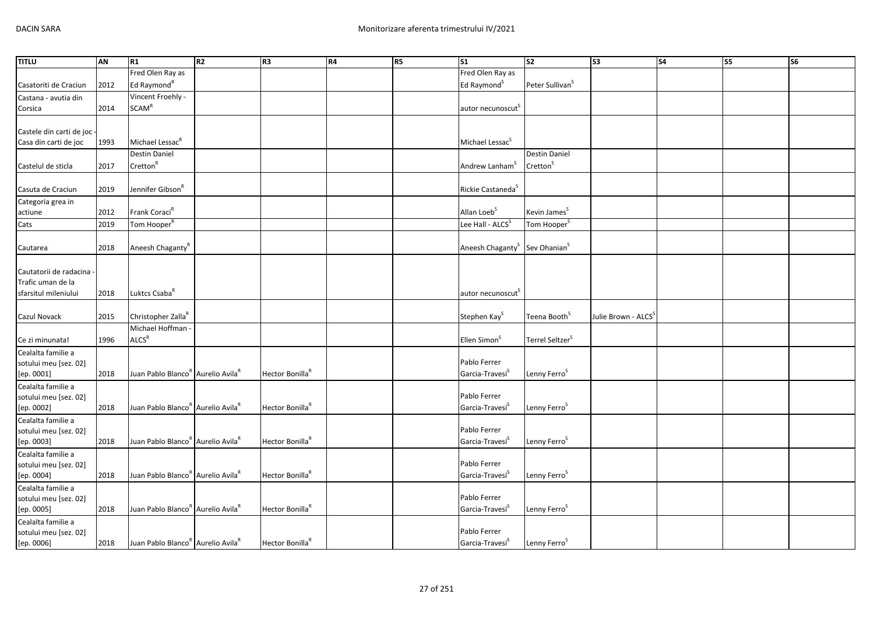| <b>TITLU</b>                 | AN   | R1                                                        | R <sub>2</sub> | R <sub>3</sub>              | R4 | <b>R5</b> | <b>S1</b>                                             | s <sub>2</sub>              | $\overline{\text{S3}}$ | <b>S4</b> | S5 | S6 |
|------------------------------|------|-----------------------------------------------------------|----------------|-----------------------------|----|-----------|-------------------------------------------------------|-----------------------------|------------------------|-----------|----|----|
|                              |      | Fred Olen Ray as                                          |                |                             |    |           | Fred Olen Ray as                                      |                             |                        |           |    |    |
| Casatoriti de Craciun        | 2012 | Ed Raymond <sup>R</sup>                                   |                |                             |    |           | Ed Raymond <sup>S</sup>                               | Peter Sullivan <sup>S</sup> |                        |           |    |    |
| Castana - avutia din         |      | Vincent Froehly -                                         |                |                             |    |           |                                                       |                             |                        |           |    |    |
| Corsica                      | 2014 | <b>SCAM<sup>R</sup></b>                                   |                |                             |    |           | autor necunoscut <sup>5</sup>                         |                             |                        |           |    |    |
|                              |      |                                                           |                |                             |    |           |                                                       |                             |                        |           |    |    |
| Castele din carti de joc -   |      |                                                           |                |                             |    |           |                                                       |                             |                        |           |    |    |
| Casa din carti de joc        | 1993 | Michael Lessac <sup>R</sup>                               |                |                             |    |           | Michael Lessac <sup>S</sup>                           |                             |                        |           |    |    |
|                              |      | Destin Daniel                                             |                |                             |    |           |                                                       | Destin Daniel               |                        |           |    |    |
| Castelul de sticla           | 2017 | Cretton <sup>R</sup>                                      |                |                             |    |           | Andrew Lanham <sup>S</sup>                            | Cretton <sup>S</sup>        |                        |           |    |    |
|                              |      |                                                           |                |                             |    |           |                                                       |                             |                        |           |    |    |
| Casuta de Craciun            | 2019 | Jennifer Gibson <sup>R</sup>                              |                |                             |    |           | Rickie Castaneda <sup>S</sup>                         |                             |                        |           |    |    |
|                              |      |                                                           |                |                             |    |           |                                                       |                             |                        |           |    |    |
| Categoria grea in<br>actiune | 2012 | Frank Coraci <sup>R</sup>                                 |                |                             |    |           | Allan Loeb <sup>S</sup>                               | Kevin James <sup>S</sup>    |                        |           |    |    |
|                              |      |                                                           |                |                             |    |           |                                                       |                             |                        |           |    |    |
| Cats                         | 2019 | Tom Hooper <sup>R</sup>                                   |                |                             |    |           | Lee Hall - ALCS <sup>S</sup>                          | Tom Hooper <sup>S</sup>     |                        |           |    |    |
|                              |      |                                                           |                |                             |    |           |                                                       |                             |                        |           |    |    |
| Cautarea                     | 2018 | Aneesh Chaganty <sup>R</sup>                              |                |                             |    |           | Aneesh Chaganty <sup>S</sup> Sev Ohanian <sup>S</sup> |                             |                        |           |    |    |
|                              |      |                                                           |                |                             |    |           |                                                       |                             |                        |           |    |    |
| Cautatorii de radacina       |      |                                                           |                |                             |    |           |                                                       |                             |                        |           |    |    |
| Trafic uman de la            |      |                                                           |                |                             |    |           |                                                       |                             |                        |           |    |    |
| sfarsitul mileniului         | 2018 | Luktcs Csaba <sup>R</sup>                                 |                |                             |    |           | autor necunoscut                                      |                             |                        |           |    |    |
|                              |      |                                                           |                |                             |    |           |                                                       |                             |                        |           |    |    |
| Cazul Novack                 | 2015 | Christopher Zalla <sup>R</sup>                            |                |                             |    |           | Stephen Kay <sup>S</sup>                              | Teena Booth <sup>S</sup>    | Julie Brown - ALCS     |           |    |    |
|                              |      | Michael Hoffman                                           |                |                             |    |           |                                                       |                             |                        |           |    |    |
| Ce zi minunata!              | 1996 | <b>ALCS<sup>R</sup></b>                                   |                |                             |    |           | Ellen Simon <sup>S</sup>                              | Terrel Seltzer <sup>S</sup> |                        |           |    |    |
| Cealalta familie a           |      |                                                           |                |                             |    |           |                                                       |                             |                        |           |    |    |
| sotului meu [sez. 02]        |      |                                                           |                |                             |    |           | Pablo Ferrer                                          |                             |                        |           |    |    |
| [ep. 0001]                   | 2018 | Juan Pablo Blanco <sup>R</sup> Aurelio Avila <sup>R</sup> |                | Hector Bonilla <sup>R</sup> |    |           | Garcia-Travesí <sup>S</sup>                           | Lenny Ferro <sup>S</sup>    |                        |           |    |    |
| Cealalta familie a           |      |                                                           |                |                             |    |           |                                                       |                             |                        |           |    |    |
| sotului meu [sez. 02]        |      |                                                           |                |                             |    |           | Pablo Ferrer                                          |                             |                        |           |    |    |
| [ep. 0002]                   | 2018 | Juan Pablo Blanco <sup>k</sup> Aurelio Avila <sup>k</sup> |                | Hector Bonilla <sup>R</sup> |    |           | Garcia-Travesí <sup>S</sup>                           | Lenny Ferro <sup>S</sup>    |                        |           |    |    |
| Cealalta familie a           |      |                                                           |                |                             |    |           |                                                       |                             |                        |           |    |    |
| sotului meu [sez. 02]        |      |                                                           |                |                             |    |           | Pablo Ferrer                                          |                             |                        |           |    |    |
| [ep. 0003]                   | 2018 | Juan Pablo Blanco <sup>R</sup> Aurelio Avila <sup>R</sup> |                | Hector Bonilla <sup>R</sup> |    |           | Garcia-Travesí <sup>S</sup>                           | Lenny Ferro <sup>S</sup>    |                        |           |    |    |
| Cealalta familie a           |      |                                                           |                |                             |    |           |                                                       |                             |                        |           |    |    |
| sotului meu [sez. 02]        |      |                                                           |                |                             |    |           | Pablo Ferrer                                          |                             |                        |           |    |    |
| [ep. 0004]                   | 2018 | Juan Pablo Blanco <sup>R</sup> Aurelio Avila <sup>R</sup> |                | Hector Bonilla <sup>R</sup> |    |           | Garcia-Travesí <sup>S</sup>                           | Lenny Ferro <sup>S</sup>    |                        |           |    |    |
| Cealalta familie a           |      |                                                           |                |                             |    |           |                                                       |                             |                        |           |    |    |
| sotului meu [sez. 02]        |      |                                                           |                |                             |    |           | Pablo Ferrer                                          |                             |                        |           |    |    |
| [ep. 0005]                   | 2018 | Juan Pablo Blanco <sup>R</sup> Aurelio Avila <sup>R</sup> |                | Hector Bonilla <sup>R</sup> |    |           | Garcia-Travesí <sup>S</sup>                           | Lenny Ferro <sup>S</sup>    |                        |           |    |    |
| Cealalta familie a           |      |                                                           |                |                             |    |           |                                                       |                             |                        |           |    |    |
| sotului meu [sez. 02]        |      |                                                           |                |                             |    |           | Pablo Ferrer                                          |                             |                        |           |    |    |
| [ep. 0006]                   | 2018 | Juan Pablo Blanco <sup>R</sup> Aurelio Avila <sup>R</sup> |                | Hector Bonilla <sup>R</sup> |    |           | Garcia-Travesi <sup>S</sup>                           | Lenny Ferro <sup>S</sup>    |                        |           |    |    |
|                              |      |                                                           |                |                             |    |           |                                                       |                             |                        |           |    |    |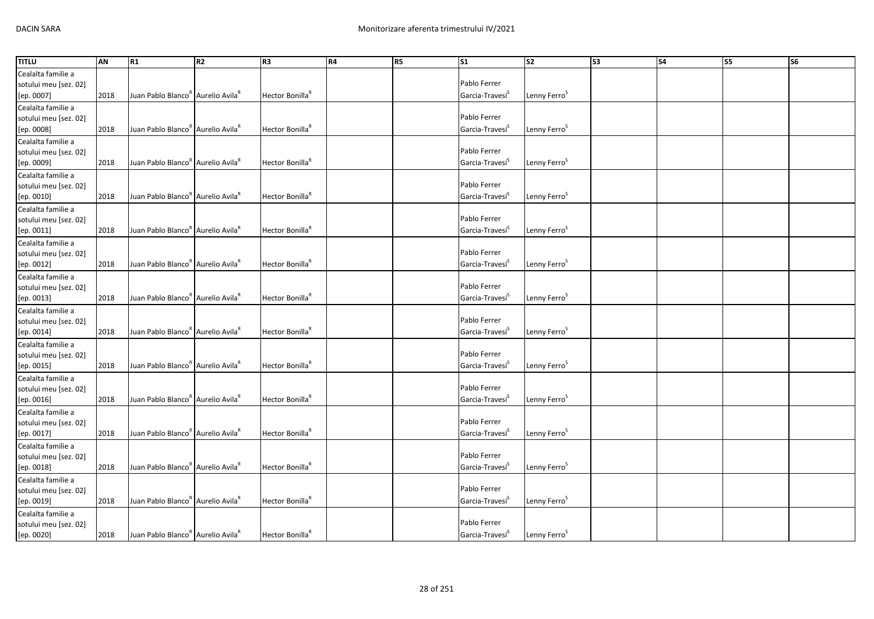| <b>TITLU</b>          | AN   | R1                                                        | R <sub>2</sub> | R <sub>3</sub>              | R4 | R <sub>5</sub> | $\mathsf{S}1$               | <b>S2</b>                | S <sub>3</sub> | <b>S4</b> | S5 | S <sub>6</sub> |
|-----------------------|------|-----------------------------------------------------------|----------------|-----------------------------|----|----------------|-----------------------------|--------------------------|----------------|-----------|----|----------------|
| Cealalta familie a    |      |                                                           |                |                             |    |                |                             |                          |                |           |    |                |
| sotului meu [sez. 02] |      |                                                           |                |                             |    |                | Pablo Ferrer                |                          |                |           |    |                |
| [ep. 0007]            | 2018 | Juan Pablo Blanco" Aurelio Avila                          |                | Hector Bonilla <sup>R</sup> |    |                | Garcia-Travesi <sup>S</sup> | Lenny Ferro <sup>5</sup> |                |           |    |                |
| Cealalta familie a    |      |                                                           |                |                             |    |                |                             |                          |                |           |    |                |
| sotului meu [sez. 02] |      |                                                           |                |                             |    |                | Pablo Ferrer                |                          |                |           |    |                |
| [ep. 0008]            | 2018 | Juan Pablo Blanco <sup>R</sup> Aurelio Avila <sup>R</sup> |                | Hector Bonilla <sup>R</sup> |    |                | Garcia-Travesi <sup>S</sup> | Lenny Ferro <sup>5</sup> |                |           |    |                |
| Cealalta familie a    |      |                                                           |                |                             |    |                |                             |                          |                |           |    |                |
| sotului meu [sez. 02] |      |                                                           |                |                             |    |                | Pablo Ferrer                |                          |                |           |    |                |
| [ep. 0009]            | 2018 | Juan Pablo Blanco <sup>R</sup> Aurelio Avila <sup>R</sup> |                | Hector Bonilla <sup>R</sup> |    |                | Garcia-Travesí <sup>S</sup> | Lenny Ferro <sup>S</sup> |                |           |    |                |
| Cealalta familie a    |      |                                                           |                |                             |    |                |                             |                          |                |           |    |                |
| sotului meu [sez. 02] |      |                                                           |                |                             |    |                | Pablo Ferrer                |                          |                |           |    |                |
|                       | 2018 | Juan Pablo Blanco <sup>R</sup> Aurelio Avila <sup>R</sup> |                | Hector Bonilla <sup>R</sup> |    |                | Garcia-Travesi <sup>S</sup> | Lenny Ferro <sup>S</sup> |                |           |    |                |
| [ep. 0010]            |      |                                                           |                |                             |    |                |                             |                          |                |           |    |                |
| Cealalta familie a    |      |                                                           |                |                             |    |                |                             |                          |                |           |    |                |
| sotului meu [sez. 02] |      |                                                           |                |                             |    |                | Pablo Ferrer                |                          |                |           |    |                |
| [ep. 0011]            | 2018 | Juan Pablo Blanco <sup>R</sup> Aurelio Avila <sup>R</sup> |                | Hector Bonilla <sup>R</sup> |    |                | Garcia-Travesi <sup>5</sup> | Lenny Ferro <sup>S</sup> |                |           |    |                |
| Cealalta familie a    |      |                                                           |                |                             |    |                |                             |                          |                |           |    |                |
| sotului meu [sez. 02] |      |                                                           |                |                             |    |                | Pablo Ferrer                |                          |                |           |    |                |
| [ep. 0012]            | 2018 | Juan Pablo Blanco <sup>k</sup> Aurelio Avila <sup>k</sup> |                | Hector Bonilla <sup>R</sup> |    |                | Garcia-Travesi <sup>5</sup> | Lenny Ferro <sup>S</sup> |                |           |    |                |
| Cealalta familie a    |      |                                                           |                |                             |    |                |                             |                          |                |           |    |                |
| sotului meu [sez. 02] |      |                                                           |                |                             |    |                | Pablo Ferrer                |                          |                |           |    |                |
| [ep. 0013]            | 2018 | Juan Pablo Blanco <sup>k</sup> Aurelio Avila <sup>k</sup> |                | Hector Bonilla <sup>R</sup> |    |                | Garcia-Travesi <sup>5</sup> | Lenny Ferro <sup>S</sup> |                |           |    |                |
| Cealalta familie a    |      |                                                           |                |                             |    |                |                             |                          |                |           |    |                |
| sotului meu [sez. 02] |      |                                                           |                |                             |    |                | Pablo Ferrer                |                          |                |           |    |                |
| [ep. 0014]            | 2018 | Juan Pablo Blanco <sup>k</sup> Aurelio Avila <sup>k</sup> |                | Hector Bonilla <sup>R</sup> |    |                | Garcia-Travesi <sup>5</sup> | Lenny Ferro <sup>S</sup> |                |           |    |                |
| Cealalta familie a    |      |                                                           |                |                             |    |                |                             |                          |                |           |    |                |
| sotului meu [sez. 02] |      |                                                           |                |                             |    |                | Pablo Ferrer                |                          |                |           |    |                |
| [ep. 0015]            | 2018 | Juan Pablo Blanco <sup>R</sup> Aurelio Avila <sup>R</sup> |                | Hector Bonilla <sup>R</sup> |    |                | Garcia-Travesi <sup>5</sup> | Lenny Ferro <sup>5</sup> |                |           |    |                |
| Cealalta familie a    |      |                                                           |                |                             |    |                |                             |                          |                |           |    |                |
|                       |      |                                                           |                |                             |    |                | Pablo Ferrer                |                          |                |           |    |                |
| sotului meu [sez. 02] |      | Juan Pablo Blanco <sup>R</sup> Aurelio Avila <sup>R</sup> |                | Hector Bonilla <sup>R</sup> |    |                | Garcia-Travesí <sup>S</sup> |                          |                |           |    |                |
| [ep. 0016]            | 2018 |                                                           |                |                             |    |                |                             | Lenny Ferro <sup>5</sup> |                |           |    |                |
| Cealalta familie a    |      |                                                           |                |                             |    |                |                             |                          |                |           |    |                |
| sotului meu [sez. 02] |      |                                                           |                |                             |    |                | Pablo Ferrer                |                          |                |           |    |                |
| [ep. 0017]            | 2018 | Juan Pablo Blanco <sup>R</sup> Aurelio Avila <sup>R</sup> |                | Hector Bonilla <sup>R</sup> |    |                | Garcia-Travesi <sup>S</sup> | Lenny Ferro <sup>S</sup> |                |           |    |                |
| Cealalta familie a    |      |                                                           |                |                             |    |                |                             |                          |                |           |    |                |
| sotului meu [sez. 02] |      |                                                           |                |                             |    |                | Pablo Ferrer                |                          |                |           |    |                |
| [ep. 0018]            | 2018 | Juan Pablo Blanco <sup>R</sup> Aurelio Avila <sup>R</sup> |                | Hector Bonilla <sup>R</sup> |    |                | Garcia-Travesi <sup>S</sup> | Lenny Ferro <sup>S</sup> |                |           |    |                |
| Cealalta familie a    |      |                                                           |                |                             |    |                |                             |                          |                |           |    |                |
| sotului meu [sez. 02] |      |                                                           |                |                             |    |                | Pablo Ferrer                |                          |                |           |    |                |
| [ep. 0019]            | 2018 | Juan Pablo Blanco <sup>R</sup> Aurelio Avila <sup>R</sup> |                | Hector Bonilla <sup>R</sup> |    |                | Garcia-Travesí <sup>5</sup> | Lenny Ferro <sup>S</sup> |                |           |    |                |
| Cealalta familie a    |      |                                                           |                |                             |    |                |                             |                          |                |           |    |                |
| sotului meu [sez. 02] |      |                                                           |                |                             |    |                | Pablo Ferrer                |                          |                |           |    |                |
| [ep. 0020]            | 2018 | Juan Pablo Blanco <sup>R</sup> Aurelio Avila <sup>R</sup> |                | Hector Bonilla <sup>R</sup> |    |                | Garcia-Travesi <sup>S</sup> | Lenny Ferro <sup>S</sup> |                |           |    |                |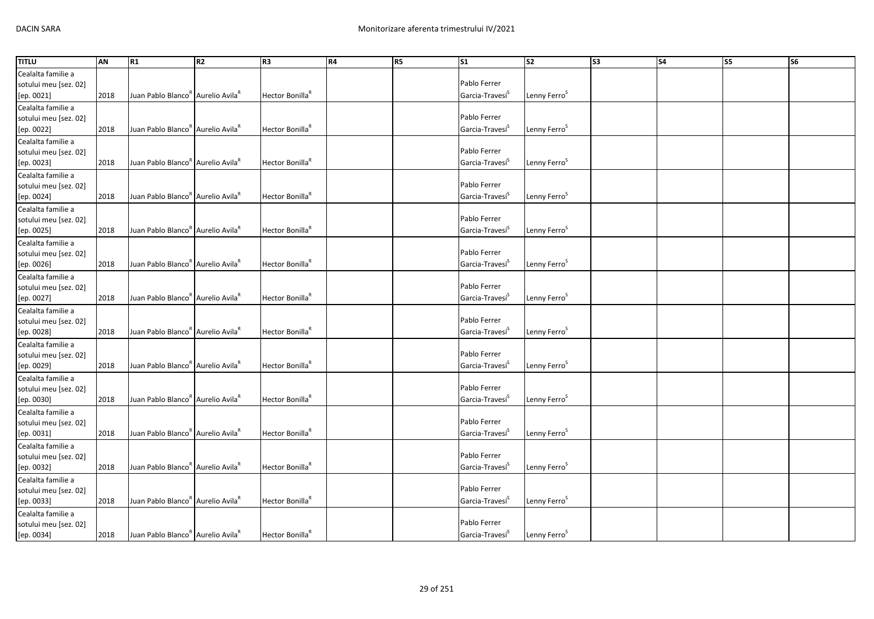| <b>TITLU</b>                        | AN   | R1                                                        | R <sub>2</sub> | R3                          | R4 | R <sub>5</sub> | $\mathsf{S}1$               | <b>S2</b>                | S <sub>3</sub> | <b>S4</b> | S5 | S <sub>6</sub> |
|-------------------------------------|------|-----------------------------------------------------------|----------------|-----------------------------|----|----------------|-----------------------------|--------------------------|----------------|-----------|----|----------------|
| Cealalta familie a                  |      |                                                           |                |                             |    |                |                             |                          |                |           |    |                |
| sotului meu [sez. 02]               |      |                                                           |                |                             |    |                | Pablo Ferrer                |                          |                |           |    |                |
| [ep. 0021]                          | 2018 | Juan Pablo Blanco" Aurelio Avila                          |                | Hector Bonilla <sup>R</sup> |    |                | Garcia-Travesi <sup>S</sup> | Lenny Ferro <sup>5</sup> |                |           |    |                |
| Cealalta familie a                  |      |                                                           |                |                             |    |                |                             |                          |                |           |    |                |
| sotului meu [sez. 02]               |      |                                                           |                |                             |    |                | Pablo Ferrer                |                          |                |           |    |                |
| [ep. 0022]                          | 2018 | Juan Pablo Blanco <sup>R</sup> Aurelio Avila <sup>R</sup> |                | Hector Bonilla <sup>R</sup> |    |                | Garcia-Travesi <sup>S</sup> | Lenny Ferro <sup>5</sup> |                |           |    |                |
| Cealalta familie a                  |      |                                                           |                |                             |    |                |                             |                          |                |           |    |                |
| sotului meu [sez. 02]               |      |                                                           |                |                             |    |                | Pablo Ferrer                |                          |                |           |    |                |
| [ep. 0023]                          | 2018 | Juan Pablo Blanco <sup>R</sup> Aurelio Avila <sup>R</sup> |                | Hector Bonilla <sup>R</sup> |    |                | Garcia-Travesí <sup>S</sup> | Lenny Ferro <sup>S</sup> |                |           |    |                |
| Cealalta familie a                  |      |                                                           |                |                             |    |                |                             |                          |                |           |    |                |
| sotului meu [sez. 02]               |      |                                                           |                |                             |    |                | Pablo Ferrer                |                          |                |           |    |                |
| [ep. 0024]                          | 2018 | Juan Pablo Blanco <sup>R</sup> Aurelio Avila <sup>R</sup> |                | Hector Bonilla <sup>R</sup> |    |                | Garcia-Travesi <sup>S</sup> | Lenny Ferro <sup>S</sup> |                |           |    |                |
| Cealalta familie a                  |      |                                                           |                |                             |    |                |                             |                          |                |           |    |                |
| sotului meu [sez. 02]               |      |                                                           |                |                             |    |                | Pablo Ferrer                |                          |                |           |    |                |
| [ep. 0025]                          | 2018 | Juan Pablo Blanco <sup>R</sup> Aurelio Avila <sup>R</sup> |                | Hector Bonilla <sup>R</sup> |    |                | Garcia-Travesi <sup>5</sup> | Lenny Ferro <sup>S</sup> |                |           |    |                |
| Cealalta familie a                  |      |                                                           |                |                             |    |                |                             |                          |                |           |    |                |
| sotului meu [sez. 02]               |      |                                                           |                |                             |    |                | Pablo Ferrer                |                          |                |           |    |                |
| [ep. 0026]                          | 2018 | Juan Pablo Blanco <sup>k</sup> Aurelio Avila <sup>k</sup> |                | Hector Bonilla <sup>R</sup> |    |                | Garcia-Travesi <sup>5</sup> | Lenny Ferro <sup>S</sup> |                |           |    |                |
| Cealalta familie a                  |      |                                                           |                |                             |    |                |                             |                          |                |           |    |                |
| sotului meu [sez. 02]               |      |                                                           |                |                             |    |                | Pablo Ferrer                |                          |                |           |    |                |
| [ep. 0027]                          | 2018 | Juan Pablo Blanco <sup>k</sup> Aurelio Avila <sup>k</sup> |                | Hector Bonilla <sup>R</sup> |    |                | Garcia-Travesi <sup>5</sup> | Lenny Ferro <sup>S</sup> |                |           |    |                |
| Cealalta familie a                  |      |                                                           |                |                             |    |                |                             |                          |                |           |    |                |
| sotului meu [sez. 02]               |      |                                                           |                |                             |    |                | Pablo Ferrer                |                          |                |           |    |                |
| [ep. 0028]                          | 2018 | Juan Pablo Blanco <sup>k</sup> Aurelio Avila <sup>k</sup> |                | Hector Bonilla <sup>R</sup> |    |                | Garcia-Travesi <sup>5</sup> | Lenny Ferro <sup>S</sup> |                |           |    |                |
| Cealalta familie a                  |      |                                                           |                |                             |    |                |                             |                          |                |           |    |                |
|                                     |      |                                                           |                |                             |    |                | Pablo Ferrer                |                          |                |           |    |                |
| sotului meu [sez. 02]<br>[ep. 0029] | 2018 | Juan Pablo Blanco <sup>R</sup> Aurelio Avila <sup>R</sup> |                | Hector Bonilla <sup>R</sup> |    |                | Garcia-Travesi <sup>5</sup> | Lenny Ferro <sup>5</sup> |                |           |    |                |
| Cealalta familie a                  |      |                                                           |                |                             |    |                |                             |                          |                |           |    |                |
|                                     |      |                                                           |                |                             |    |                | Pablo Ferrer                |                          |                |           |    |                |
| sotului meu [sez. 02]               | 2018 | Juan Pablo Blanco <sup>R</sup> Aurelio Avila <sup>R</sup> |                | Hector Bonilla <sup>R</sup> |    |                | Garcia-Travesí <sup>S</sup> | Lenny Ferro <sup>5</sup> |                |           |    |                |
| [ep. 0030]                          |      |                                                           |                |                             |    |                |                             |                          |                |           |    |                |
| Cealalta familie a                  |      |                                                           |                |                             |    |                | Pablo Ferrer                |                          |                |           |    |                |
| sotului meu [sez. 02]               | 2018 | Juan Pablo Blanco <sup>R</sup> Aurelio Avila <sup>R</sup> |                | Hector Bonilla <sup>R</sup> |    |                | Garcia-Travesi <sup>S</sup> | Lenny Ferro <sup>S</sup> |                |           |    |                |
| [ep. 0031]                          |      |                                                           |                |                             |    |                |                             |                          |                |           |    |                |
| Cealalta familie a                  |      |                                                           |                |                             |    |                | Pablo Ferrer                |                          |                |           |    |                |
| sotului meu [sez. 02]               |      | Juan Pablo Blanco <sup>R</sup> Aurelio Avila <sup>R</sup> |                | Hector Bonilla <sup>R</sup> |    |                |                             |                          |                |           |    |                |
| [ep. 0032]                          | 2018 |                                                           |                |                             |    |                | Garcia-Travesi <sup>S</sup> | Lenny Ferro <sup>S</sup> |                |           |    |                |
| Cealalta familie a                  |      |                                                           |                |                             |    |                | Pablo Ferrer                |                          |                |           |    |                |
| sotului meu [sez. 02]               |      |                                                           |                |                             |    |                |                             |                          |                |           |    |                |
| [ep. 0033]                          | 2018 | Juan Pablo Blanco <sup>R</sup> Aurelio Avila <sup>R</sup> |                | Hector Bonilla <sup>R</sup> |    |                | Garcia-Travesí <sup>5</sup> | Lenny Ferro <sup>S</sup> |                |           |    |                |
| Cealalta familie a                  |      |                                                           |                |                             |    |                |                             |                          |                |           |    |                |
| sotului meu [sez. 02]               |      |                                                           |                |                             |    |                | Pablo Ferrer                |                          |                |           |    |                |
| [ep. 0034]                          | 2018 | Juan Pablo Blanco <sup>R</sup> Aurelio Avila <sup>R</sup> |                | Hector Bonilla <sup>R</sup> |    |                | Garcia-Travesi <sup>S</sup> | Lenny Ferro <sup>S</sup> |                |           |    |                |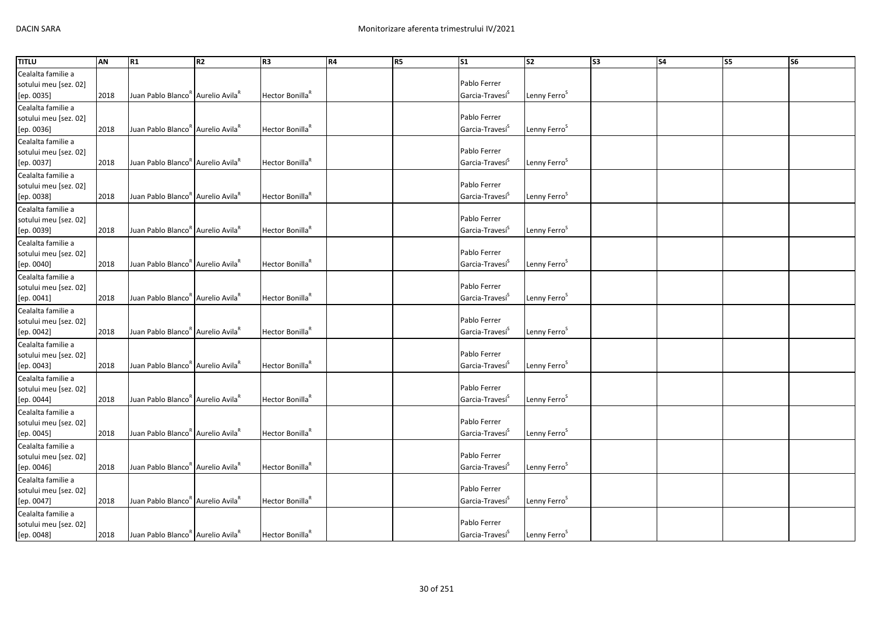| <b>TITLU</b>          | AN   | R1                                                        | R <sub>2</sub> | R3                          | R4 | R <sub>5</sub> | $\mathsf{S}1$               | <b>S2</b>                | S <sub>3</sub> | <b>S4</b> | S5 | S <sub>6</sub> |
|-----------------------|------|-----------------------------------------------------------|----------------|-----------------------------|----|----------------|-----------------------------|--------------------------|----------------|-----------|----|----------------|
| Cealalta familie a    |      |                                                           |                |                             |    |                |                             |                          |                |           |    |                |
| sotului meu [sez. 02] |      |                                                           |                |                             |    |                | Pablo Ferrer                |                          |                |           |    |                |
| [ep. 0035]            | 2018 | Juan Pablo Blanco" Aurelio Avila                          |                | Hector Bonilla <sup>R</sup> |    |                | Garcia-Travesi <sup>S</sup> | Lenny Ferro <sup>5</sup> |                |           |    |                |
| Cealalta familie a    |      |                                                           |                |                             |    |                |                             |                          |                |           |    |                |
| sotului meu [sez. 02] |      |                                                           |                |                             |    |                | Pablo Ferrer                |                          |                |           |    |                |
| [ep. 0036]            | 2018 | Juan Pablo Blanco <sup>R</sup> Aurelio Avila <sup>R</sup> |                | Hector Bonilla <sup>R</sup> |    |                | Garcia-Travesi <sup>S</sup> | Lenny Ferro <sup>5</sup> |                |           |    |                |
| Cealalta familie a    |      |                                                           |                |                             |    |                |                             |                          |                |           |    |                |
| sotului meu [sez. 02] |      |                                                           |                |                             |    |                | Pablo Ferrer                |                          |                |           |    |                |
| [ep. 0037]            | 2018 | Juan Pablo Blanco <sup>R</sup> Aurelio Avila <sup>R</sup> |                | Hector Bonilla <sup>R</sup> |    |                | Garcia-Travesí <sup>S</sup> | Lenny Ferro <sup>S</sup> |                |           |    |                |
| Cealalta familie a    |      |                                                           |                |                             |    |                |                             |                          |                |           |    |                |
| sotului meu [sez. 02] |      |                                                           |                |                             |    |                | Pablo Ferrer                |                          |                |           |    |                |
| [ep. 0038]            | 2018 | Juan Pablo Blanco <sup>R</sup> Aurelio Avila <sup>R</sup> |                | Hector Bonilla <sup>R</sup> |    |                | Garcia-Travesi <sup>S</sup> | Lenny Ferro <sup>S</sup> |                |           |    |                |
| Cealalta familie a    |      |                                                           |                |                             |    |                |                             |                          |                |           |    |                |
| sotului meu [sez. 02] |      |                                                           |                |                             |    |                | Pablo Ferrer                |                          |                |           |    |                |
| [ep. 0039]            | 2018 | Juan Pablo Blanco <sup>R</sup> Aurelio Avila <sup>R</sup> |                | Hector Bonilla <sup>R</sup> |    |                | Garcia-Travesi <sup>5</sup> | Lenny Ferro <sup>S</sup> |                |           |    |                |
| Cealalta familie a    |      |                                                           |                |                             |    |                |                             |                          |                |           |    |                |
| sotului meu [sez. 02] |      |                                                           |                |                             |    |                | Pablo Ferrer                |                          |                |           |    |                |
| [ep. 0040]            | 2018 | Juan Pablo Blanco <sup>k</sup> Aurelio Avila <sup>k</sup> |                | Hector Bonilla <sup>R</sup> |    |                | Garcia-Travesi <sup>5</sup> | Lenny Ferro <sup>S</sup> |                |           |    |                |
|                       |      |                                                           |                |                             |    |                |                             |                          |                |           |    |                |
| Cealalta familie a    |      |                                                           |                |                             |    |                | Pablo Ferrer                |                          |                |           |    |                |
| sotului meu [sez. 02] |      | Juan Pablo Blanco <sup>k</sup> Aurelio Avila <sup>k</sup> |                | Hector Bonilla <sup>R</sup> |    |                | Garcia-Travesi <sup>5</sup> | Lenny Ferro <sup>S</sup> |                |           |    |                |
| [ep. 0041]            | 2018 |                                                           |                |                             |    |                |                             |                          |                |           |    |                |
| Cealalta familie a    |      |                                                           |                |                             |    |                | Pablo Ferrer                |                          |                |           |    |                |
| sotului meu [sez. 02] |      |                                                           |                |                             |    |                |                             |                          |                |           |    |                |
| [ep. 0042]            | 2018 | Juan Pablo Blanco <sup>k</sup> Aurelio Avila <sup>k</sup> |                | Hector Bonilla <sup>R</sup> |    |                | Garcia-Travesi <sup>5</sup> | Lenny Ferro <sup>S</sup> |                |           |    |                |
| Cealalta familie a    |      |                                                           |                |                             |    |                |                             |                          |                |           |    |                |
| sotului meu [sez. 02] |      |                                                           |                |                             |    |                | Pablo Ferrer                |                          |                |           |    |                |
| [ep. 0043]            | 2018 | Juan Pablo Blanco <sup>R</sup> Aurelio Avila <sup>R</sup> |                | Hector Bonilla <sup>R</sup> |    |                | Garcia-Travesi <sup>5</sup> | Lenny Ferro <sup>5</sup> |                |           |    |                |
| Cealalta familie a    |      |                                                           |                |                             |    |                |                             |                          |                |           |    |                |
| sotului meu [sez. 02] |      |                                                           |                |                             |    |                | Pablo Ferrer                |                          |                |           |    |                |
| [ep. 0044]            | 2018 | Juan Pablo Blanco <sup>R</sup> Aurelio Avila <sup>R</sup> |                | Hector Bonilla <sup>R</sup> |    |                | Garcia-Travesí <sup>S</sup> | Lenny Ferro <sup>5</sup> |                |           |    |                |
| Cealalta familie a    |      |                                                           |                |                             |    |                |                             |                          |                |           |    |                |
| sotului meu [sez. 02] |      |                                                           |                |                             |    |                | Pablo Ferrer                |                          |                |           |    |                |
| [ep. 0045]            | 2018 | Juan Pablo Blanco <sup>R</sup> Aurelio Avila <sup>R</sup> |                | Hector Bonilla <sup>R</sup> |    |                | Garcia-Travesi <sup>S</sup> | Lenny Ferro <sup>S</sup> |                |           |    |                |
| Cealalta familie a    |      |                                                           |                |                             |    |                |                             |                          |                |           |    |                |
| sotului meu [sez. 02] |      |                                                           |                |                             |    |                | Pablo Ferrer                |                          |                |           |    |                |
| [ep. 0046]            | 2018 | Juan Pablo Blanco <sup>R</sup> Aurelio Avila <sup>R</sup> |                | Hector Bonilla <sup>R</sup> |    |                | Garcia-Travesi <sup>S</sup> | Lenny Ferro <sup>S</sup> |                |           |    |                |
| Cealalta familie a    |      |                                                           |                |                             |    |                |                             |                          |                |           |    |                |
| sotului meu [sez. 02] |      |                                                           |                |                             |    |                | Pablo Ferrer                |                          |                |           |    |                |
| [ep. 0047]            | 2018 | Juan Pablo Blanco <sup>R</sup> Aurelio Avila <sup>R</sup> |                | Hector Bonilla <sup>R</sup> |    |                | Garcia-Travesí <sup>5</sup> | Lenny Ferro <sup>S</sup> |                |           |    |                |
| Cealalta familie a    |      |                                                           |                |                             |    |                |                             |                          |                |           |    |                |
| sotului meu [sez. 02] |      |                                                           |                |                             |    |                | Pablo Ferrer                |                          |                |           |    |                |
| [ep. 0048]            | 2018 | Juan Pablo Blanco <sup>R</sup> Aurelio Avila <sup>R</sup> |                | Hector Bonilla <sup>R</sup> |    |                | Garcia-Travesi <sup>S</sup> | Lenny Ferro <sup>S</sup> |                |           |    |                |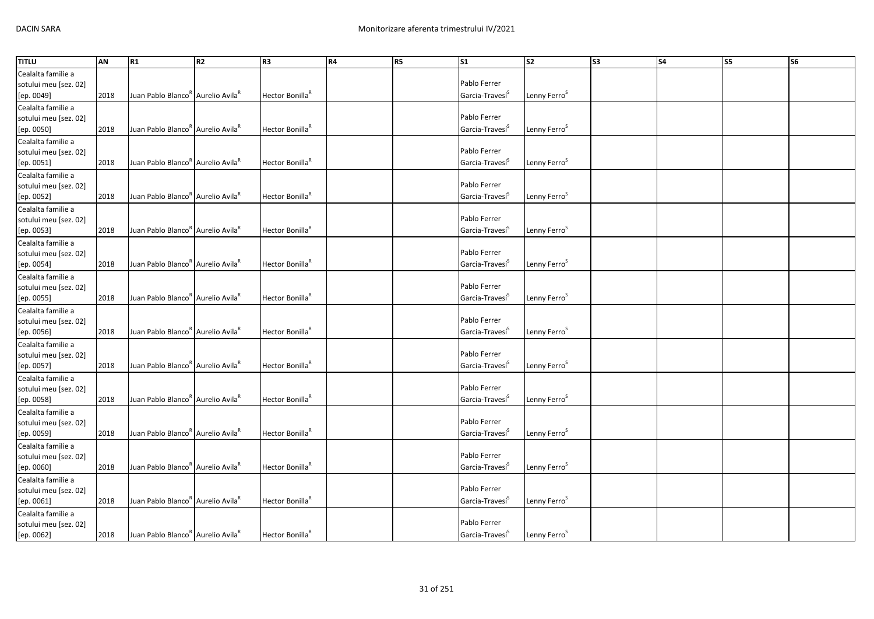| <b>TITLU</b>                                | AN   | R1                                                        | R <sub>2</sub> | R3                          | R4 | R <sub>5</sub> | $\mathsf{S}1$               | <b>S2</b>                | S <sub>3</sub> | <b>S4</b> | S5 | S <sub>6</sub> |
|---------------------------------------------|------|-----------------------------------------------------------|----------------|-----------------------------|----|----------------|-----------------------------|--------------------------|----------------|-----------|----|----------------|
| Cealalta familie a                          |      |                                                           |                |                             |    |                |                             |                          |                |           |    |                |
| sotului meu [sez. 02]                       |      |                                                           |                |                             |    |                | Pablo Ferrer                |                          |                |           |    |                |
| [ep. 0049]                                  | 2018 | Juan Pablo Blanco" Aurelio Avila                          |                | Hector Bonilla <sup>R</sup> |    |                | Garcia-Travesi <sup>S</sup> | Lenny Ferro <sup>5</sup> |                |           |    |                |
| Cealalta familie a                          |      |                                                           |                |                             |    |                |                             |                          |                |           |    |                |
| sotului meu [sez. 02]                       |      |                                                           |                |                             |    |                | Pablo Ferrer                |                          |                |           |    |                |
| [ep. 0050]                                  | 2018 | Juan Pablo Blanco <sup>R</sup> Aurelio Avila <sup>R</sup> |                | Hector Bonilla <sup>R</sup> |    |                | Garcia-Travesi <sup>S</sup> | Lenny Ferro <sup>5</sup> |                |           |    |                |
| Cealalta familie a                          |      |                                                           |                |                             |    |                |                             |                          |                |           |    |                |
| sotului meu [sez. 02]                       |      |                                                           |                |                             |    |                | Pablo Ferrer                |                          |                |           |    |                |
| [ep. 0051]                                  | 2018 | Juan Pablo Blanco <sup>R</sup> Aurelio Avila <sup>R</sup> |                | Hector Bonilla <sup>R</sup> |    |                | Garcia-Travesí <sup>S</sup> | Lenny Ferro <sup>S</sup> |                |           |    |                |
| Cealalta familie a                          |      |                                                           |                |                             |    |                |                             |                          |                |           |    |                |
| sotului meu [sez. 02]                       |      |                                                           |                |                             |    |                | Pablo Ferrer                |                          |                |           |    |                |
| [ep. 0052]                                  | 2018 | Juan Pablo Blanco <sup>R</sup> Aurelio Avila <sup>R</sup> |                | Hector Bonilla <sup>R</sup> |    |                | Garcia-Travesi <sup>S</sup> | Lenny Ferro <sup>S</sup> |                |           |    |                |
| Cealalta familie a                          |      |                                                           |                |                             |    |                |                             |                          |                |           |    |                |
| sotului meu [sez. 02]                       |      |                                                           |                |                             |    |                | Pablo Ferrer                |                          |                |           |    |                |
| [ep. 0053]                                  | 2018 | Juan Pablo Blanco <sup>R</sup> Aurelio Avila <sup>R</sup> |                | Hector Bonilla <sup>R</sup> |    |                | Garcia-Travesi <sup>5</sup> | Lenny Ferro <sup>S</sup> |                |           |    |                |
| Cealalta familie a                          |      |                                                           |                |                             |    |                |                             |                          |                |           |    |                |
| sotului meu [sez. 02]                       |      |                                                           |                |                             |    |                | Pablo Ferrer                |                          |                |           |    |                |
| [ep. 0054]                                  | 2018 | Juan Pablo Blanco <sup>k</sup> Aurelio Avila <sup>k</sup> |                | Hector Bonilla <sup>R</sup> |    |                | Garcia-Travesi <sup>5</sup> | Lenny Ferro <sup>S</sup> |                |           |    |                |
| Cealalta familie a                          |      |                                                           |                |                             |    |                |                             |                          |                |           |    |                |
| sotului meu [sez. 02]                       |      |                                                           |                |                             |    |                | Pablo Ferrer                |                          |                |           |    |                |
| [ep. 0055]                                  | 2018 | Juan Pablo Blanco <sup>k</sup> Aurelio Avila <sup>k</sup> |                | Hector Bonilla <sup>R</sup> |    |                | Garcia-Travesi <sup>5</sup> | Lenny Ferro <sup>S</sup> |                |           |    |                |
| Cealalta familie a                          |      |                                                           |                |                             |    |                |                             |                          |                |           |    |                |
| sotului meu [sez. 02]                       |      |                                                           |                |                             |    |                | Pablo Ferrer                |                          |                |           |    |                |
| [ep. 0056]                                  | 2018 | Juan Pablo Blanco <sup>k</sup> Aurelio Avila <sup>k</sup> |                | Hector Bonilla <sup>R</sup> |    |                | Garcia-Travesi <sup>5</sup> | Lenny Ferro <sup>S</sup> |                |           |    |                |
| Cealalta familie a                          |      |                                                           |                |                             |    |                |                             |                          |                |           |    |                |
| sotului meu [sez. 02]                       |      |                                                           |                |                             |    |                | Pablo Ferrer                |                          |                |           |    |                |
| [ep. 0057]                                  | 2018 | Juan Pablo Blanco <sup>R</sup> Aurelio Avila <sup>R</sup> |                | Hector Bonilla <sup>R</sup> |    |                | Garcia-Travesi <sup>5</sup> | Lenny Ferro <sup>5</sup> |                |           |    |                |
| Cealalta familie a                          |      |                                                           |                |                             |    |                |                             |                          |                |           |    |                |
| sotului meu [sez. 02]                       |      |                                                           |                |                             |    |                | Pablo Ferrer                |                          |                |           |    |                |
| [ep. 0058]                                  | 2018 | Juan Pablo Blanco <sup>R</sup> Aurelio Avila <sup>R</sup> |                | Hector Bonilla <sup>R</sup> |    |                | Garcia-Travesí <sup>S</sup> | Lenny Ferro <sup>5</sup> |                |           |    |                |
| Cealalta familie a                          |      |                                                           |                |                             |    |                |                             |                          |                |           |    |                |
| sotului meu [sez. 02]                       |      |                                                           |                |                             |    |                | Pablo Ferrer                |                          |                |           |    |                |
| [ep. 0059]                                  | 2018 | Juan Pablo Blanco <sup>R</sup> Aurelio Avila <sup>R</sup> |                | Hector Bonilla <sup>R</sup> |    |                | Garcia-Travesi <sup>S</sup> | Lenny Ferro <sup>S</sup> |                |           |    |                |
|                                             |      |                                                           |                |                             |    |                |                             |                          |                |           |    |                |
| Cealalta familie a<br>sotului meu [sez. 02] |      |                                                           |                |                             |    |                | Pablo Ferrer                |                          |                |           |    |                |
| [ep. 0060]                                  | 2018 | Juan Pablo Blanco <sup>R</sup> Aurelio Avila <sup>R</sup> |                | Hector Bonilla <sup>R</sup> |    |                | Garcia-Travesi <sup>S</sup> | Lenny Ferro <sup>S</sup> |                |           |    |                |
| Cealalta familie a                          |      |                                                           |                |                             |    |                |                             |                          |                |           |    |                |
|                                             |      |                                                           |                |                             |    |                | Pablo Ferrer                |                          |                |           |    |                |
| sotului meu [sez. 02]                       | 2018 | Juan Pablo Blanco <sup>R</sup> Aurelio Avila <sup>R</sup> |                | Hector Bonilla <sup>R</sup> |    |                | Garcia-Travesí <sup>5</sup> | Lenny Ferro <sup>S</sup> |                |           |    |                |
| [ep. 0061]                                  |      |                                                           |                |                             |    |                |                             |                          |                |           |    |                |
| Cealalta familie a                          |      |                                                           |                |                             |    |                | Pablo Ferrer                |                          |                |           |    |                |
| sotului meu [sez. 02]<br>[ep. 0062]         |      | Juan Pablo Blanco <sup>R</sup> Aurelio Avila <sup>F</sup> |                | Hector Bonilla <sup>R</sup> |    |                | Garcia-Travesi <sup>S</sup> | Lenny Ferro <sup>S</sup> |                |           |    |                |
|                                             | 2018 |                                                           |                |                             |    |                |                             |                          |                |           |    |                |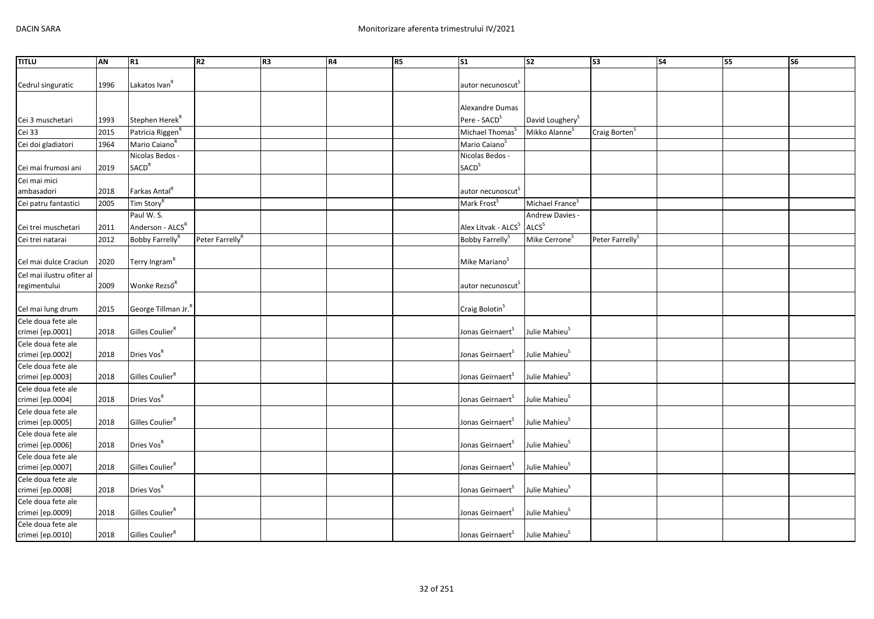| Lakatos Ivan <sup>R</sup><br>Cedrul singuratic<br>1996<br>autor necunoscut <sup>5</sup><br>Alexandre Dumas<br>Pere - SACD <sup>S</sup><br>Stephen Herek <sup>R</sup><br>David Loughery <sup>S</sup><br>Cei 3 muschetari<br>1993<br>Cei 33<br>Patricia Riggen <sup>R</sup><br>Mikko Alanne <sup>S</sup><br>Craig Borten <sup>S</sup><br>2015<br>Michael Thomas <sup>5</sup><br>Mario Caiano <sup>R</sup><br>Mario Caiano <sup>S</sup><br>Cei doi gladiatori<br>1964 | <b>TITLU</b> | AN | R1              | R <sub>2</sub> | R <sub>3</sub> | R4 | R <sub>5</sub> | $\mathsf{S}1$   | S <sub>2</sub> | S <sub>3</sub> | <b>S4</b> | S <sub>5</sub> | S <sub>6</sub> |
|--------------------------------------------------------------------------------------------------------------------------------------------------------------------------------------------------------------------------------------------------------------------------------------------------------------------------------------------------------------------------------------------------------------------------------------------------------------------|--------------|----|-----------------|----------------|----------------|----|----------------|-----------------|----------------|----------------|-----------|----------------|----------------|
|                                                                                                                                                                                                                                                                                                                                                                                                                                                                    |              |    |                 |                |                |    |                |                 |                |                |           |                |                |
|                                                                                                                                                                                                                                                                                                                                                                                                                                                                    |              |    |                 |                |                |    |                |                 |                |                |           |                |                |
|                                                                                                                                                                                                                                                                                                                                                                                                                                                                    |              |    |                 |                |                |    |                |                 |                |                |           |                |                |
|                                                                                                                                                                                                                                                                                                                                                                                                                                                                    |              |    |                 |                |                |    |                |                 |                |                |           |                |                |
|                                                                                                                                                                                                                                                                                                                                                                                                                                                                    |              |    |                 |                |                |    |                |                 |                |                |           |                |                |
|                                                                                                                                                                                                                                                                                                                                                                                                                                                                    |              |    |                 |                |                |    |                |                 |                |                |           |                |                |
|                                                                                                                                                                                                                                                                                                                                                                                                                                                                    |              |    |                 |                |                |    |                |                 |                |                |           |                |                |
|                                                                                                                                                                                                                                                                                                                                                                                                                                                                    |              |    | Nicolas Bedos - |                |                |    |                | Nicolas Bedos - |                |                |           |                |                |
| <b>SACD</b> <sup>S</sup><br><b>SACD<sup>R</sup></b><br>Cei mai frumosi ani<br>2019                                                                                                                                                                                                                                                                                                                                                                                 |              |    |                 |                |                |    |                |                 |                |                |           |                |                |
| Cei mai mici                                                                                                                                                                                                                                                                                                                                                                                                                                                       |              |    |                 |                |                |    |                |                 |                |                |           |                |                |
| Farkas Antal <sup>R</sup><br>autor necunoscut <sup>s</sup><br>ambasadori<br>2018                                                                                                                                                                                                                                                                                                                                                                                   |              |    |                 |                |                |    |                |                 |                |                |           |                |                |
| Michael France <sup>S</sup><br>Tim Story <sup>R</sup><br>Mark Frost <sup>S</sup><br>2005<br>Cei patru fantastici                                                                                                                                                                                                                                                                                                                                                   |              |    |                 |                |                |    |                |                 |                |                |           |                |                |
| Paul W.S.<br>Andrew Davies -                                                                                                                                                                                                                                                                                                                                                                                                                                       |              |    |                 |                |                |    |                |                 |                |                |           |                |                |
| Anderson - ALCS <sup>R</sup><br>Alex Litvak - ALCS <sup>S</sup><br>ALCS <sup>S</sup><br>Cei trei muschetari<br>2011                                                                                                                                                                                                                                                                                                                                                |              |    |                 |                |                |    |                |                 |                |                |           |                |                |
| 2012<br>Bobby Farrelly <sup>R</sup><br>Peter Farrelly <sup>R</sup><br>Mike Cerrone <sup>S</sup><br>Cei trei natarai<br>Bobby Farrelly <sup>S</sup><br>Peter Farrelly <sup>S</sup>                                                                                                                                                                                                                                                                                  |              |    |                 |                |                |    |                |                 |                |                |           |                |                |
|                                                                                                                                                                                                                                                                                                                                                                                                                                                                    |              |    |                 |                |                |    |                |                 |                |                |           |                |                |
| Terry Ingram <sup>R</sup><br>Mike Mariano <sup>S</sup><br>2020<br>Cel mai dulce Craciun                                                                                                                                                                                                                                                                                                                                                                            |              |    |                 |                |                |    |                |                 |                |                |           |                |                |
| Cel mai ilustru ofiter al                                                                                                                                                                                                                                                                                                                                                                                                                                          |              |    |                 |                |                |    |                |                 |                |                |           |                |                |
| Wonke Rezső <sup>R</sup><br>regimentului<br>2009<br>autor necunoscut <sup>5</sup>                                                                                                                                                                                                                                                                                                                                                                                  |              |    |                 |                |                |    |                |                 |                |                |           |                |                |
|                                                                                                                                                                                                                                                                                                                                                                                                                                                                    |              |    |                 |                |                |    |                |                 |                |                |           |                |                |
| Craig Bolotin <sup>S</sup><br>George Tillman Jr.<br>Cel mai lung drum<br>2015                                                                                                                                                                                                                                                                                                                                                                                      |              |    |                 |                |                |    |                |                 |                |                |           |                |                |
| Cele doua fete ale                                                                                                                                                                                                                                                                                                                                                                                                                                                 |              |    |                 |                |                |    |                |                 |                |                |           |                |                |
| Gilles Coulier <sup>R</sup><br>Jonas Geirnaert <sup>S</sup><br>Julie Mahieu <sup>S</sup><br>crimei [ep.0001]<br>2018                                                                                                                                                                                                                                                                                                                                               |              |    |                 |                |                |    |                |                 |                |                |           |                |                |
| Cele doua fete ale                                                                                                                                                                                                                                                                                                                                                                                                                                                 |              |    |                 |                |                |    |                |                 |                |                |           |                |                |
| Dries Vos <sup>R</sup><br>Julie Mahieu <sup>s</sup><br>Jonas Geirnaert <sup>S</sup><br>crimei [ep.0002]<br>2018                                                                                                                                                                                                                                                                                                                                                    |              |    |                 |                |                |    |                |                 |                |                |           |                |                |
| Cele doua fete ale                                                                                                                                                                                                                                                                                                                                                                                                                                                 |              |    |                 |                |                |    |                |                 |                |                |           |                |                |
| Gilles Coulier <sup>R</sup><br>Jonas Geirnaert <sup>S</sup><br>Julie Mahieu <sup>S</sup><br>crimei [ep.0003]<br>2018                                                                                                                                                                                                                                                                                                                                               |              |    |                 |                |                |    |                |                 |                |                |           |                |                |
| Cele doua fete ale                                                                                                                                                                                                                                                                                                                                                                                                                                                 |              |    |                 |                |                |    |                |                 |                |                |           |                |                |
| Dries Vos <sup>R</sup><br>Julie Mahieu <sup>S</sup><br>Jonas Geirnaert <sup>S</sup><br>crimei [ep.0004]<br>2018                                                                                                                                                                                                                                                                                                                                                    |              |    |                 |                |                |    |                |                 |                |                |           |                |                |
| Cele doua fete ale                                                                                                                                                                                                                                                                                                                                                                                                                                                 |              |    |                 |                |                |    |                |                 |                |                |           |                |                |
| Gilles Coulier <sup>R</sup><br>Julie Mahieu <sup>S</sup><br>Jonas Geirnaert <sup>S</sup><br>crimei [ep.0005]<br>2018                                                                                                                                                                                                                                                                                                                                               |              |    |                 |                |                |    |                |                 |                |                |           |                |                |
| Cele doua fete ale                                                                                                                                                                                                                                                                                                                                                                                                                                                 |              |    |                 |                |                |    |                |                 |                |                |           |                |                |
| Dries Vos <sup>R</sup><br>Julie Mahieu <sup>S</sup><br>Jonas Geirnaert <sup>S</sup><br>crimei [ep.0006]<br>2018                                                                                                                                                                                                                                                                                                                                                    |              |    |                 |                |                |    |                |                 |                |                |           |                |                |
| Cele doua fete ale<br>Gilles Coulier <sup>R</sup>                                                                                                                                                                                                                                                                                                                                                                                                                  |              |    |                 |                |                |    |                |                 |                |                |           |                |                |
| crimei [ep.0007]<br>Jonas Geirnaert <sup>S</sup><br>Julie Mahieu <sup>S</sup><br>2018                                                                                                                                                                                                                                                                                                                                                                              |              |    |                 |                |                |    |                |                 |                |                |           |                |                |
| Cele doua fete ale<br>Dries Vos <sup>R</sup><br>Julie Mahieu <sup>S</sup>                                                                                                                                                                                                                                                                                                                                                                                          |              |    |                 |                |                |    |                |                 |                |                |           |                |                |
| crimei [ep.0008]<br>Jonas Geirnaert <sup>S</sup><br>2018                                                                                                                                                                                                                                                                                                                                                                                                           |              |    |                 |                |                |    |                |                 |                |                |           |                |                |
| Cele doua fete ale<br>Gilles Coulier <sup>R</sup><br>Julie Mahieu <sup>S</sup><br>crimei [ep.0009]<br>2018<br>Jonas Geirnaert <sup>S</sup>                                                                                                                                                                                                                                                                                                                         |              |    |                 |                |                |    |                |                 |                |                |           |                |                |
| Cele doua fete ale                                                                                                                                                                                                                                                                                                                                                                                                                                                 |              |    |                 |                |                |    |                |                 |                |                |           |                |                |
| crimei [ep.0010]<br>Gilles Coulier <sup>R</sup><br>Julie Mahieu <sup>S</sup><br>Jonas Geirnaert <sup>S</sup><br>2018                                                                                                                                                                                                                                                                                                                                               |              |    |                 |                |                |    |                |                 |                |                |           |                |                |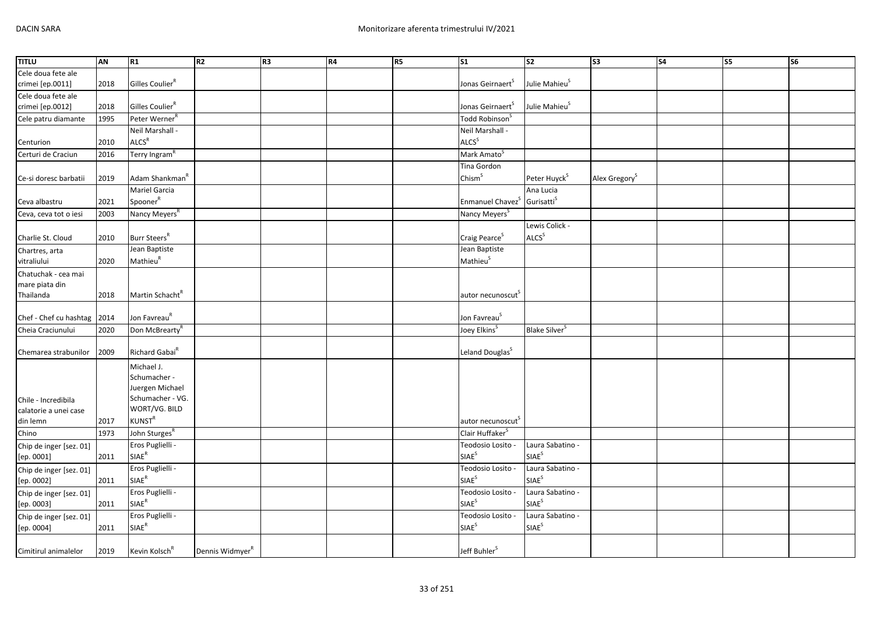| <b>TITLU</b>            | AN   | R1                          | R <sub>2</sub>              | R <sub>3</sub> | R4 | <b>R5</b> | S <sub>1</sub>                | S <sub>2</sub>            | S3                        | S <sub>4</sub> | S5 | S6 |
|-------------------------|------|-----------------------------|-----------------------------|----------------|----|-----------|-------------------------------|---------------------------|---------------------------|----------------|----|----|
| Cele doua fete ale      |      |                             |                             |                |    |           |                               |                           |                           |                |    |    |
| crimei [ep.0011]        | 2018 | Gilles Coulier <sup>R</sup> |                             |                |    |           | Jonas Geirnaert <sup>S</sup>  | Julie Mahieu <sup>S</sup> |                           |                |    |    |
| Cele doua fete ale      |      |                             |                             |                |    |           |                               |                           |                           |                |    |    |
| crimei [ep.0012]        | 2018 | Gilles Coulier <sup>R</sup> |                             |                |    |           | Jonas Geirnaert <sup>5</sup>  | Julie Mahieu <sup>S</sup> |                           |                |    |    |
| Cele patru diamante     | 1995 | Peter Werner <sup>R</sup>   |                             |                |    |           | Todd Robinson <sup>S</sup>    |                           |                           |                |    |    |
|                         |      | Neil Marshall -             |                             |                |    |           | Neil Marshall -               |                           |                           |                |    |    |
| Centurion               | 2010 | ALCS <sup>R</sup>           |                             |                |    |           | ALCS <sup>S</sup>             |                           |                           |                |    |    |
| Certuri de Craciun      | 2016 | Terry Ingram <sup>R</sup>   |                             |                |    |           | Mark Amato <sup>S</sup>       |                           |                           |                |    |    |
|                         |      |                             |                             |                |    |           | Tina Gordon                   |                           |                           |                |    |    |
| Ce-si doresc barbatii   | 2019 | Adam Shankman <sup>"</sup>  |                             |                |    |           | Chism <sup>S</sup>            | Peter Huyck <sup>S</sup>  | Alex Gregory <sup>S</sup> |                |    |    |
|                         |      | Mariel Garcia               |                             |                |    |           |                               | Ana Lucia                 |                           |                |    |    |
| Ceva albastru           | 2021 | Spooner <sup>R</sup>        |                             |                |    |           | Enmanuel Chavez <sup>S</sup>  | Gurisatti <sup>S</sup>    |                           |                |    |    |
| Ceva, ceva tot o iesi   | 2003 | Nancy Meyers <sup>R</sup>   |                             |                |    |           | Nancy Meyers <sup>S</sup>     |                           |                           |                |    |    |
|                         |      |                             |                             |                |    |           |                               | Lewis Colick -            |                           |                |    |    |
| Charlie St. Cloud       | 2010 | Burr Steers <sup>R</sup>    |                             |                |    |           | Craig Pearce <sup>S</sup>     | <b>ALCS</b> <sup>S</sup>  |                           |                |    |    |
| Chartres, arta          |      | Jean Baptiste               |                             |                |    |           | Jean Baptiste                 |                           |                           |                |    |    |
| vitraliului             | 2020 | Mathieu <sup>R</sup>        |                             |                |    |           | Mathieu <sup>S</sup>          |                           |                           |                |    |    |
| Chatuchak - cea mai     |      |                             |                             |                |    |           |                               |                           |                           |                |    |    |
| mare piata din          |      |                             |                             |                |    |           |                               |                           |                           |                |    |    |
| Thailanda               | 2018 | Martin Schacht <sup>R</sup> |                             |                |    |           | autor necunoscut <sup>5</sup> |                           |                           |                |    |    |
|                         |      |                             |                             |                |    |           |                               |                           |                           |                |    |    |
| Chef - Chef cu hashtag  | 2014 | Jon Favreau <sup>R</sup>    |                             |                |    |           | Jon Favreau <sup>S</sup>      |                           |                           |                |    |    |
| Cheia Craciunului       | 2020 | Don McBrearty <sup>R</sup>  |                             |                |    |           | Joey Elkins <sup>S</sup>      | Blake Silver <sup>S</sup> |                           |                |    |    |
|                         |      |                             |                             |                |    |           |                               |                           |                           |                |    |    |
| Chemarea strabunilor    | 2009 | Richard Gabai <sup>R</sup>  |                             |                |    |           | Leland Douglas <sup>S</sup>   |                           |                           |                |    |    |
|                         |      | Michael J.                  |                             |                |    |           |                               |                           |                           |                |    |    |
|                         |      | Schumacher -                |                             |                |    |           |                               |                           |                           |                |    |    |
|                         |      | Juergen Michael             |                             |                |    |           |                               |                           |                           |                |    |    |
| Chile - Incredibila     |      | Schumacher - VG.            |                             |                |    |           |                               |                           |                           |                |    |    |
| calatorie a unei case   |      | WORT/VG. BILD               |                             |                |    |           |                               |                           |                           |                |    |    |
| din lemn                | 2017 | <b>KUNST<sup>R</sup></b>    |                             |                |    |           | autor necunoscut              |                           |                           |                |    |    |
| Chino                   | 1973 | John Sturges <sup>R</sup>   |                             |                |    |           | Clair Huffaker <sup>S</sup>   |                           |                           |                |    |    |
| Chip de inger [sez. 01] |      | Eros Puglielli -            |                             |                |    |           | Teodosio Losito -             | Laura Sabatino -          |                           |                |    |    |
| [ep. 0001]              | 2011 | $\mathsf{SIAE}^\mathsf{R}$  |                             |                |    |           | <b>SIAE</b> <sup>S</sup>      | SIAE <sup>S</sup>         |                           |                |    |    |
| Chip de inger [sez. 01] |      | Eros Puglielli -            |                             |                |    |           | Teodosio Losito -             | Laura Sabatino -          |                           |                |    |    |
| [ep. 0002]              | 2011 | $SIAE^R$                    |                             |                |    |           | <b>SIAE</b> <sup>S</sup>      | SIAE <sup>S</sup>         |                           |                |    |    |
| Chip de inger [sez. 01] |      | Eros Puglielli -            |                             |                |    |           | Teodosio Losito -             | Laura Sabatino -          |                           |                |    |    |
| [ep. 0003]              | 2011 | $\mathsf{SIAE}^\mathsf{R}$  |                             |                |    |           | SIAE <sup>S</sup>             | SIAE <sup>S</sup>         |                           |                |    |    |
| Chip de inger [sez. 01] |      | Eros Puglielli -            |                             |                |    |           | Teodosio Losito -             | Laura Sabatino -          |                           |                |    |    |
| [ep. 0004]              | 2011 | $\mathsf{SIAE}^\mathsf{R}$  |                             |                |    |           | <b>SIAE</b> <sup>S</sup>      | SIAE <sup>S</sup>         |                           |                |    |    |
|                         |      |                             |                             |                |    |           |                               |                           |                           |                |    |    |
| Cimitirul animalelor    | 2019 | Kevin Kolsch <sup>R</sup>   | Dennis Widmyer <sup>R</sup> |                |    |           | Jeff Buhler <sup>S</sup>      |                           |                           |                |    |    |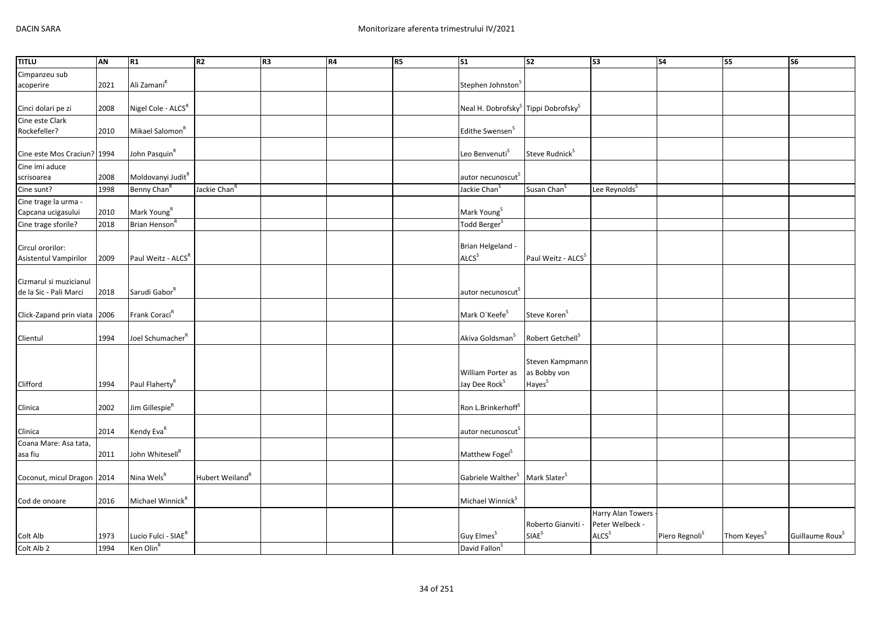| <b>TITLU</b>                 | AN   | R1                              | R <sub>2</sub>           | R <sub>3</sub> | R4 | R <sub>5</sub> | S <sub>1</sub>                                              | S <sub>2</sub>                 | S <sub>3</sub>            | <b>S4</b>                  | S5                      | S6                          |
|------------------------------|------|---------------------------------|--------------------------|----------------|----|----------------|-------------------------------------------------------------|--------------------------------|---------------------------|----------------------------|-------------------------|-----------------------------|
| Cimpanzeu sub                |      |                                 |                          |                |    |                |                                                             |                                |                           |                            |                         |                             |
| acoperire                    | 2021 | Ali Zamani <sup>R</sup>         |                          |                |    |                | Stephen Johnston                                            |                                |                           |                            |                         |                             |
|                              |      |                                 |                          |                |    |                |                                                             |                                |                           |                            |                         |                             |
| Cinci dolari pe zi           | 2008 | Nigel Cole - ALCS <sup>R</sup>  |                          |                |    |                | Neal H. Dobrofsky <sup>S</sup> Tippi Dobrofsky <sup>S</sup> |                                |                           |                            |                         |                             |
| Cine este Clark              |      |                                 |                          |                |    |                |                                                             |                                |                           |                            |                         |                             |
| Rockefeller?                 | 2010 | Mikael Salomon <sup>R</sup>     |                          |                |    |                | Edithe Swensen <sup>S</sup>                                 |                                |                           |                            |                         |                             |
|                              |      |                                 |                          |                |    |                |                                                             |                                |                           |                            |                         |                             |
| Cine este Mos Craciun? 1994  |      | John Pasquin <sup>R</sup>       |                          |                |    |                | Leo Benvenuti <sup>S</sup>                                  | Steve Rudnick <sup>S</sup>     |                           |                            |                         |                             |
| Cine imi aduce               |      |                                 |                          |                |    |                |                                                             |                                |                           |                            |                         |                             |
| scrisoarea                   | 2008 | Moldovanyi Judit <sup>R</sup>   |                          |                |    |                | autor necunoscut <sup>s</sup>                               |                                |                           |                            |                         |                             |
| Cine sunt?                   | 1998 | Benny Chan <sup>R</sup>         | Jackie Chan <sup>R</sup> |                |    |                | Jackie Chan <sup>S</sup>                                    | Susan Chan <sup>S</sup>        | Lee Reynolds <sup>S</sup> |                            |                         |                             |
| Cine trage la urma -         |      |                                 |                          |                |    |                |                                                             |                                |                           |                            |                         |                             |
| Capcana ucigasului           | 2010 | Mark Young <sup>R</sup>         |                          |                |    |                | Mark Young <sup>S</sup>                                     |                                |                           |                            |                         |                             |
| Cine trage sforile?          | 2018 | Brian Henson <sup>R</sup>       |                          |                |    |                | Todd Berger <sup>S</sup>                                    |                                |                           |                            |                         |                             |
|                              |      |                                 |                          |                |    |                |                                                             |                                |                           |                            |                         |                             |
| Circul ororilor:             |      |                                 |                          |                |    |                | Brian Helgeland -                                           |                                |                           |                            |                         |                             |
| Asistentul Vampirilor        | 2009 | Paul Weitz - ALCSR              |                          |                |    |                | ALCS <sup>S</sup>                                           | Paul Weitz - ALCS <sup>S</sup> |                           |                            |                         |                             |
|                              |      |                                 |                          |                |    |                |                                                             |                                |                           |                            |                         |                             |
| Cizmarul si muzicianul       |      |                                 |                          |                |    |                |                                                             |                                |                           |                            |                         |                             |
| de la Sic - Pali Marci       | 2018 | Sarudi Gabor <sup>R</sup>       |                          |                |    |                | autor necunoscut                                            |                                |                           |                            |                         |                             |
| Click-Zapand prin viata 2006 |      | Frank Coraci <sup>R</sup>       |                          |                |    |                | Mark O'Keefe <sup>S</sup>                                   | Steve Koren <sup>S</sup>       |                           |                            |                         |                             |
|                              |      |                                 |                          |                |    |                |                                                             |                                |                           |                            |                         |                             |
| Clientul                     | 1994 | Joel Schumacher <sup>R</sup>    |                          |                |    |                | Akiva Goldsman <sup>S</sup>                                 | Robert Getchell <sup>S</sup>   |                           |                            |                         |                             |
|                              |      |                                 |                          |                |    |                |                                                             |                                |                           |                            |                         |                             |
|                              |      |                                 |                          |                |    |                |                                                             | Steven Kampmann                |                           |                            |                         |                             |
|                              |      |                                 |                          |                |    |                | William Porter as                                           | as Bobby von                   |                           |                            |                         |                             |
| Clifford                     | 1994 | Paul Flaherty <sup>R</sup>      |                          |                |    |                | Jay Dee Rock <sup>S</sup>                                   | Hayes <sup>S</sup>             |                           |                            |                         |                             |
|                              |      |                                 |                          |                |    |                |                                                             |                                |                           |                            |                         |                             |
| Clinica                      | 2002 | Jim Gillespie <sup>R</sup>      |                          |                |    |                | Ron L.Brinkerhoff <sup>S</sup>                              |                                |                           |                            |                         |                             |
|                              |      |                                 |                          |                |    |                |                                                             |                                |                           |                            |                         |                             |
| Clinica                      | 2014 | Kendy Eva <sup>R</sup>          |                          |                |    |                | autor necunoscut                                            |                                |                           |                            |                         |                             |
| Coana Mare: Asa tata,        |      |                                 |                          |                |    |                |                                                             |                                |                           |                            |                         |                             |
| asa fiu                      | 2011 | John Whitesell <sup>R</sup>     |                          |                |    |                | Matthew Fogel <sup>S</sup>                                  |                                |                           |                            |                         |                             |
|                              |      |                                 |                          |                |    |                |                                                             |                                |                           |                            |                         |                             |
| Coconut, micul Dragon 2014   |      | Nina Wels <sup>R</sup>          | Hubert Weiland"          |                |    |                | Gabriele Walther <sup>S</sup>                               | Mark Slater <sup>S</sup>       |                           |                            |                         |                             |
|                              |      |                                 |                          |                |    |                |                                                             |                                |                           |                            |                         |                             |
| Cod de onoare                | 2016 | Michael Winnick <sup>R</sup>    |                          |                |    |                | Michael Winnick <sup>S</sup>                                |                                |                           |                            |                         |                             |
|                              |      |                                 |                          |                |    |                |                                                             |                                | Harry Alan Towers         |                            |                         |                             |
|                              |      |                                 |                          |                |    |                |                                                             | Roberto Gianviti -             | Peter Welbeck -           |                            |                         |                             |
| Colt Alb                     | 1973 | Lucio Fulci - SIAE <sup>R</sup> |                          |                |    |                | Guy Elmes <sup>S</sup>                                      | SIAE <sup>S</sup>              | ALCS <sup>S</sup>         | Piero Regnoli <sup>S</sup> | Thom Keyes <sup>S</sup> | Guillaume Roux <sup>S</sup> |
| Colt Alb 2                   | 1994 | Ken Olin <sup>R</sup>           |                          |                |    |                | David Fallon <sup>S</sup>                                   |                                |                           |                            |                         |                             |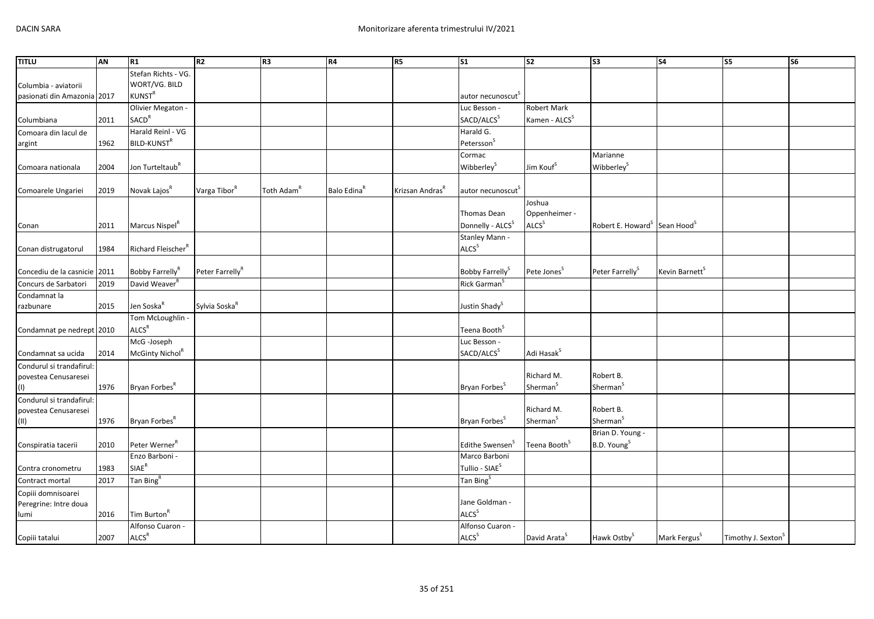| <b>TITLU</b>                 | AN   | R1                                    | R <sub>2</sub>              | R <sub>3</sub>         | R4                      | R5                          | S <sub>1</sub>                               | S <sub>2</sub>            | $\overline{\text{S3}}$                               | S <sub>4</sub>             | S5                             | S <sub>6</sub> |
|------------------------------|------|---------------------------------------|-----------------------------|------------------------|-------------------------|-----------------------------|----------------------------------------------|---------------------------|------------------------------------------------------|----------------------------|--------------------------------|----------------|
|                              |      | Stefan Richts - VG.                   |                             |                        |                         |                             |                                              |                           |                                                      |                            |                                |                |
| Columbia - aviatorii         |      | WORT/VG. BILD                         |                             |                        |                         |                             |                                              |                           |                                                      |                            |                                |                |
| pasionati din Amazonia 2017  |      | <b>KUNST<sup>R</sup></b>              |                             |                        |                         |                             | autor necunoscut                             |                           |                                                      |                            |                                |                |
|                              |      | Olivier Megaton -                     |                             |                        |                         |                             | Luc Besson -                                 | Robert Mark               |                                                      |                            |                                |                |
| Columbiana                   | 2011 | <b>SACD<sup>R</sup></b>               |                             |                        |                         |                             | SACD/ALCS <sup>S</sup>                       | Kamen - ALCS <sup>S</sup> |                                                      |                            |                                |                |
| Comoara din lacul de         |      | Harald Reinl - VG                     |                             |                        |                         |                             | Harald G.                                    |                           |                                                      |                            |                                |                |
| argint                       | 1962 | BILD-KUNST <sup>R</sup>               |                             |                        |                         |                             | Petersson <sup>S</sup>                       |                           |                                                      |                            |                                |                |
|                              |      |                                       |                             |                        |                         |                             | Cormac                                       |                           | Marianne                                             |                            |                                |                |
| Comoara nationala            | 2004 | Jon Turteltaub <sup>R</sup>           |                             |                        |                         |                             | Wibberley <sup>S</sup>                       | Jim Kouf <sup>S</sup>     | Wibberley <sup>S</sup>                               |                            |                                |                |
|                              |      |                                       |                             |                        |                         |                             |                                              |                           |                                                      |                            |                                |                |
| Comoarele Ungariei           | 2019 | Novak Lajos <sup>R</sup>              | Varga Tibor <sup>R</sup>    | Toth Adam <sup>R</sup> | Balo Edina <sup>R</sup> | Krizsan Andras <sup>R</sup> | autor necunoscut <sup>S</sup>                |                           |                                                      |                            |                                |                |
|                              |      |                                       |                             |                        |                         |                             |                                              | Joshua                    |                                                      |                            |                                |                |
|                              |      |                                       |                             |                        |                         |                             | Thomas Dean                                  | Oppenheimer -             |                                                      |                            |                                |                |
| Conan                        | 2011 | Marcus Nispel <sup>R</sup>            |                             |                        |                         |                             | Donnelly - ALCS <sup>S</sup>                 | ALCS <sup>S</sup>         | Robert E. Howard <sup>S</sup> Sean Hood <sup>S</sup> |                            |                                |                |
|                              |      |                                       |                             |                        |                         |                             | Stanley Mann -                               |                           |                                                      |                            |                                |                |
| Conan distrugatorul          | 1984 | Richard Fleischer <sup>R</sup>        |                             |                        |                         |                             | ALCS <sup>S</sup>                            |                           |                                                      |                            |                                |                |
|                              |      |                                       |                             |                        |                         |                             |                                              |                           |                                                      |                            |                                |                |
| Concediu de la casnicie 2011 |      | Bobby Farrelly <sup>R</sup>           | Peter Farrelly <sup>R</sup> |                        |                         |                             | Bobby Farrelly <sup>S</sup>                  | Pete Jones <sup>S</sup>   | Peter Farrelly <sup>S</sup>                          | Kevin Barnett <sup>S</sup> |                                |                |
| Concurs de Sarbatori         | 2019 | David Weaver <sup>R</sup>             |                             |                        |                         |                             | Rick Garman <sup>S</sup>                     |                           |                                                      |                            |                                |                |
| Condamnat la                 |      |                                       |                             |                        |                         |                             |                                              |                           |                                                      |                            |                                |                |
| razbunare                    | 2015 | Jen Soska <sup>R</sup>                | Sylvia Soska <sup>R</sup>   |                        |                         |                             | Justin Shady <sup>S</sup>                    |                           |                                                      |                            |                                |                |
|                              |      | Tom McLoughlin -                      |                             |                        |                         |                             |                                              |                           |                                                      |                            |                                |                |
| Condamnat pe nedrept 2010    |      | ALCS <sup>R</sup>                     |                             |                        |                         |                             | Teena Booth <sup>S</sup>                     |                           |                                                      |                            |                                |                |
|                              |      | McG -Joseph                           |                             |                        |                         |                             | Luc Besson -                                 |                           |                                                      |                            |                                |                |
| Condamnat sa ucida           | 2014 | McGinty Nichol <sup>R</sup>           |                             |                        |                         |                             | SACD/ALCS <sup>S</sup>                       | Adi Hasak <sup>S</sup>    |                                                      |                            |                                |                |
| Condurul si trandafirul:     |      |                                       |                             |                        |                         |                             |                                              |                           |                                                      |                            |                                |                |
| povestea Cenusaresei         |      |                                       |                             |                        |                         |                             |                                              | Richard M.                | Robert B.                                            |                            |                                |                |
| (1)                          | 1976 | Bryan Forbes <sup>R</sup>             |                             |                        |                         |                             | Bryan Forbes <sup>S</sup>                    | Sherman <sup>S</sup>      | Sherman <sup>S</sup>                                 |                            |                                |                |
| Condurul si trandafirul:     |      |                                       |                             |                        |                         |                             |                                              |                           |                                                      |                            |                                |                |
| povestea Cenusaresei         |      |                                       |                             |                        |                         |                             |                                              | Richard M.                | Robert B.                                            |                            |                                |                |
| $(\sf{II})$                  | 1976 | Bryan Forbes <sup>R</sup>             |                             |                        |                         |                             | Bryan Forbes <sup>S</sup>                    | Sherman <sup>S</sup>      | Sherman <sup>S</sup>                                 |                            |                                |                |
|                              |      |                                       |                             |                        |                         |                             |                                              |                           | Brian D. Young -                                     |                            |                                |                |
| Conspiratia tacerii          | 2010 | Peter Werner <sup>R</sup>             |                             |                        |                         |                             | Edithe Swensen <sup>3</sup>                  | Teena Booth <sup>S</sup>  | B.D. Young <sup>S</sup>                              |                            |                                |                |
|                              |      | Enzo Barboni -                        |                             |                        |                         |                             | Marco Barboni                                |                           |                                                      |                            |                                |                |
| Contra cronometru            | 1983 | $SIAE^R$                              |                             |                        |                         |                             | Tullio - SIAE <sup>S</sup>                   |                           |                                                      |                            |                                |                |
| Contract mortal              | 2017 | Tan Bing <sup>R</sup>                 |                             |                        |                         |                             | Tan Bing <sup>S</sup>                        |                           |                                                      |                            |                                |                |
| Copiii domnisoarei           |      |                                       |                             |                        |                         |                             |                                              |                           |                                                      |                            |                                |                |
| Peregrine: Intre doua        |      |                                       |                             |                        |                         |                             | Jane Goldman -<br><b>ALCS</b> <sup>S</sup>   |                           |                                                      |                            |                                |                |
| lumi                         | 2016 | Tim Burton <sup>R</sup>               |                             |                        |                         |                             |                                              |                           |                                                      |                            |                                |                |
|                              |      | Alfonso Cuaron -<br>ALCS <sup>R</sup> |                             |                        |                         |                             | Alfonso Cuaron -<br><b>ALCS</b> <sup>S</sup> |                           |                                                      |                            |                                |                |
| Copiii tatalui               | 2007 |                                       |                             |                        |                         |                             |                                              | David Arata <sup>S</sup>  | Hawk Ostby <sup>S</sup>                              | Mark Fergus <sup>S</sup>   | Timothy J. Sexton <sup>S</sup> |                |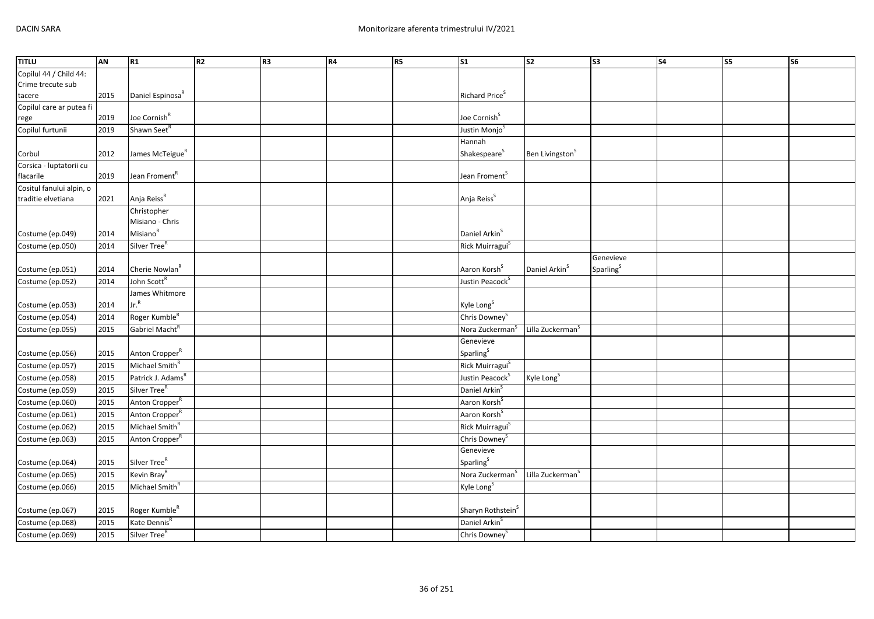| <b>TITLU</b>             | AN   | R1                                 | R <sub>2</sub> | R <sub>3</sub> | R4 | R5 | <b>S1</b>                     | $\overline{\text{S2}}$       | S <sub>3</sub>        | $\overline{\text{S4}}$ | $\overline{\text{S}}$ | <b>S6</b> |
|--------------------------|------|------------------------------------|----------------|----------------|----|----|-------------------------------|------------------------------|-----------------------|------------------------|-----------------------|-----------|
| Copilul 44 / Child 44:   |      |                                    |                |                |    |    |                               |                              |                       |                        |                       |           |
| Crime trecute sub        |      |                                    |                |                |    |    |                               |                              |                       |                        |                       |           |
| tacere                   | 2015 | Daniel Espinosa <sup>R</sup>       |                |                |    |    | Richard Price <sup>S</sup>    |                              |                       |                        |                       |           |
| Copilul care ar putea fi |      |                                    |                |                |    |    |                               |                              |                       |                        |                       |           |
| rege                     | 2019 | Joe Cornish <sup>R</sup>           |                |                |    |    | Joe Cornish <sup>S</sup>      |                              |                       |                        |                       |           |
| Copilul furtunii         | 2019 | Shawn Seet <sup>R</sup>            |                |                |    |    | Justin Monjo <sup>S</sup>     |                              |                       |                        |                       |           |
|                          |      |                                    |                |                |    |    | Hannah                        |                              |                       |                        |                       |           |
| Corbul                   | 2012 | James McTeigue <sup>R</sup>        |                |                |    |    | Shakespeare <sup>S</sup>      | Ben Livingston <sup>S</sup>  |                       |                        |                       |           |
| Corsica - luptatorii cu  |      |                                    |                |                |    |    |                               |                              |                       |                        |                       |           |
| flacarile                | 2019 | Jean Froment <sup>R</sup>          |                |                |    |    | Jean Froment <sup>S</sup>     |                              |                       |                        |                       |           |
| Cositul fanului alpin, o |      |                                    |                |                |    |    |                               |                              |                       |                        |                       |           |
| traditie elvetiana       | 2021 | Anja Reiss <sup>R</sup>            |                |                |    |    | Anja Reiss <sup>S</sup>       |                              |                       |                        |                       |           |
|                          |      | Christopher<br>Misiano - Chris     |                |                |    |    |                               |                              |                       |                        |                       |           |
|                          |      | Misiano <sup>R</sup>               |                |                |    |    | Daniel Arkin <sup>S</sup>     |                              |                       |                        |                       |           |
| Costume (ep.049)         | 2014 | Silver Tree <sup>R</sup>           |                |                |    |    |                               |                              |                       |                        |                       |           |
| Costume (ep.050)         | 2014 |                                    |                |                |    |    | Rick Muirragui <sup>S</sup>   |                              |                       |                        |                       |           |
|                          |      |                                    |                |                |    |    | Aaron Korsh <sup>S</sup>      |                              | Genevieve             |                        |                       |           |
| Costume (ep.051)         | 2014 | Cherie Nowlan <sup>R</sup>         |                |                |    |    |                               | Daniel Arkin <sup>S</sup>    | Sparling <sup>S</sup> |                        |                       |           |
| Costume (ep.052)         | 2014 | John Scott <sup>R</sup>            |                |                |    |    | Justin Peacock <sup>S</sup>   |                              |                       |                        |                       |           |
|                          |      | James Whitmore<br>Jr. <sup>R</sup> |                |                |    |    |                               |                              |                       |                        |                       |           |
| Costume (ep.053)         | 2014 |                                    |                |                |    |    | Kyle Long <sup>S</sup>        |                              |                       |                        |                       |           |
| Costume (ep.054)         | 2014 | Roger Kumble <sup>R</sup>          |                |                |    |    | Chris Downey <sup>S</sup>     |                              |                       |                        |                       |           |
| Costume (ep.055)         | 2015 | Gabriel Macht <sup>R</sup>         |                |                |    |    | Nora Zuckerman <sup>S</sup>   | Lilla Zuckerman <sup>5</sup> |                       |                        |                       |           |
|                          |      |                                    |                |                |    |    | Genevieve                     |                              |                       |                        |                       |           |
| Costume (ep.056)         | 2015 | Anton Cropper <sup>R</sup>         |                |                |    |    | Sparling <sup>S</sup>         |                              |                       |                        |                       |           |
| Costume (ep.057)         | 2015 | Michael Smith <sup>R</sup>         |                |                |    |    | Rick Muirragui <sup>S</sup>   |                              |                       |                        |                       |           |
| Costume (ep.058)         | 2015 | Patrick J. Adams <sup>R</sup>      |                |                |    |    | Justin Peacock <sup>S</sup>   | Kyle Long <sup>S</sup>       |                       |                        |                       |           |
| Costume (ep.059)         | 2015 | Silver Tree <sup>R</sup>           |                |                |    |    | Daniel Arkin <sup>S</sup>     |                              |                       |                        |                       |           |
| Costume (ep.060)         | 2015 | Anton Cropper <sup>R</sup>         |                |                |    |    | Aaron Korsh <sup>S</sup>      |                              |                       |                        |                       |           |
| Costume (ep.061)         | 2015 | Anton Cropper <sup>R</sup>         |                |                |    |    | Aaron Korsh <sup>S</sup>      |                              |                       |                        |                       |           |
| Costume (ep.062)         | 2015 | Michael Smith <sup>R</sup>         |                |                |    |    | Rick Muirragui <sup>S</sup>   |                              |                       |                        |                       |           |
| Costume (ep.063)         | 2015 | Anton Cropper <sup>R</sup>         |                |                |    |    | Chris Downey <sup>S</sup>     |                              |                       |                        |                       |           |
|                          |      |                                    |                |                |    |    | Genevieve                     |                              |                       |                        |                       |           |
| Costume (ep.064)         | 2015 | Silver Tree <sup>R</sup>           |                |                |    |    | Sparling <sup>S</sup>         |                              |                       |                        |                       |           |
| Costume (ep.065)         | 2015 | Kevin Bray <sup>R</sup>            |                |                |    |    | Nora Zuckerman <sup>S</sup>   | Lilla Zuckerman <sup>S</sup> |                       |                        |                       |           |
| Costume (ep.066)         | 2015 | Michael Smith <sup>R</sup>         |                |                |    |    | Kyle Long <sup>S</sup>        |                              |                       |                        |                       |           |
|                          |      |                                    |                |                |    |    |                               |                              |                       |                        |                       |           |
| Costume (ep.067)         | 2015 | Roger Kumble <sup>R</sup>          |                |                |    |    | Sharyn Rothstein <sup>S</sup> |                              |                       |                        |                       |           |
| Costume (ep.068)         | 2015 | Kate Dennis <sup>R</sup>           |                |                |    |    | Daniel Arkin <sup>S</sup>     |                              |                       |                        |                       |           |
| Costume (ep.069)         | 2015 | Silver Tree <sup>R</sup>           |                |                |    |    | Chris Downey <sup>S</sup>     |                              |                       |                        |                       |           |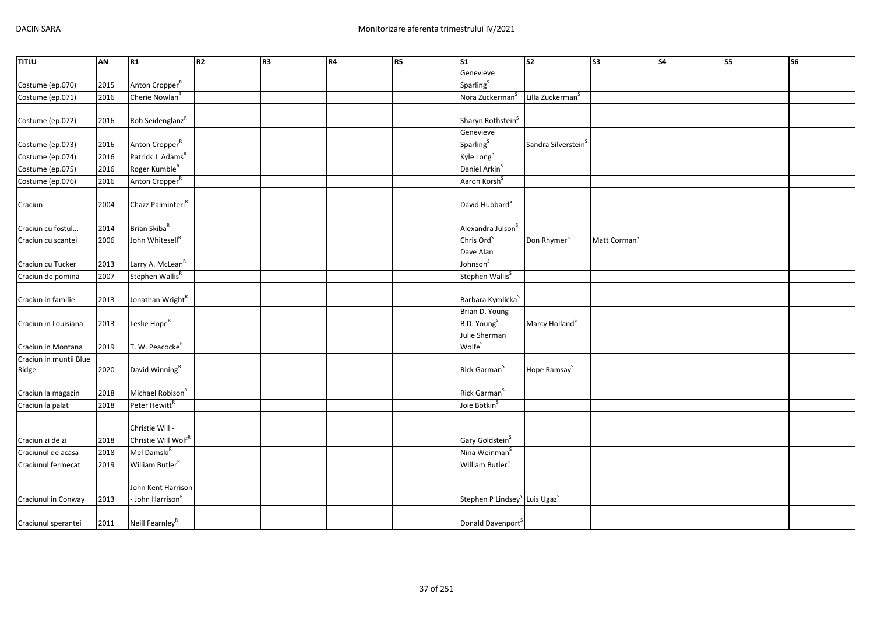| <b>TITLU</b>           | AN   | R1                                                 | R <sub>2</sub> | R <sub>3</sub> | R4 | R <sub>5</sub> | S <sub>1</sub>                                        | s <sub>2</sub>                  | S <sub>3</sub>           | <b>S4</b> | S5 | S <sub>6</sub> |
|------------------------|------|----------------------------------------------------|----------------|----------------|----|----------------|-------------------------------------------------------|---------------------------------|--------------------------|-----------|----|----------------|
|                        |      |                                                    |                |                |    |                | Genevieve                                             |                                 |                          |           |    |                |
| Costume (ep.070)       | 2015 | Anton Cropper <sup>R</sup>                         |                |                |    |                | Sparling <sup>S</sup>                                 |                                 |                          |           |    |                |
| Costume (ep.071)       | 2016 | Cherie Nowlan                                      |                |                |    |                | Nora Zuckerman <sup>S</sup>                           | Lilla Zuckerman <sup>5</sup>    |                          |           |    |                |
|                        |      |                                                    |                |                |    |                |                                                       |                                 |                          |           |    |                |
| Costume (ep.072)       | 2016 | Rob Seidenglanz <sup>R</sup>                       |                |                |    |                | Sharyn Rothstein <sup>S</sup>                         |                                 |                          |           |    |                |
|                        |      |                                                    |                |                |    |                | Genevieve                                             |                                 |                          |           |    |                |
| Costume (ep.073)       | 2016 | Anton Cropper <sup>R</sup>                         |                |                |    |                | Sparling <sup>S</sup>                                 | Sandra Silverstein <sup>5</sup> |                          |           |    |                |
| Costume (ep.074)       | 2016 | Patrick J. Adams <sup>R</sup>                      |                |                |    |                | Kyle Long <sup>S</sup>                                |                                 |                          |           |    |                |
| Costume (ep.075)       | 2016 | Roger Kumble <sup>R</sup>                          |                |                |    |                | Daniel Arkin <sup>5</sup>                             |                                 |                          |           |    |                |
| Costume (ep.076)       | 2016 | Anton Cropper <sup>R</sup>                         |                |                |    |                | Aaron Korsh <sup>5</sup>                              |                                 |                          |           |    |                |
| Craciun                | 2004 | Chazz Palminteri <sup>R</sup>                      |                |                |    |                | David Hubbard <sup>S</sup>                            |                                 |                          |           |    |                |
|                        |      |                                                    |                |                |    |                |                                                       |                                 |                          |           |    |                |
| Craciun cu fostul      | 2014 | Brian Skiba <sup>R</sup>                           |                |                |    |                | Alexandra Julson <sup>S</sup>                         |                                 |                          |           |    |                |
| Craciun cu scantei     | 2006 | John Whitesell <sup>R</sup>                        |                |                |    |                | Chris Ord <sup>S</sup>                                | Don Rhymer <sup>S</sup>         | Matt Corman <sup>S</sup> |           |    |                |
|                        |      |                                                    |                |                |    |                | Dave Alan                                             |                                 |                          |           |    |                |
| Craciun cu Tucker      | 2013 | Larry A. McLean <sup>R</sup>                       |                |                |    |                | Johnson <sup>S</sup>                                  |                                 |                          |           |    |                |
| Craciun de pomina      | 2007 | Stephen Wallis <sup>R</sup>                        |                |                |    |                | Stephen Wallis <sup>S</sup>                           |                                 |                          |           |    |                |
| Craciun in familie     | 2013 | Jonathan Wright <sup>R</sup>                       |                |                |    |                | Barbara Kymlicka <sup>S</sup>                         |                                 |                          |           |    |                |
|                        |      |                                                    |                |                |    |                | Brian D. Young -                                      |                                 |                          |           |    |                |
| Craciun in Louisiana   | 2013 | Leslie Hope <sup>R</sup>                           |                |                |    |                | B.D. Young <sup>S</sup>                               | Marcy Holland <sup>S</sup>      |                          |           |    |                |
|                        |      |                                                    |                |                |    |                | Julie Sherman                                         |                                 |                          |           |    |                |
| Craciun in Montana     | 2019 | T. W. Peacocke <sup>R</sup>                        |                |                |    |                | <b>Wolfe</b> <sup>S</sup>                             |                                 |                          |           |    |                |
| Craciun in muntii Blue |      |                                                    |                |                |    |                |                                                       |                                 |                          |           |    |                |
| Ridge                  | 2020 | David Winning <sup>R</sup>                         |                |                |    |                | Rick Garman <sup>S</sup>                              | Hope Ramsay <sup>S</sup>        |                          |           |    |                |
|                        |      |                                                    |                |                |    |                |                                                       |                                 |                          |           |    |                |
| Craciun la magazin     | 2018 | Michael Robison <sup>R</sup>                       |                |                |    |                | Rick Garman <sup>S</sup>                              |                                 |                          |           |    |                |
| Craciun la palat       | 2018 | Peter Hewitt <sup>R</sup>                          |                |                |    |                | Joie Botkin <sup>S</sup>                              |                                 |                          |           |    |                |
|                        |      |                                                    |                |                |    |                |                                                       |                                 |                          |           |    |                |
|                        |      | Christie Will -                                    |                |                |    |                |                                                       |                                 |                          |           |    |                |
| Craciun zi de zi       | 2018 | Christie Will Wolf <sup>R</sup>                    |                |                |    |                | Gary Goldstein <sup>S</sup>                           |                                 |                          |           |    |                |
| Craciunul de acasa     | 2018 | Mel Damski <sup>R</sup>                            |                |                |    |                | Nina Weinman <sup>S</sup>                             |                                 |                          |           |    |                |
| Craciunul fermecat     | 2019 | William Butler <sup>R</sup>                        |                |                |    |                | William Butler <sup>S</sup>                           |                                 |                          |           |    |                |
|                        |      |                                                    |                |                |    |                |                                                       |                                 |                          |           |    |                |
|                        |      | John Kent Harrison<br>- John Harrison <sup>R</sup> |                |                |    |                |                                                       |                                 |                          |           |    |                |
| Craciunul in Conway    | 2013 |                                                    |                |                |    |                | Stephen P Lindsey <sup>S</sup> Luis Ugaz <sup>S</sup> |                                 |                          |           |    |                |
| Craciunul sperantei    | 2011 | Neill Fearnley <sup>R</sup>                        |                |                |    |                | Donald Davenport                                      |                                 |                          |           |    |                |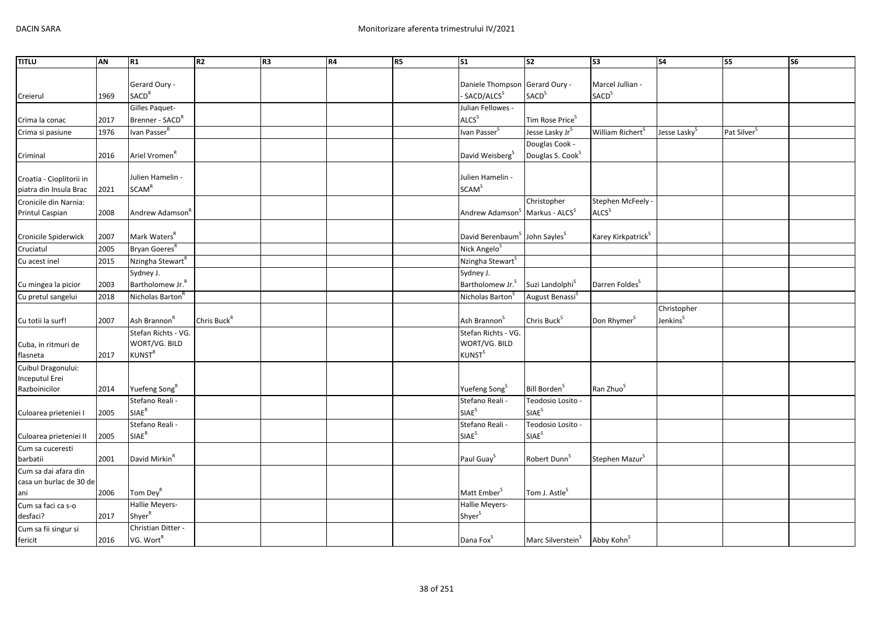| <b>TITLU</b>             | AN   | R1                           | R2                      | R <sub>3</sub> | R4 | R5 | $\overline{\text{S1}}$                                | S <sub>2</sub>                                       | S <sub>3</sub>                 | <b>S4</b>                | S5                      | $\overline{\text{S6}}$ |
|--------------------------|------|------------------------------|-------------------------|----------------|----|----|-------------------------------------------------------|------------------------------------------------------|--------------------------------|--------------------------|-------------------------|------------------------|
|                          |      |                              |                         |                |    |    |                                                       |                                                      |                                |                          |                         |                        |
|                          |      | Gerard Oury -                |                         |                |    |    | Daniele Thompson                                      | Gerard Oury -                                        | Marcel Jullian -               |                          |                         |                        |
| Creierul                 | 1969 | SACD <sup>R</sup>            |                         |                |    |    | - SACD/ALCS <sup>S</sup>                              | <b>SACD</b> <sup>S</sup>                             | SACD <sup>S</sup>              |                          |                         |                        |
|                          |      | Gilles Paquet-               |                         |                |    |    | Julian Fellowes -                                     |                                                      |                                |                          |                         |                        |
| Crima la conac           | 2017 | Brenner - SACD <sup>R</sup>  |                         |                |    |    | ALCS <sup>S</sup>                                     | Tim Rose Price <sup>S</sup>                          |                                |                          |                         |                        |
| Crima si pasiune         | 1976 | Ivan Passer <sup>R</sup>     |                         |                |    |    | Ivan Passer <sup>S</sup>                              | Jesse Lasky Jr <sup>S</sup>                          | William Richert <sup>5</sup>   | Jesse Lasky <sup>5</sup> | Pat Silver <sup>S</sup> |                        |
|                          |      |                              |                         |                |    |    |                                                       | Douglas Cook -                                       |                                |                          |                         |                        |
| Criminal                 | 2016 | Ariel Vromen <sup>R</sup>    |                         |                |    |    | David Weisberg <sup>S</sup>                           | Douglas S. Cook <sup>S</sup>                         |                                |                          |                         |                        |
|                          |      |                              |                         |                |    |    |                                                       |                                                      |                                |                          |                         |                        |
| Croatia - Cioplitorii in |      | Julien Hamelin -             |                         |                |    |    | Julien Hamelin -                                      |                                                      |                                |                          |                         |                        |
| piatra din Insula Brac   | 2021 | <b>SCAM<sup>R</sup></b>      |                         |                |    |    | <b>SCAM<sup>S</sup></b>                               |                                                      |                                |                          |                         |                        |
| Cronicile din Narnia:    |      |                              |                         |                |    |    |                                                       | Christopher                                          | Stephen McFeely -              |                          |                         |                        |
| Printul Caspian          | 2008 | Andrew Adamson               |                         |                |    |    | Andrew Adamson <sup>5</sup>                           | Markus - ALCS <sup>S</sup>                           | ALCS <sup>S</sup>              |                          |                         |                        |
| Cronicile Spiderwick     | 2007 | Mark Waters <sup>R</sup>     |                         |                |    |    | David Berenbaum <sup>S</sup> John Sayles <sup>S</sup> |                                                      | Karey Kirkpatrick <sup>S</sup> |                          |                         |                        |
| Cruciatul                | 2005 | Bryan Goeres <sup>R</sup>    |                         |                |    |    | Nick Angelo <sup>S</sup>                              |                                                      |                                |                          |                         |                        |
| Cu acest inel            | 2015 | Nzingha Stewart <sup>R</sup> |                         |                |    |    | Nzingha Stewart <sup>S</sup>                          |                                                      |                                |                          |                         |                        |
|                          |      | Sydney J.                    |                         |                |    |    | Sydney J.                                             |                                                      |                                |                          |                         |                        |
| Cu mingea la picior      | 2003 | Bartholomew Jr. <sup>R</sup> |                         |                |    |    | Bartholomew Jr. <sup>S</sup>                          | Suzi Landolphi <sup>S</sup>                          | Darren Foldes <sup>S</sup>     |                          |                         |                        |
| Cu pretul sangelui       | 2018 | Nicholas Barton <sup>R</sup> |                         |                |    |    | Nicholas Barton <sup>5</sup>                          | August Benassi <sup>S</sup>                          |                                |                          |                         |                        |
|                          |      |                              |                         |                |    |    |                                                       |                                                      |                                | Christopher              |                         |                        |
| Cu totii la surf!        | 2007 | Ash Brannon <sup>R</sup>     | Chris Buck <sup>R</sup> |                |    |    | Ash Brannon <sup>S</sup>                              | Chris Buck <sup>S</sup>                              | Don Rhymer <sup>S</sup>        | Jenkins <sup>S</sup>     |                         |                        |
|                          |      | Stefan Richts - VG.          |                         |                |    |    | Stefan Richts - VG.                                   |                                                      |                                |                          |                         |                        |
| Cuba, in ritmuri de      |      | WORT/VG. BILD                |                         |                |    |    | WORT/VG. BILD                                         |                                                      |                                |                          |                         |                        |
| flasneta                 | 2017 | <b>KUNST<sup>R</sup></b>     |                         |                |    |    | <b>KUNST</b> <sup>S</sup>                             |                                                      |                                |                          |                         |                        |
| Cuibul Dragonului:       |      |                              |                         |                |    |    |                                                       |                                                      |                                |                          |                         |                        |
| Inceputul Erei           |      |                              |                         |                |    |    |                                                       |                                                      |                                |                          |                         |                        |
| Razboinicilor            | 2014 | Yuefeng Song <sup>R</sup>    |                         |                |    |    | Yuefeng Song <sup>S</sup>                             | Bill Borden <sup>S</sup>                             | Ran Zhuo <sup>S</sup>          |                          |                         |                        |
|                          |      | Stefano Reali -              |                         |                |    |    | Stefano Reali -                                       | Teodosio Losito -                                    |                                |                          |                         |                        |
| Culoarea prieteniei I    | 2005 | $SIAE^R$                     |                         |                |    |    | <b>SIAE<sup>S</sup></b>                               | SIAE <sup>S</sup>                                    |                                |                          |                         |                        |
|                          |      | Stefano Reali -              |                         |                |    |    | Stefano Reali -                                       | Teodosio Losito -                                    |                                |                          |                         |                        |
| Culoarea prieteniei II   | 2005 | $\mathsf{SIAE}^\mathsf{R}$   |                         |                |    |    | <b>SIAE</b> <sup>S</sup>                              | SIAE <sup>S</sup>                                    |                                |                          |                         |                        |
| Cum sa cuceresti         |      |                              |                         |                |    |    |                                                       |                                                      |                                |                          |                         |                        |
| barbatii                 | 2001 | David Mirkin <sup>R</sup>    |                         |                |    |    | Paul Guay <sup>S</sup>                                | Robert Dunn <sup>S</sup>                             | Stephen Mazur <sup>S</sup>     |                          |                         |                        |
| Cum sa dai afara din     |      |                              |                         |                |    |    |                                                       |                                                      |                                |                          |                         |                        |
| casa un burlac de 30 de  |      |                              |                         |                |    |    |                                                       |                                                      |                                |                          |                         |                        |
| ani                      | 2006 | Tom Dey <sup>R</sup>         |                         |                |    |    | Matt Ember <sup>S</sup>                               | Tom J. Astle <sup>S</sup>                            |                                |                          |                         |                        |
| Cum sa faci ca s-o       |      | Hallie Meyers-               |                         |                |    |    | Hallie Meyers-                                        |                                                      |                                |                          |                         |                        |
| desfaci?                 | 2017 | Shyer <sup>R</sup>           |                         |                |    |    | Shyer <sup>S</sup>                                    |                                                      |                                |                          |                         |                        |
| Cum sa fii singur si     |      | Christian Ditter -           |                         |                |    |    |                                                       |                                                      |                                |                          |                         |                        |
| fericit                  | 2016 | VG. Wort <sup>R</sup>        |                         |                |    |    | Dana Fox <sup>S</sup>                                 | Marc Silverstein <sup>S</sup> Abby Kohn <sup>S</sup> |                                |                          |                         |                        |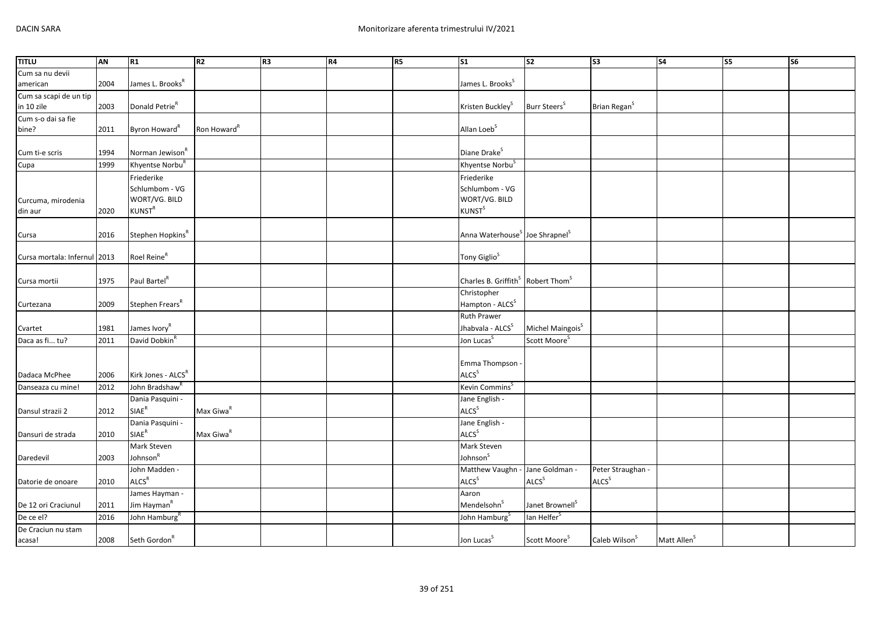| <b>TITLU</b>                 | AN   | R1                             | R <sub>2</sub>          | R <sub>3</sub> | R4 | R <sub>5</sub> | <b>S1</b>                                                 | S <sub>2</sub>               | $\overline{\text{S3}}$    | S <sub>4</sub>          | <b>S5</b> | <b>S6</b> |
|------------------------------|------|--------------------------------|-------------------------|----------------|----|----------------|-----------------------------------------------------------|------------------------------|---------------------------|-------------------------|-----------|-----------|
| Cum sa nu devii              |      |                                |                         |                |    |                |                                                           |                              |                           |                         |           |           |
| american                     | 2004 | James L. Brooks <sup>R</sup>   |                         |                |    |                | James L. Brooks <sup>S</sup>                              |                              |                           |                         |           |           |
| Cum sa scapi de un tip       |      |                                |                         |                |    |                |                                                           |                              |                           |                         |           |           |
| in 10 zile                   | 2003 | Donald Petrie <sup>R</sup>     |                         |                |    |                | Kristen Buckley <sup>S</sup>                              | Burr Steers <sup>S</sup>     | Brian Regan <sup>S</sup>  |                         |           |           |
| Cum s-o dai sa fie           |      |                                |                         |                |    |                |                                                           |                              |                           |                         |           |           |
| bine?                        | 2011 | Byron Howard <sup>R</sup>      | Ron Howard <sup>R</sup> |                |    |                | Allan Loeb <sup>S</sup>                                   |                              |                           |                         |           |           |
|                              |      |                                |                         |                |    |                |                                                           |                              |                           |                         |           |           |
| Cum ti-e scris               | 1994 | Norman Jewison <sup>K</sup>    |                         |                |    |                | Diane Drake <sup>S</sup>                                  |                              |                           |                         |           |           |
| Cupa                         | 1999 | Khyentse Norbu                 |                         |                |    |                | Khyentse Norbu <sup>5</sup>                               |                              |                           |                         |           |           |
|                              |      | Friederike                     |                         |                |    |                | Friederike                                                |                              |                           |                         |           |           |
|                              |      | Schlumbom - VG                 |                         |                |    |                | Schlumbom - VG                                            |                              |                           |                         |           |           |
| Curcuma, mirodenia           |      | WORT/VG. BILD                  |                         |                |    |                | WORT/VG. BILD                                             |                              |                           |                         |           |           |
| din aur                      | 2020 | <b>KUNST<sup>R</sup></b>       |                         |                |    |                | <b>KUNST</b> <sup>S</sup>                                 |                              |                           |                         |           |           |
|                              |      |                                |                         |                |    |                |                                                           |                              |                           |                         |           |           |
| Cursa                        | 2016 | Stephen Hopkins <sup>R</sup>   |                         |                |    |                | Anna Waterhouse <sup>S</sup> Joe Shrapnel <sup>S</sup>    |                              |                           |                         |           |           |
|                              |      |                                |                         |                |    |                |                                                           |                              |                           |                         |           |           |
| Cursa mortala: Infernul 2013 |      | Roel Reine <sup>R</sup>        |                         |                |    |                | Tony Giglio <sup>S</sup>                                  |                              |                           |                         |           |           |
|                              |      |                                |                         |                |    |                |                                                           |                              |                           |                         |           |           |
| Cursa mortii                 | 1975 | Paul Bartel <sup>R</sup>       |                         |                |    |                | Charles B. Griffith <sup>S</sup> Robert Thom <sup>S</sup> |                              |                           |                         |           |           |
|                              |      |                                |                         |                |    |                | Christopher                                               |                              |                           |                         |           |           |
| Curtezana                    | 2009 | Stephen Frears <sup>R</sup>    |                         |                |    |                | Hampton - ALCS <sup>S</sup>                               |                              |                           |                         |           |           |
|                              |      |                                |                         |                |    |                | <b>Ruth Prawer</b>                                        |                              |                           |                         |           |           |
| Cvartet                      | 1981 | James Ivory <sup>R</sup>       |                         |                |    |                | Jhabvala - ALCS <sup>S</sup>                              | Michel Maingois <sup>S</sup> |                           |                         |           |           |
| Daca as fi tu?               | 2011 | David Dobkin                   |                         |                |    |                | Jon Lucas <sup>S</sup>                                    | Scott Moore <sup>S</sup>     |                           |                         |           |           |
|                              |      |                                |                         |                |    |                |                                                           |                              |                           |                         |           |           |
|                              |      |                                |                         |                |    |                | Emma Thompson                                             |                              |                           |                         |           |           |
| Dadaca McPhee                | 2006 | Kirk Jones - ALCS <sup>R</sup> |                         |                |    |                | ALCS <sup>S</sup>                                         |                              |                           |                         |           |           |
| Danseaza cu mine!            | 2012 | John Bradshaw <sup>R</sup>     |                         |                |    |                | Kevin Commins <sup>S</sup>                                |                              |                           |                         |           |           |
|                              |      | Dania Pasquini -               |                         |                |    |                | Jane English -                                            |                              |                           |                         |           |           |
| Dansul strazii 2             | 2012 | SIAE <sup>R</sup>              | Max Giwa <sup>R</sup>   |                |    |                | ALCS <sup>S</sup>                                         |                              |                           |                         |           |           |
|                              |      | Dania Pasquini -               |                         |                |    |                | Jane English -                                            |                              |                           |                         |           |           |
| Dansuri de strada            | 2010 | SIAE <sup>R</sup>              | Max Giwa <sup>R</sup>   |                |    |                | ALCS <sup>S</sup>                                         |                              |                           |                         |           |           |
|                              |      | Mark Steven                    |                         |                |    |                | Mark Steven                                               |                              |                           |                         |           |           |
| Daredevil                    | 2003 | Johnson <sup>R</sup>           |                         |                |    |                | Johnson <sup>S</sup>                                      |                              |                           |                         |           |           |
|                              |      | John Madden -                  |                         |                |    |                | Matthew Vaughn - Jane Goldman -                           |                              | Peter Straughan -         |                         |           |           |
| Datorie de onoare            | 2010 | ALCS <sup>R</sup>              |                         |                |    |                | <b>ALCS</b> <sup>S</sup>                                  | ALCS <sup>S</sup>            | ALCS <sup>S</sup>         |                         |           |           |
|                              |      | James Hayman -                 |                         |                |    |                | Aaron                                                     |                              |                           |                         |           |           |
| De 12 ori Craciunul          | 2011 | Jim Hayman <sup>R</sup>        |                         |                |    |                | Mendelsohn <sup>S</sup>                                   | Janet Brownell <sup>S</sup>  |                           |                         |           |           |
| De ce el?                    | 2016 | John Hamburg <sup>R</sup>      |                         |                |    |                | John Hamburg <sup>S</sup>                                 | lan Helfer <sup>S</sup>      |                           |                         |           |           |
| De Craciun nu stam           |      |                                |                         |                |    |                |                                                           |                              |                           |                         |           |           |
|                              | 2008 | Seth Gordon <sup>R</sup>       |                         |                |    |                | Jon Lucas <sup>S</sup>                                    | Scott Moore <sup>S</sup>     | Caleb Wilson <sup>S</sup> | Matt Allen <sup>S</sup> |           |           |
| acasa!                       |      |                                |                         |                |    |                |                                                           |                              |                           |                         |           |           |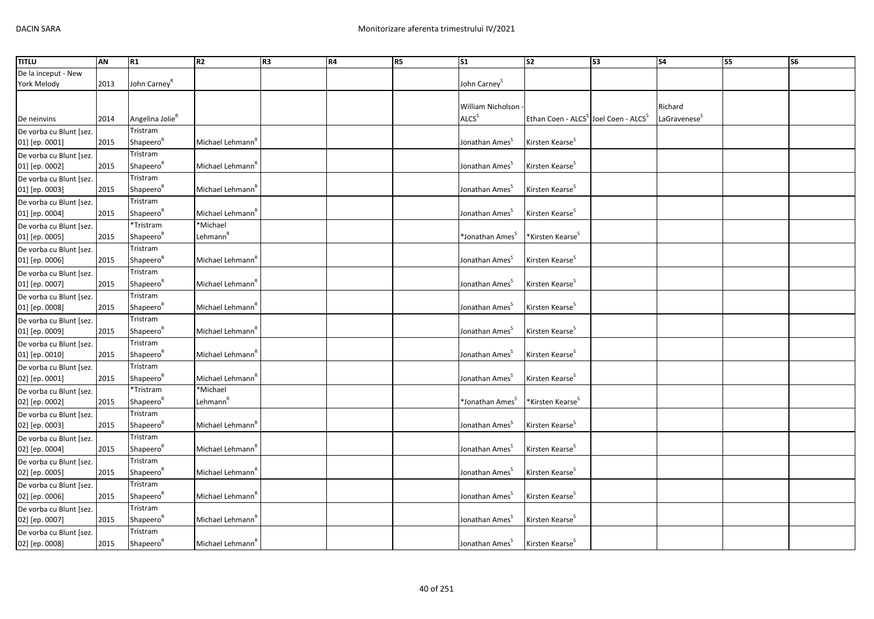| <b>TITLU</b>                              | AN   | R1                                 | R <sub>2</sub>                   | R <sub>3</sub> | R4 | <b>R5</b> | <b>S1</b>                              | S <sub>2</sub>                                               | S <sub>3</sub> | <b>S4</b>                           | S5 | S <sub>6</sub> |
|-------------------------------------------|------|------------------------------------|----------------------------------|----------------|----|-----------|----------------------------------------|--------------------------------------------------------------|----------------|-------------------------------------|----|----------------|
| De la inceput - New<br>York Melody        | 2013 | John Carney <sup>R</sup>           |                                  |                |    |           | John Carney <sup>5</sup>               |                                                              |                |                                     |    |                |
| De neinvins                               | 2014 | Angelina Jolie <sup>R</sup>        |                                  |                |    |           | William Nicholson<br>ALCS <sup>S</sup> | Ethan Coen - ALCS <sup>5</sup> Joel Coen - ALCS <sup>5</sup> |                | Richard<br>LaGravenese <sup>5</sup> |    |                |
| De vorba cu Blunt [sez.                   |      | Tristram                           |                                  |                |    |           |                                        |                                                              |                |                                     |    |                |
| 01] [ep. 0001]                            | 2015 | Shapeero <sup>R</sup>              | Michael Lehmann <sup>'</sup>     |                |    |           | Jonathan Ames                          | Kirsten Kearse <sup>5</sup>                                  |                |                                     |    |                |
| De vorba cu Blunt [sez.<br>01] [ep. 0002] | 2015 | Tristram<br>Shapeero <sup>n</sup>  | Michael Lehmann <sup>"</sup>     |                |    |           | Jonathan Ames                          | Kirsten Kearse <sup>S</sup>                                  |                |                                     |    |                |
| De vorba cu Blunt [sez.                   |      | Tristram                           |                                  |                |    |           |                                        |                                                              |                |                                     |    |                |
| 01] [ep. 0003]                            | 2015 | Shapeero <sup>"</sup>              | Michael Lehmann <sup>"</sup>     |                |    |           | Jonathan Ames <sup>5</sup>             | Kirsten Kearse <sup>5</sup>                                  |                |                                     |    |                |
| De vorba cu Blunt [sez.<br>01] [ep. 0004] | 2015 | Tristram<br>Shapeero <sup>R</sup>  | Michael Lehmann <sup>r</sup>     |                |    |           | Jonathan Ames <sup>5</sup>             | Kirsten Kearse <sup>s</sup>                                  |                |                                     |    |                |
| De vorba cu Blunt [sez.<br>01] [ep. 0005] | 2015 | *Tristram<br>Shapeero <sup>K</sup> | *Michael<br>Lehmann <sup>"</sup> |                |    |           | *Jonathan Ames <sup>5</sup>            | *Kirsten Kearse <sup>S</sup>                                 |                |                                     |    |                |
| De vorba cu Blunt [sez.<br>01] [ep. 0006] | 2015 | Tristram<br>Shapeero <sup>k</sup>  | Michael Lehmann <sup>"</sup>     |                |    |           | Jonathan Ames <sup>5</sup>             | Kirsten Kearse <sup>5</sup>                                  |                |                                     |    |                |
| De vorba cu Blunt [sez.<br>01] [ep. 0007] | 2015 | Tristram<br>Shapeero <sup>"</sup>  | Michael Lehmann <sup>"</sup>     |                |    |           | Jonathan Ames                          | Kirsten Kearse <sup>5</sup>                                  |                |                                     |    |                |
| De vorba cu Blunt [sez.                   |      | Tristram                           |                                  |                |    |           |                                        |                                                              |                |                                     |    |                |
| 01] [ep. 0008]                            | 2015 | Shapeero <sup>k</sup>              | Michael Lehmann <sup>r</sup>     |                |    |           | Jonathan Ames                          | Kirsten Kearse <sup>s</sup>                                  |                |                                     |    |                |
| De vorba cu Blunt [sez.<br>01] [ep. 0009] | 2015 | Tristram<br>Shapeero <sup>R</sup>  | Michael Lehmann <sup>"</sup>     |                |    |           | Jonathan Ames <sup>5</sup>             | Kirsten Kearse <sup>S</sup>                                  |                |                                     |    |                |
| De vorba cu Blunt [sez.<br>01] [ep. 0010] | 2015 | Tristram<br>Shapeero <sup>k</sup>  | Michael Lehmann <sup>'</sup>     |                |    |           | Jonathan Ames <sup>5</sup>             | Kirsten Kearse <sup>s</sup>                                  |                |                                     |    |                |
| De vorba cu Blunt [sez.<br>02] [ep. 0001] | 2015 | Tristram<br>Shapeero <sup>R</sup>  | Michael Lehmann <sup>r</sup>     |                |    |           | Jonathan Ames <sup>5</sup>             | Kirsten Kearse <sup>s</sup>                                  |                |                                     |    |                |
| De vorba cu Blunt [sez.<br>02] [ep. 0002] | 2015 | *Tristram<br>Shapeero <sup>k</sup> | *Michael<br>Lehmann <sup>r</sup> |                |    |           | *Jonathan Ames <sup>S</sup>            | *Kirsten Kearse <sup>5</sup>                                 |                |                                     |    |                |
| De vorba cu Blunt [sez.<br>02] [ep. 0003] | 2015 | Tristram<br>Shapeero <sup>n</sup>  | Michael Lehmann <sup>"</sup>     |                |    |           | Jonathan Ames <sup>5</sup>             | Kirsten Kearse <sup>5</sup>                                  |                |                                     |    |                |
| De vorba cu Blunt [sez.<br>02] [ep. 0004] | 2015 | Tristram<br>Shapeero <sup>k</sup>  | Michael Lehmann <sup>t</sup>     |                |    |           | Jonathan Ames <sup>5</sup>             | Kirsten Kearse <sup>5</sup>                                  |                |                                     |    |                |
| De vorba cu Blunt [sez.<br>02] [ep. 0005] | 2015 | Tristram<br>Shapeero <sup>R</sup>  | Michael Lehmann <sup>'</sup>     |                |    |           | Jonathan Ames <sup>5</sup>             | Kirsten Kearse <sup>5</sup>                                  |                |                                     |    |                |
| De vorba cu Blunt [sez.<br>02] [ep. 0006] | 2015 | Tristram<br>Shapeero <sup>n</sup>  | Michael Lehmann <sup>"</sup>     |                |    |           | Jonathan Ames                          | Kirsten Kearse <sup>S</sup>                                  |                |                                     |    |                |
| De vorba cu Blunt [sez.<br>02] [ep. 0007] | 2015 | Tristram<br>Shapeero <sup>k</sup>  | Michael Lehmann <sup>t</sup>     |                |    |           | Jonathan Ames <sup>5</sup>             | Kirsten Kearse <sup>5</sup>                                  |                |                                     |    |                |
| De vorba cu Blunt [sez.<br>02] [ep. 0008] | 2015 | Tristram<br>Shapeero <sup>R</sup>  | Michael Lehmann <sup>"</sup>     |                |    |           | Jonathan Ames <sup>5</sup>             | Kirsten Kearse <sup>5</sup>                                  |                |                                     |    |                |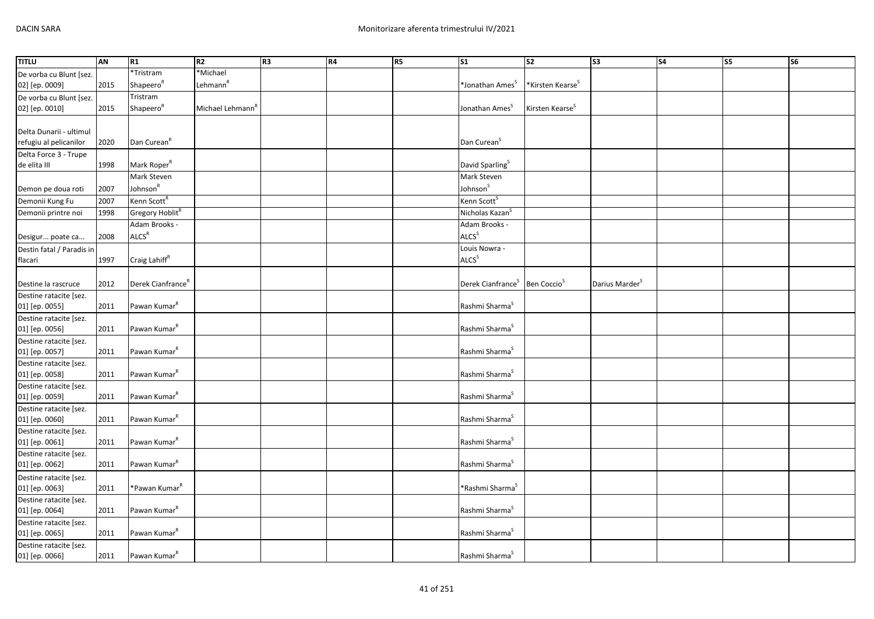| <b>TITLU</b>                             | AN   | R1                            | R2                           | R <sub>3</sub> | R4 | <b>R5</b> | S <sub>1</sub>                | S <sub>2</sub>               | $\overline{\text{S3}}$     | <b>S4</b> | <b>S5</b> | S6 |
|------------------------------------------|------|-------------------------------|------------------------------|----------------|----|-----------|-------------------------------|------------------------------|----------------------------|-----------|-----------|----|
| De vorba cu Blunt [sez.                  |      | *Tristram                     | *Michael                     |                |    |           |                               |                              |                            |           |           |    |
| 02] [ep. 0009]                           | 2015 | Shapeero <sup>R</sup>         | Lehmann <sup>R</sup>         |                |    |           | *Jonathan Ames <sup>5</sup>   | *Kirsten Kearse <sup>s</sup> |                            |           |           |    |
| De vorba cu Blunt [sez.                  |      | Tristram                      |                              |                |    |           |                               |                              |                            |           |           |    |
| 02] [ep. 0010]                           | 2015 | Shapeero <sup>R</sup>         | Michael Lehmann <sup>'</sup> |                |    |           | Jonathan Ames <sup>5</sup>    | Kirsten Kearse <sup>S</sup>  |                            |           |           |    |
|                                          |      |                               |                              |                |    |           |                               |                              |                            |           |           |    |
| Delta Dunarii - ultimul                  |      |                               |                              |                |    |           |                               |                              |                            |           |           |    |
| refugiu al pelicanilor                   | 2020 | Dan Curean <sup>R</sup>       |                              |                |    |           | Dan Curean <sup>S</sup>       |                              |                            |           |           |    |
| Delta Force 3 - Trupe                    |      |                               |                              |                |    |           |                               |                              |                            |           |           |    |
| de elita III                             | 1998 | Mark Roper <sup>R</sup>       |                              |                |    |           | David Sparling <sup>S</sup>   |                              |                            |           |           |    |
|                                          |      | Mark Steven                   |                              |                |    |           | Mark Steven                   |                              |                            |           |           |    |
| Demon pe doua roti                       | 2007 | Johnson <sup>R</sup>          |                              |                |    |           | Johnson <sup>S</sup>          |                              |                            |           |           |    |
| Demonii Kung Fu                          | 2007 | Kenn Scott <sup>R</sup>       |                              |                |    |           | Kenn Scott <sup>S</sup>       |                              |                            |           |           |    |
| Demonii printre noi                      | 1998 | Gregory Hoblit <sup>R</sup>   |                              |                |    |           | Nicholas Kazan <sup>5</sup>   |                              |                            |           |           |    |
|                                          |      | Adam Brooks -                 |                              |                |    |           | Adam Brooks -                 |                              |                            |           |           |    |
| Desigur poate ca                         | 2008 | <b>ALCS<sup>R</sup></b>       |                              |                |    |           | ALCS <sup>S</sup>             |                              |                            |           |           |    |
| Destin fatal / Paradis in                |      |                               |                              |                |    |           | Louis Nowra -                 |                              |                            |           |           |    |
| flacari                                  | 1997 | Craig Lahiff <sup>R</sup>     |                              |                |    |           | ALCS <sup>S</sup>             |                              |                            |           |           |    |
|                                          |      |                               |                              |                |    |           |                               |                              |                            |           |           |    |
| Destine la rascruce                      | 2012 | Derek Cianfrance <sup>R</sup> |                              |                |    |           | Derek Cianfrance <sup>5</sup> | Ben Coccio <sup>5</sup>      | Darius Marder <sup>S</sup> |           |           |    |
| Destine ratacite [sez.                   |      |                               |                              |                |    |           |                               |                              |                            |           |           |    |
| 01] [ep. 0055]                           | 2011 | Pawan Kumar <sup>R</sup>      |                              |                |    |           | Rashmi Sharma <sup>S</sup>    |                              |                            |           |           |    |
| Destine ratacite [sez.                   |      |                               |                              |                |    |           |                               |                              |                            |           |           |    |
| 01] [ep. 0056]                           | 2011 | Pawan Kumar <sup>R</sup>      |                              |                |    |           | Rashmi Sharma <sup>S</sup>    |                              |                            |           |           |    |
| Destine ratacite [sez.                   |      |                               |                              |                |    |           |                               |                              |                            |           |           |    |
| 01] [ep. 0057]                           | 2011 | Pawan Kumar <sup>R</sup>      |                              |                |    |           | Rashmi Sharma <sup>S</sup>    |                              |                            |           |           |    |
| Destine ratacite [sez.                   |      |                               |                              |                |    |           |                               |                              |                            |           |           |    |
| 01] [ep. 0058]                           | 2011 | Pawan Kumar <sup>R</sup>      |                              |                |    |           | Rashmi Sharma <sup>S</sup>    |                              |                            |           |           |    |
| Destine ratacite [sez.                   |      |                               |                              |                |    |           |                               |                              |                            |           |           |    |
| 01] [ep. 0059]                           | 2011 | Pawan Kumar <sup>R</sup>      |                              |                |    |           | Rashmi Sharma <sup>S</sup>    |                              |                            |           |           |    |
| Destine ratacite [sez.<br>01] [ep. 0060] | 2011 | Pawan Kumar <sup>R</sup>      |                              |                |    |           | Rashmi Sharma <sup>S</sup>    |                              |                            |           |           |    |
|                                          |      |                               |                              |                |    |           |                               |                              |                            |           |           |    |
| Destine ratacite [sez.<br>01] [ep. 0061] | 2011 | Pawan Kumar <sup>R</sup>      |                              |                |    |           | Rashmi Sharma <sup>S</sup>    |                              |                            |           |           |    |
| Destine ratacite [sez.                   |      |                               |                              |                |    |           |                               |                              |                            |           |           |    |
| 01] [ep. 0062]                           | 2011 | Pawan Kumar <sup>R</sup>      |                              |                |    |           | Rashmi Sharma <sup>S</sup>    |                              |                            |           |           |    |
| Destine ratacite [sez.                   |      |                               |                              |                |    |           |                               |                              |                            |           |           |    |
| 01] [ep. 0063]                           | 2011 | *Pawan Kumar <sup>R</sup>     |                              |                |    |           | *Rashmi Sharma <sup>S</sup>   |                              |                            |           |           |    |
| Destine ratacite [sez.                   |      |                               |                              |                |    |           |                               |                              |                            |           |           |    |
| 01] [ep. 0064]                           | 2011 | Pawan Kumar <sup>R</sup>      |                              |                |    |           | Rashmi Sharma <sup>S</sup>    |                              |                            |           |           |    |
| Destine ratacite [sez.                   |      |                               |                              |                |    |           |                               |                              |                            |           |           |    |
| 01] [ep. 0065]                           | 2011 | Pawan Kumar <sup>k</sup>      |                              |                |    |           | Rashmi Sharma <sup>S</sup>    |                              |                            |           |           |    |
| Destine ratacite [sez.                   |      |                               |                              |                |    |           |                               |                              |                            |           |           |    |
| 01] [ep. 0066]                           | 2011 | Pawan Kumar <sup>R</sup>      |                              |                |    |           | Rashmi Sharma <sup>S</sup>    |                              |                            |           |           |    |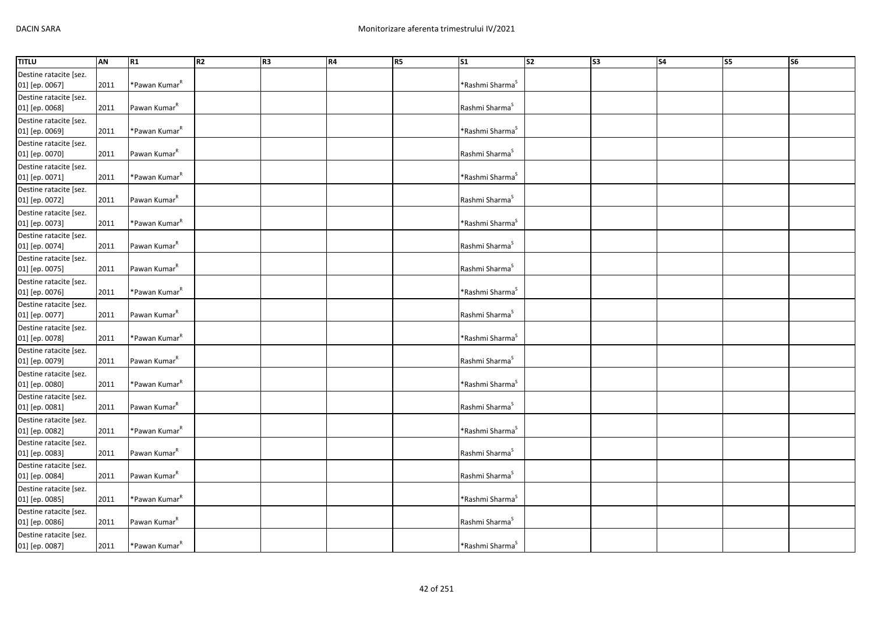| <b>TITLU</b>           | AN   | R <sub>1</sub>            | R2 | R <sub>3</sub> | <b>R4</b> | R5 | S <sub>1</sub>              | s <sub>2</sub> | S <sub>3</sub> | <b>S4</b> | S5 | S6 |
|------------------------|------|---------------------------|----|----------------|-----------|----|-----------------------------|----------------|----------------|-----------|----|----|
| Destine ratacite [sez. |      |                           |    |                |           |    |                             |                |                |           |    |    |
| 01] [ep. 0067]         | 2011 | *Pawan Kumar <sup>ĸ</sup> |    |                |           |    | *Rashmi Sharma <sup>s</sup> |                |                |           |    |    |
| Destine ratacite [sez. |      |                           |    |                |           |    |                             |                |                |           |    |    |
| 01] [ep. 0068]         | 2011 | Pawan Kumar <sup>R</sup>  |    |                |           |    | Rashmi Sharma <sup>S</sup>  |                |                |           |    |    |
| Destine ratacite [sez. |      |                           |    |                |           |    |                             |                |                |           |    |    |
| 01] [ep. 0069]         | 2011 | *Pawan Kumar <sup>R</sup> |    |                |           |    | *Rashmi Sharma <sup>S</sup> |                |                |           |    |    |
| Destine ratacite [sez. |      |                           |    |                |           |    |                             |                |                |           |    |    |
| 01] [ep. 0070]         | 2011 | Pawan Kumar <sup>R</sup>  |    |                |           |    | Rashmi Sharma <sup>S</sup>  |                |                |           |    |    |
| Destine ratacite [sez. |      |                           |    |                |           |    |                             |                |                |           |    |    |
| 01] [ep. 0071]         | 2011 | *Pawan Kumar <sup>R</sup> |    |                |           |    | *Rashmi Sharma <sup>S</sup> |                |                |           |    |    |
| Destine ratacite [sez. |      |                           |    |                |           |    |                             |                |                |           |    |    |
| 01] [ep. 0072]         | 2011 | Pawan Kumar <sup>R</sup>  |    |                |           |    | Rashmi Sharma <sup>S</sup>  |                |                |           |    |    |
| Destine ratacite [sez. |      |                           |    |                |           |    |                             |                |                |           |    |    |
| 01] [ep. 0073]         | 2011 | *Pawan Kumar <sup>R</sup> |    |                |           |    | *Rashmi Sharma <sup>S</sup> |                |                |           |    |    |
| Destine ratacite [sez. |      |                           |    |                |           |    |                             |                |                |           |    |    |
| 01] [ep. 0074]         | 2011 | Pawan Kumar <sup>R</sup>  |    |                |           |    | Rashmi Sharma <sup>S</sup>  |                |                |           |    |    |
| Destine ratacite [sez. |      |                           |    |                |           |    |                             |                |                |           |    |    |
| 01] [ep. 0075]         | 2011 | Pawan Kumar <sup>R</sup>  |    |                |           |    | Rashmi Sharma <sup>S</sup>  |                |                |           |    |    |
| Destine ratacite [sez. |      |                           |    |                |           |    |                             |                |                |           |    |    |
| 01] [ep. 0076]         | 2011 | *Pawan Kumar <sup>R</sup> |    |                |           |    | *Rashmi Sharma <sup>S</sup> |                |                |           |    |    |
| Destine ratacite [sez. |      |                           |    |                |           |    |                             |                |                |           |    |    |
| 01] [ep. 0077]         | 2011 | Pawan Kumar <sup>R</sup>  |    |                |           |    | Rashmi Sharma <sup>S</sup>  |                |                |           |    |    |
| Destine ratacite [sez. |      |                           |    |                |           |    |                             |                |                |           |    |    |
| 01] [ep. 0078]         | 2011 | *Pawan Kumar <sup>R</sup> |    |                |           |    | *Rashmi Sharma <sup>S</sup> |                |                |           |    |    |
| Destine ratacite [sez. |      |                           |    |                |           |    |                             |                |                |           |    |    |
| 01] [ep. 0079]         | 2011 | Pawan Kumar <sup>R</sup>  |    |                |           |    | Rashmi Sharma <sup>S</sup>  |                |                |           |    |    |
| Destine ratacite [sez. |      |                           |    |                |           |    |                             |                |                |           |    |    |
| 01] [ep. 0080]         | 2011 | *Pawan Kumar <sup>R</sup> |    |                |           |    | *Rashmi Sharma <sup>5</sup> |                |                |           |    |    |
| Destine ratacite [sez. |      |                           |    |                |           |    |                             |                |                |           |    |    |
| 01] [ep. 0081]         | 2011 | Pawan Kumar <sup>R</sup>  |    |                |           |    | Rashmi Sharma <sup>S</sup>  |                |                |           |    |    |
| Destine ratacite [sez. |      |                           |    |                |           |    |                             |                |                |           |    |    |
| 01] [ep. 0082]         | 2011 | *Pawan Kumar <sup>R</sup> |    |                |           |    | *Rashmi Sharma <sup>S</sup> |                |                |           |    |    |
| Destine ratacite [sez. |      |                           |    |                |           |    |                             |                |                |           |    |    |
| 01] [ep. 0083]         | 2011 | Pawan Kumar <sup>R</sup>  |    |                |           |    | Rashmi Sharma               |                |                |           |    |    |
| Destine ratacite [sez. |      |                           |    |                |           |    |                             |                |                |           |    |    |
| 01] [ep. 0084]         | 2011 | Pawan Kumar <sup>R</sup>  |    |                |           |    | Rashmi Sharma <sup>S</sup>  |                |                |           |    |    |
| Destine ratacite [sez. |      |                           |    |                |           |    |                             |                |                |           |    |    |
| 01] [ep. 0085]         | 2011 | *Pawan Kumar <sup>R</sup> |    |                |           |    | *Rashmi Sharma <sup>S</sup> |                |                |           |    |    |
| Destine ratacite [sez. |      |                           |    |                |           |    |                             |                |                |           |    |    |
| 01] [ep. 0086]         | 2011 | Pawan Kumar <sup>R</sup>  |    |                |           |    | Rashmi Sharma <sup>5</sup>  |                |                |           |    |    |
| Destine ratacite [sez. |      |                           |    |                |           |    |                             |                |                |           |    |    |
| 01] [ep. 0087]         | 2011 | *Pawan Kumar <sup>k</sup> |    |                |           |    | *Rashmi Sharma <sup>S</sup> |                |                |           |    |    |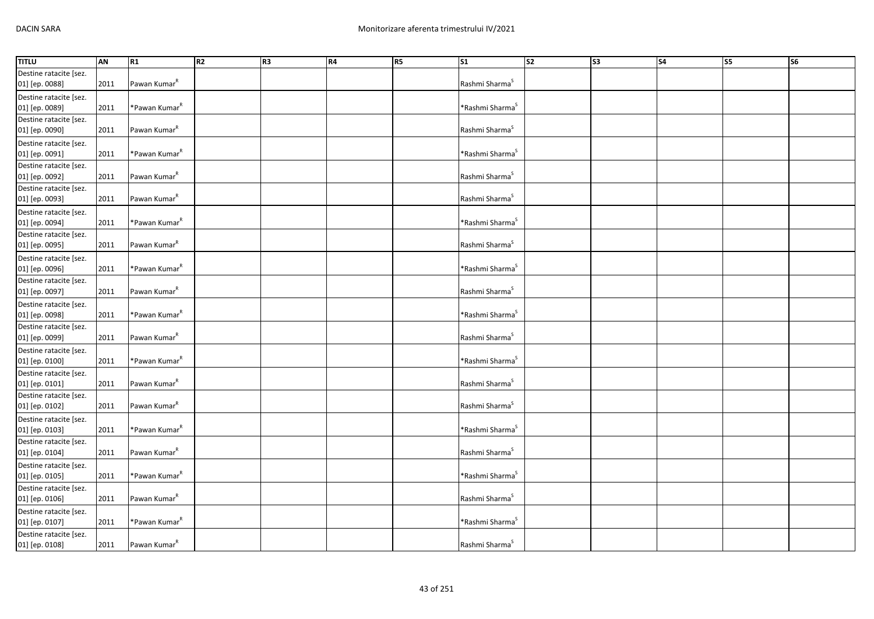| <b>TITLU</b>           | AN   | R1                        | R2 | R <sub>3</sub> | R4 | <b>R5</b> | <b>S1</b>                   | $\overline{\text{S2}}$ | $\overline{\text{S3}}$ | <b>S4</b> | S5 | S6 |
|------------------------|------|---------------------------|----|----------------|----|-----------|-----------------------------|------------------------|------------------------|-----------|----|----|
| Destine ratacite [sez. |      |                           |    |                |    |           |                             |                        |                        |           |    |    |
| 01] [ep. 0088]         | 2011 | Pawan Kumar <sup>R</sup>  |    |                |    |           | Rashmi Sharma <sup>S</sup>  |                        |                        |           |    |    |
| Destine ratacite [sez. |      |                           |    |                |    |           |                             |                        |                        |           |    |    |
| 01] [ep. 0089]         | 2011 | *Pawan Kumar <sup>R</sup> |    |                |    |           | *Rashmi Sharma <sup>S</sup> |                        |                        |           |    |    |
| Destine ratacite [sez. |      |                           |    |                |    |           |                             |                        |                        |           |    |    |
| 01] [ep. 0090]         | 2011 | Pawan Kumar <sup>R</sup>  |    |                |    |           | Rashmi Sharma <sup>S</sup>  |                        |                        |           |    |    |
| Destine ratacite [sez. |      |                           |    |                |    |           |                             |                        |                        |           |    |    |
| 01] [ep. 0091]         | 2011 | *Pawan Kumar <sup>R</sup> |    |                |    |           | *Rashmi Sharma <sup>S</sup> |                        |                        |           |    |    |
| Destine ratacite [sez. |      |                           |    |                |    |           |                             |                        |                        |           |    |    |
| 01] [ep. 0092]         | 2011 | Pawan Kumar <sup>R</sup>  |    |                |    |           | Rashmi Sharma <sup>S</sup>  |                        |                        |           |    |    |
| Destine ratacite [sez. |      |                           |    |                |    |           |                             |                        |                        |           |    |    |
| 01] [ep. 0093]         | 2011 | Pawan Kumar <sup>R</sup>  |    |                |    |           | Rashmi Sharma <sup>S</sup>  |                        |                        |           |    |    |
| Destine ratacite [sez. |      |                           |    |                |    |           |                             |                        |                        |           |    |    |
| 01] [ep. 0094]         | 2011 | *Pawan Kumar <sup>R</sup> |    |                |    |           | *Rashmi Sharma <sup>S</sup> |                        |                        |           |    |    |
| Destine ratacite [sez. |      |                           |    |                |    |           |                             |                        |                        |           |    |    |
| 01] [ep. 0095]         | 2011 | Pawan Kumar <sup>R</sup>  |    |                |    |           | Rashmi Sharma <sup>S</sup>  |                        |                        |           |    |    |
| Destine ratacite [sez. |      |                           |    |                |    |           |                             |                        |                        |           |    |    |
| 01] [ep. 0096]         | 2011 | *Pawan Kumar <sup>R</sup> |    |                |    |           | *Rashmi Sharma <sup>s</sup> |                        |                        |           |    |    |
| Destine ratacite [sez. |      |                           |    |                |    |           |                             |                        |                        |           |    |    |
| 01] [ep. 0097]         | 2011 | Pawan Kumar <sup>R</sup>  |    |                |    |           | Rashmi Sharma <sup>S</sup>  |                        |                        |           |    |    |
| Destine ratacite [sez. |      |                           |    |                |    |           |                             |                        |                        |           |    |    |
| 01] [ep. 0098]         | 2011 | *Pawan Kumar <sup>R</sup> |    |                |    |           | *Rashmi Sharma <sup>S</sup> |                        |                        |           |    |    |
| Destine ratacite [sez. |      |                           |    |                |    |           |                             |                        |                        |           |    |    |
| 01] [ep. 0099]         | 2011 | Pawan Kumar <sup>k</sup>  |    |                |    |           | Rashmi Sharma <sup>S</sup>  |                        |                        |           |    |    |
| Destine ratacite [sez. |      |                           |    |                |    |           |                             |                        |                        |           |    |    |
| 01] [ep. 0100]         | 2011 | *Pawan Kumar <sup>R</sup> |    |                |    |           | *Rashmi Sharma <sup>s</sup> |                        |                        |           |    |    |
| Destine ratacite [sez. |      |                           |    |                |    |           |                             |                        |                        |           |    |    |
| 01] [ep. 0101]         | 2011 | Pawan Kumar <sup>R</sup>  |    |                |    |           | Rashmi Sharma <sup>S</sup>  |                        |                        |           |    |    |
| Destine ratacite [sez. |      |                           |    |                |    |           |                             |                        |                        |           |    |    |
| 01] [ep. 0102]         | 2011 | Pawan Kumar <sup>R</sup>  |    |                |    |           | Rashmi Sharma <sup>S</sup>  |                        |                        |           |    |    |
| Destine ratacite [sez. |      |                           |    |                |    |           |                             |                        |                        |           |    |    |
| 01] [ep. 0103]         | 2011 | *Pawan Kumar <sup>R</sup> |    |                |    |           | *Rashmi Sharma <sup>S</sup> |                        |                        |           |    |    |
| Destine ratacite [sez. |      |                           |    |                |    |           |                             |                        |                        |           |    |    |
| 01] [ep. 0104]         | 2011 | Pawan Kumar <sup>R</sup>  |    |                |    |           | Rashmi Sharma <sup>S</sup>  |                        |                        |           |    |    |
| Destine ratacite [sez. |      |                           |    |                |    |           |                             |                        |                        |           |    |    |
| 01] [ep. 0105]         | 2011 | *Pawan Kumar <sup>R</sup> |    |                |    |           | *Rashmi Sharma <sup>S</sup> |                        |                        |           |    |    |
| Destine ratacite [sez. |      |                           |    |                |    |           |                             |                        |                        |           |    |    |
| 01] [ep. 0106]         | 2011 | Pawan Kumar <sup>R</sup>  |    |                |    |           | Rashmi Sharma <sup>S</sup>  |                        |                        |           |    |    |
| Destine ratacite [sez. |      |                           |    |                |    |           |                             |                        |                        |           |    |    |
| 01] [ep. 0107]         | 2011 | *Pawan Kumar <sup>k</sup> |    |                |    |           | *Rashmi Sharma <sup>5</sup> |                        |                        |           |    |    |
| Destine ratacite [sez. |      |                           |    |                |    |           |                             |                        |                        |           |    |    |
| 01] [ep. 0108]         | 2011 | Pawan Kumar <sup>R</sup>  |    |                |    |           | Rashmi Sharma <sup>S</sup>  |                        |                        |           |    |    |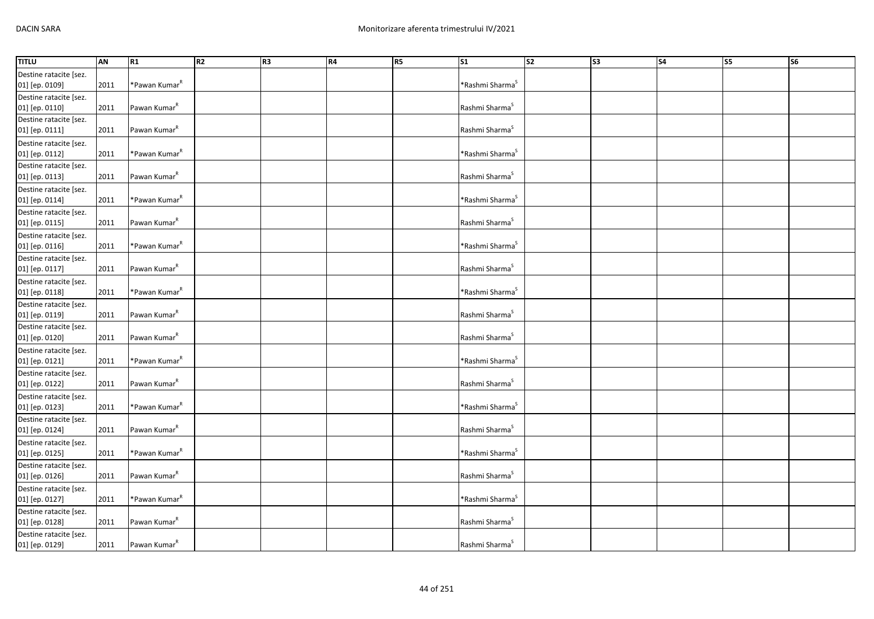| <b>TITLU</b>                             | AN   | R1                        | R2 | R <sub>3</sub> | R4 | <b>R5</b> | <b>S1</b>                   | S <sub>2</sub> | S <sub>3</sub> | S <sub>4</sub> | S5 | S6 |
|------------------------------------------|------|---------------------------|----|----------------|----|-----------|-----------------------------|----------------|----------------|----------------|----|----|
| Destine ratacite [sez.<br>01] [ep. 0109] | 2011 | *Pawan Kumar <sup>R</sup> |    |                |    |           | *Rashmi Sharma <sup>s</sup> |                |                |                |    |    |
| Destine ratacite [sez.<br>01] [ep. 0110] | 2011 | Pawan Kumar <sup>R</sup>  |    |                |    |           | Rashmi Sharma <sup>S</sup>  |                |                |                |    |    |
| Destine ratacite [sez.<br>01] [ep. 0111] | 2011 | Pawan Kumar <sup>R</sup>  |    |                |    |           | Rashmi Sharma <sup>S</sup>  |                |                |                |    |    |
| Destine ratacite [sez.<br>01] [ep. 0112] | 2011 | *Pawan Kumar <sup>R</sup> |    |                |    |           | *Rashmi Sharma <sup>S</sup> |                |                |                |    |    |
| Destine ratacite [sez.<br>01] [ep. 0113] | 2011 | Pawan Kumar <sup>R</sup>  |    |                |    |           | Rashmi Sharma <sup>S</sup>  |                |                |                |    |    |
| Destine ratacite [sez.<br>01] [ep. 0114] | 2011 | *Pawan Kumar <sup>R</sup> |    |                |    |           | *Rashmi Sharma <sup>S</sup> |                |                |                |    |    |
| Destine ratacite [sez.<br>01] [ep. 0115] | 2011 | Pawan Kumar <sup>R</sup>  |    |                |    |           | Rashmi Sharma <sup>S</sup>  |                |                |                |    |    |
| Destine ratacite [sez.<br>01] [ep. 0116] | 2011 | *Pawan Kumar <sup>R</sup> |    |                |    |           | *Rashmi Sharma <sup>S</sup> |                |                |                |    |    |
| Destine ratacite [sez.<br>01] [ep. 0117] | 2011 | Pawan Kumar <sup>R</sup>  |    |                |    |           | Rashmi Sharma <sup>S</sup>  |                |                |                |    |    |
| Destine ratacite [sez.<br>01] [ep. 0118] | 2011 | *Pawan Kumar <sup>R</sup> |    |                |    |           | *Rashmi Sharma <sup>s</sup> |                |                |                |    |    |
| Destine ratacite [sez.<br>01] [ep. 0119] | 2011 | Pawan Kumar <sup>R</sup>  |    |                |    |           | Rashmi Sharma <sup>S</sup>  |                |                |                |    |    |
| Destine ratacite [sez.<br>01] [ep. 0120] | 2011 | Pawan Kumar <sup>R</sup>  |    |                |    |           | Rashmi Sharma <sup>S</sup>  |                |                |                |    |    |
| Destine ratacite [sez.<br>01] [ep. 0121] | 2011 | *Pawan Kumar <sup>R</sup> |    |                |    |           | *Rashmi Sharma <sup>S</sup> |                |                |                |    |    |
| Destine ratacite [sez.<br>01] [ep. 0122] | 2011 | Pawan Kumar <sup>R</sup>  |    |                |    |           | Rashmi Sharma <sup>S</sup>  |                |                |                |    |    |
| Destine ratacite [sez.<br>01] [ep. 0123] | 2011 | *Pawan Kumar <sup>R</sup> |    |                |    |           | *Rashmi Sharma <sup>S</sup> |                |                |                |    |    |
| Destine ratacite [sez.<br>01] [ep. 0124] | 2011 | Pawan Kumar <sup>R</sup>  |    |                |    |           | Rashmi Sharma <sup>S</sup>  |                |                |                |    |    |
| Destine ratacite [sez.<br>01] [ep. 0125] | 2011 | *Pawan Kumar <sup>R</sup> |    |                |    |           | *Rashmi Sharma <sup>S</sup> |                |                |                |    |    |
| Destine ratacite [sez.<br>01] [ep. 0126] | 2011 | Pawan Kumar <sup>R</sup>  |    |                |    |           | Rashmi Sharma <sup>S</sup>  |                |                |                |    |    |
| Destine ratacite [sez.<br>01] [ep. 0127] | 2011 | *Pawan Kumar <sup>R</sup> |    |                |    |           | *Rashmi Sharma <sup>S</sup> |                |                |                |    |    |
| Destine ratacite [sez.<br>01] [ep. 0128] | 2011 | Pawan Kumar <sup>k</sup>  |    |                |    |           | Rashmi Sharma <sup>S</sup>  |                |                |                |    |    |
| Destine ratacite [sez.<br>01] [ep. 0129] | 2011 | Pawan Kumar <sup>k</sup>  |    |                |    |           | Rashmi Sharma <sup>S</sup>  |                |                |                |    |    |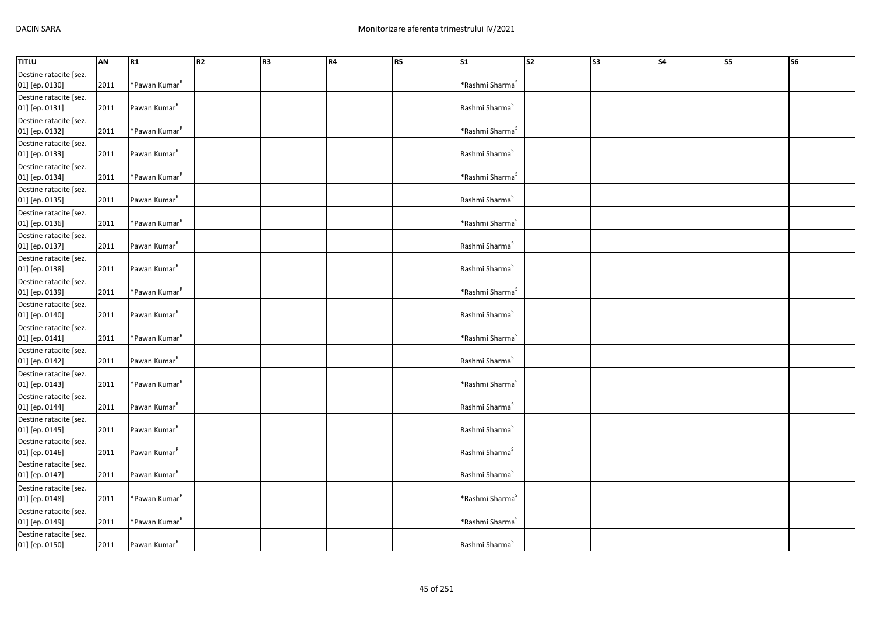| <b>TITLU</b>                             | AN   | R1                        | R2 | R <sub>3</sub> | R4 | <b>R5</b> | <b>S1</b>                   | S <sub>2</sub> | S <sub>3</sub> | S <sub>4</sub> | S5 | S6 |
|------------------------------------------|------|---------------------------|----|----------------|----|-----------|-----------------------------|----------------|----------------|----------------|----|----|
| Destine ratacite [sez.<br>01] [ep. 0130] | 2011 | *Pawan Kumar <sup>R</sup> |    |                |    |           | *Rashmi Sharma <sup>s</sup> |                |                |                |    |    |
| Destine ratacite [sez.<br>01] [ep. 0131] | 2011 | Pawan Kumar <sup>R</sup>  |    |                |    |           | Rashmi Sharma <sup>S</sup>  |                |                |                |    |    |
| Destine ratacite [sez.<br>01] [ep. 0132] | 2011 | *Pawan Kumar <sup>R</sup> |    |                |    |           | *Rashmi Sharma <sup>s</sup> |                |                |                |    |    |
| Destine ratacite [sez.<br>01] [ep. 0133] | 2011 | Pawan Kumar <sup>R</sup>  |    |                |    |           | Rashmi Sharma <sup>S</sup>  |                |                |                |    |    |
| Destine ratacite [sez.<br>01] [ep. 0134] | 2011 | *Pawan Kumar <sup>R</sup> |    |                |    |           | *Rashmi Sharma <sup>S</sup> |                |                |                |    |    |
| Destine ratacite [sez.<br>01] [ep. 0135] | 2011 | Pawan Kumar <sup>R</sup>  |    |                |    |           | Rashmi Sharma <sup>S</sup>  |                |                |                |    |    |
| Destine ratacite [sez.<br>01] [ep. 0136] | 2011 | *Pawan Kumar <sup>R</sup> |    |                |    |           | *Rashmi Sharma <sup>S</sup> |                |                |                |    |    |
| Destine ratacite [sez.<br>01] [ep. 0137] | 2011 | Pawan Kumar <sup>R</sup>  |    |                |    |           | Rashmi Sharma <sup>S</sup>  |                |                |                |    |    |
| Destine ratacite [sez.<br>01] [ep. 0138] | 2011 | Pawan Kumar <sup>R</sup>  |    |                |    |           | Rashmi Sharma <sup>S</sup>  |                |                |                |    |    |
| Destine ratacite [sez.<br>01] [ep. 0139] | 2011 | *Pawan Kumar <sup>R</sup> |    |                |    |           | *Rashmi Sharma <sup>s</sup> |                |                |                |    |    |
| Destine ratacite [sez.<br>01] [ep. 0140] | 2011 | Pawan Kumar <sup>R</sup>  |    |                |    |           | Rashmi Sharma <sup>S</sup>  |                |                |                |    |    |
| Destine ratacite [sez.<br>01] [ep. 0141] | 2011 | *Pawan Kumar <sup>R</sup> |    |                |    |           | *Rashmi Sharma <sup>S</sup> |                |                |                |    |    |
| Destine ratacite [sez.<br>01] [ep. 0142] | 2011 | Pawan Kumar <sup>R</sup>  |    |                |    |           | Rashmi Sharma <sup>S</sup>  |                |                |                |    |    |
| Destine ratacite [sez.<br>01] [ep. 0143] | 2011 | *Pawan Kumar <sup>R</sup> |    |                |    |           | *Rashmi Sharma <sup>s</sup> |                |                |                |    |    |
| Destine ratacite [sez.<br>01] [ep. 0144] | 2011 | Pawan Kumar <sup>R</sup>  |    |                |    |           | Rashmi Sharma <sup>S</sup>  |                |                |                |    |    |
| Destine ratacite [sez.<br>01] [ep. 0145] | 2011 | Pawan Kumar <sup>R</sup>  |    |                |    |           | Rashmi Sharma <sup>S</sup>  |                |                |                |    |    |
| Destine ratacite [sez.<br>01] [ep. 0146] | 2011 | Pawan Kumar <sup>R</sup>  |    |                |    |           | Rashmi Sharma <sup>S</sup>  |                |                |                |    |    |
| Destine ratacite [sez.<br>01] [ep. 0147] | 2011 | Pawan Kumar <sup>R</sup>  |    |                |    |           | Rashmi Sharma <sup>S</sup>  |                |                |                |    |    |
| Destine ratacite [sez.<br>01] [ep. 0148] | 2011 | *Pawan Kumar <sup>R</sup> |    |                |    |           | *Rashmi Sharma <sup>S</sup> |                |                |                |    |    |
| Destine ratacite [sez.<br>01] [ep. 0149] | 2011 | *Pawan Kumar <sup>k</sup> |    |                |    |           | *Rashmi Sharma <sup>5</sup> |                |                |                |    |    |
| Destine ratacite [sez.<br>01] [ep. 0150] | 2011 | Pawan Kumar <sup>k</sup>  |    |                |    |           | Rashmi Sharma <sup>S</sup>  |                |                |                |    |    |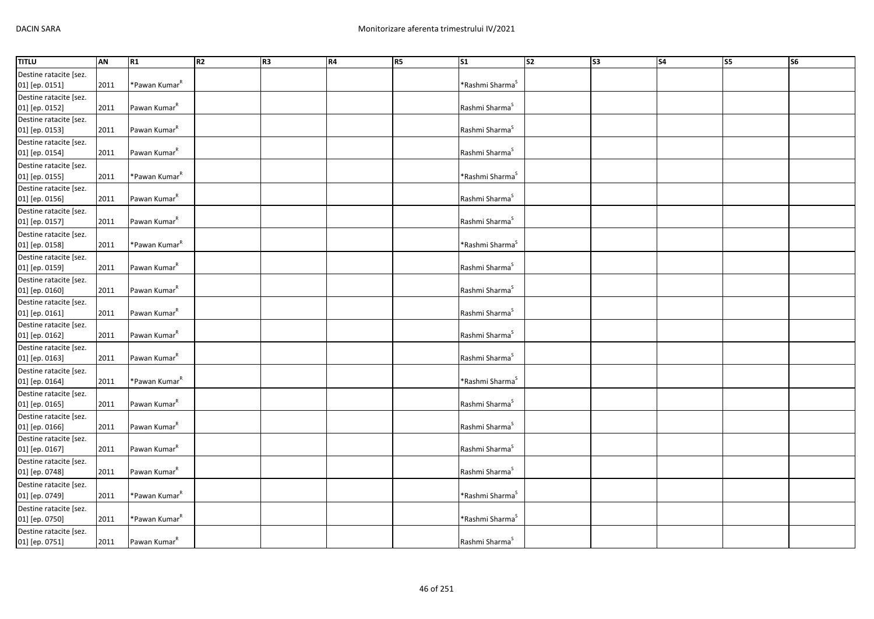| <b>TITLU</b>           | <b>AN</b> | R1                        | R2 | R3 | <b>R4</b> | R <sub>5</sub> | $\overline{\text{S1}}$      | $\overline{\text{S2}}$ | $\overline{\text{S3}}$ | S <sub>4</sub> | <b>S5</b> | $\overline{\text{S6}}$ |
|------------------------|-----------|---------------------------|----|----|-----------|----------------|-----------------------------|------------------------|------------------------|----------------|-----------|------------------------|
| Destine ratacite [sez. |           |                           |    |    |           |                |                             |                        |                        |                |           |                        |
| 01] [ep. 0151]         | 2011      | *Pawan Kumar <sup>R</sup> |    |    |           |                | *Rashmi Sharma <sup>S</sup> |                        |                        |                |           |                        |
| Destine ratacite [sez. |           |                           |    |    |           |                |                             |                        |                        |                |           |                        |
| 01] [ep. 0152]         | 2011      | Pawan Kumar <sup>R</sup>  |    |    |           |                | Rashmi Sharma <sup>S</sup>  |                        |                        |                |           |                        |
| Destine ratacite [sez. |           |                           |    |    |           |                |                             |                        |                        |                |           |                        |
| 01] [ep. 0153]         | 2011      | Pawan Kumar <sup>R</sup>  |    |    |           |                | Rashmi Sharma <sup>S</sup>  |                        |                        |                |           |                        |
| Destine ratacite [sez. |           |                           |    |    |           |                |                             |                        |                        |                |           |                        |
| 01] [ep. 0154]         | 2011      | Pawan Kumar <sup>R</sup>  |    |    |           |                | Rashmi Sharma <sup>S</sup>  |                        |                        |                |           |                        |
| Destine ratacite [sez. |           |                           |    |    |           |                |                             |                        |                        |                |           |                        |
| 01] [ep. 0155]         | 2011      | *Pawan Kumar <sup>R</sup> |    |    |           |                | *Rashmi Sharma <sup>S</sup> |                        |                        |                |           |                        |
| Destine ratacite [sez. |           |                           |    |    |           |                |                             |                        |                        |                |           |                        |
| 01] [ep. 0156]         | 2011      | Pawan Kumar <sup>R</sup>  |    |    |           |                | Rashmi Sharma <sup>S</sup>  |                        |                        |                |           |                        |
| Destine ratacite [sez. |           |                           |    |    |           |                |                             |                        |                        |                |           |                        |
| 01] [ep. 0157]         | 2011      | Pawan Kumar <sup>R</sup>  |    |    |           |                | Rashmi Sharma <sup>S</sup>  |                        |                        |                |           |                        |
| Destine ratacite [sez. |           |                           |    |    |           |                |                             |                        |                        |                |           |                        |
| 01] [ep. 0158]         | 2011      | *Pawan Kumar <sup>R</sup> |    |    |           |                | *Rashmi Sharma <sup>S</sup> |                        |                        |                |           |                        |
| Destine ratacite [sez. |           |                           |    |    |           |                |                             |                        |                        |                |           |                        |
| 01] [ep. 0159]         | 2011      | Pawan Kumar <sup>R</sup>  |    |    |           |                | Rashmi Sharma <sup>S</sup>  |                        |                        |                |           |                        |
| Destine ratacite [sez. |           |                           |    |    |           |                |                             |                        |                        |                |           |                        |
| 01] [ep. 0160]         | 2011      | Pawan Kumar <sup>R</sup>  |    |    |           |                | Rashmi Sharma <sup>S</sup>  |                        |                        |                |           |                        |
| Destine ratacite [sez. |           |                           |    |    |           |                |                             |                        |                        |                |           |                        |
| 01] [ep. 0161]         | 2011      | Pawan Kumar <sup>R</sup>  |    |    |           |                | Rashmi Sharma <sup>S</sup>  |                        |                        |                |           |                        |
| Destine ratacite [sez. |           |                           |    |    |           |                |                             |                        |                        |                |           |                        |
| 01] [ep. 0162]         | 2011      | Pawan Kumar <sup>R</sup>  |    |    |           |                | Rashmi Sharma <sup>S</sup>  |                        |                        |                |           |                        |
| Destine ratacite [sez. |           |                           |    |    |           |                |                             |                        |                        |                |           |                        |
| 01] [ep. 0163]         | 2011      | Pawan Kumar <sup>R</sup>  |    |    |           |                | Rashmi Sharma <sup>S</sup>  |                        |                        |                |           |                        |
| Destine ratacite [sez. |           |                           |    |    |           |                |                             |                        |                        |                |           |                        |
| 01] [ep. 0164]         | 2011      | *Pawan Kumar <sup>R</sup> |    |    |           |                | *Rashmi Sharma <sup>S</sup> |                        |                        |                |           |                        |
| Destine ratacite [sez. |           |                           |    |    |           |                |                             |                        |                        |                |           |                        |
| 01] [ep. 0165]         | 2011      | Pawan Kumar <sup>R</sup>  |    |    |           |                | Rashmi Sharma <sup>S</sup>  |                        |                        |                |           |                        |
| Destine ratacite [sez. |           |                           |    |    |           |                |                             |                        |                        |                |           |                        |
| 01] [ep. 0166]         | 2011      | Pawan Kumar <sup>R</sup>  |    |    |           |                | Rashmi Sharma <sup>S</sup>  |                        |                        |                |           |                        |
| Destine ratacite [sez. |           |                           |    |    |           |                |                             |                        |                        |                |           |                        |
| 01] [ep. 0167]         | 2011      | Pawan Kumar <sup>R</sup>  |    |    |           |                | Rashmi Sharma <sup>S</sup>  |                        |                        |                |           |                        |
| Destine ratacite [sez. |           |                           |    |    |           |                |                             |                        |                        |                |           |                        |
| 01] [ep. 0748]         | 2011      | Pawan Kumar <sup>R</sup>  |    |    |           |                | Rashmi Sharma <sup>S</sup>  |                        |                        |                |           |                        |
| Destine ratacite [sez. |           |                           |    |    |           |                |                             |                        |                        |                |           |                        |
| 01] [ep. 0749]         | 2011      | *Pawan Kumar <sup>R</sup> |    |    |           |                | *Rashmi Sharma <sup>S</sup> |                        |                        |                |           |                        |
| Destine ratacite [sez. |           |                           |    |    |           |                |                             |                        |                        |                |           |                        |
| 01] [ep. 0750]         | 2011      | *Pawan Kumar <sup>R</sup> |    |    |           |                | *Rashmi Sharma <sup>s</sup> |                        |                        |                |           |                        |
| Destine ratacite [sez. |           |                           |    |    |           |                |                             |                        |                        |                |           |                        |
| 01] [ep. 0751]         | 2011      | Pawan Kumar <sup>R</sup>  |    |    |           |                | Rashmi Sharma <sup>S</sup>  |                        |                        |                |           |                        |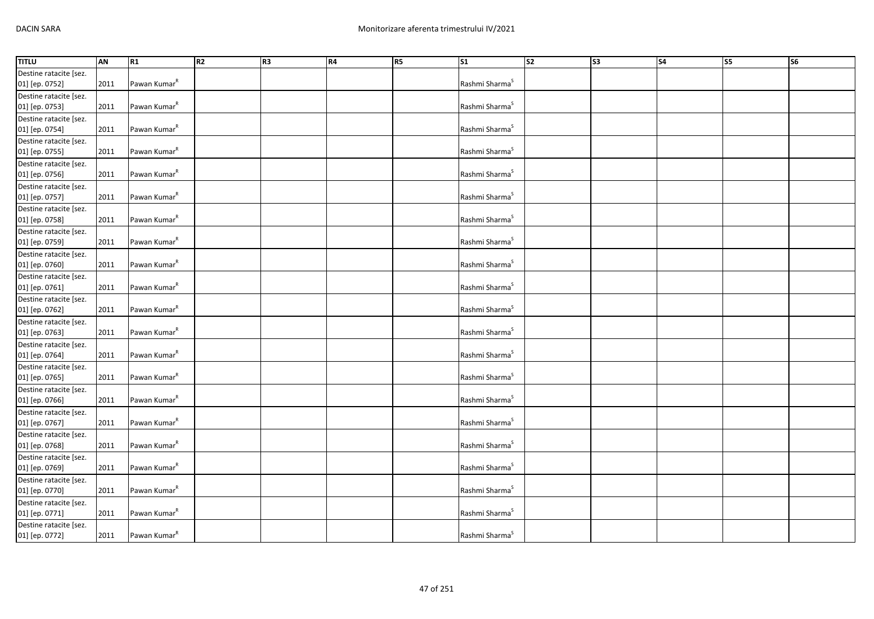| <b>TITLU</b>           | AN   | R1                       | R2 | R <sub>3</sub> | R4 | R5 | S <sub>1</sub>             | s <sub>2</sub> | $\overline{\text{S3}}$ | S <sub>4</sub> | $\overline{\text{S}}$ | S6 |
|------------------------|------|--------------------------|----|----------------|----|----|----------------------------|----------------|------------------------|----------------|-----------------------|----|
| Destine ratacite [sez. |      |                          |    |                |    |    |                            |                |                        |                |                       |    |
| 01] [ep. 0752]         | 2011 | Pawan Kumar <sup>R</sup> |    |                |    |    | Rashmi Sharma <sup>S</sup> |                |                        |                |                       |    |
| Destine ratacite [sez. |      |                          |    |                |    |    |                            |                |                        |                |                       |    |
| 01] [ep. 0753]         | 2011 | Pawan Kumar <sup>R</sup> |    |                |    |    | Rashmi Sharma <sup>S</sup> |                |                        |                |                       |    |
| Destine ratacite [sez. |      |                          |    |                |    |    |                            |                |                        |                |                       |    |
| 01] [ep. 0754]         | 2011 | Pawan Kumar <sup>R</sup> |    |                |    |    | Rashmi Sharma <sup>S</sup> |                |                        |                |                       |    |
| Destine ratacite [sez. |      |                          |    |                |    |    |                            |                |                        |                |                       |    |
| 01] [ep. 0755]         | 2011 | Pawan Kumar <sup>R</sup> |    |                |    |    | Rashmi Sharma <sup>S</sup> |                |                        |                |                       |    |
| Destine ratacite [sez. |      |                          |    |                |    |    |                            |                |                        |                |                       |    |
| 01] [ep. 0756]         | 2011 | Pawan Kumar <sup>R</sup> |    |                |    |    | Rashmi Sharma <sup>S</sup> |                |                        |                |                       |    |
| Destine ratacite [sez. |      |                          |    |                |    |    |                            |                |                        |                |                       |    |
| 01] [ep. 0757]         | 2011 | Pawan Kumar <sup>R</sup> |    |                |    |    | Rashmi Sharma <sup>S</sup> |                |                        |                |                       |    |
| Destine ratacite [sez. |      |                          |    |                |    |    |                            |                |                        |                |                       |    |
| 01] [ep. 0758]         | 2011 | Pawan Kumar <sup>R</sup> |    |                |    |    | Rashmi Sharma <sup>S</sup> |                |                        |                |                       |    |
| Destine ratacite [sez. |      |                          |    |                |    |    |                            |                |                        |                |                       |    |
| 01] [ep. 0759]         | 2011 | Pawan Kumar <sup>R</sup> |    |                |    |    | Rashmi Sharma <sup>S</sup> |                |                        |                |                       |    |
| Destine ratacite [sez. |      |                          |    |                |    |    |                            |                |                        |                |                       |    |
| 01] [ep. 0760]         | 2011 | Pawan Kumar <sup>R</sup> |    |                |    |    | Rashmi Sharma <sup>S</sup> |                |                        |                |                       |    |
| Destine ratacite [sez. |      |                          |    |                |    |    |                            |                |                        |                |                       |    |
| 01] [ep. 0761]         | 2011 | Pawan Kumar <sup>R</sup> |    |                |    |    | Rashmi Sharma <sup>S</sup> |                |                        |                |                       |    |
| Destine ratacite [sez. |      |                          |    |                |    |    |                            |                |                        |                |                       |    |
| 01] [ep. 0762]         | 2011 | Pawan Kumar <sup>R</sup> |    |                |    |    | Rashmi Sharma <sup>S</sup> |                |                        |                |                       |    |
| Destine ratacite [sez. |      |                          |    |                |    |    |                            |                |                        |                |                       |    |
| 01] [ep. 0763]         | 2011 | Pawan Kumar <sup>R</sup> |    |                |    |    | Rashmi Sharma <sup>S</sup> |                |                        |                |                       |    |
| Destine ratacite [sez. |      |                          |    |                |    |    |                            |                |                        |                |                       |    |
| 01] [ep. 0764]         | 2011 | Pawan Kumar <sup>R</sup> |    |                |    |    | Rashmi Sharma <sup>S</sup> |                |                        |                |                       |    |
| Destine ratacite [sez. |      |                          |    |                |    |    |                            |                |                        |                |                       |    |
| 01] [ep. 0765]         | 2011 | Pawan Kumar <sup>R</sup> |    |                |    |    | Rashmi Sharma <sup>S</sup> |                |                        |                |                       |    |
| Destine ratacite [sez. |      |                          |    |                |    |    |                            |                |                        |                |                       |    |
| 01] [ep. 0766]         | 2011 | Pawan Kumar <sup>R</sup> |    |                |    |    | Rashmi Sharma <sup>S</sup> |                |                        |                |                       |    |
| Destine ratacite [sez. |      |                          |    |                |    |    |                            |                |                        |                |                       |    |
| 01] [ep. 0767]         | 2011 | Pawan Kumar <sup>R</sup> |    |                |    |    | Rashmi Sharma <sup>S</sup> |                |                        |                |                       |    |
| Destine ratacite [sez. |      |                          |    |                |    |    |                            |                |                        |                |                       |    |
| 01] [ep. 0768]         | 2011 | Pawan Kumar <sup>R</sup> |    |                |    |    | Rashmi Sharma <sup>S</sup> |                |                        |                |                       |    |
| Destine ratacite [sez. |      |                          |    |                |    |    |                            |                |                        |                |                       |    |
| 01] [ep. 0769]         | 2011 | Pawan Kumar <sup>R</sup> |    |                |    |    | Rashmi Sharma <sup>S</sup> |                |                        |                |                       |    |
| Destine ratacite [sez. |      |                          |    |                |    |    |                            |                |                        |                |                       |    |
| 01] [ep. 0770]         | 2011 | Pawan Kumar <sup>R</sup> |    |                |    |    | Rashmi Sharma <sup>S</sup> |                |                        |                |                       |    |
| Destine ratacite [sez. |      |                          |    |                |    |    |                            |                |                        |                |                       |    |
| 01] [ep. 0771]         | 2011 | Pawan Kumar <sup>R</sup> |    |                |    |    | Rashmi Sharma <sup>S</sup> |                |                        |                |                       |    |
| Destine ratacite [sez. |      |                          |    |                |    |    |                            |                |                        |                |                       |    |
| 01] [ep. 0772]         | 2011 | Pawan Kumar <sup>k</sup> |    |                |    |    | Rashmi Sharma <sup>S</sup> |                |                        |                |                       |    |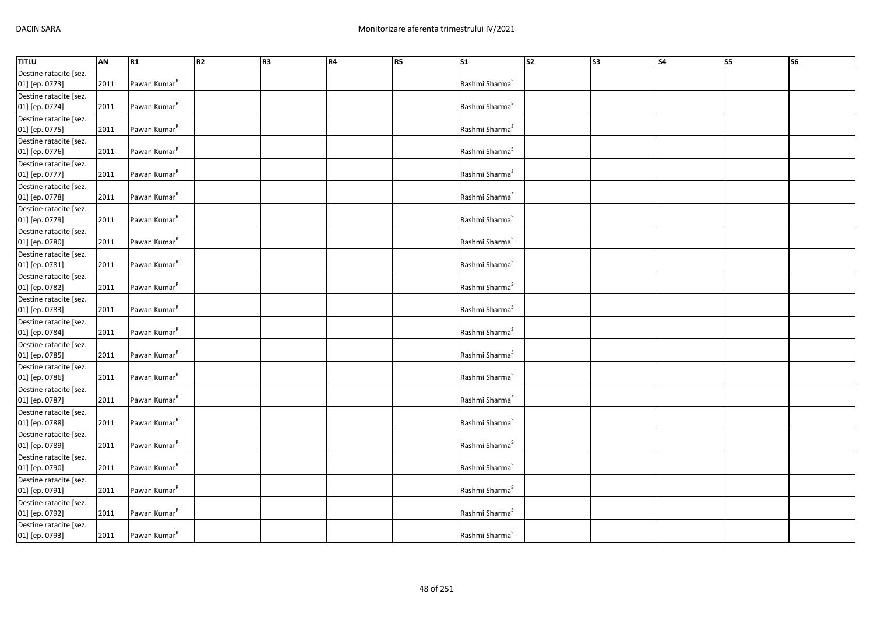| <b>TITLU</b>           | AN   | R1                       | R <sub>2</sub> | R <sub>3</sub> | <b>R4</b> | R5 | S <sub>1</sub>             | $\overline{\text{S2}}$ | $\overline{\text{S3}}$ | S <sub>4</sub> | S5 | S6 |
|------------------------|------|--------------------------|----------------|----------------|-----------|----|----------------------------|------------------------|------------------------|----------------|----|----|
| Destine ratacite [sez. |      |                          |                |                |           |    |                            |                        |                        |                |    |    |
| 01] [ep. 0773]         | 2011 | Pawan Kumar <sup>R</sup> |                |                |           |    | Rashmi Sharma <sup>S</sup> |                        |                        |                |    |    |
| Destine ratacite [sez. |      |                          |                |                |           |    |                            |                        |                        |                |    |    |
| 01] [ep. 0774]         | 2011 | Pawan Kumar <sup>R</sup> |                |                |           |    | Rashmi Sharma <sup>S</sup> |                        |                        |                |    |    |
| Destine ratacite [sez. |      |                          |                |                |           |    |                            |                        |                        |                |    |    |
| 01] [ep. 0775]         | 2011 | Pawan Kumar <sup>R</sup> |                |                |           |    | Rashmi Sharma <sup>S</sup> |                        |                        |                |    |    |
| Destine ratacite [sez. |      |                          |                |                |           |    |                            |                        |                        |                |    |    |
| 01] [ep. 0776]         | 2011 | Pawan Kumar <sup>R</sup> |                |                |           |    | Rashmi Sharma <sup>S</sup> |                        |                        |                |    |    |
| Destine ratacite [sez. |      |                          |                |                |           |    |                            |                        |                        |                |    |    |
| 01] [ep. 0777]         | 2011 | Pawan Kumar <sup>R</sup> |                |                |           |    | Rashmi Sharma <sup>S</sup> |                        |                        |                |    |    |
| Destine ratacite [sez. |      |                          |                |                |           |    |                            |                        |                        |                |    |    |
| 01] [ep. 0778]         | 2011 | Pawan Kumar <sup>R</sup> |                |                |           |    | Rashmi Sharma <sup>S</sup> |                        |                        |                |    |    |
| Destine ratacite [sez. |      |                          |                |                |           |    |                            |                        |                        |                |    |    |
| 01] [ep. 0779]         | 2011 | Pawan Kumar <sup>R</sup> |                |                |           |    | Rashmi Sharma <sup>S</sup> |                        |                        |                |    |    |
| Destine ratacite [sez. |      |                          |                |                |           |    |                            |                        |                        |                |    |    |
| 01] [ep. 0780]         | 2011 | Pawan Kumar <sup>R</sup> |                |                |           |    | Rashmi Sharma <sup>S</sup> |                        |                        |                |    |    |
| Destine ratacite [sez. |      |                          |                |                |           |    |                            |                        |                        |                |    |    |
| 01] [ep. 0781]         | 2011 | Pawan Kumar <sup>R</sup> |                |                |           |    | Rashmi Sharma <sup>S</sup> |                        |                        |                |    |    |
| Destine ratacite [sez. |      |                          |                |                |           |    |                            |                        |                        |                |    |    |
| 01] [ep. 0782]         | 2011 | Pawan Kumar <sup>R</sup> |                |                |           |    | Rashmi Sharma <sup>S</sup> |                        |                        |                |    |    |
| Destine ratacite [sez. |      |                          |                |                |           |    |                            |                        |                        |                |    |    |
| 01] [ep. 0783]         | 2011 | Pawan Kumar <sup>R</sup> |                |                |           |    | Rashmi Sharma <sup>S</sup> |                        |                        |                |    |    |
| Destine ratacite [sez. |      |                          |                |                |           |    |                            |                        |                        |                |    |    |
| 01] [ep. 0784]         | 2011 | Pawan Kumar <sup>R</sup> |                |                |           |    | Rashmi Sharma <sup>S</sup> |                        |                        |                |    |    |
| Destine ratacite [sez. |      |                          |                |                |           |    |                            |                        |                        |                |    |    |
| 01] [ep. 0785]         | 2011 | Pawan Kumar <sup>R</sup> |                |                |           |    | Rashmi Sharma <sup>S</sup> |                        |                        |                |    |    |
| Destine ratacite [sez. |      |                          |                |                |           |    |                            |                        |                        |                |    |    |
| 01] [ep. 0786]         | 2011 | Pawan Kumar <sup>R</sup> |                |                |           |    | Rashmi Sharma <sup>S</sup> |                        |                        |                |    |    |
| Destine ratacite [sez. |      |                          |                |                |           |    |                            |                        |                        |                |    |    |
| 01] [ep. 0787]         | 2011 | Pawan Kumar <sup>R</sup> |                |                |           |    | Rashmi Sharma <sup>S</sup> |                        |                        |                |    |    |
| Destine ratacite [sez. |      |                          |                |                |           |    |                            |                        |                        |                |    |    |
| 01] [ep. 0788]         | 2011 | Pawan Kumar <sup>R</sup> |                |                |           |    | Rashmi Sharma <sup>S</sup> |                        |                        |                |    |    |
| Destine ratacite [sez. |      |                          |                |                |           |    |                            |                        |                        |                |    |    |
| 01] [ep. 0789]         | 2011 | Pawan Kumar <sup>R</sup> |                |                |           |    | Rashmi Sharma <sup>S</sup> |                        |                        |                |    |    |
| Destine ratacite [sez. |      |                          |                |                |           |    |                            |                        |                        |                |    |    |
| 01] [ep. 0790]         | 2011 | Pawan Kumar <sup>R</sup> |                |                |           |    | Rashmi Sharma <sup>5</sup> |                        |                        |                |    |    |
| Destine ratacite [sez. |      |                          |                |                |           |    |                            |                        |                        |                |    |    |
| 01] [ep. 0791]         | 2011 | Pawan Kumar <sup>R</sup> |                |                |           |    | Rashmi Sharma <sup>S</sup> |                        |                        |                |    |    |
| Destine ratacite [sez. |      |                          |                |                |           |    |                            |                        |                        |                |    |    |
| 01] [ep. 0792]         | 2011 | Pawan Kumar <sup>R</sup> |                |                |           |    | Rashmi Sharma <sup>S</sup> |                        |                        |                |    |    |
| Destine ratacite [sez. |      |                          |                |                |           |    |                            |                        |                        |                |    |    |
| 01] [ep. 0793]         | 2011 | Pawan Kumar <sup>R</sup> |                |                |           |    | Rashmi Sharma <sup>S</sup> |                        |                        |                |    |    |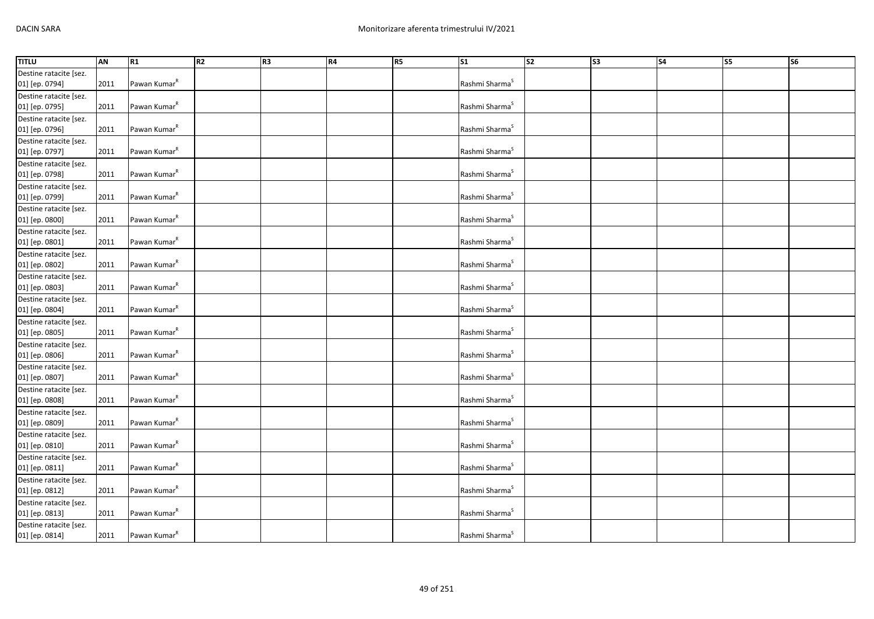| <b>TITLU</b>           | AN   | R1                       | R2 | R <sub>3</sub> | R4 | R5 | S <sub>1</sub>             | s <sub>2</sub> | $\overline{\text{S3}}$ | S <sub>4</sub> | S <sub>5</sub> | S6 |
|------------------------|------|--------------------------|----|----------------|----|----|----------------------------|----------------|------------------------|----------------|----------------|----|
| Destine ratacite [sez. |      |                          |    |                |    |    |                            |                |                        |                |                |    |
| 01] [ep. 0794]         | 2011 | Pawan Kumar <sup>R</sup> |    |                |    |    | Rashmi Sharma <sup>S</sup> |                |                        |                |                |    |
| Destine ratacite [sez. |      |                          |    |                |    |    |                            |                |                        |                |                |    |
| 01] [ep. 0795]         | 2011 | Pawan Kumar <sup>R</sup> |    |                |    |    | Rashmi Sharma <sup>S</sup> |                |                        |                |                |    |
| Destine ratacite [sez. |      |                          |    |                |    |    |                            |                |                        |                |                |    |
| 01] [ep. 0796]         | 2011 | Pawan Kumar <sup>R</sup> |    |                |    |    | Rashmi Sharma <sup>S</sup> |                |                        |                |                |    |
| Destine ratacite [sez. |      |                          |    |                |    |    |                            |                |                        |                |                |    |
| 01] [ep. 0797]         | 2011 | Pawan Kumar <sup>R</sup> |    |                |    |    | Rashmi Sharma <sup>S</sup> |                |                        |                |                |    |
| Destine ratacite [sez. |      |                          |    |                |    |    |                            |                |                        |                |                |    |
| 01] [ep. 0798]         | 2011 | Pawan Kumar <sup>R</sup> |    |                |    |    | Rashmi Sharma <sup>S</sup> |                |                        |                |                |    |
| Destine ratacite [sez. |      |                          |    |                |    |    |                            |                |                        |                |                |    |
| 01] [ep. 0799]         | 2011 | Pawan Kumar <sup>R</sup> |    |                |    |    | Rashmi Sharma <sup>S</sup> |                |                        |                |                |    |
| Destine ratacite [sez. |      |                          |    |                |    |    |                            |                |                        |                |                |    |
| 01] [ep. 0800]         | 2011 | Pawan Kumar <sup>R</sup> |    |                |    |    | Rashmi Sharma <sup>S</sup> |                |                        |                |                |    |
| Destine ratacite [sez. |      |                          |    |                |    |    |                            |                |                        |                |                |    |
| 01] [ep. 0801]         | 2011 | Pawan Kumar <sup>R</sup> |    |                |    |    | Rashmi Sharma <sup>S</sup> |                |                        |                |                |    |
| Destine ratacite [sez. |      |                          |    |                |    |    |                            |                |                        |                |                |    |
| 01] [ep. 0802]         | 2011 | Pawan Kumar <sup>R</sup> |    |                |    |    | Rashmi Sharma <sup>S</sup> |                |                        |                |                |    |
| Destine ratacite [sez. |      |                          |    |                |    |    |                            |                |                        |                |                |    |
| 01] [ep. 0803]         | 2011 | Pawan Kumar <sup>R</sup> |    |                |    |    | Rashmi Sharma <sup>S</sup> |                |                        |                |                |    |
| Destine ratacite [sez. |      |                          |    |                |    |    |                            |                |                        |                |                |    |
| 01] [ep. 0804]         | 2011 | Pawan Kumar <sup>R</sup> |    |                |    |    | Rashmi Sharma <sup>S</sup> |                |                        |                |                |    |
| Destine ratacite [sez. |      |                          |    |                |    |    |                            |                |                        |                |                |    |
| 01] [ep. 0805]         | 2011 | Pawan Kumar <sup>R</sup> |    |                |    |    | Rashmi Sharma <sup>S</sup> |                |                        |                |                |    |
| Destine ratacite [sez. |      |                          |    |                |    |    |                            |                |                        |                |                |    |
| 01] [ep. 0806]         | 2011 | Pawan Kumar <sup>R</sup> |    |                |    |    | Rashmi Sharma <sup>S</sup> |                |                        |                |                |    |
| Destine ratacite [sez. |      |                          |    |                |    |    |                            |                |                        |                |                |    |
| 01] [ep. 0807]         | 2011 | Pawan Kumar <sup>R</sup> |    |                |    |    | Rashmi Sharma <sup>S</sup> |                |                        |                |                |    |
| Destine ratacite [sez. |      |                          |    |                |    |    |                            |                |                        |                |                |    |
| 01] [ep. 0808]         | 2011 | Pawan Kumar <sup>R</sup> |    |                |    |    | Rashmi Sharma <sup>5</sup> |                |                        |                |                |    |
| Destine ratacite [sez. |      |                          |    |                |    |    |                            |                |                        |                |                |    |
| 01] [ep. 0809]         | 2011 | Pawan Kumar <sup>R</sup> |    |                |    |    | Rashmi Sharma <sup>S</sup> |                |                        |                |                |    |
| Destine ratacite [sez. |      |                          |    |                |    |    |                            |                |                        |                |                |    |
| 01] [ep. 0810]         | 2011 | Pawan Kumar <sup>R</sup> |    |                |    |    | Rashmi Sharma <sup>S</sup> |                |                        |                |                |    |
| Destine ratacite [sez. |      |                          |    |                |    |    |                            |                |                        |                |                |    |
| 01] [ep. 0811]         | 2011 | Pawan Kumar <sup>R</sup> |    |                |    |    | Rashmi Sharma <sup>5</sup> |                |                        |                |                |    |
| Destine ratacite [sez. |      |                          |    |                |    |    |                            |                |                        |                |                |    |
| 01] [ep. 0812]         | 2011 | Pawan Kumar <sup>R</sup> |    |                |    |    | Rashmi Sharma <sup>S</sup> |                |                        |                |                |    |
| Destine ratacite [sez. |      |                          |    |                |    |    |                            |                |                        |                |                |    |
| 01] [ep. 0813]         | 2011 | Pawan Kumar <sup>R</sup> |    |                |    |    | Rashmi Sharma <sup>S</sup> |                |                        |                |                |    |
| Destine ratacite [sez. |      |                          |    |                |    |    |                            |                |                        |                |                |    |
| 01] [ep. 0814]         | 2011 | Pawan Kumar <sup>R</sup> |    |                |    |    | Rashmi Sharma <sup>S</sup> |                |                        |                |                |    |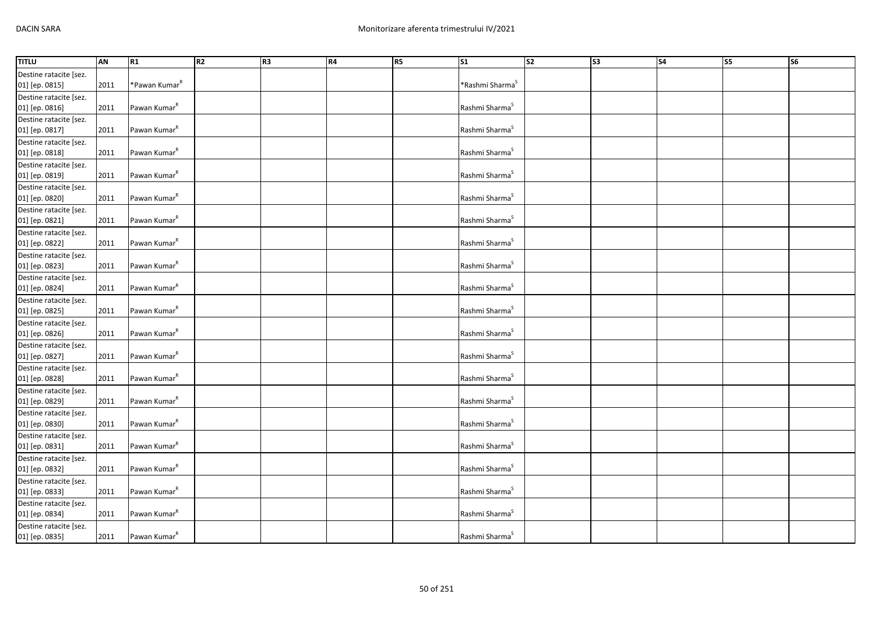| <b>TITLU</b>           | AN   | R <sub>1</sub>            | R2 | R <sub>3</sub> | R4 | R5 | $\overline{\text{S1}}$      | s <sub>2</sub> | $\overline{\text{S3}}$ | <b>S4</b> | <b>S5</b> | <b>S6</b> |
|------------------------|------|---------------------------|----|----------------|----|----|-----------------------------|----------------|------------------------|-----------|-----------|-----------|
| Destine ratacite [sez. |      |                           |    |                |    |    |                             |                |                        |           |           |           |
| 01] [ep. 0815]         | 2011 | *Pawan Kumar <sup>R</sup> |    |                |    |    | *Rashmi Sharma <sup>S</sup> |                |                        |           |           |           |
| Destine ratacite [sez. |      |                           |    |                |    |    |                             |                |                        |           |           |           |
| 01] [ep. 0816]         | 2011 | Pawan Kumar <sup>R</sup>  |    |                |    |    | Rashmi Sharma <sup>S</sup>  |                |                        |           |           |           |
| Destine ratacite [sez. |      |                           |    |                |    |    |                             |                |                        |           |           |           |
| 01] [ep. 0817]         | 2011 | Pawan Kumar <sup>R</sup>  |    |                |    |    | Rashmi Sharma <sup>S</sup>  |                |                        |           |           |           |
| Destine ratacite [sez. |      |                           |    |                |    |    |                             |                |                        |           |           |           |
| 01] [ep. 0818]         | 2011 | Pawan Kumar <sup>R</sup>  |    |                |    |    | Rashmi Sharma <sup>S</sup>  |                |                        |           |           |           |
| Destine ratacite [sez. |      |                           |    |                |    |    |                             |                |                        |           |           |           |
| 01] [ep. 0819]         | 2011 | Pawan Kumar <sup>R</sup>  |    |                |    |    | Rashmi Sharma <sup>5</sup>  |                |                        |           |           |           |
| Destine ratacite [sez. |      |                           |    |                |    |    |                             |                |                        |           |           |           |
| 01] [ep. 0820]         | 2011 | Pawan Kumar <sup>R</sup>  |    |                |    |    | Rashmi Sharma <sup>S</sup>  |                |                        |           |           |           |
| Destine ratacite [sez. |      |                           |    |                |    |    |                             |                |                        |           |           |           |
| 01] [ep. 0821]         | 2011 | Pawan Kumar <sup>R</sup>  |    |                |    |    | Rashmi Sharma <sup>S</sup>  |                |                        |           |           |           |
| Destine ratacite [sez. |      |                           |    |                |    |    |                             |                |                        |           |           |           |
| 01] [ep. 0822]         | 2011 | Pawan Kumar <sup>R</sup>  |    |                |    |    | Rashmi Sharma <sup>S</sup>  |                |                        |           |           |           |
| Destine ratacite [sez. |      |                           |    |                |    |    |                             |                |                        |           |           |           |
| 01] [ep. 0823]         | 2011 | Pawan Kumar <sup>R</sup>  |    |                |    |    | Rashmi Sharma <sup>S</sup>  |                |                        |           |           |           |
| Destine ratacite [sez. |      |                           |    |                |    |    |                             |                |                        |           |           |           |
| 01] [ep. 0824]         | 2011 | Pawan Kumar <sup>R</sup>  |    |                |    |    | Rashmi Sharma <sup>S</sup>  |                |                        |           |           |           |
| Destine ratacite [sez. |      |                           |    |                |    |    |                             |                |                        |           |           |           |
| 01] [ep. 0825]         | 2011 | Pawan Kumar <sup>R</sup>  |    |                |    |    | Rashmi Sharma <sup>S</sup>  |                |                        |           |           |           |
| Destine ratacite [sez. |      |                           |    |                |    |    |                             |                |                        |           |           |           |
| 01] [ep. 0826]         | 2011 | Pawan Kumar <sup>R</sup>  |    |                |    |    | Rashmi Sharma <sup>S</sup>  |                |                        |           |           |           |
| Destine ratacite [sez. |      |                           |    |                |    |    |                             |                |                        |           |           |           |
| 01] [ep. 0827]         | 2011 | Pawan Kumar <sup>R</sup>  |    |                |    |    | Rashmi Sharma <sup>S</sup>  |                |                        |           |           |           |
| Destine ratacite [sez. |      |                           |    |                |    |    |                             |                |                        |           |           |           |
| 01] [ep. 0828]         | 2011 | Pawan Kumar <sup>R</sup>  |    |                |    |    | Rashmi Sharma <sup>S</sup>  |                |                        |           |           |           |
| Destine ratacite [sez. |      |                           |    |                |    |    |                             |                |                        |           |           |           |
| 01] [ep. 0829]         | 2011 | Pawan Kumar <sup>R</sup>  |    |                |    |    | Rashmi Sharma <sup>S</sup>  |                |                        |           |           |           |
| Destine ratacite [sez. |      |                           |    |                |    |    |                             |                |                        |           |           |           |
| 01] [ep. 0830]         | 2011 | Pawan Kumar <sup>R</sup>  |    |                |    |    | Rashmi Sharma <sup>S</sup>  |                |                        |           |           |           |
| Destine ratacite [sez. |      |                           |    |                |    |    |                             |                |                        |           |           |           |
| 01] [ep. 0831]         | 2011 | Pawan Kumar <sup>R</sup>  |    |                |    |    | Rashmi Sharma <sup>S</sup>  |                |                        |           |           |           |
| Destine ratacite [sez. |      |                           |    |                |    |    |                             |                |                        |           |           |           |
| 01] [ep. 0832]         | 2011 | Pawan Kumar <sup>R</sup>  |    |                |    |    | Rashmi Sharma <sup>S</sup>  |                |                        |           |           |           |
| Destine ratacite [sez. |      |                           |    |                |    |    |                             |                |                        |           |           |           |
| 01] [ep. 0833]         | 2011 | Pawan Kumar <sup>R</sup>  |    |                |    |    | Rashmi Sharma <sup>S</sup>  |                |                        |           |           |           |
| Destine ratacite [sez. |      |                           |    |                |    |    |                             |                |                        |           |           |           |
| 01] [ep. 0834]         | 2011 | Pawan Kumar <sup>R</sup>  |    |                |    |    | Rashmi Sharma <sup>S</sup>  |                |                        |           |           |           |
| Destine ratacite [sez. |      |                           |    |                |    |    |                             |                |                        |           |           |           |
| 01] [ep. 0835]         | 2011 | Pawan Kumar <sup>k</sup>  |    |                |    |    | Rashmi Sharma <sup>5</sup>  |                |                        |           |           |           |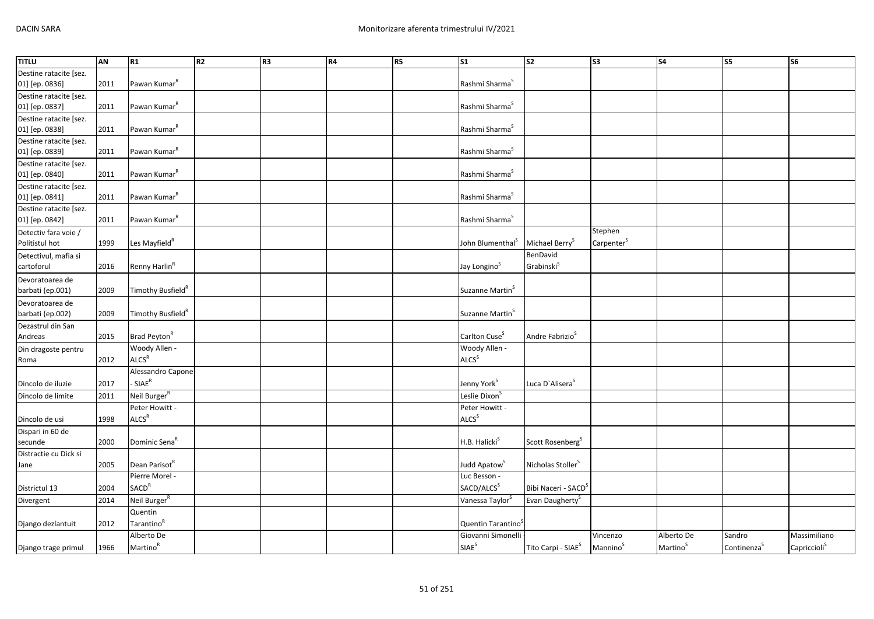| <b>TITLU</b>           | <b>AN</b> | R1                            | R2 | R3 | R4 | R5 | S <sub>1</sub>                 | $\overline{\text{S2}}$          | S <sub>3</sub>         | S <sub>4</sub>       | S5                      | S6                       |
|------------------------|-----------|-------------------------------|----|----|----|----|--------------------------------|---------------------------------|------------------------|----------------------|-------------------------|--------------------------|
| Destine ratacite [sez. |           |                               |    |    |    |    |                                |                                 |                        |                      |                         |                          |
| 01] [ep. 0836]         | 2011      | Pawan Kumar <sup>R</sup>      |    |    |    |    | Rashmi Sharma <sup>S</sup>     |                                 |                        |                      |                         |                          |
| Destine ratacite [sez. |           |                               |    |    |    |    |                                |                                 |                        |                      |                         |                          |
| 01] [ep. 0837]         | 2011      | Pawan Kumar <sup>R</sup>      |    |    |    |    | Rashmi Sharma <sup>S</sup>     |                                 |                        |                      |                         |                          |
| Destine ratacite [sez. |           |                               |    |    |    |    |                                |                                 |                        |                      |                         |                          |
| 01] [ep. 0838]         | 2011      | Pawan Kumar <sup>R</sup>      |    |    |    |    | Rashmi Sharma <sup>S</sup>     |                                 |                        |                      |                         |                          |
| Destine ratacite [sez. |           |                               |    |    |    |    |                                |                                 |                        |                      |                         |                          |
| 01] [ep. 0839]         | 2011      | Pawan Kumar <sup>R</sup>      |    |    |    |    | Rashmi Sharma <sup>S</sup>     |                                 |                        |                      |                         |                          |
| Destine ratacite [sez. |           |                               |    |    |    |    |                                |                                 |                        |                      |                         |                          |
| 01] [ep. 0840]         | 2011      | Pawan Kumar <sup>R</sup>      |    |    |    |    | Rashmi Sharma <sup>S</sup>     |                                 |                        |                      |                         |                          |
| Destine ratacite [sez. |           |                               |    |    |    |    |                                |                                 |                        |                      |                         |                          |
| 01] [ep. 0841]         | 2011      | Pawan Kumar <sup>R</sup>      |    |    |    |    | Rashmi Sharma <sup>S</sup>     |                                 |                        |                      |                         |                          |
| Destine ratacite [sez. |           |                               |    |    |    |    |                                |                                 |                        |                      |                         |                          |
| 01] [ep. 0842]         | 2011      | Pawan Kumar <sup>R</sup>      |    |    |    |    | Rashmi Sharma <sup>S</sup>     |                                 |                        |                      |                         |                          |
| Detectiv fara voie /   |           |                               |    |    |    |    |                                |                                 | Stephen                |                      |                         |                          |
| Politistul hot         | 1999      | Les Mayfield <sup>R</sup>     |    |    |    |    | John Blumenthal <sup>S</sup>   | Michael Berry <sup>S</sup>      | Carpenter <sup>5</sup> |                      |                         |                          |
| Detectivul, mafia si   |           |                               |    |    |    |    |                                | BenDavid                        |                        |                      |                         |                          |
| cartoforul             | 2016      | Renny Harlin <sup>R</sup>     |    |    |    |    | Jay Longino <sup>S</sup>       | Grabinski <sup>S</sup>          |                        |                      |                         |                          |
| Devoratoarea de        |           |                               |    |    |    |    |                                |                                 |                        |                      |                         |                          |
| barbati (ep.001)       | 2009      | Timothy Busfield <sup>R</sup> |    |    |    |    | Suzanne Martin <sup>S</sup>    |                                 |                        |                      |                         |                          |
| Devoratoarea de        |           |                               |    |    |    |    |                                |                                 |                        |                      |                         |                          |
| barbati (ep.002)       | 2009      | Timothy Busfield <sup>R</sup> |    |    |    |    | Suzanne Martin <sup>S</sup>    |                                 |                        |                      |                         |                          |
| Dezastrul din San      |           |                               |    |    |    |    |                                |                                 |                        |                      |                         |                          |
| Andreas                | 2015      | Brad Peyton <sup>R</sup>      |    |    |    |    | Carlton Cuse <sup>S</sup>      | Andre Fabrizio <sup>S</sup>     |                        |                      |                         |                          |
| Din dragoste pentru    |           | Woody Allen -                 |    |    |    |    | Woody Allen -                  |                                 |                        |                      |                         |                          |
| Roma                   | 2012      | ALCS <sup>R</sup>             |    |    |    |    | ALCS <sup>S</sup>              |                                 |                        |                      |                         |                          |
|                        |           | Alessandro Capone             |    |    |    |    |                                |                                 |                        |                      |                         |                          |
| Dincolo de iluzie      | 2017      | - SIAE <sup>R</sup>           |    |    |    |    | Jenny York <sup>S</sup>        | Luca D'Alisera <sup>5</sup>     |                        |                      |                         |                          |
| Dincolo de limite      | 2011      | Neil Burger <sup>R</sup>      |    |    |    |    | Leslie Dixon <sup>S</sup>      |                                 |                        |                      |                         |                          |
|                        |           | Peter Howitt -                |    |    |    |    | Peter Howitt -                 |                                 |                        |                      |                         |                          |
| Dincolo de usi         | 1998      | ALCS <sup>R</sup>             |    |    |    |    | ALCS <sup>S</sup>              |                                 |                        |                      |                         |                          |
| Dispari in 60 de       |           |                               |    |    |    |    |                                |                                 |                        |                      |                         |                          |
| secunde                | 2000      | Dominic Sena <sup>R</sup>     |    |    |    |    | H.B. Halicki <sup>S</sup>      | Scott Rosenberg <sup>S</sup>    |                        |                      |                         |                          |
| Distractie cu Dick si  |           |                               |    |    |    |    |                                |                                 |                        |                      |                         |                          |
| Jane                   | 2005      | Dean Parisot <sup>R</sup>     |    |    |    |    | Judd Apatow <sup>5</sup>       | Nicholas Stoller <sup>S</sup>   |                        |                      |                         |                          |
|                        |           | Pierre Morel -                |    |    |    |    | Luc Besson -                   |                                 |                        |                      |                         |                          |
| Districtul 13          | 2004      | <b>SACD<sup>R</sup></b>       |    |    |    |    | SACD/ALCS <sup>S</sup>         | Bibi Naceri - SACD <sup>S</sup> |                        |                      |                         |                          |
| Divergent              | 2014      | Neil Burger <sup>R</sup>      |    |    |    |    | Vanessa Taylor <sup>S</sup>    | Evan Daugherty <sup>S</sup>     |                        |                      |                         |                          |
|                        |           | Quentin                       |    |    |    |    |                                |                                 |                        |                      |                         |                          |
| Django dezlantuit      | 2012      | Tarantino <sup>R</sup>        |    |    |    |    | Quentin Tarantino <sup>3</sup> |                                 |                        |                      |                         |                          |
|                        |           | Alberto De                    |    |    |    |    | Giovanni Simonelli             |                                 | Vincenzo               | Alberto De           | Sandro                  | Massimiliano             |
| Django trage primul    | 1966      | Martino <sup>R</sup>          |    |    |    |    | SIAE <sup>S</sup>              | Tito Carpi - SIAE <sup>S</sup>  | Mannino <sup>S</sup>   | Martino <sup>S</sup> | Continenza <sup>S</sup> | Capriccioli <sup>S</sup> |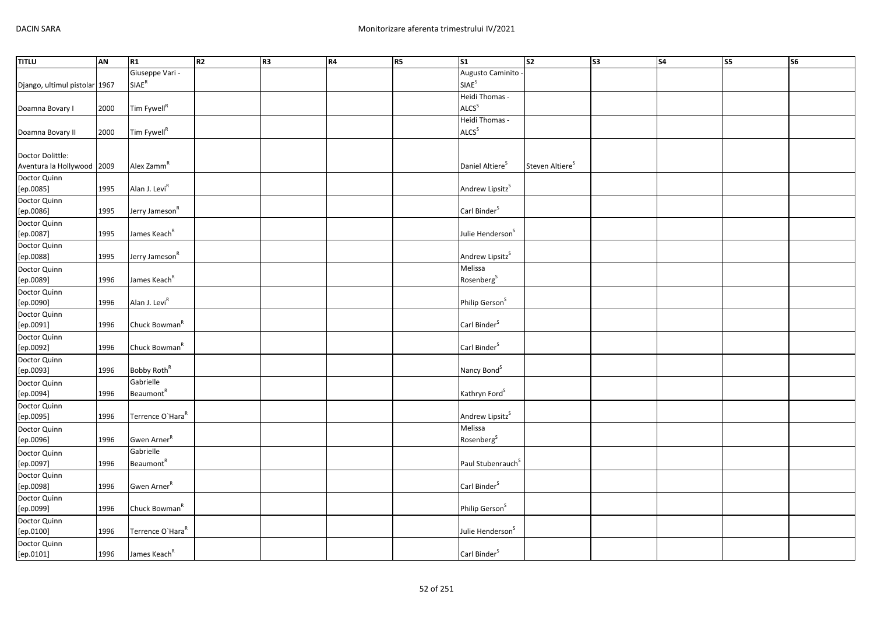| <b>TITLU</b>                  | <b>AN</b> | R1                           | R <sub>2</sub> | R <sub>3</sub> | R4 | R5 | S <sub>1</sub>                | S2                          | $\overline{\text{S3}}$ | S <sub>4</sub> | $\overline{\text{S5}}$ | $\overline{\text{S6}}$ |
|-------------------------------|-----------|------------------------------|----------------|----------------|----|----|-------------------------------|-----------------------------|------------------------|----------------|------------------------|------------------------|
|                               |           | Giuseppe Vari -              |                |                |    |    | Augusto Caminito              |                             |                        |                |                        |                        |
| Django, ultimul pistolar 1967 |           | SIAE <sup>R</sup>            |                |                |    |    | <b>SIAE<sup>S</sup></b>       |                             |                        |                |                        |                        |
|                               |           |                              |                |                |    |    | Heidi Thomas -                |                             |                        |                |                        |                        |
| Doamna Bovary I               | 2000      | Tim Fywell <sup>R</sup>      |                |                |    |    | ALCS <sup>S</sup>             |                             |                        |                |                        |                        |
|                               |           |                              |                |                |    |    | Heidi Thomas -                |                             |                        |                |                        |                        |
| Doamna Bovary II              | 2000      | Tim Fywell <sup>R</sup>      |                |                |    |    | ALCS <sup>S</sup>             |                             |                        |                |                        |                        |
|                               |           |                              |                |                |    |    |                               |                             |                        |                |                        |                        |
| Doctor Dolittle:              |           |                              |                |                |    |    |                               |                             |                        |                |                        |                        |
| Aventura la Hollywood 2009    |           | Alex Zamm <sup>R</sup>       |                |                |    |    | Daniel Altiere <sup>S</sup>   | Steven Altiere <sup>S</sup> |                        |                |                        |                        |
| Doctor Quinn                  |           | Alan J. Levi <sup>R</sup>    |                |                |    |    | Andrew Lipsitz <sup>S</sup>   |                             |                        |                |                        |                        |
| [ep.0085]                     | 1995      |                              |                |                |    |    |                               |                             |                        |                |                        |                        |
| Doctor Quinn<br>[ep.0086]     | 1995      | Jerry Jameson <sup>R</sup>   |                |                |    |    | Carl Binder <sup>S</sup>      |                             |                        |                |                        |                        |
| Doctor Quinn                  |           |                              |                |                |    |    |                               |                             |                        |                |                        |                        |
| [ep.0087]                     | 1995      | James Keach <sup>R</sup>     |                |                |    |    | Julie Henderson <sup>S</sup>  |                             |                        |                |                        |                        |
| Doctor Quinn                  |           |                              |                |                |    |    |                               |                             |                        |                |                        |                        |
| [ep.0088]                     | 1995      | Jerry Jameson <sup>R</sup>   |                |                |    |    | Andrew Lipsitz <sup>S</sup>   |                             |                        |                |                        |                        |
| Doctor Quinn                  |           |                              |                |                |    |    | Melissa                       |                             |                        |                |                        |                        |
| [ep.0089]                     | 1996      | James Keach <sup>R</sup>     |                |                |    |    | Rosenberg <sup>S</sup>        |                             |                        |                |                        |                        |
| Doctor Quinn                  |           |                              |                |                |    |    |                               |                             |                        |                |                        |                        |
| [ep.0090]                     | 1996      | Alan J. Levi <sup>R</sup>    |                |                |    |    | Philip Gerson <sup>S</sup>    |                             |                        |                |                        |                        |
| Doctor Quinn                  |           |                              |                |                |    |    |                               |                             |                        |                |                        |                        |
| [ep.0091]                     | 1996      | Chuck Bowman <sup>R</sup>    |                |                |    |    | Carl Binder <sup>S</sup>      |                             |                        |                |                        |                        |
| Doctor Quinn                  |           |                              |                |                |    |    |                               |                             |                        |                |                        |                        |
| [ep.0092]                     | 1996      | Chuck Bowman <sup>R</sup>    |                |                |    |    | Carl Binder <sup>S</sup>      |                             |                        |                |                        |                        |
| Doctor Quinn<br>[ep.0093]     | 1996      | Bobby Roth <sup>R</sup>      |                |                |    |    | Nancy Bond <sup>S</sup>       |                             |                        |                |                        |                        |
|                               |           | Gabrielle                    |                |                |    |    |                               |                             |                        |                |                        |                        |
| Doctor Quinn<br>[ep.0094]     | 1996      | Beaumont <sup>R</sup>        |                |                |    |    | Kathryn Ford <sup>S</sup>     |                             |                        |                |                        |                        |
| Doctor Quinn                  |           |                              |                |                |    |    |                               |                             |                        |                |                        |                        |
| [ep.0095]                     | 1996      | Terrence O'Hara <sup>R</sup> |                |                |    |    | Andrew Lipsitz <sup>S</sup>   |                             |                        |                |                        |                        |
| Doctor Quinn                  |           |                              |                |                |    |    | Melissa                       |                             |                        |                |                        |                        |
| [ep.0096]                     | 1996      | Gwen Arner <sup>R</sup>      |                |                |    |    | Rosenberg <sup>S</sup>        |                             |                        |                |                        |                        |
| Doctor Quinn                  |           | Gabrielle                    |                |                |    |    |                               |                             |                        |                |                        |                        |
| [ep.0097]                     | 1996      | <b>Beaumont</b> <sup>R</sup> |                |                |    |    | Paul Stubenrauch <sup>S</sup> |                             |                        |                |                        |                        |
| Doctor Quinn                  |           |                              |                |                |    |    |                               |                             |                        |                |                        |                        |
| [ep.0098]                     | 1996      | Gwen Arner <sup>R</sup>      |                |                |    |    | Carl Binder <sup>S</sup>      |                             |                        |                |                        |                        |
| Doctor Quinn                  |           |                              |                |                |    |    |                               |                             |                        |                |                        |                        |
| [ep.0099]                     | 1996      | Chuck Bowman <sup>R</sup>    |                |                |    |    | Philip Gerson <sup>S</sup>    |                             |                        |                |                        |                        |
| Doctor Quinn                  |           |                              |                |                |    |    |                               |                             |                        |                |                        |                        |
| [ep.0100]                     | 1996      | Terrence O'Hara <sup>R</sup> |                |                |    |    | Julie Henderson <sup>S</sup>  |                             |                        |                |                        |                        |
| Doctor Quinn                  |           |                              |                |                |    |    |                               |                             |                        |                |                        |                        |
| $[{\rm ep. 0101}]$            | 1996      | James Keach <sup>R</sup>     |                |                |    |    | Carl Binder <sup>S</sup>      |                             |                        |                |                        |                        |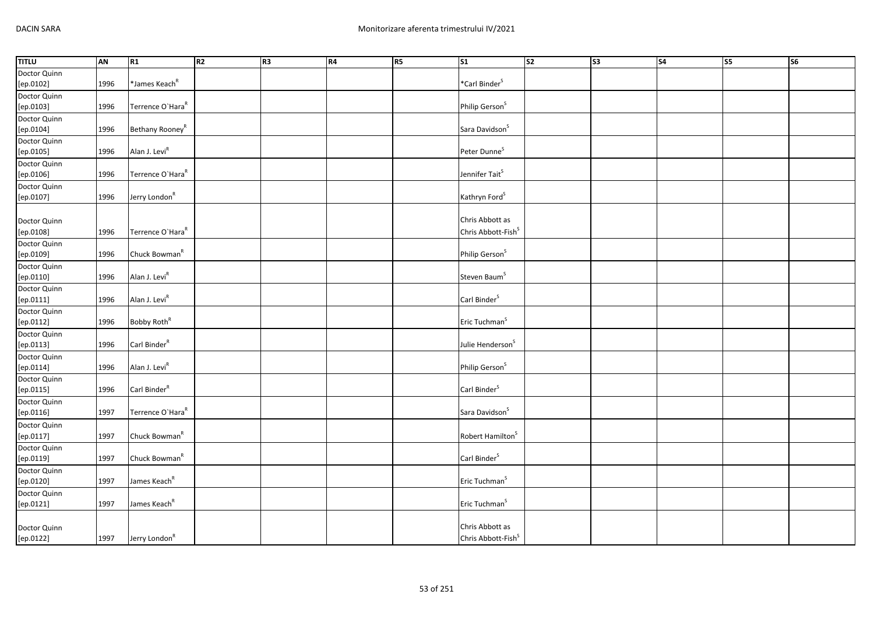| <b>TITLU</b> | AN   | R1                           | R <sub>2</sub> | R3 | R4 | R5 | $\overline{\text{S1}}$         | s <sub>2</sub> | S3 | S <sub>4</sub> | <b>S5</b> | $\overline{\text{S6}}$ |
|--------------|------|------------------------------|----------------|----|----|----|--------------------------------|----------------|----|----------------|-----------|------------------------|
| Doctor Quinn |      |                              |                |    |    |    |                                |                |    |                |           |                        |
| [ep.0102]    | 1996 | *James Keach <sup>R</sup>    |                |    |    |    | *Carl Binder <sup>S</sup>      |                |    |                |           |                        |
| Doctor Quinn |      |                              |                |    |    |    |                                |                |    |                |           |                        |
| [ep.0103]    | 1996 | Terrence O'Hara <sup>R</sup> |                |    |    |    | Philip Gerson <sup>S</sup>     |                |    |                |           |                        |
| Doctor Quinn |      |                              |                |    |    |    |                                |                |    |                |           |                        |
| [ep.0104]    | 1996 | Bethany Rooney <sup>R</sup>  |                |    |    |    | Sara Davidson <sup>S</sup>     |                |    |                |           |                        |
| Doctor Quinn |      |                              |                |    |    |    |                                |                |    |                |           |                        |
| [ep.0105]    | 1996 | Alan J. Levi <sup>R</sup>    |                |    |    |    | Peter Dunne <sup>S</sup>       |                |    |                |           |                        |
| Doctor Quinn |      |                              |                |    |    |    |                                |                |    |                |           |                        |
| [ep.0106]    | 1996 | Terrence O'Hara <sup>R</sup> |                |    |    |    | Jennifer Tait <sup>S</sup>     |                |    |                |           |                        |
| Doctor Quinn |      |                              |                |    |    |    |                                |                |    |                |           |                        |
| [ep.0107]    | 1996 | Jerry London <sup>R</sup>    |                |    |    |    | Kathryn Ford <sup>S</sup>      |                |    |                |           |                        |
|              |      |                              |                |    |    |    |                                |                |    |                |           |                        |
| Doctor Quinn |      |                              |                |    |    |    | Chris Abbott as                |                |    |                |           |                        |
| [ep.0108]    | 1996 | Terrence O'Hara <sup>R</sup> |                |    |    |    | Chris Abbott-Fish <sup>S</sup> |                |    |                |           |                        |
| Doctor Quinn |      |                              |                |    |    |    |                                |                |    |                |           |                        |
| [ep.0109]    | 1996 | Chuck Bowman <sup>R</sup>    |                |    |    |    | Philip Gerson <sup>S</sup>     |                |    |                |           |                        |
| Doctor Quinn |      |                              |                |    |    |    |                                |                |    |                |           |                        |
| [ep.0110]    | 1996 | Alan J. Levi <sup>R</sup>    |                |    |    |    | Steven Baum <sup>S</sup>       |                |    |                |           |                        |
| Doctor Quinn |      |                              |                |    |    |    |                                |                |    |                |           |                        |
| [ep.0111]    | 1996 | Alan J. Levi <sup>R</sup>    |                |    |    |    | Carl Binder <sup>S</sup>       |                |    |                |           |                        |
| Doctor Quinn |      |                              |                |    |    |    |                                |                |    |                |           |                        |
| [ep.0112]    | 1996 | Bobby Roth <sup>R</sup>      |                |    |    |    | Eric Tuchman <sup>S</sup>      |                |    |                |           |                        |
| Doctor Quinn |      |                              |                |    |    |    |                                |                |    |                |           |                        |
| [ep.0113]    | 1996 | Carl Binder $R$              |                |    |    |    | Julie Henderson <sup>S</sup>   |                |    |                |           |                        |
| Doctor Quinn |      |                              |                |    |    |    |                                |                |    |                |           |                        |
| [ep.0114]    | 1996 | Alan J. Levi <sup>R</sup>    |                |    |    |    | Philip Gerson <sup>S</sup>     |                |    |                |           |                        |
| Doctor Quinn |      |                              |                |    |    |    |                                |                |    |                |           |                        |
| [ep.0115]    | 1996 | Carl Binder <sup>R</sup>     |                |    |    |    | Carl Binder <sup>S</sup>       |                |    |                |           |                        |
| Doctor Quinn |      |                              |                |    |    |    |                                |                |    |                |           |                        |
| [ep.0116]    | 1997 | Terrence O'Hara <sup>R</sup> |                |    |    |    | Sara Davidson <sup>S</sup>     |                |    |                |           |                        |
| Doctor Quinn |      |                              |                |    |    |    |                                |                |    |                |           |                        |
| [ep.0117]    | 1997 | Chuck Bowman <sup>R</sup>    |                |    |    |    | Robert Hamilton <sup>S</sup>   |                |    |                |           |                        |
| Doctor Quinn |      |                              |                |    |    |    |                                |                |    |                |           |                        |
| [ep.0119]    | 1997 | Chuck Bowman <sup>R</sup>    |                |    |    |    | Carl Binder <sup>S</sup>       |                |    |                |           |                        |
| Doctor Quinn |      |                              |                |    |    |    |                                |                |    |                |           |                        |
| [ep.0120]    | 1997 | James Keach <sup>R</sup>     |                |    |    |    | Eric Tuchman <sup>S</sup>      |                |    |                |           |                        |
| Doctor Quinn |      |                              |                |    |    |    |                                |                |    |                |           |                        |
| [ep.0121]    | 1997 | James Keach <sup>R</sup>     |                |    |    |    | Eric Tuchman <sup>S</sup>      |                |    |                |           |                        |
|              |      |                              |                |    |    |    |                                |                |    |                |           |                        |
| Doctor Quinn |      |                              |                |    |    |    | Chris Abbott as                |                |    |                |           |                        |
| [ep.0122]    | 1997 | Jerry London <sup>R</sup>    |                |    |    |    | Chris Abbott-Fish <sup>S</sup> |                |    |                |           |                        |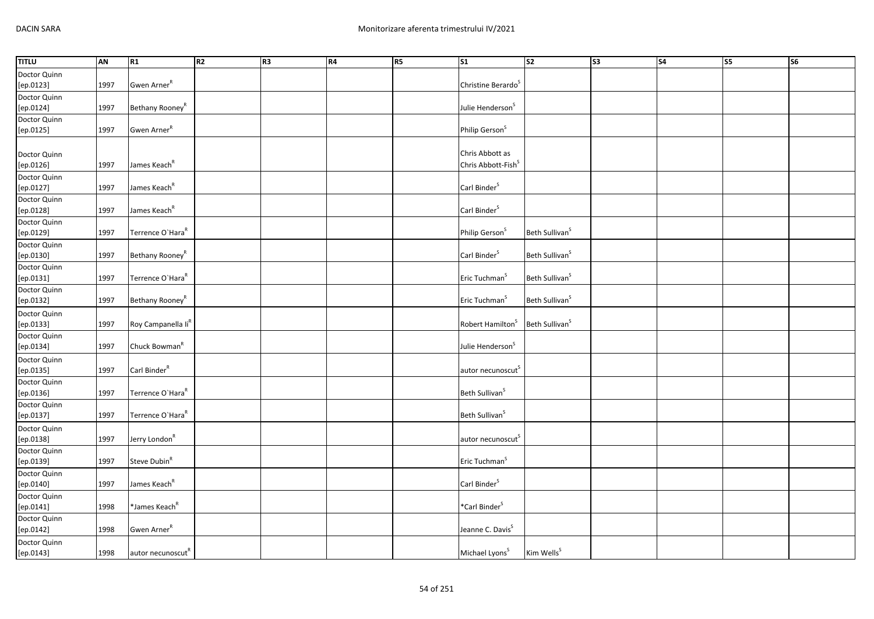| <b>TITLU</b>              | <b>AN</b> | R1                             | R2 | R3 | R4 | R <sub>5</sub> | S <sub>1</sub>                 | $\overline{\text{S2}}$     | $\overline{\text{S3}}$ | $\overline{\phantom{a}}$ S4 | S5 | <b>S6</b> |
|---------------------------|-----------|--------------------------------|----|----|----|----------------|--------------------------------|----------------------------|------------------------|-----------------------------|----|-----------|
| Doctor Quinn              |           |                                |    |    |    |                |                                |                            |                        |                             |    |           |
| [ep.0123]                 | 1997      | Gwen Arner <sup>R</sup>        |    |    |    |                | Christine Berardo <sup>S</sup> |                            |                        |                             |    |           |
| Doctor Quinn              |           |                                |    |    |    |                |                                |                            |                        |                             |    |           |
| [ep.0124]                 | 1997      | Bethany Rooney <sup>R</sup>    |    |    |    |                | Julie Henderson <sup>S</sup>   |                            |                        |                             |    |           |
| Doctor Quinn              |           |                                |    |    |    |                |                                |                            |                        |                             |    |           |
| [ep.0125]                 | 1997      | Gwen Arner <sup>R</sup>        |    |    |    |                | Philip Gerson <sup>S</sup>     |                            |                        |                             |    |           |
|                           |           |                                |    |    |    |                |                                |                            |                        |                             |    |           |
| Doctor Quinn              |           |                                |    |    |    |                | Chris Abbott as                |                            |                        |                             |    |           |
| [ep.0126]                 | 1997      | James Keach <sup>R</sup>       |    |    |    |                | Chris Abbott-Fish <sup>S</sup> |                            |                        |                             |    |           |
| Doctor Quinn<br>[ep.0127] | 1997      | James Keach <sup>R</sup>       |    |    |    |                | Carl Binder <sup>S</sup>       |                            |                        |                             |    |           |
| Doctor Quinn              |           |                                |    |    |    |                |                                |                            |                        |                             |    |           |
| [ep.0128]                 | 1997      | James Keach <sup>R</sup>       |    |    |    |                | Carl Binder <sup>S</sup>       |                            |                        |                             |    |           |
| Doctor Quinn              |           |                                |    |    |    |                |                                |                            |                        |                             |    |           |
| [ep.0129]                 | 1997      | Terrence O'Hara <sup>R</sup>   |    |    |    |                | Philip Gerson <sup>S</sup>     | Beth Sullivan <sup>S</sup> |                        |                             |    |           |
| Doctor Quinn              |           |                                |    |    |    |                |                                |                            |                        |                             |    |           |
| [ep.0130]                 | 1997      | Bethany Rooney <sup>R</sup>    |    |    |    |                | Carl Binder <sup>S</sup>       | Beth Sullivan <sup>S</sup> |                        |                             |    |           |
| Doctor Quinn              |           |                                |    |    |    |                |                                |                            |                        |                             |    |           |
| [ep.0131]                 | 1997      | Terrence O'Hara <sup>R</sup>   |    |    |    |                | Eric Tuchman <sup>S</sup>      | Beth Sullivan <sup>S</sup> |                        |                             |    |           |
| Doctor Quinn              |           |                                |    |    |    |                |                                |                            |                        |                             |    |           |
| [ep.0132]                 | 1997      | Bethany Rooney <sup>R</sup>    |    |    |    |                | Eric Tuchman <sup>S</sup>      | Beth Sullivan <sup>S</sup> |                        |                             |    |           |
| Doctor Quinn              |           |                                |    |    |    |                |                                |                            |                        |                             |    |           |
| [ep.0133]                 | 1997      | Roy Campanella li <sup>R</sup> |    |    |    |                | Robert Hamilton <sup>S</sup>   | Beth Sullivan <sup>S</sup> |                        |                             |    |           |
| Doctor Quinn              |           |                                |    |    |    |                |                                |                            |                        |                             |    |           |
| [ep.0134]                 | 1997      | Chuck Bowman <sup>R</sup>      |    |    |    |                | Julie Henderson <sup>S</sup>   |                            |                        |                             |    |           |
| Doctor Quinn              |           | Carl Binder <sup>R</sup>       |    |    |    |                |                                |                            |                        |                             |    |           |
| [ep.0135]                 | 1997      |                                |    |    |    |                | autor necunoscut <sup>S</sup>  |                            |                        |                             |    |           |
| Doctor Quinn<br>[ep.0136] | 1997      | Terrence O'Hara <sup>R</sup>   |    |    |    |                | Beth Sullivan <sup>S</sup>     |                            |                        |                             |    |           |
| Doctor Quinn              |           |                                |    |    |    |                |                                |                            |                        |                             |    |           |
| [ep.0137]                 | 1997      | Terrence O'Hara <sup>R</sup>   |    |    |    |                | Beth Sullivan <sup>S</sup>     |                            |                        |                             |    |           |
| Doctor Quinn              |           |                                |    |    |    |                |                                |                            |                        |                             |    |           |
| [ep.0138]                 | 1997      | Jerry London <sup>R</sup>      |    |    |    |                | autor necunoscut <sup>S</sup>  |                            |                        |                             |    |           |
| Doctor Quinn              |           |                                |    |    |    |                |                                |                            |                        |                             |    |           |
| [ep.0139]                 | 1997      | Steve Dubin <sup>R</sup>       |    |    |    |                | Eric Tuchman <sup>S</sup>      |                            |                        |                             |    |           |
| Doctor Quinn              |           |                                |    |    |    |                |                                |                            |                        |                             |    |           |
| [ep.0140]                 | 1997      | James Keach <sup>R</sup>       |    |    |    |                | Carl Binder <sup>S</sup>       |                            |                        |                             |    |           |
| Doctor Quinn              |           |                                |    |    |    |                |                                |                            |                        |                             |    |           |
| [ep.0141]                 | 1998      | *James Keach <sup>R</sup>      |    |    |    |                | *Carl Binder <sup>S</sup>      |                            |                        |                             |    |           |
| Doctor Quinn              |           |                                |    |    |    |                |                                |                            |                        |                             |    |           |
| [ep.0142]                 | 1998      | Gwen Arner <sup>R</sup>        |    |    |    |                | Jeanne C. Davis <sup>S</sup>   |                            |                        |                             |    |           |
| Doctor Quinn              |           |                                |    |    |    |                |                                |                            |                        |                             |    |           |
| $[{\sf ep.0143}]$         | 1998      | autor necunoscut <sup>R</sup>  |    |    |    |                | Michael Lyons <sup>S</sup>     | Kim Wells <sup>S</sup>     |                        |                             |    |           |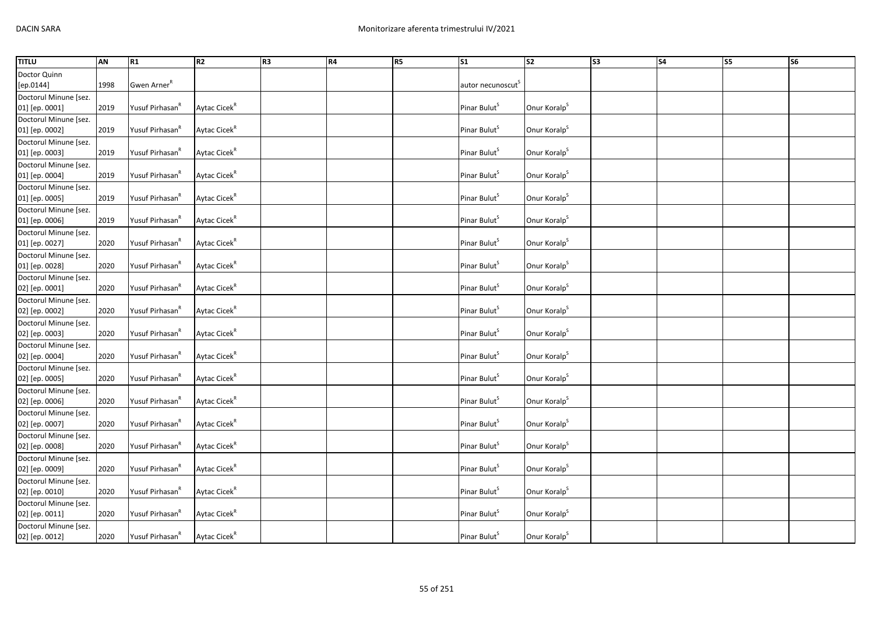| <b>TITLU</b>          | AN   | R1                          | R <sub>2</sub>           | R3 | R4 | <b>R5</b> | <b>S1</b>                     | S <sub>2</sub>           | S <sub>3</sub> | <b>S4</b> | <b>S5</b> | <b>S6</b> |
|-----------------------|------|-----------------------------|--------------------------|----|----|-----------|-------------------------------|--------------------------|----------------|-----------|-----------|-----------|
| Doctor Quinn          |      |                             |                          |    |    |           |                               |                          |                |           |           |           |
| [ep.0144]             | 1998 | Gwen Arner <sup>R</sup>     |                          |    |    |           | autor necunoscut <sup>5</sup> |                          |                |           |           |           |
| Doctorul Minune [sez. |      |                             |                          |    |    |           |                               |                          |                |           |           |           |
| 01] [ep. 0001]        | 2019 | Yusuf Pirhasan <sup>R</sup> | Aytac Cicek <sup>R</sup> |    |    |           | Pinar Bulut <sup>S</sup>      | Onur Koralp <sup>S</sup> |                |           |           |           |
| Doctorul Minune [sez. |      |                             |                          |    |    |           |                               |                          |                |           |           |           |
| 01] [ep. 0002]        | 2019 | Yusuf Pirhasan <sup>R</sup> | Aytac Cicek <sup>R</sup> |    |    |           | Pinar Bulut <sup>5</sup>      | Onur Koralp <sup>S</sup> |                |           |           |           |
| Doctorul Minune [sez. |      |                             |                          |    |    |           |                               |                          |                |           |           |           |
| 01] [ep. 0003]        | 2019 | Yusuf Pirhasan <sup>R</sup> | Aytac Cicek <sup>R</sup> |    |    |           | Pinar Bulut <sup>S</sup>      | Onur Koralp <sup>S</sup> |                |           |           |           |
| Doctorul Minune [sez. |      |                             |                          |    |    |           |                               |                          |                |           |           |           |
| 01] [ep. 0004]        | 2019 | Yusuf Pirhasan <sup>k</sup> | Aytac Cicek <sup>R</sup> |    |    |           | Pinar Bulut <sup>S</sup>      | Onur Koralp <sup>S</sup> |                |           |           |           |
| Doctorul Minune [sez. |      |                             |                          |    |    |           |                               |                          |                |           |           |           |
| 01] [ep. 0005]        | 2019 | Yusuf Pirhasan <sup>R</sup> | Aytac Cicek <sup>R</sup> |    |    |           | Pinar Bulut <sup>S</sup>      | Onur Koralp <sup>S</sup> |                |           |           |           |
| Doctorul Minune [sez. |      |                             |                          |    |    |           |                               |                          |                |           |           |           |
| 01] [ep. 0006]        | 2019 | Yusuf Pirhasan <sup>R</sup> | Aytac Cicek <sup>R</sup> |    |    |           | Pinar Bulut <sup>S</sup>      | Onur Koralp <sup>S</sup> |                |           |           |           |
| Doctorul Minune [sez. |      |                             |                          |    |    |           |                               |                          |                |           |           |           |
| 01] [ep. 0027]        | 2020 | Yusuf Pirhasan <sup>R</sup> | Aytac Cicek <sup>R</sup> |    |    |           | Pinar Bulut <sup>S</sup>      | Onur Koralp <sup>S</sup> |                |           |           |           |
| Doctorul Minune [sez. |      |                             |                          |    |    |           |                               |                          |                |           |           |           |
| 01] [ep. 0028]        | 2020 | Yusuf Pirhasan <sup>R</sup> | Aytac Cicek <sup>R</sup> |    |    |           | Pinar Bulut <sup>S</sup>      | Onur Koralp <sup>S</sup> |                |           |           |           |
| Doctorul Minune [sez. |      |                             |                          |    |    |           |                               |                          |                |           |           |           |
| 02] [ep. 0001]        | 2020 | Yusuf Pirhasan <sup>R</sup> | Aytac Cicek <sup>R</sup> |    |    |           | Pinar Bulut <sup>S</sup>      | Onur Koralp <sup>S</sup> |                |           |           |           |
| Doctorul Minune [sez. |      |                             |                          |    |    |           |                               |                          |                |           |           |           |
| 02] [ep. 0002]        | 2020 | Yusuf Pirhasan <sup>R</sup> | Aytac Cicek <sup>R</sup> |    |    |           | Pinar Bulut <sup>S</sup>      | Onur Koralp <sup>S</sup> |                |           |           |           |
| Doctorul Minune [sez. |      |                             |                          |    |    |           |                               |                          |                |           |           |           |
| 02] [ep. 0003]        | 2020 | Yusuf Pirhasan <sup>R</sup> | Aytac Cicek <sup>R</sup> |    |    |           | Pinar Bulut <sup>S</sup>      | Onur Koralp <sup>S</sup> |                |           |           |           |
| Doctorul Minune [sez. |      |                             |                          |    |    |           |                               |                          |                |           |           |           |
| 02] [ep. 0004]        | 2020 | Yusuf Pirhasan <sup>k</sup> | Aytac Cicek <sup>R</sup> |    |    |           | Pinar Bulut <sup>S</sup>      | Onur Koralp <sup>S</sup> |                |           |           |           |
| Doctorul Minune [sez. |      |                             |                          |    |    |           |                               |                          |                |           |           |           |
| 02] [ep. 0005]        | 2020 | Yusuf Pirhasan <sup>R</sup> | Aytac Cicek <sup>R</sup> |    |    |           | Pinar Bulut <sup>S</sup>      | Onur Koralp <sup>S</sup> |                |           |           |           |
| Doctorul Minune [sez. |      |                             |                          |    |    |           |                               |                          |                |           |           |           |
| 02] [ep. 0006]        | 2020 | Yusuf Pirhasan <sup>R</sup> | Aytac Cicek <sup>R</sup> |    |    |           | Pinar Bulut <sup>S</sup>      | Onur Koralp <sup>S</sup> |                |           |           |           |
| Doctorul Minune [sez. |      |                             |                          |    |    |           |                               |                          |                |           |           |           |
| 02] [ep. 0007]        | 2020 | Yusuf Pirhasan <sup>"</sup> | Aytac Cicek <sup>R</sup> |    |    |           | Pinar Bulut <sup>S</sup>      | Onur Koralp <sup>S</sup> |                |           |           |           |
| Doctorul Minune [sez. |      |                             |                          |    |    |           |                               |                          |                |           |           |           |
| 02] [ep. 0008]        | 2020 | Yusuf Pirhasan <sup>R</sup> | Aytac Cicek <sup>R</sup> |    |    |           | Pinar Bulut <sup>S</sup>      | Onur Koralp <sup>S</sup> |                |           |           |           |
| Doctorul Minune [sez. |      |                             |                          |    |    |           |                               |                          |                |           |           |           |
| 02] [ep. 0009]        | 2020 | Yusuf Pirhasan <sup>R</sup> | Aytac Cicek <sup>R</sup> |    |    |           | Pinar Bulut <sup>S</sup>      | Onur Koralp <sup>S</sup> |                |           |           |           |
| Doctorul Minune [sez. |      |                             |                          |    |    |           |                               |                          |                |           |           |           |
| 02] [ep. 0010]        | 2020 | Yusuf Pirhasan <sup>R</sup> | Aytac Cicek <sup>R</sup> |    |    |           | Pinar Bulut <sup>S</sup>      | Onur Koralp <sup>S</sup> |                |           |           |           |
| Doctorul Minune [sez. |      |                             |                          |    |    |           |                               |                          |                |           |           |           |
| 02] [ep. 0011]        | 2020 | Yusuf Pirhasan <sup>k</sup> | Aytac Cicek <sup>R</sup> |    |    |           | Pinar Bulut <sup>S</sup>      | Onur Koralp <sup>S</sup> |                |           |           |           |
| Doctorul Minune [sez. |      |                             |                          |    |    |           |                               |                          |                |           |           |           |
| 02] [ep. 0012]        | 2020 | Yusuf Pirhasan <sup>R</sup> | Aytac Cicek <sup>R</sup> |    |    |           | Pinar Bulut <sup>S</sup>      | Onur Koralp <sup>S</sup> |                |           |           |           |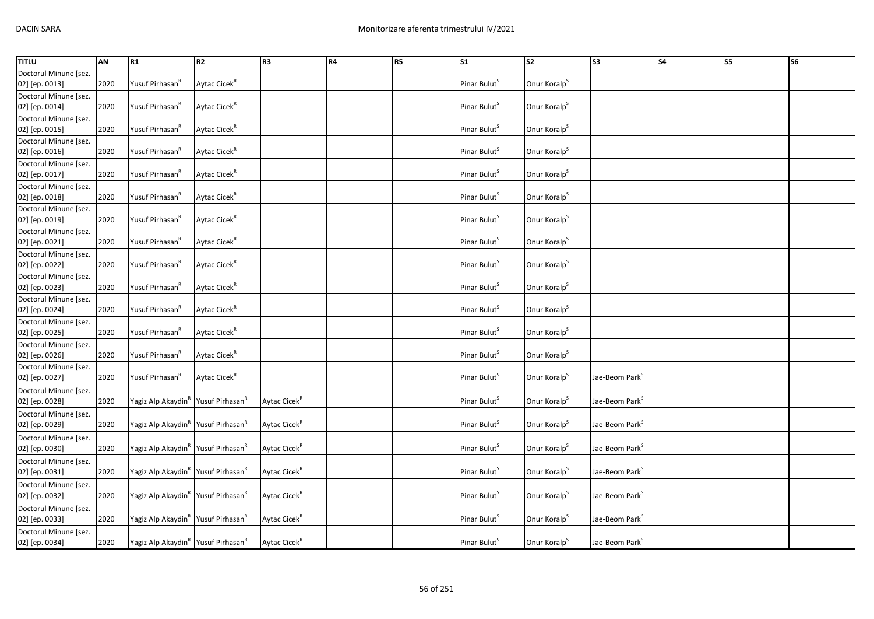| <b>TITLU</b>          | <b>AN</b> | R1                                                         | R <sub>2</sub>           | R <sub>3</sub>           | <b>R4</b> | R <sub>5</sub> | $\overline{\text{S1}}$   | $\overline{\text{S2}}$   | $\overline{\text{S3}}$     | <b>S4</b> | S5 | S6 |
|-----------------------|-----------|------------------------------------------------------------|--------------------------|--------------------------|-----------|----------------|--------------------------|--------------------------|----------------------------|-----------|----|----|
| Doctorul Minune [sez. |           |                                                            |                          |                          |           |                |                          |                          |                            |           |    |    |
| 02] [ep. 0013]        | 2020      | Yusuf Pirhasan <sup>R</sup>                                | Aytac Cicek <sup>R</sup> |                          |           |                | Pinar Bulut <sup>5</sup> | Onur Koralp <sup>S</sup> |                            |           |    |    |
| Doctorul Minune [sez. |           |                                                            |                          |                          |           |                |                          |                          |                            |           |    |    |
| 02] [ep. 0014]        | 2020      | Yusuf Pirhasan <sup>R</sup>                                | Aytac Cicek <sup>R</sup> |                          |           |                | Pinar Bulut <sup>5</sup> | Onur Koralp <sup>S</sup> |                            |           |    |    |
| Doctorul Minune [sez. |           |                                                            |                          |                          |           |                |                          |                          |                            |           |    |    |
| 02] [ep. 0015]        | 2020      | Yusuf Pirhasan <sup>n</sup>                                | Aytac Cicek <sup>R</sup> |                          |           |                | Pinar Bulut <sup>S</sup> | Onur Koralp <sup>5</sup> |                            |           |    |    |
| Doctorul Minune [sez. |           |                                                            |                          |                          |           |                |                          |                          |                            |           |    |    |
| 02] [ep. 0016]        | 2020      | Yusuf Pirhasan <sup>k</sup>                                | Aytac Cicek <sup>R</sup> |                          |           |                | Pinar Bulut <sup>5</sup> | Onur Koralp <sup>S</sup> |                            |           |    |    |
| Doctorul Minune [sez. |           |                                                            |                          |                          |           |                |                          |                          |                            |           |    |    |
| 02] [ep. 0017]        | 2020      | Yusuf Pirhasan <sup>K</sup>                                | Aytac Cicek <sup>R</sup> |                          |           |                | Pinar Bulut <sup>S</sup> | Onur Koralp <sup>S</sup> |                            |           |    |    |
| Doctorul Minune [sez. |           |                                                            |                          |                          |           |                |                          |                          |                            |           |    |    |
| 02] [ep. 0018]        | 2020      | Yusuf Pirhasan <sup>k</sup>                                | Aytac Cicek <sup>R</sup> |                          |           |                | Pinar Bulut <sup>S</sup> | Onur Koralp <sup>S</sup> |                            |           |    |    |
| Doctorul Minune [sez. |           |                                                            |                          |                          |           |                |                          |                          |                            |           |    |    |
| 02] [ep. 0019]        | 2020      | Yusuf Pirhasan <sup>n</sup>                                | Aytac Cicek <sup>R</sup> |                          |           |                | Pinar Bulut <sup>S</sup> | Onur Koralp <sup>S</sup> |                            |           |    |    |
| Doctorul Minune [sez. |           |                                                            |                          |                          |           |                |                          |                          |                            |           |    |    |
| 02] [ep. 0021]        | 2020      | Yusuf Pirhasan <sup>n</sup>                                | Aytac Cicek <sup>R</sup> |                          |           |                | Pinar Bulut <sup>5</sup> | Onur Koralp <sup>S</sup> |                            |           |    |    |
| Doctorul Minune [sez. |           |                                                            |                          |                          |           |                |                          |                          |                            |           |    |    |
| 02] [ep. 0022]        | 2020      | Yusuf Pirhasan <sup>k</sup>                                | Aytac Cicek <sup>R</sup> |                          |           |                | Pinar Bulut <sup>5</sup> | Onur Koralp <sup>S</sup> |                            |           |    |    |
| Doctorul Minune [sez. |           |                                                            |                          |                          |           |                |                          |                          |                            |           |    |    |
| 02] [ep. 0023]        | 2020      | Yusuf Pirhasan <sup>k</sup>                                | Aytac Cicek <sup>R</sup> |                          |           |                | Pinar Bulut <sup>S</sup> | Onur Koralp <sup>5</sup> |                            |           |    |    |
| Doctorul Minune [sez. |           |                                                            |                          |                          |           |                |                          |                          |                            |           |    |    |
| 02] [ep. 0024]        | 2020      | Yusuf Pirhasan <sup>k</sup>                                | Aytac Cicek <sup>R</sup> |                          |           |                | Pinar Bulut <sup>5</sup> | Onur Koralp <sup>S</sup> |                            |           |    |    |
| Doctorul Minune [sez. |           |                                                            |                          |                          |           |                |                          |                          |                            |           |    |    |
| 02] [ep. 0025]        | 2020      | Yusuf Pirhasan <sup>R</sup>                                | Aytac Cicek <sup>R</sup> |                          |           |                | Pinar Bulut <sup>5</sup> | Onur Koralp <sup>S</sup> |                            |           |    |    |
| Doctorul Minune [sez. |           |                                                            |                          |                          |           |                |                          |                          |                            |           |    |    |
| 02] [ep. 0026]        | 2020      | Yusuf Pirhasan <sup>"</sup>                                | Aytac Cicek <sup>R</sup> |                          |           |                | Pinar Bulut <sup>5</sup> | Onur Koralp <sup>S</sup> |                            |           |    |    |
| Doctorul Minune [sez. |           |                                                            |                          |                          |           |                |                          |                          |                            |           |    |    |
| 02] [ep. 0027]        | 2020      | Yusuf Pirhasan <sup>R</sup>                                | Aytac Cicek <sup>R</sup> |                          |           |                | Pinar Bulut <sup>S</sup> | Onur Koralp <sup>S</sup> | Jae-Beom Park <sup>S</sup> |           |    |    |
| Doctorul Minune [sez. |           |                                                            |                          |                          |           |                |                          |                          |                            |           |    |    |
| 02] [ep. 0028]        | 2020      | Yagiz Alp Akaydin"   Yusuf Pirhasan"                       |                          | Aytac Cicek <sup>R</sup> |           |                | Pinar Bulut <sup>S</sup> | Onur Koralp <sup>S</sup> | Jae-Beom Park <sup>S</sup> |           |    |    |
| Doctorul Minune [sez. |           |                                                            |                          |                          |           |                |                          |                          |                            |           |    |    |
| 02] [ep. 0029]        | 2020      | Yagiz Alp Akaydin <sup>R</sup> Yusuf Pirhasan <sup>R</sup> |                          | Aytac Cicek <sup>R</sup> |           |                | Pinar Bulut <sup>5</sup> | Onur Koralp <sup>S</sup> | Jae-Beom Park <sup>S</sup> |           |    |    |
| Doctorul Minune [sez. |           |                                                            |                          |                          |           |                |                          |                          |                            |           |    |    |
| 02] [ep. 0030]        | 2020      | Yagiz Alp Akaydin <sup>k</sup> Yusuf Pirhasan <sup>k</sup> |                          | Aytac Cicek <sup>R</sup> |           |                | Pinar Bulut <sup>5</sup> | Onur Koralp <sup>S</sup> | Jae-Beom Park <sup>5</sup> |           |    |    |
| Doctorul Minune [sez. |           |                                                            |                          |                          |           |                |                          |                          |                            |           |    |    |
| 02] [ep. 0031]        | 2020      | Yagiz Alp Akaydin"   Yusuf Pirhasan"                       |                          | Aytac Cicek <sup>R</sup> |           |                | Pinar Bulut <sup>S</sup> | Onur Koralp <sup>S</sup> | Jae-Beom Park <sup>S</sup> |           |    |    |
| Doctorul Minune [sez. |           |                                                            |                          |                          |           |                |                          |                          |                            |           |    |    |
| 02] [ep. 0032]        | 2020      | Yagiz Alp Akaydin <sup>R</sup> Yusuf Pirhasan <sup>R</sup> |                          | Aytac Cicek <sup>R</sup> |           |                | Pinar Bulut <sup>S</sup> | Onur Koralp <sup>S</sup> | Jae-Beom Park <sup>S</sup> |           |    |    |
| Doctorul Minune [sez. |           |                                                            |                          |                          |           |                |                          |                          |                            |           |    |    |
| 02] [ep. 0033]        | 2020      | Yagiz Alp Akaydin"   Yusuf Pirhasan"                       |                          | Aytac Cicek <sup>R</sup> |           |                | Pinar Bulut <sup>5</sup> | Onur Koralp <sup>S</sup> | Jae-Beom Park <sup>5</sup> |           |    |    |
| Doctorul Minune [sez. |           |                                                            |                          |                          |           |                |                          |                          |                            |           |    |    |
| 02] [ep. 0034]        | 2020      | Yagiz Alp Akaydin <sup>R</sup> Yusuf Pirhasan <sup>R</sup> |                          | Aytac Cicek <sup>R</sup> |           |                | Pinar Bulut <sup>S</sup> | Onur Koralp <sup>S</sup> | Jae-Beom Park <sup>S</sup> |           |    |    |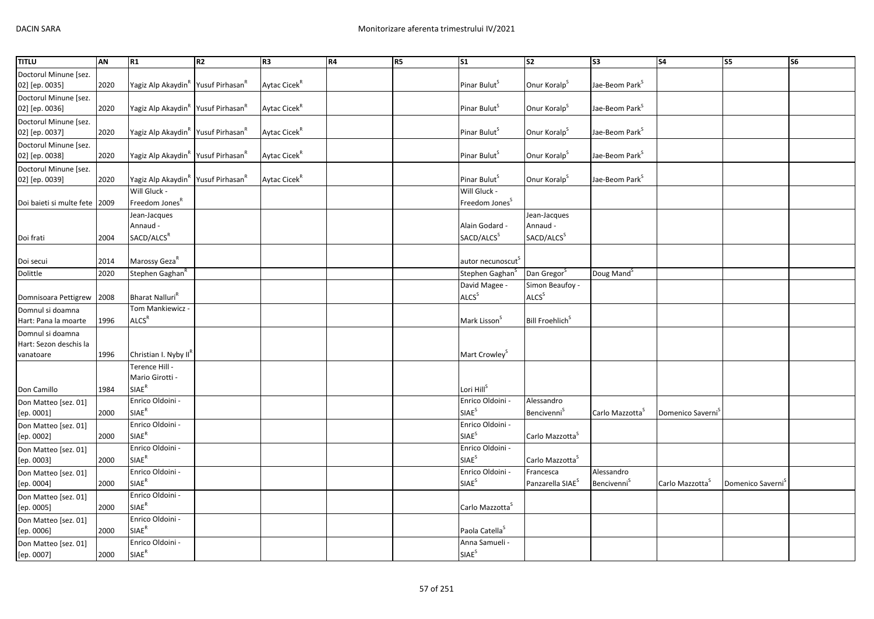| <b>TITLU</b>                                            | <b>AN</b> | R1                                                         | R2 | R <sub>3</sub>           | R4 | R <sub>5</sub> | $\overline{\text{S1}}$                       | $\overline{\text{S2}}$                             | $\sqrt{53}$                                  | $\overline{\text{S4}}$        | <b>S5</b>                     | <b>S6</b> |
|---------------------------------------------------------|-----------|------------------------------------------------------------|----|--------------------------|----|----------------|----------------------------------------------|----------------------------------------------------|----------------------------------------------|-------------------------------|-------------------------------|-----------|
| Doctorul Minune [sez.<br>02] [ep. 0035]                 | 2020      | Yagiz Alp Akaydin <sup>R</sup> Yusuf Pirhasan <sup>R</sup> |    | Aytac Cicek <sup>R</sup> |    |                | Pinar Bulut <sup>S</sup>                     | Onur Koralp <sup>S</sup>                           | Jae-Beom Park <sup>S</sup>                   |                               |                               |           |
| Doctorul Minune [sez.<br>02] [ep. 0036]                 | 2020      | Yagiz Alp Akaydin <sup>R</sup> Yusuf Pirhasan <sup>R</sup> |    | Aytac Cicek <sup>R</sup> |    |                | Pinar Bulut <sup>5</sup>                     | Onur Koralp <sup>S</sup>                           | Jae-Beom Park <sup>S</sup>                   |                               |                               |           |
| Doctorul Minune [sez.<br>02] [ep. 0037]                 | 2020      | Yagiz Alp Akaydin <sup>R</sup> Yusuf Pirhasan <sup>R</sup> |    | Aytac Cicek <sup>R</sup> |    |                | Pinar Bulut <sup>S</sup>                     | Onur Koralp <sup>S</sup>                           | Jae-Beom Park <sup>S</sup>                   |                               |                               |           |
| Doctorul Minune [sez.<br>02] [ep. 0038]                 | 2020      | Yagiz Alp Akaydin <sup>R</sup> Yusuf Pirhasan <sup>R</sup> |    | Aytac Cicek <sup>R</sup> |    |                | Pinar Bulut <sup>S</sup>                     | Onur Koralp <sup>S</sup>                           | Jae-Beom Park <sup>S</sup>                   |                               |                               |           |
| Doctorul Minune [sez.<br>02] [ep. 0039]                 | 2020      | Yagiz Alp Akaydin <sup>R</sup> Yusuf Pirhasan <sup>R</sup> |    | Aytac Cicek <sup>R</sup> |    |                | Pinar Bulut <sup>5</sup>                     | Onur Koralp <sup>S</sup>                           | Jae-Beom Park <sup>S</sup>                   |                               |                               |           |
| Doi baieti si multe fete 2009                           |           | Will Gluck -<br>Freedom Jones <sup>R</sup>                 |    |                          |    |                | Will Gluck -<br>Freedom Jones <sup>S</sup>   |                                                    |                                              |                               |                               |           |
| Doi frati                                               | 2004      | Jean-Jacques<br>Annaud -<br>SACD/ALCS <sup>R</sup>         |    |                          |    |                | Alain Godard -<br>SACD/ALCS <sup>S</sup>     | Jean-Jacques<br>Annaud -<br>SACD/ALCS <sup>S</sup> |                                              |                               |                               |           |
| Doi secui                                               | 2014      | Marossy Geza <sup>K</sup>                                  |    |                          |    |                | autor necunoscut                             |                                                    |                                              |                               |                               |           |
| Dolittle                                                | 2020      | Stephen Gaghan <sup>f</sup>                                |    |                          |    |                | Stephen Gaghan <sup>S</sup>                  | Dan Gregor <sup>S</sup>                            | Doug Mand <sup>5</sup>                       |                               |                               |           |
|                                                         |           |                                                            |    |                          |    |                | David Magee -                                | Simon Beaufoy -                                    |                                              |                               |                               |           |
| Domnisoara Pettigrew                                    | 2008      | Bharat Nalluri <sup>k</sup>                                |    |                          |    |                | ALCS <sup>S</sup>                            | ALCS <sup>S</sup>                                  |                                              |                               |                               |           |
| Domnul si doamna<br>Hart: Pana la moarte                | 1996      | Tom Mankiewicz -<br>ALCS <sup>R</sup>                      |    |                          |    |                | Mark Lisson <sup>S</sup>                     | Bill Froehlich <sup>S</sup>                        |                                              |                               |                               |           |
| Domnul si doamna<br>Hart: Sezon deschis la<br>vanatoare | 1996      | Christian I. Nyby II <sup>K</sup>                          |    |                          |    |                | Mart Crowley <sup>5</sup>                    |                                                    |                                              |                               |                               |           |
| Don Camillo                                             | 1984      | Terence Hill -<br>Mario Girotti -<br>$SIAE^R$              |    |                          |    |                | Lori Hill <sup>S</sup>                       |                                                    |                                              |                               |                               |           |
| Don Matteo [sez. 01]<br>[ep. 0001]                      | 2000      | Enrico Oldoini -<br>$SIAE^R$                               |    |                          |    |                | Enrico Oldoini -<br><b>SIAE<sup>S</sup></b>  | Alessandro<br><b>Bencivenni</b> <sup>S</sup>       | Carlo Mazzotta <sup>3</sup>                  | Domenico Saverni <sup>3</sup> |                               |           |
| Don Matteo [sez. 01]<br>[ep. 0002]                      | 2000      | Enrico Oldoini -<br>$\mathsf{SIAE}^\mathsf{R}$             |    |                          |    |                | Enrico Oldoini -<br>SIAE <sup>S</sup>        | Carlo Mazzotta <sup>S</sup>                        |                                              |                               |                               |           |
| Don Matteo [sez. 01]<br>[ep. 0003]                      | 2000      | Enrico Oldoini -<br>$\mathsf{SIAE}^\mathsf{R}$             |    |                          |    |                | Enrico Oldoini -<br>SIAE <sup>S</sup>        | Carlo Mazzotta <sup>S</sup>                        |                                              |                               |                               |           |
| Don Matteo [sez. 01]<br>[ep. 0004]                      | 2000      | Enrico Oldoini -<br><b>SIAE<sup>R</sup></b>                |    |                          |    |                | Enrico Oldoini -<br><b>SIAE</b> <sup>S</sup> | Francesca<br>Panzarella SIAE <sup>S</sup>          | Alessandro<br><b>Bencivenni</b> <sup>S</sup> | Carlo Mazzotta                | Domenico Saverni <sup>3</sup> |           |
| Don Matteo [sez. 01]<br>[ep. 0005]                      | 2000      | Enrico Oldoini -<br>SIAE <sup>R</sup>                      |    |                          |    |                | Carlo Mazzotta <sup>5</sup>                  |                                                    |                                              |                               |                               |           |
| Don Matteo [sez. 01]<br>[ep. 0006]                      | 2000      | Enrico Oldoini -<br>$\mathsf{SIAE}^\mathsf{R}$             |    |                          |    |                | Paola Catella <sup>S</sup>                   |                                                    |                                              |                               |                               |           |
| Don Matteo [sez. 01]<br>[ep. 0007]                      | 2000      | Enrico Oldoini -<br>$\mathsf{SIAE}^\mathsf{R}$             |    |                          |    |                | Anna Samueli -<br>SIAE <sup>S</sup>          |                                                    |                                              |                               |                               |           |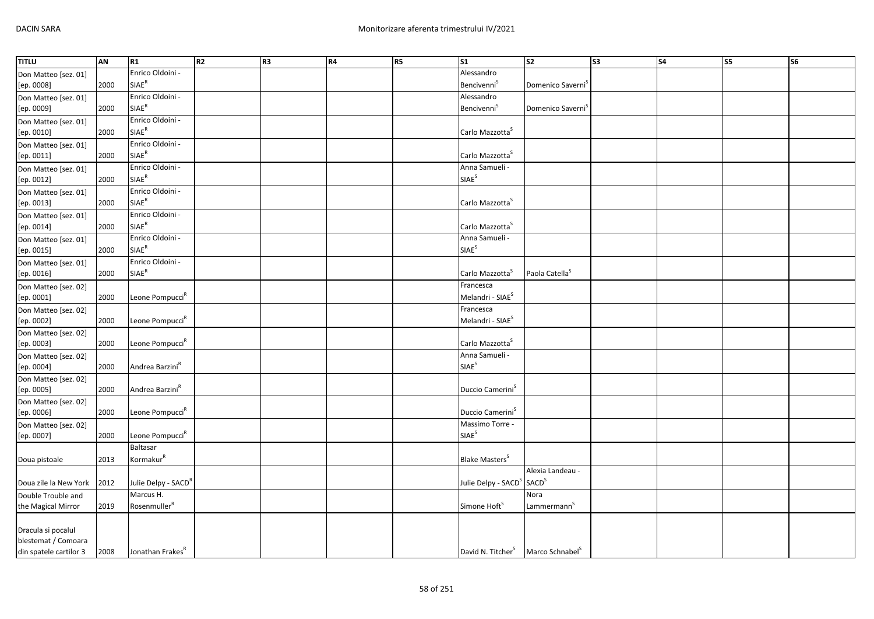| <b>TITLU</b>           | <b>AN</b> | R1                              | R <sub>2</sub> | R <sub>3</sub> | R4 | R5 | $\overline{\text{S1}}$            | $\overline{\text{S2}}$        | $\overline{\text{S3}}$ | $\overline{\text{S4}}$ | <b>S5</b> | $\overline{\text{S6}}$ |
|------------------------|-----------|---------------------------------|----------------|----------------|----|----|-----------------------------------|-------------------------------|------------------------|------------------------|-----------|------------------------|
| Don Matteo [sez. 01]   |           | Enrico Oldoini -                |                |                |    |    | Alessandro                        |                               |                        |                        |           |                        |
| [ep. 0008]             | 2000      | $\mathsf{SIAE}^\mathsf{R}$      |                |                |    |    | <b>Bencivenni</b> <sup>S</sup>    | Domenico Saverni <sup>3</sup> |                        |                        |           |                        |
| Don Matteo [sez. 01]   |           | Enrico Oldoini -                |                |                |    |    | Alessandro                        |                               |                        |                        |           |                        |
| [ep. 0009]             | 2000      | $SIAE^R$                        |                |                |    |    | Bencivenni <sup>S</sup>           | Domenico Saverni <sup>3</sup> |                        |                        |           |                        |
| Don Matteo [sez. 01]   |           | Enrico Oldoini -                |                |                |    |    |                                   |                               |                        |                        |           |                        |
| [ep. 0010]             | 2000      | <b>SIAE<sup>R</sup></b>         |                |                |    |    | Carlo Mazzotta <sup>S</sup>       |                               |                        |                        |           |                        |
| Don Matteo [sez. 01]   |           | Enrico Oldoini -                |                |                |    |    |                                   |                               |                        |                        |           |                        |
| [ep. 0011]             | 2000      | $\mathsf{SIAE}^\mathsf{R}$      |                |                |    |    | Carlo Mazzotta <sup>S</sup>       |                               |                        |                        |           |                        |
| Don Matteo [sez. 01]   |           | Enrico Oldoini -                |                |                |    |    | Anna Samueli -                    |                               |                        |                        |           |                        |
| [ep. 0012]             | 2000      | $SIAE^R$                        |                |                |    |    | <b>SIAE<sup>S</sup></b>           |                               |                        |                        |           |                        |
| Don Matteo [sez. 01]   |           | Enrico Oldoini -                |                |                |    |    |                                   |                               |                        |                        |           |                        |
| [ep. 0013]             | 2000      | $\mathsf{SIAE}^\mathsf{R}$      |                |                |    |    | Carlo Mazzotta <sup>S</sup>       |                               |                        |                        |           |                        |
| Don Matteo [sez. 01]   |           | Enrico Oldoini -                |                |                |    |    |                                   |                               |                        |                        |           |                        |
| [ep. 0014]             | 2000      | $SIAE^R$                        |                |                |    |    | Carlo Mazzotta <sup>5</sup>       |                               |                        |                        |           |                        |
| Don Matteo [sez. 01]   |           | Enrico Oldoini -                |                |                |    |    | Anna Samueli -                    |                               |                        |                        |           |                        |
| [ep. 0015]             | 2000      | SIAE <sup>R</sup>               |                |                |    |    | <b>SIAE<sup>S</sup></b>           |                               |                        |                        |           |                        |
| Don Matteo [sez. 01]   |           | Enrico Oldoini -                |                |                |    |    |                                   |                               |                        |                        |           |                        |
| [ep. 0016]             | 2000      | $SIAE^R$                        |                |                |    |    | Carlo Mazzotta <sup>5</sup>       | Paola Catella <sup>S</sup>    |                        |                        |           |                        |
| Don Matteo [sez. 02]   |           |                                 |                |                |    |    | Francesca                         |                               |                        |                        |           |                        |
| [ep. 0001]             | 2000      | Leone Pompucci <sup>R</sup>     |                |                |    |    | Melandri - SIAE <sup>S</sup>      |                               |                        |                        |           |                        |
| Don Matteo [sez. 02]   |           |                                 |                |                |    |    | Francesca                         |                               |                        |                        |           |                        |
| [ep. 0002]             | 2000      | Leone Pompucci <sup>R</sup>     |                |                |    |    | Melandri - SIAE <sup>S</sup>      |                               |                        |                        |           |                        |
| Don Matteo [sez. 02]   |           |                                 |                |                |    |    |                                   |                               |                        |                        |           |                        |
| [ep. 0003]             | 2000      | Leone Pompucci <sup>R</sup>     |                |                |    |    | Carlo Mazzotta <sup>S</sup>       |                               |                        |                        |           |                        |
| Don Matteo [sez. 02]   |           |                                 |                |                |    |    | Anna Samueli -                    |                               |                        |                        |           |                        |
| [ep. 0004]             | 2000      | Andrea Barzini <sup>R</sup>     |                |                |    |    | SIAE <sup>S</sup>                 |                               |                        |                        |           |                        |
| Don Matteo [sez. 02]   |           |                                 |                |                |    |    |                                   |                               |                        |                        |           |                        |
| [ep. 0005]             | 2000      | Andrea Barzini <sup>R</sup>     |                |                |    |    | Duccio Camerini <sup>S</sup>      |                               |                        |                        |           |                        |
| Don Matteo [sez. 02]   |           |                                 |                |                |    |    |                                   |                               |                        |                        |           |                        |
| [ep. 0006]             | 2000      | Leone Pompucci <sup>R</sup>     |                |                |    |    | Duccio Camerini <sup>S</sup>      |                               |                        |                        |           |                        |
| Don Matteo [sez. 02]   |           |                                 |                |                |    |    | Massimo Torre -                   |                               |                        |                        |           |                        |
| [ep. 0007]             | 2000      | Leone Pompucci <sup>R</sup>     |                |                |    |    | SIAE <sup>S</sup>                 |                               |                        |                        |           |                        |
|                        |           | Baltasar                        |                |                |    |    |                                   |                               |                        |                        |           |                        |
| Doua pistoale          | 2013      | Kormakur <sup>R</sup>           |                |                |    |    | <b>Blake Masters</b> <sup>S</sup> |                               |                        |                        |           |                        |
|                        |           |                                 |                |                |    |    |                                   | Alexia Landeau -              |                        |                        |           |                        |
| Doua zile la New York  | 2012      | Julie Delpy - SACD <sup>R</sup> |                |                |    |    | Julie Delpy - SACD <sup>S</sup>   | <b>SACD</b> <sup>S</sup>      |                        |                        |           |                        |
| Double Trouble and     |           | Marcus H.                       |                |                |    |    |                                   | Nora                          |                        |                        |           |                        |
| the Magical Mirror     | 2019      | Rosenmuller <sup>R</sup>        |                |                |    |    | Simone Hoft <sup>5</sup>          | Lammermann <sup>S</sup>       |                        |                        |           |                        |
|                        |           |                                 |                |                |    |    |                                   |                               |                        |                        |           |                        |
| Dracula si pocalul     |           |                                 |                |                |    |    |                                   |                               |                        |                        |           |                        |
| blestemat / Comoara    |           |                                 |                |                |    |    |                                   |                               |                        |                        |           |                        |
| din spatele cartilor 3 | 2008      | Jonathan Frakes <sup>R</sup>    |                |                |    |    | David N. Titcher <sup>S</sup>     | Marco Schnabel <sup>S</sup>   |                        |                        |           |                        |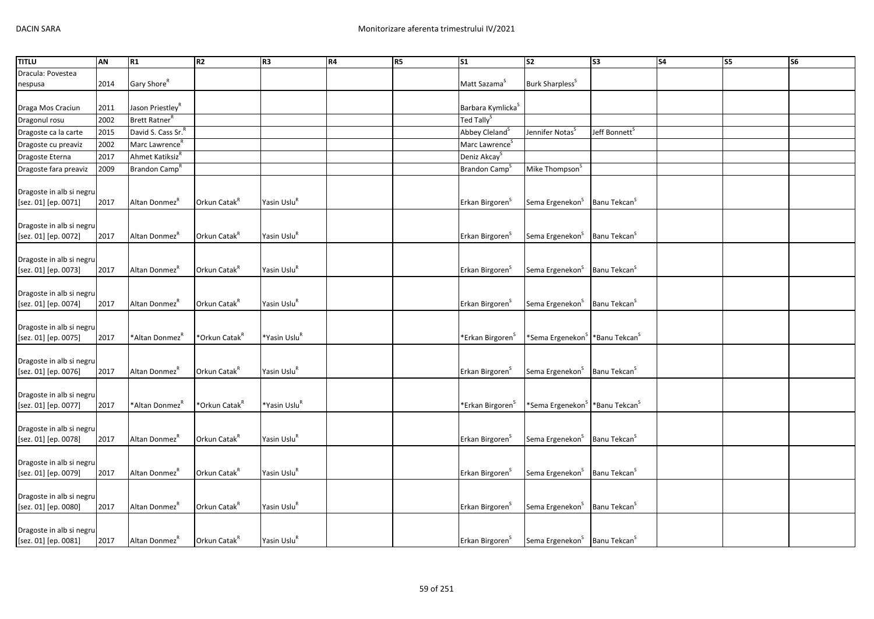| <b>TITLU</b>                                     | AN   | R1                             | <b>R2</b>                 | R3                       | R4 | <b>R5</b> | <b>S1</b>                     | S <sub>2</sub>                                         | S <sub>3</sub>            | <b>S4</b> | S5 | S <sub>6</sub> |
|--------------------------------------------------|------|--------------------------------|---------------------------|--------------------------|----|-----------|-------------------------------|--------------------------------------------------------|---------------------------|-----------|----|----------------|
| Dracula: Povestea                                |      |                                |                           |                          |    |           |                               |                                                        |                           |           |    |                |
| nespusa                                          | 2014 | Gary Shore <sup>R</sup>        |                           |                          |    |           | Matt Sazama <sup>5</sup>      | Burk Sharpless <sup>S</sup>                            |                           |           |    |                |
|                                                  |      |                                |                           |                          |    |           |                               |                                                        |                           |           |    |                |
| Draga Mos Craciun                                | 2011 | Jason Priestley <sup>R</sup>   |                           |                          |    |           | Barbara Kymlicka <sup>S</sup> |                                                        |                           |           |    |                |
| Dragonul rosu                                    | 2002 | Brett Ratner <sup>R</sup>      |                           |                          |    |           | Ted Tally <sup>S</sup>        |                                                        |                           |           |    |                |
| Dragoste ca la carte                             | 2015 | David S. Cass Sr. <sup>R</sup> |                           |                          |    |           | Abbey Cleland <sup>S</sup>    | Jennifer Notas <sup>5</sup>                            | Jeff Bonnett <sup>s</sup> |           |    |                |
| Dragoste cu preaviz                              | 2002 | Marc Lawrence <sup>R</sup>     |                           |                          |    |           | Marc Lawrence <sup>S</sup>    |                                                        |                           |           |    |                |
| Dragoste Eterna                                  | 2017 | Ahmet Katiksiz <sup>R</sup>    |                           |                          |    |           | Deniz Akcay <sup>S</sup>      |                                                        |                           |           |    |                |
| Dragoste fara preaviz                            | 2009 | Brandon Camp <sup>R</sup>      |                           |                          |    |           | Brandon Camp <sup>3</sup>     | Mike Thompson <sup>S</sup>                             |                           |           |    |                |
|                                                  |      |                                |                           |                          |    |           |                               |                                                        |                           |           |    |                |
| Dragoste in alb si negru                         |      |                                |                           |                          |    |           |                               |                                                        |                           |           |    |                |
| [sez. 01] [ep. 0071]                             | 2017 | Altan Donmez <sup>"</sup>      | Orkun Catak <sup>K</sup>  | Yasin Uslu <sup>k</sup>  |    |           | Erkan Birgoren <sup>5</sup>   | Sema Ergenekon <sup>S</sup> Banu Tekcan <sup>S</sup>   |                           |           |    |                |
|                                                  |      |                                |                           |                          |    |           |                               |                                                        |                           |           |    |                |
| Dragoste in alb si negru                         |      |                                |                           |                          |    |           |                               |                                                        |                           |           |    |                |
| [sez. 01] [ep. 0072]                             | 2017 | Altan Donmez <sup>K</sup>      | Orkun Catak <sup>R</sup>  | Yasin Uslu <sup>R</sup>  |    |           | Erkan Birgoren <sup>3</sup>   | Sema Ergenekon <sup>S</sup>                            | Banu Tekcan <sup>5</sup>  |           |    |                |
|                                                  |      |                                |                           |                          |    |           |                               |                                                        |                           |           |    |                |
| Dragoste in alb si negru                         |      |                                |                           |                          |    |           |                               |                                                        |                           |           |    |                |
| [sez. 01] [ep. 0073]                             | 2017 | Altan Donmez <sup>K</sup>      | Orkun Catak <sup>R</sup>  | Yasin Uslu <sup>R</sup>  |    |           | Erkan Birgoren <sup>5</sup>   | Sema Ergenekon <sup>S</sup>                            | Banu Tekcan <sup>S</sup>  |           |    |                |
|                                                  |      |                                |                           |                          |    |           |                               |                                                        |                           |           |    |                |
| Dragoste in alb si negru<br>[sez. 01] [ep. 0074] | 2017 | Altan Donmez <sup>K</sup>      | Orkun Catak <sup>R</sup>  | Yasin Uslu <sup>R</sup>  |    |           | Erkan Birgoren <sup>5</sup>   | Sema Ergenekon <sup>S</sup>                            | Banu Tekcan <sup>5</sup>  |           |    |                |
|                                                  |      |                                |                           |                          |    |           |                               |                                                        |                           |           |    |                |
| Dragoste in alb si negru                         |      |                                |                           |                          |    |           |                               |                                                        |                           |           |    |                |
| [sez. 01] [ep. 0075]                             | 2017 | *Altan Donmez <sup>K</sup>     | *Orkun Catak <sup>R</sup> | *Yasin Uslu <sup>R</sup> |    |           | *Erkan Birgoren <sup>S</sup>  | *Sema Ergenekon <sup>S</sup> *Banu Tekcan <sup>S</sup> |                           |           |    |                |
|                                                  |      |                                |                           |                          |    |           |                               |                                                        |                           |           |    |                |
| Dragoste in alb si negru                         |      |                                |                           |                          |    |           |                               |                                                        |                           |           |    |                |
| [sez. 01] [ep. 0076]                             | 2017 | Altan Donmez <sup>K</sup>      | Orkun Catak <sup>R</sup>  | Yasin Uslu <sup>R</sup>  |    |           | Erkan Birgoren <sup>S</sup>   | Sema Ergenekon <sup>S</sup>                            | Banu Tekcan <sup>5</sup>  |           |    |                |
|                                                  |      |                                |                           |                          |    |           |                               |                                                        |                           |           |    |                |
| Dragoste in alb si negru                         |      |                                |                           |                          |    |           |                               |                                                        |                           |           |    |                |
| [sez. 01] [ep. 0077]                             | 2017 | *Altan Donmez <sup>"</sup>     | *Orkun Catak <sup>R</sup> | *Yasin Uslu <sup>ĸ</sup> |    |           | *Erkan Birgoren <sup>5</sup>  | *Sema Ergenekon <sup>S</sup> *Banu Tekcan <sup>S</sup> |                           |           |    |                |
|                                                  |      |                                |                           |                          |    |           |                               |                                                        |                           |           |    |                |
| Dragoste in alb si negru                         |      |                                |                           |                          |    |           |                               |                                                        |                           |           |    |                |
| [sez. 01] [ep. 0078]                             | 2017 | Altan Donmez <sup>K</sup>      | Orkun Catak <sup>R</sup>  | Yasin Uslu <sup>R</sup>  |    |           | Erkan Birgoren <sup>5</sup>   | Sema Ergenekon <sup>S</sup>                            | Banu Tekcan <sup>S</sup>  |           |    |                |
|                                                  |      |                                |                           |                          |    |           |                               |                                                        |                           |           |    |                |
| Dragoste in alb si negru                         |      |                                |                           |                          |    |           |                               |                                                        |                           |           |    |                |
| [sez. 01] [ep. 0079]                             | 2017 | Altan Donmez <sup>R</sup>      | Orkun Catak <sup>R</sup>  | Yasin Uslu <sup>R</sup>  |    |           | Erkan Birgoren <sup>S</sup>   | Sema Ergenekon <sup>S</sup>                            | Banu Tekcan <sup>S</sup>  |           |    |                |
|                                                  |      |                                |                           |                          |    |           |                               |                                                        |                           |           |    |                |
| Dragoste in alb si negru<br>[sez. 01] [ep. 0080] | 2017 | Altan Donmez <sup>K</sup>      | Orkun Catak <sup>R</sup>  | Yasin Uslu <sup>R</sup>  |    |           | Erkan Birgoren <sup>3</sup>   | Sema Ergenekon <sup>S</sup> Banu Tekcan <sup>S</sup>   |                           |           |    |                |
|                                                  |      |                                |                           |                          |    |           |                               |                                                        |                           |           |    |                |
| Dragoste in alb si negru                         |      |                                |                           |                          |    |           |                               |                                                        |                           |           |    |                |
| [sez. 01] [ep. 0081]                             | 2017 | Altan Donmez <sup>R</sup>      | Orkun Catak <sup>R</sup>  | Yasin Uslu <sup>R</sup>  |    |           | Erkan Birgoren <sup>S</sup>   | Sema Ergenekon <sup>S</sup> Banu Tekcan <sup>S</sup>   |                           |           |    |                |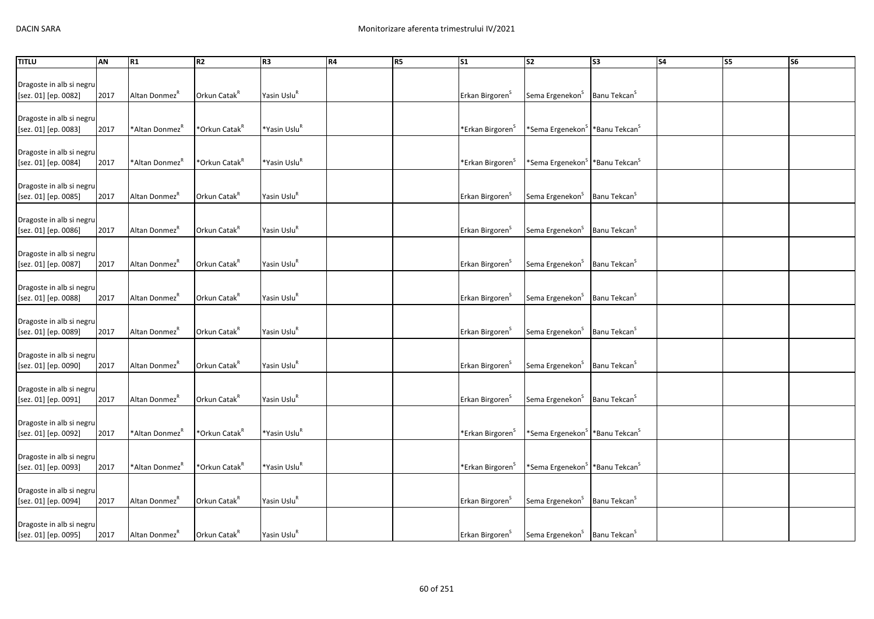| Yasin Uslu <sup>R</sup><br>Orkun Catak <sup>R</sup><br>Sema Ergenekon <sup>S</sup><br>Banu Tekcan <sup>S</sup><br>[sez. 01] [ep. 0082]<br>2017<br>Altan Donmez <sup>"</sup><br>Erkan Birgoren <sup>5</sup><br>Dragoste in alb si negru<br>*Orkun Catak <sup>R</sup><br>*Yasin Uslu <sup>R</sup><br>[sez. 01] [ep. 0083]<br>2017<br>*Altan Donmez <sup>K</sup><br>*Erkan Birgoren <sup>S</sup><br>*Sema Ergenekon <sup>S</sup>   *Banu Tekcan <sup>S</sup><br>Dragoste in alb si negru<br>*Orkun Catak <sup>R</sup><br>*Yasin Uslu <sup>R</sup><br>[sez. 01] [ep. 0084]<br>2017<br>*Altan Donmez <sup>K</sup><br>*Erkan Birgoren <sup>S</sup><br>*Sema Ergenekon <sup>S</sup>   *Banu Tekcan <sup>S</sup><br>Dragoste in alb si negru<br>Yasin Uslu <sup>R</sup><br>Orkun Catak <sup>R</sup><br>Sema Ergenekon <sup>S</sup><br>Banu Tekcan <sup>S</sup><br>[sez. 01] [ep. 0085]<br>2017<br>Altan Donmez <sup>"</sup><br>Erkan Birgoren <sup>5</sup><br>Dragoste in alb si negru<br>Yasin Uslu <sup>R</sup><br>Orkun Catak <sup>R</sup><br>Sema Ergenekon <sup>S</sup><br>Banu Tekcan <sup>S</sup><br>2017<br>Altan Donmez <sup>"</sup><br>Erkan Birgoren <sup>S</sup><br>[sez. 01] [ep. 0086]<br>Dragoste in alb si negru<br>Yasin Uslu <sup>R</sup><br>Orkun Catak <sup>R</sup><br>[sez. 01] [ep. 0087]<br>Sema Ergenekon <sup>S</sup><br>Banu Tekcan <sup>S</sup><br>2017<br>Altan Donmez<br>Erkan Birgoren <sup>5</sup><br>Dragoste in alb si negru<br>Orkun Catak <sup>R</sup><br>Yasin Uslu <sup>R</sup><br>Sema Ergenekon <sup>S</sup><br>[sez. 01] [ep. 0088]<br>2017<br>Altan Donmez <sup>K</sup><br>Erkan Birgoren <sup>S</sup><br>Banu Tekcan <sup>5</sup><br>Dragoste in alb si negru<br>Yasin Uslu <sup>R</sup><br>Orkun Catak <sup>R</sup><br>Sema Ergenekon <sup>S</sup><br>Banu Tekcan <sup>S</sup><br>[sez. 01] [ep. 0089]<br>Altan Donmez <sup>K</sup><br>2017<br>Erkan Birgoren <sup>5</sup><br>Dragoste in alb si negru<br>Yasin Uslu <sup>R</sup><br>Orkun Catak <sup>R</sup><br>Sema Ergenekon <sup>S</sup><br>Banu Tekcan <sup>S</sup><br>[sez. 01] [ep. 0090]<br>2017<br>Altan Donmez <sup>"</sup><br>Erkan Birgoren <sup>5</sup><br>Dragoste in alb si negru<br>Orkun Catak <sup>R</sup><br>Yasin Uslu <sup>R</sup><br>Altan Donmez <sup>R</sup><br>Sema Ergenekon <sup>S</sup><br>Banu Tekcan <sup>5</sup><br>[sez. 01] [ep. 0091]<br>2017<br>Erkan Birgoren <sup>5</sup><br>Dragoste in alb si negru<br>*Orkun Catak <sup>R</sup><br>*Yasin Uslu <sup>R</sup><br>[sez. 01] [ep. 0092]<br>*Altan Donmez <sup>K</sup><br>*Sema Ergenekon <sup>S</sup><br>*Banu Tekcan <sup>S</sup><br>2017<br>*Erkan Birgoren <sup>5</sup><br>Dragoste in alb si negru<br>*Orkun Catak <sup>R</sup><br>*Yasin Uslu <sup>R</sup><br>[sez. 01] [ep. 0093]<br>2017<br>*Altan Donmez <sup>K</sup><br>*Sema Ergenekon <sup>S</sup>   *Banu Tekcan <sup>S</sup><br>*Erkan Birgoren <sup>&gt;</sup><br>Dragoste in alb si negru<br>Yasin Uslu <sup>R</sup><br>Orkun Catak <sup>R</sup><br>Sema Ergenekon <sup>S</sup><br>Banu Tekcan <sup>S</sup><br>[sez. 01] [ep. 0094]<br>2017<br>Altan Donmez <sup>R</sup><br>Erkan Birgoren <sup>S</sup><br>Dragoste in alb si negru | <b>TITLU</b>             | AN | R1 | <b>R2</b> | R <sub>3</sub> | R4 | R <sub>5</sub> | S <sub>1</sub> | S2 | S <sub>3</sub> | <b>S4</b> | S5 | S <sub>6</sub> |
|---------------------------------------------------------------------------------------------------------------------------------------------------------------------------------------------------------------------------------------------------------------------------------------------------------------------------------------------------------------------------------------------------------------------------------------------------------------------------------------------------------------------------------------------------------------------------------------------------------------------------------------------------------------------------------------------------------------------------------------------------------------------------------------------------------------------------------------------------------------------------------------------------------------------------------------------------------------------------------------------------------------------------------------------------------------------------------------------------------------------------------------------------------------------------------------------------------------------------------------------------------------------------------------------------------------------------------------------------------------------------------------------------------------------------------------------------------------------------------------------------------------------------------------------------------------------------------------------------------------------------------------------------------------------------------------------------------------------------------------------------------------------------------------------------------------------------------------------------------------------------------------------------------------------------------------------------------------------------------------------------------------------------------------------------------------------------------------------------------------------------------------------------------------------------------------------------------------------------------------------------------------------------------------------------------------------------------------------------------------------------------------------------------------------------------------------------------------------------------------------------------------------------------------------------------------------------------------------------------------------------------------------------------------------------------------------------------------------------------------------------------------------------------------------------------------------------------------------------------------------------------------------------------------------------------------------------------------------------------------------------------------------------------------------------------------------------------------------------------------------------------------------------------------------------|--------------------------|----|----|-----------|----------------|----|----------------|----------------|----|----------------|-----------|----|----------------|
|                                                                                                                                                                                                                                                                                                                                                                                                                                                                                                                                                                                                                                                                                                                                                                                                                                                                                                                                                                                                                                                                                                                                                                                                                                                                                                                                                                                                                                                                                                                                                                                                                                                                                                                                                                                                                                                                                                                                                                                                                                                                                                                                                                                                                                                                                                                                                                                                                                                                                                                                                                                                                                                                                                                                                                                                                                                                                                                                                                                                                                                                                                                                                                           |                          |    |    |           |                |    |                |                |    |                |           |    |                |
|                                                                                                                                                                                                                                                                                                                                                                                                                                                                                                                                                                                                                                                                                                                                                                                                                                                                                                                                                                                                                                                                                                                                                                                                                                                                                                                                                                                                                                                                                                                                                                                                                                                                                                                                                                                                                                                                                                                                                                                                                                                                                                                                                                                                                                                                                                                                                                                                                                                                                                                                                                                                                                                                                                                                                                                                                                                                                                                                                                                                                                                                                                                                                                           | Dragoste in alb si negru |    |    |           |                |    |                |                |    |                |           |    |                |
|                                                                                                                                                                                                                                                                                                                                                                                                                                                                                                                                                                                                                                                                                                                                                                                                                                                                                                                                                                                                                                                                                                                                                                                                                                                                                                                                                                                                                                                                                                                                                                                                                                                                                                                                                                                                                                                                                                                                                                                                                                                                                                                                                                                                                                                                                                                                                                                                                                                                                                                                                                                                                                                                                                                                                                                                                                                                                                                                                                                                                                                                                                                                                                           |                          |    |    |           |                |    |                |                |    |                |           |    |                |
|                                                                                                                                                                                                                                                                                                                                                                                                                                                                                                                                                                                                                                                                                                                                                                                                                                                                                                                                                                                                                                                                                                                                                                                                                                                                                                                                                                                                                                                                                                                                                                                                                                                                                                                                                                                                                                                                                                                                                                                                                                                                                                                                                                                                                                                                                                                                                                                                                                                                                                                                                                                                                                                                                                                                                                                                                                                                                                                                                                                                                                                                                                                                                                           |                          |    |    |           |                |    |                |                |    |                |           |    |                |
|                                                                                                                                                                                                                                                                                                                                                                                                                                                                                                                                                                                                                                                                                                                                                                                                                                                                                                                                                                                                                                                                                                                                                                                                                                                                                                                                                                                                                                                                                                                                                                                                                                                                                                                                                                                                                                                                                                                                                                                                                                                                                                                                                                                                                                                                                                                                                                                                                                                                                                                                                                                                                                                                                                                                                                                                                                                                                                                                                                                                                                                                                                                                                                           |                          |    |    |           |                |    |                |                |    |                |           |    |                |
|                                                                                                                                                                                                                                                                                                                                                                                                                                                                                                                                                                                                                                                                                                                                                                                                                                                                                                                                                                                                                                                                                                                                                                                                                                                                                                                                                                                                                                                                                                                                                                                                                                                                                                                                                                                                                                                                                                                                                                                                                                                                                                                                                                                                                                                                                                                                                                                                                                                                                                                                                                                                                                                                                                                                                                                                                                                                                                                                                                                                                                                                                                                                                                           |                          |    |    |           |                |    |                |                |    |                |           |    |                |
|                                                                                                                                                                                                                                                                                                                                                                                                                                                                                                                                                                                                                                                                                                                                                                                                                                                                                                                                                                                                                                                                                                                                                                                                                                                                                                                                                                                                                                                                                                                                                                                                                                                                                                                                                                                                                                                                                                                                                                                                                                                                                                                                                                                                                                                                                                                                                                                                                                                                                                                                                                                                                                                                                                                                                                                                                                                                                                                                                                                                                                                                                                                                                                           |                          |    |    |           |                |    |                |                |    |                |           |    |                |
|                                                                                                                                                                                                                                                                                                                                                                                                                                                                                                                                                                                                                                                                                                                                                                                                                                                                                                                                                                                                                                                                                                                                                                                                                                                                                                                                                                                                                                                                                                                                                                                                                                                                                                                                                                                                                                                                                                                                                                                                                                                                                                                                                                                                                                                                                                                                                                                                                                                                                                                                                                                                                                                                                                                                                                                                                                                                                                                                                                                                                                                                                                                                                                           |                          |    |    |           |                |    |                |                |    |                |           |    |                |
|                                                                                                                                                                                                                                                                                                                                                                                                                                                                                                                                                                                                                                                                                                                                                                                                                                                                                                                                                                                                                                                                                                                                                                                                                                                                                                                                                                                                                                                                                                                                                                                                                                                                                                                                                                                                                                                                                                                                                                                                                                                                                                                                                                                                                                                                                                                                                                                                                                                                                                                                                                                                                                                                                                                                                                                                                                                                                                                                                                                                                                                                                                                                                                           |                          |    |    |           |                |    |                |                |    |                |           |    |                |
|                                                                                                                                                                                                                                                                                                                                                                                                                                                                                                                                                                                                                                                                                                                                                                                                                                                                                                                                                                                                                                                                                                                                                                                                                                                                                                                                                                                                                                                                                                                                                                                                                                                                                                                                                                                                                                                                                                                                                                                                                                                                                                                                                                                                                                                                                                                                                                                                                                                                                                                                                                                                                                                                                                                                                                                                                                                                                                                                                                                                                                                                                                                                                                           |                          |    |    |           |                |    |                |                |    |                |           |    |                |
|                                                                                                                                                                                                                                                                                                                                                                                                                                                                                                                                                                                                                                                                                                                                                                                                                                                                                                                                                                                                                                                                                                                                                                                                                                                                                                                                                                                                                                                                                                                                                                                                                                                                                                                                                                                                                                                                                                                                                                                                                                                                                                                                                                                                                                                                                                                                                                                                                                                                                                                                                                                                                                                                                                                                                                                                                                                                                                                                                                                                                                                                                                                                                                           |                          |    |    |           |                |    |                |                |    |                |           |    |                |
|                                                                                                                                                                                                                                                                                                                                                                                                                                                                                                                                                                                                                                                                                                                                                                                                                                                                                                                                                                                                                                                                                                                                                                                                                                                                                                                                                                                                                                                                                                                                                                                                                                                                                                                                                                                                                                                                                                                                                                                                                                                                                                                                                                                                                                                                                                                                                                                                                                                                                                                                                                                                                                                                                                                                                                                                                                                                                                                                                                                                                                                                                                                                                                           |                          |    |    |           |                |    |                |                |    |                |           |    |                |
|                                                                                                                                                                                                                                                                                                                                                                                                                                                                                                                                                                                                                                                                                                                                                                                                                                                                                                                                                                                                                                                                                                                                                                                                                                                                                                                                                                                                                                                                                                                                                                                                                                                                                                                                                                                                                                                                                                                                                                                                                                                                                                                                                                                                                                                                                                                                                                                                                                                                                                                                                                                                                                                                                                                                                                                                                                                                                                                                                                                                                                                                                                                                                                           |                          |    |    |           |                |    |                |                |    |                |           |    |                |
|                                                                                                                                                                                                                                                                                                                                                                                                                                                                                                                                                                                                                                                                                                                                                                                                                                                                                                                                                                                                                                                                                                                                                                                                                                                                                                                                                                                                                                                                                                                                                                                                                                                                                                                                                                                                                                                                                                                                                                                                                                                                                                                                                                                                                                                                                                                                                                                                                                                                                                                                                                                                                                                                                                                                                                                                                                                                                                                                                                                                                                                                                                                                                                           |                          |    |    |           |                |    |                |                |    |                |           |    |                |
|                                                                                                                                                                                                                                                                                                                                                                                                                                                                                                                                                                                                                                                                                                                                                                                                                                                                                                                                                                                                                                                                                                                                                                                                                                                                                                                                                                                                                                                                                                                                                                                                                                                                                                                                                                                                                                                                                                                                                                                                                                                                                                                                                                                                                                                                                                                                                                                                                                                                                                                                                                                                                                                                                                                                                                                                                                                                                                                                                                                                                                                                                                                                                                           |                          |    |    |           |                |    |                |                |    |                |           |    |                |
|                                                                                                                                                                                                                                                                                                                                                                                                                                                                                                                                                                                                                                                                                                                                                                                                                                                                                                                                                                                                                                                                                                                                                                                                                                                                                                                                                                                                                                                                                                                                                                                                                                                                                                                                                                                                                                                                                                                                                                                                                                                                                                                                                                                                                                                                                                                                                                                                                                                                                                                                                                                                                                                                                                                                                                                                                                                                                                                                                                                                                                                                                                                                                                           |                          |    |    |           |                |    |                |                |    |                |           |    |                |
|                                                                                                                                                                                                                                                                                                                                                                                                                                                                                                                                                                                                                                                                                                                                                                                                                                                                                                                                                                                                                                                                                                                                                                                                                                                                                                                                                                                                                                                                                                                                                                                                                                                                                                                                                                                                                                                                                                                                                                                                                                                                                                                                                                                                                                                                                                                                                                                                                                                                                                                                                                                                                                                                                                                                                                                                                                                                                                                                                                                                                                                                                                                                                                           |                          |    |    |           |                |    |                |                |    |                |           |    |                |
|                                                                                                                                                                                                                                                                                                                                                                                                                                                                                                                                                                                                                                                                                                                                                                                                                                                                                                                                                                                                                                                                                                                                                                                                                                                                                                                                                                                                                                                                                                                                                                                                                                                                                                                                                                                                                                                                                                                                                                                                                                                                                                                                                                                                                                                                                                                                                                                                                                                                                                                                                                                                                                                                                                                                                                                                                                                                                                                                                                                                                                                                                                                                                                           |                          |    |    |           |                |    |                |                |    |                |           |    |                |
|                                                                                                                                                                                                                                                                                                                                                                                                                                                                                                                                                                                                                                                                                                                                                                                                                                                                                                                                                                                                                                                                                                                                                                                                                                                                                                                                                                                                                                                                                                                                                                                                                                                                                                                                                                                                                                                                                                                                                                                                                                                                                                                                                                                                                                                                                                                                                                                                                                                                                                                                                                                                                                                                                                                                                                                                                                                                                                                                                                                                                                                                                                                                                                           |                          |    |    |           |                |    |                |                |    |                |           |    |                |
|                                                                                                                                                                                                                                                                                                                                                                                                                                                                                                                                                                                                                                                                                                                                                                                                                                                                                                                                                                                                                                                                                                                                                                                                                                                                                                                                                                                                                                                                                                                                                                                                                                                                                                                                                                                                                                                                                                                                                                                                                                                                                                                                                                                                                                                                                                                                                                                                                                                                                                                                                                                                                                                                                                                                                                                                                                                                                                                                                                                                                                                                                                                                                                           |                          |    |    |           |                |    |                |                |    |                |           |    |                |
|                                                                                                                                                                                                                                                                                                                                                                                                                                                                                                                                                                                                                                                                                                                                                                                                                                                                                                                                                                                                                                                                                                                                                                                                                                                                                                                                                                                                                                                                                                                                                                                                                                                                                                                                                                                                                                                                                                                                                                                                                                                                                                                                                                                                                                                                                                                                                                                                                                                                                                                                                                                                                                                                                                                                                                                                                                                                                                                                                                                                                                                                                                                                                                           |                          |    |    |           |                |    |                |                |    |                |           |    |                |
|                                                                                                                                                                                                                                                                                                                                                                                                                                                                                                                                                                                                                                                                                                                                                                                                                                                                                                                                                                                                                                                                                                                                                                                                                                                                                                                                                                                                                                                                                                                                                                                                                                                                                                                                                                                                                                                                                                                                                                                                                                                                                                                                                                                                                                                                                                                                                                                                                                                                                                                                                                                                                                                                                                                                                                                                                                                                                                                                                                                                                                                                                                                                                                           |                          |    |    |           |                |    |                |                |    |                |           |    |                |
|                                                                                                                                                                                                                                                                                                                                                                                                                                                                                                                                                                                                                                                                                                                                                                                                                                                                                                                                                                                                                                                                                                                                                                                                                                                                                                                                                                                                                                                                                                                                                                                                                                                                                                                                                                                                                                                                                                                                                                                                                                                                                                                                                                                                                                                                                                                                                                                                                                                                                                                                                                                                                                                                                                                                                                                                                                                                                                                                                                                                                                                                                                                                                                           |                          |    |    |           |                |    |                |                |    |                |           |    |                |
|                                                                                                                                                                                                                                                                                                                                                                                                                                                                                                                                                                                                                                                                                                                                                                                                                                                                                                                                                                                                                                                                                                                                                                                                                                                                                                                                                                                                                                                                                                                                                                                                                                                                                                                                                                                                                                                                                                                                                                                                                                                                                                                                                                                                                                                                                                                                                                                                                                                                                                                                                                                                                                                                                                                                                                                                                                                                                                                                                                                                                                                                                                                                                                           |                          |    |    |           |                |    |                |                |    |                |           |    |                |
|                                                                                                                                                                                                                                                                                                                                                                                                                                                                                                                                                                                                                                                                                                                                                                                                                                                                                                                                                                                                                                                                                                                                                                                                                                                                                                                                                                                                                                                                                                                                                                                                                                                                                                                                                                                                                                                                                                                                                                                                                                                                                                                                                                                                                                                                                                                                                                                                                                                                                                                                                                                                                                                                                                                                                                                                                                                                                                                                                                                                                                                                                                                                                                           |                          |    |    |           |                |    |                |                |    |                |           |    |                |
|                                                                                                                                                                                                                                                                                                                                                                                                                                                                                                                                                                                                                                                                                                                                                                                                                                                                                                                                                                                                                                                                                                                                                                                                                                                                                                                                                                                                                                                                                                                                                                                                                                                                                                                                                                                                                                                                                                                                                                                                                                                                                                                                                                                                                                                                                                                                                                                                                                                                                                                                                                                                                                                                                                                                                                                                                                                                                                                                                                                                                                                                                                                                                                           |                          |    |    |           |                |    |                |                |    |                |           |    |                |
|                                                                                                                                                                                                                                                                                                                                                                                                                                                                                                                                                                                                                                                                                                                                                                                                                                                                                                                                                                                                                                                                                                                                                                                                                                                                                                                                                                                                                                                                                                                                                                                                                                                                                                                                                                                                                                                                                                                                                                                                                                                                                                                                                                                                                                                                                                                                                                                                                                                                                                                                                                                                                                                                                                                                                                                                                                                                                                                                                                                                                                                                                                                                                                           |                          |    |    |           |                |    |                |                |    |                |           |    |                |
|                                                                                                                                                                                                                                                                                                                                                                                                                                                                                                                                                                                                                                                                                                                                                                                                                                                                                                                                                                                                                                                                                                                                                                                                                                                                                                                                                                                                                                                                                                                                                                                                                                                                                                                                                                                                                                                                                                                                                                                                                                                                                                                                                                                                                                                                                                                                                                                                                                                                                                                                                                                                                                                                                                                                                                                                                                                                                                                                                                                                                                                                                                                                                                           |                          |    |    |           |                |    |                |                |    |                |           |    |                |
|                                                                                                                                                                                                                                                                                                                                                                                                                                                                                                                                                                                                                                                                                                                                                                                                                                                                                                                                                                                                                                                                                                                                                                                                                                                                                                                                                                                                                                                                                                                                                                                                                                                                                                                                                                                                                                                                                                                                                                                                                                                                                                                                                                                                                                                                                                                                                                                                                                                                                                                                                                                                                                                                                                                                                                                                                                                                                                                                                                                                                                                                                                                                                                           |                          |    |    |           |                |    |                |                |    |                |           |    |                |
|                                                                                                                                                                                                                                                                                                                                                                                                                                                                                                                                                                                                                                                                                                                                                                                                                                                                                                                                                                                                                                                                                                                                                                                                                                                                                                                                                                                                                                                                                                                                                                                                                                                                                                                                                                                                                                                                                                                                                                                                                                                                                                                                                                                                                                                                                                                                                                                                                                                                                                                                                                                                                                                                                                                                                                                                                                                                                                                                                                                                                                                                                                                                                                           |                          |    |    |           |                |    |                |                |    |                |           |    |                |
|                                                                                                                                                                                                                                                                                                                                                                                                                                                                                                                                                                                                                                                                                                                                                                                                                                                                                                                                                                                                                                                                                                                                                                                                                                                                                                                                                                                                                                                                                                                                                                                                                                                                                                                                                                                                                                                                                                                                                                                                                                                                                                                                                                                                                                                                                                                                                                                                                                                                                                                                                                                                                                                                                                                                                                                                                                                                                                                                                                                                                                                                                                                                                                           |                          |    |    |           |                |    |                |                |    |                |           |    |                |
|                                                                                                                                                                                                                                                                                                                                                                                                                                                                                                                                                                                                                                                                                                                                                                                                                                                                                                                                                                                                                                                                                                                                                                                                                                                                                                                                                                                                                                                                                                                                                                                                                                                                                                                                                                                                                                                                                                                                                                                                                                                                                                                                                                                                                                                                                                                                                                                                                                                                                                                                                                                                                                                                                                                                                                                                                                                                                                                                                                                                                                                                                                                                                                           |                          |    |    |           |                |    |                |                |    |                |           |    |                |
|                                                                                                                                                                                                                                                                                                                                                                                                                                                                                                                                                                                                                                                                                                                                                                                                                                                                                                                                                                                                                                                                                                                                                                                                                                                                                                                                                                                                                                                                                                                                                                                                                                                                                                                                                                                                                                                                                                                                                                                                                                                                                                                                                                                                                                                                                                                                                                                                                                                                                                                                                                                                                                                                                                                                                                                                                                                                                                                                                                                                                                                                                                                                                                           |                          |    |    |           |                |    |                |                |    |                |           |    |                |
|                                                                                                                                                                                                                                                                                                                                                                                                                                                                                                                                                                                                                                                                                                                                                                                                                                                                                                                                                                                                                                                                                                                                                                                                                                                                                                                                                                                                                                                                                                                                                                                                                                                                                                                                                                                                                                                                                                                                                                                                                                                                                                                                                                                                                                                                                                                                                                                                                                                                                                                                                                                                                                                                                                                                                                                                                                                                                                                                                                                                                                                                                                                                                                           |                          |    |    |           |                |    |                |                |    |                |           |    |                |
|                                                                                                                                                                                                                                                                                                                                                                                                                                                                                                                                                                                                                                                                                                                                                                                                                                                                                                                                                                                                                                                                                                                                                                                                                                                                                                                                                                                                                                                                                                                                                                                                                                                                                                                                                                                                                                                                                                                                                                                                                                                                                                                                                                                                                                                                                                                                                                                                                                                                                                                                                                                                                                                                                                                                                                                                                                                                                                                                                                                                                                                                                                                                                                           |                          |    |    |           |                |    |                |                |    |                |           |    |                |
|                                                                                                                                                                                                                                                                                                                                                                                                                                                                                                                                                                                                                                                                                                                                                                                                                                                                                                                                                                                                                                                                                                                                                                                                                                                                                                                                                                                                                                                                                                                                                                                                                                                                                                                                                                                                                                                                                                                                                                                                                                                                                                                                                                                                                                                                                                                                                                                                                                                                                                                                                                                                                                                                                                                                                                                                                                                                                                                                                                                                                                                                                                                                                                           |                          |    |    |           |                |    |                |                |    |                |           |    |                |
|                                                                                                                                                                                                                                                                                                                                                                                                                                                                                                                                                                                                                                                                                                                                                                                                                                                                                                                                                                                                                                                                                                                                                                                                                                                                                                                                                                                                                                                                                                                                                                                                                                                                                                                                                                                                                                                                                                                                                                                                                                                                                                                                                                                                                                                                                                                                                                                                                                                                                                                                                                                                                                                                                                                                                                                                                                                                                                                                                                                                                                                                                                                                                                           |                          |    |    |           |                |    |                |                |    |                |           |    |                |
|                                                                                                                                                                                                                                                                                                                                                                                                                                                                                                                                                                                                                                                                                                                                                                                                                                                                                                                                                                                                                                                                                                                                                                                                                                                                                                                                                                                                                                                                                                                                                                                                                                                                                                                                                                                                                                                                                                                                                                                                                                                                                                                                                                                                                                                                                                                                                                                                                                                                                                                                                                                                                                                                                                                                                                                                                                                                                                                                                                                                                                                                                                                                                                           |                          |    |    |           |                |    |                |                |    |                |           |    |                |
| Yasin Uslu <sup>R</sup><br>Sema Ergenekon <sup>S</sup>   Banu Tekcan <sup>S</sup><br>Orkun Catak <sup>R</sup><br>Altan Donmez <sup>"</sup><br>Erkan Birgoren <sup>5</sup><br>2017                                                                                                                                                                                                                                                                                                                                                                                                                                                                                                                                                                                                                                                                                                                                                                                                                                                                                                                                                                                                                                                                                                                                                                                                                                                                                                                                                                                                                                                                                                                                                                                                                                                                                                                                                                                                                                                                                                                                                                                                                                                                                                                                                                                                                                                                                                                                                                                                                                                                                                                                                                                                                                                                                                                                                                                                                                                                                                                                                                                         | [sez. 01] [ep. 0095]     |    |    |           |                |    |                |                |    |                |           |    |                |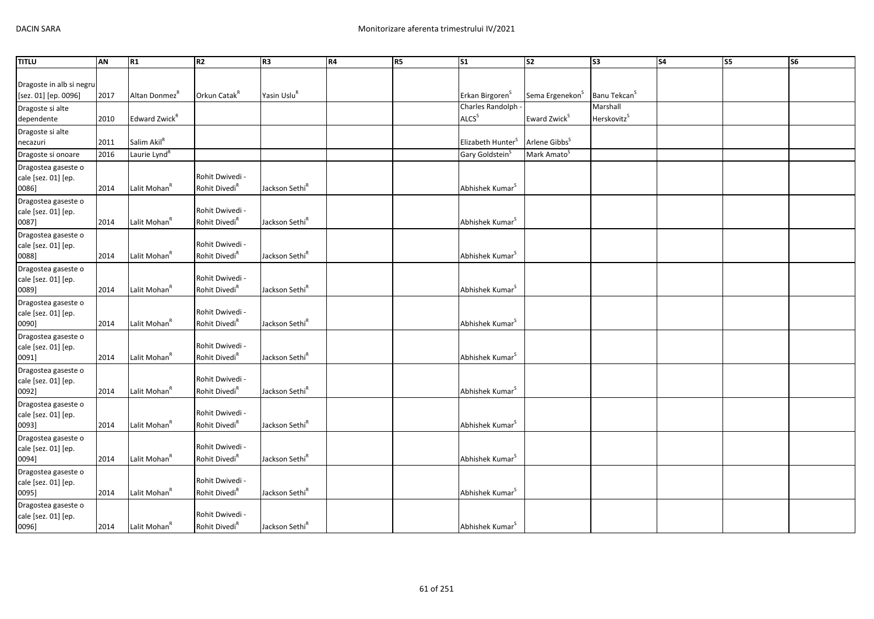| <b>TITLU</b>                                     | AN   | R1                        | R <sub>2</sub>                               | R <sub>3</sub>             | R4 | R5 | $\mathsf{S}1$                 | ls <sub>2</sub>             | S <sub>3</sub>           | S <sub>4</sub> | S5 | S <sub>6</sub> |
|--------------------------------------------------|------|---------------------------|----------------------------------------------|----------------------------|----|----|-------------------------------|-----------------------------|--------------------------|----------------|----|----------------|
|                                                  |      |                           |                                              |                            |    |    |                               |                             |                          |                |    |                |
| Dragoste in alb si negru<br>[sez. 01] [ep. 0096] | 2017 | Altan Donmez <sup>R</sup> | Orkun Catak <sup>R</sup>                     | Yasin Uslu <sup>R</sup>    |    |    | Erkan Birgoren <sup>S</sup>   | Sema Ergenekon <sup>S</sup> | Banu Tekcan <sup>S</sup> |                |    |                |
| Dragoste si alte                                 |      |                           |                                              |                            |    |    | Charles Randolph -            |                             | Marshall                 |                |    |                |
| dependente                                       | 2010 | Edward Zwick <sup>R</sup> |                                              |                            |    |    | ALCS <sup>S</sup>             | Eward Zwick <sup>S</sup>    | Herskovitz <sup>S</sup>  |                |    |                |
| Dragoste si alte                                 |      |                           |                                              |                            |    |    |                               |                             |                          |                |    |                |
| necazuri                                         | 2011 | Salim Akil <sup>R</sup>   |                                              |                            |    |    | Elizabeth Hunter <sup>S</sup> | Arlene Gibbs <sup>5</sup>   |                          |                |    |                |
| Dragoste si onoare                               | 2016 | Laurie Lynd <sup>R</sup>  |                                              |                            |    |    | Gary Goldstein <sup>S</sup>   | Mark Amato <sup>S</sup>     |                          |                |    |                |
| Dragostea gaseste o                              |      |                           |                                              |                            |    |    |                               |                             |                          |                |    |                |
| cale [sez. 01] [ep.<br>0086]                     | 2014 | Lalit Mohan <sup>R</sup>  | Rohit Dwivedi -<br>Rohit Divedi <sup>R</sup> | Jackson Sethi <sup>R</sup> |    |    | Abhishek Kumar <sup>S</sup>   |                             |                          |                |    |                |
| Dragostea gaseste o                              |      |                           |                                              |                            |    |    |                               |                             |                          |                |    |                |
| cale [sez. 01] [ep.                              |      |                           | Rohit Dwivedi -                              |                            |    |    |                               |                             |                          |                |    |                |
| 0087]                                            | 2014 | Lalit Mohan <sup>R</sup>  | Rohit Divedi <sup>R</sup>                    | Jackson Sethi <sup>R</sup> |    |    | Abhishek Kumar <sup>3</sup>   |                             |                          |                |    |                |
| Dragostea gaseste o                              |      |                           |                                              |                            |    |    |                               |                             |                          |                |    |                |
| cale [sez. 01] [ep.                              |      |                           | Rohit Dwivedi -                              |                            |    |    |                               |                             |                          |                |    |                |
| 0088]                                            | 2014 | Lalit Mohan <sup>R</sup>  | Rohit Divedi <sup>R</sup>                    | Jackson Sethi <sup>R</sup> |    |    | Abhishek Kumar <sup>S</sup>   |                             |                          |                |    |                |
| Dragostea gaseste o<br>cale [sez. 01] [ep.       |      |                           | Rohit Dwivedi -                              |                            |    |    |                               |                             |                          |                |    |                |
| 0089]                                            | 2014 | Lalit Mohan <sup>R</sup>  | Rohit Divedi <sup>R</sup>                    | Jackson Sethi <sup>R</sup> |    |    | Abhishek Kumar <sup>S</sup>   |                             |                          |                |    |                |
| Dragostea gaseste o                              |      |                           |                                              |                            |    |    |                               |                             |                          |                |    |                |
| cale [sez. 01] [ep.                              |      |                           | Rohit Dwivedi -                              |                            |    |    |                               |                             |                          |                |    |                |
| 0090]                                            | 2014 | Lalit Mohan <sup>R</sup>  | Rohit Divedi <sup>R</sup>                    | Jackson Sethi <sup>R</sup> |    |    | Abhishek Kumar <sup>5</sup>   |                             |                          |                |    |                |
| Dragostea gaseste o<br>cale [sez. 01] [ep.       |      |                           | Rohit Dwivedi -                              |                            |    |    |                               |                             |                          |                |    |                |
| 0091]                                            | 2014 | Lalit Mohan <sup>R</sup>  | Rohit Divedi <sup>R</sup>                    | Jackson Sethi <sup>R</sup> |    |    | Abhishek Kumar <sup>5</sup>   |                             |                          |                |    |                |
| Dragostea gaseste o                              |      |                           |                                              |                            |    |    |                               |                             |                          |                |    |                |
| cale [sez. 01] [ep.                              |      |                           | Rohit Dwivedi -                              |                            |    |    |                               |                             |                          |                |    |                |
| 0092]                                            | 2014 | Lalit Mohan <sup>R</sup>  | Rohit Divedi <sup>R</sup>                    | Jackson Sethi <sup>R</sup> |    |    | Abhishek Kumar <sup>S</sup>   |                             |                          |                |    |                |
| Dragostea gaseste o                              |      |                           | Rohit Dwivedi -                              |                            |    |    |                               |                             |                          |                |    |                |
| cale [sez. 01] [ep.<br>0093]                     | 2014 | Lalit Mohan <sup>R</sup>  | Rohit Divedi <sup>R</sup>                    | Jackson Sethi <sup>R</sup> |    |    | Abhishek Kumar <sup>S</sup>   |                             |                          |                |    |                |
| Dragostea gaseste o                              |      |                           |                                              |                            |    |    |                               |                             |                          |                |    |                |
| cale [sez. 01] [ep.                              |      |                           | Rohit Dwivedi -                              |                            |    |    |                               |                             |                          |                |    |                |
| 0094]                                            | 2014 | Lalit Mohan <sup>R</sup>  | Rohit Divedi <sup>R</sup>                    | Jackson Sethi <sup>R</sup> |    |    | Abhishek Kumar <sup>5</sup>   |                             |                          |                |    |                |
| Dragostea gaseste o                              |      |                           |                                              |                            |    |    |                               |                             |                          |                |    |                |
| cale [sez. 01] [ep.<br>0095]                     | 2014 | Lalit Mohan <sup>R</sup>  | Rohit Dwivedi -<br>Rohit Divedi <sup>R</sup> | Jackson Sethi <sup>R</sup> |    |    | Abhishek Kumar <sup>S</sup>   |                             |                          |                |    |                |
| Dragostea gaseste o                              |      |                           |                                              |                            |    |    |                               |                             |                          |                |    |                |
| cale [sez. 01] [ep.                              |      |                           | Rohit Dwivedi -                              |                            |    |    |                               |                             |                          |                |    |                |
| 0096]                                            | 2014 | Lalit Mohan <sup>R</sup>  | Rohit Divedi <sup>R</sup>                    | Jackson Sethi <sup>R</sup> |    |    | Abhishek Kumar <sup>S</sup>   |                             |                          |                |    |                |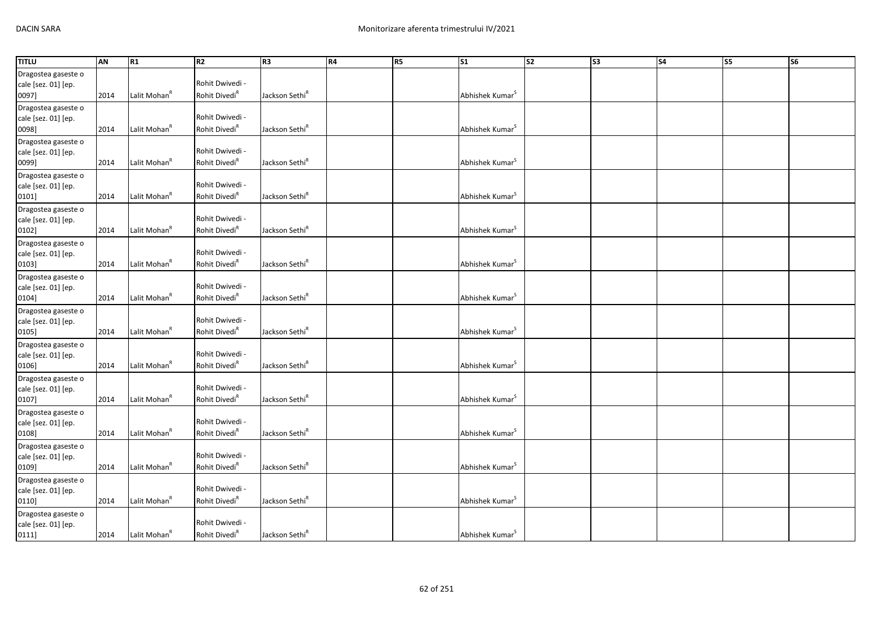| <b>TITLU</b>                                        | AN   | R1                       | R <sub>2</sub>                               | R <sub>3</sub>             | R4 | R5 | S <sub>1</sub>              | s <sub>2</sub> | $\overline{\text{S3}}$ | $\overline{\mathsf{S4}}$ | S5 | S6 |
|-----------------------------------------------------|------|--------------------------|----------------------------------------------|----------------------------|----|----|-----------------------------|----------------|------------------------|--------------------------|----|----|
| Dragostea gaseste o<br>cale [sez. 01] [ep.<br>0097] | 2014 | Lalit Mohan <sup>R</sup> | Rohit Dwivedi -<br>Rohit Divedi <sup>R</sup> | Jackson Sethi <sup>R</sup> |    |    | Abhishek Kumar <sup>S</sup> |                |                        |                          |    |    |
| Dragostea gaseste o<br>cale [sez. 01] [ep.<br>0098] | 2014 | Lalit Mohan <sup>R</sup> | Rohit Dwivedi -<br>Rohit Divedi <sup>R</sup> | Jackson Sethi <sup>R</sup> |    |    | Abhishek Kumar <sup>S</sup> |                |                        |                          |    |    |
| Dragostea gaseste o<br>cale [sez. 01] [ep.<br>0099] | 2014 | Lalit Mohan <sup>R</sup> | Rohit Dwivedi -<br>Rohit Divedi <sup>R</sup> | Jackson Sethi <sup>R</sup> |    |    | Abhishek Kumar <sup>S</sup> |                |                        |                          |    |    |
| Dragostea gaseste o<br>cale [sez. 01] [ep.<br>0101] | 2014 | Lalit Mohan <sup>R</sup> | Rohit Dwivedi -<br>Rohit Divedi <sup>R</sup> | Jackson Sethi <sup>R</sup> |    |    | Abhishek Kumar <sup>S</sup> |                |                        |                          |    |    |
| Dragostea gaseste o<br>cale [sez. 01] [ep.<br>0102] | 2014 | Lalit Mohan <sup>R</sup> | Rohit Dwivedi -<br>Rohit Divedi <sup>R</sup> | Jackson Sethi <sup>R</sup> |    |    | Abhishek Kumar <sup>S</sup> |                |                        |                          |    |    |
| Dragostea gaseste o<br>cale [sez. 01] [ep.<br>0103] | 2014 | Lalit Mohan <sup>R</sup> | Rohit Dwivedi -<br>Rohit Divedi <sup>R</sup> | Jackson Sethi <sup>R</sup> |    |    | Abhishek Kumar <sup>S</sup> |                |                        |                          |    |    |
| Dragostea gaseste o<br>cale [sez. 01] [ep.<br>0104] | 2014 | Lalit Mohan <sup>R</sup> | Rohit Dwivedi -<br>Rohit Divedi <sup>R</sup> | Jackson Sethi <sup>R</sup> |    |    | Abhishek Kumar <sup>S</sup> |                |                        |                          |    |    |
| Dragostea gaseste o<br>cale [sez. 01] [ep.<br>0105] | 2014 | Lalit Mohan <sup>R</sup> | Rohit Dwivedi -<br>Rohit Divedi <sup>R</sup> | Jackson Sethi <sup>R</sup> |    |    | Abhishek Kumar <sup>S</sup> |                |                        |                          |    |    |
| Dragostea gaseste o<br>cale [sez. 01] [ep.<br>0106] | 2014 | Lalit Mohan <sup>R</sup> | Rohit Dwivedi -<br>Rohit Divedi <sup>R</sup> | Jackson Sethi <sup>R</sup> |    |    | Abhishek Kumar <sup>S</sup> |                |                        |                          |    |    |
| Dragostea gaseste o<br>cale [sez. 01] [ep.<br>0107] | 2014 | Lalit Mohan <sup>R</sup> | Rohit Dwivedi -<br>Rohit Divedi <sup>R</sup> | Jackson Sethi <sup>R</sup> |    |    | Abhishek Kumar <sup>S</sup> |                |                        |                          |    |    |
| Dragostea gaseste o<br>cale [sez. 01] [ep.<br>0108] | 2014 | Lalit Mohan <sup>R</sup> | Rohit Dwivedi -<br>Rohit Divedi <sup>R</sup> | Jackson Sethi <sup>R</sup> |    |    | Abhishek Kumar <sup>S</sup> |                |                        |                          |    |    |
| Dragostea gaseste o<br>cale [sez. 01] [ep.<br>0109] | 2014 | Lalit Mohan <sup>R</sup> | Rohit Dwivedi -<br>Rohit Divedi <sup>R</sup> | Jackson Sethi <sup>R</sup> |    |    | Abhishek Kumar <sup>S</sup> |                |                        |                          |    |    |
| Dragostea gaseste o<br>cale [sez. 01] [ep.<br>0110] | 2014 | Lalit Mohan <sup>R</sup> | Rohit Dwivedi -<br>Rohit Divedi <sup>R</sup> | Jackson Sethi <sup>R</sup> |    |    | Abhishek Kumar <sup>S</sup> |                |                        |                          |    |    |
| Dragostea gaseste o<br>cale [sez. 01] [ep.<br>0111] | 2014 | Lalit Mohan <sup>R</sup> | Rohit Dwivedi -<br>Rohit Divedi <sup>R</sup> | Jackson Sethi <sup>R</sup> |    |    | Abhishek Kumar <sup>S</sup> |                |                        |                          |    |    |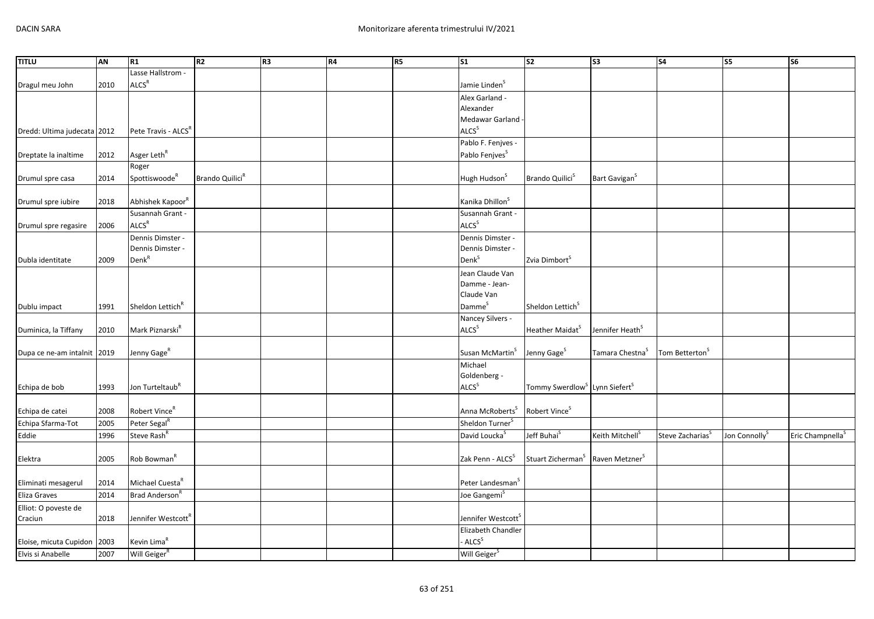| <b>TITLU</b>                | AN   | R1                              | R2                          | R3 | R4 | R5 | S <sub>1</sub>                 | s2                                                    | S <sub>3</sub>              | <b>S4</b>                  | S5                        | S6                           |
|-----------------------------|------|---------------------------------|-----------------------------|----|----|----|--------------------------------|-------------------------------------------------------|-----------------------------|----------------------------|---------------------------|------------------------------|
|                             |      | Lasse Hallstrom -               |                             |    |    |    |                                |                                                       |                             |                            |                           |                              |
| Dragul meu John             | 2010 | ALCS <sup>R</sup>               |                             |    |    |    | Jamie Linden <sup>S</sup>      |                                                       |                             |                            |                           |                              |
|                             |      |                                 |                             |    |    |    | Alex Garland -                 |                                                       |                             |                            |                           |                              |
|                             |      |                                 |                             |    |    |    | Alexander                      |                                                       |                             |                            |                           |                              |
|                             |      |                                 |                             |    |    |    | Medawar Garland                |                                                       |                             |                            |                           |                              |
| Dredd: Ultima judecata 2012 |      | Pete Travis - ALCS <sup>R</sup> |                             |    |    |    | <b>ALCS</b> <sup>S</sup>       |                                                       |                             |                            |                           |                              |
|                             |      |                                 |                             |    |    |    | Pablo F. Fenjves -             |                                                       |                             |                            |                           |                              |
| Dreptate la inaltime        | 2012 | Asger Leth <sup>R</sup>         |                             |    |    |    | Pablo Fenjves <sup>S</sup>     |                                                       |                             |                            |                           |                              |
|                             |      | Roger                           |                             |    |    |    |                                |                                                       |                             |                            |                           |                              |
| Drumul spre casa            | 2014 | Spottiswoode <sup>R</sup>       | Brando Quilici <sup>R</sup> |    |    |    | Hugh Hudson <sup>S</sup>       | Brando Quilici <sup>5</sup>                           | Bart Gavigan <sup>S</sup>   |                            |                           |                              |
|                             |      |                                 |                             |    |    |    |                                |                                                       |                             |                            |                           |                              |
| Drumul spre iubire          | 2018 | Abhishek Kapoor <sup>R</sup>    |                             |    |    |    | Kanika Dhillon <sup>S</sup>    |                                                       |                             |                            |                           |                              |
|                             |      | Susannah Grant -                |                             |    |    |    | Susannah Grant -               |                                                       |                             |                            |                           |                              |
| Drumul spre regasire        | 2006 | ALCS <sup>R</sup>               |                             |    |    |    | ALCS <sup>S</sup>              |                                                       |                             |                            |                           |                              |
|                             |      | Dennis Dimster -                |                             |    |    |    | Dennis Dimster -               |                                                       |                             |                            |                           |                              |
|                             |      | Dennis Dimster -                |                             |    |    |    | Dennis Dimster -               |                                                       |                             |                            |                           |                              |
| Dubla identitate            | 2009 | Denk <sup>R</sup>               |                             |    |    |    | Denk <sup>S</sup>              | Zvia Dimbort <sup>S</sup>                             |                             |                            |                           |                              |
|                             |      |                                 |                             |    |    |    | Jean Claude Van                |                                                       |                             |                            |                           |                              |
|                             |      |                                 |                             |    |    |    | Damme - Jean-                  |                                                       |                             |                            |                           |                              |
|                             |      |                                 |                             |    |    |    | Claude Van                     |                                                       |                             |                            |                           |                              |
| Dublu impact                | 1991 | Sheldon Lettich <sup>R</sup>    |                             |    |    |    | Damme <sup>s</sup>             | Sheldon Lettich <sup>S</sup>                          |                             |                            |                           |                              |
|                             |      |                                 |                             |    |    |    | Nancey Silvers -               |                                                       |                             |                            |                           |                              |
| Duminica, la Tiffany        | 2010 | Mark Piznarski <sup>R</sup>     |                             |    |    |    | ALCS <sup>S</sup>              | Heather Maidat <sup>S</sup>                           | Jennifer Heath <sup>5</sup> |                            |                           |                              |
|                             |      |                                 |                             |    |    |    |                                |                                                       |                             |                            |                           |                              |
| Dupa ce ne-am intalnit 2019 |      | Jenny Gage <sup>R</sup>         |                             |    |    |    | Susan McMartin <sup>S</sup>    | Jenny Gage <sup>S</sup>                               | Tamara Chestna <sup>S</sup> | Tom Betterton <sup>S</sup> |                           |                              |
|                             |      |                                 |                             |    |    |    | Michael                        |                                                       |                             |                            |                           |                              |
|                             |      |                                 |                             |    |    |    | Goldenberg -                   |                                                       |                             |                            |                           |                              |
| Echipa de bob               | 1993 | Jon Turteltaub <sup>R</sup>     |                             |    |    |    | ALCS <sup>S</sup>              | Tommy Swerdlow <sup>S</sup> Lynn Siefert <sup>S</sup> |                             |                            |                           |                              |
|                             |      |                                 |                             |    |    |    |                                |                                                       |                             |                            |                           |                              |
| Echipa de catei             | 2008 | Robert Vince <sup>R</sup>       |                             |    |    |    | Anna McRoberts <sup>S</sup>    | Robert Vince <sup>S</sup>                             |                             |                            |                           |                              |
| Echipa Sfarma-Tot           | 2005 | Peter Segal <sup>R</sup>        |                             |    |    |    | Sheldon Turner <sup>S</sup>    |                                                       |                             |                            |                           |                              |
| Eddie                       | 1996 | Steve Rash <sup>R</sup>         |                             |    |    |    | David Loucka <sup>S</sup>      | Jeff Buhai <sup>S</sup>                               | Keith Mitchell <sup>S</sup> | Steve Zacharias            | Jon Connolly <sup>S</sup> | Eric Champnella <sup>5</sup> |
|                             |      |                                 |                             |    |    |    |                                |                                                       |                             |                            |                           |                              |
| Elektra                     | 2005 | Rob Bowman <sup>R</sup>         |                             |    |    |    | Zak Penn - ALCS <sup>S</sup>   | Stuart Zicherman <sup>S</sup>                         | Raven Metzner <sup>5</sup>  |                            |                           |                              |
|                             |      |                                 |                             |    |    |    |                                |                                                       |                             |                            |                           |                              |
| Eliminati mesagerul         | 2014 | Michael Cuesta <sup>R</sup>     |                             |    |    |    | Peter Landesman <sup>5</sup>   |                                                       |                             |                            |                           |                              |
| Eliza Graves                | 2014 | Brad Anderson <sup>R</sup>      |                             |    |    |    | Joe Gangemi <sup>S</sup>       |                                                       |                             |                            |                           |                              |
| Elliot: O poveste de        |      |                                 |                             |    |    |    |                                |                                                       |                             |                            |                           |                              |
| Craciun                     | 2018 | Jennifer Westcott <sup>R</sup>  |                             |    |    |    | Jennifer Westcott <sup>S</sup> |                                                       |                             |                            |                           |                              |
|                             |      |                                 |                             |    |    |    | Elizabeth Chandler             |                                                       |                             |                            |                           |                              |
| Eloise, micuta Cupidon      | 2003 | Kevin Lima <sup>R</sup>         |                             |    |    |    | - ALCS <sup>S</sup>            |                                                       |                             |                            |                           |                              |
| Elvis si Anabelle           | 2007 | Will Geiger <sup>R</sup>        |                             |    |    |    | Will Geiger <sup>S</sup>       |                                                       |                             |                            |                           |                              |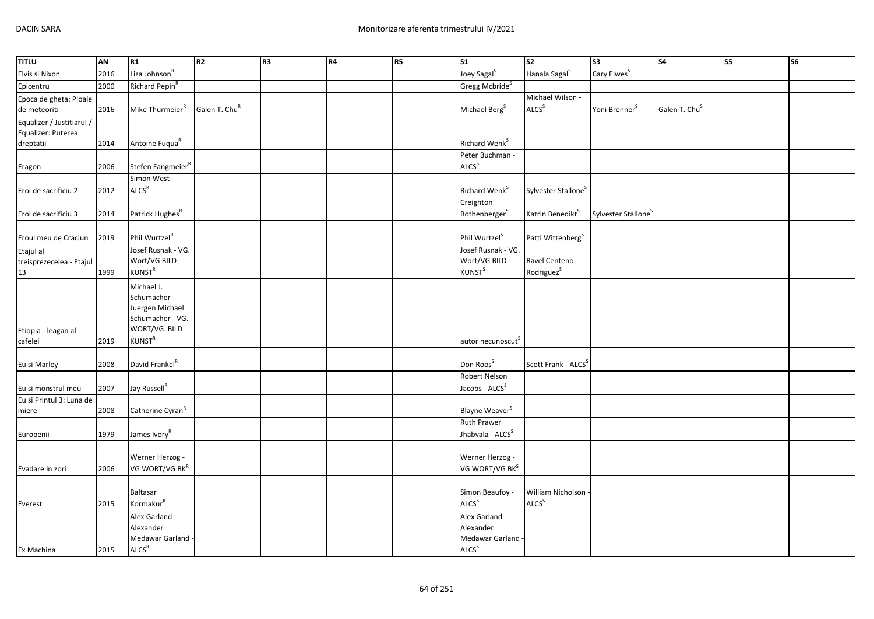| <b>TITLU</b>              | <b>AN</b> | R1                            | R <sub>2</sub>            | R <sub>3</sub> | R4 | R5 | $\overline{\text{S1}}$        | $\overline{\text{S2}}$          | $\overline{\text{S3}}$          | $\overline{\text{S4}}$    | S5 | $\overline{\text{S6}}$ |
|---------------------------|-----------|-------------------------------|---------------------------|----------------|----|----|-------------------------------|---------------------------------|---------------------------------|---------------------------|----|------------------------|
| Elvis si Nixon            | 2016      | Liza Johnson <sup>R</sup>     |                           |                |    |    | Joey Sagal <sup>S</sup>       | Hanala Sagal <sup>S</sup>       | Cary Elwes <sup>S</sup>         |                           |    |                        |
| Epicentru                 | 2000      | Richard Pepin <sup>R</sup>    |                           |                |    |    | Gregg Mcbride <sup>S</sup>    |                                 |                                 |                           |    |                        |
| Epoca de gheta: Ploaie    |           |                               |                           |                |    |    |                               | Michael Wilson -                |                                 |                           |    |                        |
| de meteoriti              | 2016      | Mike Thurmeier <sup>R</sup>   | Galen T. Chu <sup>R</sup> |                |    |    | Michael Berg <sup>S</sup>     | ALCS <sup>S</sup>               | Yoni Brenner <sup>S</sup>       | Galen T. Chu <sup>S</sup> |    |                        |
| Equalizer / Justitiarul / |           |                               |                           |                |    |    |                               |                                 |                                 |                           |    |                        |
| Equalizer: Puterea        |           |                               |                           |                |    |    |                               |                                 |                                 |                           |    |                        |
| dreptatii                 | 2014      | Antoine Fuqua <sup>R</sup>    |                           |                |    |    | Richard Wenk <sup>S</sup>     |                                 |                                 |                           |    |                        |
|                           |           |                               |                           |                |    |    | Peter Buchman -               |                                 |                                 |                           |    |                        |
| Eragon                    | 2006      | Stefen Fangmeier <sup>R</sup> |                           |                |    |    | ALCS <sup>S</sup>             |                                 |                                 |                           |    |                        |
|                           |           | Simon West -                  |                           |                |    |    |                               |                                 |                                 |                           |    |                        |
| Eroi de sacrificiu 2      | 2012      | ALCS <sup>R</sup>             |                           |                |    |    | Richard Wenk <sup>S</sup>     | Sylvester Stallone <sup>S</sup> |                                 |                           |    |                        |
|                           |           |                               |                           |                |    |    | Creighton                     |                                 |                                 |                           |    |                        |
| Eroi de sacrificiu 3      | 2014      | Patrick Hughes <sup>R</sup>   |                           |                |    |    | Rothenberger <sup>S</sup>     | Katrin Benedikt <sup>S</sup>    | Sylvester Stallone <sup>S</sup> |                           |    |                        |
|                           |           |                               |                           |                |    |    |                               |                                 |                                 |                           |    |                        |
| Eroul meu de Craciun      | 2019      | Phil Wurtzel <sup>R</sup>     |                           |                |    |    | Phil Wurtzel <sup>S</sup>     | Patti Wittenberg <sup>S</sup>   |                                 |                           |    |                        |
| Etajul al                 |           | Josef Rusnak - VG.            |                           |                |    |    | Josef Rusnak - VG.            |                                 |                                 |                           |    |                        |
| treisprezecelea - Etajul  |           | Wort/VG BILD-                 |                           |                |    |    | Wort/VG BILD-                 | Ravel Centeno-                  |                                 |                           |    |                        |
| 13                        | 1999      | <b>KUNST<sup>R</sup></b>      |                           |                |    |    | <b>KUNST</b> <sup>S</sup>     | Rodriguez <sup>S</sup>          |                                 |                           |    |                        |
|                           |           | Michael J.                    |                           |                |    |    |                               |                                 |                                 |                           |    |                        |
|                           |           | Schumacher -                  |                           |                |    |    |                               |                                 |                                 |                           |    |                        |
|                           |           | Juergen Michael               |                           |                |    |    |                               |                                 |                                 |                           |    |                        |
|                           |           | Schumacher - VG.              |                           |                |    |    |                               |                                 |                                 |                           |    |                        |
| Etiopia - leagan al       |           | WORT/VG. BILD                 |                           |                |    |    |                               |                                 |                                 |                           |    |                        |
| cafelei                   | 2019      | KUNST <sup>R</sup>            |                           |                |    |    | autor necunoscut <sup>5</sup> |                                 |                                 |                           |    |                        |
|                           |           |                               |                           |                |    |    |                               |                                 |                                 |                           |    |                        |
| Eu si Marley              | 2008      | David Frankel <sup>R</sup>    |                           |                |    |    | Don Roos <sup>S</sup>         | Scott Frank - ALCS <sup>S</sup> |                                 |                           |    |                        |
|                           |           |                               |                           |                |    |    | Robert Nelson                 |                                 |                                 |                           |    |                        |
| Eu si monstrul meu        | 2007      | Jay Russell <sup>R</sup>      |                           |                |    |    | Jacobs - ALCS <sup>S</sup>    |                                 |                                 |                           |    |                        |
| Eu si Printul 3: Luna de  |           |                               |                           |                |    |    |                               |                                 |                                 |                           |    |                        |
| miere                     | 2008      | Catherine Cyran <sup>R</sup>  |                           |                |    |    | Blayne Weaver <sup>S</sup>    |                                 |                                 |                           |    |                        |
|                           |           |                               |                           |                |    |    | <b>Ruth Prawer</b>            |                                 |                                 |                           |    |                        |
| Europenii                 | 1979      | James Ivory <sup>R</sup>      |                           |                |    |    | Jhabvala - ALCS <sup>S</sup>  |                                 |                                 |                           |    |                        |
|                           |           |                               |                           |                |    |    |                               |                                 |                                 |                           |    |                        |
|                           |           | Werner Herzog -               |                           |                |    |    | Werner Herzog -               |                                 |                                 |                           |    |                        |
| Evadare in zori           | 2006      | VG WORT/VG BKR                |                           |                |    |    | VG WORT/VG BK <sup>S</sup>    |                                 |                                 |                           |    |                        |
|                           |           |                               |                           |                |    |    |                               |                                 |                                 |                           |    |                        |
|                           |           | <b>Baltasar</b>               |                           |                |    |    | Simon Beaufoy -               | William Nicholson               |                                 |                           |    |                        |
| Everest                   | 2015      | Kormakur <sup>R</sup>         |                           |                |    |    | ALCS <sup>S</sup>             | <b>ALCS</b> <sup>S</sup>        |                                 |                           |    |                        |
|                           |           | Alex Garland -                |                           |                |    |    | Alex Garland -                |                                 |                                 |                           |    |                        |
|                           |           | Alexander                     |                           |                |    |    | Alexander                     |                                 |                                 |                           |    |                        |
|                           |           | Medawar Garland -             |                           |                |    |    | Medawar Garland               |                                 |                                 |                           |    |                        |
| Ex Machina                | 2015      | ALCS <sup>R</sup>             |                           |                |    |    | ALCS <sup>S</sup>             |                                 |                                 |                           |    |                        |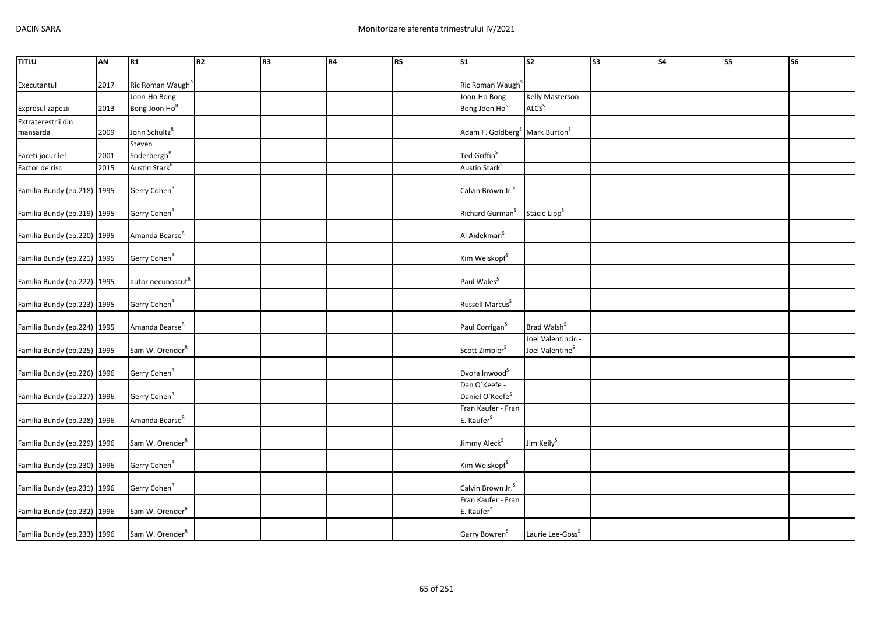| <b>TITLU</b>                | AN   | R1                            | R <sub>2</sub> | R <sub>3</sub> | R4 | R5 | S <sub>1</sub>                                         | S <sub>2</sub>               | <b>S3</b> | S <sub>4</sub> | S5 | S6 |
|-----------------------------|------|-------------------------------|----------------|----------------|----|----|--------------------------------------------------------|------------------------------|-----------|----------------|----|----|
|                             |      |                               |                |                |    |    |                                                        |                              |           |                |    |    |
| Executantul                 | 2017 | Ric Roman Waugh <sup>R</sup>  |                |                |    |    | Ric Roman Waugh <sup>S</sup>                           |                              |           |                |    |    |
|                             |      | Joon-Ho Bong -                |                |                |    |    | Joon-Ho Bong -                                         | Kelly Masterson -            |           |                |    |    |
| Expresul zapezii            | 2013 | Bong Joon Ho <sup>R</sup>     |                |                |    |    | Bong Joon Ho <sup>S</sup>                              | ALCS <sup>S</sup>            |           |                |    |    |
| Extraterestrii din          |      |                               |                |                |    |    |                                                        |                              |           |                |    |    |
| mansarda                    | 2009 | John Schultz <sup>R</sup>     |                |                |    |    | Adam F. Goldberg <sup>S</sup> Mark Burton <sup>S</sup> |                              |           |                |    |    |
|                             |      | Steven                        |                |                |    |    |                                                        |                              |           |                |    |    |
| Faceti jocurile!            | 2001 | Soderbergh <sup>R</sup>       |                |                |    |    | Ted Griffin <sup>S</sup>                               |                              |           |                |    |    |
| Factor de risc              | 2015 | Austin Stark <sup>R</sup>     |                |                |    |    | Austin Stark <sup>S</sup>                              |                              |           |                |    |    |
|                             |      |                               |                |                |    |    |                                                        |                              |           |                |    |    |
| Familia Bundy (ep.218) 1995 |      | Gerry Cohen <sup>R</sup>      |                |                |    |    | Calvin Brown Jr. <sup>S</sup>                          |                              |           |                |    |    |
|                             |      |                               |                |                |    |    |                                                        |                              |           |                |    |    |
| Familia Bundy (ep.219) 1995 |      | Gerry Cohen <sup>R</sup>      |                |                |    |    | Richard Gurman <sup>S</sup>                            | Stacie Lipp <sup>S</sup>     |           |                |    |    |
|                             |      | Amanda Bearse <sup>R</sup>    |                |                |    |    | Al Aidekman <sup>S</sup>                               |                              |           |                |    |    |
| Familia Bundy (ep.220) 1995 |      |                               |                |                |    |    |                                                        |                              |           |                |    |    |
| Familia Bundy (ep.221) 1995 |      | Gerry Cohen <sup>R</sup>      |                |                |    |    | Kim Weiskopf <sup>S</sup>                              |                              |           |                |    |    |
|                             |      |                               |                |                |    |    |                                                        |                              |           |                |    |    |
| Familia Bundy (ep.222) 1995 |      | autor necunoscut <sup>R</sup> |                |                |    |    | Paul Wales <sup>S</sup>                                |                              |           |                |    |    |
|                             |      |                               |                |                |    |    |                                                        |                              |           |                |    |    |
| Familia Bundy (ep.223) 1995 |      | Gerry Cohen <sup>R</sup>      |                |                |    |    | Russell Marcus <sup>S</sup>                            |                              |           |                |    |    |
|                             |      |                               |                |                |    |    |                                                        |                              |           |                |    |    |
| Familia Bundy (ep.224) 1995 |      | Amanda Bearse <sup>R</sup>    |                |                |    |    | Paul Corrigan <sup>S</sup>                             | Brad Walsh <sup>S</sup>      |           |                |    |    |
|                             |      |                               |                |                |    |    |                                                        | Joel Valentincic -           |           |                |    |    |
| Familia Bundy (ep.225) 1995 |      | Sam W. Orender <sup>R</sup>   |                |                |    |    | Scott Zimbler <sup>S</sup>                             | Joel Valentine <sup>S</sup>  |           |                |    |    |
|                             |      |                               |                |                |    |    |                                                        |                              |           |                |    |    |
| Familia Bundy (ep.226) 1996 |      | Gerry Cohen <sup>R</sup>      |                |                |    |    | Dvora Inwood <sup>S</sup>                              |                              |           |                |    |    |
|                             |      |                               |                |                |    |    | Dan O'Keefe -                                          |                              |           |                |    |    |
| Familia Bundy (ep.227) 1996 |      | Gerry Cohen <sup>R</sup>      |                |                |    |    | Daniel O'Keefe <sup>S</sup>                            |                              |           |                |    |    |
|                             |      |                               |                |                |    |    | Fran Kaufer - Fran                                     |                              |           |                |    |    |
| Familia Bundy (ep.228) 1996 |      | Amanda Bearse <sup>R</sup>    |                |                |    |    | E. Kaufer <sup>S</sup>                                 |                              |           |                |    |    |
|                             |      |                               |                |                |    |    |                                                        |                              |           |                |    |    |
| Familia Bundy (ep.229) 1996 |      | Sam W. Orender <sup>R</sup>   |                |                |    |    | Jimmy Aleck <sup>S</sup>                               | Jim Keily <sup>S</sup>       |           |                |    |    |
| Familia Bundy (ep.230) 1996 |      | Gerry Cohen <sup>R</sup>      |                |                |    |    | Kim Weiskopf <sup>S</sup>                              |                              |           |                |    |    |
|                             |      |                               |                |                |    |    |                                                        |                              |           |                |    |    |
| Familia Bundy (ep.231) 1996 |      | Gerry Cohen <sup>R</sup>      |                |                |    |    | Calvin Brown Jr. <sup>S</sup>                          |                              |           |                |    |    |
|                             |      |                               |                |                |    |    | Fran Kaufer - Fran                                     |                              |           |                |    |    |
| Familia Bundy (ep.232) 1996 |      | Sam W. Orender <sup>R</sup>   |                |                |    |    | E. Kaufer <sup>S</sup>                                 |                              |           |                |    |    |
|                             |      |                               |                |                |    |    |                                                        |                              |           |                |    |    |
| Familia Bundy (ep.233) 1996 |      | Sam W. Orender <sup>R</sup>   |                |                |    |    | Garry Bowren <sup>S</sup>                              | Laurie Lee-Goss <sup>S</sup> |           |                |    |    |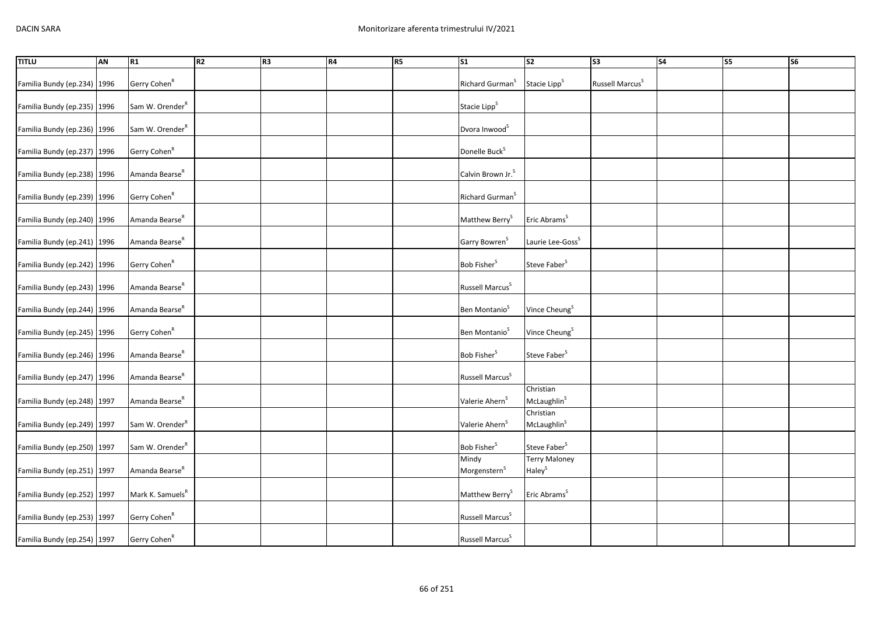| <b>TITLU</b>                | <b>AN</b> | R1                           | R <sub>2</sub> | R <sub>3</sub> | R4 | R <sub>5</sub> | $\overline{\text{S1}}$            | $\overline{\text{S2}}$                     | $\overline{\text{S3}}$      | S <sub>4</sub> | <b>S5</b> | $\overline{\text{S6}}$ |
|-----------------------------|-----------|------------------------------|----------------|----------------|----|----------------|-----------------------------------|--------------------------------------------|-----------------------------|----------------|-----------|------------------------|
| Familia Bundy (ep.234) 1996 |           | Gerry Cohen <sup>R</sup>     |                |                |    |                | Richard Gurman <sup>S</sup>       | Stacie Lipp <sup>S</sup>                   | Russell Marcus <sup>S</sup> |                |           |                        |
| Familia Bundy (ep.235) 1996 |           | Sam W. Orender <sup>R</sup>  |                |                |    |                | Stacie Lipp <sup>S</sup>          |                                            |                             |                |           |                        |
| Familia Bundy (ep.236) 1996 |           | Sam W. Orender <sup>R</sup>  |                |                |    |                | Dvora Inwood <sup>S</sup>         |                                            |                             |                |           |                        |
| Familia Bundy (ep.237) 1996 |           | Gerry Cohen <sup>R</sup>     |                |                |    |                | Donelle Buck <sup>S</sup>         |                                            |                             |                |           |                        |
| Familia Bundy (ep.238) 1996 |           | Amanda Bearse <sup>R</sup>   |                |                |    |                | Calvin Brown Jr. <sup>S</sup>     |                                            |                             |                |           |                        |
| Familia Bundy (ep.239) 1996 |           | Gerry Cohen <sup>R</sup>     |                |                |    |                | Richard Gurman <sup>S</sup>       |                                            |                             |                |           |                        |
| Familia Bundy (ep.240) 1996 |           | Amanda Bearse <sup>R</sup>   |                |                |    |                | Matthew Berry <sup>S</sup>        | Eric Abrams <sup>S</sup>                   |                             |                |           |                        |
| Familia Bundy (ep.241) 1996 |           | Amanda Bearse <sup>R</sup>   |                |                |    |                | Garry Bowren <sup>S</sup>         | Laurie Lee-Goss <sup>S</sup>               |                             |                |           |                        |
| Familia Bundy (ep.242) 1996 |           | Gerry Cohen <sup>R</sup>     |                |                |    |                | Bob Fisher <sup>S</sup>           | Steve Faber <sup>S</sup>                   |                             |                |           |                        |
| Familia Bundy (ep.243) 1996 |           | Amanda Bearse <sup>R</sup>   |                |                |    |                | Russell Marcus <sup>S</sup>       |                                            |                             |                |           |                        |
| Familia Bundy (ep.244) 1996 |           | Amanda Bearse <sup>R</sup>   |                |                |    |                | Ben Montanio <sup>S</sup>         | Vince Cheung <sup>S</sup>                  |                             |                |           |                        |
| Familia Bundy (ep.245) 1996 |           | Gerry Cohen <sup>R</sup>     |                |                |    |                | Ben Montanio <sup>S</sup>         | Vince Cheung <sup>S</sup>                  |                             |                |           |                        |
| Familia Bundy (ep.246) 1996 |           | Amanda Bearse <sup>R</sup>   |                |                |    |                | Bob Fisher <sup>S</sup>           | Steve Faber <sup>S</sup>                   |                             |                |           |                        |
| Familia Bundy (ep.247) 1996 |           | Amanda Bearse <sup>R</sup>   |                |                |    |                | Russell Marcus <sup>S</sup>       |                                            |                             |                |           |                        |
| Familia Bundy (ep.248) 1997 |           | Amanda Bearse <sup>R</sup>   |                |                |    |                | Valerie Ahern <sup>S</sup>        | Christian<br>McLaughlin <sup>S</sup>       |                             |                |           |                        |
| Familia Bundy (ep.249) 1997 |           | Sam W. Orender <sup>R</sup>  |                |                |    |                | Valerie Ahern <sup>S</sup>        | Christian<br>McLaughlin <sup>S</sup>       |                             |                |           |                        |
| Familia Bundy (ep.250) 1997 |           | Sam W. Orender <sup>R</sup>  |                |                |    |                | Bob Fisher <sup>S</sup>           | Steve Faber <sup>S</sup>                   |                             |                |           |                        |
| Familia Bundy (ep.251) 1997 |           | Amanda Bearse <sup>R</sup>   |                |                |    |                | Mindy<br>Morgenstern <sup>S</sup> | <b>Terry Maloney</b><br>Haley <sup>S</sup> |                             |                |           |                        |
| Familia Bundy (ep.252) 1997 |           | Mark K. Samuels <sup>R</sup> |                |                |    |                | Matthew Berry <sup>S</sup>        | Eric Abrams <sup>S</sup>                   |                             |                |           |                        |
| Familia Bundy (ep.253) 1997 |           | Gerry Cohen <sup>R</sup>     |                |                |    |                | Russell Marcus <sup>S</sup>       |                                            |                             |                |           |                        |
| Familia Bundy (ep.254) 1997 |           | Gerry Cohen <sup>R</sup>     |                |                |    |                | Russell Marcus <sup>S</sup>       |                                            |                             |                |           |                        |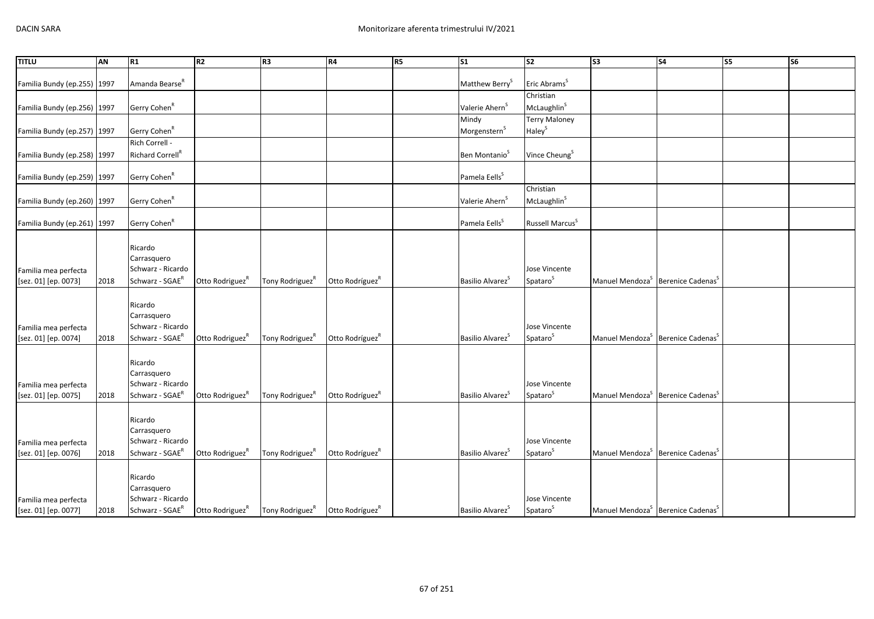| <b>TITLU</b>                | <b>AN</b> | R1                           | R <sub>2</sub>              | R <sub>3</sub>              | R4                          | R <sub>5</sub> | $\overline{\text{S1}}$       | s <sub>2</sub>              | $\overline{\text{S3}}$                                    | <b>S4</b>                                                 | $\overline{\text{S}}$ | <b>S6</b> |
|-----------------------------|-----------|------------------------------|-----------------------------|-----------------------------|-----------------------------|----------------|------------------------------|-----------------------------|-----------------------------------------------------------|-----------------------------------------------------------|-----------------------|-----------|
|                             |           |                              |                             |                             |                             |                |                              |                             |                                                           |                                                           |                       |           |
| Familia Bundy (ep.255) 1997 |           | Amanda Bearse <sup>R</sup>   |                             |                             |                             |                | Matthew Berry <sup>S</sup>   | Eric Abrams <sup>S</sup>    |                                                           |                                                           |                       |           |
|                             |           |                              |                             |                             |                             |                |                              | Christian                   |                                                           |                                                           |                       |           |
| Familia Bundy (ep.256) 1997 |           | Gerry Cohen <sup>R</sup>     |                             |                             |                             |                | Valerie Ahern <sup>5</sup>   | McLaughlin <sup>S</sup>     |                                                           |                                                           |                       |           |
|                             |           |                              |                             |                             |                             |                | Mindy                        | <b>Terry Maloney</b>        |                                                           |                                                           |                       |           |
| Familia Bundy (ep.257) 1997 |           | Gerry Cohen <sup>R</sup>     |                             |                             |                             |                | Morgenstern <sup>S</sup>     | Haley <sup>S</sup>          |                                                           |                                                           |                       |           |
|                             |           | Rich Correll -               |                             |                             |                             |                |                              |                             |                                                           |                                                           |                       |           |
| Familia Bundy (ep.258) 1997 |           | Richard Correll <sup>R</sup> |                             |                             |                             |                | Ben Montanio <sup>S</sup>    | Vince Cheung <sup>S</sup>   |                                                           |                                                           |                       |           |
|                             |           |                              |                             |                             |                             |                |                              |                             |                                                           |                                                           |                       |           |
| Familia Bundy (ep.259) 1997 |           | Gerry Cohen <sup>R</sup>     |                             |                             |                             |                | Pamela Eells <sup>S</sup>    |                             |                                                           |                                                           |                       |           |
|                             |           |                              |                             |                             |                             |                |                              | Christian                   |                                                           |                                                           |                       |           |
| Familia Bundy (ep.260) 1997 |           | Gerry Cohen <sup>R</sup>     |                             |                             |                             |                | Valerie Ahern <sup>S</sup>   | McLaughlin <sup>S</sup>     |                                                           |                                                           |                       |           |
|                             |           |                              |                             |                             |                             |                |                              |                             |                                                           |                                                           |                       |           |
| Familia Bundy (ep.261) 1997 |           | Gerry Cohen <sup>R</sup>     |                             |                             |                             |                | Pamela Eells <sup>S</sup>    | Russell Marcus <sup>S</sup> |                                                           |                                                           |                       |           |
|                             |           |                              |                             |                             |                             |                |                              |                             |                                                           |                                                           |                       |           |
|                             |           | Ricardo                      |                             |                             |                             |                |                              |                             |                                                           |                                                           |                       |           |
|                             |           | Carrasquero                  |                             |                             |                             |                |                              |                             |                                                           |                                                           |                       |           |
| Familia mea perfecta        |           | Schwarz - Ricardo            |                             |                             |                             |                |                              | Jose Vincente               |                                                           |                                                           |                       |           |
| [sez. 01] [ep. 0073]        | 2018      | Schwarz - SGAE <sup>R</sup>  | Otto Rodriguez <sup>R</sup> | Tony Rodriguez <sup>R</sup> | Otto Rodríguez <sup>R</sup> |                | Basilio Alvarez <sup>S</sup> | Spataro <sup>S</sup>        |                                                           | Manuel Mendoza <sup>S</sup> Berenice Cadenas <sup>S</sup> |                       |           |
|                             |           |                              |                             |                             |                             |                |                              |                             |                                                           |                                                           |                       |           |
|                             |           | Ricardo                      |                             |                             |                             |                |                              |                             |                                                           |                                                           |                       |           |
|                             |           | Carrasquero                  |                             |                             |                             |                |                              |                             |                                                           |                                                           |                       |           |
| Familia mea perfecta        |           | Schwarz - Ricardo            |                             |                             |                             |                |                              | Jose Vincente               |                                                           |                                                           |                       |           |
| [sez. 01] [ep. 0074]        | 2018      | Schwarz - SGAE <sup>R</sup>  | Otto Rodriguez <sup>R</sup> | Tony Rodriguez <sup>R</sup> | Otto Rodríguez <sup>R</sup> |                | Basilio Alvarez <sup>5</sup> | Spataro <sup>S</sup>        |                                                           | Manuel Mendoza <sup>S</sup> Berenice Cadenas <sup>S</sup> |                       |           |
|                             |           |                              |                             |                             |                             |                |                              |                             |                                                           |                                                           |                       |           |
|                             |           | Ricardo                      |                             |                             |                             |                |                              |                             |                                                           |                                                           |                       |           |
|                             |           | Carrasquero                  |                             |                             |                             |                |                              |                             |                                                           |                                                           |                       |           |
| Familia mea perfecta        |           | Schwarz - Ricardo            |                             |                             |                             |                |                              | Jose Vincente               |                                                           |                                                           |                       |           |
| [sez. 01] [ep. 0075]        | 2018      | Schwarz - SGAE <sup>R</sup>  | Otto Rodriguez <sup>R</sup> | Tony Rodriguez <sup>R</sup> | Otto Rodríguez <sup>R</sup> |                | Basilio Alvarez <sup>S</sup> | Spataro <sup>S</sup>        |                                                           | Manuel Mendoza <sup>S</sup> Berenice Cadenas <sup>S</sup> |                       |           |
|                             |           |                              |                             |                             |                             |                |                              |                             |                                                           |                                                           |                       |           |
|                             |           | Ricardo                      |                             |                             |                             |                |                              |                             |                                                           |                                                           |                       |           |
|                             |           | Carrasquero                  |                             |                             |                             |                |                              |                             |                                                           |                                                           |                       |           |
| Familia mea perfecta        |           | Schwarz - Ricardo            |                             |                             |                             |                |                              | Jose Vincente               |                                                           |                                                           |                       |           |
| [sez. 01] [ep. 0076]        | 2018      | Schwarz - SGAE <sup>R</sup>  | Otto Rodriguez <sup>R</sup> | Tony Rodriguez <sup>R</sup> | Otto Rodríguez <sup>R</sup> |                | Basilio Alvarez <sup>S</sup> | Spataro <sup>S</sup>        |                                                           | Manuel Mendoza <sup>S</sup> Berenice Cadenas <sup>S</sup> |                       |           |
|                             |           |                              |                             |                             |                             |                |                              |                             |                                                           |                                                           |                       |           |
|                             |           | Ricardo                      |                             |                             |                             |                |                              |                             |                                                           |                                                           |                       |           |
|                             |           | Carrasquero                  |                             |                             |                             |                |                              |                             |                                                           |                                                           |                       |           |
| Familia mea perfecta        |           | Schwarz - Ricardo            |                             |                             |                             |                |                              | Jose Vincente               |                                                           |                                                           |                       |           |
| [sez. 01] [ep. 0077]        | 2018      | Schwarz - SGAE <sup>R</sup>  | Otto Rodriguez <sup>R</sup> | Tony Rodriguez <sup>R</sup> | Otto Rodríguez <sup>R</sup> |                | Basilio Alvarez <sup>S</sup> | Spataro <sup>S</sup>        | Manuel Mendoza <sup>S</sup> Berenice Cadenas <sup>S</sup> |                                                           |                       |           |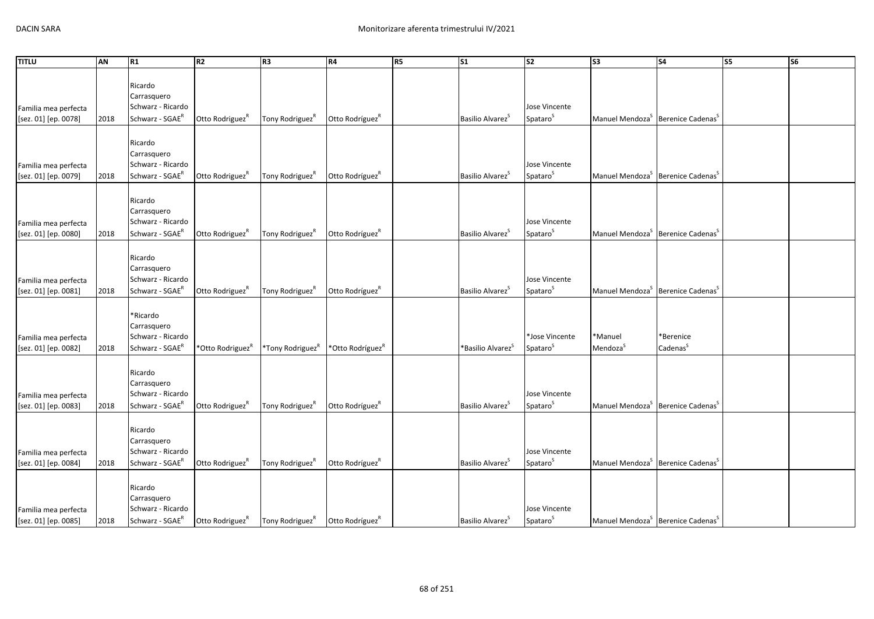| <b>TITLU</b>         | AN   | R1                | R2                           | R <sub>3</sub>               | R4                           | R <sub>5</sub> | S <sub>1</sub>                | S <sub>2</sub>       | $\overline{\text{S3}}$                                    | S <sub>4</sub>                                            | S5 | S <sub>6</sub> |
|----------------------|------|-------------------|------------------------------|------------------------------|------------------------------|----------------|-------------------------------|----------------------|-----------------------------------------------------------|-----------------------------------------------------------|----|----------------|
|                      |      |                   |                              |                              |                              |                |                               |                      |                                                           |                                                           |    |                |
|                      |      | Ricardo           |                              |                              |                              |                |                               |                      |                                                           |                                                           |    |                |
|                      |      | Carrasquero       |                              |                              |                              |                |                               |                      |                                                           |                                                           |    |                |
| Familia mea perfecta |      | Schwarz - Ricardo |                              |                              |                              |                |                               | Jose Vincente        |                                                           |                                                           |    |                |
| [sez. 01] [ep. 0078] | 2018 | Schwarz - SGAER   | Otto Rodriguez <sup>R</sup>  | Tony Rodriguez <sup>R</sup>  | Otto Rodríguez <sup>R</sup>  |                | Basilio Alvarez <sup>S</sup>  | Spataro <sup>S</sup> | Manuel Mendoza <sup>S</sup> Berenice Cadenas <sup>S</sup> |                                                           |    |                |
|                      |      |                   |                              |                              |                              |                |                               |                      |                                                           |                                                           |    |                |
|                      |      | Ricardo           |                              |                              |                              |                |                               |                      |                                                           |                                                           |    |                |
|                      |      | Carrasquero       |                              |                              |                              |                |                               |                      |                                                           |                                                           |    |                |
| Familia mea perfecta |      | Schwarz - Ricardo |                              |                              |                              |                |                               | Jose Vincente        |                                                           |                                                           |    |                |
| [sez. 01] [ep. 0079] | 2018 | Schwarz - SGAER   | Otto Rodriguez <sup>R</sup>  | Tony Rodriguez <sup>R</sup>  | Otto Rodríguez <sup>R</sup>  |                | Basilio Alvarez <sup>S</sup>  | Spataro <sup>S</sup> | Manuel Mendoza <sup>S</sup> Berenice Cadenas <sup>S</sup> |                                                           |    |                |
|                      |      |                   |                              |                              |                              |                |                               |                      |                                                           |                                                           |    |                |
|                      |      | Ricardo           |                              |                              |                              |                |                               |                      |                                                           |                                                           |    |                |
|                      |      | Carrasquero       |                              |                              |                              |                |                               |                      |                                                           |                                                           |    |                |
| Familia mea perfecta |      | Schwarz - Ricardo |                              |                              |                              |                |                               | Jose Vincente        |                                                           |                                                           |    |                |
| [sez. 01] [ep. 0080] | 2018 | Schwarz - SGAER   | Otto Rodriguez <sup>R</sup>  | Tony Rodriguez <sup>R</sup>  | Otto Rodríguez <sup>R</sup>  |                | Basilio Alvarez <sup>S</sup>  | Spataro <sup>S</sup> | Manuel Mendoza <sup>S</sup> Berenice Cadenas <sup>S</sup> |                                                           |    |                |
|                      |      |                   |                              |                              |                              |                |                               |                      |                                                           |                                                           |    |                |
|                      |      | Ricardo           |                              |                              |                              |                |                               |                      |                                                           |                                                           |    |                |
|                      |      | Carrasquero       |                              |                              |                              |                |                               |                      |                                                           |                                                           |    |                |
| Familia mea perfecta |      | Schwarz - Ricardo |                              |                              |                              |                |                               | Jose Vincente        |                                                           |                                                           |    |                |
| [sez. 01] [ep. 0081] | 2018 | Schwarz - SGAER   | Otto Rodriguez <sup>R</sup>  | Tony Rodriguez <sup>R</sup>  | Otto Rodríguez <sup>R</sup>  |                | Basilio Alvarez <sup>S</sup>  | Spataro <sup>S</sup> | Manuel Mendoza <sup>S</sup> Berenice Cadenas <sup>S</sup> |                                                           |    |                |
|                      |      |                   |                              |                              |                              |                |                               |                      |                                                           |                                                           |    |                |
|                      |      | *Ricardo          |                              |                              |                              |                |                               |                      |                                                           |                                                           |    |                |
|                      |      | Carrasquero       |                              |                              |                              |                |                               |                      |                                                           |                                                           |    |                |
| Familia mea perfecta |      | Schwarz - Ricardo |                              |                              |                              |                |                               | *Jose Vincente       | *Manuel                                                   | *Berenice                                                 |    |                |
| [sez. 01] [ep. 0082] | 2018 | Schwarz - SGAER   | *Otto Rodriguez <sup>R</sup> | *Tony Rodriguez <sup>R</sup> | *Otto Rodríguez <sup>R</sup> |                | *Basilio Alvarez <sup>S</sup> | Spataro <sup>S</sup> | Mendoza <sup>S</sup>                                      | Cadenas <sup>S</sup>                                      |    |                |
|                      |      |                   |                              |                              |                              |                |                               |                      |                                                           |                                                           |    |                |
|                      |      | Ricardo           |                              |                              |                              |                |                               |                      |                                                           |                                                           |    |                |
|                      |      | Carrasquero       |                              |                              |                              |                |                               |                      |                                                           |                                                           |    |                |
| Familia mea perfecta |      | Schwarz - Ricardo |                              |                              |                              |                |                               | Jose Vincente        |                                                           |                                                           |    |                |
| [sez. 01] [ep. 0083] | 2018 | Schwarz - SGAER   | Otto Rodriguez <sup>R</sup>  | Tony Rodriguez <sup>K</sup>  | Otto Rodríguez <sup>R</sup>  |                | Basilio Alvarez <sup>5</sup>  | Spataro <sup>S</sup> | Manuel Mendoza <sup>S</sup> Berenice Cadenas <sup>S</sup> |                                                           |    |                |
|                      |      |                   |                              |                              |                              |                |                               |                      |                                                           |                                                           |    |                |
|                      |      | Ricardo           |                              |                              |                              |                |                               |                      |                                                           |                                                           |    |                |
|                      |      | Carrasquero       |                              |                              |                              |                |                               |                      |                                                           |                                                           |    |                |
| Familia mea perfecta |      | Schwarz - Ricardo |                              |                              |                              |                |                               | Jose Vincente        |                                                           |                                                           |    |                |
| [sez. 01] [ep. 0084] | 2018 | $Schwarz - SGAER$ | Otto Rodriguez <sup>R</sup>  | Tony Rodriguez <sup>K</sup>  | Otto Rodríguez <sup>R</sup>  |                | Basilio Alvarez <sup>S</sup>  | Spataro <sup>S</sup> |                                                           | Manuel Mendoza <sup>S</sup> Berenice Cadenas <sup>S</sup> |    |                |
|                      |      |                   |                              |                              |                              |                |                               |                      |                                                           |                                                           |    |                |
|                      |      | Ricardo           |                              |                              |                              |                |                               |                      |                                                           |                                                           |    |                |
|                      |      | Carrasquero       |                              |                              |                              |                |                               |                      |                                                           |                                                           |    |                |
| Familia mea perfecta |      | Schwarz - Ricardo |                              |                              |                              |                |                               | Jose Vincente        |                                                           |                                                           |    |                |
| [sez. 01] [ep. 0085] | 2018 | Schwarz - SGAER   | Otto Rodriguez <sup>R</sup>  | Tony Rodriguez <sup>R</sup>  | Otto Rodríguez <sup>R</sup>  |                | Basilio Alvarez <sup>S</sup>  | Spataro <sup>S</sup> | Manuel Mendoza <sup>S</sup> Berenice Cadenas <sup>S</sup> |                                                           |    |                |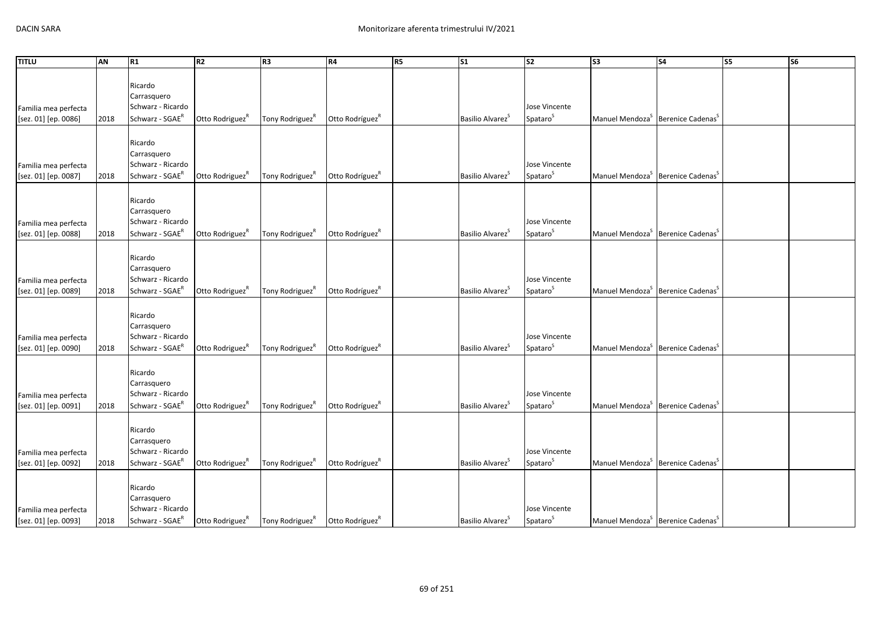| <b>TITLU</b>         | AN   | R1                               | R2                          | R <sub>3</sub>              | R4                          | R <sub>5</sub> | S <sub>1</sub>               | S <sub>2</sub>       | $\overline{\text{S3}}$                                    | S <sub>4</sub>                                            | S5 | S <sub>6</sub> |
|----------------------|------|----------------------------------|-----------------------------|-----------------------------|-----------------------------|----------------|------------------------------|----------------------|-----------------------------------------------------------|-----------------------------------------------------------|----|----------------|
|                      |      |                                  |                             |                             |                             |                |                              |                      |                                                           |                                                           |    |                |
|                      |      | Ricardo                          |                             |                             |                             |                |                              |                      |                                                           |                                                           |    |                |
|                      |      | Carrasquero                      |                             |                             |                             |                |                              |                      |                                                           |                                                           |    |                |
| Familia mea perfecta |      | Schwarz - Ricardo                |                             |                             |                             |                |                              | Jose Vincente        |                                                           |                                                           |    |                |
| [sez. 01] [ep. 0086] | 2018 | Schwarz - SGAER                  | Otto Rodriguez <sup>R</sup> | Tony Rodriguez <sup>R</sup> | Otto Rodríguez <sup>R</sup> |                | Basilio Alvarez <sup>S</sup> | Spataro <sup>S</sup> | Manuel Mendoza <sup>S</sup> Berenice Cadenas <sup>S</sup> |                                                           |    |                |
|                      |      |                                  |                             |                             |                             |                |                              |                      |                                                           |                                                           |    |                |
|                      |      | Ricardo                          |                             |                             |                             |                |                              |                      |                                                           |                                                           |    |                |
|                      |      | Carrasquero                      |                             |                             |                             |                |                              |                      |                                                           |                                                           |    |                |
| Familia mea perfecta |      | Schwarz - Ricardo                |                             |                             |                             |                |                              | Jose Vincente        |                                                           |                                                           |    |                |
| [sez. 01] [ep. 0087] | 2018 | Schwarz - SGAER                  | Otto Rodriguez <sup>R</sup> | Tony Rodriguez <sup>R</sup> | Otto Rodríguez <sup>R</sup> |                | Basilio Alvarez <sup>S</sup> | Spataro <sup>S</sup> | Manuel Mendoza <sup>S</sup> Berenice Cadenas <sup>S</sup> |                                                           |    |                |
|                      |      |                                  |                             |                             |                             |                |                              |                      |                                                           |                                                           |    |                |
|                      |      | Ricardo                          |                             |                             |                             |                |                              |                      |                                                           |                                                           |    |                |
|                      |      |                                  |                             |                             |                             |                |                              |                      |                                                           |                                                           |    |                |
|                      |      | Carrasquero<br>Schwarz - Ricardo |                             |                             |                             |                |                              | Jose Vincente        |                                                           |                                                           |    |                |
| Familia mea perfecta |      | Schwarz - SGAER                  |                             |                             |                             |                | Basilio Alvarez <sup>S</sup> |                      | Manuel Mendoza <sup>S</sup> Berenice Cadenas <sup>S</sup> |                                                           |    |                |
| [sez. 01] [ep. 0088] | 2018 |                                  | Otto Rodriguez <sup>R</sup> | Tony Rodriguez <sup>R</sup> | Otto Rodríguez <sup>R</sup> |                |                              | Spataro <sup>S</sup> |                                                           |                                                           |    |                |
|                      |      |                                  |                             |                             |                             |                |                              |                      |                                                           |                                                           |    |                |
|                      |      | Ricardo                          |                             |                             |                             |                |                              |                      |                                                           |                                                           |    |                |
|                      |      | Carrasquero                      |                             |                             |                             |                |                              |                      |                                                           |                                                           |    |                |
| Familia mea perfecta |      | Schwarz - Ricardo                |                             |                             |                             |                |                              | Jose Vincente        |                                                           |                                                           |    |                |
| [sez. 01] [ep. 0089] | 2018 | Schwarz - SGAER                  | Otto Rodriguez <sup>R</sup> | Tony Rodriguez <sup>R</sup> | Otto Rodríguez <sup>R</sup> |                | Basilio Alvarez <sup>S</sup> | Spataro <sup>S</sup> | Manuel Mendoza <sup>S</sup> Berenice Cadenas <sup>S</sup> |                                                           |    |                |
|                      |      |                                  |                             |                             |                             |                |                              |                      |                                                           |                                                           |    |                |
|                      |      | Ricardo                          |                             |                             |                             |                |                              |                      |                                                           |                                                           |    |                |
|                      |      | Carrasquero                      |                             |                             |                             |                |                              |                      |                                                           |                                                           |    |                |
| Familia mea perfecta |      | Schwarz - Ricardo                |                             |                             |                             |                |                              | Jose Vincente        |                                                           |                                                           |    |                |
| [sez. 01] [ep. 0090] | 2018 | Schwarz - SGAER                  | Otto Rodriguez <sup>R</sup> | Tony Rodriguez <sup>R</sup> | Otto Rodríguez <sup>R</sup> |                | Basilio Alvarez <sup>S</sup> | Spataro <sup>S</sup> |                                                           | Manuel Mendoza <sup>S</sup> Berenice Cadenas <sup>S</sup> |    |                |
|                      |      |                                  |                             |                             |                             |                |                              |                      |                                                           |                                                           |    |                |
|                      |      | Ricardo                          |                             |                             |                             |                |                              |                      |                                                           |                                                           |    |                |
|                      |      | Carrasquero                      |                             |                             |                             |                |                              |                      |                                                           |                                                           |    |                |
| Familia mea perfecta |      | Schwarz - Ricardo                |                             |                             |                             |                |                              | Jose Vincente        |                                                           |                                                           |    |                |
| [sez. 01] [ep. 0091] | 2018 | Schwarz - SGAER                  | Otto Rodriguez <sup>R</sup> | Tony Rodriguez <sup>K</sup> | Otto Rodríguez <sup>R</sup> |                | Basilio Alvarez <sup>5</sup> | Spataro <sup>S</sup> | Manuel Mendoza <sup>S</sup> Berenice Cadenas <sup>S</sup> |                                                           |    |                |
|                      |      |                                  |                             |                             |                             |                |                              |                      |                                                           |                                                           |    |                |
|                      |      | Ricardo                          |                             |                             |                             |                |                              |                      |                                                           |                                                           |    |                |
|                      |      | Carrasquero                      |                             |                             |                             |                |                              |                      |                                                           |                                                           |    |                |
| Familia mea perfecta |      | Schwarz - Ricardo                |                             |                             |                             |                |                              | Jose Vincente        |                                                           |                                                           |    |                |
| [sez. 01] [ep. 0092] | 2018 | Schwarz - SGAER                  | Otto Rodriguez <sup>R</sup> | Tony Rodriguez <sup>K</sup> | Otto Rodríguez <sup>R</sup> |                | Basilio Alvarez <sup>S</sup> | Spataro <sup>S</sup> |                                                           | Manuel Mendoza <sup>S</sup> Berenice Cadenas <sup>S</sup> |    |                |
|                      |      |                                  |                             |                             |                             |                |                              |                      |                                                           |                                                           |    |                |
|                      |      | Ricardo                          |                             |                             |                             |                |                              |                      |                                                           |                                                           |    |                |
|                      |      | Carrasquero                      |                             |                             |                             |                |                              |                      |                                                           |                                                           |    |                |
| Familia mea perfecta |      | Schwarz - Ricardo                |                             |                             |                             |                |                              | Jose Vincente        |                                                           |                                                           |    |                |
| [sez. 01] [ep. 0093] | 2018 | Schwarz - SGAER                  | Otto Rodriguez <sup>R</sup> | Tony Rodriguez <sup>R</sup> | Otto Rodríguez <sup>R</sup> |                | Basilio Alvarez <sup>S</sup> | Spataro <sup>S</sup> | Manuel Mendoza <sup>S</sup> Berenice Cadenas <sup>S</sup> |                                                           |    |                |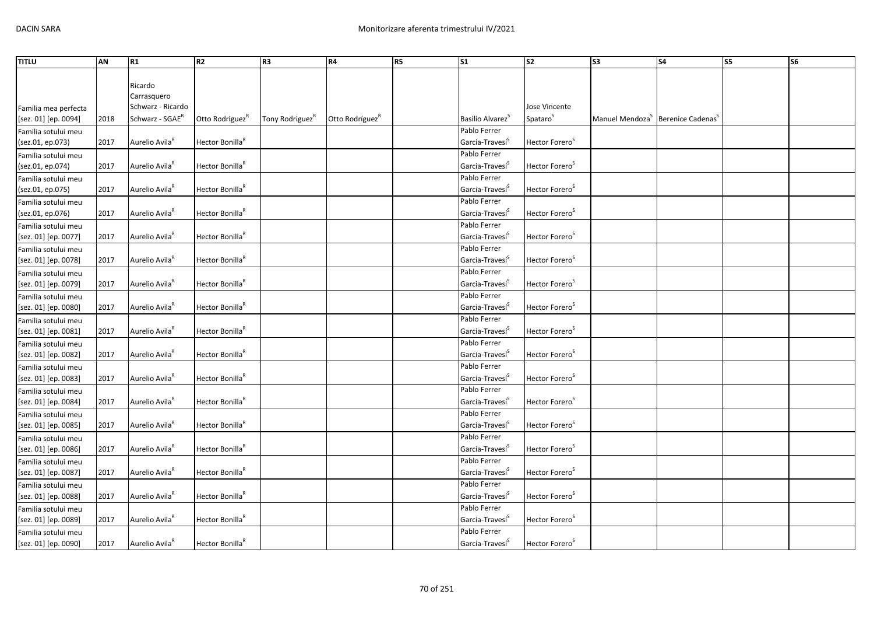| <b>TITLU</b>         | AN   | R1                          | <b>R2</b>                   | R <sub>3</sub>              | R4                          | R <sub>5</sub> | S <sub>1</sub>               | <b>S2</b>                  | S <sub>3</sub>                                            | <b>S4</b> | S5 | S6 |
|----------------------|------|-----------------------------|-----------------------------|-----------------------------|-----------------------------|----------------|------------------------------|----------------------------|-----------------------------------------------------------|-----------|----|----|
|                      |      |                             |                             |                             |                             |                |                              |                            |                                                           |           |    |    |
|                      |      | Ricardo                     |                             |                             |                             |                |                              |                            |                                                           |           |    |    |
|                      |      | Carrasquero                 |                             |                             |                             |                |                              |                            |                                                           |           |    |    |
| Familia mea perfecta |      | Schwarz - Ricardo           |                             |                             |                             |                |                              | Jose Vincente              |                                                           |           |    |    |
| [sez. 01] [ep. 0094] | 2018 | Schwarz - SGAE <sup>R</sup> | Otto Rodriguez <sup>R</sup> | Tony Rodriguez <sup>K</sup> | Otto Rodríguez <sup>K</sup> |                | Basilio Alvarez <sup>5</sup> | Spataro <sup>S</sup>       | Manuel Mendoza <sup>5</sup> Berenice Cadenas <sup>5</sup> |           |    |    |
| Familia sotului meu  |      |                             |                             |                             |                             |                | Pablo Ferrer                 |                            |                                                           |           |    |    |
| (sez.01, ep.073)     | 2017 | Aurelio Avila <sup>R</sup>  | Hector Bonilla <sup>R</sup> |                             |                             |                | Garcia-Travesí <sup>S</sup>  | Hector Forero <sup>S</sup> |                                                           |           |    |    |
| Familia sotului meu  |      |                             |                             |                             |                             |                | Pablo Ferrer                 |                            |                                                           |           |    |    |
| (sez.01, ep.074)     | 2017 | Aurelio Avila <sup>k</sup>  | Hector Bonilla <sup>R</sup> |                             |                             |                | Garcia-Travesi <sup>5</sup>  | Hector Forero <sup>5</sup> |                                                           |           |    |    |
| Familia sotului meu  |      |                             |                             |                             |                             |                | Pablo Ferrer                 |                            |                                                           |           |    |    |
| (sez.01, ep.075)     | 2017 | Aurelio Avila <sup>R</sup>  | Hector Bonilla <sup>R</sup> |                             |                             |                | Garcia-Travesi <sup>5</sup>  | Hector Forero <sup>S</sup> |                                                           |           |    |    |
| Familia sotului meu  |      |                             |                             |                             |                             |                | Pablo Ferrer                 |                            |                                                           |           |    |    |
| (sez.01, ep.076)     | 2017 | Aurelio Avila <sup>R</sup>  | Hector Bonilla <sup>R</sup> |                             |                             |                | Garcia-Travesí <sup>S</sup>  | Hector Forero <sup>S</sup> |                                                           |           |    |    |
| Familia sotului meu  |      |                             |                             |                             |                             |                | Pablo Ferrer                 |                            |                                                           |           |    |    |
| [sez. 01] [ep. 0077] | 2017 | Aurelio Avila <sup>R</sup>  | Hector Bonilla <sup>R</sup> |                             |                             |                | Garcia-Travesí <sup>3</sup>  | Hector Forero <sup>S</sup> |                                                           |           |    |    |
| Familia sotului meu  |      |                             |                             |                             |                             |                | Pablo Ferrer                 |                            |                                                           |           |    |    |
| [sez. 01] [ep. 0078] | 2017 | Aurelio Avila <sup>R</sup>  | Hector Bonilla <sup>k</sup> |                             |                             |                | Garcia-Travesi <sup>5</sup>  | Hector Forero <sup>5</sup> |                                                           |           |    |    |
| Familia sotului meu  |      |                             |                             |                             |                             |                | Pablo Ferrer                 |                            |                                                           |           |    |    |
| [sez. 01] [ep. 0079] | 2017 | Aurelio Avila <sup>R</sup>  | Hector Bonilla <sup>R</sup> |                             |                             |                | Garcia-Travesí <sup>3</sup>  | Hector Forero <sup>S</sup> |                                                           |           |    |    |
| Familia sotului meu  |      |                             |                             |                             |                             |                | Pablo Ferrer                 |                            |                                                           |           |    |    |
| [sez. 01] [ep. 0080] | 2017 | Aurelio Avila <sup>R</sup>  | Hector Bonilla <sup>R</sup> |                             |                             |                | Garcia-Travesí <sup>5</sup>  | Hector Forero <sup>5</sup> |                                                           |           |    |    |
| Familia sotului meu  |      |                             |                             |                             |                             |                | Pablo Ferrer                 |                            |                                                           |           |    |    |
| [sez. 01] [ep. 0081] | 2017 | Aurelio Avila <sup>R</sup>  | Hector Bonilla <sup>R</sup> |                             |                             |                | Garcia-Travesi <sup>5</sup>  | Hector Forero <sup>5</sup> |                                                           |           |    |    |
| Familia sotului meu  |      |                             |                             |                             |                             |                | Pablo Ferrer                 |                            |                                                           |           |    |    |
| [sez. 01] [ep. 0082] | 2017 | Aurelio Avila <sup>R</sup>  | Hector Bonilla <sup>R</sup> |                             |                             |                | Garcia-Travesi <sup>5</sup>  | Hector Forero <sup>5</sup> |                                                           |           |    |    |
| Familia sotului meu  |      |                             |                             |                             |                             |                | Pablo Ferrer                 |                            |                                                           |           |    |    |
| [sez. 01] [ep. 0083] | 2017 | Aurelio Avila <sup>R</sup>  | Hector Bonilla <sup>R</sup> |                             |                             |                | Garcia-Travesi <sup>5</sup>  | Hector Forero <sup>S</sup> |                                                           |           |    |    |
| Familia sotului meu  |      |                             |                             |                             |                             |                | Pablo Ferrer                 |                            |                                                           |           |    |    |
| [sez. 01] [ep. 0084] | 2017 | Aurelio Avila <sup>R</sup>  | Hector Bonilla <sup>R</sup> |                             |                             |                | Garcia-Travesi <sup>5</sup>  | Hector Forero <sup>5</sup> |                                                           |           |    |    |
| Familia sotului meu  |      |                             |                             |                             |                             |                | Pablo Ferrer                 |                            |                                                           |           |    |    |
| [sez. 01] [ep. 0085] | 2017 | Aurelio Avila <sup>K</sup>  | Hector Bonilla <sup>R</sup> |                             |                             |                | Garcia-Travesí <sup>5</sup>  | Hector Forero <sup>5</sup> |                                                           |           |    |    |
| Familia sotului meu  |      |                             |                             |                             |                             |                | Pablo Ferrer                 |                            |                                                           |           |    |    |
| [sez. 01] [ep. 0086] | 2017 | Aurelio Avila <sup>R</sup>  | Hector Bonilla <sup>R</sup> |                             |                             |                | Garcia-Travesi <sup>5</sup>  | Hector Forero <sup>5</sup> |                                                           |           |    |    |
| Familia sotului meu  |      |                             |                             |                             |                             |                | Pablo Ferrer                 |                            |                                                           |           |    |    |
| [sez. 01] [ep. 0087] | 2017 | Aurelio Avila <sup>k</sup>  | Hector Bonilla <sup>R</sup> |                             |                             |                | Garcia-Travesi <sup>5</sup>  | Hector Forero <sup>5</sup> |                                                           |           |    |    |
| Familia sotului meu  |      |                             |                             |                             |                             |                | Pablo Ferrer                 |                            |                                                           |           |    |    |
| [sez. 01] [ep. 0088] | 2017 | Aurelio Avila <sup>R</sup>  | Hector Bonilla <sup>R</sup> |                             |                             |                | Garcia-Travesi <sup>5</sup>  | Hector Forero <sup>5</sup> |                                                           |           |    |    |
| Familia sotului meu  |      |                             |                             |                             |                             |                | Pablo Ferrer                 |                            |                                                           |           |    |    |
| [sez. 01] [ep. 0089] | 2017 | Aurelio Avila <sup>R</sup>  | Hector Bonilla <sup>R</sup> |                             |                             |                | Garcia-Travesi <sup>5</sup>  | Hector Forero <sup>5</sup> |                                                           |           |    |    |
| Familia sotului meu  |      |                             |                             |                             |                             |                | Pablo Ferrer                 |                            |                                                           |           |    |    |
| [sez. 01] [ep. 0090] | 2017 | Aurelio Avila <sup>R</sup>  | Hector Bonilla <sup>R</sup> |                             |                             |                | Garcia-Travesí <sup>S</sup>  | Hector Forero <sup>5</sup> |                                                           |           |    |    |
|                      |      |                             |                             |                             |                             |                |                              |                            |                                                           |           |    |    |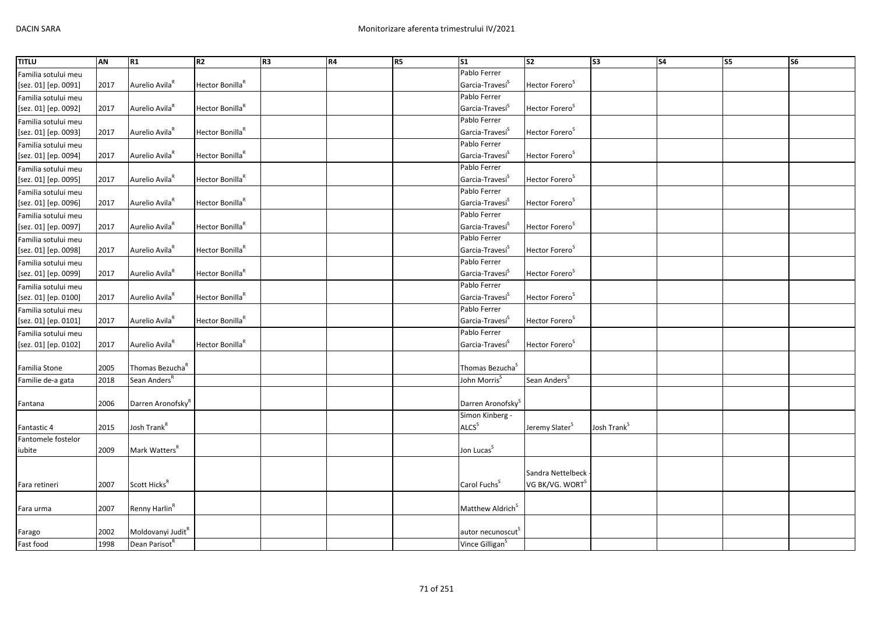| <b>TITLU</b>         | AN   | R1                            | R <sub>2</sub>              | R <sub>3</sub> | R4 | <b>R5</b> | <b>S1</b>                     | $\overline{\text{S2}}$      | $\overline{\text{S3}}$  | S <sub>4</sub> | S5 | <b>S6</b> |
|----------------------|------|-------------------------------|-----------------------------|----------------|----|-----------|-------------------------------|-----------------------------|-------------------------|----------------|----|-----------|
| Familia sotului meu  |      |                               |                             |                |    |           | Pablo Ferrer                  |                             |                         |                |    |           |
| [sez. 01] [ep. 0091] | 2017 | Aurelio Avila <sup>R</sup>    | Hector Bonilla <sup>R</sup> |                |    |           | Garcia-Travesí <sup>S</sup>   | Hector Forero <sup>S</sup>  |                         |                |    |           |
| Familia sotului meu  |      |                               |                             |                |    |           | Pablo Ferrer                  |                             |                         |                |    |           |
| [sez. 01] [ep. 0092] | 2017 | Aurelio Avila <sup>R</sup>    | Hector Bonilla <sup>R</sup> |                |    |           | Garcia-Travesí <sup>S</sup>   | Hector Forero <sup>S</sup>  |                         |                |    |           |
| Familia sotului meu  |      |                               |                             |                |    |           | Pablo Ferrer                  |                             |                         |                |    |           |
| [sez. 01] [ep. 0093] | 2017 | Aurelio Avila <sup>R</sup>    | Hector Bonilla <sup>R</sup> |                |    |           | Garcia-Travesí <sup>5</sup>   | Hector Forero <sup>S</sup>  |                         |                |    |           |
| Familia sotului meu  |      |                               |                             |                |    |           | Pablo Ferrer                  |                             |                         |                |    |           |
| [sez. 01] [ep. 0094] | 2017 | Aurelio Avila <sup>R</sup>    | Hector Bonilla <sup>R</sup> |                |    |           | Garcia-Travesí <sup>S</sup>   | Hector Forero <sup>S</sup>  |                         |                |    |           |
| Familia sotului meu  |      |                               |                             |                |    |           | Pablo Ferrer                  |                             |                         |                |    |           |
| [sez. 01] [ep. 0095] | 2017 | Aurelio Avila <sup>R</sup>    | Hector Bonilla <sup>R</sup> |                |    |           | Garcia-Travesi <sup>S</sup>   | Hector Forero <sup>S</sup>  |                         |                |    |           |
| Familia sotului meu  |      |                               |                             |                |    |           | Pablo Ferrer                  |                             |                         |                |    |           |
| [sez. 01] [ep. 0096] | 2017 | Aurelio Avila <sup>k</sup>    | Hector Bonilla <sup>R</sup> |                |    |           | Garcia-Travesí <sup>S</sup>   | Hector Forero <sup>S</sup>  |                         |                |    |           |
| Familia sotului meu  |      |                               |                             |                |    |           | Pablo Ferrer                  |                             |                         |                |    |           |
| [sez. 01] [ep. 0097] | 2017 | Aurelio Avila <sup>R</sup>    | Hector Bonilla <sup>R</sup> |                |    |           | Garcia-Travesí <sup>S</sup>   | Hector Forero <sup>S</sup>  |                         |                |    |           |
| Familia sotului meu  |      |                               |                             |                |    |           | Pablo Ferrer                  |                             |                         |                |    |           |
| [sez. 01] [ep. 0098] | 2017 | Aurelio Avila <sup>R</sup>    | Hector Bonilla <sup>R</sup> |                |    |           | Garcia-Travesí <sup>S</sup>   | Hector Forero <sup>S</sup>  |                         |                |    |           |
| Familia sotului meu  |      |                               |                             |                |    |           | Pablo Ferrer                  |                             |                         |                |    |           |
| [sez. 01] [ep. 0099] | 2017 | Aurelio Avila <sup>R</sup>    | Hector Bonilla <sup>R</sup> |                |    |           | Garcia-Travesí <sup>S</sup>   | Hector Forero <sup>S</sup>  |                         |                |    |           |
| Familia sotului meu  |      |                               |                             |                |    |           | Pablo Ferrer                  |                             |                         |                |    |           |
| [sez. 01] [ep. 0100] | 2017 | Aurelio Avila <sup>R</sup>    | Hector Bonilla <sup>R</sup> |                |    |           | Garcia-Travesi <sup>5</sup>   | Hector Forero <sup>5</sup>  |                         |                |    |           |
| Familia sotului meu  |      |                               |                             |                |    |           | Pablo Ferrer                  |                             |                         |                |    |           |
| [sez. 01] [ep. 0101] | 2017 | Aurelio Avila <sup>R</sup>    | Hector Bonilla <sup>R</sup> |                |    |           | Garcia-Travesí <sup>S</sup>   | Hector Forero <sup>S</sup>  |                         |                |    |           |
| Familia sotului meu  |      |                               |                             |                |    |           | Pablo Ferrer                  |                             |                         |                |    |           |
| [sez. 01] [ep. 0102] | 2017 | Aurelio Avila <sup>R</sup>    | Hector Bonilla <sup>R</sup> |                |    |           | Garcia-Travesi <sup>S</sup>   | Hector Forero <sup>5</sup>  |                         |                |    |           |
|                      |      |                               |                             |                |    |           |                               |                             |                         |                |    |           |
| Familia Stone        | 2005 | Thomas Bezucha <sup>R</sup>   |                             |                |    |           | Thomas Bezucha <sup>S</sup>   |                             |                         |                |    |           |
| Familie de-a gata    | 2018 | Sean Anders <sup>R</sup>      |                             |                |    |           | John Morris <sup>5</sup>      | Sean Anders <sup>S</sup>    |                         |                |    |           |
|                      |      |                               |                             |                |    |           |                               |                             |                         |                |    |           |
| Fantana              | 2006 | Darren Aronofsky <sup>R</sup> |                             |                |    |           | Darren Aronofsky <sup>S</sup> |                             |                         |                |    |           |
|                      |      |                               |                             |                |    |           | Simon Kinberg -               |                             |                         |                |    |           |
| Fantastic 4          | 2015 | Josh Trank <sup>R</sup>       |                             |                |    |           | ALCS <sup>S</sup>             | Jeremy Slater <sup>5</sup>  | Josh Trank <sup>S</sup> |                |    |           |
| Fantomele fostelor   |      |                               |                             |                |    |           |                               |                             |                         |                |    |           |
| iubite               | 2009 | Mark Watters <sup>R</sup>     |                             |                |    |           | Jon Lucas <sup>S</sup>        |                             |                         |                |    |           |
|                      |      |                               |                             |                |    |           |                               |                             |                         |                |    |           |
|                      |      |                               |                             |                |    |           |                               | Sandra Nettelbeck           |                         |                |    |           |
| Fara retineri        | 2007 | Scott Hicks <sup>R</sup>      |                             |                |    |           | Carol Fuchs <sup>S</sup>      | VG BK/VG. WORT <sup>S</sup> |                         |                |    |           |
|                      |      |                               |                             |                |    |           |                               |                             |                         |                |    |           |
| Fara urma            | 2007 | Renny Harlin <sup>R</sup>     |                             |                |    |           | Matthew Aldrich <sup>S</sup>  |                             |                         |                |    |           |
|                      |      |                               |                             |                |    |           |                               |                             |                         |                |    |           |
| Farago               | 2002 | Moldovanyi Judit <sup>R</sup> |                             |                |    |           | autor necunoscut <sup>5</sup> |                             |                         |                |    |           |
| Fast food            | 1998 | Dean Parisot <sup>R</sup>     |                             |                |    |           | Vince Gilligan <sup>S</sup>   |                             |                         |                |    |           |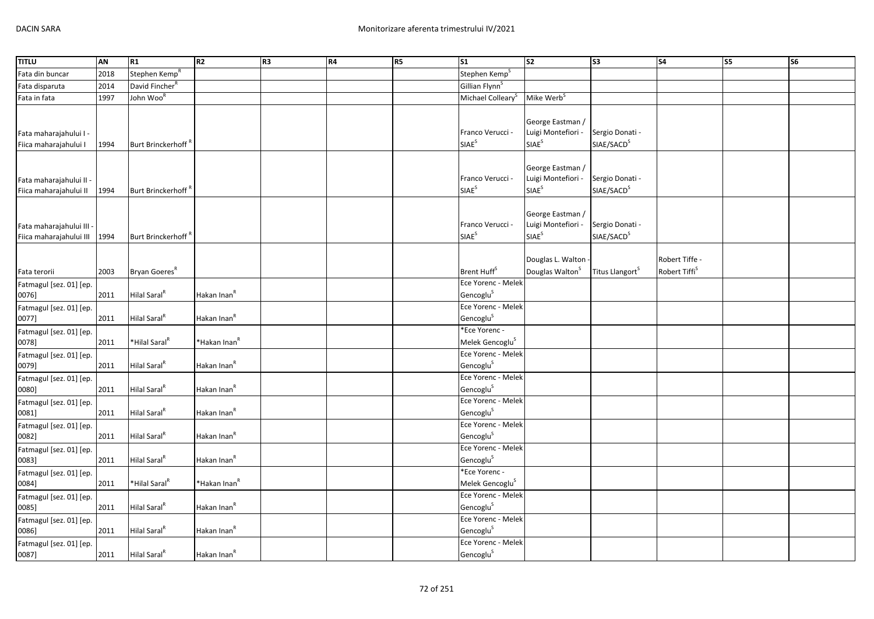| <b>TITLU</b>                                        | AN   | R1                         | R2                       | R <sub>3</sub> | <b>R4</b> | <b>R5</b> | $\overline{\text{S1}}$                       | $\overline{\text{S2}}$                                      | S <sub>3</sub>                            | <b>S4</b>                                   | S5 | S <sub>6</sub> |
|-----------------------------------------------------|------|----------------------------|--------------------------|----------------|-----------|-----------|----------------------------------------------|-------------------------------------------------------------|-------------------------------------------|---------------------------------------------|----|----------------|
| Fata din buncar                                     | 2018 | Stephen Kemp <sup>R</sup>  |                          |                |           |           | Stephen Kemp <sup>S</sup>                    |                                                             |                                           |                                             |    |                |
| Fata disparuta                                      | 2014 | David Fincher <sup>R</sup> |                          |                |           |           | Gillian Flynn <sup>S</sup>                   |                                                             |                                           |                                             |    |                |
| Fata in fata                                        | 1997 | John Woo <sup>R</sup>      |                          |                |           |           | Michael Colleary <sup>S</sup>                | Mike Werb <sup>S</sup>                                      |                                           |                                             |    |                |
| Fata maharajahului I -<br>Fiica maharajahului I     | 1994 | Burt Brinckerhoff          |                          |                |           |           | Franco Verucci -<br>SIAE <sup>S</sup>        | George Eastman /<br>Luigi Montefiori -<br>SIAE <sup>S</sup> | Sergio Donati -<br>SIAE/SACD <sup>S</sup> |                                             |    |                |
| Fata maharajahului II -<br>Fiica maharajahului II   | 1994 | Burt Brinckerhoff          |                          |                |           |           | Franco Verucci -<br>SIAE <sup>S</sup>        | George Eastman /<br>Luigi Montefiori -<br>SIAE <sup>S</sup> | Sergio Donati -<br>SIAE/SACD <sup>S</sup> |                                             |    |                |
| Fata maharajahului III -<br>Fiica maharajahului III | 1994 | Burt Brinckerhoff          |                          |                |           |           | Franco Verucci -<br>SIAE <sup>S</sup>        | George Eastman /<br>Luigi Montefiori -<br>SIAE <sup>S</sup> | Sergio Donati -<br>SIAE/SACD <sup>S</sup> |                                             |    |                |
| Fata terorii                                        | 2003 | Bryan Goeres <sup>R</sup>  |                          |                |           |           | Brent Huff <sup>S</sup>                      | Douglas L. Walton<br>Douglas Walton <sup>S</sup>            | Titus Llangort <sup>S</sup>               | Robert Tiffe -<br>Robert Tiffi <sup>S</sup> |    |                |
| Fatmagul [sez. 01] [ep.<br>0076]                    | 2011 | Hilal Saral <sup>R</sup>   | Hakan Inan <sup>R</sup>  |                |           |           | Ece Yorenc - Melek<br>Gencoglu <sup>S</sup>  |                                                             |                                           |                                             |    |                |
| Fatmagul [sez. 01] [ep.<br>0077]                    | 2011 | Hilal Saral <sup>R</sup>   | Hakan Inan <sup>R</sup>  |                |           |           | Ece Yorenc - Melek<br>Gencoglu <sup>S</sup>  |                                                             |                                           |                                             |    |                |
| Fatmagul [sez. 01] [ep.<br>0078]                    | 2011 | *Hilal Saral <sup>R</sup>  | *Hakan Inan <sup>R</sup> |                |           |           | *Ece Yorenc -<br>Melek Gencoglu <sup>S</sup> |                                                             |                                           |                                             |    |                |
| Fatmagul [sez. 01] [ep.<br>0079]                    | 2011 | Hilal Saral <sup>R</sup>   | Hakan Inan <sup>R</sup>  |                |           |           | Ece Yorenc - Melek<br>Gencoglu <sup>S</sup>  |                                                             |                                           |                                             |    |                |
| Fatmagul [sez. 01] [ep.<br>0080]                    | 2011 | Hilal Saral <sup>R</sup>   | Hakan Inan <sup>R</sup>  |                |           |           | Ece Yorenc - Melek<br>Gencoglu <sup>S</sup>  |                                                             |                                           |                                             |    |                |
| Fatmagul [sez. 01] [ep.<br>0081]                    | 2011 | Hilal Saral <sup>R</sup>   | Hakan Inan <sup>R</sup>  |                |           |           | Ece Yorenc - Melek<br>Gencoglu <sup>S</sup>  |                                                             |                                           |                                             |    |                |
| Fatmagul [sez. 01] [ep.<br>0082]                    | 2011 | Hilal Saral <sup>R</sup>   | Hakan Inan <sup>R</sup>  |                |           |           | Ece Yorenc - Melek<br>Gencoglu <sup>S</sup>  |                                                             |                                           |                                             |    |                |
| Fatmagul [sez. 01] [ep.<br>0083]                    | 2011 | Hilal Saral <sup>R</sup>   | Hakan Inan <sup>R</sup>  |                |           |           | Ece Yorenc - Melek<br>Gencoglu <sup>S</sup>  |                                                             |                                           |                                             |    |                |
| Fatmagul [sez. 01] [ep.<br>0084]                    | 2011 | *Hilal Saral <sup>R</sup>  | *Hakan Inan <sup>R</sup> |                |           |           | *Ece Yorenc -<br>Melek Gencoglu <sup>S</sup> |                                                             |                                           |                                             |    |                |
| Fatmagul [sez. 01] [ep.<br>0085]                    | 2011 | Hilal Saral <sup>R</sup>   | Hakan Inan <sup>R</sup>  |                |           |           | Ece Yorenc - Melek<br>Gencoglu <sup>S</sup>  |                                                             |                                           |                                             |    |                |
| Fatmagul [sez. 01] [ep.<br>0086]                    | 2011 | Hilal Saral <sup>R</sup>   | Hakan Inan <sup>R</sup>  |                |           |           | Ece Yorenc - Melek<br>Gencoglu <sup>S</sup>  |                                                             |                                           |                                             |    |                |
| Fatmagul [sez. 01] [ep.<br>0087]                    | 2011 | Hilal Saral <sup>R</sup>   | Hakan Inan <sup>R</sup>  |                |           |           | Ece Yorenc - Melek<br>Gencoglu <sup>S</sup>  |                                                             |                                           |                                             |    |                |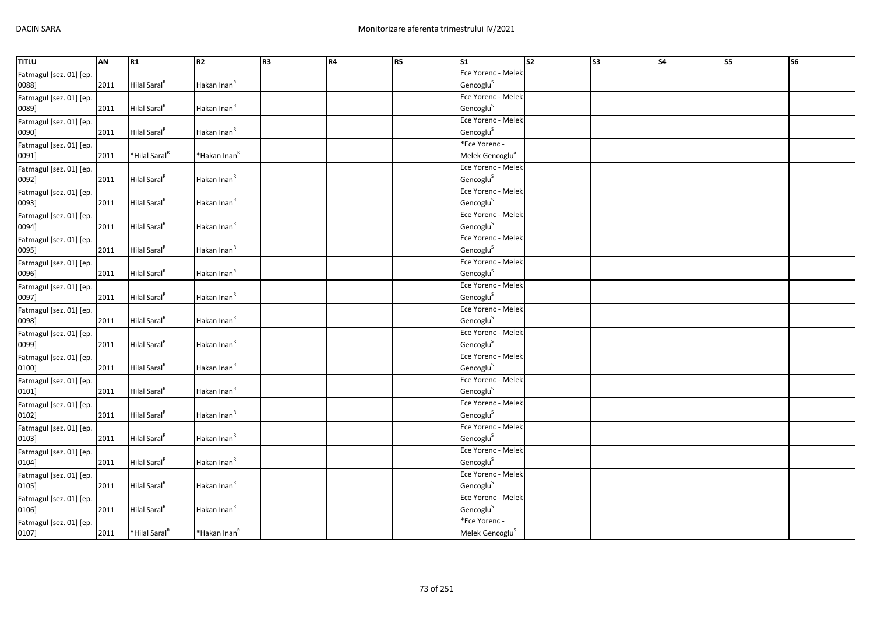| <b>TITLU</b>            | AN   | R1                        | R <sub>2</sub>           | R <sub>3</sub> | R4 | R5 | $\mathsf{S}1$               | $\overline{\text{S2}}$ | S <sub>3</sub> | <b>S4</b> | S5 | S <sub>6</sub> |
|-------------------------|------|---------------------------|--------------------------|----------------|----|----|-----------------------------|------------------------|----------------|-----------|----|----------------|
| Fatmagul [sez. 01] [ep. |      |                           |                          |                |    |    | Ece Yorenc - Melek          |                        |                |           |    |                |
| 0088]                   | 2011 | Hilal Saral <sup>R</sup>  | Hakan Inan <sup>R</sup>  |                |    |    | Gencoglu <sup>S</sup>       |                        |                |           |    |                |
| Fatmagul [sez. 01] [ep. |      |                           |                          |                |    |    | Ece Yorenc - Melek          |                        |                |           |    |                |
| 0089]                   | 2011 | Hilal Saral <sup>R</sup>  | Hakan Inan <sup>R</sup>  |                |    |    | Gencoglu <sup>S</sup>       |                        |                |           |    |                |
| Fatmagul [sez. 01] [ep. |      |                           |                          |                |    |    | Ece Yorenc - Melek          |                        |                |           |    |                |
| 0090]                   | 2011 | Hilal Saral <sup>R</sup>  | Hakan Inan <sup>R</sup>  |                |    |    | Gencoglu <sup>S</sup>       |                        |                |           |    |                |
| Fatmagul [sez. 01] [ep. |      |                           |                          |                |    |    | *Ece Yorenc -               |                        |                |           |    |                |
| 0091]                   | 2011 | *Hilal Saral <sup>R</sup> | *Hakan Inan <sup>R</sup> |                |    |    | Melek Gencoglu <sup>S</sup> |                        |                |           |    |                |
| Fatmagul [sez. 01] [ep. |      |                           |                          |                |    |    | Ece Yorenc - Melek          |                        |                |           |    |                |
| 0092]                   | 2011 | Hilal Saral <sup>R</sup>  | Hakan Inan <sup>R</sup>  |                |    |    | Gencoglu <sup>S</sup>       |                        |                |           |    |                |
| Fatmagul [sez. 01] [ep. |      |                           |                          |                |    |    | Ece Yorenc - Melek          |                        |                |           |    |                |
| 0093]                   | 2011 | Hilal Saral <sup>R</sup>  | Hakan Inan <sup>R</sup>  |                |    |    | Gencoglu <sup>S</sup>       |                        |                |           |    |                |
| Fatmagul [sez. 01] [ep. |      |                           |                          |                |    |    | Ece Yorenc - Melek          |                        |                |           |    |                |
| 0094]                   | 2011 | Hilal Saral <sup>R</sup>  | Hakan Inan <sup>R</sup>  |                |    |    | Gencoglu <sup>S</sup>       |                        |                |           |    |                |
| Fatmagul [sez. 01] [ep. |      |                           |                          |                |    |    | Ece Yorenc - Melek          |                        |                |           |    |                |
| 0095]                   | 2011 | Hilal Saral <sup>R</sup>  | Hakan Inan <sup>R</sup>  |                |    |    | Gencoglu <sup>S</sup>       |                        |                |           |    |                |
| Fatmagul [sez. 01] [ep. |      |                           |                          |                |    |    | Ece Yorenc - Melek          |                        |                |           |    |                |
| 0096]                   | 2011 | Hilal Saral <sup>R</sup>  | Hakan Inan <sup>R</sup>  |                |    |    | Gencoglu <sup>S</sup>       |                        |                |           |    |                |
| Fatmagul [sez. 01] [ep. |      |                           |                          |                |    |    | Ece Yorenc - Melek          |                        |                |           |    |                |
| 0097]                   | 2011 | Hilal Saral <sup>R</sup>  | Hakan Inan <sup>R</sup>  |                |    |    | Gencoglu <sup>S</sup>       |                        |                |           |    |                |
| Fatmagul [sez. 01] [ep. |      |                           |                          |                |    |    | Ece Yorenc - Melek          |                        |                |           |    |                |
| 0098]                   | 2011 | Hilal Saral <sup>R</sup>  | Hakan Inan <sup>R</sup>  |                |    |    | Gencoglu <sup>S</sup>       |                        |                |           |    |                |
| Fatmagul [sez. 01] [ep. |      |                           |                          |                |    |    | Ece Yorenc - Melek          |                        |                |           |    |                |
| 0099]                   | 2011 | Hilal Saral <sup>R</sup>  | Hakan Inan <sup>R</sup>  |                |    |    | Gencoglu <sup>S</sup>       |                        |                |           |    |                |
| Fatmagul [sez. 01] [ep. |      |                           |                          |                |    |    | Ece Yorenc - Melek          |                        |                |           |    |                |
| 0100]                   | 2011 | Hilal Saral <sup>R</sup>  | Hakan Inan <sup>R</sup>  |                |    |    | Gencoglu <sup>S</sup>       |                        |                |           |    |                |
| Fatmagul [sez. 01] [ep. |      |                           |                          |                |    |    | Ece Yorenc - Melek          |                        |                |           |    |                |
| 0101]                   | 2011 | Hilal Saral <sup>R</sup>  | Hakan Inan <sup>R</sup>  |                |    |    | Gencoglu <sup>S</sup>       |                        |                |           |    |                |
| Fatmagul [sez. 01] [ep. |      |                           |                          |                |    |    | Ece Yorenc - Melek          |                        |                |           |    |                |
| 0102]                   | 2011 | Hilal Saral <sup>R</sup>  | Hakan Inan <sup>R</sup>  |                |    |    | Gencoglu <sup>S</sup>       |                        |                |           |    |                |
| Fatmagul [sez. 01] [ep. |      |                           |                          |                |    |    | Ece Yorenc - Melek          |                        |                |           |    |                |
| 0103]                   | 2011 | Hilal Saral <sup>R</sup>  | Hakan Inan <sup>R</sup>  |                |    |    | Gencoglu <sup>S</sup>       |                        |                |           |    |                |
| Fatmagul [sez. 01] [ep. |      |                           |                          |                |    |    | Ece Yorenc - Melek          |                        |                |           |    |                |
| 0104]                   | 2011 | Hilal Saral <sup>R</sup>  | Hakan Inan <sup>R</sup>  |                |    |    | Gencoglu <sup>S</sup>       |                        |                |           |    |                |
| Fatmagul [sez. 01] [ep. |      |                           |                          |                |    |    | Ece Yorenc - Melek          |                        |                |           |    |                |
| 0105]                   | 2011 | Hilal Saral <sup>R</sup>  | Hakan Inan <sup>R</sup>  |                |    |    | Gencoglu <sup>S</sup>       |                        |                |           |    |                |
| Fatmagul [sez. 01] [ep. |      |                           |                          |                |    |    | Ece Yorenc - Melek          |                        |                |           |    |                |
| 0106]                   | 2011 | Hilal Saral <sup>R</sup>  | Hakan Inan <sup>R</sup>  |                |    |    | Gencoglu <sup>S</sup>       |                        |                |           |    |                |
| Fatmagul [sez. 01] [ep. |      |                           |                          |                |    |    | *Ece Yorenc -               |                        |                |           |    |                |
| 0107]                   | 2011 | *Hilal Saral <sup>R</sup> | *Hakan Inan <sup>R</sup> |                |    |    | Melek Gencoglu <sup>S</sup> |                        |                |           |    |                |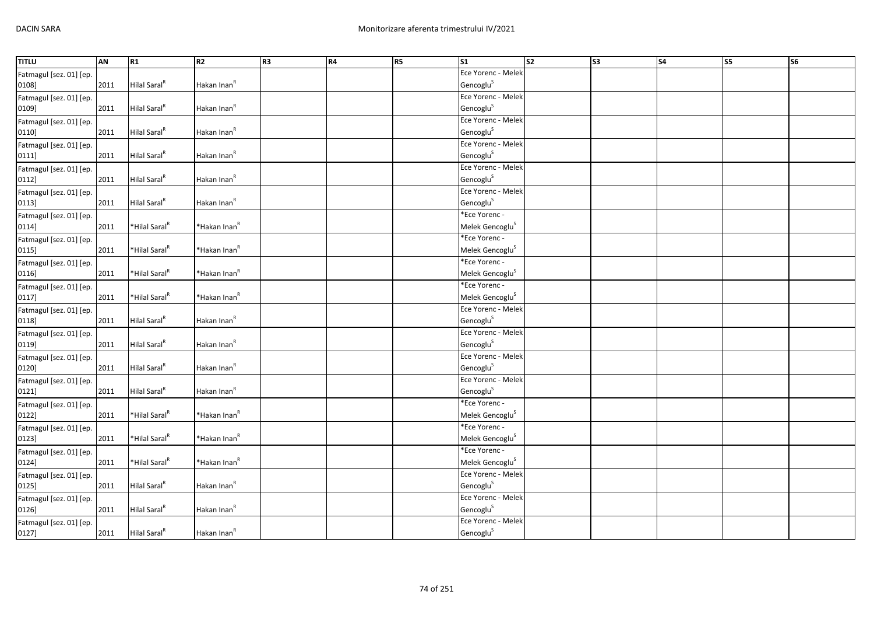| <b>TITLU</b>            | AN   | R1                        | R <sub>2</sub>           | R <sub>3</sub> | R4 | R <sub>5</sub> | $\mathsf{S}1$               | $\overline{\text{S2}}$ | S <sub>3</sub> | <b>S4</b> | S5 | S <sub>6</sub> |
|-------------------------|------|---------------------------|--------------------------|----------------|----|----------------|-----------------------------|------------------------|----------------|-----------|----|----------------|
| Fatmagul [sez. 01] [ep. |      |                           |                          |                |    |                | Ece Yorenc - Melek          |                        |                |           |    |                |
| 0108]                   | 2011 | Hilal Saral <sup>R</sup>  | Hakan Inan <sup>R</sup>  |                |    |                | Gencoglu <sup>S</sup>       |                        |                |           |    |                |
| Fatmagul [sez. 01] [ep. |      |                           |                          |                |    |                | Ece Yorenc - Melek          |                        |                |           |    |                |
| 0109]                   | 2011 | Hilal Saral <sup>R</sup>  | Hakan Inan <sup>R</sup>  |                |    |                | Gencoglu <sup>S</sup>       |                        |                |           |    |                |
| Fatmagul [sez. 01] [ep. |      |                           |                          |                |    |                | Ece Yorenc - Melek          |                        |                |           |    |                |
| 0110]                   | 2011 | Hilal Saral <sup>R</sup>  | Hakan Inan <sup>R</sup>  |                |    |                | Gencoglu <sup>S</sup>       |                        |                |           |    |                |
| Fatmagul [sez. 01] [ep. |      |                           |                          |                |    |                | Ece Yorenc - Melek          |                        |                |           |    |                |
| 0111                    | 2011 | Hilal Saral <sup>R</sup>  | Hakan Inan <sup>R</sup>  |                |    |                | Gencoglu <sup>S</sup>       |                        |                |           |    |                |
| Fatmagul [sez. 01] [ep. |      |                           |                          |                |    |                | Ece Yorenc - Melek          |                        |                |           |    |                |
| 0112]                   | 2011 | Hilal Saral <sup>R</sup>  | Hakan Inan <sup>R</sup>  |                |    |                | Gencoglu <sup>S</sup>       |                        |                |           |    |                |
| Fatmagul [sez. 01] [ep. |      |                           |                          |                |    |                | Ece Yorenc - Melek          |                        |                |           |    |                |
| 0113]                   | 2011 | Hilal Saral <sup>R</sup>  | Hakan Inan <sup>R</sup>  |                |    |                | Gencoglu <sup>S</sup>       |                        |                |           |    |                |
| Fatmagul [sez. 01] [ep. |      |                           |                          |                |    |                | *Ece Yorenc -               |                        |                |           |    |                |
| 0114]                   | 2011 | *Hilal Saral <sup>R</sup> | *Hakan Inan <sup>R</sup> |                |    |                | Melek Gencoglu <sup>S</sup> |                        |                |           |    |                |
| Fatmagul [sez. 01] [ep. |      |                           |                          |                |    |                | *Ece Yorenc -               |                        |                |           |    |                |
| 0115]                   | 2011 | *Hilal Saral <sup>R</sup> | *Hakan Inan <sup>R</sup> |                |    |                | Melek Gencoglu <sup>S</sup> |                        |                |           |    |                |
| Fatmagul [sez. 01] [ep. |      |                           |                          |                |    |                | *Ece Yorenc -               |                        |                |           |    |                |
| 0116]                   | 2011 | *Hilal Saral <sup>R</sup> | *Hakan Inan <sup>R</sup> |                |    |                | Melek Gencoglu <sup>S</sup> |                        |                |           |    |                |
| Fatmagul [sez. 01] [ep. |      |                           |                          |                |    |                | *Ece Yorenc -               |                        |                |           |    |                |
| 0117]                   | 2011 | *Hilal Saral <sup>R</sup> | *Hakan Inan <sup>R</sup> |                |    |                | Melek Gencoglu <sup>S</sup> |                        |                |           |    |                |
| Fatmagul [sez. 01] [ep. |      |                           |                          |                |    |                | Ece Yorenc - Melek          |                        |                |           |    |                |
| 0118]                   | 2011 | Hilal Saral <sup>R</sup>  | Hakan Inan <sup>R</sup>  |                |    |                | Gencoglu <sup>S</sup>       |                        |                |           |    |                |
| Fatmagul [sez. 01] [ep. |      |                           |                          |                |    |                | Ece Yorenc - Melek          |                        |                |           |    |                |
| 0119]                   | 2011 | Hilal Saral <sup>R</sup>  | Hakan Inan <sup>R</sup>  |                |    |                | Gencoglu <sup>S</sup>       |                        |                |           |    |                |
| Fatmagul [sez. 01] [ep. |      |                           |                          |                |    |                | Ece Yorenc - Melek          |                        |                |           |    |                |
| 0120]                   | 2011 | Hilal Saral <sup>R</sup>  | Hakan Inan <sup>R</sup>  |                |    |                | Gencoglu <sup>S</sup>       |                        |                |           |    |                |
| Fatmagul [sez. 01] [ep. |      |                           |                          |                |    |                | Ece Yorenc - Melek          |                        |                |           |    |                |
| 0121]                   | 2011 | Hilal Saral <sup>R</sup>  | Hakan Inan <sup>R</sup>  |                |    |                | Gencoglu <sup>S</sup>       |                        |                |           |    |                |
| Fatmagul [sez. 01] [ep. |      |                           |                          |                |    |                | *Ece Yorenc -               |                        |                |           |    |                |
| 0122]                   | 2011 | *Hilal Saral <sup>R</sup> | *Hakan Inan <sup>R</sup> |                |    |                | Melek Gencoglu <sup>S</sup> |                        |                |           |    |                |
| Fatmagul [sez. 01] [ep. |      |                           |                          |                |    |                | *Ece Yorenc -               |                        |                |           |    |                |
| 0123]                   | 2011 | *Hilal Saral <sup>R</sup> | *Hakan Inan <sup>R</sup> |                |    |                | Melek Gencoglu <sup>S</sup> |                        |                |           |    |                |
| Fatmagul [sez. 01] [ep. |      |                           |                          |                |    |                | *Ece Yorenc -               |                        |                |           |    |                |
| 0124]                   | 2011 | *Hilal Saral <sup>R</sup> | *Hakan Inan <sup>R</sup> |                |    |                | Melek Gencoglu <sup>S</sup> |                        |                |           |    |                |
| Fatmagul [sez. 01] [ep. |      |                           |                          |                |    |                | Ece Yorenc - Melek          |                        |                |           |    |                |
| 0125]                   | 2011 | Hilal Saral <sup>R</sup>  | Hakan Inan <sup>R</sup>  |                |    |                | Gencoglu <sup>S</sup>       |                        |                |           |    |                |
| Fatmagul [sez. 01] [ep. |      |                           |                          |                |    |                | Ece Yorenc - Melek          |                        |                |           |    |                |
| 0126]                   | 2011 | Hilal Saral <sup>R</sup>  | Hakan Inan <sup>R</sup>  |                |    |                | Gencoglu <sup>S</sup>       |                        |                |           |    |                |
| Fatmagul [sez. 01] [ep. |      |                           |                          |                |    |                | Ece Yorenc - Melek          |                        |                |           |    |                |
| 0127]                   | 2011 | Hilal Saral <sup>R</sup>  | Hakan Inan <sup>R</sup>  |                |    |                | Gencoglu <sup>S</sup>       |                        |                |           |    |                |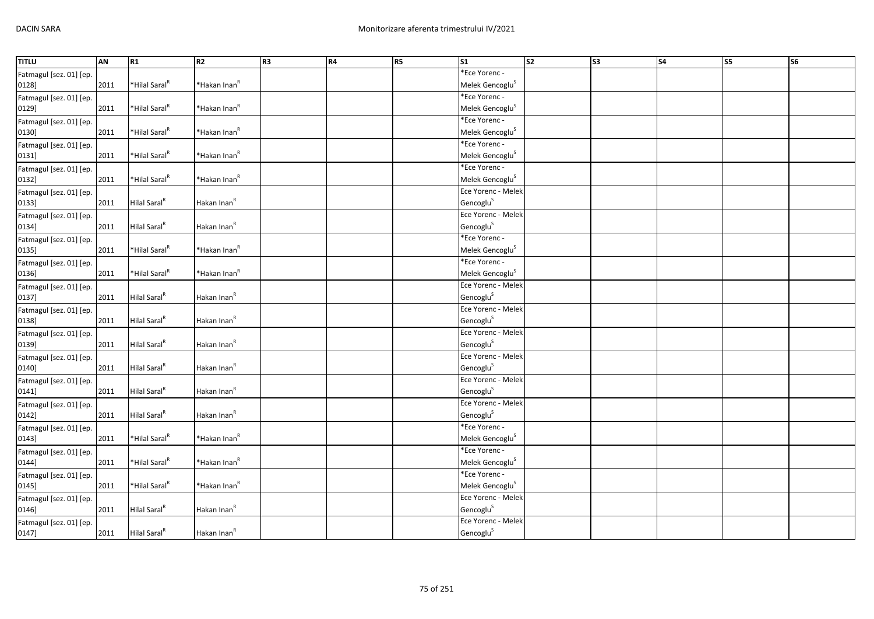| <b>TITLU</b>            | AN   | R <sub>1</sub>            | R <sub>2</sub>           | R <sub>3</sub> | R4 | R <sub>5</sub> | S1                          | $\overline{\text{S2}}$ | S <sub>3</sub> | <b>S4</b> | S5 | S <sub>6</sub> |
|-------------------------|------|---------------------------|--------------------------|----------------|----|----------------|-----------------------------|------------------------|----------------|-----------|----|----------------|
| Fatmagul [sez. 01] [ep. |      |                           |                          |                |    |                | *Ece Yorenc -               |                        |                |           |    |                |
| 0128]                   | 2011 | *Hilal Saral <sup>R</sup> | *Hakan Inan <sup>R</sup> |                |    |                | Melek Gencoglu <sup>S</sup> |                        |                |           |    |                |
| Fatmagul [sez. 01] [ep. |      |                           |                          |                |    |                | *Ece Yorenc -               |                        |                |           |    |                |
| 0129]                   | 2011 | *Hilal Saral <sup>R</sup> | *Hakan Inan <sup>R</sup> |                |    |                | Melek Gencoglu <sup>S</sup> |                        |                |           |    |                |
| Fatmagul [sez. 01] [ep. |      |                           |                          |                |    |                | *Ece Yorenc -               |                        |                |           |    |                |
| 0130]                   | 2011 | *Hilal Saral <sup>R</sup> | *Hakan Inan <sup>R</sup> |                |    |                | Melek Gencoglu <sup>S</sup> |                        |                |           |    |                |
| Fatmagul [sez. 01] [ep. |      |                           |                          |                |    |                | *Ece Yorenc -               |                        |                |           |    |                |
| 0131]                   | 2011 | *Hilal Saral <sup>R</sup> | *Hakan Inan <sup>R</sup> |                |    |                | Melek Gencoglu <sup>S</sup> |                        |                |           |    |                |
| Fatmagul [sez. 01] [ep. |      |                           |                          |                |    |                | *Ece Yorenc -               |                        |                |           |    |                |
| 0132]                   | 2011 | *Hilal Saral <sup>R</sup> | *Hakan Inan <sup>R</sup> |                |    |                | Melek Gencoglu <sup>S</sup> |                        |                |           |    |                |
| Fatmagul [sez. 01] [ep. |      |                           |                          |                |    |                | Ece Yorenc - Melek          |                        |                |           |    |                |
| 0133]                   | 2011 | Hilal Saral <sup>R</sup>  | Hakan Inan <sup>R</sup>  |                |    |                | Gencoglu <sup>S</sup>       |                        |                |           |    |                |
| Fatmagul [sez. 01] [ep. |      |                           |                          |                |    |                | Ece Yorenc - Melek          |                        |                |           |    |                |
| 0134]                   | 2011 | Hilal Saral <sup>R</sup>  | Hakan Inan <sup>R</sup>  |                |    |                | Gencoglu <sup>S</sup>       |                        |                |           |    |                |
| Fatmagul [sez. 01] [ep. |      |                           |                          |                |    |                | *Ece Yorenc -               |                        |                |           |    |                |
| 0135]                   | 2011 | *Hilal Saral <sup>R</sup> | *Hakan Inan <sup>R</sup> |                |    |                | Melek Gencoglu <sup>S</sup> |                        |                |           |    |                |
| Fatmagul [sez. 01] [ep. |      |                           |                          |                |    |                | *Ece Yorenc -               |                        |                |           |    |                |
| 0136]                   | 2011 | *Hilal Saral <sup>R</sup> | *Hakan Inan <sup>R</sup> |                |    |                | Melek Gencoglu <sup>S</sup> |                        |                |           |    |                |
| Fatmagul [sez. 01] [ep. |      |                           |                          |                |    |                | Ece Yorenc - Melek          |                        |                |           |    |                |
| 0137]                   | 2011 | Hilal Saral <sup>R</sup>  | Hakan Inan <sup>R</sup>  |                |    |                | Gencoglu <sup>S</sup>       |                        |                |           |    |                |
| Fatmagul [sez. 01] [ep. |      |                           |                          |                |    |                | Ece Yorenc - Melek          |                        |                |           |    |                |
| 0138]                   | 2011 | Hilal Saral <sup>R</sup>  | Hakan Inan <sup>R</sup>  |                |    |                | Gencoglu <sup>S</sup>       |                        |                |           |    |                |
| Fatmagul [sez. 01] [ep. |      |                           |                          |                |    |                | Ece Yorenc - Melek          |                        |                |           |    |                |
| 0139]                   | 2011 | Hilal Saral <sup>R</sup>  | Hakan Inan <sup>R</sup>  |                |    |                | Gencoglu <sup>S</sup>       |                        |                |           |    |                |
| Fatmagul [sez. 01] [ep. |      |                           |                          |                |    |                | Ece Yorenc - Melek          |                        |                |           |    |                |
| 0140]                   | 2011 | Hilal Saral <sup>R</sup>  | Hakan Inan <sup>R</sup>  |                |    |                | Gencoglu <sup>S</sup>       |                        |                |           |    |                |
| Fatmagul [sez. 01] [ep. |      |                           |                          |                |    |                | Ece Yorenc - Melek          |                        |                |           |    |                |
| 0141]                   | 2011 | Hilal Saral <sup>R</sup>  | Hakan Inan <sup>R</sup>  |                |    |                | Gencoglu <sup>S</sup>       |                        |                |           |    |                |
| Fatmagul [sez. 01] [ep. |      |                           |                          |                |    |                | Ece Yorenc - Melek          |                        |                |           |    |                |
| 0142]                   | 2011 | Hilal Saral <sup>R</sup>  | Hakan Inan <sup>R</sup>  |                |    |                | Gencoglu <sup>S</sup>       |                        |                |           |    |                |
| Fatmagul [sez. 01] [ep. |      |                           |                          |                |    |                | *Ece Yorenc -               |                        |                |           |    |                |
| 0143]                   | 2011 | *Hilal Saral <sup>R</sup> | *Hakan Inan <sup>R</sup> |                |    |                | Melek Gencoglu <sup>S</sup> |                        |                |           |    |                |
| Fatmagul [sez. 01] [ep. |      |                           |                          |                |    |                | *Ece Yorenc -               |                        |                |           |    |                |
| 0144]                   | 2011 | *Hilal Saral <sup>R</sup> | *Hakan Inan <sup>R</sup> |                |    |                | Melek Gencoglu <sup>S</sup> |                        |                |           |    |                |
| Fatmagul [sez. 01] [ep. |      |                           |                          |                |    |                | *Ece Yorenc -               |                        |                |           |    |                |
| 0145]                   | 2011 | *Hilal Saral <sup>R</sup> | *Hakan Inan <sup>R</sup> |                |    |                | Melek Gencoglu <sup>S</sup> |                        |                |           |    |                |
| Fatmagul [sez. 01] [ep. |      |                           |                          |                |    |                | Ece Yorenc - Melek          |                        |                |           |    |                |
| 0146]                   | 2011 | Hilal Saral <sup>R</sup>  | Hakan Inan <sup>R</sup>  |                |    |                | Gencoglu <sup>S</sup>       |                        |                |           |    |                |
| Fatmagul [sez. 01] [ep. |      |                           |                          |                |    |                | Ece Yorenc - Melek          |                        |                |           |    |                |
| 0147]                   | 2011 | Hilal Saral <sup>R</sup>  | Hakan Inan <sup>R</sup>  |                |    |                | Gencoglu <sup>S</sup>       |                        |                |           |    |                |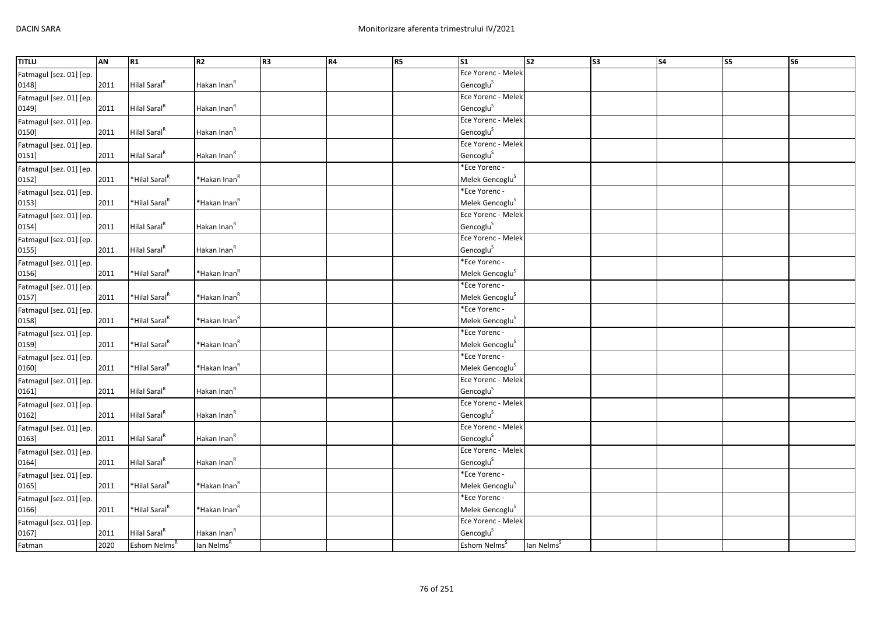| <b>TITLU</b>            | AN   | R1                        | R2                       | R3 | R4 | R5 | S1                          | s <sub>2</sub>         | S <sub>3</sub> | S <sub>4</sub> | S5 | <b>S6</b> |
|-------------------------|------|---------------------------|--------------------------|----|----|----|-----------------------------|------------------------|----------------|----------------|----|-----------|
| Fatmagul [sez. 01] [ep. |      |                           |                          |    |    |    | Ece Yorenc - Melek          |                        |                |                |    |           |
| 0148]                   | 2011 | Hilal Saral <sup>R</sup>  | Hakan Inan <sup>R</sup>  |    |    |    | Gencoglu <sup>S</sup>       |                        |                |                |    |           |
| Fatmagul [sez. 01] [ep. |      |                           |                          |    |    |    | Ece Yorenc - Melek          |                        |                |                |    |           |
| 0149]                   | 2011 | Hilal Saral <sup>R</sup>  | Hakan Inan <sup>R</sup>  |    |    |    | Gencoglu <sup>S</sup>       |                        |                |                |    |           |
| Fatmagul [sez. 01] [ep. |      |                           |                          |    |    |    | Ece Yorenc - Melek          |                        |                |                |    |           |
| 0150]                   | 2011 | Hilal Saral <sup>R</sup>  | Hakan Inan <sup>R</sup>  |    |    |    | Gencoglu <sup>S</sup>       |                        |                |                |    |           |
| Fatmagul [sez. 01] [ep. |      |                           |                          |    |    |    | Ece Yorenc - Melek          |                        |                |                |    |           |
| 0151]                   | 2011 | Hilal Saral <sup>R</sup>  | Hakan Inan <sup>R</sup>  |    |    |    | Gencoglu <sup>S</sup>       |                        |                |                |    |           |
| Fatmagul [sez. 01] [ep. |      |                           |                          |    |    |    | *Ece Yorenc -               |                        |                |                |    |           |
| 0152]                   | 2011 | *Hilal Saral <sup>R</sup> | *Hakan Inan <sup>R</sup> |    |    |    | Melek Gencoglu <sup>S</sup> |                        |                |                |    |           |
| Fatmagul [sez. 01] [ep. |      |                           |                          |    |    |    | *Ece Yorenc -               |                        |                |                |    |           |
| 0153]                   | 2011 | *Hilal Saral <sup>R</sup> | *Hakan Inan <sup>R</sup> |    |    |    | Melek Gencoglu <sup>S</sup> |                        |                |                |    |           |
| Fatmagul [sez. 01] [ep. |      |                           |                          |    |    |    | Ece Yorenc - Melek          |                        |                |                |    |           |
| 0154]                   | 2011 | Hilal Saral <sup>R</sup>  | Hakan Inan <sup>R</sup>  |    |    |    | Gencoglu <sup>S</sup>       |                        |                |                |    |           |
| Fatmagul [sez. 01] [ep. |      |                           |                          |    |    |    | Ece Yorenc - Melek          |                        |                |                |    |           |
| 0155]                   | 2011 | Hilal Saral <sup>R</sup>  | Hakan Inan <sup>R</sup>  |    |    |    | Gencoglu <sup>S</sup>       |                        |                |                |    |           |
| Fatmagul [sez. 01] [ep. |      |                           |                          |    |    |    | *Ece Yorenc -               |                        |                |                |    |           |
| 0156]                   | 2011 | *Hilal Saral <sup>R</sup> | *Hakan Inan <sup>R</sup> |    |    |    | Melek Gencoglu <sup>S</sup> |                        |                |                |    |           |
| Fatmagul [sez. 01] [ep. |      |                           |                          |    |    |    | *Ece Yorenc -               |                        |                |                |    |           |
| 0157]                   | 2011 | *Hilal Saral <sup>R</sup> | *Hakan Inan <sup>R</sup> |    |    |    | Melek Gencoglu <sup>S</sup> |                        |                |                |    |           |
| Fatmagul [sez. 01] [ep. |      |                           |                          |    |    |    | *Ece Yorenc -               |                        |                |                |    |           |
| 0158]                   | 2011 | *Hilal Saral <sup>R</sup> | *Hakan Inan <sup>R</sup> |    |    |    | Melek Gencoglu <sup>S</sup> |                        |                |                |    |           |
| Fatmagul [sez. 01] [ep. |      |                           |                          |    |    |    | *Ece Yorenc -               |                        |                |                |    |           |
| 0159]                   | 2011 | *Hilal Saral <sup>R</sup> | *Hakan Inan <sup>R</sup> |    |    |    | Melek Gencoglu <sup>S</sup> |                        |                |                |    |           |
| Fatmagul [sez. 01] [ep. |      |                           |                          |    |    |    | *Ece Yorenc -               |                        |                |                |    |           |
| 0160]                   | 2011 | *Hilal Saral <sup>R</sup> | *Hakan Inan <sup>R</sup> |    |    |    | Melek Gencoglu <sup>S</sup> |                        |                |                |    |           |
| Fatmagul [sez. 01] [ep. |      |                           |                          |    |    |    | Ece Yorenc - Melek          |                        |                |                |    |           |
| 0161]                   | 2011 | Hilal Saral <sup>R</sup>  | Hakan Inan <sup>R</sup>  |    |    |    | Gencoglu <sup>S</sup>       |                        |                |                |    |           |
| Fatmagul [sez. 01] [ep. |      |                           |                          |    |    |    | Ece Yorenc - Melek          |                        |                |                |    |           |
| 0162]                   | 2011 | Hilal Saral <sup>R</sup>  | Hakan Inan <sup>R</sup>  |    |    |    | Gencoglu <sup>S</sup>       |                        |                |                |    |           |
| Fatmagul [sez. 01] [ep. |      |                           |                          |    |    |    | Ece Yorenc - Melek          |                        |                |                |    |           |
| 0163]                   | 2011 | Hilal Saral <sup>R</sup>  | Hakan Inan <sup>R</sup>  |    |    |    | Gencoglu <sup>S</sup>       |                        |                |                |    |           |
| Fatmagul [sez. 01] [ep. |      |                           |                          |    |    |    | Ece Yorenc - Melek          |                        |                |                |    |           |
| 0164]                   | 2011 | Hilal Saral <sup>R</sup>  | Hakan Inan <sup>R</sup>  |    |    |    | Gencoglu <sup>S</sup>       |                        |                |                |    |           |
| Fatmagul [sez. 01] [ep. |      |                           |                          |    |    |    | *Ece Yorenc -               |                        |                |                |    |           |
| 0165]                   | 2011 | *Hilal Saral <sup>R</sup> | *Hakan Inan <sup>R</sup> |    |    |    | Melek Gencoglu <sup>S</sup> |                        |                |                |    |           |
| Fatmagul [sez. 01] [ep. |      |                           |                          |    |    |    | *Ece Yorenc -               |                        |                |                |    |           |
| 0166]                   | 2011 | *Hilal Saral <sup>R</sup> | *Hakan Inan <sup>R</sup> |    |    |    | Melek Gencoglu <sup>S</sup> |                        |                |                |    |           |
| Fatmagul [sez. 01] [ep. |      |                           |                          |    |    |    | Ece Yorenc - Melek          |                        |                |                |    |           |
| 0167]                   | 2011 | Hilal Saral <sup>R</sup>  | Hakan Inan <sup>R</sup>  |    |    |    | Gencoglu <sup>S</sup>       |                        |                |                |    |           |
| Fatman                  | 2020 | Eshom Nelms <sup>R</sup>  | lan Nelms <sup>R</sup>   |    |    |    | Eshom Nelms <sup>5</sup>    | lan Nelms <sup>S</sup> |                |                |    |           |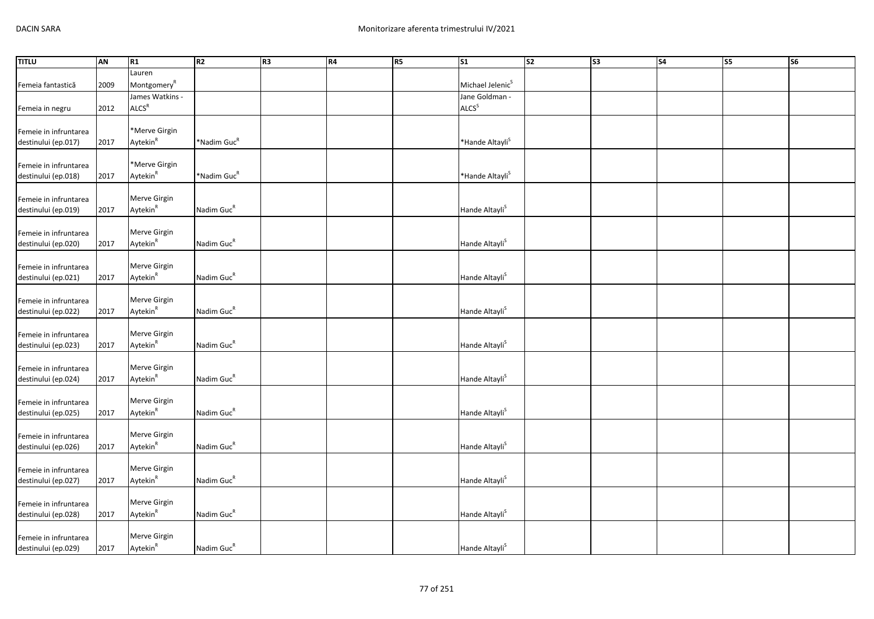| <b>TITLU</b>                                 | <b>AN</b> | R1                      | R <sub>2</sub>          | R <sub>3</sub> | R4 | R5 | $\overline{\text{S1}}$       | $\overline{\text{S2}}$ | $\overline{\text{S3}}$ | $\overline{\text{S4}}$ | S5 | $\overline{\text{S6}}$ |
|----------------------------------------------|-----------|-------------------------|-------------------------|----------------|----|----|------------------------------|------------------------|------------------------|------------------------|----|------------------------|
|                                              |           | Lauren                  |                         |                |    |    |                              |                        |                        |                        |    |                        |
| Femeia fantastică                            | 2009      | Montgomery <sup>R</sup> |                         |                |    |    | Michael Jelenic <sup>S</sup> |                        |                        |                        |    |                        |
|                                              |           | James Watkins -         |                         |                |    |    | Jane Goldman -               |                        |                        |                        |    |                        |
| Femeia in negru                              | 2012      | ALCS <sup>R</sup>       |                         |                |    |    | ALCS <sup>S</sup>            |                        |                        |                        |    |                        |
|                                              |           |                         |                         |                |    |    |                              |                        |                        |                        |    |                        |
| Femeie in infruntarea                        |           | *Merve Girgin           |                         |                |    |    |                              |                        |                        |                        |    |                        |
| destinului (ep.017)                          | 2017      | Aytekin <sup>R</sup>    | *Nadim Guc <sup>R</sup> |                |    |    | *Hande Altayli <sup>S</sup>  |                        |                        |                        |    |                        |
|                                              |           |                         |                         |                |    |    |                              |                        |                        |                        |    |                        |
| Femeie in infruntarea                        |           | *Merve Girgin           |                         |                |    |    |                              |                        |                        |                        |    |                        |
| destinului (ep.018)                          | 2017      | Aytekin <sup>R</sup>    | *Nadim Guc <sup>R</sup> |                |    |    | *Hande Altayli <sup>S</sup>  |                        |                        |                        |    |                        |
|                                              |           |                         |                         |                |    |    |                              |                        |                        |                        |    |                        |
| Femeie in infruntarea                        |           | Merve Girgin            |                         |                |    |    |                              |                        |                        |                        |    |                        |
| destinului (ep.019)                          | 2017      | Aytekin <sup>R</sup>    | Nadim Guc <sup>R</sup>  |                |    |    | Hande Altayli <sup>S</sup>   |                        |                        |                        |    |                        |
|                                              |           | Merve Girgin            |                         |                |    |    |                              |                        |                        |                        |    |                        |
| Femeie in infruntarea                        |           | Aytekin <sup>R</sup>    | Nadim Guc <sup>R</sup>  |                |    |    | Hande Altayli <sup>S</sup>   |                        |                        |                        |    |                        |
| destinului (ep.020)                          | 2017      |                         |                         |                |    |    |                              |                        |                        |                        |    |                        |
| Femeie in infruntarea                        |           | Merve Girgin            |                         |                |    |    |                              |                        |                        |                        |    |                        |
| destinului (ep.021)                          | 2017      | Aytekin <sup>R</sup>    | Nadim Guc <sup>R</sup>  |                |    |    | Hande Altayli <sup>S</sup>   |                        |                        |                        |    |                        |
|                                              |           |                         |                         |                |    |    |                              |                        |                        |                        |    |                        |
| Femeie in infruntarea                        |           | Merve Girgin            |                         |                |    |    |                              |                        |                        |                        |    |                        |
| destinului (ep.022)                          | 2017      | Aytekin <sup>R</sup>    | Nadim Guc <sup>R</sup>  |                |    |    | Hande Altayli <sup>S</sup>   |                        |                        |                        |    |                        |
|                                              |           |                         |                         |                |    |    |                              |                        |                        |                        |    |                        |
| Femeie in infruntarea                        |           | Merve Girgin            |                         |                |    |    |                              |                        |                        |                        |    |                        |
| destinului (ep.023)                          | 2017      | Aytekin <sup>R</sup>    | Nadim Guc <sup>R</sup>  |                |    |    | Hande Altayli <sup>S</sup>   |                        |                        |                        |    |                        |
|                                              |           |                         |                         |                |    |    |                              |                        |                        |                        |    |                        |
| Femeie in infruntarea                        |           | Merve Girgin            |                         |                |    |    |                              |                        |                        |                        |    |                        |
| destinului (ep.024)                          | 2017      | Aytekin <sup>R</sup>    | Nadim Guc <sup>R</sup>  |                |    |    | Hande Altayli <sup>S</sup>   |                        |                        |                        |    |                        |
|                                              |           |                         |                         |                |    |    |                              |                        |                        |                        |    |                        |
| Femeie in infruntarea                        |           | Merve Girgin            |                         |                |    |    |                              |                        |                        |                        |    |                        |
| destinului (ep.025)                          | 2017      | Aytekin <sup>R</sup>    | Nadim Guc <sup>R</sup>  |                |    |    | Hande Altayli <sup>S</sup>   |                        |                        |                        |    |                        |
|                                              |           | Merve Girgin            |                         |                |    |    |                              |                        |                        |                        |    |                        |
| Femeie in infruntarea<br>destinului (ep.026) | 2017      | Aytekin <sup>R</sup>    | Nadim Guc <sup>R</sup>  |                |    |    | Hande Altayli <sup>S</sup>   |                        |                        |                        |    |                        |
|                                              |           |                         |                         |                |    |    |                              |                        |                        |                        |    |                        |
| Femeie in infruntarea                        |           | Merve Girgin            |                         |                |    |    |                              |                        |                        |                        |    |                        |
| destinului (ep.027)                          | 2017      | Aytekin <sup>R</sup>    | Nadim Guc <sup>R</sup>  |                |    |    | Hande Altayli <sup>S</sup>   |                        |                        |                        |    |                        |
|                                              |           |                         |                         |                |    |    |                              |                        |                        |                        |    |                        |
| Femeie in infruntarea                        |           | Merve Girgin            |                         |                |    |    |                              |                        |                        |                        |    |                        |
| destinului (ep.028)                          | 2017      | Aytekin <sup>R</sup>    | Nadim Guc <sup>R</sup>  |                |    |    | Hande Altayli <sup>S</sup>   |                        |                        |                        |    |                        |
|                                              |           |                         |                         |                |    |    |                              |                        |                        |                        |    |                        |
| Femeie in infruntarea                        |           | Merve Girgin            |                         |                |    |    |                              |                        |                        |                        |    |                        |
| destinului (ep.029)                          | 2017      | Aytekin <sup>R</sup>    | Nadim Guc <sup>R</sup>  |                |    |    | Hande Altayli <sup>S</sup>   |                        |                        |                        |    |                        |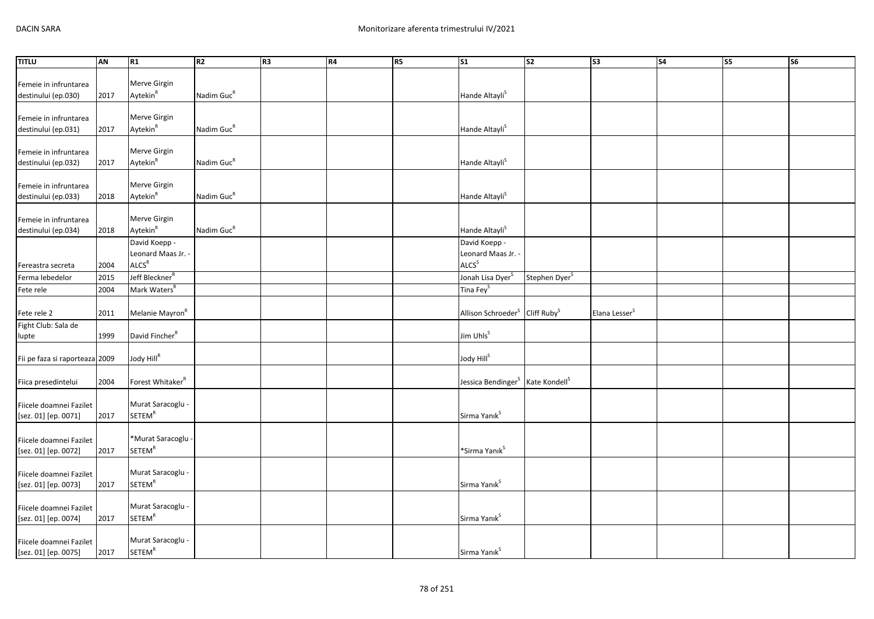| <b>TITLU</b>                   | AN   | R1                           | R <sub>2</sub>         | R <sub>3</sub> | R4 | R5 | $\overline{\text{S1}}$                                   | $\overline{\text{S2}}$    | $\overline{\text{S3}}$    | $\overline{\text{S4}}$ | S5 | <b>S6</b> |
|--------------------------------|------|------------------------------|------------------------|----------------|----|----|----------------------------------------------------------|---------------------------|---------------------------|------------------------|----|-----------|
|                                |      |                              |                        |                |    |    |                                                          |                           |                           |                        |    |           |
| Femeie in infruntarea          |      | Merve Girgin                 |                        |                |    |    |                                                          |                           |                           |                        |    |           |
| destinului (ep.030)            | 2017 | Aytekin <sup>R</sup>         | Nadim Guc <sup>R</sup> |                |    |    | Hande Altayli <sup>S</sup>                               |                           |                           |                        |    |           |
|                                |      |                              |                        |                |    |    |                                                          |                           |                           |                        |    |           |
| Femeie in infruntarea          |      | Merve Girgin                 |                        |                |    |    |                                                          |                           |                           |                        |    |           |
| destinului (ep.031)            | 2017 | Aytekin <sup>R</sup>         | Nadim Guc <sup>R</sup> |                |    |    | Hande Altayli <sup>S</sup>                               |                           |                           |                        |    |           |
|                                |      |                              |                        |                |    |    |                                                          |                           |                           |                        |    |           |
| Femeie in infruntarea          |      | Merve Girgin                 |                        |                |    |    |                                                          |                           |                           |                        |    |           |
| destinului (ep.032)            | 2017 | Aytekin <sup>R</sup>         | Nadim Guc <sup>R</sup> |                |    |    | Hande Altayli <sup>S</sup>                               |                           |                           |                        |    |           |
|                                |      |                              |                        |                |    |    |                                                          |                           |                           |                        |    |           |
| Femeie in infruntarea          |      | Merve Girgin                 |                        |                |    |    |                                                          |                           |                           |                        |    |           |
| destinului (ep.033)            | 2018 | Aytekin <sup>R</sup>         | Nadim Guc <sup>R</sup> |                |    |    | Hande Altayli <sup>S</sup>                               |                           |                           |                        |    |           |
|                                |      |                              |                        |                |    |    |                                                          |                           |                           |                        |    |           |
| Femeie in infruntarea          |      | Merve Girgin                 |                        |                |    |    |                                                          |                           |                           |                        |    |           |
| destinului (ep.034)            | 2018 | Aytekin <sup>R</sup>         | Nadim Guc <sup>R</sup> |                |    |    | Hande Altayli <sup>S</sup>                               |                           |                           |                        |    |           |
|                                |      | David Koepp -                |                        |                |    |    | David Koepp -                                            |                           |                           |                        |    |           |
|                                |      | Leonard Maas Jr.             |                        |                |    |    | Leonard Maas Jr. -                                       |                           |                           |                        |    |           |
| Fereastra secreta              | 2004 | ALCS <sup>R</sup>            |                        |                |    |    | ALCS <sup>S</sup>                                        |                           |                           |                        |    |           |
| Ferma lebedelor                | 2015 | Jeff Bleckner <sup>R</sup>   |                        |                |    |    | Jonah Lisa Dyer <sup>S</sup>                             | Stephen Dyer <sup>S</sup> |                           |                        |    |           |
| Fete rele                      | 2004 | Mark Waters <sup>R</sup>     |                        |                |    |    | Tina Fey <sup>S</sup>                                    |                           |                           |                        |    |           |
|                                |      |                              |                        |                |    |    |                                                          |                           |                           |                        |    |           |
| Fete rele 2                    | 2011 | Melanie Mayron <sup>R</sup>  |                        |                |    |    | Allison Schroeder <sup>S</sup> Cliff Ruby <sup>S</sup>   |                           | Elana Lesser <sup>S</sup> |                        |    |           |
| Fight Club: Sala de            |      |                              |                        |                |    |    |                                                          |                           |                           |                        |    |           |
| lupte                          | 1999 | David Fincher <sup>R</sup>   |                        |                |    |    | Jim Uhls <sup>S</sup>                                    |                           |                           |                        |    |           |
|                                |      |                              |                        |                |    |    |                                                          |                           |                           |                        |    |           |
| Fii pe faza si raporteaza 2009 |      | Jody Hill <sup>R</sup>       |                        |                |    |    | Jody Hill <sup>S</sup>                                   |                           |                           |                        |    |           |
|                                |      |                              |                        |                |    |    |                                                          |                           |                           |                        |    |           |
| Fiica presedintelui            | 2004 | Forest Whitaker <sup>R</sup> |                        |                |    |    | Jessica Bendinger <sup>S</sup> Kate Kondell <sup>S</sup> |                           |                           |                        |    |           |
|                                |      |                              |                        |                |    |    |                                                          |                           |                           |                        |    |           |
| Fiicele doamnei Fazilet        |      | Murat Saracoglu -            |                        |                |    |    |                                                          |                           |                           |                        |    |           |
| [sez. 01] [ep. 0071]           | 2017 | <b>SETEM<sup>R</sup></b>     |                        |                |    |    | Sirma Yanık <sup>S</sup>                                 |                           |                           |                        |    |           |
|                                |      |                              |                        |                |    |    |                                                          |                           |                           |                        |    |           |
| Fiicele doamnei Fazilet        |      | *Murat Saracoglu -           |                        |                |    |    |                                                          |                           |                           |                        |    |           |
| [sez. 01] [ep. 0072]           | 2017 | <b>SETEM<sup>R</sup></b>     |                        |                |    |    | *Sirma Yanık <sup>S</sup>                                |                           |                           |                        |    |           |
|                                |      |                              |                        |                |    |    |                                                          |                           |                           |                        |    |           |
| Fiicele doamnei Fazilet        |      | Murat Saracoglu -            |                        |                |    |    |                                                          |                           |                           |                        |    |           |
| [sez. 01] [ep. 0073]           | 2017 | SETEM <sup>R</sup>           |                        |                |    |    | Sirma Yanık <sup>s</sup>                                 |                           |                           |                        |    |           |
|                                |      |                              |                        |                |    |    |                                                          |                           |                           |                        |    |           |
| Fiicele doamnei Fazilet        |      | Murat Saracoglu -            |                        |                |    |    |                                                          |                           |                           |                        |    |           |
| [sez. 01] [ep. 0074]           | 2017 | <b>SETEM<sup>R</sup></b>     |                        |                |    |    | Sirma Yanık <sup>S</sup>                                 |                           |                           |                        |    |           |
|                                |      |                              |                        |                |    |    |                                                          |                           |                           |                        |    |           |
| Fiicele doamnei Fazilet        |      | Murat Saracoglu -            |                        |                |    |    |                                                          |                           |                           |                        |    |           |
| [sez. 01] [ep. 0075]           | 2017 | <b>SETEM<sup>R</sup></b>     |                        |                |    |    | Sirma Yanık <sup>S</sup>                                 |                           |                           |                        |    |           |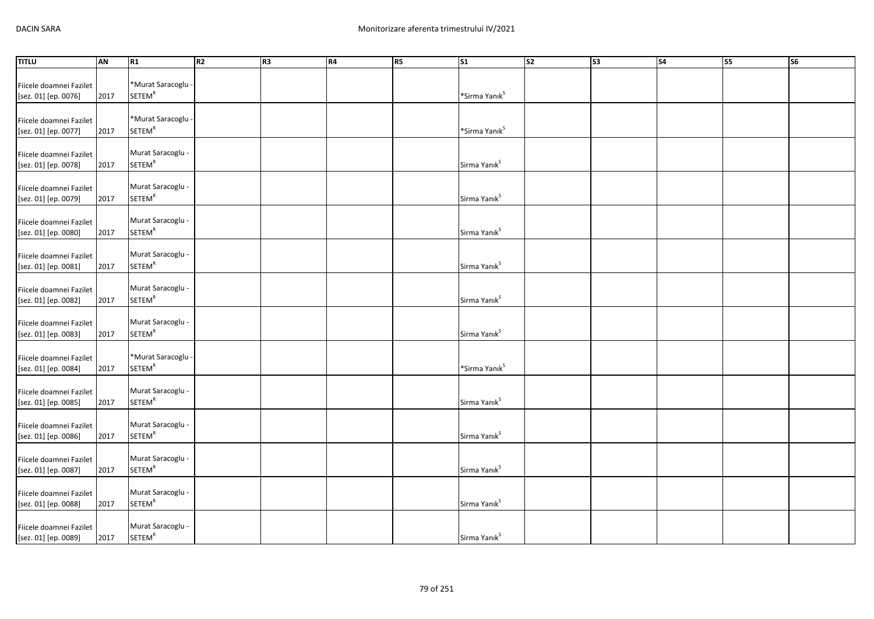| <b>TITLU</b>                                    | AN   | R1                                            | R <sub>2</sub> | R <sub>3</sub> | R4 | R5 | $\overline{\text{S1}}$    | $\overline{\text{S2}}$ | $\overline{\text{S3}}$ | $\overline{\phantom{a}}$ S4 | s <sub>5</sub> | <b>S6</b> |
|-------------------------------------------------|------|-----------------------------------------------|----------------|----------------|----|----|---------------------------|------------------------|------------------------|-----------------------------|----------------|-----------|
|                                                 |      |                                               |                |                |    |    |                           |                        |                        |                             |                |           |
| Fiicele doamnei Fazilet                         |      | *Murat Saracoglu -                            |                |                |    |    |                           |                        |                        |                             |                |           |
| [sez. 01] [ep. 0076]                            | 2017 | <b>SETEM<sup>R</sup></b>                      |                |                |    |    | *Sirma Yanık <sup>s</sup> |                        |                        |                             |                |           |
|                                                 |      |                                               |                |                |    |    |                           |                        |                        |                             |                |           |
| Fiicele doamnei Fazilet                         |      | *Murat Saracoglu -                            |                |                |    |    |                           |                        |                        |                             |                |           |
| [sez. 01] [ep. 0077]                            | 2017 | <b>SETEM<sup>R</sup></b>                      |                |                |    |    | *Sirma Yanık <sup>S</sup> |                        |                        |                             |                |           |
|                                                 |      |                                               |                |                |    |    |                           |                        |                        |                             |                |           |
| Fiicele doamnei Fazilet                         |      | Murat Saracoglu -                             |                |                |    |    |                           |                        |                        |                             |                |           |
| [sez. 01] [ep. 0078]                            | 2017 | <b>SETEM<sup>R</sup></b>                      |                |                |    |    | Sirma Yanık <sup>S</sup>  |                        |                        |                             |                |           |
|                                                 |      |                                               |                |                |    |    |                           |                        |                        |                             |                |           |
| Fiicele doamnei Fazilet                         |      | Murat Saracoglu -                             |                |                |    |    |                           |                        |                        |                             |                |           |
| [sez. 01] [ep. 0079]                            | 2017 | <b>SETEM<sup>R</sup></b>                      |                |                |    |    | Sirma Yanık <sup>S</sup>  |                        |                        |                             |                |           |
|                                                 |      |                                               |                |                |    |    |                           |                        |                        |                             |                |           |
| Fiicele doamnei Fazilet                         |      | Murat Saracoglu -                             |                |                |    |    |                           |                        |                        |                             |                |           |
| [sez. 01] [ep. 0080]                            | 2017 | <b>SETEM<sup>R</sup></b>                      |                |                |    |    | Sirma Yanık <sup>S</sup>  |                        |                        |                             |                |           |
|                                                 |      |                                               |                |                |    |    |                           |                        |                        |                             |                |           |
| Fiicele doamnei Fazilet                         |      | Murat Saracoglu -                             |                |                |    |    |                           |                        |                        |                             |                |           |
| [sez. 01] [ep. 0081]                            | 2017 | <b>SETEM<sup>R</sup></b>                      |                |                |    |    | Sirma Yanık <sup>S</sup>  |                        |                        |                             |                |           |
|                                                 |      |                                               |                |                |    |    |                           |                        |                        |                             |                |           |
| Fiicele doamnei Fazilet                         |      | Murat Saracoglu -<br><b>SETEM<sup>R</sup></b> |                |                |    |    | Sirma Yanık <sup>S</sup>  |                        |                        |                             |                |           |
| [sez. 01] [ep. 0082]                            | 2017 |                                               |                |                |    |    |                           |                        |                        |                             |                |           |
|                                                 |      | Murat Saracoglu -                             |                |                |    |    |                           |                        |                        |                             |                |           |
| Fiicele doamnei Fazilet<br>[sez. 01] [ep. 0083] | 2017 | <b>SETEM<sup>R</sup></b>                      |                |                |    |    | Sirma Yanık <sup>S</sup>  |                        |                        |                             |                |           |
|                                                 |      |                                               |                |                |    |    |                           |                        |                        |                             |                |           |
| Fiicele doamnei Fazilet                         |      | *Murat Saracoglu -                            |                |                |    |    |                           |                        |                        |                             |                |           |
| [sez. 01] [ep. 0084]                            | 2017 | <b>SETEM<sup>R</sup></b>                      |                |                |    |    | *Sirma Yanık <sup>s</sup> |                        |                        |                             |                |           |
|                                                 |      |                                               |                |                |    |    |                           |                        |                        |                             |                |           |
| Fiicele doamnei Fazilet                         |      | Murat Saracoglu -                             |                |                |    |    |                           |                        |                        |                             |                |           |
| [sez. 01] [ep. 0085]                            | 2017 | <b>SETEM<sup>R</sup></b>                      |                |                |    |    | Sirma Yanık <sup>S</sup>  |                        |                        |                             |                |           |
|                                                 |      |                                               |                |                |    |    |                           |                        |                        |                             |                |           |
| Fiicele doamnei Fazilet                         |      | Murat Saracoglu -                             |                |                |    |    |                           |                        |                        |                             |                |           |
| [sez. 01] [ep. 0086]                            | 2017 | <b>SETEM<sup>R</sup></b>                      |                |                |    |    | Sirma Yanık <sup>S</sup>  |                        |                        |                             |                |           |
|                                                 |      |                                               |                |                |    |    |                           |                        |                        |                             |                |           |
| Fiicele doamnei Fazilet                         |      | Murat Saracoglu -                             |                |                |    |    |                           |                        |                        |                             |                |           |
| [sez. 01] [ep. 0087]                            | 2017 | <b>SETEM<sup>R</sup></b>                      |                |                |    |    | Sirma Yanık <sup>S</sup>  |                        |                        |                             |                |           |
|                                                 |      |                                               |                |                |    |    |                           |                        |                        |                             |                |           |
| Fiicele doamnei Fazilet                         |      | Murat Saracoglu -                             |                |                |    |    |                           |                        |                        |                             |                |           |
| [sez. 01] [ep. 0088]                            | 2017 | <b>SETEM<sup>R</sup></b>                      |                |                |    |    | Sirma Yanık <sup>S</sup>  |                        |                        |                             |                |           |
|                                                 |      |                                               |                |                |    |    |                           |                        |                        |                             |                |           |
| Fiicele doamnei Fazilet                         |      | Murat Saracoglu -                             |                |                |    |    |                           |                        |                        |                             |                |           |
| [sez. 01] [ep. 0089]                            | 2017 | <b>SETEM<sup>R</sup></b>                      |                |                |    |    | Sirma Yanık <sup>S</sup>  |                        |                        |                             |                |           |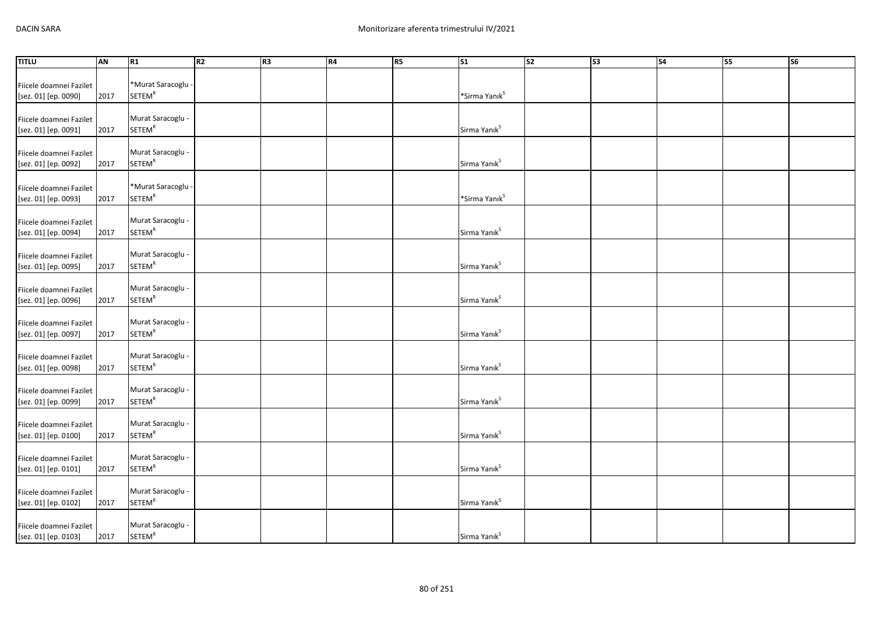| <b>TITLU</b>                                    | AN   | R1                                            | R2 | R <sub>3</sub> | R4 | R <sub>5</sub> | $\overline{\text{s1}}$    | S <sub>2</sub> | S3 | <b>S4</b> | <b>S5</b> | <b>S6</b> |
|-------------------------------------------------|------|-----------------------------------------------|----|----------------|----|----------------|---------------------------|----------------|----|-----------|-----------|-----------|
|                                                 |      |                                               |    |                |    |                |                           |                |    |           |           |           |
| Fiicele doamnei Fazilet                         |      | *Murat Saracoglu -                            |    |                |    |                |                           |                |    |           |           |           |
| [sez. 01] [ep. 0090]                            | 2017 | <b>SETEM<sup>R</sup></b>                      |    |                |    |                | *Sirma Yanık <sup>s</sup> |                |    |           |           |           |
|                                                 |      |                                               |    |                |    |                |                           |                |    |           |           |           |
| Fiicele doamnei Fazilet                         |      | Murat Saracoglu -                             |    |                |    |                |                           |                |    |           |           |           |
| [sez. 01] [ep. 0091]                            | 2017 | <b>SETEM<sup>R</sup></b>                      |    |                |    |                | Sirma Yanık <sup>s</sup>  |                |    |           |           |           |
|                                                 |      | Murat Saracoglu -                             |    |                |    |                |                           |                |    |           |           |           |
| Fiicele doamnei Fazilet                         | 2017 | <b>SETEM<sup>R</sup></b>                      |    |                |    |                | Sirma Yanık <sup>S</sup>  |                |    |           |           |           |
| [sez. 01] [ep. 0092]                            |      |                                               |    |                |    |                |                           |                |    |           |           |           |
| Fiicele doamnei Fazilet                         |      | *Murat Saracoglu -                            |    |                |    |                |                           |                |    |           |           |           |
| [sez. 01] [ep. 0093]                            | 2017 | <b>SETEM<sup>R</sup></b>                      |    |                |    |                | *Sirma Yanık <sup>S</sup> |                |    |           |           |           |
|                                                 |      |                                               |    |                |    |                |                           |                |    |           |           |           |
| Fiicele doamnei Fazilet                         |      | Murat Saracoglu -                             |    |                |    |                |                           |                |    |           |           |           |
| [sez. 01] [ep. 0094]                            | 2017 | <b>SETEM<sup>R</sup></b>                      |    |                |    |                | Sirma Yanık <sup>S</sup>  |                |    |           |           |           |
|                                                 |      |                                               |    |                |    |                |                           |                |    |           |           |           |
| Fiicele doamnei Fazilet                         |      | Murat Saracoglu -                             |    |                |    |                |                           |                |    |           |           |           |
| [sez. 01] [ep. 0095]                            | 2017 | <b>SETEM<sup>R</sup></b>                      |    |                |    |                | Sirma Yanık <sup>s</sup>  |                |    |           |           |           |
|                                                 |      |                                               |    |                |    |                |                           |                |    |           |           |           |
| Fiicele doamnei Fazilet                         |      | Murat Saracoglu -                             |    |                |    |                |                           |                |    |           |           |           |
| [sez. 01] [ep. 0096]                            | 2017 | <b>SETEM<sup>R</sup></b>                      |    |                |    |                | Sirma Yanık <sup>S</sup>  |                |    |           |           |           |
|                                                 |      |                                               |    |                |    |                |                           |                |    |           |           |           |
| Fiicele doamnei Fazilet                         |      | Murat Saracoglu -                             |    |                |    |                |                           |                |    |           |           |           |
| [sez. 01] [ep. 0097]                            | 2017 | <b>SETEM<sup>R</sup></b>                      |    |                |    |                | Sirma Yanık <sup>s</sup>  |                |    |           |           |           |
|                                                 |      |                                               |    |                |    |                |                           |                |    |           |           |           |
| Fiicele doamnei Fazilet                         | 2017 | Murat Saracoglu -<br><b>SETEM<sup>R</sup></b> |    |                |    |                | Sirma Yanık <sup>s</sup>  |                |    |           |           |           |
| [sez. 01] [ep. 0098]                            |      |                                               |    |                |    |                |                           |                |    |           |           |           |
| Fiicele doamnei Fazilet                         |      | Murat Saracoglu -                             |    |                |    |                |                           |                |    |           |           |           |
| [sez. 01] [ep. 0099]                            | 2017 | SETEM <sup>R</sup>                            |    |                |    |                | Sirma Yanık <sup>S</sup>  |                |    |           |           |           |
|                                                 |      |                                               |    |                |    |                |                           |                |    |           |           |           |
| Fiicele doamnei Fazilet                         |      | Murat Saracoglu -                             |    |                |    |                |                           |                |    |           |           |           |
| [sez. 01] [ep. 0100]                            | 2017 | <b>SETEM<sup>R</sup></b>                      |    |                |    |                | Sirma Yanık <sup>s</sup>  |                |    |           |           |           |
|                                                 |      |                                               |    |                |    |                |                           |                |    |           |           |           |
| Fiicele doamnei Fazilet                         |      | Murat Saracoglu -                             |    |                |    |                |                           |                |    |           |           |           |
| [sez. 01] [ep. 0101]                            | 2017 | <b>SETEM<sup>R</sup></b>                      |    |                |    |                | Sirma Yanık <sup>s</sup>  |                |    |           |           |           |
|                                                 |      |                                               |    |                |    |                |                           |                |    |           |           |           |
| Fiicele doamnei Fazilet                         |      | Murat Saracoglu -                             |    |                |    |                |                           |                |    |           |           |           |
| [sez. 01] [ep. 0102]                            | 2017 | <b>SETEM<sup>R</sup></b>                      |    |                |    |                | Sirma Yanık <sup>s</sup>  |                |    |           |           |           |
|                                                 |      | Murat Saracoglu -                             |    |                |    |                |                           |                |    |           |           |           |
| Fiicele doamnei Fazilet<br>[sez. 01] [ep. 0103] | 2017 | <b>SETEM<sup>R</sup></b>                      |    |                |    |                | Sirma Yanık <sup>s</sup>  |                |    |           |           |           |
|                                                 |      |                                               |    |                |    |                |                           |                |    |           |           |           |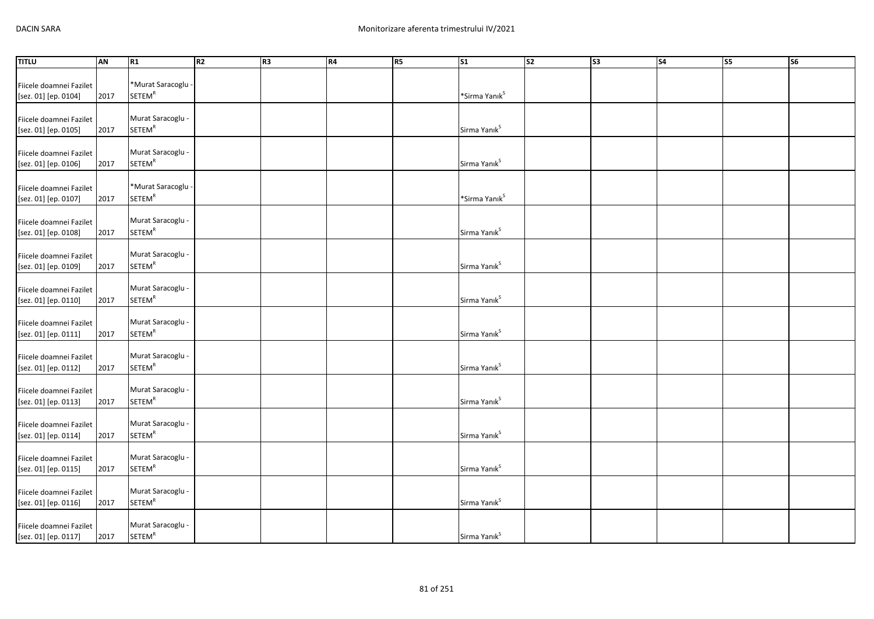| <b>TITLU</b>                                    | AN   | R1                                            | R2 | R <sub>3</sub> | R4 | R <sub>5</sub> | $\overline{\text{s1}}$    | $\overline{\text{S2}}$ | S3 | <b>S4</b> | <b>S5</b> | <b>S6</b> |
|-------------------------------------------------|------|-----------------------------------------------|----|----------------|----|----------------|---------------------------|------------------------|----|-----------|-----------|-----------|
|                                                 |      |                                               |    |                |    |                |                           |                        |    |           |           |           |
| Fiicele doamnei Fazilet                         |      | *Murat Saracoglu -                            |    |                |    |                |                           |                        |    |           |           |           |
| [sez. 01] [ep. 0104]                            | 2017 | <b>SETEM<sup>R</sup></b>                      |    |                |    |                | *Sirma Yanık <sup>s</sup> |                        |    |           |           |           |
|                                                 |      | Murat Saracoglu -                             |    |                |    |                |                           |                        |    |           |           |           |
| Fiicele doamnei Fazilet<br>[sez. 01] [ep. 0105] | 2017 | <b>SETEM<sup>R</sup></b>                      |    |                |    |                | Sirma Yanık <sup>s</sup>  |                        |    |           |           |           |
|                                                 |      |                                               |    |                |    |                |                           |                        |    |           |           |           |
| Fiicele doamnei Fazilet                         |      | Murat Saracoglu -                             |    |                |    |                |                           |                        |    |           |           |           |
| [sez. 01] [ep. 0106]                            | 2017 | <b>SETEM<sup>R</sup></b>                      |    |                |    |                | Sirma Yanık <sup>S</sup>  |                        |    |           |           |           |
|                                                 |      |                                               |    |                |    |                |                           |                        |    |           |           |           |
| Fiicele doamnei Fazilet                         |      | *Murat Saracoglu -                            |    |                |    |                |                           |                        |    |           |           |           |
| [sez. 01] [ep. 0107]                            | 2017 | <b>SETEM<sup>R</sup></b>                      |    |                |    |                | *Sirma Yanık <sup>S</sup> |                        |    |           |           |           |
|                                                 |      |                                               |    |                |    |                |                           |                        |    |           |           |           |
| Fiicele doamnei Fazilet                         |      | Murat Saracoglu -                             |    |                |    |                |                           |                        |    |           |           |           |
| [sez. 01] [ep. 0108]                            | 2017 | <b>SETEM<sup>R</sup></b>                      |    |                |    |                | Sirma Yanık <sup>S</sup>  |                        |    |           |           |           |
|                                                 |      |                                               |    |                |    |                |                           |                        |    |           |           |           |
| Fiicele doamnei Fazilet                         |      | Murat Saracoglu -                             |    |                |    |                |                           |                        |    |           |           |           |
| [sez. 01] [ep. 0109]                            | 2017 | <b>SETEM<sup>R</sup></b>                      |    |                |    |                | Sirma Yanık <sup>s</sup>  |                        |    |           |           |           |
|                                                 |      |                                               |    |                |    |                |                           |                        |    |           |           |           |
| Fiicele doamnei Fazilet                         | 2017 | Murat Saracoglu -<br><b>SETEM<sup>R</sup></b> |    |                |    |                | Sirma Yanık <sup>S</sup>  |                        |    |           |           |           |
| [sez. 01] [ep. 0110]                            |      |                                               |    |                |    |                |                           |                        |    |           |           |           |
| Fiicele doamnei Fazilet                         |      | Murat Saracoglu -                             |    |                |    |                |                           |                        |    |           |           |           |
| [sez. 01] [ep. 0111]                            | 2017 | <b>SETEM<sup>R</sup></b>                      |    |                |    |                | Sirma Yanık <sup>s</sup>  |                        |    |           |           |           |
|                                                 |      |                                               |    |                |    |                |                           |                        |    |           |           |           |
| Fiicele doamnei Fazilet                         |      | Murat Saracoglu -                             |    |                |    |                |                           |                        |    |           |           |           |
| [sez. 01] [ep. 0112]                            | 2017 | <b>SETEM<sup>R</sup></b>                      |    |                |    |                | Sirma Yanık <sup>s</sup>  |                        |    |           |           |           |
|                                                 |      |                                               |    |                |    |                |                           |                        |    |           |           |           |
| Fiicele doamnei Fazilet                         |      | Murat Saracoglu -                             |    |                |    |                |                           |                        |    |           |           |           |
| [sez. 01] [ep. 0113]                            | 2017 | SETEM <sup>R</sup>                            |    |                |    |                | Sirma Yanık <sup>S</sup>  |                        |    |           |           |           |
|                                                 |      |                                               |    |                |    |                |                           |                        |    |           |           |           |
| Fiicele doamnei Fazilet                         |      | Murat Saracoglu -<br><b>SETEM<sup>R</sup></b> |    |                |    |                |                           |                        |    |           |           |           |
| [sez. 01] [ep. 0114]                            | 2017 |                                               |    |                |    |                | Sirma Yanık <sup>s</sup>  |                        |    |           |           |           |
|                                                 |      | Murat Saracoglu -                             |    |                |    |                |                           |                        |    |           |           |           |
| Fiicele doamnei Fazilet<br>[sez. 01] [ep. 0115] | 2017 | <b>SETEM<sup>R</sup></b>                      |    |                |    |                | Sirma Yanık <sup>s</sup>  |                        |    |           |           |           |
|                                                 |      |                                               |    |                |    |                |                           |                        |    |           |           |           |
| Fiicele doamnei Fazilet                         |      | Murat Saracoglu -                             |    |                |    |                |                           |                        |    |           |           |           |
| [sez. 01] [ep. 0116]                            | 2017 | <b>SETEM<sup>R</sup></b>                      |    |                |    |                | Sirma Yanık <sup>s</sup>  |                        |    |           |           |           |
|                                                 |      |                                               |    |                |    |                |                           |                        |    |           |           |           |
| Fiicele doamnei Fazilet                         |      | Murat Saracoglu -                             |    |                |    |                |                           |                        |    |           |           |           |
| [sez. 01] [ep. 0117]                            | 2017 | <b>SETEM<sup>R</sup></b>                      |    |                |    |                | Sirma Yanık <sup>s</sup>  |                        |    |           |           |           |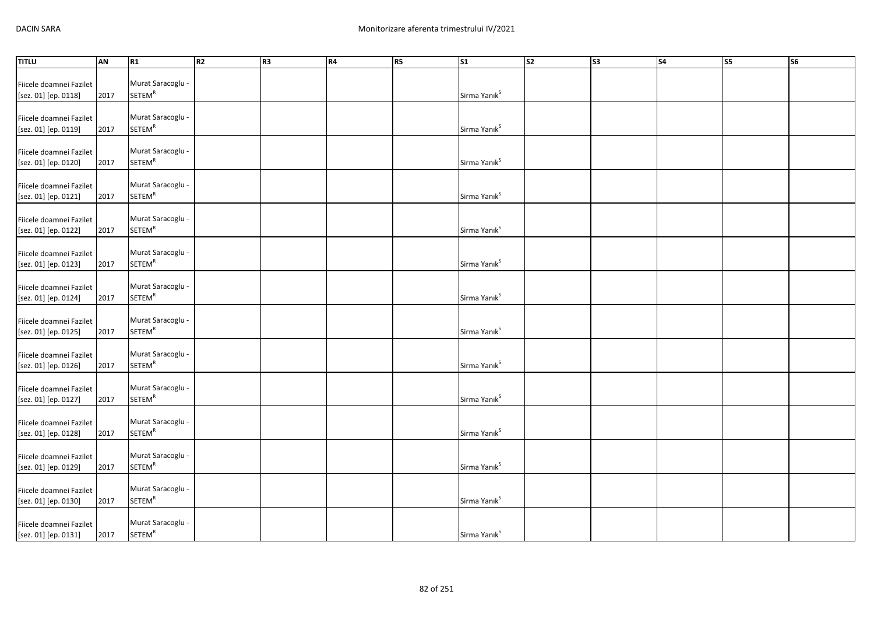| Murat Saracoglu -<br><b>SETEM<sup>R</sup></b><br>Sirma Yanık <sup>S</sup><br>2017<br>Murat Saracoglu -<br><b>SETEM<sup>R</sup></b><br>Sirma Yanık <sup>s</sup><br>2017<br>Murat Saracoglu -<br><b>SETEM<sup>R</sup></b><br>Sirma Yanık <sup>s</sup><br>[sez. 01] [ep. 0120]<br>2017<br>Murat Saracoglu -<br><b>SETEM<sup>R</sup></b><br>Sirma Yanık <sup>s</sup><br>2017<br>[sez. 01] [ep. 0121]<br>Murat Saracoglu -<br><b>SETEM<sup>R</sup></b><br>Sirma Yanık <sup>s</sup><br>2017<br>[sez. 01] [ep. 0122]<br>Murat Saracoglu -<br><b>SETEM<sup>R</sup></b><br>Sirma Yanık <sup>S</sup><br>[sez. 01] [ep. 0123]<br>2017<br>Murat Saracoglu -<br>Fiicele doamnei Fazilet<br><b>SETEM<sup>R</sup></b><br>Sirma Yanık <sup>s</sup><br>2017<br>[sez. 01] [ep. 0124]<br>Murat Saracoglu -<br>Fiicele doamnei Fazilet<br><b>SETEM<sup>R</sup></b><br>Sirma Yanık <sup>S</sup><br>[sez. 01] [ep. 0125]<br>2017<br>Murat Saracoglu -<br>Fiicele doamnei Fazilet<br><b>SETEM<sup>R</sup></b><br>Sirma Yanık <sup>s</sup><br>2017<br>[sez. 01] [ep. 0126]<br>Murat Saracoglu -<br>Fiicele doamnei Fazilet<br><b>SETEM<sup>R</sup></b><br>Sirma Yanık <sup>s</sup><br>2017<br>[sez. 01] [ep. 0127]<br>Murat Saracoglu -<br>Fiicele doamnei Fazilet<br><b>SETEM<sup>R</sup></b><br>Sirma Yanık <sup>s</sup><br>[sez. 01] [ep. 0128]<br>2017<br>Murat Saracoglu -<br>Fiicele doamnei Fazilet<br><b>SETEM<sup>R</sup></b><br>Sirma Yanık <sup>s</sup><br>2017<br>[sez. 01] [ep. 0129]<br>Murat Saracoglu -<br>Fiicele doamnei Fazilet<br><b>SETEM<sup>R</sup></b><br>Sirma Yanık <sup>s</sup><br>[sez. 01] [ep. 0130]<br>2017 | <b>TITLU</b>            | AN | R1                | R2 | R <sub>3</sub> | R4 | R <sub>5</sub> | $\overline{\text{s1}}$ | S <sub>2</sub> | S3 | <b>S4</b> | <b>S5</b> | <b>S6</b> |
|--------------------------------------------------------------------------------------------------------------------------------------------------------------------------------------------------------------------------------------------------------------------------------------------------------------------------------------------------------------------------------------------------------------------------------------------------------------------------------------------------------------------------------------------------------------------------------------------------------------------------------------------------------------------------------------------------------------------------------------------------------------------------------------------------------------------------------------------------------------------------------------------------------------------------------------------------------------------------------------------------------------------------------------------------------------------------------------------------------------------------------------------------------------------------------------------------------------------------------------------------------------------------------------------------------------------------------------------------------------------------------------------------------------------------------------------------------------------------------------------------------------------------------------------------------------------------------------------------------------------|-------------------------|----|-------------------|----|----------------|----|----------------|------------------------|----------------|----|-----------|-----------|-----------|
|                                                                                                                                                                                                                                                                                                                                                                                                                                                                                                                                                                                                                                                                                                                                                                                                                                                                                                                                                                                                                                                                                                                                                                                                                                                                                                                                                                                                                                                                                                                                                                                                                    |                         |    |                   |    |                |    |                |                        |                |    |           |           |           |
|                                                                                                                                                                                                                                                                                                                                                                                                                                                                                                                                                                                                                                                                                                                                                                                                                                                                                                                                                                                                                                                                                                                                                                                                                                                                                                                                                                                                                                                                                                                                                                                                                    | Fiicele doamnei Fazilet |    |                   |    |                |    |                |                        |                |    |           |           |           |
|                                                                                                                                                                                                                                                                                                                                                                                                                                                                                                                                                                                                                                                                                                                                                                                                                                                                                                                                                                                                                                                                                                                                                                                                                                                                                                                                                                                                                                                                                                                                                                                                                    | [sez. 01] [ep. 0118]    |    |                   |    |                |    |                |                        |                |    |           |           |           |
|                                                                                                                                                                                                                                                                                                                                                                                                                                                                                                                                                                                                                                                                                                                                                                                                                                                                                                                                                                                                                                                                                                                                                                                                                                                                                                                                                                                                                                                                                                                                                                                                                    |                         |    |                   |    |                |    |                |                        |                |    |           |           |           |
|                                                                                                                                                                                                                                                                                                                                                                                                                                                                                                                                                                                                                                                                                                                                                                                                                                                                                                                                                                                                                                                                                                                                                                                                                                                                                                                                                                                                                                                                                                                                                                                                                    | Fiicele doamnei Fazilet |    |                   |    |                |    |                |                        |                |    |           |           |           |
|                                                                                                                                                                                                                                                                                                                                                                                                                                                                                                                                                                                                                                                                                                                                                                                                                                                                                                                                                                                                                                                                                                                                                                                                                                                                                                                                                                                                                                                                                                                                                                                                                    | [sez. 01] [ep. 0119]    |    |                   |    |                |    |                |                        |                |    |           |           |           |
|                                                                                                                                                                                                                                                                                                                                                                                                                                                                                                                                                                                                                                                                                                                                                                                                                                                                                                                                                                                                                                                                                                                                                                                                                                                                                                                                                                                                                                                                                                                                                                                                                    |                         |    |                   |    |                |    |                |                        |                |    |           |           |           |
|                                                                                                                                                                                                                                                                                                                                                                                                                                                                                                                                                                                                                                                                                                                                                                                                                                                                                                                                                                                                                                                                                                                                                                                                                                                                                                                                                                                                                                                                                                                                                                                                                    | Fiicele doamnei Fazilet |    |                   |    |                |    |                |                        |                |    |           |           |           |
|                                                                                                                                                                                                                                                                                                                                                                                                                                                                                                                                                                                                                                                                                                                                                                                                                                                                                                                                                                                                                                                                                                                                                                                                                                                                                                                                                                                                                                                                                                                                                                                                                    |                         |    |                   |    |                |    |                |                        |                |    |           |           |           |
|                                                                                                                                                                                                                                                                                                                                                                                                                                                                                                                                                                                                                                                                                                                                                                                                                                                                                                                                                                                                                                                                                                                                                                                                                                                                                                                                                                                                                                                                                                                                                                                                                    |                         |    |                   |    |                |    |                |                        |                |    |           |           |           |
|                                                                                                                                                                                                                                                                                                                                                                                                                                                                                                                                                                                                                                                                                                                                                                                                                                                                                                                                                                                                                                                                                                                                                                                                                                                                                                                                                                                                                                                                                                                                                                                                                    | Fiicele doamnei Fazilet |    |                   |    |                |    |                |                        |                |    |           |           |           |
|                                                                                                                                                                                                                                                                                                                                                                                                                                                                                                                                                                                                                                                                                                                                                                                                                                                                                                                                                                                                                                                                                                                                                                                                                                                                                                                                                                                                                                                                                                                                                                                                                    |                         |    |                   |    |                |    |                |                        |                |    |           |           |           |
|                                                                                                                                                                                                                                                                                                                                                                                                                                                                                                                                                                                                                                                                                                                                                                                                                                                                                                                                                                                                                                                                                                                                                                                                                                                                                                                                                                                                                                                                                                                                                                                                                    |                         |    |                   |    |                |    |                |                        |                |    |           |           |           |
|                                                                                                                                                                                                                                                                                                                                                                                                                                                                                                                                                                                                                                                                                                                                                                                                                                                                                                                                                                                                                                                                                                                                                                                                                                                                                                                                                                                                                                                                                                                                                                                                                    | Fiicele doamnei Fazilet |    |                   |    |                |    |                |                        |                |    |           |           |           |
|                                                                                                                                                                                                                                                                                                                                                                                                                                                                                                                                                                                                                                                                                                                                                                                                                                                                                                                                                                                                                                                                                                                                                                                                                                                                                                                                                                                                                                                                                                                                                                                                                    |                         |    |                   |    |                |    |                |                        |                |    |           |           |           |
|                                                                                                                                                                                                                                                                                                                                                                                                                                                                                                                                                                                                                                                                                                                                                                                                                                                                                                                                                                                                                                                                                                                                                                                                                                                                                                                                                                                                                                                                                                                                                                                                                    |                         |    |                   |    |                |    |                |                        |                |    |           |           |           |
|                                                                                                                                                                                                                                                                                                                                                                                                                                                                                                                                                                                                                                                                                                                                                                                                                                                                                                                                                                                                                                                                                                                                                                                                                                                                                                                                                                                                                                                                                                                                                                                                                    | Fiicele doamnei Fazilet |    |                   |    |                |    |                |                        |                |    |           |           |           |
|                                                                                                                                                                                                                                                                                                                                                                                                                                                                                                                                                                                                                                                                                                                                                                                                                                                                                                                                                                                                                                                                                                                                                                                                                                                                                                                                                                                                                                                                                                                                                                                                                    |                         |    |                   |    |                |    |                |                        |                |    |           |           |           |
|                                                                                                                                                                                                                                                                                                                                                                                                                                                                                                                                                                                                                                                                                                                                                                                                                                                                                                                                                                                                                                                                                                                                                                                                                                                                                                                                                                                                                                                                                                                                                                                                                    |                         |    |                   |    |                |    |                |                        |                |    |           |           |           |
|                                                                                                                                                                                                                                                                                                                                                                                                                                                                                                                                                                                                                                                                                                                                                                                                                                                                                                                                                                                                                                                                                                                                                                                                                                                                                                                                                                                                                                                                                                                                                                                                                    |                         |    |                   |    |                |    |                |                        |                |    |           |           |           |
|                                                                                                                                                                                                                                                                                                                                                                                                                                                                                                                                                                                                                                                                                                                                                                                                                                                                                                                                                                                                                                                                                                                                                                                                                                                                                                                                                                                                                                                                                                                                                                                                                    |                         |    |                   |    |                |    |                |                        |                |    |           |           |           |
|                                                                                                                                                                                                                                                                                                                                                                                                                                                                                                                                                                                                                                                                                                                                                                                                                                                                                                                                                                                                                                                                                                                                                                                                                                                                                                                                                                                                                                                                                                                                                                                                                    |                         |    |                   |    |                |    |                |                        |                |    |           |           |           |
|                                                                                                                                                                                                                                                                                                                                                                                                                                                                                                                                                                                                                                                                                                                                                                                                                                                                                                                                                                                                                                                                                                                                                                                                                                                                                                                                                                                                                                                                                                                                                                                                                    |                         |    |                   |    |                |    |                |                        |                |    |           |           |           |
|                                                                                                                                                                                                                                                                                                                                                                                                                                                                                                                                                                                                                                                                                                                                                                                                                                                                                                                                                                                                                                                                                                                                                                                                                                                                                                                                                                                                                                                                                                                                                                                                                    |                         |    |                   |    |                |    |                |                        |                |    |           |           |           |
|                                                                                                                                                                                                                                                                                                                                                                                                                                                                                                                                                                                                                                                                                                                                                                                                                                                                                                                                                                                                                                                                                                                                                                                                                                                                                                                                                                                                                                                                                                                                                                                                                    |                         |    |                   |    |                |    |                |                        |                |    |           |           |           |
|                                                                                                                                                                                                                                                                                                                                                                                                                                                                                                                                                                                                                                                                                                                                                                                                                                                                                                                                                                                                                                                                                                                                                                                                                                                                                                                                                                                                                                                                                                                                                                                                                    |                         |    |                   |    |                |    |                |                        |                |    |           |           |           |
|                                                                                                                                                                                                                                                                                                                                                                                                                                                                                                                                                                                                                                                                                                                                                                                                                                                                                                                                                                                                                                                                                                                                                                                                                                                                                                                                                                                                                                                                                                                                                                                                                    |                         |    |                   |    |                |    |                |                        |                |    |           |           |           |
|                                                                                                                                                                                                                                                                                                                                                                                                                                                                                                                                                                                                                                                                                                                                                                                                                                                                                                                                                                                                                                                                                                                                                                                                                                                                                                                                                                                                                                                                                                                                                                                                                    |                         |    |                   |    |                |    |                |                        |                |    |           |           |           |
|                                                                                                                                                                                                                                                                                                                                                                                                                                                                                                                                                                                                                                                                                                                                                                                                                                                                                                                                                                                                                                                                                                                                                                                                                                                                                                                                                                                                                                                                                                                                                                                                                    |                         |    |                   |    |                |    |                |                        |                |    |           |           |           |
|                                                                                                                                                                                                                                                                                                                                                                                                                                                                                                                                                                                                                                                                                                                                                                                                                                                                                                                                                                                                                                                                                                                                                                                                                                                                                                                                                                                                                                                                                                                                                                                                                    |                         |    |                   |    |                |    |                |                        |                |    |           |           |           |
|                                                                                                                                                                                                                                                                                                                                                                                                                                                                                                                                                                                                                                                                                                                                                                                                                                                                                                                                                                                                                                                                                                                                                                                                                                                                                                                                                                                                                                                                                                                                                                                                                    |                         |    |                   |    |                |    |                |                        |                |    |           |           |           |
|                                                                                                                                                                                                                                                                                                                                                                                                                                                                                                                                                                                                                                                                                                                                                                                                                                                                                                                                                                                                                                                                                                                                                                                                                                                                                                                                                                                                                                                                                                                                                                                                                    |                         |    |                   |    |                |    |                |                        |                |    |           |           |           |
|                                                                                                                                                                                                                                                                                                                                                                                                                                                                                                                                                                                                                                                                                                                                                                                                                                                                                                                                                                                                                                                                                                                                                                                                                                                                                                                                                                                                                                                                                                                                                                                                                    |                         |    |                   |    |                |    |                |                        |                |    |           |           |           |
|                                                                                                                                                                                                                                                                                                                                                                                                                                                                                                                                                                                                                                                                                                                                                                                                                                                                                                                                                                                                                                                                                                                                                                                                                                                                                                                                                                                                                                                                                                                                                                                                                    |                         |    |                   |    |                |    |                |                        |                |    |           |           |           |
|                                                                                                                                                                                                                                                                                                                                                                                                                                                                                                                                                                                                                                                                                                                                                                                                                                                                                                                                                                                                                                                                                                                                                                                                                                                                                                                                                                                                                                                                                                                                                                                                                    |                         |    |                   |    |                |    |                |                        |                |    |           |           |           |
|                                                                                                                                                                                                                                                                                                                                                                                                                                                                                                                                                                                                                                                                                                                                                                                                                                                                                                                                                                                                                                                                                                                                                                                                                                                                                                                                                                                                                                                                                                                                                                                                                    |                         |    |                   |    |                |    |                |                        |                |    |           |           |           |
|                                                                                                                                                                                                                                                                                                                                                                                                                                                                                                                                                                                                                                                                                                                                                                                                                                                                                                                                                                                                                                                                                                                                                                                                                                                                                                                                                                                                                                                                                                                                                                                                                    |                         |    |                   |    |                |    |                |                        |                |    |           |           |           |
|                                                                                                                                                                                                                                                                                                                                                                                                                                                                                                                                                                                                                                                                                                                                                                                                                                                                                                                                                                                                                                                                                                                                                                                                                                                                                                                                                                                                                                                                                                                                                                                                                    |                         |    |                   |    |                |    |                |                        |                |    |           |           |           |
|                                                                                                                                                                                                                                                                                                                                                                                                                                                                                                                                                                                                                                                                                                                                                                                                                                                                                                                                                                                                                                                                                                                                                                                                                                                                                                                                                                                                                                                                                                                                                                                                                    |                         |    |                   |    |                |    |                |                        |                |    |           |           |           |
|                                                                                                                                                                                                                                                                                                                                                                                                                                                                                                                                                                                                                                                                                                                                                                                                                                                                                                                                                                                                                                                                                                                                                                                                                                                                                                                                                                                                                                                                                                                                                                                                                    | Fiicele doamnei Fazilet |    | Murat Saracoglu - |    |                |    |                |                        |                |    |           |           |           |
| <b>SETEM<sup>R</sup></b><br>Sirma Yanık <sup>s</sup><br>2017                                                                                                                                                                                                                                                                                                                                                                                                                                                                                                                                                                                                                                                                                                                                                                                                                                                                                                                                                                                                                                                                                                                                                                                                                                                                                                                                                                                                                                                                                                                                                       | [sez. 01] [ep. 0131]    |    |                   |    |                |    |                |                        |                |    |           |           |           |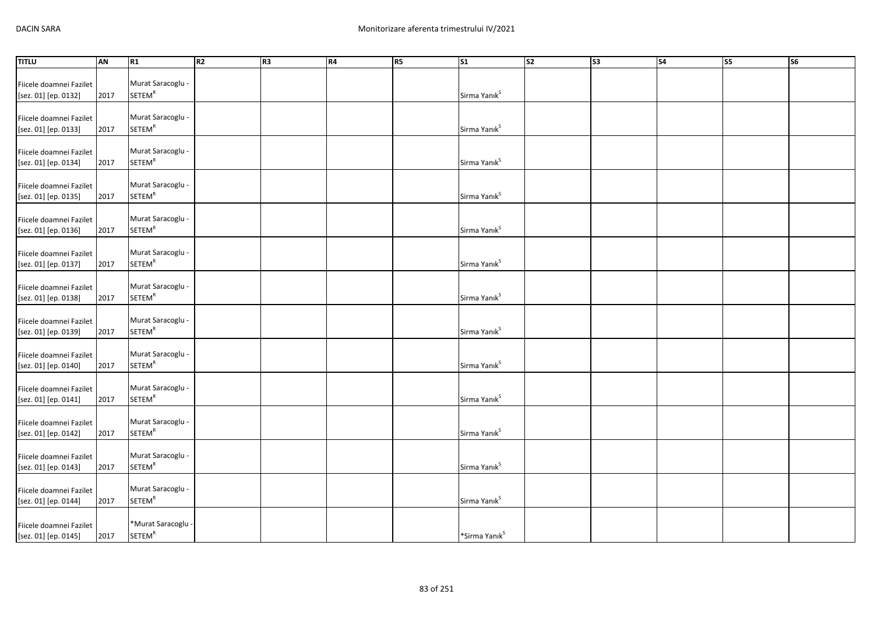| <b>TITLU</b>                                    | AN   | R1                                            | R2 | R <sub>3</sub> | R4 | R <sub>5</sub> | $\overline{\text{s1}}$    | S <sub>2</sub> | S3 | <b>S4</b> | <b>S5</b> | <b>S6</b> |
|-------------------------------------------------|------|-----------------------------------------------|----|----------------|----|----------------|---------------------------|----------------|----|-----------|-----------|-----------|
|                                                 |      |                                               |    |                |    |                |                           |                |    |           |           |           |
| Fiicele doamnei Fazilet                         |      | Murat Saracoglu -                             |    |                |    |                |                           |                |    |           |           |           |
| [sez. 01] [ep. 0132]                            | 2017 | <b>SETEM<sup>R</sup></b>                      |    |                |    |                | Sirma Yanık <sup>S</sup>  |                |    |           |           |           |
|                                                 |      |                                               |    |                |    |                |                           |                |    |           |           |           |
| Fiicele doamnei Fazilet                         |      | Murat Saracoglu -                             |    |                |    |                |                           |                |    |           |           |           |
| [sez. 01] [ep. 0133]                            | 2017 | <b>SETEM<sup>R</sup></b>                      |    |                |    |                | Sirma Yanık <sup>s</sup>  |                |    |           |           |           |
|                                                 |      |                                               |    |                |    |                |                           |                |    |           |           |           |
| Fiicele doamnei Fazilet                         |      | Murat Saracoglu -                             |    |                |    |                |                           |                |    |           |           |           |
| [sez. 01] [ep. 0134]                            | 2017 | <b>SETEM<sup>R</sup></b>                      |    |                |    |                | Sirma Yanık <sup>s</sup>  |                |    |           |           |           |
|                                                 |      |                                               |    |                |    |                |                           |                |    |           |           |           |
| Fiicele doamnei Fazilet                         |      | Murat Saracoglu -                             |    |                |    |                |                           |                |    |           |           |           |
| [sez. 01] [ep. 0135]                            | 2017 | <b>SETEM<sup>R</sup></b>                      |    |                |    |                | Sirma Yanık <sup>S</sup>  |                |    |           |           |           |
|                                                 |      |                                               |    |                |    |                |                           |                |    |           |           |           |
| Fiicele doamnei Fazilet                         |      | Murat Saracoglu -<br><b>SETEM<sup>R</sup></b> |    |                |    |                |                           |                |    |           |           |           |
| [sez. 01] [ep. 0136]                            | 2017 |                                               |    |                |    |                | Sirma Yanık <sup>S</sup>  |                |    |           |           |           |
|                                                 |      | Murat Saracoglu -                             |    |                |    |                |                           |                |    |           |           |           |
| Fiicele doamnei Fazilet                         | 2017 | <b>SETEM<sup>R</sup></b>                      |    |                |    |                | Sirma Yanık <sup>S</sup>  |                |    |           |           |           |
| [sez. 01] [ep. 0137]                            |      |                                               |    |                |    |                |                           |                |    |           |           |           |
|                                                 |      | Murat Saracoglu -                             |    |                |    |                |                           |                |    |           |           |           |
| Fiicele doamnei Fazilet<br>[sez. 01] [ep. 0138] | 2017 | <b>SETEM<sup>R</sup></b>                      |    |                |    |                | Sirma Yanık <sup>S</sup>  |                |    |           |           |           |
|                                                 |      |                                               |    |                |    |                |                           |                |    |           |           |           |
| Fiicele doamnei Fazilet                         |      | Murat Saracoglu -                             |    |                |    |                |                           |                |    |           |           |           |
| [sez. 01] [ep. 0139]                            | 2017 | <b>SETEM<sup>R</sup></b>                      |    |                |    |                | Sirma Yanık <sup>s</sup>  |                |    |           |           |           |
|                                                 |      |                                               |    |                |    |                |                           |                |    |           |           |           |
| Fiicele doamnei Fazilet                         |      | Murat Saracoglu -                             |    |                |    |                |                           |                |    |           |           |           |
| [sez. 01] [ep. 0140]                            | 2017 | SETEM <sup>R</sup>                            |    |                |    |                | Sirma Yanık <sup>s</sup>  |                |    |           |           |           |
|                                                 |      |                                               |    |                |    |                |                           |                |    |           |           |           |
| Fiicele doamnei Fazilet                         |      | Murat Saracoglu -                             |    |                |    |                |                           |                |    |           |           |           |
| [sez. 01] [ep. 0141]                            | 2017 | <b>SETEM<sup>R</sup></b>                      |    |                |    |                | Sirma Yanık <sup>s</sup>  |                |    |           |           |           |
|                                                 |      |                                               |    |                |    |                |                           |                |    |           |           |           |
| Fiicele doamnei Fazilet                         |      | Murat Saracoglu -                             |    |                |    |                |                           |                |    |           |           |           |
| [sez. 01] [ep. 0142]                            | 2017 | <b>SETEM<sup>R</sup></b>                      |    |                |    |                | Sirma Yanık <sup>S</sup>  |                |    |           |           |           |
|                                                 |      |                                               |    |                |    |                |                           |                |    |           |           |           |
| Fiicele doamnei Fazilet                         |      | Murat Saracoglu -                             |    |                |    |                |                           |                |    |           |           |           |
| [sez. 01] [ep. 0143]                            | 2017 | <b>SETEM<sup>R</sup></b>                      |    |                |    |                | Sirma Yanık <sup>S</sup>  |                |    |           |           |           |
|                                                 |      |                                               |    |                |    |                |                           |                |    |           |           |           |
| Fiicele doamnei Fazilet                         |      | Murat Saracoglu -                             |    |                |    |                |                           |                |    |           |           |           |
| [sez. 01] [ep. 0144]                            | 2017 | <b>SETEM<sup>R</sup></b>                      |    |                |    |                | Sirma Yanık <sup>s</sup>  |                |    |           |           |           |
|                                                 |      |                                               |    |                |    |                |                           |                |    |           |           |           |
| Fiicele doamnei Fazilet                         |      | *Murat Saracoglu -                            |    |                |    |                |                           |                |    |           |           |           |
| [sez. 01] [ep. 0145]                            | 2017 | <b>SETEM<sup>R</sup></b>                      |    |                |    |                | *Sirma Yanık <sup>S</sup> |                |    |           |           |           |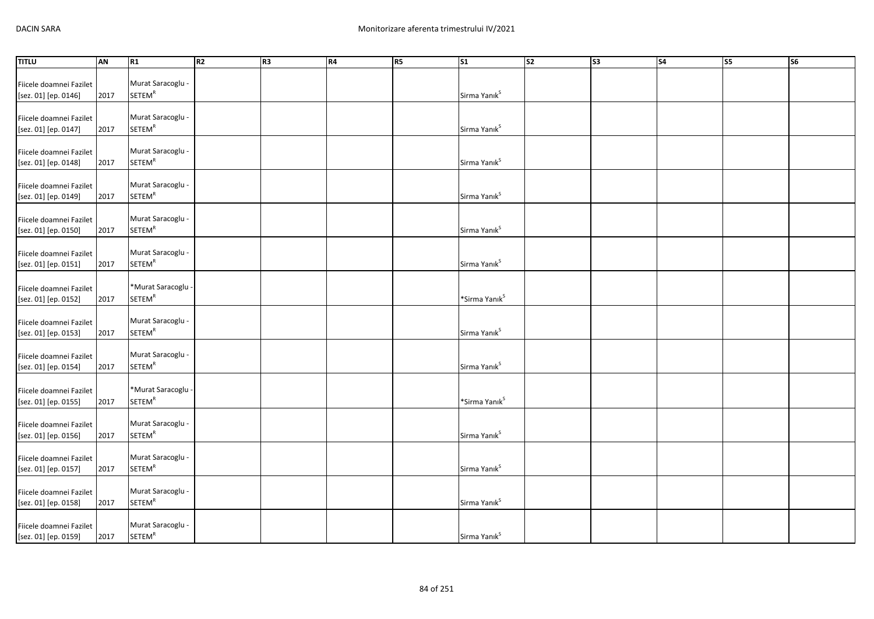| <b>TITLU</b>                                    | AN   | R1                                            | R2 | R <sub>3</sub> | R4 | R <sub>5</sub> | $\overline{\text{s1}}$    | S <sub>2</sub> | S3 | <b>S4</b> | <b>S5</b> | <b>S6</b> |
|-------------------------------------------------|------|-----------------------------------------------|----|----------------|----|----------------|---------------------------|----------------|----|-----------|-----------|-----------|
|                                                 |      |                                               |    |                |    |                |                           |                |    |           |           |           |
| Fiicele doamnei Fazilet                         |      | Murat Saracoglu -                             |    |                |    |                |                           |                |    |           |           |           |
| [sez. 01] [ep. 0146]                            | 2017 | <b>SETEM<sup>R</sup></b>                      |    |                |    |                | Sirma Yanık <sup>S</sup>  |                |    |           |           |           |
|                                                 |      |                                               |    |                |    |                |                           |                |    |           |           |           |
| Fiicele doamnei Fazilet                         |      | Murat Saracoglu -                             |    |                |    |                |                           |                |    |           |           |           |
| [sez. 01] [ep. 0147]                            | 2017 | <b>SETEM<sup>R</sup></b>                      |    |                |    |                | Sirma Yanık <sup>S</sup>  |                |    |           |           |           |
|                                                 |      |                                               |    |                |    |                |                           |                |    |           |           |           |
| Fiicele doamnei Fazilet                         |      | Murat Saracoglu -                             |    |                |    |                |                           |                |    |           |           |           |
| [sez. 01] [ep. 0148]                            | 2017 | <b>SETEM<sup>R</sup></b>                      |    |                |    |                | Sirma Yanık <sup>s</sup>  |                |    |           |           |           |
|                                                 |      |                                               |    |                |    |                |                           |                |    |           |           |           |
| Fiicele doamnei Fazilet                         |      | Murat Saracoglu -                             |    |                |    |                |                           |                |    |           |           |           |
| [sez. 01] [ep. 0149]                            | 2017 | <b>SETEM<sup>R</sup></b>                      |    |                |    |                | Sirma Yanık <sup>s</sup>  |                |    |           |           |           |
|                                                 |      |                                               |    |                |    |                |                           |                |    |           |           |           |
| Fiicele doamnei Fazilet                         |      | Murat Saracoglu -                             |    |                |    |                |                           |                |    |           |           |           |
| [sez. 01] [ep. 0150]                            | 2017 | <b>SETEM<sup>R</sup></b>                      |    |                |    |                | Sirma Yanık <sup>s</sup>  |                |    |           |           |           |
|                                                 |      |                                               |    |                |    |                |                           |                |    |           |           |           |
| Fiicele doamnei Fazilet                         |      | Murat Saracoglu -                             |    |                |    |                |                           |                |    |           |           |           |
| [sez. 01] [ep. 0151]                            | 2017 | <b>SETEM<sup>R</sup></b>                      |    |                |    |                | Sirma Yanık <sup>s</sup>  |                |    |           |           |           |
|                                                 |      |                                               |    |                |    |                |                           |                |    |           |           |           |
| Fiicele doamnei Fazilet                         |      | *Murat Saracoglu -                            |    |                |    |                |                           |                |    |           |           |           |
| [sez. 01] [ep. 0152]                            | 2017 | <b>SETEM<sup>R</sup></b>                      |    |                |    |                | *Sirma Yanık <sup>s</sup> |                |    |           |           |           |
|                                                 |      |                                               |    |                |    |                |                           |                |    |           |           |           |
| Fiicele doamnei Fazilet                         |      | Murat Saracoglu -<br><b>SETEM<sup>R</sup></b> |    |                |    |                |                           |                |    |           |           |           |
| [sez. 01] [ep. 0153]                            | 2017 |                                               |    |                |    |                | Sirma Yanık <sup>S</sup>  |                |    |           |           |           |
|                                                 |      | Murat Saracoglu -                             |    |                |    |                |                           |                |    |           |           |           |
| Fiicele doamnei Fazilet<br>[sez. 01] [ep. 0154] | 2017 | SETEM <sup>R</sup>                            |    |                |    |                | Sirma Yanık <sup>s</sup>  |                |    |           |           |           |
|                                                 |      |                                               |    |                |    |                |                           |                |    |           |           |           |
|                                                 |      | *Murat Saracoglu -                            |    |                |    |                |                           |                |    |           |           |           |
| Fiicele doamnei Fazilet                         | 2017 | SETEM <sup>R</sup>                            |    |                |    |                | *Sirma Yanık <sup>S</sup> |                |    |           |           |           |
| [sez. 01] [ep. 0155]                            |      |                                               |    |                |    |                |                           |                |    |           |           |           |
| Fiicele doamnei Fazilet                         |      | Murat Saracoglu -                             |    |                |    |                |                           |                |    |           |           |           |
| [sez. 01] [ep. 0156]                            | 2017 | <b>SETEM<sup>R</sup></b>                      |    |                |    |                | Sirma Yanık <sup>s</sup>  |                |    |           |           |           |
|                                                 |      |                                               |    |                |    |                |                           |                |    |           |           |           |
| Fiicele doamnei Fazilet                         |      | Murat Saracoglu -                             |    |                |    |                |                           |                |    |           |           |           |
| [sez. 01] [ep. 0157]                            | 2017 | <b>SETEM<sup>R</sup></b>                      |    |                |    |                | Sirma Yanık <sup>s</sup>  |                |    |           |           |           |
|                                                 |      |                                               |    |                |    |                |                           |                |    |           |           |           |
| Fiicele doamnei Fazilet                         |      | Murat Saracoglu -                             |    |                |    |                |                           |                |    |           |           |           |
| [sez. 01] [ep. 0158]                            | 2017 | <b>SETEM<sup>R</sup></b>                      |    |                |    |                | Sirma Yanık <sup>s</sup>  |                |    |           |           |           |
|                                                 |      |                                               |    |                |    |                |                           |                |    |           |           |           |
| Fiicele doamnei Fazilet                         |      | Murat Saracoglu -                             |    |                |    |                |                           |                |    |           |           |           |
| [sez. 01] [ep. 0159]                            | 2017 | <b>SETEM<sup>R</sup></b>                      |    |                |    |                | Sirma Yanık <sup>s</sup>  |                |    |           |           |           |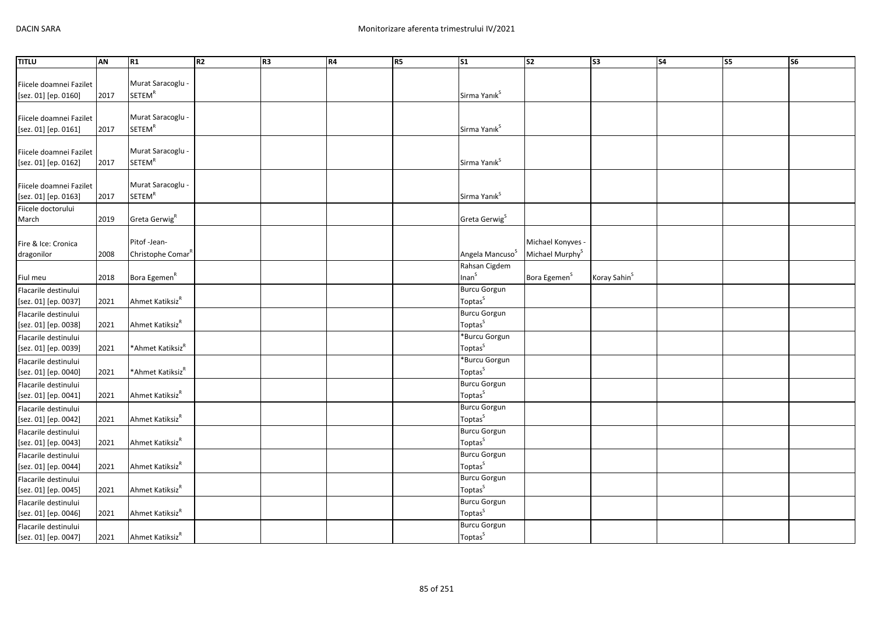| Murat Saracoglu -<br>Fiicele doamnei Fazilet<br><b>SETEM<sup>R</sup></b><br>Sirma Yanık <sup>S</sup><br>[sez. 01] [ep. 0160]<br>2017<br>Murat Saracoglu -<br>Fiicele doamnei Fazilet<br><b>SETEM<sup>R</sup></b><br>Sirma Yanık <sup>S</sup><br>[sez. 01] [ep. 0161]<br>2017<br>Murat Saracoglu -<br>Fiicele doamnei Fazilet<br>SETEM <sup>R</sup><br>Sirma Yanık <sup>S</sup><br>[sez. 01] [ep. 0162]<br>2017<br>Murat Saracoglu -<br>Fiicele doamnei Fazilet<br><b>SETEM<sup>R</sup></b><br>Sirma Yanık <sup>s</sup><br>2017<br>[sez. 01] [ep. 0163]<br>Fiicele doctorului<br>Greta Gerwig <sup>R</sup><br>Greta Gerwig <sup>S</sup><br>March<br>2019 | <b>TITLU</b> | AN | R1 | R <sub>2</sub> | R <sub>3</sub> | R4 | R <sub>5</sub> | $\overline{\text{S1}}$ | S <sub>2</sub> | $\overline{\text{S3}}$ | S <sub>4</sub> | S5 | S6 |
|---------------------------------------------------------------------------------------------------------------------------------------------------------------------------------------------------------------------------------------------------------------------------------------------------------------------------------------------------------------------------------------------------------------------------------------------------------------------------------------------------------------------------------------------------------------------------------------------------------------------------------------------------------|--------------|----|----|----------------|----------------|----|----------------|------------------------|----------------|------------------------|----------------|----|----|
|                                                                                                                                                                                                                                                                                                                                                                                                                                                                                                                                                                                                                                                         |              |    |    |                |                |    |                |                        |                |                        |                |    |    |
|                                                                                                                                                                                                                                                                                                                                                                                                                                                                                                                                                                                                                                                         |              |    |    |                |                |    |                |                        |                |                        |                |    |    |
|                                                                                                                                                                                                                                                                                                                                                                                                                                                                                                                                                                                                                                                         |              |    |    |                |                |    |                |                        |                |                        |                |    |    |
|                                                                                                                                                                                                                                                                                                                                                                                                                                                                                                                                                                                                                                                         |              |    |    |                |                |    |                |                        |                |                        |                |    |    |
|                                                                                                                                                                                                                                                                                                                                                                                                                                                                                                                                                                                                                                                         |              |    |    |                |                |    |                |                        |                |                        |                |    |    |
|                                                                                                                                                                                                                                                                                                                                                                                                                                                                                                                                                                                                                                                         |              |    |    |                |                |    |                |                        |                |                        |                |    |    |
|                                                                                                                                                                                                                                                                                                                                                                                                                                                                                                                                                                                                                                                         |              |    |    |                |                |    |                |                        |                |                        |                |    |    |
|                                                                                                                                                                                                                                                                                                                                                                                                                                                                                                                                                                                                                                                         |              |    |    |                |                |    |                |                        |                |                        |                |    |    |
|                                                                                                                                                                                                                                                                                                                                                                                                                                                                                                                                                                                                                                                         |              |    |    |                |                |    |                |                        |                |                        |                |    |    |
|                                                                                                                                                                                                                                                                                                                                                                                                                                                                                                                                                                                                                                                         |              |    |    |                |                |    |                |                        |                |                        |                |    |    |
|                                                                                                                                                                                                                                                                                                                                                                                                                                                                                                                                                                                                                                                         |              |    |    |                |                |    |                |                        |                |                        |                |    |    |
|                                                                                                                                                                                                                                                                                                                                                                                                                                                                                                                                                                                                                                                         |              |    |    |                |                |    |                |                        |                |                        |                |    |    |
|                                                                                                                                                                                                                                                                                                                                                                                                                                                                                                                                                                                                                                                         |              |    |    |                |                |    |                |                        |                |                        |                |    |    |
| Pitof-Jean-                                                                                                                                                                                                                                                                                                                                                                                                                                                                                                                                                                                                                                             |              |    |    |                |                |    |                |                        |                |                        |                |    |    |
| Michael Konyves -<br>Fire & Ice: Cronica<br>Angela Mancuso <sup>S</sup><br>2008<br>Christophe Comar <sup>R</sup>                                                                                                                                                                                                                                                                                                                                                                                                                                                                                                                                        |              |    |    |                |                |    |                |                        |                |                        |                |    |    |
| Michael Murphy <sup>S</sup><br>dragonilor<br>Rahsan Cigdem                                                                                                                                                                                                                                                                                                                                                                                                                                                                                                                                                                                              |              |    |    |                |                |    |                |                        |                |                        |                |    |    |
| Inan <sup>S</sup><br>Bora Egemen <sup>R</sup><br>Bora Egemen <sup>S</sup><br>Koray Sahin <sup>S</sup><br>2018<br>Fiul meu                                                                                                                                                                                                                                                                                                                                                                                                                                                                                                                               |              |    |    |                |                |    |                |                        |                |                        |                |    |    |
| <b>Burcu Gorgun</b><br>Flacarile destinului                                                                                                                                                                                                                                                                                                                                                                                                                                                                                                                                                                                                             |              |    |    |                |                |    |                |                        |                |                        |                |    |    |
| Toptas <sup>S</sup><br>Ahmet Katiksiz <sup>R</sup><br>[sez. 01] [ep. 0037]<br>2021                                                                                                                                                                                                                                                                                                                                                                                                                                                                                                                                                                      |              |    |    |                |                |    |                |                        |                |                        |                |    |    |
| <b>Burcu Gorgun</b><br>Flacarile destinului                                                                                                                                                                                                                                                                                                                                                                                                                                                                                                                                                                                                             |              |    |    |                |                |    |                |                        |                |                        |                |    |    |
| Toptas <sup>S</sup><br>Ahmet Katiksiz <sup>R</sup><br>[sez. 01] [ep. 0038]<br>2021                                                                                                                                                                                                                                                                                                                                                                                                                                                                                                                                                                      |              |    |    |                |                |    |                |                        |                |                        |                |    |    |
| *Burcu Gorgun<br>Flacarile destinului                                                                                                                                                                                                                                                                                                                                                                                                                                                                                                                                                                                                                   |              |    |    |                |                |    |                |                        |                |                        |                |    |    |
| Toptas <sup>S</sup><br>*Ahmet Katiksiz <sup>R</sup><br>[sez. 01] [ep. 0039]<br>2021                                                                                                                                                                                                                                                                                                                                                                                                                                                                                                                                                                     |              |    |    |                |                |    |                |                        |                |                        |                |    |    |
| *Burcu Gorgun<br>Flacarile destinului                                                                                                                                                                                                                                                                                                                                                                                                                                                                                                                                                                                                                   |              |    |    |                |                |    |                |                        |                |                        |                |    |    |
| Toptas <sup>S</sup><br>*Ahmet Katiksiz <sup>R</sup><br>[sez. 01] [ep. 0040]<br>2021                                                                                                                                                                                                                                                                                                                                                                                                                                                                                                                                                                     |              |    |    |                |                |    |                |                        |                |                        |                |    |    |
| <b>Burcu Gorgun</b><br>Flacarile destinului                                                                                                                                                                                                                                                                                                                                                                                                                                                                                                                                                                                                             |              |    |    |                |                |    |                |                        |                |                        |                |    |    |
| Toptas <sup>S</sup><br>Ahmet Katiksiz <sup>R</sup><br>[sez. 01] [ep. 0041]<br>2021                                                                                                                                                                                                                                                                                                                                                                                                                                                                                                                                                                      |              |    |    |                |                |    |                |                        |                |                        |                |    |    |
| <b>Burcu Gorgun</b><br>Flacarile destinului                                                                                                                                                                                                                                                                                                                                                                                                                                                                                                                                                                                                             |              |    |    |                |                |    |                |                        |                |                        |                |    |    |
| Toptas <sup>S</sup><br>Ahmet Katiksiz <sup>R</sup><br>[sez. 01] [ep. 0042]<br>2021                                                                                                                                                                                                                                                                                                                                                                                                                                                                                                                                                                      |              |    |    |                |                |    |                |                        |                |                        |                |    |    |
| <b>Burcu Gorgun</b><br>Flacarile destinului                                                                                                                                                                                                                                                                                                                                                                                                                                                                                                                                                                                                             |              |    |    |                |                |    |                |                        |                |                        |                |    |    |
| Toptas <sup>S</sup><br>Ahmet Katiksiz <sup>R</sup><br>[sez. 01] [ep. 0043]<br>2021                                                                                                                                                                                                                                                                                                                                                                                                                                                                                                                                                                      |              |    |    |                |                |    |                |                        |                |                        |                |    |    |
| <b>Burcu Gorgun</b><br>Flacarile destinului<br>Toptas <sup>S</sup>                                                                                                                                                                                                                                                                                                                                                                                                                                                                                                                                                                                      |              |    |    |                |                |    |                |                        |                |                        |                |    |    |
| Ahmet Katiksiz <sup>R</sup><br>2021<br>[sez. 01] [ep. 0044]                                                                                                                                                                                                                                                                                                                                                                                                                                                                                                                                                                                             |              |    |    |                |                |    |                |                        |                |                        |                |    |    |
| <b>Burcu Gorgun</b><br>Flacarile destinului<br>Toptas <sup>S</sup><br>Ahmet Katiksiz <sup>R</sup><br>2021                                                                                                                                                                                                                                                                                                                                                                                                                                                                                                                                               |              |    |    |                |                |    |                |                        |                |                        |                |    |    |
| [sez. 01] [ep. 0045]<br><b>Burcu Gorgun</b>                                                                                                                                                                                                                                                                                                                                                                                                                                                                                                                                                                                                             |              |    |    |                |                |    |                |                        |                |                        |                |    |    |
| Flacarile destinului<br>Toptas <sup>S</sup><br>Ahmet Katiksiz <sup>R</sup><br>2021<br>[sez. 01] [ep. 0046]                                                                                                                                                                                                                                                                                                                                                                                                                                                                                                                                              |              |    |    |                |                |    |                |                        |                |                        |                |    |    |
| <b>Burcu Gorgun</b><br>Flacarile destinului                                                                                                                                                                                                                                                                                                                                                                                                                                                                                                                                                                                                             |              |    |    |                |                |    |                |                        |                |                        |                |    |    |
| Toptas <sup>S</sup><br>Ahmet Katiksiz <sup>R</sup><br>[sez. 01] [ep. 0047]<br>2021                                                                                                                                                                                                                                                                                                                                                                                                                                                                                                                                                                      |              |    |    |                |                |    |                |                        |                |                        |                |    |    |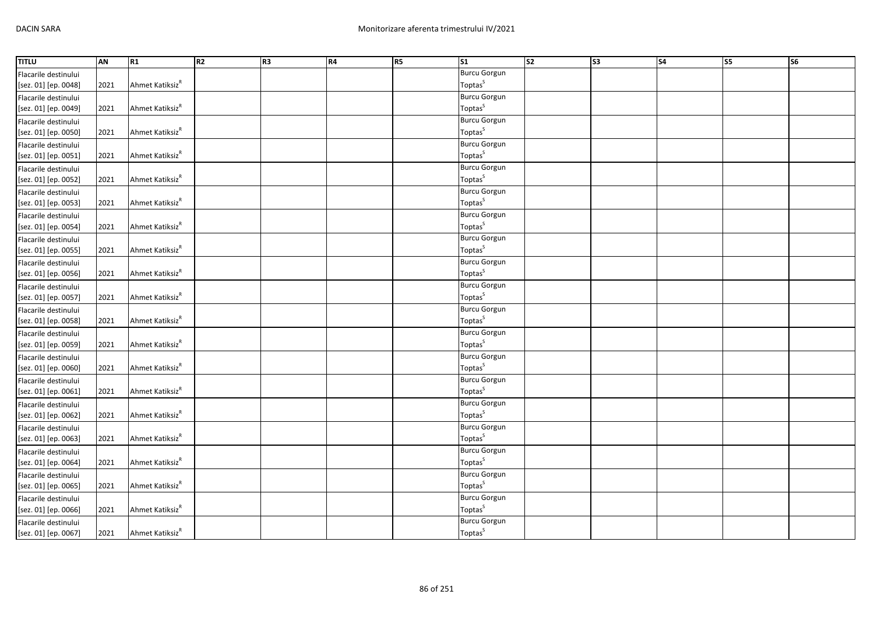| <b>TITLU</b>         | AN   | R1                          | R2 | R <sub>3</sub> | R4 | <b>R5</b> | $\mathsf{S}1$       | $\overline{\text{S2}}$ | S <sub>3</sub> | S <sub>4</sub> | S5 | S6 |
|----------------------|------|-----------------------------|----|----------------|----|-----------|---------------------|------------------------|----------------|----------------|----|----|
| Flacarile destinului |      |                             |    |                |    |           | <b>Burcu Gorgun</b> |                        |                |                |    |    |
| [sez. 01] [ep. 0048] | 2021 | Ahmet Katiksiz <sup>R</sup> |    |                |    |           | Toptas <sup>S</sup> |                        |                |                |    |    |
| Flacarile destinului |      |                             |    |                |    |           | <b>Burcu Gorgun</b> |                        |                |                |    |    |
| [sez. 01] [ep. 0049] | 2021 | Ahmet Katiksiz <sup>R</sup> |    |                |    |           | Toptas <sup>S</sup> |                        |                |                |    |    |
| Flacarile destinului |      |                             |    |                |    |           | <b>Burcu Gorgun</b> |                        |                |                |    |    |
| [sez. 01] [ep. 0050] | 2021 | Ahmet Katiksiz <sup>R</sup> |    |                |    |           | Toptas <sup>S</sup> |                        |                |                |    |    |
| Flacarile destinului |      |                             |    |                |    |           | <b>Burcu Gorgun</b> |                        |                |                |    |    |
| [sez. 01] [ep. 0051] | 2021 | Ahmet Katiksiz <sup>R</sup> |    |                |    |           | Toptas <sup>S</sup> |                        |                |                |    |    |
| Flacarile destinului |      |                             |    |                |    |           | <b>Burcu Gorgun</b> |                        |                |                |    |    |
| [sez. 01] [ep. 0052] | 2021 | Ahmet Katiksiz <sup>R</sup> |    |                |    |           | Toptas <sup>S</sup> |                        |                |                |    |    |
| Flacarile destinului |      |                             |    |                |    |           | <b>Burcu Gorgun</b> |                        |                |                |    |    |
| [sez. 01] [ep. 0053] | 2021 | Ahmet Katiksiz <sup>R</sup> |    |                |    |           | Toptas <sup>S</sup> |                        |                |                |    |    |
| Flacarile destinului |      |                             |    |                |    |           | <b>Burcu Gorgun</b> |                        |                |                |    |    |
| [sez. 01] [ep. 0054] | 2021 | Ahmet Katiksiz <sup>R</sup> |    |                |    |           | Toptas <sup>S</sup> |                        |                |                |    |    |
| Flacarile destinului |      |                             |    |                |    |           | <b>Burcu Gorgun</b> |                        |                |                |    |    |
| [sez. 01] [ep. 0055] | 2021 | Ahmet Katiksiz <sup>R</sup> |    |                |    |           | Toptas <sup>S</sup> |                        |                |                |    |    |
| Flacarile destinului |      |                             |    |                |    |           | <b>Burcu Gorgun</b> |                        |                |                |    |    |
| [sez. 01] [ep. 0056] | 2021 | Ahmet Katiksiz <sup>R</sup> |    |                |    |           | Toptas <sup>S</sup> |                        |                |                |    |    |
| Flacarile destinului |      |                             |    |                |    |           | <b>Burcu Gorgun</b> |                        |                |                |    |    |
| [sez. 01] [ep. 0057] | 2021 | Ahmet Katiksiz <sup>R</sup> |    |                |    |           | Toptas <sup>S</sup> |                        |                |                |    |    |
| Flacarile destinului |      |                             |    |                |    |           | <b>Burcu Gorgun</b> |                        |                |                |    |    |
| [sez. 01] [ep. 0058] | 2021 | Ahmet Katiksiz <sup>R</sup> |    |                |    |           | Toptas <sup>S</sup> |                        |                |                |    |    |
| Flacarile destinului |      |                             |    |                |    |           | <b>Burcu Gorgun</b> |                        |                |                |    |    |
| [sez. 01] [ep. 0059] | 2021 | Ahmet Katiksiz <sup>R</sup> |    |                |    |           | Toptas <sup>S</sup> |                        |                |                |    |    |
| Flacarile destinului |      |                             |    |                |    |           | <b>Burcu Gorgun</b> |                        |                |                |    |    |
| [sez. 01] [ep. 0060] | 2021 | Ahmet Katiksiz <sup>R</sup> |    |                |    |           | Toptas <sup>S</sup> |                        |                |                |    |    |
| Flacarile destinului |      |                             |    |                |    |           | <b>Burcu Gorgun</b> |                        |                |                |    |    |
| [sez. 01] [ep. 0061] | 2021 | Ahmet Katiksiz <sup>R</sup> |    |                |    |           | Toptas <sup>S</sup> |                        |                |                |    |    |
| Flacarile destinului |      |                             |    |                |    |           | <b>Burcu Gorgun</b> |                        |                |                |    |    |
| [sez. 01] [ep. 0062] | 2021 | Ahmet Katiksiz <sup>R</sup> |    |                |    |           | Toptas <sup>S</sup> |                        |                |                |    |    |
| Flacarile destinului |      |                             |    |                |    |           | <b>Burcu Gorgun</b> |                        |                |                |    |    |
| [sez. 01] [ep. 0063] | 2021 | Ahmet Katiksiz <sup>R</sup> |    |                |    |           | Toptas <sup>S</sup> |                        |                |                |    |    |
| Flacarile destinului |      |                             |    |                |    |           | <b>Burcu Gorgun</b> |                        |                |                |    |    |
| [sez. 01] [ep. 0064] | 2021 | Ahmet Katiksiz <sup>R</sup> |    |                |    |           | Toptas <sup>S</sup> |                        |                |                |    |    |
| Flacarile destinului |      |                             |    |                |    |           | <b>Burcu Gorgun</b> |                        |                |                |    |    |
| [sez. 01] [ep. 0065] | 2021 | Ahmet Katiksiz <sup>R</sup> |    |                |    |           | Toptas <sup>S</sup> |                        |                |                |    |    |
| Flacarile destinului |      |                             |    |                |    |           | <b>Burcu Gorgun</b> |                        |                |                |    |    |
| [sez. 01] [ep. 0066] | 2021 | Ahmet Katiksiz <sup>R</sup> |    |                |    |           | Toptas <sup>S</sup> |                        |                |                |    |    |
| Flacarile destinului |      |                             |    |                |    |           | <b>Burcu Gorgun</b> |                        |                |                |    |    |
| [sez. 01] [ep. 0067] | 2021 | Ahmet Katiksiz <sup>R</sup> |    |                |    |           | Toptas <sup>S</sup> |                        |                |                |    |    |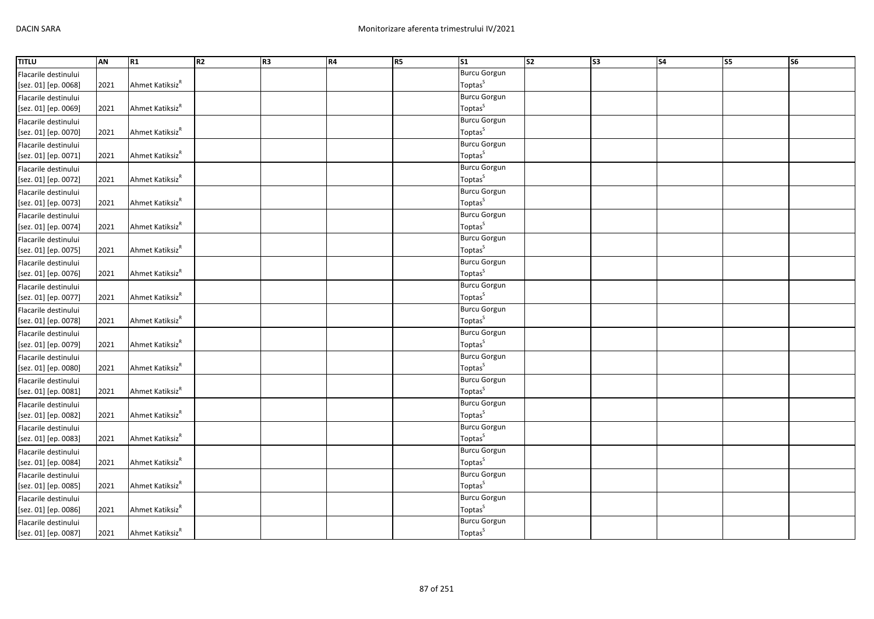| <b>TITLU</b>         | AN   | R <sub>1</sub>              | R2 | R <sub>3</sub> | <b>R4</b> | R5 | $\overline{\text{S1}}$ | s <sub>2</sub> | $\overline{\text{S3}}$ | $\overline{\phantom{a}}$ | S5 | S <sub>6</sub> |
|----------------------|------|-----------------------------|----|----------------|-----------|----|------------------------|----------------|------------------------|--------------------------|----|----------------|
| Flacarile destinului |      |                             |    |                |           |    | <b>Burcu Gorgun</b>    |                |                        |                          |    |                |
| [sez. 01] [ep. 0068] | 2021 | Ahmet Katiksiz <sup>R</sup> |    |                |           |    | Toptas <sup>S</sup>    |                |                        |                          |    |                |
| Flacarile destinului |      |                             |    |                |           |    | <b>Burcu Gorgun</b>    |                |                        |                          |    |                |
| [sez. 01] [ep. 0069] | 2021 | Ahmet Katiksiz <sup>R</sup> |    |                |           |    | Toptas <sup>S</sup>    |                |                        |                          |    |                |
| Flacarile destinului |      |                             |    |                |           |    | <b>Burcu Gorgun</b>    |                |                        |                          |    |                |
| [sez. 01] [ep. 0070] | 2021 | Ahmet Katiksiz <sup>R</sup> |    |                |           |    | Toptas <sup>S</sup>    |                |                        |                          |    |                |
| Flacarile destinului |      |                             |    |                |           |    | <b>Burcu Gorgun</b>    |                |                        |                          |    |                |
| [sez. 01] [ep. 0071] | 2021 | Ahmet Katiksiz <sup>R</sup> |    |                |           |    | Toptas <sup>S</sup>    |                |                        |                          |    |                |
| Flacarile destinului |      |                             |    |                |           |    | <b>Burcu Gorgun</b>    |                |                        |                          |    |                |
| [sez. 01] [ep. 0072] | 2021 | Ahmet Katiksiz <sup>R</sup> |    |                |           |    | Toptas <sup>S</sup>    |                |                        |                          |    |                |
| Flacarile destinului |      |                             |    |                |           |    | <b>Burcu Gorgun</b>    |                |                        |                          |    |                |
| [sez. 01] [ep. 0073] | 2021 | Ahmet Katiksiz <sup>R</sup> |    |                |           |    | Toptas <sup>S</sup>    |                |                        |                          |    |                |
| Flacarile destinului |      |                             |    |                |           |    | <b>Burcu Gorgun</b>    |                |                        |                          |    |                |
| [sez. 01] [ep. 0074] | 2021 | Ahmet Katiksiz <sup>R</sup> |    |                |           |    | Toptas <sup>S</sup>    |                |                        |                          |    |                |
| Flacarile destinului |      |                             |    |                |           |    | <b>Burcu Gorgun</b>    |                |                        |                          |    |                |
| [sez. 01] [ep. 0075] | 2021 | Ahmet Katiksiz <sup>R</sup> |    |                |           |    | Toptas <sup>S</sup>    |                |                        |                          |    |                |
| Flacarile destinului |      |                             |    |                |           |    | <b>Burcu Gorgun</b>    |                |                        |                          |    |                |
| [sez. 01] [ep. 0076] | 2021 | Ahmet Katiksiz <sup>R</sup> |    |                |           |    | Toptas <sup>S</sup>    |                |                        |                          |    |                |
| Flacarile destinului |      |                             |    |                |           |    | <b>Burcu Gorgun</b>    |                |                        |                          |    |                |
| [sez. 01] [ep. 0077] | 2021 | Ahmet Katiksiz <sup>R</sup> |    |                |           |    | Toptas <sup>S</sup>    |                |                        |                          |    |                |
| Flacarile destinului |      |                             |    |                |           |    | <b>Burcu Gorgun</b>    |                |                        |                          |    |                |
| [sez. 01] [ep. 0078] | 2021 | Ahmet Katiksiz <sup>R</sup> |    |                |           |    | Toptas <sup>S</sup>    |                |                        |                          |    |                |
| Flacarile destinului |      |                             |    |                |           |    | <b>Burcu Gorgun</b>    |                |                        |                          |    |                |
| [sez. 01] [ep. 0079] | 2021 | Ahmet Katiksiz <sup>R</sup> |    |                |           |    | Toptas <sup>S</sup>    |                |                        |                          |    |                |
| Flacarile destinului |      |                             |    |                |           |    | <b>Burcu Gorgun</b>    |                |                        |                          |    |                |
| [sez. 01] [ep. 0080] | 2021 | Ahmet Katiksiz <sup>R</sup> |    |                |           |    | Toptas <sup>S</sup>    |                |                        |                          |    |                |
| Flacarile destinului |      |                             |    |                |           |    | <b>Burcu Gorgun</b>    |                |                        |                          |    |                |
| [sez. 01] [ep. 0081] | 2021 | Ahmet Katiksiz <sup>R</sup> |    |                |           |    | Toptas <sup>S</sup>    |                |                        |                          |    |                |
| Flacarile destinului |      |                             |    |                |           |    | <b>Burcu Gorgun</b>    |                |                        |                          |    |                |
| [sez. 01] [ep. 0082] | 2021 | Ahmet Katiksiz <sup>R</sup> |    |                |           |    | Toptas <sup>S</sup>    |                |                        |                          |    |                |
| Flacarile destinului |      |                             |    |                |           |    | <b>Burcu Gorgun</b>    |                |                        |                          |    |                |
| [sez. 01] [ep. 0083] | 2021 | Ahmet Katiksiz <sup>R</sup> |    |                |           |    | Toptas <sup>S</sup>    |                |                        |                          |    |                |
| Flacarile destinului |      |                             |    |                |           |    | <b>Burcu Gorgun</b>    |                |                        |                          |    |                |
| [sez. 01] [ep. 0084] | 2021 | Ahmet Katiksiz <sup>R</sup> |    |                |           |    | Toptas <sup>S</sup>    |                |                        |                          |    |                |
| Flacarile destinului |      |                             |    |                |           |    | <b>Burcu Gorgun</b>    |                |                        |                          |    |                |
| [sez. 01] [ep. 0085] | 2021 | Ahmet Katiksiz <sup>R</sup> |    |                |           |    | Toptas <sup>S</sup>    |                |                        |                          |    |                |
| Flacarile destinului |      |                             |    |                |           |    | <b>Burcu Gorgun</b>    |                |                        |                          |    |                |
| [sez. 01] [ep. 0086] | 2021 | Ahmet Katiksiz <sup>R</sup> |    |                |           |    | Toptas <sup>S</sup>    |                |                        |                          |    |                |
| Flacarile destinului |      |                             |    |                |           |    | <b>Burcu Gorgun</b>    |                |                        |                          |    |                |
| [sez. 01] [ep. 0087] | 2021 | Ahmet Katiksiz <sup>R</sup> |    |                |           |    | Toptas <sup>S</sup>    |                |                        |                          |    |                |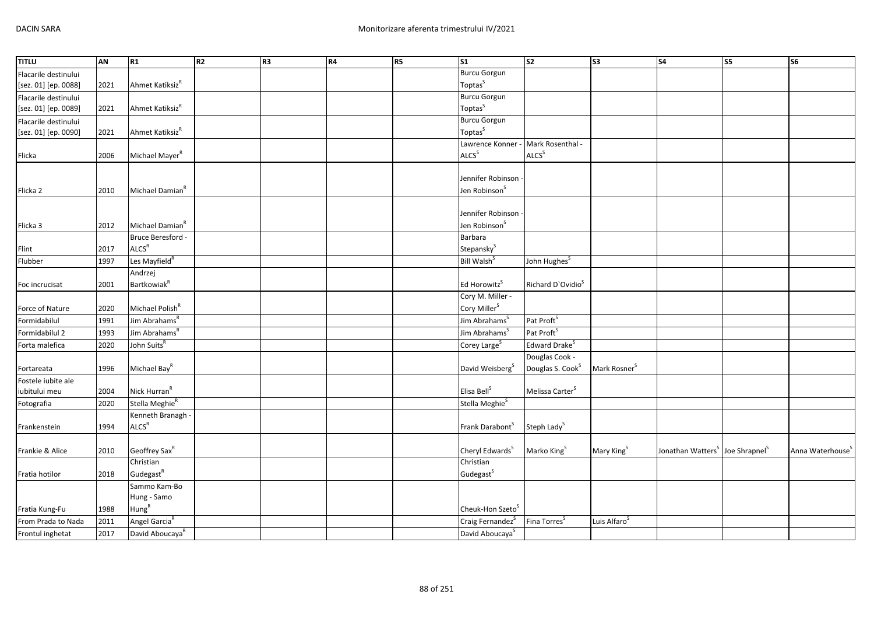| <b>TITLU</b>         | AN   | R1                             | R2 | R <sub>3</sub> | <b>R4</b> | R5 | $\overline{\text{S1}}$       | $\overline{\text{S2}}$        | $\overline{\text{S3}}$   | $\overline{\text{S4}}$                                  | <b>S5</b> | $\overline{\text{S6}}$       |
|----------------------|------|--------------------------------|----|----------------|-----------|----|------------------------------|-------------------------------|--------------------------|---------------------------------------------------------|-----------|------------------------------|
| Flacarile destinului |      |                                |    |                |           |    | <b>Burcu Gorgun</b>          |                               |                          |                                                         |           |                              |
| [sez. 01] [ep. 0088] | 2021 | Ahmet Katiksiz <sup>R</sup>    |    |                |           |    | Toptas <sup>S</sup>          |                               |                          |                                                         |           |                              |
| Flacarile destinului |      |                                |    |                |           |    | <b>Burcu Gorgun</b>          |                               |                          |                                                         |           |                              |
| [sez. 01] [ep. 0089] | 2021 | Ahmet Katiksiz <sup>R</sup>    |    |                |           |    | Toptas <sup>S</sup>          |                               |                          |                                                         |           |                              |
| Flacarile destinului |      |                                |    |                |           |    | <b>Burcu Gorgun</b>          |                               |                          |                                                         |           |                              |
| [sez. 01] [ep. 0090] | 2021 | Ahmet Katiksiz <sup>R</sup>    |    |                |           |    | Toptas <sup>S</sup>          |                               |                          |                                                         |           |                              |
|                      |      |                                |    |                |           |    | Lawrence Konner -            | Mark Rosenthal -              |                          |                                                         |           |                              |
| Flicka               | 2006 | Michael Mayer <sup>R</sup>     |    |                |           |    | ALCS <sup>S</sup>            | ALCS <sup>S</sup>             |                          |                                                         |           |                              |
|                      |      |                                |    |                |           |    |                              |                               |                          |                                                         |           |                              |
|                      |      |                                |    |                |           |    | Jennifer Robinson            |                               |                          |                                                         |           |                              |
| Flicka <sub>2</sub>  | 2010 | Michael Damian <sup>R</sup>    |    |                |           |    | Jen Robinson <sup>S</sup>    |                               |                          |                                                         |           |                              |
|                      |      |                                |    |                |           |    |                              |                               |                          |                                                         |           |                              |
|                      |      |                                |    |                |           |    | Jennifer Robinson            |                               |                          |                                                         |           |                              |
| Flicka 3             | 2012 | Michael Damian <sup>R</sup>    |    |                |           |    | Jen Robinson <sup>S</sup>    |                               |                          |                                                         |           |                              |
|                      |      | Bruce Beresford -              |    |                |           |    | Barbara                      |                               |                          |                                                         |           |                              |
| Flint                | 2017 | $\mathsf{ALCS}^\mathsf{R}$     |    |                |           |    | Stepansky <sup>S</sup>       |                               |                          |                                                         |           |                              |
| Flubber              | 1997 | Les Mayfield <sup>R</sup>      |    |                |           |    | Bill Walsh <sup>S</sup>      | John Hughes <sup>S</sup>      |                          |                                                         |           |                              |
|                      |      | Andrzej                        |    |                |           |    |                              |                               |                          |                                                         |           |                              |
| Foc incrucisat       | 2001 | <b>Bartkowiak</b> <sup>R</sup> |    |                |           |    | Ed Horowitz <sup>S</sup>     | Richard D'Ovidio <sup>S</sup> |                          |                                                         |           |                              |
|                      |      |                                |    |                |           |    | Cory M. Miller -             |                               |                          |                                                         |           |                              |
| Force of Nature      | 2020 | Michael Polish <sup>R</sup>    |    |                |           |    | Cory Miller <sup>S</sup>     |                               |                          |                                                         |           |                              |
| Formidabilul         | 1991 | Jim Abrahams <sup>R</sup>      |    |                |           |    | Jim Abrahams <sup>S</sup>    | Pat Proft <sup>S</sup>        |                          |                                                         |           |                              |
| Formidabilul 2       | 1993 | Jim Abrahams <sup>R</sup>      |    |                |           |    | Jim Abrahams <sup>S</sup>    | Pat Proft <sup>S</sup>        |                          |                                                         |           |                              |
| Forta malefica       | 2020 | John Suits <sup>R</sup>        |    |                |           |    | Corey Large <sup>S</sup>     | Edward Drake <sup>S</sup>     |                          |                                                         |           |                              |
|                      |      |                                |    |                |           |    |                              | Douglas Cook -                |                          |                                                         |           |                              |
| Fortareata           | 1996 | Michael Bay <sup>R</sup>       |    |                |           |    | David Weisberg <sup>S</sup>  | Douglas S. Cook <sup>S</sup>  | Mark Rosner <sup>S</sup> |                                                         |           |                              |
| Fostele iubite ale   |      |                                |    |                |           |    |                              |                               |                          |                                                         |           |                              |
| iubitului meu        | 2004 | Nick Hurran <sup>R</sup>       |    |                |           |    | Elisa Bell <sup>S</sup>      | Melissa Carter <sup>S</sup>   |                          |                                                         |           |                              |
| Fotografia           | 2020 | Stella Meghie <sup>R</sup>     |    |                |           |    | Stella Meghie <sup>S</sup>   |                               |                          |                                                         |           |                              |
|                      |      | Kenneth Branagh                |    |                |           |    |                              |                               |                          |                                                         |           |                              |
| Frankenstein         | 1994 | ALCS <sup>R</sup>              |    |                |           |    | Frank Darabont <sup>S</sup>  | Steph Lady <sup>S</sup>       |                          |                                                         |           |                              |
|                      |      |                                |    |                |           |    |                              |                               |                          |                                                         |           |                              |
| Frankie & Alice      | 2010 | Geoffrey Sax <sup>R</sup>      |    |                |           |    | Cheryl Edwards <sup>S</sup>  | Marko King <sup>S</sup>       | Mary King <sup>S</sup>   | Jonathan Watters <sup>S</sup> Joe Shrapnel <sup>S</sup> |           | Anna Waterhouse <sup>5</sup> |
|                      |      | Christian                      |    |                |           |    | Christian                    |                               |                          |                                                         |           |                              |
| Fratia hotilor       | 2018 | Gudegast <sup>R</sup>          |    |                |           |    | Gudegast <sup>S</sup>        |                               |                          |                                                         |           |                              |
|                      |      | Sammo Kam-Bo                   |    |                |           |    |                              |                               |                          |                                                         |           |                              |
|                      |      | Hung - Samo                    |    |                |           |    |                              |                               |                          |                                                         |           |                              |
| Fratia Kung-Fu       | 1988 | Hung <sup>R</sup>              |    |                |           |    | Cheuk-Hon Szeto <sup>5</sup> |                               |                          |                                                         |           |                              |
| From Prada to Nada   | 2011 | Angel Garcia <sup>R</sup>      |    |                |           |    | Craig Fernandez <sup>S</sup> | Fina Torres <sup>5</sup>      | Luis Alfaro <sup>s</sup> |                                                         |           |                              |
| Frontul inghetat     | 2017 | David Aboucaya <sup>R</sup>    |    |                |           |    | David Aboucaya <sup>S</sup>  |                               |                          |                                                         |           |                              |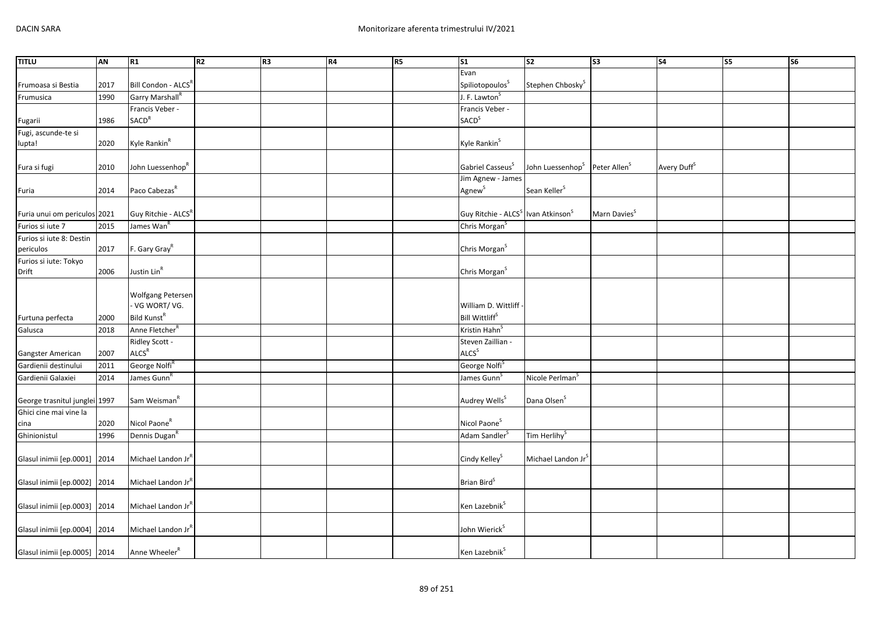| <b>TITLU</b>                  | AN   | R1                              | R <sub>2</sub> | R <sub>3</sub> | R4 | R5 | $\overline{\text{S1}}$                                     | $\overline{\text{S2}}$         | $\overline{\text{S3}}$   | <b>S4</b>               | $\overline{\text{S5}}$ | <b>S6</b> |
|-------------------------------|------|---------------------------------|----------------|----------------|----|----|------------------------------------------------------------|--------------------------------|--------------------------|-------------------------|------------------------|-----------|
|                               |      |                                 |                |                |    |    | Evan                                                       |                                |                          |                         |                        |           |
| Frumoasa si Bestia            | 2017 | Bill Condon - ALCSR             |                |                |    |    | Spiliotopoulos <sup>S</sup>                                | Stephen Chbosky <sup>S</sup>   |                          |                         |                        |           |
| Frumusica                     | 1990 | Garry Marshall <sup>R</sup>     |                |                |    |    | J. F. Lawton                                               |                                |                          |                         |                        |           |
|                               |      | Francis Veber -                 |                |                |    |    | Francis Veber -                                            |                                |                          |                         |                        |           |
| Fugarii                       | 1986 | SACD <sup>R</sup>               |                |                |    |    | <b>SACD</b> <sup>S</sup>                                   |                                |                          |                         |                        |           |
| Fugi, ascunde-te si           |      |                                 |                |                |    |    |                                                            |                                |                          |                         |                        |           |
| lupta!                        | 2020 | Kyle Rankin <sup>R</sup>        |                |                |    |    | Kyle Rankin <sup>S</sup>                                   |                                |                          |                         |                        |           |
|                               |      |                                 |                |                |    |    |                                                            |                                |                          |                         |                        |           |
| Fura si fugi                  | 2010 | John Luessenhop <sup>R</sup>    |                |                |    |    | Gabriel Casseus <sup>S</sup>                               | John Luessenhop <sup>S</sup>   | Peter Allen <sup>S</sup> | Avery Duff <sup>S</sup> |                        |           |
|                               |      |                                 |                |                |    |    | Jim Agnew - James                                          |                                |                          |                         |                        |           |
| Furia                         | 2014 | Paco Cabezas <sup>R</sup>       |                |                |    |    | Agnew <sup>S</sup>                                         | Sean Keller <sup>S</sup>       |                          |                         |                        |           |
|                               |      |                                 |                |                |    |    |                                                            |                                |                          |                         |                        |           |
| Furia unui om periculos 2021  |      | Guy Ritchie - ALCS <sup>R</sup> |                |                |    |    | Guy Ritchie - ALCS <sup>S</sup> Ivan Atkinson <sup>S</sup> |                                | Marn Davies <sup>S</sup> |                         |                        |           |
| Furios si iute 7              | 2015 | James Wan <sup>R</sup>          |                |                |    |    | Chris Morgan <sup>S</sup>                                  |                                |                          |                         |                        |           |
| Furios si iute 8: Destin      |      |                                 |                |                |    |    |                                                            |                                |                          |                         |                        |           |
| periculos                     | 2017 | F. Gary Gray <sup>R</sup>       |                |                |    |    | Chris Morgan <sup>S</sup>                                  |                                |                          |                         |                        |           |
| Furios si iute: Tokyo         |      | Justin Lin <sup>R</sup>         |                |                |    |    | Chris Morgan <sup>S</sup>                                  |                                |                          |                         |                        |           |
| Drift                         | 2006 |                                 |                |                |    |    |                                                            |                                |                          |                         |                        |           |
|                               |      | Wolfgang Petersen               |                |                |    |    |                                                            |                                |                          |                         |                        |           |
|                               |      | - VG WORT/VG.                   |                |                |    |    | William D. Wittliff                                        |                                |                          |                         |                        |           |
| Furtuna perfecta              | 2000 | Bild Kunst <sup>R</sup>         |                |                |    |    | Bill Wittliff <sup>S</sup>                                 |                                |                          |                         |                        |           |
| Galusca                       | 2018 | Anne Fletcher <sup>R</sup>      |                |                |    |    | Kristin Hahn <sup>S</sup>                                  |                                |                          |                         |                        |           |
|                               |      | Ridley Scott -                  |                |                |    |    | Steven Zaillian -                                          |                                |                          |                         |                        |           |
| Gangster American             | 2007 | ALCS <sup>R</sup>               |                |                |    |    | ALCS <sup>S</sup>                                          |                                |                          |                         |                        |           |
| Gardienii destinului          | 2011 | George Nolfi <sup>R</sup>       |                |                |    |    | George Nolfi <sup>S</sup>                                  |                                |                          |                         |                        |           |
| Gardienii Galaxiei            | 2014 | James Gunn <sup>F</sup>         |                |                |    |    | James Gunn <sup>S</sup>                                    | Nicole Perlman <sup>S</sup>    |                          |                         |                        |           |
|                               |      |                                 |                |                |    |    |                                                            |                                |                          |                         |                        |           |
| George trasnitul junglei 1997 |      | Sam Weisman <sup>R</sup>        |                |                |    |    | Audrey Wells <sup>S</sup>                                  | Dana Olsen <sup>S</sup>        |                          |                         |                        |           |
| Ghici cine mai vine la        |      |                                 |                |                |    |    |                                                            |                                |                          |                         |                        |           |
| cina                          | 2020 | Nicol Paone <sup>R</sup>        |                |                |    |    | Nicol Paone <sup>S</sup>                                   |                                |                          |                         |                        |           |
| Ghinionistul                  | 1996 | Dennis Dugan <sup>R</sup>       |                |                |    |    | Adam Sandler <sup>S</sup>                                  | Tim Herlihy <sup>S</sup>       |                          |                         |                        |           |
|                               |      |                                 |                |                |    |    |                                                            |                                |                          |                         |                        |           |
| Glasul inimii [ep.0001] 2014  |      | Michael Landon Jr"              |                |                |    |    | Cindy Kelley <sup>S</sup>                                  | Michael Landon Jr <sup>3</sup> |                          |                         |                        |           |
|                               |      |                                 |                |                |    |    |                                                            |                                |                          |                         |                        |           |
| Glasul inimii [ep.0002] 2014  |      | Michael Landon Jr <sup>R</sup>  |                |                |    |    | Brian Bird <sup>S</sup>                                    |                                |                          |                         |                        |           |
|                               |      |                                 |                |                |    |    |                                                            |                                |                          |                         |                        |           |
| Glasul inimii [ep.0003] 2014  |      | Michael Landon Jr"              |                |                |    |    | Ken Lazebnik <sup>S</sup>                                  |                                |                          |                         |                        |           |
|                               |      |                                 |                |                |    |    |                                                            |                                |                          |                         |                        |           |
| Glasul inimii [ep.0004] 2014  |      | Michael Landon JrR              |                |                |    |    | John Wierick <sup>S</sup>                                  |                                |                          |                         |                        |           |
|                               |      |                                 |                |                |    |    |                                                            |                                |                          |                         |                        |           |
| Glasul inimii [ep.0005] 2014  |      | Anne Wheeler <sup>R</sup>       |                |                |    |    | Ken Lazebnik <sup>S</sup>                                  |                                |                          |                         |                        |           |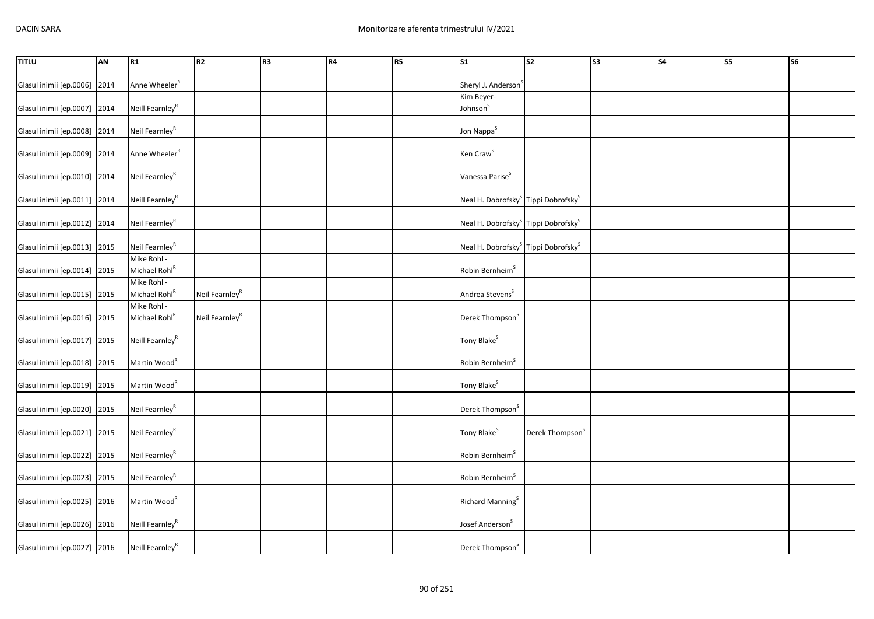| <b>TITLU</b>                 | <b>AN</b> | R1                          | R <sub>2</sub>             | R <sub>3</sub> | R4 | R5 | $\overline{\text{S1}}$                                      | $\overline{\text{S2}}$      | S3 | S <sub>4</sub> | <b>S5</b> | <b>S6</b> |
|------------------------------|-----------|-----------------------------|----------------------------|----------------|----|----|-------------------------------------------------------------|-----------------------------|----|----------------|-----------|-----------|
|                              |           |                             |                            |                |    |    |                                                             |                             |    |                |           |           |
| Glasul inimii [ep.0006]      | 2014      | Anne Wheeler <sup>R</sup>   |                            |                |    |    | Sheryl J. Anderson <sup>S</sup>                             |                             |    |                |           |           |
|                              |           |                             |                            |                |    |    | Kim Beyer-                                                  |                             |    |                |           |           |
| Glasul inimii [ep.0007] 2014 |           | Neill Fearnley <sup>R</sup> |                            |                |    |    | Johnson <sup>S</sup>                                        |                             |    |                |           |           |
|                              |           |                             |                            |                |    |    |                                                             |                             |    |                |           |           |
| Glasul inimii [ep.0008] 2014 |           | Neil Fearnley <sup>R</sup>  |                            |                |    |    | Jon Nappa <sup>S</sup>                                      |                             |    |                |           |           |
| Glasul inimii [ep.0009] 2014 |           | Anne Wheeler <sup>R</sup>   |                            |                |    |    | Ken Craw <sup>S</sup>                                       |                             |    |                |           |           |
| Glasul inimii [ep.0010]      | 2014      | Neil Fearnley <sup>R</sup>  |                            |                |    |    | Vanessa Parise <sup>S</sup>                                 |                             |    |                |           |           |
|                              |           |                             |                            |                |    |    |                                                             |                             |    |                |           |           |
| Glasul inimii [ep.0011] 2014 |           | Neill Fearnley <sup>R</sup> |                            |                |    |    | Neal H. Dobrofsky <sup>S</sup> Tippi Dobrofsky <sup>S</sup> |                             |    |                |           |           |
|                              |           |                             |                            |                |    |    |                                                             |                             |    |                |           |           |
| Glasul inimii [ep.0012] 2014 |           | Neil Fearnley <sup>R</sup>  |                            |                |    |    | Neal H. Dobrofsky <sup>S</sup> Tippi Dobrofsky <sup>S</sup> |                             |    |                |           |           |
| Glasul inimii [ep.0013] 2015 |           | Neil Fearnley <sup>R</sup>  |                            |                |    |    | Neal H. Dobrofsky <sup>S</sup> Tippi Dobrofsky <sup>S</sup> |                             |    |                |           |           |
|                              |           | Mike Rohl -                 |                            |                |    |    |                                                             |                             |    |                |           |           |
| Glasul inimii [ep.0014] 2015 |           | Michael Rohl <sup>R</sup>   |                            |                |    |    | Robin Bernheim <sup>5</sup>                                 |                             |    |                |           |           |
|                              |           | Mike Rohl -                 |                            |                |    |    |                                                             |                             |    |                |           |           |
| Glasul inimii [ep.0015] 2015 |           | Michael Rohl <sup>R</sup>   | Neil Fearnley <sup>R</sup> |                |    |    | Andrea Stevens <sup>S</sup>                                 |                             |    |                |           |           |
|                              |           | Mike Rohl -                 |                            |                |    |    |                                                             |                             |    |                |           |           |
| Glasul inimii [ep.0016] 2015 |           | Michael Rohl <sup>R</sup>   | Neil Fearnley <sup>R</sup> |                |    |    | Derek Thompson <sup>S</sup>                                 |                             |    |                |           |           |
| Glasul inimii [ep.0017] 2015 |           | Neill Fearnley <sup>R</sup> |                            |                |    |    | Tony Blake <sup>S</sup>                                     |                             |    |                |           |           |
|                              |           |                             |                            |                |    |    |                                                             |                             |    |                |           |           |
| Glasul inimii [ep.0018] 2015 |           | Martin Wood <sup>R</sup>    |                            |                |    |    | Robin Bernheim <sup>S</sup>                                 |                             |    |                |           |           |
| Glasul inimii [ep.0019] 2015 |           | Martin Wood <sup>R</sup>    |                            |                |    |    | Tony Blake <sup>S</sup>                                     |                             |    |                |           |           |
|                              |           |                             |                            |                |    |    |                                                             |                             |    |                |           |           |
| Glasul inimii [ep.0020] 2015 |           | Neil Fearnley <sup>R</sup>  |                            |                |    |    | Derek Thompson <sup>S</sup>                                 |                             |    |                |           |           |
| Glasul inimii [ep.0021] 2015 |           | Neil Fearnley <sup>R</sup>  |                            |                |    |    | Tony Blake <sup>S</sup>                                     | Derek Thompson <sup>S</sup> |    |                |           |           |
|                              |           |                             |                            |                |    |    |                                                             |                             |    |                |           |           |
| Glasul inimii [ep.0022]      | 2015      | Neil Fearnley <sup>R</sup>  |                            |                |    |    | Robin Bernheim <sup>S</sup>                                 |                             |    |                |           |           |
| Glasul inimii [ep.0023]      | 2015      | Neil Fearnley <sup>R</sup>  |                            |                |    |    | Robin Bernheim <sup>S</sup>                                 |                             |    |                |           |           |
|                              |           |                             |                            |                |    |    |                                                             |                             |    |                |           |           |
| Glasul inimii [ep.0025] 2016 |           | Martin Wood <sup>R</sup>    |                            |                |    |    | Richard Manning <sup>S</sup>                                |                             |    |                |           |           |
|                              |           |                             |                            |                |    |    |                                                             |                             |    |                |           |           |
| Glasul inimii [ep.0026] 2016 |           | Neill Fearnley <sup>R</sup> |                            |                |    |    | Josef Anderson <sup>S</sup>                                 |                             |    |                |           |           |
| Glasul inimii [ep.0027] 2016 |           | Neill Fearnley <sup>R</sup> |                            |                |    |    | Derek Thompson <sup>S</sup>                                 |                             |    |                |           |           |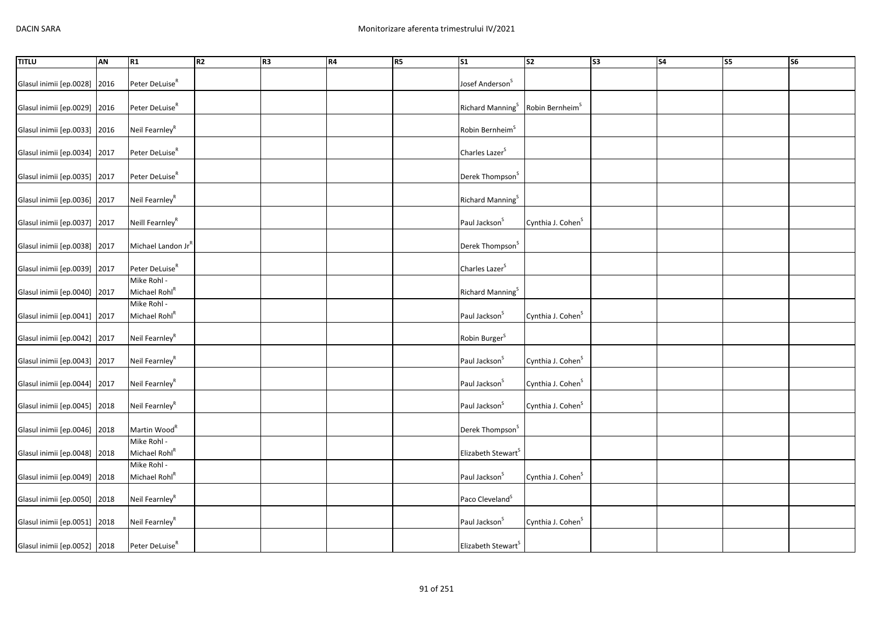| <b>TITLU</b>                 | <b>AN</b> | R1                                       | R <sub>2</sub> | R <sub>3</sub> | R4 | R5 | $\overline{\text{S1}}$         | $\overline{\text{S2}}$        | S3 | S <sub>4</sub> | $\overline{\text{S5}}$ | <b>S6</b> |
|------------------------------|-----------|------------------------------------------|----------------|----------------|----|----|--------------------------------|-------------------------------|----|----------------|------------------------|-----------|
| Glasul inimii [ep.0028]      | 2016      | Peter DeLuise <sup>R</sup>               |                |                |    |    | Josef Anderson <sup>S</sup>    |                               |    |                |                        |           |
| Glasul inimii [ep.0029] 2016 |           | Peter DeLuise <sup>R</sup>               |                |                |    |    | Richard Manning <sup>S</sup>   | Robin Bernheim <sup>S</sup>   |    |                |                        |           |
| Glasul inimii [ep.0033]      | 2016      | Neil Fearnley <sup>R</sup>               |                |                |    |    | Robin Bernheim <sup>S</sup>    |                               |    |                |                        |           |
| Glasul inimii [ep.0034]      | 2017      | Peter DeLuise <sup>R</sup>               |                |                |    |    | Charles Lazer <sup>S</sup>     |                               |    |                |                        |           |
| Glasul inimii [ep.0035] 2017 |           | Peter DeLuise <sup>R</sup>               |                |                |    |    | Derek Thompson <sup>S</sup>    |                               |    |                |                        |           |
| Glasul inimii [ep.0036]      | 2017      | Neil Fearnley <sup>R</sup>               |                |                |    |    | Richard Manning <sup>S</sup>   |                               |    |                |                        |           |
| Glasul inimii [ep.0037] 2017 |           | Neill Fearnley <sup>R</sup>              |                |                |    |    | Paul Jackson <sup>S</sup>      | Cynthia J. Cohen <sup>S</sup> |    |                |                        |           |
| Glasul inimii [ep.0038] 2017 |           | Michael Landon Jr <sup>R</sup>           |                |                |    |    | Derek Thompson <sup>S</sup>    |                               |    |                |                        |           |
| Glasul inimii [ep.0039]      | 2017      | Peter DeLuise <sup>R</sup>               |                |                |    |    | Charles Lazer <sup>S</sup>     |                               |    |                |                        |           |
| Glasul inimii [ep.0040]      | 2017      | Mike Rohl -<br>Michael Rohl <sup>R</sup> |                |                |    |    | Richard Manning <sup>S</sup>   |                               |    |                |                        |           |
| Glasul inimii [ep.0041] 2017 |           | Mike Rohl -<br>Michael Rohl <sup>R</sup> |                |                |    |    | Paul Jackson <sup>S</sup>      | Cynthia J. Cohen <sup>S</sup> |    |                |                        |           |
| Glasul inimii [ep.0042]      | 2017      | Neil Fearnley <sup>R</sup>               |                |                |    |    | Robin Burger <sup>S</sup>      |                               |    |                |                        |           |
| Glasul inimii [ep.0043]      | 2017      | Neil Fearnley <sup>R</sup>               |                |                |    |    | Paul Jackson <sup>S</sup>      | Cynthia J. Cohen <sup>S</sup> |    |                |                        |           |
| Glasul inimii [ep.0044] 2017 |           | Neil Fearnley <sup>R</sup>               |                |                |    |    | Paul Jackson <sup>S</sup>      | Cynthia J. Cohen <sup>S</sup> |    |                |                        |           |
| Glasul inimii [ep.0045] 2018 |           | Neil Fearnley <sup>R</sup>               |                |                |    |    | Paul Jackson <sup>S</sup>      | Cynthia J. Cohen <sup>S</sup> |    |                |                        |           |
| Glasul inimii [ep.0046] 2018 |           | Martin Wood <sup>R</sup>                 |                |                |    |    | Derek Thompson <sup>5</sup>    |                               |    |                |                        |           |
| Glasul inimii [ep.0048]      | 2018      | Mike Rohl -<br>Michael Rohl <sup>R</sup> |                |                |    |    | Elizabeth Stewart <sup>S</sup> |                               |    |                |                        |           |
| Glasul inimii [ep.0049] 2018 |           | Mike Rohl -<br>Michael Rohl <sup>R</sup> |                |                |    |    | Paul Jackson <sup>S</sup>      | Cynthia J. Cohen <sup>S</sup> |    |                |                        |           |
| Glasul inimii [ep.0050] 2018 |           | Neil Fearnley <sup>R</sup>               |                |                |    |    | Paco Cleveland <sup>S</sup>    |                               |    |                |                        |           |
| Glasul inimii [ep.0051] 2018 |           | Neil Fearnley <sup>R</sup>               |                |                |    |    | Paul Jackson <sup>S</sup>      | Cynthia J. Cohen <sup>S</sup> |    |                |                        |           |
| Glasul inimii [ep.0052] 2018 |           | Peter DeLuise <sup>R</sup>               |                |                |    |    | Elizabeth Stewart <sup>S</sup> |                               |    |                |                        |           |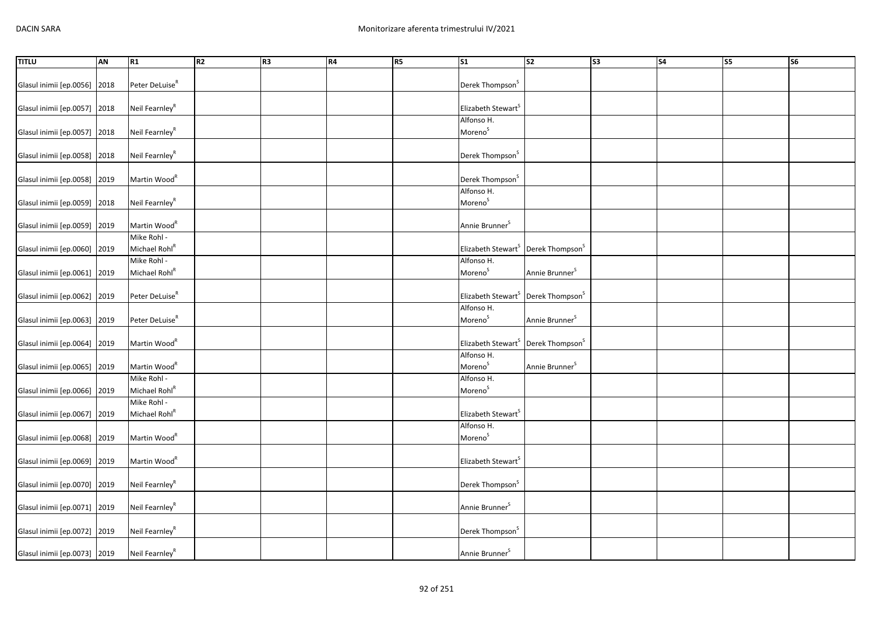| <b>TITLU</b>                 | AN   | R1                         | R2 | R <sub>3</sub> | R4 | R5 | $\overline{\text{S1}}$                                     | $\overline{\text{S2}}$      | $\overline{\text{S3}}$ | $\overline{\phantom{a}}$ S4 | S5 | $\overline{\text{S6}}$ |
|------------------------------|------|----------------------------|----|----------------|----|----|------------------------------------------------------------|-----------------------------|------------------------|-----------------------------|----|------------------------|
|                              |      |                            |    |                |    |    |                                                            |                             |                        |                             |    |                        |
| Glasul inimii [ep.0056]      | 2018 | Peter DeLuise <sup>R</sup> |    |                |    |    | Derek Thompson <sup>S</sup>                                |                             |                        |                             |    |                        |
|                              |      |                            |    |                |    |    |                                                            |                             |                        |                             |    |                        |
| Glasul inimii [ep.0057]      | 2018 | Neil Fearnley <sup>R</sup> |    |                |    |    | Elizabeth Stewart <sup>S</sup>                             |                             |                        |                             |    |                        |
|                              |      |                            |    |                |    |    |                                                            |                             |                        |                             |    |                        |
|                              |      |                            |    |                |    |    | Alfonso H.                                                 |                             |                        |                             |    |                        |
| Glasul inimii [ep.0057]      | 2018 | Neil Fearnley <sup>R</sup> |    |                |    |    | Moreno <sup>S</sup>                                        |                             |                        |                             |    |                        |
|                              |      |                            |    |                |    |    |                                                            |                             |                        |                             |    |                        |
| Glasul inimii [ep.0058]      | 2018 | Neil Fearnley <sup>R</sup> |    |                |    |    | Derek Thompson <sup>S</sup>                                |                             |                        |                             |    |                        |
|                              |      |                            |    |                |    |    |                                                            |                             |                        |                             |    |                        |
| Glasul inimii [ep.0058]      | 2019 | Martin Wood <sup>R</sup>   |    |                |    |    | Derek Thompson <sup>S</sup>                                |                             |                        |                             |    |                        |
|                              |      |                            |    |                |    |    | Alfonso H.                                                 |                             |                        |                             |    |                        |
| Glasul inimii [ep.0059]      | 2018 | Neil Fearnley <sup>R</sup> |    |                |    |    | Moreno <sup>S</sup>                                        |                             |                        |                             |    |                        |
|                              |      |                            |    |                |    |    |                                                            |                             |                        |                             |    |                        |
| Glasul inimii [ep.0059]      | 2019 | Martin Wood <sup>R</sup>   |    |                |    |    | Annie Brunner <sup>S</sup>                                 |                             |                        |                             |    |                        |
|                              |      | Mike Rohl -                |    |                |    |    |                                                            |                             |                        |                             |    |                        |
| Glasul inimii [ep.0060]      | 2019 | Michael Rohl <sup>R</sup>  |    |                |    |    | Elizabeth Stewart <sup>S</sup> Derek Thompson <sup>S</sup> |                             |                        |                             |    |                        |
|                              |      | Mike Rohl -                |    |                |    |    | Alfonso H.                                                 |                             |                        |                             |    |                        |
|                              |      |                            |    |                |    |    |                                                            |                             |                        |                             |    |                        |
| Glasul inimii [ep.0061]      | 2019 | Michael Rohl <sup>R</sup>  |    |                |    |    | Moreno <sup>S</sup>                                        | Annie Brunner <sup>S</sup>  |                        |                             |    |                        |
|                              |      |                            |    |                |    |    |                                                            |                             |                        |                             |    |                        |
| Glasul inimii [ep.0062]      | 2019 | Peter DeLuise <sup>R</sup> |    |                |    |    | Elizabeth Stewart <sup>S</sup>                             | Derek Thompson <sup>S</sup> |                        |                             |    |                        |
|                              |      |                            |    |                |    |    | Alfonso H.                                                 |                             |                        |                             |    |                        |
| Glasul inimii [ep.0063]      | 2019 | Peter DeLuise <sup>R</sup> |    |                |    |    | Moreno <sup>S</sup>                                        | Annie Brunner <sup>S</sup>  |                        |                             |    |                        |
|                              |      |                            |    |                |    |    |                                                            |                             |                        |                             |    |                        |
| Glasul inimii [ep.0064]      | 2019 | Martin Wood <sup>R</sup>   |    |                |    |    | Elizabeth Stewart <sup>S</sup> Derek Thompson <sup>S</sup> |                             |                        |                             |    |                        |
|                              |      |                            |    |                |    |    | Alfonso H.                                                 |                             |                        |                             |    |                        |
| Glasul inimii [ep.0065]      | 2019 | Martin Wood <sup>R</sup>   |    |                |    |    | Moreno <sup>S</sup>                                        | Annie Brunner <sup>S</sup>  |                        |                             |    |                        |
|                              |      | Mike Rohl -                |    |                |    |    | Alfonso H.                                                 |                             |                        |                             |    |                        |
| Glasul inimii [ep.0066]      | 2019 | Michael Rohl <sup>R</sup>  |    |                |    |    | Moreno <sup>S</sup>                                        |                             |                        |                             |    |                        |
|                              |      | Mike Rohl -                |    |                |    |    |                                                            |                             |                        |                             |    |                        |
|                              |      |                            |    |                |    |    |                                                            |                             |                        |                             |    |                        |
| Glasul inimii [ep.0067]      | 2019 | Michael Rohl <sup>R</sup>  |    |                |    |    | Elizabeth Stewart <sup>S</sup>                             |                             |                        |                             |    |                        |
|                              |      |                            |    |                |    |    | Alfonso H.                                                 |                             |                        |                             |    |                        |
| Glasul inimii [ep.0068]      | 2019 | Martin Wood <sup>R</sup>   |    |                |    |    | Moreno <sup>S</sup>                                        |                             |                        |                             |    |                        |
|                              |      |                            |    |                |    |    |                                                            |                             |                        |                             |    |                        |
| Glasul inimii [ep.0069]      | 2019 | Martin Wood <sup>R</sup>   |    |                |    |    | Elizabeth Stewart <sup>S</sup>                             |                             |                        |                             |    |                        |
|                              |      |                            |    |                |    |    |                                                            |                             |                        |                             |    |                        |
| Glasul inimii [ep.0070] 2019 |      | Neil Fearnley <sup>R</sup> |    |                |    |    | Derek Thompson <sup>S</sup>                                |                             |                        |                             |    |                        |
|                              |      |                            |    |                |    |    |                                                            |                             |                        |                             |    |                        |
| Glasul inimii [ep.0071] 2019 |      | Neil Fearnley $R$          |    |                |    |    | Annie Brunner <sup>S</sup>                                 |                             |                        |                             |    |                        |
|                              |      |                            |    |                |    |    |                                                            |                             |                        |                             |    |                        |
| Glasul inimii [ep.0072] 2019 |      | Neil Fearnley <sup>R</sup> |    |                |    |    | Derek Thompson <sup>S</sup>                                |                             |                        |                             |    |                        |
|                              |      |                            |    |                |    |    |                                                            |                             |                        |                             |    |                        |
| Glasul inimii [ep.0073] 2019 |      | Neil Fearnley <sup>R</sup> |    |                |    |    | Annie Brunner <sup>5</sup>                                 |                             |                        |                             |    |                        |
|                              |      |                            |    |                |    |    |                                                            |                             |                        |                             |    |                        |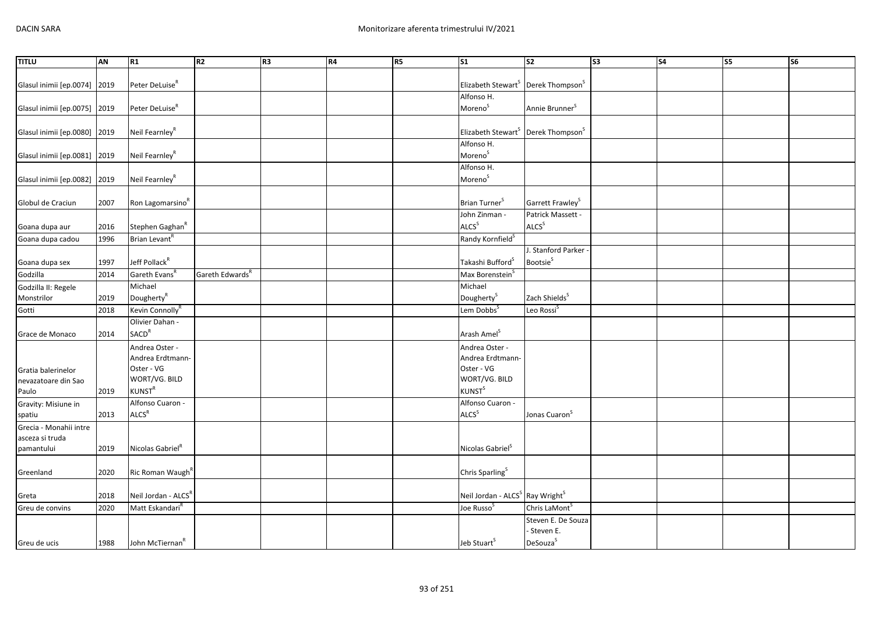| <b>TITLU</b>                 | <b>AN</b> | R1                              | R <sub>2</sub>              | R <sub>3</sub> | R4 | R5 | $\overline{\text{S1}}$                                     | $\overline{\text{S2}}$       | $\overline{\text{S3}}$ | $\overline{\text{S4}}$ | S5 | $\overline{\text{S6}}$ |
|------------------------------|-----------|---------------------------------|-----------------------------|----------------|----|----|------------------------------------------------------------|------------------------------|------------------------|------------------------|----|------------------------|
|                              |           |                                 |                             |                |    |    |                                                            |                              |                        |                        |    |                        |
| Glasul inimii [ep.0074]      | 2019      | Peter DeLuise <sup>R</sup>      |                             |                |    |    | Elizabeth Stewart <sup>S</sup> Derek Thompson <sup>S</sup> |                              |                        |                        |    |                        |
|                              |           |                                 |                             |                |    |    | Alfonso H.                                                 |                              |                        |                        |    |                        |
| Glasul inimii [ep.0075] 2019 |           | Peter DeLuise <sup>R</sup>      |                             |                |    |    | Moreno <sup>S</sup>                                        | Annie Brunner <sup>S</sup>   |                        |                        |    |                        |
|                              |           |                                 |                             |                |    |    |                                                            |                              |                        |                        |    |                        |
| Glasul inimii [ep.0080] 2019 |           | Neil Fearnley <sup>R</sup>      |                             |                |    |    | Elizabeth Stewart <sup>S</sup> Derek Thompson <sup>S</sup> |                              |                        |                        |    |                        |
|                              |           |                                 |                             |                |    |    | Alfonso H.                                                 |                              |                        |                        |    |                        |
| Glasul inimii [ep.0081] 2019 |           | Neil Fearnley <sup>R</sup>      |                             |                |    |    | Moreno <sup>S</sup>                                        |                              |                        |                        |    |                        |
|                              |           |                                 |                             |                |    |    | Alfonso H.                                                 |                              |                        |                        |    |                        |
|                              |           | Neil Fearnley <sup>R</sup>      |                             |                |    |    | Moreno <sup>S</sup>                                        |                              |                        |                        |    |                        |
| Glasul inimii [ep.0082]      | 2019      |                                 |                             |                |    |    |                                                            |                              |                        |                        |    |                        |
|                              |           |                                 |                             |                |    |    |                                                            |                              |                        |                        |    |                        |
| Globul de Craciun            | 2007      | Ron Lagomarsino <sup>R</sup>    |                             |                |    |    | Brian Turner <sup>S</sup>                                  | Garrett Frawley <sup>S</sup> |                        |                        |    |                        |
|                              |           |                                 |                             |                |    |    | John Zinman -                                              | Patrick Massett -            |                        |                        |    |                        |
| Goana dupa aur               | 2016      | Stephen Gaghan <sup>R</sup>     |                             |                |    |    | ALCS <sup>S</sup>                                          | ALCS <sup>S</sup>            |                        |                        |    |                        |
| Goana dupa cadou             | 1996      | Brian Levant <sup>R</sup>       |                             |                |    |    | Randy Kornfield <sup>S</sup>                               |                              |                        |                        |    |                        |
|                              |           |                                 |                             |                |    |    |                                                            | J. Stanford Parker           |                        |                        |    |                        |
| Goana dupa sex               | 1997      | Jeff Pollack <sup>R</sup>       |                             |                |    |    | Takashi Bufford <sup>S</sup>                               | Bootsie <sup>S</sup>         |                        |                        |    |                        |
| Godzilla                     | 2014      | Gareth Evans <sup>R</sup>       | Gareth Edwards <sup>R</sup> |                |    |    | Max Borenstein <sup>5</sup>                                |                              |                        |                        |    |                        |
| Godzilla II: Regele          |           | Michael                         |                             |                |    |    | Michael                                                    |                              |                        |                        |    |                        |
| Monstrilor                   | 2019      | Dougherty <sup>R</sup>          |                             |                |    |    | Dougherty <sup>S</sup>                                     | Zach Shields <sup>S</sup>    |                        |                        |    |                        |
| Gotti                        | 2018      | Kevin Connolly <sup>R</sup>     |                             |                |    |    | Lem Dobbs <sup>S</sup>                                     | Leo Rossi <sup>S</sup>       |                        |                        |    |                        |
|                              |           | Olivier Dahan -                 |                             |                |    |    |                                                            |                              |                        |                        |    |                        |
| Grace de Monaco              | 2014      | <b>SACD<sup>R</sup></b>         |                             |                |    |    | Arash Amel <sup>S</sup>                                    |                              |                        |                        |    |                        |
|                              |           | Andrea Oster -                  |                             |                |    |    | Andrea Oster -                                             |                              |                        |                        |    |                        |
|                              |           | Andrea Erdtmann-                |                             |                |    |    | Andrea Erdtmann-                                           |                              |                        |                        |    |                        |
| Gratia balerinelor           |           | Oster - VG                      |                             |                |    |    | Oster - VG                                                 |                              |                        |                        |    |                        |
| nevazatoare din Sao          |           | WORT/VG. BILD                   |                             |                |    |    | WORT/VG. BILD                                              |                              |                        |                        |    |                        |
| Paulo                        | 2019      | $KUNST^R$                       |                             |                |    |    | <b>KUNST</b> <sup>S</sup>                                  |                              |                        |                        |    |                        |
| Gravity: Misiune in          |           | Alfonso Cuaron -                |                             |                |    |    | Alfonso Cuaron -                                           |                              |                        |                        |    |                        |
| spatiu                       | 2013      | ALCS <sup>R</sup>               |                             |                |    |    | ALCS <sup>S</sup>                                          | Jonas Cuaron <sup>S</sup>    |                        |                        |    |                        |
| Grecia - Monahii intre       |           |                                 |                             |                |    |    |                                                            |                              |                        |                        |    |                        |
| asceza si truda              |           |                                 |                             |                |    |    |                                                            |                              |                        |                        |    |                        |
| pamantului                   | 2019      | Nicolas Gabriel <sup>R</sup>    |                             |                |    |    | Nicolas Gabriel <sup>S</sup>                               |                              |                        |                        |    |                        |
|                              |           |                                 |                             |                |    |    |                                                            |                              |                        |                        |    |                        |
|                              | 2020      |                                 |                             |                |    |    | Chris Sparling <sup>S</sup>                                |                              |                        |                        |    |                        |
| Greenland                    |           | Ric Roman Waugh <sup>R</sup>    |                             |                |    |    |                                                            |                              |                        |                        |    |                        |
|                              |           |                                 |                             |                |    |    |                                                            |                              |                        |                        |    |                        |
| Greta                        | 2018      | Neil Jordan - ALCS <sup>K</sup> |                             |                |    |    | Neil Jordan - ALCS <sup>S</sup> Ray Wright <sup>S</sup>    |                              |                        |                        |    |                        |
| Greu de convins              | 2020      | Matt Eskandari <sup>R</sup>     |                             |                |    |    | Joe Russo <sup>S</sup>                                     | Chris LaMont <sup>S</sup>    |                        |                        |    |                        |
|                              |           |                                 |                             |                |    |    |                                                            | Steven E. De Souza           |                        |                        |    |                        |
|                              |           |                                 |                             |                |    |    |                                                            | Steven E.                    |                        |                        |    |                        |
| Greu de ucis                 | 1988      | John McTiernan <sup>R</sup>     |                             |                |    |    | Jeb Stuart <sup>S</sup>                                    | DeSouza <sup>S</sup>         |                        |                        |    |                        |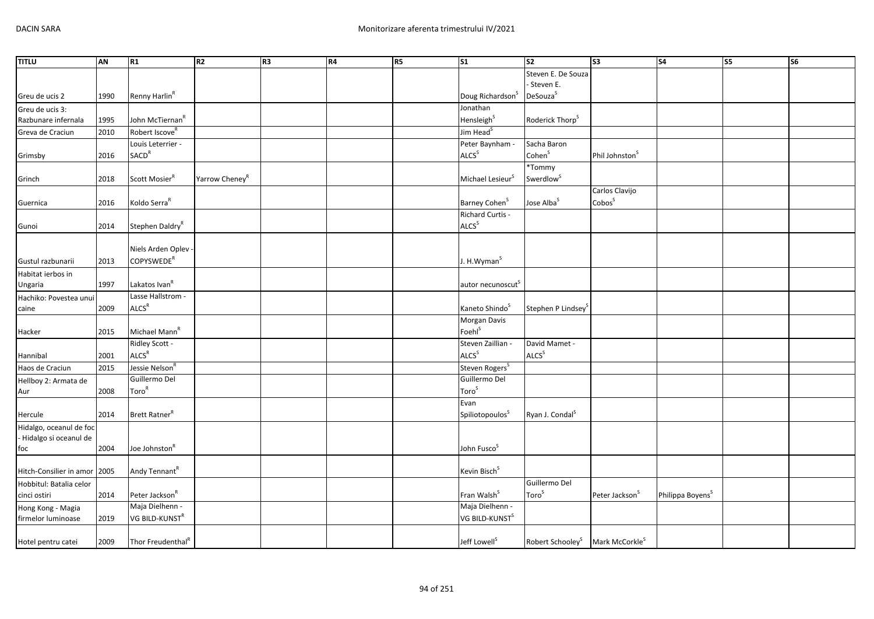| <b>TITLU</b>            | AN   | R1                            | R <sub>2</sub>             | R <sub>3</sub> | R4 | R5 | S <sub>1</sub>               | S <sub>2</sub>                                          | S3                         | <b>S4</b>                    | <b>S5</b> | <b>S6</b> |
|-------------------------|------|-------------------------------|----------------------------|----------------|----|----|------------------------------|---------------------------------------------------------|----------------------------|------------------------------|-----------|-----------|
|                         |      |                               |                            |                |    |    |                              | Steven E. De Souza                                      |                            |                              |           |           |
|                         |      |                               |                            |                |    |    |                              | - Steven E.                                             |                            |                              |           |           |
| Greu de ucis 2          | 1990 | Renny Harlin <sup>R</sup>     |                            |                |    |    | Doug Richardson <sup>S</sup> | DeSouza <sup>S</sup>                                    |                            |                              |           |           |
| Greu de ucis 3:         |      |                               |                            |                |    |    | Jonathan                     |                                                         |                            |                              |           |           |
| Razbunare infernala     | 1995 | John McTiernan <sup>R</sup>   |                            |                |    |    | Hensleigh <sup>S</sup>       | Roderick Thorp <sup>S</sup>                             |                            |                              |           |           |
| Greva de Craciun        | 2010 | Robert Iscove <sup>R</sup>    |                            |                |    |    | Jim Head <sup>S</sup>        |                                                         |                            |                              |           |           |
|                         |      | Louis Leterrier -             |                            |                |    |    | Peter Baynham -              | Sacha Baron                                             |                            |                              |           |           |
| Grimsby                 | 2016 | <b>SACD<sup>R</sup></b>       |                            |                |    |    | <b>ALCS</b> <sup>S</sup>     | Cohen <sup>S</sup>                                      | Phil Johnston <sup>S</sup> |                              |           |           |
|                         |      |                               |                            |                |    |    |                              | *Tommy                                                  |                            |                              |           |           |
| Grinch                  | 2018 | Scott Mosier <sup>R</sup>     | Yarrow Cheney <sup>R</sup> |                |    |    | Michael Lesieur <sup>S</sup> | Swerdlow <sup>S</sup>                                   |                            |                              |           |           |
|                         |      |                               |                            |                |    |    |                              |                                                         | Carlos Clavijo             |                              |           |           |
| Guernica                | 2016 | Koldo Serra <sup>R</sup>      |                            |                |    |    | Barney Cohen <sup>S</sup>    | Jose Alba <sup>S</sup>                                  | Cobos <sup>S</sup>         |                              |           |           |
|                         |      |                               |                            |                |    |    | Richard Curtis -             |                                                         |                            |                              |           |           |
| Gunoi                   | 2014 | Stephen Daldry <sup>R</sup>   |                            |                |    |    | ALCS <sup>S</sup>            |                                                         |                            |                              |           |           |
|                         |      |                               |                            |                |    |    |                              |                                                         |                            |                              |           |           |
|                         |      | Niels Arden Oplev -           |                            |                |    |    |                              |                                                         |                            |                              |           |           |
| Gustul razbunarii       | 2013 | COPYSWEDE <sup>R</sup>        |                            |                |    |    | J. H.Wyman <sup>S</sup>      |                                                         |                            |                              |           |           |
| Habitat ierbos in       |      |                               |                            |                |    |    |                              |                                                         |                            |                              |           |           |
| Ungaria                 | 1997 | Lakatos Ivan <sup>R</sup>     |                            |                |    |    | autor necunoscut             |                                                         |                            |                              |           |           |
| Hachiko: Povestea unui  |      | Lasse Hallstrom -             |                            |                |    |    |                              |                                                         |                            |                              |           |           |
| caine                   | 2009 | ALCS <sup>R</sup>             |                            |                |    |    | Kaneto Shindo <sup>S</sup>   | Stephen P Lindsey                                       |                            |                              |           |           |
|                         |      |                               |                            |                |    |    | Morgan Davis                 |                                                         |                            |                              |           |           |
| Hacker                  | 2015 | Michael Mann <sup>R</sup>     |                            |                |    |    | Foehl <sup>S</sup>           |                                                         |                            |                              |           |           |
|                         |      | Ridley Scott -                |                            |                |    |    | Steven Zaillian -            | David Mamet -                                           |                            |                              |           |           |
| Hannibal                | 2001 | ALCS <sup>R</sup>             |                            |                |    |    | <b>ALCS</b> <sup>S</sup>     | ALCS <sup>S</sup>                                       |                            |                              |           |           |
| Haos de Craciun         | 2015 | Jessie Nelson <sup>R</sup>    |                            |                |    |    | Steven Rogers <sup>S</sup>   |                                                         |                            |                              |           |           |
| Hellboy 2: Armata de    |      | Guillermo Del                 |                            |                |    |    | Guillermo Del                |                                                         |                            |                              |           |           |
| Aur                     | 2008 | Toro <sup>R</sup>             |                            |                |    |    | Toro <sup>S</sup>            |                                                         |                            |                              |           |           |
|                         |      |                               |                            |                |    |    | Evan                         |                                                         |                            |                              |           |           |
| Hercule                 | 2014 | Brett Ratner <sup>R</sup>     |                            |                |    |    | Spiliotopoulos <sup>S</sup>  | Ryan J. Condal <sup>S</sup>                             |                            |                              |           |           |
| Hidalgo, oceanul de foc |      |                               |                            |                |    |    |                              |                                                         |                            |                              |           |           |
| - Hidalgo si oceanul de |      |                               |                            |                |    |    |                              |                                                         |                            |                              |           |           |
| foc                     | 2004 | Joe Johnston <sup>R</sup>     |                            |                |    |    | John Fusco <sup>S</sup>      |                                                         |                            |                              |           |           |
|                         |      |                               |                            |                |    |    |                              |                                                         |                            |                              |           |           |
| Hitch-Consilier in amor | 2005 | Andy Tennant <sup>R</sup>     |                            |                |    |    | Kevin Bisch <sup>S</sup>     |                                                         |                            |                              |           |           |
| Hobbitul: Batalia celor |      |                               |                            |                |    |    |                              | Guillermo Del                                           |                            |                              |           |           |
| cinci ostiri            | 2014 | Peter Jackson <sup>R</sup>    |                            |                |    |    | Fran Walsh <sup>S</sup>      | Toro <sup>S</sup>                                       | Peter Jackson <sup>S</sup> | Philippa Boyens <sup>S</sup> |           |           |
| Hong Kong - Magia       |      | Maja Dielhenn -               |                            |                |    |    | Maja Dielhenn -              |                                                         |                            |                              |           |           |
| firmelor luminoase      | 2019 | VG BILD-KUNST <sup>R</sup>    |                            |                |    |    | VG BILD-KUNST <sup>S</sup>   |                                                         |                            |                              |           |           |
|                         |      |                               |                            |                |    |    |                              |                                                         |                            |                              |           |           |
| Hotel pentru catei      | 2009 | Thor Freudenthal <sup>R</sup> |                            |                |    |    | Jeff Lowell <sup>S</sup>     | Robert Schooley <sup>S</sup> Mark McCorkle <sup>S</sup> |                            |                              |           |           |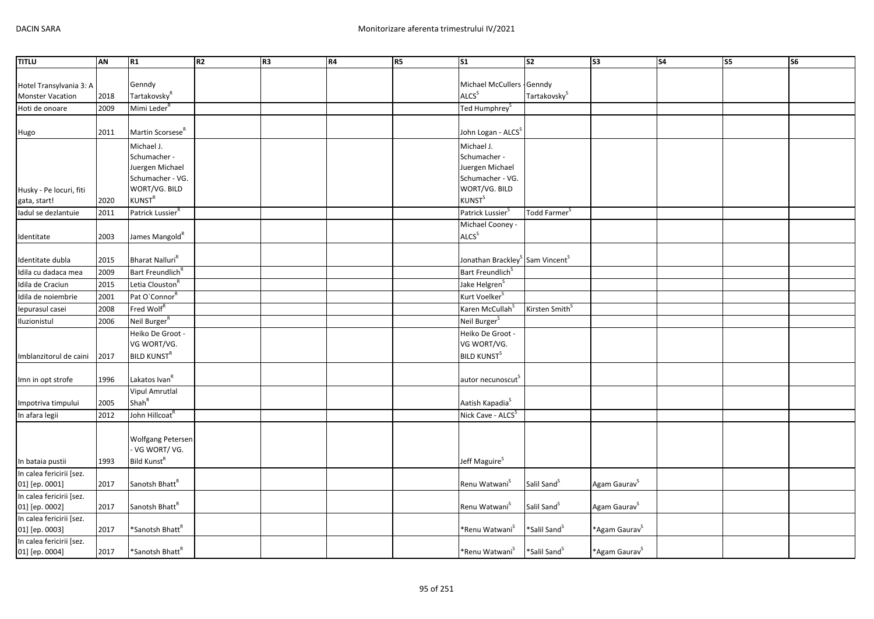| <b>TITLU</b>                               | <b>AN</b> | R1                                        | R <sub>2</sub> | R <sub>3</sub> | R4 | R5 | $\overline{\text{S1}}$                                  | $\overline{\text{S2}}$     | $\overline{\text{S3}}$    | $\overline{\text{S4}}$ | S <sub>5</sub> | $\overline{\text{S6}}$ |
|--------------------------------------------|-----------|-------------------------------------------|----------------|----------------|----|----|---------------------------------------------------------|----------------------------|---------------------------|------------------------|----------------|------------------------|
|                                            |           |                                           |                |                |    |    |                                                         |                            |                           |                        |                |                        |
| Hotel Transylvania 3: A                    |           | Genndy                                    |                |                |    |    | Michael McCullers - Genndy                              |                            |                           |                        |                |                        |
| <b>Monster Vacation</b>                    | 2018      | Tartakovsky <sup>R</sup>                  |                |                |    |    | ALCS <sup>S</sup>                                       | Tartakovsky <sup>S</sup>   |                           |                        |                |                        |
| Hoti de onoare                             | 2009      | Mimi Leder <sup>8</sup>                   |                |                |    |    | Ted Humphrey <sup>S</sup>                               |                            |                           |                        |                |                        |
|                                            |           |                                           |                |                |    |    |                                                         |                            |                           |                        |                |                        |
| Hugo                                       | 2011      | Martin Scorsese <sup>R</sup>              |                |                |    |    | John Logan - ALCS <sup>S</sup>                          |                            |                           |                        |                |                        |
|                                            |           | Michael J.                                |                |                |    |    | Michael J.                                              |                            |                           |                        |                |                        |
|                                            |           | Schumacher -                              |                |                |    |    | Schumacher -                                            |                            |                           |                        |                |                        |
|                                            |           | Juergen Michael                           |                |                |    |    | Juergen Michael                                         |                            |                           |                        |                |                        |
|                                            |           | Schumacher - VG.                          |                |                |    |    | Schumacher - VG.                                        |                            |                           |                        |                |                        |
| Husky - Pe locuri, fiti                    |           | WORT/VG. BILD                             |                |                |    |    | WORT/VG. BILD                                           |                            |                           |                        |                |                        |
| gata, start!                               | 2020      | <b>KUNST<sup>R</sup></b>                  |                |                |    |    | <b>KUNST</b> <sup>S</sup>                               |                            |                           |                        |                |                        |
| ladul se dezlantuie                        | 2011      | Patrick Lussier <sup>R</sup>              |                |                |    |    | Patrick Lussier <sup>S</sup>                            | Todd Farmer <sup>S</sup>   |                           |                        |                |                        |
|                                            |           |                                           |                |                |    |    | Michael Cooney -                                        |                            |                           |                        |                |                        |
|                                            | 2003      | James Mangold <sup>R</sup>                |                |                |    |    | ALCS <sup>S</sup>                                       |                            |                           |                        |                |                        |
| Identitate                                 |           |                                           |                |                |    |    |                                                         |                            |                           |                        |                |                        |
| Identitate dubla                           | 2015      | Bharat Nalluri <sup>R</sup>               |                |                |    |    | Jonathan Brackley <sup>S</sup> Sam Vincent <sup>S</sup> |                            |                           |                        |                |                        |
| Idila cu dadaca mea                        | 2009      | Bart Freundlich <sup>R</sup>              |                |                |    |    | Bart Freundlich <sup>S</sup>                            |                            |                           |                        |                |                        |
| Idila de Craciun                           | 2015      | Letia Clouston <sup>R</sup>               |                |                |    |    | Jake Helgren <sup>S</sup>                               |                            |                           |                        |                |                        |
| Idila de noiembrie                         | 2001      | Pat O'Connor <sup>R</sup>                 |                |                |    |    | Kurt Voelker <sup>5</sup>                               |                            |                           |                        |                |                        |
| lepurasul casei                            | 2008      | Fred Wolf <sup>R</sup>                    |                |                |    |    | Karen McCullah <sup>S</sup>                             | Kirsten Smith <sup>S</sup> |                           |                        |                |                        |
| Iluzionistul                               | 2006      | Neil Burger <sup>R</sup>                  |                |                |    |    | Neil Burger <sup>S</sup>                                |                            |                           |                        |                |                        |
|                                            |           | Heiko De Groot -                          |                |                |    |    | Heiko De Groot -                                        |                            |                           |                        |                |                        |
|                                            |           | VG WORT/VG.                               |                |                |    |    | VG WORT/VG.                                             |                            |                           |                        |                |                        |
|                                            | 2017      | <b>BILD KUNST<sup>R</sup></b>             |                |                |    |    | <b>BILD KUNST<sup>S</sup></b>                           |                            |                           |                        |                |                        |
| Imblanzitorul de caini                     |           |                                           |                |                |    |    |                                                         |                            |                           |                        |                |                        |
|                                            | 1996      | Lakatos Ivan <sup>R</sup>                 |                |                |    |    | autor necunoscut <sup>5</sup>                           |                            |                           |                        |                |                        |
| Imn in opt strofe                          |           | <b>Vipul Amrutlal</b>                     |                |                |    |    |                                                         |                            |                           |                        |                |                        |
|                                            |           | Shah <sup>R</sup>                         |                |                |    |    |                                                         |                            |                           |                        |                |                        |
| Impotriva timpului                         | 2005      | John Hillcoat <sup>R</sup>                |                |                |    |    | Aatish Kapadia <sup>S</sup>                             |                            |                           |                        |                |                        |
| In afara legii                             | 2012      |                                           |                |                |    |    | Nick Cave - ALCS <sup>S</sup>                           |                            |                           |                        |                |                        |
|                                            |           |                                           |                |                |    |    |                                                         |                            |                           |                        |                |                        |
|                                            |           | <b>Wolfgang Petersen</b><br>- VG WORT/VG. |                |                |    |    |                                                         |                            |                           |                        |                |                        |
|                                            |           |                                           |                |                |    |    |                                                         |                            |                           |                        |                |                        |
| In bataia pustii                           | 1993      | Bild Kunst <sup>R</sup>                   |                |                |    |    | Jeff Maguire <sup>S</sup>                               |                            |                           |                        |                |                        |
| In calea fericirii [sez.                   |           |                                           |                |                |    |    |                                                         |                            |                           |                        |                |                        |
| 01] [ep. 0001]                             | 2017      | Sanotsh Bhatt <sup>R</sup>                |                |                |    |    | Renu Watwani <sup>S</sup>                               | Salil Sand <sup>S</sup>    | Agam Gaurav <sup>S</sup>  |                        |                |                        |
| In calea fericirii [sez.                   |           | Sanotsh Bhatt <sup>R</sup>                |                |                |    |    |                                                         |                            |                           |                        |                |                        |
| 01] [ep. 0002]                             | 2017      |                                           |                |                |    |    | Renu Watwani <sup>S</sup>                               | Salil Sand <sup>S</sup>    | Agam Gaurav <sup>S</sup>  |                        |                |                        |
| In calea fericirii [sez.<br>01] [ep. 0003] | 2017      | *Sanotsh Bhatt <sup>R</sup>               |                |                |    |    | *Renu Watwani <sup>S</sup>                              | *Salil Sand <sup>S</sup>   | *Agam Gaurav <sup>S</sup> |                        |                |                        |
| In calea fericirii [sez.                   |           |                                           |                |                |    |    |                                                         |                            |                           |                        |                |                        |
| 01] [ep. 0004]                             | 2017      | *Sanotsh Bhatt <sup>R</sup>               |                |                |    |    | *Renu Watwani <sup>S</sup>                              | *Salil Sand <sup>S</sup>   | *Agam Gaurav <sup>S</sup> |                        |                |                        |
|                                            |           |                                           |                |                |    |    |                                                         |                            |                           |                        |                |                        |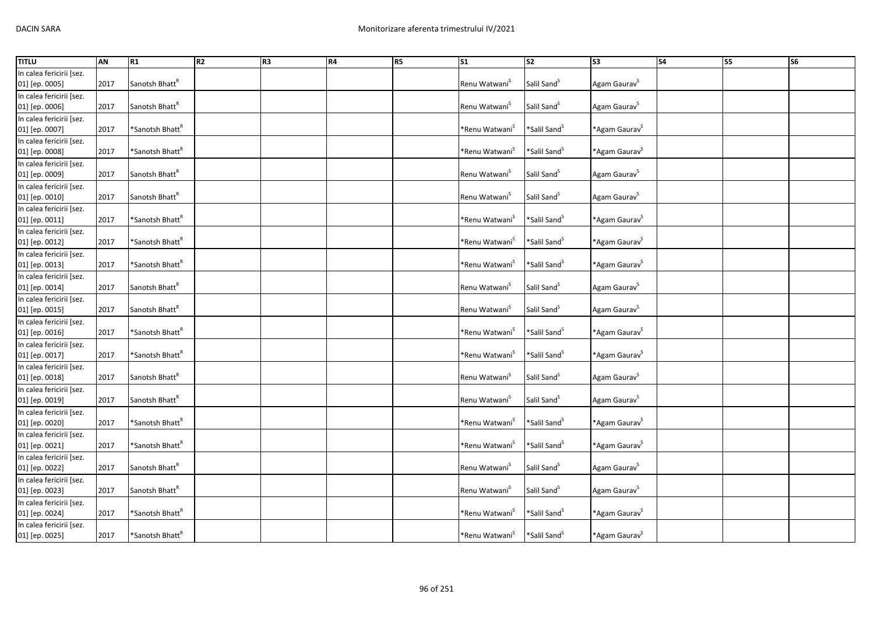| <b>TITLU</b>             | <b>AN</b> | R1                          | R2 | R <sub>3</sub> | R4 | R5 | $\overline{\text{S1}}$     | $\overline{\text{S2}}$   | S <sub>3</sub>               | <b>S4</b> | S5 | <b>S6</b> |
|--------------------------|-----------|-----------------------------|----|----------------|----|----|----------------------------|--------------------------|------------------------------|-----------|----|-----------|
| In calea fericirii [sez. |           |                             |    |                |    |    |                            |                          |                              |           |    |           |
| 01] [ep. 0005]           | 2017      | Sanotsh Bhatt <sup>R</sup>  |    |                |    |    | Renu Watwani <sup>S</sup>  | Salil Sand <sup>S</sup>  | Agam Gaurav <sup>S</sup>     |           |    |           |
| In calea fericirii [sez. |           |                             |    |                |    |    |                            |                          |                              |           |    |           |
| 01] [ep. 0006]           | 2017      | Sanotsh Bhatt <sup>R</sup>  |    |                |    |    | Renu Watwani <sup>S</sup>  | Salil Sand <sup>S</sup>  | Agam Gaurav <sup>S</sup>     |           |    |           |
| In calea fericirii [sez. |           |                             |    |                |    |    |                            |                          |                              |           |    |           |
| 01] [ep. 0007]           | 2017      | *Sanotsh Bhatt <sup>R</sup> |    |                |    |    | *Renu Watwani <sup>s</sup> | *Salil Sand <sup>S</sup> | *Agam Gaurav <sup>S</sup>    |           |    |           |
| In calea fericirii [sez. |           |                             |    |                |    |    |                            |                          |                              |           |    |           |
| 01] [ep. 0008]           | 2017      | *Sanotsh Bhatt <sup>R</sup> |    |                |    |    | *Renu Watwani <sup>S</sup> | *Salil Sand <sup>S</sup> | *Agam Gaurav <sup>S</sup>    |           |    |           |
| In calea fericirii [sez. |           |                             |    |                |    |    |                            |                          |                              |           |    |           |
| 01] [ep. 0009]           | 2017      | Sanotsh Bhatt <sup>R</sup>  |    |                |    |    | Renu Watwani <sup>S</sup>  | Salil Sand <sup>S</sup>  | Agam Gaurav <sup>5</sup>     |           |    |           |
| In calea fericirii [sez. |           |                             |    |                |    |    |                            |                          |                              |           |    |           |
| 01] [ep. 0010]           | 2017      | Sanotsh Bhatt <sup>R</sup>  |    |                |    |    | Renu Watwani <sup>S</sup>  | Salil Sand <sup>S</sup>  | Agam Gaurav <sup>S</sup>     |           |    |           |
| In calea fericirii [sez. |           |                             |    |                |    |    |                            |                          |                              |           |    |           |
| 01] [ep. 0011]           | 2017      | *Sanotsh Bhatt <sup>R</sup> |    |                |    |    | *Renu Watwani <sup>S</sup> | *Salil Sand <sup>S</sup> | *Agam Gaurav <sup>S</sup>    |           |    |           |
| In calea fericirii [sez. |           |                             |    |                |    |    |                            |                          |                              |           |    |           |
| 01] [ep. 0012]           | 2017      | *Sanotsh Bhatt <sup>R</sup> |    |                |    |    | *Renu Watwani <sup>s</sup> | *Salil Sand <sup>S</sup> | *Agam Gaurav <sup>S</sup>    |           |    |           |
| In calea fericirii [sez. |           |                             |    |                |    |    |                            |                          |                              |           |    |           |
| 01] [ep. 0013]           | 2017      | *Sanotsh Bhatt <sup>R</sup> |    |                |    |    | *Renu Watwani <sup>`</sup> | *Salil Sand <sup>S</sup> | *Agam Gaurav <sup>S</sup>    |           |    |           |
| In calea fericirii [sez. |           |                             |    |                |    |    |                            |                          |                              |           |    |           |
| 01] [ep. 0014]           | 2017      | Sanotsh Bhatt <sup>R</sup>  |    |                |    |    | Renu Watwani <sup>5</sup>  | Salil Sand <sup>S</sup>  | Agam Gaurav <sup>S</sup>     |           |    |           |
| In calea fericirii [sez. |           |                             |    |                |    |    |                            |                          |                              |           |    |           |
| 01] [ep. 0015]           | 2017      | Sanotsh Bhatt <sup>R</sup>  |    |                |    |    | Renu Watwani <sup>5</sup>  | Salil Sand <sup>5</sup>  | Agam Gaurav <sup>S</sup>     |           |    |           |
| In calea fericirii [sez. |           |                             |    |                |    |    |                            |                          |                              |           |    |           |
| 01] [ep. 0016]           | 2017      | *Sanotsh Bhatt <sup>R</sup> |    |                |    |    | *Renu Watwani <sup>s</sup> | *Salil Sand <sup>S</sup> | *Agam Gaurav <sup>&gt;</sup> |           |    |           |
| In calea fericirii [sez. |           |                             |    |                |    |    |                            |                          |                              |           |    |           |
| 01] [ep. 0017]           | 2017      | *Sanotsh Bhatt <sup>k</sup> |    |                |    |    | *Renu Watwani <sup>5</sup> | *Salil Sand <sup>S</sup> | *Agam Gaurav <sup>S</sup>    |           |    |           |
| In calea fericirii [sez. |           |                             |    |                |    |    |                            |                          |                              |           |    |           |
| 01] [ep. 0018]           | 2017      | Sanotsh Bhatt <sup>R</sup>  |    |                |    |    | Renu Watwani <sup>S</sup>  | Salil Sand <sup>5</sup>  | Agam Gaurav <sup>5</sup>     |           |    |           |
| In calea fericirii [sez. |           |                             |    |                |    |    |                            |                          |                              |           |    |           |
| 01] [ep. 0019]           | 2017      | Sanotsh Bhatt <sup>R</sup>  |    |                |    |    | Renu Watwani <sup>S</sup>  | Salil Sand <sup>S</sup>  | Agam Gaurav <sup>S</sup>     |           |    |           |
| In calea fericirii [sez. |           |                             |    |                |    |    |                            |                          |                              |           |    |           |
| 01] [ep. 0020]           | 2017      | *Sanotsh Bhatt <sup>R</sup> |    |                |    |    | *Renu Watwani <sup>S</sup> | *Salil Sand <sup>S</sup> | *Agam Gaurav <sup>&gt;</sup> |           |    |           |
| In calea fericirii [sez. |           |                             |    |                |    |    |                            |                          |                              |           |    |           |
| 01] [ep. 0021]           | 2017      | *Sanotsh Bhatt <sup>k</sup> |    |                |    |    | *Renu Watwani <sup>s</sup> | *Salil Sand <sup>S</sup> | *Agam Gaurav <sup>S</sup>    |           |    |           |
| In calea fericirii [sez. |           |                             |    |                |    |    |                            |                          |                              |           |    |           |
| 01] [ep. 0022]           | 2017      | Sanotsh Bhatt <sup>R</sup>  |    |                |    |    | Renu Watwani <sup>S</sup>  | Salil Sand <sup>5</sup>  | Agam Gaurav <sup>S</sup>     |           |    |           |
| In calea fericirii [sez. |           |                             |    |                |    |    |                            |                          |                              |           |    |           |
| 01] [ep. 0023]           | 2017      | Sanotsh Bhatt <sup>R</sup>  |    |                |    |    | Renu Watwani <sup>S</sup>  | Salil Sand <sup>S</sup>  | Agam Gaurav <sup>S</sup>     |           |    |           |
| In calea fericirii [sez. |           |                             |    |                |    |    |                            |                          |                              |           |    |           |
| 01] [ep. 0024]           | 2017      | *Sanotsh Bhatt <sup>R</sup> |    |                |    |    | *Renu Watwani <sup>`</sup> | *Salil Sand <sup>S</sup> | *Agam Gaurav <sup>S</sup>    |           |    |           |
| In calea fericirii [sez. |           |                             |    |                |    |    |                            |                          |                              |           |    |           |
| 01] [ep. 0025]           | 2017      | *Sanotsh Bhatt <sup>R</sup> |    |                |    |    | *Renu Watwani <sup>S</sup> | *Salil Sand <sup>S</sup> | *Agam Gaurav <sup>&gt;</sup> |           |    |           |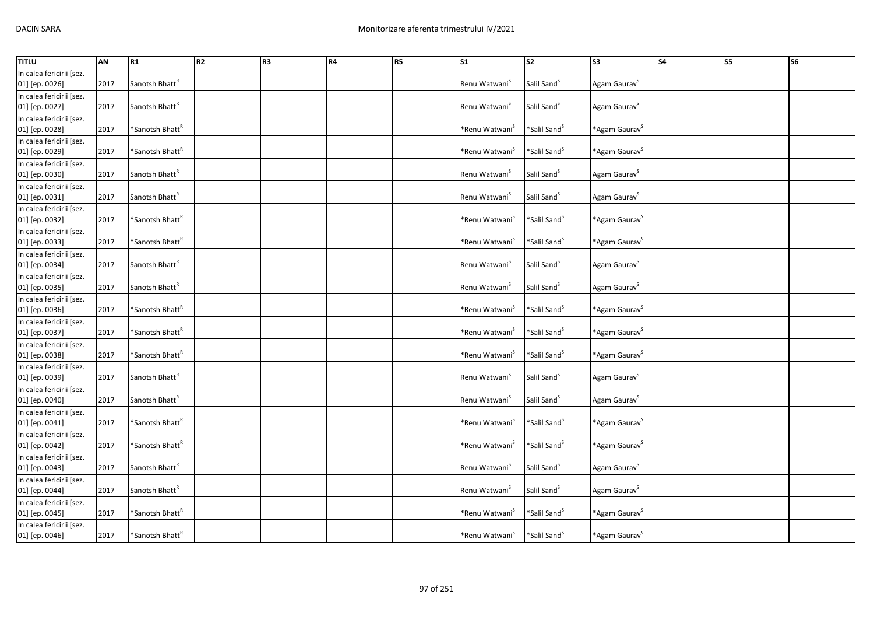| <b>TITLU</b>             | <b>AN</b> | R1                          | R2 | R <sub>3</sub> | R4 | R5 | $\overline{\text{S1}}$     | $\overline{\text{S2}}$   | S <sub>3</sub>               | <b>S4</b> | S5 | <b>S6</b> |
|--------------------------|-----------|-----------------------------|----|----------------|----|----|----------------------------|--------------------------|------------------------------|-----------|----|-----------|
| In calea fericirii [sez. |           |                             |    |                |    |    |                            |                          |                              |           |    |           |
| 01] [ep. 0026]           | 2017      | Sanotsh Bhatt <sup>R</sup>  |    |                |    |    | Renu Watwani <sup>S</sup>  | Salil Sand <sup>5</sup>  | Agam Gaurav <sup>S</sup>     |           |    |           |
| In calea fericirii [sez. |           |                             |    |                |    |    |                            |                          |                              |           |    |           |
| 01] [ep. 0027]           | 2017      | Sanotsh Bhatt <sup>R</sup>  |    |                |    |    | Renu Watwani <sup>S</sup>  | Salil Sand <sup>S</sup>  | Agam Gaurav <sup>S</sup>     |           |    |           |
| In calea fericirii [sez. |           |                             |    |                |    |    |                            |                          |                              |           |    |           |
| 01] [ep. 0028]           | 2017      | *Sanotsh Bhatt <sup>R</sup> |    |                |    |    | *Renu Watwani <sup>S</sup> | *Salil Sand <sup>S</sup> | *Agam Gaurav <sup>S</sup>    |           |    |           |
| In calea fericirii [sez. |           |                             |    |                |    |    |                            |                          |                              |           |    |           |
| 01] [ep. 0029]           | 2017      | *Sanotsh Bhatt <sup>*</sup> |    |                |    |    | *Renu Watwani <sup>S</sup> | *Salil Sand <sup>S</sup> | *Agam Gaurav <sup>S</sup>    |           |    |           |
| In calea fericirii [sez. |           |                             |    |                |    |    |                            |                          |                              |           |    |           |
| 01] [ep. 0030]           | 2017      | Sanotsh Bhatt <sup>R</sup>  |    |                |    |    | Renu Watwani <sup>S</sup>  | Salil Sand <sup>S</sup>  | Agam Gaurav <sup>S</sup>     |           |    |           |
| In calea fericirii [sez. |           |                             |    |                |    |    |                            |                          |                              |           |    |           |
| 01] [ep. 0031]           | 2017      | Sanotsh Bhatt <sup>R</sup>  |    |                |    |    | Renu Watwani <sup>S</sup>  | Salil Sand <sup>S</sup>  | Agam Gaurav <sup>5</sup>     |           |    |           |
| In calea fericirii [sez. |           |                             |    |                |    |    |                            |                          |                              |           |    |           |
| 01] [ep. 0032]           | 2017      | *Sanotsh Bhatt <sup>R</sup> |    |                |    |    | *Renu Watwani <sup>s</sup> | *Salil Sand <sup>S</sup> | *Agam Gaurav <sup>S</sup>    |           |    |           |
| In calea fericirii [sez. |           |                             |    |                |    |    |                            |                          |                              |           |    |           |
| 01] [ep. 0033]           | 2017      | *Sanotsh Bhatt <sup>R</sup> |    |                |    |    | *Renu Watwani <sup>`</sup> | *Salil Sand <sup>S</sup> | *Agam Gaurav <sup>S</sup>    |           |    |           |
| In calea fericirii [sez. |           |                             |    |                |    |    |                            |                          |                              |           |    |           |
| 01] [ep. 0034]           | 2017      | Sanotsh Bhatt <sup>k</sup>  |    |                |    |    | Renu Watwani <sup>5</sup>  | Salil Sand <sup>S</sup>  | Agam Gaurav <sup>S</sup>     |           |    |           |
| In calea fericirii [sez. |           |                             |    |                |    |    |                            |                          |                              |           |    |           |
| 01] [ep. 0035]           | 2017      | Sanotsh Bhatt <sup>R</sup>  |    |                |    |    | Renu Watwani <sup>5</sup>  | Salil Sand <sup>5</sup>  | Agam Gaurav <sup>5</sup>     |           |    |           |
| In calea fericirii [sez. |           |                             |    |                |    |    |                            |                          |                              |           |    |           |
| 01] [ep. 0036]           | 2017      | *Sanotsh Bhatt <sup>R</sup> |    |                |    |    | *Renu Watwani <sup>`</sup> | *Salil Sand <sup>S</sup> | *Agam Gaurav <sup>S</sup>    |           |    |           |
| In calea fericirii [sez. |           |                             |    |                |    |    |                            |                          |                              |           |    |           |
| 01] [ep. 0037]           | 2017      | *Sanotsh Bhatt <sup>k</sup> |    |                |    |    | *Renu Watwani <sup>`</sup> | *Salil Sand <sup>S</sup> | *Agam Gaurav <sup>S</sup>    |           |    |           |
| In calea fericirii [sez. |           |                             |    |                |    |    |                            |                          |                              |           |    |           |
| 01] [ep. 0038]           | 2017      | *Sanotsh Bhatt <sup>k</sup> |    |                |    |    | *Renu Watwani <sup>S</sup> | *Salil Sand <sup>S</sup> | *Agam Gaurav <sup>S</sup>    |           |    |           |
| In calea fericirii [sez. |           |                             |    |                |    |    |                            |                          |                              |           |    |           |
| 01] [ep. 0039]           | 2017      | Sanotsh Bhatt <sup>k</sup>  |    |                |    |    | Renu Watwani <sup>S</sup>  | Salil Sand <sup>S</sup>  | Agam Gaurav <sup>5</sup>     |           |    |           |
| In calea fericirii [sez. |           |                             |    |                |    |    |                            |                          |                              |           |    |           |
| 01] [ep. 0040]           | 2017      | Sanotsh Bhatt <sup>R</sup>  |    |                |    |    | Renu Watwani <sup>5</sup>  | Salil Sand <sup>5</sup>  | Agam Gaurav <sup>S</sup>     |           |    |           |
| In calea fericirii [sez. |           |                             |    |                |    |    |                            |                          |                              |           |    |           |
| 01] [ep. 0041]           | 2017      | *Sanotsh Bhatt <sup>k</sup> |    |                |    |    | *Renu Watwani <sup>S</sup> | *Salil Sand <sup>S</sup> | *Agam Gaurav <sup>&gt;</sup> |           |    |           |
| In calea fericirii [sez. |           |                             |    |                |    |    |                            |                          |                              |           |    |           |
| 01] [ep. 0042]           | 2017      | *Sanotsh Bhatt <sup>k</sup> |    |                |    |    | *Renu Watwani <sup>S</sup> | *Salil Sand <sup>S</sup> | *Agam Gaurav <sup>S</sup>    |           |    |           |
| In calea fericirii [sez. |           |                             |    |                |    |    |                            |                          |                              |           |    |           |
| 01] [ep. 0043]           | 2017      | Sanotsh Bhatt <sup>R</sup>  |    |                |    |    | Renu Watwani <sup>S</sup>  | Salil Sand <sup>5</sup>  | Agam Gaurav <sup>5</sup>     |           |    |           |
| In calea fericirii [sez. |           |                             |    |                |    |    |                            |                          |                              |           |    |           |
| 01] [ep. 0044]           | 2017      | Sanotsh Bhatt <sup>R</sup>  |    |                |    |    | Renu Watwani <sup>S</sup>  | Salil Sand <sup>S</sup>  | Agam Gaurav <sup>S</sup>     |           |    |           |
| In calea fericirii [sez. |           |                             |    |                |    |    |                            |                          |                              |           |    |           |
| 01] [ep. 0045]           | 2017      | *Sanotsh Bhatt <sup>k</sup> |    |                |    |    | *Renu Watwani <sup>`</sup> | *Salil Sand <sup>S</sup> | *Agam Gaurav <sup>S</sup>    |           |    |           |
| In calea fericirii [sez. |           |                             |    |                |    |    |                            |                          |                              |           |    |           |
| 01] [ep. 0046]           | 2017      | *Sanotsh Bhatt <sup>k</sup> |    |                |    |    | *Renu Watwani <sup>S</sup> | *Salil Sand <sup>S</sup> | *Agam Gaurav <sup>&gt;</sup> |           |    |           |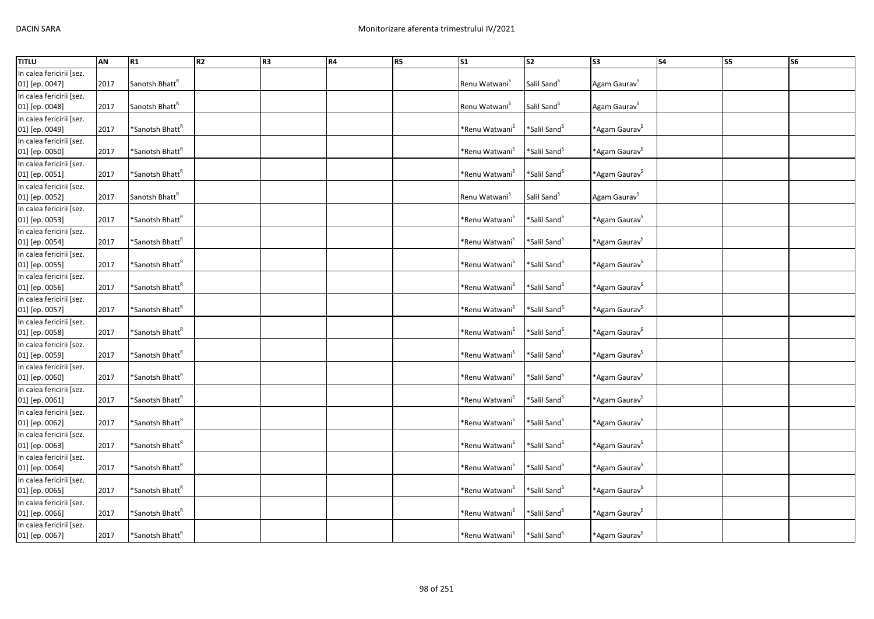| <b>TITLU</b>             | AN   | R1                          | R <sub>2</sub> | R <sub>3</sub> | R4 | R <sub>5</sub> | $\sqrt{51}$                   | $\overline{\text{S2}}$   | $\overline{\text{S3}}$       | <b>S4</b> | S5 | S6 |
|--------------------------|------|-----------------------------|----------------|----------------|----|----------------|-------------------------------|--------------------------|------------------------------|-----------|----|----|
| In calea fericirii [sez. |      |                             |                |                |    |                |                               |                          |                              |           |    |    |
| 01] [ep. 0047]           | 2017 | Sanotsh Bhatt <sup>R</sup>  |                |                |    |                | Renu Watwani <sup>S</sup>     | Salil Sand <sup>5</sup>  | Agam Gaurav <sup>S</sup>     |           |    |    |
| In calea fericirii [sez. |      |                             |                |                |    |                |                               |                          |                              |           |    |    |
| 01] [ep. 0048]           | 2017 | Sanotsh Bhatt <sup>R</sup>  |                |                |    |                | Renu Watwani <sup>S</sup>     | Salil Sand <sup>S</sup>  | Agam Gaurav <sup>S</sup>     |           |    |    |
| In calea fericirii [sez. |      |                             |                |                |    |                |                               |                          |                              |           |    |    |
| 01] [ep. 0049]           | 2017 | *Sanotsh Bhatt <sup>R</sup> |                |                |    |                | *Renu Watwani <sup>s</sup>    | *Salil Sand <sup>S</sup> | *Agam Gaurav <sup>S</sup>    |           |    |    |
| In calea fericirii [sez. |      |                             |                |                |    |                |                               |                          |                              |           |    |    |
| 01] [ep. 0050]           | 2017 | *Sanotsh Bhatt <sup>k</sup> |                |                |    |                | *Renu Watwani <sup>5</sup>    | *Salil Sand <sup>S</sup> | *Agam Gaurav <sup>S</sup>    |           |    |    |
| In calea fericirii [sez. |      |                             |                |                |    |                |                               |                          |                              |           |    |    |
| 01] [ep. 0051]           | 2017 | *Sanotsh Bhatt <sup>ĸ</sup> |                |                |    |                | *Renu Watwani <sup>S</sup>    | *Salil Sand <sup>S</sup> | *Agam Gaurav <sup>S</sup>    |           |    |    |
| In calea fericirii [sez. |      |                             |                |                |    |                |                               |                          |                              |           |    |    |
| 01] [ep. 0052]           | 2017 | Sanotsh Bhatt <sup>R</sup>  |                |                |    |                | Renu Watwani <sup>S</sup>     | Salil Sand <sup>S</sup>  | Agam Gaurav <sup>5</sup>     |           |    |    |
| In calea fericirii [sez. |      |                             |                |                |    |                |                               |                          |                              |           |    |    |
| 01] [ep. 0053]           | 2017 | *Sanotsh Bhatt <sup>R</sup> |                |                |    |                | *Renu Watwani <sup>S</sup>    | *Salil Sand <sup>S</sup> | *Agam Gaurav <sup>S</sup>    |           |    |    |
| In calea fericirii [sez. |      |                             |                |                |    |                |                               |                          |                              |           |    |    |
| 01] [ep. 0054]           | 2017 | *Sanotsh Bhatt <sup>*</sup> |                |                |    |                | *Renu Watwani <sup>5</sup>    | *Salil Sand <sup>S</sup> | *Agam Gaurav <sup>&gt;</sup> |           |    |    |
| In calea fericirii [sez. |      |                             |                |                |    |                |                               |                          |                              |           |    |    |
| 01] [ep. 0055]           | 2017 | *Sanotsh Bhatt <sup>ĸ</sup> |                |                |    |                | *Renu Watwani <sup>`</sup>    | *Salil Sand <sup>S</sup> | *Agam Gaurav <sup>S</sup>    |           |    |    |
| In calea fericirii [sez. |      |                             |                |                |    |                |                               |                          |                              |           |    |    |
| 01] [ep. 0056]           | 2017 | *Sanotsh Bhatt <sup>R</sup> |                |                |    |                | *Renu Watwani <sup>&gt;</sup> | *Salil Sand <sup>S</sup> | *Agam Gaurav <sup>&gt;</sup> |           |    |    |
| In calea fericirii [sez. |      |                             |                |                |    |                |                               |                          |                              |           |    |    |
| 01] [ep. 0057]           | 2017 | *Sanotsh Bhatt <sup>k</sup> |                |                |    |                | *Renu Watwani <sup>5</sup>    | *Salil Sand <sup>S</sup> | *Agam Gaurav <sup>S</sup>    |           |    |    |
| In calea fericirii [sez. |      |                             |                |                |    |                |                               |                          |                              |           |    |    |
| 01] [ep. 0058]           | 2017 | *Sanotsh Bhatt <sup>k</sup> |                |                |    |                | *Renu Watwani <sup>5</sup>    | *Salil Sand <sup>S</sup> | *Agam Gaurav <sup>&gt;</sup> |           |    |    |
| In calea fericirii [sez. |      |                             |                |                |    |                |                               |                          |                              |           |    |    |
| 01] [ep. 0059]           | 2017 | *Sanotsh Bhatt <sup>ĸ</sup> |                |                |    |                | *Renu Watwani <sup>3</sup>    | *Salil Sand <sup>5</sup> | *Agam Gaurav <sup>S</sup>    |           |    |    |
| In calea fericirii [sez. |      |                             |                |                |    |                |                               |                          |                              |           |    |    |
| 01] [ep. 0060]           | 2017 | *Sanotsh Bhatt <sup>ĸ</sup> |                |                |    |                | *Renu Watwani <sup>5</sup>    | *Salil Sand <sup>5</sup> | *Agam Gaurav <sup>S</sup>    |           |    |    |
| In calea fericirii [sez. |      |                             |                |                |    |                |                               |                          |                              |           |    |    |
| 01] [ep. 0061]           | 2017 | *Sanotsh Bhatt <sup>k</sup> |                |                |    |                | *Renu Watwani <sup>3</sup>    | *Salil Sand <sup>S</sup> | *Agam Gaurav <sup>S</sup>    |           |    |    |
| In calea fericirii [sez. |      |                             |                |                |    |                |                               |                          |                              |           |    |    |
| 01] [ep. 0062]           | 2017 | *Sanotsh Bhatt <sup>ĸ</sup> |                |                |    |                | *Renu Watwani <sup>`</sup>    | *Salil Sand <sup>S</sup> | *Agam Gaurav <sup>S</sup>    |           |    |    |
| In calea fericirii [sez. |      |                             |                |                |    |                |                               |                          |                              |           |    |    |
| 01] [ep. 0063]           | 2017 | *Sanotsh Bhatt <sup>k</sup> |                |                |    |                | *Renu Watwani <sup>S</sup>    | *Salil Sand <sup>S</sup> | *Agam Gaurav <sup>S</sup>    |           |    |    |
| In calea fericirii [sez. |      |                             |                |                |    |                |                               |                          |                              |           |    |    |
| 01] [ep. 0064]           | 2017 | *Sanotsh Bhatt <sup>ĸ</sup> |                |                |    |                | *Renu Watwani <sup>`</sup>    | *Salil Sand <sup>S</sup> | *Agam Gaurav <sup>S</sup>    |           |    |    |
| In calea fericirii [sez. |      |                             |                |                |    |                |                               |                          |                              |           |    |    |
| 01] [ep. 0065]           | 2017 | *Sanotsh Bhatt <sup>k</sup> |                |                |    |                | *Renu Watwani <sup>&gt;</sup> | *Salil Sand <sup>S</sup> | *Agam Gaurav <sup>S</sup>    |           |    |    |
| In calea fericirii [sez. |      |                             |                |                |    |                |                               |                          |                              |           |    |    |
| 01] [ep. 0066]           | 2017 | *Sanotsh Bhatt <sup>k</sup> |                |                |    |                | *Renu Watwani <sup>`</sup>    | *Salil Sand <sup>5</sup> | *Agam Gaurav <sup>&gt;</sup> |           |    |    |
| In calea fericirii [sez. |      |                             |                |                |    |                |                               |                          |                              |           |    |    |
| 01] [ep. 0067]           | 2017 | *Sanotsh Bhatt <sup>R</sup> |                |                |    |                | *Renu Watwani <sup>5</sup>    | *Salil Sand <sup>S</sup> | *Agam Gaurav <sup>s</sup>    |           |    |    |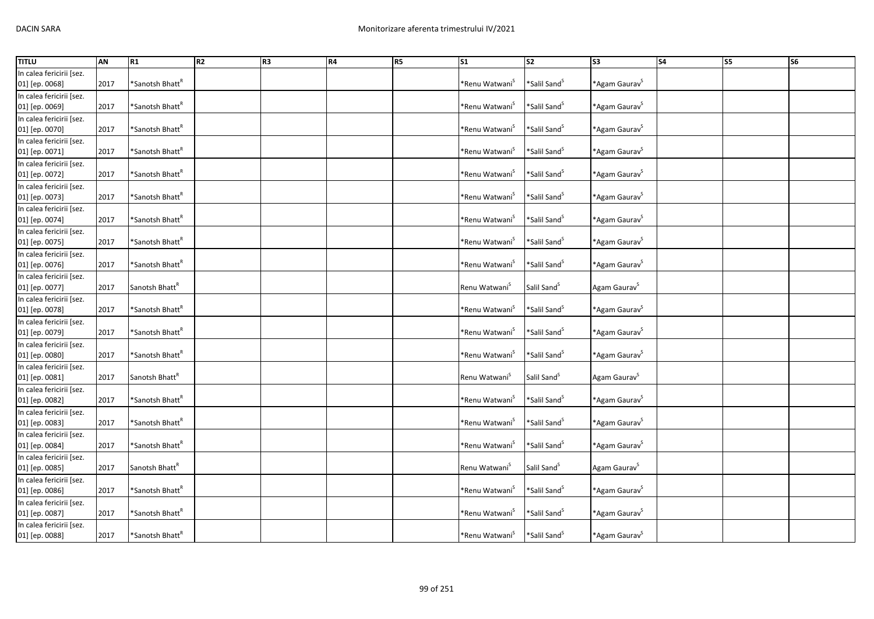| <b>TITLU</b>             | AN   | R1                          | R2 | R <sub>3</sub> | R4 | R5 | S <sub>1</sub>                | S <sub>2</sub>           | S3                        | $\overline{\phantom{a}}$ S4 | <b>S5</b> | <b>S6</b> |
|--------------------------|------|-----------------------------|----|----------------|----|----|-------------------------------|--------------------------|---------------------------|-----------------------------|-----------|-----------|
| In calea fericirii [sez. |      |                             |    |                |    |    |                               |                          |                           |                             |           |           |
| 01] [ep. 0068]           | 2017 | *Sanotsh Bhatt <sup>k</sup> |    |                |    |    | *Renu Watwani <sup>5</sup>    | *Salil Sand <sup>S</sup> | *Agam Gaurav <sup>S</sup> |                             |           |           |
| In calea fericirii [sez. |      |                             |    |                |    |    |                               |                          |                           |                             |           |           |
| 01] [ep. 0069]           | 2017 | *Sanotsh Bhatt <sup>R</sup> |    |                |    |    | *Renu Watwani <sup>3</sup>    | *Salil Sand <sup>S</sup> | *Agam Gaurav <sup>S</sup> |                             |           |           |
| In calea fericirii [sez. |      |                             |    |                |    |    |                               |                          |                           |                             |           |           |
| 01] [ep. 0070]           | 2017 | *Sanotsh Bhatt <sup>R</sup> |    |                |    |    | *Renu Watwani <sup>&gt;</sup> | *Salil Sand <sup>S</sup> | *Agam Gaurav <sup>S</sup> |                             |           |           |
| In calea fericirii [sez. |      |                             |    |                |    |    |                               |                          |                           |                             |           |           |
| 01] [ep. 0071]           | 2017 | *Sanotsh Bhatt <sup>*</sup> |    |                |    |    | *Renu Watwani <sup>S</sup>    | *Salil Sand <sup>S</sup> | *Agam Gaurav <sup>S</sup> |                             |           |           |
| In calea fericirii [sez. |      |                             |    |                |    |    |                               |                          |                           |                             |           |           |
| 01] [ep. 0072]           | 2017 | *Sanotsh Bhatt <sup>R</sup> |    |                |    |    | *Renu Watwani <sup>S</sup>    | *Salil Sand <sup>S</sup> | *Agam Gaurav <sup>S</sup> |                             |           |           |
| In calea fericirii [sez. |      |                             |    |                |    |    |                               |                          |                           |                             |           |           |
| 01] [ep. 0073]           | 2017 | *Sanotsh Bhatt <sup>R</sup> |    |                |    |    | *Renu Watwani <sup>S</sup>    | *Salil Sand <sup>S</sup> | *Agam Gaurav <sup>S</sup> |                             |           |           |
| In calea fericirii [sez. |      |                             |    |                |    |    |                               |                          |                           |                             |           |           |
| 01] [ep. 0074]           | 2017 | *Sanotsh Bhatt <sup>*</sup> |    |                |    |    | *Renu Watwani <sup>3</sup>    | *Salil Sand <sup>S</sup> | *Agam Gaurav <sup>S</sup> |                             |           |           |
| In calea fericirii [sez. |      |                             |    |                |    |    |                               |                          |                           |                             |           |           |
| 01] [ep. 0075]           | 2017 | *Sanotsh Bhatt <sup>k</sup> |    |                |    |    | *Renu Watwani <sup>5</sup>    | *Salil Sand <sup>5</sup> | *Agam Gaurav <sup>S</sup> |                             |           |           |
| In calea fericirii [sez. |      |                             |    |                |    |    |                               |                          |                           |                             |           |           |
| 01] [ep. 0076]           | 2017 | *Sanotsh Bhatt <sup>R</sup> |    |                |    |    | *Renu Watwani <sup>&gt;</sup> | *Salil Sand <sup>5</sup> | *Agam Gaurav <sup>S</sup> |                             |           |           |
| In calea fericirii [sez. |      |                             |    |                |    |    |                               |                          |                           |                             |           |           |
| 01] [ep. 0077]           | 2017 | Sanotsh Bhatt <sup>R</sup>  |    |                |    |    | Renu Watwani <sup>5</sup>     | Salil Sand <sup>5</sup>  | Agam Gaurav <sup>S</sup>  |                             |           |           |
| In calea fericirii [sez. |      |                             |    |                |    |    |                               |                          |                           |                             |           |           |
| 01] [ep. 0078]           | 2017 | *Sanotsh Bhatt <sup>R</sup> |    |                |    |    | *Renu Watwani <sup>&gt;</sup> | *Salil Sand <sup>S</sup> | *Agam Gaurav <sup>S</sup> |                             |           |           |
| In calea fericirii [sez. |      |                             |    |                |    |    |                               |                          |                           |                             |           |           |
| 01] [ep. 0079]           | 2017 | *Sanotsh Bhatt <sup>k</sup> |    |                |    |    | *Renu Watwani <sup>5</sup>    | *Salil Sand <sup>5</sup> | *Agam Gaurav <sup>S</sup> |                             |           |           |
| In calea fericirii [sez. |      |                             |    |                |    |    |                               |                          |                           |                             |           |           |
| 01] [ep. 0080]           | 2017 | *Sanotsh Bhatt <sup>k</sup> |    |                |    |    | *Renu Watwani <sup>5</sup>    | *Salil Sand <sup>S</sup> | *Agam Gaurav <sup>S</sup> |                             |           |           |
| In calea fericirii [sez. |      |                             |    |                |    |    |                               |                          |                           |                             |           |           |
| 01] [ep. 0081]           | 2017 | Sanotsh Bhatt <sup>k</sup>  |    |                |    |    | Renu Watwani <sup>5</sup>     | Salil Sand <sup>S</sup>  | Agam Gaurav <sup>S</sup>  |                             |           |           |
| In calea fericirii [sez. |      |                             |    |                |    |    |                               |                          |                           |                             |           |           |
| 01] [ep. 0082]           | 2017 | *Sanotsh Bhatt <sup>k</sup> |    |                |    |    | *Renu Watwani <sup>5</sup>    | *Salil Sand <sup>5</sup> | *Agam Gaurav <sup>S</sup> |                             |           |           |
| In calea fericirii [sez. |      |                             |    |                |    |    |                               |                          |                           |                             |           |           |
| 01] [ep. 0083]           | 2017 | *Sanotsh Bhatt <sup>k</sup> |    |                |    |    | *Renu Watwani <sup>5</sup>    | *Salil Sand <sup>S</sup> | *Agam Gaurav <sup>S</sup> |                             |           |           |
| In calea fericirii [sez. |      |                             |    |                |    |    |                               |                          |                           |                             |           |           |
| 01] [ep. 0084]           | 2017 | *Sanotsh Bhatt <sup>k</sup> |    |                |    |    | *Renu Watwani <sup>S</sup>    | *Salil Sand <sup>S</sup> | *Agam Gaurav <sup>S</sup> |                             |           |           |
| In calea fericirii [sez. |      |                             |    |                |    |    |                               |                          |                           |                             |           |           |
| 01] [ep. 0085]           | 2017 | Sanotsh Bhatt <sup>k</sup>  |    |                |    |    | Renu Watwani <sup>S</sup>     | Salil Sand <sup>5</sup>  | Agam Gaurav <sup>S</sup>  |                             |           |           |
| In calea fericirii [sez. |      |                             |    |                |    |    |                               |                          |                           |                             |           |           |
| 01] [ep. 0086]           | 2017 | *Sanotsh Bhatt <sup>R</sup> |    |                |    |    | *Renu Watwani <sup>S</sup>    | *Salil Sand <sup>S</sup> | *Agam Gaurav <sup>S</sup> |                             |           |           |
| In calea fericirii [sez. |      |                             |    |                |    |    |                               |                          |                           |                             |           |           |
| 01] [ep. 0087]           | 2017 | *Sanotsh Bhatt <sup>k</sup> |    |                |    |    | *Renu Watwani <sup>`</sup>    | *Salil Sand <sup>S</sup> | *Agam Gaurav <sup>S</sup> |                             |           |           |
| In calea fericirii [sez. |      |                             |    |                |    |    |                               |                          |                           |                             |           |           |
| 01] [ep. 0088]           | 2017 | *Sanotsh Bhatt <sup>k</sup> |    |                |    |    | *Renu Watwani <sup>S</sup>    | *Salil Sand <sup>S</sup> | *Agam Gaurav <sup>S</sup> |                             |           |           |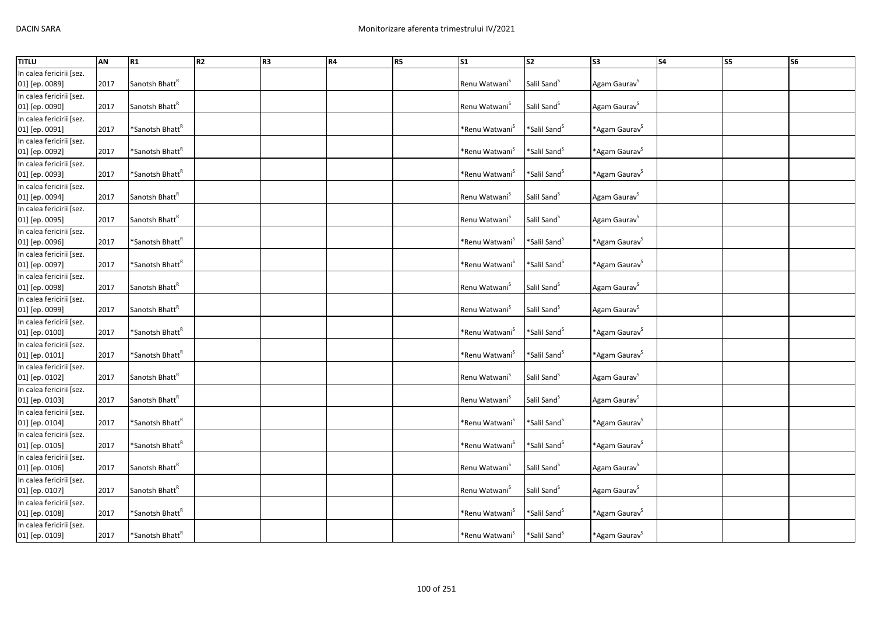| <b>TITLU</b>             | AN   | R1                          | R2 | R <sub>3</sub> | R4 | R5 | $\overline{\text{S1}}$     | $\overline{\text{S2}}$   | S <sub>3</sub>               | <b>S4</b> | S5 | <b>S6</b> |
|--------------------------|------|-----------------------------|----|----------------|----|----|----------------------------|--------------------------|------------------------------|-----------|----|-----------|
| In calea fericirii [sez. |      |                             |    |                |    |    |                            |                          |                              |           |    |           |
| 01] [ep. 0089]           | 2017 | Sanotsh Bhatt <sup>R</sup>  |    |                |    |    | Renu Watwani <sup>S</sup>  | Salil Sand <sup>5</sup>  | Agam Gaurav <sup>S</sup>     |           |    |           |
| In calea fericirii [sez. |      |                             |    |                |    |    |                            |                          |                              |           |    |           |
| 01] [ep. 0090]           | 2017 | Sanotsh Bhatt <sup>R</sup>  |    |                |    |    | Renu Watwani <sup>S</sup>  | Salil Sand <sup>S</sup>  | Agam Gaurav <sup>S</sup>     |           |    |           |
| In calea fericirii [sez. |      |                             |    |                |    |    |                            |                          |                              |           |    |           |
| 01] [ep. 0091]           | 2017 | *Sanotsh Bhatt <sup>R</sup> |    |                |    |    | *Renu Watwani <sup>s</sup> | *Salil Sand <sup>S</sup> | *Agam Gaurav <sup>S</sup>    |           |    |           |
| In calea fericirii [sez. |      |                             |    |                |    |    |                            |                          |                              |           |    |           |
| 01] [ep. 0092]           | 2017 | *Sanotsh Bhatt <sup>*</sup> |    |                |    |    | *Renu Watwani <sup>S</sup> | *Salil Sand <sup>S</sup> | *Agam Gaurav <sup>S</sup>    |           |    |           |
| In calea fericirii [sez. |      |                             |    |                |    |    |                            |                          |                              |           |    |           |
| 01] [ep. 0093]           | 2017 | *Sanotsh Bhatt <sup>k</sup> |    |                |    |    | *Renu Watwani <sup>S</sup> | *Salil Sand <sup>S</sup> | *Agam Gaurav <sup>S</sup>    |           |    |           |
| In calea fericirii [sez. |      |                             |    |                |    |    |                            |                          |                              |           |    |           |
| 01] [ep. 0094]           | 2017 | Sanotsh Bhatt <sup>R</sup>  |    |                |    |    | Renu Watwani <sup>S</sup>  | Salil Sand <sup>S</sup>  | Agam Gaurav <sup>5</sup>     |           |    |           |
| In calea fericirii [sez. |      |                             |    |                |    |    |                            |                          |                              |           |    |           |
| 01] [ep. 0095]           | 2017 | Sanotsh Bhatt <sup>R</sup>  |    |                |    |    | Renu Watwani <sup>S</sup>  | Salil Sand <sup>5</sup>  | Agam Gaurav <sup>5</sup>     |           |    |           |
| In calea fericirii [sez. |      |                             |    |                |    |    |                            |                          |                              |           |    |           |
| 01] [ep. 0096]           | 2017 | *Sanotsh Bhatt <sup>R</sup> |    |                |    |    | *Renu Watwani <sup>S</sup> | *Salil Sand <sup>S</sup> | *Agam Gaurav <sup>S</sup>    |           |    |           |
| In calea fericirii [sez. |      |                             |    |                |    |    |                            |                          |                              |           |    |           |
| 01] [ep. 0097]           | 2017 | *Sanotsh Bhatt <sup>ĸ</sup> |    |                |    |    | *Renu Watwani <sup>s</sup> | *Salil Sand <sup>5</sup> | *Agam Gaurav <sup>S</sup>    |           |    |           |
| In calea fericirii [sez. |      |                             |    |                |    |    |                            |                          |                              |           |    |           |
| 01] [ep. 0098]           | 2017 | Sanotsh Bhatt <sup>R</sup>  |    |                |    |    | Renu Watwani <sup>5</sup>  | Salil Sand <sup>5</sup>  | Agam Gaurav <sup>5</sup>     |           |    |           |
| In calea fericirii [sez. |      |                             |    |                |    |    |                            |                          |                              |           |    |           |
| 01] [ep. 0099]           | 2017 | Sanotsh Bhatt <sup>R</sup>  |    |                |    |    | Renu Watwani <sup>5</sup>  | Salil Sand <sup>S</sup>  | Agam Gaurav <sup>S</sup>     |           |    |           |
| In calea fericirii [sez. |      |                             |    |                |    |    |                            |                          |                              |           |    |           |
| 01] [ep. 0100]           | 2017 | *Sanotsh Bhatt <sup>k</sup> |    |                |    |    | *Renu Watwani <sup>`</sup> | *Salil Sand <sup>S</sup> | *Agam Gaurav <sup>S</sup>    |           |    |           |
| In calea fericirii [sez. |      |                             |    |                |    |    |                            |                          |                              |           |    |           |
| 01] [ep. 0101]           | 2017 | *Sanotsh Bhatt <sup>k</sup> |    |                |    |    | *Renu Watwani <sup>S</sup> | *Salil Sand <sup>S</sup> | *Agam Gaurav <sup>S</sup>    |           |    |           |
| In calea fericirii [sez. |      |                             |    |                |    |    |                            |                          |                              |           |    |           |
| 01] [ep. 0102]           | 2017 | Sanotsh Bhatt <sup>k</sup>  |    |                |    |    | Renu Watwani <sup>S</sup>  | Salil Sand <sup>S</sup>  | Agam Gaurav <sup>5</sup>     |           |    |           |
| In calea fericirii [sez. |      |                             |    |                |    |    |                            |                          |                              |           |    |           |
| 01] [ep. 0103]           | 2017 | Sanotsh Bhatt <sup>R</sup>  |    |                |    |    | Renu Watwani <sup>5</sup>  | Salil Sand <sup>5</sup>  | Agam Gaurav <sup>S</sup>     |           |    |           |
| In calea fericirii [sez. |      |                             |    |                |    |    |                            |                          |                              |           |    |           |
| 01] [ep. 0104]           | 2017 | *Sanotsh Bhatt <sup>k</sup> |    |                |    |    | *Renu Watwani <sup>S</sup> | *Salil Sand <sup>S</sup> | *Agam Gaurav <sup>&gt;</sup> |           |    |           |
| In calea fericirii [sez. |      |                             |    |                |    |    |                            |                          |                              |           |    |           |
| 01] [ep. 0105]           | 2017 | *Sanotsh Bhatt <sup>k</sup> |    |                |    |    | *Renu Watwani <sup>S</sup> | *Salil Sand <sup>S</sup> | *Agam Gaurav <sup>S</sup>    |           |    |           |
| In calea fericirii [sez. |      |                             |    |                |    |    |                            |                          |                              |           |    |           |
| 01] [ep. 0106]           | 2017 | Sanotsh Bhatt <sup>R</sup>  |    |                |    |    | Renu Watwani <sup>S</sup>  | Salil Sand <sup>5</sup>  | Agam Gaurav <sup>5</sup>     |           |    |           |
| In calea fericirii [sez. |      |                             |    |                |    |    |                            |                          |                              |           |    |           |
| 01] [ep. 0107]           | 2017 | Sanotsh Bhatt <sup>R</sup>  |    |                |    |    | Renu Watwani <sup>S</sup>  | Salil Sand <sup>S</sup>  | Agam Gaurav <sup>S</sup>     |           |    |           |
| In calea fericirii [sez. |      |                             |    |                |    |    |                            |                          |                              |           |    |           |
| 01] [ep. 0108]           | 2017 | *Sanotsh Bhatt <sup>k</sup> |    |                |    |    | *Renu Watwani <sup>`</sup> | *Salil Sand <sup>S</sup> | *Agam Gaurav <sup>S</sup>    |           |    |           |
| In calea fericirii [sez. |      |                             |    |                |    |    |                            |                          |                              |           |    |           |
| 01] [ep. 0109]           | 2017 | *Sanotsh Bhatt <sup>k</sup> |    |                |    |    | *Renu Watwani <sup>S</sup> | *Salil Sand <sup>S</sup> | *Agam Gaurav <sup>&gt;</sup> |           |    |           |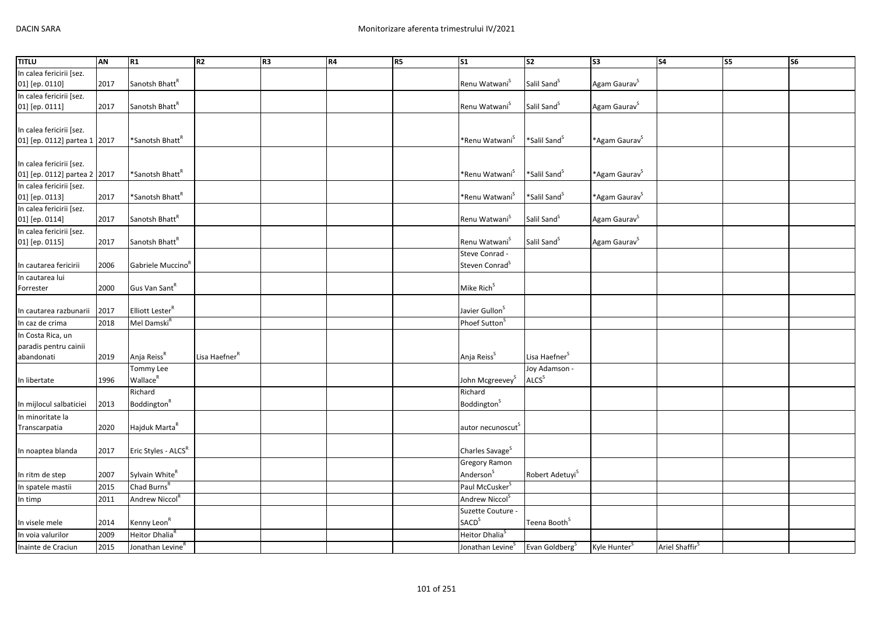| <b>TITLU</b>                 | <b>AN</b> | R1                            | R <sub>2</sub>            | R <sub>3</sub> | <b>R4</b> | R5 | S <sub>1</sub>                | S <sub>2</sub>              | S <sub>3</sub>            | <b>S4</b>                  | S5 | S6 |
|------------------------------|-----------|-------------------------------|---------------------------|----------------|-----------|----|-------------------------------|-----------------------------|---------------------------|----------------------------|----|----|
| In calea fericirii [sez.     |           |                               |                           |                |           |    |                               |                             |                           |                            |    |    |
| 01] [ep. 0110]               | 2017      | Sanotsh Bhatt <sup>R</sup>    |                           |                |           |    | Renu Watwani <sup>S</sup>     | Salil Sand <sup>S</sup>     | Agam Gaurav <sup>S</sup>  |                            |    |    |
| In calea fericirii [sez.     |           |                               |                           |                |           |    |                               |                             |                           |                            |    |    |
| 01] [ep. 0111]               | 2017      | Sanotsh Bhatt <sup>R</sup>    |                           |                |           |    | Renu Watwani <sup>S</sup>     | Salil Sand <sup>S</sup>     | Agam Gaurav <sup>S</sup>  |                            |    |    |
|                              |           |                               |                           |                |           |    |                               |                             |                           |                            |    |    |
| In calea fericirii [sez.     |           |                               |                           |                |           |    |                               |                             |                           |                            |    |    |
| 01] [ep. 0112] partea 1 2017 |           | *Sanotsh Bhatt <sup>R</sup>   |                           |                |           |    | *Renu Watwani <sup>S</sup>    | *Salil Sand <sup>S</sup>    | *Agam Gaurav <sup>S</sup> |                            |    |    |
|                              |           |                               |                           |                |           |    |                               |                             |                           |                            |    |    |
| In calea fericirii [sez.     |           |                               |                           |                |           |    |                               |                             |                           |                            |    |    |
| 01] [ep. 0112] partea 2 2017 |           | *Sanotsh Bhatt <sup>R</sup>   |                           |                |           |    | *Renu Watwani <sup>5</sup>    | *Salil Sand <sup>S</sup>    | *Agam Gaurav <sup>S</sup> |                            |    |    |
| In calea fericirii [sez.     |           |                               |                           |                |           |    |                               |                             |                           |                            |    |    |
| 01] [ep. 0113]               | 2017      | *Sanotsh Bhatt <sup>R</sup>   |                           |                |           |    | *Renu Watwani <sup>S</sup>    | *Salil Sand <sup>S</sup>    | *Agam Gaurav <sup>S</sup> |                            |    |    |
| In calea fericirii [sez.     |           |                               |                           |                |           |    |                               |                             |                           |                            |    |    |
| 01] [ep. 0114]               | 2017      | Sanotsh Bhatt <sup>R</sup>    |                           |                |           |    | Renu Watwani <sup>S</sup>     | Salil Sand <sup>5</sup>     | Agam Gaurav <sup>S</sup>  |                            |    |    |
| In calea fericirii [sez.     |           |                               |                           |                |           |    |                               |                             |                           |                            |    |    |
| 01] [ep. 0115]               | 2017      | Sanotsh Bhatt <sup>R</sup>    |                           |                |           |    | Renu Watwani <sup>S</sup>     | Salil Sand <sup>S</sup>     | Agam Gaurav <sup>S</sup>  |                            |    |    |
|                              |           |                               |                           |                |           |    | Steve Conrad -                |                             |                           |                            |    |    |
| In cautarea fericirii        | 2006      | Gabriele Muccino <sup>R</sup> |                           |                |           |    | Steven Conrad <sup>S</sup>    |                             |                           |                            |    |    |
| In cautarea lui              |           |                               |                           |                |           |    |                               |                             |                           |                            |    |    |
| Forrester                    | 2000      | Gus Van Sant <sup>R</sup>     |                           |                |           |    | Mike Rich <sup>S</sup>        |                             |                           |                            |    |    |
|                              |           |                               |                           |                |           |    |                               |                             |                           |                            |    |    |
| In cautarea razbunarii       | 2017      | Elliott Lester <sup>R</sup>   |                           |                |           |    | Javier Gullon <sup>S</sup>    |                             |                           |                            |    |    |
| In caz de crima              | 2018      | Mel Damski <sup>R</sup>       |                           |                |           |    | Phoef Sutton <sup>5</sup>     |                             |                           |                            |    |    |
| In Costa Rica, un            |           |                               |                           |                |           |    |                               |                             |                           |                            |    |    |
| paradis pentru cainii        |           |                               |                           |                |           |    |                               |                             |                           |                            |    |    |
| abandonati                   | 2019      | Anja Reiss <sup>R</sup>       | Lisa Haefner <sup>8</sup> |                |           |    | Anja Reiss <sup>S</sup>       | Lisa Haefner <sup>S</sup>   |                           |                            |    |    |
|                              |           | Tommy Lee                     |                           |                |           |    |                               | Joy Adamson -               |                           |                            |    |    |
| In libertate                 | 1996      | Wallace <sup>R</sup>          |                           |                |           |    | John Mcgreevey <sup>S</sup>   | ALCS <sup>S</sup>           |                           |                            |    |    |
|                              |           | Richard                       |                           |                |           |    | Richard                       |                             |                           |                            |    |    |
| In mijlocul salbaticiei      | 2013      | Boddington <sup>R</sup>       |                           |                |           |    | Boddington <sup>5</sup>       |                             |                           |                            |    |    |
| In minoritate la             |           |                               |                           |                |           |    |                               |                             |                           |                            |    |    |
| Transcarpatia                | 2020      | Hajduk Marta <sup>R</sup>     |                           |                |           |    | autor necunoscut <sup>5</sup> |                             |                           |                            |    |    |
|                              |           |                               |                           |                |           |    |                               |                             |                           |                            |    |    |
| In noaptea blanda            | 2017      | Eric Styles - ALCSR           |                           |                |           |    | Charles Savage <sup>S</sup>   |                             |                           |                            |    |    |
|                              |           |                               |                           |                |           |    | <b>Gregory Ramon</b>          |                             |                           |                            |    |    |
| In ritm de step              | 2007      | Sylvain White <sup>R</sup>    |                           |                |           |    | Anderson <sup>S</sup>         | Robert Adetuyi <sup>S</sup> |                           |                            |    |    |
| In spatele mastii            | 2015      | Chad Burns <sup>R</sup>       |                           |                |           |    | Paul McCusker <sup>S</sup>    |                             |                           |                            |    |    |
| In timp                      | 2011      | Andrew Niccol <sup>R</sup>    |                           |                |           |    | Andrew Niccol <sup>S</sup>    |                             |                           |                            |    |    |
|                              |           |                               |                           |                |           |    | Suzette Couture -             |                             |                           |                            |    |    |
| In visele mele               | 2014      | Kenny Leon <sup>R</sup>       |                           |                |           |    | <b>SACD</b> <sup>S</sup>      | Teena Booth <sup>S</sup>    |                           |                            |    |    |
| In voia valurilor            | 2009      | Heitor Dhalia <sup>R</sup>    |                           |                |           |    | Heitor Dhalia <sup>S</sup>    |                             |                           |                            |    |    |
| Inainte de Craciun           | 2015      | Jonathan Levine <sup>R</sup>  |                           |                |           |    | Jonathan Levine <sup>S</sup>  | Evan Goldberg <sup>S</sup>  | Kyle Hunter <sup>S</sup>  | Ariel Shaffir <sup>S</sup> |    |    |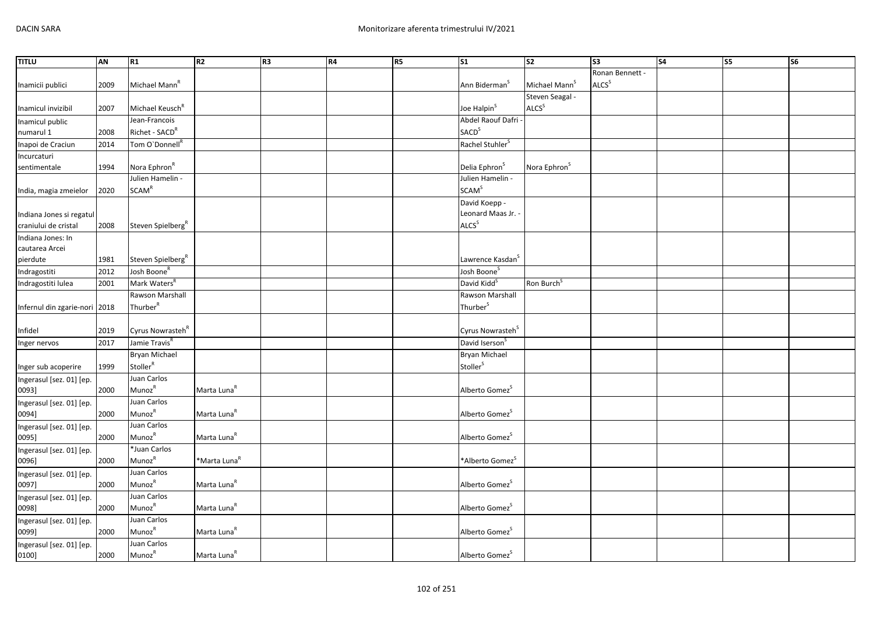| <b>TITLU</b><br>Ronan Bennett -<br>ALCS <sup>S</sup><br>Michael Mann <sup>R</sup><br>Michael Mann <sup>S</sup><br>2009<br>Ann Biderman <sup>3</sup><br>Inamicii publici<br>Steven Seagal -<br>ALCS <sup>S</sup><br>Michael Keusch <sup>R</sup><br>Joe Halpin <sup>S</sup><br>Inamicul invizibil<br>2007<br>Abdel Raouf Dafri<br>Jean-Francois<br><b>SACD</b> <sup>S</sup><br>Richet - SACD <sup>R</sup><br>numarul 1<br>2008<br>Rachel Stuhler <sup>S</sup><br>2014<br>Tom O'Donnell <sup>R</sup><br>Inapoi de Craciun<br>Incurcaturi<br>Nora Ephron <sup>R</sup><br>Delia Ephron <sup>S</sup><br>Nora Ephron <sup>S</sup><br>sentimentale<br>1994<br>Julien Hamelin -<br>Julien Hamelin -<br><b>SCAM<sup>R</sup></b><br><b>SCAM<sup>S</sup></b><br>2020<br>India, magia zmeielor<br>David Koepp -<br>Leonard Maas Jr. -<br>Indiana Jones si regatul<br>ALCS <sup>S</sup><br>craniului de cristal<br>2008<br>Steven Spielberg <sup>R</sup><br>Indiana Jones: In<br>pierdute<br>1981<br>Steven Spielberg <sup>R</sup><br>Lawrence Kasdan <sup>5</sup><br>Josh Boone <sup>R</sup><br>2012<br>Josh Boone <sup>S</sup><br>Indragostiti<br>Mark Waters <sup>R</sup><br>David Kidd <sup>S</sup><br>Ron Burch <sup>S</sup><br>2001<br>Rawson Marshall<br>Rawson Marshall<br>Thurber <sup>R</sup><br>Thurber <sup>S</sup><br>Infernul din zgarie-nori 2018<br>Cyrus Nowrasteh <sup>R</sup><br>Cyrus Nowrasteh <sup>S</sup><br>2019<br>Infidel<br>Jamie Travis <sup>R</sup><br>David Iserson <sup>S</sup><br>2017<br><b>Bryan Michael</b><br>Bryan Michael<br>Stoller <sup>R</sup><br>Stoller <sup>S</sup><br>1999<br>Inger sub acoperire<br>Juan Carlos<br>Munoz <sup>R</sup><br>Marta Luna <sup>R</sup><br>Alberto Gomez <sup>S</sup><br>2000<br>0093]<br>Juan Carlos<br>Ingerasul [sez. 01] [ep. |
|--------------------------------------------------------------------------------------------------------------------------------------------------------------------------------------------------------------------------------------------------------------------------------------------------------------------------------------------------------------------------------------------------------------------------------------------------------------------------------------------------------------------------------------------------------------------------------------------------------------------------------------------------------------------------------------------------------------------------------------------------------------------------------------------------------------------------------------------------------------------------------------------------------------------------------------------------------------------------------------------------------------------------------------------------------------------------------------------------------------------------------------------------------------------------------------------------------------------------------------------------------------------------------------------------------------------------------------------------------------------------------------------------------------------------------------------------------------------------------------------------------------------------------------------------------------------------------------------------------------------------------------------------------------------------------------------------------------------------------------------------------------------------------------------|
| cautarea Arcei<br>Inger nervos                                                                                                                                                                                                                                                                                                                                                                                                                                                                                                                                                                                                                                                                                                                                                                                                                                                                                                                                                                                                                                                                                                                                                                                                                                                                                                                                                                                                                                                                                                                                                                                                                                                                                                                                                             |
| Inamicul public<br>Indragostiti lulea<br>Ingerasul [sez. 01] [ep.                                                                                                                                                                                                                                                                                                                                                                                                                                                                                                                                                                                                                                                                                                                                                                                                                                                                                                                                                                                                                                                                                                                                                                                                                                                                                                                                                                                                                                                                                                                                                                                                                                                                                                                          |
|                                                                                                                                                                                                                                                                                                                                                                                                                                                                                                                                                                                                                                                                                                                                                                                                                                                                                                                                                                                                                                                                                                                                                                                                                                                                                                                                                                                                                                                                                                                                                                                                                                                                                                                                                                                            |
|                                                                                                                                                                                                                                                                                                                                                                                                                                                                                                                                                                                                                                                                                                                                                                                                                                                                                                                                                                                                                                                                                                                                                                                                                                                                                                                                                                                                                                                                                                                                                                                                                                                                                                                                                                                            |
|                                                                                                                                                                                                                                                                                                                                                                                                                                                                                                                                                                                                                                                                                                                                                                                                                                                                                                                                                                                                                                                                                                                                                                                                                                                                                                                                                                                                                                                                                                                                                                                                                                                                                                                                                                                            |
|                                                                                                                                                                                                                                                                                                                                                                                                                                                                                                                                                                                                                                                                                                                                                                                                                                                                                                                                                                                                                                                                                                                                                                                                                                                                                                                                                                                                                                                                                                                                                                                                                                                                                                                                                                                            |
|                                                                                                                                                                                                                                                                                                                                                                                                                                                                                                                                                                                                                                                                                                                                                                                                                                                                                                                                                                                                                                                                                                                                                                                                                                                                                                                                                                                                                                                                                                                                                                                                                                                                                                                                                                                            |
|                                                                                                                                                                                                                                                                                                                                                                                                                                                                                                                                                                                                                                                                                                                                                                                                                                                                                                                                                                                                                                                                                                                                                                                                                                                                                                                                                                                                                                                                                                                                                                                                                                                                                                                                                                                            |
|                                                                                                                                                                                                                                                                                                                                                                                                                                                                                                                                                                                                                                                                                                                                                                                                                                                                                                                                                                                                                                                                                                                                                                                                                                                                                                                                                                                                                                                                                                                                                                                                                                                                                                                                                                                            |
|                                                                                                                                                                                                                                                                                                                                                                                                                                                                                                                                                                                                                                                                                                                                                                                                                                                                                                                                                                                                                                                                                                                                                                                                                                                                                                                                                                                                                                                                                                                                                                                                                                                                                                                                                                                            |
|                                                                                                                                                                                                                                                                                                                                                                                                                                                                                                                                                                                                                                                                                                                                                                                                                                                                                                                                                                                                                                                                                                                                                                                                                                                                                                                                                                                                                                                                                                                                                                                                                                                                                                                                                                                            |
|                                                                                                                                                                                                                                                                                                                                                                                                                                                                                                                                                                                                                                                                                                                                                                                                                                                                                                                                                                                                                                                                                                                                                                                                                                                                                                                                                                                                                                                                                                                                                                                                                                                                                                                                                                                            |
|                                                                                                                                                                                                                                                                                                                                                                                                                                                                                                                                                                                                                                                                                                                                                                                                                                                                                                                                                                                                                                                                                                                                                                                                                                                                                                                                                                                                                                                                                                                                                                                                                                                                                                                                                                                            |
|                                                                                                                                                                                                                                                                                                                                                                                                                                                                                                                                                                                                                                                                                                                                                                                                                                                                                                                                                                                                                                                                                                                                                                                                                                                                                                                                                                                                                                                                                                                                                                                                                                                                                                                                                                                            |
|                                                                                                                                                                                                                                                                                                                                                                                                                                                                                                                                                                                                                                                                                                                                                                                                                                                                                                                                                                                                                                                                                                                                                                                                                                                                                                                                                                                                                                                                                                                                                                                                                                                                                                                                                                                            |
|                                                                                                                                                                                                                                                                                                                                                                                                                                                                                                                                                                                                                                                                                                                                                                                                                                                                                                                                                                                                                                                                                                                                                                                                                                                                                                                                                                                                                                                                                                                                                                                                                                                                                                                                                                                            |
|                                                                                                                                                                                                                                                                                                                                                                                                                                                                                                                                                                                                                                                                                                                                                                                                                                                                                                                                                                                                                                                                                                                                                                                                                                                                                                                                                                                                                                                                                                                                                                                                                                                                                                                                                                                            |
|                                                                                                                                                                                                                                                                                                                                                                                                                                                                                                                                                                                                                                                                                                                                                                                                                                                                                                                                                                                                                                                                                                                                                                                                                                                                                                                                                                                                                                                                                                                                                                                                                                                                                                                                                                                            |
|                                                                                                                                                                                                                                                                                                                                                                                                                                                                                                                                                                                                                                                                                                                                                                                                                                                                                                                                                                                                                                                                                                                                                                                                                                                                                                                                                                                                                                                                                                                                                                                                                                                                                                                                                                                            |
|                                                                                                                                                                                                                                                                                                                                                                                                                                                                                                                                                                                                                                                                                                                                                                                                                                                                                                                                                                                                                                                                                                                                                                                                                                                                                                                                                                                                                                                                                                                                                                                                                                                                                                                                                                                            |
|                                                                                                                                                                                                                                                                                                                                                                                                                                                                                                                                                                                                                                                                                                                                                                                                                                                                                                                                                                                                                                                                                                                                                                                                                                                                                                                                                                                                                                                                                                                                                                                                                                                                                                                                                                                            |
|                                                                                                                                                                                                                                                                                                                                                                                                                                                                                                                                                                                                                                                                                                                                                                                                                                                                                                                                                                                                                                                                                                                                                                                                                                                                                                                                                                                                                                                                                                                                                                                                                                                                                                                                                                                            |
|                                                                                                                                                                                                                                                                                                                                                                                                                                                                                                                                                                                                                                                                                                                                                                                                                                                                                                                                                                                                                                                                                                                                                                                                                                                                                                                                                                                                                                                                                                                                                                                                                                                                                                                                                                                            |
|                                                                                                                                                                                                                                                                                                                                                                                                                                                                                                                                                                                                                                                                                                                                                                                                                                                                                                                                                                                                                                                                                                                                                                                                                                                                                                                                                                                                                                                                                                                                                                                                                                                                                                                                                                                            |
|                                                                                                                                                                                                                                                                                                                                                                                                                                                                                                                                                                                                                                                                                                                                                                                                                                                                                                                                                                                                                                                                                                                                                                                                                                                                                                                                                                                                                                                                                                                                                                                                                                                                                                                                                                                            |
|                                                                                                                                                                                                                                                                                                                                                                                                                                                                                                                                                                                                                                                                                                                                                                                                                                                                                                                                                                                                                                                                                                                                                                                                                                                                                                                                                                                                                                                                                                                                                                                                                                                                                                                                                                                            |
|                                                                                                                                                                                                                                                                                                                                                                                                                                                                                                                                                                                                                                                                                                                                                                                                                                                                                                                                                                                                                                                                                                                                                                                                                                                                                                                                                                                                                                                                                                                                                                                                                                                                                                                                                                                            |
|                                                                                                                                                                                                                                                                                                                                                                                                                                                                                                                                                                                                                                                                                                                                                                                                                                                                                                                                                                                                                                                                                                                                                                                                                                                                                                                                                                                                                                                                                                                                                                                                                                                                                                                                                                                            |
|                                                                                                                                                                                                                                                                                                                                                                                                                                                                                                                                                                                                                                                                                                                                                                                                                                                                                                                                                                                                                                                                                                                                                                                                                                                                                                                                                                                                                                                                                                                                                                                                                                                                                                                                                                                            |
|                                                                                                                                                                                                                                                                                                                                                                                                                                                                                                                                                                                                                                                                                                                                                                                                                                                                                                                                                                                                                                                                                                                                                                                                                                                                                                                                                                                                                                                                                                                                                                                                                                                                                                                                                                                            |
| Munoz <sup>R</sup>                                                                                                                                                                                                                                                                                                                                                                                                                                                                                                                                                                                                                                                                                                                                                                                                                                                                                                                                                                                                                                                                                                                                                                                                                                                                                                                                                                                                                                                                                                                                                                                                                                                                                                                                                                         |
| Marta Luna <sup>R</sup><br>Alberto Gomez <sup>S</sup><br>2000<br>0094]                                                                                                                                                                                                                                                                                                                                                                                                                                                                                                                                                                                                                                                                                                                                                                                                                                                                                                                                                                                                                                                                                                                                                                                                                                                                                                                                                                                                                                                                                                                                                                                                                                                                                                                     |
| Juan Carlos<br>Ingerasul [sez. 01] [ep.                                                                                                                                                                                                                                                                                                                                                                                                                                                                                                                                                                                                                                                                                                                                                                                                                                                                                                                                                                                                                                                                                                                                                                                                                                                                                                                                                                                                                                                                                                                                                                                                                                                                                                                                                    |
| Munoz <sup>R</sup><br>Marta Luna <sup>R</sup><br>Alberto Gomez <sup>S</sup><br>2000<br>0095]                                                                                                                                                                                                                                                                                                                                                                                                                                                                                                                                                                                                                                                                                                                                                                                                                                                                                                                                                                                                                                                                                                                                                                                                                                                                                                                                                                                                                                                                                                                                                                                                                                                                                               |
| *Juan Carlos<br>Ingerasul [sez. 01] [ep.                                                                                                                                                                                                                                                                                                                                                                                                                                                                                                                                                                                                                                                                                                                                                                                                                                                                                                                                                                                                                                                                                                                                                                                                                                                                                                                                                                                                                                                                                                                                                                                                                                                                                                                                                   |
| MunozR<br>*Marta Luna <sup>R</sup><br>*Alberto Gomez <sup>S</sup><br>2000<br>0096]                                                                                                                                                                                                                                                                                                                                                                                                                                                                                                                                                                                                                                                                                                                                                                                                                                                                                                                                                                                                                                                                                                                                                                                                                                                                                                                                                                                                                                                                                                                                                                                                                                                                                                         |
| Juan Carlos<br>Ingerasul [sez. 01] [ep.                                                                                                                                                                                                                                                                                                                                                                                                                                                                                                                                                                                                                                                                                                                                                                                                                                                                                                                                                                                                                                                                                                                                                                                                                                                                                                                                                                                                                                                                                                                                                                                                                                                                                                                                                    |
| Munoz <sup>R</sup><br>Marta Luna <sup>R</sup><br>Alberto Gomez <sup>5</sup><br>2000<br>0097]                                                                                                                                                                                                                                                                                                                                                                                                                                                                                                                                                                                                                                                                                                                                                                                                                                                                                                                                                                                                                                                                                                                                                                                                                                                                                                                                                                                                                                                                                                                                                                                                                                                                                               |
| Juan Carlos<br>Ingerasul [sez. 01] [ep.                                                                                                                                                                                                                                                                                                                                                                                                                                                                                                                                                                                                                                                                                                                                                                                                                                                                                                                                                                                                                                                                                                                                                                                                                                                                                                                                                                                                                                                                                                                                                                                                                                                                                                                                                    |
| MunozR<br>Marta Luna <sup>R</sup><br>Alberto Gomez <sup>S</sup><br>2000<br>0098]                                                                                                                                                                                                                                                                                                                                                                                                                                                                                                                                                                                                                                                                                                                                                                                                                                                                                                                                                                                                                                                                                                                                                                                                                                                                                                                                                                                                                                                                                                                                                                                                                                                                                                           |
| Juan Carlos<br>Ingerasul [sez. 01] [ep.                                                                                                                                                                                                                                                                                                                                                                                                                                                                                                                                                                                                                                                                                                                                                                                                                                                                                                                                                                                                                                                                                                                                                                                                                                                                                                                                                                                                                                                                                                                                                                                                                                                                                                                                                    |
| Munoz <sup>R</sup><br>Marta Luna <sup>R</sup><br>Alberto Gomez <sup>S</sup><br>2000<br>0099]                                                                                                                                                                                                                                                                                                                                                                                                                                                                                                                                                                                                                                                                                                                                                                                                                                                                                                                                                                                                                                                                                                                                                                                                                                                                                                                                                                                                                                                                                                                                                                                                                                                                                               |
| Juan Carlos<br>Ingerasul [sez. 01] [ep.                                                                                                                                                                                                                                                                                                                                                                                                                                                                                                                                                                                                                                                                                                                                                                                                                                                                                                                                                                                                                                                                                                                                                                                                                                                                                                                                                                                                                                                                                                                                                                                                                                                                                                                                                    |
| Munoz <sup>R</sup><br>Marta Luna <sup>R</sup><br>2000<br>Alberto Gomez <sup>5</sup><br>0100]                                                                                                                                                                                                                                                                                                                                                                                                                                                                                                                                                                                                                                                                                                                                                                                                                                                                                                                                                                                                                                                                                                                                                                                                                                                                                                                                                                                                                                                                                                                                                                                                                                                                                               |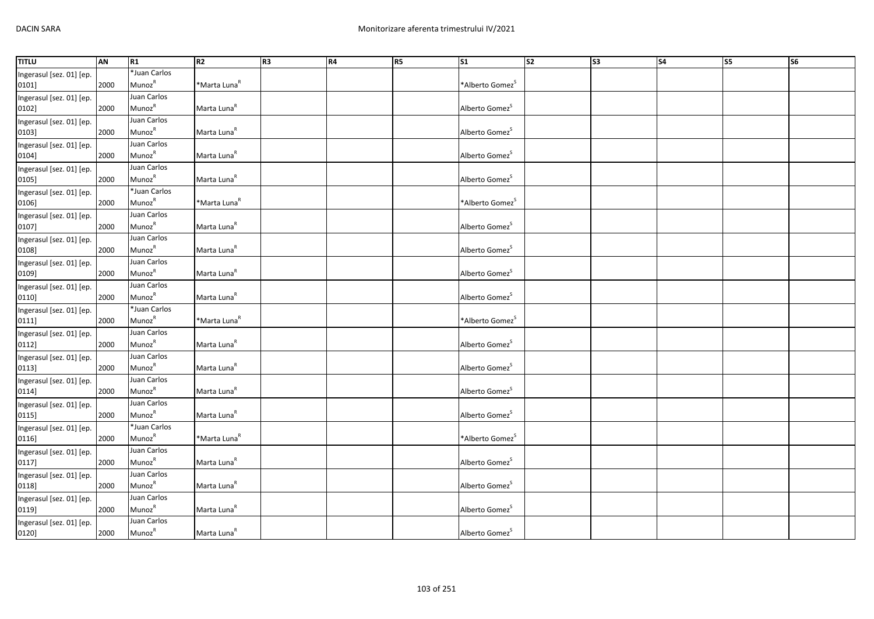| <b>TITLU</b>             | AN   | R1                        | R2                       | R <sub>3</sub> | <b>R4</b> | R5 | S <sub>1</sub>              | $\overline{\text{S2}}$ | S <sub>3</sub> | S <sub>4</sub> | S5 | S <sub>6</sub> |
|--------------------------|------|---------------------------|--------------------------|----------------|-----------|----|-----------------------------|------------------------|----------------|----------------|----|----------------|
| Ingerasul [sez. 01] [ep. |      | *Juan Carlos              |                          |                |           |    |                             |                        |                |                |    |                |
| 0101]                    | 2000 | <b>Munoz</b> <sup>R</sup> | *Marta Luna <sup>R</sup> |                |           |    | *Alberto Gomez              |                        |                |                |    |                |
| Ingerasul [sez. 01] [ep. |      | Juan Carlos               |                          |                |           |    |                             |                        |                |                |    |                |
| 0102]                    | 2000 | Munoz <sup>R</sup>        | Marta Luna <sup>R</sup>  |                |           |    | Alberto Gomez <sup>5</sup>  |                        |                |                |    |                |
| Ingerasul [sez. 01] [ep. |      | Juan Carlos               |                          |                |           |    |                             |                        |                |                |    |                |
| 0103]                    | 2000 | MunozR                    | Marta Luna <sup>R</sup>  |                |           |    | Alberto Gomez <sup>S</sup>  |                        |                |                |    |                |
| Ingerasul [sez. 01] [ep. |      | Juan Carlos               |                          |                |           |    |                             |                        |                |                |    |                |
| 0104]                    | 2000 | Munoz <sup>R</sup>        | Marta Luna <sup>R</sup>  |                |           |    | Alberto Gomez <sup>5</sup>  |                        |                |                |    |                |
| Ingerasul [sez. 01] [ep. |      | Juan Carlos               |                          |                |           |    |                             |                        |                |                |    |                |
| 0105]                    | 2000 | Munoz <sup>R</sup>        | Marta Luna <sup>R</sup>  |                |           |    | Alberto Gomez <sup>5</sup>  |                        |                |                |    |                |
| Ingerasul [sez. 01] [ep. |      | *Juan Carlos              |                          |                |           |    |                             |                        |                |                |    |                |
| 0106]                    | 2000 | MunozR                    | *Marta Luna <sup>R</sup> |                |           |    | *Alberto Gomez <sup>S</sup> |                        |                |                |    |                |
| Ingerasul [sez. 01] [ep. |      | Juan Carlos               |                          |                |           |    |                             |                        |                |                |    |                |
| 0107]                    | 2000 | Munoz <sup>R</sup>        | Marta Luna <sup>R</sup>  |                |           |    | Alberto Gomez <sup>S</sup>  |                        |                |                |    |                |
| Ingerasul [sez. 01] [ep. |      | Juan Carlos               |                          |                |           |    |                             |                        |                |                |    |                |
| 0108]                    | 2000 | MunozR                    | Marta Luna <sup>R</sup>  |                |           |    | Alberto Gomez <sup>S</sup>  |                        |                |                |    |                |
| Ingerasul [sez. 01] [ep. |      | Juan Carlos               |                          |                |           |    |                             |                        |                |                |    |                |
| 0109]                    | 2000 | MunozR                    | Marta Luna <sup>R</sup>  |                |           |    | Alberto Gomez <sup>S</sup>  |                        |                |                |    |                |
| Ingerasul [sez. 01] [ep. |      | Juan Carlos               |                          |                |           |    |                             |                        |                |                |    |                |
| 0110]                    | 2000 | Munoz <sup>R</sup>        | Marta Luna <sup>R</sup>  |                |           |    | Alberto Gomez <sup>5</sup>  |                        |                |                |    |                |
| Ingerasul [sez. 01] [ep. |      | *Juan Carlos              |                          |                |           |    |                             |                        |                |                |    |                |
| 0111]                    | 2000 | Munoz <sup>R</sup>        | *Marta Luna <sup>R</sup> |                |           |    | *Alberto Gomez <sup>S</sup> |                        |                |                |    |                |
| Ingerasul [sez. 01] [ep. |      | Juan Carlos               |                          |                |           |    |                             |                        |                |                |    |                |
| 0112]                    | 2000 | MunozR                    | Marta Luna <sup>R</sup>  |                |           |    | Alberto Gomez <sup>S</sup>  |                        |                |                |    |                |
| Ingerasul [sez. 01] [ep. |      | Juan Carlos               |                          |                |           |    |                             |                        |                |                |    |                |
| 0113]                    | 2000 | Munoz <sup>R</sup>        | Marta Luna <sup>R</sup>  |                |           |    | Alberto Gomez <sup>5</sup>  |                        |                |                |    |                |
| Ingerasul [sez. 01] [ep. |      | Juan Carlos               |                          |                |           |    |                             |                        |                |                |    |                |
| 0114]                    | 2000 | MunozR                    | Marta Luna <sup>R</sup>  |                |           |    | Alberto Gomez <sup>S</sup>  |                        |                |                |    |                |
| Ingerasul [sez. 01] [ep. |      | Juan Carlos               |                          |                |           |    |                             |                        |                |                |    |                |
| 0115]                    | 2000 | MunozR                    | Marta Luna <sup>R</sup>  |                |           |    | Alberto Gomez <sup>5</sup>  |                        |                |                |    |                |
| Ingerasul [sez. 01] [ep. |      | *Juan Carlos              |                          |                |           |    |                             |                        |                |                |    |                |
| 0116]                    | 2000 | Munoz <sup>R</sup>        | *Marta Luna <sup>R</sup> |                |           |    | *Alberto Gomez <sup>5</sup> |                        |                |                |    |                |
| Ingerasul [sez. 01] [ep. |      | Juan Carlos               |                          |                |           |    |                             |                        |                |                |    |                |
| 0117]                    | 2000 | Munoz <sup>R</sup>        | Marta Luna <sup>R</sup>  |                |           |    | Alberto Gomez <sup>S</sup>  |                        |                |                |    |                |
| Ingerasul [sez. 01] [ep. |      | Juan Carlos               |                          |                |           |    |                             |                        |                |                |    |                |
| 0118]                    | 2000 | Munoz <sup>R</sup>        | Marta Luna <sup>R</sup>  |                |           |    | Alberto Gomez <sup>S</sup>  |                        |                |                |    |                |
| Ingerasul [sez. 01] [ep. |      | Juan Carlos               |                          |                |           |    |                             |                        |                |                |    |                |
| 0119]                    | 2000 | MunozR                    | Marta Luna <sup>R</sup>  |                |           |    | Alberto Gomez               |                        |                |                |    |                |
| Ingerasul [sez. 01] [ep. |      | Juan Carlos               |                          |                |           |    |                             |                        |                |                |    |                |
| 0120]                    | 2000 | Munoz <sup>R</sup>        | Marta Luna <sup>R</sup>  |                |           |    | Alberto Gomez <sup>S</sup>  |                        |                |                |    |                |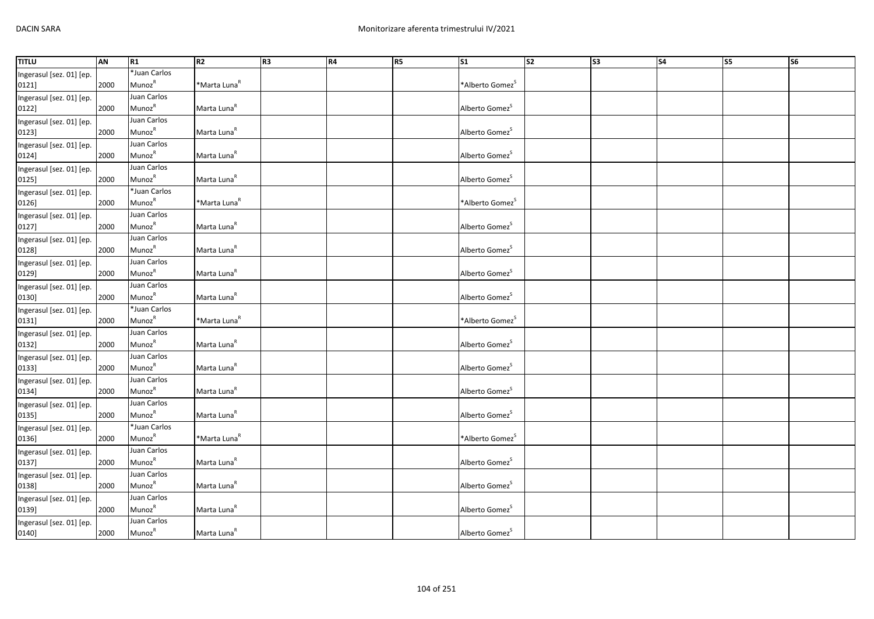| <b>TITLU</b>             | AN   | R1                        | R2                       | R <sub>3</sub> | <b>R4</b> | R5 | S <sub>1</sub>              | $\overline{\text{S2}}$ | S <sub>3</sub> | S <sub>4</sub> | S5 | S <sub>6</sub> |
|--------------------------|------|---------------------------|--------------------------|----------------|-----------|----|-----------------------------|------------------------|----------------|----------------|----|----------------|
| Ingerasul [sez. 01] [ep. |      | *Juan Carlos              |                          |                |           |    |                             |                        |                |                |    |                |
| 0121]                    | 2000 | <b>Munoz</b> <sup>R</sup> | *Marta Luna <sup>R</sup> |                |           |    | *Alberto Gomez              |                        |                |                |    |                |
| Ingerasul [sez. 01] [ep. |      | Juan Carlos               |                          |                |           |    |                             |                        |                |                |    |                |
| 0122]                    | 2000 | Munoz <sup>R</sup>        | Marta Luna <sup>R</sup>  |                |           |    | Alberto Gomez <sup>5</sup>  |                        |                |                |    |                |
| Ingerasul [sez. 01] [ep. |      | Juan Carlos               |                          |                |           |    |                             |                        |                |                |    |                |
| 0123]                    | 2000 | MunozR                    | Marta Luna <sup>R</sup>  |                |           |    | Alberto Gomez <sup>S</sup>  |                        |                |                |    |                |
| Ingerasul [sez. 01] [ep. |      | Juan Carlos               |                          |                |           |    |                             |                        |                |                |    |                |
| 0124]                    | 2000 | Munoz <sup>R</sup>        | Marta Luna <sup>R</sup>  |                |           |    | Alberto Gomez <sup>5</sup>  |                        |                |                |    |                |
| Ingerasul [sez. 01] [ep. |      | Juan Carlos               |                          |                |           |    |                             |                        |                |                |    |                |
| 0125]                    | 2000 | Munoz <sup>R</sup>        | Marta Luna <sup>R</sup>  |                |           |    | Alberto Gomez <sup>5</sup>  |                        |                |                |    |                |
| Ingerasul [sez. 01] [ep. |      | *Juan Carlos              |                          |                |           |    |                             |                        |                |                |    |                |
| 0126]                    | 2000 | MunozR                    | *Marta Luna <sup>R</sup> |                |           |    | *Alberto Gomez <sup>S</sup> |                        |                |                |    |                |
| Ingerasul [sez. 01] [ep. |      | Juan Carlos               |                          |                |           |    |                             |                        |                |                |    |                |
| 0127]                    | 2000 | Munoz <sup>R</sup>        | Marta Luna <sup>R</sup>  |                |           |    | Alberto Gomez <sup>S</sup>  |                        |                |                |    |                |
| Ingerasul [sez. 01] [ep. |      | Juan Carlos               |                          |                |           |    |                             |                        |                |                |    |                |
| 0128]                    | 2000 | MunozR                    | Marta Luna <sup>R</sup>  |                |           |    | Alberto Gomez <sup>S</sup>  |                        |                |                |    |                |
| Ingerasul [sez. 01] [ep. |      | Juan Carlos               |                          |                |           |    |                             |                        |                |                |    |                |
| 0129]                    | 2000 | Munoz <sup>R</sup>        | Marta Luna <sup>R</sup>  |                |           |    | Alberto Gomez <sup>S</sup>  |                        |                |                |    |                |
| Ingerasul [sez. 01] [ep. |      | Juan Carlos               |                          |                |           |    |                             |                        |                |                |    |                |
| 0130]                    | 2000 | Munoz <sup>R</sup>        | Marta Luna <sup>R</sup>  |                |           |    | Alberto Gomez <sup>5</sup>  |                        |                |                |    |                |
| Ingerasul [sez. 01] [ep. |      | *Juan Carlos              |                          |                |           |    |                             |                        |                |                |    |                |
| 0131]                    | 2000 | Munoz <sup>R</sup>        | *Marta Luna <sup>R</sup> |                |           |    | *Alberto Gomez <sup>S</sup> |                        |                |                |    |                |
| Ingerasul [sez. 01] [ep. |      | Juan Carlos               |                          |                |           |    |                             |                        |                |                |    |                |
| 0132]                    | 2000 | MunozR                    | Marta Luna <sup>R</sup>  |                |           |    | Alberto Gomez <sup>S</sup>  |                        |                |                |    |                |
| Ingerasul [sez. 01] [ep. |      | Juan Carlos               |                          |                |           |    |                             |                        |                |                |    |                |
| 0133]                    | 2000 | Munoz <sup>R</sup>        | Marta Luna <sup>R</sup>  |                |           |    | Alberto Gomez <sup>5</sup>  |                        |                |                |    |                |
| Ingerasul [sez. 01] [ep. |      | Juan Carlos               |                          |                |           |    |                             |                        |                |                |    |                |
| 0134]                    | 2000 | MunozR                    | Marta Luna <sup>R</sup>  |                |           |    | Alberto Gomez <sup>S</sup>  |                        |                |                |    |                |
| Ingerasul [sez. 01] [ep. |      | Juan Carlos               |                          |                |           |    |                             |                        |                |                |    |                |
| 0135]                    | 2000 | MunozR                    | Marta Luna <sup>R</sup>  |                |           |    | Alberto Gomez <sup>5</sup>  |                        |                |                |    |                |
| Ingerasul [sez. 01] [ep. |      | *Juan Carlos              |                          |                |           |    |                             |                        |                |                |    |                |
| 0136]                    | 2000 | Munoz <sup>R</sup>        | *Marta Luna <sup>R</sup> |                |           |    | *Alberto Gomez <sup>5</sup> |                        |                |                |    |                |
| Ingerasul [sez. 01] [ep. |      | Juan Carlos               |                          |                |           |    |                             |                        |                |                |    |                |
| 0137]                    | 2000 | Munoz <sup>R</sup>        | Marta Luna <sup>R</sup>  |                |           |    | Alberto Gomez <sup>S</sup>  |                        |                |                |    |                |
| Ingerasul [sez. 01] [ep. |      | Juan Carlos               |                          |                |           |    |                             |                        |                |                |    |                |
| 0138]                    | 2000 | Munoz <sup>R</sup>        | Marta Luna <sup>R</sup>  |                |           |    | Alberto Gomez <sup>S</sup>  |                        |                |                |    |                |
| Ingerasul [sez. 01] [ep. |      | Juan Carlos               |                          |                |           |    |                             |                        |                |                |    |                |
| 0139]                    | 2000 | Munoz <sup>R</sup>        | Marta Luna <sup>R</sup>  |                |           |    | Alberto Gomez               |                        |                |                |    |                |
| Ingerasul [sez. 01] [ep. |      | Juan Carlos               |                          |                |           |    |                             |                        |                |                |    |                |
| 0140]                    | 2000 | Munoz <sup>R</sup>        | Marta Luna <sup>R</sup>  |                |           |    | Alberto Gomez <sup>S</sup>  |                        |                |                |    |                |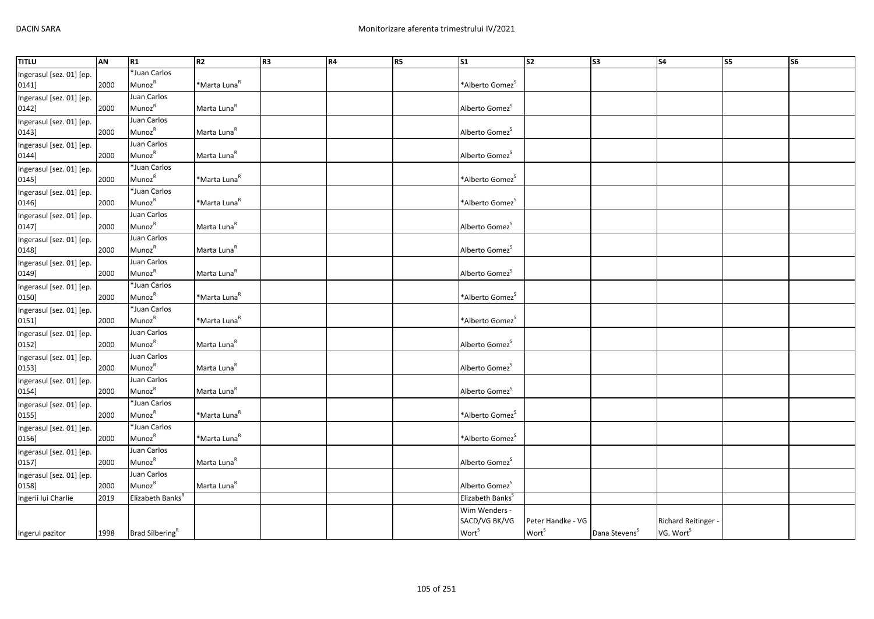| <b>TITLU</b>             | AN   | R1                               | R2                       | R <sub>3</sub> | <b>R4</b> | <b>R5</b> | $\mathsf{S}1$                | $\overline{\text{S2}}$ | S <sub>3</sub>            | S <sub>4</sub>        | S5 | <b>S6</b> |
|--------------------------|------|----------------------------------|--------------------------|----------------|-----------|-----------|------------------------------|------------------------|---------------------------|-----------------------|----|-----------|
| Ingerasul [sez. 01] [ep. |      | *Juan Carlos                     |                          |                |           |           |                              |                        |                           |                       |    |           |
| 0141]                    | 2000 | Munoz <sup>R</sup>               | *Marta Luna <sup>R</sup> |                |           |           | *Alberto Gomez <sup>S</sup>  |                        |                           |                       |    |           |
| Ingerasul [sez. 01] [ep. |      | Juan Carlos                      |                          |                |           |           |                              |                        |                           |                       |    |           |
| 0142]                    | 2000 | MunozR                           | Marta Luna <sup>R</sup>  |                |           |           | Alberto Gomez <sup>5</sup>   |                        |                           |                       |    |           |
| Ingerasul [sez. 01] [ep. |      | Juan Carlos                      |                          |                |           |           |                              |                        |                           |                       |    |           |
| 0143]                    | 2000 | Munoz <sup>R</sup>               | Marta Luna <sup>R</sup>  |                |           |           | Alberto Gomez <sup>S</sup>   |                        |                           |                       |    |           |
| Ingerasul [sez. 01] [ep. |      | Juan Carlos                      |                          |                |           |           |                              |                        |                           |                       |    |           |
| 0144]                    | 2000 | MunozR                           | Marta Luna <sup>R</sup>  |                |           |           | Alberto Gomez <sup>S</sup>   |                        |                           |                       |    |           |
| Ingerasul [sez. 01] [ep. |      | *Juan Carlos                     |                          |                |           |           |                              |                        |                           |                       |    |           |
| 0145]                    | 2000 | Munoz <sup>R</sup>               | *Marta Luna <sup>R</sup> |                |           |           | *Alberto Gomez <sup>S</sup>  |                        |                           |                       |    |           |
| Ingerasul [sez. 01] [ep. |      | *Juan Carlos                     |                          |                |           |           |                              |                        |                           |                       |    |           |
| 0146]                    | 2000 | Munoz <sup>R</sup>               | *Marta Luna <sup>R</sup> |                |           |           | *Alberto Gomez <sup>S</sup>  |                        |                           |                       |    |           |
| Ingerasul [sez. 01] [ep. |      | Juan Carlos                      |                          |                |           |           |                              |                        |                           |                       |    |           |
| 0147]                    | 2000 | Munoz <sup>R</sup>               | Marta Luna <sup>R</sup>  |                |           |           | Alberto Gomez <sup>5</sup>   |                        |                           |                       |    |           |
| Ingerasul [sez. 01] [ep. |      | Juan Carlos                      |                          |                |           |           |                              |                        |                           |                       |    |           |
| 0148]                    | 2000 | MunozR                           | Marta Luna <sup>R</sup>  |                |           |           | Alberto Gomez <sup>S</sup>   |                        |                           |                       |    |           |
| Ingerasul [sez. 01] [ep. |      | Juan Carlos                      |                          |                |           |           |                              |                        |                           |                       |    |           |
| 0149]                    | 2000 | Munoz <sup>R</sup>               | Marta Luna <sup>R</sup>  |                |           |           | Alberto Gomez <sup>S</sup>   |                        |                           |                       |    |           |
| Ingerasul [sez. 01] [ep. |      | *Juan Carlos                     |                          |                |           |           |                              |                        |                           |                       |    |           |
| 0150]                    | 2000 | Munoz <sup>R</sup>               | *Marta Luna <sup>R</sup> |                |           |           | *Alberto Gomez <sup>S</sup>  |                        |                           |                       |    |           |
| Ingerasul [sez. 01] [ep. |      | *Juan Carlos                     |                          |                |           |           |                              |                        |                           |                       |    |           |
| 0151]                    | 2000 | Munoz <sup>R</sup>               | *Marta Luna <sup>R</sup> |                |           |           | *Alberto Gomez <sup>S</sup>  |                        |                           |                       |    |           |
| Ingerasul [sez. 01] [ep. |      | Juan Carlos                      |                          |                |           |           |                              |                        |                           |                       |    |           |
| 0152]                    | 2000 | MunozR                           | Marta Luna <sup>R</sup>  |                |           |           | Alberto Gomez <sup>S</sup>   |                        |                           |                       |    |           |
| Ingerasul [sez. 01] [ep. |      | Juan Carlos                      |                          |                |           |           |                              |                        |                           |                       |    |           |
| 0153]                    | 2000 | Munoz <sup>R</sup>               | Marta Luna <sup>R</sup>  |                |           |           | Alberto Gomez <sup>5</sup>   |                        |                           |                       |    |           |
| Ingerasul [sez. 01] [ep. |      | Juan Carlos                      |                          |                |           |           |                              |                        |                           |                       |    |           |
| 0154]                    | 2000 | Munoz <sup>R</sup>               | Marta Luna <sup>R</sup>  |                |           |           | Alberto Gomez <sup>S</sup>   |                        |                           |                       |    |           |
| Ingerasul [sez. 01] [ep. |      | *Juan Carlos                     |                          |                |           |           |                              |                        |                           |                       |    |           |
| 0155]                    | 2000 | Munoz <sup>R</sup>               | *Marta Luna <sup>R</sup> |                |           |           | *Alberto Gomez <sup>S</sup>  |                        |                           |                       |    |           |
| Ingerasul [sez. 01] [ep. |      | *Juan Carlos                     |                          |                |           |           |                              |                        |                           |                       |    |           |
| 0156]                    | 2000 | MunozR                           | *Marta Luna <sup>R</sup> |                |           |           | *Alberto Gomez <sup>S</sup>  |                        |                           |                       |    |           |
| Ingerasul [sez. 01] [ep. |      | Juan Carlos                      |                          |                |           |           |                              |                        |                           |                       |    |           |
| 0157]                    | 2000 | Munoz <sup>R</sup>               | Marta Luna <sup>R</sup>  |                |           |           | Alberto Gomez <sup>S</sup>   |                        |                           |                       |    |           |
| Ingerasul [sez. 01] [ep. |      | Juan Carlos                      |                          |                |           |           |                              |                        |                           |                       |    |           |
| 0158]                    | 2000 | Munoz <sup>R</sup>               | Marta Luna <sup>R</sup>  |                |           |           | Alberto Gomez <sup>S</sup>   |                        |                           |                       |    |           |
| Ingerii lui Charlie      | 2019 | Elizabeth Banks <sup>R</sup>     |                          |                |           |           | Elizabeth Banks <sup>S</sup> |                        |                           |                       |    |           |
|                          |      |                                  |                          |                |           |           | Wim Wenders -                |                        |                           |                       |    |           |
|                          |      |                                  |                          |                |           |           | SACD/VG BK/VG                | Peter Handke - VG      |                           | Richard Reitinger -   |    |           |
| Ingerul pazitor          |      | 1998 Brad Silbering <sup>R</sup> |                          |                |           |           | <b>Wort</b> <sup>S</sup>     | Wort <sup>S</sup>      | Dana Stevens <sup>S</sup> | VG. Wort <sup>S</sup> |    |           |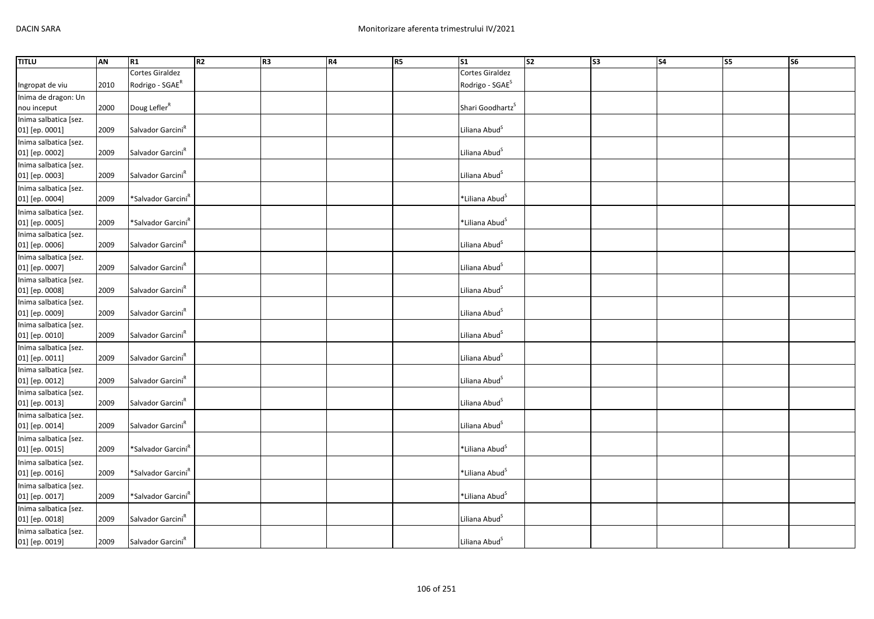| <b>TITLU</b>          | AN   | R1                             | R2 | R3 | R4 | R5 | $\overline{\text{S1}}$       | $\overline{\text{S2}}$ | S <sub>3</sub> | <b>S4</b> | <b>S5</b> | <b>S6</b> |
|-----------------------|------|--------------------------------|----|----|----|----|------------------------------|------------------------|----------------|-----------|-----------|-----------|
|                       |      | Cortes Giraldez                |    |    |    |    | <b>Cortes Giraldez</b>       |                        |                |           |           |           |
| Ingropat de viu       | 2010 | Rodrigo - SGAE <sup>R</sup>    |    |    |    |    | Rodrigo - SGAE <sup>S</sup>  |                        |                |           |           |           |
| Inima de dragon: Un   |      |                                |    |    |    |    |                              |                        |                |           |           |           |
| nou inceput           | 2000 | Doug Lefler <sup>R</sup>       |    |    |    |    | Shari Goodhartz <sup>S</sup> |                        |                |           |           |           |
| Inima salbatica [sez. |      |                                |    |    |    |    |                              |                        |                |           |           |           |
| 01] [ep. 0001]        | 2009 | Salvador Garcini <sup>R</sup>  |    |    |    |    | Liliana Abud <sup>S</sup>    |                        |                |           |           |           |
| Inima salbatica [sez. |      |                                |    |    |    |    |                              |                        |                |           |           |           |
| 01] [ep. 0002]        | 2009 | Salvador Garcini <sup>R</sup>  |    |    |    |    | Liliana Abud <sup>S</sup>    |                        |                |           |           |           |
| Inima salbatica [sez. |      |                                |    |    |    |    |                              |                        |                |           |           |           |
| 01] [ep. 0003]        | 2009 | Salvador Garcini <sup>R</sup>  |    |    |    |    | Liliana Abud <sup>S</sup>    |                        |                |           |           |           |
| Inima salbatica [sez. |      |                                |    |    |    |    |                              |                        |                |           |           |           |
| 01] [ep. 0004]        | 2009 | *Salvador Garcini <sup>R</sup> |    |    |    |    | *Liliana Abud <sup>S</sup>   |                        |                |           |           |           |
| Inima salbatica [sez. |      |                                |    |    |    |    |                              |                        |                |           |           |           |
| 01] [ep. 0005]        | 2009 | *Salvador Garcini <sup>R</sup> |    |    |    |    | *Liliana Abud <sup>S</sup>   |                        |                |           |           |           |
| Inima salbatica [sez. |      |                                |    |    |    |    |                              |                        |                |           |           |           |
| 01] [ep. 0006]        | 2009 | Salvador Garcini <sup>R</sup>  |    |    |    |    | Liliana Abud <sup>S</sup>    |                        |                |           |           |           |
| Inima salbatica [sez. |      |                                |    |    |    |    |                              |                        |                |           |           |           |
| 01] [ep. 0007]        | 2009 | Salvador Garcini <sup>R</sup>  |    |    |    |    | Liliana Abud <sup>S</sup>    |                        |                |           |           |           |
| Inima salbatica [sez. |      |                                |    |    |    |    |                              |                        |                |           |           |           |
| 01] [ep. 0008]        | 2009 | Salvador Garcini <sup>R</sup>  |    |    |    |    | Liliana Abud <sup>S</sup>    |                        |                |           |           |           |
| Inima salbatica [sez. |      |                                |    |    |    |    |                              |                        |                |           |           |           |
| 01] [ep. 0009]        | 2009 | Salvador Garcini <sup>R</sup>  |    |    |    |    | Liliana Abud <sup>S</sup>    |                        |                |           |           |           |
| Inima salbatica [sez. |      |                                |    |    |    |    |                              |                        |                |           |           |           |
| 01] [ep. 0010]        | 2009 | Salvador Garcini <sup>R</sup>  |    |    |    |    | Liliana Abud <sup>S</sup>    |                        |                |           |           |           |
| Inima salbatica [sez. |      |                                |    |    |    |    |                              |                        |                |           |           |           |
| 01] [ep. 0011]        | 2009 | Salvador Garcini <sup>R</sup>  |    |    |    |    | Liliana Abud <sup>S</sup>    |                        |                |           |           |           |
| Inima salbatica [sez. |      |                                |    |    |    |    |                              |                        |                |           |           |           |
| 01] [ep. 0012]        | 2009 | Salvador Garcini <sup>R</sup>  |    |    |    |    | Liliana Abud <sup>S</sup>    |                        |                |           |           |           |
| Inima salbatica [sez. |      |                                |    |    |    |    |                              |                        |                |           |           |           |
| 01] [ep. 0013]        | 2009 | Salvador Garcini <sup>R</sup>  |    |    |    |    | Liliana Abud <sup>S</sup>    |                        |                |           |           |           |
| Inima salbatica [sez. |      |                                |    |    |    |    |                              |                        |                |           |           |           |
| 01] [ep. 0014]        | 2009 | Salvador Garcini <sup>R</sup>  |    |    |    |    | Liliana Abud <sup>S</sup>    |                        |                |           |           |           |
| Inima salbatica [sez. |      |                                |    |    |    |    |                              |                        |                |           |           |           |
| 01] [ep. 0015]        | 2009 | *Salvador Garcini <sup>R</sup> |    |    |    |    | *Liliana Abud <sup>S</sup>   |                        |                |           |           |           |
| Inima salbatica [sez. |      |                                |    |    |    |    |                              |                        |                |           |           |           |
| 01] [ep. 0016]        | 2009 | *Salvador Garcini <sup>R</sup> |    |    |    |    | *Liliana Abud <sup>S</sup>   |                        |                |           |           |           |
| Inima salbatica [sez. |      |                                |    |    |    |    |                              |                        |                |           |           |           |
| 01] [ep. 0017]        | 2009 | *Salvador Garcini <sup>R</sup> |    |    |    |    | *Liliana Abud <sup>S</sup>   |                        |                |           |           |           |
| Inima salbatica [sez. |      |                                |    |    |    |    |                              |                        |                |           |           |           |
| 01] [ep. 0018]        | 2009 | Salvador Garcini <sup>R</sup>  |    |    |    |    | Liliana Abud <sup>S</sup>    |                        |                |           |           |           |
| Inima salbatica [sez. |      |                                |    |    |    |    |                              |                        |                |           |           |           |
| 01] [ep. 0019]        | 2009 | Salvador Garcini <sup>R</sup>  |    |    |    |    | Liliana Abud <sup>S</sup>    |                        |                |           |           |           |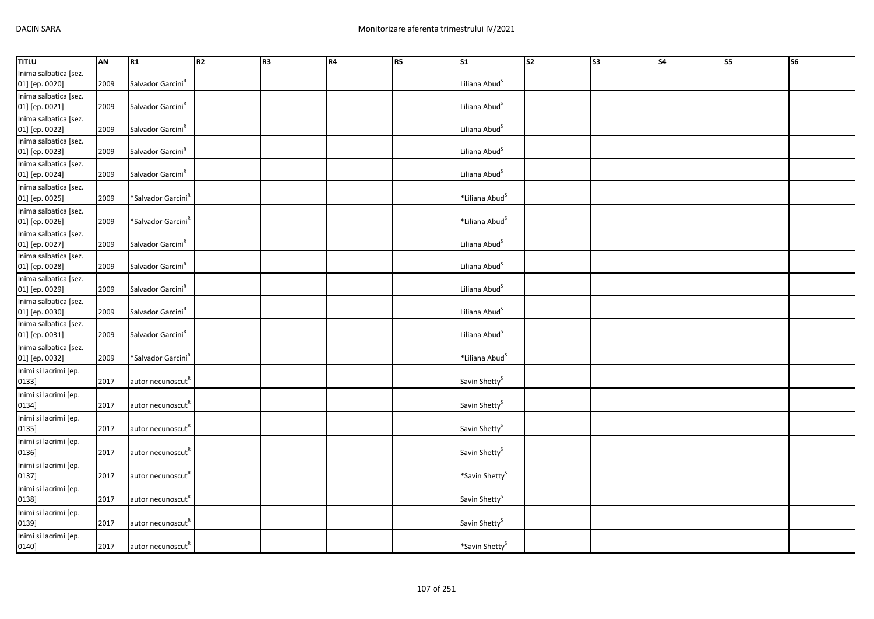| <b>TITLU</b>          | AN   | R1                             | R2 | R <sub>3</sub> | R4 | R5 | $\overline{\text{S1}}$     | s <sub>2</sub> | S3 | $\overline{\phantom{a}}$ | <b>S5</b> | $\overline{\text{S6}}$ |
|-----------------------|------|--------------------------------|----|----------------|----|----|----------------------------|----------------|----|--------------------------|-----------|------------------------|
| Inima salbatica [sez. |      |                                |    |                |    |    |                            |                |    |                          |           |                        |
| 01] [ep. 0020]        | 2009 | Salvador Garcini <sup>R</sup>  |    |                |    |    | Liliana Abud <sup>S</sup>  |                |    |                          |           |                        |
| Inima salbatica [sez. |      |                                |    |                |    |    |                            |                |    |                          |           |                        |
| 01] [ep. 0021]        | 2009 | Salvador Garcini <sup>R</sup>  |    |                |    |    | Liliana Abud <sup>S</sup>  |                |    |                          |           |                        |
| Inima salbatica [sez. |      |                                |    |                |    |    |                            |                |    |                          |           |                        |
| 01] [ep. 0022]        | 2009 | Salvador Garcini <sup>R</sup>  |    |                |    |    | Liliana Abud <sup>S</sup>  |                |    |                          |           |                        |
| Inima salbatica [sez. |      |                                |    |                |    |    |                            |                |    |                          |           |                        |
| 01] [ep. 0023]        | 2009 | Salvador Garcini <sup>R</sup>  |    |                |    |    | Liliana Abud <sup>S</sup>  |                |    |                          |           |                        |
| Inima salbatica [sez. |      |                                |    |                |    |    |                            |                |    |                          |           |                        |
| 01] [ep. 0024]        | 2009 | Salvador Garcini <sup>R</sup>  |    |                |    |    | Liliana Abud <sup>S</sup>  |                |    |                          |           |                        |
| Inima salbatica [sez. |      |                                |    |                |    |    |                            |                |    |                          |           |                        |
| 01] [ep. 0025]        | 2009 | *Salvador Garcini <sup>R</sup> |    |                |    |    | *Liliana Abud <sup>S</sup> |                |    |                          |           |                        |
| Inima salbatica [sez. |      |                                |    |                |    |    |                            |                |    |                          |           |                        |
| 01] [ep. 0026]        | 2009 | *Salvador Garcini <sup>R</sup> |    |                |    |    | *Liliana Abud <sup>S</sup> |                |    |                          |           |                        |
| Inima salbatica [sez. |      |                                |    |                |    |    |                            |                |    |                          |           |                        |
| 01] [ep. 0027]        | 2009 | Salvador Garcini <sup>R</sup>  |    |                |    |    | Liliana Abud <sup>S</sup>  |                |    |                          |           |                        |
| Inima salbatica [sez. |      |                                |    |                |    |    |                            |                |    |                          |           |                        |
| 01] [ep. 0028]        | 2009 | Salvador Garcini <sup>R</sup>  |    |                |    |    | Liliana Abud <sup>S</sup>  |                |    |                          |           |                        |
| Inima salbatica [sez. |      |                                |    |                |    |    |                            |                |    |                          |           |                        |
| 01] [ep. 0029]        | 2009 | Salvador Garcini <sup>R</sup>  |    |                |    |    | Liliana Abud <sup>S</sup>  |                |    |                          |           |                        |
| Inima salbatica [sez. |      |                                |    |                |    |    |                            |                |    |                          |           |                        |
| 01] [ep. 0030]        | 2009 | Salvador Garcini <sup>R</sup>  |    |                |    |    | Liliana Abud <sup>S</sup>  |                |    |                          |           |                        |
| Inima salbatica [sez. |      |                                |    |                |    |    |                            |                |    |                          |           |                        |
| 01] [ep. 0031]        | 2009 | Salvador Garcini <sup>R</sup>  |    |                |    |    | Liliana Abud <sup>S</sup>  |                |    |                          |           |                        |
| Inima salbatica [sez. |      |                                |    |                |    |    |                            |                |    |                          |           |                        |
| 01] [ep. 0032]        | 2009 | *Salvador Garcini <sup>R</sup> |    |                |    |    | *Liliana Abud <sup>S</sup> |                |    |                          |           |                        |
| Inimi si lacrimi [ep. |      |                                |    |                |    |    |                            |                |    |                          |           |                        |
| 0133]                 | 2017 | autor necunoscut"              |    |                |    |    | Savin Shetty <sup>S</sup>  |                |    |                          |           |                        |
| Inimi si lacrimi [ep. |      |                                |    |                |    |    |                            |                |    |                          |           |                        |
| 0134]                 | 2017 | autor necunoscut"              |    |                |    |    | Savin Shetty <sup>S</sup>  |                |    |                          |           |                        |
| Inimi si lacrimi [ep. |      |                                |    |                |    |    |                            |                |    |                          |           |                        |
| 0135]                 | 2017 | autor necunoscut"              |    |                |    |    | Savin Shetty <sup>S</sup>  |                |    |                          |           |                        |
| Inimi si lacrimi [ep. |      |                                |    |                |    |    |                            |                |    |                          |           |                        |
| 0136]                 | 2017 | autor necunoscut"              |    |                |    |    | Savin Shetty <sup>S</sup>  |                |    |                          |           |                        |
| Inimi si lacrimi [ep. |      |                                |    |                |    |    |                            |                |    |                          |           |                        |
| 0137]                 | 2017 | autor necunoscut"              |    |                |    |    | *Savin Shetty <sup>S</sup> |                |    |                          |           |                        |
| Inimi si lacrimi [ep. |      |                                |    |                |    |    |                            |                |    |                          |           |                        |
| 0138]                 | 2017 | autor necunoscut <sup>R</sup>  |    |                |    |    | Savin Shetty <sup>S</sup>  |                |    |                          |           |                        |
| Inimi si lacrimi [ep. |      |                                |    |                |    |    |                            |                |    |                          |           |                        |
| 0139]                 | 2017 | autor necunoscut <sup>"</sup>  |    |                |    |    | Savin Shetty <sup>S</sup>  |                |    |                          |           |                        |
| Inimi si lacrimi [ep. |      |                                |    |                |    |    |                            |                |    |                          |           |                        |
| 0140]                 | 2017 | autor necunoscut <sup>R</sup>  |    |                |    |    | *Savin Shetty <sup>S</sup> |                |    |                          |           |                        |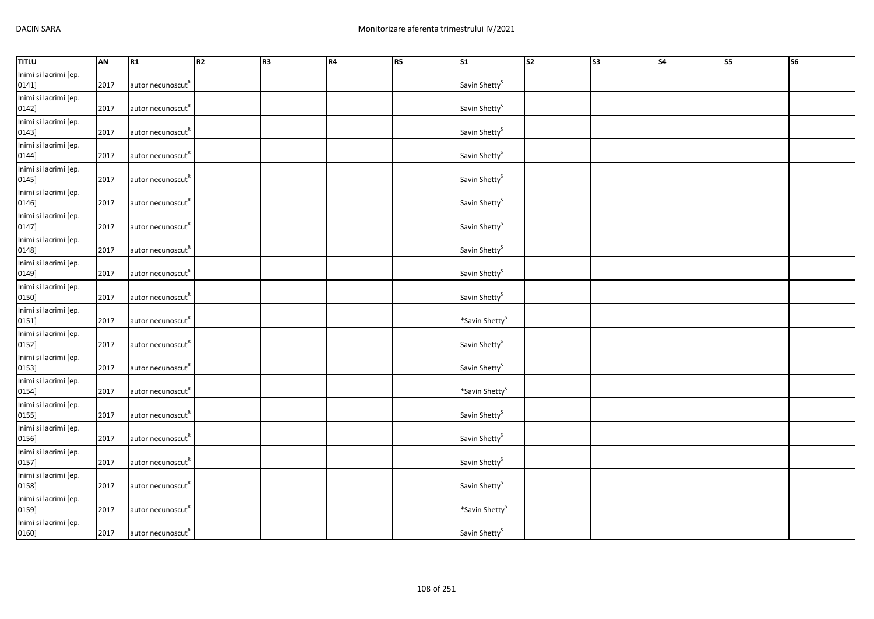| <b>TITLU</b>                   | AN   | R <sub>1</sub>                | R2 | R <sub>3</sub> | <b>R4</b> | <b>R5</b> | <b>S1</b>                  | $\overline{\text{S2}}$ | $\overline{\text{S3}}$ | $\overline{\text{S4}}$ | S5 | S6 |
|--------------------------------|------|-------------------------------|----|----------------|-----------|-----------|----------------------------|------------------------|------------------------|------------------------|----|----|
| Inimi si lacrimi [ep.<br>0141] | 2017 | autor necunoscut <sup>K</sup> |    |                |           |           | Savin Shetty <sup>S</sup>  |                        |                        |                        |    |    |
| Inimi si lacrimi [ep.<br>0142] | 2017 | autor necunoscut"             |    |                |           |           | Savin Shetty <sup>S</sup>  |                        |                        |                        |    |    |
| Inimi si lacrimi [ep.<br>0143] | 2017 | autor necunoscut <sup>R</sup> |    |                |           |           | Savin Shetty <sup>S</sup>  |                        |                        |                        |    |    |
| Inimi si lacrimi [ep.<br>0144] | 2017 | autor necunoscut <sup>R</sup> |    |                |           |           | Savin Shetty <sup>S</sup>  |                        |                        |                        |    |    |
| Inimi si lacrimi [ep.<br>0145] | 2017 | autor necunoscut <sup>"</sup> |    |                |           |           | Savin Shetty <sup>S</sup>  |                        |                        |                        |    |    |
| Inimi si lacrimi [ep.<br>0146] | 2017 | autor necunoscut <sup>R</sup> |    |                |           |           | Savin Shetty <sup>S</sup>  |                        |                        |                        |    |    |
| Inimi si lacrimi [ep.<br>0147] | 2017 | autor necunoscut <sup>"</sup> |    |                |           |           | Savin Shetty <sup>S</sup>  |                        |                        |                        |    |    |
| Inimi si lacrimi [ep.<br>0148] | 2017 | autor necunoscut <sup>"</sup> |    |                |           |           | Savin Shetty <sup>S</sup>  |                        |                        |                        |    |    |
| Inimi si lacrimi [ep.<br>0149] | 2017 | autor necunoscut <sup>R</sup> |    |                |           |           | Savin Shetty <sup>S</sup>  |                        |                        |                        |    |    |
| Inimi si lacrimi [ep.<br>0150] | 2017 | autor necunoscut <sup>R</sup> |    |                |           |           | Savin Shetty <sup>S</sup>  |                        |                        |                        |    |    |
| Inimi si lacrimi [ep.<br>0151] | 2017 | autor necunoscut <sup>R</sup> |    |                |           |           | *Savin Shetty <sup>S</sup> |                        |                        |                        |    |    |
| Inimi si lacrimi [ep.<br>0152] | 2017 | autor necunoscut <sup>R</sup> |    |                |           |           | Savin Shetty <sup>S</sup>  |                        |                        |                        |    |    |
| Inimi si lacrimi [ep.<br>0153] | 2017 | autor necunoscut <sup>"</sup> |    |                |           |           | Savin Shetty <sup>S</sup>  |                        |                        |                        |    |    |
| Inimi si lacrimi [ep.<br>0154] | 2017 | autor necunoscut <sup>"</sup> |    |                |           |           | *Savin Shetty <sup>S</sup> |                        |                        |                        |    |    |
| Inimi si lacrimi [ep.<br>0155] | 2017 | autor necunoscut <sup>R</sup> |    |                |           |           | Savin Shetty <sup>S</sup>  |                        |                        |                        |    |    |
| Inimi si lacrimi [ep.<br>0156] | 2017 | autor necunoscut <sup>R</sup> |    |                |           |           | Savin Shetty <sup>S</sup>  |                        |                        |                        |    |    |
| Inimi si lacrimi [ep.<br>0157] | 2017 | autor necunoscut <sup>R</sup> |    |                |           |           | Savin Shetty <sup>S</sup>  |                        |                        |                        |    |    |
| Inimi si lacrimi [ep.<br>0158] | 2017 | autor necunoscut <sup>R</sup> |    |                |           |           | Savin Shetty <sup>S</sup>  |                        |                        |                        |    |    |
| Inimi si lacrimi [ep.<br>0159] | 2017 | autor necunoscut"             |    |                |           |           | *Savin Shetty <sup>S</sup> |                        |                        |                        |    |    |
| Inimi si lacrimi [ep.<br>0160] | 2017 | autor necunoscut <sup>R</sup> |    |                |           |           | Savin Shetty <sup>S</sup>  |                        |                        |                        |    |    |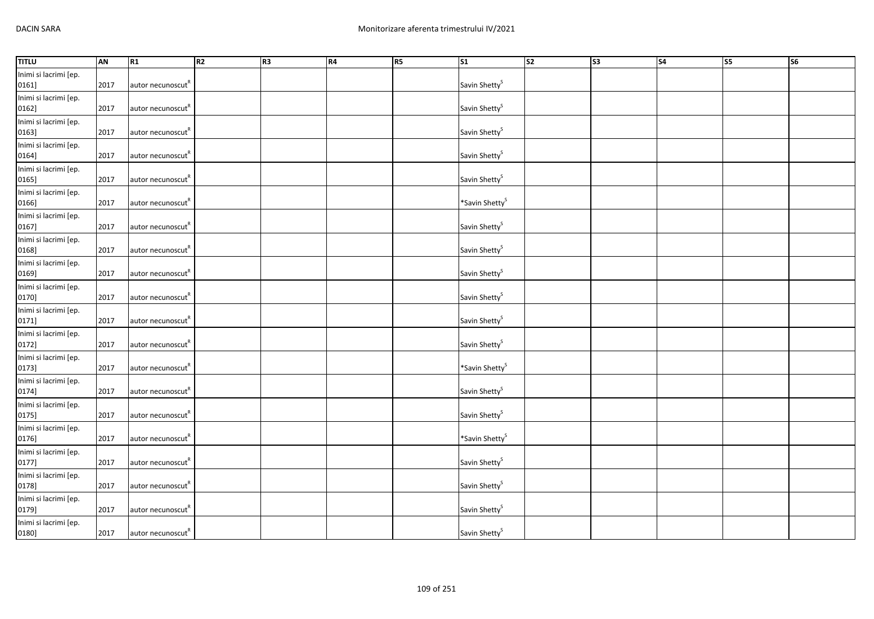| <b>TITLU</b>                   | AN   | R <sub>1</sub>                | R2 | R <sub>3</sub> | <b>R4</b> | <b>R5</b> | <b>S1</b>                  | $\overline{\text{S2}}$ | $\overline{\text{S3}}$ | $\overline{\text{S4}}$ | S5 | S6 |
|--------------------------------|------|-------------------------------|----|----------------|-----------|-----------|----------------------------|------------------------|------------------------|------------------------|----|----|
| Inimi si lacrimi [ep.<br>0161] | 2017 | autor necunoscut <sup>K</sup> |    |                |           |           | Savin Shetty <sup>S</sup>  |                        |                        |                        |    |    |
| Inimi si lacrimi [ep.<br>0162] | 2017 | autor necunoscut"             |    |                |           |           | Savin Shetty <sup>S</sup>  |                        |                        |                        |    |    |
| Inimi si lacrimi [ep.<br>0163] | 2017 | autor necunoscut <sup>R</sup> |    |                |           |           | Savin Shetty <sup>S</sup>  |                        |                        |                        |    |    |
| Inimi si lacrimi [ep.<br>0164] | 2017 | autor necunoscut <sup>R</sup> |    |                |           |           | Savin Shetty <sup>S</sup>  |                        |                        |                        |    |    |
| Inimi si lacrimi [ep.<br>0165] | 2017 | autor necunoscut <sup>R</sup> |    |                |           |           | Savin Shetty <sup>S</sup>  |                        |                        |                        |    |    |
| Inimi si lacrimi [ep.<br>0166] | 2017 | autor necunoscut <sup>R</sup> |    |                |           |           | *Savin Shetty <sup>S</sup> |                        |                        |                        |    |    |
| Inimi si lacrimi [ep.<br>0167] | 2017 | autor necunoscut <sup>"</sup> |    |                |           |           | Savin Shetty <sup>S</sup>  |                        |                        |                        |    |    |
| Inimi si lacrimi [ep.<br>0168] | 2017 | autor necunoscut <sup>"</sup> |    |                |           |           | Savin Shetty <sup>S</sup>  |                        |                        |                        |    |    |
| Inimi si lacrimi [ep.<br>0169] | 2017 | autor necunoscut <sup>R</sup> |    |                |           |           | Savin Shetty <sup>S</sup>  |                        |                        |                        |    |    |
| Inimi si lacrimi [ep.<br>0170] | 2017 | autor necunoscut <sup>R</sup> |    |                |           |           | Savin Shetty <sup>S</sup>  |                        |                        |                        |    |    |
| Inimi si lacrimi [ep.<br>0171] | 2017 | autor necunoscut <sup>R</sup> |    |                |           |           | Savin Shetty <sup>S</sup>  |                        |                        |                        |    |    |
| Inimi si lacrimi [ep.<br>0172] | 2017 | autor necunoscut <sup>R</sup> |    |                |           |           | Savin Shetty <sup>S</sup>  |                        |                        |                        |    |    |
| Inimi si lacrimi [ep.<br>0173] | 2017 | autor necunoscut <sup>"</sup> |    |                |           |           | *Savin Shetty <sup>S</sup> |                        |                        |                        |    |    |
| Inimi si lacrimi [ep.<br>0174] | 2017 | autor necunoscut <sup>"</sup> |    |                |           |           | Savin Shetty <sup>S</sup>  |                        |                        |                        |    |    |
| Inimi si lacrimi [ep.<br>0175] | 2017 | autor necunoscut <sup>R</sup> |    |                |           |           | Savin Shetty <sup>S</sup>  |                        |                        |                        |    |    |
| Inimi si lacrimi [ep.<br>0176] | 2017 | autor necunoscut <sup>R</sup> |    |                |           |           | *Savin Shetty <sup>S</sup> |                        |                        |                        |    |    |
| Inimi si lacrimi [ep.<br>0177] | 2017 | autor necunoscut <sup>R</sup> |    |                |           |           | Savin Shetty <sup>S</sup>  |                        |                        |                        |    |    |
| Inimi si lacrimi [ep.<br>0178] | 2017 | autor necunoscut <sup>R</sup> |    |                |           |           | Savin Shetty <sup>S</sup>  |                        |                        |                        |    |    |
| Inimi si lacrimi [ep.<br>0179] | 2017 | autor necunoscut"             |    |                |           |           | Savin Shetty <sup>S</sup>  |                        |                        |                        |    |    |
| Inimi si lacrimi [ep.<br>0180] | 2017 | autor necunoscut <sup>R</sup> |    |                |           |           | Savin Shetty <sup>S</sup>  |                        |                        |                        |    |    |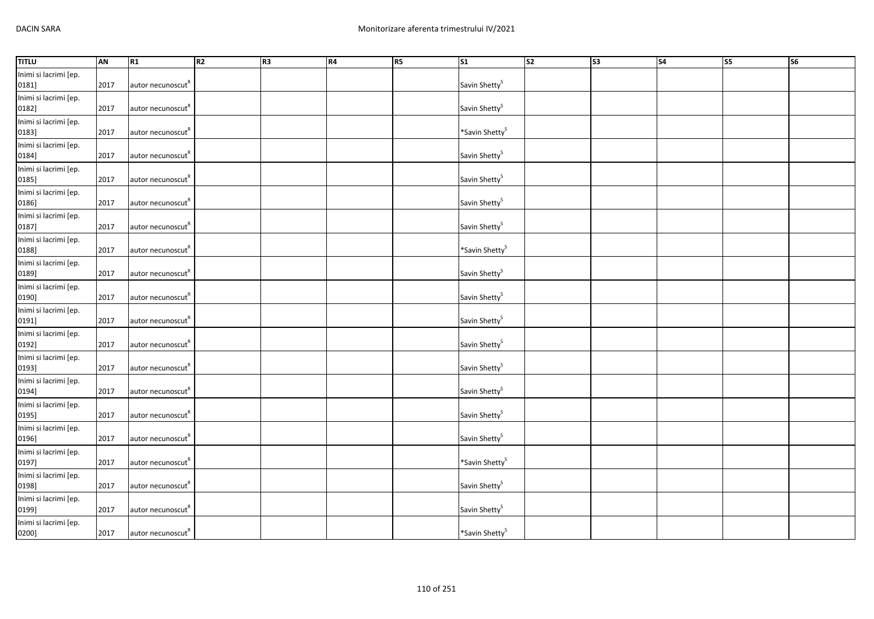| <b>TITLU</b>                   | <b>AN</b> | R1                            | R2 | R3 | <b>R4</b> | R5 | $\overline{\text{S1}}$     | $\overline{\text{S2}}$ | S3 | $\overline{\text{S4}}$ | <b>S5</b> | $\overline{\text{S6}}$ |
|--------------------------------|-----------|-------------------------------|----|----|-----------|----|----------------------------|------------------------|----|------------------------|-----------|------------------------|
| Inimi si lacrimi [ep.<br>0181] | 2017      | autor necunoscut <sup>R</sup> |    |    |           |    | Savin Shetty <sup>S</sup>  |                        |    |                        |           |                        |
| Inimi si lacrimi [ep.<br>0182] | 2017      | autor necunoscut <sup>R</sup> |    |    |           |    | Savin Shetty <sup>S</sup>  |                        |    |                        |           |                        |
| Inimi si lacrimi [ep.<br>0183] | 2017      | autor necunoscut <sup>R</sup> |    |    |           |    | *Savin Shetty <sup>S</sup> |                        |    |                        |           |                        |
| Inimi si lacrimi [ep.<br>0184] | 2017      | autor necunoscut <sup>R</sup> |    |    |           |    | Savin Shetty <sup>S</sup>  |                        |    |                        |           |                        |
| Inimi si lacrimi [ep.<br>0185] | 2017      | autor necunoscut <sup>R</sup> |    |    |           |    | Savin Shetty <sup>S</sup>  |                        |    |                        |           |                        |
| Inimi si lacrimi [ep.<br>0186] | 2017      | autor necunoscut <sup>R</sup> |    |    |           |    | Savin Shetty <sup>S</sup>  |                        |    |                        |           |                        |
| Inimi si lacrimi [ep.<br>0187] | 2017      | autor necunoscut <sup>"</sup> |    |    |           |    | Savin Shetty <sup>S</sup>  |                        |    |                        |           |                        |
| Inimi si lacrimi [ep.<br>0188] | 2017      | autor necunoscut <sup>"</sup> |    |    |           |    | *Savin Shetty <sup>S</sup> |                        |    |                        |           |                        |
| Inimi si lacrimi [ep.<br>0189] | 2017      | autor necunoscut <sup>R</sup> |    |    |           |    | Savin Shetty <sup>S</sup>  |                        |    |                        |           |                        |
| Inimi si lacrimi [ep.<br>0190] | 2017      | autor necunoscut <sup>"</sup> |    |    |           |    | Savin Shetty <sup>S</sup>  |                        |    |                        |           |                        |
| Inimi si lacrimi [ep.<br>0191] | 2017      | autor necunoscut              |    |    |           |    | Savin Shetty <sup>S</sup>  |                        |    |                        |           |                        |
| Inimi si lacrimi [ep.<br>0192] | 2017      | autor necunoscut <sup>R</sup> |    |    |           |    | Savin Shetty <sup>S</sup>  |                        |    |                        |           |                        |
| Inimi si lacrimi [ep.<br>0193] | 2017      | autor necunoscut <sup>"</sup> |    |    |           |    | Savin Shetty <sup>S</sup>  |                        |    |                        |           |                        |
| Inimi si lacrimi [ep.<br>0194] | 2017      | autor necunoscut <sup>K</sup> |    |    |           |    | Savin Shetty <sup>S</sup>  |                        |    |                        |           |                        |
| Inimi si lacrimi [ep.<br>0195] | 2017      | autor necunoscut <sup>R</sup> |    |    |           |    | Savin Shetty <sup>S</sup>  |                        |    |                        |           |                        |
| Inimi si lacrimi [ep.<br>0196] | 2017      | autor necunoscut <sup>R</sup> |    |    |           |    | Savin Shetty <sup>S</sup>  |                        |    |                        |           |                        |
| Inimi si lacrimi [ep.<br>0197] | 2017      | autor necunoscut <sup>R</sup> |    |    |           |    | *Savin Shetty <sup>S</sup> |                        |    |                        |           |                        |
| Inimi si lacrimi [ep.<br>0198] | 2017      | autor necunoscut <sup>R</sup> |    |    |           |    | Savin Shetty <sup>S</sup>  |                        |    |                        |           |                        |
| Inimi si lacrimi [ep.<br>0199] | 2017      | autor necunoscut"             |    |    |           |    | Savin Shetty <sup>S</sup>  |                        |    |                        |           |                        |
| Inimi si lacrimi [ep.<br>0200] | 2017      | autor necunoscut <sup>R</sup> |    |    |           |    | *Savin Shetty <sup>S</sup> |                        |    |                        |           |                        |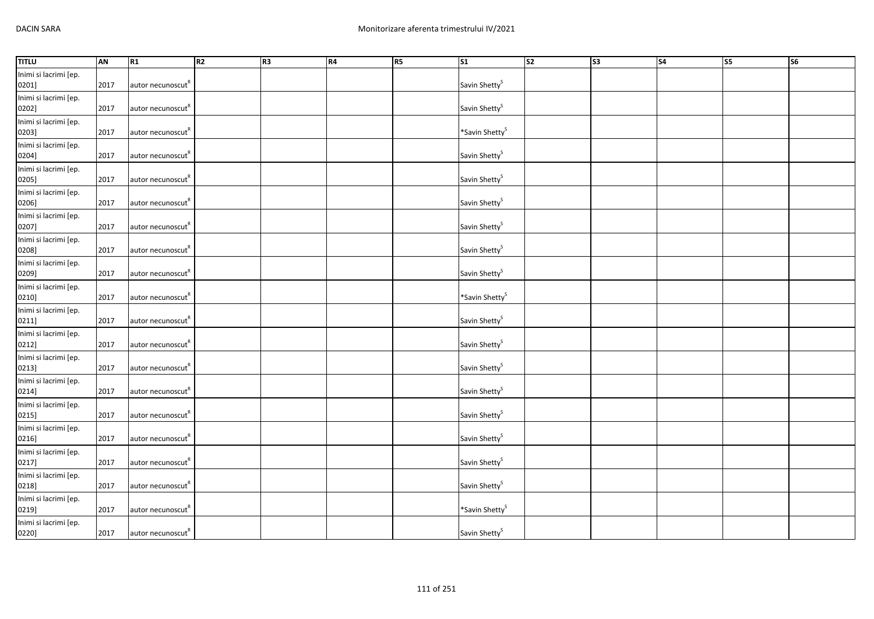| <b>TITLU</b>                   | <b>AN</b> | R1                            | R2 | R3 | <b>R4</b> | R5 | $\overline{\text{S1}}$     | S2 | S3 | $\overline{\text{S4}}$ | S <sub>5</sub> | $\overline{\text{S6}}$ |
|--------------------------------|-----------|-------------------------------|----|----|-----------|----|----------------------------|----|----|------------------------|----------------|------------------------|
| Inimi si lacrimi [ep.<br>0201] | 2017      | autor necunoscut <sup>R</sup> |    |    |           |    | Savin Shetty <sup>S</sup>  |    |    |                        |                |                        |
| Inimi si lacrimi [ep.<br>0202] | 2017      | autor necunoscut <sup>R</sup> |    |    |           |    | Savin Shetty <sup>S</sup>  |    |    |                        |                |                        |
| Inimi si lacrimi [ep.<br>0203] | 2017      | autor necunoscut <sup>R</sup> |    |    |           |    | *Savin Shetty <sup>S</sup> |    |    |                        |                |                        |
| Inimi si lacrimi [ep.<br>0204] | 2017      | autor necunoscut <sup>R</sup> |    |    |           |    | Savin Shetty <sup>S</sup>  |    |    |                        |                |                        |
| Inimi si lacrimi [ep.<br>0205] | 2017      | autor necunoscut"             |    |    |           |    | Savin Shetty <sup>S</sup>  |    |    |                        |                |                        |
| Inimi si lacrimi [ep.<br>0206] | 2017      | autor necunoscut <sup>R</sup> |    |    |           |    | Savin Shetty <sup>S</sup>  |    |    |                        |                |                        |
| Inimi si lacrimi [ep.<br>0207] | 2017      | autor necunoscut <sup>"</sup> |    |    |           |    | Savin Shetty <sup>S</sup>  |    |    |                        |                |                        |
| Inimi si lacrimi [ep.<br>0208] | 2017      | autor necunoscut <sup>"</sup> |    |    |           |    | Savin Shetty <sup>S</sup>  |    |    |                        |                |                        |
| Inimi si lacrimi [ep.<br>0209] | 2017      | autor necunoscut <sup>R</sup> |    |    |           |    | Savin Shetty <sup>S</sup>  |    |    |                        |                |                        |
| Inimi si lacrimi [ep.<br>0210] | 2017      | autor necunoscut <sup>"</sup> |    |    |           |    | *Savin Shetty <sup>S</sup> |    |    |                        |                |                        |
| Inimi si lacrimi [ep.<br>0211] | 2017      | autor necunoscut              |    |    |           |    | Savin Shetty <sup>S</sup>  |    |    |                        |                |                        |
| Inimi si lacrimi [ep.<br>0212] | 2017      | autor necunoscut <sup>R</sup> |    |    |           |    | Savin Shetty <sup>S</sup>  |    |    |                        |                |                        |
| Inimi si lacrimi [ep.<br>0213] | 2017      | autor necunoscut <sup>"</sup> |    |    |           |    | Savin Shetty <sup>S</sup>  |    |    |                        |                |                        |
| Inimi si lacrimi [ep.<br>0214] | 2017      | autor necunoscut <sup>K</sup> |    |    |           |    | Savin Shetty <sup>S</sup>  |    |    |                        |                |                        |
| Inimi si lacrimi [ep.<br>0215] | 2017      | autor necunoscut <sup>R</sup> |    |    |           |    | Savin Shetty <sup>S</sup>  |    |    |                        |                |                        |
| Inimi si lacrimi [ep.<br>0216] | 2017      | autor necunoscut <sup>R</sup> |    |    |           |    | Savin Shetty <sup>S</sup>  |    |    |                        |                |                        |
| Inimi si lacrimi [ep.<br>0217] | 2017      | autor necunoscut <sup>K</sup> |    |    |           |    | Savin Shetty <sup>S</sup>  |    |    |                        |                |                        |
| Inimi si lacrimi [ep.<br>0218] | 2017      | autor necunoscut <sup>R</sup> |    |    |           |    | Savin Shetty <sup>S</sup>  |    |    |                        |                |                        |
| Inimi si lacrimi [ep.<br>0219] | 2017      | autor necunoscut"             |    |    |           |    | *Savin Shetty <sup>S</sup> |    |    |                        |                |                        |
| Inimi si lacrimi [ep.<br>0220] | 2017      | autor necunoscut <sup>R</sup> |    |    |           |    | Savin Shetty <sup>S</sup>  |    |    |                        |                |                        |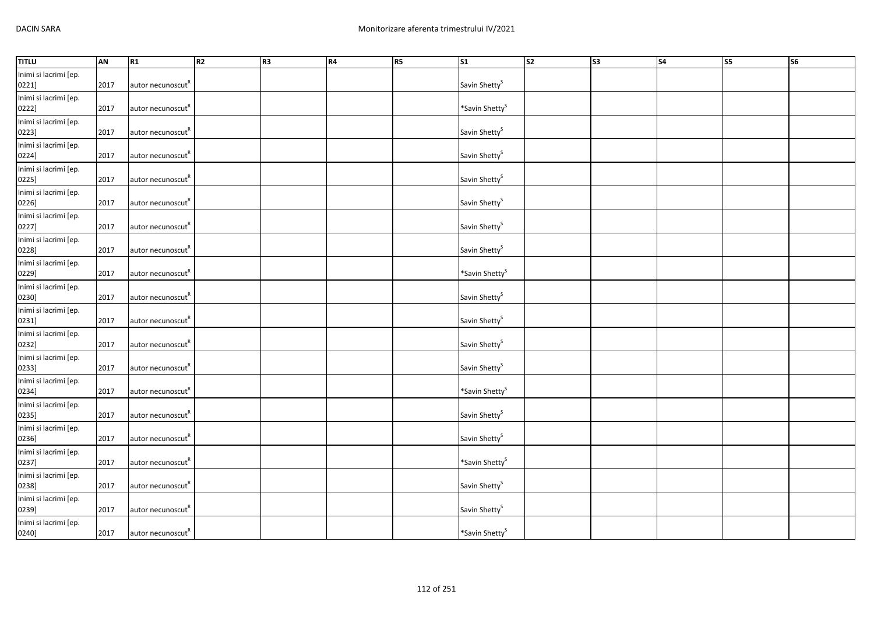| <b>TITLU</b>                   | <b>AN</b> | R1                            | R <sub>2</sub> | R <sub>3</sub> | <b>R4</b> | <b>R5</b> | <b>S1</b>                  | $\overline{\text{S2}}$ | $\overline{\text{S3}}$ | $\overline{\text{S4}}$ | <b>S5</b> | $\overline{\text{S6}}$ |
|--------------------------------|-----------|-------------------------------|----------------|----------------|-----------|-----------|----------------------------|------------------------|------------------------|------------------------|-----------|------------------------|
| Inimi si lacrimi [ep.<br>0221] | 2017      | autor necunoscut <sup>R</sup> |                |                |           |           | Savin Shetty <sup>S</sup>  |                        |                        |                        |           |                        |
| Inimi si lacrimi [ep.<br>0222] | 2017      | autor necunoscut"             |                |                |           |           | *Savin Shetty <sup>S</sup> |                        |                        |                        |           |                        |
| Inimi si lacrimi [ep.<br>0223] | 2017      | autor necunoscut <sup>R</sup> |                |                |           |           | Savin Shetty <sup>S</sup>  |                        |                        |                        |           |                        |
| Inimi si lacrimi [ep.<br>0224] | 2017      | autor necunoscut <sup>R</sup> |                |                |           |           | Savin Shetty <sup>S</sup>  |                        |                        |                        |           |                        |
| Inimi si lacrimi [ep.<br>0225] | 2017      | autor necunoscut <sup>"</sup> |                |                |           |           | Savin Shetty <sup>S</sup>  |                        |                        |                        |           |                        |
| Inimi si lacrimi [ep.<br>0226] | 2017      | autor necunoscut <sup>R</sup> |                |                |           |           | Savin Shetty <sup>S</sup>  |                        |                        |                        |           |                        |
| Inimi si lacrimi [ep.<br>0227] | 2017      | autor necunoscut <sup>"</sup> |                |                |           |           | Savin Shetty <sup>S</sup>  |                        |                        |                        |           |                        |
| Inimi si lacrimi [ep.<br>0228] | 2017      | autor necunoscut <sup>"</sup> |                |                |           |           | Savin Shetty <sup>S</sup>  |                        |                        |                        |           |                        |
| Inimi si lacrimi [ep.<br>0229] | 2017      | autor necunoscut <sup>R</sup> |                |                |           |           | *Savin Shetty <sup>S</sup> |                        |                        |                        |           |                        |
| Inimi si lacrimi [ep.<br>0230] | 2017      | autor necunoscut <sup>"</sup> |                |                |           |           | Savin Shetty <sup>S</sup>  |                        |                        |                        |           |                        |
| Inimi si lacrimi [ep.<br>0231] | 2017      | autor necunoscut              |                |                |           |           | Savin Shetty <sup>S</sup>  |                        |                        |                        |           |                        |
| Inimi si lacrimi [ep.<br>0232] | 2017      | autor necunoscut <sup>R</sup> |                |                |           |           | Savin Shetty <sup>S</sup>  |                        |                        |                        |           |                        |
| Inimi si lacrimi [ep.<br>0233] | 2017      | autor necunoscut <sup>"</sup> |                |                |           |           | Savin Shetty <sup>S</sup>  |                        |                        |                        |           |                        |
| Inimi si lacrimi [ep.<br>0234] | 2017      | autor necunoscut <sup>"</sup> |                |                |           |           | *Savin Shetty <sup>S</sup> |                        |                        |                        |           |                        |
| Inimi si lacrimi [ep.<br>0235] | 2017      | autor necunoscut <sup>K</sup> |                |                |           |           | Savin Shetty <sup>S</sup>  |                        |                        |                        |           |                        |
| Inimi si lacrimi [ep.<br>0236] | 2017      | autor necunoscut <sup>R</sup> |                |                |           |           | Savin Shetty <sup>S</sup>  |                        |                        |                        |           |                        |
| Inimi si lacrimi [ep.<br>0237] | 2017      | autor necunoscut <sup>"</sup> |                |                |           |           | *Savin Shetty <sup>S</sup> |                        |                        |                        |           |                        |
| Inimi si lacrimi [ep.<br>0238] | 2017      | autor necunoscut <sup>R</sup> |                |                |           |           | Savin Shetty <sup>S</sup>  |                        |                        |                        |           |                        |
| Inimi si lacrimi [ep.<br>0239] | 2017      | autor necunoscut              |                |                |           |           | Savin Shetty <sup>S</sup>  |                        |                        |                        |           |                        |
| Inimi si lacrimi [ep.<br>0240] | 2017      | autor necunoscut <sup>"</sup> |                |                |           |           | *Savin Shetty <sup>S</sup> |                        |                        |                        |           |                        |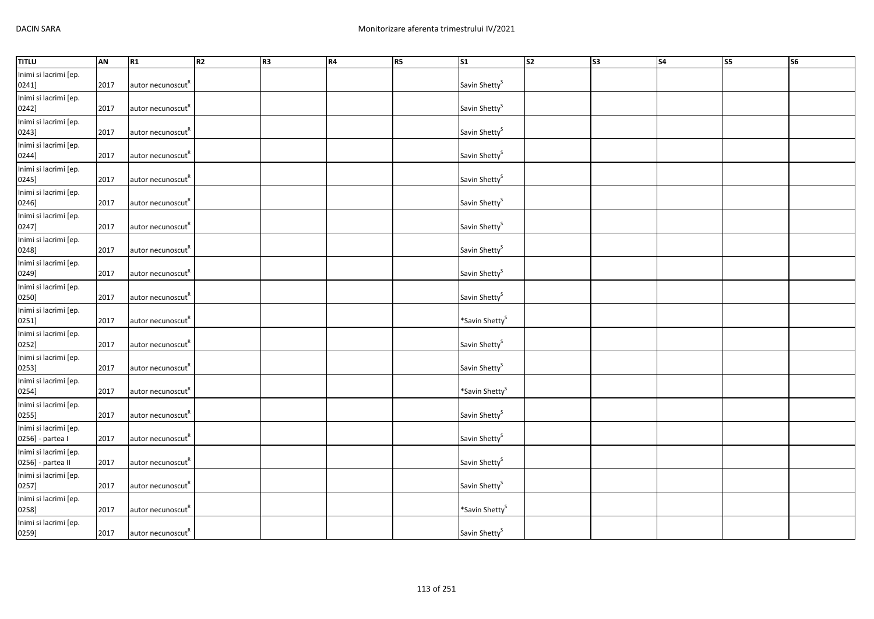| <b>TITLU</b>                               | AN   | R <sub>1</sub>                | R2 | R <sub>3</sub> | <b>R4</b> | <b>R5</b> | <b>S1</b>                  | $\overline{\text{S2}}$ | $\overline{\text{S3}}$ | $\overline{\text{S4}}$ | S5 | S6 |
|--------------------------------------------|------|-------------------------------|----|----------------|-----------|-----------|----------------------------|------------------------|------------------------|------------------------|----|----|
| Inimi si lacrimi [ep.<br>0241]             | 2017 | autor necunoscut <sup>K</sup> |    |                |           |           | Savin Shetty <sup>S</sup>  |                        |                        |                        |    |    |
| Inimi si lacrimi [ep.<br>0242]             | 2017 | autor necunoscut"             |    |                |           |           | Savin Shetty <sup>S</sup>  |                        |                        |                        |    |    |
| Inimi si lacrimi [ep.<br>0243]             | 2017 | autor necunoscut <sup>R</sup> |    |                |           |           | Savin Shetty <sup>S</sup>  |                        |                        |                        |    |    |
| Inimi si lacrimi [ep.<br>0244]             | 2017 | autor necunoscut <sup>"</sup> |    |                |           |           | Savin Shetty <sup>S</sup>  |                        |                        |                        |    |    |
| Inimi si lacrimi [ep.<br>0245]             | 2017 | autor necunoscut <sup>R</sup> |    |                |           |           | Savin Shetty <sup>S</sup>  |                        |                        |                        |    |    |
| Inimi si lacrimi [ep.<br>0246]             | 2017 | autor necunoscut <sup>R</sup> |    |                |           |           | Savin Shetty <sup>S</sup>  |                        |                        |                        |    |    |
| Inimi si lacrimi [ep.<br>0247]             | 2017 | autor necunoscut <sup>"</sup> |    |                |           |           | Savin Shetty <sup>S</sup>  |                        |                        |                        |    |    |
| Inimi si lacrimi [ep.<br>0248]             | 2017 | autor necunoscut <sup>"</sup> |    |                |           |           | Savin Shetty <sup>S</sup>  |                        |                        |                        |    |    |
| Inimi si lacrimi [ep.<br>0249]             | 2017 | autor necunoscut <sup>R</sup> |    |                |           |           | Savin Shetty <sup>S</sup>  |                        |                        |                        |    |    |
| Inimi si lacrimi [ep.<br>0250]             | 2017 | autor necunoscut <sup>R</sup> |    |                |           |           | Savin Shetty <sup>S</sup>  |                        |                        |                        |    |    |
| Inimi si lacrimi [ep.<br>0251]             | 2017 | autor necunoscut <sup>R</sup> |    |                |           |           | *Savin Shetty <sup>S</sup> |                        |                        |                        |    |    |
| Inimi si lacrimi [ep.<br>0252]             | 2017 | autor necunoscut <sup>R</sup> |    |                |           |           | Savin Shetty <sup>S</sup>  |                        |                        |                        |    |    |
| Inimi si lacrimi [ep.<br>0253]             | 2017 | autor necunoscut              |    |                |           |           | Savin Shetty <sup>S</sup>  |                        |                        |                        |    |    |
| Inimi si lacrimi [ep.<br>0254]             | 2017 | autor necunoscut <sup>"</sup> |    |                |           |           | *Savin Shetty <sup>S</sup> |                        |                        |                        |    |    |
| Inimi si lacrimi [ep.<br>0255]             | 2017 | autor necunoscut <sup>R</sup> |    |                |           |           | Savin Shetty <sup>S</sup>  |                        |                        |                        |    |    |
| Inimi si lacrimi [ep.<br>0256] - partea I  | 2017 | autor necunoscut <sup>R</sup> |    |                |           |           | Savin Shetty <sup>S</sup>  |                        |                        |                        |    |    |
| Inimi si lacrimi [ep.<br>0256] - partea II | 2017 | autor necunoscut <sup>K</sup> |    |                |           |           | Savin Shetty <sup>S</sup>  |                        |                        |                        |    |    |
| Inimi si lacrimi [ep.<br>0257]             | 2017 | autor necunoscut <sup>R</sup> |    |                |           |           | Savin Shetty <sup>S</sup>  |                        |                        |                        |    |    |
| Inimi si lacrimi [ep.<br>0258]             | 2017 | autor necunoscut"             |    |                |           |           | *Savin Shetty <sup>S</sup> |                        |                        |                        |    |    |
| Inimi si lacrimi [ep.<br>0259]             | 2017 | autor necunoscut <sup>R</sup> |    |                |           |           | Savin Shetty <sup>S</sup>  |                        |                        |                        |    |    |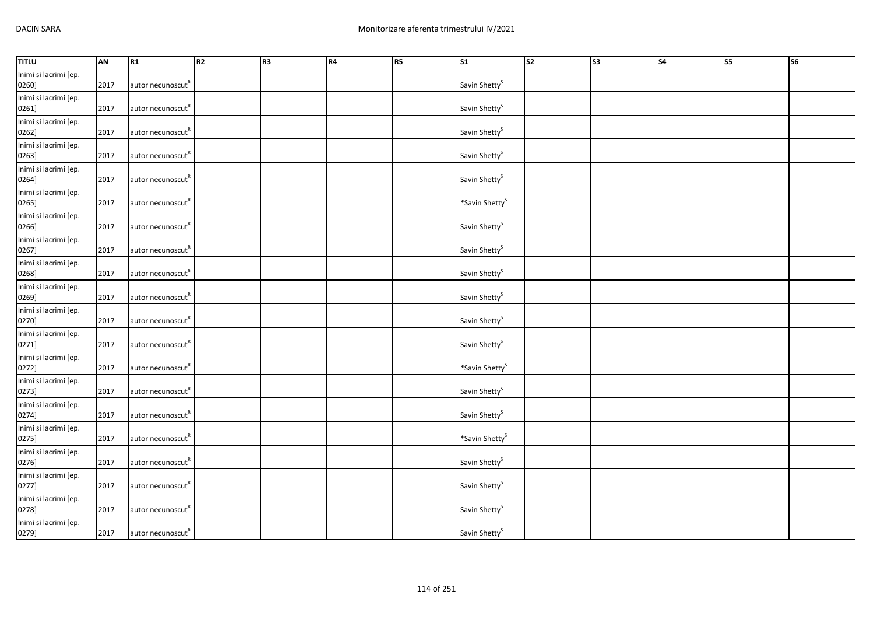| <b>TITLU</b>                   | AN   | R <sub>1</sub>                | R2 | R <sub>3</sub> | <b>R4</b> | <b>R5</b> | <b>S1</b>                  | $\overline{\text{S2}}$ | $\overline{\text{S3}}$ | $\overline{\text{S4}}$ | S5 | S6 |
|--------------------------------|------|-------------------------------|----|----------------|-----------|-----------|----------------------------|------------------------|------------------------|------------------------|----|----|
| Inimi si lacrimi [ep.<br>0260] | 2017 | autor necunoscut <sup>K</sup> |    |                |           |           | Savin Shetty <sup>S</sup>  |                        |                        |                        |    |    |
| Inimi si lacrimi [ep.<br>0261] | 2017 | autor necunoscut"             |    |                |           |           | Savin Shetty <sup>S</sup>  |                        |                        |                        |    |    |
| Inimi si lacrimi [ep.<br>0262] | 2017 | autor necunoscut <sup>R</sup> |    |                |           |           | Savin Shetty <sup>S</sup>  |                        |                        |                        |    |    |
| Inimi si lacrimi [ep.<br>0263] | 2017 | autor necunoscut <sup>R</sup> |    |                |           |           | Savin Shetty <sup>S</sup>  |                        |                        |                        |    |    |
| Inimi si lacrimi [ep.<br>0264] | 2017 | autor necunoscut <sup>R</sup> |    |                |           |           | Savin Shetty <sup>S</sup>  |                        |                        |                        |    |    |
| Inimi si lacrimi [ep.<br>0265] | 2017 | autor necunoscut <sup>R</sup> |    |                |           |           | *Savin Shetty <sup>S</sup> |                        |                        |                        |    |    |
| Inimi si lacrimi [ep.<br>0266] | 2017 | autor necunoscut <sup>"</sup> |    |                |           |           | Savin Shetty <sup>S</sup>  |                        |                        |                        |    |    |
| Inimi si lacrimi [ep.<br>0267] | 2017 | autor necunoscut <sup>"</sup> |    |                |           |           | Savin Shetty <sup>S</sup>  |                        |                        |                        |    |    |
| Inimi si lacrimi [ep.<br>0268] | 2017 | autor necunoscut <sup>R</sup> |    |                |           |           | Savin Shetty <sup>S</sup>  |                        |                        |                        |    |    |
| Inimi si lacrimi [ep.<br>0269] | 2017 | autor necunoscut <sup>R</sup> |    |                |           |           | Savin Shetty <sup>S</sup>  |                        |                        |                        |    |    |
| Inimi si lacrimi [ep.<br>0270] | 2017 | autor necunoscut <sup>R</sup> |    |                |           |           | Savin Shetty <sup>S</sup>  |                        |                        |                        |    |    |
| Inimi si lacrimi [ep.<br>0271] | 2017 | autor necunoscut <sup>R</sup> |    |                |           |           | Savin Shetty <sup>S</sup>  |                        |                        |                        |    |    |
| Inimi si lacrimi [ep.<br>0272] | 2017 | autor necunoscut <sup>"</sup> |    |                |           |           | *Savin Shetty <sup>S</sup> |                        |                        |                        |    |    |
| Inimi si lacrimi [ep.<br>0273] | 2017 | autor necunoscut <sup>"</sup> |    |                |           |           | Savin Shetty <sup>S</sup>  |                        |                        |                        |    |    |
| Inimi si lacrimi [ep.<br>0274] | 2017 | autor necunoscut <sup>R</sup> |    |                |           |           | Savin Shetty <sup>S</sup>  |                        |                        |                        |    |    |
| Inimi si lacrimi [ep.<br>0275] | 2017 | autor necunoscut <sup>R</sup> |    |                |           |           | *Savin Shetty <sup>S</sup> |                        |                        |                        |    |    |
| Inimi si lacrimi [ep.<br>0276] | 2017 | autor necunoscut <sup>K</sup> |    |                |           |           | Savin Shetty <sup>S</sup>  |                        |                        |                        |    |    |
| Inimi si lacrimi [ep.<br>0277] | 2017 | autor necunoscut <sup>R</sup> |    |                |           |           | Savin Shetty <sup>S</sup>  |                        |                        |                        |    |    |
| Inimi si lacrimi [ep.<br>0278] | 2017 | autor necunoscut"             |    |                |           |           | Savin Shetty <sup>S</sup>  |                        |                        |                        |    |    |
| Inimi si lacrimi [ep.<br>0279] | 2017 | autor necunoscut <sup>R</sup> |    |                |           |           | Savin Shetty <sup>S</sup>  |                        |                        |                        |    |    |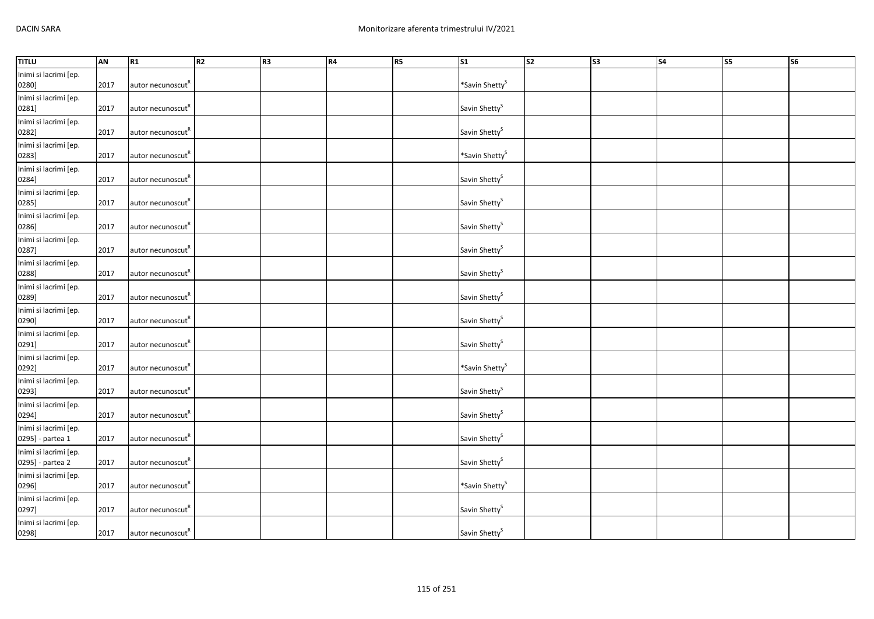| <b>TITLU</b>                              | AN   | R <sub>1</sub>                | R2 | R <sub>3</sub> | <b>R4</b> | <b>R5</b> | <b>S1</b>                  | $\overline{\text{S2}}$ | $\overline{\text{S3}}$ | $\overline{\text{S4}}$ | S5 | S6 |
|-------------------------------------------|------|-------------------------------|----|----------------|-----------|-----------|----------------------------|------------------------|------------------------|------------------------|----|----|
| Inimi si lacrimi [ep.<br>0280]            | 2017 | autor necunoscut <sup>K</sup> |    |                |           |           | *Savin Shetty <sup>S</sup> |                        |                        |                        |    |    |
| Inimi si lacrimi [ep.<br>0281]            | 2017 | autor necunoscut"             |    |                |           |           | Savin Shetty <sup>S</sup>  |                        |                        |                        |    |    |
| Inimi si lacrimi [ep.<br>0282]            | 2017 | autor necunoscut <sup>R</sup> |    |                |           |           | Savin Shetty <sup>S</sup>  |                        |                        |                        |    |    |
| Inimi si lacrimi [ep.<br>0283]            | 2017 | autor necunoscut <sup>"</sup> |    |                |           |           | *Savin Shetty <sup>S</sup> |                        |                        |                        |    |    |
| Inimi si lacrimi [ep.<br>0284]            | 2017 | autor necunoscut <sup>R</sup> |    |                |           |           | Savin Shetty <sup>S</sup>  |                        |                        |                        |    |    |
| Inimi si lacrimi [ep.<br>0285]            | 2017 | autor necunoscut <sup>R</sup> |    |                |           |           | Savin Shetty <sup>S</sup>  |                        |                        |                        |    |    |
| Inimi si lacrimi [ep.<br>0286]            | 2017 | autor necunoscut <sup>"</sup> |    |                |           |           | Savin Shetty <sup>S</sup>  |                        |                        |                        |    |    |
| Inimi si lacrimi [ep.<br>0287]            | 2017 | autor necunoscut <sup>"</sup> |    |                |           |           | Savin Shetty <sup>S</sup>  |                        |                        |                        |    |    |
| Inimi si lacrimi [ep.<br>0288]            | 2017 | autor necunoscut <sup>R</sup> |    |                |           |           | Savin Shetty <sup>S</sup>  |                        |                        |                        |    |    |
| Inimi si lacrimi [ep.<br>0289]            | 2017 | autor necunoscut <sup>R</sup> |    |                |           |           | Savin Shetty <sup>S</sup>  |                        |                        |                        |    |    |
| Inimi si lacrimi [ep.<br>0290]            | 2017 | autor necunoscut <sup>R</sup> |    |                |           |           | Savin Shetty <sup>S</sup>  |                        |                        |                        |    |    |
| Inimi si lacrimi [ep.<br>0291]            | 2017 | autor necunoscut <sup>R</sup> |    |                |           |           | Savin Shetty <sup>S</sup>  |                        |                        |                        |    |    |
| Inimi si lacrimi [ep.<br>0292]            | 2017 | autor necunoscut              |    |                |           |           | *Savin Shetty <sup>S</sup> |                        |                        |                        |    |    |
| Inimi si lacrimi [ep.<br>0293]            | 2017 | autor necunoscut <sup>"</sup> |    |                |           |           | Savin Shetty <sup>S</sup>  |                        |                        |                        |    |    |
| Inimi si lacrimi [ep.<br>0294]            | 2017 | autor necunoscut <sup>R</sup> |    |                |           |           | Savin Shetty <sup>S</sup>  |                        |                        |                        |    |    |
| Inimi si lacrimi [ep.<br>0295] - partea 1 | 2017 | autor necunoscut <sup>R</sup> |    |                |           |           | Savin Shetty <sup>S</sup>  |                        |                        |                        |    |    |
| Inimi si lacrimi [ep.<br>0295] - partea 2 | 2017 | autor necunoscut <sup>K</sup> |    |                |           |           | Savin Shetty <sup>S</sup>  |                        |                        |                        |    |    |
| Inimi si lacrimi [ep.<br>0296]            | 2017 | autor necunoscut <sup>R</sup> |    |                |           |           | *Savin Shetty <sup>S</sup> |                        |                        |                        |    |    |
| Inimi si lacrimi [ep.<br>0297]            | 2017 | autor necunoscut"             |    |                |           |           | Savin Shetty <sup>S</sup>  |                        |                        |                        |    |    |
| Inimi si lacrimi [ep.<br>0298]            | 2017 | autor necunoscut <sup>R</sup> |    |                |           |           | Savin Shetty <sup>S</sup>  |                        |                        |                        |    |    |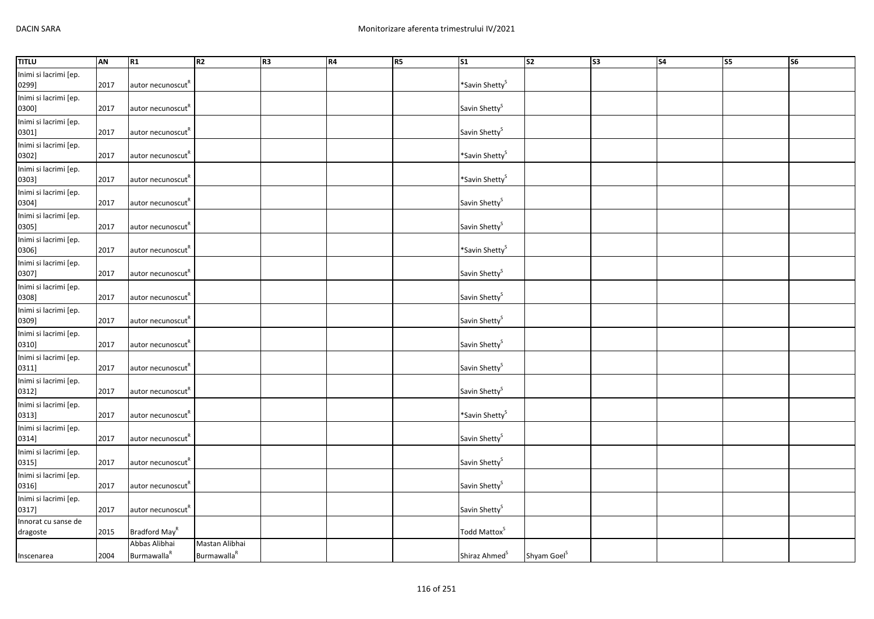| <b>TITLU</b>                    | AN   | R1                                              | R2                                        | R3 | R4 | R <sub>5</sub> | $\overline{\text{S1}}$     | S2                      | S3 | $\overline{\mathsf{S4}}$ | S <sub>5</sub> | S6 |
|---------------------------------|------|-------------------------------------------------|-------------------------------------------|----|----|----------------|----------------------------|-------------------------|----|--------------------------|----------------|----|
| Inimi si lacrimi [ep.<br>0299]  | 2017 | autor necunoscut"                               |                                           |    |    |                | *Savin Shetty <sup>S</sup> |                         |    |                          |                |    |
| Inimi si lacrimi [ep.<br>0300]  | 2017 | autor necunoscut"                               |                                           |    |    |                | Savin Shetty <sup>S</sup>  |                         |    |                          |                |    |
| Inimi si lacrimi [ep.<br>0301]  | 2017 | autor necunoscut <sup>"</sup>                   |                                           |    |    |                | Savin Shetty <sup>S</sup>  |                         |    |                          |                |    |
| Inimi si lacrimi [ep.<br>0302]  | 2017 | autor necunoscut <sup>R</sup>                   |                                           |    |    |                | *Savin Shetty <sup>S</sup> |                         |    |                          |                |    |
| Inimi si lacrimi [ep.<br>0303]  | 2017 | autor necunoscut <sup>R</sup>                   |                                           |    |    |                | *Savin Shetty <sup>S</sup> |                         |    |                          |                |    |
| Inimi si lacrimi [ep.<br>0304]  | 2017 | autor necunoscut"                               |                                           |    |    |                | Savin Shetty <sup>S</sup>  |                         |    |                          |                |    |
| Inimi si lacrimi [ep.<br>0305]  | 2017 | autor necunoscut <sup>R</sup>                   |                                           |    |    |                | Savin Shetty <sup>S</sup>  |                         |    |                          |                |    |
| Inimi si lacrimi [ep.<br>0306]  | 2017 | autor necunoscut <sup>R</sup>                   |                                           |    |    |                | *Savin Shetty <sup>S</sup> |                         |    |                          |                |    |
| Inimi si lacrimi [ep.<br>0307]  | 2017 | autor necunoscut <sup>"</sup>                   |                                           |    |    |                | Savin Shetty <sup>S</sup>  |                         |    |                          |                |    |
| Inimi si lacrimi [ep.<br>0308]  | 2017 | autor necunoscut <sup>R</sup>                   |                                           |    |    |                | Savin Shetty <sup>S</sup>  |                         |    |                          |                |    |
| Inimi si lacrimi [ep.<br>0309]  | 2017 | autor necunoscut"                               |                                           |    |    |                | Savin Shetty <sup>S</sup>  |                         |    |                          |                |    |
| Inimi si lacrimi [ep.<br>0310]  | 2017 | autor necunoscut <sup>R</sup>                   |                                           |    |    |                | Savin Shetty <sup>S</sup>  |                         |    |                          |                |    |
| Inimi si lacrimi [ep.<br>0311]  | 2017 | autor necunoscut                                |                                           |    |    |                | Savin Shetty <sup>S</sup>  |                         |    |                          |                |    |
| Inimi si lacrimi [ep.<br>0312]  | 2017 | autor necunoscut <sup>R</sup>                   |                                           |    |    |                | Savin Shetty <sup>S</sup>  |                         |    |                          |                |    |
| Inimi si lacrimi [ep.<br>0313]  | 2017 | autor necunoscut <sup>K</sup>                   |                                           |    |    |                | *Savin Shetty <sup>S</sup> |                         |    |                          |                |    |
| Inimi si lacrimi [ep.<br>0314]  | 2017 | autor necunoscut <sup>R</sup>                   |                                           |    |    |                | Savin Shetty <sup>S</sup>  |                         |    |                          |                |    |
| Inimi si lacrimi [ep.<br>0315]  | 2017 | autor necunoscut <sup>"</sup>                   |                                           |    |    |                | Savin Shetty <sup>S</sup>  |                         |    |                          |                |    |
| Inimi si lacrimi [ep.<br>0316]  | 2017 | autor necunoscut <sup>K</sup>                   |                                           |    |    |                | Savin Shetty <sup>S</sup>  |                         |    |                          |                |    |
| Inimi si lacrimi [ep.<br>0317]  | 2017 | autor necunoscut <sup>R</sup>                   |                                           |    |    |                | Savin Shetty <sup>S</sup>  |                         |    |                          |                |    |
| Innorat cu sanse de<br>dragoste | 2015 | Bradford May <sup>R</sup>                       |                                           |    |    |                | Todd Mattox <sup>S</sup>   |                         |    |                          |                |    |
| Inscenarea                      | 2004 | Abbas Alibhai<br><b>Burmawalla</b> <sup>R</sup> | Mastan Alibhai<br>Burmawalla <sup>R</sup> |    |    |                | Shiraz Ahmed <sup>S</sup>  | Shyam Goel <sup>S</sup> |    |                          |                |    |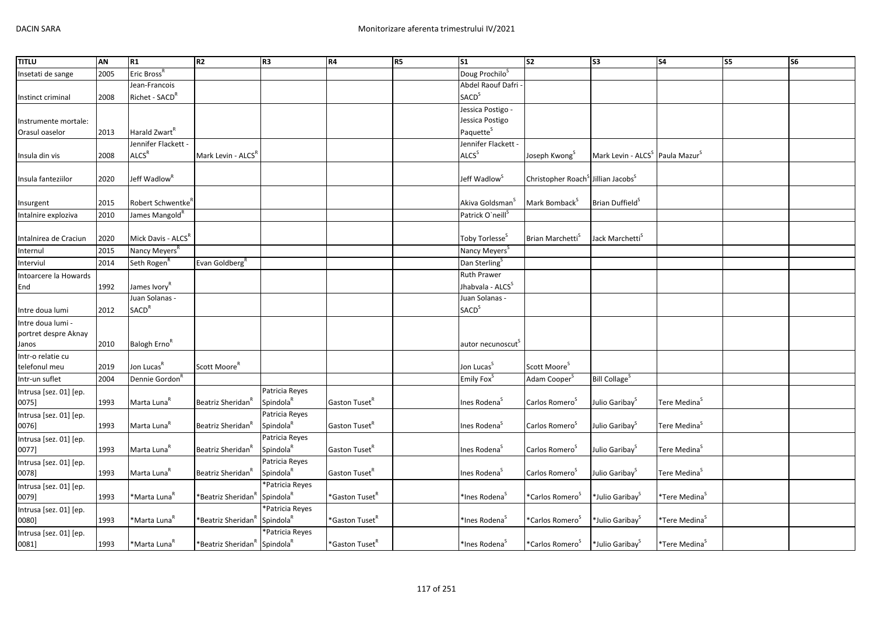| <b>TITLU</b>           | AN   | R1                            | R <sub>2</sub>                                       | R <sub>3</sub>        | R4                         | R <sub>5</sub> | S <sub>1</sub>                | S <sub>2</sub>                                             | S <sub>3</sub>                                          | <b>S4</b>                 | S5 | S6 |
|------------------------|------|-------------------------------|------------------------------------------------------|-----------------------|----------------------------|----------------|-------------------------------|------------------------------------------------------------|---------------------------------------------------------|---------------------------|----|----|
| Insetati de sange      | 2005 | Eric Bross <sup>R</sup>       |                                                      |                       |                            |                | Doug Prochilo <sup>S</sup>    |                                                            |                                                         |                           |    |    |
|                        |      | Jean-Francois                 |                                                      |                       |                            |                | Abdel Raouf Dafri             |                                                            |                                                         |                           |    |    |
| Instinct criminal      | 2008 | Richet - SACD <sup>R</sup>    |                                                      |                       |                            |                | <b>SACD</b> <sup>S</sup>      |                                                            |                                                         |                           |    |    |
|                        |      |                               |                                                      |                       |                            |                | Jessica Postigo -             |                                                            |                                                         |                           |    |    |
| Instrumente mortale:   |      |                               |                                                      |                       |                            |                | Jessica Postigo               |                                                            |                                                         |                           |    |    |
| Orasul oaselor         | 2013 | Harald Zwart <sup>R</sup>     |                                                      |                       |                            |                | Paquette <sup>S</sup>         |                                                            |                                                         |                           |    |    |
|                        |      | Jennifer Flackett -           |                                                      |                       |                            |                | Jennifer Flackett -           |                                                            |                                                         |                           |    |    |
| Insula din vis         | 2008 | ALCS <sup>R</sup>             | Mark Levin - ALCS"                                   |                       |                            |                | <b>ALCS</b> <sup>S</sup>      | Joseph Kwong <sup>3</sup>                                  | Mark Levin - ALCS <sup>S</sup> Paula Mazur <sup>S</sup> |                           |    |    |
|                        |      |                               |                                                      |                       |                            |                |                               |                                                            |                                                         |                           |    |    |
| Insula fanteziilor     | 2020 | Jeff Wadlow <sup>R</sup>      |                                                      |                       |                            |                | Jeff Wadlow <sup>S</sup>      | Christopher Roach <sup>S</sup> Jillian Jacobs <sup>S</sup> |                                                         |                           |    |    |
|                        |      |                               |                                                      |                       |                            |                |                               |                                                            |                                                         |                           |    |    |
| Insurgent              | 2015 | Robert Schwentke <sup>"</sup> |                                                      |                       |                            |                | Akiva Goldsman                | Mark Bomback <sup>3</sup>                                  | Brian Duffield <sup>5</sup>                             |                           |    |    |
| Intalnire exploziva    | 2010 | James Mangold <sup>R</sup>    |                                                      |                       |                            |                | Patrick O'neill <sup>S</sup>  |                                                            |                                                         |                           |    |    |
|                        |      |                               |                                                      |                       |                            |                |                               |                                                            |                                                         |                           |    |    |
| Intalnirea de Craciun  | 2020 | Mick Davis - ALCSR            |                                                      |                       |                            |                | Toby Torlesse <sup>5</sup>    | Brian Marchetti <sup>5</sup>                               | Jack Marchetti <sup>5</sup>                             |                           |    |    |
| Internul               | 2015 | Nancy Meyers <sup>K</sup>     |                                                      |                       |                            |                | Nancy Meyers <sup>5</sup>     |                                                            |                                                         |                           |    |    |
| Interviul              | 2014 | Seth Rogen <sup>R</sup>       | Evan Goldberg <sup>R</sup>                           |                       |                            |                | Dan Sterling <sup>S</sup>     |                                                            |                                                         |                           |    |    |
| Intoarcere la Howards  |      |                               |                                                      |                       |                            |                | Ruth Prawer                   |                                                            |                                                         |                           |    |    |
| End                    | 1992 | James Ivory <sup>R</sup>      |                                                      |                       |                            |                | Jhabvala - ALCS <sup>S</sup>  |                                                            |                                                         |                           |    |    |
|                        |      | Juan Solanas -                |                                                      |                       |                            |                | Juan Solanas -                |                                                            |                                                         |                           |    |    |
| Intre doua lumi        | 2012 | <b>SACD<sup>R</sup></b>       |                                                      |                       |                            |                | <b>SACD</b> <sup>S</sup>      |                                                            |                                                         |                           |    |    |
| Intre doua lumi -      |      |                               |                                                      |                       |                            |                |                               |                                                            |                                                         |                           |    |    |
| portret despre Aknay   |      |                               |                                                      |                       |                            |                |                               |                                                            |                                                         |                           |    |    |
| Janos                  | 2010 | Balogh Erno <sup>K</sup>      |                                                      |                       |                            |                | autor necunoscut <sup>3</sup> |                                                            |                                                         |                           |    |    |
| Intr-o relatie cu      |      |                               |                                                      |                       |                            |                |                               |                                                            |                                                         |                           |    |    |
| telefonul meu          | 2019 | Jon Lucas <sup>R</sup>        | Scott Moore <sup>R</sup>                             |                       |                            |                | Jon Lucas <sup>S</sup>        | Scott Moore <sup>S</sup>                                   |                                                         |                           |    |    |
| Intr-un suflet         | 2004 | Dennie Gordon <sup>R</sup>    |                                                      |                       |                            |                | Emily Fox <sup>S</sup>        | Adam Cooper <sup>S</sup>                                   | <b>Bill Collage<sup>S</sup></b>                         |                           |    |    |
| Intrusa [sez. 01] [ep. |      |                               |                                                      | Patricia Reyes        |                            |                |                               |                                                            |                                                         |                           |    |    |
| 0075]                  | 1993 | Marta Luna <sup>R</sup>       | Beatriz Sheridan <sup>'</sup>                        | Spindola <sup>R</sup> | Gaston Tuset <sup>R</sup>  |                | Ines Rodena <sup>S</sup>      | Carlos Romero <sup>3</sup>                                 | Julio Garibay <sup>S</sup>                              | Tere Medina <sup>5</sup>  |    |    |
| Intrusa [sez. 01] [ep. |      |                               |                                                      | Patricia Reyes        |                            |                |                               |                                                            |                                                         |                           |    |    |
| 0076]                  | 1993 | Marta Luna <sup>R</sup>       | Beatriz Sheridan"                                    | Spindola <sup>R</sup> | Gaston Tuset <sup>R</sup>  |                | Ines Rodena <sup>5</sup>      | Carlos Romero <sup>3</sup>                                 | Julio Garibay <sup>S</sup>                              | Tere Medina <sup>5</sup>  |    |    |
| Intrusa [sez. 01] [ep. |      |                               |                                                      | Patricia Reyes        |                            |                |                               |                                                            |                                                         |                           |    |    |
| 0077]                  | 1993 | Marta Luna <sup>R</sup>       | Beatriz Sheridan <sup>"</sup>                        | Spindola <sup>R</sup> | Gaston Tuset <sup>R</sup>  |                | Ines Rodena <sup>5</sup>      | Carlos Romero <sup>5</sup>                                 | Julio Garibay <sup>5</sup>                              | Tere Medina <sup>5</sup>  |    |    |
| Intrusa [sez. 01] [ep. |      |                               |                                                      | Patricia Reyes        |                            |                |                               |                                                            |                                                         |                           |    |    |
| 0078]                  | 1993 | Marta Luna <sup>R</sup>       | Beatriz Sheridan"                                    | Spindola <sup>R</sup> | Gaston Tuset <sup>R</sup>  |                | Ines Rodena <sup>5</sup>      | Carlos Romero <sup>5</sup>                                 | Julio Garibay <sup>S</sup>                              | Tere Medina <sup>s</sup>  |    |    |
| Intrusa [sez. 01] [ep. |      |                               |                                                      | *Patricia Reyes       |                            |                |                               |                                                            |                                                         |                           |    |    |
| 0079]                  | 1993 | *Marta Luna <sup>R</sup>      | *Beatriz Sheridan'                                   | Spindola <sup>R</sup> | *Gaston Tuset <sup>R</sup> |                | *Ines Rodena <sup>5</sup>     | *Carlos Romero <sup>5</sup>                                | *Julio Garibay <sup>s</sup>                             | *Tere Medina <sup>s</sup> |    |    |
| Intrusa [sez. 01] [ep. |      |                               |                                                      | *Patricia Reyes       |                            |                |                               |                                                            |                                                         |                           |    |    |
| 0080]                  | 1993 | *Marta Luna <sup>R</sup>      | *Beatriz Sheridan'                                   | Spindola <sup>R</sup> | *Gaston Tuset <sup>R</sup> |                | *Ines Rodena <sup>5</sup>     | *Carlos Romero <sup>&gt;</sup>                             | *Julio Garibay <sup>5</sup>                             | *Tere Medina <sup>s</sup> |    |    |
| Intrusa [sez. 01] [ep. |      |                               |                                                      | *Patricia Reyes       |                            |                |                               |                                                            |                                                         |                           |    |    |
| 0081]                  | 1993 | *Marta Luna <sup>ĸ</sup>      | *Beatriz Sheridan <sup>R</sup> Spindola <sup>R</sup> |                       | *Gaston Tuset <sup>R</sup> |                | *Ines Rodena <sup>5</sup>     | *Carlos Romero <sup>S</sup>                                | *Julio Garibay <sup>S</sup>                             | *Tere Medina <sup>s</sup> |    |    |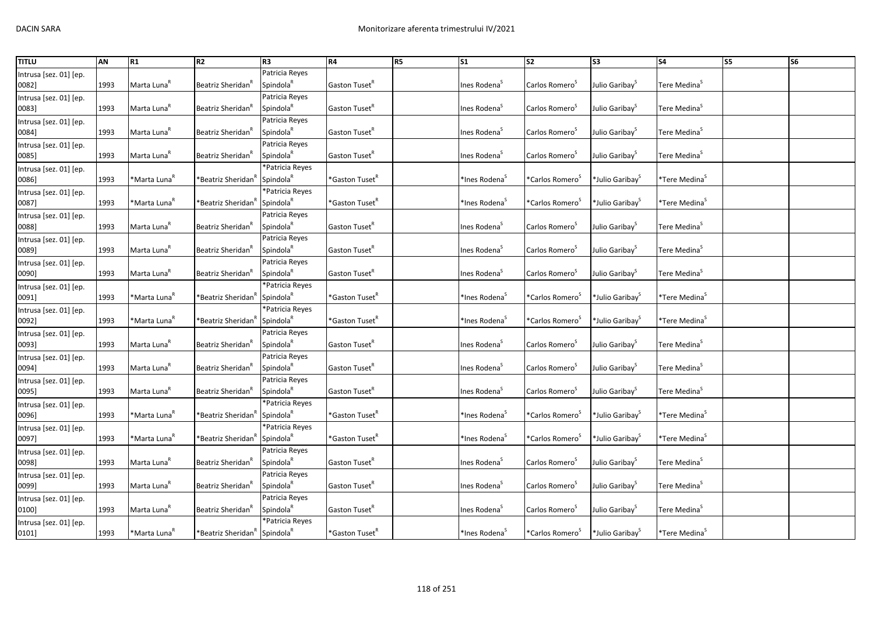| <b>TITLU</b>           | AN   | R1                       | R <sub>2</sub>                 | R <sub>3</sub>        | <b>R4</b>                  | R5 | S <sub>1</sub>            | <b>S2</b>                      | S <sub>3</sub>              | <b>S4</b>                    | <b>S5</b> | <b>S6</b> |
|------------------------|------|--------------------------|--------------------------------|-----------------------|----------------------------|----|---------------------------|--------------------------------|-----------------------------|------------------------------|-----------|-----------|
| Intrusa [sez. 01] [ep. |      |                          |                                | Patricia Reyes        |                            |    |                           |                                |                             |                              |           |           |
| 0082]                  | 1993 | Marta Luna <sup>R</sup>  | Beatriz Sheridan               | Spindola <sup>R</sup> | Gaston Tuset <sup>R</sup>  |    | Ines Rodena <sup>S</sup>  | Carlos Romero <sup>5</sup>     | Julio Garibay <sup>S</sup>  | Tere Medina <sup>S</sup>     |           |           |
| Intrusa [sez. 01] [ep. |      |                          |                                | Patricia Reyes        |                            |    |                           |                                |                             |                              |           |           |
| 0083]                  | 1993 | Marta Luna <sup>K</sup>  | Beatriz Sheridan <sup>"</sup>  | Spindola <sup>R</sup> | Gaston Tuset <sup>K</sup>  |    | Ines Rodena <sup>5</sup>  | Carlos Romero <sup>5</sup>     | Julio Garibay <sup>5</sup>  | Tere Medina <sup>S</sup>     |           |           |
| Intrusa [sez. 01] [ep. |      |                          |                                | Patricia Reyes        |                            |    |                           |                                |                             |                              |           |           |
| 0084]                  | 1993 | Marta Luna <sup>R</sup>  | Beatriz Sheridan <sup>'</sup>  | Spindola <sup>R</sup> | Gaston Tuset <sup>R</sup>  |    | Ines Rodena <sup>5</sup>  | Carlos Romero <sup>5</sup>     | Julio Garibay <sup>S</sup>  | Tere Medina <sup>5</sup>     |           |           |
| Intrusa [sez. 01] [ep. |      |                          |                                | Patricia Reyes        |                            |    |                           |                                |                             |                              |           |           |
| 0085]                  | 1993 | Marta Luna <sup>R</sup>  | Beatriz Sheridan <sup>"</sup>  | Spindola <sup>k</sup> | Gaston Tuset <sup>R</sup>  |    | Ines Rodena <sup>5</sup>  | Carlos Romero <sup>5</sup>     | Julio Garibay <sup>5</sup>  | Tere Medina <sup>5</sup>     |           |           |
| Intrusa [sez. 01] [ep. |      |                          |                                | *Patricia Reyes       |                            |    |                           |                                |                             |                              |           |           |
| 0086]                  | 1993 | *Marta Luna <sup>R</sup> | *Beatriz Sheridan <sup>"</sup> | Spindola <sup>R</sup> | *Gaston Tuset <sup>R</sup> |    | *Ines Rodena <sup>5</sup> | *Carlos Romero <sup>s</sup>    | *Julio Garibay <sup>3</sup> | *Tere Medina <sup>s</sup>    |           |           |
| Intrusa [sez. 01] [ep. |      |                          |                                | *Patricia Reyes       |                            |    |                           |                                |                             |                              |           |           |
| 0087]                  | 1993 | *Marta Luna <sup>R</sup> | *Beatriz Sheridan              | Spindola <sup>R</sup> | *Gaston Tuset <sup>R</sup> |    | *Ines Rodena <sup>5</sup> | *Carlos Romero <sup>5</sup>    | *Julio Garibay <sup>5</sup> | *Tere Medina <sup>s</sup>    |           |           |
| Intrusa [sez. 01] [ep. |      |                          |                                | Patricia Reyes        |                            |    |                           |                                |                             |                              |           |           |
| 0088]                  | 1993 | Marta Luna <sup>K</sup>  | Beatriz Sheridan <sup>"</sup>  | Spindola <sup>R</sup> | Gaston Tuset <sup>K</sup>  |    | Ines Rodena <sup>S</sup>  | Carlos Romero <sup>S</sup>     | Julio Garibay <sup>5</sup>  | Tere Medina <sup>S</sup>     |           |           |
| Intrusa [sez. 01] [ep. |      |                          |                                | Patricia Reyes        |                            |    |                           |                                |                             |                              |           |           |
| 0089]                  | 1993 | Marta Luna <sup>R</sup>  | Beatriz Sheridan"              | Spindola <sup>R</sup> | Gaston Tuset <sup>R</sup>  |    | Ines Rodena <sup>5</sup>  | Carlos Romero <sup>5</sup>     | Julio Garibay <sup>5</sup>  | Tere Medina <sup>S</sup>     |           |           |
| Intrusa [sez. 01] [ep. |      |                          |                                | Patricia Reyes        |                            |    |                           |                                |                             |                              |           |           |
| 0090]                  | 1993 | Marta Luna <sup>R</sup>  | Beatriz Sheridan'              | Spindola <sup>R</sup> | Gaston Tuset <sup>R</sup>  |    | Ines Rodena <sup>5</sup>  | Carlos Romero <sup>5</sup>     | Julio Garibay <sup>S</sup>  | Tere Medina <sup>5</sup>     |           |           |
| Intrusa [sez. 01] [ep. |      |                          |                                | *Patricia Reyes       |                            |    |                           |                                |                             |                              |           |           |
| 0091]                  | 1993 | *Marta Luna <sup>ĸ</sup> | *Beatriz Sheridan'             | Spindola <sup>R</sup> | *Gaston Tuset <sup>R</sup> |    | *Ines Rodena <sup>5</sup> | *Carlos Romero <sup>3</sup>    | *Julio Garibay <sup>5</sup> | *Tere Medina <sup>s</sup>    |           |           |
| Intrusa [sez. 01] [ep. |      |                          |                                | *Patricia Reyes       |                            |    |                           |                                |                             |                              |           |           |
| 0092]                  | 1993 | *Marta Luna <sup>R</sup> | *Beatriz Sheridan′             | Spindola <sup>R</sup> | $*$ Gaston Tuset $R$       |    | *Ines Rodena <sup>S</sup> | *Carlos Romero <sup>&gt;</sup> | *Julio Garibay <sup>S</sup> | *Tere Medina <sup>S</sup>    |           |           |
| Intrusa [sez. 01] [ep. |      |                          |                                | Patricia Reyes        |                            |    |                           |                                |                             |                              |           |           |
| 0093]                  | 1993 | Marta Luna <sup>k</sup>  | Beatriz Sheridan <sup>"</sup>  | Spindola <sup>R</sup> | Gaston Tuset <sup>R</sup>  |    | Ines Rodena <sup>5</sup>  | Carlos Romero <sup>5</sup>     | Julio Garibay <sup>5</sup>  | Tere Medina <sup>S</sup>     |           |           |
| Intrusa [sez. 01] [ep. |      |                          |                                | Patricia Reyes        |                            |    |                           |                                |                             |                              |           |           |
| 0094]                  | 1993 | Marta Luna <sup>R</sup>  | Beatriz Sheridan <sup>R</sup>  | Spindola <sup>R</sup> | Gaston Tuset <sup>K</sup>  |    | Ines Rodena <sup>S</sup>  | Carlos Romero <sup>3</sup>     | Julio Garibay <sup>S</sup>  | Tere Medina <sup>S</sup>     |           |           |
| Intrusa [sez. 01] [ep. |      |                          |                                | Patricia Reyes        |                            |    |                           |                                |                             |                              |           |           |
| 0095]                  | 1993 | Marta Luna <sup>R</sup>  | Beatriz Sheridan <sup>'</sup>  | Spindola <sup>R</sup> | Gaston Tuset <sup>R</sup>  |    | Ines Rodena <sup>S</sup>  | Carlos Romero <sup>5</sup>     | Julio Garibay <sup>5</sup>  | Tere Medina <sup>5</sup>     |           |           |
| Intrusa [sez. 01] [ep. |      |                          |                                | *Patricia Reyes       |                            |    |                           |                                |                             |                              |           |           |
| 0096]                  | 1993 | *Marta Luna <sup>R</sup> | 'Beatriz Sheridan'             | Spindola <sup>R</sup> | *Gaston Tuset <sup>R</sup> |    | *Ines Rodena <sup>5</sup> | *Carlos Romero <sup>&gt;</sup> | *Julio Garibay <sup>3</sup> | *Tere Medina <sup>&gt;</sup> |           |           |
| Intrusa [sez. 01] [ep. |      |                          |                                | *Patricia Reyes       |                            |    |                           |                                |                             |                              |           |           |
| 0097]                  | 1993 | *Marta Luna <sup>ĸ</sup> | *Beatriz Sheridan <sup>"</sup> | Spindola <sup>R</sup> | *Gaston Tuset <sup>R</sup> |    | *Ines Rodena <sup>s</sup> | *Carlos Romero <sup>&gt;</sup> | *Julio Garibay <sup>3</sup> | *Tere Medina <sup>s</sup>    |           |           |
| Intrusa [sez. 01] [ep. |      |                          |                                | Patricia Reyes        |                            |    |                           |                                |                             |                              |           |           |
| 0098]                  | 1993 | Marta Luna <sup>R</sup>  | Beatriz Sheridan               | Spindola <sup>R</sup> | Gaston Tuset <sup>R</sup>  |    | Ines Rodena <sup>S</sup>  | Carlos Romero <sup>S</sup>     | Julio Garibay <sup>S</sup>  | Tere Medina <sup>S</sup>     |           |           |
| Intrusa [sez. 01] [ep. |      |                          |                                | Patricia Reyes        |                            |    |                           |                                |                             |                              |           |           |
| 0099]                  | 1993 | Marta Luna <sup>R</sup>  | Beatriz Sheridan <sup>'</sup>  | Spindola <sup>R</sup> | Gaston Tuset <sup>R</sup>  |    | Ines Rodena <sup>S</sup>  | Carlos Romero <sup>S</sup>     | Julio Garibay <sup>S</sup>  | Tere Medina <sup>S</sup>     |           |           |
| Intrusa [sez. 01] [ep. |      |                          |                                | Patricia Reyes        |                            |    |                           |                                |                             |                              |           |           |
| 0100]                  | 1993 | Marta Luna <sup>R</sup>  | Beatriz Sheridan <sup>R</sup>  | Spindola <sup>R</sup> | Gaston Tuset <sup>R</sup>  |    | Ines Rodena <sup>S</sup>  | Carlos Romero <sup>S</sup>     | Julio Garibay <sup>5</sup>  | Tere Medina <sup>S</sup>     |           |           |
| Intrusa [sez. 01] [ep. |      |                          |                                | *Patricia Reyes       |                            |    |                           |                                |                             |                              |           |           |
| 0101]                  | 1993 | *Marta Luna <sup>K</sup> | *Beatriz Sheridan <sup>*</sup> | Spindola <sup>R</sup> | *Gaston Tuset <sup>R</sup> |    | *Ines Rodena <sup>5</sup> | *Carlos Romero <sup>3</sup>    | *Julio Garibay <sup>5</sup> | *Tere Medina <sup>s</sup>    |           |           |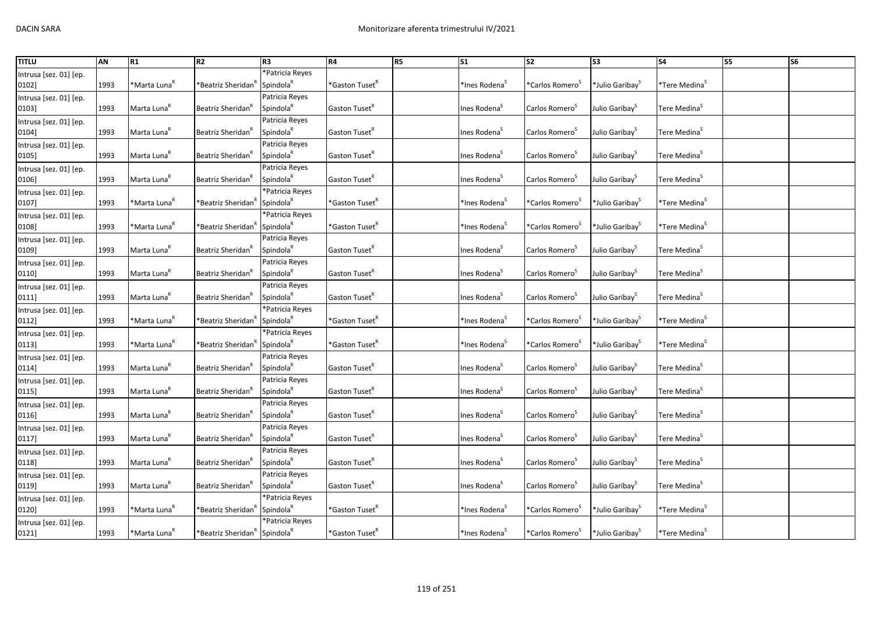| <b>TITLU</b>           | AN   | R1                       | R <sub>2</sub>                                       | R <sub>3</sub>        | <b>R4</b>                  | R5 | S <sub>1</sub>            | <b>S2</b>                      | S <sub>3</sub>              | <b>S4</b>                             | <b>S5</b> | <b>S6</b> |
|------------------------|------|--------------------------|------------------------------------------------------|-----------------------|----------------------------|----|---------------------------|--------------------------------|-----------------------------|---------------------------------------|-----------|-----------|
| Intrusa [sez. 01] [ep. |      |                          |                                                      | *Patricia Reyes       |                            |    |                           |                                |                             |                                       |           |           |
| 0102]                  | 1993 | *Marta Luna <sup>R</sup> | *Beatriz Sheridan                                    | Spindola <sup>R</sup> | *Gaston Tuset <sup>R</sup> |    | *Ines Rodena <sup>5</sup> | *Carlos Romero <sup>5</sup>    | *Julio Garibay <sup>5</sup> | *Tere Medina <sup>s</sup>             |           |           |
| Intrusa [sez. 01] [ep. |      |                          |                                                      | Patricia Reyes        |                            |    |                           |                                |                             |                                       |           |           |
| 0103]                  | 1993 | Marta Luna <sup>K</sup>  | Beatriz Sheridan <sup>"</sup>                        | Spindola <sup>R</sup> | Gaston Tuset <sup>K</sup>  |    | Ines Rodena <sup>5</sup>  | Carlos Romero <sup>5</sup>     | Julio Garibay <sup>5</sup>  | Tere Medina <sup>5</sup>              |           |           |
| Intrusa [sez. 01] [ep. |      |                          |                                                      | Patricia Reyes        |                            |    |                           |                                |                             |                                       |           |           |
| 0104]                  | 1993 | Marta Luna <sup>R</sup>  | Beatriz Sheridan <sup>'</sup>                        | Spindola <sup>R</sup> | Gaston Tuset <sup>R</sup>  |    | Ines Rodena <sup>5</sup>  | Carlos Romero <sup>S</sup>     | Julio Garibay <sup>S</sup>  | Tere Medina <sup>5</sup>              |           |           |
| Intrusa [sez. 01] [ep. |      |                          |                                                      | Patricia Reyes        |                            |    |                           |                                |                             |                                       |           |           |
| 0105]                  | 1993 | Marta Luna <sup>R</sup>  | Beatriz Sheridan <sup>"</sup>                        | Spindola <sup>k</sup> | Gaston Tuset <sup>R</sup>  |    | Ines Rodena <sup>5</sup>  | Carlos Romero <sup>5</sup>     | Julio Garibay <sup>5</sup>  | Tere Medina <sup>5</sup>              |           |           |
| Intrusa [sez. 01] [ep. |      |                          |                                                      | Patricia Reyes        |                            |    |                           |                                |                             |                                       |           |           |
| 0106]                  | 1993 | Marta Luna <sup>R</sup>  | Beatriz Sheridan <sup>"</sup>                        | Spindola <sup>R</sup> | Gaston Tuset <sup>R</sup>  |    | Ines Rodena <sup>5</sup>  | Carlos Romero <sup>5</sup>     | Julio Garibay <sup>S</sup>  | Tere Medina <sup>S</sup>              |           |           |
| Intrusa [sez. 01] [ep. |      |                          |                                                      | *Patricia Reyes       |                            |    |                           |                                |                             |                                       |           |           |
| 0107]                  | 1993 | *Marta Luna <sup>R</sup> | *Beatriz Sheridan                                    | Spindola <sup>R</sup> | *Gaston Tuset <sup>R</sup> |    | *Ines Rodena <sup>s</sup> | *Carlos Romero <sup>3</sup>    | *Julio Garibay <sup>5</sup> | *Tere Medina <sup>s</sup>             |           |           |
| Intrusa [sez. 01] [ep. |      |                          |                                                      | *Patricia Reyes       |                            |    |                           |                                |                             |                                       |           |           |
| 0108]                  | 1993 | *Marta Luna <sup>ĸ</sup> | 'Beatriz Sheridan'                                   | Spindola <sup>R</sup> | *Gaston Tuset <sup>R</sup> |    | *Ines Rodena <sup>s</sup> | *Carlos Romero <sup>3</sup>    | *Julio Garibay <sup>3</sup> | <sup>*</sup> Tere Medina <sup>5</sup> |           |           |
| Intrusa [sez. 01] [ep. |      |                          |                                                      | Patricia Reyes        |                            |    |                           |                                |                             |                                       |           |           |
| 0109]                  | 1993 | Marta Luna <sup>R</sup>  | Beatriz Sheridan"                                    | Spindola <sup>R</sup> | Gaston Tuset <sup>R</sup>  |    | Ines Rodena <sup>5</sup>  | Carlos Romero <sup>5</sup>     | Julio Garibay <sup>5</sup>  | Tere Medina <sup>S</sup>              |           |           |
| Intrusa [sez. 01] [ep. |      |                          |                                                      | Patricia Reyes        |                            |    |                           |                                |                             |                                       |           |           |
| 0110]                  | 1993 | Marta Luna <sup>k</sup>  | Beatriz Sheridan'                                    | Spindola <sup>R</sup> | Gaston Tuset <sup>K</sup>  |    | Ines Rodena <sup>5</sup>  | Carlos Romero <sup>5</sup>     | Julio Garibay <sup>S</sup>  | Tere Medina <sup>5</sup>              |           |           |
| Intrusa [sez. 01] [ep. |      |                          |                                                      | Patricia Reyes        |                            |    |                           |                                |                             |                                       |           |           |
| 0111]                  | 1993 | Marta Luna <sup>R</sup>  | Beatriz Sheridan <sup>"</sup>                        | Spindola <sup>R</sup> | Gaston Tuset <sup>R</sup>  |    | Ines Rodena <sup>5</sup>  | Carlos Romero <sup>5</sup>     | Julio Garibay <sup>5</sup>  | Tere Medina <sup>S</sup>              |           |           |
| Intrusa [sez. 01] [ep. |      |                          |                                                      | *Patricia Reyes       |                            |    |                           |                                |                             |                                       |           |           |
| 0112]                  | 1993 | *Marta Luna <sup>R</sup> | *Beatriz Sheridan′                                   | Spindola <sup>R</sup> | $*$ Gaston Tuset $R$       |    | *Ines Rodena <sup>S</sup> | *Carlos Romero <sup>&gt;</sup> | *Julio Garibay <sup>S</sup> | *Tere Medina <sup>S</sup>             |           |           |
| Intrusa [sez. 01] [ep. |      |                          |                                                      | *Patricia Reyes       |                            |    |                           |                                |                             |                                       |           |           |
| 0113]                  | 1993 | *Marta Luna <sup>ĸ</sup> | *Beatriz Sheridan                                    | Spindola <sup>R</sup> | *Gaston Tuset <sup>R</sup> |    | *Ines Rodena <sup>5</sup> | *Carlos Romero <sup>5</sup>    | *Julio Garibay <sup>5</sup> | *Tere Medina <sup>5</sup>             |           |           |
| Intrusa [sez. 01] [ep. |      |                          |                                                      | Patricia Reyes        |                            |    |                           |                                |                             |                                       |           |           |
| 0114]                  | 1993 | Marta Luna <sup>R</sup>  | Beatriz Sheridan <sup>R</sup>                        | Spindola <sup>R</sup> | Gaston Tuset <sup>K</sup>  |    | Ines Rodena <sup>S</sup>  | Carlos Romero <sup>3</sup>     | Julio Garibay <sup>5</sup>  | Tere Medina <sup>S</sup>              |           |           |
| Intrusa [sez. 01] [ep. |      |                          |                                                      | Patricia Reyes        |                            |    |                           |                                |                             |                                       |           |           |
| 0115]                  | 1993 | Marta Luna <sup>R</sup>  | Beatriz Sheridan <sup>'</sup>                        | Spindola <sup>R</sup> | Gaston Tuset <sup>R</sup>  |    | Ines Rodena <sup>S</sup>  | Carlos Romero <sup>5</sup>     | Julio Garibay <sup>5</sup>  | Tere Medina <sup>5</sup>              |           |           |
| Intrusa [sez. 01] [ep. |      |                          |                                                      | Patricia Reyes        |                            |    |                           |                                |                             |                                       |           |           |
| 0116]                  | 1993 | Marta Luna <sup>R</sup>  | Beatriz Sheridan                                     | Spindola <sup>R</sup> | Gaston Tuset <sup>"</sup>  |    | Ines Rodena <sup>5</sup>  | Carlos Romero <sup>5</sup>     | Julio Garibay <sup>5</sup>  | Tere Medina <sup>S</sup>              |           |           |
| Intrusa [sez. 01] [ep. |      |                          |                                                      | Patricia Reyes        |                            |    |                           |                                |                             |                                       |           |           |
| 0117]                  | 1993 | Marta Luna <sup>k</sup>  | Beatriz Sheridan <sup>"</sup>                        | Spindola <sup>R</sup> | Gaston Tuset <sup>R</sup>  |    | Ines Rodena <sup>5</sup>  | Carlos Romero <sup>5</sup>     | Julio Garibay <sup>S</sup>  | Tere Medina <sup>S</sup>              |           |           |
| Intrusa [sez. 01] [ep. |      |                          |                                                      | Patricia Reyes        |                            |    |                           |                                |                             |                                       |           |           |
| 0118]                  | 1993 | Marta Luna <sup>R</sup>  | Beatriz Sheridan                                     | Spindola <sup>R</sup> | Gaston Tuset <sup>R</sup>  |    | Ines Rodena <sup>S</sup>  | Carlos Romero <sup>S</sup>     | Julio Garibay <sup>S</sup>  | Tere Medina <sup>S</sup>              |           |           |
| Intrusa [sez. 01] [ep. |      |                          |                                                      | Patricia Reyes        |                            |    |                           |                                |                             |                                       |           |           |
| 0119]                  | 1993 | Marta Luna <sup>R</sup>  | Beatriz Sheridan <sup>'</sup>                        | Spindola <sup>R</sup> | Gaston Tuset <sup>R</sup>  |    | Ines Rodena <sup>S</sup>  | Carlos Romero <sup>5</sup>     | Julio Garibay <sup>S</sup>  | Tere Medina <sup>S</sup>              |           |           |
| Intrusa [sez. 01] [ep. |      |                          |                                                      | *Patricia Reyes       |                            |    |                           |                                |                             |                                       |           |           |
| 0120]                  | 1993 | *Marta Luna <sup>R</sup> | *Beatriz Sheridan′                                   | Spindola <sup>R</sup> | *Gaston Tuset <sup>R</sup> |    | *Ines Rodena <sup>S</sup> | *Carlos Romero <sup>5</sup>    | *Julio Garibay              | *Tere Medina <sup>S</sup>             |           |           |
| Intrusa [sez. 01] [ep. |      |                          |                                                      | *Patricia Reyes       |                            |    |                           |                                |                             |                                       |           |           |
| 0121]                  | 1993 | *Marta Luna <sup>K</sup> | *Beatriz Sheridan <sup>k</sup> Spindola <sup>k</sup> |                       | *Gaston Tuset <sup>k</sup> |    | *Ines Rodena <sup>5</sup> | *Carlos Romero <sup>5</sup>    | *Julio Garibay <sup>5</sup> | *Tere Medina <sup>5</sup>             |           |           |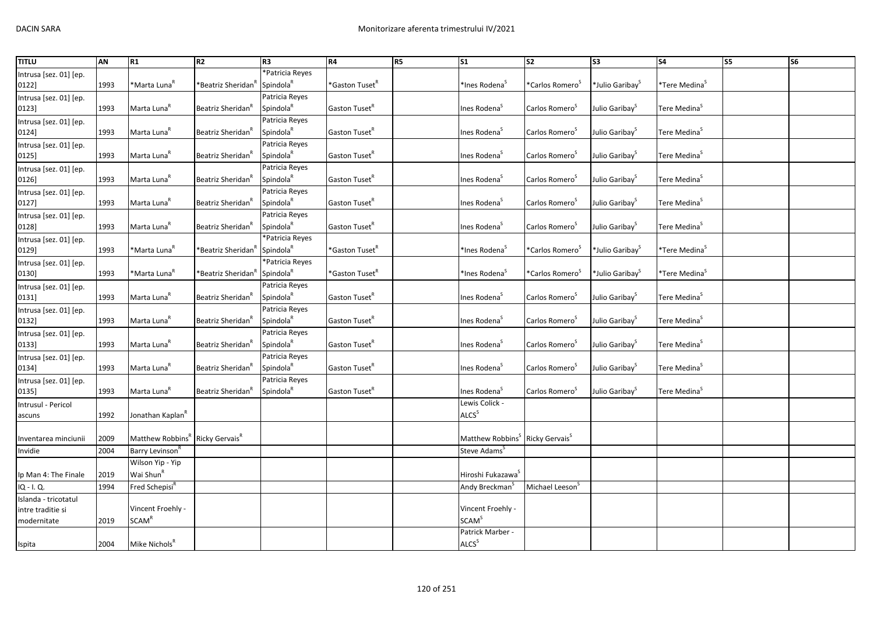| <b>TITLU</b>           | <b>AN</b> | R1                                                      | R <sub>2</sub>                 | R <sub>3</sub>        | <b>R4</b>                  | R5 | $\overline{\text{S1}}$                                  | $\overline{\text{S2}}$      | $\overline{\text{S3}}$         | <b>S4</b>                    | <b>S5</b> | <b>S6</b> |
|------------------------|-----------|---------------------------------------------------------|--------------------------------|-----------------------|----------------------------|----|---------------------------------------------------------|-----------------------------|--------------------------------|------------------------------|-----------|-----------|
| Intrusa [sez. 01] [ep. |           |                                                         |                                | *Patricia Reyes       |                            |    |                                                         |                             |                                |                              |           |           |
| 0122]                  | 1993      | *Marta Luna <sup>R</sup>                                | *Beatriz Sheridan'             | Spindola <sup>R</sup> | *Gaston Tuset <sup>R</sup> |    | *Ines Rodena <sup>s</sup>                               | *Carlos Romero <sup>s</sup> | *Julio Garibay <sup>&gt;</sup> | *Tere Medina <sup>&gt;</sup> |           |           |
| Intrusa [sez. 01] [ep. |           |                                                         |                                | Patricia Reyes        |                            |    |                                                         |                             |                                |                              |           |           |
| 0123]                  | 1993      | Marta Luna <sup>R</sup>                                 | Beatriz Sheridan"              | Spindola <sup>R</sup> | Gaston Tuset <sup>R</sup>  |    | Ines Rodena <sup>s</sup>                                | Carlos Romero <sup>5</sup>  | Julio Garibay <sup>5</sup>     | Tere Medina <sup>S</sup>     |           |           |
| Intrusa [sez. 01] [ep. |           |                                                         |                                | Patricia Reyes        |                            |    |                                                         |                             |                                |                              |           |           |
| 0124]                  | 1993      | Marta Luna <sup>R</sup>                                 | Beatriz Sheridan'              | Spindola <sup>R</sup> | Gaston Tuset <sup>R</sup>  |    | Ines Rodena <sup>5</sup>                                | Carlos Romero <sup>5</sup>  | Julio Garibay <sup>S</sup>     | Tere Medina <sup>5</sup>     |           |           |
| Intrusa [sez. 01] [ep. |           |                                                         |                                | Patricia Reyes        |                            |    |                                                         |                             |                                |                              |           |           |
| 0125]                  | 1993      | Marta Luna <sup>R</sup>                                 | Beatriz Sheridan"              | Spindola <sup>R</sup> | Gaston Tuset <sup>R</sup>  |    | Ines Rodena <sup>5</sup>                                | Carlos Romero <sup>3</sup>  | Julio Garibay <sup>S</sup>     | Tere Medina <sup>S</sup>     |           |           |
| Intrusa [sez. 01] [ep. |           |                                                         |                                | Patricia Reyes        |                            |    |                                                         |                             |                                |                              |           |           |
| 0126]                  | 1993      | Marta Luna <sup>R</sup>                                 | Beatriz Sheridan <sup>"</sup>  | Spindola <sup>R</sup> | Gaston Tuset <sup>R</sup>  |    | Ines Rodena <sup>5</sup>                                | Carlos Romero <sup>5</sup>  | Julio Garibay <sup>S</sup>     | Tere Medina <sup>S</sup>     |           |           |
| Intrusa [sez. 01] [ep. |           |                                                         |                                | Patricia Reyes        |                            |    |                                                         |                             |                                |                              |           |           |
| 0127]                  | 1993      | Marta Luna <sup>R</sup>                                 | Beatriz Sheridan <sup>"</sup>  | Spindola <sup>R</sup> | Gaston Tuset <sup>R</sup>  |    | Ines Rodena <sup>s</sup>                                | Carlos Romero <sup>5</sup>  | Julio Garibay <sup>5</sup>     | Tere Medina <sup>S</sup>     |           |           |
| Intrusa [sez. 01] [ep. |           |                                                         |                                | Patricia Reyes        |                            |    |                                                         |                             |                                |                              |           |           |
| 0128]                  | 1993      | Marta Luna <sup>R</sup>                                 | Beatriz Sheridan <sup>R</sup>  | Spindola <sup>R</sup> | Gaston Tuset <sup>R</sup>  |    | Ines Rodena <sup>5</sup>                                | Carlos Romero <sup>S</sup>  | Julio Garibay <sup>S</sup>     | Tere Medina <sup>S</sup>     |           |           |
| Intrusa [sez. 01] [ep. |           |                                                         |                                | *Patricia Reyes       |                            |    |                                                         |                             |                                |                              |           |           |
| 0129]                  | 1993      | *Marta Luna <sup>R</sup>                                | "Beatriz Sheridan <sup>"</sup> | Spindola <sup>R</sup> | *Gaston Tuset <sup>R</sup> |    | *Ines Rodena <sup>5</sup>                               | *Carlos Romero <sup>3</sup> | *Julio Garibay <sup>5</sup>    | *Tere Medina <sup>&gt;</sup> |           |           |
| Intrusa [sez. 01] [ep. |           |                                                         |                                | *Patricia Reyes       |                            |    |                                                         |                             |                                |                              |           |           |
| 0130]                  | 1993      | *Marta Luna <sup>R</sup>                                | *Beatriz Sheridan"             | Spindola <sup>R</sup> | *Gaston Tuset <sup>R</sup> |    | *Ines Rodena <sup>s</sup>                               | *Carlos Romero <sup>3</sup> | *Julio Garibay <sup>&gt;</sup> | *Tere Medina <sup>&gt;</sup> |           |           |
| Intrusa [sez. 01] [ep. |           |                                                         |                                | Patricia Reyes        |                            |    |                                                         |                             |                                |                              |           |           |
| 0131]                  | 1993      | Marta Luna <sup>R</sup>                                 | Beatriz Sheridan <sup>"</sup>  | Spindola <sup>R</sup> | Gaston Tuset <sup>R</sup>  |    | Ines Rodena <sup>S</sup>                                | Carlos Romero <sup>5</sup>  | Julio Garibay <sup>5</sup>     | Tere Medina <sup>S</sup>     |           |           |
| Intrusa [sez. 01] [ep. |           |                                                         |                                | Patricia Reyes        |                            |    |                                                         |                             |                                |                              |           |           |
| 0132]                  | 1993      | Marta Luna <sup>R</sup>                                 | Beatriz Sheridan               | Spindola <sup>R</sup> | Gaston Tuset <sup>R</sup>  |    | Ines Rodena <sup>s</sup>                                | Carlos Romero <sup>3</sup>  | Julio Garibay <sup>5</sup>     | Tere Medina <sup>S</sup>     |           |           |
| Intrusa [sez. 01] [ep. |           |                                                         |                                | Patricia Reyes        |                            |    |                                                         |                             |                                |                              |           |           |
| 0133]                  | 1993      | Marta Luna <sup>R</sup>                                 | Beatriz Sheridan <sup>'</sup>  | Spindola <sup>R</sup> | Gaston Tuset <sup>R</sup>  |    | Ines Rodena <sup>s</sup>                                | Carlos Romero <sup>5</sup>  | Julio Garibay <sup>5</sup>     | Tere Medina <sup>S</sup>     |           |           |
| Intrusa [sez. 01] [ep. |           |                                                         |                                | Patricia Reyes        |                            |    |                                                         |                             |                                |                              |           |           |
| 0134]                  | 1993      | Marta Luna <sup>R</sup>                                 | Beatriz Sheridan"              | Spindola <sup>R</sup> | Gaston Tuset <sup>R</sup>  |    | Ines Rodena <sup>s</sup>                                | Carlos Romero <sup>3</sup>  | Julio Garibay <sup>5</sup>     | Tere Medina <sup>5</sup>     |           |           |
| Intrusa [sez. 01] [ep. |           |                                                         |                                | Patricia Reyes        |                            |    |                                                         |                             |                                |                              |           |           |
| 0135]                  | 1993      | Marta Luna <sup>R</sup>                                 | Beatriz Sheridan <sup>"</sup>  | Spindola <sup>R</sup> | Gaston Tuset <sup>R</sup>  |    | Ines Rodena <sup>S</sup>                                | Carlos Romero <sup>S</sup>  | Julio Garibay <sup>S</sup>     | Tere Medina <sup>S</sup>     |           |           |
| Intrusul - Pericol     |           |                                                         |                                |                       |                            |    | Lewis Colick -                                          |                             |                                |                              |           |           |
| ascuns                 | 1992      | Jonathan Kaplan <sup>R</sup>                            |                                |                       |                            |    | ALCS <sup>S</sup>                                       |                             |                                |                              |           |           |
|                        |           |                                                         |                                |                       |                            |    |                                                         |                             |                                |                              |           |           |
| Inventarea minciunii   | 2009      | Matthew Robbins <sup>R</sup> Ricky Gervais <sup>R</sup> |                                |                       |                            |    | Matthew Robbins <sup>S</sup> Ricky Gervais <sup>S</sup> |                             |                                |                              |           |           |
| Invidie                | 2004      | Barry Levinson <sup>R</sup>                             |                                |                       |                            |    | Steve Adams <sup>5</sup>                                |                             |                                |                              |           |           |
|                        |           | Wilson Yip - Yip                                        |                                |                       |                            |    |                                                         |                             |                                |                              |           |           |
| Ip Man 4: The Finale   | 2019      | Wai Shun <sup>R</sup>                                   |                                |                       |                            |    | Hiroshi Fukazawa <sup>5</sup>                           |                             |                                |                              |           |           |
| IQ - I.Q.              | 1994      | Fred Schepisi <sup>R</sup>                              |                                |                       |                            |    | Andy Breckman <sup>5</sup>                              | Michael Leeson <sup>5</sup> |                                |                              |           |           |
| Islanda - tricotatul   |           |                                                         |                                |                       |                            |    |                                                         |                             |                                |                              |           |           |
| intre traditie si      |           | Vincent Froehly -                                       |                                |                       |                            |    | Vincent Froehly -                                       |                             |                                |                              |           |           |
| modernitate            | 2019      | SCAM <sup>R</sup>                                       |                                |                       |                            |    | <b>SCAM</b> <sup>S</sup>                                |                             |                                |                              |           |           |
|                        |           |                                                         |                                |                       |                            |    | Patrick Marber -                                        |                             |                                |                              |           |           |
| Ispita                 | 2004      | Mike Nichols <sup>R</sup>                               |                                |                       |                            |    | ALCS <sup>S</sup>                                       |                             |                                |                              |           |           |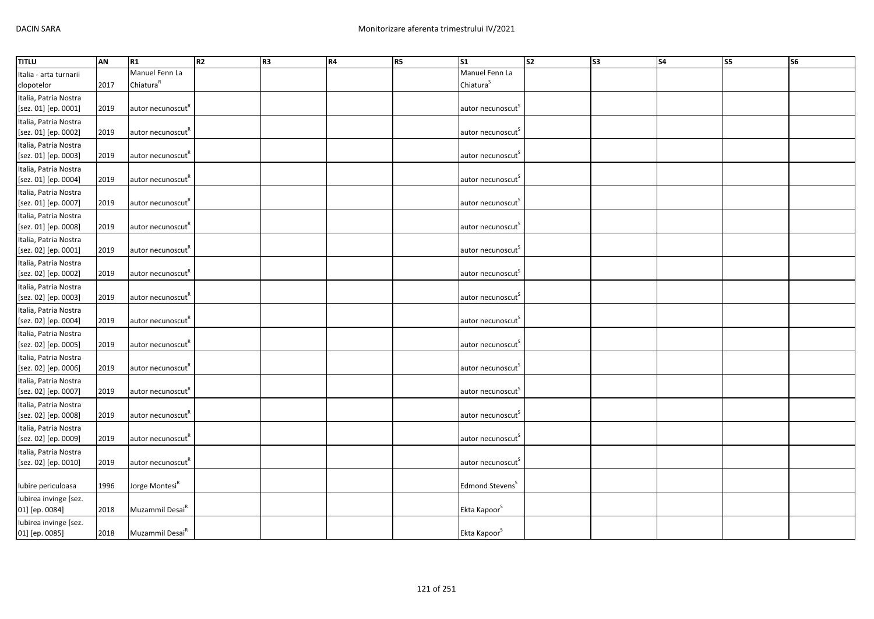| <b>TITLU</b>           | AN   | R <sub>1</sub>                | R2 | R <sub>3</sub> | <b>R4</b> | R5 | S <sub>1</sub>                | s <sub>2</sub> | S <sub>3</sub> | S <sub>4</sub> | S5 | S <sub>6</sub> |
|------------------------|------|-------------------------------|----|----------------|-----------|----|-------------------------------|----------------|----------------|----------------|----|----------------|
| Italia - arta turnarii |      | Manuel Fenn La                |    |                |           |    | Manuel Fenn La                |                |                |                |    |                |
| clopotelor             | 2017 | Chiatura <sup>R</sup>         |    |                |           |    | Chiatura <sup>S</sup>         |                |                |                |    |                |
| Italia, Patria Nostra  |      |                               |    |                |           |    |                               |                |                |                |    |                |
| [sez. 01] [ep. 0001]   | 2019 | autor necunoscut"             |    |                |           |    | autor necunoscut <sup>S</sup> |                |                |                |    |                |
| Italia, Patria Nostra  |      |                               |    |                |           |    |                               |                |                |                |    |                |
| [sez. 01] [ep. 0002]   | 2019 | autor necunoscut <sup>"</sup> |    |                |           |    | autor necunoscut <sup>S</sup> |                |                |                |    |                |
| Italia, Patria Nostra  |      |                               |    |                |           |    |                               |                |                |                |    |                |
| [sez. 01] [ep. 0003]   | 2019 | autor necunoscut <sup>"</sup> |    |                |           |    | autor necunoscut <sup>s</sup> |                |                |                |    |                |
| Italia, Patria Nostra  |      |                               |    |                |           |    |                               |                |                |                |    |                |
| [sez. 01] [ep. 0004]   | 2019 | autor necunoscut"             |    |                |           |    | autor necunoscut <sup>5</sup> |                |                |                |    |                |
| Italia, Patria Nostra  |      |                               |    |                |           |    |                               |                |                |                |    |                |
| [sez. 01] [ep. 0007]   | 2019 | autor necunoscut <sup>R</sup> |    |                |           |    | autor necunoscut <sup>s</sup> |                |                |                |    |                |
| Italia, Patria Nostra  |      |                               |    |                |           |    |                               |                |                |                |    |                |
| [sez. 01] [ep. 0008]   | 2019 | autor necunoscut <sup>"</sup> |    |                |           |    | autor necunoscut <sup>S</sup> |                |                |                |    |                |
| Italia, Patria Nostra  |      |                               |    |                |           |    |                               |                |                |                |    |                |
| [sez. 02] [ep. 0001]   | 2019 | autor necunoscut <sup>"</sup> |    |                |           |    | autor necunoscut <sup>5</sup> |                |                |                |    |                |
| Italia, Patria Nostra  |      |                               |    |                |           |    |                               |                |                |                |    |                |
| [sez. 02] [ep. 0002]   | 2019 | autor necunoscut <sup>"</sup> |    |                |           |    | autor necunoscut <sup>S</sup> |                |                |                |    |                |
| Italia, Patria Nostra  |      |                               |    |                |           |    |                               |                |                |                |    |                |
| [sez. 02] [ep. 0003]   | 2019 | autor necunoscut"             |    |                |           |    | autor necunoscut <sup>5</sup> |                |                |                |    |                |
| Italia, Patria Nostra  |      |                               |    |                |           |    |                               |                |                |                |    |                |
| [sez. 02] [ep. 0004]   | 2019 | autor necunoscut <sup>R</sup> |    |                |           |    | autor necunoscut <sup>S</sup> |                |                |                |    |                |
| Italia, Patria Nostra  |      |                               |    |                |           |    |                               |                |                |                |    |                |
| [sez. 02] [ep. 0005]   | 2019 | autor necunoscut <sup>R</sup> |    |                |           |    | autor necunoscut <sup>S</sup> |                |                |                |    |                |
| Italia, Patria Nostra  |      |                               |    |                |           |    |                               |                |                |                |    |                |
| [sez. 02] [ep. 0006]   | 2019 | autor necunoscut <sup>"</sup> |    |                |           |    | autor necunoscut <sup>5</sup> |                |                |                |    |                |
| Italia, Patria Nostra  |      |                               |    |                |           |    |                               |                |                |                |    |                |
| [sez. 02] [ep. 0007]   | 2019 | autor necunoscut"             |    |                |           |    | autor necunoscut <sup>s</sup> |                |                |                |    |                |
| Italia, Patria Nostra  |      |                               |    |                |           |    |                               |                |                |                |    |                |
| [sez. 02] [ep. 0008]   | 2019 | autor necunoscut <sup>"</sup> |    |                |           |    | autor necunoscut              |                |                |                |    |                |
| Italia, Patria Nostra  |      |                               |    |                |           |    |                               |                |                |                |    |                |
| [sez. 02] [ep. 0009]   | 2019 | autor necunoscut"             |    |                |           |    | autor necunoscut <sup>s</sup> |                |                |                |    |                |
| Italia, Patria Nostra  |      |                               |    |                |           |    |                               |                |                |                |    |                |
| [sez. 02] [ep. 0010]   | 2019 | autor necunoscut"             |    |                |           |    | autor necunoscut <sup>S</sup> |                |                |                |    |                |
|                        |      |                               |    |                |           |    |                               |                |                |                |    |                |
| Iubire periculoasa     | 1996 | Jorge Montesi <sup>k</sup>    |    |                |           |    | Edmond Stevens <sup>5</sup>   |                |                |                |    |                |
| Iubirea invinge [sez.  |      |                               |    |                |           |    |                               |                |                |                |    |                |
| 01] [ep. 0084]         | 2018 | Muzammil Desai <sup>n</sup>   |    |                |           |    | Ekta Kapoor <sup>S</sup>      |                |                |                |    |                |
| Iubirea invinge [sez.  |      |                               |    |                |           |    |                               |                |                |                |    |                |
| 01] [ep. 0085]         | 2018 | Muzammil Desai <sup>R</sup>   |    |                |           |    | Ekta Kapoor <sup>S</sup>      |                |                |                |    |                |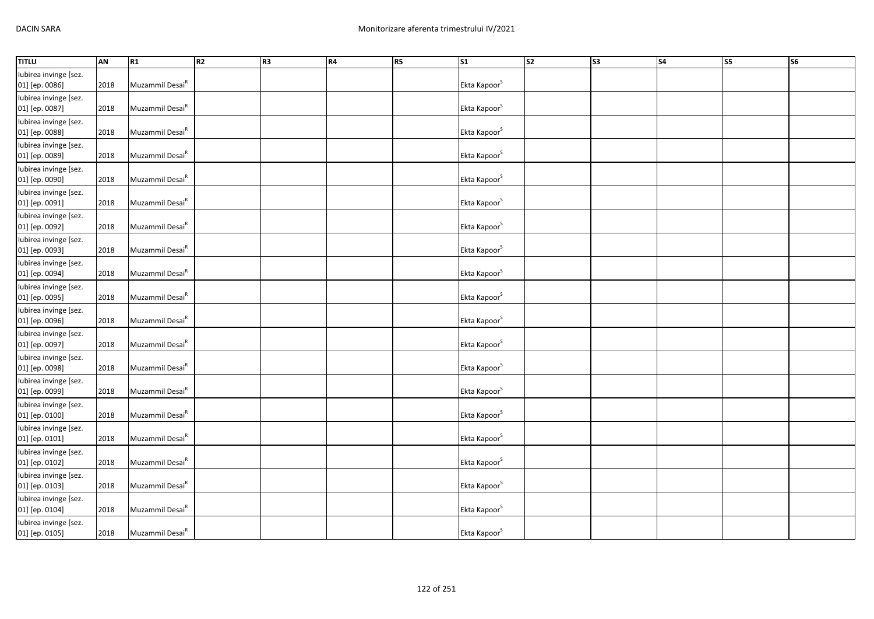| <b>TITLU</b>                            | AN   | R1                          | R2 | R3 | <b>R4</b> | R <sub>5</sub> | $\overline{\text{S1}}$   | $\overline{\text{S2}}$ | $\overline{\text{S3}}$ | $\overline{\text{S4}}$ | S <sub>5</sub> | <b>S6</b> |
|-----------------------------------------|------|-----------------------------|----|----|-----------|----------------|--------------------------|------------------------|------------------------|------------------------|----------------|-----------|
| Iubirea invinge [sez.<br>01] [ep. 0086] | 2018 | Muzammil Desai <sup>R</sup> |    |    |           |                | Ekta Kapoor <sup>S</sup> |                        |                        |                        |                |           |
| Iubirea invinge [sez.<br>01] [ep. 0087] | 2018 | Muzammil Desai <sup>R</sup> |    |    |           |                | Ekta Kapoor <sup>S</sup> |                        |                        |                        |                |           |
| Iubirea invinge [sez.<br>01] [ep. 0088] | 2018 | Muzammil Desai <sup>R</sup> |    |    |           |                | Ekta Kapoor <sup>S</sup> |                        |                        |                        |                |           |
| Iubirea invinge [sez.<br>01] [ep. 0089] | 2018 | Muzammil Desai <sup>R</sup> |    |    |           |                | Ekta Kapoor <sup>S</sup> |                        |                        |                        |                |           |
| Iubirea invinge [sez.<br>01] [ep. 0090] | 2018 | Muzammil Desai <sup>R</sup> |    |    |           |                | Ekta Kapoor <sup>S</sup> |                        |                        |                        |                |           |
| Iubirea invinge [sez.<br>01] [ep. 0091] | 2018 | Muzammil Desai <sup>R</sup> |    |    |           |                | Ekta Kapoor <sup>S</sup> |                        |                        |                        |                |           |
| Iubirea invinge [sez.<br>01] [ep. 0092] | 2018 | Muzammil Desai <sup>R</sup> |    |    |           |                | Ekta Kapoor <sup>S</sup> |                        |                        |                        |                |           |
| Iubirea invinge [sez.<br>01] [ep. 0093] | 2018 | Muzammil Desai <sup>R</sup> |    |    |           |                | Ekta Kapoor <sup>S</sup> |                        |                        |                        |                |           |
| Iubirea invinge [sez.<br>01] [ep. 0094] | 2018 | Muzammil Desai <sup>R</sup> |    |    |           |                | Ekta Kapoor <sup>S</sup> |                        |                        |                        |                |           |
| Iubirea invinge [sez.<br>01] [ep. 0095] | 2018 | Muzammil Desai <sup>R</sup> |    |    |           |                | Ekta Kapoor <sup>S</sup> |                        |                        |                        |                |           |
| Iubirea invinge [sez.<br>01] [ep. 0096] | 2018 | Muzammil Desai <sup>R</sup> |    |    |           |                | Ekta Kapoor <sup>S</sup> |                        |                        |                        |                |           |
| Iubirea invinge [sez.<br>01] [ep. 0097] | 2018 | Muzammil Desai <sup>R</sup> |    |    |           |                | Ekta Kapoor <sup>S</sup> |                        |                        |                        |                |           |
| Iubirea invinge [sez.<br>01] [ep. 0098] | 2018 | Muzammil Desai <sup>R</sup> |    |    |           |                | Ekta Kapoor <sup>S</sup> |                        |                        |                        |                |           |
| Iubirea invinge [sez.<br>01] [ep. 0099] | 2018 | Muzammil Desai <sup>R</sup> |    |    |           |                | Ekta Kapoor <sup>S</sup> |                        |                        |                        |                |           |
| Iubirea invinge [sez.<br>01] [ep. 0100] | 2018 | Muzammil Desai <sup>R</sup> |    |    |           |                | Ekta Kapoor <sup>S</sup> |                        |                        |                        |                |           |
| Iubirea invinge [sez.<br>01] [ep. 0101] | 2018 | Muzammil Desai <sup>R</sup> |    |    |           |                | Ekta Kapoor <sup>S</sup> |                        |                        |                        |                |           |
| Iubirea invinge [sez.<br>01] [ep. 0102] | 2018 | Muzammil Desai <sup>R</sup> |    |    |           |                | Ekta Kapoor <sup>S</sup> |                        |                        |                        |                |           |
| Iubirea invinge [sez.<br>01] [ep. 0103] | 2018 | Muzammil Desai <sup>R</sup> |    |    |           |                | Ekta Kapoor <sup>S</sup> |                        |                        |                        |                |           |
| Iubirea invinge [sez.<br>01] [ep. 0104] | 2018 | Muzammil Desai <sup>R</sup> |    |    |           |                | Ekta Kapoor <sup>S</sup> |                        |                        |                        |                |           |
| Iubirea invinge [sez.<br>01] [ep. 0105] | 2018 | Muzammil Desai <sup>R</sup> |    |    |           |                | Ekta Kapoor <sup>S</sup> |                        |                        |                        |                |           |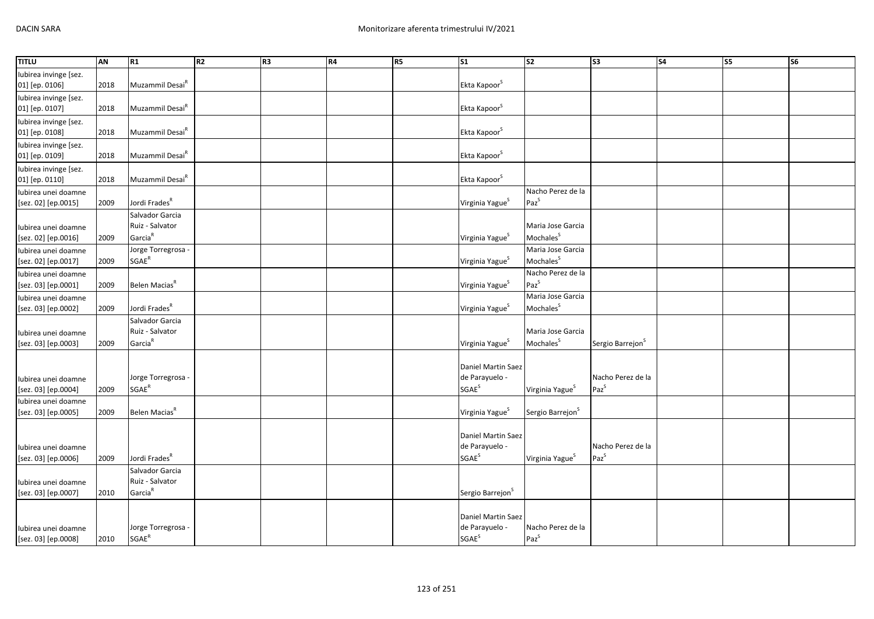| <b>TITLU</b>                               | AN   | R1                                                        | R2 | R <sub>3</sub> | R4 | R5 | S <sub>1</sub>                                                     | $\overline{\text{S2}}$                     | S <sub>3</sub>                        | $\overline{\text{S4}}$ | S5 | <b>S6</b> |
|--------------------------------------------|------|-----------------------------------------------------------|----|----------------|----|----|--------------------------------------------------------------------|--------------------------------------------|---------------------------------------|------------------------|----|-----------|
| Iubirea invinge [sez.<br>01] [ep. 0106]    | 2018 | Muzammil Desai <sup>R</sup>                               |    |                |    |    | Ekta Kapoor <sup>S</sup>                                           |                                            |                                       |                        |    |           |
| Iubirea invinge [sez.<br>01] [ep. 0107]    | 2018 | Muzammil Desai <sup>R</sup>                               |    |                |    |    | Ekta Kapoor <sup>S</sup>                                           |                                            |                                       |                        |    |           |
| Iubirea invinge [sez.<br>01] [ep. 0108]    | 2018 | Muzammil Desai <sup>R</sup>                               |    |                |    |    | Ekta Kapoor <sup>S</sup>                                           |                                            |                                       |                        |    |           |
| Iubirea invinge [sez.<br>01] [ep. 0109]    | 2018 | Muzammil Desai <sup>R</sup>                               |    |                |    |    | Ekta Kapoor <sup>S</sup>                                           |                                            |                                       |                        |    |           |
| Iubirea invinge [sez.<br>01] [ep. 0110]    | 2018 | Muzammil Desai <sup>R</sup>                               |    |                |    |    | Ekta Kapoor <sup>S</sup>                                           |                                            |                                       |                        |    |           |
| Iubirea unei doamne<br>[sez. 02] [ep.0015] | 2009 | Jordi Frades <sup>R</sup>                                 |    |                |    |    | Virginia Yague <sup>S</sup>                                        | Nacho Perez de la<br>$Paz^S$               |                                       |                        |    |           |
| Iubirea unei doamne<br>[sez. 02] [ep.0016] | 2009 | Salvador Garcia<br>Ruiz - Salvator<br>Garcia <sup>R</sup> |    |                |    |    | Virginia Yague <sup>S</sup>                                        | Maria Jose Garcia<br>Mochales <sup>S</sup> |                                       |                        |    |           |
| Iubirea unei doamne<br>[sez. 02] [ep.0017] | 2009 | Jorge Torregrosa<br>$SGAE^R$                              |    |                |    |    | Virginia Yague <sup>5</sup>                                        | Maria Jose Garcia<br>Mochales <sup>S</sup> |                                       |                        |    |           |
| Iubirea unei doamne<br>[sez. 03] [ep.0001] | 2009 | Belen Macias <sup>R</sup>                                 |    |                |    |    | Virginia Yague <sup>S</sup>                                        | Nacho Perez de la<br>$Paz^S$               |                                       |                        |    |           |
| Iubirea unei doamne<br>[sez. 03] [ep.0002] | 2009 | Jordi Frades <sup>R</sup>                                 |    |                |    |    | Virginia Yague <sup>S</sup>                                        | Maria Jose Garcia<br>Mochales <sup>S</sup> |                                       |                        |    |           |
| Iubirea unei doamne<br>[sez. 03] [ep.0003] | 2009 | Salvador Garcia<br>Ruiz - Salvator<br>Garcia <sup>R</sup> |    |                |    |    | Virginia Yague <sup>S</sup>                                        | Maria Jose Garcia<br>Mochales <sup>S</sup> | Sergio Barrejon <sup>S</sup>          |                        |    |           |
| Iubirea unei doamne<br>[sez. 03] [ep.0004] | 2009 | Jorge Torregrosa -<br>$SGAE^R$                            |    |                |    |    | Daniel Martin Saez<br>de Parayuelo -<br><b>SGAE</b> <sup>S</sup>   | Virginia Yague <sup>S</sup>                | Nacho Perez de la<br>Paz <sup>S</sup> |                        |    |           |
| Iubirea unei doamne<br>[sez. 03] [ep.0005] | 2009 | Belen Macias <sup>R</sup>                                 |    |                |    |    | Virginia Yague <sup>S</sup>                                        | Sergio Barrejon <sup>S</sup>               |                                       |                        |    |           |
| Iubirea unei doamne<br>[sez. 03] [ep.0006] | 2009 | Jordi Frades <sup>R</sup>                                 |    |                |    |    | Daniel Martin Saez<br>de Parayuelo -<br><b>SGAE</b> <sup>S</sup>   | Virginia Yague <sup>S</sup>                | Nacho Perez de la<br>$Paz^S$          |                        |    |           |
| Iubirea unei doamne<br>[sez. 03] [ep.0007] | 2010 | Salvador Garcia<br>Ruiz - Salvator<br>Garcia <sup>R</sup> |    |                |    |    | Sergio Barrejon <sup>S</sup>                                       |                                            |                                       |                        |    |           |
| Iubirea unei doamne<br>[sez. 03] [ep.0008] | 2010 | Jorge Torregrosa<br>$\mathsf{SGAE}^\mathsf{R}$            |    |                |    |    | Daniel Martin Saez<br>de Parayuelo -<br>$\mathsf{SGAE}^\mathsf{S}$ | Nacho Perez de la<br>$Paz^S$               |                                       |                        |    |           |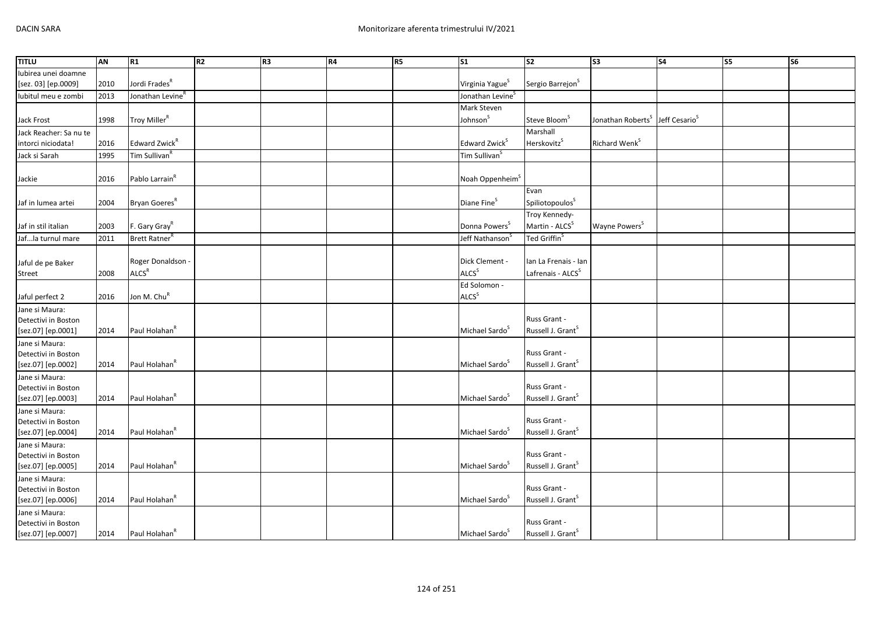| <b>TITLU</b>                              | <b>AN</b> | R1                           | R2 | R3 | <b>R4</b> | R5 | $\overline{\text{S1}}$       | $\overline{\text{S2}}$        | $\overline{\text{S3}}$        | S <sub>4</sub>            | S5 | $\overline{\text{S6}}$ |
|-------------------------------------------|-----------|------------------------------|----|----|-----------|----|------------------------------|-------------------------------|-------------------------------|---------------------------|----|------------------------|
| Iubirea unei doamne                       |           |                              |    |    |           |    |                              |                               |                               |                           |    |                        |
| [sez. 03] [ep.0009]                       | 2010      | Jordi Frades <sup>R</sup>    |    |    |           |    | Virginia Yague <sup>S</sup>  | Sergio Barrejon <sup>S</sup>  |                               |                           |    |                        |
| lubitul meu e zombi                       | 2013      | Jonathan Levine <sup>R</sup> |    |    |           |    | Jonathan Levine <sup>S</sup> |                               |                               |                           |    |                        |
|                                           |           |                              |    |    |           |    | Mark Steven                  |                               |                               |                           |    |                        |
| Jack Frost                                | 1998      | Troy Miller <sup>R</sup>     |    |    |           |    | Johnson <sup>S</sup>         | Steve Bloom <sup>S</sup>      | Jonathan Roberts <sup>S</sup> | Jeff Cesario <sup>S</sup> |    |                        |
| Jack Reacher: Sa nu te                    |           |                              |    |    |           |    |                              | Marshall                      |                               |                           |    |                        |
| intorci niciodata!                        | 2016      | Edward Zwick <sup>R</sup>    |    |    |           |    | Edward Zwick <sup>S</sup>    | Herskovitz <sup>S</sup>       | Richard Wenk <sup>S</sup>     |                           |    |                        |
| Jack si Sarah                             | 1995      | Tim Sullivan <sup>R</sup>    |    |    |           |    | Tim Sullivan <sup>S</sup>    |                               |                               |                           |    |                        |
|                                           |           |                              |    |    |           |    |                              |                               |                               |                           |    |                        |
| Jackie                                    | 2016      | Pablo Larrain <sup>R</sup>   |    |    |           |    | Noah Oppenheim <sup>S</sup>  |                               |                               |                           |    |                        |
|                                           |           |                              |    |    |           |    |                              | Evan                          |                               |                           |    |                        |
| Jaf in lumea artei                        | 2004      | Bryan Goeres <sup>R</sup>    |    |    |           |    | Diane Fine <sup>S</sup>      | Spiliotopoulos <sup>S</sup>   |                               |                           |    |                        |
|                                           |           |                              |    |    |           |    |                              | Troy Kennedy-                 |                               |                           |    |                        |
| Jaf in stil italian                       | 2003      | F. Gary Gray <sup>R</sup>    |    |    |           |    | Donna Powers <sup>S</sup>    | Martin - ALCS <sup>S</sup>    | Wayne Powers <sup>S</sup>     |                           |    |                        |
| Jafla turnul mare                         | 2011      | Brett Ratner                 |    |    |           |    | Jeff Nathanson               | Ted Griffin <sup>S</sup>      |                               |                           |    |                        |
|                                           |           |                              |    |    |           |    |                              |                               |                               |                           |    |                        |
| Jaful de pe Baker                         |           | Roger Donaldson -            |    |    |           |    | Dick Clement -               | lan La Frenais - lan          |                               |                           |    |                        |
| Street                                    | 2008      | ALCS <sup>R</sup>            |    |    |           |    | ALCS <sup>S</sup>            | Lafrenais - ALCS <sup>S</sup> |                               |                           |    |                        |
|                                           |           |                              |    |    |           |    | Ed Solomon -                 |                               |                               |                           |    |                        |
| Jaful perfect 2                           | 2016      | Jon M. Chu <sup>R</sup>      |    |    |           |    | ALCS <sup>S</sup>            |                               |                               |                           |    |                        |
| Jane si Maura:                            |           |                              |    |    |           |    |                              |                               |                               |                           |    |                        |
| Detectivi in Boston                       |           |                              |    |    |           |    |                              | Russ Grant -                  |                               |                           |    |                        |
| [sez.07] [ep.0001]                        | 2014      | Paul Holahan <sup>R</sup>    |    |    |           |    | Michael Sardo <sup>S</sup>   | Russell J. Grant <sup>S</sup> |                               |                           |    |                        |
| Jane si Maura:                            |           |                              |    |    |           |    |                              |                               |                               |                           |    |                        |
| Detectivi in Boston                       |           |                              |    |    |           |    |                              | Russ Grant -                  |                               |                           |    |                        |
| [sez.07] [ep.0002]                        | 2014      | Paul Holahan <sup>R</sup>    |    |    |           |    | Michael Sardo <sup>S</sup>   | Russell J. Grant <sup>S</sup> |                               |                           |    |                        |
| Jane si Maura:                            |           |                              |    |    |           |    |                              |                               |                               |                           |    |                        |
| Detectivi in Boston                       |           |                              |    |    |           |    |                              | Russ Grant -                  |                               |                           |    |                        |
| [sez.07] [ep.0003]                        | 2014      | Paul Holahan <sup>R</sup>    |    |    |           |    | Michael Sardo <sup>S</sup>   | Russell J. Grant <sup>S</sup> |                               |                           |    |                        |
| Jane si Maura:                            |           |                              |    |    |           |    |                              | Russ Grant -                  |                               |                           |    |                        |
| Detectivi in Boston<br>[sez.07] [ep.0004] | 2014      | Paul Holahan <sup>R</sup>    |    |    |           |    | Michael Sardo <sup>S</sup>   | Russell J. Grant <sup>S</sup> |                               |                           |    |                        |
| Jane si Maura:                            |           |                              |    |    |           |    |                              |                               |                               |                           |    |                        |
| Detectivi in Boston                       |           |                              |    |    |           |    |                              | Russ Grant -                  |                               |                           |    |                        |
| [sez.07] [ep.0005]                        | 2014      | Paul Holahan <sup>R</sup>    |    |    |           |    | Michael Sardo <sup>5</sup>   | Russell J. Grant <sup>S</sup> |                               |                           |    |                        |
| Jane si Maura:                            |           |                              |    |    |           |    |                              |                               |                               |                           |    |                        |
| Detectivi in Boston                       |           |                              |    |    |           |    |                              | Russ Grant -                  |                               |                           |    |                        |
| [sez.07] [ep.0006]                        | 2014      | Paul Holahan <sup>R</sup>    |    |    |           |    | Michael Sardo <sup>S</sup>   | Russell J. Grant <sup>S</sup> |                               |                           |    |                        |
| Jane si Maura:                            |           |                              |    |    |           |    |                              |                               |                               |                           |    |                        |
| Detectivi in Boston                       |           |                              |    |    |           |    |                              | Russ Grant -                  |                               |                           |    |                        |
| [sez.07] [ep.0007]                        | 2014      | Paul Holahan <sup>R</sup>    |    |    |           |    | Michael Sardo <sup>S</sup>   | Russell J. Grant <sup>S</sup> |                               |                           |    |                        |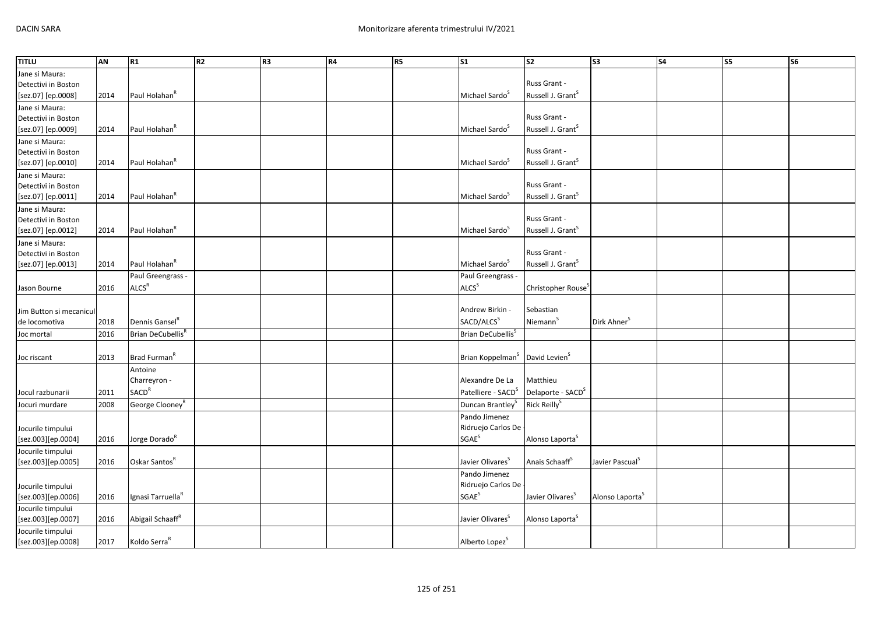| <b>TITLU</b>            | AN   | R1                            | R2 | R3 | <b>R4</b> | R5 | $\overline{\text{S1}}$         | S <sub>2</sub>                 | S <sub>3</sub>              | <b>S4</b> | <b>S5</b> | $\overline{\text{S6}}$ |
|-------------------------|------|-------------------------------|----|----|-----------|----|--------------------------------|--------------------------------|-----------------------------|-----------|-----------|------------------------|
| Jane si Maura:          |      |                               |    |    |           |    |                                |                                |                             |           |           |                        |
| Detectivi in Boston     |      |                               |    |    |           |    |                                | Russ Grant -                   |                             |           |           |                        |
| [sez.07] [ep.0008]      | 2014 | Paul Holahan <sup>R</sup>     |    |    |           |    | Michael Sardo <sup>S</sup>     | Russell J. Grant <sup>S</sup>  |                             |           |           |                        |
| Jane si Maura:          |      |                               |    |    |           |    |                                |                                |                             |           |           |                        |
| Detectivi in Boston     |      |                               |    |    |           |    |                                | Russ Grant -                   |                             |           |           |                        |
| [sez.07] [ep.0009]      | 2014 | Paul Holahan <sup>R</sup>     |    |    |           |    | Michael Sardo <sup>S</sup>     | Russell J. Grant <sup>S</sup>  |                             |           |           |                        |
| Jane si Maura:          |      |                               |    |    |           |    |                                |                                |                             |           |           |                        |
| Detectivi in Boston     |      |                               |    |    |           |    |                                | Russ Grant -                   |                             |           |           |                        |
| [sez.07] [ep.0010]      | 2014 | Paul Holahan <sup>R</sup>     |    |    |           |    | Michael Sardo <sup>S</sup>     | Russell J. Grant <sup>S</sup>  |                             |           |           |                        |
| Jane si Maura:          |      |                               |    |    |           |    |                                |                                |                             |           |           |                        |
| Detectivi in Boston     |      |                               |    |    |           |    |                                | Russ Grant -                   |                             |           |           |                        |
| [sez.07] [ep.0011]      | 2014 | Paul Holahan <sup>R</sup>     |    |    |           |    | Michael Sardo <sup>3</sup>     | Russell J. Grant <sup>S</sup>  |                             |           |           |                        |
| Jane si Maura:          |      |                               |    |    |           |    |                                |                                |                             |           |           |                        |
| Detectivi in Boston     |      |                               |    |    |           |    |                                | Russ Grant -                   |                             |           |           |                        |
| [sez.07] [ep.0012]      | 2014 | Paul Holahan <sup>R</sup>     |    |    |           |    | Michael Sardo <sup>S</sup>     | Russell J. Grant <sup>S</sup>  |                             |           |           |                        |
| Jane si Maura:          |      |                               |    |    |           |    |                                |                                |                             |           |           |                        |
| Detectivi in Boston     |      |                               |    |    |           |    |                                | Russ Grant -                   |                             |           |           |                        |
| [sez.07] [ep.0013]      | 2014 | Paul Holahan <sup>R</sup>     |    |    |           |    | Michael Sardo <sup>S</sup>     | Russell J. Grant <sup>S</sup>  |                             |           |           |                        |
|                         |      | Paul Greengrass -             |    |    |           |    | Paul Greengrass -              |                                |                             |           |           |                        |
| Jason Bourne            | 2016 | ALCS <sup>R</sup>             |    |    |           |    | ALCS <sup>S</sup>              | Christopher Rouse <sup>3</sup> |                             |           |           |                        |
|                         |      |                               |    |    |           |    |                                |                                |                             |           |           |                        |
| Jim Button si mecanicul |      |                               |    |    |           |    | Andrew Birkin -                | Sebastian                      |                             |           |           |                        |
| de locomotiva           | 2018 | Dennis Gansel <sup>R</sup>    |    |    |           |    | SACD/ALCS <sup>S</sup>         | Niemann <sup>5</sup>           | Dirk Ahner <sup>5</sup>     |           |           |                        |
| Joc mortal              | 2016 | Brian DeCubellis <sup>R</sup> |    |    |           |    | Brian DeCubellis <sup>S</sup>  |                                |                             |           |           |                        |
|                         |      |                               |    |    |           |    |                                |                                |                             |           |           |                        |
| Joc riscant             | 2013 | Brad Furman <sup>R</sup>      |    |    |           |    | Brian Koppelman <sup>S</sup>   | David Levien <sup>S</sup>      |                             |           |           |                        |
|                         |      | Antoine                       |    |    |           |    |                                |                                |                             |           |           |                        |
|                         |      | Charreyron -                  |    |    |           |    | Alexandre De La                | Matthieu                       |                             |           |           |                        |
| Jocul razbunarii        | 2011 | <b>SACD<sup>R</sup></b>       |    |    |           |    | Patelliere - SACD <sup>S</sup> | Delaporte - SACD <sup>S</sup>  |                             |           |           |                        |
| Jocuri murdare          | 2008 | George Clooney <sup>R</sup>   |    |    |           |    | Duncan Brantley <sup>5</sup>   | Rick Reilly <sup>S</sup>       |                             |           |           |                        |
|                         |      |                               |    |    |           |    | Pando Jimenez                  |                                |                             |           |           |                        |
| Jocurile timpului       |      |                               |    |    |           |    | Ridruejo Carlos De             |                                |                             |           |           |                        |
| [sez.003][ep.0004]      | 2016 | Jorge Dorado <sup>R</sup>     |    |    |           |    | <b>SGAE</b> <sup>S</sup>       | Alonso Laporta <sup>S</sup>    |                             |           |           |                        |
| Jocurile timpului       |      |                               |    |    |           |    |                                |                                |                             |           |           |                        |
| [sez.003][ep.0005]      | 2016 | Oskar Santos <sup>R</sup>     |    |    |           |    | Javier Olivares <sup>S</sup>   | Anais Schaaff <sup>S</sup>     | Javier Pascual <sup>S</sup> |           |           |                        |
|                         |      |                               |    |    |           |    | Pando Jimenez                  |                                |                             |           |           |                        |
| Jocurile timpului       |      |                               |    |    |           |    | Ridruejo Carlos De             |                                |                             |           |           |                        |
| [sez.003][ep.0006]      | 2016 | Ignasi Tarruella <sup>R</sup> |    |    |           |    | <b>SGAE<sup>S</sup></b>        | Javier Olivares <sup>S</sup>   | Alonso Laporta <sup>S</sup> |           |           |                        |
| Jocurile timpului       |      |                               |    |    |           |    |                                |                                |                             |           |           |                        |
| [sez.003][ep.0007]      | 2016 | Abigail Schaaff <sup>R</sup>  |    |    |           |    | Javier Olivares <sup>5</sup>   | Alonso Laporta <sup>5</sup>    |                             |           |           |                        |
| Jocurile timpului       |      |                               |    |    |           |    |                                |                                |                             |           |           |                        |
| [sez.003][ep.0008]      | 2017 | Koldo Serra <sup>R</sup>      |    |    |           |    | Alberto Lopez <sup>S</sup>     |                                |                             |           |           |                        |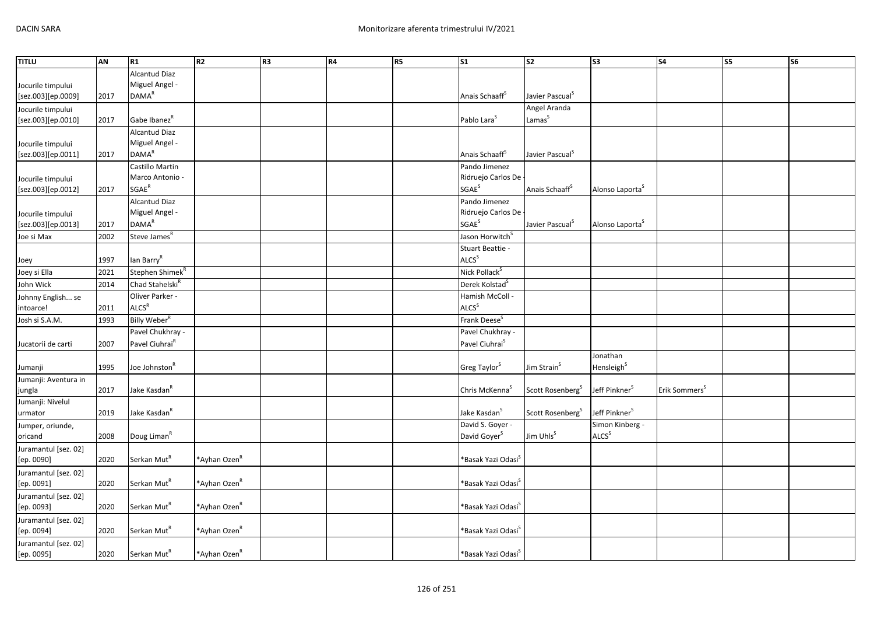| <b>TITLU</b>         | AN   | R1                          | R <sub>2</sub>           | R <sub>3</sub> | R4 | R5 | $\overline{\text{S1}}$         | s2                           | $\overline{\text{S3}}$      | S <sub>4</sub>            | S5 | S <sub>6</sub> |
|----------------------|------|-----------------------------|--------------------------|----------------|----|----|--------------------------------|------------------------------|-----------------------------|---------------------------|----|----------------|
|                      |      | Alcantud Diaz               |                          |                |    |    |                                |                              |                             |                           |    |                |
| Jocurile timpului    |      | Miguel Angel -              |                          |                |    |    |                                |                              |                             |                           |    |                |
| [sez.003][ep.0009]   | 2017 | <b>DAMA<sup>R</sup></b>     |                          |                |    |    | Anais Schaaff <sup>S</sup>     | Javier Pascual <sup>S</sup>  |                             |                           |    |                |
| Jocurile timpului    |      |                             |                          |                |    |    |                                | Angel Aranda                 |                             |                           |    |                |
| [sez.003][ep.0010]   | 2017 | Gabe Ibanez <sup>R</sup>    |                          |                |    |    | Pablo Lara <sup>S</sup>        | Lamas <sup>S</sup>           |                             |                           |    |                |
|                      |      | <b>Alcantud Diaz</b>        |                          |                |    |    |                                |                              |                             |                           |    |                |
| Jocurile timpului    |      | Miguel Angel -              |                          |                |    |    |                                |                              |                             |                           |    |                |
| [sez.003][ep.0011]   | 2017 | <b>DAMA<sup>R</sup></b>     |                          |                |    |    | Anais Schaaff <sup>S</sup>     | Javier Pascual <sup>S</sup>  |                             |                           |    |                |
|                      |      | Castillo Martin             |                          |                |    |    | Pando Jimenez                  |                              |                             |                           |    |                |
| Jocurile timpului    |      | Marco Antonio -             |                          |                |    |    | Ridruejo Carlos De             |                              |                             |                           |    |                |
| [sez.003][ep.0012]   | 2017 | $\mathsf{SGAE}^\mathsf{R}$  |                          |                |    |    | SGAE <sup>S</sup>              | Anais Schaaff <sup>S</sup>   | Alonso Laporta <sup>S</sup> |                           |    |                |
|                      |      | <b>Alcantud Diaz</b>        |                          |                |    |    | Pando Jimenez                  |                              |                             |                           |    |                |
| Jocurile timpului    |      | Miguel Angel -              |                          |                |    |    | Ridruejo Carlos De             |                              |                             |                           |    |                |
| [sez.003][ep.0013]   | 2017 | <b>DAMA</b> <sup>R</sup>    |                          |                |    |    | <b>SGAE<sup>S</sup></b>        | Javier Pascual <sup>S</sup>  | Alonso Laporta <sup>S</sup> |                           |    |                |
| Joe si Max           | 2002 | Steve James <sup>R</sup>    |                          |                |    |    | Jason Horwitch <sup>S</sup>    |                              |                             |                           |    |                |
|                      |      |                             |                          |                |    |    | Stuart Beattie -               |                              |                             |                           |    |                |
| Joey                 | 1997 | lan Barry <sup>R</sup>      |                          |                |    |    | ALCS <sup>S</sup>              |                              |                             |                           |    |                |
| Joey si Ella         | 2021 | Stephen Shimek <sup>R</sup> |                          |                |    |    | Nick Pollack <sup>S</sup>      |                              |                             |                           |    |                |
| John Wick            | 2014 | Chad Stahelski <sup>R</sup> |                          |                |    |    | Derek Kolstad <sup>S</sup>     |                              |                             |                           |    |                |
| Johnny English se    |      | Oliver Parker -             |                          |                |    |    | Hamish McColl -                |                              |                             |                           |    |                |
| intoarce!            | 2011 | ALCS <sup>R</sup>           |                          |                |    |    | ALCS <sup>S</sup>              |                              |                             |                           |    |                |
| Josh si S.A.M.       | 1993 | Billy Weber <sup>R</sup>    |                          |                |    |    | Frank Deese <sup>S</sup>       |                              |                             |                           |    |                |
|                      |      | Pavel Chukhray -            |                          |                |    |    | Pavel Chukhray -               |                              |                             |                           |    |                |
| Jucatorii de carti   | 2007 | Pavel Ciuhrai <sup>R</sup>  |                          |                |    |    | Pavel Ciuhrai <sup>S</sup>     |                              |                             |                           |    |                |
|                      |      |                             |                          |                |    |    |                                |                              | Jonathan                    |                           |    |                |
| Jumanji              | 1995 | Joe Johnston <sup>R</sup>   |                          |                |    |    | Greg Taylor <sup>S</sup>       | Jim Strain <sup>S</sup>      | Hensleigh <sup>S</sup>      |                           |    |                |
| Jumanji: Aventura in |      |                             |                          |                |    |    |                                |                              |                             |                           |    |                |
| jungla               | 2017 | Jake Kasdan <sup>R</sup>    |                          |                |    |    | Chris McKenna <sup>S</sup>     | Scott Rosenberg <sup>S</sup> | Jeff Pinkner <sup>S</sup>   | Erik Sommers <sup>5</sup> |    |                |
| Jumanji: Nivelul     |      |                             |                          |                |    |    |                                |                              |                             |                           |    |                |
| urmator              | 2019 | Jake Kasdan <sup>R</sup>    |                          |                |    |    | Jake Kasdan <sup>S</sup>       | Scott Rosenberg <sup>S</sup> | Jeff Pinkner <sup>S</sup>   |                           |    |                |
| Jumper, oriunde,     |      |                             |                          |                |    |    | David S. Goyer -               |                              | Simon Kinberg -             |                           |    |                |
| oricand              | 2008 | Doug Liman <sup>R</sup>     |                          |                |    |    | David Goyer <sup>S</sup>       | Jim Uhls <sup>S</sup>        | ALCS <sup>S</sup>           |                           |    |                |
| Juramantul [sez. 02] |      |                             |                          |                |    |    |                                |                              |                             |                           |    |                |
| [ep. 0090]           | 2020 | Serkan Mut <sup>R</sup>     | *Ayhan Ozen <sup>R</sup> |                |    |    | *Basak Yazi Odasi <sup>s</sup> |                              |                             |                           |    |                |
| Juramantul [sez. 02] |      |                             |                          |                |    |    |                                |                              |                             |                           |    |                |
| [ep. 0091]           | 2020 | Serkan Mut <sup>R</sup>     | *Ayhan Ozen <sup>R</sup> |                |    |    | *Basak Yazi Odasi`             |                              |                             |                           |    |                |
| Juramantul [sez. 02] |      |                             |                          |                |    |    |                                |                              |                             |                           |    |                |
| [ep. 0093]           | 2020 | Serkan Mut <sup>R</sup>     | *Ayhan Ozen <sup>R</sup> |                |    |    | *Basak Yazi Odasi <sup>s</sup> |                              |                             |                           |    |                |
| Juramantul [sez. 02] |      |                             |                          |                |    |    |                                |                              |                             |                           |    |                |
| [ep. 0094]           | 2020 | Serkan Mut <sup>R</sup>     | *Ayhan Ozen <sup>R</sup> |                |    |    | *Basak Yazi Odasi <sup>`</sup> |                              |                             |                           |    |                |
| Juramantul [sez. 02] |      |                             |                          |                |    |    |                                |                              |                             |                           |    |                |
| [ep. 0095]           | 2020 | Serkan Mut <sup>R</sup>     | *Ayhan Ozen <sup>R</sup> |                |    |    | *Basak Yazi Odasi <sup>s</sup> |                              |                             |                           |    |                |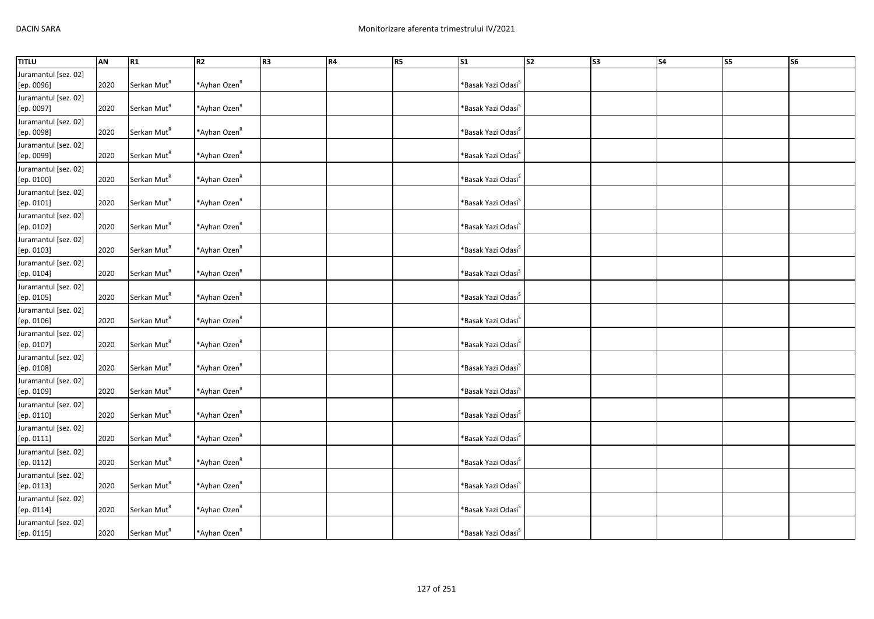| <b>TITLU</b>                       | AN   | R1                      | R <sub>2</sub>           | R <sub>3</sub> | R4 | R5 | $\mathsf{S}1$                     | $\overline{\text{S2}}$ | S <sub>3</sub> | S <sub>4</sub> | S5 | S <sub>6</sub> |
|------------------------------------|------|-------------------------|--------------------------|----------------|----|----|-----------------------------------|------------------------|----------------|----------------|----|----------------|
| Juramantul [sez. 02]<br>[ep. 0096] | 2020 | Serkan Mut <sup>R</sup> | *Ayhan Ozen <sup>R</sup> |                |    |    | *Basak Yazi Odasi <sup>s</sup>    |                        |                |                |    |                |
| Juramantul [sez. 02]<br>[ep. 0097] | 2020 | Serkan Mut <sup>R</sup> | *Ayhan Ozen <sup>R</sup> |                |    |    | *Basak Yazi Odasi <sup>s</sup>    |                        |                |                |    |                |
| Juramantul [sez. 02]<br>[ep. 0098] | 2020 | Serkan Mut <sup>R</sup> | *Ayhan Ozen <sup>R</sup> |                |    |    | *Basak Yazi Odasi <sup>s</sup>    |                        |                |                |    |                |
| Juramantul [sez. 02]<br>[ep. 0099] | 2020 | Serkan Mut <sup>R</sup> | *Ayhan Ozen <sup>R</sup> |                |    |    | *Basak Yazi Odasi <sup>s</sup>    |                        |                |                |    |                |
| Juramantul [sez. 02]<br>[ep. 0100] | 2020 | Serkan Mut <sup>R</sup> | *Ayhan Ozen <sup>R</sup> |                |    |    | *Basak Yazi Odasi <sup>s</sup>    |                        |                |                |    |                |
| Juramantul [sez. 02]<br>[ep. 0101] | 2020 | Serkan Mut <sup>R</sup> | *Ayhan Ozen <sup>R</sup> |                |    |    | *Basak Yazi Odasi <sup>s</sup>    |                        |                |                |    |                |
| Juramantul [sez. 02]<br>[ep. 0102] | 2020 | Serkan Mut <sup>R</sup> | *Ayhan Ozen <sup>R</sup> |                |    |    | *Basak Yazi Odasi <sup>s</sup>    |                        |                |                |    |                |
| Juramantul [sez. 02]<br>[ep. 0103] | 2020 | Serkan Mut <sup>R</sup> | *Ayhan Ozen <sup>R</sup> |                |    |    | *Basak Yazi Odasi <sup>s</sup>    |                        |                |                |    |                |
| Juramantul [sez. 02]<br>[ep. 0104] | 2020 | Serkan Mut <sup>R</sup> | *Ayhan Ozen <sup>R</sup> |                |    |    | *Basak Yazi Odasi <sup>s</sup>    |                        |                |                |    |                |
| Juramantul [sez. 02]<br>[ep. 0105] | 2020 | Serkan Mut <sup>R</sup> | *Ayhan Ozen <sup>R</sup> |                |    |    | *Basak Yazi Odasi <sup>s</sup>    |                        |                |                |    |                |
| Juramantul [sez. 02]<br>[ep. 0106] | 2020 | Serkan Mut <sup>R</sup> | *Ayhan Ozen <sup>R</sup> |                |    |    | *Basak Yazi Odasi <sup>S</sup>    |                        |                |                |    |                |
| Juramantul [sez. 02]<br>[ep. 0107] | 2020 | Serkan Mut <sup>R</sup> | *Ayhan Ozen <sup>R</sup> |                |    |    | *Basak Yazi Odasi <sup>s</sup>    |                        |                |                |    |                |
| Juramantul [sez. 02]<br>[ep. 0108] | 2020 | Serkan Mut <sup>R</sup> | *Ayhan Ozen <sup>R</sup> |                |    |    | *Basak Yazi Odasi <sup>&gt;</sup> |                        |                |                |    |                |
| Juramantul [sez. 02]<br>[ep. 0109] | 2020 | Serkan Mut <sup>R</sup> | *Ayhan Ozen <sup>R</sup> |                |    |    | *Basak Yazi Odasi <sup>s</sup>    |                        |                |                |    |                |
| Juramantul [sez. 02]<br>[ep. 0110] | 2020 | Serkan Mut <sup>R</sup> | *Ayhan Ozen <sup>R</sup> |                |    |    | *Basak Yazi Odasi <sup>&gt;</sup> |                        |                |                |    |                |
| Juramantul [sez. 02]<br>[ep. 0111] | 2020 | Serkan Mut <sup>R</sup> | *Ayhan Ozen <sup>R</sup> |                |    |    | *Basak Yazi Odasi <sup>s</sup>    |                        |                |                |    |                |
| Juramantul [sez. 02]<br>[ep. 0112] | 2020 | Serkan Mut <sup>R</sup> | *Ayhan Ozen <sup>R</sup> |                |    |    | *Basak Yazi Odasi <sup>s</sup>    |                        |                |                |    |                |
| Juramantul [sez. 02]<br>[ep. 0113] | 2020 | Serkan Mut <sup>R</sup> | *Ayhan Ozen <sup>R</sup> |                |    |    | *Basak Yazi Odasi <sup>s</sup>    |                        |                |                |    |                |
| Juramantul [sez. 02]<br>[ep. 0114] | 2020 | Serkan Mut <sup>R</sup> | *Ayhan Ozen <sup>R</sup> |                |    |    | *Basak Yazi Odasi <sup>&gt;</sup> |                        |                |                |    |                |
| Juramantul [sez. 02]<br>[ep. 0115] | 2020 | Serkan Mut <sup>R</sup> | *Ayhan Ozen <sup>R</sup> |                |    |    | *Basak Yazi Odasi <sup>5</sup>    |                        |                |                |    |                |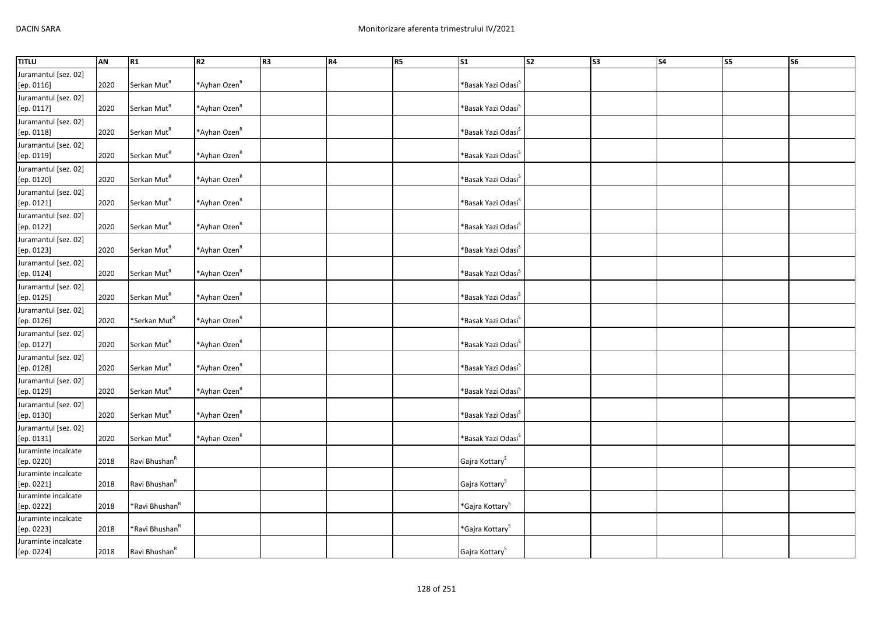| <b>TITLU</b>                       | AN   | R1                         | R2                       | R <sub>3</sub> | <b>R4</b> | R5 | S <sub>1</sub>                    | S <sub>2</sub> | S3 | $\overline{\phantom{a}}$ | <b>S5</b> | $\overline{\text{S6}}$ |
|------------------------------------|------|----------------------------|--------------------------|----------------|-----------|----|-----------------------------------|----------------|----|--------------------------|-----------|------------------------|
| Juramantul [sez. 02]<br>[ep. 0116] | 2020 | Serkan Mut <sup>R</sup>    | *Ayhan Ozen <sup>R</sup> |                |           |    | *Basak Yazi Odasi <sup>S</sup>    |                |    |                          |           |                        |
| Juramantul [sez. 02]<br>[ep. 0117] | 2020 | Serkan Mut <sup>R</sup>    | *Ayhan Ozen <sup>R</sup> |                |           |    | *Basak Yazi Odasi <sup>s</sup>    |                |    |                          |           |                        |
| Juramantul [sez. 02]<br>[ep. 0118] | 2020 | Serkan Mut <sup>R</sup>    | *Ayhan Ozen <sup>R</sup> |                |           |    | *Basak Yazi Odasi <sup>s</sup>    |                |    |                          |           |                        |
| Juramantul [sez. 02]<br>[ep. 0119] | 2020 | Serkan Mut <sup>R</sup>    | *Ayhan Ozen <sup>R</sup> |                |           |    | *Basak Yazi Odasi <sup>S</sup>    |                |    |                          |           |                        |
| Juramantul [sez. 02]<br>[ep. 0120] | 2020 | Serkan Mut <sup>R</sup>    | *Ayhan Ozen <sup>R</sup> |                |           |    | *Basak Yazi Odasi <sup>s</sup>    |                |    |                          |           |                        |
| Juramantul [sez. 02]<br>[ep. 0121] | 2020 | Serkan Mut <sup>R</sup>    | *Ayhan Ozen <sup>R</sup> |                |           |    | *Basak Yazi Odasi <sup>s</sup>    |                |    |                          |           |                        |
| Juramantul [sez. 02]<br>[ep. 0122] | 2020 | Serkan Mut <sup>R</sup>    | *Ayhan Ozen <sup>R</sup> |                |           |    | *Basak Yazi Odasi <sup>s</sup>    |                |    |                          |           |                        |
| Juramantul [sez. 02]<br>[ep. 0123] | 2020 | Serkan Mut <sup>R</sup>    | *Ayhan Ozen <sup>R</sup> |                |           |    | *Basak Yazi Odasi <sup>s</sup>    |                |    |                          |           |                        |
| Juramantul [sez. 02]<br>[ep. 0124] | 2020 | Serkan Mut <sup>R</sup>    | *Ayhan Ozen <sup>R</sup> |                |           |    | *Basak Yazi Odasi <sup>S</sup>    |                |    |                          |           |                        |
| Juramantul [sez. 02]<br>[ep. 0125] | 2020 | Serkan Mut <sup>R</sup>    | *Ayhan Ozen <sup>R</sup> |                |           |    | *Basak Yazi Odasi <sup>&gt;</sup> |                |    |                          |           |                        |
| Juramantul [sez. 02]<br>[ep. 0126] | 2020 | *Serkan Mut <sup>R</sup>   | *Ayhan Ozen <sup>R</sup> |                |           |    | *Basak Yazi Odasi <sup>S</sup>    |                |    |                          |           |                        |
| Juramantul [sez. 02]<br>[ep. 0127] | 2020 | Serkan Mut <sup>R</sup>    | *Ayhan Ozen <sup>R</sup> |                |           |    | *Basak Yazi Odasi <sup>s</sup>    |                |    |                          |           |                        |
| Juramantul [sez. 02]<br>[ep. 0128] | 2020 | Serkan Mut <sup>R</sup>    | *Ayhan Ozen <sup>R</sup> |                |           |    | *Basak Yazi Odasi <sup>S</sup>    |                |    |                          |           |                        |
| Juramantul [sez. 02]<br>[ep. 0129] | 2020 | Serkan Mut <sup>R</sup>    | *Ayhan Ozen <sup>R</sup> |                |           |    | *Basak Yazi Odasi <sup>s</sup>    |                |    |                          |           |                        |
| Juramantul [sez. 02]<br>[ep. 0130] | 2020 | Serkan Mut <sup>R</sup>    | *Ayhan Ozen <sup>R</sup> |                |           |    | *Basak Yazi Odasi <sup>&gt;</sup> |                |    |                          |           |                        |
| Juramantul [sez. 02]<br>[ep. 0131] | 2020 | Serkan Mut <sup>R</sup>    | *Ayhan Ozen <sup>R</sup> |                |           |    | *Basak Yazi Odasi <sup>s</sup>    |                |    |                          |           |                        |
| Juraminte incalcate<br>[ep. 0220]  | 2018 | Ravi Bhushan <sup>R</sup>  |                          |                |           |    | Gajra Kottary <sup>S</sup>        |                |    |                          |           |                        |
| Juraminte incalcate<br>[ep. 0221]  | 2018 | Ravi Bhushan <sup>R</sup>  |                          |                |           |    | Gajra Kottary <sup>S</sup>        |                |    |                          |           |                        |
| Juraminte incalcate<br>[ep. 0222]  | 2018 | *Ravi Bhushan <sup>R</sup> |                          |                |           |    | *Gajra Kottary <sup>S</sup>       |                |    |                          |           |                        |
| Juraminte incalcate<br>[ep. 0223]  | 2018 | *Ravi Bhushan <sup>R</sup> |                          |                |           |    | *Gajra Kottary <sup>S</sup>       |                |    |                          |           |                        |
| Juraminte incalcate<br>[ep. 0224]  | 2018 | Ravi Bhushan <sup>R</sup>  |                          |                |           |    | Gajra Kottary <sup>S</sup>        |                |    |                          |           |                        |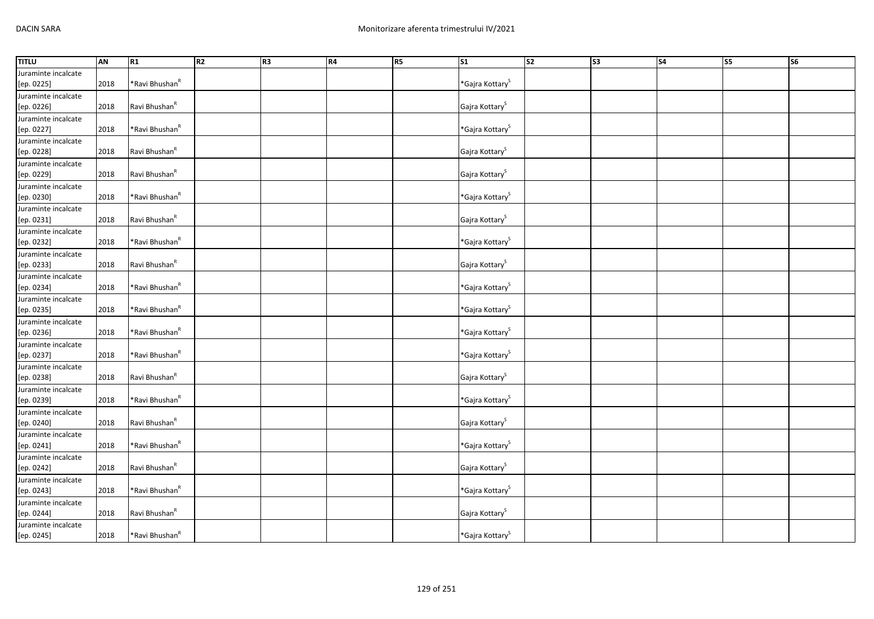| <b>TITLU</b>        | <b>AN</b> | R1                         | R <sub>2</sub> | R <sub>3</sub> | R4 | R <sub>5</sub> | $\overline{\text{S1}}$             | s <sub>2</sub> | $\overline{\text{S3}}$ | S <sub>4</sub> | $\overline{\text{S5}}$ | <b>S6</b> |
|---------------------|-----------|----------------------------|----------------|----------------|----|----------------|------------------------------------|----------------|------------------------|----------------|------------------------|-----------|
| Juraminte incalcate |           |                            |                |                |    |                |                                    |                |                        |                |                        |           |
| [ep. 0225]          | 2018      | *Ravi Bhushan <sup>R</sup> |                |                |    |                | *Gajra Kottary <sup>S</sup>        |                |                        |                |                        |           |
| Juraminte incalcate |           |                            |                |                |    |                |                                    |                |                        |                |                        |           |
| [ep. 0226]          | 2018      | Ravi Bhushan <sup>R</sup>  |                |                |    |                | Gajra Kottary <sup>S</sup>         |                |                        |                |                        |           |
| Juraminte incalcate |           |                            |                |                |    |                |                                    |                |                        |                |                        |           |
| [ep. 0227]          | 2018      | *Ravi Bhushan <sup>R</sup> |                |                |    |                | $*$ Gajra Kottary $^{\text{S}}$    |                |                        |                |                        |           |
| Juraminte incalcate |           |                            |                |                |    |                |                                    |                |                        |                |                        |           |
| [ep. 0228]          | 2018      | Ravi Bhushan <sup>R</sup>  |                |                |    |                | Gajra Kottary <sup>S</sup>         |                |                        |                |                        |           |
| Juraminte incalcate |           |                            |                |                |    |                |                                    |                |                        |                |                        |           |
| [ep. 0229]          | 2018      | Ravi Bhushan <sup>R</sup>  |                |                |    |                | Gajra Kottary <sup>S</sup>         |                |                        |                |                        |           |
| Juraminte incalcate |           |                            |                |                |    |                |                                    |                |                        |                |                        |           |
| [ep. 0230]          | 2018      | *Ravi Bhushan <sup>R</sup> |                |                |    |                | $*$ Gajra Kottary $S$              |                |                        |                |                        |           |
| Juraminte incalcate |           |                            |                |                |    |                |                                    |                |                        |                |                        |           |
| [ep. 0231]          | 2018      | Ravi Bhushan <sup>R</sup>  |                |                |    |                | Gajra Kottary <sup>S</sup>         |                |                        |                |                        |           |
| Juraminte incalcate |           |                            |                |                |    |                |                                    |                |                        |                |                        |           |
| [ep. 0232]          | 2018      | *Ravi Bhushan <sup>R</sup> |                |                |    |                | *Gajra Kottary <sup>S</sup>        |                |                        |                |                        |           |
| Juraminte incalcate |           |                            |                |                |    |                |                                    |                |                        |                |                        |           |
| [ep. 0233]          | 2018      | Ravi Bhushan <sup>R</sup>  |                |                |    |                | Gajra Kottary <sup>S</sup>         |                |                        |                |                        |           |
| Juraminte incalcate |           |                            |                |                |    |                |                                    |                |                        |                |                        |           |
| [ep. 0234]          | 2018      | *Ravi Bhushan <sup>R</sup> |                |                |    |                | *Gajra Kottary <sup>S</sup>        |                |                        |                |                        |           |
| Juraminte incalcate |           |                            |                |                |    |                |                                    |                |                        |                |                        |           |
| [ep. 0235]          | 2018      | *Ravi Bhushan <sup>R</sup> |                |                |    |                | *Gajra Kottary <sup>S</sup>        |                |                        |                |                        |           |
| Juraminte incalcate |           |                            |                |                |    |                |                                    |                |                        |                |                        |           |
| [ep. 0236]          | 2018      | *Ravi Bhushan <sup>R</sup> |                |                |    |                | *Gajra Kottary <sup>S</sup>        |                |                        |                |                        |           |
| Juraminte incalcate |           |                            |                |                |    |                |                                    |                |                        |                |                        |           |
| [ep. 0237]          | 2018      | *Ravi Bhushan <sup>R</sup> |                |                |    |                | *Gajra Kottary <sup>S</sup>        |                |                        |                |                        |           |
| Juraminte incalcate |           |                            |                |                |    |                |                                    |                |                        |                |                        |           |
| [ep. 0238]          | 2018      | Ravi Bhushan <sup>R</sup>  |                |                |    |                | Gajra Kottary <sup>S</sup>         |                |                        |                |                        |           |
| Juraminte incalcate |           |                            |                |                |    |                |                                    |                |                        |                |                        |           |
| [ep. 0239]          | 2018      | *Ravi Bhushan <sup>R</sup> |                |                |    |                | $*$ Gajra Kottary $^{\mathcal{S}}$ |                |                        |                |                        |           |
| Juraminte incalcate |           |                            |                |                |    |                |                                    |                |                        |                |                        |           |
| [ep. 0240]          | 2018      | Ravi Bhushan <sup>R</sup>  |                |                |    |                | Gajra Kottary <sup>S</sup>         |                |                        |                |                        |           |
| Juraminte incalcate |           |                            |                |                |    |                |                                    |                |                        |                |                        |           |
| [ep. 0241]          | 2018      | *Ravi Bhushan <sup>R</sup> |                |                |    |                | *Gajra Kottary <sup>S</sup>        |                |                        |                |                        |           |
| Juraminte incalcate |           |                            |                |                |    |                |                                    |                |                        |                |                        |           |
| [ep. 0242]          | 2018      | Ravi Bhushan <sup>R</sup>  |                |                |    |                | Gajra Kottary <sup>S</sup>         |                |                        |                |                        |           |
| Juraminte incalcate |           |                            |                |                |    |                |                                    |                |                        |                |                        |           |
| [ep. 0243]          | 2018      | *Ravi Bhushan <sup>R</sup> |                |                |    |                | *Gajra Kottary <sup>S</sup>        |                |                        |                |                        |           |
| Juraminte incalcate |           |                            |                |                |    |                |                                    |                |                        |                |                        |           |
| [ep. 0244]          | 2018      | Ravi Bhushan <sup>R</sup>  |                |                |    |                | Gajra Kottary <sup>S</sup>         |                |                        |                |                        |           |
| Juraminte incalcate |           |                            |                |                |    |                |                                    |                |                        |                |                        |           |
| [ep. 0245]          | 2018      | *Ravi Bhushan <sup>R</sup> |                |                |    |                | *Gajra Kottary <sup>S</sup>        |                |                        |                |                        |           |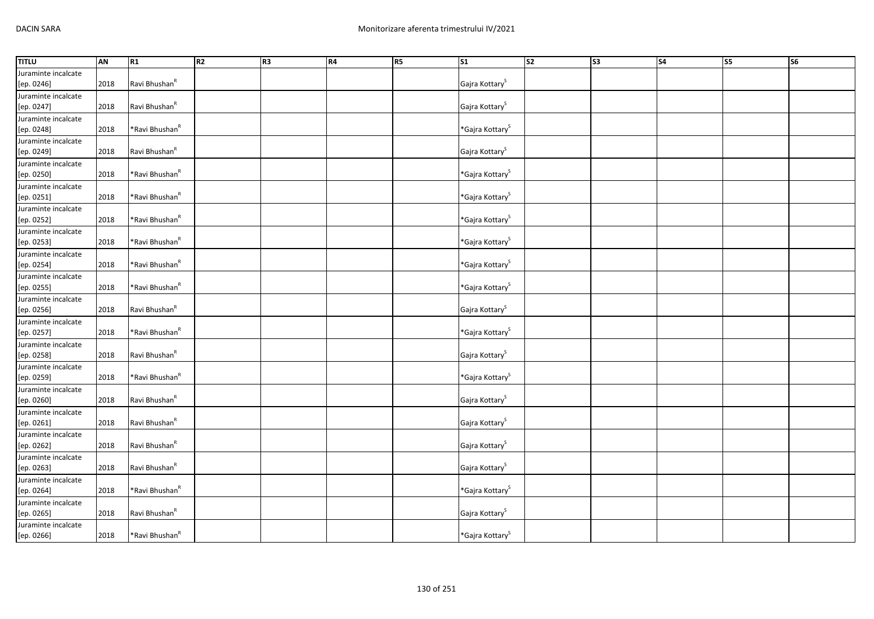| <b>TITLU</b>        | <b>AN</b> | R1                         | R <sub>2</sub> | R <sub>3</sub> | R4 | R <sub>5</sub> | $\overline{\text{S1}}$          | s <sub>2</sub> | $\overline{\text{S3}}$ | S <sub>4</sub> | $\overline{\text{S5}}$ | <b>S6</b> |
|---------------------|-----------|----------------------------|----------------|----------------|----|----------------|---------------------------------|----------------|------------------------|----------------|------------------------|-----------|
| Juraminte incalcate |           |                            |                |                |    |                |                                 |                |                        |                |                        |           |
| [ep. 0246]          | 2018      | Ravi Bhushan <sup>R</sup>  |                |                |    |                | Gajra Kottary <sup>S</sup>      |                |                        |                |                        |           |
| Juraminte incalcate |           |                            |                |                |    |                |                                 |                |                        |                |                        |           |
| [ep. 0247]          | 2018      | Ravi Bhushan <sup>R</sup>  |                |                |    |                | Gajra Kottary <sup>S</sup>      |                |                        |                |                        |           |
| Juraminte incalcate |           |                            |                |                |    |                |                                 |                |                        |                |                        |           |
| [ep. 0248]          | 2018      | *Ravi Bhushan <sup>R</sup> |                |                |    |                | $*$ Gajra Kottary $^{\text{S}}$ |                |                        |                |                        |           |
| Juraminte incalcate |           |                            |                |                |    |                |                                 |                |                        |                |                        |           |
| [ep. 0249]          | 2018      | Ravi Bhushan <sup>R</sup>  |                |                |    |                | Gajra Kottary <sup>S</sup>      |                |                        |                |                        |           |
| Juraminte incalcate |           |                            |                |                |    |                |                                 |                |                        |                |                        |           |
| [ep. 0250]          | 2018      | *Ravi Bhushan <sup>R</sup> |                |                |    |                | $*$ Gajra Kottary $S$           |                |                        |                |                        |           |
| Juraminte incalcate |           |                            |                |                |    |                |                                 |                |                        |                |                        |           |
| [ep. 0251]          | 2018      | *Ravi Bhushan <sup>R</sup> |                |                |    |                | $*$ Gajra Kottary $S$           |                |                        |                |                        |           |
| Juraminte incalcate |           |                            |                |                |    |                |                                 |                |                        |                |                        |           |
| [ep. 0252]          | 2018      | *Ravi Bhushan <sup>R</sup> |                |                |    |                | *Gajra Kottary <sup>S</sup>     |                |                        |                |                        |           |
| Juraminte incalcate |           |                            |                |                |    |                |                                 |                |                        |                |                        |           |
| [ep. 0253]          | 2018      | *Ravi Bhushan <sup>R</sup> |                |                |    |                | *Gajra Kottary <sup>S</sup>     |                |                        |                |                        |           |
| Juraminte incalcate |           |                            |                |                |    |                |                                 |                |                        |                |                        |           |
| [ep. 0254]          | 2018      | *Ravi Bhushan <sup>R</sup> |                |                |    |                | *Gajra Kottary <sup>S</sup>     |                |                        |                |                        |           |
| Juraminte incalcate |           |                            |                |                |    |                |                                 |                |                        |                |                        |           |
| [ep. 0255]          | 2018      | *Ravi Bhushan <sup>R</sup> |                |                |    |                | *Gajra Kottary <sup>S</sup>     |                |                        |                |                        |           |
| Juraminte incalcate |           |                            |                |                |    |                |                                 |                |                        |                |                        |           |
| [ep. 0256]          | 2018      | Ravi Bhushan <sup>R</sup>  |                |                |    |                | Gajra Kottary <sup>S</sup>      |                |                        |                |                        |           |
| Juraminte incalcate |           |                            |                |                |    |                |                                 |                |                        |                |                        |           |
| [ep. 0257]          | 2018      | *Ravi Bhushan <sup>R</sup> |                |                |    |                | *Gajra Kottary <sup>S</sup>     |                |                        |                |                        |           |
| Juraminte incalcate |           |                            |                |                |    |                |                                 |                |                        |                |                        |           |
| [ep. 0258]          | 2018      | Ravi Bhushan <sup>R</sup>  |                |                |    |                | Gajra Kottary <sup>S</sup>      |                |                        |                |                        |           |
| Juraminte incalcate |           |                            |                |                |    |                |                                 |                |                        |                |                        |           |
| [ep. 0259]          | 2018      | *Ravi Bhushan <sup>R</sup> |                |                |    |                | *Gajra Kottary <sup>S</sup>     |                |                        |                |                        |           |
| Juraminte incalcate |           |                            |                |                |    |                |                                 |                |                        |                |                        |           |
| [ep. 0260]          | 2018      | Ravi Bhushan <sup>R</sup>  |                |                |    |                | Gajra Kottary <sup>S</sup>      |                |                        |                |                        |           |
| Juraminte incalcate |           |                            |                |                |    |                |                                 |                |                        |                |                        |           |
| [ep. 0261]          | 2018      | Ravi Bhushan <sup>R</sup>  |                |                |    |                | Gajra Kottary <sup>S</sup>      |                |                        |                |                        |           |
| Juraminte incalcate |           |                            |                |                |    |                |                                 |                |                        |                |                        |           |
| [ep. 0262]          | 2018      | Ravi Bhushan <sup>R</sup>  |                |                |    |                | Gajra Kottary <sup>S</sup>      |                |                        |                |                        |           |
| Juraminte incalcate |           |                            |                |                |    |                |                                 |                |                        |                |                        |           |
| [ep. 0263]          | 2018      | Ravi Bhushan <sup>R</sup>  |                |                |    |                | Gajra Kottary <sup>S</sup>      |                |                        |                |                        |           |
| Juraminte incalcate |           |                            |                |                |    |                |                                 |                |                        |                |                        |           |
| [ep. 0264]          | 2018      | *Ravi Bhushan <sup>R</sup> |                |                |    |                | *Gajra Kottary <sup>S</sup>     |                |                        |                |                        |           |
| Juraminte incalcate |           |                            |                |                |    |                |                                 |                |                        |                |                        |           |
| [ep. 0265]          | 2018      | Ravi Bhushan <sup>R</sup>  |                |                |    |                | Gajra Kottary <sup>S</sup>      |                |                        |                |                        |           |
| Juraminte incalcate |           |                            |                |                |    |                |                                 |                |                        |                |                        |           |
| [ep. 0266]          | 2018      | *Ravi Bhushan <sup>R</sup> |                |                |    |                | *Gajra Kottary <sup>S</sup>     |                |                        |                |                        |           |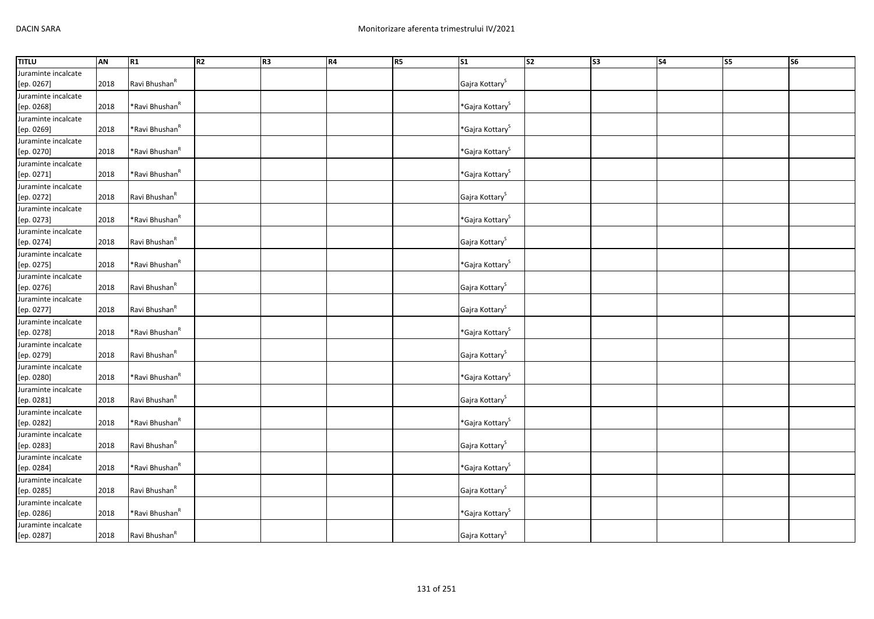| <b>TITLU</b>        | <b>AN</b> | R1                         | R <sub>2</sub> | R <sub>3</sub> | R4 | R <sub>5</sub> | $\overline{\text{S1}}$      | s <sub>2</sub> | $\overline{\text{S3}}$ | S <sub>4</sub> | $\overline{\text{S5}}$ | <b>S6</b> |
|---------------------|-----------|----------------------------|----------------|----------------|----|----------------|-----------------------------|----------------|------------------------|----------------|------------------------|-----------|
| Juraminte incalcate |           |                            |                |                |    |                |                             |                |                        |                |                        |           |
| [ep. 0267]          | 2018      | Ravi Bhushan <sup>R</sup>  |                |                |    |                | Gajra Kottary <sup>S</sup>  |                |                        |                |                        |           |
| Juraminte incalcate |           |                            |                |                |    |                |                             |                |                        |                |                        |           |
| [ep. 0268]          | 2018      | *Ravi Bhushan <sup>R</sup> |                |                |    |                | *Gajra Kottary <sup>S</sup> |                |                        |                |                        |           |
| Juraminte incalcate |           |                            |                |                |    |                |                             |                |                        |                |                        |           |
| [ep. 0269]          | 2018      | *Ravi Bhushan <sup>R</sup> |                |                |    |                | *Gajra Kottary <sup>S</sup> |                |                        |                |                        |           |
| Juraminte incalcate |           |                            |                |                |    |                |                             |                |                        |                |                        |           |
| [ep. 0270]          | 2018      | *Ravi Bhushan <sup>R</sup> |                |                |    |                | $*$ Gajra Kottary $S$       |                |                        |                |                        |           |
| Juraminte incalcate |           |                            |                |                |    |                |                             |                |                        |                |                        |           |
| [ep. 0271]          | 2018      | *Ravi Bhushan <sup>R</sup> |                |                |    |                | $*$ Gajra Kottary $S$       |                |                        |                |                        |           |
| Juraminte incalcate |           |                            |                |                |    |                |                             |                |                        |                |                        |           |
| [ep. 0272]          | 2018      | Ravi Bhushan <sup>R</sup>  |                |                |    |                | Gajra Kottary <sup>S</sup>  |                |                        |                |                        |           |
| Juraminte incalcate |           |                            |                |                |    |                |                             |                |                        |                |                        |           |
| [ep. 0273]          | 2018      | *Ravi Bhushan <sup>R</sup> |                |                |    |                | *Gajra Kottary <sup>S</sup> |                |                        |                |                        |           |
| Juraminte incalcate |           |                            |                |                |    |                |                             |                |                        |                |                        |           |
| [ep. 0274]          | 2018      | Ravi Bhushan <sup>R</sup>  |                |                |    |                | Gajra Kottary <sup>S</sup>  |                |                        |                |                        |           |
| Juraminte incalcate |           |                            |                |                |    |                |                             |                |                        |                |                        |           |
| [ep. 0275]          | 2018      | *Ravi Bhushan <sup>R</sup> |                |                |    |                | *Gajra Kottary <sup>S</sup> |                |                        |                |                        |           |
| Juraminte incalcate |           |                            |                |                |    |                |                             |                |                        |                |                        |           |
| [ep. 0276]          | 2018      | Ravi Bhushan <sup>R</sup>  |                |                |    |                | Gajra Kottary <sup>S</sup>  |                |                        |                |                        |           |
| Juraminte incalcate |           |                            |                |                |    |                |                             |                |                        |                |                        |           |
| [ep. 0277]          | 2018      | Ravi Bhushan <sup>R</sup>  |                |                |    |                | Gajra Kottary <sup>S</sup>  |                |                        |                |                        |           |
| Juraminte incalcate |           |                            |                |                |    |                |                             |                |                        |                |                        |           |
| [ep. 0278]          | 2018      | *Ravi Bhushan <sup>R</sup> |                |                |    |                | *Gajra Kottary <sup>S</sup> |                |                        |                |                        |           |
| Juraminte incalcate |           |                            |                |                |    |                |                             |                |                        |                |                        |           |
| [ep. 0279]          | 2018      | Ravi Bhushan <sup>R</sup>  |                |                |    |                | Gajra Kottary <sup>S</sup>  |                |                        |                |                        |           |
| Juraminte incalcate |           |                            |                |                |    |                |                             |                |                        |                |                        |           |
| [ep. 0280]          | 2018      | *Ravi Bhushan <sup>R</sup> |                |                |    |                | *Gajra Kottary <sup>S</sup> |                |                        |                |                        |           |
| Juraminte incalcate |           |                            |                |                |    |                |                             |                |                        |                |                        |           |
| [ep. 0281]          | 2018      | Ravi Bhushan <sup>R</sup>  |                |                |    |                | Gajra Kottary <sup>S</sup>  |                |                        |                |                        |           |
| Juraminte incalcate |           |                            |                |                |    |                |                             |                |                        |                |                        |           |
| [ep. 0282]          | 2018      | *Ravi Bhushan <sup>R</sup> |                |                |    |                | *Gajra Kottary <sup>S</sup> |                |                        |                |                        |           |
| Juraminte incalcate |           |                            |                |                |    |                |                             |                |                        |                |                        |           |
| [ep. 0283]          | 2018      | Ravi Bhushan <sup>R</sup>  |                |                |    |                | Gajra Kottary <sup>S</sup>  |                |                        |                |                        |           |
| Juraminte incalcate |           |                            |                |                |    |                |                             |                |                        |                |                        |           |
| [ep. 0284]          | 2018      | *Ravi Bhushan <sup>R</sup> |                |                |    |                | *Gajra Kottary <sup>S</sup> |                |                        |                |                        |           |
| Juraminte incalcate |           |                            |                |                |    |                |                             |                |                        |                |                        |           |
| [ep. 0285]          | 2018      | Ravi Bhushan <sup>R</sup>  |                |                |    |                | Gajra Kottary <sup>S</sup>  |                |                        |                |                        |           |
| Juraminte incalcate |           |                            |                |                |    |                |                             |                |                        |                |                        |           |
| [ep. 0286]          | 2018      | *Ravi Bhushan <sup>R</sup> |                |                |    |                | *Gajra Kottary <sup>S</sup> |                |                        |                |                        |           |
| Juraminte incalcate |           |                            |                |                |    |                |                             |                |                        |                |                        |           |
| [ep. 0287]          | 2018      | Ravi Bhushan <sup>R</sup>  |                |                |    |                | Gajra Kottary <sup>S</sup>  |                |                        |                |                        |           |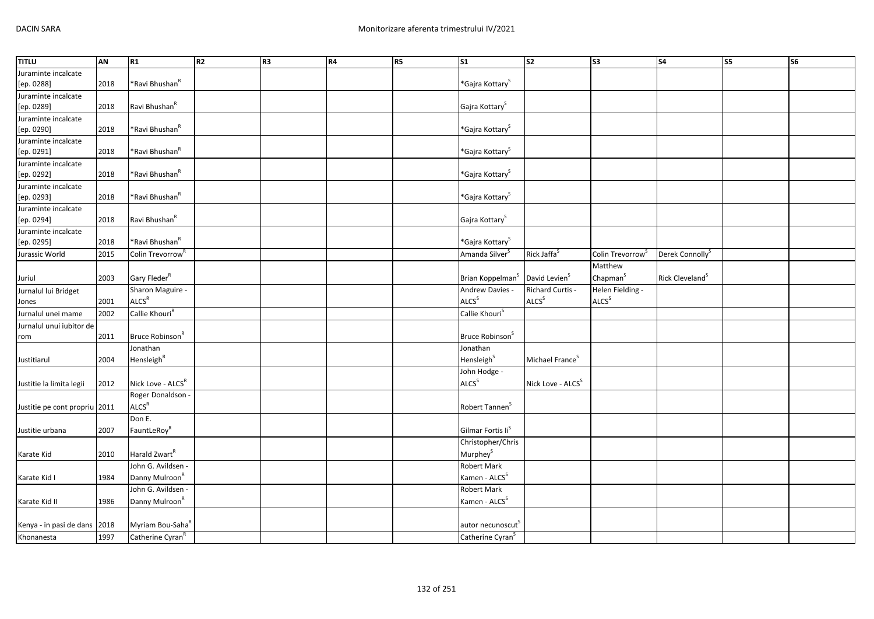| <b>TITLU</b>                  | AN   | R1                           | R2 | R3 | R4 | R5 | $\overline{\text{S1}}$        | s <sub>2</sub>                | $\overline{\text{S3}}$       | <b>S4</b>                   | <b>S5</b> | <b>S6</b> |
|-------------------------------|------|------------------------------|----|----|----|----|-------------------------------|-------------------------------|------------------------------|-----------------------------|-----------|-----------|
| Juraminte incalcate           |      |                              |    |    |    |    |                               |                               |                              |                             |           |           |
| [ep. 0288]                    | 2018 | *Ravi Bhushan <sup>R</sup>   |    |    |    |    | *Gajra Kottary <sup>S</sup>   |                               |                              |                             |           |           |
| Juraminte incalcate           |      |                              |    |    |    |    |                               |                               |                              |                             |           |           |
| [ep. 0289]                    | 2018 | Ravi Bhushan <sup>R</sup>    |    |    |    |    | Gajra Kottary <sup>S</sup>    |                               |                              |                             |           |           |
| Juraminte incalcate           |      |                              |    |    |    |    |                               |                               |                              |                             |           |           |
| [ep. 0290]                    | 2018 | *Ravi Bhushan <sup>R</sup>   |    |    |    |    | *Gajra Kottary <sup>S</sup>   |                               |                              |                             |           |           |
| Juraminte incalcate           |      |                              |    |    |    |    |                               |                               |                              |                             |           |           |
| [ep. 0291]                    | 2018 | *Ravi Bhushan <sup>R</sup>   |    |    |    |    | *Gajra Kottary <sup>S</sup>   |                               |                              |                             |           |           |
| Juraminte incalcate           |      |                              |    |    |    |    |                               |                               |                              |                             |           |           |
| [ep. 0292]                    | 2018 | *Ravi Bhushan <sup>R</sup>   |    |    |    |    | *Gajra Kottary <sup>S</sup>   |                               |                              |                             |           |           |
| Juraminte incalcate           |      |                              |    |    |    |    |                               |                               |                              |                             |           |           |
| [ep. 0293]                    | 2018 | *Ravi Bhushan <sup>R</sup>   |    |    |    |    | *Gajra Kottary <sup>S</sup>   |                               |                              |                             |           |           |
| Juraminte incalcate           |      |                              |    |    |    |    |                               |                               |                              |                             |           |           |
| [ep. 0294]                    | 2018 | Ravi Bhushan <sup>R</sup>    |    |    |    |    | Gajra Kottary <sup>S</sup>    |                               |                              |                             |           |           |
| Juraminte incalcate           |      |                              |    |    |    |    |                               |                               |                              |                             |           |           |
| [ep. 0295]                    | 2018 | *Ravi Bhushan <sup>R</sup>   |    |    |    |    | *Gajra Kottary <sup>S</sup>   |                               |                              |                             |           |           |
| Jurassic World                | 2015 | Colin Trevorrow <sup>F</sup> |    |    |    |    | Amanda Silver <sup>s</sup>    | Rick Jaffa <sup>S</sup>       | Colin Trevorrow <sup>S</sup> | Derek Connolly <sup>S</sup> |           |           |
|                               |      |                              |    |    |    |    |                               |                               | Matthew                      |                             |           |           |
| Juriul                        | 2003 | Gary Fleder <sup>R</sup>     |    |    |    |    | Brian Koppelman <sup>S</sup>  | David Levien <sup>S</sup>     | Chapman <sup>S</sup>         | Rick Cleveland <sup>S</sup> |           |           |
| Jurnalul lui Bridget          |      | Sharon Maguire -             |    |    |    |    | Andrew Davies -               | Richard Curtis -              | Helen Fielding -             |                             |           |           |
| Jones                         | 2001 | ALCS <sup>R</sup>            |    |    |    |    | ALCS <sup>S</sup>             | ALCS <sup>S</sup>             | ALCS <sup>S</sup>            |                             |           |           |
| Jurnalul unei mame            | 2002 | Callie Khouri <sup>R</sup>   |    |    |    |    | Callie Khouri <sup>S</sup>    |                               |                              |                             |           |           |
| Jurnalul unui iubitor de      |      |                              |    |    |    |    |                               |                               |                              |                             |           |           |
| rom                           | 2011 | Bruce Robinson <sup>R</sup>  |    |    |    |    | Bruce Robinson <sup>S</sup>   |                               |                              |                             |           |           |
|                               |      | Jonathan                     |    |    |    |    | Jonathan                      |                               |                              |                             |           |           |
| Justitiarul                   | 2004 | Hensleigh <sup>R</sup>       |    |    |    |    | Hensleigh <sup>S</sup>        | Michael France <sup>S</sup>   |                              |                             |           |           |
|                               |      |                              |    |    |    |    | John Hodge -                  |                               |                              |                             |           |           |
| Justitie la limita legii      | 2012 | Nick Love - ALCSR            |    |    |    |    | ALCS <sup>S</sup>             | Nick Love - ALCS <sup>S</sup> |                              |                             |           |           |
|                               |      | Roger Donaldson              |    |    |    |    |                               |                               |                              |                             |           |           |
| Justitie pe cont propriu 2011 |      | ALCS <sup>R</sup>            |    |    |    |    | Robert Tannen <sup>S</sup>    |                               |                              |                             |           |           |
|                               |      | Don E.                       |    |    |    |    |                               |                               |                              |                             |           |           |
| Justitie urbana               | 2007 | FauntLeRoyR                  |    |    |    |    | Gilmar Fortis li <sup>S</sup> |                               |                              |                             |           |           |
|                               |      |                              |    |    |    |    | Christopher/Chris             |                               |                              |                             |           |           |
| Karate Kid                    | 2010 | Harald Zwart <sup>R</sup>    |    |    |    |    | Murphey <sup>S</sup>          |                               |                              |                             |           |           |
|                               |      | John G. Avildsen -           |    |    |    |    | Robert Mark                   |                               |                              |                             |           |           |
|                               | 1984 | Danny Mulroon <sup>R</sup>   |    |    |    |    | Kamen - ALCS <sup>S</sup>     |                               |                              |                             |           |           |
| Karate Kid I                  |      | John G. Avildsen -           |    |    |    |    | <b>Robert Mark</b>            |                               |                              |                             |           |           |
|                               |      |                              |    |    |    |    |                               |                               |                              |                             |           |           |
| Karate Kid II                 | 1986 | Danny Mulroon <sup>R</sup>   |    |    |    |    | Kamen - ALCS <sup>S</sup>     |                               |                              |                             |           |           |
|                               |      |                              |    |    |    |    |                               |                               |                              |                             |           |           |
| Kenya - in pasi de dans 2018  |      | Myriam Bou-Saha <sup>R</sup> |    |    |    |    | autor necunoscut <sup>5</sup> |                               |                              |                             |           |           |
| Khonanesta                    | 1997 | Catherine Cyran <sup>R</sup> |    |    |    |    | Catherine Cyran <sup>S</sup>  |                               |                              |                             |           |           |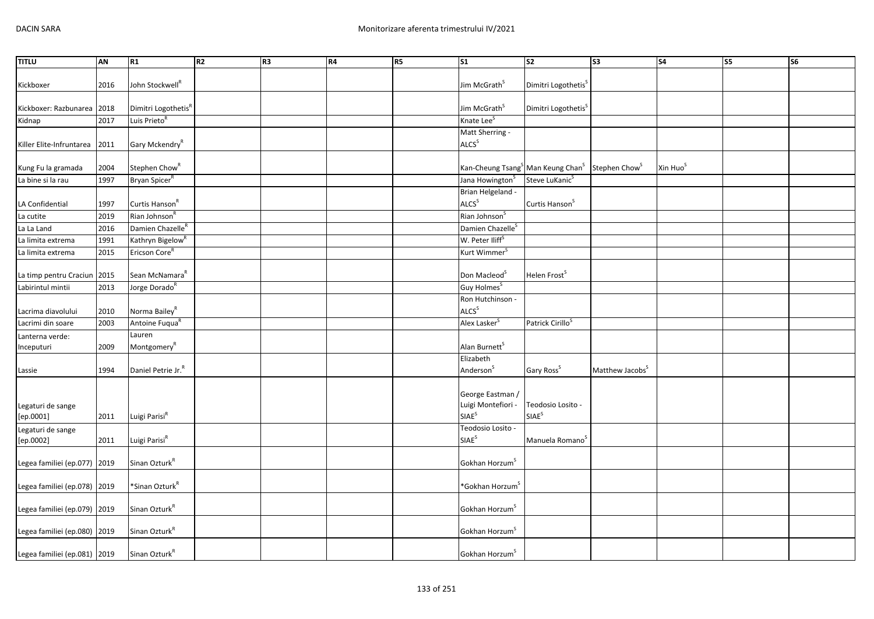| <b>TITLU</b>                   | AN   | R1                                | R <sub>2</sub> | R <sub>3</sub> | R4 | R <sub>5</sub> | $\overline{\text{S1}}$                                             | S <sub>2</sub>                         | $\overline{\text{S3}}$      | S <sub>4</sub>       | S5 | <b>S6</b> |
|--------------------------------|------|-----------------------------------|----------------|----------------|----|----------------|--------------------------------------------------------------------|----------------------------------------|-----------------------------|----------------------|----|-----------|
| Kickboxer                      | 2016 | John Stockwell <sup>R</sup>       |                |                |    |                | Jim McGrath <sup>S</sup>                                           | Dimitri Logothetis <sup>5</sup>        |                             |                      |    |           |
| Kickboxer: Razbunarea          | 2018 | Dimitri Logothetis <sup>R</sup>   |                |                |    |                | Jim McGrath <sup>S</sup>                                           | Dimitri Logothetis <sup>S</sup>        |                             |                      |    |           |
| Kidnap                         | 2017 | Luis Prieto <sup>R</sup>          |                |                |    |                | Knate Lee <sup>S</sup>                                             |                                        |                             |                      |    |           |
| Killer Elite-Infruntarea       | 2011 | Gary Mckendry <sup>R</sup>        |                |                |    |                | Matt Sherring -<br>ALCS <sup>S</sup>                               |                                        |                             |                      |    |           |
| Kung Fu la gramada             | 2004 | Stephen Chow <sup>R</sup>         |                |                |    |                | Kan-Cheung Tsang <sup>S</sup> Man Keung Chan <sup>S</sup>          |                                        | Stephen Chow <sup>S</sup>   | Xin Huo <sup>S</sup> |    |           |
| La bine si la rau              | 1997 | Bryan Spicer <sup>R</sup>         |                |                |    |                | Jana Howington <sup>S</sup>                                        | Steve LuKanic <sup>S</sup>             |                             |                      |    |           |
| LA Confidential                | 1997 | Curtis Hanson <sup>R</sup>        |                |                |    |                | Brian Helgeland -<br>ALCS <sup>S</sup>                             | Curtis Hanson <sup>S</sup>             |                             |                      |    |           |
| La cutite                      | 2019 | Rian Johnson <sup>R</sup>         |                |                |    |                | Rian Johnson <sup>S</sup>                                          |                                        |                             |                      |    |           |
| La La Land                     | 2016 | Damien Chazelle <sup>R</sup>      |                |                |    |                | Damien Chazelle <sup>S</sup>                                       |                                        |                             |                      |    |           |
| La limita extrema              | 1991 | Kathryn Bigelow <sup>R</sup>      |                |                |    |                | W. Peter Iliff <sup>S</sup>                                        |                                        |                             |                      |    |           |
| La limita extrema              | 2015 | Ericson Core <sup>R</sup>         |                |                |    |                | Kurt Wimmer <sup>5</sup>                                           |                                        |                             |                      |    |           |
| La timp pentru Craciun 2015    |      | Sean McNamara <sup>R</sup>        |                |                |    |                | Don Macleod <sup>S</sup>                                           | Helen Frost <sup>S</sup>               |                             |                      |    |           |
| Labirintul mintii              | 2013 | Jorge Dorado <sup>R</sup>         |                |                |    |                | Guy Holmes <sup>S</sup>                                            |                                        |                             |                      |    |           |
| Lacrima diavolului             | 2010 | Norma Bailey <sup>R</sup>         |                |                |    |                | Ron Hutchinson -<br>ALCS <sup>S</sup>                              |                                        |                             |                      |    |           |
| Lacrimi din soare              | 2003 | Antoine Fuqua <sup>R</sup>        |                |                |    |                | Alex Lasker <sup>S</sup>                                           | Patrick Cirillo <sup>S</sup>           |                             |                      |    |           |
| Lanterna verde:<br>Inceputuri  | 2009 | Lauren<br>Montgomery <sup>R</sup> |                |                |    |                | Alan Burnett <sup>S</sup>                                          |                                        |                             |                      |    |           |
| Lassie                         | 1994 | Daniel Petrie Jr. <sup>R</sup>    |                |                |    |                | Elizabeth<br>Anderson <sup>S</sup>                                 | Gary Ross <sup>S</sup>                 | Matthew Jacobs <sup>S</sup> |                      |    |           |
| Legaturi de sange<br>[ep.0001] | 2011 | Luigi Parisi <sup>R</sup>         |                |                |    |                | George Eastman /<br>Luigi Montefiori -<br><b>SIAE</b> <sup>S</sup> | Teodosio Losito -<br>SIAE <sup>S</sup> |                             |                      |    |           |
| Legaturi de sange<br>[ep.0002] | 2011 | Luigi Parisi <sup>R</sup>         |                |                |    |                | Teodosio Losito -<br>SIAE <sup>S</sup>                             | Manuela Romano <sup>5</sup>            |                             |                      |    |           |
| Legea familiei (ep.077) 2019   |      | Sinan Ozturk <sup>R</sup>         |                |                |    |                | Gokhan Horzum <sup>S</sup>                                         |                                        |                             |                      |    |           |
| Legea familiei (ep.078) 2019   |      | *Sinan Ozturk <sup>R</sup>        |                |                |    |                | *Gokhan Horzum`                                                    |                                        |                             |                      |    |           |
| Legea familiei (ep.079) 2019   |      | Sinan Ozturk <sup>R</sup>         |                |                |    |                | Gokhan Horzum <sup>S</sup>                                         |                                        |                             |                      |    |           |
| Legea familiei (ep.080) 2019   |      | Sinan Ozturk <sup>R</sup>         |                |                |    |                | Gokhan Horzum <sup>S</sup>                                         |                                        |                             |                      |    |           |
| Legea familiei (ep.081) 2019   |      | Sinan Ozturk <sup>R</sup>         |                |                |    |                | Gokhan Horzum <sup>5</sup>                                         |                                        |                             |                      |    |           |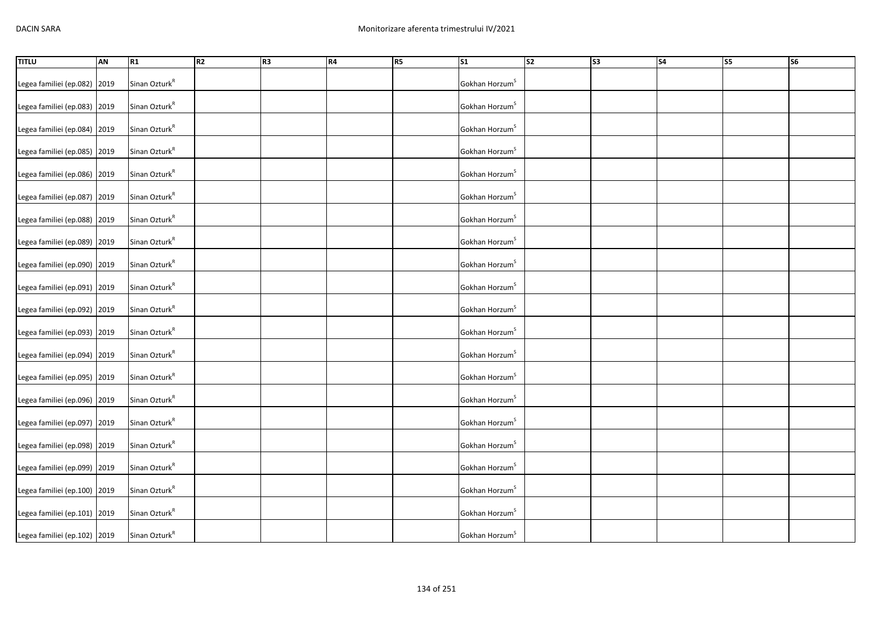| <b>TITLU</b>                 | AN | R1                        | R2 | R3 | R4 | R5 | $\overline{\text{S1}}$     | $\overline{\text{S2}}$ | s <sub>3</sub> | $\overline{\text{S4}}$ | <b>S5</b> | $\overline{\text{S6}}$ |
|------------------------------|----|---------------------------|----|----|----|----|----------------------------|------------------------|----------------|------------------------|-----------|------------------------|
| Legea familiei (ep.082) 2019 |    | Sinan Ozturk <sup>R</sup> |    |    |    |    | Gokhan Horzum <sup>S</sup> |                        |                |                        |           |                        |
| Legea familiei (ep.083) 2019 |    | Sinan Ozturk <sup>R</sup> |    |    |    |    | Gokhan Horzum <sup>S</sup> |                        |                |                        |           |                        |
| Legea familiei (ep.084) 2019 |    | Sinan Ozturk <sup>R</sup> |    |    |    |    | Gokhan Horzum <sup>S</sup> |                        |                |                        |           |                        |
| Legea familiei (ep.085) 2019 |    | Sinan Ozturk <sup>R</sup> |    |    |    |    | Gokhan Horzum <sup>S</sup> |                        |                |                        |           |                        |
| Legea familiei (ep.086) 2019 |    | Sinan Ozturk <sup>R</sup> |    |    |    |    | Gokhan Horzum <sup>S</sup> |                        |                |                        |           |                        |
| Legea familiei (ep.087) 2019 |    | Sinan Ozturk <sup>R</sup> |    |    |    |    | Gokhan Horzum <sup>S</sup> |                        |                |                        |           |                        |
| Legea familiei (ep.088) 2019 |    | Sinan Ozturk <sup>R</sup> |    |    |    |    | Gokhan Horzum <sup>S</sup> |                        |                |                        |           |                        |
| Legea familiei (ep.089) 2019 |    | Sinan Ozturk <sup>R</sup> |    |    |    |    | Gokhan Horzum <sup>S</sup> |                        |                |                        |           |                        |
| Legea familiei (ep.090) 2019 |    | Sinan Ozturk <sup>R</sup> |    |    |    |    | Gokhan Horzum <sup>S</sup> |                        |                |                        |           |                        |
| Legea familiei (ep.091) 2019 |    | Sinan Ozturk <sup>R</sup> |    |    |    |    | Gokhan Horzum <sup>S</sup> |                        |                |                        |           |                        |
| Legea familiei (ep.092) 2019 |    | Sinan Ozturk <sup>R</sup> |    |    |    |    | Gokhan Horzum <sup>S</sup> |                        |                |                        |           |                        |
| Legea familiei (ep.093) 2019 |    | Sinan Ozturk <sup>R</sup> |    |    |    |    | Gokhan Horzum <sup>S</sup> |                        |                |                        |           |                        |
| Legea familiei (ep.094) 2019 |    | Sinan Ozturk <sup>R</sup> |    |    |    |    | Gokhan Horzum <sup>S</sup> |                        |                |                        |           |                        |
| Legea familiei (ep.095) 2019 |    | Sinan Ozturk <sup>R</sup> |    |    |    |    | Gokhan Horzum <sup>S</sup> |                        |                |                        |           |                        |
| Legea familiei (ep.096) 2019 |    | Sinan Ozturk <sup>R</sup> |    |    |    |    | Gokhan Horzum <sup>S</sup> |                        |                |                        |           |                        |
| Legea familiei (ep.097) 2019 |    | Sinan Ozturk <sup>R</sup> |    |    |    |    | Gokhan Horzum <sup>S</sup> |                        |                |                        |           |                        |
| Legea familiei (ep.098) 2019 |    | Sinan Ozturk <sup>R</sup> |    |    |    |    | Gokhan Horzum <sup>S</sup> |                        |                |                        |           |                        |
| Legea familiei (ep.099) 2019 |    | Sinan Ozturk <sup>R</sup> |    |    |    |    | Gokhan Horzum <sup>S</sup> |                        |                |                        |           |                        |
| Legea familiei (ep.100) 2019 |    | Sinan Ozturk <sup>R</sup> |    |    |    |    | Gokhan Horzum <sup>S</sup> |                        |                |                        |           |                        |
| Legea familiei (ep.101) 2019 |    | Sinan Ozturk <sup>R</sup> |    |    |    |    | Gokhan Horzum <sup>S</sup> |                        |                |                        |           |                        |
| Legea familiei (ep.102) 2019 |    | Sinan Ozturk <sup>R</sup> |    |    |    |    | Gokhan Horzum <sup>S</sup> |                        |                |                        |           |                        |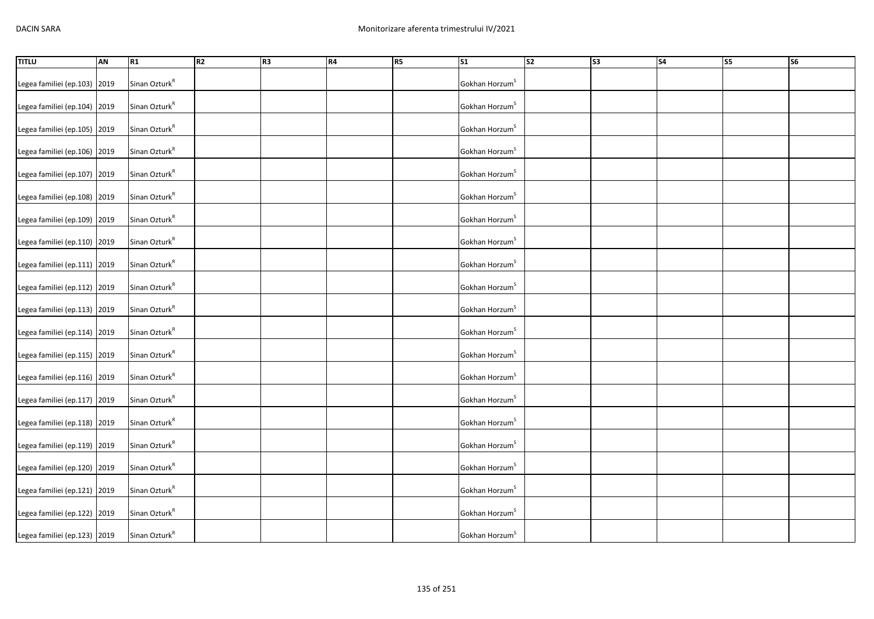| <b>TITLU</b>                 | AN | R1                        | R <sub>2</sub> | R3 | R4 | R5 | $\overline{\text{S1}}$     | S2 | S3 | $\overline{\phantom{a}}$ S4 | $\overline{\text{S5}}$ | <b>S6</b> |
|------------------------------|----|---------------------------|----------------|----|----|----|----------------------------|----|----|-----------------------------|------------------------|-----------|
| Legea familiei (ep.103) 2019 |    | Sinan Ozturk <sup>R</sup> |                |    |    |    | Gokhan Horzum <sup>S</sup> |    |    |                             |                        |           |
| Legea familiei (ep.104) 2019 |    | Sinan Ozturk <sup>R</sup> |                |    |    |    | Gokhan Horzum <sup>S</sup> |    |    |                             |                        |           |
| Legea familiei (ep.105) 2019 |    | Sinan Ozturk <sup>R</sup> |                |    |    |    | Gokhan Horzum <sup>S</sup> |    |    |                             |                        |           |
| Legea familiei (ep.106) 2019 |    | Sinan Ozturk <sup>R</sup> |                |    |    |    | Gokhan Horzum <sup>S</sup> |    |    |                             |                        |           |
| Legea familiei (ep.107) 2019 |    | Sinan Ozturk <sup>R</sup> |                |    |    |    | Gokhan Horzum <sup>S</sup> |    |    |                             |                        |           |
| Legea familiei (ep.108) 2019 |    | Sinan Ozturk <sup>R</sup> |                |    |    |    | Gokhan Horzum <sup>S</sup> |    |    |                             |                        |           |
| Legea familiei (ep.109) 2019 |    | Sinan Ozturk <sup>R</sup> |                |    |    |    | Gokhan Horzum <sup>S</sup> |    |    |                             |                        |           |
| Legea familiei (ep.110) 2019 |    | Sinan Ozturk <sup>R</sup> |                |    |    |    | Gokhan Horzum <sup>S</sup> |    |    |                             |                        |           |
| Legea familiei (ep.111) 2019 |    | Sinan Ozturk <sup>R</sup> |                |    |    |    | Gokhan Horzum <sup>S</sup> |    |    |                             |                        |           |
| Legea familiei (ep.112) 2019 |    | Sinan Ozturk <sup>R</sup> |                |    |    |    | Gokhan Horzum <sup>S</sup> |    |    |                             |                        |           |
| Legea familiei (ep.113) 2019 |    | Sinan Ozturk <sup>R</sup> |                |    |    |    | Gokhan Horzum <sup>S</sup> |    |    |                             |                        |           |
| Legea familiei (ep.114) 2019 |    | Sinan Ozturk <sup>R</sup> |                |    |    |    | Gokhan Horzum <sup>S</sup> |    |    |                             |                        |           |
| Legea familiei (ep.115) 2019 |    | Sinan Ozturk <sup>R</sup> |                |    |    |    | Gokhan Horzum <sup>S</sup> |    |    |                             |                        |           |
| Legea familiei (ep.116) 2019 |    | Sinan Ozturk <sup>R</sup> |                |    |    |    | Gokhan Horzum <sup>S</sup> |    |    |                             |                        |           |
| Legea familiei (ep.117) 2019 |    | Sinan Ozturk <sup>R</sup> |                |    |    |    | Gokhan Horzum <sup>S</sup> |    |    |                             |                        |           |
| Legea familiei (ep.118) 2019 |    | Sinan Ozturk <sup>R</sup> |                |    |    |    | Gokhan Horzum <sup>S</sup> |    |    |                             |                        |           |
| Legea familiei (ep.119) 2019 |    | Sinan Ozturk <sup>R</sup> |                |    |    |    | Gokhan Horzum <sup>S</sup> |    |    |                             |                        |           |
| Legea familiei (ep.120) 2019 |    | Sinan Ozturk <sup>R</sup> |                |    |    |    | Gokhan Horzum <sup>S</sup> |    |    |                             |                        |           |
| Legea familiei (ep.121) 2019 |    | Sinan Ozturk <sup>R</sup> |                |    |    |    | Gokhan Horzum <sup>S</sup> |    |    |                             |                        |           |
| Legea familiei (ep.122) 2019 |    | Sinan Ozturk $R$          |                |    |    |    | Gokhan Horzum <sup>S</sup> |    |    |                             |                        |           |
| Legea familiei (ep.123) 2019 |    | Sinan Ozturk <sup>R</sup> |                |    |    |    | Gokhan Horzum <sup>S</sup> |    |    |                             |                        |           |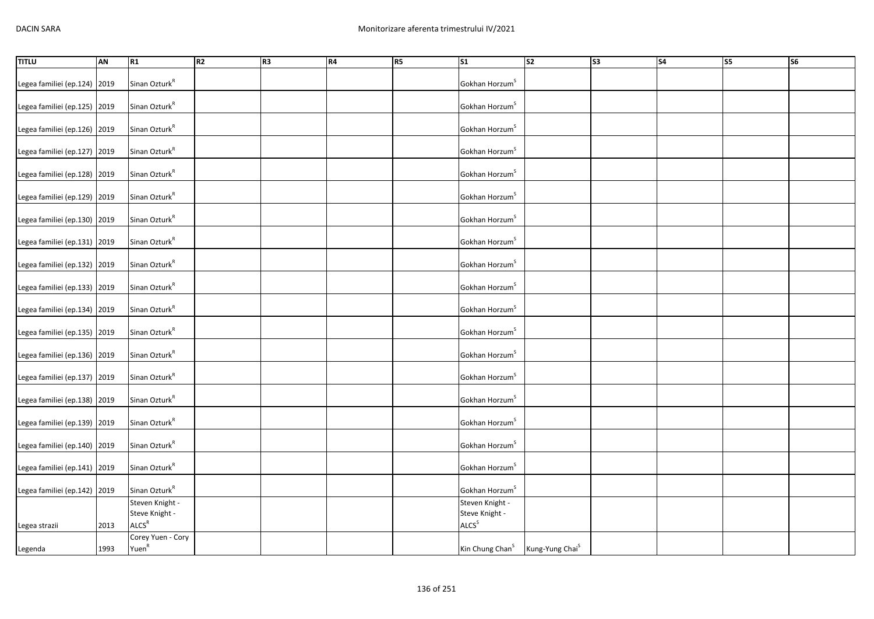| <b>TITLU</b>                 | AN   | R1                                     | R <sub>2</sub> | R <sub>3</sub> | R4 | R5 | <b>S1</b>                         | s2                          | S3 | S <sub>4</sub> | S5 | S6 |
|------------------------------|------|----------------------------------------|----------------|----------------|----|----|-----------------------------------|-----------------------------|----|----------------|----|----|
| Legea familiei (ep.124) 2019 |      | Sinan Ozturk <sup>R</sup>              |                |                |    |    | Gokhan Horzum <sup>3</sup>        |                             |    |                |    |    |
| Legea familiei (ep.125) 2019 |      | Sinan Ozturk <sup>R</sup>              |                |                |    |    | Gokhan Horzum <sup>S</sup>        |                             |    |                |    |    |
| Legea familiei (ep.126) 2019 |      | Sinan Ozturk <sup>R</sup>              |                |                |    |    | Gokhan Horzum <sup>S</sup>        |                             |    |                |    |    |
| Legea familiei (ep.127) 2019 |      | Sinan Ozturk <sup>R</sup>              |                |                |    |    | Gokhan Horzum <sup>S</sup>        |                             |    |                |    |    |
| Legea familiei (ep.128) 2019 |      | Sinan Ozturk <sup>R</sup>              |                |                |    |    | Gokhan Horzum <sup>S</sup>        |                             |    |                |    |    |
| Legea familiei (ep.129) 2019 |      | Sinan Ozturk <sup>R</sup>              |                |                |    |    | Gokhan Horzum <sup>S</sup>        |                             |    |                |    |    |
| Legea familiei (ep.130) 2019 |      | Sinan Ozturk <sup>R</sup>              |                |                |    |    | Gokhan Horzum <sup>S</sup>        |                             |    |                |    |    |
| Legea familiei (ep.131) 2019 |      | Sinan Ozturk <sup>R</sup>              |                |                |    |    | Gokhan Horzum <sup>S</sup>        |                             |    |                |    |    |
| Legea familiei (ep.132) 2019 |      | Sinan Ozturk <sup>R</sup>              |                |                |    |    | Gokhan Horzum <sup>S</sup>        |                             |    |                |    |    |
| Legea familiei (ep.133) 2019 |      | Sinan Ozturk <sup>R</sup>              |                |                |    |    | Gokhan Horzum <sup>S</sup>        |                             |    |                |    |    |
| Legea familiei (ep.134) 2019 |      | Sinan Ozturk <sup>R</sup>              |                |                |    |    | Gokhan Horzum <sup>S</sup>        |                             |    |                |    |    |
| Legea familiei (ep.135) 2019 |      | Sinan Ozturk <sup>R</sup>              |                |                |    |    | Gokhan Horzum <sup>S</sup>        |                             |    |                |    |    |
| Legea familiei (ep.136) 2019 |      | Sinan Ozturk <sup>R</sup>              |                |                |    |    | Gokhan Horzum <sup>S</sup>        |                             |    |                |    |    |
| Legea familiei (ep.137) 2019 |      | Sinan Ozturk <sup>R</sup>              |                |                |    |    | Gokhan Horzum <sup>S</sup>        |                             |    |                |    |    |
| Legea familiei (ep.138) 2019 |      | Sinan Ozturk <sup>R</sup>              |                |                |    |    | Gokhan Horzum <sup>S</sup>        |                             |    |                |    |    |
| Legea familiei (ep.139) 2019 |      | Sinan Ozturk <sup>R</sup>              |                |                |    |    | Gokhan Horzum <sup>S</sup>        |                             |    |                |    |    |
| Legea familiei (ep.140) 2019 |      | Sinan Ozturk <sup>R</sup>              |                |                |    |    | Gokhan Horzum <sup>S</sup>        |                             |    |                |    |    |
| Legea familiei (ep.141) 2019 |      | Sinan Ozturk <sup>R</sup>              |                |                |    |    | Gokhan Horzum <sup>S</sup>        |                             |    |                |    |    |
| Legea familiei (ep.142) 2019 |      | Sinan Ozturk <sup>R</sup>              |                |                |    |    | Gokhan Horzum <sup>S</sup>        |                             |    |                |    |    |
|                              |      | Steven Knight -<br>Steve Knight -      |                |                |    |    | Steven Knight -<br>Steve Knight - |                             |    |                |    |    |
| Legea strazii                | 2013 | ALCS <sup>R</sup>                      |                |                |    |    | ALCS <sup>S</sup>                 |                             |    |                |    |    |
| Legenda                      | 1993 | Corey Yuen - Cory<br>Yuen <sup>R</sup> |                |                |    |    | Kin Chung Chan <sup>S</sup>       | Kung-Yung Chai <sup>S</sup> |    |                |    |    |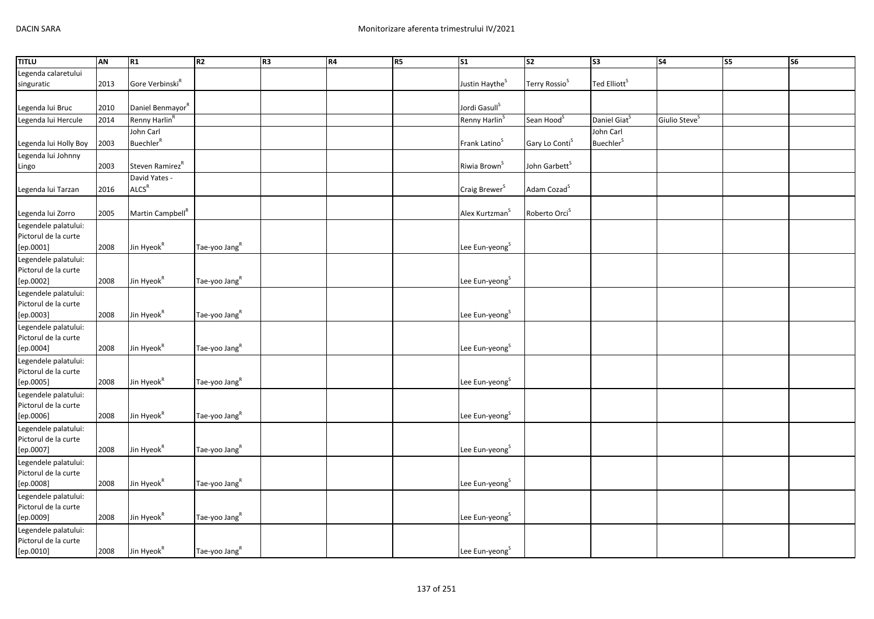| <b>TITLU</b>                                 | <b>AN</b> | R1                           | R <sub>2</sub>            | R <sub>3</sub> | R4 | R5 | $\overline{\text{S1}}$     | $\overline{\text{S2}}$     | $\overline{\text{S3}}$       | $\overline{\text{S4}}$    | <b>S5</b> | $\overline{\text{S6}}$ |
|----------------------------------------------|-----------|------------------------------|---------------------------|----------------|----|----|----------------------------|----------------------------|------------------------------|---------------------------|-----------|------------------------|
| Legenda calaretului                          |           |                              |                           |                |    |    |                            |                            |                              |                           |           |                        |
| singuratic                                   | 2013      | Gore Verbinski <sup>R</sup>  |                           |                |    |    | Justin Haythe <sup>S</sup> | Terry Rossio <sup>S</sup>  | Ted Elliott <sup>S</sup>     |                           |           |                        |
|                                              |           |                              |                           |                |    |    |                            |                            |                              |                           |           |                        |
| Legenda lui Bruc                             | 2010      | Daniel Benmayor <sup>R</sup> |                           |                |    |    | Jordi Gasull <sup>S</sup>  |                            |                              |                           |           |                        |
| Legenda lui Hercule                          | 2014      | Renny Harlin <sup>R</sup>    |                           |                |    |    | Renny Harlin <sup>S</sup>  | Sean Hood <sup>S</sup>     | Daniel Giat <sup>S</sup>     | Giulio Steve <sup>S</sup> |           |                        |
|                                              |           | John Carl                    |                           |                |    |    |                            |                            | John Carl                    |                           |           |                        |
| Legenda lui Holly Boy                        | 2003      | <b>Buechler</b> <sup>R</sup> |                           |                |    |    | Frank Latino <sup>S</sup>  | Gary Lo Conti <sup>S</sup> | <b>Buechler</b> <sup>S</sup> |                           |           |                        |
| Legenda lui Johnny                           |           |                              |                           |                |    |    |                            |                            |                              |                           |           |                        |
| Lingo                                        | 2003      | Steven Ramirez <sup>R</sup>  |                           |                |    |    | Riwia Brown <sup>S</sup>   | John Garbett <sup>S</sup>  |                              |                           |           |                        |
|                                              |           | David Yates -                |                           |                |    |    |                            |                            |                              |                           |           |                        |
| Legenda lui Tarzan                           | 2016      | ALCS <sup>R</sup>            |                           |                |    |    | Craig Brewer <sup>S</sup>  | Adam Cozad <sup>S</sup>    |                              |                           |           |                        |
|                                              |           |                              |                           |                |    |    |                            |                            |                              |                           |           |                        |
| Legenda lui Zorro                            | 2005      | Martin Campbell <sup>R</sup> |                           |                |    |    | Alex Kurtzman <sup>S</sup> | Roberto Orci <sup>S</sup>  |                              |                           |           |                        |
| Legendele palatului:                         |           |                              |                           |                |    |    |                            |                            |                              |                           |           |                        |
| Pictorul de la curte                         |           |                              |                           |                |    |    |                            |                            |                              |                           |           |                        |
| [ep.0001]                                    | 2008      | Jin Hyeok <sup>R</sup>       | Tae-yoo Jang <sup>R</sup> |                |    |    | Lee Eun-yeong <sup>S</sup> |                            |                              |                           |           |                        |
| Legendele palatului:                         |           |                              |                           |                |    |    |                            |                            |                              |                           |           |                        |
| Pictorul de la curte                         |           |                              |                           |                |    |    |                            |                            |                              |                           |           |                        |
| [ep.0002]                                    | 2008      | Jin Hyeok <sup>R</sup>       | Tae-yoo Jang <sup>R</sup> |                |    |    | Lee Eun-yeong <sup>S</sup> |                            |                              |                           |           |                        |
| Legendele palatului:                         |           |                              |                           |                |    |    |                            |                            |                              |                           |           |                        |
| Pictorul de la curte                         |           |                              |                           |                |    |    |                            |                            |                              |                           |           |                        |
| [ep.0003]                                    | 2008      | Jin Hyeok <sup>R</sup>       | Tae-yoo Jang <sup>R</sup> |                |    |    | Lee Eun-yeong <sup>S</sup> |                            |                              |                           |           |                        |
| Legendele palatului:                         |           |                              |                           |                |    |    |                            |                            |                              |                           |           |                        |
| Pictorul de la curte                         |           |                              |                           |                |    |    |                            |                            |                              |                           |           |                        |
| [ep.0004]                                    | 2008      | Jin Hyeok <sup>R</sup>       | Tae-yoo Jang <sup>R</sup> |                |    |    | Lee Eun-yeong <sup>S</sup> |                            |                              |                           |           |                        |
| Legendele palatului:                         |           |                              |                           |                |    |    |                            |                            |                              |                           |           |                        |
| Pictorul de la curte                         |           |                              |                           |                |    |    |                            |                            |                              |                           |           |                        |
| [ep.0005]                                    | 2008      | Jin Hyeok <sup>R</sup>       | Tae-yoo Jang <sup>R</sup> |                |    |    | Lee Eun-yeong <sup>S</sup> |                            |                              |                           |           |                        |
| Legendele palatului:                         |           |                              |                           |                |    |    |                            |                            |                              |                           |           |                        |
| Pictorul de la curte                         |           |                              |                           |                |    |    |                            |                            |                              |                           |           |                        |
| [ep.0006]                                    | 2008      | Jin Hyeok <sup>R</sup>       | Tae-yoo Jang <sup>R</sup> |                |    |    | Lee Eun-yeong <sup>S</sup> |                            |                              |                           |           |                        |
| Legendele palatului:                         |           |                              |                           |                |    |    |                            |                            |                              |                           |           |                        |
| Pictorul de la curte                         |           | Jin Hyeok <sup>R</sup>       | Tae-yoo Jang <sup>R</sup> |                |    |    | Lee Eun-yeong <sup>S</sup> |                            |                              |                           |           |                        |
| [ep.0007]                                    | 2008      |                              |                           |                |    |    |                            |                            |                              |                           |           |                        |
| Legendele palatului:<br>Pictorul de la curte |           |                              |                           |                |    |    |                            |                            |                              |                           |           |                        |
| [ep.0008]                                    | 2008      | Jin Hyeok <sup>R</sup>       | Tae-yoo Jang <sup>R</sup> |                |    |    | Lee Eun-yeong <sup>S</sup> |                            |                              |                           |           |                        |
|                                              |           |                              |                           |                |    |    |                            |                            |                              |                           |           |                        |
| Legendele palatului:<br>Pictorul de la curte |           |                              |                           |                |    |    |                            |                            |                              |                           |           |                        |
| [ep.0009]                                    | 2008      | Jin Hyeok <sup>R</sup>       | Tae-yoo Jang <sup>R</sup> |                |    |    | Lee Eun-yeong <sup>S</sup> |                            |                              |                           |           |                        |
| Legendele palatului:                         |           |                              |                           |                |    |    |                            |                            |                              |                           |           |                        |
| Pictorul de la curte                         |           |                              |                           |                |    |    |                            |                            |                              |                           |           |                        |
| [ep.0010]                                    | 2008      | Jin Hyeok <sup>R</sup>       | Tae-yoo Jang <sup>R</sup> |                |    |    | Lee Eun-yeong <sup>S</sup> |                            |                              |                           |           |                        |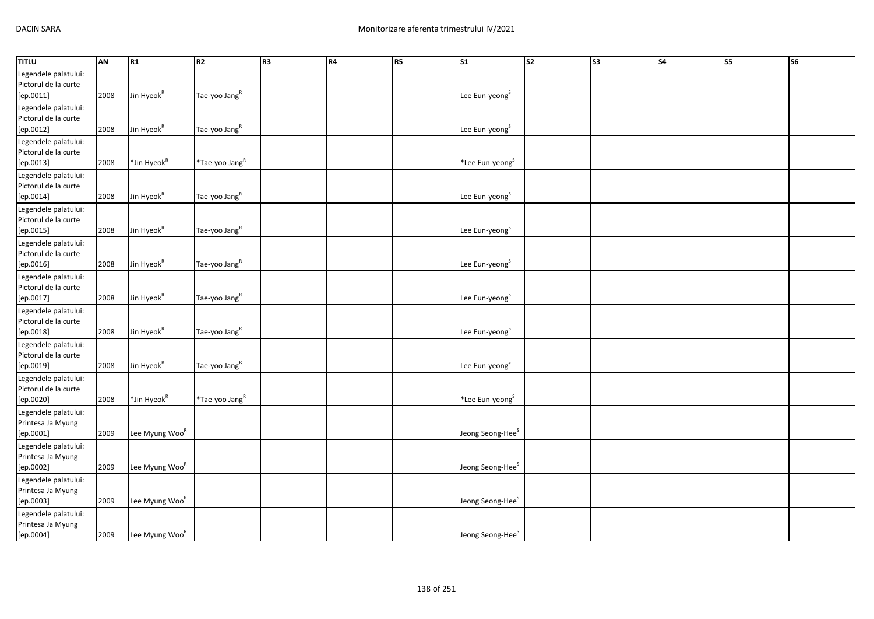| <b>TITLU</b>                                                      | AN   | R1                         | R <sub>2</sub>             | R <sub>3</sub> | R4 | <b>R5</b> | S <sub>1</sub>               | S <sub>2</sub> | S <sub>3</sub> | S <sub>4</sub> | S <sub>5</sub> | S6 |
|-------------------------------------------------------------------|------|----------------------------|----------------------------|----------------|----|-----------|------------------------------|----------------|----------------|----------------|----------------|----|
| Legendele palatului:<br>Pictorul de la curte<br>[ep.0011]         | 2008 | Jin Hyeok <sup>R</sup>     | Tae-yoo Jang <sup>R</sup>  |                |    |           | Lee Eun-yeong <sup>S</sup>   |                |                |                |                |    |
| Legendele palatului:<br>Pictorul de la curte<br>[ep.0012]         | 2008 | Jin Hyeok <sup>R</sup>     | Tae-yoo Jang <sup>R</sup>  |                |    |           | Lee Eun-yeong <sup>S</sup>   |                |                |                |                |    |
| Legendele palatului:<br>Pictorul de la curte<br>[ep.0013]         | 2008 | *Jin Hyeok <sup>R</sup>    | *Tae-yoo Jang <sup>R</sup> |                |    |           | *Lee Eun-yeong <sup>S</sup>  |                |                |                |                |    |
| Legendele palatului:<br>Pictorul de la curte<br>[ep.0014]         | 2008 | Jin Hyeok <sup>R</sup>     | Tae-yoo Jang <sup>R</sup>  |                |    |           | Lee Eun-yeong <sup>S</sup>   |                |                |                |                |    |
| Legendele palatului:<br>Pictorul de la curte<br>[ep.0015]         | 2008 | Jin Hyeok <sup>R</sup>     | Tae-yoo Jang <sup>R</sup>  |                |    |           | Lee Eun-yeong <sup>S</sup>   |                |                |                |                |    |
| Legendele palatului:<br>Pictorul de la curte<br>$[{\sf ep.0016}]$ | 2008 | Jin Hyeok <sup>R</sup>     | Tae-yoo Jang <sup>R</sup>  |                |    |           | Lee Eun-yeong <sup>S</sup>   |                |                |                |                |    |
| Legendele palatului:<br>Pictorul de la curte<br>[ep.0017]         | 2008 | Jin Hyeok <sup>R</sup>     | Tae-yoo Jang <sup>R</sup>  |                |    |           | Lee Eun-yeong <sup>S</sup>   |                |                |                |                |    |
| Legendele palatului:<br>Pictorul de la curte<br>[ep.0018]         | 2008 | Jin Hyeok <sup>R</sup>     | Tae-yoo Jang <sup>R</sup>  |                |    |           | Lee Eun-yeong <sup>S</sup>   |                |                |                |                |    |
| Legendele palatului:<br>Pictorul de la curte<br>[ep.0019]         | 2008 | Jin Hyeok <sup>R</sup>     | Tae-yoo Jang <sup>R</sup>  |                |    |           | Lee Eun-yeong <sup>S</sup>   |                |                |                |                |    |
| Legendele palatului:<br>Pictorul de la curte<br>[ep.0020]         | 2008 | *Jin Hyeok <sup>R</sup>    | *Tae-yoo Jang <sup>R</sup> |                |    |           | *Lee Eun-yeong <sup>S</sup>  |                |                |                |                |    |
| Legendele palatului:<br>Printesa Ja Myung<br>[ep.0001]            | 2009 | Lee Myung Woo <sup>R</sup> |                            |                |    |           | Jeong Seong-Hee <sup>S</sup> |                |                |                |                |    |
| Legendele palatului:<br>Printesa Ja Myung<br>[ep.0002]            | 2009 | Lee Myung Woo <sup>R</sup> |                            |                |    |           | Jeong Seong-Hee <sup>S</sup> |                |                |                |                |    |
| Legendele palatului:<br>Printesa Ja Myung<br>[ep.0003]            | 2009 | Lee Myung Woo <sup>R</sup> |                            |                |    |           | Jeong Seong-Hee <sup>S</sup> |                |                |                |                |    |
| Legendele palatului:<br>Printesa Ja Myung<br>[ep.0004]            | 2009 | Lee Myung Woo <sup>R</sup> |                            |                |    |           | Jeong Seong-Hee <sup>S</sup> |                |                |                |                |    |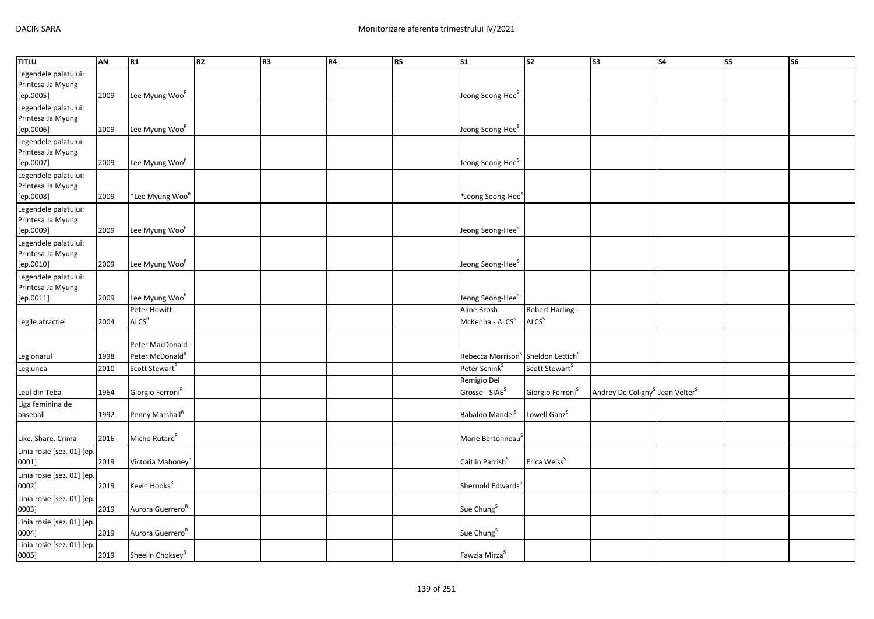| <b>TITLU</b>                                           | AN   | R1                                               | R2 | R <sub>3</sub> | R4 | R5 | S <sub>1</sub>                             | S <sub>2</sub>                        | S <sub>3</sub>                                          | S <sub>4</sub> | $\overline{\text{S}}$ | $\overline{\text{S6}}$ |
|--------------------------------------------------------|------|--------------------------------------------------|----|----------------|----|----|--------------------------------------------|---------------------------------------|---------------------------------------------------------|----------------|-----------------------|------------------------|
| Legendele palatului:<br>Printesa Ja Myung<br>[ep.0005] | 2009 | Lee Myung Woo <sup>R</sup>                       |    |                |    |    | Jeong Seong-Hee <sup>S</sup>               |                                       |                                                         |                |                       |                        |
| Legendele palatului:<br>Printesa Ja Myung<br>[ep.0006] | 2009 | Lee Myung Woo <sup>R</sup>                       |    |                |    |    | Jeong Seong-Hee <sup>S</sup>               |                                       |                                                         |                |                       |                        |
| Legendele palatului:<br>Printesa Ja Myung<br>[ep.0007] | 2009 | Lee Myung Woo <sup>R</sup>                       |    |                |    |    | Jeong Seong-Hee <sup>S</sup>               |                                       |                                                         |                |                       |                        |
| Legendele palatului:<br>Printesa Ja Myung<br>[ep.0008] | 2009 | *Lee Myung Woo <sup>R</sup>                      |    |                |    |    | *Jeong Seong-Hee <sup>5</sup>              |                                       |                                                         |                |                       |                        |
| Legendele palatului:<br>Printesa Ja Myung<br>[ep.0009] | 2009 | Lee Myung Woo <sup>R</sup>                       |    |                |    |    | Jeong Seong-Hee <sup>S</sup>               |                                       |                                                         |                |                       |                        |
| Legendele palatului:<br>Printesa Ja Myung<br>[ep.0010] | 2009 | Lee Myung Woo <sup>R</sup>                       |    |                |    |    | Jeong Seong-Hee <sup>S</sup>               |                                       |                                                         |                |                       |                        |
| Legendele palatului:<br>Printesa Ja Myung<br>[ep.0011] | 2009 | Lee Myung Woo <sup>R</sup>                       |    |                |    |    | Jeong Seong-Hee <sup>S</sup>               |                                       |                                                         |                |                       |                        |
| Legile atractiei                                       | 2004 | Peter Howitt -<br>ALCS <sup>R</sup>              |    |                |    |    | Aline Brosh<br>McKenna - ALCS <sup>S</sup> | Robert Harling -<br>ALCS <sup>S</sup> |                                                         |                |                       |                        |
| Legionarul                                             | 1998 | Peter MacDonald -<br>Peter McDonald <sup>R</sup> |    |                |    |    | Rebecca Morrison <sup>5</sup>              | Sheldon Lettich <sup>S</sup>          |                                                         |                |                       |                        |
| Legiunea                                               | 2010 | Scott Stewart <sup>R</sup>                       |    |                |    |    | Peter Schink <sup>S</sup>                  | Scott Stewart <sup>S</sup>            |                                                         |                |                       |                        |
| Leul din Teba                                          | 1964 | Giorgio Ferroni <sup>R</sup>                     |    |                |    |    | Remigio Del<br>Grosso - SIAE <sup>S</sup>  | Giorgio Ferroni <sup>S</sup>          | Andrey De Coligny <sup>S</sup> Jean Velter <sup>S</sup> |                |                       |                        |
| Liga feminina de<br>baseball                           | 1992 | Penny Marshall <sup>R</sup>                      |    |                |    |    | Babaloo Mandel <sup>S</sup>                | Lowell Ganz <sup>S</sup>              |                                                         |                |                       |                        |
| Like. Share. Crima                                     | 2016 | Micho Rutare <sup>R</sup>                        |    |                |    |    | Marie Bertonneau <sup>5</sup>              |                                       |                                                         |                |                       |                        |
| Linia rosie [sez. 01] [ep.<br>0001]                    | 2019 | Victoria Mahoney <sup>R</sup>                    |    |                |    |    | Caitlin Parrish <sup>S</sup>               | Erica Weiss <sup>S</sup>              |                                                         |                |                       |                        |
| Linia rosie [sez. 01] [ep.<br>0002]                    | 2019 | Kevin Hooks <sup>R</sup>                         |    |                |    |    | Shernold Edwards <sup>5</sup>              |                                       |                                                         |                |                       |                        |
| Linia rosie [sez. 01] [ep.<br>0003]                    | 2019 | Aurora Guerrero <sup>R</sup>                     |    |                |    |    | Sue Chung <sup>S</sup>                     |                                       |                                                         |                |                       |                        |
| Linia rosie [sez. 01] [ep.<br>0004]                    | 2019 | Aurora Guerrero <sup>R</sup>                     |    |                |    |    | Sue Chung <sup>S</sup>                     |                                       |                                                         |                |                       |                        |
| Linia rosie [sez. 01] [ep.<br>0005]                    | 2019 | Sheelin Choksey <sup>R</sup>                     |    |                |    |    | Fawzia Mirza <sup>S</sup>                  |                                       |                                                         |                |                       |                        |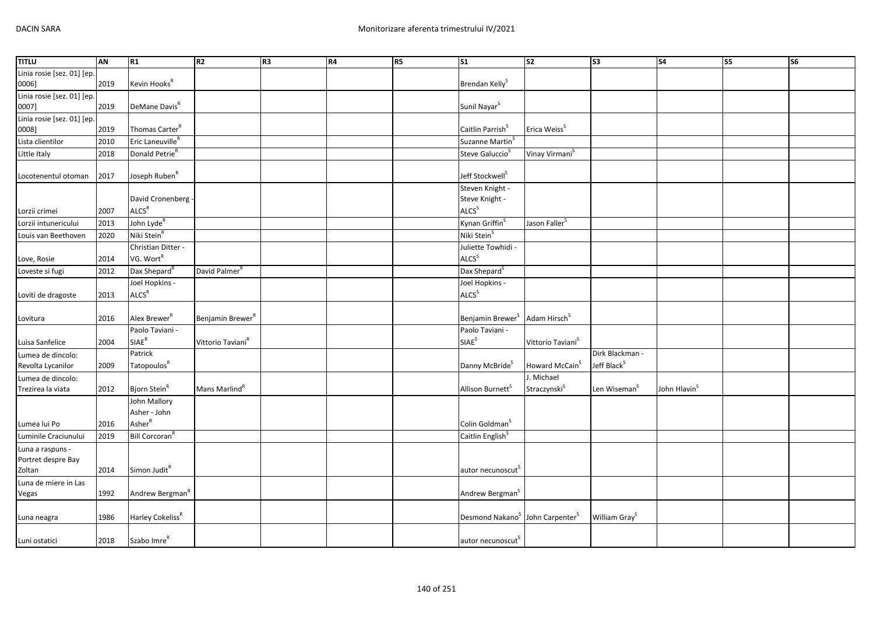| <b>TITLU</b>               | AN   | R1                           | R2                            | R <sub>3</sub> | R4 | <b>R5</b> | <b>S1</b>                                               | $\overline{\text{S2}}$        | $\overline{\text{S3}}$    | $\overline{\text{S4}}$   | S5 | S <sub>6</sub> |
|----------------------------|------|------------------------------|-------------------------------|----------------|----|-----------|---------------------------------------------------------|-------------------------------|---------------------------|--------------------------|----|----------------|
| Linia rosie [sez. 01] [ep. |      |                              |                               |                |    |           |                                                         |                               |                           |                          |    |                |
| 0006]                      | 2019 | Kevin Hooks <sup>R</sup>     |                               |                |    |           | Brendan Kelly <sup>S</sup>                              |                               |                           |                          |    |                |
| Linia rosie [sez. 01] [ep. |      |                              |                               |                |    |           |                                                         |                               |                           |                          |    |                |
| 0007]                      | 2019 | DeMane Davis <sup>R</sup>    |                               |                |    |           | Sunil Nayar <sup>S</sup>                                |                               |                           |                          |    |                |
| Linia rosie [sez. 01] [ep. |      |                              |                               |                |    |           |                                                         |                               |                           |                          |    |                |
| 0008]                      | 2019 | Thomas Carter <sup>R</sup>   |                               |                |    |           | Caitlin Parrish <sup>S</sup>                            | Erica Weiss <sup>S</sup>      |                           |                          |    |                |
| Lista clientilor           | 2010 | Eric Laneuville <sup>R</sup> |                               |                |    |           | Suzanne Martin <sup>S</sup>                             |                               |                           |                          |    |                |
| Little Italy               | 2018 | Donald Petrie <sup>R</sup>   |                               |                |    |           | Steve Galuccio <sup>S</sup>                             | Vinay Virmani <sup>S</sup>    |                           |                          |    |                |
| Locotenentul otoman        | 2017 | Joseph Ruben <sup>R</sup>    |                               |                |    |           | Jeff Stockwell <sup>S</sup>                             |                               |                           |                          |    |                |
|                            |      |                              |                               |                |    |           | Steven Knight -                                         |                               |                           |                          |    |                |
|                            |      | David Cronenberg -           |                               |                |    |           | Steve Knight -                                          |                               |                           |                          |    |                |
| Lorzii crimei              | 2007 | ALCS <sup>R</sup>            |                               |                |    |           | ALCS <sup>S</sup>                                       |                               |                           |                          |    |                |
| Lorzii intunericului       | 2013 | John Lyde <sup>R</sup>       |                               |                |    |           | Kynan Griffin <sup>S</sup>                              | Jason Faller <sup>S</sup>     |                           |                          |    |                |
| Louis van Beethoven        | 2020 | Niki Stein <sup>R</sup>      |                               |                |    |           | Niki Stein <sup>S</sup>                                 |                               |                           |                          |    |                |
|                            |      | Christian Ditter -           |                               |                |    |           | Juliette Towhidi -                                      |                               |                           |                          |    |                |
| Love, Rosie                | 2014 | VG. Wort <sup>R</sup>        |                               |                |    |           | ALCS <sup>S</sup>                                       |                               |                           |                          |    |                |
| Loveste si fugi            | 2012 | Dax Shepard <sup>R</sup>     | David Palmer <sup>R</sup>     |                |    |           | Dax Shepard <sup>S</sup>                                |                               |                           |                          |    |                |
|                            |      | Joel Hopkins -               |                               |                |    |           | Joel Hopkins -                                          |                               |                           |                          |    |                |
| Loviti de dragoste         | 2013 | ALCS <sup>R</sup>            |                               |                |    |           | ALCS <sup>S</sup>                                       |                               |                           |                          |    |                |
| Lovitura                   | 2016 | Alex Brewer <sup>R</sup>     | Benjamin Brewer <sup>R</sup>  |                |    |           | Benjamin Brewer <sup>S</sup> Adam Hirsch <sup>S</sup>   |                               |                           |                          |    |                |
|                            |      | Paolo Taviani -              |                               |                |    |           | Paolo Taviani -                                         |                               |                           |                          |    |                |
| Luisa Sanfelice            | 2004 | $\mathsf{SIAE}^\mathsf{R}$   | Vittorio Taviani <sup>R</sup> |                |    |           | SIAE <sup>S</sup>                                       | Vittorio Taviani <sup>S</sup> |                           |                          |    |                |
| Lumea de dincolo:          |      | Patrick                      |                               |                |    |           |                                                         |                               | Dirk Blackman -           |                          |    |                |
| Revolta Lycanilor          | 2009 | Tatopoulos <sup>R</sup>      |                               |                |    |           | Danny McBride <sup>S</sup>                              | Howard McCain <sup>S</sup>    | Jeff Black <sup>S</sup>   |                          |    |                |
| Lumea de dincolo:          |      |                              |                               |                |    |           |                                                         | J. Michael                    |                           |                          |    |                |
| Trezirea la viata          | 2012 | Bjorn Stein <sup>R</sup>     | Mans Marlind <sup>R</sup>     |                |    |           | Allison Burnett <sup>S</sup>                            | Straczynski $^{\text{S}}$     | Len Wiseman <sup>S</sup>  | John Hlavin <sup>S</sup> |    |                |
|                            |      | John Mallory                 |                               |                |    |           |                                                         |                               |                           |                          |    |                |
|                            |      | Asher - John                 |                               |                |    |           |                                                         |                               |                           |                          |    |                |
| Lumea lui Po               | 2016 | AsherR                       |                               |                |    |           | Colin Goldman <sup>S</sup>                              |                               |                           |                          |    |                |
| Luminile Craciunului       | 2019 | Bill Corcoran <sup>"</sup>   |                               |                |    |           | Caitlin English <sup>S</sup>                            |                               |                           |                          |    |                |
| Luna a raspuns -           |      |                              |                               |                |    |           |                                                         |                               |                           |                          |    |                |
| Portret despre Bay         |      |                              |                               |                |    |           |                                                         |                               |                           |                          |    |                |
| Zoltan                     | 2014 | Simon Judit <sup>R</sup>     |                               |                |    |           | autor necunoscut                                        |                               |                           |                          |    |                |
| Luna de miere in Las       |      |                              |                               |                |    |           |                                                         |                               |                           |                          |    |                |
| Vegas                      | 1992 | Andrew Bergman <sup>R</sup>  |                               |                |    |           | Andrew Bergman <sup>S</sup>                             |                               |                           |                          |    |                |
|                            |      |                              |                               |                |    |           |                                                         |                               |                           |                          |    |                |
| Luna neagra                | 1986 | Harley Cokeliss <sup>R</sup> |                               |                |    |           | Desmond Nakano <sup>S</sup> John Carpenter <sup>S</sup> |                               | William Gray <sup>S</sup> |                          |    |                |
|                            |      |                              |                               |                |    |           |                                                         |                               |                           |                          |    |                |
| Luni ostatici              | 2018 | Szabo Imre <sup>R</sup>      |                               |                |    |           | autor necunoscut <sup>S</sup>                           |                               |                           |                          |    |                |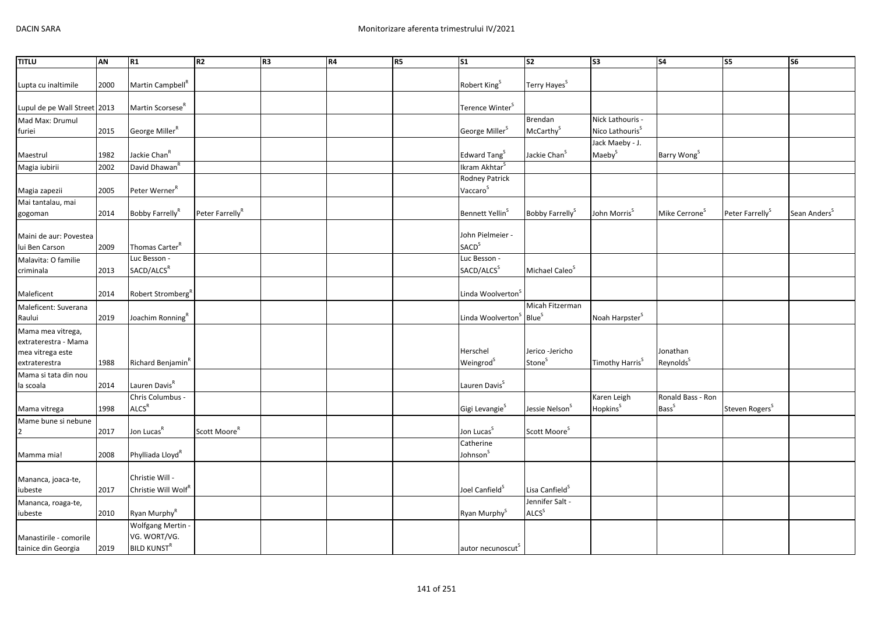| <b>TITLU</b>                      | AN   | R1                              | R2                          | R <sub>3</sub> | <b>R4</b> | R5 | $\overline{\text{S1}}$                          | $\overline{\text{S2}}$      | S3                          | $\overline{\phantom{a}}$  | <b>S5</b>                   | $\overline{\text{S6}}$   |
|-----------------------------------|------|---------------------------------|-----------------------------|----------------|-----------|----|-------------------------------------------------|-----------------------------|-----------------------------|---------------------------|-----------------------------|--------------------------|
|                                   |      |                                 |                             |                |           |    |                                                 |                             |                             |                           |                             |                          |
| Lupta cu inaltimile               | 2000 | Martin Campbell <sup>R</sup>    |                             |                |           |    | Robert King <sup>S</sup>                        | Terry Hayes <sup>S</sup>    |                             |                           |                             |                          |
|                                   |      |                                 |                             |                |           |    |                                                 |                             |                             |                           |                             |                          |
| Lupul de pe Wall Street 2013      |      | Martin Scorsese <sup>R</sup>    |                             |                |           |    | Terence Winter <sup>S</sup>                     |                             |                             |                           |                             |                          |
| Mad Max: Drumul                   |      |                                 |                             |                |           |    |                                                 | <b>Brendan</b>              | Nick Lathouris -            |                           |                             |                          |
| furiei                            | 2015 | George Miller <sup>R</sup>      |                             |                |           |    | George Miller <sup>S</sup>                      | McCarthy <sup>S</sup>       | Nico Lathouris <sup>S</sup> |                           |                             |                          |
|                                   |      |                                 |                             |                |           |    |                                                 |                             | Jack Maeby - J.             |                           |                             |                          |
| Maestrul                          | 1982 | Jackie Chan <sup>R</sup>        |                             |                |           |    | Edward Tang <sup>S</sup>                        | Jackie Chan <sup>S</sup>    | Maeby <sup>S</sup>          | Barry Wong <sup>S</sup>   |                             |                          |
| Magia iubirii                     | 2002 | David Dhawan <sup>R</sup>       |                             |                |           |    | Ikram Akhtar <sup>S</sup>                       |                             |                             |                           |                             |                          |
|                                   |      |                                 |                             |                |           |    | <b>Rodney Patrick</b>                           |                             |                             |                           |                             |                          |
| Magia zapezii                     | 2005 | Peter Werner <sup>R</sup>       |                             |                |           |    | Vaccaro <sup>S</sup>                            |                             |                             |                           |                             |                          |
| Mai tantalau, mai                 |      |                                 |                             |                |           |    |                                                 |                             |                             |                           |                             |                          |
| gogoman                           | 2014 | Bobby Farrelly <sup>R</sup>     | Peter Farrelly <sup>R</sup> |                |           |    | Bennett Yellin <sup>S</sup>                     | Bobby Farrelly <sup>S</sup> | John Morris <sup>S</sup>    | Mike Cerrone <sup>S</sup> | Peter Farrelly <sup>S</sup> | Sean Anders <sup>S</sup> |
|                                   |      |                                 |                             |                |           |    |                                                 |                             |                             |                           |                             |                          |
| Maini de aur: Povestea            |      |                                 |                             |                |           |    | John Pielmeier -                                |                             |                             |                           |                             |                          |
| lui Ben Carson                    | 2009 | Thomas Carter <sup>R</sup>      |                             |                |           |    | <b>SACD</b> <sup>S</sup>                        |                             |                             |                           |                             |                          |
| Malavita: O familie               |      | Luc Besson -                    |                             |                |           |    | Luc Besson -                                    |                             |                             |                           |                             |                          |
| criminala                         | 2013 | SACD/ALCS <sup>R</sup>          |                             |                |           |    | SACD/ALCS <sup>S</sup>                          | Michael Caleo <sup>S</sup>  |                             |                           |                             |                          |
|                                   |      |                                 |                             |                |           |    |                                                 |                             |                             |                           |                             |                          |
| Maleficent                        | 2014 | Robert Stromberg <sup>R</sup>   |                             |                |           |    | Linda Woolverton <sup>5</sup>                   |                             |                             |                           |                             |                          |
| Maleficent: Suverana              |      |                                 |                             |                |           |    |                                                 | Micah Fitzerman             |                             |                           |                             |                          |
| Raului                            | 2019 | Joachim Ronning <sup>R</sup>    |                             |                |           |    | Linda Woolverton <sup>S</sup> Blue <sup>S</sup> |                             | Noah Harpster <sup>S</sup>  |                           |                             |                          |
| Mama mea vitrega,                 |      |                                 |                             |                |           |    |                                                 |                             |                             |                           |                             |                          |
| extraterestra - Mama              |      |                                 |                             |                |           |    | Herschel                                        | Jerico -Jericho             |                             | Jonathan                  |                             |                          |
| mea vitrega este                  |      |                                 |                             |                |           |    |                                                 | Stone <sup>S</sup>          |                             | Reynolds <sup>S</sup>     |                             |                          |
| extraterestra                     | 1988 | Richard Benjamin <sup>R</sup>   |                             |                |           |    | Weingrod <sup>S</sup>                           |                             | Timothy Harris <sup>S</sup> |                           |                             |                          |
| Mama si tata din nou<br>la scoala | 2014 | Lauren Davis <sup>R</sup>       |                             |                |           |    | Lauren Davis <sup>S</sup>                       |                             |                             |                           |                             |                          |
|                                   |      | Chris Columbus -                |                             |                |           |    |                                                 |                             | Karen Leigh                 | Ronald Bass - Ron         |                             |                          |
| Mama vitrega                      | 1998 | ALCS <sup>R</sup>               |                             |                |           |    | Gigi Levangie <sup>S</sup>                      | Jessie Nelson <sup>S</sup>  | Hopkins <sup>S</sup>        | <b>Bass</b> <sup>S</sup>  | Steven Rogers <sup>S</sup>  |                          |
| Mame bune si nebune               |      |                                 |                             |                |           |    |                                                 |                             |                             |                           |                             |                          |
|                                   | 2017 | Jon Lucas <sup>R</sup>          | Scott Moore <sup>R</sup>    |                |           |    | Jon Lucas <sup>5</sup>                          | Scott Moore <sup>S</sup>    |                             |                           |                             |                          |
|                                   |      |                                 |                             |                |           |    | Catherine                                       |                             |                             |                           |                             |                          |
| Mamma mia!                        | 2008 | Phylliada Lloyd <sup>R</sup>    |                             |                |           |    | Johnson <sup>S</sup>                            |                             |                             |                           |                             |                          |
|                                   |      |                                 |                             |                |           |    |                                                 |                             |                             |                           |                             |                          |
| Mananca, joaca-te,                |      | Christie Will -                 |                             |                |           |    |                                                 |                             |                             |                           |                             |                          |
| iubeste                           | 2017 | Christie Will Wolf <sup>R</sup> |                             |                |           |    | Joel Canfield <sup>5</sup>                      | Lisa Canfield <sup>S</sup>  |                             |                           |                             |                          |
| Mananca, roaga-te,                |      |                                 |                             |                |           |    |                                                 | Jennifer Salt -             |                             |                           |                             |                          |
| iubeste                           | 2010 | Ryan Murphy <sup>R</sup>        |                             |                |           |    | Ryan Murphy <sup>S</sup>                        | ALCS <sup>S</sup>           |                             |                           |                             |                          |
|                                   |      | <b>Wolfgang Mertin</b>          |                             |                |           |    |                                                 |                             |                             |                           |                             |                          |
| Manastirile - comorile            |      | VG. WORT/VG.                    |                             |                |           |    |                                                 |                             |                             |                           |                             |                          |
| tainice din Georgia               | 2019 | <b>BILD KUNST<sup>R</sup></b>   |                             |                |           |    | autor necunoscut <sup>5</sup>                   |                             |                             |                           |                             |                          |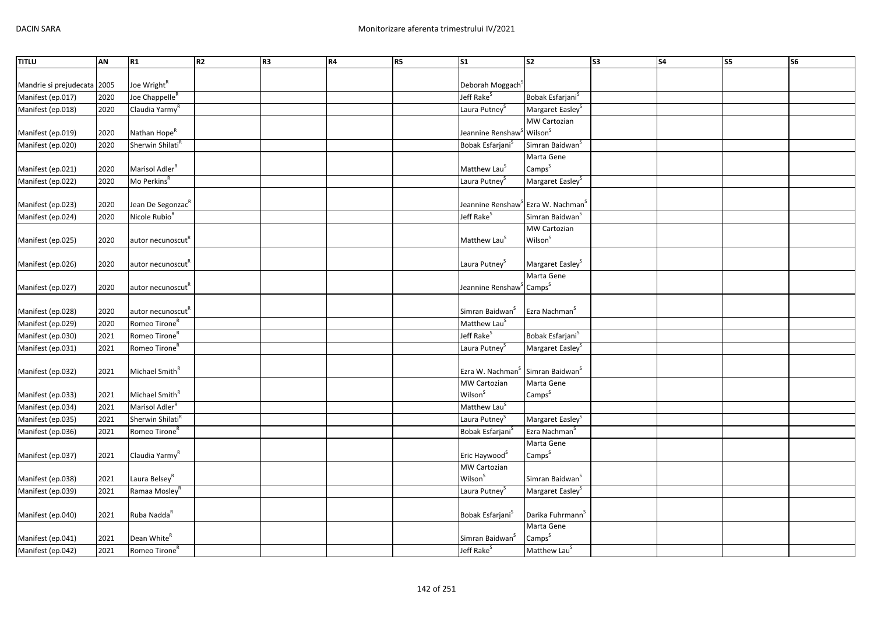| <b>TITLU</b>                | AN   | R1                            | R <sub>2</sub> | R <sub>3</sub> | R4 | <b>R5</b> | <b>S1</b>                                                  | $\overline{\text{S2}}$       | S3 | <b>S4</b> | S5 | S <sub>6</sub> |
|-----------------------------|------|-------------------------------|----------------|----------------|----|-----------|------------------------------------------------------------|------------------------------|----|-----------|----|----------------|
|                             |      |                               |                |                |    |           |                                                            |                              |    |           |    |                |
| Mandrie si prejudecata 2005 |      | Joe Wright <sup>R</sup>       |                |                |    |           | Deborah Moggach <sup>3</sup>                               |                              |    |           |    |                |
| Manifest (ep.017)           | 2020 | Joe Chappelle <sup>R</sup>    |                |                |    |           | Jeff Rake <sup>S</sup>                                     | Bobak Esfarjani <sup>S</sup> |    |           |    |                |
| Manifest (ep.018)           | 2020 | Claudia Yarmy <sup>F</sup>    |                |                |    |           | Laura Putney <sup>S</sup>                                  | Margaret Easley <sup>S</sup> |    |           |    |                |
|                             |      |                               |                |                |    |           |                                                            | <b>MW Cartozian</b>          |    |           |    |                |
| Manifest (ep.019)           | 2020 | Nathan Hope <sup>R</sup>      |                |                |    |           | Jeannine Renshaw <sup>S</sup> Wilson <sup>S</sup>          |                              |    |           |    |                |
| Manifest (ep.020)           | 2020 | Sherwin Shilati <sup>R</sup>  |                |                |    |           | Bobak Esfarjani <sup>S</sup>                               | Simran Baidwan <sup>S</sup>  |    |           |    |                |
|                             |      |                               |                |                |    |           |                                                            | Marta Gene                   |    |           |    |                |
| Manifest (ep.021)           | 2020 | Marisol Adler <sup>R</sup>    |                |                |    |           | Matthew Lau <sup>S</sup>                                   | Camps <sup>S</sup>           |    |           |    |                |
| Manifest (ep.022)           | 2020 | Mo Perkins <sup>R</sup>       |                |                |    |           | Laura Putney                                               | Margaret Easley <sup>S</sup> |    |           |    |                |
|                             |      |                               |                |                |    |           |                                                            |                              |    |           |    |                |
| Manifest (ep.023)           | 2020 | Jean De Segonzac <sup>R</sup> |                |                |    |           | Jeannine Renshaw <sup>3</sup> Ezra W. Nachman <sup>3</sup> |                              |    |           |    |                |
| Manifest (ep.024)           | 2020 | Nicole Rubio <sup>R</sup>     |                |                |    |           | Jeff Rake <sup>S</sup>                                     | Simran Baidwan <sup>S</sup>  |    |           |    |                |
|                             |      |                               |                |                |    |           |                                                            | <b>MW Cartozian</b>          |    |           |    |                |
| Manifest (ep.025)           | 2020 | autor necunoscut <sup>R</sup> |                |                |    |           | Matthew Lau <sup>S</sup>                                   | Wilson <sup>S</sup>          |    |           |    |                |
|                             |      |                               |                |                |    |           |                                                            |                              |    |           |    |                |
| Manifest (ep.026)           | 2020 | autor necunoscut <sup>"</sup> |                |                |    |           | Laura Putney <sup>S</sup>                                  | Margaret Easley <sup>S</sup> |    |           |    |                |
|                             |      |                               |                |                |    |           |                                                            | Marta Gene                   |    |           |    |                |
| Manifest (ep.027)           | 2020 | autor necunoscut <sup>K</sup> |                |                |    |           | Jeannine Renshaw <sup>S</sup> Camps <sup>S</sup>           |                              |    |           |    |                |
|                             |      |                               |                |                |    |           |                                                            |                              |    |           |    |                |
| Manifest (ep.028)           | 2020 | autor necunoscut <sup>"</sup> |                |                |    |           | Simran Baidwan <sup>S</sup>                                | Ezra Nachman <sup>S</sup>    |    |           |    |                |
| Manifest (ep.029)           | 2020 | Romeo Tirone <sup>R</sup>     |                |                |    |           | Matthew Lau <sup>S</sup>                                   |                              |    |           |    |                |
| Manifest (ep.030)           | 2021 | Romeo Tirone <sup>R</sup>     |                |                |    |           | Jeff Rake <sup>S</sup>                                     | Bobak Esfarjani <sup>S</sup> |    |           |    |                |
| Manifest (ep.031)           | 2021 | Romeo Tirone <sup>R</sup>     |                |                |    |           | Laura Putney <sup>S</sup>                                  | Margaret Easley <sup>S</sup> |    |           |    |                |
|                             |      | Michael Smith <sup>R</sup>    |                |                |    |           |                                                            | Simran Baidwan <sup>S</sup>  |    |           |    |                |
| Manifest (ep.032)           | 2021 |                               |                |                |    |           | Ezra W. Nachman <sup>3</sup><br>MW Cartozian               | Marta Gene                   |    |           |    |                |
| Manifest (ep.033)           | 2021 | Michael Smith <sup>R</sup>    |                |                |    |           | Wilson <sup>S</sup>                                        | Camps <sup>S</sup>           |    |           |    |                |
| Manifest (ep.034)           | 2021 | Marisol Adler <sup>R</sup>    |                |                |    |           | Matthew Lau <sup>S</sup>                                   |                              |    |           |    |                |
| Manifest (ep.035)           | 2021 | Sherwin Shilati <sup>R</sup>  |                |                |    |           | Laura Putney <sup>S</sup>                                  | Margaret Easley <sup>S</sup> |    |           |    |                |
| Manifest (ep.036)           | 2021 | Romeo Tirone <sup>R</sup>     |                |                |    |           | Bobak Esfarjani                                            | Ezra Nachman <sup>S</sup>    |    |           |    |                |
|                             |      |                               |                |                |    |           |                                                            | Marta Gene                   |    |           |    |                |
| Manifest (ep.037)           | 2021 | Claudia Yarmy <sup>R</sup>    |                |                |    |           | Eric Haywood <sup>S</sup>                                  | Camps <sup>S</sup>           |    |           |    |                |
|                             |      |                               |                |                |    |           | <b>MW Cartozian</b>                                        |                              |    |           |    |                |
| Manifest (ep.038)           | 2021 | Laura Belsey <sup>R</sup>     |                |                |    |           | Wilson <sup>S</sup>                                        | Simran Baidwan <sup>S</sup>  |    |           |    |                |
| Manifest (ep.039)           | 2021 | Ramaa Mosley <sup>R</sup>     |                |                |    |           | Laura Putney <sup>5</sup>                                  | Margaret Easley <sup>S</sup> |    |           |    |                |
|                             |      |                               |                |                |    |           |                                                            |                              |    |           |    |                |
| Manifest (ep.040)           | 2021 | Ruba Nadda <sup>R</sup>       |                |                |    |           | Bobak Esfarjani <sup>S</sup>                               | Darika Fuhrmann <sup>S</sup> |    |           |    |                |
|                             |      |                               |                |                |    |           |                                                            | Marta Gene                   |    |           |    |                |
| Manifest (ep.041)           | 2021 | Dean White <sup>R</sup>       |                |                |    |           | Simran Baidwan <sup>3</sup>                                | Camps <sup>S</sup>           |    |           |    |                |
| Manifest (ep.042)           | 2021 | Romeo Tirone <sup>"</sup>     |                |                |    |           | Jeff Rake <sup>S</sup>                                     | Matthew Lau <sup>S</sup>     |    |           |    |                |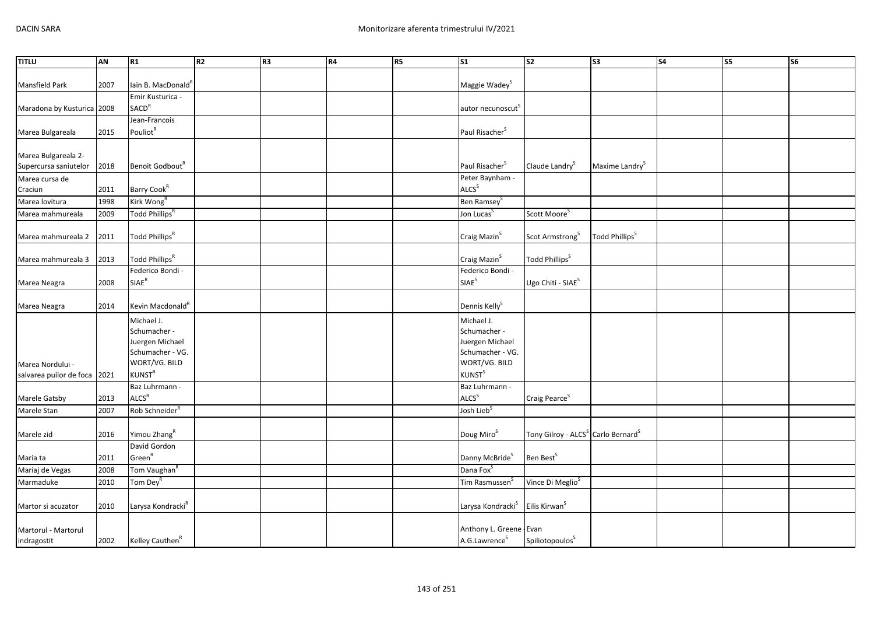| <b>TITLU</b>               | AN   | R1                             | R <sub>2</sub> | R <sub>3</sub> | R4 | R5 | S <sub>1</sub>                | S <sub>2</sub>                                             | <b>S3</b>                  | S <sub>4</sub> | S5 | S6 |
|----------------------------|------|--------------------------------|----------------|----------------|----|----|-------------------------------|------------------------------------------------------------|----------------------------|----------------|----|----|
|                            |      |                                |                |                |    |    |                               |                                                            |                            |                |    |    |
| Mansfield Park             | 2007 | lain B. MacDonald <sup>R</sup> |                |                |    |    | Maggie Wadey <sup>S</sup>     |                                                            |                            |                |    |    |
|                            |      | Emir Kusturica -               |                |                |    |    |                               |                                                            |                            |                |    |    |
| Maradona by Kusturica 2008 |      | <b>SACD<sup>R</sup></b>        |                |                |    |    | autor necunoscut              |                                                            |                            |                |    |    |
|                            |      | Jean-Francois                  |                |                |    |    |                               |                                                            |                            |                |    |    |
| Marea Bulgareala           | 2015 | Pouliot <sup>R</sup>           |                |                |    |    | Paul Risacher <sup>S</sup>    |                                                            |                            |                |    |    |
|                            |      |                                |                |                |    |    |                               |                                                            |                            |                |    |    |
| Marea Bulgareala 2-        |      | Benoit Godbout <sup>R</sup>    |                |                |    |    | Paul Risacher <sup>S</sup>    | Claude Landry <sup>S</sup>                                 | Maxime Landry <sup>S</sup> |                |    |    |
| Supercursa saniutelor      | 2018 |                                |                |                |    |    | Peter Baynham -               |                                                            |                            |                |    |    |
| Marea cursa de<br>Craciun  | 2011 | Barry Cook <sup>R</sup>        |                |                |    |    | <b>ALCS</b> <sup>S</sup>      |                                                            |                            |                |    |    |
| Marea lovitura             | 1998 | Kirk Wong <sup>R</sup>         |                |                |    |    | Ben Ramsey <sup>S</sup>       |                                                            |                            |                |    |    |
| Marea mahmureala           | 2009 | Todd Phillips <sup>R</sup>     |                |                |    |    | Jon Lucas <sup>S</sup>        | Scott Moore <sup>5</sup>                                   |                            |                |    |    |
|                            |      |                                |                |                |    |    |                               |                                                            |                            |                |    |    |
| Marea mahmureala 2         | 2011 | Todd Phillips <sup>R</sup>     |                |                |    |    | Craig Mazin <sup>S</sup>      | Scot Armstrong <sup>S</sup>                                | Todd Phillips <sup>S</sup> |                |    |    |
|                            |      |                                |                |                |    |    |                               |                                                            |                            |                |    |    |
| Marea mahmureala 3         | 2013 | Todd Phillips <sup>R</sup>     |                |                |    |    | Craig Mazin <sup>S</sup>      | Todd Phillips <sup>S</sup>                                 |                            |                |    |    |
|                            |      | Federico Bondi -               |                |                |    |    | Federico Bondi -              |                                                            |                            |                |    |    |
| Marea Neagra               | 2008 | $SIAE^R$                       |                |                |    |    | SIAE <sup>S</sup>             | Ugo Chiti - SIAE <sup>S</sup>                              |                            |                |    |    |
| Marea Neagra               | 2014 | Kevin Macdonald <sup>R</sup>   |                |                |    |    | Dennis Kelly <sup>S</sup>     |                                                            |                            |                |    |    |
|                            |      | Michael J.                     |                |                |    |    | Michael J.                    |                                                            |                            |                |    |    |
|                            |      | Schumacher -                   |                |                |    |    | Schumacher -                  |                                                            |                            |                |    |    |
|                            |      | Juergen Michael                |                |                |    |    | Juergen Michael               |                                                            |                            |                |    |    |
|                            |      | Schumacher - VG.               |                |                |    |    | Schumacher - VG.              |                                                            |                            |                |    |    |
| Marea Nordului -           |      | WORT/VG. BILD                  |                |                |    |    | WORT/VG. BILD                 |                                                            |                            |                |    |    |
| salvarea puilor de foca    | 2021 | KUNST <sup>R</sup>             |                |                |    |    | <b>KUNST</b> <sup>S</sup>     |                                                            |                            |                |    |    |
|                            |      | Baz Luhrmann -                 |                |                |    |    | Baz Luhrmann -                |                                                            |                            |                |    |    |
| Marele Gatsby              | 2013 | ALCS <sup>R</sup>              |                |                |    |    | ALCS <sup>S</sup>             | Craig Pearce <sup>S</sup>                                  |                            |                |    |    |
| Marele Stan                | 2007 | Rob Schneider <sup>R</sup>     |                |                |    |    | Josh Lieb <sup>S</sup>        |                                                            |                            |                |    |    |
|                            |      |                                |                |                |    |    |                               |                                                            |                            |                |    |    |
| Marele zid                 | 2016 | Yimou Zhang <sup>R</sup>       |                |                |    |    | Doug Miro <sup>S</sup>        | Tony Gilroy - ALCS <sup>S</sup> Carlo Bernard <sup>S</sup> |                            |                |    |    |
|                            |      | David Gordon                   |                |                |    |    |                               |                                                            |                            |                |    |    |
| Maria ta                   | 2011 | Green <sup>R</sup>             |                |                |    |    | Danny McBride <sup>S</sup>    | Ben Best <sup>S</sup>                                      |                            |                |    |    |
| Mariaj de Vegas            | 2008 | Tom Vaughan <sup>R</sup>       |                |                |    |    | Dana Fox <sup>S</sup>         |                                                            |                            |                |    |    |
| Marmaduke                  | 2010 | Tom Dey <sup>R</sup>           |                |                |    |    | Tim Rasmussen <sup>S</sup>    | Vince Di Meglio <sup>S</sup>                               |                            |                |    |    |
| Martor si acuzator         | 2010 | Larysa Kondracki <sup>R</sup>  |                |                |    |    | Larysa Kondracki <sup>S</sup> | Eilis Kirwan <sup>S</sup>                                  |                            |                |    |    |
|                            |      |                                |                |                |    |    |                               |                                                            |                            |                |    |    |
| Martorul - Martorul        |      |                                |                |                |    |    | Anthony L. Greene - Evan      |                                                            |                            |                |    |    |
| indragostit                | 2002 | Kelley Cauthen <sup>R</sup>    |                |                |    |    | A.G.Lawrence <sup>S</sup>     | Spiliotopoulos <sup>S</sup>                                |                            |                |    |    |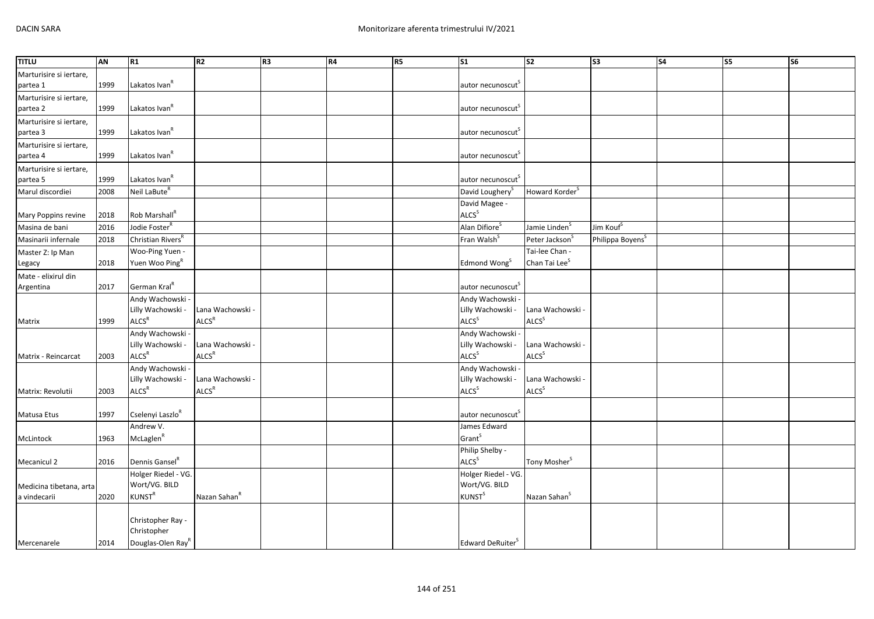| <b>TITLU</b>            | AN   | R1                            | R <sub>2</sub>           | R <sub>3</sub> | R4 | <b>R5</b> | <b>S1</b>                     | S <sub>2</sub>             | S3                           | S <sub>4</sub> | S5 | S6 |
|-------------------------|------|-------------------------------|--------------------------|----------------|----|-----------|-------------------------------|----------------------------|------------------------------|----------------|----|----|
| Marturisire si iertare, |      |                               |                          |                |    |           |                               |                            |                              |                |    |    |
| partea 1                | 1999 | Lakatos Ivan <sup>R</sup>     |                          |                |    |           | autor necunoscut <sup>5</sup> |                            |                              |                |    |    |
| Marturisire si iertare, |      |                               |                          |                |    |           |                               |                            |                              |                |    |    |
| partea 2                | 1999 | Lakatos Ivan <sup>R</sup>     |                          |                |    |           | autor necunoscut <sup>5</sup> |                            |                              |                |    |    |
| Marturisire si iertare, |      |                               |                          |                |    |           |                               |                            |                              |                |    |    |
| partea 3                | 1999 | Lakatos Ivan <sup>R</sup>     |                          |                |    |           | autor necunoscut <sup>5</sup> |                            |                              |                |    |    |
| Marturisire si iertare, |      |                               |                          |                |    |           |                               |                            |                              |                |    |    |
| partea 4                | 1999 | Lakatos Ivan <sup>R</sup>     |                          |                |    |           | autor necunoscut              |                            |                              |                |    |    |
| Marturisire si iertare, |      |                               |                          |                |    |           |                               |                            |                              |                |    |    |
| partea 5                | 1999 | Lakatos Ivan <sup>R</sup>     |                          |                |    |           | autor necunoscut <sup>5</sup> |                            |                              |                |    |    |
| Marul discordiei        | 2008 | Neil LaBute <sup>R</sup>      |                          |                |    |           | David Loughery <sup>S</sup>   | Howard Korder <sup>5</sup> |                              |                |    |    |
|                         |      |                               |                          |                |    |           | David Magee -                 |                            |                              |                |    |    |
| Mary Poppins revine     | 2018 | Rob Marshall <sup>R</sup>     |                          |                |    |           | ALCS <sup>S</sup>             |                            |                              |                |    |    |
| Masina de bani          | 2016 | Jodie Foster <sup>R</sup>     |                          |                |    |           | Alan Difiore <sup>S</sup>     | Jamie Linden <sup>S</sup>  | Jim Kouf <sup>s</sup>        |                |    |    |
| Masinarii infernale     | 2018 | Christian Rivers <sup>R</sup> |                          |                |    |           | Fran Walsh <sup>S</sup>       | Peter Jackson <sup>S</sup> | Philippa Boyens <sup>S</sup> |                |    |    |
| Master Z: Ip Man        |      | Woo-Ping Yuen -               |                          |                |    |           |                               | Tai-lee Chan -             |                              |                |    |    |
| Legacy                  | 2018 | Yuen Woo Ping <sup>R</sup>    |                          |                |    |           | Edmond Wong <sup>S</sup>      | Chan Tai Lee <sup>S</sup>  |                              |                |    |    |
| Mate - elixirul din     |      |                               |                          |                |    |           |                               |                            |                              |                |    |    |
| Argentina               | 2017 | German Kral <sup>R</sup>      |                          |                |    |           | autor necunoscut <sup>S</sup> |                            |                              |                |    |    |
|                         |      | Andy Wachowski -              |                          |                |    |           | Andy Wachowski -              |                            |                              |                |    |    |
|                         |      | Lilly Wachowski -             | Lana Wachowski -         |                |    |           | Lilly Wachowski -             | Lana Wachowski -           |                              |                |    |    |
| Matrix                  | 1999 | <b>ALCS<sup>R</sup></b>       | ALCS <sup>R</sup>        |                |    |           | ALCS <sup>S</sup>             | ALCS <sup>S</sup>          |                              |                |    |    |
|                         |      | Andy Wachowski -              |                          |                |    |           | Andy Wachowski -              |                            |                              |                |    |    |
|                         |      | Lilly Wachowski -             | Lana Wachowski -         |                |    |           | Lilly Wachowski -             | Lana Wachowski -           |                              |                |    |    |
| Matrix - Reincarcat     | 2003 | ALCS <sup>R</sup>             | ALCS <sup>R</sup>        |                |    |           | ALCS <sup>S</sup>             | ALCS <sup>S</sup>          |                              |                |    |    |
|                         |      | Andy Wachowski -              |                          |                |    |           | Andy Wachowski -              |                            |                              |                |    |    |
|                         |      | Lilly Wachowski -             | Lana Wachowski           |                |    |           | Lilly Wachowski -             | Lana Wachowski -           |                              |                |    |    |
| Matrix: Revolutii       | 2003 | ALCS <sup>R</sup>             | ALCS <sup>R</sup>        |                |    |           | ALCS <sup>S</sup>             | ALCS <sup>S</sup>          |                              |                |    |    |
|                         |      |                               |                          |                |    |           |                               |                            |                              |                |    |    |
| Matusa Etus             | 1997 | Cselenyi Laszlo <sup>R</sup>  |                          |                |    |           | autor necunoscut <sup>s</sup> |                            |                              |                |    |    |
|                         |      | Andrew V.                     |                          |                |    |           | James Edward                  |                            |                              |                |    |    |
| McLintock               | 1963 | McLaglen <sup>R</sup>         |                          |                |    |           | Grant <sup>S</sup>            |                            |                              |                |    |    |
|                         |      |                               |                          |                |    |           | Philip Shelby -               |                            |                              |                |    |    |
| Mecanicul 2             | 2016 | Dennis Gansel <sup>R</sup>    |                          |                |    |           | ALCS <sup>S</sup>             | Tony Mosher <sup>S</sup>   |                              |                |    |    |
|                         |      | Holger Riedel - VG.           |                          |                |    |           | Holger Riedel - VG.           |                            |                              |                |    |    |
| Medicina tibetana, arta |      | Wort/VG. BILD                 |                          |                |    |           | Wort/VG. BILD                 |                            |                              |                |    |    |
| a vindecarii            | 2020 | $KUNST^R$                     | Nazan Sahan <sup>R</sup> |                |    |           | <b>KUNST</b> <sup>S</sup>     | Nazan Sahan <sup>S</sup>   |                              |                |    |    |
|                         |      |                               |                          |                |    |           |                               |                            |                              |                |    |    |
|                         |      | Christopher Ray -             |                          |                |    |           |                               |                            |                              |                |    |    |
|                         |      | Christopher                   |                          |                |    |           |                               |                            |                              |                |    |    |
| Mercenarele             | 2014 | Douglas-Olen Ray <sup>R</sup> |                          |                |    |           | Edward DeRuiter <sup>S</sup>  |                            |                              |                |    |    |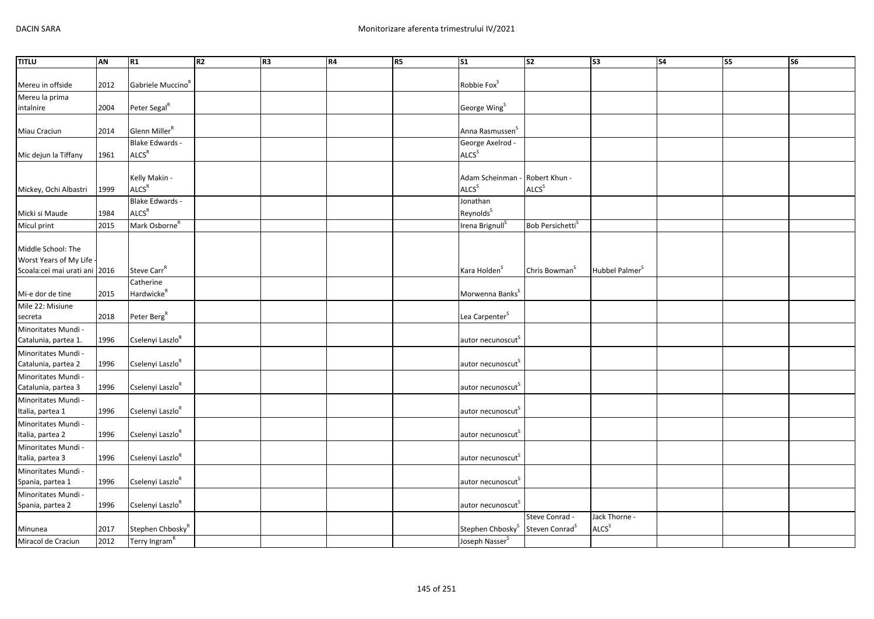| <b>TITLU</b>                                | AN   | R1                            | R2 | R <sub>3</sub> | R4 | R5 | <b>S1</b>                      | $\overline{\text{S2}}$       | $\sqrt{53}$                | <b>S4</b> | S5 | S6 |
|---------------------------------------------|------|-------------------------------|----|----------------|----|----|--------------------------------|------------------------------|----------------------------|-----------|----|----|
|                                             |      |                               |    |                |    |    |                                |                              |                            |           |    |    |
| Mereu in offside                            | 2012 | Gabriele Muccino <sup>R</sup> |    |                |    |    | Robbie Fox <sup>S</sup>        |                              |                            |           |    |    |
| Mereu la prima                              |      |                               |    |                |    |    |                                |                              |                            |           |    |    |
| intalnire                                   | 2004 | Peter Segal <sup>R</sup>      |    |                |    |    | George Wing <sup>S</sup>       |                              |                            |           |    |    |
|                                             |      |                               |    |                |    |    |                                |                              |                            |           |    |    |
| Miau Craciun                                | 2014 | Glenn Miller <sup>R</sup>     |    |                |    |    | Anna Rasmussen <sup>S</sup>    |                              |                            |           |    |    |
|                                             |      | Blake Edwards -               |    |                |    |    | George Axelrod -               |                              |                            |           |    |    |
| Mic dejun la Tiffany                        | 1961 | ALCS <sup>R</sup>             |    |                |    |    | ALCS <sup>S</sup>              |                              |                            |           |    |    |
|                                             |      |                               |    |                |    |    |                                |                              |                            |           |    |    |
|                                             |      | Kelly Makin -                 |    |                |    |    | Adam Scheinman - Robert Khun - |                              |                            |           |    |    |
| Mickey, Ochi Albastri                       | 1999 | ALCS <sup>R</sup>             |    |                |    |    | <b>ALCS</b> <sup>S</sup>       | <b>ALCS</b> <sup>S</sup>     |                            |           |    |    |
|                                             |      | Blake Edwards -               |    |                |    |    | Jonathan                       |                              |                            |           |    |    |
| Micki si Maude                              | 1984 | ALCS <sup>R</sup>             |    |                |    |    | Reynolds <sup>S</sup>          |                              |                            |           |    |    |
| Micul print                                 | 2015 | Mark Osborne <sup>R</sup>     |    |                |    |    | Irena Brignull <sup>S</sup>    | Bob Persichetti <sup>S</sup> |                            |           |    |    |
|                                             |      |                               |    |                |    |    |                                |                              |                            |           |    |    |
| Middle School: The                          |      |                               |    |                |    |    |                                |                              |                            |           |    |    |
| Worst Years of My Life                      |      |                               |    |                |    |    |                                |                              |                            |           |    |    |
| Scoala:cei mai urati ani 2016               |      | Steve Carr <sup>R</sup>       |    |                |    |    | Kara Holden <sup>S</sup>       | Chris Bowman <sup>5</sup>    | Hubbel Palmer <sup>S</sup> |           |    |    |
|                                             |      | Catherine                     |    |                |    |    |                                |                              |                            |           |    |    |
| Mi-e dor de tine                            | 2015 | Hardwicke <sup>R</sup>        |    |                |    |    | Morwenna Banks <sup>S</sup>    |                              |                            |           |    |    |
| Mile 22: Misiune                            | 2018 | Peter Berg <sup>R</sup>       |    |                |    |    | Lea Carpenter <sup>S</sup>     |                              |                            |           |    |    |
| secreta                                     |      |                               |    |                |    |    |                                |                              |                            |           |    |    |
| Minoritates Mundi -<br>Catalunia, partea 1. | 1996 | Cselenyi Laszlo <sup>R</sup>  |    |                |    |    | autor necunoscut <sup>s</sup>  |                              |                            |           |    |    |
|                                             |      |                               |    |                |    |    |                                |                              |                            |           |    |    |
| Minoritates Mundi -<br>Catalunia, partea 2  | 1996 | Cselenyi Laszlo <sup>R</sup>  |    |                |    |    | autor necunoscut <sup>S</sup>  |                              |                            |           |    |    |
| Minoritates Mundi -                         |      |                               |    |                |    |    |                                |                              |                            |           |    |    |
| Catalunia, partea 3                         | 1996 | Cselenyi Laszlo <sup>R</sup>  |    |                |    |    | autor necunoscut <sup>s</sup>  |                              |                            |           |    |    |
| Minoritates Mundi -                         |      |                               |    |                |    |    |                                |                              |                            |           |    |    |
| Italia, partea 1                            | 1996 | Cselenyi Laszlo <sup>R</sup>  |    |                |    |    | autor necunoscut               |                              |                            |           |    |    |
| Minoritates Mundi -                         |      |                               |    |                |    |    |                                |                              |                            |           |    |    |
| Italia, partea 2                            | 1996 | Cselenyi Laszlo <sup>R</sup>  |    |                |    |    | autor necunoscut <sup>5</sup>  |                              |                            |           |    |    |
| Minoritates Mundi -                         |      |                               |    |                |    |    |                                |                              |                            |           |    |    |
| Italia, partea 3                            | 1996 | Cselenyi Laszlo <sup>R</sup>  |    |                |    |    | autor necunoscut               |                              |                            |           |    |    |
| Minoritates Mundi -                         |      |                               |    |                |    |    |                                |                              |                            |           |    |    |
| Spania, partea 1                            | 1996 | Cselenyi Laszlo <sup>R</sup>  |    |                |    |    | autor necunoscut <sup>s</sup>  |                              |                            |           |    |    |
| Minoritates Mundi -                         |      |                               |    |                |    |    |                                |                              |                            |           |    |    |
| Spania, partea 2                            | 1996 | Cselenyi Laszlo <sup>R</sup>  |    |                |    |    | autor necunoscut <sup>S</sup>  |                              |                            |           |    |    |
|                                             |      |                               |    |                |    |    |                                | Steve Conrad -               | Jack Thorne -              |           |    |    |
| Minunea                                     | 2017 | Stephen Chbosky <sup>R</sup>  |    |                |    |    | Stephen Chbosky <sup>S</sup>   | Steven Conrad <sup>S</sup>   | <b>ALCS</b> <sup>S</sup>   |           |    |    |
| Miracol de Craciun                          | 2012 | Terry Ingram <sup>R</sup>     |    |                |    |    | Joseph Nasser <sup>S</sup>     |                              |                            |           |    |    |
|                                             |      |                               |    |                |    |    |                                |                              |                            |           |    |    |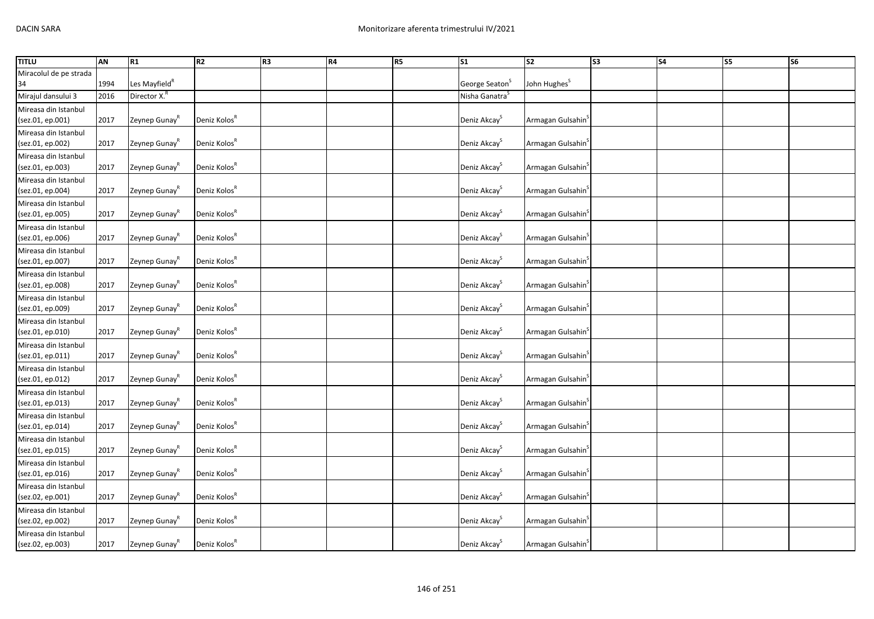| <b>TITLU</b>           | AN   | R1                        | R2                       | R3 | R4 | R <sub>5</sub> | $\sqrt{51}$                | $\overline{\text{S2}}$        | S3 | $\overline{\phantom{a}}$ S4 | S5 | $\overline{\text{S6}}$ |
|------------------------|------|---------------------------|--------------------------|----|----|----------------|----------------------------|-------------------------------|----|-----------------------------|----|------------------------|
| Miracolul de pe strada |      |                           |                          |    |    |                |                            |                               |    |                             |    |                        |
| 34                     | 1994 | Les Mayfield <sup>R</sup> |                          |    |    |                | George Seaton <sup>S</sup> | John Hughes <sup>S</sup>      |    |                             |    |                        |
| Mirajul dansului 3     | 2016 | Director X. <sup>R</sup>  |                          |    |    |                | Nisha Ganatra <sup>S</sup> |                               |    |                             |    |                        |
| Mireasa din Istanbul   |      |                           |                          |    |    |                |                            |                               |    |                             |    |                        |
| (sez.01, ep.001)       | 2017 | Zeynep Gunay <sup>K</sup> | Deniz Kolos <sup>R</sup> |    |    |                | Deniz Akcay <sup>S</sup>   | Armagan Gulsahin              |    |                             |    |                        |
| Mireasa din Istanbul   |      |                           |                          |    |    |                |                            |                               |    |                             |    |                        |
| (sez.01, ep.002)       | 2017 | Zeynep Gunay <sup>R</sup> | Deniz Kolos <sup>R</sup> |    |    |                | Deniz Akcay <sup>S</sup>   | Armagan Gulsahin <sup>5</sup> |    |                             |    |                        |
| Mireasa din Istanbul   |      |                           |                          |    |    |                |                            |                               |    |                             |    |                        |
| (sez.01, ep.003)       | 2017 | Zeynep Gunay <sup>K</sup> | Deniz Kolos <sup>R</sup> |    |    |                | Deniz Akcay <sup>S</sup>   | Armagan Gulsahin              |    |                             |    |                        |
| Mireasa din Istanbul   |      |                           |                          |    |    |                |                            |                               |    |                             |    |                        |
| (sez.01, ep.004)       | 2017 | Zeynep Gunay <sup>K</sup> | Deniz Kolos <sup>R</sup> |    |    |                | Deniz Akcay <sup>S</sup>   | Armagan Gulsahin <sup>3</sup> |    |                             |    |                        |
| Mireasa din Istanbul   |      |                           |                          |    |    |                |                            |                               |    |                             |    |                        |
| (sez.01, ep.005)       | 2017 | Zeynep Gunay <sup>R</sup> | Deniz Kolos <sup>R</sup> |    |    |                | Deniz Akcay <sup>S</sup>   | Armagan Gulsahin <sup>9</sup> |    |                             |    |                        |
| Mireasa din Istanbul   |      |                           |                          |    |    |                |                            |                               |    |                             |    |                        |
| (sez.01, ep.006)       | 2017 | Zeynep Gunay <sup>R</sup> | Deniz Kolos <sup>R</sup> |    |    |                | Deniz Akcay <sup>S</sup>   | Armagan Gulsahin <sup>3</sup> |    |                             |    |                        |
| Mireasa din Istanbul   |      |                           |                          |    |    |                |                            |                               |    |                             |    |                        |
| (sez.01, ep.007)       | 2017 | Zeynep Gunay <sup>R</sup> | Deniz Kolos <sup>R</sup> |    |    |                | Deniz Akcay <sup>S</sup>   | Armagan Gulsahin              |    |                             |    |                        |
| Mireasa din Istanbul   |      |                           |                          |    |    |                |                            |                               |    |                             |    |                        |
| (sez.01, ep.008)       | 2017 | Zeynep Gunay <sup>R</sup> | Deniz Kolos <sup>K</sup> |    |    |                | Deniz Akcay <sup>S</sup>   | Armagan Gulsahin <sup>3</sup> |    |                             |    |                        |
| Mireasa din Istanbul   |      |                           |                          |    |    |                |                            |                               |    |                             |    |                        |
| (sez.01, ep.009)       | 2017 | Zeynep Gunay <sup>R</sup> | Deniz Kolos <sup>R</sup> |    |    |                | Deniz Akcay <sup>S</sup>   | Armagan Gulsahin              |    |                             |    |                        |
| Mireasa din Istanbul   |      |                           |                          |    |    |                |                            |                               |    |                             |    |                        |
| (sez.01, ep.010)       | 2017 | Zeynep Gunay <sup>R</sup> | Deniz Kolos <sup>R</sup> |    |    |                | Deniz Akcay <sup>S</sup>   | Armagan Gulsahin <sup>3</sup> |    |                             |    |                        |
| Mireasa din Istanbul   |      |                           |                          |    |    |                |                            |                               |    |                             |    |                        |
| (sez.01, ep.011)       | 2017 | Zeynep Gunay <sup>R</sup> | Deniz Kolos <sup>R</sup> |    |    |                | Deniz Akcay <sup>S</sup>   | Armagan Gulsahin <sup>5</sup> |    |                             |    |                        |
| Mireasa din Istanbul   |      |                           |                          |    |    |                |                            |                               |    |                             |    |                        |
| (sez.01, ep.012)       | 2017 | Zeynep Gunay <sup>R</sup> | Deniz Kolos <sup>R</sup> |    |    |                | Deniz Akcay <sup>S</sup>   | Armagan Gulsahin <sup>3</sup> |    |                             |    |                        |
| Mireasa din Istanbul   |      |                           |                          |    |    |                |                            |                               |    |                             |    |                        |
| (sez.01, ep.013)       | 2017 | Zeynep Gunay <sup>R</sup> | Deniz Kolos <sup>R</sup> |    |    |                | Deniz Akcay <sup>S</sup>   | Armagan Gulsahin <sup>5</sup> |    |                             |    |                        |
| Mireasa din Istanbul   |      |                           |                          |    |    |                |                            |                               |    |                             |    |                        |
| (sez.01, ep.014)       | 2017 | Zeynep Gunay <sup>K</sup> | Deniz Kolos <sup>R</sup> |    |    |                | Deniz Akcay <sup>S</sup>   | Armagan Gulsahin <sup>3</sup> |    |                             |    |                        |
| Mireasa din Istanbul   |      |                           |                          |    |    |                |                            |                               |    |                             |    |                        |
| (sez.01, ep.015)       | 2017 | Zeynep Gunay <sup>R</sup> | Deniz Kolos <sup>R</sup> |    |    |                | Deniz Akcay <sup>S</sup>   | Armagan Gulsahin <sup>5</sup> |    |                             |    |                        |
| Mireasa din Istanbul   |      |                           |                          |    |    |                |                            |                               |    |                             |    |                        |
| (sez.01, ep.016)       | 2017 | Zeynep Gunay <sup>K</sup> | Deniz Kolos <sup>R</sup> |    |    |                | Deniz Akcay <sup>S</sup>   | Armagan Gulsahin              |    |                             |    |                        |
| Mireasa din Istanbul   |      |                           |                          |    |    |                |                            |                               |    |                             |    |                        |
| (sez.02, ep.001)       | 2017 | Zeynep Gunay <sup>R</sup> | Deniz Kolos <sup>R</sup> |    |    |                | Deniz Akcay <sup>S</sup>   | Armagan Gulsahin <sup>5</sup> |    |                             |    |                        |
| Mireasa din Istanbul   |      |                           |                          |    |    |                |                            |                               |    |                             |    |                        |
| (sez.02, ep.002)       | 2017 | Zeynep Gunay <sup>R</sup> | Deniz Kolos <sup>R</sup> |    |    |                | Deniz Akcay <sup>S</sup>   | Armagan Gulsahin <sup>3</sup> |    |                             |    |                        |
| Mireasa din Istanbul   |      |                           |                          |    |    |                |                            |                               |    |                             |    |                        |
| (sez.02, ep.003)       | 2017 | Zeynep Gunay <sup>R</sup> | Deniz Kolos <sup>R</sup> |    |    |                | Deniz Akcay <sup>S</sup>   | Armagan Gulsahin <sup>3</sup> |    |                             |    |                        |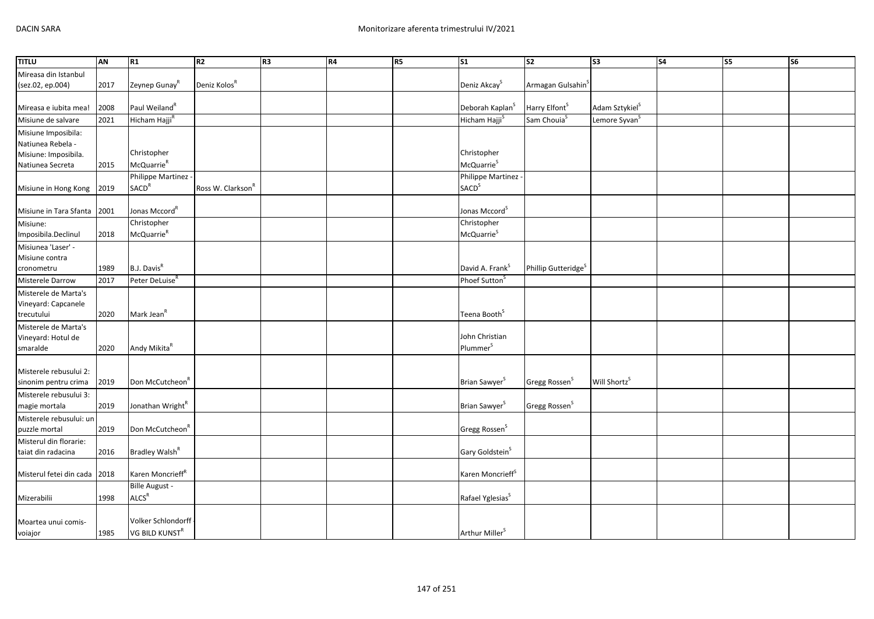| <b>TITLU</b>                                   | AN   | R1                           | R <sub>2</sub>                | R <sub>3</sub> | <b>R4</b> | R5 | S <sub>1</sub>               | $\overline{\text{S2}}$          | S <sub>3</sub>             | <b>S4</b> | <b>S5</b> | $\overline{\text{S6}}$ |
|------------------------------------------------|------|------------------------------|-------------------------------|----------------|-----------|----|------------------------------|---------------------------------|----------------------------|-----------|-----------|------------------------|
| Mireasa din Istanbul                           |      |                              |                               |                |           |    |                              |                                 |                            |           |           |                        |
| (sez.02, ep.004)                               | 2017 | Zeynep Gunay <sup>R</sup>    | Deniz Kolos <sup>R</sup>      |                |           |    | Deniz Akcay <sup>S</sup>     | Armagan Gulsahin                |                            |           |           |                        |
|                                                |      |                              |                               |                |           |    |                              |                                 |                            |           |           |                        |
| Mireasa e iubita mea!                          | 2008 | Paul Weiland <sup>R</sup>    |                               |                |           |    | Deborah Kaplan <sup>S</sup>  | Harry Elfont <sup>S</sup>       | Adam Sztykiel <sup>S</sup> |           |           |                        |
| Misiune de salvare                             | 2021 | Hicham Hajji <sup>f</sup>    |                               |                |           |    | Hicham Hajji <sup>S</sup>    | Sam Chouia <sup>S</sup>         | Lemore Syvan <sup>S</sup>  |           |           |                        |
| Misiune Imposibila:                            |      |                              |                               |                |           |    |                              |                                 |                            |           |           |                        |
| Natiunea Rebela -                              |      | Christopher                  |                               |                |           |    | Christopher                  |                                 |                            |           |           |                        |
| Misiune: Imposibila.<br>Natiunea Secreta       | 2015 | McQuarrie <sup>R</sup>       |                               |                |           |    | McQuarrie <sup>S</sup>       |                                 |                            |           |           |                        |
|                                                |      | Philippe Martinez            |                               |                |           |    | Philippe Martinez            |                                 |                            |           |           |                        |
|                                                | 2019 | <b>SACD<sup>R</sup></b>      | Ross W. Clarkson <sup>R</sup> |                |           |    | SACD <sup>S</sup>            |                                 |                            |           |           |                        |
| Misiune in Hong Kong                           |      |                              |                               |                |           |    |                              |                                 |                            |           |           |                        |
| Misiune in Tara Sfanta                         | 2001 | Jonas Mccord <sup>R</sup>    |                               |                |           |    | Jonas Mccord <sup>S</sup>    |                                 |                            |           |           |                        |
| Misiune:                                       |      | Christopher                  |                               |                |           |    | Christopher                  |                                 |                            |           |           |                        |
| Imposibila.Declinul                            | 2018 | McQuarrie <sup>R</sup>       |                               |                |           |    | McQuarrie <sup>S</sup>       |                                 |                            |           |           |                        |
| Misiunea 'Laser' -                             |      |                              |                               |                |           |    |                              |                                 |                            |           |           |                        |
| Misiune contra                                 |      |                              |                               |                |           |    |                              |                                 |                            |           |           |                        |
| cronometru                                     | 1989 | B.J. Davis <sup>R</sup>      |                               |                |           |    | David A. Frank <sup>S</sup>  | Phillip Gutteridge <sup>S</sup> |                            |           |           |                        |
| Misterele Darrow                               | 2017 | Peter DeLuise <sup>R</sup>   |                               |                |           |    | Phoef Sutton <sup>S</sup>    |                                 |                            |           |           |                        |
| Misterele de Marta's                           |      |                              |                               |                |           |    |                              |                                 |                            |           |           |                        |
| Vineyard: Capcanele                            |      |                              |                               |                |           |    |                              |                                 |                            |           |           |                        |
| trecutului                                     | 2020 | Mark Jean <sup>R</sup>       |                               |                |           |    | Teena Booth <sup>5</sup>     |                                 |                            |           |           |                        |
| Misterele de Marta's                           |      |                              |                               |                |           |    |                              |                                 |                            |           |           |                        |
| Vineyard: Hotul de                             |      |                              |                               |                |           |    | John Christian               |                                 |                            |           |           |                        |
| smaralde                                       | 2020 | Andy Mikita <sup>R</sup>     |                               |                |           |    | Plummer <sup>S</sup>         |                                 |                            |           |           |                        |
|                                                |      |                              |                               |                |           |    |                              |                                 |                            |           |           |                        |
| Misterele rebusului 2:<br>sinonim pentru crima | 2019 | Don McCutcheon <sup>R</sup>  |                               |                |           |    | Brian Sawyer <sup>S</sup>    | Gregg Rossen <sup>S</sup>       | Will Shortz <sup>S</sup>   |           |           |                        |
| Misterele rebusului 3:                         |      |                              |                               |                |           |    |                              |                                 |                            |           |           |                        |
| magie mortala                                  | 2019 | Jonathan Wright <sup>R</sup> |                               |                |           |    | Brian Sawyer <sup>S</sup>    | Gregg Rossen <sup>S</sup>       |                            |           |           |                        |
| Misterele rebusului: un                        |      |                              |                               |                |           |    |                              |                                 |                            |           |           |                        |
| puzzle mortal                                  | 2019 | Don McCutcheon <sup>R</sup>  |                               |                |           |    | Gregg Rossen <sup>S</sup>    |                                 |                            |           |           |                        |
| Misterul din florarie:                         |      |                              |                               |                |           |    |                              |                                 |                            |           |           |                        |
| taiat din radacina                             | 2016 | Bradley Walsh <sup>R</sup>   |                               |                |           |    | Gary Goldstein <sup>S</sup>  |                                 |                            |           |           |                        |
|                                                |      |                              |                               |                |           |    |                              |                                 |                            |           |           |                        |
| Misterul fetei din cada 2018                   |      | Karen Moncrieff <sup>R</sup> |                               |                |           |    | Karen Moncrieff <sup>S</sup> |                                 |                            |           |           |                        |
|                                                |      | Bille August -               |                               |                |           |    |                              |                                 |                            |           |           |                        |
| Mizerabilii                                    | 1998 | ALCS <sup>R</sup>            |                               |                |           |    | Rafael Yglesias <sup>S</sup> |                                 |                            |           |           |                        |
|                                                |      |                              |                               |                |           |    |                              |                                 |                            |           |           |                        |
| Moartea unui comis-                            |      | Volker Schlondorff           |                               |                |           |    |                              |                                 |                            |           |           |                        |
| voiajor                                        | 1985 | VG BILD KUNST <sup>R</sup>   |                               |                |           |    | Arthur Miller <sup>S</sup>   |                                 |                            |           |           |                        |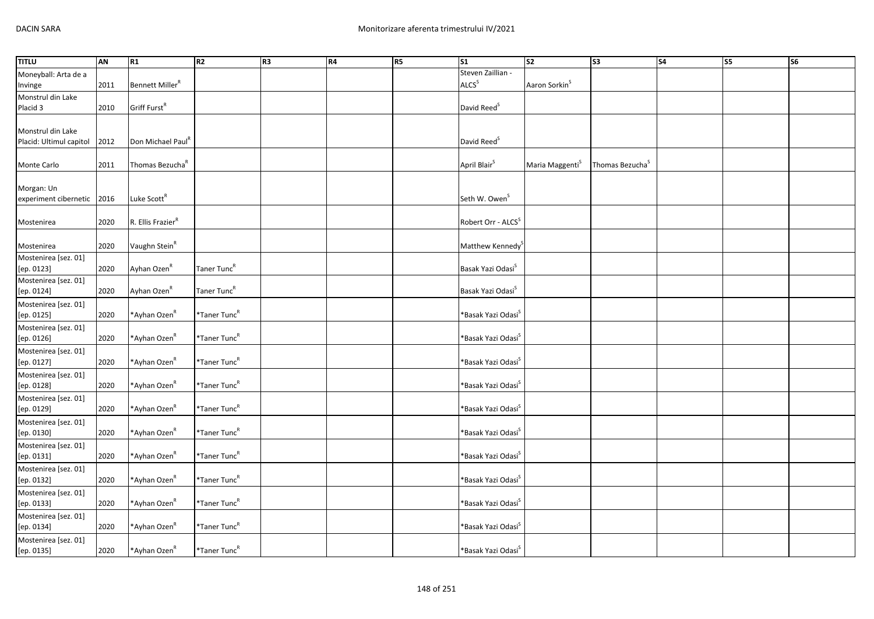| <b>TITLU</b>                             | AN   | R1                            | R2                       | R <sub>3</sub> | <b>R4</b> | R5 | $\overline{\text{S1}}$            | s <sub>2</sub>              | S3                          | $\overline{\phantom{a}}$ | <b>S5</b> | $\overline{\text{S6}}$ |
|------------------------------------------|------|-------------------------------|--------------------------|----------------|-----------|----|-----------------------------------|-----------------------------|-----------------------------|--------------------------|-----------|------------------------|
| Moneyball: Arta de a                     |      |                               |                          |                |           |    | Steven Zaillian -                 |                             |                             |                          |           |                        |
| Invinge                                  | 2011 | Bennett Miller <sup>R</sup>   |                          |                |           |    | ALCS <sup>S</sup>                 | Aaron Sorkin <sup>S</sup>   |                             |                          |           |                        |
| Monstrul din Lake                        |      |                               |                          |                |           |    |                                   |                             |                             |                          |           |                        |
| Placid 3                                 | 2010 | Griff Furst <sup>R</sup>      |                          |                |           |    | David Reed <sup>S</sup>           |                             |                             |                          |           |                        |
|                                          |      |                               |                          |                |           |    |                                   |                             |                             |                          |           |                        |
| Monstrul din Lake                        |      |                               |                          |                |           |    |                                   |                             |                             |                          |           |                        |
| Placid: Ultimul capitol                  | 2012 | Don Michael Paul <sup>R</sup> |                          |                |           |    | David Reed <sup>S</sup>           |                             |                             |                          |           |                        |
|                                          |      |                               |                          |                |           |    |                                   |                             |                             |                          |           |                        |
| Monte Carlo                              | 2011 | Thomas Bezucha <sup>R</sup>   |                          |                |           |    | April Blair <sup>S</sup>          | Maria Maggenti <sup>S</sup> | Thomas Bezucha <sup>S</sup> |                          |           |                        |
|                                          |      |                               |                          |                |           |    |                                   |                             |                             |                          |           |                        |
| Morgan: Un<br>experiment cibernetic 2016 |      | Luke Scott <sup>R</sup>       |                          |                |           |    | Seth W. Owen <sup>S</sup>         |                             |                             |                          |           |                        |
|                                          |      |                               |                          |                |           |    |                                   |                             |                             |                          |           |                        |
| Mostenirea                               | 2020 | R. Ellis Frazier <sup>R</sup> |                          |                |           |    | Robert Orr - ALCS <sup>S</sup>    |                             |                             |                          |           |                        |
|                                          |      |                               |                          |                |           |    |                                   |                             |                             |                          |           |                        |
| Mostenirea                               | 2020 | Vaughn Stein <sup>R</sup>     |                          |                |           |    | Matthew Kennedy                   |                             |                             |                          |           |                        |
| Mostenirea [sez. 01]                     |      |                               |                          |                |           |    |                                   |                             |                             |                          |           |                        |
| [ep. 0123]                               | 2020 | Ayhan Ozen <sup>R</sup>       | Taner Tunc <sup>R</sup>  |                |           |    | Basak Yazi Odasi <sup>S</sup>     |                             |                             |                          |           |                        |
| Mostenirea [sez. 01]                     |      |                               |                          |                |           |    |                                   |                             |                             |                          |           |                        |
| [ep. 0124]                               | 2020 | Ayhan Ozen <sup>R</sup>       | Taner Tunc <sup>R</sup>  |                |           |    | Basak Yazi Odasi <sup>S</sup>     |                             |                             |                          |           |                        |
| Mostenirea [sez. 01]                     |      |                               |                          |                |           |    |                                   |                             |                             |                          |           |                        |
| [ep. 0125]                               | 2020 | *Ayhan Ozen <sup>R</sup>      | $*$ Taner Tunc $R$       |                |           |    | *Basak Yazi Odasi <sup>s</sup>    |                             |                             |                          |           |                        |
| Mostenirea [sez. 01]                     |      |                               |                          |                |           |    |                                   |                             |                             |                          |           |                        |
| [ep. 0126]                               | 2020 | *Ayhan Ozen <sup>R</sup>      | *Taner Tunc <sup>R</sup> |                |           |    | *Basak Yazi Odasi <sup>s</sup>    |                             |                             |                          |           |                        |
| Mostenirea [sez. 01]                     |      |                               |                          |                |           |    |                                   |                             |                             |                          |           |                        |
| [ep. 0127]                               | 2020 | *Ayhan Ozen <sup>R</sup>      | *Taner Tunc <sup>R</sup> |                |           |    | *Basak Yazi Odasi <sup>s</sup>    |                             |                             |                          |           |                        |
| Mostenirea [sez. 01]                     |      |                               |                          |                |           |    |                                   |                             |                             |                          |           |                        |
| [ep. 0128]                               | 2020 | *Ayhan Ozen <sup>R</sup>      | *Taner Tunc <sup>R</sup> |                |           |    | *Basak Yazi Odasi <sup>s</sup>    |                             |                             |                          |           |                        |
| Mostenirea [sez. 01]                     |      |                               |                          |                |           |    |                                   |                             |                             |                          |           |                        |
| [ep. 0129]                               | 2020 | *Ayhan Ozen <sup>R</sup>      | *Taner Tunc <sup>R</sup> |                |           |    | *Basak Yazi Odasi <sup>s</sup>    |                             |                             |                          |           |                        |
| Mostenirea [sez. 01]                     |      |                               |                          |                |           |    |                                   |                             |                             |                          |           |                        |
| [ep. 0130]                               | 2020 | *Ayhan Ozen <sup>R</sup>      | *Taner Tunc <sup>R</sup> |                |           |    | *Basak Yazi Odasi <sup>s</sup>    |                             |                             |                          |           |                        |
| Mostenirea [sez. 01]                     |      |                               |                          |                |           |    |                                   |                             |                             |                          |           |                        |
| [ep. 0131]                               | 2020 | *Ayhan Ozen <sup>R</sup>      | *Taner Tunc <sup>R</sup> |                |           |    | *Basak Yazi Odasi <sup>s</sup>    |                             |                             |                          |           |                        |
| Mostenirea [sez. 01]                     |      |                               |                          |                |           |    |                                   |                             |                             |                          |           |                        |
| [ep. 0132]                               | 2020 | *Ayhan Ozen <sup>R</sup>      | *Taner Tunc <sup>R</sup> |                |           |    | *Basak Yazi Odasi <sup>&gt;</sup> |                             |                             |                          |           |                        |
| Mostenirea [sez. 01]                     |      |                               |                          |                |           |    |                                   |                             |                             |                          |           |                        |
| [ep. 0133]                               | 2020 | *Ayhan Ozen <sup>R</sup>      | $*$ Taner Tunc $R$       |                |           |    | *Basak Yazi Odasi <sup>&gt;</sup> |                             |                             |                          |           |                        |
| Mostenirea [sez. 01]                     |      |                               |                          |                |           |    |                                   |                             |                             |                          |           |                        |
| [ep. 0134]                               | 2020 | *Ayhan Ozen <sup>R</sup>      | *Taner Tunc <sup>R</sup> |                |           |    | *Basak Yazi Odasi <sup>s</sup>    |                             |                             |                          |           |                        |
| Mostenirea [sez. 01]                     |      |                               |                          |                |           |    |                                   |                             |                             |                          |           |                        |
| [ep. 0135]                               | 2020 | *Ayhan Ozen <sup>k</sup>      | *Taner Tunc <sup>R</sup> |                |           |    | *Basak Yazi Odasi <sup>S</sup>    |                             |                             |                          |           |                        |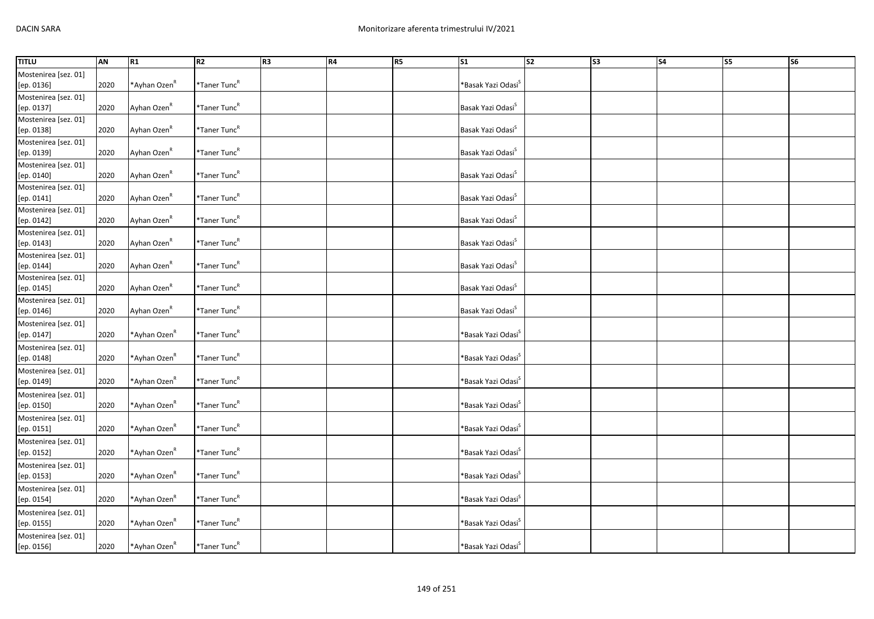| <b>TITLU</b>         | AN   | R1                       | R2                       | R <sub>3</sub> | R4 | R5 | $\overline{\text{S1}}$            | $\overline{\text{S2}}$ | $\overline{\text{S3}}$ | $\overline{\phantom{a}}$ | <b>S5</b> | $\overline{\text{S6}}$ |
|----------------------|------|--------------------------|--------------------------|----------------|----|----|-----------------------------------|------------------------|------------------------|--------------------------|-----------|------------------------|
| Mostenirea [sez. 01] |      |                          |                          |                |    |    |                                   |                        |                        |                          |           |                        |
| [ep. 0136]           | 2020 | *Ayhan Ozen <sup>R</sup> | *Taner Tunc <sup>R</sup> |                |    |    | *Basak Yazi Odasi <sup>S</sup>    |                        |                        |                          |           |                        |
| Mostenirea [sez. 01] |      |                          |                          |                |    |    |                                   |                        |                        |                          |           |                        |
| [ep. 0137]           | 2020 | Ayhan Ozen <sup>R</sup>  | *Taner Tunc <sup>R</sup> |                |    |    | Basak Yazi Odasi <sup>S</sup>     |                        |                        |                          |           |                        |
| Mostenirea [sez. 01] |      |                          |                          |                |    |    |                                   |                        |                        |                          |           |                        |
| [ep. 0138]           | 2020 | Ayhan Ozen <sup>R</sup>  | $*$ Taner Tunc $R$       |                |    |    | Basak Yazi Odasi <sup>S</sup>     |                        |                        |                          |           |                        |
| Mostenirea [sez. 01] |      |                          |                          |                |    |    |                                   |                        |                        |                          |           |                        |
| [ep. 0139]           | 2020 | Ayhan Ozen <sup>R</sup>  | *Taner Tunc <sup>R</sup> |                |    |    | Basak Yazi Odasi <sup>S</sup>     |                        |                        |                          |           |                        |
| Mostenirea [sez. 01] |      |                          |                          |                |    |    |                                   |                        |                        |                          |           |                        |
| [ep. 0140]           | 2020 | Ayhan Ozen <sup>R</sup>  | *Taner Tunc <sup>R</sup> |                |    |    | Basak Yazi Odasi <sup>S</sup>     |                        |                        |                          |           |                        |
| Mostenirea [sez. 01] |      |                          |                          |                |    |    |                                   |                        |                        |                          |           |                        |
| [ep. 0141]           | 2020 | Ayhan Ozen <sup>R</sup>  | *Taner Tunc <sup>R</sup> |                |    |    | Basak Yazi Odasi <sup>S</sup>     |                        |                        |                          |           |                        |
| Mostenirea [sez. 01] |      |                          |                          |                |    |    |                                   |                        |                        |                          |           |                        |
| [ep. 0142]           | 2020 | Ayhan Ozen <sup>R</sup>  | *Taner Tunc <sup>R</sup> |                |    |    | Basak Yazi Odasi <sup>S</sup>     |                        |                        |                          |           |                        |
| Mostenirea [sez. 01] |      |                          |                          |                |    |    |                                   |                        |                        |                          |           |                        |
| [ep. 0143]           | 2020 | Ayhan Ozen <sup>R</sup>  | *Taner Tunc <sup>R</sup> |                |    |    | Basak Yazi Odasi <sup>S</sup>     |                        |                        |                          |           |                        |
| Mostenirea [sez. 01] |      |                          |                          |                |    |    |                                   |                        |                        |                          |           |                        |
| [ep. 0144]           | 2020 | Ayhan Ozen <sup>R</sup>  | *Taner Tunc <sup>R</sup> |                |    |    | Basak Yazi Odasi <sup>S</sup>     |                        |                        |                          |           |                        |
| Mostenirea [sez. 01] |      |                          |                          |                |    |    |                                   |                        |                        |                          |           |                        |
| [ep. 0145]           | 2020 | Ayhan Ozen <sup>R</sup>  | *Taner Tunc <sup>R</sup> |                |    |    | Basak Yazi Odasi <sup>S</sup>     |                        |                        |                          |           |                        |
| Mostenirea [sez. 01] |      |                          |                          |                |    |    |                                   |                        |                        |                          |           |                        |
| [ep. 0146]           | 2020 | Ayhan Ozen <sup>R</sup>  | *Taner Tunc <sup>R</sup> |                |    |    | Basak Yazi Odasi <sup>5</sup>     |                        |                        |                          |           |                        |
| Mostenirea [sez. 01] |      |                          |                          |                |    |    |                                   |                        |                        |                          |           |                        |
| [ep. 0147]           | 2020 | *Ayhan Ozen <sup>R</sup> | *Taner Tunc <sup>R</sup> |                |    |    | *Basak Yazi Odasi <sup>s</sup>    |                        |                        |                          |           |                        |
| Mostenirea [sez. 01] |      |                          |                          |                |    |    |                                   |                        |                        |                          |           |                        |
| [ep. 0148]           | 2020 | *Ayhan Ozen <sup>R</sup> | *Taner Tunc <sup>R</sup> |                |    |    | *Basak Yazi Odasi <sup>s</sup>    |                        |                        |                          |           |                        |
| Mostenirea [sez. 01] |      |                          |                          |                |    |    |                                   |                        |                        |                          |           |                        |
| [ep. 0149]           | 2020 | *Ayhan Ozen <sup>R</sup> | *Taner Tunc <sup>R</sup> |                |    |    | *Basak Yazi Odasi <sup>&gt;</sup> |                        |                        |                          |           |                        |
| Mostenirea [sez. 01] |      |                          |                          |                |    |    |                                   |                        |                        |                          |           |                        |
| [ep. 0150]           | 2020 | *Ayhan Ozen <sup>ĸ</sup> | *Taner Tunc <sup>R</sup> |                |    |    | *Basak Yazi Odasi <sup>s</sup>    |                        |                        |                          |           |                        |
| Mostenirea [sez. 01] |      |                          |                          |                |    |    |                                   |                        |                        |                          |           |                        |
| [ep. 0151]           | 2020 | *Ayhan Ozen <sup>ĸ</sup> | *Taner Tunc <sup>R</sup> |                |    |    | *Basak Yazi Odasi <sup>&gt;</sup> |                        |                        |                          |           |                        |
| Mostenirea [sez. 01] |      |                          |                          |                |    |    |                                   |                        |                        |                          |           |                        |
| [ep. 0152]           | 2020 | *Ayhan Ozen <sup>R</sup> | *Taner Tunc <sup>R</sup> |                |    |    | *Basak Yazi Odasi <sup>s</sup>    |                        |                        |                          |           |                        |
| Mostenirea [sez. 01] |      |                          |                          |                |    |    |                                   |                        |                        |                          |           |                        |
| [ep. 0153]           | 2020 | *Ayhan Ozen <sup>R</sup> | *Taner Tunc <sup>R</sup> |                |    |    | *Basak Yazi Odasi <sup>s</sup>    |                        |                        |                          |           |                        |
| Mostenirea [sez. 01] |      |                          |                          |                |    |    |                                   |                        |                        |                          |           |                        |
| [ep. 0154]           | 2020 | *Ayhan Ozen <sup>R</sup> | *Taner Tunc <sup>R</sup> |                |    |    | *Basak Yazi Odasi <sup>s</sup>    |                        |                        |                          |           |                        |
| Mostenirea [sez. 01] |      |                          |                          |                |    |    |                                   |                        |                        |                          |           |                        |
| [ep. 0155]           | 2020 | *Ayhan Ozen <sup>R</sup> | *Taner Tunc <sup>R</sup> |                |    |    | *Basak Yazi Odasi <sup>S</sup>    |                        |                        |                          |           |                        |
| Mostenirea [sez. 01] |      |                          |                          |                |    |    |                                   |                        |                        |                          |           |                        |
| [ep. 0156]           | 2020 | *Ayhan Ozen <sup>k</sup> | *Taner Tunc <sup>R</sup> |                |    |    | *Basak Yazi Odasi <sup>S</sup>    |                        |                        |                          |           |                        |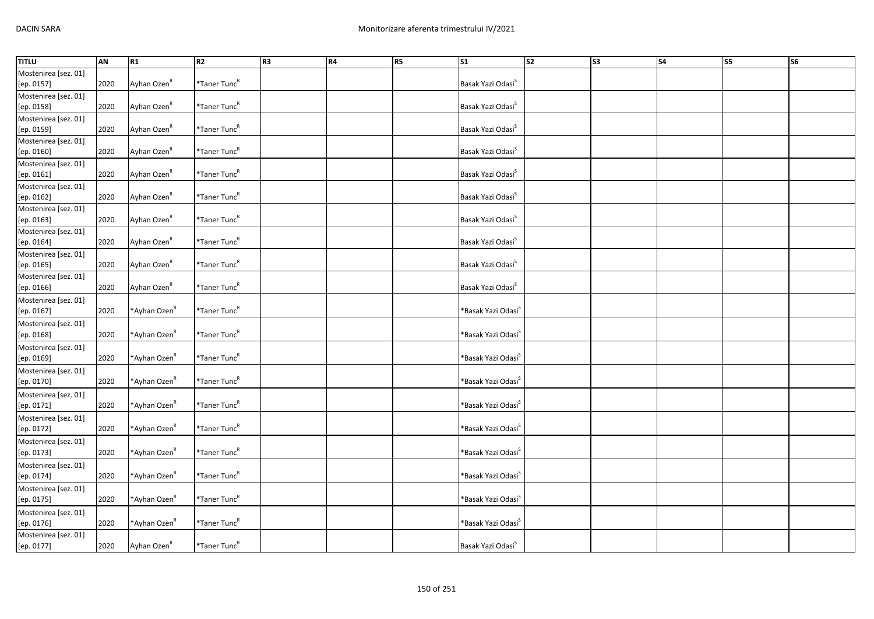| <b>TITLU</b>         | AN   | R1                       | R2                       | R <sub>3</sub> | R4 | R5 | $\overline{\text{S1}}$            | s <sub>2</sub> | $\overline{\text{S3}}$ | $\overline{\phantom{a}}$ | <b>S5</b> | $\overline{\text{S6}}$ |
|----------------------|------|--------------------------|--------------------------|----------------|----|----|-----------------------------------|----------------|------------------------|--------------------------|-----------|------------------------|
| Mostenirea [sez. 01] |      |                          |                          |                |    |    |                                   |                |                        |                          |           |                        |
| [ep. 0157]           | 2020 | Ayhan Ozen <sup>R</sup>  | *Taner Tunc <sup>R</sup> |                |    |    | Basak Yazi Odasi <sup>S</sup>     |                |                        |                          |           |                        |
| Mostenirea [sez. 01] |      |                          |                          |                |    |    |                                   |                |                        |                          |           |                        |
| [ep. 0158]           | 2020 | Ayhan Ozen <sup>R</sup>  | *Taner Tunc <sup>R</sup> |                |    |    | Basak Yazi Odasi <sup>S</sup>     |                |                        |                          |           |                        |
| Mostenirea [sez. 01] |      |                          |                          |                |    |    |                                   |                |                        |                          |           |                        |
| [ep. 0159]           | 2020 | Ayhan Ozen <sup>R</sup>  | *Taner Tunc <sup>R</sup> |                |    |    | Basak Yazi Odasi <sup>S</sup>     |                |                        |                          |           |                        |
| Mostenirea [sez. 01] |      |                          |                          |                |    |    |                                   |                |                        |                          |           |                        |
| [ep. 0160]           | 2020 | Ayhan Ozen <sup>R</sup>  | *Taner Tunc <sup>R</sup> |                |    |    | Basak Yazi Odasi <sup>S</sup>     |                |                        |                          |           |                        |
| Mostenirea [sez. 01] |      |                          |                          |                |    |    |                                   |                |                        |                          |           |                        |
| [ep. 0161]           | 2020 | Ayhan Ozen <sup>R</sup>  | *Taner Tunc <sup>R</sup> |                |    |    | Basak Yazi Odasi <sup>S</sup>     |                |                        |                          |           |                        |
| Mostenirea [sez. 01] |      |                          |                          |                |    |    |                                   |                |                        |                          |           |                        |
| [ep. 0162]           | 2020 | Ayhan Ozen <sup>R</sup>  | *Taner Tunc <sup>R</sup> |                |    |    | Basak Yazi Odasi <sup>S</sup>     |                |                        |                          |           |                        |
| Mostenirea [sez. 01] |      |                          |                          |                |    |    |                                   |                |                        |                          |           |                        |
| [ep. 0163]           | 2020 | Ayhan Ozen <sup>R</sup>  | *Taner Tunc <sup>R</sup> |                |    |    | Basak Yazi Odasi <sup>S</sup>     |                |                        |                          |           |                        |
| Mostenirea [sez. 01] |      |                          |                          |                |    |    |                                   |                |                        |                          |           |                        |
| [ep. 0164]           | 2020 | Ayhan Ozen <sup>R</sup>  | *Taner Tunc <sup>R</sup> |                |    |    | Basak Yazi Odasi <sup>S</sup>     |                |                        |                          |           |                        |
| Mostenirea [sez. 01] |      |                          |                          |                |    |    |                                   |                |                        |                          |           |                        |
| [ep. 0165]           | 2020 | Ayhan Ozen <sup>R</sup>  | *Taner Tunc <sup>R</sup> |                |    |    | Basak Yazi Odasi <sup>S</sup>     |                |                        |                          |           |                        |
| Mostenirea [sez. 01] |      |                          |                          |                |    |    |                                   |                |                        |                          |           |                        |
| [ep. 0166]           | 2020 | Ayhan Ozen <sup>R</sup>  | $*$ Taner Tunc $R$       |                |    |    | Basak Yazi Odasi <sup>S</sup>     |                |                        |                          |           |                        |
| Mostenirea [sez. 01] |      |                          |                          |                |    |    |                                   |                |                        |                          |           |                        |
| [ep. 0167]           | 2020 | *Ayhan Ozen <sup>R</sup> | *Taner Tunc <sup>R</sup> |                |    |    | *Basak Yazi Odasi <sup>S</sup>    |                |                        |                          |           |                        |
| Mostenirea [sez. 01] |      |                          |                          |                |    |    |                                   |                |                        |                          |           |                        |
| [ep. 0168]           | 2020 | *Ayhan Ozen <sup>ĸ</sup> | *Taner Tunc <sup>R</sup> |                |    |    | *Basak Yazi Odasi <sup>&gt;</sup> |                |                        |                          |           |                        |
| Mostenirea [sez. 01] |      |                          |                          |                |    |    |                                   |                |                        |                          |           |                        |
| [ep. 0169]           | 2020 | *Ayhan Ozen <sup>R</sup> | *Taner Tunc <sup>R</sup> |                |    |    | *Basak Yazi Odasi <sup>s</sup>    |                |                        |                          |           |                        |
| Mostenirea [sez. 01] |      |                          |                          |                |    |    |                                   |                |                        |                          |           |                        |
| [ep. 0170]           | 2020 | *Ayhan Ozen <sup>ĸ</sup> | *Taner Tunc <sup>R</sup> |                |    |    | *Basak Yazi Odasi <sup>s</sup>    |                |                        |                          |           |                        |
| Mostenirea [sez. 01] |      |                          |                          |                |    |    |                                   |                |                        |                          |           |                        |
| [ep. 0171]           | 2020 | *Ayhan Ozen <sup>R</sup> | *Taner Tunc <sup>R</sup> |                |    |    | *Basak Yazi Odasi <sup>&gt;</sup> |                |                        |                          |           |                        |
| Mostenirea [sez. 01] |      |                          |                          |                |    |    |                                   |                |                        |                          |           |                        |
| [ep. 0172]           | 2020 | *Ayhan Ozen <sup>R</sup> | *Taner Tunc <sup>R</sup> |                |    |    | *Basak Yazi Odasi <sup>s</sup>    |                |                        |                          |           |                        |
| Mostenirea [sez. 01] |      |                          |                          |                |    |    |                                   |                |                        |                          |           |                        |
| [ep. 0173]           | 2020 | *Ayhan Ozen <sup>R</sup> | *Taner Tunc <sup>R</sup> |                |    |    | *Basak Yazi Odasi <sup>s</sup>    |                |                        |                          |           |                        |
| Mostenirea [sez. 01] |      |                          |                          |                |    |    |                                   |                |                        |                          |           |                        |
| [ep. 0174]           | 2020 | *Ayhan Ozen <sup>R</sup> | *Taner Tunc <sup>R</sup> |                |    |    | *Basak Yazi Odasi <sup>s</sup>    |                |                        |                          |           |                        |
| Mostenirea [sez. 01] |      |                          |                          |                |    |    |                                   |                |                        |                          |           |                        |
| [ep. 0175]           | 2020 | *Ayhan Ozen <sup>ĸ</sup> | *Taner Tunc <sup>R</sup> |                |    |    | *Basak Yazi Odasi <sup>&gt;</sup> |                |                        |                          |           |                        |
| Mostenirea [sez. 01] |      |                          |                          |                |    |    |                                   |                |                        |                          |           |                        |
| [ep. 0176]           | 2020 | *Ayhan Ozen <sup>ĸ</sup> | *Taner Tunc <sup>R</sup> |                |    |    | *Basak Yazi Odasi <sup>S</sup>    |                |                        |                          |           |                        |
| Mostenirea [sez. 01] |      |                          |                          |                |    |    |                                   |                |                        |                          |           |                        |
| [ep. 0177]           | 2020 | Ayhan Ozen <sup>R</sup>  | *Taner Tunc <sup>R</sup> |                |    |    | Basak Yazi Odasi <sup>S</sup>     |                |                        |                          |           |                        |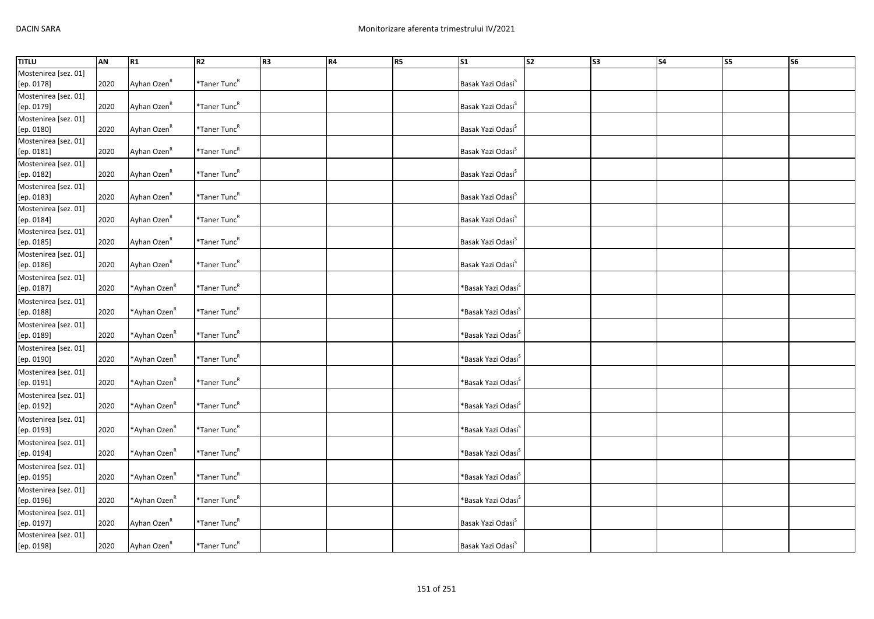| <b>TITLU</b>         | <b>AN</b> | R1                       | R2                       | R <sub>3</sub> | R4 | R5 | S <sub>1</sub>                 | $\overline{\text{S2}}$ | S <sub>3</sub> | S <sub>4</sub> | S5 | S6 |
|----------------------|-----------|--------------------------|--------------------------|----------------|----|----|--------------------------------|------------------------|----------------|----------------|----|----|
| Mostenirea [sez. 01] |           |                          |                          |                |    |    |                                |                        |                |                |    |    |
| [ep. 0178]           | 2020      | Ayhan Ozen <sup>R</sup>  | *Taner Tunc <sup>R</sup> |                |    |    | Basak Yazi Odasi <sup>S</sup>  |                        |                |                |    |    |
| Mostenirea [sez. 01] |           |                          |                          |                |    |    |                                |                        |                |                |    |    |
| [ep. 0179]           | 2020      | Ayhan Ozen <sup>R</sup>  | *Taner Tunc <sup>R</sup> |                |    |    | Basak Yazi Odasi <sup>S</sup>  |                        |                |                |    |    |
| Mostenirea [sez. 01] |           |                          |                          |                |    |    |                                |                        |                |                |    |    |
| [ep. 0180]           | 2020      | Ayhan Ozen <sup>R</sup>  | *Taner Tunc <sup>R</sup> |                |    |    | Basak Yazi Odasi <sup>S</sup>  |                        |                |                |    |    |
| Mostenirea [sez. 01] |           |                          |                          |                |    |    |                                |                        |                |                |    |    |
| [ep. 0181]           | 2020      | Ayhan Ozen <sup>R</sup>  | *Taner Tunc <sup>R</sup> |                |    |    | Basak Yazi Odasi <sup>S</sup>  |                        |                |                |    |    |
| Mostenirea [sez. 01] |           |                          |                          |                |    |    |                                |                        |                |                |    |    |
| [ep. 0182]           | 2020      | Ayhan Ozen <sup>R</sup>  | *Taner Tunc <sup>R</sup> |                |    |    | Basak Yazi Odasi <sup>S</sup>  |                        |                |                |    |    |
| Mostenirea [sez. 01] |           |                          |                          |                |    |    |                                |                        |                |                |    |    |
| [ep. 0183]           | 2020      | Ayhan Ozen <sup>R</sup>  | *Taner Tunc <sup>R</sup> |                |    |    | Basak Yazi Odasi <sup>S</sup>  |                        |                |                |    |    |
| Mostenirea [sez. 01] |           |                          |                          |                |    |    |                                |                        |                |                |    |    |
| [ep. 0184]           | 2020      | Ayhan Ozen <sup>R</sup>  | *Taner Tunc <sup>R</sup> |                |    |    | Basak Yazi Odasi <sup>S</sup>  |                        |                |                |    |    |
| Mostenirea [sez. 01] |           |                          |                          |                |    |    |                                |                        |                |                |    |    |
| [ep. 0185]           | 2020      | Ayhan Ozen <sup>R</sup>  | *Taner Tunc <sup>R</sup> |                |    |    | Basak Yazi Odasi <sup>S</sup>  |                        |                |                |    |    |
| Mostenirea [sez. 01] |           |                          |                          |                |    |    |                                |                        |                |                |    |    |
| [ep. 0186]           | 2020      | Ayhan Ozen <sup>R</sup>  | *Taner Tunc <sup>R</sup> |                |    |    | Basak Yazi Odasi <sup>S</sup>  |                        |                |                |    |    |
| Mostenirea [sez. 01] |           |                          |                          |                |    |    |                                |                        |                |                |    |    |
| [ep. 0187]           | 2020      | *Ayhan Ozen <sup>R</sup> | *Taner Tunc <sup>R</sup> |                |    |    | *Basak Yazi Odasi <sup>s</sup> |                        |                |                |    |    |
| Mostenirea [sez. 01] |           |                          |                          |                |    |    |                                |                        |                |                |    |    |
| [ep. 0188]           | 2020      | *Ayhan Ozen <sup>R</sup> | *Taner Tunc <sup>R</sup> |                |    |    | *Basak Yazi Odasi <sup>s</sup> |                        |                |                |    |    |
| Mostenirea [sez. 01] |           |                          |                          |                |    |    |                                |                        |                |                |    |    |
| [ep. 0189]           | 2020      | *Ayhan Ozen <sup>R</sup> | *Taner Tunc <sup>R</sup> |                |    |    | *Basak Yazi Odasi <sup>s</sup> |                        |                |                |    |    |
| Mostenirea [sez. 01] |           |                          |                          |                |    |    |                                |                        |                |                |    |    |
| [ep. 0190]           | 2020      | *Ayhan Ozen <sup>R</sup> | *Taner Tunc <sup>R</sup> |                |    |    | *Basak Yazi Odasi <sup>s</sup> |                        |                |                |    |    |
| Mostenirea [sez. 01] |           |                          |                          |                |    |    |                                |                        |                |                |    |    |
| [ep. 0191]           | 2020      | *Ayhan Ozen <sup>R</sup> | *Taner Tunc <sup>R</sup> |                |    |    | *Basak Yazi Odasi <sup>s</sup> |                        |                |                |    |    |
| Mostenirea [sez. 01] |           |                          |                          |                |    |    |                                |                        |                |                |    |    |
| [ep. 0192]           | 2020      | *Ayhan Ozen <sup>R</sup> | *Taner Tunc <sup>R</sup> |                |    |    | *Basak Yazi Odasi <sup>s</sup> |                        |                |                |    |    |
| Mostenirea [sez. 01] |           |                          |                          |                |    |    |                                |                        |                |                |    |    |
| [ep. 0193]           | 2020      | *Ayhan Ozen <sup>R</sup> | *Taner Tunc <sup>R</sup> |                |    |    | *Basak Yazi Odasi <sup>s</sup> |                        |                |                |    |    |
| Mostenirea [sez. 01] |           |                          |                          |                |    |    |                                |                        |                |                |    |    |
| [ep. 0194]           | 2020      | *Ayhan Ozen <sup>R</sup> | *Taner Tunc <sup>R</sup> |                |    |    | *Basak Yazi Odasi <sup>s</sup> |                        |                |                |    |    |
| Mostenirea [sez. 01] |           |                          |                          |                |    |    |                                |                        |                |                |    |    |
| [ep. 0195]           | 2020      | *Ayhan Ozen <sup>R</sup> | *Taner Tunc <sup>R</sup> |                |    |    | *Basak Yazi Odasi <sup>s</sup> |                        |                |                |    |    |
| Mostenirea [sez. 01] |           |                          |                          |                |    |    |                                |                        |                |                |    |    |
| [ep. 0196]           | 2020      | *Ayhan Ozen <sup>R</sup> | *Taner Tunc <sup>R</sup> |                |    |    | *Basak Yazi Odasi <sup>s</sup> |                        |                |                |    |    |
| Mostenirea [sez. 01] |           |                          |                          |                |    |    |                                |                        |                |                |    |    |
| [ep. 0197]           | 2020      | Ayhan Ozen <sup>R</sup>  | *Taner Tunc <sup>R</sup> |                |    |    | Basak Yazi Odasi <sup>S</sup>  |                        |                |                |    |    |
| Mostenirea [sez. 01] |           |                          |                          |                |    |    |                                |                        |                |                |    |    |
| [ep. 0198]           | 2020      | Ayhan Ozen <sup>R</sup>  | *Taner Tunc <sup>R</sup> |                |    |    | Basak Yazi Odasi <sup>S</sup>  |                        |                |                |    |    |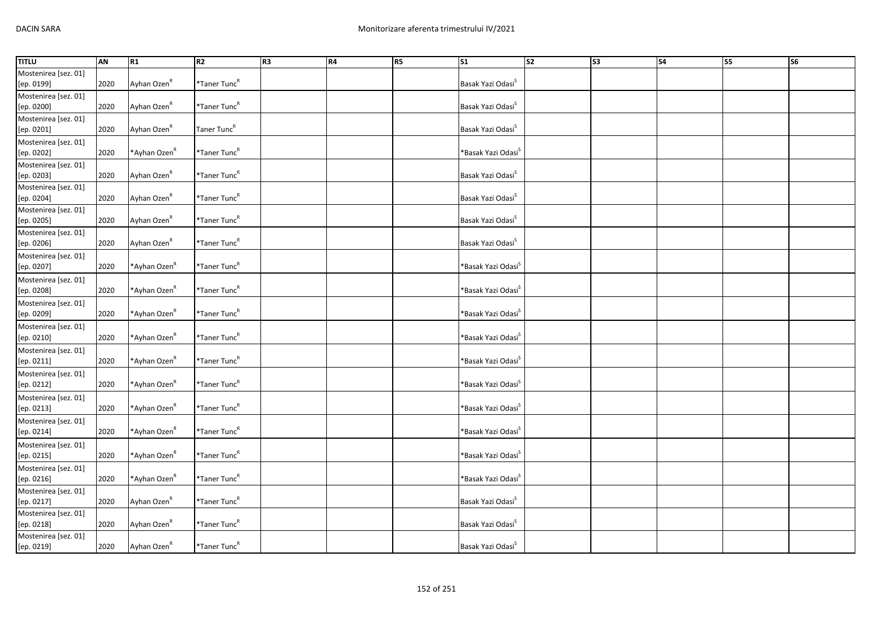| <b>TITLU</b>         | <b>AN</b> | R1                       | R2                       | R3 | <b>R4</b> | R5 | $\overline{\text{S1}}$            | $\overline{\text{S2}}$ | $\overline{\text{S3}}$ | S <sub>4</sub> | S5 | $\overline{\text{S6}}$ |
|----------------------|-----------|--------------------------|--------------------------|----|-----------|----|-----------------------------------|------------------------|------------------------|----------------|----|------------------------|
| Mostenirea [sez. 01] |           |                          |                          |    |           |    |                                   |                        |                        |                |    |                        |
| [ep. 0199]           | 2020      | Ayhan Ozen <sup>R</sup>  | *Taner Tunc <sup>R</sup> |    |           |    | Basak Yazi Odasi <sup>S</sup>     |                        |                        |                |    |                        |
| Mostenirea [sez. 01] |           |                          |                          |    |           |    |                                   |                        |                        |                |    |                        |
| [ep. 0200]           | 2020      | Ayhan Ozen <sup>R</sup>  | *Taner Tunc <sup>R</sup> |    |           |    | Basak Yazi Odasi <sup>S</sup>     |                        |                        |                |    |                        |
| Mostenirea [sez. 01] |           |                          |                          |    |           |    |                                   |                        |                        |                |    |                        |
| [ep. 0201]           | 2020      | Ayhan Ozen <sup>R</sup>  | Taner Tunc <sup>R</sup>  |    |           |    | Basak Yazi Odasi <sup>S</sup>     |                        |                        |                |    |                        |
| Mostenirea [sez. 01] |           |                          |                          |    |           |    |                                   |                        |                        |                |    |                        |
| [ep. 0202]           | 2020      | *Ayhan Ozen <sup>R</sup> | *Taner Tunc <sup>R</sup> |    |           |    | *Basak Yazi Odasi <sup>s</sup>    |                        |                        |                |    |                        |
| Mostenirea [sez. 01] |           |                          |                          |    |           |    |                                   |                        |                        |                |    |                        |
| [ep. 0203]           | 2020      | Ayhan Ozen <sup>R</sup>  | *Taner Tunc <sup>R</sup> |    |           |    | Basak Yazi Odasi <sup>S</sup>     |                        |                        |                |    |                        |
| Mostenirea [sez. 01] |           |                          |                          |    |           |    |                                   |                        |                        |                |    |                        |
| [ep. 0204]           | 2020      | Ayhan Ozen <sup>R</sup>  | *Taner Tunc <sup>R</sup> |    |           |    | Basak Yazi Odasi <sup>S</sup>     |                        |                        |                |    |                        |
| Mostenirea [sez. 01] |           |                          |                          |    |           |    |                                   |                        |                        |                |    |                        |
| [ep. 0205]           | 2020      | Ayhan Ozen <sup>R</sup>  | *Taner Tunc <sup>R</sup> |    |           |    | Basak Yazi Odasi <sup>S</sup>     |                        |                        |                |    |                        |
| Mostenirea [sez. 01] |           |                          |                          |    |           |    |                                   |                        |                        |                |    |                        |
| [ep. 0206]           | 2020      | Ayhan Ozen <sup>R</sup>  | *Taner Tunc <sup>R</sup> |    |           |    | Basak Yazi Odasi <sup>S</sup>     |                        |                        |                |    |                        |
| Mostenirea [sez. 01] |           |                          |                          |    |           |    |                                   |                        |                        |                |    |                        |
| [ep. 0207]           | 2020      | *Ayhan Ozen <sup>R</sup> | *Taner Tunc <sup>R</sup> |    |           |    | *Basak Yazi Odasi <sup>`</sup>    |                        |                        |                |    |                        |
| Mostenirea [sez. 01] |           |                          |                          |    |           |    |                                   |                        |                        |                |    |                        |
| [ep. 0208]           | 2020      | *Ayhan Ozen <sup>R</sup> | *Taner Tunc <sup>R</sup> |    |           |    | *Basak Yazi Odasi <sup>&gt;</sup> |                        |                        |                |    |                        |
| Mostenirea [sez. 01] |           |                          |                          |    |           |    |                                   |                        |                        |                |    |                        |
| [ep. 0209]           | 2020      | *Ayhan Ozen <sup>R</sup> | *Taner Tunc <sup>R</sup> |    |           |    | *Basak Yazi Odasi <sup>&gt;</sup> |                        |                        |                |    |                        |
| Mostenirea [sez. 01] |           |                          |                          |    |           |    |                                   |                        |                        |                |    |                        |
| [ep. 0210]           | 2020      | *Ayhan Ozen <sup>R</sup> | *Taner Tunc <sup>R</sup> |    |           |    | *Basak Yazi Odasi <sup>s</sup>    |                        |                        |                |    |                        |
| Mostenirea [sez. 01] |           |                          |                          |    |           |    |                                   |                        |                        |                |    |                        |
| [ep. 0211]           | 2020      | *Ayhan Ozen <sup>R</sup> | *Taner Tunc <sup>R</sup> |    |           |    | *Basak Yazi Odasi <sup>s</sup>    |                        |                        |                |    |                        |
| Mostenirea [sez. 01] |           |                          |                          |    |           |    |                                   |                        |                        |                |    |                        |
| [ep. 0212]           | 2020      | *Ayhan Ozen <sup>R</sup> | *Taner Tunc <sup>R</sup> |    |           |    | *Basak Yazi Odasi <sup>&gt;</sup> |                        |                        |                |    |                        |
| Mostenirea [sez. 01] |           |                          |                          |    |           |    |                                   |                        |                        |                |    |                        |
| [ep. 0213]           | 2020      | *Ayhan Ozen <sup>R</sup> | *Taner Tunc <sup>R</sup> |    |           |    | *Basak Yazi Odasi <sup>`</sup>    |                        |                        |                |    |                        |
| Mostenirea [sez. 01] |           |                          |                          |    |           |    |                                   |                        |                        |                |    |                        |
| [ep. 0214]           | 2020      | *Ayhan Ozen <sup>k</sup> | *Taner Tunc <sup>R</sup> |    |           |    | *Basak Yazi Odasi <sup>s</sup>    |                        |                        |                |    |                        |
| Mostenirea [sez. 01] |           |                          |                          |    |           |    |                                   |                        |                        |                |    |                        |
| [ep. 0215]           | 2020      | *Ayhan Ozen <sup>R</sup> | *Taner Tunc <sup>R</sup> |    |           |    | *Basak Yazi Odasi <sup>`</sup>    |                        |                        |                |    |                        |
| Mostenirea [sez. 01] |           |                          |                          |    |           |    |                                   |                        |                        |                |    |                        |
| [ep. 0216]           | 2020      | *Ayhan Ozen <sup>R</sup> | *Taner Tunc <sup>R</sup> |    |           |    | *Basak Yazi Odasi <sup>s</sup>    |                        |                        |                |    |                        |
| Mostenirea [sez. 01] |           |                          |                          |    |           |    |                                   |                        |                        |                |    |                        |
| [ep. 0217]           | 2020      | Ayhan Ozen <sup>R</sup>  | *Taner Tunc <sup>R</sup> |    |           |    | Basak Yazi Odasi <sup>S</sup>     |                        |                        |                |    |                        |
| Mostenirea [sez. 01] |           |                          |                          |    |           |    |                                   |                        |                        |                |    |                        |
| [ep. 0218]           | 2020      | Ayhan Ozen <sup>R</sup>  | *Taner Tunc <sup>R</sup> |    |           |    | Basak Yazi Odasi <sup>S</sup>     |                        |                        |                |    |                        |
| Mostenirea [sez. 01] |           |                          |                          |    |           |    |                                   |                        |                        |                |    |                        |
| [ep. 0219]           | 2020      | Ayhan Ozen <sup>K</sup>  | *Taner Tunc <sup>R</sup> |    |           |    | Basak Yazi Odasi <sup>S</sup>     |                        |                        |                |    |                        |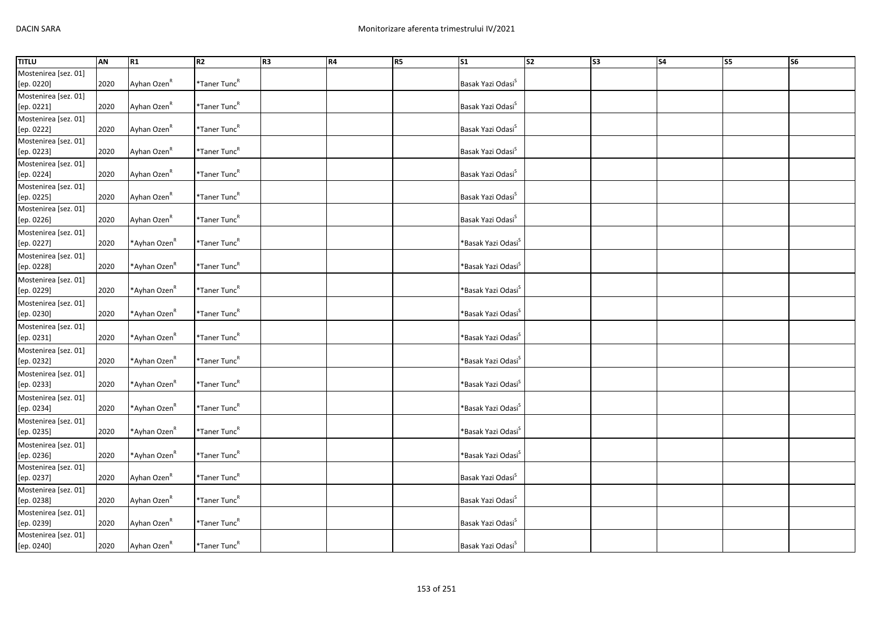| <b>TITLU</b>         | AN   | R1                       | R2                       | R <sub>3</sub> | <b>R4</b> | R5 | $\overline{\text{S1}}$            | s <sub>2</sub> | $\overline{\text{S3}}$ | $\overline{\phantom{a}}$ | <b>S5</b> | $\overline{\text{S6}}$ |
|----------------------|------|--------------------------|--------------------------|----------------|-----------|----|-----------------------------------|----------------|------------------------|--------------------------|-----------|------------------------|
| Mostenirea [sez. 01] |      |                          |                          |                |           |    |                                   |                |                        |                          |           |                        |
| [ep. 0220]           | 2020 | Ayhan Ozen <sup>R</sup>  | *Taner Tunc <sup>R</sup> |                |           |    | Basak Yazi Odasi <sup>S</sup>     |                |                        |                          |           |                        |
| Mostenirea [sez. 01] |      |                          |                          |                |           |    |                                   |                |                        |                          |           |                        |
| [ep. 0221]           | 2020 | Ayhan Ozen <sup>R</sup>  | *Taner Tunc <sup>R</sup> |                |           |    | Basak Yazi Odasi <sup>S</sup>     |                |                        |                          |           |                        |
| Mostenirea [sez. 01] |      |                          |                          |                |           |    |                                   |                |                        |                          |           |                        |
| [ep. 0222]           | 2020 | Ayhan Ozen <sup>R</sup>  | *Taner Tunc <sup>R</sup> |                |           |    | Basak Yazi Odasi <sup>S</sup>     |                |                        |                          |           |                        |
| Mostenirea [sez. 01] |      |                          |                          |                |           |    |                                   |                |                        |                          |           |                        |
| [ep. 0223]           | 2020 | Ayhan Ozen <sup>R</sup>  | *Taner Tunc <sup>R</sup> |                |           |    | Basak Yazi Odasi <sup>S</sup>     |                |                        |                          |           |                        |
| Mostenirea [sez. 01] |      |                          |                          |                |           |    |                                   |                |                        |                          |           |                        |
| [ep. 0224]           | 2020 | Ayhan Ozen <sup>R</sup>  | *Taner Tunc <sup>R</sup> |                |           |    | Basak Yazi Odasi <sup>S</sup>     |                |                        |                          |           |                        |
| Mostenirea [sez. 01] |      |                          |                          |                |           |    |                                   |                |                        |                          |           |                        |
| [ep. 0225]           | 2020 | Ayhan Ozen <sup>R</sup>  | *Taner Tunc <sup>R</sup> |                |           |    | Basak Yazi Odasi <sup>S</sup>     |                |                        |                          |           |                        |
| Mostenirea [sez. 01] |      |                          |                          |                |           |    |                                   |                |                        |                          |           |                        |
| [ep. 0226]           | 2020 | Ayhan Ozen <sup>R</sup>  | *Taner Tunc <sup>R</sup> |                |           |    | Basak Yazi Odasi <sup>S</sup>     |                |                        |                          |           |                        |
| Mostenirea [sez. 01] |      |                          |                          |                |           |    |                                   |                |                        |                          |           |                        |
| [ep. 0227]           | 2020 | *Ayhan Ozen <sup>R</sup> | *Taner Tunc <sup>R</sup> |                |           |    | *Basak Yazi Odasi <sup>&gt;</sup> |                |                        |                          |           |                        |
| Mostenirea [sez. 01] |      |                          |                          |                |           |    |                                   |                |                        |                          |           |                        |
| [ep. 0228]           | 2020 | *Ayhan Ozen <sup>R</sup> | *Taner Tunc <sup>R</sup> |                |           |    | *Basak Yazi Odasi <sup>`</sup>    |                |                        |                          |           |                        |
| Mostenirea [sez. 01] |      |                          |                          |                |           |    |                                   |                |                        |                          |           |                        |
| [ep. 0229]           | 2020 | *Ayhan Ozen <sup>R</sup> | *Taner Tunc <sup>R</sup> |                |           |    | *Basak Yazi Odasi <sup>s</sup>    |                |                        |                          |           |                        |
| Mostenirea [sez. 01] |      |                          |                          |                |           |    |                                   |                |                        |                          |           |                        |
| [ep. 0230]           | 2020 | *Ayhan Ozen <sup>R</sup> | *Taner Tunc <sup>R</sup> |                |           |    | *Basak Yazi Odasi <sup>S</sup>    |                |                        |                          |           |                        |
| Mostenirea [sez. 01] |      |                          |                          |                |           |    |                                   |                |                        |                          |           |                        |
| [ep. 0231]           | 2020 | *Ayhan Ozen <sup>R</sup> | *Taner Tunc <sup>R</sup> |                |           |    | *Basak Yazi Odasi <sup>s</sup>    |                |                        |                          |           |                        |
| Mostenirea [sez. 01] |      |                          |                          |                |           |    |                                   |                |                        |                          |           |                        |
| [ep. 0232]           | 2020 | *Ayhan Ozen <sup>R</sup> | *Taner Tunc <sup>R</sup> |                |           |    | *Basak Yazi Odasi <sup>s</sup>    |                |                        |                          |           |                        |
| Mostenirea [sez. 01] |      |                          |                          |                |           |    |                                   |                |                        |                          |           |                        |
| [ep. 0233]           | 2020 | *Ayhan Ozen <sup>R</sup> | *Taner Tunc <sup>R</sup> |                |           |    | *Basak Yazi Odasi <sup>s</sup>    |                |                        |                          |           |                        |
| Mostenirea [sez. 01] |      |                          |                          |                |           |    |                                   |                |                        |                          |           |                        |
| [ep. 0234]           | 2020 | *Ayhan Ozen <sup>R</sup> | *Taner Tunc <sup>R</sup> |                |           |    | *Basak Yazi Odasi <sup>s</sup>    |                |                        |                          |           |                        |
| Mostenirea [sez. 01] |      |                          |                          |                |           |    |                                   |                |                        |                          |           |                        |
| [ep. 0235]           | 2020 | *Ayhan Ozen <sup>R</sup> | $*$ Taner Tunc $R$       |                |           |    | *Basak Yazi Odasi <sup>s</sup>    |                |                        |                          |           |                        |
| Mostenirea [sez. 01] |      |                          |                          |                |           |    |                                   |                |                        |                          |           |                        |
| [ep. 0236]           | 2020 | *Ayhan Ozen <sup>R</sup> | *Taner Tunc <sup>R</sup> |                |           |    | *Basak Yazi Odasi <sup>`</sup>    |                |                        |                          |           |                        |
| Mostenirea [sez. 01] |      |                          |                          |                |           |    |                                   |                |                        |                          |           |                        |
| [ep. 0237]           | 2020 | Ayhan Ozen <sup>R</sup>  | *Taner Tunc <sup>R</sup> |                |           |    | Basak Yazi Odasi <sup>S</sup>     |                |                        |                          |           |                        |
| Mostenirea [sez. 01] |      |                          |                          |                |           |    |                                   |                |                        |                          |           |                        |
| [ep. 0238]           | 2020 | Ayhan Ozen <sup>R</sup>  | $*$ Taner Tunc $R$       |                |           |    | Basak Yazi Odasi <sup>S</sup>     |                |                        |                          |           |                        |
| Mostenirea [sez. 01] |      |                          |                          |                |           |    |                                   |                |                        |                          |           |                        |
| [ep. 0239]           | 2020 | Ayhan Ozen <sup>R</sup>  | *Taner Tunc <sup>R</sup> |                |           |    | Basak Yazi Odasi <sup>5</sup>     |                |                        |                          |           |                        |
| Mostenirea [sez. 01] |      |                          |                          |                |           |    |                                   |                |                        |                          |           |                        |
| [ep. 0240]           | 2020 | Ayhan Ozen <sup>R</sup>  | *Taner Tunc <sup>R</sup> |                |           |    | Basak Yazi Odasi <sup>S</sup>     |                |                        |                          |           |                        |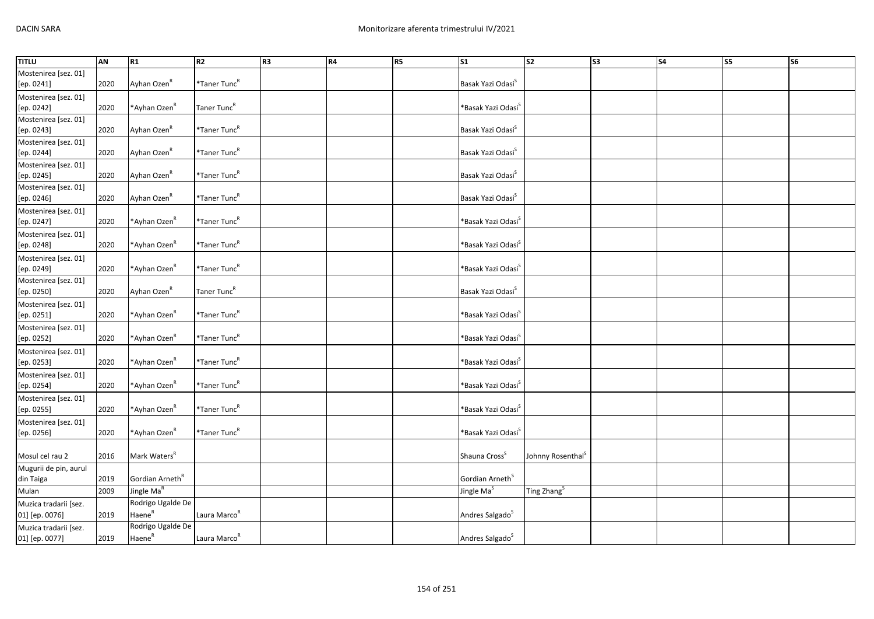| <b>TITLU</b>          | AN   | R <sub>1</sub>              | R <sub>2</sub>           | R <sub>3</sub> | R4 | <b>R5</b> | S <sub>1</sub>                 | s <sub>2</sub>                | S3 | <b>S4</b> | S5 | S6 |
|-----------------------|------|-----------------------------|--------------------------|----------------|----|-----------|--------------------------------|-------------------------------|----|-----------|----|----|
| Mostenirea [sez. 01]  |      |                             |                          |                |    |           |                                |                               |    |           |    |    |
| [ep. 0241]            | 2020 | Ayhan Ozen <sup>R</sup>     | *Taner Tunc <sup>R</sup> |                |    |           | Basak Yazi Odasi <sup>S</sup>  |                               |    |           |    |    |
| Mostenirea [sez. 01]  |      |                             |                          |                |    |           |                                |                               |    |           |    |    |
| [ep. 0242]            | 2020 | *Ayhan Ozen <sup>R</sup>    | Taner Tunc <sup>R</sup>  |                |    |           | *Basak Yazi Odasi <sup>s</sup> |                               |    |           |    |    |
| Mostenirea [sez. 01]  |      |                             |                          |                |    |           |                                |                               |    |           |    |    |
| [ep. 0243]            | 2020 | Ayhan Ozen <sup>R</sup>     | *Taner Tunc <sup>R</sup> |                |    |           | Basak Yazi Odasi <sup>S</sup>  |                               |    |           |    |    |
| Mostenirea [sez. 01]  |      |                             |                          |                |    |           |                                |                               |    |           |    |    |
| [ep. 0244]            | 2020 | Ayhan Ozen <sup>R</sup>     | *Taner Tunc <sup>R</sup> |                |    |           | Basak Yazi Odasi <sup>S</sup>  |                               |    |           |    |    |
| Mostenirea [sez. 01]  |      |                             |                          |                |    |           |                                |                               |    |           |    |    |
| [ep. 0245]            | 2020 | Ayhan Ozen <sup>R</sup>     | *Taner Tunc <sup>R</sup> |                |    |           | Basak Yazi Odasi <sup>S</sup>  |                               |    |           |    |    |
| Mostenirea [sez. 01]  |      |                             |                          |                |    |           |                                |                               |    |           |    |    |
| [ep. 0246]            | 2020 | Ayhan Ozen <sup>R</sup>     | *Taner Tunc <sup>R</sup> |                |    |           | Basak Yazi Odasi <sup>S</sup>  |                               |    |           |    |    |
| Mostenirea [sez. 01]  |      |                             |                          |                |    |           |                                |                               |    |           |    |    |
| [ep. 0247]            | 2020 | *Ayhan Ozen <sup>R</sup>    | *Taner Tunc <sup>R</sup> |                |    |           | *Basak Yazi Odasi <sup>S</sup> |                               |    |           |    |    |
| Mostenirea [sez. 01]  |      |                             |                          |                |    |           |                                |                               |    |           |    |    |
| [ep. 0248]            | 2020 | *Ayhan Ozen <sup>R</sup>    | $*$ Taner Tunc $R$       |                |    |           | *Basak Yazi Odasi <sup>s</sup> |                               |    |           |    |    |
| Mostenirea [sez. 01]  |      |                             |                          |                |    |           |                                |                               |    |           |    |    |
| [ep. 0249]            | 2020 | *Ayhan Ozen <sup>R</sup>    | *Taner Tunc <sup>R</sup> |                |    |           | *Basak Yazi Odasi <sup>S</sup> |                               |    |           |    |    |
| Mostenirea [sez. 01]  |      |                             |                          |                |    |           |                                |                               |    |           |    |    |
| [ep. 0250]            | 2020 | Ayhan Ozen <sup>R</sup>     | Taner Tunc <sup>R</sup>  |                |    |           | Basak Yazi Odasi <sup>S</sup>  |                               |    |           |    |    |
| Mostenirea [sez. 01]  |      |                             |                          |                |    |           |                                |                               |    |           |    |    |
| [ep. 0251]            | 2020 | *Ayhan Ozen <sup>R</sup>    | *Taner Tunc <sup>R</sup> |                |    |           | *Basak Yazi Odasi <sup>s</sup> |                               |    |           |    |    |
| Mostenirea [sez. 01]  |      |                             |                          |                |    |           |                                |                               |    |           |    |    |
| [ep. 0252]            | 2020 | *Ayhan Ozen <sup>R</sup>    | *Taner Tunc <sup>R</sup> |                |    |           | *Basak Yazi Odasi <sup>5</sup> |                               |    |           |    |    |
| Mostenirea [sez. 01]  |      |                             |                          |                |    |           |                                |                               |    |           |    |    |
| [ep. 0253]            | 2020 | *Ayhan Ozen <sup>R</sup>    | *Taner Tunc <sup>R</sup> |                |    |           | *Basak Yazi Odasi <sup>s</sup> |                               |    |           |    |    |
| Mostenirea [sez. 01]  |      |                             |                          |                |    |           |                                |                               |    |           |    |    |
| [ep. 0254]            | 2020 | *Ayhan Ozen <sup>R</sup>    | *Taner Tunc <sup>R</sup> |                |    |           | *Basak Yazi Odasi <sup>S</sup> |                               |    |           |    |    |
| Mostenirea [sez. 01]  |      |                             |                          |                |    |           |                                |                               |    |           |    |    |
| [ep. 0255]            | 2020 | *Ayhan Ozen <sup>R</sup>    | *Taner Tunc <sup>R</sup> |                |    |           | *Basak Yazi Odasi <sup>s</sup> |                               |    |           |    |    |
| Mostenirea [sez. 01]  |      |                             |                          |                |    |           |                                |                               |    |           |    |    |
| [ep. 0256]            | 2020 | *Ayhan Ozen <sup>R</sup>    | *Taner Tunc <sup>R</sup> |                |    |           | *Basak Yazi Odasi <sup>s</sup> |                               |    |           |    |    |
|                       |      |                             |                          |                |    |           |                                |                               |    |           |    |    |
| Mosul cel rau 2       | 2016 | Mark Waters <sup>R</sup>    |                          |                |    |           | Shauna Cross <sup>S</sup>      | Johnny Rosenthal <sup>S</sup> |    |           |    |    |
| Mugurii de pin, aurul |      |                             |                          |                |    |           |                                |                               |    |           |    |    |
| din Taiga             | 2019 | Gordian Arneth <sup>R</sup> |                          |                |    |           | Gordian Arneth <sup>S</sup>    |                               |    |           |    |    |
| Mulan                 | 2009 | Jingle Ma <sup>R</sup>      |                          |                |    |           | Jingle Ma <sup>S</sup>         | Ting Zhang <sup>S</sup>       |    |           |    |    |
| Muzica tradarii [sez. |      | Rodrigo Ugalde De           |                          |                |    |           |                                |                               |    |           |    |    |
| 01] [ep. 0076]        | 2019 | Haene <sup>R</sup>          | Laura Marco <sup>R</sup> |                |    |           | Andres Salgado <sup>S</sup>    |                               |    |           |    |    |
| Muzica tradarii [sez. |      | Rodrigo Ugalde De           |                          |                |    |           |                                |                               |    |           |    |    |
| 01] [ep. 0077]        | 2019 | Haene <sup>R</sup>          | Laura Marco <sup>R</sup> |                |    |           | Andres Salgado <sup>S</sup>    |                               |    |           |    |    |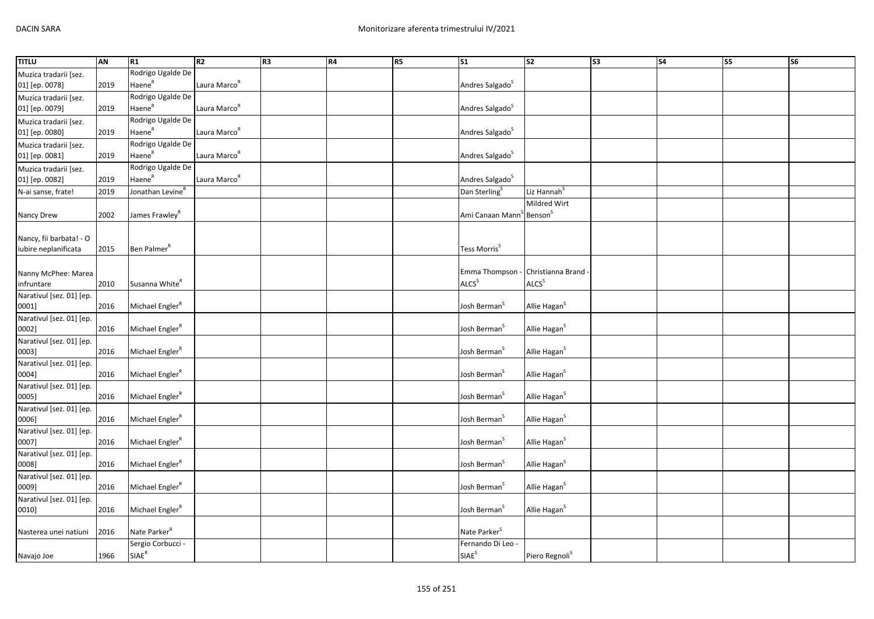| Rodrigo Ugalde De<br>Muzica tradarii [sez.<br>Haene <sup>R</sup><br>01] [ep. 0078]<br>Laura Marco <sup>R</sup><br>Andres Salgado <sup>S</sup><br>2019<br>Rodrigo Ugalde De<br>Muzica tradarii [sez.<br>Haene <sup>R</sup><br>Andres Salgado <sup>S</sup><br>Laura Marco <sup>R</sup><br>01] [ep. 0079]<br>2019<br>Rodrigo Ugalde De<br>Muzica tradarii [sez.<br>Haene <sup>R</sup><br>Laura Marco <sup>R</sup><br>Andres Salgado <sup>S</sup><br>01] [ep. 0080]<br>2019<br>Rodrigo Ugalde De<br>Muzica tradarii [sez.<br>Haene <sup>R</sup><br>Laura Marco <sup>R</sup><br>Andres Salgado <sup>S</sup><br>01] [ep. 0081]<br>2019<br>Rodrigo Ugalde De<br>Muzica tradarii [sez.<br>Haene <sup>R</sup><br>01] [ep. 0082]<br>Laura Marco <sup>R</sup><br>Andres Salgado <sup>S</sup><br>2019<br>Jonathan LevineR<br>Dan Sterling <sup>S</sup><br>Liz Hannah <sup>S</sup><br>N-ai sanse, frate!<br>2019<br>Mildred Wirt<br>Ami Canaan Mann <sup>S</sup> Benson <sup>S</sup><br>2002<br>James Frawley <sup>R</sup><br>Nancy Drew<br>Nancy, fii barbata! - O<br>iubire neplanificata<br>Ben Palmer <sup>R</sup><br>Tess Morris <sup>S</sup><br>2015<br>Emma Thompson - Christianna Brand<br>Nanny McPhee: Marea<br><b>ALCS</b> <sup>S</sup><br>Susanna White <sup>R</sup><br>ALCS <sup>S</sup><br>2010<br>infruntare<br>Narativul [sez. 01] [ep.<br>Michael Engler <sup>R</sup><br>Josh Berman <sup>S</sup><br>Allie Hagan <sup>S</sup><br>0001]<br>2016<br>Narativul [sez. 01] [ep.<br>0002]<br>2016<br>Michael Engler <sup>R</sup><br>Josh Berman <sup>S</sup><br>Allie Hagan <sup>S</sup><br>Narativul [sez. 01] [ep.<br>Michael Engler <sup>R</sup><br>Allie Hagan <sup>S</sup><br>0003]<br>2016<br>Josh Berman <sup>5</sup><br>Narativul [sez. 01] [ep.<br>Michael Engler <sup>R</sup><br>Josh Berman <sup>S</sup><br>Allie Hagan <sup>S</sup><br>0004]<br>2016<br>Narativul [sez. 01] [ep.<br>2016<br>Michael Engler <sup>R</sup><br>Josh Berman <sup>S</sup><br>Allie Hagan <sup>S</sup><br>0005]<br>Narativul [sez. 01] [ep.<br>Michael Engler <sup>R</sup><br>2016<br>Josh Berman <sup>5</sup><br>Allie Hagan <sup>S</sup><br>0006]<br>Narativul [sez. 01] [ep.<br>0007]<br>Michael Engler <sup>R</sup><br>Josh Berman <sup>5</sup><br>Allie Hagan <sup>S</sup><br>2016<br>Narativul [sez. 01] [ep.<br>Michael Engler <sup>R</sup><br>Josh Berman <sup>S</sup><br>Allie Hagan <sup>S</sup><br>0008]<br>2016<br>Narativul [sez. 01] [ep.<br>Michael Engler <sup>R</sup><br>2016<br>Josh Berman <sup>S</sup><br>Allie Hagan <sup>S</sup><br>0009]<br>Narativul [sez. 01] [ep.<br>Josh Berman <sup>S</sup><br>Michael Engler <sup>R</sup><br>Allie Hagan <sup>S</sup><br>0010]<br>2016<br>Nate Parker <sup>R</sup><br>Nate Parker <sup>S</sup><br>2016<br>Nasterea unei natiuni<br>Sergio Corbucci -<br>Fernando Di Leo - | <b>TITLU</b> | AN   | R1                         | R <sub>2</sub> | R <sub>3</sub> | R4 | <b>R5</b> | S <sub>1</sub>    | $\overline{\text{S2}}$     | $\sqrt{53}$ | <b>S4</b> | S5 | S <sub>6</sub> |
|---------------------------------------------------------------------------------------------------------------------------------------------------------------------------------------------------------------------------------------------------------------------------------------------------------------------------------------------------------------------------------------------------------------------------------------------------------------------------------------------------------------------------------------------------------------------------------------------------------------------------------------------------------------------------------------------------------------------------------------------------------------------------------------------------------------------------------------------------------------------------------------------------------------------------------------------------------------------------------------------------------------------------------------------------------------------------------------------------------------------------------------------------------------------------------------------------------------------------------------------------------------------------------------------------------------------------------------------------------------------------------------------------------------------------------------------------------------------------------------------------------------------------------------------------------------------------------------------------------------------------------------------------------------------------------------------------------------------------------------------------------------------------------------------------------------------------------------------------------------------------------------------------------------------------------------------------------------------------------------------------------------------------------------------------------------------------------------------------------------------------------------------------------------------------------------------------------------------------------------------------------------------------------------------------------------------------------------------------------------------------------------------------------------------------------------------------------------------------------------------------------------------------------------------------------------------------------------------------------------------------------------------------------------------------------------------------------------------------------------------------------------------------------------------------------------------------|--------------|------|----------------------------|----------------|----------------|----|-----------|-------------------|----------------------------|-------------|-----------|----|----------------|
|                                                                                                                                                                                                                                                                                                                                                                                                                                                                                                                                                                                                                                                                                                                                                                                                                                                                                                                                                                                                                                                                                                                                                                                                                                                                                                                                                                                                                                                                                                                                                                                                                                                                                                                                                                                                                                                                                                                                                                                                                                                                                                                                                                                                                                                                                                                                                                                                                                                                                                                                                                                                                                                                                                                                                                                                                           |              |      |                            |                |                |    |           |                   |                            |             |           |    |                |
|                                                                                                                                                                                                                                                                                                                                                                                                                                                                                                                                                                                                                                                                                                                                                                                                                                                                                                                                                                                                                                                                                                                                                                                                                                                                                                                                                                                                                                                                                                                                                                                                                                                                                                                                                                                                                                                                                                                                                                                                                                                                                                                                                                                                                                                                                                                                                                                                                                                                                                                                                                                                                                                                                                                                                                                                                           |              |      |                            |                |                |    |           |                   |                            |             |           |    |                |
|                                                                                                                                                                                                                                                                                                                                                                                                                                                                                                                                                                                                                                                                                                                                                                                                                                                                                                                                                                                                                                                                                                                                                                                                                                                                                                                                                                                                                                                                                                                                                                                                                                                                                                                                                                                                                                                                                                                                                                                                                                                                                                                                                                                                                                                                                                                                                                                                                                                                                                                                                                                                                                                                                                                                                                                                                           |              |      |                            |                |                |    |           |                   |                            |             |           |    |                |
|                                                                                                                                                                                                                                                                                                                                                                                                                                                                                                                                                                                                                                                                                                                                                                                                                                                                                                                                                                                                                                                                                                                                                                                                                                                                                                                                                                                                                                                                                                                                                                                                                                                                                                                                                                                                                                                                                                                                                                                                                                                                                                                                                                                                                                                                                                                                                                                                                                                                                                                                                                                                                                                                                                                                                                                                                           |              |      |                            |                |                |    |           |                   |                            |             |           |    |                |
|                                                                                                                                                                                                                                                                                                                                                                                                                                                                                                                                                                                                                                                                                                                                                                                                                                                                                                                                                                                                                                                                                                                                                                                                                                                                                                                                                                                                                                                                                                                                                                                                                                                                                                                                                                                                                                                                                                                                                                                                                                                                                                                                                                                                                                                                                                                                                                                                                                                                                                                                                                                                                                                                                                                                                                                                                           |              |      |                            |                |                |    |           |                   |                            |             |           |    |                |
|                                                                                                                                                                                                                                                                                                                                                                                                                                                                                                                                                                                                                                                                                                                                                                                                                                                                                                                                                                                                                                                                                                                                                                                                                                                                                                                                                                                                                                                                                                                                                                                                                                                                                                                                                                                                                                                                                                                                                                                                                                                                                                                                                                                                                                                                                                                                                                                                                                                                                                                                                                                                                                                                                                                                                                                                                           |              |      |                            |                |                |    |           |                   |                            |             |           |    |                |
|                                                                                                                                                                                                                                                                                                                                                                                                                                                                                                                                                                                                                                                                                                                                                                                                                                                                                                                                                                                                                                                                                                                                                                                                                                                                                                                                                                                                                                                                                                                                                                                                                                                                                                                                                                                                                                                                                                                                                                                                                                                                                                                                                                                                                                                                                                                                                                                                                                                                                                                                                                                                                                                                                                                                                                                                                           |              |      |                            |                |                |    |           |                   |                            |             |           |    |                |
|                                                                                                                                                                                                                                                                                                                                                                                                                                                                                                                                                                                                                                                                                                                                                                                                                                                                                                                                                                                                                                                                                                                                                                                                                                                                                                                                                                                                                                                                                                                                                                                                                                                                                                                                                                                                                                                                                                                                                                                                                                                                                                                                                                                                                                                                                                                                                                                                                                                                                                                                                                                                                                                                                                                                                                                                                           |              |      |                            |                |                |    |           |                   |                            |             |           |    |                |
|                                                                                                                                                                                                                                                                                                                                                                                                                                                                                                                                                                                                                                                                                                                                                                                                                                                                                                                                                                                                                                                                                                                                                                                                                                                                                                                                                                                                                                                                                                                                                                                                                                                                                                                                                                                                                                                                                                                                                                                                                                                                                                                                                                                                                                                                                                                                                                                                                                                                                                                                                                                                                                                                                                                                                                                                                           |              |      |                            |                |                |    |           |                   |                            |             |           |    |                |
|                                                                                                                                                                                                                                                                                                                                                                                                                                                                                                                                                                                                                                                                                                                                                                                                                                                                                                                                                                                                                                                                                                                                                                                                                                                                                                                                                                                                                                                                                                                                                                                                                                                                                                                                                                                                                                                                                                                                                                                                                                                                                                                                                                                                                                                                                                                                                                                                                                                                                                                                                                                                                                                                                                                                                                                                                           |              |      |                            |                |                |    |           |                   |                            |             |           |    |                |
|                                                                                                                                                                                                                                                                                                                                                                                                                                                                                                                                                                                                                                                                                                                                                                                                                                                                                                                                                                                                                                                                                                                                                                                                                                                                                                                                                                                                                                                                                                                                                                                                                                                                                                                                                                                                                                                                                                                                                                                                                                                                                                                                                                                                                                                                                                                                                                                                                                                                                                                                                                                                                                                                                                                                                                                                                           |              |      |                            |                |                |    |           |                   |                            |             |           |    |                |
|                                                                                                                                                                                                                                                                                                                                                                                                                                                                                                                                                                                                                                                                                                                                                                                                                                                                                                                                                                                                                                                                                                                                                                                                                                                                                                                                                                                                                                                                                                                                                                                                                                                                                                                                                                                                                                                                                                                                                                                                                                                                                                                                                                                                                                                                                                                                                                                                                                                                                                                                                                                                                                                                                                                                                                                                                           |              |      |                            |                |                |    |           |                   |                            |             |           |    |                |
|                                                                                                                                                                                                                                                                                                                                                                                                                                                                                                                                                                                                                                                                                                                                                                                                                                                                                                                                                                                                                                                                                                                                                                                                                                                                                                                                                                                                                                                                                                                                                                                                                                                                                                                                                                                                                                                                                                                                                                                                                                                                                                                                                                                                                                                                                                                                                                                                                                                                                                                                                                                                                                                                                                                                                                                                                           |              |      |                            |                |                |    |           |                   |                            |             |           |    |                |
|                                                                                                                                                                                                                                                                                                                                                                                                                                                                                                                                                                                                                                                                                                                                                                                                                                                                                                                                                                                                                                                                                                                                                                                                                                                                                                                                                                                                                                                                                                                                                                                                                                                                                                                                                                                                                                                                                                                                                                                                                                                                                                                                                                                                                                                                                                                                                                                                                                                                                                                                                                                                                                                                                                                                                                                                                           |              |      |                            |                |                |    |           |                   |                            |             |           |    |                |
|                                                                                                                                                                                                                                                                                                                                                                                                                                                                                                                                                                                                                                                                                                                                                                                                                                                                                                                                                                                                                                                                                                                                                                                                                                                                                                                                                                                                                                                                                                                                                                                                                                                                                                                                                                                                                                                                                                                                                                                                                                                                                                                                                                                                                                                                                                                                                                                                                                                                                                                                                                                                                                                                                                                                                                                                                           |              |      |                            |                |                |    |           |                   |                            |             |           |    |                |
|                                                                                                                                                                                                                                                                                                                                                                                                                                                                                                                                                                                                                                                                                                                                                                                                                                                                                                                                                                                                                                                                                                                                                                                                                                                                                                                                                                                                                                                                                                                                                                                                                                                                                                                                                                                                                                                                                                                                                                                                                                                                                                                                                                                                                                                                                                                                                                                                                                                                                                                                                                                                                                                                                                                                                                                                                           |              |      |                            |                |                |    |           |                   |                            |             |           |    |                |
|                                                                                                                                                                                                                                                                                                                                                                                                                                                                                                                                                                                                                                                                                                                                                                                                                                                                                                                                                                                                                                                                                                                                                                                                                                                                                                                                                                                                                                                                                                                                                                                                                                                                                                                                                                                                                                                                                                                                                                                                                                                                                                                                                                                                                                                                                                                                                                                                                                                                                                                                                                                                                                                                                                                                                                                                                           |              |      |                            |                |                |    |           |                   |                            |             |           |    |                |
|                                                                                                                                                                                                                                                                                                                                                                                                                                                                                                                                                                                                                                                                                                                                                                                                                                                                                                                                                                                                                                                                                                                                                                                                                                                                                                                                                                                                                                                                                                                                                                                                                                                                                                                                                                                                                                                                                                                                                                                                                                                                                                                                                                                                                                                                                                                                                                                                                                                                                                                                                                                                                                                                                                                                                                                                                           |              |      |                            |                |                |    |           |                   |                            |             |           |    |                |
|                                                                                                                                                                                                                                                                                                                                                                                                                                                                                                                                                                                                                                                                                                                                                                                                                                                                                                                                                                                                                                                                                                                                                                                                                                                                                                                                                                                                                                                                                                                                                                                                                                                                                                                                                                                                                                                                                                                                                                                                                                                                                                                                                                                                                                                                                                                                                                                                                                                                                                                                                                                                                                                                                                                                                                                                                           |              |      |                            |                |                |    |           |                   |                            |             |           |    |                |
|                                                                                                                                                                                                                                                                                                                                                                                                                                                                                                                                                                                                                                                                                                                                                                                                                                                                                                                                                                                                                                                                                                                                                                                                                                                                                                                                                                                                                                                                                                                                                                                                                                                                                                                                                                                                                                                                                                                                                                                                                                                                                                                                                                                                                                                                                                                                                                                                                                                                                                                                                                                                                                                                                                                                                                                                                           |              |      |                            |                |                |    |           |                   |                            |             |           |    |                |
|                                                                                                                                                                                                                                                                                                                                                                                                                                                                                                                                                                                                                                                                                                                                                                                                                                                                                                                                                                                                                                                                                                                                                                                                                                                                                                                                                                                                                                                                                                                                                                                                                                                                                                                                                                                                                                                                                                                                                                                                                                                                                                                                                                                                                                                                                                                                                                                                                                                                                                                                                                                                                                                                                                                                                                                                                           |              |      |                            |                |                |    |           |                   |                            |             |           |    |                |
|                                                                                                                                                                                                                                                                                                                                                                                                                                                                                                                                                                                                                                                                                                                                                                                                                                                                                                                                                                                                                                                                                                                                                                                                                                                                                                                                                                                                                                                                                                                                                                                                                                                                                                                                                                                                                                                                                                                                                                                                                                                                                                                                                                                                                                                                                                                                                                                                                                                                                                                                                                                                                                                                                                                                                                                                                           |              |      |                            |                |                |    |           |                   |                            |             |           |    |                |
|                                                                                                                                                                                                                                                                                                                                                                                                                                                                                                                                                                                                                                                                                                                                                                                                                                                                                                                                                                                                                                                                                                                                                                                                                                                                                                                                                                                                                                                                                                                                                                                                                                                                                                                                                                                                                                                                                                                                                                                                                                                                                                                                                                                                                                                                                                                                                                                                                                                                                                                                                                                                                                                                                                                                                                                                                           |              |      |                            |                |                |    |           |                   |                            |             |           |    |                |
|                                                                                                                                                                                                                                                                                                                                                                                                                                                                                                                                                                                                                                                                                                                                                                                                                                                                                                                                                                                                                                                                                                                                                                                                                                                                                                                                                                                                                                                                                                                                                                                                                                                                                                                                                                                                                                                                                                                                                                                                                                                                                                                                                                                                                                                                                                                                                                                                                                                                                                                                                                                                                                                                                                                                                                                                                           |              |      |                            |                |                |    |           |                   |                            |             |           |    |                |
|                                                                                                                                                                                                                                                                                                                                                                                                                                                                                                                                                                                                                                                                                                                                                                                                                                                                                                                                                                                                                                                                                                                                                                                                                                                                                                                                                                                                                                                                                                                                                                                                                                                                                                                                                                                                                                                                                                                                                                                                                                                                                                                                                                                                                                                                                                                                                                                                                                                                                                                                                                                                                                                                                                                                                                                                                           |              |      |                            |                |                |    |           |                   |                            |             |           |    |                |
|                                                                                                                                                                                                                                                                                                                                                                                                                                                                                                                                                                                                                                                                                                                                                                                                                                                                                                                                                                                                                                                                                                                                                                                                                                                                                                                                                                                                                                                                                                                                                                                                                                                                                                                                                                                                                                                                                                                                                                                                                                                                                                                                                                                                                                                                                                                                                                                                                                                                                                                                                                                                                                                                                                                                                                                                                           |              |      |                            |                |                |    |           |                   |                            |             |           |    |                |
|                                                                                                                                                                                                                                                                                                                                                                                                                                                                                                                                                                                                                                                                                                                                                                                                                                                                                                                                                                                                                                                                                                                                                                                                                                                                                                                                                                                                                                                                                                                                                                                                                                                                                                                                                                                                                                                                                                                                                                                                                                                                                                                                                                                                                                                                                                                                                                                                                                                                                                                                                                                                                                                                                                                                                                                                                           |              |      |                            |                |                |    |           |                   |                            |             |           |    |                |
|                                                                                                                                                                                                                                                                                                                                                                                                                                                                                                                                                                                                                                                                                                                                                                                                                                                                                                                                                                                                                                                                                                                                                                                                                                                                                                                                                                                                                                                                                                                                                                                                                                                                                                                                                                                                                                                                                                                                                                                                                                                                                                                                                                                                                                                                                                                                                                                                                                                                                                                                                                                                                                                                                                                                                                                                                           |              |      |                            |                |                |    |           |                   |                            |             |           |    |                |
|                                                                                                                                                                                                                                                                                                                                                                                                                                                                                                                                                                                                                                                                                                                                                                                                                                                                                                                                                                                                                                                                                                                                                                                                                                                                                                                                                                                                                                                                                                                                                                                                                                                                                                                                                                                                                                                                                                                                                                                                                                                                                                                                                                                                                                                                                                                                                                                                                                                                                                                                                                                                                                                                                                                                                                                                                           |              |      |                            |                |                |    |           |                   |                            |             |           |    |                |
|                                                                                                                                                                                                                                                                                                                                                                                                                                                                                                                                                                                                                                                                                                                                                                                                                                                                                                                                                                                                                                                                                                                                                                                                                                                                                                                                                                                                                                                                                                                                                                                                                                                                                                                                                                                                                                                                                                                                                                                                                                                                                                                                                                                                                                                                                                                                                                                                                                                                                                                                                                                                                                                                                                                                                                                                                           |              |      |                            |                |                |    |           |                   |                            |             |           |    |                |
|                                                                                                                                                                                                                                                                                                                                                                                                                                                                                                                                                                                                                                                                                                                                                                                                                                                                                                                                                                                                                                                                                                                                                                                                                                                                                                                                                                                                                                                                                                                                                                                                                                                                                                                                                                                                                                                                                                                                                                                                                                                                                                                                                                                                                                                                                                                                                                                                                                                                                                                                                                                                                                                                                                                                                                                                                           |              |      |                            |                |                |    |           |                   |                            |             |           |    |                |
|                                                                                                                                                                                                                                                                                                                                                                                                                                                                                                                                                                                                                                                                                                                                                                                                                                                                                                                                                                                                                                                                                                                                                                                                                                                                                                                                                                                                                                                                                                                                                                                                                                                                                                                                                                                                                                                                                                                                                                                                                                                                                                                                                                                                                                                                                                                                                                                                                                                                                                                                                                                                                                                                                                                                                                                                                           |              |      |                            |                |                |    |           |                   |                            |             |           |    |                |
|                                                                                                                                                                                                                                                                                                                                                                                                                                                                                                                                                                                                                                                                                                                                                                                                                                                                                                                                                                                                                                                                                                                                                                                                                                                                                                                                                                                                                                                                                                                                                                                                                                                                                                                                                                                                                                                                                                                                                                                                                                                                                                                                                                                                                                                                                                                                                                                                                                                                                                                                                                                                                                                                                                                                                                                                                           |              |      |                            |                |                |    |           |                   |                            |             |           |    |                |
|                                                                                                                                                                                                                                                                                                                                                                                                                                                                                                                                                                                                                                                                                                                                                                                                                                                                                                                                                                                                                                                                                                                                                                                                                                                                                                                                                                                                                                                                                                                                                                                                                                                                                                                                                                                                                                                                                                                                                                                                                                                                                                                                                                                                                                                                                                                                                                                                                                                                                                                                                                                                                                                                                                                                                                                                                           |              |      |                            |                |                |    |           |                   |                            |             |           |    |                |
|                                                                                                                                                                                                                                                                                                                                                                                                                                                                                                                                                                                                                                                                                                                                                                                                                                                                                                                                                                                                                                                                                                                                                                                                                                                                                                                                                                                                                                                                                                                                                                                                                                                                                                                                                                                                                                                                                                                                                                                                                                                                                                                                                                                                                                                                                                                                                                                                                                                                                                                                                                                                                                                                                                                                                                                                                           |              |      |                            |                |                |    |           |                   |                            |             |           |    |                |
|                                                                                                                                                                                                                                                                                                                                                                                                                                                                                                                                                                                                                                                                                                                                                                                                                                                                                                                                                                                                                                                                                                                                                                                                                                                                                                                                                                                                                                                                                                                                                                                                                                                                                                                                                                                                                                                                                                                                                                                                                                                                                                                                                                                                                                                                                                                                                                                                                                                                                                                                                                                                                                                                                                                                                                                                                           |              |      |                            |                |                |    |           |                   |                            |             |           |    |                |
|                                                                                                                                                                                                                                                                                                                                                                                                                                                                                                                                                                                                                                                                                                                                                                                                                                                                                                                                                                                                                                                                                                                                                                                                                                                                                                                                                                                                                                                                                                                                                                                                                                                                                                                                                                                                                                                                                                                                                                                                                                                                                                                                                                                                                                                                                                                                                                                                                                                                                                                                                                                                                                                                                                                                                                                                                           |              |      |                            |                |                |    |           |                   |                            |             |           |    |                |
|                                                                                                                                                                                                                                                                                                                                                                                                                                                                                                                                                                                                                                                                                                                                                                                                                                                                                                                                                                                                                                                                                                                                                                                                                                                                                                                                                                                                                                                                                                                                                                                                                                                                                                                                                                                                                                                                                                                                                                                                                                                                                                                                                                                                                                                                                                                                                                                                                                                                                                                                                                                                                                                                                                                                                                                                                           |              |      |                            |                |                |    |           |                   |                            |             |           |    |                |
|                                                                                                                                                                                                                                                                                                                                                                                                                                                                                                                                                                                                                                                                                                                                                                                                                                                                                                                                                                                                                                                                                                                                                                                                                                                                                                                                                                                                                                                                                                                                                                                                                                                                                                                                                                                                                                                                                                                                                                                                                                                                                                                                                                                                                                                                                                                                                                                                                                                                                                                                                                                                                                                                                                                                                                                                                           |              |      |                            |                |                |    |           |                   |                            |             |           |    |                |
|                                                                                                                                                                                                                                                                                                                                                                                                                                                                                                                                                                                                                                                                                                                                                                                                                                                                                                                                                                                                                                                                                                                                                                                                                                                                                                                                                                                                                                                                                                                                                                                                                                                                                                                                                                                                                                                                                                                                                                                                                                                                                                                                                                                                                                                                                                                                                                                                                                                                                                                                                                                                                                                                                                                                                                                                                           | Navajo Joe   | 1966 | $\mathsf{SIAE}^\mathsf{R}$ |                |                |    |           | SIAE <sup>S</sup> | Piero Regnoli <sup>S</sup> |             |           |    |                |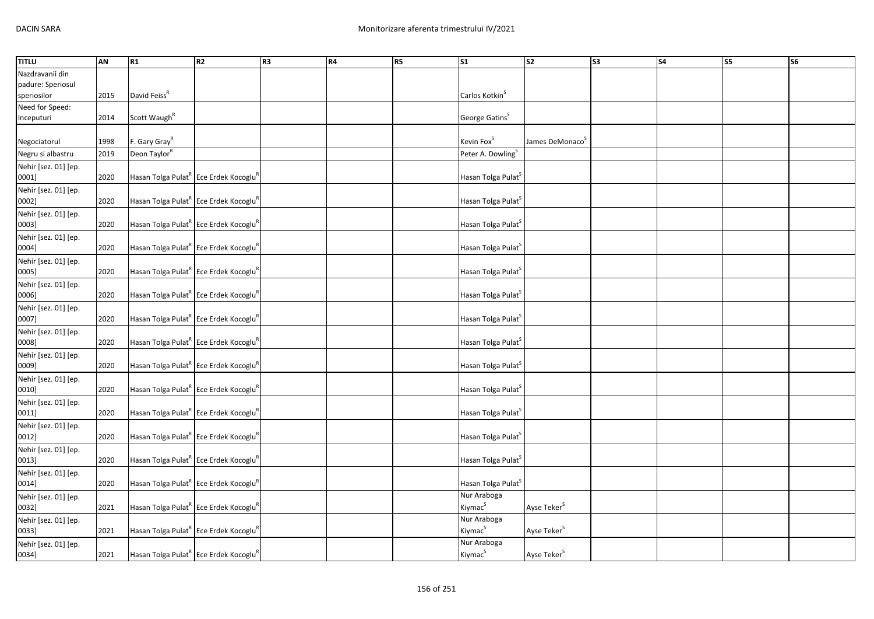| Nazdravanii din<br>padure: Speriosul<br>David Feiss <sup>R</sup>                                                                 |  |
|----------------------------------------------------------------------------------------------------------------------------------|--|
|                                                                                                                                  |  |
|                                                                                                                                  |  |
| Carlos Kotkin <sup>S</sup><br>speriosilor<br>2015                                                                                |  |
| Need for Speed:                                                                                                                  |  |
| Scott Waugh <sup>R</sup><br>George Gatins <sup>S</sup><br>Inceputuri<br>2014                                                     |  |
|                                                                                                                                  |  |
| Kevin Fox <sup>S</sup><br>F. Gary Gray <sup>R</sup><br>1998<br>James DeMonaco <sup>5</sup><br>Negociatorul                       |  |
| Negru si albastru<br>Deon Taylor <sup>R</sup><br>Peter A. Dowling <sup>S</sup><br>2019                                           |  |
| Nehir [sez. 01] [ep.                                                                                                             |  |
| Hasan Tolga Pulat <sup>R</sup> Ece Erdek Kocoglu <sup>F</sup><br>2020<br>Hasan Tolga Pulat <sup>5</sup><br>0001]                 |  |
| Nehir [sez. 01] [ep.                                                                                                             |  |
| Hasan Tolga Pulat <sup>R</sup> Ece Erdek Kocoglu <sup>r</sup><br>2020<br>Hasan Tolga Pulat <sup>5</sup><br>0002]                 |  |
| Nehir [sez. 01] [ep.                                                                                                             |  |
| 2020<br>Hasan Tolga Pulat <sup>R</sup> Ece Erdek Kocoglu <sup>R</sup><br>0003]<br>Hasan Tolga Pulat <sup>S</sup>                 |  |
| Nehir [sez. 01] [ep.                                                                                                             |  |
| 2020<br>Hasan Tolga Pulat <sup>R</sup> Ece Erdek Kocoglu <sup>R</sup><br>0004]<br>Hasan Tolga Pulat                              |  |
|                                                                                                                                  |  |
| Nehir [sez. 01] [ep.<br>2020                                                                                                     |  |
| Hasan Tolga Pulat <sup>R</sup> Ece Erdek Kocoglu <sup>R</sup><br>Hasan Tolga Pulat <sup>S</sup><br>0005]                         |  |
| Nehir [sez. 01] [ep.                                                                                                             |  |
| 2020<br>Hasan Tolga Pulat <sup>K</sup> Ece Erdek Kocoglu <sup>K</sup><br>Hasan Tolga Pulat <sup>S</sup><br>0006]                 |  |
| Nehir [sez. 01] [ep.                                                                                                             |  |
| Hasan Tolga Pulat <sup>R</sup> Ece Erdek Kocoglu <sup>R</sup><br>0007]<br>2020<br>Hasan Tolga Pulat <sup>S</sup>                 |  |
| Nehir [sez. 01] [ep.                                                                                                             |  |
| 2020<br>Hasan Tolga Pulat <sup>K</sup> Ece Erdek Kocoglu <sup>K</sup><br>Hasan Tolga Pulat <sup>5</sup><br>0008]                 |  |
| Nehir [sez. 01] [ep.                                                                                                             |  |
| 2020<br>Hasan Tolga Pulat <sup>R</sup> Ece Erdek Kocoglu <sup>R</sup><br>0009]<br>Hasan Tolga Pulat <sup>5</sup>                 |  |
| Nehir [sez. 01] [ep.                                                                                                             |  |
| Hasan Tolga Pulat <sup>R</sup> Ece Erdek Kocoglu <sup>R</sup><br>0010]<br>2020<br>Hasan Tolga Pulat <sup>3</sup>                 |  |
| Nehir [sez. 01] [ep.                                                                                                             |  |
| Hasan Tolga Pulat <sup>R</sup> Ece Erdek Kocoglu <sup>R</sup><br>0011]<br>2020<br>Hasan Tolga Pulat <sup>3</sup>                 |  |
| Nehir [sez. 01] [ep.                                                                                                             |  |
| 2020<br>Hasan Tolga Pulat <sup>R</sup> Ece Erdek Kocoglu <sup>R</sup><br>0012]<br>Hasan Tolga Pulat <sup>3</sup>                 |  |
| Nehir [sez. 01] [ep.                                                                                                             |  |
| 2020<br>Hasan Tolga Pulat <sup>R</sup> Ece Erdek Kocoglu <sup>R</sup><br>Hasan Tolga Pulat <sup>S</sup><br>0013]                 |  |
| Nehir [sez. 01] [ep.                                                                                                             |  |
| Hasan Tolga Pulat <sup>R</sup> Ece Erdek Kocoglu <sup>R</sup><br>Hasan Tolga Pulat <sup>S</sup><br>2020<br>0014]                 |  |
| Nur Araboga<br>Nehir [sez. 01] [ep.                                                                                              |  |
| Kiymac <sup>S</sup><br>Ayse Teker <sup>S</sup><br>2021<br>Hasan Tolga Pulat <sup>R</sup> Ece Erdek Kocoglu <sup>R</sup><br>0032] |  |
| Nur Araboga<br>Nehir [sez. 01] [ep.                                                                                              |  |
| Kiymac <sup>S</sup><br>Ayse Teker <sup>S</sup><br>Hasan Tolga Pulat <sup>R</sup> Ece Erdek Kocoglu <sup>R</sup><br>2021<br>0033] |  |
| Nur Araboga<br>Nehir [sez. 01] [ep.                                                                                              |  |
| Kiymac <sup>S</sup><br>Hasan Tolga Pulat <sup>R</sup> Ece Erdek Kocoglu <sup>R</sup><br>Ayse Teker <sup>S</sup><br>0034]<br>2021 |  |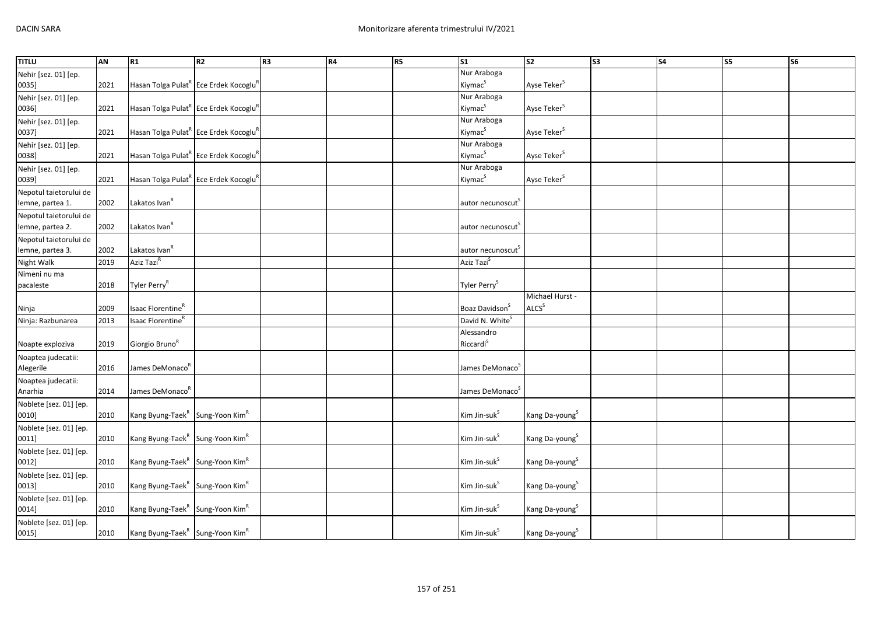| <b>TITLU</b>           | AN   | R1                                                            | R2 | R <sub>3</sub> | <b>R4</b> | R5 | $\overline{\text{s1}}$        | s <sub>2</sub>             | $\overline{\text{S3}}$ | $\overline{\phantom{a}}$ | <b>S5</b> | $\overline{\text{S6}}$ |
|------------------------|------|---------------------------------------------------------------|----|----------------|-----------|----|-------------------------------|----------------------------|------------------------|--------------------------|-----------|------------------------|
| Nehir [sez. 01] [ep.   |      |                                                               |    |                |           |    | Nur Araboga                   |                            |                        |                          |           |                        |
| 0035]                  | 2021 | Hasan Tolga Pulat <sup>R</sup> Ece Erdek Kocoglu <sup>R</sup> |    |                |           |    | Kiymac <sup>S</sup>           | Ayse Teker <sup>S</sup>    |                        |                          |           |                        |
| Nehir [sez. 01] [ep.   |      |                                                               |    |                |           |    | Nur Araboga                   |                            |                        |                          |           |                        |
| 0036]                  | 2021 | Hasan Tolga Pulat <sup>R</sup> Ece Erdek Kocoglu <sup>F</sup> |    |                |           |    | Kiymac <sup>S</sup>           | Ayse Teker <sup>S</sup>    |                        |                          |           |                        |
| Nehir [sez. 01] [ep.   |      |                                                               |    |                |           |    | Nur Araboga                   |                            |                        |                          |           |                        |
| 0037]                  | 2021 | Hasan Tolga Pulat <sup>R</sup> Ece Erdek Kocoglu <sup>F</sup> |    |                |           |    | Kiymac <sup>S</sup>           | Ayse Teker <sup>S</sup>    |                        |                          |           |                        |
| Nehir [sez. 01] [ep.   |      |                                                               |    |                |           |    | Nur Araboga                   |                            |                        |                          |           |                        |
| 0038]                  | 2021 | Hasan Tolga Pulat <sup>R</sup> Ece Erdek Kocoglu <sup>R</sup> |    |                |           |    | Kiymac <sup>S</sup>           | Ayse Teker <sup>S</sup>    |                        |                          |           |                        |
| Nehir [sez. 01] [ep.   |      |                                                               |    |                |           |    | Nur Araboga                   |                            |                        |                          |           |                        |
| 0039]                  | 2021 | Hasan Tolga Pulat <sup>R</sup> Ece Erdek Kocoglu <sup>R</sup> |    |                |           |    | Kiymac <sup>S</sup>           | Ayse Teker <sup>S</sup>    |                        |                          |           |                        |
| Nepotul taietorului de |      |                                                               |    |                |           |    |                               |                            |                        |                          |           |                        |
| lemne, partea 1.       | 2002 | Lakatos Ivan <sup>R</sup>                                     |    |                |           |    | autor necunoscut <sup>s</sup> |                            |                        |                          |           |                        |
| Nepotul taietorului de |      |                                                               |    |                |           |    |                               |                            |                        |                          |           |                        |
| lemne, partea 2.       | 2002 | Lakatos Ivan <sup>R</sup>                                     |    |                |           |    | autor necunoscut <sup>s</sup> |                            |                        |                          |           |                        |
| Nepotul taietorului de |      |                                                               |    |                |           |    |                               |                            |                        |                          |           |                        |
| lemne, partea 3.       | 2002 | Lakatos Ivan <sup>R</sup>                                     |    |                |           |    | autor necunoscut <sup>s</sup> |                            |                        |                          |           |                        |
| Night Walk             | 2019 | Aziz Tazi <sup>R</sup>                                        |    |                |           |    | Aziz Tazi <sup>S</sup>        |                            |                        |                          |           |                        |
| Nimeni nu ma           |      |                                                               |    |                |           |    |                               |                            |                        |                          |           |                        |
| pacaleste              | 2018 | Tyler Perry <sup>R</sup>                                      |    |                |           |    | Tyler Perry <sup>S</sup>      |                            |                        |                          |           |                        |
|                        |      |                                                               |    |                |           |    |                               | Michael Hurst -            |                        |                          |           |                        |
| Ninja                  | 2009 | Isaac Florentine <sup>R</sup>                                 |    |                |           |    | Boaz Davidson <sup>S</sup>    | ALCS <sup>S</sup>          |                        |                          |           |                        |
| Ninja: Razbunarea      | 2013 | Isaac Florentine <sup>R</sup>                                 |    |                |           |    | David N. White <sup>S</sup>   |                            |                        |                          |           |                        |
|                        |      |                                                               |    |                |           |    | Alessandro                    |                            |                        |                          |           |                        |
| Noapte exploziva       | 2019 | Giorgio Bruno <sup>R</sup>                                    |    |                |           |    | Riccardi <sup>S</sup>         |                            |                        |                          |           |                        |
| Noaptea judecatii:     |      |                                                               |    |                |           |    |                               |                            |                        |                          |           |                        |
| Alegerile              | 2016 | James DeMonaco <sup>R</sup>                                   |    |                |           |    | James DeMonaco <sup>5</sup>   |                            |                        |                          |           |                        |
| Noaptea judecatii:     |      |                                                               |    |                |           |    |                               |                            |                        |                          |           |                        |
| Anarhia                | 2014 | James DeMonaco <sup>R</sup>                                   |    |                |           |    | James DeMonaco <sup>S</sup>   |                            |                        |                          |           |                        |
| Noblete [sez. 01] [ep. |      |                                                               |    |                |           |    |                               |                            |                        |                          |           |                        |
| 0010]                  | 2010 | Kang Byung-Taek <sup>R</sup> Sung-Yoon Kim <sup>R</sup>       |    |                |           |    | Kim Jin-suk <sup>S</sup>      | Kang Da-young <sup>S</sup> |                        |                          |           |                        |
| Noblete [sez. 01] [ep. |      |                                                               |    |                |           |    |                               |                            |                        |                          |           |                        |
| 0011]                  | 2010 | Kang Byung-Taek <sup>R</sup> Sung-Yoon Kim <sup>R</sup>       |    |                |           |    | Kim Jin-suk <sup>5</sup>      | Kang Da-young <sup>S</sup> |                        |                          |           |                        |
| Noblete [sez. 01] [ep. |      |                                                               |    |                |           |    |                               |                            |                        |                          |           |                        |
| 0012]                  | 2010 | Kang Byung-Taek <sup>R</sup> Sung-Yoon Kim <sup>R</sup>       |    |                |           |    | Kim Jin-suk <sup>S</sup>      | Kang Da-young <sup>S</sup> |                        |                          |           |                        |
| Noblete [sez. 01] [ep. |      |                                                               |    |                |           |    |                               |                            |                        |                          |           |                        |
| 0013]                  | 2010 | Kang Byung-Taek <sup>R</sup> Sung-Yoon Kim <sup>R</sup>       |    |                |           |    | Kim Jin-suk <sup>S</sup>      | Kang Da-young <sup>S</sup> |                        |                          |           |                        |
| Noblete [sez. 01] [ep. |      |                                                               |    |                |           |    |                               |                            |                        |                          |           |                        |
| 0014]                  | 2010 | Kang Byung-Taek <sup>R</sup> Sung-Yoon Kim <sup>R</sup>       |    |                |           |    | Kim Jin-suk <sup>S</sup>      | Kang Da-young <sup>S</sup> |                        |                          |           |                        |
| Noblete [sez. 01] [ep. |      |                                                               |    |                |           |    |                               |                            |                        |                          |           |                        |
| 0015]                  | 2010 | Kang Byung-Taek <sup>R</sup> Sung-Yoon Kim <sup>R</sup>       |    |                |           |    | Kim Jin-suk <sup>S</sup>      | Kang Da-young <sup>S</sup> |                        |                          |           |                        |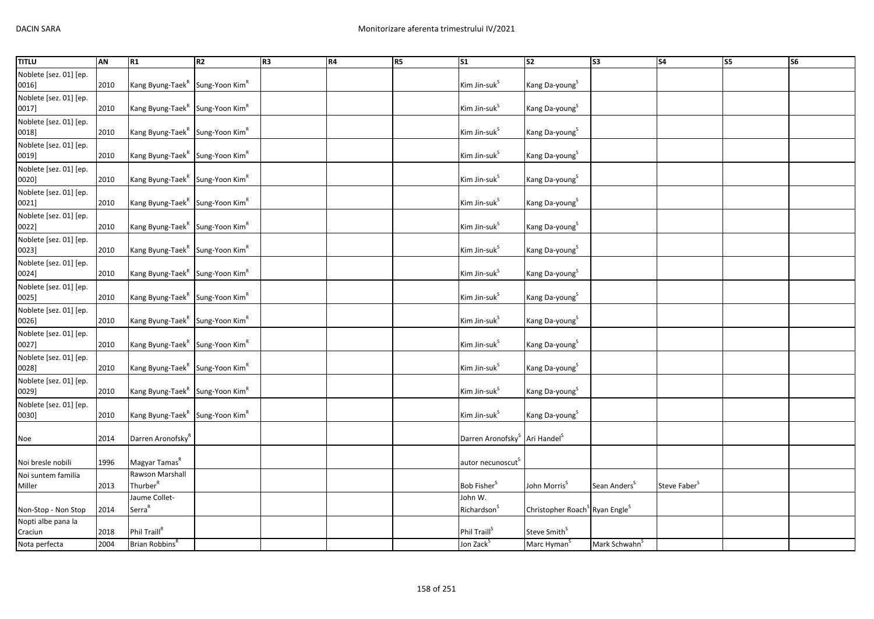| <b>TITLU</b>                    | <b>AN</b> | R1                                                      | R2 | R <sub>3</sub> | R4 | R <sub>5</sub> | $\overline{\text{S1}}$                                | s <sub>2</sub>                                         | $\overline{\text{S3}}$    | <b>S4</b>                | S5 | <b>S6</b> |
|---------------------------------|-----------|---------------------------------------------------------|----|----------------|----|----------------|-------------------------------------------------------|--------------------------------------------------------|---------------------------|--------------------------|----|-----------|
| Noblete [sez. 01] [ep.          |           |                                                         |    |                |    |                |                                                       |                                                        |                           |                          |    |           |
| 0016]                           | 2010      | Kang Byung-Taek <sup>R</sup> Sung-Yoon Kim <sup>R</sup> |    |                |    |                | Kim Jin-suk <sup>S</sup>                              | Kang Da-young <sup>S</sup>                             |                           |                          |    |           |
| Noblete [sez. 01] [ep.          |           |                                                         |    |                |    |                |                                                       |                                                        |                           |                          |    |           |
| 0017]                           | 2010      | Kang Byung-Taek <sup>R</sup> Sung-Yoon Kim <sup>R</sup> |    |                |    |                | Kim Jin-suk <sup>S</sup>                              | Kang Da-young <sup>S</sup>                             |                           |                          |    |           |
| Noblete [sez. 01] [ep.          |           |                                                         |    |                |    |                |                                                       |                                                        |                           |                          |    |           |
| 0018]                           | 2010      | Kang Byung-Taek <sup>R</sup> Sung-Yoon Kim <sup>R</sup> |    |                |    |                | Kim Jin-suk <sup>S</sup>                              | Kang Da-young <sup>S</sup>                             |                           |                          |    |           |
| Noblete [sez. 01] [ep.          |           |                                                         |    |                |    |                |                                                       |                                                        |                           |                          |    |           |
| 0019]                           | 2010      | Kang Byung-Taek <sup>R</sup> Sung-Yoon Kim <sup>R</sup> |    |                |    |                | Kim Jin-suk <sup>S</sup>                              | Kang Da-young <sup>S</sup>                             |                           |                          |    |           |
| Noblete [sez. 01] [ep.          |           |                                                         |    |                |    |                |                                                       |                                                        |                           |                          |    |           |
| 0020]                           | 2010      | Kang Byung-Taek <sup>R</sup> Sung-Yoon Kim <sup>R</sup> |    |                |    |                | Kim Jin-suk <sup>S</sup>                              | Kang Da-young <sup>S</sup>                             |                           |                          |    |           |
| Noblete [sez. 01] [ep.          |           |                                                         |    |                |    |                |                                                       |                                                        |                           |                          |    |           |
| 0021]                           | 2010      | Kang Byung-Taek <sup>R</sup> Sung-Yoon Kim <sup>R</sup> |    |                |    |                | Kim Jin-suk <sup>S</sup>                              | Kang Da-young <sup>S</sup>                             |                           |                          |    |           |
| Noblete [sez. 01] [ep.          |           |                                                         |    |                |    |                |                                                       |                                                        |                           |                          |    |           |
| 0022]                           | 2010      | Kang Byung-Taek <sup>R</sup> Sung-Yoon Kim <sup>R</sup> |    |                |    |                | Kim Jin-suk <sup>S</sup>                              | Kang Da-young <sup>S</sup>                             |                           |                          |    |           |
|                                 |           |                                                         |    |                |    |                |                                                       |                                                        |                           |                          |    |           |
| Noblete [sez. 01] [ep.<br>0023] | 2010      | Kang Byung-Taek <sup>R</sup> Sung-Yoon Kim <sup>R</sup> |    |                |    |                | Kim Jin-suk <sup>S</sup>                              | Kang Da-young <sup>S</sup>                             |                           |                          |    |           |
|                                 |           |                                                         |    |                |    |                |                                                       |                                                        |                           |                          |    |           |
| Noblete [sez. 01] [ep.<br>0024] | 2010      |                                                         |    |                |    |                | Kim Jin-suk <sup>S</sup>                              |                                                        |                           |                          |    |           |
|                                 |           | Kang Byung-Taek <sup>R</sup> Sung-Yoon Kim <sup>R</sup> |    |                |    |                |                                                       | Kang Da-young <sup>S</sup>                             |                           |                          |    |           |
| Noblete [sez. 01] [ep.          |           |                                                         |    |                |    |                |                                                       |                                                        |                           |                          |    |           |
| 0025]                           | 2010      | Kang Byung-Taek <sup>R</sup> Sung-Yoon Kim <sup>R</sup> |    |                |    |                | Kim Jin-suk <sup>S</sup>                              | Kang Da-young <sup>S</sup>                             |                           |                          |    |           |
| Noblete [sez. 01] [ep.          |           |                                                         |    |                |    |                |                                                       |                                                        |                           |                          |    |           |
| 0026]                           | 2010      | Kang Byung-Taek <sup>R</sup> Sung-Yoon Kim <sup>R</sup> |    |                |    |                | Kim Jin-suk <sup>S</sup>                              | Kang Da-young <sup>S</sup>                             |                           |                          |    |           |
| Noblete [sez. 01] [ep.          |           |                                                         |    |                |    |                |                                                       |                                                        |                           |                          |    |           |
| 0027]                           | 2010      | Kang Byung-Taek <sup>R</sup> Sung-Yoon Kim <sup>R</sup> |    |                |    |                | Kim Jin-suk <sup>S</sup>                              | Kang Da-young <sup>S</sup>                             |                           |                          |    |           |
| Noblete [sez. 01] [ep.          |           |                                                         |    |                |    |                |                                                       |                                                        |                           |                          |    |           |
| 0028]                           | 2010      | Kang Byung-Taek <sup>R</sup> Sung-Yoon Kim <sup>R</sup> |    |                |    |                | Kim Jin-suk <sup>S</sup>                              | Kang Da-young <sup>S</sup>                             |                           |                          |    |           |
| Noblete [sez. 01] [ep.          |           |                                                         |    |                |    |                |                                                       |                                                        |                           |                          |    |           |
| 0029]                           | 2010      | Kang Byung-Taek <sup>R</sup> Sung-Yoon Kim <sup>R</sup> |    |                |    |                | Kim Jin-suk <sup>S</sup>                              | Kang Da-young <sup>S</sup>                             |                           |                          |    |           |
| Noblete [sez. 01] [ep.          |           |                                                         |    |                |    |                |                                                       |                                                        |                           |                          |    |           |
| 0030]                           | 2010      | Kang Byung-Taek <sup>R</sup> Sung-Yoon Kim <sup>R</sup> |    |                |    |                | Kim Jin-suk <sup>S</sup>                              | Kang Da-young <sup>S</sup>                             |                           |                          |    |           |
|                                 |           |                                                         |    |                |    |                |                                                       |                                                        |                           |                          |    |           |
| Noe                             | 2014      | Darren Aronofsky"                                       |    |                |    |                | Darren Aronofsky <sup>3</sup> Ari Handel <sup>5</sup> |                                                        |                           |                          |    |           |
|                                 |           |                                                         |    |                |    |                |                                                       |                                                        |                           |                          |    |           |
| Noi bresle nobili               | 1996      | Magyar Tamas <sup>R</sup>                               |    |                |    |                | autor necunoscut <sup>3</sup>                         |                                                        |                           |                          |    |           |
| Noi suntem familia              |           | Rawson Marshall                                         |    |                |    |                |                                                       |                                                        |                           |                          |    |           |
| Miller                          | 2013      | Thurber <sup>R</sup>                                    |    |                |    |                | Bob Fisher <sup>S</sup>                               | John Morris <sup>S</sup>                               | Sean Anders <sup>S</sup>  | Steve Faber <sup>S</sup> |    |           |
|                                 |           | Jaume Collet-                                           |    |                |    |                | John W.                                               |                                                        |                           |                          |    |           |
| Non-Stop - Non Stop             | 2014      | Serra <sup>R</sup>                                      |    |                |    |                | Richardson <sup>5</sup>                               | Christopher Roach <sup>S</sup> Ryan Engle <sup>S</sup> |                           |                          |    |           |
| Nopti albe pana la              |           |                                                         |    |                |    |                |                                                       |                                                        |                           |                          |    |           |
| Craciun                         | 2018      | Phil Traill <sup>R</sup>                                |    |                |    |                | Phil Traill <sup>5</sup>                              | Steve Smith <sup>S</sup>                               |                           |                          |    |           |
| Nota perfecta                   | 2004      | Brian Robbins <sup>R</sup>                              |    |                |    |                | Jon Zack <sup>S</sup>                                 | Marc Hyman <sup>S</sup>                                | Mark Schwahn <sup>S</sup> |                          |    |           |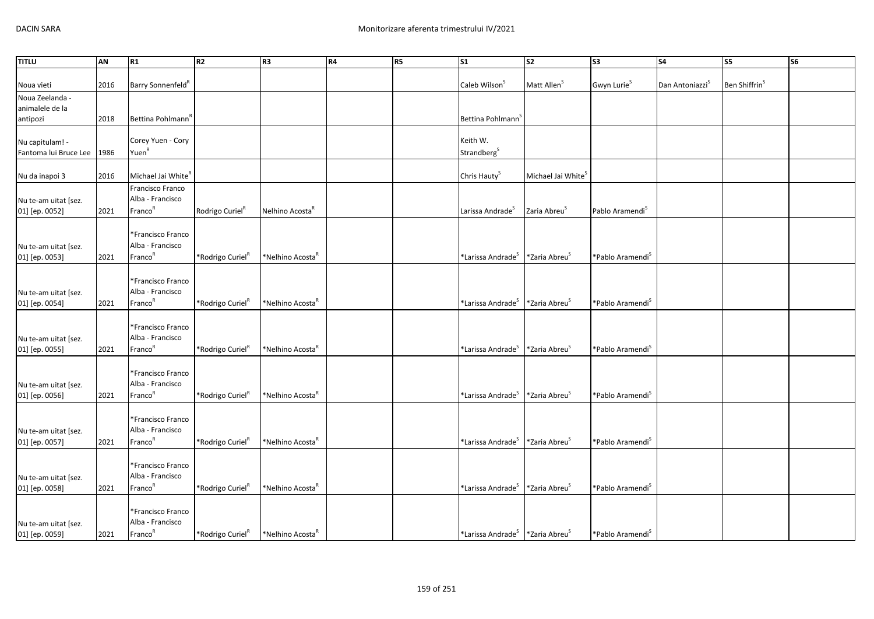| <b>TITLU</b>          | <b>AN</b> | R1                             | R <sub>2</sub>               | R <sub>3</sub>               | <b>R4</b> | R <sub>5</sub> | S <sub>1</sub>                                          | S <sub>2</sub>                 | S <sub>3</sub>               | <b>S4</b>                   | S5                        | S <sub>6</sub> |
|-----------------------|-----------|--------------------------------|------------------------------|------------------------------|-----------|----------------|---------------------------------------------------------|--------------------------------|------------------------------|-----------------------------|---------------------------|----------------|
|                       |           |                                |                              |                              |           |                |                                                         |                                |                              |                             |                           |                |
| Noua vieti            | 2016      | Barry Sonnenfeld <sup>R</sup>  |                              |                              |           |                | Caleb Wilson <sup>S</sup>                               | Matt Allen <sup>5</sup>        | Gwyn Lurie <sup>S</sup>      | Dan Antoniazzi <sup>S</sup> | Ben Shiffrin <sup>S</sup> |                |
| Noua Zeelanda -       |           |                                |                              |                              |           |                |                                                         |                                |                              |                             |                           |                |
| animalele de la       |           |                                |                              |                              |           |                |                                                         |                                |                              |                             |                           |                |
| antipozi              | 2018      | Bettina Pohlmann <sup>R</sup>  |                              |                              |           |                | Bettina Pohlmann                                        |                                |                              |                             |                           |                |
|                       |           |                                |                              |                              |           |                |                                                         |                                |                              |                             |                           |                |
| Nu capitulam! -       |           | Corey Yuen - Cory              |                              |                              |           |                | Keith W.                                                |                                |                              |                             |                           |                |
| Fantoma lui Bruce Lee | 1986      | Yuen <sup>R</sup>              |                              |                              |           |                | Strandberg <sup>S</sup>                                 |                                |                              |                             |                           |                |
|                       |           |                                |                              |                              |           |                |                                                         |                                |                              |                             |                           |                |
| Nu da inapoi 3        | 2016      | Michael Jai White <sup>R</sup> |                              |                              |           |                | Chris Hauty <sup>S</sup>                                | Michael Jai White <sup>S</sup> |                              |                             |                           |                |
|                       |           | Francisco Franco               |                              |                              |           |                |                                                         |                                |                              |                             |                           |                |
| Nu te-am uitat [sez.  |           | Alba - Francisco               |                              |                              |           |                |                                                         |                                |                              |                             |                           |                |
| 01] [ep. 0052]        | 2021      | Franco <sup>R</sup>            | Rodrigo Curiel <sup>R</sup>  | Nelhino Acosta <sup>R</sup>  |           |                | Larissa Andrade <sup>S</sup>                            | Zaria Abreu <sup>s</sup>       | Pablo Aramendi <sup>S</sup>  |                             |                           |                |
|                       |           |                                |                              |                              |           |                |                                                         |                                |                              |                             |                           |                |
|                       |           | *Francisco Franco              |                              |                              |           |                |                                                         |                                |                              |                             |                           |                |
| Nu te-am uitat [sez.  |           | Alba - Francisco               |                              |                              |           |                |                                                         |                                |                              |                             |                           |                |
| 01] [ep. 0053]        | 2021      | Franco <sup>R</sup>            | *Rodrigo Curiel <sup>R</sup> | *Nelhino Acosta <sup>"</sup> |           |                | *Larissa Andrade <sup>S</sup>                           | *Zaria Abreu <sup>s</sup>      | *Pablo Aramendi <sup>S</sup> |                             |                           |                |
|                       |           |                                |                              |                              |           |                |                                                         |                                |                              |                             |                           |                |
|                       |           | *Francisco Franco              |                              |                              |           |                |                                                         |                                |                              |                             |                           |                |
| Nu te-am uitat [sez.  |           | Alba - Francisco               |                              |                              |           |                |                                                         |                                |                              |                             |                           |                |
| 01] [ep. 0054]        | 2021      | Franco <sup>R</sup>            | *Rodrigo Curiel              | *Nelhino Acosta <sup>"</sup> |           |                | *Larissa Andrade <sup>S</sup>                           | *Zaria Abreu <sup>5</sup>      | *Pablo Aramendi <sup>S</sup> |                             |                           |                |
|                       |           |                                |                              |                              |           |                |                                                         |                                |                              |                             |                           |                |
|                       |           | *Francisco Franco              |                              |                              |           |                |                                                         |                                |                              |                             |                           |                |
| Nu te-am uitat [sez.  |           | Alba - Francisco               |                              |                              |           |                |                                                         |                                |                              |                             |                           |                |
| 01] [ep. 0055]        | 2021      | Franco <sup>R</sup>            | *Rodrigo Curiel <sup>R</sup> | *Nelhino Acosta <sup>"</sup> |           |                | *Larissa Andrade <sup>S</sup>                           | *Zaria Abreu <sup>S</sup>      | *Pablo Aramendi <sup>s</sup> |                             |                           |                |
|                       |           |                                |                              |                              |           |                |                                                         |                                |                              |                             |                           |                |
|                       |           | *Francisco Franco              |                              |                              |           |                |                                                         |                                |                              |                             |                           |                |
| Nu te-am uitat [sez.  |           | Alba - Francisco               |                              |                              |           |                |                                                         |                                |                              |                             |                           |                |
| 01] [ep. 0056]        | 2021      | Franco <sup>R</sup>            | *Rodrigo Curiel <sup>R</sup> | *Nelhino Acosta <sup>R</sup> |           |                | *Larissa Andrade <sup>S</sup>                           | *Zaria Abreu <sup>s</sup>      | *Pablo Aramendi <sup>S</sup> |                             |                           |                |
|                       |           |                                |                              |                              |           |                |                                                         |                                |                              |                             |                           |                |
|                       |           | *Francisco Franco              |                              |                              |           |                |                                                         |                                |                              |                             |                           |                |
| Nu te-am uitat [sez.  |           | Alba - Francisco               |                              |                              |           |                |                                                         |                                |                              |                             |                           |                |
| 01] [ep. 0057]        | 2021      | Franco <sup>R</sup>            | *Rodrigo Curiel <sup>R</sup> | *Nelhino Acosta <sup>r</sup> |           |                | *Larissa Andrade <sup>S</sup>                           | *Zaria Abreu <sup>S</sup>      | *Pablo Aramendi <sup>S</sup> |                             |                           |                |
|                       |           |                                |                              |                              |           |                |                                                         |                                |                              |                             |                           |                |
|                       |           | *Francisco Franco              |                              |                              |           |                |                                                         |                                |                              |                             |                           |                |
| Nu te-am uitat [sez.  |           | Alba - Francisco               |                              |                              |           |                |                                                         |                                |                              |                             |                           |                |
| 01] [ep. 0058]        | 2021      | Franco <sup>R</sup>            | *Rodrigo Curiel <sup>K</sup> | *Nelhino Acosta              |           |                | *Larissa Andrade $^{\text{S}}$                          | *Zaria Abreu <sup>S</sup>      | *Pablo Aramendi <sup>S</sup> |                             |                           |                |
|                       |           |                                |                              |                              |           |                |                                                         |                                |                              |                             |                           |                |
|                       |           | *Francisco Franco              |                              |                              |           |                |                                                         |                                |                              |                             |                           |                |
| Nu te-am uitat [sez.  |           | Alba - Francisco               |                              |                              |           |                |                                                         |                                |                              |                             |                           |                |
| 01] [ep. 0059]        | 2021      | Franco <sup>R</sup>            | *Rodrigo Curiel <sup>R</sup> | *Nelhino Acosta <sup>k</sup> |           |                | *Larissa Andrade <sup>S</sup> *Zaria Abreu <sup>S</sup> |                                | *Pablo Aramendi <sup>S</sup> |                             |                           |                |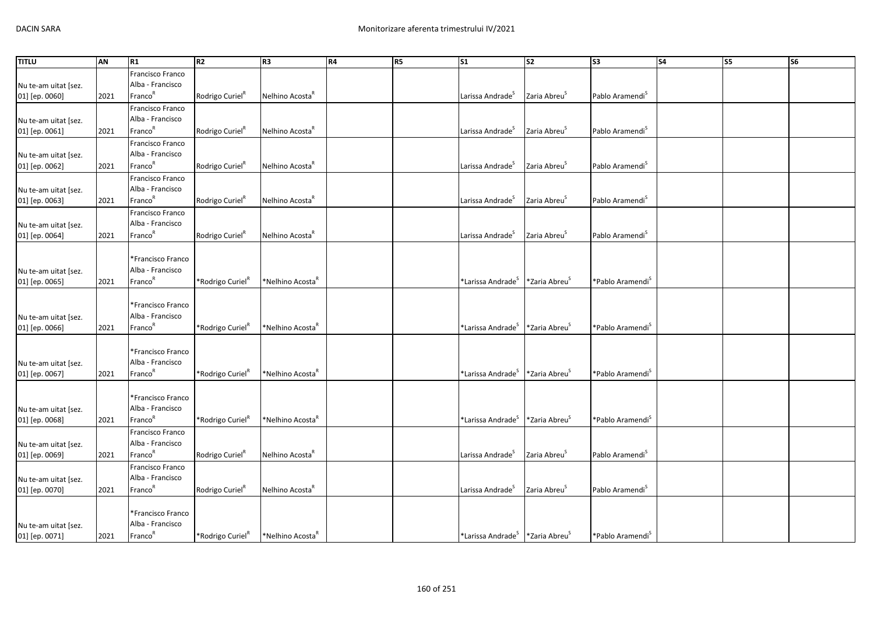| <b>TITLU</b>         | AN   | R1                                      | R2                           | R <sub>3</sub>               | R4 | R5 | $\overline{\text{S1}}$                                  | S <sub>2</sub>            | S <sub>3</sub>               | <b>S4</b> | S5 | S6 |
|----------------------|------|-----------------------------------------|------------------------------|------------------------------|----|----|---------------------------------------------------------|---------------------------|------------------------------|-----------|----|----|
|                      |      | Francisco Franco                        |                              |                              |    |    |                                                         |                           |                              |           |    |    |
| Nu te-am uitat [sez. |      | Alba - Francisco                        |                              |                              |    |    |                                                         |                           |                              |           |    |    |
| 01] [ep. 0060]       | 2021 | Franco <sup>R</sup>                     | Rodrigo Curiel <sup>K</sup>  | Nelhino Acosta <sup>R</sup>  |    |    | Larissa Andrade <sup>S</sup>                            | Zaria Abreu <sup>5</sup>  | Pablo Aramendi <sup>S</sup>  |           |    |    |
|                      |      | Francisco Franco                        |                              |                              |    |    |                                                         |                           |                              |           |    |    |
| Nu te-am uitat [sez. |      | Alba - Francisco                        |                              |                              |    |    |                                                         |                           |                              |           |    |    |
| 01] [ep. 0061]       | 2021 | Franco <sup>R</sup>                     | Rodrigo Curiel <sup>K</sup>  | Nelhino Acosta <sup>n</sup>  |    |    | Larissa Andrade <sup>5</sup>                            | Zaria Abreu <sup>5</sup>  | Pablo Aramendi <sup>3</sup>  |           |    |    |
|                      |      | Francisco Franco                        |                              |                              |    |    |                                                         |                           |                              |           |    |    |
| Nu te-am uitat [sez. |      | Alba - Francisco                        |                              |                              |    |    |                                                         |                           |                              |           |    |    |
| 01] [ep. 0062]       | 2021 | Franco <sup>R</sup>                     | Rodrigo Curiel <sup>R</sup>  | Nelhino Acosta <sup>R</sup>  |    |    | Larissa Andrade <sup>5</sup>                            | Zaria Abreu <sup>s</sup>  | Pablo Aramendi <sup>S</sup>  |           |    |    |
|                      |      | Francisco Franco                        |                              |                              |    |    |                                                         |                           |                              |           |    |    |
| Nu te-am uitat [sez. |      | Alba - Francisco                        |                              |                              |    |    |                                                         |                           |                              |           |    |    |
| 01] [ep. 0063]       | 2021 | Franco <sup>R</sup>                     | Rodrigo Curiel <sup>R</sup>  | Nelhino Acosta <sup>k</sup>  |    |    | Larissa Andrade <sup>5</sup>                            | Zaria Abreu <sup>5</sup>  | Pablo Aramendi <sup>5</sup>  |           |    |    |
|                      |      | Francisco Franco                        |                              |                              |    |    |                                                         |                           |                              |           |    |    |
| Nu te-am uitat [sez. |      | Alba - Francisco                        |                              |                              |    |    |                                                         |                           |                              |           |    |    |
| 01] [ep. 0064]       | 2021 | Franco <sup>R</sup>                     | Rodrigo Curiel <sup>R</sup>  | Nelhino Acosta <sup>"</sup>  |    |    | Larissa Andrade <sup>S</sup>                            | Zaria Abreu <sup>5</sup>  | Pablo Aramendi <sup>5</sup>  |           |    |    |
|                      |      |                                         |                              |                              |    |    |                                                         |                           |                              |           |    |    |
|                      |      | *Francisco Franco                       |                              |                              |    |    |                                                         |                           |                              |           |    |    |
| Nu te-am uitat [sez. |      | Alba - Francisco                        |                              |                              |    |    |                                                         |                           |                              |           |    |    |
| 01] [ep. 0065]       | 2021 | Franco <sup>R</sup>                     | *Rodrigo Curiel <sup>R</sup> | *Nelhino Acosta <sup>R</sup> |    |    | $*$ Larissa Andrade $^{\text{S}}$                       | *Zaria Abreu <sup>S</sup> | *Pablo Aramendi <sup>s</sup> |           |    |    |
|                      |      |                                         |                              |                              |    |    |                                                         |                           |                              |           |    |    |
|                      |      | *Francisco Franco                       |                              |                              |    |    |                                                         |                           |                              |           |    |    |
| Nu te-am uitat [sez. |      | Alba - Francisco<br>Franco <sup>R</sup> |                              | *Nelhino Acosta <sup>ĸ</sup> |    |    | *Larissa Andrade <sup>S</sup>                           | *Zaria Abreu <sup>5</sup> | *Pablo Aramendi <sup>5</sup> |           |    |    |
| 01] [ep. 0066]       | 2021 |                                         | *Rodrigo Curiel <sup>K</sup> |                              |    |    |                                                         |                           |                              |           |    |    |
|                      |      | *Francisco Franco                       |                              |                              |    |    |                                                         |                           |                              |           |    |    |
| Nu te-am uitat [sez. |      | Alba - Francisco                        |                              |                              |    |    |                                                         |                           |                              |           |    |    |
| 01] [ep. 0067]       | 2021 | Franco <sup>R</sup>                     | *Rodrigo Curiel <sup>R</sup> | *Nelhino Acosta <sup>ĸ</sup> |    |    | *Larissa Andrade <sup>s</sup>                           | *Zaria Abreu <sup>S</sup> | *Pablo Aramendi <sup>S</sup> |           |    |    |
|                      |      |                                         |                              |                              |    |    |                                                         |                           |                              |           |    |    |
|                      |      | *Francisco Franco                       |                              |                              |    |    |                                                         |                           |                              |           |    |    |
| Nu te-am uitat [sez. |      | Alba - Francisco                        |                              |                              |    |    |                                                         |                           |                              |           |    |    |
| 01] [ep. 0068]       | 2021 | Franco <sup>R</sup>                     | *Rodrigo Curiel <sup>R</sup> | *Nelhino Acosta <sup>k</sup> |    |    | *Larissa Andrade <sup>S</sup>                           | *Zaria Abreu <sup>5</sup> | *Pablo Aramendi <sup>5</sup> |           |    |    |
|                      |      | Francisco Franco                        |                              |                              |    |    |                                                         |                           |                              |           |    |    |
| Nu te-am uitat [sez. |      | Alba - Francisco                        |                              |                              |    |    |                                                         |                           |                              |           |    |    |
| 01] [ep. 0069]       | 2021 | Franco <sup>R</sup>                     | Rodrigo Curiel <sup>R</sup>  | Nelhino Acosta <sup>"</sup>  |    |    | Larissa Andrade <sup>S</sup>                            | Zaria Abreu <sup>5</sup>  | Pablo Aramendi <sup>5</sup>  |           |    |    |
|                      |      | Francisco Franco                        |                              |                              |    |    |                                                         |                           |                              |           |    |    |
| Nu te-am uitat [sez. |      | Alba - Francisco                        |                              |                              |    |    |                                                         |                           |                              |           |    |    |
| 01] [ep. 0070]       | 2021 | Franco <sup>R</sup>                     | Rodrigo Curiel <sup>R</sup>  | Nelhino Acosta <sup>k</sup>  |    |    | Larissa Andrade <sup>5</sup>                            | Zaria Abreu <sup>5</sup>  | Pablo Aramendi <sup>5</sup>  |           |    |    |
|                      |      |                                         |                              |                              |    |    |                                                         |                           |                              |           |    |    |
|                      |      | *Francisco Franco                       |                              |                              |    |    |                                                         |                           |                              |           |    |    |
| Nu te-am uitat [sez. |      | Alba - Francisco                        |                              |                              |    |    |                                                         |                           |                              |           |    |    |
| 01] [ep. 0071]       | 2021 | Franco <sup>R</sup>                     | *Rodrigo Curiel <sup>R</sup> | *Nelhino Acosta <sup>R</sup> |    |    | *Larissa Andrade <sup>S</sup> *Zaria Abreu <sup>S</sup> |                           | *Pablo Aramendi <sup>S</sup> |           |    |    |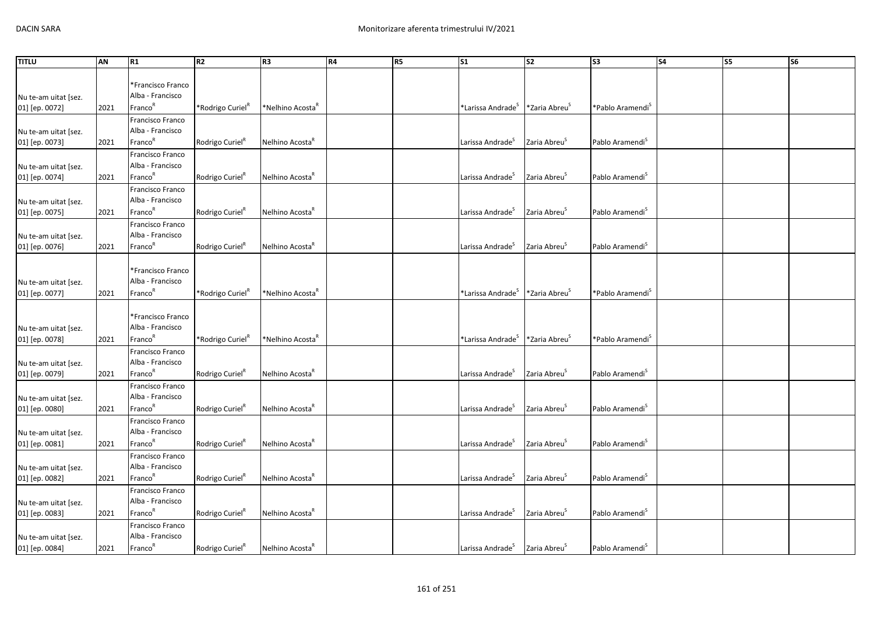| <b>TITLU</b>                           | AN   | R1                                      | R <sub>2</sub>               | R <sub>3</sub>               | R4 | R <sub>5</sub> | S <sub>1</sub>                | <b>S2</b>                 | S3                           | <b>S4</b> | S5 | S <sub>6</sub> |
|----------------------------------------|------|-----------------------------------------|------------------------------|------------------------------|----|----------------|-------------------------------|---------------------------|------------------------------|-----------|----|----------------|
|                                        |      |                                         |                              |                              |    |                |                               |                           |                              |           |    |                |
|                                        |      | *Francisco Franco                       |                              |                              |    |                |                               |                           |                              |           |    |                |
| Nu te-am uitat [sez.                   |      | Alba - Francisco                        |                              |                              |    |                |                               |                           |                              |           |    |                |
| 01] [ep. 0072]                         | 2021 | Franco <sup>R</sup>                     | *Rodrigo Curiel <sup>R</sup> | *Nelhino Acosta"             |    |                | *Larissa Andrade <sup>5</sup> | *Zaria Abreu <sup>5</sup> | *Pablo Aramendi <sup>S</sup> |           |    |                |
|                                        |      | Francisco Franco                        |                              |                              |    |                |                               |                           |                              |           |    |                |
| Nu te-am uitat [sez.                   |      | Alba - Francisco                        |                              |                              |    |                |                               |                           |                              |           |    |                |
| 01] [ep. 0073]                         | 2021 | Franco <sup>R</sup>                     | Rodrigo Curiel <sup>8</sup>  | Nelhino Acosta <sup>"</sup>  |    |                | Larissa Andrade <sup>S</sup>  | Zaria Abreu <sup>S</sup>  | Pablo Aramendi <sup>S</sup>  |           |    |                |
|                                        |      | Francisco Franco                        |                              |                              |    |                |                               |                           |                              |           |    |                |
| Nu te-am uitat [sez.                   |      | Alba - Francisco                        |                              |                              |    |                |                               |                           |                              |           |    |                |
| 01] [ep. 0074]                         | 2021 | Franco <sup>R</sup>                     | Rodrigo Curiel <sup>R</sup>  | Nelhino Acosta <sup>k</sup>  |    |                | Larissa Andrade <sup>5</sup>  | Zaria Abreu <sup>5</sup>  | Pablo Aramendi <sup>5</sup>  |           |    |                |
|                                        |      | Francisco Franco                        |                              |                              |    |                |                               |                           |                              |           |    |                |
| Nu te-am uitat [sez.                   |      | Alba - Francisco                        |                              |                              |    |                |                               |                           |                              |           |    |                |
| 01] [ep. 0075]                         | 2021 | Franco <sup>R</sup>                     | Rodrigo Curiel"              | Nelhino Acosta <sup>"</sup>  |    |                | Larissa Andrade <sup>5</sup>  | Zaria Abreu <sup>5</sup>  | Pablo Aramendi <sup>5</sup>  |           |    |                |
|                                        |      | Francisco Franco                        |                              |                              |    |                |                               |                           |                              |           |    |                |
| Nu te-am uitat [sez.                   |      | Alba - Francisco                        |                              |                              |    |                |                               |                           |                              |           |    |                |
| 01] [ep. 0076]                         | 2021 | Franco <sup>R</sup>                     | Rodrigo Curiel <sup>R</sup>  | Nelhino Acosta               |    |                | Larissa Andrade <sup>3</sup>  | Zaria Abreu <sup>5</sup>  | Pablo Aramendi <sup>5</sup>  |           |    |                |
|                                        |      |                                         |                              |                              |    |                |                               |                           |                              |           |    |                |
|                                        |      | *Francisco Franco                       |                              |                              |    |                |                               |                           |                              |           |    |                |
| Nu te-am uitat [sez.                   |      | Alba - Francisco                        |                              |                              |    |                |                               |                           |                              |           |    |                |
| 01] [ep. 0077]                         | 2021 | Franco <sup>R</sup>                     | *Rodrigo Curiel <sup>R</sup> | *Nelhino Acosta <sup>K</sup> |    |                | *Larissa Andrade <sup>5</sup> | *Zaria Abreu <sup>5</sup> | *Pablo Aramendi <sup>5</sup> |           |    |                |
|                                        |      |                                         |                              |                              |    |                |                               |                           |                              |           |    |                |
|                                        |      | *Francisco Franco                       |                              |                              |    |                |                               |                           |                              |           |    |                |
| Nu te-am uitat [sez.                   |      | Alba - Francisco<br>Franco <sup>R</sup> |                              |                              |    |                |                               |                           |                              |           |    |                |
| 01] [ep. 0078]                         | 2021 |                                         | *Rodrigo Curiel <sup>"</sup> | *Nelhino Acosta              |    |                | *Larissa Andrade <sup>S</sup> | *Zaria Abreu <sup>5</sup> | *Pablo Aramendi <sup>5</sup> |           |    |                |
|                                        |      | Francisco Franco                        |                              |                              |    |                |                               |                           |                              |           |    |                |
| Nu te-am uitat [sez.                   |      | Alba - Francisco<br>Franco <sup>R</sup> |                              |                              |    |                |                               |                           |                              |           |    |                |
| 01] [ep. 0079]                         | 2021 |                                         | Rodrigo Curiel <sup>R</sup>  | Nelhino Acosta <sup>R</sup>  |    |                | Larissa Andrade <sup>5</sup>  | Zaria Abreu <sup>S</sup>  | Pablo Aramendi <sup>S</sup>  |           |    |                |
|                                        |      | Francisco Franco<br>Alba - Francisco    |                              |                              |    |                |                               |                           |                              |           |    |                |
| Nu te-am uitat [sez.                   |      | Franco <sup>R</sup>                     |                              |                              |    |                |                               | Zaria Abreu <sup>S</sup>  |                              |           |    |                |
| 01] [ep. 0080]                         | 2021 |                                         | Rodrigo Curiel <sup>R</sup>  | Nelhino Acosta <sup>R</sup>  |    |                | Larissa Andrade <sup>S</sup>  |                           | Pablo Aramendi <sup>S</sup>  |           |    |                |
|                                        |      | Francisco Franco<br>Alba - Francisco    |                              |                              |    |                |                               |                           |                              |           |    |                |
| Nu te-am uitat [sez.                   |      | Franco <sup>R</sup>                     |                              | Nelhino Acosta <sup>"</sup>  |    |                | Larissa Andrade               | Zaria Abreu <sup>5</sup>  | Pablo Aramendi <sup>3</sup>  |           |    |                |
| 01] [ep. 0081]                         | 2021 |                                         | Rodrigo Curiel"              |                              |    |                |                               |                           |                              |           |    |                |
|                                        |      | Francisco Franco<br>Alba - Francisco    |                              |                              |    |                |                               |                           |                              |           |    |                |
| Nu te-am uitat [sez.<br>01] [ep. 0082] | 2021 | Franco <sup>R</sup>                     | Rodrigo Curiel"              | Nelhino Acosta <sup>"</sup>  |    |                | Larissa Andrade <sup>5</sup>  | Zaria Abreu <sup>5</sup>  | Pablo Aramendi <sup>S</sup>  |           |    |                |
|                                        |      |                                         |                              |                              |    |                |                               |                           |                              |           |    |                |
|                                        |      | Francisco Franco<br>Alba - Francisco    |                              |                              |    |                |                               |                           |                              |           |    |                |
| Nu te-am uitat [sez.<br>01] [ep. 0083] | 2021 | Franco <sup>R</sup>                     | Rodrigo Curiel <sup>R</sup>  | Nelhino Acosta <sup>k</sup>  |    |                | Larissa Andrade <sup>5</sup>  | Zaria Abreu <sup>5</sup>  | Pablo Aramendi <sup>S</sup>  |           |    |                |
|                                        |      | Francisco Franco                        |                              |                              |    |                |                               |                           |                              |           |    |                |
|                                        |      | Alba - Francisco                        |                              |                              |    |                |                               |                           |                              |           |    |                |
| Nu te-am uitat [sez.<br>01] [ep. 0084] | 2021 | Franco <sup>R</sup>                     | Rodrigo Curiel <sup>R</sup>  | Nelhino Acosta <sup>R</sup>  |    |                | Larissa Andrade <sup>S</sup>  | Zaria Abreu <sup>5</sup>  | Pablo Aramendi <sup>S</sup>  |           |    |                |
|                                        |      |                                         |                              |                              |    |                |                               |                           |                              |           |    |                |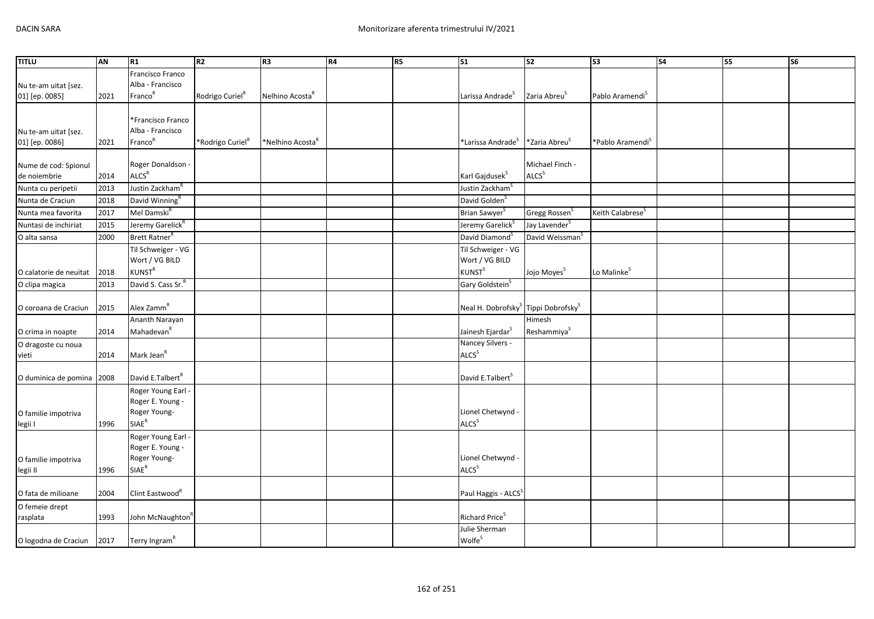| <b>TITLU</b>                         | AN   | R1                                     | R <sub>2</sub>               | R3                           | R4 | R5 | S <sub>1</sub>                                              | s <sub>2</sub>                       | S <sub>3</sub>               | <b>S4</b> | S5 | S6 |
|--------------------------------------|------|----------------------------------------|------------------------------|------------------------------|----|----|-------------------------------------------------------------|--------------------------------------|------------------------------|-----------|----|----|
|                                      |      | Francisco Franco                       |                              |                              |    |    |                                                             |                                      |                              |           |    |    |
| Nu te-am uitat [sez.                 |      | Alba - Francisco                       |                              |                              |    |    |                                                             |                                      |                              |           |    |    |
| 01] [ep. 0085]                       | 2021 | Franco <sup>R</sup>                    | Rodrigo Curiel <sup>R</sup>  | Nelhino Acosta <sup>R</sup>  |    |    | Larissa Andrade <sup>S</sup>                                | Zaria Abreu <sup>S</sup>             | Pablo Aramendi <sup>S</sup>  |           |    |    |
|                                      |      |                                        |                              |                              |    |    |                                                             |                                      |                              |           |    |    |
|                                      |      | *Francisco Franco                      |                              |                              |    |    |                                                             |                                      |                              |           |    |    |
| Nu te-am uitat [sez.                 |      | Alba - Francisco                       |                              |                              |    |    |                                                             |                                      |                              |           |    |    |
| 01] [ep. 0086]                       | 2021 | Franco <sup>R</sup>                    | *Rodrigo Curiel <sup>K</sup> | *Nelhino Acosta <sup>"</sup> |    |    | *Larissa Andrade <sup>S</sup>                               | *Zaria Abreu <sup>5</sup>            | *Pablo Aramendi <sup>S</sup> |           |    |    |
|                                      |      |                                        |                              |                              |    |    |                                                             |                                      |                              |           |    |    |
| Nume de cod: Spionul<br>de noiembrie |      | Roger Donaldson -<br>ALCS <sup>R</sup> |                              |                              |    |    | Karl Gajdusek <sup>S</sup>                                  | Michael Finch -<br>ALCS <sup>S</sup> |                              |           |    |    |
|                                      | 2014 |                                        |                              |                              |    |    |                                                             |                                      |                              |           |    |    |
| Nunta cu peripetii                   | 2013 | Justin Zackham <sup>R</sup>            |                              |                              |    |    | Justin Zackham <sup>S</sup>                                 |                                      |                              |           |    |    |
| Nunta de Craciun                     | 2018 | David Winning <sup>R</sup>             |                              |                              |    |    | David Golden <sup>S</sup>                                   |                                      |                              |           |    |    |
| Nunta mea favorita                   | 2017 | Mel Damski <sup>R</sup>                |                              |                              |    |    | Brian Sawyer <sup>S</sup>                                   | Gregg Rossen <sup>S</sup>            | Keith Calabrese <sup>S</sup> |           |    |    |
| Nuntasi de inchiriat                 | 2015 | Jeremy Garelick <sup>R</sup>           |                              |                              |    |    | Jeremy Garelick <sup>S</sup>                                | Jay Lavender <sup>S</sup>            |                              |           |    |    |
| O alta sansa                         | 2000 | Brett Ratner <sup>R</sup>              |                              |                              |    |    | David Diamond <sup>S</sup>                                  | David Weissman <sup>S</sup>          |                              |           |    |    |
|                                      |      | Til Schweiger - VG                     |                              |                              |    |    | Til Schweiger - VG                                          |                                      |                              |           |    |    |
|                                      |      | Wort / VG BILD                         |                              |                              |    |    | Wort / VG BILD                                              |                                      |                              |           |    |    |
| O calatorie de neuitat               | 2018 | <b>KUNST<sup>R</sup></b>               |                              |                              |    |    | <b>KUNST</b> <sup>S</sup>                                   | Jojo Moyes <sup>S</sup>              | Lo Malinke <sup>S</sup>      |           |    |    |
| O clipa magica                       | 2013 | David S. Cass Sr. <sup>R</sup>         |                              |                              |    |    | Gary Goldstein <sup>S</sup>                                 |                                      |                              |           |    |    |
| O coroana de Craciun                 | 2015 | Alex Zamm <sup>R</sup>                 |                              |                              |    |    | Neal H. Dobrofsky <sup>S</sup> Tippi Dobrofsky <sup>S</sup> |                                      |                              |           |    |    |
|                                      |      | Ananth Narayan                         |                              |                              |    |    |                                                             | Himesh                               |                              |           |    |    |
| O crima in noapte                    | 2014 | Mahadevan <sup>R</sup>                 |                              |                              |    |    | Jainesh Ejardar <sup>S</sup>                                | Reshammiya <sup>S</sup>              |                              |           |    |    |
| O dragoste cu noua                   |      |                                        |                              |                              |    |    | Nancey Silvers -                                            |                                      |                              |           |    |    |
| vieti                                | 2014 | Mark Jean <sup>R</sup>                 |                              |                              |    |    | <b>ALCS</b> <sup>S</sup>                                    |                                      |                              |           |    |    |
|                                      |      |                                        |                              |                              |    |    |                                                             |                                      |                              |           |    |    |
| O duminica de pomina                 | 2008 | David E.Talbert <sup>R</sup>           |                              |                              |    |    | David E.Talbert <sup>S</sup>                                |                                      |                              |           |    |    |
|                                      |      | Roger Young Earl -                     |                              |                              |    |    |                                                             |                                      |                              |           |    |    |
|                                      |      | Roger E. Young -                       |                              |                              |    |    |                                                             |                                      |                              |           |    |    |
| O familie impotriva                  |      | Roger Young-                           |                              |                              |    |    | Lionel Chetwynd -                                           |                                      |                              |           |    |    |
| legii I                              | 1996 | $SIAE^R$                               |                              |                              |    |    | ALCS <sup>S</sup>                                           |                                      |                              |           |    |    |
|                                      |      | Roger Young Earl -                     |                              |                              |    |    |                                                             |                                      |                              |           |    |    |
|                                      |      | Roger E. Young -                       |                              |                              |    |    |                                                             |                                      |                              |           |    |    |
| O familie impotriva                  |      | Roger Young-                           |                              |                              |    |    | Lionel Chetwynd -<br><b>ALCS</b> <sup>S</sup>               |                                      |                              |           |    |    |
| legii II                             | 1996 | SIAE <sup>R</sup>                      |                              |                              |    |    |                                                             |                                      |                              |           |    |    |
| O fata de milioane                   | 2004 | Clint Eastwood <sup>K</sup>            |                              |                              |    |    | Paul Haggis - ALCS <sup>S</sup>                             |                                      |                              |           |    |    |
| O femeie drept                       |      |                                        |                              |                              |    |    |                                                             |                                      |                              |           |    |    |
| rasplata                             | 1993 | John McNaughton'                       |                              |                              |    |    | Richard Price <sup>S</sup>                                  |                                      |                              |           |    |    |
|                                      |      |                                        |                              |                              |    |    | Julie Sherman                                               |                                      |                              |           |    |    |
| O logodna de Craciun                 | 2017 | Terry Ingram <sup>R</sup>              |                              |                              |    |    | Wolfe <sup>S</sup>                                          |                                      |                              |           |    |    |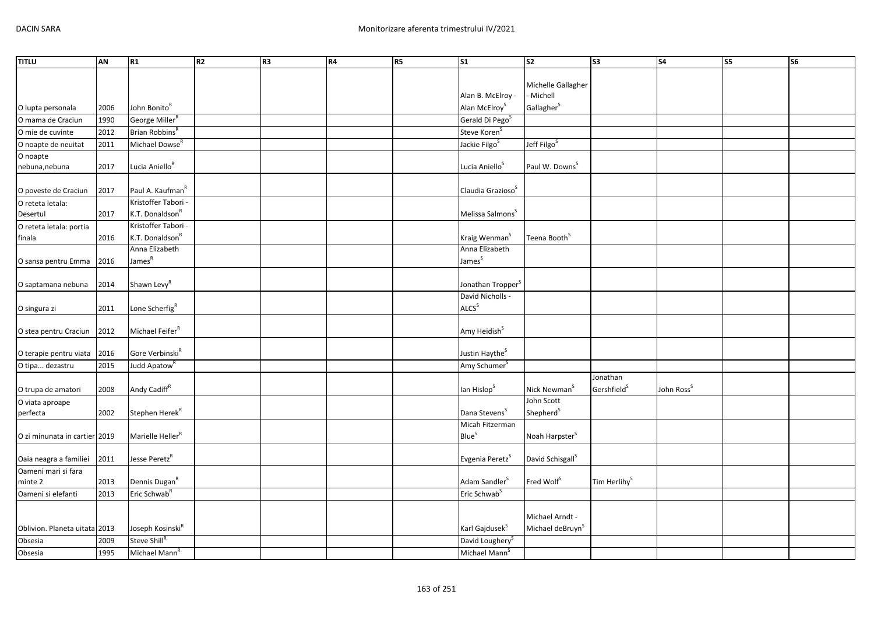| <b>TITLU</b>                  | AN   | R1                                                  | R2 | R <sub>3</sub> | R4 | R5 | $\overline{\text{S1}}$                       | $\overline{\text{S2}}$        | $\sqrt{53}$              | S <sub>4</sub>         | S5 | $\overline{\text{S6}}$ |
|-------------------------------|------|-----------------------------------------------------|----|----------------|----|----|----------------------------------------------|-------------------------------|--------------------------|------------------------|----|------------------------|
|                               |      |                                                     |    |                |    |    |                                              |                               |                          |                        |    |                        |
|                               |      |                                                     |    |                |    |    | Alan B. McElroy -                            | Michelle Gallagher<br>Michell |                          |                        |    |                        |
| O lupta personala             | 2006 | John Bonito <sup>R</sup>                            |    |                |    |    | Alan McElroy <sup>S</sup>                    | Gallagher <sup>S</sup>        |                          |                        |    |                        |
| O mama de Craciun             | 1990 | George Miller <sup>R</sup>                          |    |                |    |    | Gerald Di Pego <sup>S</sup>                  |                               |                          |                        |    |                        |
| O mie de cuvinte              | 2012 | Brian Robbins <sup>R</sup>                          |    |                |    |    | Steve Koren <sup>S</sup>                     |                               |                          |                        |    |                        |
| O noapte de neuitat           | 2011 | Michael Dowse <sup>R</sup>                          |    |                |    |    | Jackie Filgo <sup>S</sup>                    | Jeff Filgo <sup>S</sup>       |                          |                        |    |                        |
| O noapte                      |      |                                                     |    |                |    |    |                                              |                               |                          |                        |    |                        |
| nebuna, nebuna                | 2017 | Lucia Aniello <sup>R</sup>                          |    |                |    |    | Lucia Aniello <sup>S</sup>                   | Paul W. Downs <sup>S</sup>    |                          |                        |    |                        |
|                               |      |                                                     |    |                |    |    |                                              |                               |                          |                        |    |                        |
| O poveste de Craciun          | 2017 | Paul A. Kaufman <sup>R</sup><br>Kristoffer Tabori - |    |                |    |    | Claudia Grazioso <sup>S</sup>                |                               |                          |                        |    |                        |
| O reteta letala:<br>Desertul  | 2017 | K.T. Donaldson <sup>R</sup>                         |    |                |    |    | Melissa Salmons <sup>S</sup>                 |                               |                          |                        |    |                        |
| O reteta letala: portia       |      | Kristoffer Tabori -                                 |    |                |    |    |                                              |                               |                          |                        |    |                        |
| finala                        | 2016 | K.T. Donaldson <sup>R</sup>                         |    |                |    |    | Kraig Wenman <sup>S</sup>                    | Teena Booth <sup>S</sup>      |                          |                        |    |                        |
|                               |      | Anna Elizabeth                                      |    |                |    |    | Anna Elizabeth                               |                               |                          |                        |    |                        |
| O sansa pentru Emma           | 2016 | James <sup>R</sup>                                  |    |                |    |    | James <sup>S</sup>                           |                               |                          |                        |    |                        |
|                               |      |                                                     |    |                |    |    |                                              |                               |                          |                        |    |                        |
| O saptamana nebuna            | 2014 | Shawn Levy <sup>R</sup>                             |    |                |    |    | Jonathan Tropper <sup>S</sup>                |                               |                          |                        |    |                        |
|                               |      |                                                     |    |                |    |    | David Nicholls -                             |                               |                          |                        |    |                        |
| O singura zi                  | 2011 | Lone Scherfig <sup>R</sup>                          |    |                |    |    | <b>ALCS</b> <sup>S</sup>                     |                               |                          |                        |    |                        |
| O stea pentru Craciun         | 2012 | Michael Feifer <sup>R</sup>                         |    |                |    |    | Amy Heidish <sup>S</sup>                     |                               |                          |                        |    |                        |
|                               |      |                                                     |    |                |    |    |                                              |                               |                          |                        |    |                        |
| O terapie pentru viata        | 2016 | Gore Verbinski <sup>R</sup>                         |    |                |    |    | Justin Haythe <sup>S</sup>                   |                               |                          |                        |    |                        |
| O tipa dezastru               | 2015 | Judd Apatow <sup>R</sup>                            |    |                |    |    | Amy Schumer <sup>S</sup>                     |                               |                          |                        |    |                        |
|                               |      |                                                     |    |                |    |    |                                              |                               | Jonathan                 |                        |    |                        |
| O trupa de amatori            | 2008 | Andy Cadiff <sup>R</sup>                            |    |                |    |    | lan Hislop <sup>S</sup>                      | Nick Newman <sup>S</sup>      | Gershfield <sup>S</sup>  | John Ross <sup>5</sup> |    |                        |
| O viata aproape               |      |                                                     |    |                |    |    |                                              | John Scott                    |                          |                        |    |                        |
| perfecta                      | 2002 | Stephen Herek <sup>R</sup>                          |    |                |    |    | Dana Stevens <sup>S</sup><br>Micah Fitzerman | Shepherd <sup>S</sup>         |                          |                        |    |                        |
| O zi minunata in cartier 2019 |      | Marielle Heller <sup>R</sup>                        |    |                |    |    | <b>Blue</b> <sup>S</sup>                     | Noah Harpster <sup>S</sup>    |                          |                        |    |                        |
|                               |      |                                                     |    |                |    |    |                                              |                               |                          |                        |    |                        |
| Oaia neagra a familiei        | 2011 | Jesse Peretz <sup>R</sup>                           |    |                |    |    | Evgenia Peretz <sup>S</sup>                  | David Schisgall <sup>S</sup>  |                          |                        |    |                        |
| Oameni mari si fara           |      |                                                     |    |                |    |    |                                              |                               |                          |                        |    |                        |
| minte 2                       | 2013 | Dennis Dugan <sup>R</sup>                           |    |                |    |    | Adam Sandler <sup>S</sup>                    | Fred Wolf <sup>S</sup>        | Tim Herlihy <sup>S</sup> |                        |    |                        |
| Oameni si elefanti            | 2013 | Eric Schwab <sup>R</sup>                            |    |                |    |    | Eric Schwab <sup>S</sup>                     |                               |                          |                        |    |                        |
|                               |      |                                                     |    |                |    |    |                                              | Michael Arndt -               |                          |                        |    |                        |
| Oblivion. Planeta uitata 2013 |      | Joseph Kosinski <sup>R</sup>                        |    |                |    |    | Karl Gajdusek <sup>S</sup>                   | Michael deBruyn <sup>S</sup>  |                          |                        |    |                        |
| Obsesia                       | 2009 | Steve Shill <sup>R</sup>                            |    |                |    |    | David Loughery <sup>S</sup>                  |                               |                          |                        |    |                        |
| Obsesia                       | 1995 | Michael Mann <sup>F</sup>                           |    |                |    |    | Michael Mann <sup>S</sup>                    |                               |                          |                        |    |                        |
|                               |      |                                                     |    |                |    |    |                                              |                               |                          |                        |    |                        |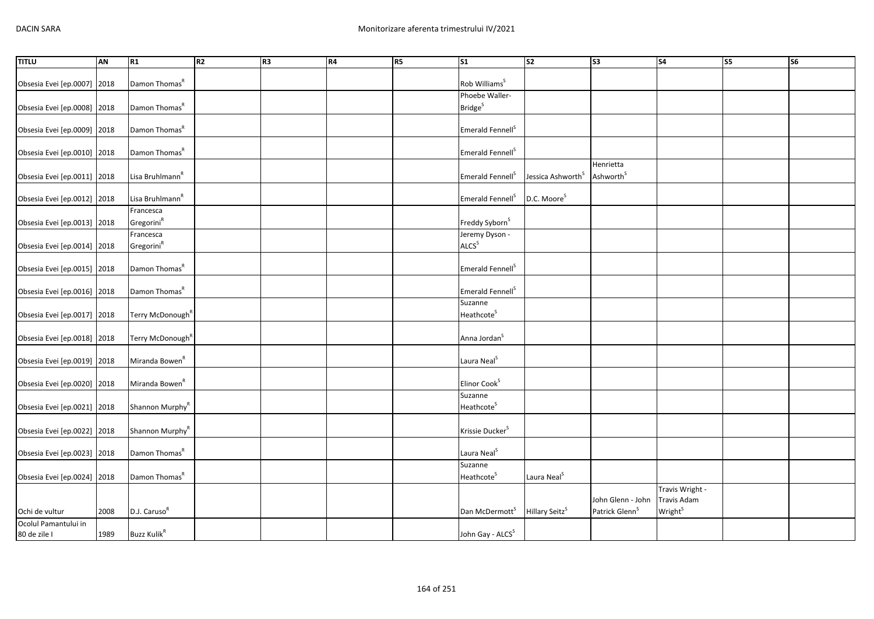| TITLU                       | AN   | R1                           | R <sub>2</sub> | R <sub>3</sub> | R4 | <b>R5</b> | S <sub>1</sub>               | $\overline{\text{S2}}$        | <b>S3</b>                  | <b>S4</b>                  | S5 | S <sub>6</sub> |
|-----------------------------|------|------------------------------|----------------|----------------|----|-----------|------------------------------|-------------------------------|----------------------------|----------------------------|----|----------------|
|                             |      |                              |                |                |    |           |                              |                               |                            |                            |    |                |
| Obsesia Evei [ep.0007] 2018 |      | Damon Thomas <sup>R</sup>    |                |                |    |           | Rob Williams <sup>S</sup>    |                               |                            |                            |    |                |
|                             |      |                              |                |                |    |           | Phoebe Waller-               |                               |                            |                            |    |                |
| Obsesia Evei [ep.0008] 2018 |      | Damon Thomas <sup>R</sup>    |                |                |    |           | <b>Bridge</b> <sup>S</sup>   |                               |                            |                            |    |                |
|                             |      |                              |                |                |    |           |                              |                               |                            |                            |    |                |
| Obsesia Evei [ep.0009] 2018 |      | Damon Thomas <sup>R</sup>    |                |                |    |           | Emerald Fennell <sup>S</sup> |                               |                            |                            |    |                |
|                             |      | Damon Thomas <sup>R</sup>    |                |                |    |           | Emerald Fennell <sup>S</sup> |                               |                            |                            |    |                |
| Obsesia Evei [ep.0010] 2018 |      |                              |                |                |    |           |                              |                               | Henrietta                  |                            |    |                |
| Obsesia Evei [ep.0011] 2018 |      | Lisa Bruhlmann <sup>R</sup>  |                |                |    |           | Emerald Fennell <sup>S</sup> | Jessica Ashworth <sup>S</sup> | Ashworth <sup>S</sup>      |                            |    |                |
|                             |      |                              |                |                |    |           |                              |                               |                            |                            |    |                |
| Obsesia Evei [ep.0012] 2018 |      | Lisa Bruhlmann <sup>R</sup>  |                |                |    |           | Emerald Fennell <sup>S</sup> | D.C. Moore <sup>S</sup>       |                            |                            |    |                |
|                             |      | Francesca                    |                |                |    |           |                              |                               |                            |                            |    |                |
| Obsesia Evei [ep.0013] 2018 |      | Gregorini <sup>R</sup>       |                |                |    |           | Freddy Syborn <sup>S</sup>   |                               |                            |                            |    |                |
|                             |      | Francesca                    |                |                |    |           | Jeremy Dyson -               |                               |                            |                            |    |                |
| Obsesia Evei [ep.0014] 2018 |      | Gregorini <sup>R</sup>       |                |                |    |           | ALCS <sup>S</sup>            |                               |                            |                            |    |                |
|                             |      |                              |                |                |    |           |                              |                               |                            |                            |    |                |
| Obsesia Evei [ep.0015] 2018 |      | Damon Thomas <sup>R</sup>    |                |                |    |           | Emerald Fennell <sup>S</sup> |                               |                            |                            |    |                |
|                             |      |                              |                |                |    |           |                              |                               |                            |                            |    |                |
| Obsesia Evei [ep.0016] 2018 |      | Damon Thomas <sup>R</sup>    |                |                |    |           | Emerald Fennell <sup>S</sup> |                               |                            |                            |    |                |
|                             |      |                              |                |                |    |           | Suzanne                      |                               |                            |                            |    |                |
| Obsesia Evei [ep.0017] 2018 |      | Terry McDonough <sup>R</sup> |                |                |    |           | Heathcote <sup>S</sup>       |                               |                            |                            |    |                |
|                             |      |                              |                |                |    |           |                              |                               |                            |                            |    |                |
| Obsesia Evei [ep.0018] 2018 |      | Terry McDonough <sup>R</sup> |                |                |    |           | Anna Jordan <sup>S</sup>     |                               |                            |                            |    |                |
|                             |      |                              |                |                |    |           |                              |                               |                            |                            |    |                |
| Obsesia Evei [ep.0019] 2018 |      | Miranda Bowen <sup>R</sup>   |                |                |    |           | Laura Neal <sup>S</sup>      |                               |                            |                            |    |                |
|                             |      |                              |                |                |    |           |                              |                               |                            |                            |    |                |
| Obsesia Evei [ep.0020] 2018 |      | Miranda Bowen <sup>R</sup>   |                |                |    |           | Elinor Cook <sup>S</sup>     |                               |                            |                            |    |                |
|                             |      |                              |                |                |    |           | Suzanne                      |                               |                            |                            |    |                |
| Obsesia Evei [ep.0021] 2018 |      | Shannon Murphy <sup>R</sup>  |                |                |    |           | Heathcote <sup>S</sup>       |                               |                            |                            |    |                |
|                             |      |                              |                |                |    |           |                              |                               |                            |                            |    |                |
| Obsesia Evei [ep.0022] 2018 |      | Shannon Murphy <sup>R</sup>  |                |                |    |           | Krissie Ducker <sup>S</sup>  |                               |                            |                            |    |                |
| Obsesia Evei [ep.0023] 2018 |      | Damon Thomas <sup>R</sup>    |                |                |    |           | Laura Neal <sup>S</sup>      |                               |                            |                            |    |                |
|                             |      |                              |                |                |    |           | Suzanne                      |                               |                            |                            |    |                |
| Obsesia Evei [ep.0024] 2018 |      | Damon Thomas <sup>R</sup>    |                |                |    |           | Heathcote <sup>S</sup>       | Laura Neal <sup>S</sup>       |                            |                            |    |                |
|                             |      |                              |                |                |    |           |                              |                               |                            | Travis Wright -            |    |                |
|                             |      |                              |                |                |    |           |                              |                               | John Glenn - John          | Travis Adam                |    |                |
| Ochi de vultur              | 2008 | D.J. Caruso <sup>R</sup>     |                |                |    |           | Dan McDermott <sup>S</sup>   | Hillary Seitz <sup>S</sup>    | Patrick Glenn <sup>S</sup> | <b>Wright</b> <sup>S</sup> |    |                |
| Ocolul Pamantului in        |      |                              |                |                |    |           |                              |                               |                            |                            |    |                |
| 80 de zile I                | 1989 | Buzz Kulik <sup>R</sup>      |                |                |    |           | John Gay - ALCS <sup>S</sup> |                               |                            |                            |    |                |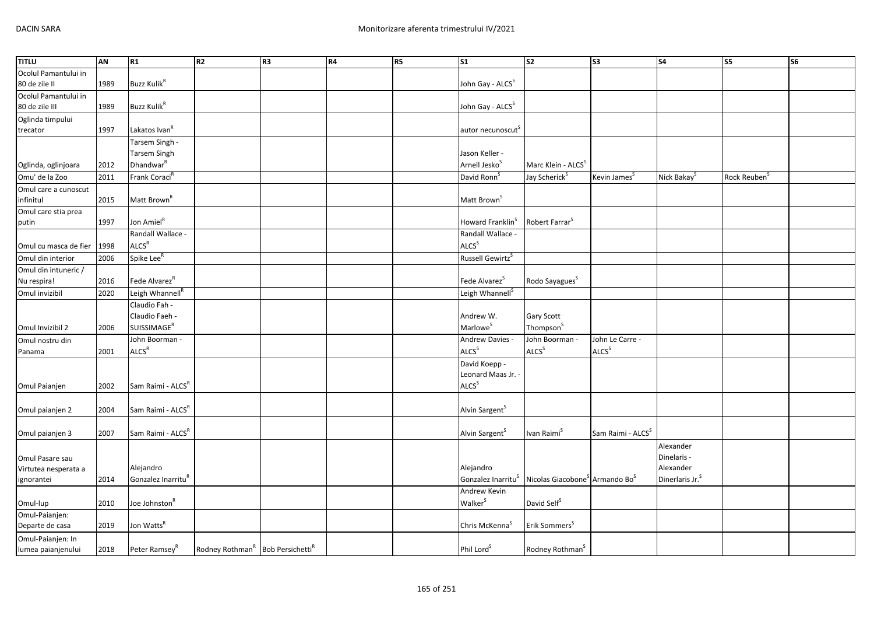| <b>TITLU</b>          | <b>AN</b> | R1                             | R2                                                       | R <sub>3</sub> | R4 | R5 | $\overline{\text{S1}}$         | $\overline{\text{S2}}$                                 | S <sub>3</sub>                | S <sub>4</sub>              | $\overline{\text{S5}}$ | $\overline{\text{S6}}$ |
|-----------------------|-----------|--------------------------------|----------------------------------------------------------|----------------|----|----|--------------------------------|--------------------------------------------------------|-------------------------------|-----------------------------|------------------------|------------------------|
| Ocolul Pamantului in  |           |                                |                                                          |                |    |    |                                |                                                        |                               |                             |                        |                        |
| 80 de zile II         | 1989      | <b>Buzz Kulik<sup>R</sup></b>  |                                                          |                |    |    | John Gay - ALCS <sup>S</sup>   |                                                        |                               |                             |                        |                        |
| Ocolul Pamantului in  |           |                                |                                                          |                |    |    |                                |                                                        |                               |                             |                        |                        |
| 80 de zile III        | 1989      | <b>Buzz Kulik<sup>R</sup></b>  |                                                          |                |    |    | John Gay - ALCS <sup>S</sup>   |                                                        |                               |                             |                        |                        |
| Oglinda timpului      |           |                                |                                                          |                |    |    |                                |                                                        |                               |                             |                        |                        |
| trecator              | 1997      | Lakatos Ivan <sup>R</sup>      |                                                          |                |    |    | autor necunoscut <sup>S</sup>  |                                                        |                               |                             |                        |                        |
|                       |           | Tarsem Singh -                 |                                                          |                |    |    |                                |                                                        |                               |                             |                        |                        |
|                       |           | <b>Tarsem Singh</b>            |                                                          |                |    |    | Jason Keller -                 |                                                        |                               |                             |                        |                        |
| Oglinda, oglinjoara   | 2012      | Dhandwar <sup>R</sup>          |                                                          |                |    |    | Arnell Jesko <sup>S</sup>      | Marc Klein - ALCS <sup>S</sup>                         |                               |                             |                        |                        |
| Omu' de la Zoo        | 2011      | Frank Coraci <sup>R</sup>      |                                                          |                |    |    | David Ronn <sup>S</sup>        | Jay Scherick <sup>S</sup>                              | Kevin James <sup>S</sup>      | Nick Bakay                  | Rock Reuben            |                        |
| Omul care a cunoscut  |           |                                |                                                          |                |    |    |                                |                                                        |                               |                             |                        |                        |
| infinitul             | 2015      | Matt Brown <sup>R</sup>        |                                                          |                |    |    | Matt Brown <sup>S</sup>        |                                                        |                               |                             |                        |                        |
| Omul care stia prea   |           |                                |                                                          |                |    |    |                                |                                                        |                               |                             |                        |                        |
| putin                 | 1997      | Jon Amiel <sup>R</sup>         |                                                          |                |    |    | Howard Franklin <sup>S</sup>   | Robert Farrar <sup>S</sup>                             |                               |                             |                        |                        |
|                       |           | Randall Wallace -              |                                                          |                |    |    | Randall Wallace -              |                                                        |                               |                             |                        |                        |
| Omul cu masca de fier | 1998      | ALCS <sup>R</sup>              |                                                          |                |    |    | ALCS <sup>S</sup>              |                                                        |                               |                             |                        |                        |
| Omul din interior     | 2006      | Spike Lee <sup>R</sup>         |                                                          |                |    |    | Russell Gewirtz <sup>S</sup>   |                                                        |                               |                             |                        |                        |
| Omul din intuneric /  |           |                                |                                                          |                |    |    |                                |                                                        |                               |                             |                        |                        |
| Nu respira!           | 2016      | Fede Alvarez <sup>R</sup>      |                                                          |                |    |    | Fede Alvarez <sup>5</sup>      | Rodo Sayagues <sup>S</sup>                             |                               |                             |                        |                        |
| Omul invizibil        | 2020      | Leigh Whannell <sup>R</sup>    |                                                          |                |    |    | Leigh Whannell <sup>S</sup>    |                                                        |                               |                             |                        |                        |
|                       |           | Claudio Fah -                  |                                                          |                |    |    |                                |                                                        |                               |                             |                        |                        |
|                       |           | Claudio Faeh -                 |                                                          |                |    |    | Andrew W.                      | Gary Scott                                             |                               |                             |                        |                        |
| Omul Invizibil 2      | 2006      | <b>SUISSIMAGE<sup>R</sup></b>  |                                                          |                |    |    | Marlowe <sup>S</sup>           | Thompson <sup>S</sup>                                  |                               |                             |                        |                        |
| Omul nostru din       |           | John Boorman -                 |                                                          |                |    |    | Andrew Davies -                | John Boorman -                                         | John Le Carre -               |                             |                        |                        |
| Panama                | 2001      | ALCS <sup>R</sup>              |                                                          |                |    |    | ALCS <sup>S</sup>              | ALCS <sup>S</sup>                                      | ALCS <sup>S</sup>             |                             |                        |                        |
|                       |           |                                |                                                          |                |    |    | David Koepp -                  |                                                        |                               |                             |                        |                        |
|                       |           |                                |                                                          |                |    |    | Leonard Maas Jr.               |                                                        |                               |                             |                        |                        |
| Omul Paianjen         | 2002      | Sam Raimi - ALCS <sup>R</sup>  |                                                          |                |    |    | ALCS <sup>S</sup>              |                                                        |                               |                             |                        |                        |
|                       |           |                                |                                                          |                |    |    |                                |                                                        |                               |                             |                        |                        |
| Omul paianjen 2       | 2004      | Sam Raimi - ALCS <sup>R</sup>  |                                                          |                |    |    | Alvin Sargent <sup>S</sup>     |                                                        |                               |                             |                        |                        |
|                       |           |                                |                                                          |                |    |    |                                |                                                        |                               |                             |                        |                        |
| Omul paianjen 3       | 2007      | Sam Raimi - ALCS <sup>R</sup>  |                                                          |                |    |    | Alvin Sargent <sup>S</sup>     | Ivan Raimi <sup>S</sup>                                | Sam Raimi - ALCS <sup>S</sup> |                             |                        |                        |
|                       |           |                                |                                                          |                |    |    |                                |                                                        |                               | Alexander                   |                        |                        |
| Omul Pasare sau       |           |                                |                                                          |                |    |    |                                |                                                        |                               | Dinelaris -                 |                        |                        |
| Virtutea nesperata a  |           | Alejandro                      |                                                          |                |    |    | Alejandro                      |                                                        |                               | Alexander                   |                        |                        |
| ignorantei            | 2014      | Gonzalez Inarritu <sup>R</sup> |                                                          |                |    |    | Gonzalez Inarritu <sup>s</sup> | Nicolas Giacobone <sup>5</sup> Armando Bo <sup>5</sup> |                               | Dinerlaris Jr. <sup>S</sup> |                        |                        |
|                       |           |                                |                                                          |                |    |    | Andrew Kevin                   |                                                        |                               |                             |                        |                        |
| Omul-lup              | 2010      | Joe Johnston <sup>R</sup>      |                                                          |                |    |    | Walker <sup>S</sup>            | David Self <sup>S</sup>                                |                               |                             |                        |                        |
| Omul-Paianjen:        |           |                                |                                                          |                |    |    |                                |                                                        |                               |                             |                        |                        |
| Departe de casa       | 2019      | Jon Watts <sup>R</sup>         |                                                          |                |    |    | Chris McKenna <sup>5</sup>     | Erik Sommers <sup>S</sup>                              |                               |                             |                        |                        |
| Omul-Paianjen: In     |           |                                |                                                          |                |    |    |                                |                                                        |                               |                             |                        |                        |
| lumea paianjenului    | 2018      | Peter Ramsey <sup>R</sup>      | Rodney Rothman <sup>R</sup> Bob Persichetti <sup>R</sup> |                |    |    | Phil Lord <sup>S</sup>         | Rodney Rothman <sup>S</sup>                            |                               |                             |                        |                        |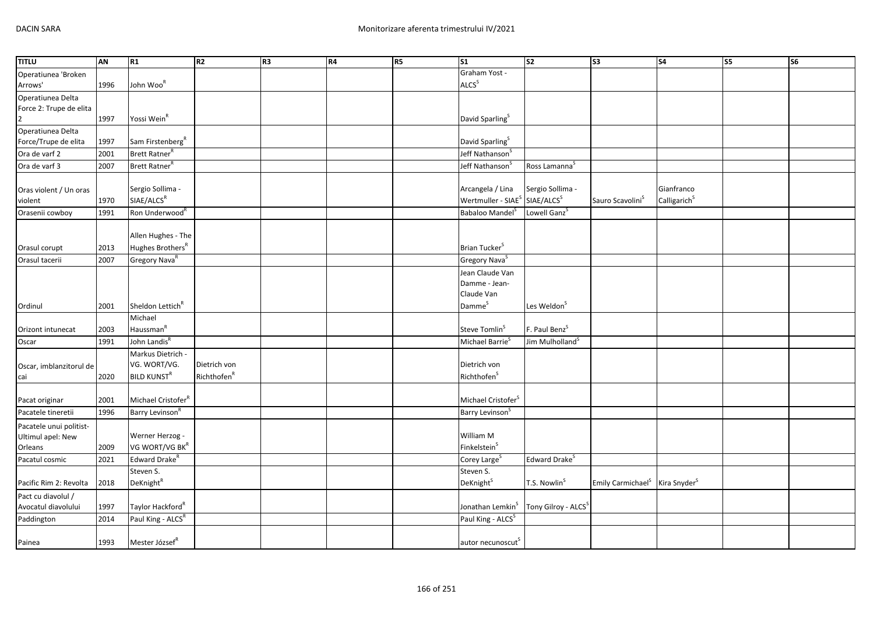| <b>TITLU</b>            | AN   | R1                             | R <sub>2</sub>          | R <sub>3</sub> | R4 | <b>R5</b> | S <sub>1</sub>                                        | S <sub>2</sub>                  | S <sub>3</sub>                                         | S <sub>4</sub>           | S5 | S6 |
|-------------------------|------|--------------------------------|-------------------------|----------------|----|-----------|-------------------------------------------------------|---------------------------------|--------------------------------------------------------|--------------------------|----|----|
| Operatiunea 'Broken     |      |                                |                         |                |    |           | Graham Yost -                                         |                                 |                                                        |                          |    |    |
| Arrows'                 | 1996 | John Woo <sup>R</sup>          |                         |                |    |           | <b>ALCS</b> <sup>S</sup>                              |                                 |                                                        |                          |    |    |
| Operatiunea Delta       |      |                                |                         |                |    |           |                                                       |                                 |                                                        |                          |    |    |
| Force 2: Trupe de elita |      |                                |                         |                |    |           |                                                       |                                 |                                                        |                          |    |    |
|                         | 1997 | Yossi Wein <sup>R</sup>        |                         |                |    |           | David Sparling <sup>S</sup>                           |                                 |                                                        |                          |    |    |
| Operatiunea Delta       |      |                                |                         |                |    |           |                                                       |                                 |                                                        |                          |    |    |
| Force/Trupe de elita    | 1997 | Sam Firstenberg <sup>R</sup>   |                         |                |    |           | David Sparling <sup>&gt;</sup>                        |                                 |                                                        |                          |    |    |
| Ora de varf 2           | 2001 | Brett Ratner <sup>R</sup>      |                         |                |    |           | Jeff Nathanson <sup>5</sup>                           |                                 |                                                        |                          |    |    |
| Ora de varf 3           | 2007 | Brett Ratner <sup>R</sup>      |                         |                |    |           | Jeff Nathanson <sup>3</sup>                           | Ross Lamanna <sup>S</sup>       |                                                        |                          |    |    |
|                         |      |                                |                         |                |    |           |                                                       |                                 |                                                        |                          |    |    |
| Oras violent / Un oras  |      | Sergio Sollima -               |                         |                |    |           | Arcangela / Lina                                      | Sergio Sollima -                |                                                        | Gianfranco               |    |    |
| violent                 | 1970 | SIAE/ALCS <sup>R</sup>         |                         |                |    |           | Wertmuller - SIAE <sup>S</sup> SIAE/ALCS <sup>S</sup> |                                 | Sauro Scavolini <sup>S</sup>                           | Calligarich <sup>S</sup> |    |    |
| Orasenii cowboy         | 1991 | Ron Underwood <sup>R</sup>     |                         |                |    |           | Babaloo Mandel <sup>S</sup>                           | Lowell Ganz <sup>S</sup>        |                                                        |                          |    |    |
|                         |      |                                |                         |                |    |           |                                                       |                                 |                                                        |                          |    |    |
|                         |      | Allen Hughes - The             |                         |                |    |           |                                                       |                                 |                                                        |                          |    |    |
| Orasul corupt           | 2013 | Hughes Brothers <sup>R</sup>   |                         |                |    |           | Brian Tucker <sup>S</sup>                             |                                 |                                                        |                          |    |    |
| Orasul tacerii          | 2007 | Gregory Nava <sup>R</sup>      |                         |                |    |           | Gregory Nava <sup>S</sup>                             |                                 |                                                        |                          |    |    |
|                         |      |                                |                         |                |    |           | Jean Claude Van                                       |                                 |                                                        |                          |    |    |
|                         |      |                                |                         |                |    |           | Damme - Jean-                                         |                                 |                                                        |                          |    |    |
|                         |      |                                |                         |                |    |           | Claude Van                                            |                                 |                                                        |                          |    |    |
| Ordinul                 | 2001 | Sheldon Lettich <sup>R</sup>   |                         |                |    |           | Damme <sup>S</sup>                                    | Les Weldon <sup>S</sup>         |                                                        |                          |    |    |
|                         |      | Michael                        |                         |                |    |           |                                                       |                                 |                                                        |                          |    |    |
| Orizont intunecat       | 2003 | Haussman <sup>R</sup>          |                         |                |    |           | Steve Tomlin <sup>S</sup>                             | F. Paul Benz <sup>S</sup>       |                                                        |                          |    |    |
| Oscar                   | 1991 | John Landis <sup>R</sup>       |                         |                |    |           | Michael Barrie                                        | Jim Mulholland <sup>S</sup>     |                                                        |                          |    |    |
|                         |      | Markus Dietrich -              |                         |                |    |           |                                                       |                                 |                                                        |                          |    |    |
| Oscar, imblanzitorul de |      | VG. WORT/VG.                   | Dietrich von            |                |    |           | Dietrich von                                          |                                 |                                                        |                          |    |    |
| cai                     | 2020 | <b>BILD KUNST<sup>R</sup></b>  | Richthofen <sup>R</sup> |                |    |           | Richthofen <sup>S</sup>                               |                                 |                                                        |                          |    |    |
|                         |      |                                |                         |                |    |           |                                                       |                                 |                                                        |                          |    |    |
| Pacat originar          | 2001 | Michael Cristofer <sup>R</sup> |                         |                |    |           | Michael Cristofer <sup>S</sup>                        |                                 |                                                        |                          |    |    |
| Pacatele tineretii      | 1996 | Barry Levinson <sup>R</sup>    |                         |                |    |           | Barry Levinson <sup>5</sup>                           |                                 |                                                        |                          |    |    |
| Pacatele unui politist- |      |                                |                         |                |    |           |                                                       |                                 |                                                        |                          |    |    |
| Ultimul apel: New       |      | Werner Herzog -                |                         |                |    |           | William M                                             |                                 |                                                        |                          |    |    |
| Orleans                 | 2009 | VG WORT/VG BKR                 |                         |                |    |           | Finkelstein <sup>S</sup>                              |                                 |                                                        |                          |    |    |
| Pacatul cosmic          | 2021 | Edward Drake <sup>R</sup>      |                         |                |    |           | Corey Large <sup>5</sup>                              | Edward Drake <sup>S</sup>       |                                                        |                          |    |    |
|                         |      | Steven S.                      |                         |                |    |           | Steven S.                                             |                                 |                                                        |                          |    |    |
| Pacific Rim 2: Revolta  | 2018 | DeKnight <sup>R</sup>          |                         |                |    |           | DeKnight <sup>S</sup>                                 | T.S. Nowlin <sup>S</sup>        | Emily Carmichael <sup>S</sup> Kira Snyder <sup>S</sup> |                          |    |    |
| Pact cu diavolul /      |      |                                |                         |                |    |           |                                                       |                                 |                                                        |                          |    |    |
| Avocatul diavolului     | 1997 | Taylor Hackford <sup>R</sup>   |                         |                |    |           | Jonathan Lemkin <sup>S</sup>                          | Tony Gilroy - ALCS <sup>S</sup> |                                                        |                          |    |    |
| Paddington              | 2014 | Paul King - ALCS <sup>R</sup>  |                         |                |    |           | Paul King - ALCS <sup>S</sup>                         |                                 |                                                        |                          |    |    |
|                         |      |                                |                         |                |    |           |                                                       |                                 |                                                        |                          |    |    |
| Painea                  | 1993 | Mester József <sup>R</sup>     |                         |                |    |           | autor necunoscut <sup>S</sup>                         |                                 |                                                        |                          |    |    |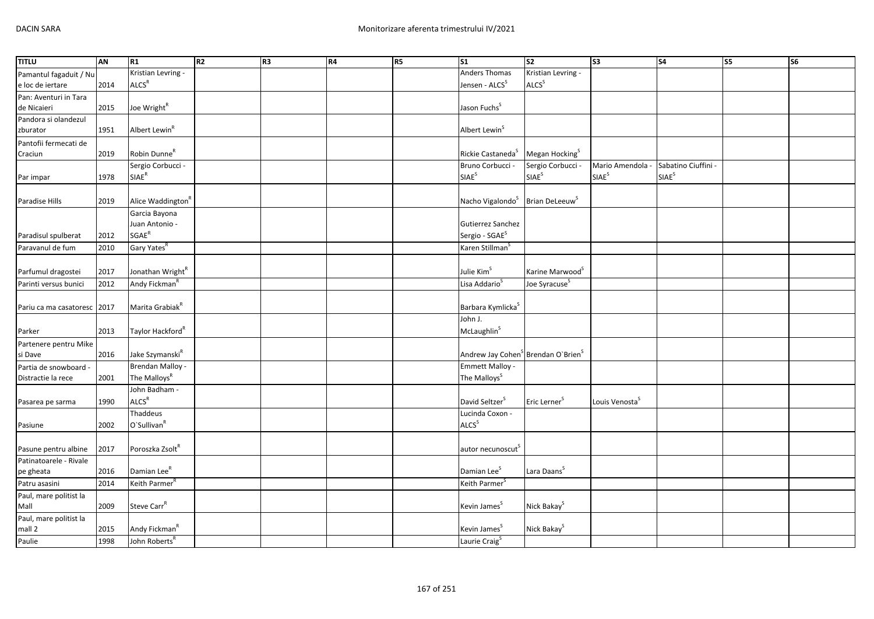| <b>TITLU</b>           | <b>AN</b> | R1                            | R <sub>2</sub> | R <sub>3</sub> | R4 | R5 | $\overline{\text{S1}}$                                     | S <sub>2</sub>              | S <sub>3</sub>             | <b>S4</b>           | <b>S5</b> | <b>S6</b> |
|------------------------|-----------|-------------------------------|----------------|----------------|----|----|------------------------------------------------------------|-----------------------------|----------------------------|---------------------|-----------|-----------|
| Pamantul fagaduit / Nu |           | Kristian Levring -            |                |                |    |    | Anders Thomas                                              | Kristian Levring -          |                            |                     |           |           |
| e loc de iertare       | 2014      | ALCS <sup>R</sup>             |                |                |    |    | Jensen - ALCS <sup>S</sup>                                 | ALCS <sup>S</sup>           |                            |                     |           |           |
| Pan: Aventuri in Tara  |           |                               |                |                |    |    |                                                            |                             |                            |                     |           |           |
| de Nicaieri            | 2015      | Joe Wright <sup>R</sup>       |                |                |    |    | Jason Fuchs <sup>S</sup>                                   |                             |                            |                     |           |           |
| Pandora si olandezul   |           |                               |                |                |    |    |                                                            |                             |                            |                     |           |           |
| zburator               | 1951      | Albert Lewin <sup>R</sup>     |                |                |    |    | Albert Lewin <sup>S</sup>                                  |                             |                            |                     |           |           |
| Pantofii fermecati de  |           |                               |                |                |    |    |                                                            |                             |                            |                     |           |           |
| Craciun                | 2019      | Robin Dunne <sup>R</sup>      |                |                |    |    | Rickie Castaneda <sup>S</sup>                              | Megan Hocking <sup>S</sup>  |                            |                     |           |           |
|                        |           | Sergio Corbucci -             |                |                |    |    | Bruno Corbucci -                                           | Sergio Corbucci -           | Mario Amendola -           | Sabatino Ciuffini - |           |           |
| Par impar              | 1978      | $\mathsf{SIAE}^\mathsf{R}$    |                |                |    |    | SIAE <sup>S</sup>                                          | SIAE <sup>S</sup>           | <b>SIAE</b> <sup>S</sup>   | SIAE <sup>S</sup>   |           |           |
|                        |           |                               |                |                |    |    |                                                            |                             |                            |                     |           |           |
| Paradise Hills         | 2019      | Alice Waddington <sup>R</sup> |                |                |    |    | Nacho Vigalondo <sup>S</sup>                               | Brian DeLeeuw <sup>5</sup>  |                            |                     |           |           |
|                        |           | Garcia Bayona                 |                |                |    |    |                                                            |                             |                            |                     |           |           |
|                        |           | Juan Antonio -                |                |                |    |    | Gutierrez Sanchez                                          |                             |                            |                     |           |           |
| Paradisul spulberat    | 2012      | <b>SGAE<sup>R</sup></b>       |                |                |    |    | Sergio - SGAE <sup>S</sup>                                 |                             |                            |                     |           |           |
| Paravanul de fum       | 2010      | Gary Yates <sup>R</sup>       |                |                |    |    | Karen Stillman <sup>s</sup>                                |                             |                            |                     |           |           |
|                        |           |                               |                |                |    |    |                                                            |                             |                            |                     |           |           |
| Parfumul dragostei     | 2017      | Jonathan Wright <sup>R</sup>  |                |                |    |    | Julie Kim <sup>S</sup>                                     | Karine Marwood <sup>S</sup> |                            |                     |           |           |
|                        |           | Andy Fickman <sup>R</sup>     |                |                |    |    | Lisa Addario <sup>S</sup>                                  |                             |                            |                     |           |           |
| Parinti versus bunici  | 2012      |                               |                |                |    |    |                                                            | Joe Syracuse <sup>S</sup>   |                            |                     |           |           |
|                        |           |                               |                |                |    |    |                                                            |                             |                            |                     |           |           |
| Pariu ca ma casatoresc | 2017      | Marita Grabiak <sup>R</sup>   |                |                |    |    | Barbara Kymlicka <sup>S</sup>                              |                             |                            |                     |           |           |
|                        |           |                               |                |                |    |    | John J.                                                    |                             |                            |                     |           |           |
| Parker                 | 2013      | Taylor Hackford <sup>R</sup>  |                |                |    |    | McLaughlin <sup>S</sup>                                    |                             |                            |                     |           |           |
| Partenere pentru Mike  |           |                               |                |                |    |    |                                                            |                             |                            |                     |           |           |
| si Dave                | 2016      | Jake Szymanski <sup>R</sup>   |                |                |    |    | Andrew Jay Cohen <sup>S</sup> Brendan O'Brien <sup>S</sup> |                             |                            |                     |           |           |
| Partia de snowboard -  |           | Brendan Malloy -              |                |                |    |    | <b>Emmett Malloy -</b>                                     |                             |                            |                     |           |           |
| Distractie la rece     | 2001      | The Malloys <sup>R</sup>      |                |                |    |    | The Malloys <sup>S</sup>                                   |                             |                            |                     |           |           |
|                        |           | John Badham -                 |                |                |    |    |                                                            |                             |                            |                     |           |           |
| Pasarea pe sarma       | 1990      | ALCS <sup>R</sup>             |                |                |    |    | David Seltzer <sup>S</sup>                                 | Eric Lerner <sup>S</sup>    | Louis Venosta <sup>5</sup> |                     |           |           |
|                        |           | Thaddeus                      |                |                |    |    | Lucinda Coxon -                                            |                             |                            |                     |           |           |
| Pasiune                | 2002      | O'Sullivan <sup>R</sup>       |                |                |    |    | ALCS <sup>S</sup>                                          |                             |                            |                     |           |           |
|                        |           |                               |                |                |    |    |                                                            |                             |                            |                     |           |           |
| Pasune pentru albine   | 2017      | Poroszka Zsolt <sup>R</sup>   |                |                |    |    | autor necunoscut <sup>5</sup>                              |                             |                            |                     |           |           |
| Patinatoarele - Rivale |           |                               |                |                |    |    |                                                            |                             |                            |                     |           |           |
| pe gheata              | 2016      | Damian Lee <sup>R</sup>       |                |                |    |    | Damian Lee <sup>S</sup>                                    | Lara Daans <sup>S</sup>     |                            |                     |           |           |
| Patru asasini          | 2014      | Keith Parmer <sup>R</sup>     |                |                |    |    | Keith Parmer <sup>S</sup>                                  |                             |                            |                     |           |           |
| Paul, mare politist la |           |                               |                |                |    |    |                                                            |                             |                            |                     |           |           |
| Mall                   | 2009      | Steve Carr <sup>R</sup>       |                |                |    |    | Kevin James <sup>S</sup>                                   | Nick Bakay <sup>S</sup>     |                            |                     |           |           |
| Paul, mare politist la |           |                               |                |                |    |    |                                                            |                             |                            |                     |           |           |
| mall 2                 | 2015      | Andy Fickman <sup>R</sup>     |                |                |    |    | Kevin James <sup>S</sup>                                   | Nick Bakay <sup>S</sup>     |                            |                     |           |           |
| Paulie                 | 1998      | John Roberts <sup>R</sup>     |                |                |    |    | Laurie Craig <sup>S</sup>                                  |                             |                            |                     |           |           |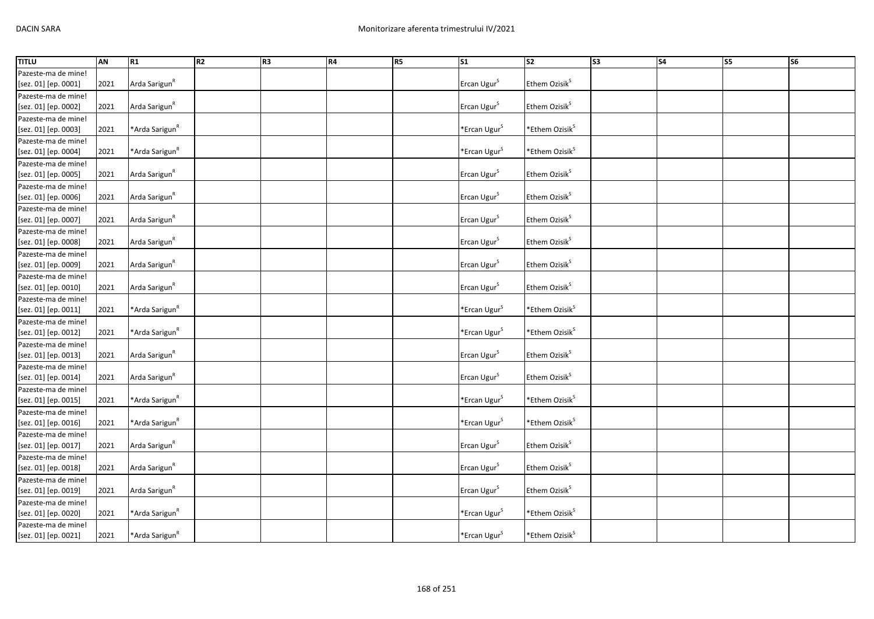| <b>TITLU</b>         | AN   | R1                         | R <sub>2</sub> | R3 | R4 | R <sub>5</sub> | $\sqrt{51}$              | S2                          | S3 | $\overline{\phantom{a}}$ S4 | S5 | <b>S6</b> |
|----------------------|------|----------------------------|----------------|----|----|----------------|--------------------------|-----------------------------|----|-----------------------------|----|-----------|
| Pazeste-ma de mine!  |      |                            |                |    |    |                |                          |                             |    |                             |    |           |
| [sez. 01] [ep. 0001] | 2021 | Arda Sarigun <sup>R</sup>  |                |    |    |                | Ercan Ugur <sup>S</sup>  | Ethem Ozisik <sup>S</sup>   |    |                             |    |           |
| Pazeste-ma de mine!  |      |                            |                |    |    |                |                          |                             |    |                             |    |           |
| [sez. 01] [ep. 0002] | 2021 | Arda Sarigun <sup>R</sup>  |                |    |    |                | Ercan Ugur <sup>S</sup>  | Ethem Ozisik <sup>S</sup>   |    |                             |    |           |
| Pazeste-ma de mine!  |      |                            |                |    |    |                |                          |                             |    |                             |    |           |
| [sez. 01] [ep. 0003] | 2021 | *Arda Sarigun <sup>R</sup> |                |    |    |                | *Ercan Ugur <sup>S</sup> | *Ethem Ozisik $^{\text{S}}$ |    |                             |    |           |
| Pazeste-ma de mine!  |      |                            |                |    |    |                |                          |                             |    |                             |    |           |
| [sez. 01] [ep. 0004] | 2021 | *Arda Sarigun <sup>R</sup> |                |    |    |                | *Ercan Ugur <sup>S</sup> | *Ethem Ozisik <sup>S</sup>  |    |                             |    |           |
| Pazeste-ma de mine!  |      |                            |                |    |    |                |                          |                             |    |                             |    |           |
| [sez. 01] [ep. 0005] | 2021 | Arda Sarigun <sup>R</sup>  |                |    |    |                | Ercan Ugur <sup>S</sup>  | Ethem Ozisik <sup>S</sup>   |    |                             |    |           |
| Pazeste-ma de mine!  |      |                            |                |    |    |                |                          |                             |    |                             |    |           |
| [sez. 01] [ep. 0006] | 2021 | Arda Sarigun <sup>R</sup>  |                |    |    |                | Ercan Ugur <sup>S</sup>  | Ethem Ozisik <sup>S</sup>   |    |                             |    |           |
| Pazeste-ma de mine!  |      |                            |                |    |    |                |                          |                             |    |                             |    |           |
| [sez. 01] [ep. 0007] | 2021 | Arda Sarigun <sup>R</sup>  |                |    |    |                | Ercan Ugur <sup>S</sup>  | Ethem Ozisik <sup>S</sup>   |    |                             |    |           |
| Pazeste-ma de mine!  |      |                            |                |    |    |                |                          |                             |    |                             |    |           |
| [sez. 01] [ep. 0008] | 2021 | Arda Sarigun <sup>R</sup>  |                |    |    |                | Ercan Ugur <sup>S</sup>  | Ethem Ozisik <sup>S</sup>   |    |                             |    |           |
| Pazeste-ma de mine!  |      |                            |                |    |    |                |                          |                             |    |                             |    |           |
| [sez. 01] [ep. 0009] | 2021 | Arda Sarigun <sup>R</sup>  |                |    |    |                | Ercan Ugur <sup>S</sup>  | Ethem Ozisik <sup>S</sup>   |    |                             |    |           |
| Pazeste-ma de mine!  |      |                            |                |    |    |                |                          |                             |    |                             |    |           |
| [sez. 01] [ep. 0010] | 2021 | Arda Sarigun <sup>R</sup>  |                |    |    |                | Ercan Ugur <sup>S</sup>  | Ethem Ozisik <sup>S</sup>   |    |                             |    |           |
| Pazeste-ma de mine!  |      |                            |                |    |    |                |                          |                             |    |                             |    |           |
| [sez. 01] [ep. 0011] | 2021 | *Arda Sarigun <sup>R</sup> |                |    |    |                | *Ercan Ugur <sup>S</sup> | *Ethem Ozisik <sup>S</sup>  |    |                             |    |           |
| Pazeste-ma de mine!  |      |                            |                |    |    |                |                          |                             |    |                             |    |           |
| [sez. 01] [ep. 0012] | 2021 | *Arda Sarigun <sup>R</sup> |                |    |    |                | *Ercan Ugur <sup>S</sup> | *Ethem Ozisik <sup>S</sup>  |    |                             |    |           |
| Pazeste-ma de mine!  |      |                            |                |    |    |                |                          |                             |    |                             |    |           |
| [sez. 01] [ep. 0013] | 2021 | Arda Sarigun <sup>R</sup>  |                |    |    |                | Ercan Ugur <sup>S</sup>  | Ethem Ozisik <sup>S</sup>   |    |                             |    |           |
| Pazeste-ma de mine!  |      |                            |                |    |    |                |                          |                             |    |                             |    |           |
| [sez. 01] [ep. 0014] | 2021 | Arda Sarigun <sup>R</sup>  |                |    |    |                | Ercan Ugur <sup>S</sup>  | Ethem Ozisik <sup>S</sup>   |    |                             |    |           |
| Pazeste-ma de mine!  |      |                            |                |    |    |                |                          |                             |    |                             |    |           |
| [sez. 01] [ep. 0015] | 2021 | *Arda Sarigun <sup>R</sup> |                |    |    |                | $*$ Ercan Ugur $S$       | *Ethem Ozisik <sup>S</sup>  |    |                             |    |           |
| Pazeste-ma de mine!  |      |                            |                |    |    |                |                          |                             |    |                             |    |           |
| [sez. 01] [ep. 0016] | 2021 | *Arda Sarigun <sup>R</sup> |                |    |    |                | *Ercan Ugur <sup>S</sup> | *Ethem Ozisik <sup>S</sup>  |    |                             |    |           |
| Pazeste-ma de mine!  |      |                            |                |    |    |                |                          |                             |    |                             |    |           |
| [sez. 01] [ep. 0017] | 2021 | Arda Sarigun <sup>R</sup>  |                |    |    |                | Ercan Ugur <sup>S</sup>  | Ethem Ozisik <sup>S</sup>   |    |                             |    |           |
| Pazeste-ma de mine!  |      |                            |                |    |    |                |                          |                             |    |                             |    |           |
| [sez. 01] [ep. 0018] | 2021 | Arda Sarigun <sup>R</sup>  |                |    |    |                | Ercan Ugur <sup>S</sup>  | Ethem Ozisik <sup>S</sup>   |    |                             |    |           |
| Pazeste-ma de mine!  |      |                            |                |    |    |                |                          |                             |    |                             |    |           |
| [sez. 01] [ep. 0019] | 2021 | Arda Sarigun <sup>R</sup>  |                |    |    |                | Ercan Ugur <sup>S</sup>  | Ethem Ozisik <sup>S</sup>   |    |                             |    |           |
| Pazeste-ma de mine!  |      |                            |                |    |    |                |                          |                             |    |                             |    |           |
| [sez. 01] [ep. 0020] | 2021 | *Arda Sarigun <sup>R</sup> |                |    |    |                | *Ercan Ugur <sup>S</sup> | *Ethem Ozisik <sup>S</sup>  |    |                             |    |           |
| Pazeste-ma de mine!  |      |                            |                |    |    |                |                          |                             |    |                             |    |           |
| [sez. 01] [ep. 0021] | 2021 | *Arda Sarigun <sup>R</sup> |                |    |    |                | *Ercan Ugur <sup>S</sup> | *Ethem Ozisik <sup>S</sup>  |    |                             |    |           |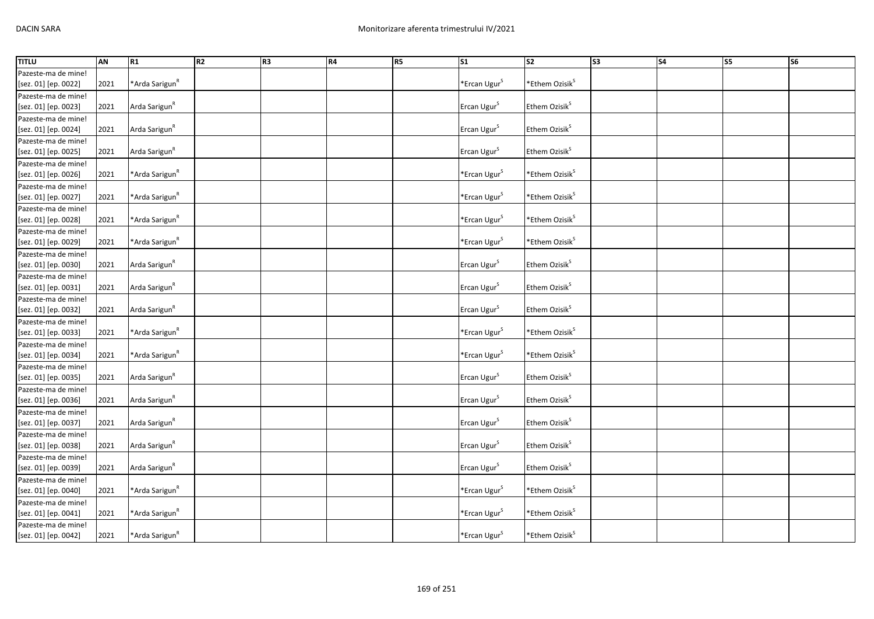| <b>TITLU</b>         | AN   | R1                         | R <sub>2</sub> | R3 | R4 | R <sub>5</sub> | $\sqrt{51}$              | S2                         | S3 | $\overline{\phantom{a}}$ S4 | S5 | <b>S6</b> |
|----------------------|------|----------------------------|----------------|----|----|----------------|--------------------------|----------------------------|----|-----------------------------|----|-----------|
| Pazeste-ma de mine!  |      |                            |                |    |    |                |                          |                            |    |                             |    |           |
| [sez. 01] [ep. 0022] | 2021 | *Arda Sarigun <sup>R</sup> |                |    |    |                | *Ercan Ugur <sup>S</sup> | *Ethem Ozisik <sup>S</sup> |    |                             |    |           |
| Pazeste-ma de mine!  |      |                            |                |    |    |                |                          |                            |    |                             |    |           |
| [sez. 01] [ep. 0023] | 2021 | Arda Sarigun <sup>R</sup>  |                |    |    |                | Ercan Ugur <sup>S</sup>  | Ethem Ozisik <sup>S</sup>  |    |                             |    |           |
| Pazeste-ma de mine!  |      |                            |                |    |    |                |                          |                            |    |                             |    |           |
| [sez. 01] [ep. 0024] | 2021 | Arda Sarigun <sup>R</sup>  |                |    |    |                | Ercan Ugur <sup>S</sup>  | Ethem Ozisik <sup>S</sup>  |    |                             |    |           |
| Pazeste-ma de mine!  |      |                            |                |    |    |                |                          |                            |    |                             |    |           |
| [sez. 01] [ep. 0025] | 2021 | Arda Sarigun <sup>R</sup>  |                |    |    |                | Ercan Ugur <sup>S</sup>  | Ethem Ozisik <sup>S</sup>  |    |                             |    |           |
| Pazeste-ma de mine!  |      |                            |                |    |    |                |                          |                            |    |                             |    |           |
| [sez. 01] [ep. 0026] | 2021 | *Arda Sarigun <sup>R</sup> |                |    |    |                | *Ercan Ugur <sup>S</sup> | *Ethem Ozisik <sup>S</sup> |    |                             |    |           |
| Pazeste-ma de mine!  |      |                            |                |    |    |                |                          |                            |    |                             |    |           |
| [sez. 01] [ep. 0027] | 2021 | *Arda Sarigun <sup>R</sup> |                |    |    |                | *Ercan Ugur <sup>S</sup> | *Ethem Ozisik <sup>S</sup> |    |                             |    |           |
| Pazeste-ma de mine!  |      |                            |                |    |    |                |                          |                            |    |                             |    |           |
| [sez. 01] [ep. 0028] | 2021 | *Arda Sarigun <sup>R</sup> |                |    |    |                | *Ercan Ugur <sup>S</sup> | *Ethem Ozisik <sup>S</sup> |    |                             |    |           |
| Pazeste-ma de mine!  |      |                            |                |    |    |                |                          |                            |    |                             |    |           |
| [sez. 01] [ep. 0029] | 2021 | *Arda Sarigun <sup>R</sup> |                |    |    |                | *Ercan Ugur <sup>S</sup> | *Ethem Ozisik <sup>S</sup> |    |                             |    |           |
| Pazeste-ma de mine!  |      |                            |                |    |    |                |                          |                            |    |                             |    |           |
| [sez. 01] [ep. 0030] | 2021 | Arda Sarigun <sup>R</sup>  |                |    |    |                | Ercan Ugur <sup>S</sup>  | Ethem Ozisik <sup>S</sup>  |    |                             |    |           |
| Pazeste-ma de mine!  |      |                            |                |    |    |                |                          |                            |    |                             |    |           |
| [sez. 01] [ep. 0031] | 2021 | Arda Sarigun <sup>R</sup>  |                |    |    |                | Ercan Ugur <sup>S</sup>  | Ethem Ozisik <sup>S</sup>  |    |                             |    |           |
| Pazeste-ma de mine!  |      |                            |                |    |    |                |                          |                            |    |                             |    |           |
| [sez. 01] [ep. 0032] | 2021 | Arda Sarigun <sup>R</sup>  |                |    |    |                | Ercan Ugur <sup>S</sup>  | Ethem Ozisik <sup>S</sup>  |    |                             |    |           |
| Pazeste-ma de mine!  |      |                            |                |    |    |                |                          |                            |    |                             |    |           |
| [sez. 01] [ep. 0033] | 2021 | *Arda Sarigun <sup>R</sup> |                |    |    |                | *Ercan Ugur <sup>S</sup> | *Ethem Ozisik <sup>S</sup> |    |                             |    |           |
| Pazeste-ma de mine!  |      |                            |                |    |    |                |                          |                            |    |                             |    |           |
| [sez. 01] [ep. 0034] | 2021 | *Arda Sarigun <sup>R</sup> |                |    |    |                | *Ercan Ugur <sup>S</sup> | *Ethem Ozisik <sup>S</sup> |    |                             |    |           |
| Pazeste-ma de mine!  |      |                            |                |    |    |                |                          |                            |    |                             |    |           |
| [sez. 01] [ep. 0035] | 2021 | Arda Sarigun <sup>R</sup>  |                |    |    |                | Ercan Ugur <sup>S</sup>  | Ethem Ozisik <sup>S</sup>  |    |                             |    |           |
| Pazeste-ma de mine!  |      |                            |                |    |    |                |                          |                            |    |                             |    |           |
| [sez. 01] [ep. 0036] | 2021 | Arda Sarigun <sup>R</sup>  |                |    |    |                | Ercan Ugur <sup>S</sup>  | Ethem Ozisik <sup>S</sup>  |    |                             |    |           |
| Pazeste-ma de mine!  |      |                            |                |    |    |                |                          |                            |    |                             |    |           |
| [sez. 01] [ep. 0037] | 2021 | Arda Sarigun <sup>R</sup>  |                |    |    |                | Ercan Ugur <sup>S</sup>  | Ethem Ozisik <sup>S</sup>  |    |                             |    |           |
| Pazeste-ma de mine!  |      |                            |                |    |    |                |                          |                            |    |                             |    |           |
| [sez. 01] [ep. 0038] | 2021 | Arda Sarigun <sup>R</sup>  |                |    |    |                | Ercan Ugur <sup>S</sup>  | Ethem Ozisik <sup>S</sup>  |    |                             |    |           |
| Pazeste-ma de mine!  |      |                            |                |    |    |                |                          |                            |    |                             |    |           |
| [sez. 01] [ep. 0039] | 2021 | Arda Sarigun <sup>R</sup>  |                |    |    |                | Ercan Ugur <sup>S</sup>  | Ethem Ozisik <sup>S</sup>  |    |                             |    |           |
| Pazeste-ma de mine!  |      |                            |                |    |    |                |                          |                            |    |                             |    |           |
| [sez. 01] [ep. 0040] | 2021 | *Arda Sarigun <sup>R</sup> |                |    |    |                | *Ercan Ugur <sup>S</sup> | *Ethem Ozisik <sup>S</sup> |    |                             |    |           |
| Pazeste-ma de mine!  |      |                            |                |    |    |                |                          |                            |    |                             |    |           |
| [sez. 01] [ep. 0041] | 2021 | *Arda Sarigun <sup>R</sup> |                |    |    |                | *Ercan Ugur <sup>S</sup> | *Ethem Ozisik <sup>S</sup> |    |                             |    |           |
| Pazeste-ma de mine!  |      |                            |                |    |    |                |                          |                            |    |                             |    |           |
| [sez. 01] [ep. 0042] | 2021 | *Arda Sarigun <sup>R</sup> |                |    |    |                | *Ercan Ugur <sup>S</sup> | *Ethem Ozisik <sup>S</sup> |    |                             |    |           |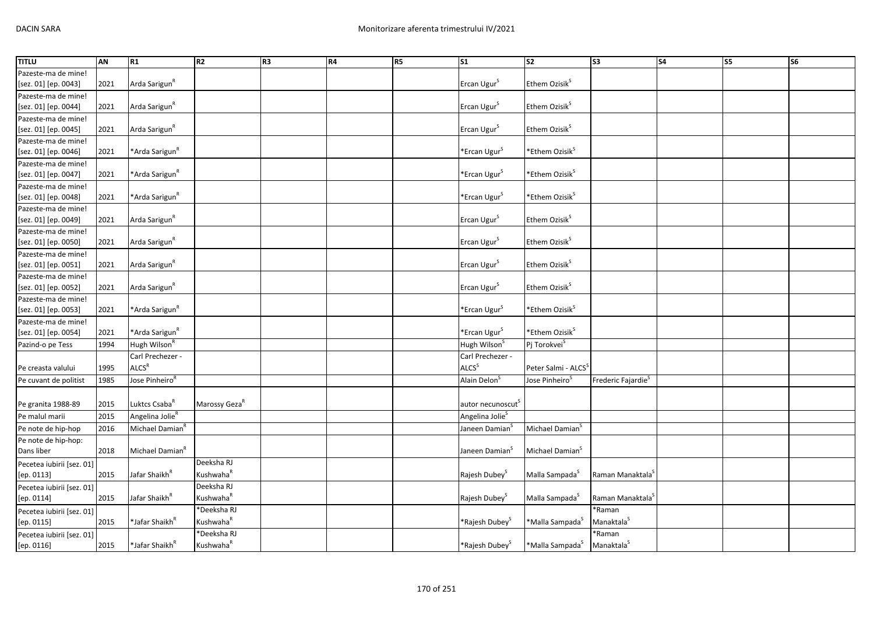| Pazeste-ma de mine!<br>Arda Sarigun <sup>R</sup><br>Ercan Ugur <sup>S</sup><br>Ethem Ozisik <sup>S</sup><br>[sez. 01] [ep. 0043]<br>2021<br>Pazeste-ma de mine!<br>Arda Sarigun <sup>R</sup><br>Ethem Ozisik <sup>S</sup><br>Ercan Ugur <sup>S</sup><br>[sez. 01] [ep. 0044]<br>2021<br>Pazeste-ma de mine!<br>Arda Sarigun <sup>R</sup><br>Ercan Ugur <sup>S</sup><br>Ethem Ozisik <sup>S</sup><br>[sez. 01] [ep. 0045]<br>2021 |                     |
|----------------------------------------------------------------------------------------------------------------------------------------------------------------------------------------------------------------------------------------------------------------------------------------------------------------------------------------------------------------------------------------------------------------------------------|---------------------|
|                                                                                                                                                                                                                                                                                                                                                                                                                                  |                     |
|                                                                                                                                                                                                                                                                                                                                                                                                                                  |                     |
|                                                                                                                                                                                                                                                                                                                                                                                                                                  |                     |
|                                                                                                                                                                                                                                                                                                                                                                                                                                  |                     |
|                                                                                                                                                                                                                                                                                                                                                                                                                                  |                     |
|                                                                                                                                                                                                                                                                                                                                                                                                                                  |                     |
|                                                                                                                                                                                                                                                                                                                                                                                                                                  | Pazeste-ma de mine! |
| *Ethem Ozisik <sup>S</sup><br>*Ercan Ugur <sup>S</sup><br>*Arda Sarigun <sup>R</sup><br>[sez. 01] [ep. 0046]<br>2021                                                                                                                                                                                                                                                                                                             |                     |
| Pazeste-ma de mine!                                                                                                                                                                                                                                                                                                                                                                                                              |                     |
| *Ethem Ozisik <sup>S</sup><br>*Arda Sarigun <sup>R</sup><br>*Ercan Ugur <sup>S</sup><br>2021<br>[sez. 01] [ep. 0047]                                                                                                                                                                                                                                                                                                             |                     |
| Pazeste-ma de mine!                                                                                                                                                                                                                                                                                                                                                                                                              |                     |
| *Ethem Ozisik <sup>S</sup><br>*Arda Sarigun <sup>R</sup><br>*Ercan Ugur <sup>S</sup><br>2021<br>[sez. 01] [ep. 0048]                                                                                                                                                                                                                                                                                                             |                     |
| Pazeste-ma de mine!                                                                                                                                                                                                                                                                                                                                                                                                              |                     |
| Arda Sarigun <sup>R</sup><br>Ethem Ozisik <sup>S</sup><br>Ercan Ugur <sup>S</sup><br>[sez. 01] [ep. 0049]<br>2021                                                                                                                                                                                                                                                                                                                |                     |
| Pazeste-ma de mine!                                                                                                                                                                                                                                                                                                                                                                                                              |                     |
| Arda Sarigun <sup>R</sup><br>Ercan Ugur <sup>S</sup><br>Ethem Ozisik <sup>S</sup><br>[sez. 01] [ep. 0050]<br>2021                                                                                                                                                                                                                                                                                                                |                     |
| Pazeste-ma de mine!                                                                                                                                                                                                                                                                                                                                                                                                              |                     |
| Arda Sarigun <sup>R</sup><br>Ethem Ozisik <sup>S</sup><br>Ercan Ugur <sup>S</sup><br>[sez. 01] [ep. 0051]<br>2021                                                                                                                                                                                                                                                                                                                |                     |
| Pazeste-ma de mine!                                                                                                                                                                                                                                                                                                                                                                                                              |                     |
| Arda Sarigun <sup>R</sup><br>Ercan Ugur <sup>S</sup><br>Ethem Ozisik <sup>S</sup><br>2021<br>[sez. 01] [ep. 0052]                                                                                                                                                                                                                                                                                                                |                     |
| Pazeste-ma de mine!                                                                                                                                                                                                                                                                                                                                                                                                              |                     |
| *Ethem Ozisik <sup>S</sup><br>*Arda Sarigun <sup>R</sup><br>*Ercan Ugur <sup>S</sup><br>[sez. 01] [ep. 0053]<br>2021                                                                                                                                                                                                                                                                                                             |                     |
| Pazeste-ma de mine!                                                                                                                                                                                                                                                                                                                                                                                                              |                     |
| *Ethem Ozisik <sup>S</sup><br>*Ercan Ugur <sup>S</sup><br>2021<br>*Arda Sarigun <sup>R</sup><br>[sez. 01] [ep. 0054]                                                                                                                                                                                                                                                                                                             |                     |
| Pazind-o pe Tess<br>Hugh Wilson <sup>R</sup><br>Hugh Wilson <sup>S</sup><br>Pj Torokvei <sup>S</sup><br>1994                                                                                                                                                                                                                                                                                                                     |                     |
| Carl Prechezer -<br>Carl Prechezer -                                                                                                                                                                                                                                                                                                                                                                                             |                     |
| ALCS <sup>R</sup><br>ALCS <sup>S</sup><br>1995<br>Peter Salmi - ALCS <sup>S</sup><br>Pe creasta valului                                                                                                                                                                                                                                                                                                                          |                     |
| Jose Pinheiro <sup>R</sup><br>Alain Delon <sup>5</sup><br>Jose Pinheiro <sup>5</sup><br>Frederic Fajardie <sup>5</sup><br>Pe cuvant de politist<br>1985                                                                                                                                                                                                                                                                          |                     |
|                                                                                                                                                                                                                                                                                                                                                                                                                                  |                     |
| 2015<br>Luktcs Csaba <sup>R</sup><br>Marossy Geza <sup>R</sup><br>Pe granita 1988-89<br>autor necunoscut <sup>5</sup>                                                                                                                                                                                                                                                                                                            |                     |
| Angelina Jolie <sup>R</sup><br>Pe malul marii<br>2015<br>Angelina Jolie <sup>5</sup>                                                                                                                                                                                                                                                                                                                                             |                     |
| Michael Damian <sup>R</sup><br>Michael Damian <sup>S</sup><br>Pe note de hip-hop<br>2016<br>Janeen Damian <sup>5</sup>                                                                                                                                                                                                                                                                                                           |                     |
| Pe note de hip-hop:                                                                                                                                                                                                                                                                                                                                                                                                              |                     |
| Michael Damian <sup>R</sup><br>Michael Damian <sup>S</sup><br>Dans liber<br>2018<br>Janeen Damian <sup>5</sup>                                                                                                                                                                                                                                                                                                                   |                     |
| Deeksha RJ<br>Pecetea iubirii [sez. 01]                                                                                                                                                                                                                                                                                                                                                                                          |                     |
| Kushwaha <sup>R</sup><br>Jafar Shaikh <sup>R</sup><br>Malla Sampada <sup>S</sup><br>Raman Manaktala <sup>5</sup><br>[ep. 0113]<br>2015<br>Rajesh Dubey <sup>5</sup>                                                                                                                                                                                                                                                              |                     |
| Deeksha RJ<br>Pecetea iubirii [sez. 01]                                                                                                                                                                                                                                                                                                                                                                                          |                     |
| Kushwaha <sup>R</sup><br>2015<br>Jafar Shaikh <sup>R</sup><br>Raman Manaktala <sup>S</sup><br>Rajesh Dubey <sup>S</sup><br>Malla Sampada <sup>S</sup><br>[ep. 0114]                                                                                                                                                                                                                                                              |                     |
| *Deeksha RJ<br>*Raman<br>Pecetea iubirii [sez. 01]                                                                                                                                                                                                                                                                                                                                                                               |                     |
| Kushwaha <sup>R</sup><br>2015<br>*Jafar Shaikh <sup>ĸ</sup><br>*Malla Sampada <sup>S</sup><br>Manaktala <sup>5</sup><br>[ep. 0115]<br>*Rajesh Dubey <sup>s</sup>                                                                                                                                                                                                                                                                 |                     |
| *Deeksha RJ<br>*Raman<br>Pecetea iubirii [sez. 01]                                                                                                                                                                                                                                                                                                                                                                               |                     |
| Kushwaha <sup>R</sup><br>*Jafar Shaikh <sup>R</sup><br>*Malla Sampada <sup>S</sup><br>[ep. 0116]<br>2015<br>*Rajesh Dubey <sup>S</sup><br>Manaktala <sup>5</sup>                                                                                                                                                                                                                                                                 |                     |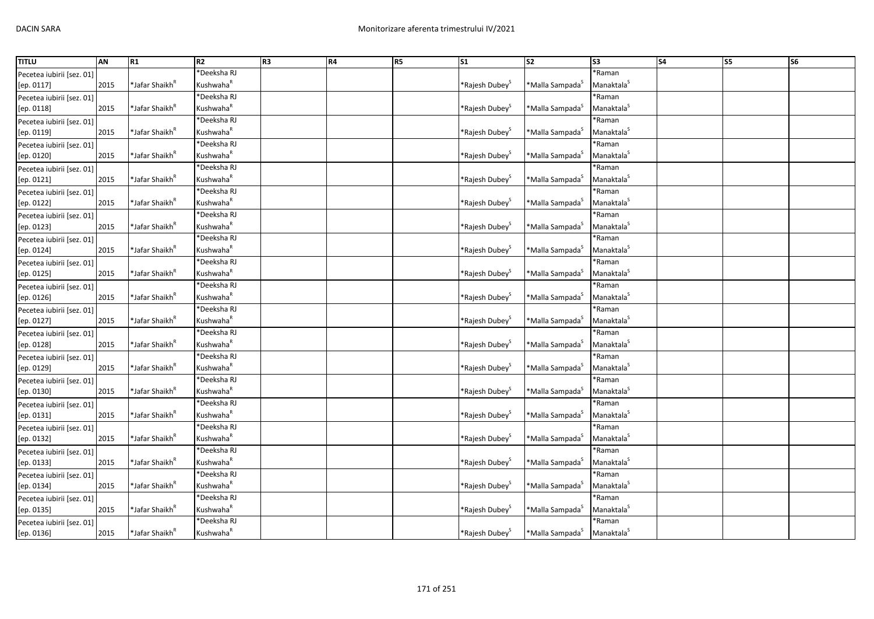| <b>TITLU</b>              | AN   | R1                         | R <sub>2</sub>        | R <sub>3</sub> | R4 | R5 | S <sub>1</sub>                | $\overline{\text{S2}}$         | $\overline{\text{S3}}$ | <b>S4</b> | <b>S5</b> | S <sub>6</sub> |
|---------------------------|------|----------------------------|-----------------------|----------------|----|----|-------------------------------|--------------------------------|------------------------|-----------|-----------|----------------|
| Pecetea iubirii [sez. 01] |      |                            | <b>Deeksha RJ</b>     |                |    |    |                               |                                | *Raman                 |           |           |                |
| [ep. 0117]                | 2015 | *Jafar Shaikh <sup>ĸ</sup> | Kushwaha <sup>R</sup> |                |    |    | *Rajesh Dubey <sup>5</sup>    | *Malla Sampada <sup>5</sup>    | Manaktala <sup>S</sup> |           |           |                |
| Pecetea iubirii [sez. 01] |      |                            | Deeksha RJ            |                |    |    |                               |                                | *Raman                 |           |           |                |
| [ep. 0118]                | 2015 | *Jafar Shaikh <sup>ĸ</sup> | Kushwaha <sup>R</sup> |                |    |    | *Rajesh Dubey <sup>&gt;</sup> | *Malla Sampada <sup>5</sup>    | Manaktala <sup>5</sup> |           |           |                |
| Pecetea iubirii [sez. 01] |      |                            | *Deeksha RJ           |                |    |    |                               |                                | *Raman                 |           |           |                |
| [ep. 0119]                | 2015 | *Jafar Shaikh <sup>R</sup> | Kushwaha <sup>R</sup> |                |    |    | *Rajesh Dubey <sup>S</sup>    | *Malla Sampada <sup>S</sup>    | Manaktala <sup>S</sup> |           |           |                |
| Pecetea iubirii [sez. 01] |      |                            | Deeksha RJ            |                |    |    |                               |                                | *Raman                 |           |           |                |
| [ep. 0120]                | 2015 | *Jafar Shaikh <sup>ĸ</sup> | Kushwaha <sup>R</sup> |                |    |    | *Rajesh Dubey <sup>&gt;</sup> | *Malla Sampada <sup>5</sup>    | Manaktala <sup>S</sup> |           |           |                |
| Pecetea iubirii [sez. 01] |      |                            | <b>Deeksha RJ</b>     |                |    |    |                               |                                | *Raman                 |           |           |                |
| [ep. 0121]                | 2015 | *Jafar Shaikh <sup>ĸ</sup> | Kushwaha <sup>R</sup> |                |    |    | *Rajesh Dubey <sup>3</sup>    | *Malla Sampada <sup>5</sup>    | Manaktala <sup>S</sup> |           |           |                |
| Pecetea iubirii [sez. 01] |      |                            | <b>Deeksha RJ</b>     |                |    |    |                               |                                | *Raman                 |           |           |                |
| [ep. 0122]                | 2015 | *Jafar Shaikh <sup>R</sup> | Kushwaha <sup>R</sup> |                |    |    | *Rajesh Dubey <sup>&gt;</sup> | *Malla Sampada <sup>s</sup>    | Manaktala <sup>5</sup> |           |           |                |
| Pecetea iubirii [sez. 01] |      |                            | *Deeksha RJ           |                |    |    |                               |                                | *Raman                 |           |           |                |
| [ep. 0123]                | 2015 | *Jafar Shaikh <sup>R</sup> | Kushwaha <sup>R</sup> |                |    |    | *Rajesh Dubey <sup>:</sup>    | *Malla Sampada <sup>S</sup>    | Manaktala <sup>S</sup> |           |           |                |
| Pecetea iubirii [sez. 01] |      |                            | *Deeksha RJ           |                |    |    |                               |                                | *Raman                 |           |           |                |
| [ep. 0124]                | 2015 | *Jafar Shaikh <sup>ĸ</sup> | Kushwaha <sup>R</sup> |                |    |    | *Rajesh Dubey <sup>5</sup>    | *Malla Sampada <sup>S</sup>    | Manaktala <sup>S</sup> |           |           |                |
| Pecetea iubirii [sez. 01] |      |                            | *Deeksha RJ           |                |    |    |                               |                                | *Raman                 |           |           |                |
| [ep. 0125]                | 2015 | *Jafar Shaikh <sup>R</sup> | Kushwaha <sup>R</sup> |                |    |    | *Rajesh Dubey <sup>&gt;</sup> | *Malla Sampada <sup>5</sup>    | Manaktala <sup>5</sup> |           |           |                |
| Pecetea iubirii [sez. 01] |      |                            | <b>Deeksha RJ</b>     |                |    |    |                               |                                | *Raman                 |           |           |                |
| [ep. 0126]                | 2015 | *Jafar Shaikh <sup>ĸ</sup> | Kushwaha <sup>R</sup> |                |    |    | *Rajesh Dubey <sup>5</sup>    | *Malla Sampada <sup>&gt;</sup> | Manaktala <sup>S</sup> |           |           |                |
| Pecetea iubirii [sez. 01] |      |                            | <b>Deeksha RJ</b>     |                |    |    |                               |                                | *Raman                 |           |           |                |
| [ep. 0127]                | 2015 | *Jafar Shaikh <sup>ĸ</sup> | Kushwaha <sup>R</sup> |                |    |    | *Rajesh Dubey <sup>3</sup>    | *Malla Sampada <sup>5</sup>    | Manaktala <sup>S</sup> |           |           |                |
| Pecetea iubirii [sez. 01] |      |                            | Deeksha RJ            |                |    |    |                               |                                | *Raman                 |           |           |                |
| [ep. 0128]                | 2015 | *Jafar Shaikh <sup>R</sup> | Kushwaha <sup>R</sup> |                |    |    | *Rajesh Dubey <sup>&gt;</sup> | *Malla Sampada <sup>5</sup>    | Manaktala <sup>S</sup> |           |           |                |
| Pecetea iubirii [sez. 01] |      |                            | <b>Deeksha RJ</b>     |                |    |    |                               |                                | *Raman                 |           |           |                |
| [ep. 0129]                | 2015 | *Jafar Shaikh <sup>"</sup> | Kushwaha <sup>R</sup> |                |    |    | *Rajesh Dubey <sup>3</sup>    | *Malla Sampada <sup>s</sup>    | Manaktala <sup>S</sup> |           |           |                |
| Pecetea iubirii [sez. 01] |      |                            | Deeksha RJ            |                |    |    |                               |                                | *Raman                 |           |           |                |
| [ep. 0130]                | 2015 | *Jafar Shaikh <sup>R</sup> | Kushwaha <sup>R</sup> |                |    |    | *Rajesh Dubey <sup>S</sup>    | *Malla Sampada <sup>S</sup>    | Manaktala <sup>S</sup> |           |           |                |
| Pecetea iubirii [sez. 01] |      |                            | Deeksha RJ            |                |    |    |                               |                                | *Raman                 |           |           |                |
| [ep. 0131]                | 2015 | *Jafar Shaikh <sup>R</sup> | Kushwaha <sup>R</sup> |                |    |    | *Rajesh Dubey <sup>3</sup>    | *Malla Sampada <sup>S</sup>    | Manaktala <sup>S</sup> |           |           |                |
| Pecetea iubirii [sez. 01] |      |                            | *Deeksha RJ           |                |    |    |                               |                                | *Raman                 |           |           |                |
| [ep. 0132]                | 2015 | *Jafar Shaikh <sup>R</sup> | Kushwaha <sup>R</sup> |                |    |    | *Rajesh Dubey <sup>&gt;</sup> | *Malla Sampada <sup>5</sup>    | Manaktala <sup>S</sup> |           |           |                |
| Pecetea iubirii [sez. 01] |      |                            | <b>Deeksha RJ</b>     |                |    |    |                               |                                | *Raman                 |           |           |                |
| [ep. 0133]                | 2015 | *Jafar Shaikh <sup>"</sup> | Kushwaha <sup>R</sup> |                |    |    | *Rajesh Dubey <sup>5</sup>    | *Malla Sampada <sup>5</sup>    | Manaktala <sup>S</sup> |           |           |                |
| Pecetea iubirii [sez. 01] |      |                            | <b>Deeksha RJ</b>     |                |    |    |                               |                                | *Raman                 |           |           |                |
| [ep. 0134]                | 2015 | *Jafar Shaikh <sup>ĸ</sup> | Kushwaha <sup>R</sup> |                |    |    | *Rajesh Dubey <sup>3</sup>    | *Malla Sampada <sup>s</sup>    | Manaktala <sup>5</sup> |           |           |                |
| Pecetea iubirii [sez. 01] |      |                            | <b>Deeksha RJ</b>     |                |    |    |                               |                                | *Raman                 |           |           |                |
| [ep. 0135]                | 2015 | *Jafar Shaikh <sup>ĸ</sup> | Kushwaha <sup>R</sup> |                |    |    | *Rajesh Dubey <sup>3</sup>    | *Malla Sampada <sup>S</sup>    | Manaktala <sup>S</sup> |           |           |                |
| Pecetea iubirii [sez. 01] |      |                            | <b>Deeksha RJ</b>     |                |    |    |                               |                                | *Raman                 |           |           |                |
| [ep. 0136]                | 2015 | *Jafar Shaikh <sup>ĸ</sup> | Kushwaha <sup>R</sup> |                |    |    | *Rajesh Dubey <sup>S</sup>    | *Malla Sampada <sup>5</sup>    | Manaktala <sup>5</sup> |           |           |                |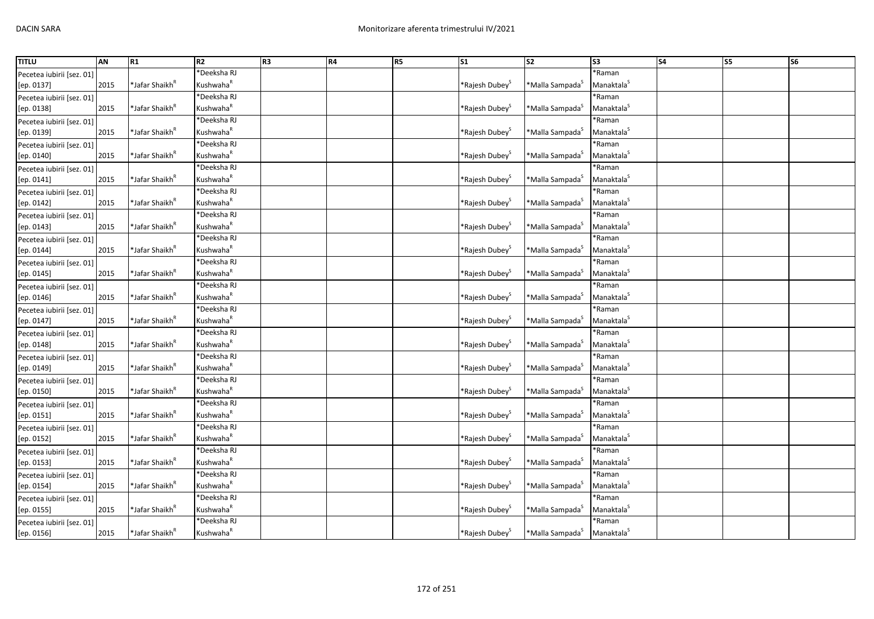| <b>TITLU</b>              | AN   | R1                         | R2                    | R <sub>3</sub> | R4 | R <sub>5</sub> | S <sub>1</sub>                | S <sub>2</sub>              | S3                      | <b>S4</b> | <b>S5</b> | S <sub>6</sub> |
|---------------------------|------|----------------------------|-----------------------|----------------|----|----------------|-------------------------------|-----------------------------|-------------------------|-----------|-----------|----------------|
| Pecetea iubirii [sez. 01] |      |                            | *Deeksha RJ           |                |    |                |                               |                             | *Raman                  |           |           |                |
| [ep. 0137]                | 2015 | *Jafar Shaikh <sup>ĸ</sup> | Kushwaha <sup>R</sup> |                |    |                | *Rajesh Dubey <sup>&gt;</sup> | *Malla Sampada <sup>5</sup> | Manaktala <sup>S</sup>  |           |           |                |
| Pecetea iubirii [sez. 01] |      |                            | *Deeksha RJ           |                |    |                |                               |                             | *Raman                  |           |           |                |
| [ep. 0138]                | 2015 | *Jafar Shaikh <sup>ĸ</sup> | Kushwaha <sup>k</sup> |                |    |                | *Rajesh Dubey <sup>&gt;</sup> | *Malla Sampada <sup>3</sup> | Manaktala <sup>S</sup>  |           |           |                |
| Pecetea iubirii [sez. 01] |      |                            | *Deeksha RJ           |                |    |                |                               |                             | *Raman                  |           |           |                |
| [ep. 0139]                | 2015 | *Jafar Shaikh <sup>ĸ</sup> | Kushwaha <sup>R</sup> |                |    |                | *Rajesh Dubey <sup>&gt;</sup> | *Malla Sampada <sup>S</sup> | Manaktala <sup>S</sup>  |           |           |                |
| Pecetea iubirii [sez. 01] |      |                            | *Deeksha RJ           |                |    |                |                               |                             | *Raman                  |           |           |                |
| [ep. 0140]                | 2015 | *Jafar Shaikh <sup>ĸ</sup> | Kushwaha <sup>k</sup> |                |    |                | *Rajesh Dubey <sup>&gt;</sup> | *Malla Sampada <sup>S</sup> | Manaktala <sup>5</sup>  |           |           |                |
| Pecetea iubirii [sez. 01] |      |                            | *Deeksha RJ           |                |    |                |                               |                             | *Raman                  |           |           |                |
| [ep. 0141]                | 2015 | *Jafar Shaikh <sup>ĸ</sup> | Kushwaha <sup>R</sup> |                |    |                | *Rajesh Dubey <sup>3</sup>    | *Malla Sampada <sup>3</sup> | Manaktala <sup>S</sup>  |           |           |                |
| Pecetea iubirii [sez. 01] |      |                            | <b>Deeksha RJ</b>     |                |    |                |                               |                             | *Raman                  |           |           |                |
| [ep. 0142]                | 2015 | *Jafar Shaikh <sup>ĸ</sup> | Kushwaha <sup>R</sup> |                |    |                | *Rajesh Dubey <sup>&gt;</sup> | *Malla Sampada <sup>3</sup> | Manaktala <sup>S</sup>  |           |           |                |
| Pecetea iubirii [sez. 01] |      |                            | *Deeksha RJ           |                |    |                |                               |                             | *Raman                  |           |           |                |
| [ep. 0143]                | 2015 | *Jafar Shaikh <sup>ĸ</sup> | Kushwaha <sup>R</sup> |                |    |                | *Rajesh Dubey <sup>3</sup>    | *Malla Sampada <sup>5</sup> | Manaktala <sup>S</sup>  |           |           |                |
| Pecetea iubirii [sez. 01] |      |                            | *Deeksha RJ           |                |    |                |                               |                             | *Raman                  |           |           |                |
| [ep. 0144]                | 2015 | *Jafar Shaikh <sup>R</sup> | Kushwaha <sup>R</sup> |                |    |                | *Rajesh Dubey <sup>5</sup>    | *Malla Sampada <sup>S</sup> | Manaktala <sup>S</sup>  |           |           |                |
| Pecetea iubirii [sez. 01] |      |                            | *Deeksha RJ           |                |    |                |                               |                             | *Raman                  |           |           |                |
| [ep. 0145]                | 2015 | *Jafar Shaikh <sup>R</sup> | Kushwaha <sup>R</sup> |                |    |                | *Rajesh Dubey <sup>&gt;</sup> | *Malla Sampada <sup>S</sup> | Manaktala <sup>5</sup>  |           |           |                |
| Pecetea iubirii [sez. 01] |      |                            | *Deeksha RJ           |                |    |                |                               |                             | *Raman                  |           |           |                |
| [ep. 0146]                | 2015 | *Jafar Shaikh <sup>ĸ</sup> | Kushwaha <sup>k</sup> |                |    |                | *Rajesh Dubey <sup>&gt;</sup> | *Malla Sampada <sup>S</sup> | Manaktala <sup>S</sup>  |           |           |                |
| Pecetea iubirii [sez. 01] |      |                            | *Deeksha RJ           |                |    |                |                               |                             | *Raman                  |           |           |                |
| [ep. 0147]                | 2015 | *Jafar Shaikh <sup>к</sup> | Kushwaha <sup>R</sup> |                |    |                | *Rajesh Dubey <sup>3</sup>    | *Malla Sampada <sup>S</sup> | Manaktala <sup>S</sup>  |           |           |                |
| Pecetea iubirii [sez. 01] |      |                            | *Deeksha RJ           |                |    |                |                               |                             | *Raman                  |           |           |                |
| [ep. 0148]                | 2015 | *Jafar Shaikh <sup>ĸ</sup> | Kushwaha <sup>R</sup> |                |    |                | *Rajesh Dubey <sup>&gt;</sup> | *Malla Sampada <sup>S</sup> | Manaktala <sup>S</sup>  |           |           |                |
| Pecetea iubirii [sez. 01] |      |                            | *Deeksha RJ           |                |    |                |                               |                             | *Raman                  |           |           |                |
| [ep. 0149]                | 2015 | *Jafar Shaikh <sup>"</sup> | Kushwaha <sup>R</sup> |                |    |                | *Rajesh Dubey <sup>3</sup>    | *Malla Sampada <sup>s</sup> | Manaktala $^{\text{S}}$ |           |           |                |
| Pecetea iubirii [sez. 01] |      |                            | *Deeksha RJ           |                |    |                |                               |                             | *Raman                  |           |           |                |
| [ep. 0150]                | 2015 | *Jafar Shaikh <sup>R</sup> | Kushwaha <sup>R</sup> |                |    |                | *Rajesh Dubey <sup>&gt;</sup> | *Malla Sampada <sup>S</sup> | Manaktala <sup>S</sup>  |           |           |                |
| Pecetea iubirii [sez. 01] |      |                            | *Deeksha RJ           |                |    |                |                               |                             | *Raman                  |           |           |                |
| [ep. 0151]                | 2015 | *Jafar Shaikh <sup>n</sup> | Kushwaha <sup>R</sup> |                |    |                | *Rajesh Dubey <sup>3</sup>    | *Malla Sampada <sup>S</sup> | Manaktala <sup>S</sup>  |           |           |                |
| Pecetea iubirii [sez. 01] |      |                            | *Deeksha RJ           |                |    |                |                               |                             | *Raman                  |           |           |                |
| [ep. 0152]                | 2015 | *Jafar Shaikh <sup>R</sup> | Kushwaha <sup>R</sup> |                |    |                | *Rajesh Dubey <sup>&gt;</sup> | *Malla Sampada <sup>3</sup> | Manaktala <sup>S</sup>  |           |           |                |
| Pecetea iubirii [sez. 01] |      |                            | 'Deeksha RJ           |                |    |                |                               |                             | *Raman                  |           |           |                |
| [ep. 0153]                | 2015 | *Jafar Shaikh <sup>R</sup> | Kushwaha <sup>R</sup> |                |    |                | *Rajesh Dubey <sup>&gt;</sup> | *Malla Sampada <sup>3</sup> | Manaktala <sup>S</sup>  |           |           |                |
| Pecetea iubirii [sez. 01] |      |                            | *Deeksha RJ           |                |    |                |                               |                             | *Raman                  |           |           |                |
| [ep. 0154]                | 2015 | *Jafar Shaikh <sup>ĸ</sup> | Kushwaha <sup>k</sup> |                |    |                | *Rajesh Dubey <sup>3</sup>    | *Malla Sampada <sup>S</sup> | Manaktala <sup>5</sup>  |           |           |                |
| Pecetea iubirii [sez. 01] |      |                            | *Deeksha RJ           |                |    |                |                               |                             | *Raman                  |           |           |                |
| [ep. 0155]                | 2015 | *Jafar Shaikh <sup>ĸ</sup> | Kushwaha <sup>R</sup> |                |    |                | *Rajesh Dubey                 | *Malla Sampada <sup>S</sup> | Manaktala <sup>S</sup>  |           |           |                |
| Pecetea iubirii [sez. 01] |      |                            | *Deeksha RJ           |                |    |                |                               |                             | *Raman                  |           |           |                |
| [ep. 0156]                | 2015 | *Jafar Shaikh <sup>ĸ</sup> | Kushwaha <sup>R</sup> |                |    |                | *Rajesh Dubey <sup>S</sup>    | *Malla Sampada <sup>5</sup> | Manaktala <sup>5</sup>  |           |           |                |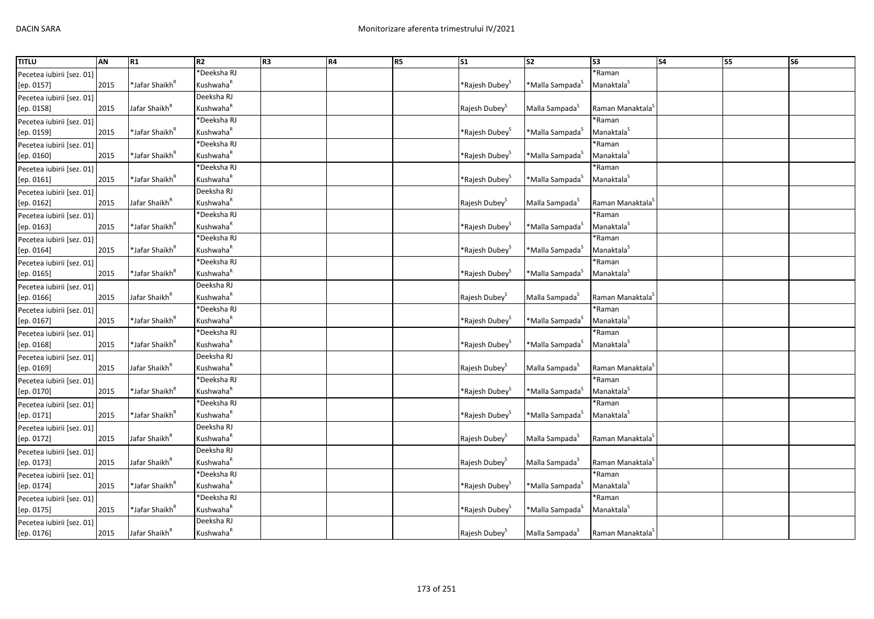| <b>TITLU</b>              | AN   | R1                         | R2                    | R <sub>3</sub> | R4 | R <sub>5</sub> | S <sub>1</sub>                | $\overline{\text{S2}}$      | S <sub>3</sub>               | S <sub>4</sub> | <b>S5</b> | S <sub>6</sub> |
|---------------------------|------|----------------------------|-----------------------|----------------|----|----------------|-------------------------------|-----------------------------|------------------------------|----------------|-----------|----------------|
| Pecetea iubirii [sez. 01] |      |                            | *Deeksha RJ           |                |    |                |                               |                             | *Raman                       |                |           |                |
| [ep. 0157]                | 2015 | *Jafar Shaikh <sup>R</sup> | Kushwaha <sup>R</sup> |                |    |                | *Rajesh Dubey <sup>s</sup>    | *Malla Sampada <sup>s</sup> | Manaktala <sup>S</sup>       |                |           |                |
| Pecetea iubirii [sez. 01] |      |                            | Deeksha RJ            |                |    |                |                               |                             |                              |                |           |                |
| [ep. 0158]                | 2015 | Jafar Shaikh <sup>k</sup>  | Kushwaha <sup>R</sup> |                |    |                | Rajesh Dubey <sup>5</sup>     | Malla Sampada <sup>5</sup>  | Raman Manaktala <sup>3</sup> |                |           |                |
| Pecetea iubirii [sez. 01] |      |                            | *Deeksha RJ           |                |    |                |                               |                             | *Raman                       |                |           |                |
| [ep. 0159]                | 2015 | *Jafar Shaikh <sup>R</sup> | Kushwaha <sup>R</sup> |                |    |                | *Rajesh Dubey <sup>&gt;</sup> | *Malla Sampada <sup>S</sup> | Manaktala <sup>S</sup>       |                |           |                |
| Pecetea iubirii [sez. 01] |      |                            | *Deeksha RJ           |                |    |                |                               |                             | *Raman                       |                |           |                |
| [ep. 0160]                | 2015 | *Jafar Shaikh <sup>R</sup> | Kushwaha <sup>R</sup> |                |    |                | *Rajesh Dubey <sup>S</sup>    | *Malla Sampada <sup>5</sup> | Manaktala <sup>S</sup>       |                |           |                |
| Pecetea iubirii [sez. 01] |      |                            | *Deeksha RJ           |                |    |                |                               |                             | *Raman                       |                |           |                |
| [ep. 0161]                | 2015 | *Jafar Shaikh <sup>ĸ</sup> | Kushwaha <sup>R</sup> |                |    |                | *Rajesh Dubey <sup>s</sup>    | *Malla Sampada <sup>S</sup> | Manaktala <sup>S</sup>       |                |           |                |
| Pecetea iubirii [sez. 01] |      |                            | Deeksha RJ            |                |    |                |                               |                             |                              |                |           |                |
| [ep. 0162]                | 2015 | Jafar Shaikh <sup>k</sup>  | Kushwaha <sup>R</sup> |                |    |                | Rajesh Dubey <sup>S</sup>     | Malla Sampada <sup>S</sup>  | Raman Manaktala <sup>S</sup> |                |           |                |
| Pecetea iubirii [sez. 01] |      |                            | *Deeksha RJ           |                |    |                |                               |                             | *Raman                       |                |           |                |
| [ep. 0163]                | 2015 | *Jafar Shaikh <sup>ĸ</sup> | Kushwaha <sup>R</sup> |                |    |                | *Rajesh Dubey <sup>3</sup>    | *Malla Sampada <sup>S</sup> | Manaktala <sup>5</sup>       |                |           |                |
| Pecetea iubirii [sez. 01] |      |                            | *Deeksha RJ           |                |    |                |                               |                             | *Raman                       |                |           |                |
| [ep. 0164]                | 2015 | *Jafar Shaikh <sup>"</sup> | Kushwaha <sup>R</sup> |                |    |                | *Rajesh Dubey <sup>&gt;</sup> | *Malla Sampada <sup>5</sup> | Manaktala <sup>S</sup>       |                |           |                |
| Pecetea iubirii [sez. 01] |      |                            | *Deeksha RJ           |                |    |                |                               |                             | *Raman                       |                |           |                |
| [ep. 0165]                | 2015 | *Jafar Shaikh <sup>R</sup> | Kushwaha <sup>R</sup> |                |    |                | *Rajesh Dubey <sup>S</sup>    | *Malla Sampada <sup>5</sup> | Manaktala <sup>S</sup>       |                |           |                |
| Pecetea iubirii [sez. 01] |      |                            | Deeksha RJ            |                |    |                |                               |                             |                              |                |           |                |
| [ep. 0166]                | 2015 | Jafar Shaikh <sup>k</sup>  | Kushwaha <sup>R</sup> |                |    |                | Rajesh Dubey <sup>5</sup>     | Malla Sampada <sup>5</sup>  | Raman Manaktala <sup>3</sup> |                |           |                |
| Pecetea iubirii [sez. 01] |      |                            | *Deeksha RJ           |                |    |                |                               |                             | *Raman                       |                |           |                |
| [ep. 0167]                | 2015 | *Jafar Shaikh <sup>ĸ</sup> | Kushwaha <sup>R</sup> |                |    |                | *Rajesh Dubey <sup>3</sup>    | *Malla Sampada <sup>S</sup> | Manaktala <sup>S</sup>       |                |           |                |
| Pecetea iubirii [sez. 01] |      |                            | *Deeksha RJ           |                |    |                |                               |                             | *Raman                       |                |           |                |
| [ep. 0168]                | 2015 | *Jafar Shaikh <sup>ĸ</sup> | Kushwaha <sup>R</sup> |                |    |                | *Rajesh Dubey <sup>&gt;</sup> | *Malla Sampada <sup>s</sup> | Manaktala <sup>5</sup>       |                |           |                |
| Pecetea iubirii [sez. 01] |      |                            | Deeksha RJ            |                |    |                |                               |                             |                              |                |           |                |
| [ep. 0169]                | 2015 | Jafar Shaikh <sup>"</sup>  | Kushwaha <sup>R</sup> |                |    |                | Rajesh Dubey <sup>3</sup>     | Malla Sampada <sup>3</sup>  | Raman Manaktala <sup>3</sup> |                |           |                |
| Pecetea iubirii [sez. 01] |      |                            | *Deeksha RJ           |                |    |                |                               |                             | *Raman                       |                |           |                |
| [ep. 0170]                | 2015 | *Jafar Shaikh <sup>R</sup> | Kushwaha <sup>R</sup> |                |    |                | *Rajesh Dubey <sup>&gt;</sup> | *Malla Sampada <sup>S</sup> | Manaktala <sup>S</sup>       |                |           |                |
| Pecetea iubirii [sez. 01] |      |                            | *Deeksha RJ           |                |    |                |                               |                             | *Raman                       |                |           |                |
| [ep. 0171]                | 2015 | *Jafar Shaikh <sup>ĸ</sup> | Kushwaha <sup>R</sup> |                |    |                | *Rajesh Dubey <sup>3</sup>    | *Malla Sampada <sup>3</sup> | Manaktala <sup>S</sup>       |                |           |                |
| Pecetea iubirii [sez. 01] |      |                            | Deeksha RJ            |                |    |                |                               |                             |                              |                |           |                |
| [ep. 0172]                | 2015 | Jafar Shaikh <sup>k</sup>  | Kushwaha <sup>R</sup> |                |    |                | Rajesh Dubey <sup>5</sup>     | Malla Sampada <sup>5</sup>  | Raman Manaktala <sup>3</sup> |                |           |                |
| Pecetea iubirii [sez. 01] |      |                            | Deeksha RJ            |                |    |                |                               |                             |                              |                |           |                |
| [ep. 0173]                | 2015 | Jafar Shaikh <sup>R</sup>  | Kushwaha <sup>R</sup> |                |    |                | Rajesh Dubey <sup>5</sup>     | Malla Sampada <sup>S</sup>  | Raman Manaktala <sup>s</sup> |                |           |                |
| Pecetea iubirii [sez. 01] |      |                            | *Deeksha RJ           |                |    |                |                               |                             | *Raman                       |                |           |                |
| [ep. 0174]                | 2015 | *Jafar Shaikh <sup>ĸ</sup> | Kushwaha <sup>R</sup> |                |    |                | *Rajesh Dubey <sup>3</sup>    | *Malla Sampada <sup>S</sup> | Manaktala <sup>5</sup>       |                |           |                |
| Pecetea iubirii [sez. 01] |      |                            | *Deeksha RJ           |                |    |                |                               |                             | *Raman                       |                |           |                |
| [ep. 0175]                | 2015 | *Jafar Shaikh <sup>ĸ</sup> | Kushwaha <sup>R</sup> |                |    |                | *Rajesh Dubey <sup>š</sup>    | *Malla Sampada <sup>S</sup> | Manaktala <sup>S</sup>       |                |           |                |
| Pecetea iubirii [sez. 01] |      |                            | Deeksha RJ            |                |    |                |                               |                             |                              |                |           |                |
| [ep. 0176]                | 2015 | Jafar Shaikh <sup>R</sup>  | Kushwaha <sup>R</sup> |                |    |                | Rajesh Dubey <sup>5</sup>     | Malla Sampada <sup>5</sup>  | Raman Manaktala <sup>3</sup> |                |           |                |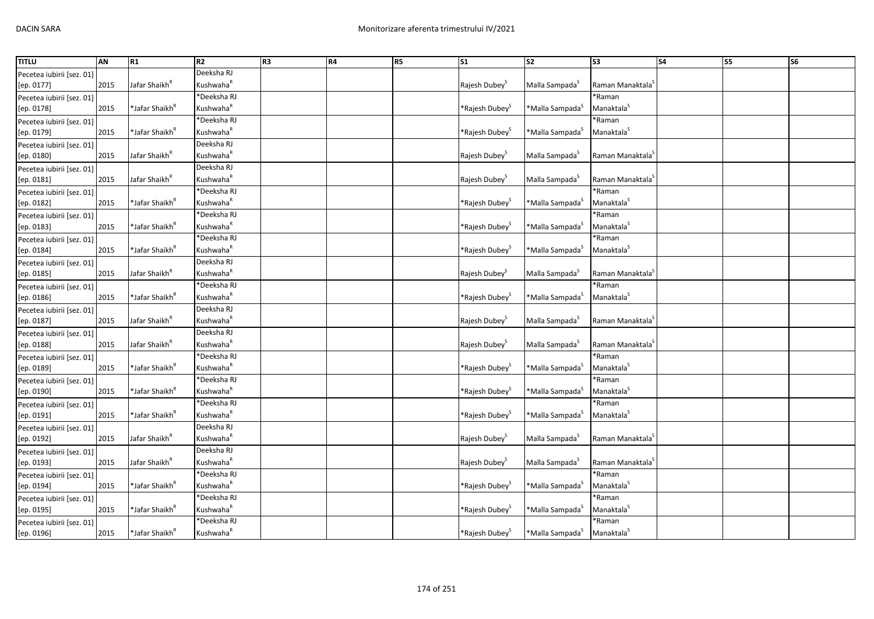| <b>TITLU</b>              | AN   | R1                         | R2                    | R <sub>3</sub> | R4 | R <sub>5</sub> | S <sub>1</sub>                | S <sub>2</sub>              | S <sub>3</sub>               | <b>S4</b> | S5 | S <sub>6</sub> |
|---------------------------|------|----------------------------|-----------------------|----------------|----|----------------|-------------------------------|-----------------------------|------------------------------|-----------|----|----------------|
| Pecetea iubirii [sez. 01] |      |                            | Deeksha RJ            |                |    |                |                               |                             |                              |           |    |                |
| [ep. 0177]                | 2015 | Jafar Shaikh <sup>k</sup>  | Kushwaha <sup>R</sup> |                |    |                | Rajesh Dubey <sup>S</sup>     | Malla Sampada <sup>S</sup>  | Raman Manaktala <sup>5</sup> |           |    |                |
| Pecetea iubirii [sez. 01] |      |                            | *Deeksha RJ           |                |    |                |                               |                             | *Raman                       |           |    |                |
| [ep. 0178]                | 2015 | *Jafar Shaikh <sup>ĸ</sup> | Kushwaha <sup>R</sup> |                |    |                | *Rajesh Dubey <sup>&gt;</sup> | *Malla Sampada <sup>5</sup> | Manaktala <sup>5</sup>       |           |    |                |
| Pecetea iubirii [sez. 01] |      |                            | *Deeksha RJ           |                |    |                |                               |                             | *Raman                       |           |    |                |
| [ep. 0179]                | 2015 | *Jafar Shaikh <sup>R</sup> | Kushwaha <sup>R</sup> |                |    |                | *Rajesh Dubey <sup>&gt;</sup> | *Malla Sampada <sup>S</sup> | Manaktala <sup>S</sup>       |           |    |                |
| Pecetea iubirii [sez. 01] |      |                            | Deeksha RJ            |                |    |                |                               |                             |                              |           |    |                |
| [ep. 0180]                | 2015 | Jafar Shaikh <sup>k</sup>  | Kushwaha <sup>k</sup> |                |    |                | Rajesh Dubey <sup>5</sup>     | Malla Sampada <sup>5</sup>  | Raman Manaktala <sup>3</sup> |           |    |                |
| Pecetea iubirii [sez. 01] |      |                            | Deeksha RJ            |                |    |                |                               |                             |                              |           |    |                |
| [ep. 0181]                | 2015 | Jafar Shaikh <sup>"</sup>  | Kushwaha <sup>R</sup> |                |    |                | Rajesh Dubey <sup>3</sup>     | Malla Sampada <sup>3</sup>  | Raman Manaktala <sup>3</sup> |           |    |                |
| Pecetea iubirii [sez. 01] |      |                            | <b>Deeksha RJ</b>     |                |    |                |                               |                             | *Raman                       |           |    |                |
| [ep. 0182]                | 2015 | *Jafar Shaikh <sup>ĸ</sup> | Kushwaha <sup>R</sup> |                |    |                | *Rajesh Dubey <sup>&gt;</sup> | *Malla Sampada <sup>5</sup> | Manaktala <sup>S</sup>       |           |    |                |
| Pecetea iubirii [sez. 01] |      |                            | *Deeksha RJ           |                |    |                |                               |                             | *Raman                       |           |    |                |
| [ep. 0183]                | 2015 | *Jafar Shaikh <sup>ĸ</sup> | Kushwaha <sup>R</sup> |                |    |                | *Rajesh Dubey <sup>&gt;</sup> | *Malla Sampada <sup>S</sup> | Manaktala <sup>S</sup>       |           |    |                |
| Pecetea iubirii [sez. 01] |      |                            | *Deeksha RJ           |                |    |                |                               |                             | *Raman                       |           |    |                |
| [ep. 0184]                | 2015 | *Jafar Shaikh <sup>R</sup> | Kushwaha <sup>R</sup> |                |    |                | *Rajesh Dubey <sup>S</sup>    | *Malla Sampada <sup>5</sup> | Manaktala <sup>S</sup>       |           |    |                |
| Pecetea iubirii [sez. 01] |      |                            | Deeksha RJ            |                |    |                |                               |                             |                              |           |    |                |
| [ep. 0185]                | 2015 | Jafar Shaikh <sup>R</sup>  | Kushwaha <sup>k</sup> |                |    |                | Rajesh Dubey <sup>5</sup>     | Malla Sampada <sup>S</sup>  | Raman Manaktala <sup>3</sup> |           |    |                |
| Pecetea iubirii [sez. 01] |      |                            | *Deeksha RJ           |                |    |                |                               |                             | *Raman                       |           |    |                |
| [ep. 0186]                | 2015 | *Jafar Shaikh <sup>ĸ</sup> | Kushwaha <sup>R</sup> |                |    |                | *Rajesh Dubey <sup>&gt;</sup> | *Malla Sampada <sup>S</sup> | Manaktala <sup>S</sup>       |           |    |                |
| Pecetea iubirii [sez. 01] |      |                            | Deeksha RJ            |                |    |                |                               |                             |                              |           |    |                |
| [ep. 0187]                | 2015 | Jafar Shaikh <sup>R</sup>  | Kushwaha <sup>R</sup> |                |    |                | Rajesh Dubey <sup>5</sup>     | Malla Sampada <sup>5</sup>  | Raman Manaktala <sup>s</sup> |           |    |                |
| Pecetea iubirii [sez. 01] |      |                            | Deeksha RJ            |                |    |                |                               |                             |                              |           |    |                |
| [ep. 0188]                | 2015 | Jafar Shaikh <sup>R</sup>  | Kushwaha <sup>k</sup> |                |    |                | Rajesh Dubey <sup>5</sup>     | Malla Sampada <sup>5</sup>  | Raman Manaktala <sup>3</sup> |           |    |                |
| Pecetea iubirii [sez. 01] |      |                            | *Deeksha RJ           |                |    |                |                               |                             | *Raman                       |           |    |                |
| [ep. 0189]                | 2015 | *Jafar Shaikh <sup>ĸ</sup> | Kushwaha <sup>R</sup> |                |    |                | *Rajesh Dubey <sup>3</sup>    | *Malla Sampada <sup>s</sup> | Manaktala <sup>5</sup>       |           |    |                |
| Pecetea iubirii [sez. 01] |      |                            | *Deeksha RJ           |                |    |                |                               |                             | *Raman                       |           |    |                |
| [ep. 0190]                | 2015 | *Jafar Shaikh <sup>R</sup> | Kushwaha <sup>R</sup> |                |    |                | *Rajesh Dubey <sup>3</sup>    | *Malla Sampada <sup>s</sup> | Manaktala <sup>S</sup>       |           |    |                |
| Pecetea iubirii [sez. 01] |      |                            | *Deeksha RJ           |                |    |                |                               |                             | *Raman                       |           |    |                |
| [ep. 0191]                | 2015 | *Jafar Shaikh <sup>ĸ</sup> | Kushwaha <sup>R</sup> |                |    |                | *Rajesh Dubey <sup>3</sup>    | *Malla Sampada <sup>5</sup> | Manaktala <sup>5</sup>       |           |    |                |
| Pecetea iubirii [sez. 01] |      |                            | Deeksha RJ            |                |    |                |                               |                             |                              |           |    |                |
| [ep. 0192]                | 2015 | Jafar Shaikh <sup>k</sup>  | Kushwaha <sup>R</sup> |                |    |                | Rajesh Dubey <sup>5</sup>     | Malla Sampada <sup>5</sup>  | Raman Manaktala <sup>s</sup> |           |    |                |
| Pecetea iubirii [sez. 01] |      |                            | Deeksha RJ            |                |    |                |                               |                             |                              |           |    |                |
| [ep. 0193]                | 2015 | Jafar Shaikh <sup>R</sup>  | Kushwaha <sup>R</sup> |                |    |                | Rajesh Dubey <sup>5</sup>     | Malla Sampada <sup>S</sup>  | Raman Manaktala <sup>s</sup> |           |    |                |
| Pecetea iubirii [sez. 01] |      |                            | *Deeksha RJ           |                |    |                |                               |                             | *Raman                       |           |    |                |
| [ep. 0194]                | 2015 | *Jafar Shaikh <sup>ĸ</sup> | Kushwaha <sup>R</sup> |                |    |                | *Rajesh Dubey <sup>s</sup>    | *Malla Sampada <sup>S</sup> | Manaktala <sup>5</sup>       |           |    |                |
| Pecetea iubirii [sez. 01] |      |                            | *Deeksha RJ           |                |    |                |                               |                             | *Raman                       |           |    |                |
| [ep. 0195]                | 2015 | *Jafar Shaikh <sup>ĸ</sup> | Kushwaha <sup>R</sup> |                |    |                | *Rajesh Dubey <sup>š</sup>    | *Malla Sampada <sup>S</sup> | Manaktala <sup>S</sup>       |           |    |                |
| Pecetea iubirii [sez. 01] |      |                            | *Deeksha RJ           |                |    |                |                               |                             | *Raman                       |           |    |                |
| [ep. 0196]                | 2015 | *Jafar Shaikh <sup>ĸ</sup> | Kushwaha <sup>R</sup> |                |    |                | *Rajesh Dubey <sup>S</sup>    | *Malla Sampada <sup>5</sup> | Manaktala <sup>5</sup>       |           |    |                |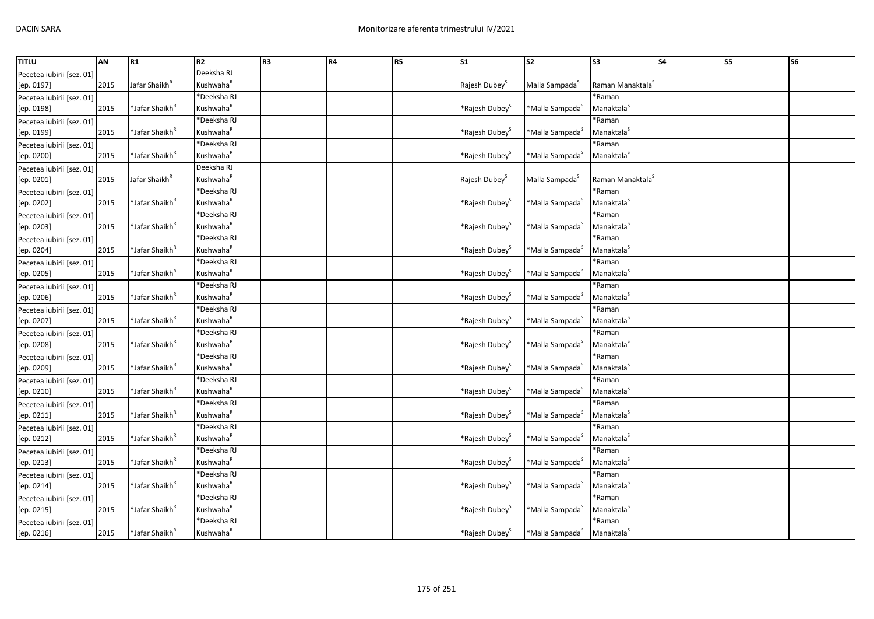| <b>TITLU</b>              | AN   | R1                         | R2                    | R <sub>3</sub> | R4 | R <sub>5</sub> | S <sub>1</sub>                | S <sub>2</sub>              | S <sub>3</sub>               | <b>S4</b> | S5 | S <sub>6</sub> |
|---------------------------|------|----------------------------|-----------------------|----------------|----|----------------|-------------------------------|-----------------------------|------------------------------|-----------|----|----------------|
| Pecetea iubirii [sez. 01] |      |                            | Deeksha RJ            |                |    |                |                               |                             |                              |           |    |                |
| [ep. 0197]                | 2015 | Jafar Shaikh <sup>k</sup>  | Kushwaha <sup>R</sup> |                |    |                | Rajesh Dubey <sup>S</sup>     | Malla Sampada <sup>S</sup>  | Raman Manaktala <sup>5</sup> |           |    |                |
| Pecetea iubirii [sez. 01] |      |                            | *Deeksha RJ           |                |    |                |                               |                             | *Raman                       |           |    |                |
| [ep. 0198]                | 2015 | *Jafar Shaikh <sup>ĸ</sup> | Kushwaha <sup>k</sup> |                |    |                | *Rajesh Dubey <sup>&gt;</sup> | *Malla Sampada <sup>3</sup> | Manaktala <sup>S</sup>       |           |    |                |
| Pecetea iubirii [sez. 01] |      |                            | *Deeksha RJ           |                |    |                |                               |                             | *Raman                       |           |    |                |
| [ep. 0199]                | 2015 | *Jafar Shaikh <sup>R</sup> | Kushwaha <sup>R</sup> |                |    |                | *Rajesh Dubey <sup>&gt;</sup> | *Malla Sampada <sup>S</sup> | Manaktala <sup>S</sup>       |           |    |                |
| Pecetea iubirii [sez. 01] |      |                            | *Deeksha RJ           |                |    |                |                               |                             | *Raman                       |           |    |                |
| [ep. 0200]                | 2015 | *Jafar Shaikh <sup>ĸ</sup> | Kushwaha <sup>k</sup> |                |    |                | *Rajesh Dubey <sup>&gt;</sup> | *Malla Sampada <sup>S</sup> | Manaktala <sup>S</sup>       |           |    |                |
| Pecetea iubirii [sez. 01] |      |                            | Deeksha RJ            |                |    |                |                               |                             |                              |           |    |                |
| [ep. 0201]                | 2015 | Jafar Shaikh <sup>"</sup>  | Kushwaha <sup>R</sup> |                |    |                | Rajesh Dubey <sup>5</sup>     | Malla Sampada <sup>5</sup>  | Raman Manaktala <sup>5</sup> |           |    |                |
| Pecetea iubirii [sez. 01] |      |                            | <b>Deeksha RJ</b>     |                |    |                |                               |                             | *Raman                       |           |    |                |
| [ep. 0202]                | 2015 | *Jafar Shaikh <sup>ĸ</sup> | Kushwaha <sup>R</sup> |                |    |                | *Rajesh Dubey <sup>S</sup>    | *Malla Sampada <sup>5</sup> | Manaktala <sup>S</sup>       |           |    |                |
| Pecetea iubirii [sez. 01] |      |                            | *Deeksha RJ           |                |    |                |                               |                             | *Raman                       |           |    |                |
| [ep. 0203]                | 2015 | *Jafar Shaikh <sup>ĸ</sup> | Kushwaha <sup>R</sup> |                |    |                | *Rajesh Dubey <sup>3</sup>    | *Malla Sampada <sup>S</sup> | Manaktala <sup>S</sup>       |           |    |                |
| Pecetea iubirii [sez. 01] |      |                            | *Deeksha RJ           |                |    |                |                               |                             | *Raman                       |           |    |                |
| [ep. 0204]                | 2015 | *Jafar Shaikh <sup>ĸ</sup> | Kushwaha <sup>R</sup> |                |    |                | *Rajesh Dubey <sup>5</sup>    | *Malla Sampada <sup>S</sup> | Manaktala <sup>S</sup>       |           |    |                |
| Pecetea iubirii [sez. 01] |      |                            | *Deeksha RJ           |                |    |                |                               |                             | *Raman                       |           |    |                |
| [ep. 0205]                | 2015 | *Jafar Shaikh <sup>R</sup> | Kushwaha <sup>R</sup> |                |    |                | *Rajesh Dubey <sup>&gt;</sup> | *Malla Sampada <sup>S</sup> | Manaktala <sup>5</sup>       |           |    |                |
| Pecetea iubirii [sez. 01] |      |                            | *Deeksha RJ           |                |    |                |                               |                             | *Raman                       |           |    |                |
| [ep. 0206]                | 2015 | *Jafar Shaikh <sup>ĸ</sup> | Kushwaha <sup>k</sup> |                |    |                | *Rajesh Dubey <sup>&gt;</sup> | *Malla Sampada <sup>S</sup> | Manaktala <sup>S</sup>       |           |    |                |
| Pecetea iubirii [sez. 01] |      |                            | *Deeksha RJ           |                |    |                |                               |                             | *Raman                       |           |    |                |
| [ep. 0207]                | 2015 | *Jafar Shaikh <sup>к</sup> | Kushwaha <sup>R</sup> |                |    |                | *Rajesh Dubey <sup>3</sup>    | *Malla Sampada <sup>S</sup> | Manaktala <sup>S</sup>       |           |    |                |
| Pecetea iubirii [sez. 01] |      |                            | *Deeksha RJ           |                |    |                |                               |                             | *Raman                       |           |    |                |
| [ep. 0208]                | 2015 | *Jafar Shaikh <sup>ĸ</sup> | Kushwaha <sup>R</sup> |                |    |                | *Rajesh Dubey <sup>S</sup>    | *Malla Sampada <sup>S</sup> | Manaktala <sup>S</sup>       |           |    |                |
| Pecetea iubirii [sez. 01] |      |                            | *Deeksha RJ           |                |    |                |                               |                             | *Raman                       |           |    |                |
| [ep. 0209]                | 2015 | *Jafar Shaikh <sup>"</sup> | Kushwaha <sup>R</sup> |                |    |                | *Rajesh Dubey <sup>3</sup>    | *Malla Sampada <sup>s</sup> | Manaktala $^{\text{S}}$      |           |    |                |
| Pecetea iubirii [sez. 01] |      |                            | *Deeksha RJ           |                |    |                |                               |                             | *Raman                       |           |    |                |
| [ep. 0210]                | 2015 | *Jafar Shaikh <sup>R</sup> | Kushwaha <sup>R</sup> |                |    |                | *Rajesh Dubey <sup>&gt;</sup> | *Malla Sampada <sup>S</sup> | Manaktala <sup>S</sup>       |           |    |                |
| Pecetea iubirii [sez. 01] |      |                            | *Deeksha RJ           |                |    |                |                               |                             | *Raman                       |           |    |                |
| [ep. 0211]                | 2015 | *Jafar Shaikh <sup>n</sup> | Kushwaha <sup>R</sup> |                |    |                | *Rajesh Dubey <sup>&gt;</sup> | *Malla Sampada <sup>S</sup> | Manaktala <sup>S</sup>       |           |    |                |
| Pecetea iubirii [sez. 01] |      |                            | *Deeksha RJ           |                |    |                |                               |                             | *Raman                       |           |    |                |
| [ep. 0212]                | 2015 | *Jafar Shaikh <sup>R</sup> | Kushwaha <sup>R</sup> |                |    |                | *Rajesh Dubey <sup>&gt;</sup> | *Malla Sampada <sup>3</sup> | Manaktala <sup>S</sup>       |           |    |                |
| Pecetea iubirii [sez. 01] |      |                            | Deeksha RJ            |                |    |                |                               |                             | *Raman                       |           |    |                |
| [ep. 0213]                | 2015 | *Jafar Shaikh <sup>R</sup> | Kushwaha <sup>R</sup> |                |    |                | *Rajesh Dubey <sup>&gt;</sup> | *Malla Sampada <sup>3</sup> | Manaktala <sup>S</sup>       |           |    |                |
| Pecetea iubirii [sez. 01] |      |                            | *Deeksha RJ           |                |    |                |                               |                             | *Raman                       |           |    |                |
| [ep. 0214]                | 2015 | *Jafar Shaikh <sup>ĸ</sup> | Kushwaha <sup>R</sup> |                |    |                | *Rajesh Dubey <sup>3</sup>    | *Malla Sampada <sup>S</sup> | Manaktala <sup>5</sup>       |           |    |                |
| Pecetea iubirii [sez. 01] |      |                            | *Deeksha RJ           |                |    |                |                               |                             | *Raman                       |           |    |                |
| [ep. 0215]                | 2015 | *Jafar Shaikh <sup>ĸ</sup> | Kushwaha <sup>R</sup> |                |    |                | *Rajesh Dubey                 | *Malla Sampada <sup>S</sup> | Manaktala <sup>S</sup>       |           |    |                |
| Pecetea iubirii [sez. 01] |      |                            | *Deeksha RJ           |                |    |                |                               |                             | *Raman                       |           |    |                |
| [ep. 0216]                | 2015 | *Jafar Shaikh <sup>ĸ</sup> | Kushwaha <sup>R</sup> |                |    |                | *Rajesh Dubey <sup>S</sup>    | *Malla Sampada <sup>5</sup> | Manaktala <sup>5</sup>       |           |    |                |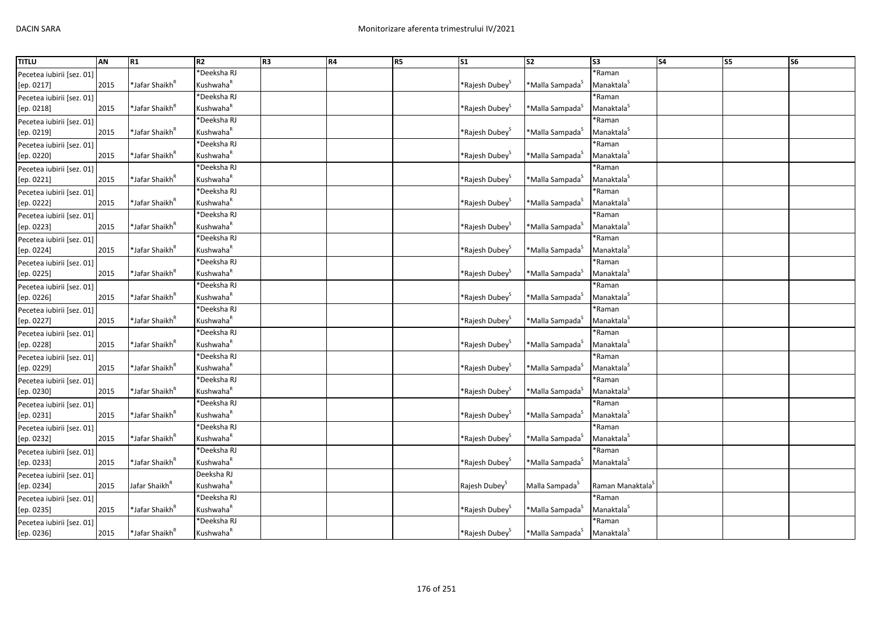| <b>TITLU</b>              | AN   | R1                         | R2                    | R <sub>3</sub> | R4 | R <sub>5</sub> | S <sub>1</sub>                | S <sub>2</sub>              | S3                           | <b>S4</b> | S5 | S <sub>6</sub> |
|---------------------------|------|----------------------------|-----------------------|----------------|----|----------------|-------------------------------|-----------------------------|------------------------------|-----------|----|----------------|
| Pecetea iubirii [sez. 01] |      |                            | *Deeksha RJ           |                |    |                |                               |                             | *Raman                       |           |    |                |
| [ep. 0217]                | 2015 | *Jafar Shaikh <sup>R</sup> | Kushwaha <sup>R</sup> |                |    |                | *Rajesh Dubey <sup>&gt;</sup> | *Malla Sampada <sup>5</sup> | Manaktala <sup>S</sup>       |           |    |                |
| Pecetea iubirii [sez. 01] |      |                            | *Deeksha RJ           |                |    |                |                               |                             | *Raman                       |           |    |                |
| [ep. 0218]                | 2015 | *Jafar Shaikh <sup>ĸ</sup> | Kushwaha <sup>k</sup> |                |    |                | *Rajesh Dubey <sup>3</sup>    | *Malla Sampada <sup>5</sup> | Manaktala <sup>S</sup>       |           |    |                |
| Pecetea iubirii [sez. 01] |      |                            | *Deeksha RJ           |                |    |                |                               |                             | *Raman                       |           |    |                |
| [ep. 0219]                | 2015 | *Jafar Shaikh <sup>R</sup> | Kushwaha <sup>R</sup> |                |    |                | *Rajesh Dubey <sup>&gt;</sup> | *Malla Sampada <sup>S</sup> | Manaktala <sup>S</sup>       |           |    |                |
| Pecetea iubirii [sez. 01] |      |                            | *Deeksha RJ           |                |    |                |                               |                             | *Raman                       |           |    |                |
| [ep. 0220]                | 2015 | *Jafar Shaikh <sup>ĸ</sup> | Kushwaha <sup>k</sup> |                |    |                | *Rajesh Dubey <sup>&gt;</sup> | *Malla Sampada <sup>S</sup> | Manaktala <sup>S</sup>       |           |    |                |
| Pecetea iubirii [sez. 01] |      |                            | *Deeksha RJ           |                |    |                |                               |                             | *Raman                       |           |    |                |
| [ep. 0221]                | 2015 | *Jafar Shaikh <sup>ĸ</sup> | Kushwaha <sup>R</sup> |                |    |                | *Rajesh Dubey <sup>3</sup>    | *Malla Sampada <sup>3</sup> | Manaktala <sup>S</sup>       |           |    |                |
| Pecetea iubirii [sez. 01] |      |                            | <b>Deeksha RJ</b>     |                |    |                |                               |                             | *Raman                       |           |    |                |
| [ep. 0222]                | 2015 | *Jafar Shaikh <sup>ĸ</sup> | Kushwaha <sup>R</sup> |                |    |                | *Rajesh Dubey <sup>5</sup>    | *Malla Sampada <sup>5</sup> | Manaktala <sup>S</sup>       |           |    |                |
| Pecetea iubirii [sez. 01] |      |                            | *Deeksha RJ           |                |    |                |                               |                             | *Raman                       |           |    |                |
| [ep. 0223]                | 2015 | *Jafar Shaikh <sup>ĸ</sup> | Kushwaha <sup>R</sup> |                |    |                | *Rajesh Dubey <sup>&gt;</sup> | *Malla Sampada <sup>S</sup> | Manaktala <sup>S</sup>       |           |    |                |
| Pecetea iubirii [sez. 01] |      |                            | *Deeksha RJ           |                |    |                |                               |                             | *Raman                       |           |    |                |
| [ep. 0224]                | 2015 | *Jafar Shaikh <sup>R</sup> | Kushwaha <sup>R</sup> |                |    |                | *Rajesh Dubey <sup>S</sup>    | *Malla Sampada <sup>5</sup> | Manaktala <sup>S</sup>       |           |    |                |
| Pecetea iubirii [sez. 01] |      |                            | *Deeksha RJ           |                |    |                |                               |                             | *Raman                       |           |    |                |
| [ep. 0225]                | 2015 | *Jafar Shaikh <sup>R</sup> | Kushwaha <sup>k</sup> |                |    |                | *Rajesh Dubey <sup>&gt;</sup> | *Malla Sampada <sup>S</sup> | Manaktala <sup>S</sup>       |           |    |                |
| Pecetea iubirii [sez. 01] |      |                            | *Deeksha RJ           |                |    |                |                               |                             | *Raman                       |           |    |                |
| [ep. 0226]                | 2015 | *Jafar Shaikh <sup>ĸ</sup> | Kushwaha <sup>R</sup> |                |    |                | *Rajesh Dubey <sup>&gt;</sup> | *Malla Sampada <sup>S</sup> | Manaktala <sup>S</sup>       |           |    |                |
| Pecetea iubirii [sez. 01] |      |                            | *Deeksha RJ           |                |    |                |                               |                             | *Raman                       |           |    |                |
| [ep. 0227]                | 2015 | *Jafar Shaikh <sup>к</sup> | Kushwaha <sup>R</sup> |                |    |                | *Rajesh Dubey <sup>3</sup>    | *Malla Sampada <sup>S</sup> | Manaktala <sup>S</sup>       |           |    |                |
| Pecetea iubirii [sez. 01] |      |                            | *Deeksha RJ           |                |    |                |                               |                             | *Raman                       |           |    |                |
| [ep. 0228]                | 2015 | *Jafar Shaikh <sup>R</sup> | Kushwaha <sup>R</sup> |                |    |                | *Rajesh Dubey <sup>&gt;</sup> | *Malla Sampada <sup>s</sup> | Manaktala <sup>S</sup>       |           |    |                |
| Pecetea iubirii [sez. 01] |      |                            | *Deeksha RJ           |                |    |                |                               |                             | *Raman                       |           |    |                |
| [ep. 0229]                | 2015 | *Jafar Shaikh <sup>ĸ</sup> | Kushwaha <sup>R</sup> |                |    |                | *Rajesh Dubey <sup>3</sup>    | *Malla Sampada <sup>s</sup> | Manaktala <sup>5</sup>       |           |    |                |
| Pecetea iubirii [sez. 01] |      |                            | *Deeksha RJ           |                |    |                |                               |                             | *Raman                       |           |    |                |
| [ep. 0230]                | 2015 | *Jafar Shaikh <sup>R</sup> | Kushwaha <sup>R</sup> |                |    |                | *Rajesh Dubey <sup>3</sup>    | *Malla Sampada <sup>s</sup> | Manaktala <sup>S</sup>       |           |    |                |
| Pecetea iubirii [sez. 01] |      |                            | *Deeksha RJ           |                |    |                |                               |                             | *Raman                       |           |    |                |
| [ep. 0231]                | 2015 | *Jafar Shaikh <sup>ĸ</sup> | Kushwaha <sup>R</sup> |                |    |                | *Rajesh Dubey <sup>3</sup>    | *Malla Sampada <sup>5</sup> | Manaktala                    |           |    |                |
| Pecetea iubirii [sez. 01] |      |                            | *Deeksha RJ           |                |    |                |                               |                             | *Raman                       |           |    |                |
| [ep. 0232]                | 2015 | *Jafar Shaikh <sup>ĸ</sup> | Kushwaha <sup>R</sup> |                |    |                | *Rajesh Dubey <sup>&gt;</sup> | *Malla Sampada <sup>s</sup> | Manaktala <sup>S</sup>       |           |    |                |
| Pecetea iubirii [sez. 01] |      |                            | *Deeksha RJ           |                |    |                |                               |                             | *Raman                       |           |    |                |
| [ep. 0233]                | 2015 | *Jafar Shaikh <sup>R</sup> | Kushwaha <sup>R</sup> |                |    |                | *Rajesh Dubey <sup>&gt;</sup> | *Malla Sampada <sup>5</sup> | Manaktala <sup>S</sup>       |           |    |                |
| Pecetea iubirii [sez. 01] |      |                            | Deeksha RJ            |                |    |                |                               |                             |                              |           |    |                |
| [ep. 0234]                | 2015 | Jafar Shaikh <sup>R</sup>  | Kushwaha <sup>R</sup> |                |    |                | Rajesh Dubey <sup>3</sup>     | Malla Sampada <sup>5</sup>  | Raman Manaktala <sup>5</sup> |           |    |                |
| Pecetea iubirii [sez. 01] |      |                            | *Deeksha RJ           |                |    |                |                               |                             | *Raman                       |           |    |                |
| [ep. 0235]                | 2015 | *Jafar Shaikh <sup>ĸ</sup> | Kushwaha <sup>R</sup> |                |    |                | *Rajesh Dubey <sup>š</sup>    | *Malla Sampada <sup>3</sup> | Manaktala <sup>S</sup>       |           |    |                |
| Pecetea iubirii [sez. 01] |      |                            | *Deeksha RJ           |                |    |                |                               |                             | *Raman                       |           |    |                |
| [ep. 0236]                | 2015 | *Jafar Shaikh <sup>ĸ</sup> | Kushwaha <sup>R</sup> |                |    |                | *Rajesh Dubey <sup>S</sup>    | *Malla Sampada <sup>5</sup> | Manaktala <sup>5</sup>       |           |    |                |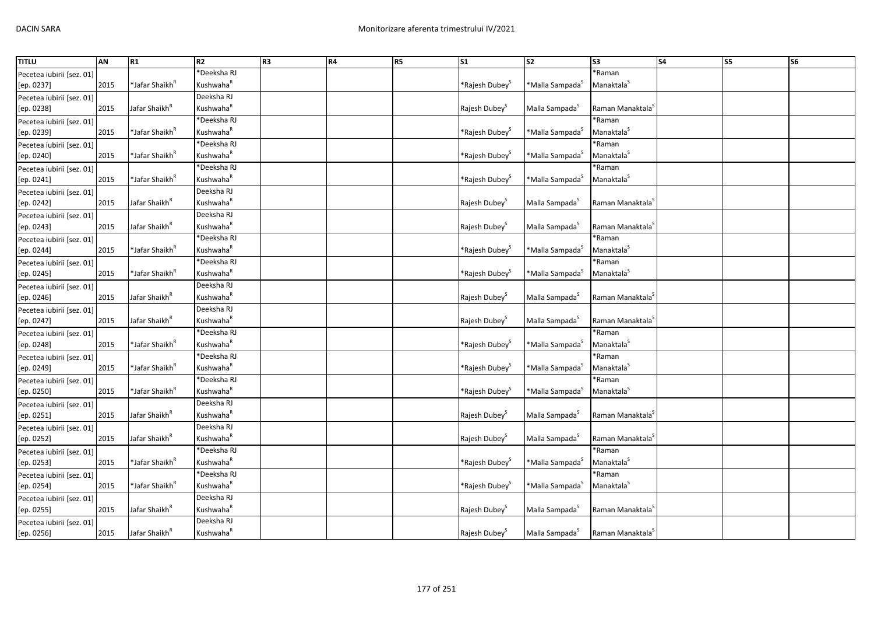| <b>TITLU</b>              | AN   | R1                         | R2                    | R <sub>3</sub> | R4 | R <sub>5</sub> | S <sub>1</sub>                | $\overline{\text{S2}}$      | S <sub>3</sub>               | S <sub>4</sub> | <b>S5</b> | <b>S6</b> |
|---------------------------|------|----------------------------|-----------------------|----------------|----|----------------|-------------------------------|-----------------------------|------------------------------|----------------|-----------|-----------|
| Pecetea iubirii [sez. 01] |      |                            | *Deeksha RJ           |                |    |                |                               |                             | *Raman                       |                |           |           |
| [ep. 0237]                | 2015 | *Jafar Shaikh <sup>R</sup> | Kushwaha <sup>R</sup> |                |    |                | *Rajesh Dubey <sup>&gt;</sup> | *Malla Sampada <sup>s</sup> | Manaktala <sup>S</sup>       |                |           |           |
| Pecetea iubirii [sez. 01] |      |                            | Deeksha RJ            |                |    |                |                               |                             |                              |                |           |           |
| [ep. 0238]                | 2015 | Jafar Shaikh <sup>k</sup>  | Kushwaha <sup>R</sup> |                |    |                | Rajesh Dubey <sup>5</sup>     | Malla Sampada <sup>5</sup>  | Raman Manaktala <sup>3</sup> |                |           |           |
| Pecetea iubirii [sez. 01] |      |                            | *Deeksha RJ           |                |    |                |                               |                             | *Raman                       |                |           |           |
| [ep. 0239]                | 2015 | *Jafar Shaikh <sup>R</sup> | Kushwaha <sup>R</sup> |                |    |                | *Rajesh Dubey <sup>&gt;</sup> | *Malla Sampada <sup>S</sup> | Manaktala <sup>5</sup>       |                |           |           |
| Pecetea iubirii [sez. 01] |      |                            | *Deeksha RJ           |                |    |                |                               |                             | *Raman                       |                |           |           |
| [ep. 0240]                | 2015 | *Jafar Shaikh <sup>ĸ</sup> | Kushwaha <sup>R</sup> |                |    |                | *Rajesh Dubey <sup>&gt;</sup> | *Malla Sampada <sup>5</sup> | Manaktala <sup>S</sup>       |                |           |           |
| Pecetea iubirii [sez. 01] |      |                            | *Deeksha RJ           |                |    |                |                               |                             | *Raman                       |                |           |           |
| [ep. 0241]                | 2015 | *Jafar Shaikh <sup>ĸ</sup> | Kushwaha <sup>R</sup> |                |    |                | *Rajesh Dubey <sup>&gt;</sup> | *Malla Sampada <sup>S</sup> | Manaktala <sup>S</sup>       |                |           |           |
| Pecetea iubirii [sez. 01] |      |                            | Deeksha RJ            |                |    |                |                               |                             |                              |                |           |           |
| [ep. 0242]                | 2015 | Jafar Shaikh <sup>R</sup>  | Kushwaha <sup>R</sup> |                |    |                | Rajesh Dubey <sup>5</sup>     | Malla Sampada <sup>5</sup>  | Raman Manaktala <sup>3</sup> |                |           |           |
| Pecetea iubirii [sez. 01] |      |                            | Deeksha RJ            |                |    |                |                               |                             |                              |                |           |           |
| [ep. 0243]                | 2015 | Jafar Shaikh <sup>k</sup>  | Kushwaha <sup>R</sup> |                |    |                | Rajesh Dubey <sup>5</sup>     | Malla Sampada <sup>S</sup>  | Raman Manaktala <sup>`</sup> |                |           |           |
| Pecetea iubirii [sez. 01] |      |                            | *Deeksha RJ           |                |    |                |                               |                             | *Raman                       |                |           |           |
| [ep. 0244]                | 2015 | *Jafar Shaikh <sup>ĸ</sup> | Kushwaha <sup>R</sup> |                |    |                | *Rajesh Dubey <sup>&gt;</sup> | *Malla Sampada <sup>S</sup> | Manaktala <sup>5</sup>       |                |           |           |
| Pecetea iubirii [sez. 01] |      |                            | *Deeksha RJ           |                |    |                |                               |                             | *Raman                       |                |           |           |
| [ep. 0245]                | 2015 | *Jafar Shaikh <sup>R</sup> | Kushwaha <sup>R</sup> |                |    |                | *Rajesh Dubey <sup>S</sup>    | *Malla Sampada <sup>5</sup> | Manaktala <sup>S</sup>       |                |           |           |
| Pecetea iubirii [sez. 01] |      |                            | Deeksha RJ            |                |    |                |                               |                             |                              |                |           |           |
| [ep. 0246]                | 2015 | Jafar Shaikh <sup>"</sup>  | Kushwaha <sup>R</sup> |                |    |                | Rajesh Dubey <sup>5</sup>     | Malla Sampada <sup>5</sup>  | Raman Manaktala <sup>3</sup> |                |           |           |
| Pecetea iubirii [sez. 01] |      |                            | Deeksha RJ            |                |    |                |                               |                             |                              |                |           |           |
| [ep. 0247]                | 2015 | Jafar Shaikh <sup>R</sup>  | Kushwaha <sup>R</sup> |                |    |                | Rajesh Dubey <sup>S</sup>     | Malla Sampada <sup>S</sup>  | Raman Manaktala <sup>s</sup> |                |           |           |
| Pecetea iubirii [sez. 01] |      |                            | *Deeksha RJ           |                |    |                |                               |                             | *Raman                       |                |           |           |
| [ep. 0248]                | 2015 | *Jafar Shaikh <sup>ĸ</sup> | Kushwaha <sup>R</sup> |                |    |                | *Rajesh Dubey <sup>&gt;</sup> | *Malla Sampada <sup>S</sup> | Manaktala <sup>S</sup>       |                |           |           |
| Pecetea iubirii [sez. 01] |      |                            | *Deeksha RJ           |                |    |                |                               |                             | *Raman                       |                |           |           |
| [ep. 0249]                | 2015 | *Jafar Shaikh <sup>"</sup> | Kushwaha <sup>R</sup> |                |    |                | *Rajesh Dubey <sup>3</sup>    | *Malla Sampada <sup>s</sup> | Manaktala <sup>5</sup>       |                |           |           |
| Pecetea iubirii [sez. 01] |      |                            | *Deeksha RJ           |                |    |                |                               |                             | *Raman                       |                |           |           |
| [ep. 0250]                | 2015 | *Jafar Shaikh <sup>R</sup> | Kushwaha <sup>R</sup> |                |    |                | *Rajesh Dubey <sup>S</sup>    | *Malla Sampada <sup>S</sup> | Manaktala <sup>S</sup>       |                |           |           |
| Pecetea iubirii [sez. 01] |      |                            | Deeksha RJ            |                |    |                |                               |                             |                              |                |           |           |
| [ep. 0251]                | 2015 | Jafar Shaikh <sup>"</sup>  | Kushwaha <sup>R</sup> |                |    |                | Rajesh Dubey <sup>3</sup>     | Malla Sampada <sup>S</sup>  | Raman Manaktala <sup>3</sup> |                |           |           |
| Pecetea iubirii [sez. 01] |      |                            | Deeksha RJ            |                |    |                |                               |                             |                              |                |           |           |
| [ep. 0252]                | 2015 | Jafar Shaikh <sup>k</sup>  | Kushwaha <sup>R</sup> |                |    |                | Rajesh Dubey <sup>S</sup>     | Malla Sampada <sup>S</sup>  | Raman Manaktala <sup>5</sup> |                |           |           |
| Pecetea iubirii [sez. 01] |      |                            | *Deeksha RJ           |                |    |                |                               |                             | *Raman                       |                |           |           |
| [ep. 0253]                | 2015 | *Jafar Shaikh <sup>ĸ</sup> | Kushwaha <sup>R</sup> |                |    |                | *Rajesh Dubey <sup>S</sup>    | *Malla Sampada <sup>s</sup> | Manaktala <sup>S</sup>       |                |           |           |
| Pecetea iubirii [sez. 01] |      |                            | *Deeksha RJ           |                |    |                |                               |                             | *Raman                       |                |           |           |
| [ep. 0254]                | 2015 | *Jafar Shaikh <sup>ĸ</sup> | Kushwaha <sup>R</sup> |                |    |                | *Rajesh Dubey <sup>&gt;</sup> | *Malla Sampada <sup>S</sup> | Manaktala <sup>5</sup>       |                |           |           |
| Pecetea iubirii [sez. 01] |      |                            | Deeksha RJ            |                |    |                |                               |                             |                              |                |           |           |
| [ep. 0255]                | 2015 | Jafar Shaikh <sup>R</sup>  | Kushwaha <sup>R</sup> |                |    |                | Rajesh Dubey <sup>3</sup>     | Malla Sampada <sup>S</sup>  | Raman Manaktala <sup>3</sup> |                |           |           |
| Pecetea iubirii [sez. 01] |      |                            | Deeksha RJ            |                |    |                |                               |                             |                              |                |           |           |
| [ep. 0256]                | 2015 | Jafar Shaikh <sup>k</sup>  | Kushwaha <sup>R</sup> |                |    |                | Rajesh Dubey <sup>5</sup>     | Malla Sampada <sup>5</sup>  | Raman Manaktala <sup>3</sup> |                |           |           |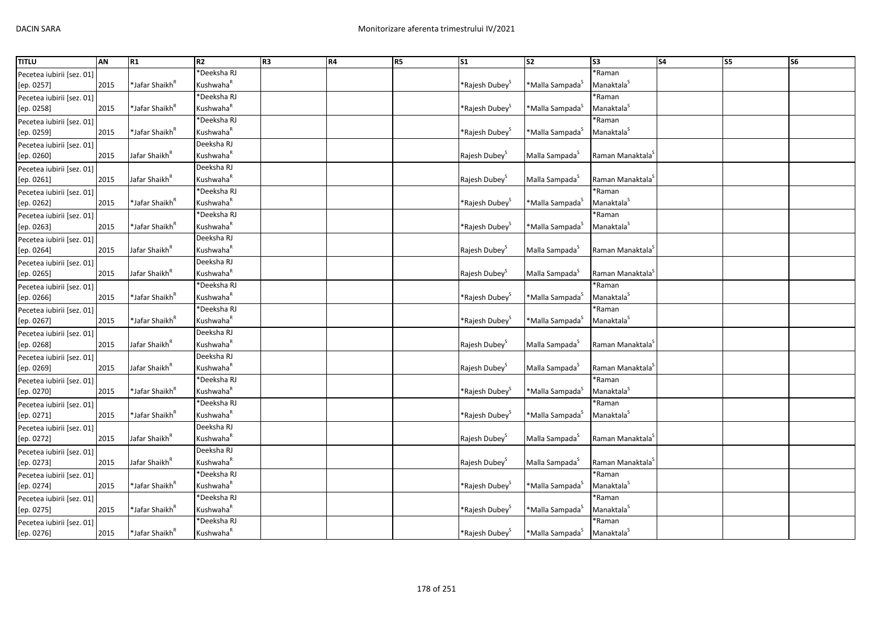| <b>TITLU</b>              | AN   | R1                         | R2                    | R <sub>3</sub> | R4 | R <sub>5</sub> | S <sub>1</sub>                | $\overline{\text{S2}}$      | S3                           | <b>S4</b> | <b>S5</b> | S <sub>6</sub> |
|---------------------------|------|----------------------------|-----------------------|----------------|----|----------------|-------------------------------|-----------------------------|------------------------------|-----------|-----------|----------------|
| Pecetea iubirii [sez. 01] |      |                            | *Deeksha RJ           |                |    |                |                               |                             | *Raman                       |           |           |                |
| [ep. 0257]                | 2015 | *Jafar Shaikh <sup>ĸ</sup> | Kushwaha <sup>R</sup> |                |    |                | *Rajesh Dubey <sup>S</sup>    | *Malla Sampada <sup>S</sup> | Manaktala <sup>S</sup>       |           |           |                |
| Pecetea iubirii [sez. 01] |      |                            | *Deeksha RJ           |                |    |                |                               |                             | *Raman                       |           |           |                |
| [ep. 0258]                | 2015 | *Jafar Shaikh <sup>ĸ</sup> | Kushwaha <sup>R</sup> |                |    |                | *Rajesh Dubey <sup>&gt;</sup> | *Malla Sampada <sup>s</sup> | Manaktala <sup>5</sup>       |           |           |                |
| Pecetea iubirii [sez. 01] |      |                            | *Deeksha RJ           |                |    |                |                               |                             | *Raman                       |           |           |                |
| [ep. 0259]                | 2015 | *Jafar Shaikh <sup>R</sup> | Kushwaha <sup>R</sup> |                |    |                | *Rajesh Dubey <sup>&gt;</sup> | *Malla Sampada <sup>S</sup> | Manaktala <sup>S</sup>       |           |           |                |
| Pecetea iubirii [sez. 01] |      |                            | Deeksha RJ            |                |    |                |                               |                             |                              |           |           |                |
| [ep. 0260]                | 2015 | Jafar Shaikh <sup>k</sup>  | Kushwaha <sup>R</sup> |                |    |                | Rajesh Dubey <sup>5</sup>     | Malla Sampada <sup>5</sup>  | Raman Manaktala <sup>3</sup> |           |           |                |
| Pecetea iubirii [sez. 01] |      |                            | Deeksha RJ            |                |    |                |                               |                             |                              |           |           |                |
| [ep. 0261]                | 2015 | Jafar Shaikh <sup>"</sup>  | Kushwaha <sup>R</sup> |                |    |                | Rajesh Dubey <sup>3</sup>     | Malla Sampada <sup>3</sup>  | Raman Manaktala <sup>3</sup> |           |           |                |
| Pecetea iubirii [sez. 01] |      |                            | *Deeksha RJ           |                |    |                |                               |                             | *Raman                       |           |           |                |
| [ep. 0262]                | 2015 | *Jafar Shaikh <sup>ĸ</sup> | Kushwaha <sup>R</sup> |                |    |                | *Rajesh Dubey <sup>&gt;</sup> | *Malla Sampada <sup>S</sup> | Manaktala <sup>S</sup>       |           |           |                |
| Pecetea iubirii [sez. 01] |      |                            | *Deeksha RJ           |                |    |                |                               |                             | *Raman                       |           |           |                |
| [ep. 0263]                | 2015 | *Jafar Shaikh <sup>ĸ</sup> | Kushwaha <sup>R</sup> |                |    |                | *Rajesh Dubey <sup>&gt;</sup> | *Malla Sampada <sup>S</sup> | Manaktala <sup>S</sup>       |           |           |                |
| Pecetea iubirii [sez. 01] |      |                            | Deeksha RJ            |                |    |                |                               |                             |                              |           |           |                |
| [ep. 0264]                | 2015 | Jafar Shaikh <sup>R</sup>  | Kushwaha <sup>R</sup> |                |    |                | Rajesh Dubey <sup>S</sup>     | Malla Sampada <sup>5</sup>  | Raman Manaktala <sup>3</sup> |           |           |                |
| Pecetea iubirii [sez. 01] |      |                            | Deeksha RJ            |                |    |                |                               |                             |                              |           |           |                |
| [ep. 0265]                | 2015 | Jafar Shaikh <sup>R</sup>  | Kushwaha <sup>k</sup> |                |    |                | Rajesh Dubey <sup>5</sup>     | Malla Sampada <sup>S</sup>  | Raman Manaktala <sup>3</sup> |           |           |                |
| Pecetea iubirii [sez. 01] |      |                            | *Deeksha RJ           |                |    |                |                               |                             | *Raman                       |           |           |                |
| [ep. 0266]                | 2015 | *Jafar Shaikh <sup>ĸ</sup> | Kushwaha <sup>R</sup> |                |    |                | *Rajesh Dubey <sup>&gt;</sup> | *Malla Sampada <sup>S</sup> | Manaktala <sup>S</sup>       |           |           |                |
| Pecetea iubirii [sez. 01] |      |                            | *Deeksha RJ           |                |    |                |                               |                             | *Raman                       |           |           |                |
| [ep. 0267]                | 2015 | *Jafar Shaikh <sup>к</sup> | Kushwaha <sup>R</sup> |                |    |                | *Rajesh Dubey <sup>S</sup>    | *Malla Sampada <sup>S</sup> | Manaktala <sup>S</sup>       |           |           |                |
| Pecetea iubirii [sez. 01] |      |                            | Deeksha RJ            |                |    |                |                               |                             |                              |           |           |                |
| [ep. 0268]                | 2015 | Jafar Shaikh <sup>R</sup>  | Kushwaha <sup>k</sup> |                |    |                | Rajesh Dubey <sup>5</sup>     | Malla Sampada <sup>5</sup>  | Raman Manaktala <sup>3</sup> |           |           |                |
| Pecetea iubirii [sez. 01] |      |                            | Deeksha RJ            |                |    |                |                               |                             |                              |           |           |                |
| [ep. 0269]                | 2015 | Jafar Shaikh <sup>R</sup>  | Kushwaha <sup>R</sup> |                |    |                | Rajesh Dubey <sup>3</sup>     | Malla Sampada <sup>S</sup>  | Raman Manaktala <sup>3</sup> |           |           |                |
| Pecetea iubirii [sez. 01] |      |                            | *Deeksha RJ           |                |    |                |                               |                             | *Raman                       |           |           |                |
| [ep. 0270]                | 2015 | *Jafar Shaikh <sup>R</sup> | Kushwaha <sup>R</sup> |                |    |                | *Rajesh Dubey <sup>S</sup>    | *Malla Sampada <sup>S</sup> | Manaktala <sup>5</sup>       |           |           |                |
| Pecetea iubirii [sez. 01] |      |                            | *Deeksha RJ           |                |    |                |                               |                             | *Raman                       |           |           |                |
| [ep. 0271]                | 2015 | *Jafar Shaikh <sup>ĸ</sup> | Kushwaha <sup>R</sup> |                |    |                | *Rajesh Dubey <sup>3</sup>    | *Malla Sampada <sup>5</sup> | Manaktala <sup>S</sup>       |           |           |                |
| Pecetea iubirii [sez. 01] |      |                            | Deeksha RJ            |                |    |                |                               |                             |                              |           |           |                |
| [ep. 0272]                | 2015 | Jafar Shaikh <sup>k</sup>  | Kushwaha <sup>R</sup> |                |    |                | Rajesh Dubey <sup>5</sup>     | Malla Sampada <sup>5</sup>  | Raman Manaktala <sup>s</sup> |           |           |                |
| Pecetea iubirii [sez. 01] |      |                            | Deeksha RJ            |                |    |                |                               |                             |                              |           |           |                |
| [ep. 0273]                | 2015 | Jafar Shaikh <sup>R</sup>  | Kushwaha <sup>R</sup> |                |    |                | Rajesh Dubey <sup>5</sup>     | Malla Sampada <sup>S</sup>  | Raman Manaktala <sup>s</sup> |           |           |                |
| Pecetea iubirii [sez. 01] |      |                            | *Deeksha RJ           |                |    |                |                               |                             | *Raman                       |           |           |                |
| [ep. 0274]                | 2015 | *Jafar Shaikh <sup>ĸ</sup> | Kushwaha <sup>R</sup> |                |    |                | *Rajesh Dubey <sup>s</sup>    | *Malla Sampada <sup>S</sup> | Manaktala <sup>5</sup>       |           |           |                |
| Pecetea iubirii [sez. 01] |      |                            | *Deeksha RJ           |                |    |                |                               |                             | *Raman                       |           |           |                |
| [ep. 0275]                | 2015 | *Jafar Shaikh <sup>ĸ</sup> | Kushwaha <sup>R</sup> |                |    |                | *Rajesh Dubey <sup>š</sup>    | *Malla Sampada <sup>S</sup> | Manaktala <sup>S</sup>       |           |           |                |
| Pecetea iubirii [sez. 01] |      |                            | *Deeksha RJ           |                |    |                |                               |                             | *Raman                       |           |           |                |
| [ep. 0276]                | 2015 | *Jafar Shaikh <sup>R</sup> | Kushwaha <sup>R</sup> |                |    |                | *Rajesh Dubey <sup>5</sup>    | *Malla Sampada <sup>S</sup> | Manaktala <sup>5</sup>       |           |           |                |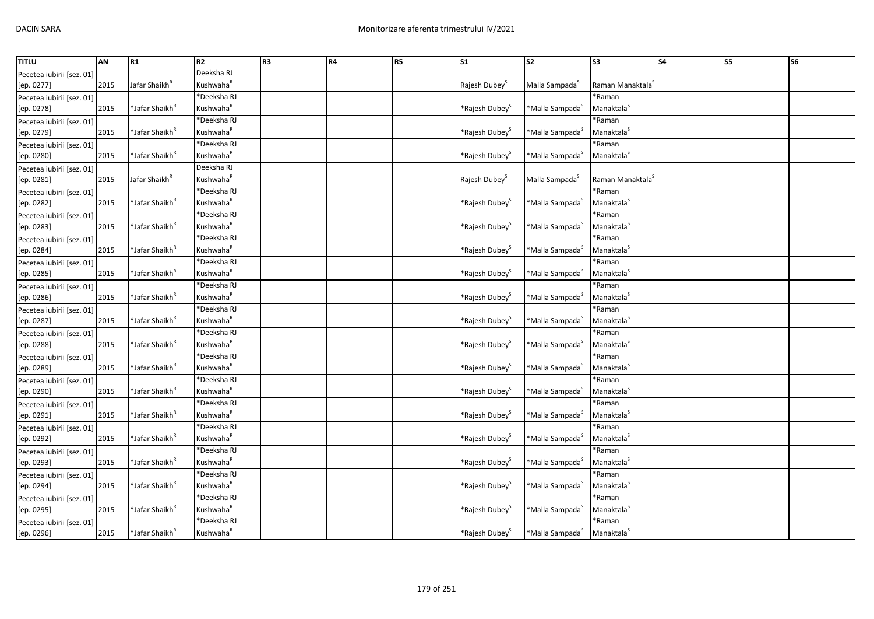| <b>TITLU</b><br><b>S4</b><br>AN<br>R1<br>R2<br>R <sub>3</sub><br>R4<br>R <sub>5</sub><br>S <sub>1</sub><br>S <sub>2</sub><br>S <sub>3</sub>                         | S5 | S <sub>6</sub> |
|---------------------------------------------------------------------------------------------------------------------------------------------------------------------|----|----------------|
| Deeksha RJ<br>Pecetea iubirii [sez. 01]                                                                                                                             |    |                |
| Kushwaha <sup>R</sup><br>2015<br>Jafar Shaikh <sup>k</sup><br>Rajesh Dubey <sup>S</sup><br>Malla Sampada <sup>S</sup><br>Raman Manaktala <sup>5</sup><br>[ep. 0277] |    |                |
| *Deeksha RJ<br>*Raman<br>Pecetea iubirii [sez. 01]                                                                                                                  |    |                |
| Manaktala <sup>S</sup><br>Kushwaha <sup>k</sup><br>2015<br>*Jafar Shaikh <sup>ĸ</sup><br>*Rajesh Dubey <sup>&gt;</sup><br>[ep. 0278]<br>*Malla Sampada <sup>3</sup> |    |                |
| *Deeksha RJ<br>*Raman<br>Pecetea iubirii [sez. 01]                                                                                                                  |    |                |
| Kushwaha <sup>R</sup><br>Manaktala <sup>S</sup><br>2015<br>*Jafar Shaikh <sup>ĸ</sup><br>*Malla Sampada <sup>S</sup><br>[ep. 0279]<br>*Rajesh Dubey <sup>&gt;</sup> |    |                |
| *Deeksha RJ<br>*Raman<br>Pecetea iubirii [sez. 01]                                                                                                                  |    |                |
| 2015<br>*Jafar Shaikh <sup>ĸ</sup><br>Kushwaha <sup>k</sup><br>*Malla Sampada <sup>S</sup><br>Manaktala <sup>S</sup><br>[ep. 0280]<br>*Rajesh Dubey <sup>&gt;</sup> |    |                |
| Deeksha RJ<br>Pecetea iubirii [sez. 01]                                                                                                                             |    |                |
| Kushwaha <sup>R</sup><br>Raman Manaktala <sup>5</sup><br>2015<br>Jafar Shaikh <sup>"</sup><br>Rajesh Dubey <sup>5</sup><br>Malla Sampada <sup>5</sup><br>[ep. 0281] |    |                |
| <b>Deeksha RJ</b><br>*Raman<br>Pecetea iubirii [sez. 01]                                                                                                            |    |                |
| Kushwaha <sup>R</sup><br>Manaktala <sup>S</sup><br>2015<br>*Jafar Shaikh <sup>ĸ</sup><br>[ep. 0282]<br>*Rajesh Dubey <sup>&gt;</sup><br>*Malla Sampada <sup>5</sup> |    |                |
| *Deeksha RJ<br>*Raman<br>Pecetea iubirii [sez. 01]                                                                                                                  |    |                |
| Kushwaha <sup>R</sup><br>*Malla Sampada <sup>S</sup><br>Manaktala <sup>S</sup><br>2015<br>*Jafar Shaikh <sup>ĸ</sup><br>[ep. 0283]<br>*Rajesh Dubey <sup>3</sup>    |    |                |
| *Deeksha RJ<br>*Raman<br>Pecetea iubirii [sez. 01]                                                                                                                  |    |                |
| Kushwaha <sup>R</sup><br>Manaktala <sup>S</sup><br>2015<br>*Jafar Shaikh <sup>R</sup><br>*Malla Sampada <sup>S</sup><br>[ep. 0284]<br>*Rajesh Dubey <sup>5</sup>    |    |                |
| *Deeksha RJ<br>*Raman<br>Pecetea iubirii [sez. 01]                                                                                                                  |    |                |
| *Jafar Shaikh <sup>R</sup><br>Kushwaha <sup>R</sup><br>2015<br>*Malla Sampada <sup>S</sup><br>Manaktala <sup>5</sup><br>[ep. 0285]<br>*Rajesh Dubey <sup>&gt;</sup> |    |                |
| *Deeksha RJ<br>*Raman<br>Pecetea iubirii [sez. 01]                                                                                                                  |    |                |
| Manaktala <sup>S</sup><br>Kushwaha <sup>k</sup><br>*Malla Sampada <sup>S</sup><br>2015<br>*Jafar Shaikh <sup>ĸ</sup><br>*Rajesh Dubey <sup>&gt;</sup><br>[ep. 0286] |    |                |
| *Deeksha RJ<br>*Raman<br>Pecetea iubirii [sez. 01]                                                                                                                  |    |                |
| Kushwaha <sup>R</sup><br>Manaktala <sup>S</sup><br>2015<br>*Jafar Shaikh <sup>к</sup><br>*Malla Sampada <sup>S</sup><br>[ep. 0287]<br>*Rajesh Dubey <sup>3</sup>    |    |                |
| *Deeksha RJ<br>*Raman<br>Pecetea iubirii [sez. 01]                                                                                                                  |    |                |
| Kushwaha <sup>R</sup><br>Manaktala <sup>S</sup><br>2015<br>*Jafar Shaikh <sup>ĸ</sup><br>*Malla Sampada <sup>S</sup><br>[ep. 0288]<br>*Rajesh Dubey <sup>&gt;</sup> |    |                |
| *Deeksha RJ<br>*Raman<br>Pecetea iubirii [sez. 01]                                                                                                                  |    |                |
| Manaktala $^{\text{S}}$<br>Kushwaha <sup>R</sup><br>*Jafar Shaikh <sup>"</sup><br>*Malla Sampada <sup>s</sup><br>[ep. 0289]<br>2015<br>*Rajesh Dubey <sup>3</sup>   |    |                |
| *Deeksha RJ<br>*Raman<br>Pecetea iubirii [sez. 01]                                                                                                                  |    |                |
| *Jafar Shaikh <sup>R</sup><br>Kushwaha <sup>R</sup><br>Manaktala <sup>S</sup><br>2015<br>*Malla Sampada <sup>S</sup><br>[ep. 0290]<br>*Rajesh Dubey <sup>&gt;</sup> |    |                |
| *Deeksha RJ<br>*Raman<br>Pecetea iubirii [sez. 01]                                                                                                                  |    |                |
| Kushwaha <sup>R</sup><br>*Malla Sampada <sup>S</sup><br>Manaktala <sup>S</sup><br>2015<br>*Jafar Shaikh <sup>n</sup><br>*Rajesh Dubey <sup>&gt;</sup><br>[ep. 0291] |    |                |
| *Deeksha RJ<br>*Raman<br>Pecetea iubirii [sez. 01]                                                                                                                  |    |                |
| Kushwaha <sup>R</sup><br>Manaktala <sup>S</sup><br>2015<br>*Jafar Shaikh <sup>R</sup><br>[ep. 0292]<br>*Rajesh Dubey <sup>&gt;</sup><br>*Malla Sampada <sup>3</sup> |    |                |
| Deeksha RJ<br>*Raman<br>Pecetea iubirii [sez. 01]                                                                                                                   |    |                |
| Kushwaha <sup>R</sup><br>Manaktala <sup>S</sup><br>2015<br>*Jafar Shaikh <sup>R</sup><br>*Rajesh Dubey <sup>&gt;</sup><br>[ep. 0293]<br>*Malla Sampada <sup>3</sup> |    |                |
| *Deeksha RJ<br>*Raman<br>Pecetea iubirii [sez. 01]                                                                                                                  |    |                |
| Kushwaha <sup>R</sup><br>2015<br>*Malla Sampada <sup>S</sup><br>Manaktala <sup>5</sup><br>[ep. 0294]<br>*Jafar Shaikh <sup>ĸ</sup><br>*Rajesh Dubey <sup>3</sup>    |    |                |
| *Deeksha RJ<br>*Raman<br>Pecetea iubirii [sez. 01]                                                                                                                  |    |                |
| Kushwaha <sup>R</sup><br>Manaktala <sup>S</sup><br>2015<br>*Jafar Shaikh <sup>ĸ</sup><br>*Malla Sampada <sup>S</sup><br>[ep. 0295]<br>*Rajesh Dubey                 |    |                |
| *Deeksha RJ<br>*Raman<br>Pecetea iubirii [sez. 01]                                                                                                                  |    |                |
| Kushwaha <sup>R</sup><br>2015<br>*Jafar Shaikh <sup>ĸ</sup><br>*Rajesh Dubey <sup>S</sup><br>*Malla Sampada <sup>5</sup><br>Manaktala <sup>5</sup><br>[ep. 0296]    |    |                |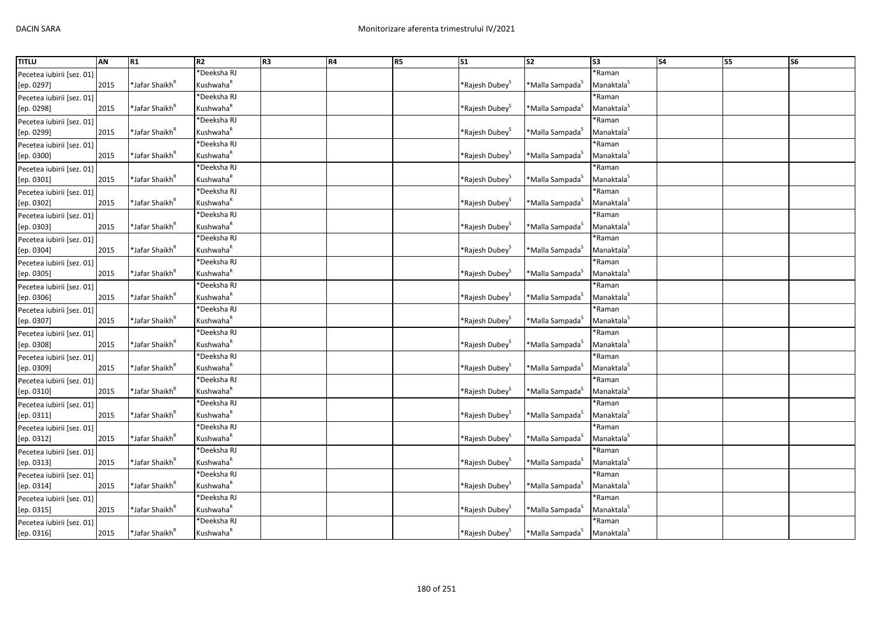| <b>TITLU</b>              | AN   | R1                         | R <sub>2</sub>        | R <sub>3</sub> | R4 | R5 | S <sub>1</sub>                | $\overline{\text{S2}}$      | $\overline{\text{S3}}$ | <b>S4</b> | <b>S5</b> | S <sub>6</sub> |
|---------------------------|------|----------------------------|-----------------------|----------------|----|----|-------------------------------|-----------------------------|------------------------|-----------|-----------|----------------|
| Pecetea iubirii [sez. 01] |      |                            | <b>Deeksha RJ</b>     |                |    |    |                               |                             | *Raman                 |           |           |                |
| [ep. 0297]                | 2015 | *Jafar Shaikh <sup>R</sup> | Kushwaha <sup>R</sup> |                |    |    | *Rajesh Dubey <sup>5</sup>    | *Malla Sampada <sup>5</sup> | Manaktala <sup>5</sup> |           |           |                |
| Pecetea iubirii [sez. 01] |      |                            | Deeksha RJ            |                |    |    |                               |                             | *Raman                 |           |           |                |
| [ep. 0298]                | 2015 | *Jafar Shaikh <sup>ĸ</sup> | Kushwaha <sup>R</sup> |                |    |    | *Rajesh Dubey <sup>&gt;</sup> | *Malla Sampada <sup>5</sup> | Manaktala <sup>S</sup> |           |           |                |
| Pecetea iubirii [sez. 01] |      |                            | *Deeksha RJ           |                |    |    |                               |                             | *Raman                 |           |           |                |
| [ep. 0299]                | 2015 | *Jafar Shaikh <sup>ĸ</sup> | Kushwaha <sup>R</sup> |                |    |    | *Rajesh Dubey <sup>&gt;</sup> | *Malla Sampada <sup>S</sup> | Manaktala <sup>5</sup> |           |           |                |
| Pecetea iubirii [sez. 01] |      |                            | Deeksha RJ            |                |    |    |                               |                             | *Raman                 |           |           |                |
| [ep. 0300]                | 2015 | *Jafar Shaikh <sup>ĸ</sup> | Kushwaha <sup>R</sup> |                |    |    | *Rajesh Dubey <sup>&gt;</sup> | *Malla Sampada <sup>5</sup> | Manaktala <sup>S</sup> |           |           |                |
| Pecetea iubirii [sez. 01] |      |                            | *Deeksha RJ           |                |    |    |                               |                             | *Raman                 |           |           |                |
| [ep. 0301]                | 2015 | *Jafar Shaikh <sup>ĸ</sup> | Kushwaha <sup>R</sup> |                |    |    | *Rajesh Dubey <sup>3</sup>    | *Malla Sampada <sup>3</sup> | Manaktala <sup>S</sup> |           |           |                |
| Pecetea iubirii [sez. 01] |      |                            | <b>Deeksha RJ</b>     |                |    |    |                               |                             | *Raman                 |           |           |                |
| [ep. 0302]                | 2015 | *Jafar Shaikh <sup>R</sup> | Kushwaha <sup>R</sup> |                |    |    | *Rajesh Dubey <sup>&gt;</sup> | *Malla Sampada <sup>s</sup> | Manaktala <sup>S</sup> |           |           |                |
| Pecetea iubirii [sez. 01] |      |                            | *Deeksha RJ           |                |    |    |                               |                             | *Raman                 |           |           |                |
| [ep. 0303]                | 2015 | *Jafar Shaikh <sup>ĸ</sup> | Kushwaha <sup>R</sup> |                |    |    | *Rajesh Dubey <sup>s</sup>    | *Malla Sampada <sup>S</sup> | Manaktala <sup>5</sup> |           |           |                |
| Pecetea iubirii [sez. 01] |      |                            | Deeksha RJ            |                |    |    |                               |                             | *Raman                 |           |           |                |
| [ep. 0304]                | 2015 | *Jafar Shaikh <sup>R</sup> | Kushwaha <sup>R</sup> |                |    |    | *Rajesh Dubey <sup>S</sup>    | *Malla Sampada <sup>S</sup> | Manaktala <sup>S</sup> |           |           |                |
| Pecetea iubirii [sez. 01] |      |                            | <b>Deeksha RJ</b>     |                |    |    |                               |                             | *Raman                 |           |           |                |
| [ep. 0305]                | 2015 | *Jafar Shaikh <sup>ĸ</sup> | Kushwaha <sup>R</sup> |                |    |    | *Rajesh Dubey <sup>&gt;</sup> | *Malla Sampada <sup>s</sup> | Manaktala <sup>5</sup> |           |           |                |
| Pecetea iubirii [sez. 01] |      |                            | <b>Deeksha RJ</b>     |                |    |    |                               |                             | *Raman                 |           |           |                |
| [ep. 0306]                | 2015 | *Jafar Shaikh <sup>ĸ</sup> | Kushwaha <sup>R</sup> |                |    |    | *Rajesh Dubey <sup>&gt;</sup> | *Malla Sampada <sup>S</sup> | Manaktala <sup>S</sup> |           |           |                |
| Pecetea iubirii [sez. 01] |      |                            | <b>Deeksha RJ</b>     |                |    |    |                               |                             | *Raman                 |           |           |                |
| [ep. 0307]                | 2015 | *Jafar Shaikh <sup>n</sup> | Kushwaha <sup>R</sup> |                |    |    | *Rajesh Dubey                 | *Malla Sampada <sup>5</sup> | Manaktala <sup>S</sup> |           |           |                |
| Pecetea iubirii [sez. 01] |      |                            | <b>Deeksha RJ</b>     |                |    |    |                               |                             | *Raman                 |           |           |                |
| [ep. 0308]                | 2015 | *Jafar Shaikh <sup>R</sup> | Kushwaha <sup>R</sup> |                |    |    | *Rajesh Dubey <sup>&gt;</sup> | *Malla Sampada <sup>s</sup> | Manaktala <sup>S</sup> |           |           |                |
| Pecetea iubirii [sez. 01] |      |                            | <b>Deeksha RJ</b>     |                |    |    |                               |                             | *Raman                 |           |           |                |
| [ep. 0309]                | 2015 | *Jafar Shaikh <sup>"</sup> | Kushwaha <sup>R</sup> |                |    |    | *Rajesh Dubey <sup>3</sup>    | *Malla Sampada <sup>S</sup> | Manaktala <sup>S</sup> |           |           |                |
| Pecetea iubirii [sez. 01] |      |                            | *Deeksha RJ           |                |    |    |                               |                             | *Raman                 |           |           |                |
| [ep. 0310]                | 2015 | *Jafar Shaikh <sup>R</sup> | Kushwaha <sup>R</sup> |                |    |    | *Rajesh Dubey <sup>S</sup>    | *Malla Sampada <sup>S</sup> | Manaktala <sup>S</sup> |           |           |                |
| Pecetea iubirii [sez. 01] |      |                            | <b>Deeksha RJ</b>     |                |    |    |                               |                             | *Raman                 |           |           |                |
| [ep. 0311]                | 2015 | *Jafar Shaikh <sup>ĸ</sup> | Kushwaha <sup>R</sup> |                |    |    | *Rajesh Dubey <sup>3</sup>    | *Malla Sampada <sup>5</sup> | Manaktala <sup>5</sup> |           |           |                |
| Pecetea iubirii [sez. 01] |      |                            | <b>Deeksha RJ</b>     |                |    |    |                               |                             | *Raman                 |           |           |                |
| [ep. 0312]                | 2015 | *Jafar Shaikh <sup>ĸ</sup> | Kushwaha <sup>R</sup> |                |    |    | *Rajesh Dubey <sup>&gt;</sup> | *Malla Sampada <sup>S</sup> | Manaktala <sup>S</sup> |           |           |                |
| Pecetea iubirii [sez. 01] |      |                            | Deeksha RJ            |                |    |    |                               |                             | *Raman                 |           |           |                |
| [ep. 0313]                | 2015 | *Jafar Shaikh <sup>R</sup> | Kushwaha <sup>R</sup> |                |    |    | *Rajesh Dubey <sup>5</sup>    | *Malla Sampada <sup>5</sup> | Manaktala <sup>S</sup> |           |           |                |
| Pecetea iubirii [sez. 01] |      |                            | *Deeksha RJ           |                |    |    |                               |                             | *Raman                 |           |           |                |
| [ep. 0314]                | 2015 | *Jafar Shaikh <sup>ĸ</sup> | Kushwaha <sup>R</sup> |                |    |    | *Rajesh Dubey <sup>3</sup>    | *Malla Sampada <sup>S</sup> | Manaktala <sup>S</sup> |           |           |                |
| Pecetea iubirii [sez. 01] |      |                            | <b>Deeksha RJ</b>     |                |    |    |                               |                             | *Raman                 |           |           |                |
| [ep. 0315]                | 2015 | *Jafar Shaikh <sup>ĸ</sup> | Kushwaha <sup>R</sup> |                |    |    | *Rajesh Dubey <sup>3</sup>    | *Malla Sampada <sup>S</sup> | Manaktala <sup>S</sup> |           |           |                |
| Pecetea iubirii [sez. 01] |      |                            | <b>Deeksha RJ</b>     |                |    |    |                               |                             | *Raman                 |           |           |                |
| [ep. 0316]                | 2015 | *Jafar Shaikh <sup>ĸ</sup> | Kushwaha <sup>R</sup> |                |    |    | *Rajesh Dubey <sup>5</sup>    | *Malla Sampada <sup>5</sup> | Manaktala <sup>S</sup> |           |           |                |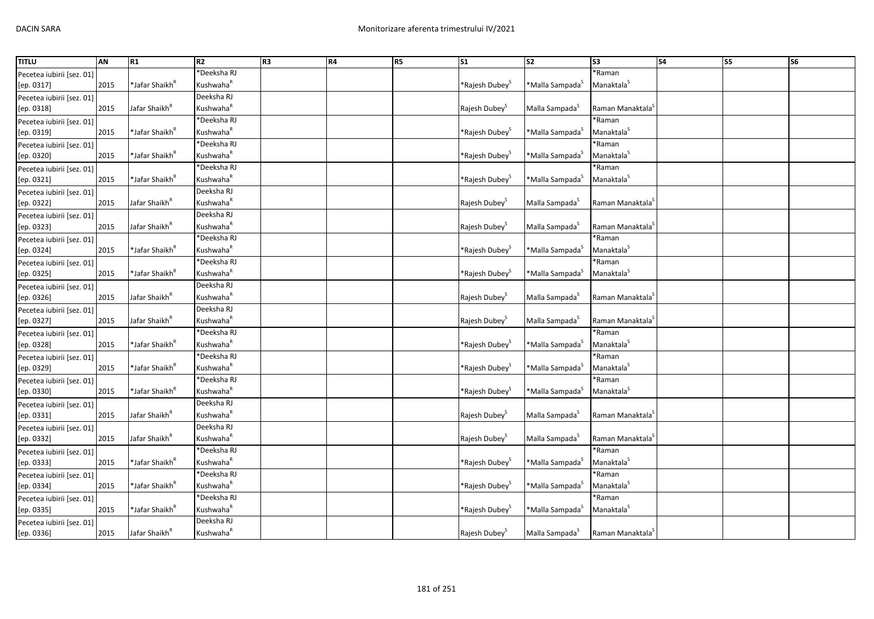| <b>TITLU</b>              | AN   | R1                         | R2                    | R <sub>3</sub> | R4 | R <sub>5</sub> | S <sub>1</sub>                | $\overline{\text{S2}}$         | S <sub>3</sub>               | S <sub>4</sub> | <b>S5</b> | S <sub>6</sub> |
|---------------------------|------|----------------------------|-----------------------|----------------|----|----------------|-------------------------------|--------------------------------|------------------------------|----------------|-----------|----------------|
| Pecetea iubirii [sez. 01] |      |                            | *Deeksha RJ           |                |    |                |                               |                                | *Raman                       |                |           |                |
| [ep. 0317]                | 2015 | *Jafar Shaikh <sup>R</sup> | Kushwaha <sup>R</sup> |                |    |                | *Rajesh Dubey <sup>s</sup>    | *Malla Sampada <sup>s</sup>    | Manaktala <sup>S</sup>       |                |           |                |
| Pecetea iubirii [sez. 01] |      |                            | Deeksha RJ            |                |    |                |                               |                                |                              |                |           |                |
| [ep. 0318]                | 2015 | Jafar Shaikh <sup>k</sup>  | Kushwaha <sup>R</sup> |                |    |                | Rajesh Dubey <sup>5</sup>     | Malla Sampada <sup>5</sup>     | Raman Manaktala <sup>3</sup> |                |           |                |
| Pecetea iubirii [sez. 01] |      |                            | *Deeksha RJ           |                |    |                |                               |                                | *Raman                       |                |           |                |
| [ep. 0319]                | 2015 | *Jafar Shaikh <sup>R</sup> | Kushwaha <sup>R</sup> |                |    |                | *Rajesh Dubey <sup>&gt;</sup> | *Malla Sampada <sup>S</sup>    | Manaktala <sup>5</sup>       |                |           |                |
| Pecetea iubirii [sez. 01] |      |                            | *Deeksha RJ           |                |    |                |                               |                                | *Raman                       |                |           |                |
| [ep. 0320]                | 2015 | *Jafar Shaikh <sup>R</sup> | Kushwaha <sup>k</sup> |                |    |                | *Rajesh Dubey <sup>3</sup>    | *Malla Sampada <sup>5</sup>    | Manaktala <sup>5</sup>       |                |           |                |
| Pecetea iubirii [sez. 01] |      |                            | *Deeksha RJ           |                |    |                |                               |                                | *Raman                       |                |           |                |
| [ep. 0321]                | 2015 | *Jafar Shaikh <sup>ĸ</sup> | Kushwaha <sup>R</sup> |                |    |                | *Rajesh Dubey <sup>&gt;</sup> | *Malla Sampada <sup>S</sup>    | Manaktala <sup>S</sup>       |                |           |                |
| Pecetea iubirii [sez. 01] |      |                            | Deeksha RJ            |                |    |                |                               |                                |                              |                |           |                |
| [ep. 0322]                | 2015 | Jafar Shaikh <sup>R</sup>  | Kushwaha <sup>R</sup> |                |    |                | Rajesh Dubey <sup>S</sup>     | Malla Sampada <sup>S</sup>     | Raman Manaktala <sup>5</sup> |                |           |                |
| Pecetea iubirii [sez. 01] |      |                            | Deeksha RJ            |                |    |                |                               |                                |                              |                |           |                |
| [ep. 0323]                | 2015 | Jafar Shaikh <sup>k</sup>  | Kushwaha <sup>R</sup> |                |    |                | Rajesh Dubey <sup>5</sup>     | Malla Sampada <sup>5</sup>     | Raman Manaktala <sup>3</sup> |                |           |                |
| Pecetea iubirii [sez. 01] |      |                            | *Deeksha RJ           |                |    |                |                               |                                | *Raman                       |                |           |                |
| [ep. 0324]                | 2015 | *Jafar Shaikh <sup>R</sup> | Kushwaha <sup>R</sup> |                |    |                | *Rajesh Dubey <sup>s</sup>    | *Malla Sampada <sup>5</sup>    | Manaktala <sup>S</sup>       |                |           |                |
| Pecetea iubirii [sez. 01] |      |                            | *Deeksha RJ           |                |    |                |                               |                                | *Raman                       |                |           |                |
| [ep. 0325]                | 2015 | *Jafar Shaikh <sup>ĸ</sup> | Kushwaha <sup>k</sup> |                |    |                | *Rajesh Dubey <sup>&gt;</sup> | *Malla Sampada <sup>&gt;</sup> | Manaktala <sup>S</sup>       |                |           |                |
| Pecetea iubirii [sez. 01] |      |                            | Deeksha RJ            |                |    |                |                               |                                |                              |                |           |                |
| [ep. 0326]                | 2015 | Jafar Shaikh <sup>"</sup>  | Kushwaha <sup>R</sup> |                |    |                | Rajesh Dubey <sup>5</sup>     | Malla Sampada <sup>S</sup>     | Raman Manaktala <sup>3</sup> |                |           |                |
| Pecetea iubirii [sez. 01] |      |                            | Deeksha RJ            |                |    |                |                               |                                |                              |                |           |                |
| [ep. 0327]                | 2015 | Jafar Shaikh <sup>R</sup>  | Kushwaha <sup>R</sup> |                |    |                | Rajesh Dubey <sup>3</sup>     | Malla Sampada <sup>S</sup>     | Raman Manaktala <sup>3</sup> |                |           |                |
| Pecetea iubirii [sez. 01] |      |                            | *Deeksha RJ           |                |    |                |                               |                                | *Raman                       |                |           |                |
| [ep. 0328]                | 2015 | *Jafar Shaikh <sup>ĸ</sup> | Kushwaha <sup>R</sup> |                |    |                | *Rajesh Dubey <sup>&gt;</sup> | *Malla Sampada <sup>s</sup>    | Manaktala <sup>S</sup>       |                |           |                |
| Pecetea iubirii [sez. 01] |      |                            | 'Deeksha RJ           |                |    |                |                               |                                | *Raman                       |                |           |                |
| [ep. 0329]                | 2015 | *Jafar Shaikh <sup>"</sup> | Kushwaha <sup>R</sup> |                |    |                | *Rajesh Dubey <sup>3</sup>    | *Malla Sampada <sup>S</sup>    | Manaktala <sup>S</sup>       |                |           |                |
| Pecetea iubirii [sez. 01] |      |                            | *Deeksha RJ           |                |    |                |                               |                                | *Raman                       |                |           |                |
| [ep. 0330]                | 2015 | *Jafar Shaikh <sup>R</sup> | Kushwaha <sup>R</sup> |                |    |                | *Rajesh Dubey <sup>&gt;</sup> | *Malla Sampada <sup>S</sup>    | Manaktala <sup>S</sup>       |                |           |                |
| Pecetea iubirii [sez. 01] |      |                            | Deeksha RJ            |                |    |                |                               |                                |                              |                |           |                |
| [ep. 0331]                | 2015 | Jafar Shaikh <sup>R</sup>  | Kushwaha <sup>R</sup> |                |    |                | Rajesh Dubey <sup>5</sup>     | Malla Sampada <sup>5</sup>     | Raman Manaktala <sup>3</sup> |                |           |                |
| Pecetea iubirii [sez. 01] |      |                            | Deeksha RJ            |                |    |                |                               |                                |                              |                |           |                |
| [ep. 0332]                | 2015 | Jafar Shaikh <sup>"</sup>  | Kushwaha <sup>R</sup> |                |    |                | Rajesh Dubey <sup>5</sup>     | Malla Sampada <sup>S</sup>     | Raman Manaktala <sup>3</sup> |                |           |                |
| Pecetea iubirii [sez. 01] |      |                            | <b>Deeksha RJ</b>     |                |    |                |                               |                                | *Raman                       |                |           |                |
| [ep. 0333]                | 2015 | *Jafar Shaikh <sup>"</sup> | Kushwaha <sup>R</sup> |                |    |                | *Rajesh Dubey <sup>&gt;</sup> | *Malla Sampada <sup>3</sup>    | Manaktala <sup>S</sup>       |                |           |                |
| Pecetea iubirii [sez. 01] |      |                            | *Deeksha RJ           |                |    |                |                               |                                | *Raman                       |                |           |                |
| [ep. 0334]                | 2015 | *Jafar Shaikh <sup>ĸ</sup> | Kushwaha <sup>R</sup> |                |    |                | *Rajesh Dubey <sup>3</sup>    | *Malla Sampada <sup>S</sup>    | Manaktala <sup>5</sup>       |                |           |                |
| Pecetea iubirii [sez. 01] |      |                            | *Deeksha RJ           |                |    |                |                               |                                | *Raman                       |                |           |                |
| [ep. 0335]                | 2015 | *Jafar Shaikh <sup>ĸ</sup> | Kushwaha <sup>R</sup> |                |    |                | *Rajesh Dubey <sup>3</sup>    | *Malla Sampada <sup>S</sup>    | Manaktala <sup>S</sup>       |                |           |                |
| Pecetea iubirii [sez. 01] |      |                            | Deeksha RJ            |                |    |                |                               |                                |                              |                |           |                |
| [ep. 0336]                | 2015 | Jafar Shaikh <sup>R</sup>  | Kushwaha <sup>R</sup> |                |    |                | Rajesh Dubey <sup>S</sup>     | Malla Sampada <sup>5</sup>     | Raman Manaktala <sup>3</sup> |                |           |                |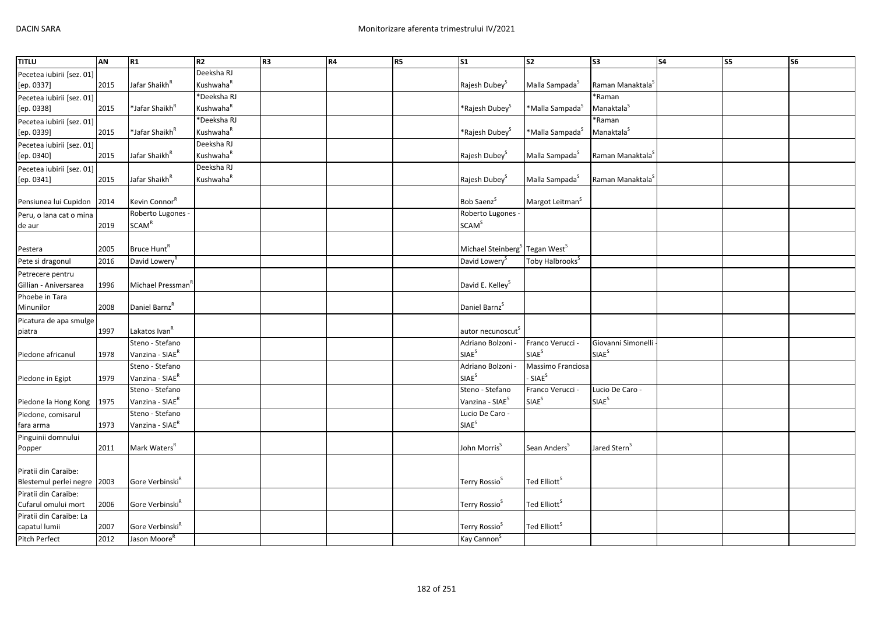| <b>TITLU</b>              | <b>AN</b> | R1                          | R2                    | R <sub>3</sub> | R4 | R5 | $\overline{\text{S1}}$                                 | <b>S2</b>                   | S <sub>3</sub>               | <b>S4</b> | <b>S5</b> | $\overline{\text{S6}}$ |
|---------------------------|-----------|-----------------------------|-----------------------|----------------|----|----|--------------------------------------------------------|-----------------------------|------------------------------|-----------|-----------|------------------------|
| Pecetea iubirii [sez. 01] |           |                             | Deeksha RJ            |                |    |    |                                                        |                             |                              |           |           |                        |
| [ep. 0337]                | 2015      | Jafar Shaikh <sup>R</sup>   | Kushwaha <sup>R</sup> |                |    |    | Rajesh Dubey <sup>5</sup>                              | Malla Sampada <sup>5</sup>  | Raman Manaktala <sup>5</sup> |           |           |                        |
| Pecetea iubirii [sez. 01] |           |                             | *Deeksha RJ           |                |    |    |                                                        |                             | *Raman                       |           |           |                        |
| [ep. 0338]                | 2015      | *Jafar Shaikh <sup>R</sup>  | Kushwaha <sup>R</sup> |                |    |    | *Rajesh Dubey <sup>s</sup>                             | *Malla Sampada <sup>S</sup> | Manaktala <sup>S</sup>       |           |           |                        |
| Pecetea iubirii [sez. 01] |           |                             | *Deeksha RJ           |                |    |    |                                                        |                             | *Raman                       |           |           |                        |
| [ep. 0339]                | 2015      | *Jafar Shaikh <sup>R</sup>  | Kushwaha <sup>R</sup> |                |    |    | *Rajesh Dubey <sup>S</sup>                             | *Malla Sampada <sup>S</sup> | Manaktala <sup>S</sup>       |           |           |                        |
| Pecetea iubirii [sez. 01] |           |                             | Deeksha RJ            |                |    |    |                                                        |                             |                              |           |           |                        |
| [ep. 0340]                | 2015      | Jafar Shaikh <sup>R</sup>   | Kushwaha <sup>R</sup> |                |    |    | Rajesh Dubey <sup>S</sup>                              | Malla Sampada <sup>S</sup>  | Raman Manaktala <sup>5</sup> |           |           |                        |
| Pecetea iubirii [sez. 01] |           |                             | Deeksha RJ            |                |    |    |                                                        |                             |                              |           |           |                        |
| [ep. 0341]                | 2015      | Jafar Shaikh <sup>R</sup>   | Kushwaha <sup>R</sup> |                |    |    | Rajesh Dubey <sup>S</sup>                              | Malla Sampada <sup>S</sup>  | Raman Manaktala <sup>5</sup> |           |           |                        |
|                           |           |                             |                       |                |    |    |                                                        |                             |                              |           |           |                        |
| Pensiunea lui Cupidon     | 2014      | Kevin Connor <sup>R</sup>   |                       |                |    |    | Bob Saenz <sup>S</sup>                                 | Margot Leitman <sup>S</sup> |                              |           |           |                        |
| Peru, o lana cat o mina   |           | Roberto Lugones -           |                       |                |    |    | Roberto Lugones -                                      |                             |                              |           |           |                        |
| de aur                    | 2019      | <b>SCAM<sup>R</sup></b>     |                       |                |    |    | <b>SCAM<sup>S</sup></b>                                |                             |                              |           |           |                        |
|                           |           |                             |                       |                |    |    |                                                        |                             |                              |           |           |                        |
| Pestera                   | 2005      | Bruce Hunt <sup>R</sup>     |                       |                |    |    | Michael Steinberg <sup>S</sup> Tegan West <sup>S</sup> |                             |                              |           |           |                        |
| Pete si dragonul          | 2016      | David Lowery <sup>f</sup>   |                       |                |    |    | David Lowery <sup>S</sup>                              | Toby Halbrooks <sup>S</sup> |                              |           |           |                        |
| Petrecere pentru          |           |                             |                       |                |    |    |                                                        |                             |                              |           |           |                        |
| Gillian - Aniversarea     | 1996      | Michael Pressman            |                       |                |    |    | David E. Kelley <sup>S</sup>                           |                             |                              |           |           |                        |
| Phoebe in Tara            |           |                             |                       |                |    |    |                                                        |                             |                              |           |           |                        |
| Minunilor                 | 2008      | Daniel Barnz <sup>R</sup>   |                       |                |    |    | Daniel Barnz <sup>5</sup>                              |                             |                              |           |           |                        |
| Picatura de apa smulge    |           |                             |                       |                |    |    |                                                        |                             |                              |           |           |                        |
| piatra                    | 1997      | Lakatos Ivan <sup>R</sup>   |                       |                |    |    | autor necunoscut <sup>5</sup>                          |                             |                              |           |           |                        |
|                           |           | Steno - Stefano             |                       |                |    |    | Adriano Bolzoni -                                      | Franco Verucci -            | Giovanni Simonelli           |           |           |                        |
| Piedone africanul         | 1978      | Vanzina - SIAE <sup>R</sup> |                       |                |    |    | <b>SIAE</b> <sup>S</sup>                               | SIAE <sup>S</sup>           | SIAE <sup>S</sup>            |           |           |                        |
|                           |           | Steno - Stefano             |                       |                |    |    | Adriano Bolzoni -                                      | Massimo Franciosa           |                              |           |           |                        |
| Piedone in Egipt          | 1979      | Vanzina - SIAE <sup>R</sup> |                       |                |    |    | <b>SIAE<sup>S</sup></b>                                | SIAE <sup>S</sup>           |                              |           |           |                        |
|                           |           | Steno - Stefano             |                       |                |    |    | Steno - Stefano                                        | Franco Verucci -            | Lucio De Caro -              |           |           |                        |
| Piedone la Hong Kong      | 1975      | Vanzina - SIAE <sup>R</sup> |                       |                |    |    | Vanzina - SIAE <sup>S</sup>                            | SIAE <sup>S</sup>           | SIAE <sup>S</sup>            |           |           |                        |
| Piedone, comisarul        |           | Steno - Stefano             |                       |                |    |    | Lucio De Caro -                                        |                             |                              |           |           |                        |
| fara arma                 | 1973      | Vanzina - SIAE <sup>R</sup> |                       |                |    |    | <b>SIAE</b> <sup>S</sup>                               |                             |                              |           |           |                        |
| Pinguinii domnului        |           |                             |                       |                |    |    |                                                        |                             |                              |           |           |                        |
| Popper                    | 2011      | Mark Waters <sup>R</sup>    |                       |                |    |    | John Morris <sup>5</sup>                               | Sean Anders <sup>S</sup>    | Jared Stern <sup>s</sup>     |           |           |                        |
|                           |           |                             |                       |                |    |    |                                                        |                             |                              |           |           |                        |
| Piratii din Caraibe:      |           |                             |                       |                |    |    |                                                        |                             |                              |           |           |                        |
| Blestemul perlei negre    | 2003      | Gore Verbinski <sup>R</sup> |                       |                |    |    | Terry Rossio <sup>S</sup>                              | Ted Elliott <sup>5</sup>    |                              |           |           |                        |
| Piratii din Caraibe:      |           |                             |                       |                |    |    |                                                        |                             |                              |           |           |                        |
| Cufarul omului mort       | 2006      | Gore Verbinski <sup>R</sup> |                       |                |    |    | Terry Rossio <sup>5</sup>                              | Ted Elliott <sup>S</sup>    |                              |           |           |                        |
| Piratii din Caraibe: La   |           |                             |                       |                |    |    |                                                        |                             |                              |           |           |                        |
| capatul lumii             | 2007      | Gore Verbinski <sup>R</sup> |                       |                |    |    | Terry Rossio <sup>S</sup>                              | Ted Elliott <sup>&gt;</sup> |                              |           |           |                        |
| Pitch Perfect             | 2012      | Jason Moore <sup>R</sup>    |                       |                |    |    | Kay Cannon <sup>S</sup>                                |                             |                              |           |           |                        |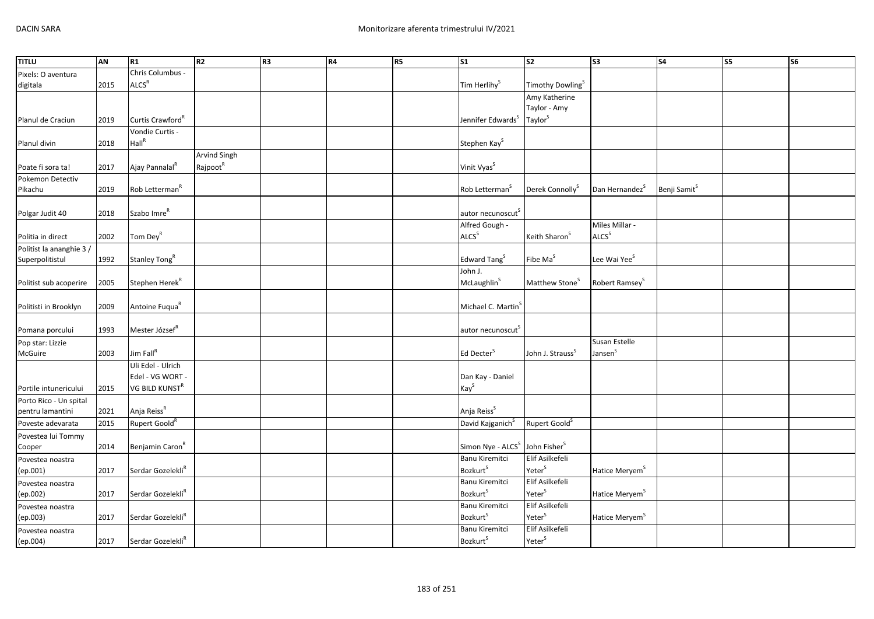| <b>TITLU</b>                               | AN   | R1                            | R2                   | R <sub>3</sub> | R4 | R5 | S <sub>1</sub>                                | S <sub>2</sub>                        | S <sub>3</sub>             | <b>S4</b>                | $\overline{\text{S}}$ | <b>S6</b> |
|--------------------------------------------|------|-------------------------------|----------------------|----------------|----|----|-----------------------------------------------|---------------------------------------|----------------------------|--------------------------|-----------------------|-----------|
| Pixels: O aventura                         |      | Chris Columbus -              |                      |                |    |    |                                               |                                       |                            |                          |                       |           |
| digitala                                   | 2015 | ALCS <sup>R</sup>             |                      |                |    |    | Tim Herlihy <sup>S</sup>                      | Timothy Dowling <sup>S</sup>          |                            |                          |                       |           |
|                                            |      |                               |                      |                |    |    |                                               | Amy Katherine                         |                            |                          |                       |           |
|                                            |      |                               |                      |                |    |    |                                               | Taylor - Amy                          |                            |                          |                       |           |
| Planul de Craciun                          | 2019 | Curtis Crawford <sup>"</sup>  |                      |                |    |    | Jennifer Edwards <sup>S</sup>                 | Taylor <sup>S</sup>                   |                            |                          |                       |           |
|                                            |      | Vondie Curtis -               |                      |                |    |    |                                               |                                       |                            |                          |                       |           |
| Planul divin                               | 2018 | Hall <sup>R</sup>             |                      |                |    |    | Stephen Kay <sup>S</sup>                      |                                       |                            |                          |                       |           |
|                                            |      |                               | <b>Arvind Singh</b>  |                |    |    |                                               |                                       |                            |                          |                       |           |
| Poate fi sora ta!                          | 2017 | Ajay Pannalal <sup>R</sup>    | Rajpoot <sup>R</sup> |                |    |    | Vinit Vyas <sup>S</sup>                       |                                       |                            |                          |                       |           |
| Pokemon Detectiv                           |      |                               |                      |                |    |    |                                               |                                       |                            |                          |                       |           |
| Pikachu                                    | 2019 | Rob Letterman <sup>R</sup>    |                      |                |    |    | Rob Letterman <sup>S</sup>                    | Derek Connolly <sup>S</sup>           | Dan Hernandez <sup>5</sup> | Benji Samit <sup>S</sup> |                       |           |
|                                            |      |                               |                      |                |    |    |                                               |                                       |                            |                          |                       |           |
| Polgar Judit 40                            | 2018 | Szabo Imre <sup>R</sup>       |                      |                |    |    | autor necunoscut <sup>S</sup>                 |                                       |                            |                          |                       |           |
|                                            |      |                               |                      |                |    |    | Alfred Gough -                                |                                       | Miles Millar -             |                          |                       |           |
| Politia in direct                          | 2002 | Tom Dey <sup>R</sup>          |                      |                |    |    | <b>ALCS</b> <sup>S</sup>                      | Keith Sharon <sup>S</sup>             | ALCS <sup>S</sup>          |                          |                       |           |
| Politist la ananghie 3 /                   |      |                               |                      |                |    |    |                                               |                                       |                            |                          |                       |           |
| Superpolitistul                            | 1992 | Stanley Tong <sup>R</sup>     |                      |                |    |    | Edward Tang <sup>S</sup>                      | Fibe Ma <sup>S</sup>                  | Lee Wai Yee <sup>S</sup>   |                          |                       |           |
|                                            |      |                               |                      |                |    |    | John J.                                       |                                       |                            |                          |                       |           |
| Politist sub acoperire                     | 2005 | Stephen Herek <sup>R</sup>    |                      |                |    |    | McLaughlin <sup>S</sup>                       | Matthew Stone <sup>S</sup>            | Robert Ramsey <sup>S</sup> |                          |                       |           |
|                                            |      |                               |                      |                |    |    |                                               |                                       |                            |                          |                       |           |
| Politisti in Brooklyn                      | 2009 | Antoine Fuqua <sup>R</sup>    |                      |                |    |    | Michael C. Martin                             |                                       |                            |                          |                       |           |
|                                            |      |                               |                      |                |    |    |                                               |                                       |                            |                          |                       |           |
| Pomana porcului                            | 1993 | Mester József <sup>R</sup>    |                      |                |    |    | autor necunoscut                              |                                       |                            |                          |                       |           |
|                                            |      |                               |                      |                |    |    |                                               |                                       | Susan Estelle              |                          |                       |           |
| Pop star: Lizzie<br>McGuire                | 2003 | Jim Fall <sup>R</sup>         |                      |                |    |    | Ed Decter <sup>5</sup>                        | John J. Strauss <sup>5</sup>          | Jansen <sup>S</sup>        |                          |                       |           |
|                                            |      | Uli Edel - Ulrich             |                      |                |    |    |                                               |                                       |                            |                          |                       |           |
|                                            |      | Edel - VG WORT -              |                      |                |    |    | Dan Kay - Daniel                              |                                       |                            |                          |                       |           |
| Portile intunericului                      | 2015 | VG BILD KUNST <sup>R</sup>    |                      |                |    |    | Kay <sup>S</sup>                              |                                       |                            |                          |                       |           |
|                                            |      |                               |                      |                |    |    |                                               |                                       |                            |                          |                       |           |
| Porto Rico - Un spital<br>pentru lamantini | 2021 | Anja Reiss <sup>R</sup>       |                      |                |    |    | Anja Reiss <sup>S</sup>                       |                                       |                            |                          |                       |           |
| Poveste adevarata                          | 2015 | Rupert Goold <sup>R</sup>     |                      |                |    |    | David Kajganich <sup>S</sup>                  | Rupert Goold <sup>S</sup>             |                            |                          |                       |           |
|                                            |      |                               |                      |                |    |    |                                               |                                       |                            |                          |                       |           |
| Povestea lui Tommy                         |      | Benjamin Caron <sup>R</sup>   |                      |                |    |    | Simon Nye - ALCS <sup>S</sup>                 |                                       |                            |                          |                       |           |
| Cooper                                     | 2014 |                               |                      |                |    |    |                                               | John Fisher <sup>S</sup>              |                            |                          |                       |           |
| Povestea noastra                           |      |                               |                      |                |    |    | Banu Kiremitci<br><b>Bozkurt</b> <sup>S</sup> | Elif Asilkefeli<br>Yeter <sup>S</sup> |                            |                          |                       |           |
| (ep.001)                                   | 2017 | Serdar Gozelekli <sup>R</sup> |                      |                |    |    |                                               |                                       | Hatice Meryem <sup>S</sup> |                          |                       |           |
| Povestea noastra                           |      |                               |                      |                |    |    | Banu Kiremitci                                | Elif Asilkefeli                       |                            |                          |                       |           |
| (ep.002)                                   | 2017 | Serdar Gozelekli <sup>R</sup> |                      |                |    |    | Bozkurt <sup>S</sup>                          | Yeter <sup>S</sup>                    | Hatice Meryem <sup>S</sup> |                          |                       |           |
| Povestea noastra                           |      |                               |                      |                |    |    | Banu Kiremitci                                | Elif Asilkefeli                       |                            |                          |                       |           |
| (ep.003)                                   | 2017 | Serdar Gozelekli <sup>R</sup> |                      |                |    |    | <b>Bozkurt</b> <sup>S</sup>                   | Yeter <sup>S</sup>                    | Hatice Meryem <sup>S</sup> |                          |                       |           |
| Povestea noastra                           |      |                               |                      |                |    |    | <b>Banu Kiremitci</b>                         | Elif Asilkefeli                       |                            |                          |                       |           |
| (ep.004)                                   | 2017 | Serdar Gozelekli <sup>R</sup> |                      |                |    |    | Bozkurt <sup>S</sup>                          | Yeter <sup>S</sup>                    |                            |                          |                       |           |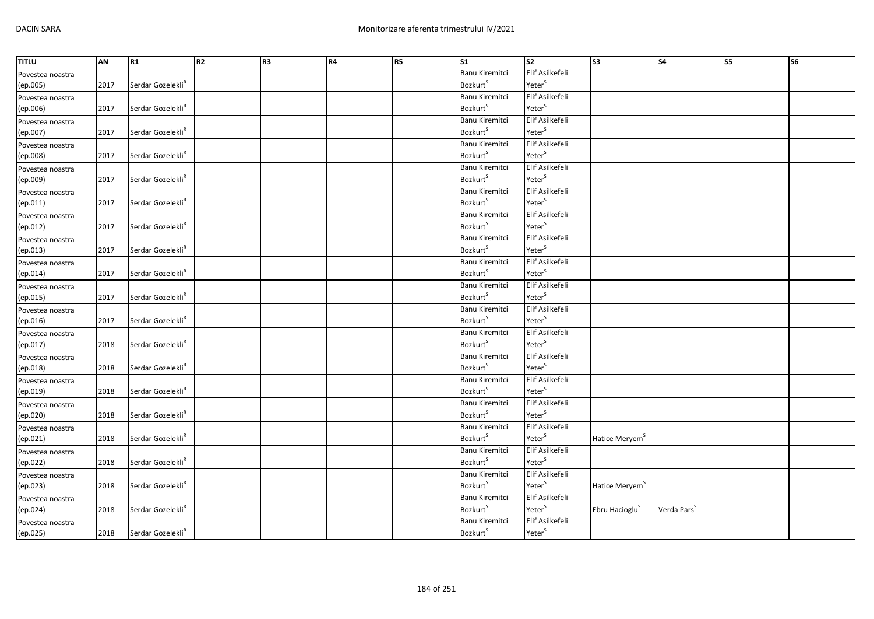| <b>TITLU</b>     | AN   | R1                            | R2 | R <sub>3</sub> | <b>R4</b> | R5 | $\overline{\text{S1}}$      | $\overline{\text{S2}}$ | $\overline{\text{S3}}$     | <b>S4</b>               | <b>S5</b> | $\overline{\text{S6}}$ |
|------------------|------|-------------------------------|----|----------------|-----------|----|-----------------------------|------------------------|----------------------------|-------------------------|-----------|------------------------|
| Povestea noastra |      |                               |    |                |           |    | Banu Kiremitci              | Elif Asilkefeli        |                            |                         |           |                        |
| (ep.005)         | 2017 | Serdar Gozelekli <sup>R</sup> |    |                |           |    | <b>Bozkurt</b> <sup>S</sup> | Yeter <sup>S</sup>     |                            |                         |           |                        |
| Povestea noastra |      |                               |    |                |           |    | Banu Kiremitci              | Elif Asilkefeli        |                            |                         |           |                        |
| (ep.006)         | 2017 | Serdar Gozelekli <sup>R</sup> |    |                |           |    | <b>Bozkurt</b> <sup>S</sup> | Yeter <sup>S</sup>     |                            |                         |           |                        |
| Povestea noastra |      |                               |    |                |           |    | Banu Kiremitci              | Elif Asilkefeli        |                            |                         |           |                        |
| (ep.007)         | 2017 | Serdar Gozelekli <sup>R</sup> |    |                |           |    | Bozkurt <sup>S</sup>        | Yeter <sup>S</sup>     |                            |                         |           |                        |
| Povestea noastra |      |                               |    |                |           |    | Banu Kiremitci              | Elif Asilkefeli        |                            |                         |           |                        |
| (ep.008)         | 2017 | Serdar Gozelekli <sup>R</sup> |    |                |           |    | <b>Bozkurt</b> <sup>S</sup> | Yeter <sup>S</sup>     |                            |                         |           |                        |
| Povestea noastra |      |                               |    |                |           |    | Banu Kiremitci              | Elif Asilkefeli        |                            |                         |           |                        |
| (ep.009)         | 2017 | Serdar Gozelekli <sup>R</sup> |    |                |           |    | <b>Bozkurt</b> <sup>S</sup> | Yeter <sup>S</sup>     |                            |                         |           |                        |
| Povestea noastra |      |                               |    |                |           |    | Banu Kiremitci              | Elif Asilkefeli        |                            |                         |           |                        |
| (ep.011)         | 2017 | Serdar Gozelekli <sup>R</sup> |    |                |           |    | <b>Bozkurt</b> <sup>S</sup> | Yeter <sup>S</sup>     |                            |                         |           |                        |
| Povestea noastra |      |                               |    |                |           |    | Banu Kiremitci              | Elif Asilkefeli        |                            |                         |           |                        |
| (ep.012)         | 2017 | Serdar Gozelekli <sup>R</sup> |    |                |           |    | <b>Bozkurt</b> <sup>S</sup> | Yeter <sup>S</sup>     |                            |                         |           |                        |
| Povestea noastra |      |                               |    |                |           |    | <b>Banu Kiremitci</b>       | Elif Asilkefeli        |                            |                         |           |                        |
| (ep.013)         | 2017 | Serdar Gozelekli <sup>k</sup> |    |                |           |    | <b>Bozkurt</b> <sup>S</sup> | Yeter <sup>S</sup>     |                            |                         |           |                        |
| Povestea noastra |      |                               |    |                |           |    | Banu Kiremitci              | Elif Asilkefeli        |                            |                         |           |                        |
| (ep.014)         | 2017 | Serdar Gozelekli <sup>R</sup> |    |                |           |    | <b>Bozkurt</b> <sup>S</sup> | Yeter <sup>S</sup>     |                            |                         |           |                        |
| Povestea noastra |      |                               |    |                |           |    | Banu Kiremitci              | Elif Asilkefeli        |                            |                         |           |                        |
| (ep.015)         | 2017 | Serdar Gozelekli <sup>R</sup> |    |                |           |    | <b>Bozkurt</b> <sup>S</sup> | Yeter <sup>S</sup>     |                            |                         |           |                        |
| Povestea noastra |      |                               |    |                |           |    | <b>Banu Kiremitci</b>       | Elif Asilkefeli        |                            |                         |           |                        |
| (ep.016)         | 2017 | Serdar Gozelekli <sup>R</sup> |    |                |           |    | Bozkurt <sup>S</sup>        | Yeter <sup>S</sup>     |                            |                         |           |                        |
| Povestea noastra |      |                               |    |                |           |    | Banu Kiremitci              | Elif Asilkefeli        |                            |                         |           |                        |
| (ep.017)         | 2018 | Serdar Gozelekli <sup>R</sup> |    |                |           |    | <b>Bozkurt</b> <sup>S</sup> | Yeter <sup>S</sup>     |                            |                         |           |                        |
| Povestea noastra |      |                               |    |                |           |    | Banu Kiremitci              | Elif Asilkefeli        |                            |                         |           |                        |
| (ep.018)         | 2018 | Serdar Gozelekli <sup>R</sup> |    |                |           |    | <b>Bozkurt</b> <sup>S</sup> | Yeter <sup>S</sup>     |                            |                         |           |                        |
| Povestea noastra |      |                               |    |                |           |    | Banu Kiremitci              | Elif Asilkefeli        |                            |                         |           |                        |
| (ep.019)         | 2018 | Serdar Gozelekli <sup>R</sup> |    |                |           |    | <b>Bozkurt</b> <sup>S</sup> | Yeter <sup>S</sup>     |                            |                         |           |                        |
| Povestea noastra |      |                               |    |                |           |    | Banu Kiremitci              | Elif Asilkefeli        |                            |                         |           |                        |
| (ep.020)         | 2018 | Serdar Gozelekli <sup>R</sup> |    |                |           |    | Bozkurts                    | Yeter <sup>S</sup>     |                            |                         |           |                        |
| Povestea noastra |      |                               |    |                |           |    | Banu Kiremitci              | Elif Asilkefeli        |                            |                         |           |                        |
| (ep.021)         | 2018 | Serdar Gozelekli <sup>R</sup> |    |                |           |    | <b>Bozkurt</b> <sup>S</sup> | Yeter <sup>S</sup>     | Hatice Meryem <sup>5</sup> |                         |           |                        |
| Povestea noastra |      |                               |    |                |           |    | <b>Banu Kiremitci</b>       | Elif Asilkefeli        |                            |                         |           |                        |
| (ep.022)         | 2018 | Serdar Gozelekli <sup>R</sup> |    |                |           |    | <b>Bozkurt</b> <sup>S</sup> | Yeter <sup>S</sup>     |                            |                         |           |                        |
| Povestea noastra |      |                               |    |                |           |    | Banu Kiremitci              | Elif Asilkefeli        |                            |                         |           |                        |
| (ep.023)         | 2018 | Serdar Gozelekli <sup>R</sup> |    |                |           |    | <b>Bozkurt</b> <sup>S</sup> | Yeter <sup>S</sup>     | Hatice Meryem <sup>S</sup> |                         |           |                        |
| Povestea noastra |      |                               |    |                |           |    | <b>Banu Kiremitci</b>       | Elif Asilkefeli        |                            |                         |           |                        |
| (ep.024)         | 2018 | Serdar Gozelekli <sup>R</sup> |    |                |           |    | Bozkurt <sup>S</sup>        | Yeter <sup>S</sup>     | Ebru Hacioglu <sup>5</sup> | Verda Pars <sup>5</sup> |           |                        |
| Povestea noastra |      |                               |    |                |           |    | Banu Kiremitci              | Elif Asilkefeli        |                            |                         |           |                        |
| (ep.025)         | 2018 | Serdar Gozelekli <sup>R</sup> |    |                |           |    | <b>Bozkurt</b> <sup>S</sup> | Yeter <sup>S</sup>     |                            |                         |           |                        |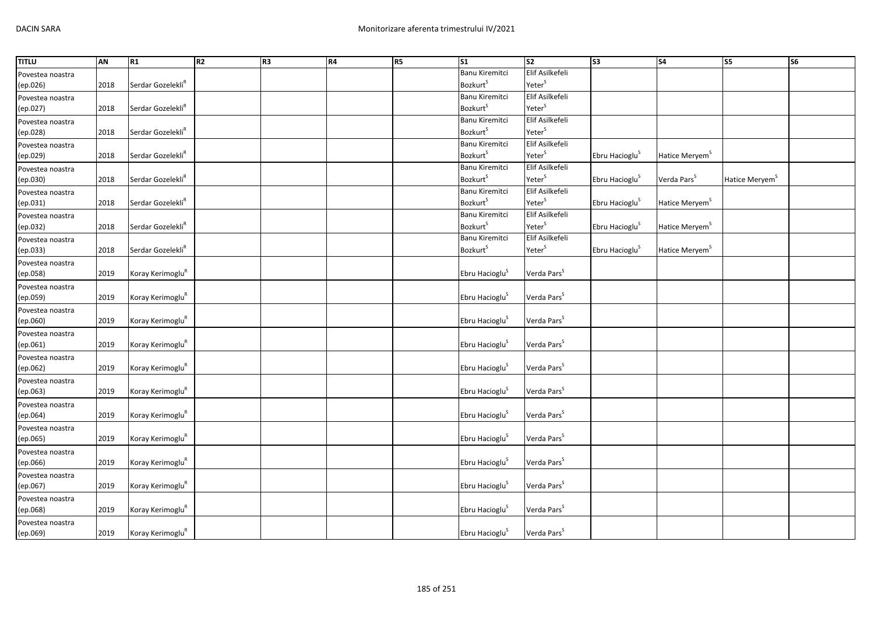| <b>TITLU</b>     | <b>AN</b> | R1                            | R2 | R3 | R4 | R5 | S <sub>1</sub>              | S <sub>2</sub>          | S <sub>3</sub>             | S <sub>4</sub>             | $\overline{\text{S}}$      | $\overline{\text{S6}}$ |
|------------------|-----------|-------------------------------|----|----|----|----|-----------------------------|-------------------------|----------------------------|----------------------------|----------------------------|------------------------|
| Povestea noastra |           |                               |    |    |    |    | Banu Kiremitci              | Elif Asilkefeli         |                            |                            |                            |                        |
| (ep.026)         | 2018      | Serdar Gozelekli <sup>R</sup> |    |    |    |    | <b>Bozkurt</b> <sup>S</sup> | Yeter <sup>S</sup>      |                            |                            |                            |                        |
| Povestea noastra |           |                               |    |    |    |    | Banu Kiremitci              | Elif Asilkefeli         |                            |                            |                            |                        |
| (ep.027)         | 2018      | Serdar Gozelekli <sup>R</sup> |    |    |    |    | <b>Bozkurt</b> <sup>S</sup> | Yeter <sup>S</sup>      |                            |                            |                            |                        |
| Povestea noastra |           |                               |    |    |    |    | <b>Banu Kiremitci</b>       | Elif Asilkefeli         |                            |                            |                            |                        |
| (ep.028)         | 2018      | Serdar Gozelekli <sup>R</sup> |    |    |    |    | Bozkurt <sup>S</sup>        | Yeter <sup>S</sup>      |                            |                            |                            |                        |
| Povestea noastra |           |                               |    |    |    |    | Banu Kiremitci              | Elif Asilkefeli         |                            |                            |                            |                        |
| (ep.029)         | 2018      | Serdar Gozelekli <sup>R</sup> |    |    |    |    | <b>Bozkurt</b> <sup>S</sup> | Yeter <sup>S</sup>      | Ebru Hacioglu <sup>S</sup> | Hatice Meryem <sup>S</sup> |                            |                        |
| Povestea noastra |           |                               |    |    |    |    | <b>Banu Kiremitci</b>       | Elif Asilkefeli         |                            |                            |                            |                        |
| (ep.030)         | 2018      | Serdar Gozelekli <sup>R</sup> |    |    |    |    | <b>Bozkurt</b> <sup>S</sup> | Yeter <sup>S</sup>      | Ebru Hacioglu <sup>S</sup> | Verda Pars <sup>S</sup>    | Hatice Meryem <sup>S</sup> |                        |
| Povestea noastra |           |                               |    |    |    |    | Banu Kiremitci              | Elif Asilkefeli         |                            |                            |                            |                        |
| (ep.031)         | 2018      | Serdar Gozelekli <sup>R</sup> |    |    |    |    | Bozkurt <sup>S</sup>        | Yeter <sup>S</sup>      | Ebru Hacioglu <sup>S</sup> | Hatice Meryem <sup>S</sup> |                            |                        |
| Povestea noastra |           |                               |    |    |    |    | Banu Kiremitci              | Elif Asilkefeli         |                            |                            |                            |                        |
| (ep.032)         | 2018      | Serdar Gozelekli <sup>R</sup> |    |    |    |    | <b>Bozkurt</b> <sup>S</sup> | Yeter <sup>S</sup>      | Ebru Hacioglu <sup>S</sup> | Hatice Meryem <sup>S</sup> |                            |                        |
| Povestea noastra |           |                               |    |    |    |    | <b>Banu Kiremitci</b>       | Elif Asilkefeli         |                            |                            |                            |                        |
| (ep.033)         | 2018      | Serdar Gozelekli <sup>R</sup> |    |    |    |    | <b>Bozkurt</b> <sup>S</sup> | Yeter <sup>S</sup>      | Ebru Hacioglu <sup>S</sup> | Hatice Meryem <sup>S</sup> |                            |                        |
| Povestea noastra |           |                               |    |    |    |    |                             |                         |                            |                            |                            |                        |
| (ep.058)         | 2019      | Koray Kerimoglu <sup>R</sup>  |    |    |    |    | Ebru Hacioglu <sup>S</sup>  | Verda Pars <sup>S</sup> |                            |                            |                            |                        |
| Povestea noastra |           |                               |    |    |    |    |                             |                         |                            |                            |                            |                        |
| (ep.059)         | 2019      | Koray Kerimoglu <sup>R</sup>  |    |    |    |    | Ebru Hacioglu <sup>S</sup>  | Verda Pars <sup>S</sup> |                            |                            |                            |                        |
| Povestea noastra |           |                               |    |    |    |    |                             |                         |                            |                            |                            |                        |
| (ep.060)         | 2019      | Koray Kerimoglu <sup>R</sup>  |    |    |    |    | Ebru Hacioglu <sup>S</sup>  | Verda Pars <sup>S</sup> |                            |                            |                            |                        |
| Povestea noastra |           |                               |    |    |    |    |                             |                         |                            |                            |                            |                        |
| (ep.061)         | 2019      | Koray Kerimoglu <sup>R</sup>  |    |    |    |    | Ebru Hacioglu <sup>S</sup>  | Verda Pars <sup>S</sup> |                            |                            |                            |                        |
| Povestea noastra |           |                               |    |    |    |    |                             |                         |                            |                            |                            |                        |
| (ep.062)         | 2019      | Koray Kerimoglu <sup>R</sup>  |    |    |    |    | Ebru Hacioglu <sup>S</sup>  | Verda Pars <sup>S</sup> |                            |                            |                            |                        |
| Povestea noastra |           |                               |    |    |    |    |                             |                         |                            |                            |                            |                        |
| (ep.063)         | 2019      | Koray Kerimoglu <sup>R</sup>  |    |    |    |    | Ebru Hacioglu <sup>S</sup>  | Verda Pars <sup>S</sup> |                            |                            |                            |                        |
| Povestea noastra |           |                               |    |    |    |    |                             |                         |                            |                            |                            |                        |
| (ep.064)         | 2019      | Koray Kerimoglu <sup>R</sup>  |    |    |    |    | Ebru Hacioglu <sup>S</sup>  | Verda Pars <sup>S</sup> |                            |                            |                            |                        |
| Povestea noastra |           |                               |    |    |    |    |                             |                         |                            |                            |                            |                        |
| (ep.065)         | 2019      | Koray Kerimoglu <sup>R</sup>  |    |    |    |    | Ebru Hacioglu <sup>S</sup>  | Verda Pars <sup>S</sup> |                            |                            |                            |                        |
| Povestea noastra |           |                               |    |    |    |    |                             |                         |                            |                            |                            |                        |
| (ep.066)         | 2019      | Koray Kerimoglu <sup>R</sup>  |    |    |    |    | Ebru Hacioglu <sup>S</sup>  | Verda Pars <sup>S</sup> |                            |                            |                            |                        |
| Povestea noastra |           |                               |    |    |    |    |                             |                         |                            |                            |                            |                        |
| (ep.067)         | 2019      | Koray Kerimoglu <sup>R</sup>  |    |    |    |    | Ebru Hacioglu <sup>S</sup>  | Verda Pars <sup>S</sup> |                            |                            |                            |                        |
| Povestea noastra |           |                               |    |    |    |    |                             |                         |                            |                            |                            |                        |
| (ep.068)         | 2019      | Koray Kerimoglu <sup>R</sup>  |    |    |    |    | Ebru Hacioglu <sup>S</sup>  | Verda Pars <sup>S</sup> |                            |                            |                            |                        |
| Povestea noastra |           |                               |    |    |    |    |                             |                         |                            |                            |                            |                        |
| (ep.069)         | 2019      | Koray Kerimoglu <sup>R</sup>  |    |    |    |    | Ebru Hacioglu <sup>S</sup>  | Verda Pars <sup>S</sup> |                            |                            |                            |                        |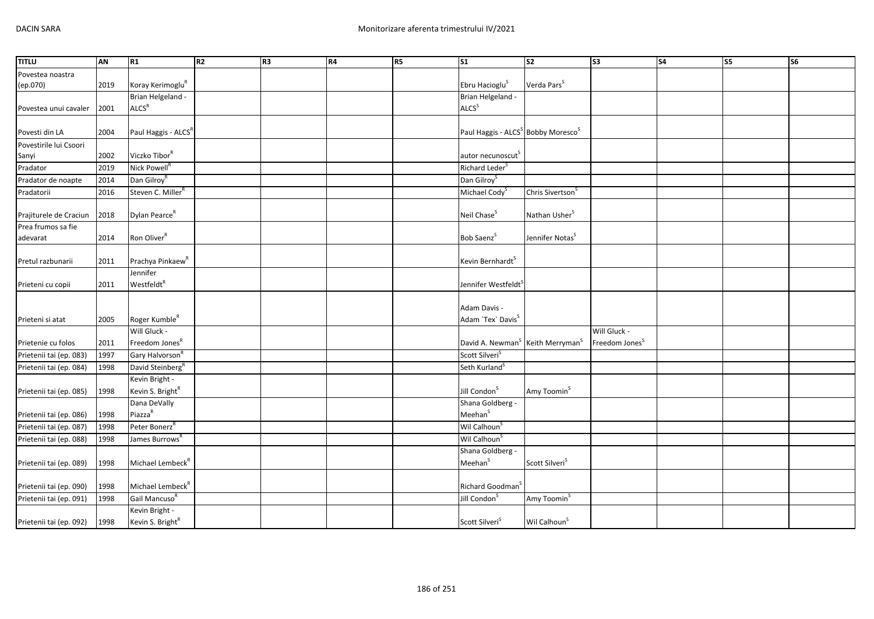| Povestea noastra<br>Koray Kerimoglu <sup>R</sup><br>Ebru Hacioglu <sup>S</sup><br>Verda Pars <sup>S</sup><br>(ep.070)<br>2019<br>Brian Helgeland -<br>Brian Helgeland -<br>ALCS <sup>R</sup><br>ALCS <sup>S</sup><br>2001<br>Povestea unui cavaler<br>Paul Haggis - ALCS <sup>R</sup><br>Paul Haggis - ALCS <sup>S</sup> Bobby Moresco <sup>S</sup><br>Povesti din LA<br>2004<br>Povestirile lui Csoori<br>Viczko Tibor <sup>R</sup><br>2002<br>autor necunoscut <sup>s</sup><br>Sanyi<br>Nick Powell <sup>R</sup><br>Richard Leder <sup>S</sup><br>Pradator<br>2019 |  |
|----------------------------------------------------------------------------------------------------------------------------------------------------------------------------------------------------------------------------------------------------------------------------------------------------------------------------------------------------------------------------------------------------------------------------------------------------------------------------------------------------------------------------------------------------------------------|--|
|                                                                                                                                                                                                                                                                                                                                                                                                                                                                                                                                                                      |  |
|                                                                                                                                                                                                                                                                                                                                                                                                                                                                                                                                                                      |  |
|                                                                                                                                                                                                                                                                                                                                                                                                                                                                                                                                                                      |  |
|                                                                                                                                                                                                                                                                                                                                                                                                                                                                                                                                                                      |  |
|                                                                                                                                                                                                                                                                                                                                                                                                                                                                                                                                                                      |  |
|                                                                                                                                                                                                                                                                                                                                                                                                                                                                                                                                                                      |  |
|                                                                                                                                                                                                                                                                                                                                                                                                                                                                                                                                                                      |  |
|                                                                                                                                                                                                                                                                                                                                                                                                                                                                                                                                                                      |  |
|                                                                                                                                                                                                                                                                                                                                                                                                                                                                                                                                                                      |  |
| Dan Gilroy <sup>R</sup><br>Dan Gilroy <sup>S</sup><br>2014<br>Pradator de noapte                                                                                                                                                                                                                                                                                                                                                                                                                                                                                     |  |
| Steven C. Miller <sup>R</sup><br>Pradatorii<br>2016<br>Michael Cody <sup>S</sup><br>Chris Sivertson <sup>S</sup>                                                                                                                                                                                                                                                                                                                                                                                                                                                     |  |
|                                                                                                                                                                                                                                                                                                                                                                                                                                                                                                                                                                      |  |
| Dylan Pearce <sup>R</sup><br>Neil Chase <sup>S</sup><br>Nathan Usher <sup>S</sup><br>Prajiturele de Craciun<br>2018                                                                                                                                                                                                                                                                                                                                                                                                                                                  |  |
| Prea frumos sa fie                                                                                                                                                                                                                                                                                                                                                                                                                                                                                                                                                   |  |
| Ron Oliver <sup>R</sup><br>Bob Saenz <sup>S</sup><br>Jennifer Notas <sup>S</sup><br>adevarat<br>2014                                                                                                                                                                                                                                                                                                                                                                                                                                                                 |  |
|                                                                                                                                                                                                                                                                                                                                                                                                                                                                                                                                                                      |  |
| Prachya Pinkaew <sup>R</sup><br>Kevin Bernhardt <sup>S</sup><br>2011<br>Pretul razbunarii                                                                                                                                                                                                                                                                                                                                                                                                                                                                            |  |
| Jennifer                                                                                                                                                                                                                                                                                                                                                                                                                                                                                                                                                             |  |
| Westfeldt <sup>R</sup><br>2011<br>Jennifer Westfeldt<br>Prieteni cu copii                                                                                                                                                                                                                                                                                                                                                                                                                                                                                            |  |
|                                                                                                                                                                                                                                                                                                                                                                                                                                                                                                                                                                      |  |
| Adam Davis -                                                                                                                                                                                                                                                                                                                                                                                                                                                                                                                                                         |  |
| Adam 'Tex' Davis <sup>S</sup><br>Roger Kumble <sup>R</sup><br>Prieteni si atat<br>2005                                                                                                                                                                                                                                                                                                                                                                                                                                                                               |  |
| Will Gluck -<br>Will Gluck -                                                                                                                                                                                                                                                                                                                                                                                                                                                                                                                                         |  |
| Freedom Jones <sup>R</sup><br>Freedom Jones <sup>S</sup><br>David A. Newman <sup>S</sup> Keith Merryman <sup>S</sup><br>Prietenie cu folos<br>2011                                                                                                                                                                                                                                                                                                                                                                                                                   |  |
| Scott Silveri <sup>S</sup><br>Prietenii tai (ep. 083)<br>Gary Halvorson <sup>R</sup><br>1997                                                                                                                                                                                                                                                                                                                                                                                                                                                                         |  |
| David Steinberg <sup>R</sup><br>Seth Kurland <sup>S</sup><br>Prietenii tai (ep. 084)<br>1998                                                                                                                                                                                                                                                                                                                                                                                                                                                                         |  |
| Kevin Bright -                                                                                                                                                                                                                                                                                                                                                                                                                                                                                                                                                       |  |
| Kevin S. Bright <sup>R</sup><br>Jill Condon <sup>S</sup><br>Amy Toomin <sup>S</sup><br>1998<br>Prietenii tai (ep. 085)                                                                                                                                                                                                                                                                                                                                                                                                                                               |  |
| Dana DeVally<br>Shana Goldberg -<br>Piazza <sup>R</sup>                                                                                                                                                                                                                                                                                                                                                                                                                                                                                                              |  |
| Meehan <sup>S</sup><br>1998<br>Prietenii tai (ep. 086)                                                                                                                                                                                                                                                                                                                                                                                                                                                                                                               |  |
| Peter Bonerz <sup>R</sup><br>Wil Calhoun <sup>S</sup><br>Prietenii tai (ep. 087)<br>1998                                                                                                                                                                                                                                                                                                                                                                                                                                                                             |  |
| Wil Calhoun <sup>S</sup><br>James Burrows <sup>R</sup><br>Prietenii tai (ep. 088)<br>1998                                                                                                                                                                                                                                                                                                                                                                                                                                                                            |  |
| Shana Goldberg -                                                                                                                                                                                                                                                                                                                                                                                                                                                                                                                                                     |  |
| Meehan <sup>S</sup><br>Michael Lembeck <sup>R</sup><br>Scott Silveri <sup>S</sup><br>1998<br>Prietenii tai (ep. 089)                                                                                                                                                                                                                                                                                                                                                                                                                                                 |  |
| Michael Lembeck <sup>R</sup><br>Prietenii tai (ep. 090)<br>1998<br>Richard Goodman <sup>3</sup>                                                                                                                                                                                                                                                                                                                                                                                                                                                                      |  |
| Gail Mancuso <sup>R</sup><br>Prietenii tai (ep. 091)<br>Jill Condon<br>Amy Toomin <sup>5</sup><br>1998                                                                                                                                                                                                                                                                                                                                                                                                                                                               |  |
| Kevin Bright -                                                                                                                                                                                                                                                                                                                                                                                                                                                                                                                                                       |  |
| Kevin S. Bright <sup>R</sup><br>Scott Silveri <sup>S</sup><br>Wil Calhoun <sup>S</sup><br>1998<br>Prietenii tai (ep. 092)                                                                                                                                                                                                                                                                                                                                                                                                                                            |  |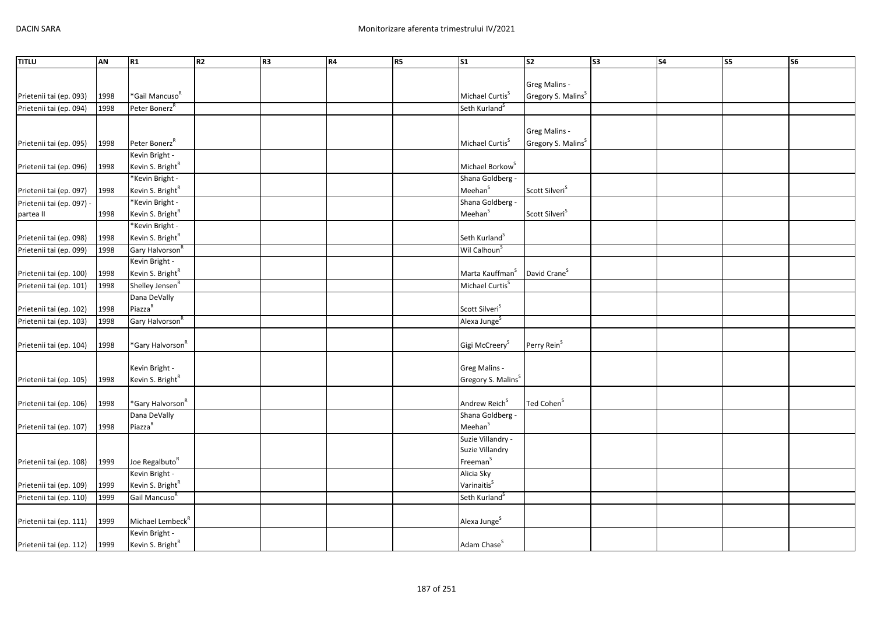| <b>TITLU</b>                           | <b>AN</b> | R1                           | R2 | R <sub>3</sub> | R4 | <b>R5</b> | S <sub>1</sub>                 | $\overline{\text{S2}}$         | S <sub>3</sub> | <b>S4</b> | S <sub>5</sub> | <b>S6</b> |
|----------------------------------------|-----------|------------------------------|----|----------------|----|-----------|--------------------------------|--------------------------------|----------------|-----------|----------------|-----------|
|                                        |           |                              |    |                |    |           |                                |                                |                |           |                |           |
|                                        |           |                              |    |                |    |           |                                | Greg Malins -                  |                |           |                |           |
| Prietenii tai (ep. 093)                | 1998      | *Gail Mancuso <sup>R</sup>   |    |                |    |           | Michael Curtis <sup>5</sup>    | Gregory S. Malins <sup>S</sup> |                |           |                |           |
| Prietenii tai (ep. 094)                | 1998      | Peter Bonerz <sup>R</sup>    |    |                |    |           | Seth Kurland <sup>S</sup>      |                                |                |           |                |           |
|                                        |           |                              |    |                |    |           |                                |                                |                |           |                |           |
|                                        |           |                              |    |                |    |           |                                | Greg Malins -                  |                |           |                |           |
| Prietenii tai (ep. 095)                | 1998      | Peter Bonerz <sup>R</sup>    |    |                |    |           | Michael Curtis <sup>5</sup>    | Gregory S. Malins <sup>S</sup> |                |           |                |           |
|                                        |           | Kevin Bright -               |    |                |    |           |                                |                                |                |           |                |           |
| Prietenii tai (ep. 096)                | 1998      | Kevin S. Bright <sup>R</sup> |    |                |    |           | Michael Borkow <sup>S</sup>    |                                |                |           |                |           |
|                                        |           | *Kevin Bright -              |    |                |    |           | Shana Goldberg -               |                                |                |           |                |           |
| Prietenii tai (ep. 097)                | 1998      | Kevin S. Bright <sup>R</sup> |    |                |    |           | Meehan <sup>S</sup>            | Scott Silveri <sup>S</sup>     |                |           |                |           |
|                                        |           | *Kevin Bright -              |    |                |    |           | Shana Goldberg -               |                                |                |           |                |           |
| Prietenii tai (ep. 097) -<br>partea II | 1998      | Kevin S. Bright <sup>R</sup> |    |                |    |           | Meehan <sup>S</sup>            | Scott Silveri <sup>S</sup>     |                |           |                |           |
|                                        |           | *Kevin Bright -              |    |                |    |           |                                |                                |                |           |                |           |
|                                        |           |                              |    |                |    |           |                                |                                |                |           |                |           |
| Prietenii tai (ep. 098)                | 1998      | Kevin S. Bright <sup>R</sup> |    |                |    |           | Seth Kurland <sup>S</sup>      |                                |                |           |                |           |
| Prietenii tai (ep. 099)                | 1998      | Gary Halvorson <sup>R</sup>  |    |                |    |           | Wil Calhoun <sup>S</sup>       |                                |                |           |                |           |
|                                        |           | Kevin Bright -               |    |                |    |           |                                |                                |                |           |                |           |
| Prietenii tai (ep. 100)                | 1998      | Kevin S. Bright <sup>R</sup> |    |                |    |           | Marta Kauffman <sup>S</sup>    | David Crane <sup>S</sup>       |                |           |                |           |
| Prietenii tai (ep. 101)                | 1998      | Shelley Jensen <sup>R</sup>  |    |                |    |           | Michael Curtis <sup>S</sup>    |                                |                |           |                |           |
|                                        |           | Dana DeVally                 |    |                |    |           |                                |                                |                |           |                |           |
| Prietenii tai (ep. 102)                | 1998      | Piazza <sup>R</sup>          |    |                |    |           | Scott Silveri <sup>S</sup>     |                                |                |           |                |           |
| Prietenii tai (ep. 103)                | 1998      | Gary Halvorson <sup>R</sup>  |    |                |    |           | Alexa Junge <sup>S</sup>       |                                |                |           |                |           |
|                                        |           |                              |    |                |    |           |                                |                                |                |           |                |           |
| Prietenii tai (ep. 104)                | 1998      | *Gary Halvorson <sup>R</sup> |    |                |    |           | Gigi McCreery <sup>5</sup>     | Perry Rein <sup>S</sup>        |                |           |                |           |
|                                        |           |                              |    |                |    |           |                                |                                |                |           |                |           |
|                                        |           | Kevin Bright -               |    |                |    |           | Greg Malins -                  |                                |                |           |                |           |
| Prietenii tai (ep. 105)                | 1998      | Kevin S. Bright <sup>R</sup> |    |                |    |           | Gregory S. Malins <sup>S</sup> |                                |                |           |                |           |
|                                        |           |                              |    |                |    |           |                                |                                |                |           |                |           |
| Prietenii tai (ep. 106)                | 1998      | *Gary Halvorson <sup>R</sup> |    |                |    |           | Andrew Reich <sup>S</sup>      | Ted Cohen <sup>S</sup>         |                |           |                |           |
|                                        |           | Dana DeVally                 |    |                |    |           | Shana Goldberg -               |                                |                |           |                |           |
| Prietenii tai (ep. 107)                | 1998      | Piazza <sup>R</sup>          |    |                |    |           | Meehan <sup>S</sup>            |                                |                |           |                |           |
|                                        |           |                              |    |                |    |           | Suzie Villandry -              |                                |                |           |                |           |
|                                        |           |                              |    |                |    |           | Suzie Villandry                |                                |                |           |                |           |
| Prietenii tai (ep. 108)                | 1999      | Joe Regalbuto <sup>R</sup>   |    |                |    |           | Freeman <sup>S</sup>           |                                |                |           |                |           |
|                                        |           | Kevin Bright -               |    |                |    |           | Alicia Sky                     |                                |                |           |                |           |
| Prietenii tai (ep. 109)                | 1999      | Kevin S. Bright <sup>R</sup> |    |                |    |           | Varinaitis <sup>S</sup>        |                                |                |           |                |           |
| Prietenii tai (ep. 110)                | 1999      | Gail Mancuso <sup>R</sup>    |    |                |    |           | Seth Kurland <sup>S</sup>      |                                |                |           |                |           |
|                                        |           |                              |    |                |    |           |                                |                                |                |           |                |           |
| Prietenii tai (ep. 111)                | 1999      | Michael Lembeck <sup>R</sup> |    |                |    |           | Alexa Junge <sup>S</sup>       |                                |                |           |                |           |
|                                        |           | Kevin Bright -               |    |                |    |           |                                |                                |                |           |                |           |
| Prietenii tai (ep. 112)                | 1999      | Kevin S. Bright <sup>R</sup> |    |                |    |           | Adam Chase <sup>S</sup>        |                                |                |           |                |           |
|                                        |           |                              |    |                |    |           |                                |                                |                |           |                |           |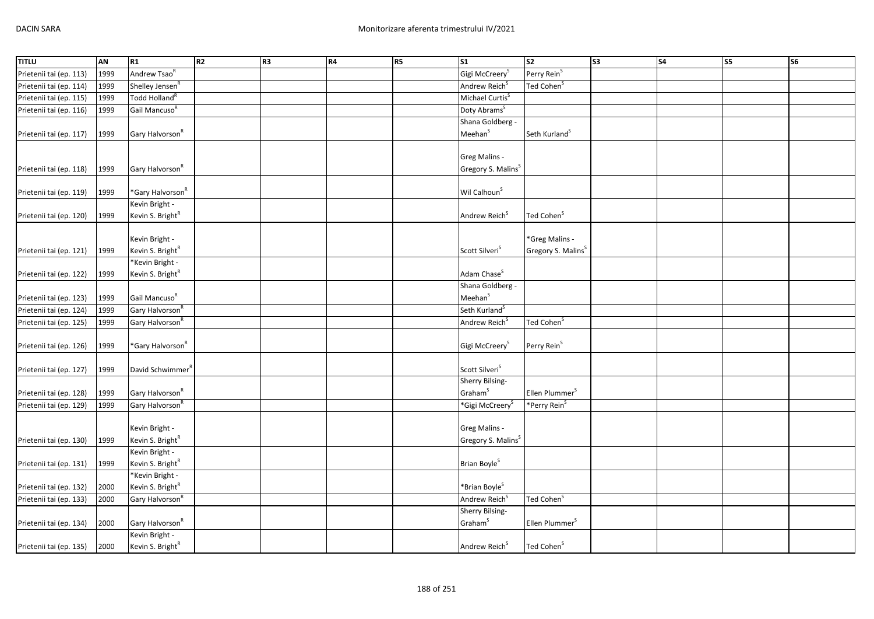| <b>TITLU</b>                                       | <b>AN</b> | R1                           | R <sub>2</sub> | R <sub>3</sub> | R4 | R <sub>5</sub> | $\overline{\text{S1}}$         | s <sub>2</sub>                 | S3 | <b>S4</b> | $\overline{\text{S5}}$ | $\overline{\text{S6}}$ |
|----------------------------------------------------|-----------|------------------------------|----------------|----------------|----|----------------|--------------------------------|--------------------------------|----|-----------|------------------------|------------------------|
| Prietenii tai (ep. 113)                            | 1999      | Andrew Tsao <sup>R</sup>     |                |                |    |                | Gigi McCreery <sup>S</sup>     | Perry Rein <sup>S</sup>        |    |           |                        |                        |
| Prietenii tai (ep. 114)                            | 1999      | Shelley Jensen <sup>R</sup>  |                |                |    |                | Andrew Reich <sup>S</sup>      | Ted Cohen <sup>5</sup>         |    |           |                        |                        |
| Prietenii tai (ep. 115)                            | 1999      | Todd Holland <sup>R</sup>    |                |                |    |                | Michael Curtis <sup>S</sup>    |                                |    |           |                        |                        |
| Prietenii tai (ep. 116)                            | 1999      | Gail Mancuso <sup>R</sup>    |                |                |    |                | Doty Abrams <sup>S</sup>       |                                |    |           |                        |                        |
|                                                    |           |                              |                |                |    |                | Shana Goldberg -               |                                |    |           |                        |                        |
| Prietenii tai (ep. 117)                            | 1999      | Gary Halvorson <sup>R</sup>  |                |                |    |                | Meehan <sup>S</sup>            | Seth Kurland <sup>S</sup>      |    |           |                        |                        |
|                                                    |           |                              |                |                |    |                |                                |                                |    |           |                        |                        |
|                                                    |           |                              |                |                |    |                | Greg Malins -                  |                                |    |           |                        |                        |
| Prietenii tai (ep. 118)                            | 1999      | Gary Halvorson <sup>R</sup>  |                |                |    |                | Gregory S. Malins <sup>S</sup> |                                |    |           |                        |                        |
|                                                    |           |                              |                |                |    |                |                                |                                |    |           |                        |                        |
| Prietenii tai (ep. 119)                            | 1999      | *Gary Halvorson <sup>R</sup> |                |                |    |                | Wil Calhoun <sup>S</sup>       |                                |    |           |                        |                        |
|                                                    |           | Kevin Bright -               |                |                |    |                |                                |                                |    |           |                        |                        |
| Prietenii tai (ep. 120)                            | 1999      | Kevin S. Bright <sup>R</sup> |                |                |    |                | Andrew Reich <sup>S</sup>      | Ted Cohen <sup>S</sup>         |    |           |                        |                        |
|                                                    |           |                              |                |                |    |                |                                |                                |    |           |                        |                        |
|                                                    |           | Kevin Bright -               |                |                |    |                |                                | *Greg Malins -                 |    |           |                        |                        |
| Prietenii tai (ep. 121)                            | 1999      | Kevin S. Bright <sup>R</sup> |                |                |    |                | Scott Silveri <sup>S</sup>     | Gregory S. Malins <sup>S</sup> |    |           |                        |                        |
|                                                    |           | *Kevin Bright -              |                |                |    |                | Adam Chase <sup>S</sup>        |                                |    |           |                        |                        |
| Prietenii tai (ep. 122)                            | 1999      | Kevin S. Bright <sup>R</sup> |                |                |    |                | Shana Goldberg -               |                                |    |           |                        |                        |
|                                                    | 1999      | Gail Mancuso <sup>R</sup>    |                |                |    |                | Meehan <sup>S</sup>            |                                |    |           |                        |                        |
| Prietenii tai (ep. 123)<br>Prietenii tai (ep. 124) | 1999      | Gary Halvorson <sup>R</sup>  |                |                |    |                | Seth Kurland <sup>S</sup>      |                                |    |           |                        |                        |
| Prietenii tai (ep. 125)                            | 1999      | Gary Halvorson <sup>R</sup>  |                |                |    |                | Andrew Reich <sup>S</sup>      | Ted Cohen <sup>S</sup>         |    |           |                        |                        |
|                                                    |           |                              |                |                |    |                |                                |                                |    |           |                        |                        |
| Prietenii tai (ep. 126)                            | 1999      | *Gary Halvorson <sup>R</sup> |                |                |    |                | Gigi McCreery <sup>S</sup>     | Perry Rein <sup>S</sup>        |    |           |                        |                        |
|                                                    |           |                              |                |                |    |                |                                |                                |    |           |                        |                        |
| Prietenii tai (ep. 127)                            | 1999      | David Schwimmer <sup>"</sup> |                |                |    |                | Scott Silveri <sup>S</sup>     |                                |    |           |                        |                        |
|                                                    |           |                              |                |                |    |                | Sherry Bilsing-                |                                |    |           |                        |                        |
| Prietenii tai (ep. 128)                            | 1999      | Gary Halvorson <sup>R</sup>  |                |                |    |                | Graham <sup>S</sup>            | Ellen Plummer <sup>S</sup>     |    |           |                        |                        |
| Prietenii tai (ep. 129)                            | 1999      | Gary Halvorson <sup>R</sup>  |                |                |    |                | *Gigi McCreery <sup>s</sup>    | *Perry Rein <sup>S</sup>       |    |           |                        |                        |
|                                                    |           |                              |                |                |    |                |                                |                                |    |           |                        |                        |
|                                                    |           | Kevin Bright -               |                |                |    |                | <b>Greg Malins -</b>           |                                |    |           |                        |                        |
| Prietenii tai (ep. 130)                            | 1999      | Kevin S. Bright <sup>R</sup> |                |                |    |                | Gregory S. Malins <sup>S</sup> |                                |    |           |                        |                        |
|                                                    |           | Kevin Bright -               |                |                |    |                |                                |                                |    |           |                        |                        |
| Prietenii tai (ep. 131)                            | 1999      | Kevin S. Bright <sup>R</sup> |                |                |    |                | Brian Boyle <sup>S</sup>       |                                |    |           |                        |                        |
|                                                    |           | *Kevin Bright -              |                |                |    |                |                                |                                |    |           |                        |                        |
| Prietenii tai (ep. 132)                            | 2000      | Kevin S. Bright <sup>R</sup> |                |                |    |                | *Brian Boyle <sup>S</sup>      |                                |    |           |                        |                        |
| Prietenii tai (ep. 133)                            | 2000      | Gary Halvorson <sup>R</sup>  |                |                |    |                | Andrew Reich <sup>S</sup>      | Ted Cohen <sup>S</sup>         |    |           |                        |                        |
|                                                    |           |                              |                |                |    |                | Sherry Bilsing-                |                                |    |           |                        |                        |
| Prietenii tai (ep. 134)                            | 2000      | Gary Halvorson <sup>R</sup>  |                |                |    |                | Graham <sup>S</sup>            | Ellen Plummer <sup>S</sup>     |    |           |                        |                        |
|                                                    |           | Kevin Bright -               |                |                |    |                |                                |                                |    |           |                        |                        |
| Prietenii tai (ep. 135)                            | 2000      | Kevin S. Bright <sup>R</sup> |                |                |    |                | Andrew Reich <sup>S</sup>      | Ted Cohen <sup>S</sup>         |    |           |                        |                        |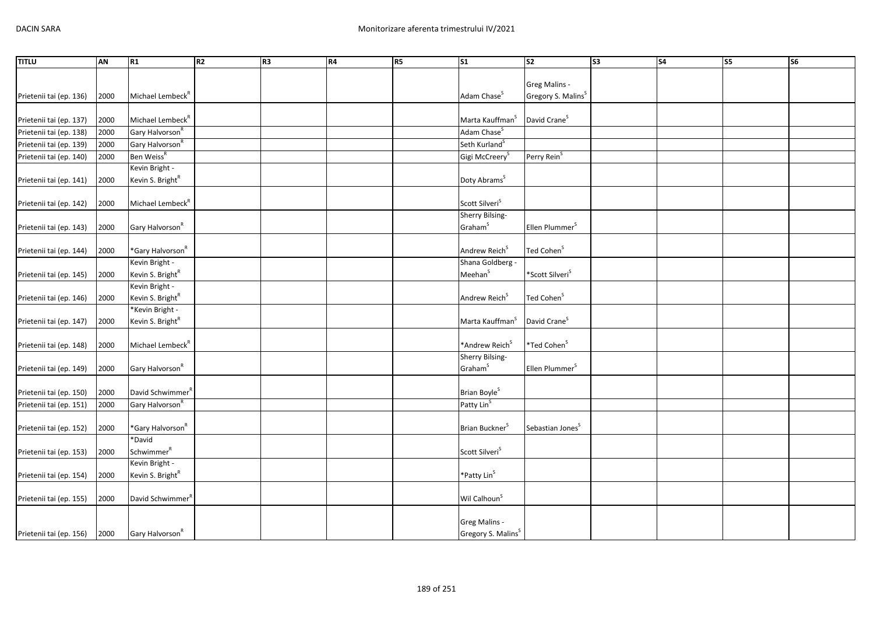| <b>TITLU</b>            | AN   | R1                           | R2 | R <sub>3</sub> | R4 | R5 | S <sub>1</sub>                 | $\overline{\text{S2}}$         | S <sub>3</sub> | <b>S4</b> | S5 | s6 |
|-------------------------|------|------------------------------|----|----------------|----|----|--------------------------------|--------------------------------|----------------|-----------|----|----|
|                         |      |                              |    |                |    |    |                                |                                |                |           |    |    |
|                         |      |                              |    |                |    |    |                                | Greg Malins -                  |                |           |    |    |
| Prietenii tai (ep. 136) | 2000 | Michael Lembeck <sup>R</sup> |    |                |    |    | Adam Chase <sup>S</sup>        | Gregory S. Malins <sup>S</sup> |                |           |    |    |
|                         |      |                              |    |                |    |    |                                |                                |                |           |    |    |
| Prietenii tai (ep. 137) | 2000 | Michael Lembeck <sup>R</sup> |    |                |    |    | Marta Kauffman <sup>S</sup>    | David Crane <sup>S</sup>       |                |           |    |    |
| Prietenii tai (ep. 138) | 2000 | Gary Halvorson <sup>R</sup>  |    |                |    |    | Adam Chase <sup>S</sup>        |                                |                |           |    |    |
| Prietenii tai (ep. 139) | 2000 | Gary Halvorson <sup>R</sup>  |    |                |    |    | Seth Kurland <sup>S</sup>      |                                |                |           |    |    |
| Prietenii tai (ep. 140) | 2000 | Ben Weiss <sup>R</sup>       |    |                |    |    | Gigi McCreery <sup>S</sup>     | Perry Rein <sup>S</sup>        |                |           |    |    |
|                         |      | Kevin Bright -               |    |                |    |    |                                |                                |                |           |    |    |
| Prietenii tai (ep. 141) | 2000 | Kevin S. Bright <sup>R</sup> |    |                |    |    | Doty Abrams <sup>S</sup>       |                                |                |           |    |    |
| Prietenii tai (ep. 142) | 2000 | Michael Lembeck <sup>R</sup> |    |                |    |    | Scott Silveri <sup>S</sup>     |                                |                |           |    |    |
|                         |      |                              |    |                |    |    | Sherry Bilsing-                |                                |                |           |    |    |
| Prietenii tai (ep. 143) | 2000 | Gary Halvorson <sup>R</sup>  |    |                |    |    | Graham <sup>S</sup>            | Ellen Plummer <sup>S</sup>     |                |           |    |    |
|                         |      |                              |    |                |    |    |                                |                                |                |           |    |    |
| Prietenii tai (ep. 144) | 2000 | *Gary Halvorson <sup>R</sup> |    |                |    |    | Andrew Reich <sup>S</sup>      | Ted Cohen <sup>S</sup>         |                |           |    |    |
|                         |      | Kevin Bright -               |    |                |    |    | Shana Goldberg -               |                                |                |           |    |    |
| Prietenii tai (ep. 145) | 2000 | Kevin S. Bright <sup>R</sup> |    |                |    |    | Meehan <sup>S</sup>            | *Scott Silveri <sup>S</sup>    |                |           |    |    |
|                         |      | Kevin Bright -               |    |                |    |    |                                |                                |                |           |    |    |
| Prietenii tai (ep. 146) | 2000 | Kevin S. Bright <sup>R</sup> |    |                |    |    | Andrew Reich <sup>S</sup>      | Ted Cohen <sup>S</sup>         |                |           |    |    |
|                         |      | *Kevin Bright -              |    |                |    |    |                                |                                |                |           |    |    |
| Prietenii tai (ep. 147) | 2000 | Kevin S. Bright <sup>R</sup> |    |                |    |    | Marta Kauffman <sup>S</sup>    | David Crane <sup>S</sup>       |                |           |    |    |
|                         |      | Michael Lembeck <sup>R</sup> |    |                |    |    | *Andrew Reich <sup>S</sup>     | *Ted Cohen <sup>S</sup>        |                |           |    |    |
| Prietenii tai (ep. 148) | 2000 |                              |    |                |    |    | Sherry Bilsing-                |                                |                |           |    |    |
| Prietenii tai (ep. 149) | 2000 | Gary Halvorson <sup>R</sup>  |    |                |    |    | Graham <sup>S</sup>            | Ellen Plummer <sup>S</sup>     |                |           |    |    |
|                         |      |                              |    |                |    |    |                                |                                |                |           |    |    |
| Prietenii tai (ep. 150) | 2000 | David Schwimmer <sup>R</sup> |    |                |    |    | Brian Boyle <sup>S</sup>       |                                |                |           |    |    |
| Prietenii tai (ep. 151) | 2000 | Gary Halvorson <sup>R</sup>  |    |                |    |    | Patty Lin <sup>S</sup>         |                                |                |           |    |    |
|                         |      |                              |    |                |    |    |                                |                                |                |           |    |    |
| Prietenii tai (ep. 152) | 2000 | *Gary Halvorson <sup>R</sup> |    |                |    |    | Brian Buckner <sup>S</sup>     | Sebastian Jones <sup>S</sup>   |                |           |    |    |
|                         |      | *David                       |    |                |    |    |                                |                                |                |           |    |    |
| Prietenii tai (ep. 153) | 2000 | Schwimmer <sup>R</sup>       |    |                |    |    | Scott Silveri <sup>S</sup>     |                                |                |           |    |    |
|                         |      | Kevin Bright -               |    |                |    |    |                                |                                |                |           |    |    |
| Prietenii tai (ep. 154) | 2000 | Kevin S. Bright <sup>R</sup> |    |                |    |    | *Patty Lin <sup>S</sup>        |                                |                |           |    |    |
|                         |      |                              |    |                |    |    |                                |                                |                |           |    |    |
| Prietenii tai (ep. 155) | 2000 | David Schwimmer <sup>R</sup> |    |                |    |    | Wil Calhoun <sup>S</sup>       |                                |                |           |    |    |
|                         |      |                              |    |                |    |    | Greg Malins -                  |                                |                |           |    |    |
|                         | 2000 | Gary Halvorson <sup>R</sup>  |    |                |    |    | Gregory S. Malins <sup>S</sup> |                                |                |           |    |    |
| Prietenii tai (ep. 156) |      |                              |    |                |    |    |                                |                                |                |           |    |    |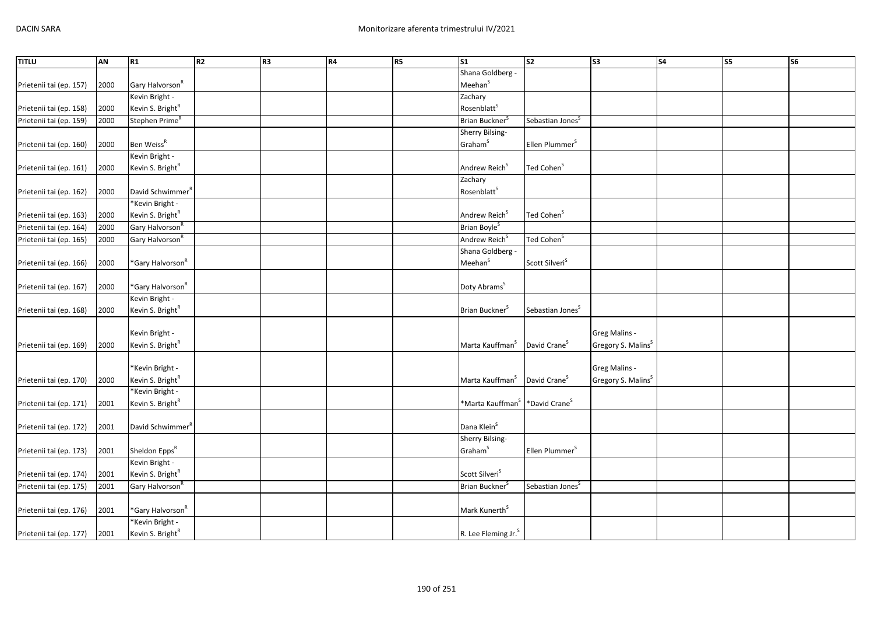| <b>TITLU</b>            | AN   | R1                                              | R <sub>2</sub> | R <sub>3</sub> | R4 | <b>R5</b> | S <sub>1</sub>                  | $\overline{\text{S2}}$       | S <sub>3</sub>                 | S <sub>4</sub> | S5 | S6 |
|-------------------------|------|-------------------------------------------------|----------------|----------------|----|-----------|---------------------------------|------------------------------|--------------------------------|----------------|----|----|
|                         |      |                                                 |                |                |    |           | Shana Goldberg -                |                              |                                |                |    |    |
| Prietenii tai (ep. 157) | 2000 | Gary Halvorson <sup>R</sup>                     |                |                |    |           | Meehan <sup>S</sup>             |                              |                                |                |    |    |
|                         |      | Kevin Bright -                                  |                |                |    |           | Zachary                         |                              |                                |                |    |    |
| Prietenii tai (ep. 158) | 2000 | Kevin S. Bright <sup>R</sup>                    |                |                |    |           | Rosenblatt <sup>S</sup>         |                              |                                |                |    |    |
| Prietenii tai (ep. 159) | 2000 | Stephen Prime <sup>R</sup>                      |                |                |    |           | Brian Buckner <sup>S</sup>      | Sebastian Jones <sup>S</sup> |                                |                |    |    |
|                         |      |                                                 |                |                |    |           | Sherry Bilsing-                 |                              |                                |                |    |    |
| Prietenii tai (ep. 160) | 2000 | Ben Weiss <sup>R</sup>                          |                |                |    |           | Graham <sup>S</sup>             | Ellen Plummer <sup>S</sup>   |                                |                |    |    |
|                         |      | Kevin Bright -                                  |                |                |    |           |                                 |                              |                                |                |    |    |
| Prietenii tai (ep. 161) | 2000 | Kevin S. Bright <sup>R</sup>                    |                |                |    |           | Andrew Reich <sup>S</sup>       | Ted Cohen <sup>S</sup>       |                                |                |    |    |
|                         |      |                                                 |                |                |    |           | Zachary                         |                              |                                |                |    |    |
| Prietenii tai (ep. 162) | 2000 | David Schwimmer"                                |                |                |    |           | Rosenblatt <sup>S</sup>         |                              |                                |                |    |    |
|                         |      | *Kevin Bright -                                 |                |                |    |           |                                 |                              |                                |                |    |    |
| Prietenii tai (ep. 163) | 2000 | Kevin S. Bright <sup>R</sup>                    |                |                |    |           | Andrew Reich <sup>S</sup>       | Ted Cohen <sup>S</sup>       |                                |                |    |    |
| Prietenii tai (ep. 164) | 2000 | Gary Halvorson <sup>R</sup>                     |                |                |    |           | Brian Boyle <sup>5</sup>        |                              |                                |                |    |    |
| Prietenii tai (ep. 165) | 2000 | Gary Halvorson <sup>R</sup>                     |                |                |    |           | Andrew Reich <sup>S</sup>       | Ted Cohen <sup>S</sup>       |                                |                |    |    |
|                         |      |                                                 |                |                |    |           | Shana Goldberg -                |                              |                                |                |    |    |
| Prietenii tai (ep. 166) | 2000 | *Gary Halvorson <sup>R</sup>                    |                |                |    |           | Meehan <sup>S</sup>             | Scott Silveri <sup>S</sup>   |                                |                |    |    |
|                         |      |                                                 |                |                |    |           |                                 |                              |                                |                |    |    |
| Prietenii tai (ep. 167) | 2000 | *Gary Halvorson <sup>R</sup>                    |                |                |    |           | Doty Abrams <sup>S</sup>        |                              |                                |                |    |    |
|                         |      | Kevin Bright -                                  |                |                |    |           |                                 |                              |                                |                |    |    |
| Prietenii tai (ep. 168) | 2000 | Kevin S. Bright <sup>R</sup>                    |                |                |    |           | Brian Buckner <sup>s</sup>      | Sebastian Jones <sup>S</sup> |                                |                |    |    |
|                         |      |                                                 |                |                |    |           |                                 |                              |                                |                |    |    |
|                         |      | Kevin Bright -                                  |                |                |    |           |                                 |                              | Greg Malins -                  |                |    |    |
| Prietenii tai (ep. 169) | 2000 | Kevin S. Bright <sup>R</sup>                    |                |                |    |           | Marta Kauffman <sup>S</sup>     | David Crane <sup>S</sup>     | Gregory S. Malins <sup>S</sup> |                |    |    |
|                         |      |                                                 |                |                |    |           |                                 |                              |                                |                |    |    |
|                         |      | *Kevin Bright -                                 |                |                |    |           |                                 |                              | Greg Malins -                  |                |    |    |
| Prietenii tai (ep. 170) | 2000 | Kevin S. Bright <sup>R</sup>                    |                |                |    |           | Marta Kauffman <sup>S</sup>     | David Crane <sup>S</sup>     | Gregory S. Malins <sup>S</sup> |                |    |    |
|                         |      | *Kevin Bright -                                 |                |                |    |           |                                 |                              |                                |                |    |    |
| Prietenii tai (ep. 171) | 2001 | Kevin S. Bright <sup>R</sup>                    |                |                |    |           | *Marta Kauffman <sup>3</sup>    | *David Crane <sup>S</sup>    |                                |                |    |    |
|                         |      |                                                 |                |                |    |           |                                 |                              |                                |                |    |    |
| Prietenii tai (ep. 172) | 2001 | David Schwimmer <sup>R</sup>                    |                |                |    |           | Dana Klein <sup>S</sup>         |                              |                                |                |    |    |
|                         |      |                                                 |                |                |    |           | Sherry Bilsing-                 |                              |                                |                |    |    |
| Prietenii tai (ep. 173) | 2001 | Sheldon Epps <sup>R</sup><br>Kevin Bright -     |                |                |    |           | Graham <sup>S</sup>             | Ellen Plummer <sup>S</sup>   |                                |                |    |    |
|                         |      |                                                 |                |                |    |           | Scott Silveri <sup>S</sup>      |                              |                                |                |    |    |
| Prietenii tai (ep. 174) | 2001 | Kevin S. Bright <sup>R</sup>                    |                |                |    |           |                                 |                              |                                |                |    |    |
| Prietenii tai (ep. 175) | 2001 | Gary Halvorson <sup>R</sup>                     |                |                |    |           | Brian Buckner <sup>5</sup>      | Sebastian Jones <sup>S</sup> |                                |                |    |    |
|                         |      |                                                 |                |                |    |           |                                 |                              |                                |                |    |    |
| Prietenii tai (ep. 176) | 2001 | *Gary Halvorson <sup>R</sup>                    |                |                |    |           | Mark Kunerth <sup>S</sup>       |                              |                                |                |    |    |
|                         |      | *Kevin Bright -<br>Kevin S. Bright <sup>R</sup> |                |                |    |           |                                 |                              |                                |                |    |    |
| Prietenii tai (ep. 177) | 2001 |                                                 |                |                |    |           | R. Lee Fleming Jr. <sup>S</sup> |                              |                                |                |    |    |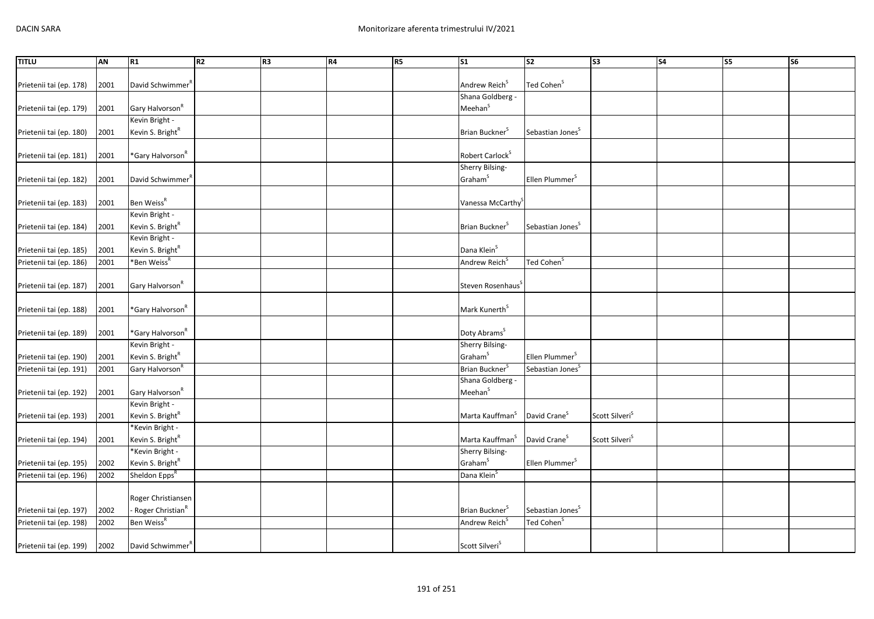| <b>TITLU</b>            | <b>AN</b>    | R1                                                      | R <sub>2</sub> | R <sub>3</sub> | R4 | R <sub>5</sub> | $\overline{\text{S1}}$        | $\overline{\text{S2}}$       | $\overline{\text{S3}}$     | S <sub>4</sub> | <b>S5</b> | $\overline{\text{S6}}$ |
|-------------------------|--------------|---------------------------------------------------------|----------------|----------------|----|----------------|-------------------------------|------------------------------|----------------------------|----------------|-----------|------------------------|
|                         |              |                                                         |                |                |    |                |                               |                              |                            |                |           |                        |
| Prietenii tai (ep. 178) | 2001         | David Schwimmer <sup>R</sup>                            |                |                |    |                | Andrew Reich <sup>S</sup>     | Ted Cohen <sup>S</sup>       |                            |                |           |                        |
|                         |              |                                                         |                |                |    |                | Shana Goldberg -              |                              |                            |                |           |                        |
| Prietenii tai (ep. 179) | 2001         | Gary Halvorson <sup>R</sup>                             |                |                |    |                | Meehan <sup>S</sup>           |                              |                            |                |           |                        |
|                         |              | Kevin Bright -                                          |                |                |    |                |                               |                              |                            |                |           |                        |
| Prietenii tai (ep. 180) | 2001         | Kevin S. Bright <sup>R</sup>                            |                |                |    |                | Brian Buckner <sup>S</sup>    | Sebastian Jones <sup>S</sup> |                            |                |           |                        |
|                         |              |                                                         |                |                |    |                |                               |                              |                            |                |           |                        |
| Prietenii tai (ep. 181) | 2001         | *Gary Halvorson <sup>R</sup>                            |                |                |    |                | Robert Carlock <sup>S</sup>   |                              |                            |                |           |                        |
|                         |              |                                                         |                |                |    |                | Sherry Bilsing-               |                              |                            |                |           |                        |
| Prietenii tai (ep. 182) | 2001         | David Schwimmer <sup>"</sup>                            |                |                |    |                | Graham <sup>S</sup>           | Ellen Plummer <sup>5</sup>   |                            |                |           |                        |
|                         |              |                                                         |                |                |    |                |                               |                              |                            |                |           |                        |
| Prietenii tai (ep. 183) | 2001         | Ben Weiss <sup>R</sup>                                  |                |                |    |                | Vanessa McCarthy <sup>3</sup> |                              |                            |                |           |                        |
|                         |              | Kevin Bright -                                          |                |                |    |                |                               |                              |                            |                |           |                        |
| Prietenii tai (ep. 184) | 2001         | Kevin S. Bright <sup>R</sup>                            |                |                |    |                | Brian Buckner <sup>S</sup>    | Sebastian Jones <sup>S</sup> |                            |                |           |                        |
|                         |              | Kevin Bright -                                          |                |                |    |                | Dana Klein <sup>S</sup>       |                              |                            |                |           |                        |
| Prietenii tai (ep. 185) | 2001<br>2001 | Kevin S. Bright <sup>R</sup><br>*Ben Weiss <sup>R</sup> |                |                |    |                | Andrew Reich <sup>S</sup>     | Ted Cohen <sup>S</sup>       |                            |                |           |                        |
| Prietenii tai (ep. 186) |              |                                                         |                |                |    |                |                               |                              |                            |                |           |                        |
| Prietenii tai (ep. 187) | 2001         | Gary Halvorson <sup>R</sup>                             |                |                |    |                | Steven Rosenhaus <sup>S</sup> |                              |                            |                |           |                        |
|                         |              |                                                         |                |                |    |                |                               |                              |                            |                |           |                        |
| Prietenii tai (ep. 188) | 2001         | *Gary Halvorson <sup>R</sup>                            |                |                |    |                | Mark Kunerth <sup>S</sup>     |                              |                            |                |           |                        |
|                         |              |                                                         |                |                |    |                |                               |                              |                            |                |           |                        |
| Prietenii tai (ep. 189) | 2001         | *Gary Halvorson <sup>R</sup>                            |                |                |    |                | Doty Abrams <sup>S</sup>      |                              |                            |                |           |                        |
|                         |              | Kevin Bright -                                          |                |                |    |                | Sherry Bilsing-               |                              |                            |                |           |                        |
| Prietenii tai (ep. 190) | 2001         | Kevin S. Bright <sup>R</sup>                            |                |                |    |                | Graham <sup>S</sup>           | Ellen Plummer <sup>5</sup>   |                            |                |           |                        |
| Prietenii tai (ep. 191) | 2001         | Gary Halvorson <sup>R</sup>                             |                |                |    |                | Brian Buckner <sup>S</sup>    | Sebastian Jones <sup>S</sup> |                            |                |           |                        |
|                         |              |                                                         |                |                |    |                | Shana Goldberg -              |                              |                            |                |           |                        |
| Prietenii tai (ep. 192) | 2001         | Gary Halvorson <sup>R</sup>                             |                |                |    |                | Meehan <sup>S</sup>           |                              |                            |                |           |                        |
|                         |              | Kevin Bright -                                          |                |                |    |                |                               |                              |                            |                |           |                        |
| Prietenii tai (ep. 193) | 2001         | Kevin S. Bright <sup>R</sup>                            |                |                |    |                | Marta Kauffman <sup>S</sup>   | David Crane <sup>S</sup>     | Scott Silveri <sup>S</sup> |                |           |                        |
|                         |              | *Kevin Bright -                                         |                |                |    |                |                               |                              |                            |                |           |                        |
| Prietenii tai (ep. 194) | 2001         | Kevin S. Bright <sup>R</sup>                            |                |                |    |                | Marta Kauffman <sup>S</sup>   | David Crane <sup>S</sup>     | Scott Silveri <sup>S</sup> |                |           |                        |
|                         |              | *Kevin Bright -                                         |                |                |    |                | Sherry Bilsing-               |                              |                            |                |           |                        |
| Prietenii tai (ep. 195) | 2002         | Kevin S. Bright <sup>R</sup>                            |                |                |    |                | Graham <sup>S</sup>           | Ellen Plummer <sup>S</sup>   |                            |                |           |                        |
| Prietenii tai (ep. 196) | 2002         | Sheldon Epps <sup>R</sup>                               |                |                |    |                | Dana Klein <sup>S</sup>       |                              |                            |                |           |                        |
|                         |              |                                                         |                |                |    |                |                               |                              |                            |                |           |                        |
|                         |              | Roger Christiansen                                      |                |                |    |                |                               |                              |                            |                |           |                        |
| Prietenii tai (ep. 197) | 2002<br>2002 | Roger Christian <sup>R</sup><br>Ben Weiss <sup>R</sup>  |                |                |    |                | Brian Buckner <sup>S</sup>    | Sebastian Jones <sup>S</sup> |                            |                |           |                        |
| Prietenii tai (ep. 198) |              |                                                         |                |                |    |                | Andrew Reich <sup>S</sup>     | Ted Cohen <sup>S</sup>       |                            |                |           |                        |
| Prietenii tai (ep. 199) | 2002         | David Schwimmer <sup>R</sup>                            |                |                |    |                | Scott Silveri <sup>S</sup>    |                              |                            |                |           |                        |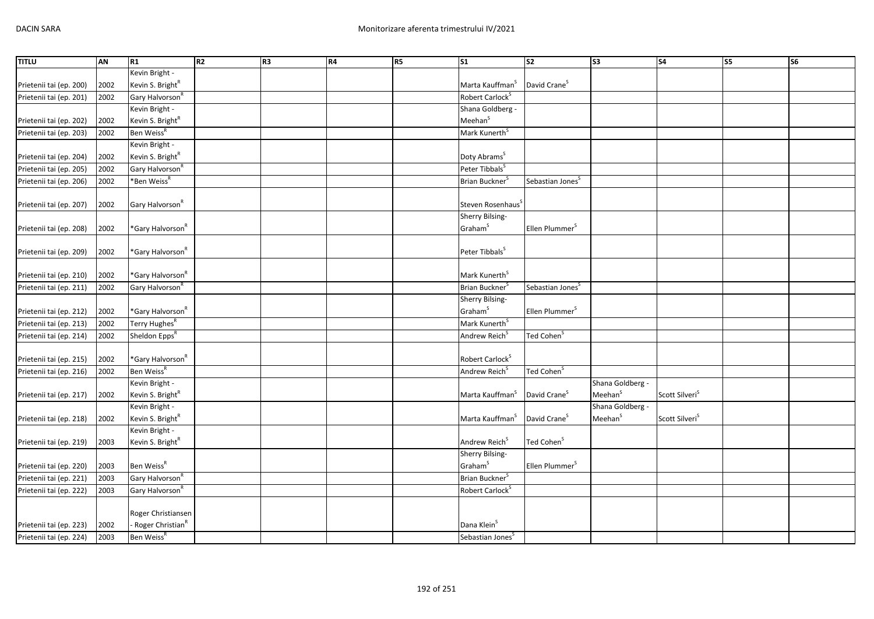| <b>TITLU</b>            | AN   | R1                             | R <sub>2</sub> | R <sub>3</sub> | R4 | R5 | S1                           | S <sub>2</sub>               | S <sub>3</sub>      | <b>S4</b>                  | S5 | S <sub>6</sub> |
|-------------------------|------|--------------------------------|----------------|----------------|----|----|------------------------------|------------------------------|---------------------|----------------------------|----|----------------|
|                         |      | Kevin Bright -                 |                |                |    |    |                              |                              |                     |                            |    |                |
| Prietenii tai (ep. 200) | 2002 | Kevin S. Bright <sup>R</sup>   |                |                |    |    | Marta Kauffman <sup>S</sup>  | David Crane <sup>S</sup>     |                     |                            |    |                |
| Prietenii tai (ep. 201) | 2002 | Gary Halvorson <sup>R</sup>    |                |                |    |    | Robert Carlock <sup>S</sup>  |                              |                     |                            |    |                |
|                         |      | Kevin Bright -                 |                |                |    |    | Shana Goldberg -             |                              |                     |                            |    |                |
| Prietenii tai (ep. 202) | 2002 | Kevin S. Bright <sup>R</sup>   |                |                |    |    | Meehan <sup>S</sup>          |                              |                     |                            |    |                |
| Prietenii tai (ep. 203) | 2002 | Ben Weiss <sup>R</sup>         |                |                |    |    | Mark Kunerth <sup>S</sup>    |                              |                     |                            |    |                |
|                         |      | Kevin Bright -                 |                |                |    |    |                              |                              |                     |                            |    |                |
| Prietenii tai (ep. 204) | 2002 | Kevin S. Bright <sup>R</sup>   |                |                |    |    | Doty Abrams <sup>S</sup>     |                              |                     |                            |    |                |
| Prietenii tai (ep. 205) | 2002 | Gary Halvorson <sup>R</sup>    |                |                |    |    | Peter Tibbals <sup>S</sup>   |                              |                     |                            |    |                |
| Prietenii tai (ep. 206) | 2002 | *Ben Weiss <sup>R</sup>        |                |                |    |    | Brian Buckner <sup>S</sup>   | Sebastian Jones <sup>S</sup> |                     |                            |    |                |
|                         |      |                                |                |                |    |    |                              |                              |                     |                            |    |                |
| Prietenii tai (ep. 207) | 2002 | Gary Halvorson <sup>R</sup>    |                |                |    |    | Steven Rosenhaus             |                              |                     |                            |    |                |
|                         |      |                                |                |                |    |    | Sherry Bilsing-              |                              |                     |                            |    |                |
| Prietenii tai (ep. 208) | 2002 | *Gary Halvorson <sup>R</sup>   |                |                |    |    | Graham <sup>S</sup>          | Ellen Plummer <sup>5</sup>   |                     |                            |    |                |
|                         |      |                                |                |                |    |    |                              |                              |                     |                            |    |                |
| Prietenii tai (ep. 209) | 2002 | *Gary Halvorson <sup>R</sup>   |                |                |    |    | Peter Tibbals <sup>S</sup>   |                              |                     |                            |    |                |
|                         |      |                                |                |                |    |    |                              |                              |                     |                            |    |                |
| Prietenii tai (ep. 210) | 2002 | *Gary Halvorson <sup>R</sup>   |                |                |    |    | Mark Kunerth <sup>S</sup>    |                              |                     |                            |    |                |
| Prietenii tai (ep. 211) | 2002 | Gary Halvorson <sup>R</sup>    |                |                |    |    | Brian Buckner <sup>S</sup>   | Sebastian Jones <sup>S</sup> |                     |                            |    |                |
|                         |      |                                |                |                |    |    | Sherry Bilsing-              |                              |                     |                            |    |                |
| Prietenii tai (ep. 212) | 2002 | *Gary Halvorson <sup>R</sup>   |                |                |    |    | Graham <sup>S</sup>          | Ellen Plummer <sup>S</sup>   |                     |                            |    |                |
| Prietenii tai (ep. 213) | 2002 | Terry Hughes <sup>R</sup>      |                |                |    |    | Mark Kunerth <sup>S</sup>    |                              |                     |                            |    |                |
| Prietenii tai (ep. 214) | 2002 | Sheldon Epps <sup>R</sup>      |                |                |    |    | Andrew Reich <sup>5</sup>    | Ted Cohen <sup>5</sup>       |                     |                            |    |                |
|                         |      |                                |                |                |    |    |                              |                              |                     |                            |    |                |
| Prietenii tai (ep. 215) | 2002 | *Gary Halvorson <sup>R</sup>   |                |                |    |    | Robert Carlock <sup>S</sup>  |                              |                     |                            |    |                |
| Prietenii tai (ep. 216) | 2002 | Ben Weiss <sup>R</sup>         |                |                |    |    | Andrew Reich <sup>S</sup>    | Ted Cohen <sup>S</sup>       |                     |                            |    |                |
|                         |      | Kevin Bright -                 |                |                |    |    |                              |                              | Shana Goldberg -    |                            |    |                |
| Prietenii tai (ep. 217) | 2002 | Kevin S. Bright <sup>R</sup>   |                |                |    |    | Marta Kauffman <sup>S</sup>  | David Crane <sup>S</sup>     | Meehan <sup>S</sup> | Scott Silveri <sup>S</sup> |    |                |
|                         |      | Kevin Bright -                 |                |                |    |    |                              |                              | Shana Goldberg -    |                            |    |                |
| Prietenii tai (ep. 218) | 2002 | Kevin S. Bright <sup>R</sup>   |                |                |    |    | Marta Kauffman <sup>S</sup>  | David Crane <sup>S</sup>     | Meehan <sup>S</sup> | Scott Silveri <sup>S</sup> |    |                |
|                         |      | Kevin Bright -                 |                |                |    |    |                              |                              |                     |                            |    |                |
| Prietenii tai (ep. 219) | 2003 | Kevin S. Bright <sup>R</sup>   |                |                |    |    | Andrew Reich <sup>S</sup>    | Ted Cohen <sup>S</sup>       |                     |                            |    |                |
|                         |      |                                |                |                |    |    | Sherry Bilsing-              |                              |                     |                            |    |                |
| Prietenii tai (ep. 220) | 2003 | Ben Weiss <sup>R</sup>         |                |                |    |    | Graham <sup>S</sup>          | Ellen Plummer <sup>S</sup>   |                     |                            |    |                |
| Prietenii tai (ep. 221) | 2003 | Gary Halvorson <sup>R</sup>    |                |                |    |    | Brian Buckner <sup>S</sup>   |                              |                     |                            |    |                |
| Prietenii tai (ep. 222) | 2003 | Gary Halvorson <sup>R</sup>    |                |                |    |    | Robert Carlock <sup>S</sup>  |                              |                     |                            |    |                |
|                         |      |                                |                |                |    |    |                              |                              |                     |                            |    |                |
|                         |      | Roger Christiansen             |                |                |    |    | Dana Klein <sup>S</sup>      |                              |                     |                            |    |                |
| Prietenii tai (ep. 223) | 2002 | - Roger Christian <sup>R</sup> |                |                |    |    |                              |                              |                     |                            |    |                |
| Prietenii tai (ep. 224) | 2003 | Ben Weiss <sup>R</sup>         |                |                |    |    | Sebastian Jones <sup>S</sup> |                              |                     |                            |    |                |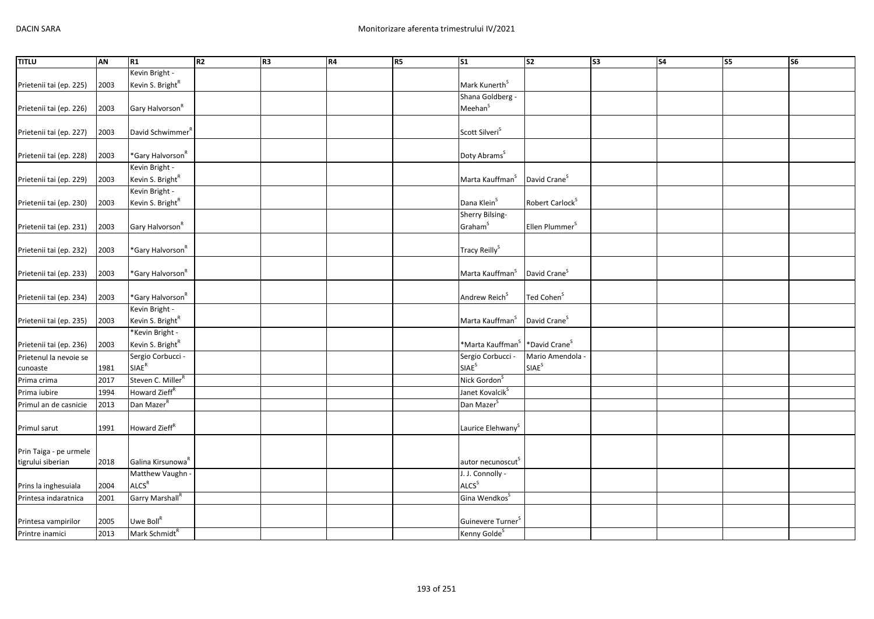| <b>TITLU</b>            | AN   | R1                            | R <sub>2</sub> | R <sub>3</sub> | R4 | R5 | $\overline{\text{S1}}$                                 | $\overline{\text{S2}}$      | $\overline{\text{S3}}$ | S <sub>4</sub> | S5 | S <sub>6</sub> |
|-------------------------|------|-------------------------------|----------------|----------------|----|----|--------------------------------------------------------|-----------------------------|------------------------|----------------|----|----------------|
|                         |      | Kevin Bright -                |                |                |    |    |                                                        |                             |                        |                |    |                |
| Prietenii tai (ep. 225) | 2003 | Kevin S. Bright <sup>R</sup>  |                |                |    |    | Mark Kunerth <sup>S</sup>                              |                             |                        |                |    |                |
|                         |      |                               |                |                |    |    | Shana Goldberg -                                       |                             |                        |                |    |                |
| Prietenii tai (ep. 226) | 2003 | Gary Halvorson <sup>R</sup>   |                |                |    |    | Meehan <sup>S</sup>                                    |                             |                        |                |    |                |
|                         |      |                               |                |                |    |    |                                                        |                             |                        |                |    |                |
| Prietenii tai (ep. 227) | 2003 | David Schwimmer <sup>R</sup>  |                |                |    |    | Scott Silveri <sup>S</sup>                             |                             |                        |                |    |                |
|                         |      |                               |                |                |    |    |                                                        |                             |                        |                |    |                |
| Prietenii tai (ep. 228) | 2003 | *Gary Halvorson <sup>R</sup>  |                |                |    |    | Doty Abrams <sup>S</sup>                               |                             |                        |                |    |                |
|                         |      | Kevin Bright -                |                |                |    |    |                                                        |                             |                        |                |    |                |
| Prietenii tai (ep. 229) | 2003 | Kevin S. Bright <sup>R</sup>  |                |                |    |    | Marta Kauffman <sup>S</sup>                            | David Crane <sup>S</sup>    |                        |                |    |                |
|                         |      | Kevin Bright -                |                |                |    |    |                                                        |                             |                        |                |    |                |
| Prietenii tai (ep. 230) | 2003 | Kevin S. Bright <sup>R</sup>  |                |                |    |    | Dana Klein <sup>S</sup>                                | Robert Carlock <sup>S</sup> |                        |                |    |                |
|                         |      |                               |                |                |    |    | Sherry Bilsing-                                        |                             |                        |                |    |                |
| Prietenii tai (ep. 231) | 2003 | Gary Halvorson <sup>R</sup>   |                |                |    |    | Graham <sup>S</sup>                                    | Ellen Plummer <sup>S</sup>  |                        |                |    |                |
|                         |      |                               |                |                |    |    |                                                        |                             |                        |                |    |                |
| Prietenii tai (ep. 232) | 2003 | *Gary Halvorson <sup>R</sup>  |                |                |    |    | Tracy Reilly <sup>S</sup>                              |                             |                        |                |    |                |
|                         |      | *Gary Halvorson <sup>R</sup>  |                |                |    |    | Marta Kauffman <sup>S</sup>                            | David Crane <sup>S</sup>    |                        |                |    |                |
| Prietenii tai (ep. 233) | 2003 |                               |                |                |    |    |                                                        |                             |                        |                |    |                |
|                         | 2003 | *Gary Halvorson <sup>R</sup>  |                |                |    |    | Andrew Reich <sup>S</sup>                              | Ted Cohen <sup>S</sup>      |                        |                |    |                |
| Prietenii tai (ep. 234) |      | Kevin Bright -                |                |                |    |    |                                                        |                             |                        |                |    |                |
| Prietenii tai (ep. 235) | 2003 | Kevin S. Bright <sup>R</sup>  |                |                |    |    | Marta Kauffman <sup>S</sup>                            | David Crane <sup>S</sup>    |                        |                |    |                |
|                         |      | *Kevin Bright -               |                |                |    |    |                                                        |                             |                        |                |    |                |
| Prietenii tai (ep. 236) | 2003 | Kevin S. Bright <sup>R</sup>  |                |                |    |    | *Marta Kauffman <sup>S</sup> *David Crane <sup>S</sup> |                             |                        |                |    |                |
| Prietenul la nevoie se  |      | Sergio Corbucci -             |                |                |    |    | Sergio Corbucci -                                      | Mario Amendola -            |                        |                |    |                |
| cunoaste                | 1981 | $\mathsf{SIAE}^\mathsf{R}$    |                |                |    |    | SIAE <sup>S</sup>                                      | SIAE <sup>S</sup>           |                        |                |    |                |
| Prima crima             | 2017 | Steven C. Miller <sup>R</sup> |                |                |    |    | Nick Gordon <sup>S</sup>                               |                             |                        |                |    |                |
| Prima iubire            | 1994 | Howard Zieff <sup>R</sup>     |                |                |    |    | Janet Kovalcik <sup>S</sup>                            |                             |                        |                |    |                |
| Primul an de casnicie   | 2013 | Dan Mazer <sup>R</sup>        |                |                |    |    | Dan Mazer <sup>S</sup>                                 |                             |                        |                |    |                |
|                         |      |                               |                |                |    |    |                                                        |                             |                        |                |    |                |
| Primul sarut            | 1991 | Howard Zieff <sup>R</sup>     |                |                |    |    | Laurice Elehwany <sup>S</sup>                          |                             |                        |                |    |                |
|                         |      |                               |                |                |    |    |                                                        |                             |                        |                |    |                |
| Prin Taiga - pe urmele  |      |                               |                |                |    |    |                                                        |                             |                        |                |    |                |
| tigrului siberian       | 2018 | Galina Kirsunowa <sup>R</sup> |                |                |    |    | autor necunoscut <sup>S</sup>                          |                             |                        |                |    |                |
|                         |      | Matthew Vaughn -              |                |                |    |    | J. J. Connolly -                                       |                             |                        |                |    |                |
| Prins la inghesuiala    | 2004 | ALCS <sup>R</sup>             |                |                |    |    | <b>ALCS</b> <sup>S</sup>                               |                             |                        |                |    |                |
| Printesa indaratnica    | 2001 | Garry Marshall <sup>R</sup>   |                |                |    |    | Gina Wendkos <sup>S</sup>                              |                             |                        |                |    |                |
|                         |      |                               |                |                |    |    |                                                        |                             |                        |                |    |                |
| Printesa vampirilor     | 2005 | Uwe Boll <sup>R</sup>         |                |                |    |    | Guinevere Turner <sup>S</sup>                          |                             |                        |                |    |                |
| Printre inamici         | 2013 | Mark Schmidt <sup>R</sup>     |                |                |    |    | Kenny Golde <sup>S</sup>                               |                             |                        |                |    |                |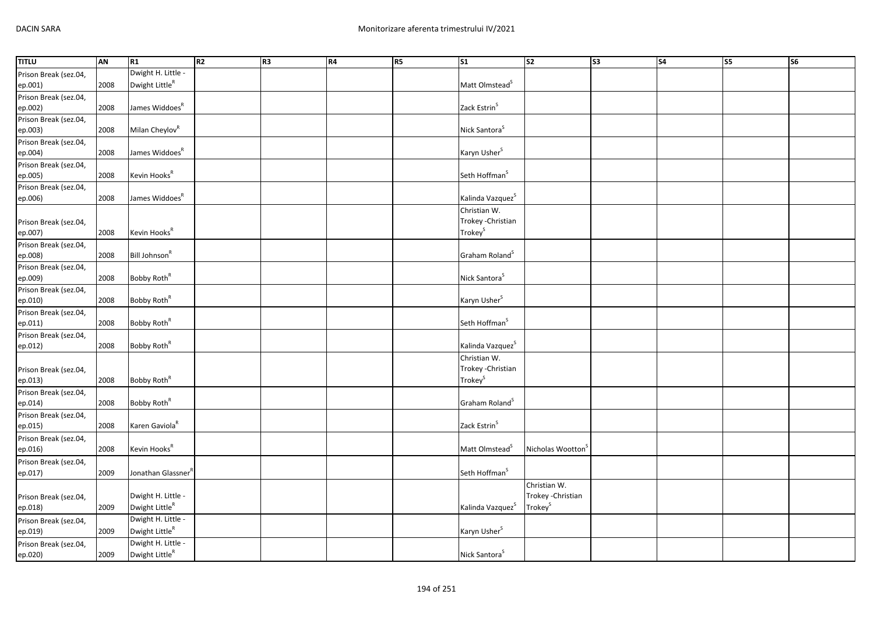| <b>TITLU</b>          | <b>AN</b> | R1                             | R2 | R <sub>3</sub> | R4 | R5 | $\overline{\text{S1}}$       | S <sub>2</sub>                | s <sub>3</sub> | $\overline{\phantom{a}}$ S4 | $\overline{\text{S5}}$ | <b>S6</b> |
|-----------------------|-----------|--------------------------------|----|----------------|----|----|------------------------------|-------------------------------|----------------|-----------------------------|------------------------|-----------|
| Prison Break (sez.04, |           | Dwight H. Little -             |    |                |    |    |                              |                               |                |                             |                        |           |
| ep.001)               | 2008      | Dwight Little <sup>R</sup>     |    |                |    |    | Matt Olmstead <sup>S</sup>   |                               |                |                             |                        |           |
| Prison Break (sez.04, |           |                                |    |                |    |    |                              |                               |                |                             |                        |           |
| ep.002)               | 2008      | James Widdoes <sup>R</sup>     |    |                |    |    | Zack Estrin <sup>S</sup>     |                               |                |                             |                        |           |
| Prison Break (sez.04, |           |                                |    |                |    |    |                              |                               |                |                             |                        |           |
| ep.003)               | 2008      | Milan Cheylov <sup>R</sup>     |    |                |    |    | Nick Santora <sup>S</sup>    |                               |                |                             |                        |           |
|                       |           |                                |    |                |    |    |                              |                               |                |                             |                        |           |
| Prison Break (sez.04, |           |                                |    |                |    |    |                              |                               |                |                             |                        |           |
| ep.004)               | 2008      | James Widdoes <sup>R</sup>     |    |                |    |    | Karyn Usher <sup>S</sup>     |                               |                |                             |                        |           |
| Prison Break (sez.04, |           |                                |    |                |    |    |                              |                               |                |                             |                        |           |
| ep.005)               | 2008      | Kevin Hooks <sup>R</sup>       |    |                |    |    | Seth Hoffman <sup>S</sup>    |                               |                |                             |                        |           |
| Prison Break (sez.04, |           |                                |    |                |    |    |                              |                               |                |                             |                        |           |
| ep.006)               | 2008      | James Widdoes <sup>R</sup>     |    |                |    |    | Kalinda Vazquez <sup>S</sup> |                               |                |                             |                        |           |
|                       |           |                                |    |                |    |    | Christian W.                 |                               |                |                             |                        |           |
| Prison Break (sez.04, |           |                                |    |                |    |    | Trokey - Christian           |                               |                |                             |                        |           |
| ep.007)               | 2008      | Kevin Hooks <sup>R</sup>       |    |                |    |    | Trokey <sup>S</sup>          |                               |                |                             |                        |           |
| Prison Break (sez.04, |           |                                |    |                |    |    |                              |                               |                |                             |                        |           |
| ep.008)               | 2008      | Bill Johnson <sup>R</sup>      |    |                |    |    | Graham Roland <sup>S</sup>   |                               |                |                             |                        |           |
| Prison Break (sez.04, |           |                                |    |                |    |    |                              |                               |                |                             |                        |           |
| ep.009)               | 2008      | Bobby Roth <sup>R</sup>        |    |                |    |    | Nick Santora <sup>S</sup>    |                               |                |                             |                        |           |
|                       |           |                                |    |                |    |    |                              |                               |                |                             |                        |           |
| Prison Break (sez.04, |           | Bobby Roth <sup>R</sup>        |    |                |    |    |                              |                               |                |                             |                        |           |
| ep.010)               | 2008      |                                |    |                |    |    | Karyn Usher <sup>S</sup>     |                               |                |                             |                        |           |
| Prison Break (sez.04, |           |                                |    |                |    |    |                              |                               |                |                             |                        |           |
| ep.011)               | 2008      | Bobby Roth <sup>R</sup>        |    |                |    |    | Seth Hoffman <sup>S</sup>    |                               |                |                             |                        |           |
| Prison Break (sez.04, |           |                                |    |                |    |    |                              |                               |                |                             |                        |           |
| ep.012)               | 2008      | Bobby Roth <sup>R</sup>        |    |                |    |    | Kalinda Vazquez <sup>S</sup> |                               |                |                             |                        |           |
|                       |           |                                |    |                |    |    | Christian W.                 |                               |                |                             |                        |           |
| Prison Break (sez.04, |           |                                |    |                |    |    | Trokey - Christian           |                               |                |                             |                        |           |
| ep.013)               | 2008      | Bobby Roth <sup>R</sup>        |    |                |    |    | Trokey <sup>S</sup>          |                               |                |                             |                        |           |
| Prison Break (sez.04, |           |                                |    |                |    |    |                              |                               |                |                             |                        |           |
| ep.014)               | 2008      | Bobby Roth <sup>R</sup>        |    |                |    |    | Graham Roland <sup>S</sup>   |                               |                |                             |                        |           |
| Prison Break (sez.04, |           |                                |    |                |    |    |                              |                               |                |                             |                        |           |
| ep.015)               | 2008      | Karen Gaviola <sup>R</sup>     |    |                |    |    | Zack Estrin <sup>S</sup>     |                               |                |                             |                        |           |
| Prison Break (sez.04, |           |                                |    |                |    |    |                              |                               |                |                             |                        |           |
| ep.016)               | 2008      | Kevin Hooks <sup>R</sup>       |    |                |    |    | Matt Olmstead <sup>S</sup>   | Nicholas Wootton <sup>5</sup> |                |                             |                        |           |
|                       |           |                                |    |                |    |    |                              |                               |                |                             |                        |           |
| Prison Break (sez.04, |           |                                |    |                |    |    |                              |                               |                |                             |                        |           |
| ep.017)               | 2009      | Jonathan Glassner <sup>R</sup> |    |                |    |    | Seth Hoffman <sup>S</sup>    |                               |                |                             |                        |           |
|                       |           |                                |    |                |    |    |                              | Christian W.                  |                |                             |                        |           |
| Prison Break (sez.04, |           | Dwight H. Little -             |    |                |    |    |                              | Trokey - Christian            |                |                             |                        |           |
| ep.018)               | 2009      | Dwight Little <sup>R</sup>     |    |                |    |    | Kalinda Vazquez <sup>S</sup> | Trokey <sup>S</sup>           |                |                             |                        |           |
| Prison Break (sez.04, |           | Dwight H. Little -             |    |                |    |    |                              |                               |                |                             |                        |           |
| ep.019)               | 2009      | Dwight LittleR                 |    |                |    |    | Karyn Usher <sup>S</sup>     |                               |                |                             |                        |           |
| Prison Break (sez.04, |           | Dwight H. Little -             |    |                |    |    |                              |                               |                |                             |                        |           |
| ep.020)               | 2009      | Dwight LittleR                 |    |                |    |    | Nick Santora <sup>S</sup>    |                               |                |                             |                        |           |
|                       |           |                                |    |                |    |    |                              |                               |                |                             |                        |           |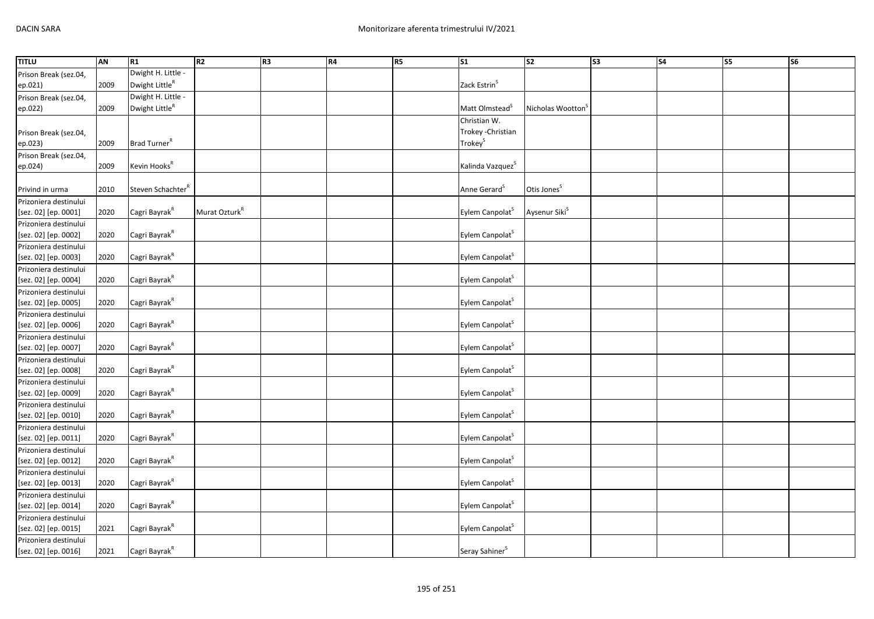| <b>TITLU</b>          | AN   | R1                            | R <sub>2</sub>            | R3 | R4 | R <sub>5</sub> | $\sqrt{51}$                  | $\overline{\text{S2}}$        | S3 | $\overline{\phantom{a}}$ S4 | S5 | $\overline{\text{S6}}$ |
|-----------------------|------|-------------------------------|---------------------------|----|----|----------------|------------------------------|-------------------------------|----|-----------------------------|----|------------------------|
| Prison Break (sez.04, |      | Dwight H. Little -            |                           |    |    |                |                              |                               |    |                             |    |                        |
| ep.021)               | 2009 | Dwight Little <sup>R</sup>    |                           |    |    |                | Zack Estrin <sup>S</sup>     |                               |    |                             |    |                        |
| Prison Break (sez.04, |      | Dwight H. Little -            |                           |    |    |                |                              |                               |    |                             |    |                        |
| ep.022)               | 2009 | Dwight Little <sup>R</sup>    |                           |    |    |                | Matt Olmstead <sup>5</sup>   | Nicholas Wootton <sup>3</sup> |    |                             |    |                        |
|                       |      |                               |                           |    |    |                | Christian W.                 |                               |    |                             |    |                        |
| Prison Break (sez.04, |      |                               |                           |    |    |                | Trokey - Christian           |                               |    |                             |    |                        |
| ep.023)               | 2009 | Brad Turner <sup>R</sup>      |                           |    |    |                | Trokey <sup>S</sup>          |                               |    |                             |    |                        |
| Prison Break (sez.04, |      |                               |                           |    |    |                |                              |                               |    |                             |    |                        |
| ep.024)               | 2009 | Kevin Hooks <sup>R</sup>      |                           |    |    |                | Kalinda Vazquez <sup>S</sup> |                               |    |                             |    |                        |
|                       |      |                               |                           |    |    |                |                              |                               |    |                             |    |                        |
| Privind in urma       | 2010 | Steven Schachter <sup>R</sup> |                           |    |    |                | Anne Gerard <sup>S</sup>     | Otis Jones <sup>S</sup>       |    |                             |    |                        |
| Prizoniera destinului |      |                               |                           |    |    |                |                              |                               |    |                             |    |                        |
| [sez. 02] [ep. 0001]  | 2020 | Cagri Bayrak <sup>R</sup>     | Murat Ozturk <sup>R</sup> |    |    |                | Eylem Canpolat <sup>S</sup>  | Aysenur Siki <sup>S</sup>     |    |                             |    |                        |
| Prizoniera destinului |      |                               |                           |    |    |                |                              |                               |    |                             |    |                        |
| [sez. 02] [ep. 0002]  | 2020 | Cagri Bayrak <sup>R</sup>     |                           |    |    |                | Eylem Canpolat <sup>S</sup>  |                               |    |                             |    |                        |
| Prizoniera destinului |      |                               |                           |    |    |                |                              |                               |    |                             |    |                        |
| [sez. 02] [ep. 0003]  | 2020 | Cagri Bayrak <sup>R</sup>     |                           |    |    |                | Eylem Canpolat <sup>S</sup>  |                               |    |                             |    |                        |
| Prizoniera destinului |      |                               |                           |    |    |                |                              |                               |    |                             |    |                        |
| [sez. 02] [ep. 0004]  | 2020 | Cagri Bayrak <sup>R</sup>     |                           |    |    |                | Eylem Canpolat <sup>S</sup>  |                               |    |                             |    |                        |
| Prizoniera destinului |      |                               |                           |    |    |                |                              |                               |    |                             |    |                        |
| [sez. 02] [ep. 0005]  | 2020 | Cagri Bayrak <sup>R</sup>     |                           |    |    |                | Eylem Canpolat <sup>S</sup>  |                               |    |                             |    |                        |
| Prizoniera destinului |      |                               |                           |    |    |                |                              |                               |    |                             |    |                        |
| [sez. 02] [ep. 0006]  | 2020 | Cagri Bayrak <sup>R</sup>     |                           |    |    |                | Eylem Canpolat <sup>S</sup>  |                               |    |                             |    |                        |
| Prizoniera destinului |      |                               |                           |    |    |                |                              |                               |    |                             |    |                        |
| [sez. 02] [ep. 0007]  | 2020 | Cagri Bayrak <sup>R</sup>     |                           |    |    |                | Eylem Canpolat <sup>S</sup>  |                               |    |                             |    |                        |
| Prizoniera destinului |      |                               |                           |    |    |                |                              |                               |    |                             |    |                        |
| [sez. 02] [ep. 0008]  | 2020 | Cagri Bayrak <sup>R</sup>     |                           |    |    |                | Eylem Canpolat <sup>S</sup>  |                               |    |                             |    |                        |
| Prizoniera destinului |      |                               |                           |    |    |                |                              |                               |    |                             |    |                        |
| [sez. 02] [ep. 0009]  | 2020 | Cagri Bayrak <sup>R</sup>     |                           |    |    |                | Eylem Canpolat <sup>S</sup>  |                               |    |                             |    |                        |
| Prizoniera destinului |      |                               |                           |    |    |                |                              |                               |    |                             |    |                        |
| [sez. 02] [ep. 0010]  | 2020 | Cagri Bayrak <sup>R</sup>     |                           |    |    |                | Eylem Canpolat <sup>S</sup>  |                               |    |                             |    |                        |
| Prizoniera destinului |      |                               |                           |    |    |                |                              |                               |    |                             |    |                        |
| [sez. 02] [ep. 0011]  | 2020 | Cagri Bayrak <sup>R</sup>     |                           |    |    |                | Eylem Canpolat <sup>S</sup>  |                               |    |                             |    |                        |
| Prizoniera destinului |      |                               |                           |    |    |                |                              |                               |    |                             |    |                        |
| [sez. 02] [ep. 0012]  | 2020 | Cagri Bayrak <sup>R</sup>     |                           |    |    |                | Eylem Canpolat <sup>S</sup>  |                               |    |                             |    |                        |
| Prizoniera destinului |      |                               |                           |    |    |                |                              |                               |    |                             |    |                        |
| [sez. 02] [ep. 0013]  | 2020 | Cagri Bayrak <sup>R</sup>     |                           |    |    |                | Eylem Canpolat <sup>S</sup>  |                               |    |                             |    |                        |
| Prizoniera destinului |      |                               |                           |    |    |                |                              |                               |    |                             |    |                        |
| [sez. 02] [ep. 0014]  | 2020 | Cagri Bayrak <sup>R</sup>     |                           |    |    |                | Eylem Canpolat <sup>S</sup>  |                               |    |                             |    |                        |
| Prizoniera destinului |      |                               |                           |    |    |                |                              |                               |    |                             |    |                        |
| [sez. 02] [ep. 0015]  | 2021 | Cagri Bayrak <sup>R</sup>     |                           |    |    |                | Eylem Canpolat <sup>5</sup>  |                               |    |                             |    |                        |
| Prizoniera destinului |      |                               |                           |    |    |                |                              |                               |    |                             |    |                        |
| [sez. 02] [ep. 0016]  | 2021 | Cagri Bayrak <sup>R</sup>     |                           |    |    |                | Seray Sahiner <sup>S</sup>   |                               |    |                             |    |                        |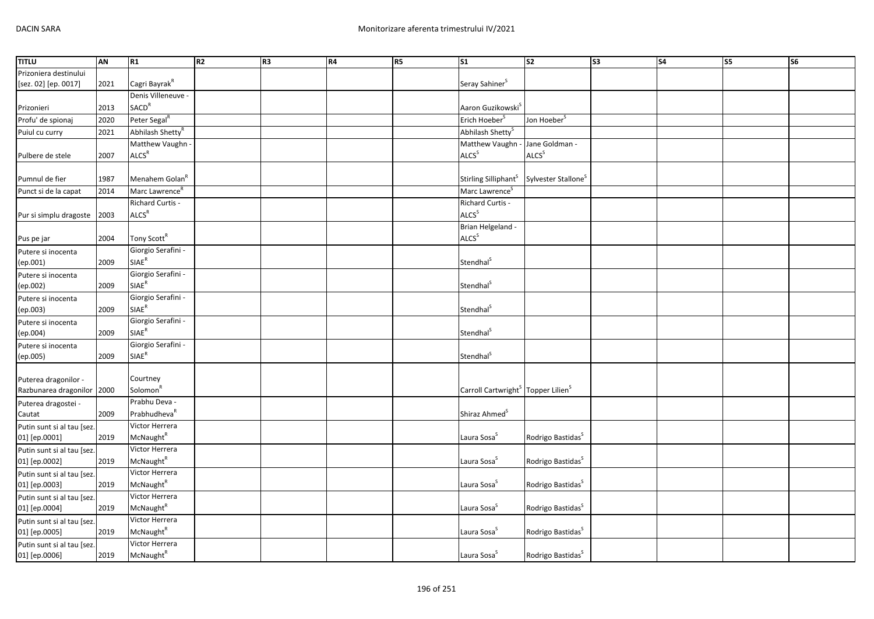| <b>TITLU</b>               | AN   | R1                           | R2 | R <sub>3</sub> | R4 | R <sub>5</sub> | <b>S1</b>                                                  | s <sub>2</sub>                  | S <sub>3</sub> | <b>S4</b> | $\overline{\text{S}}$ | <b>S6</b> |
|----------------------------|------|------------------------------|----|----------------|----|----------------|------------------------------------------------------------|---------------------------------|----------------|-----------|-----------------------|-----------|
| Prizoniera destinului      |      |                              |    |                |    |                |                                                            |                                 |                |           |                       |           |
| [sez. 02] [ep. 0017]       | 2021 | Cagri Bayrak <sup>R</sup>    |    |                |    |                | Seray Sahiner <sup>S</sup>                                 |                                 |                |           |                       |           |
|                            |      | Denis Villeneuve -           |    |                |    |                |                                                            |                                 |                |           |                       |           |
| Prizonieri                 | 2013 | SACD <sup>R</sup>            |    |                |    |                | Aaron Guzikowski <sup>S</sup>                              |                                 |                |           |                       |           |
| Profu' de spionaj          | 2020 | Peter Segal <sup>R</sup>     |    |                |    |                | Erich Hoeber                                               | Jon Hoeber <sup>5</sup>         |                |           |                       |           |
| Puiul cu curry             | 2021 | Abhilash Shetty <sup>R</sup> |    |                |    |                | Abhilash Shetty <sup>S</sup>                               |                                 |                |           |                       |           |
|                            |      | Matthew Vaughn -             |    |                |    |                | Matthew Vaughn - Jane Goldman -                            |                                 |                |           |                       |           |
| Pulbere de stele           | 2007 | ALCS <sup>R</sup>            |    |                |    |                | <b>ALCS</b> <sup>S</sup>                                   | <b>ALCS</b> <sup>S</sup>        |                |           |                       |           |
|                            |      |                              |    |                |    |                |                                                            |                                 |                |           |                       |           |
| Pumnul de fier             | 1987 | Menahem Golan <sup>R</sup>   |    |                |    |                | Stirling Silliphant <sup>S</sup>                           | Sylvester Stallone <sup>5</sup> |                |           |                       |           |
| Punct si de la capat       | 2014 | Marc Lawrence <sup>R</sup>   |    |                |    |                | Marc Lawrence <sup>S</sup>                                 |                                 |                |           |                       |           |
|                            |      | Richard Curtis -             |    |                |    |                | Richard Curtis -                                           |                                 |                |           |                       |           |
| Pur si simplu dragoste     | 2003 | <b>ALCS<sup>R</sup></b>      |    |                |    |                | ALCS <sup>S</sup>                                          |                                 |                |           |                       |           |
|                            |      |                              |    |                |    |                | Brian Helgeland -                                          |                                 |                |           |                       |           |
| Pus pe jar                 | 2004 | Tony Scott <sup>R</sup>      |    |                |    |                | ALCS <sup>S</sup>                                          |                                 |                |           |                       |           |
| Putere si inocenta         |      | Giorgio Serafini -           |    |                |    |                |                                                            |                                 |                |           |                       |           |
| (ep.001)                   | 2009 | SIAE <sup>R</sup>            |    |                |    |                | Stendhal <sup>5</sup>                                      |                                 |                |           |                       |           |
| Putere si inocenta         |      | Giorgio Serafini -           |    |                |    |                |                                                            |                                 |                |           |                       |           |
| (ep.002)                   | 2009 | SIAE <sup>R</sup>            |    |                |    |                | Stendhal <sup>S</sup>                                      |                                 |                |           |                       |           |
| Putere si inocenta         |      | Giorgio Serafini -           |    |                |    |                |                                                            |                                 |                |           |                       |           |
| (ep.003)                   | 2009 | <b>SIAE<sup>R</sup></b>      |    |                |    |                | Stendhal <sup>S</sup>                                      |                                 |                |           |                       |           |
| Putere si inocenta         |      | Giorgio Serafini -           |    |                |    |                |                                                            |                                 |                |           |                       |           |
| (ep.004)                   | 2009 | <b>SIAE<sup>R</sup></b>      |    |                |    |                | Stendhal <sup>S</sup>                                      |                                 |                |           |                       |           |
| Putere si inocenta         |      | Giorgio Serafini -           |    |                |    |                |                                                            |                                 |                |           |                       |           |
| (ep.005)                   | 2009 | $\mathsf{SIAE}^\mathsf{R}$   |    |                |    |                | Stendhal <sup>S</sup>                                      |                                 |                |           |                       |           |
|                            |      |                              |    |                |    |                |                                                            |                                 |                |           |                       |           |
| Puterea dragonilor -       |      | Courtney                     |    |                |    |                |                                                            |                                 |                |           |                       |           |
| Razbunarea dragonilor 2000 |      | Solomon <sup>R</sup>         |    |                |    |                | Carroll Cartwright <sup>S</sup> Topper Lilien <sup>S</sup> |                                 |                |           |                       |           |
| Puterea dragostei -        |      | Prabhu Deva -                |    |                |    |                |                                                            |                                 |                |           |                       |           |
| Cautat                     | 2009 | Prabhudheva <sup>R</sup>     |    |                |    |                | Shiraz Ahmed <sup>S</sup>                                  |                                 |                |           |                       |           |
| Putin sunt si al tau [sez  |      | Victor Herrera               |    |                |    |                |                                                            |                                 |                |           |                       |           |
| 01] [ep.0001]              | 2019 | McNaught <sup>R</sup>        |    |                |    |                | Laura Sosa <sup>S</sup>                                    | Rodrigo Bastidas <sup>5</sup>   |                |           |                       |           |
| Putin sunt si al tau [sez. |      | Victor Herrera               |    |                |    |                |                                                            |                                 |                |           |                       |           |
| 01] [ep.0002]              | 2019 | McNaught <sup>R</sup>        |    |                |    |                | Laura Sosa <sup>S</sup>                                    | Rodrigo Bastidas <sup>S</sup>   |                |           |                       |           |
| Putin sunt si al tau [sez. |      | Victor Herrera               |    |                |    |                |                                                            |                                 |                |           |                       |           |
| 01] [ep.0003]              | 2019 | McNaught <sup>R</sup>        |    |                |    |                | Laura Sosa <sup>S</sup>                                    | Rodrigo Bastidas <sup>S</sup>   |                |           |                       |           |
| Putin sunt si al tau [sez  |      | Victor Herrera               |    |                |    |                |                                                            |                                 |                |           |                       |           |
| 01] [ep.0004]              | 2019 | McNaught <sup>R</sup>        |    |                |    |                | Laura Sosa <sup>S</sup>                                    | Rodrigo Bastidas <sup>S</sup>   |                |           |                       |           |
| Putin sunt si al tau [sez  |      | Victor Herrera               |    |                |    |                |                                                            |                                 |                |           |                       |           |
| 01] [ep.0005]              | 2019 | McNaught <sup>R</sup>        |    |                |    |                | Laura Sosa <sup>S</sup>                                    | Rodrigo Bastidas <sup>S</sup>   |                |           |                       |           |
| Putin sunt si al tau [sez  |      | Victor Herrera               |    |                |    |                |                                                            |                                 |                |           |                       |           |
| 01] [ep.0006]              | 2019 | McNaught <sup>R</sup>        |    |                |    |                | Laura Sosa <sup>S</sup>                                    | Rodrigo Bastidas <sup>S</sup>   |                |           |                       |           |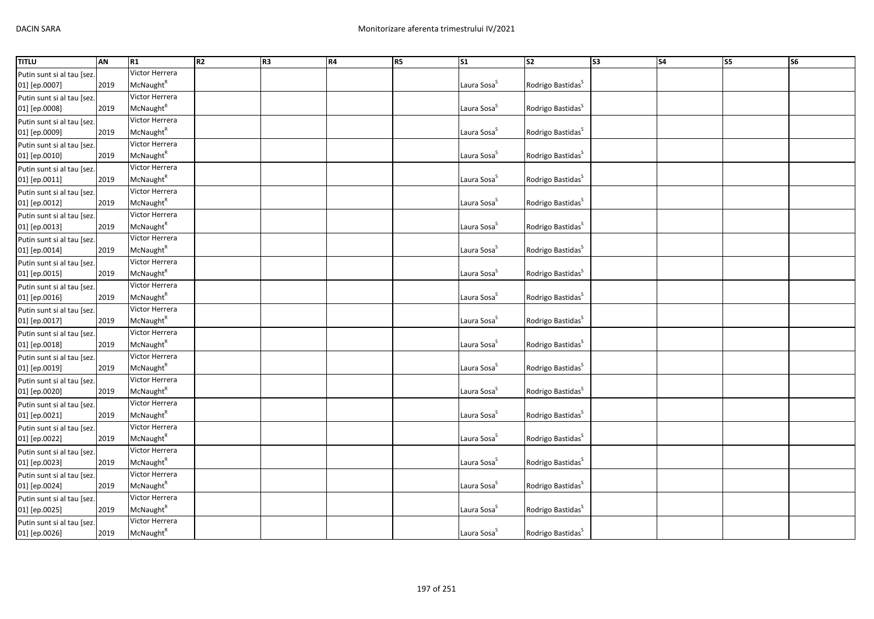| <b>TITLU</b>               | AN   | R1                    | R <sub>2</sub> | R <sub>3</sub> | <b>R4</b> | R5 | S <sub>1</sub>          | $\overline{\text{S2}}$        | S <sub>3</sub> | S <sub>4</sub> | $\overline{\text{S}}$ | S <sub>6</sub> |
|----------------------------|------|-----------------------|----------------|----------------|-----------|----|-------------------------|-------------------------------|----------------|----------------|-----------------------|----------------|
| Putin sunt si al tau [sez. |      | Victor Herrera        |                |                |           |    |                         |                               |                |                |                       |                |
| 01] [ep.0007]              | 2019 | McNaught <sup>R</sup> |                |                |           |    | Laura Sosa <sup>S</sup> | Rodrigo Bastidas <sup>S</sup> |                |                |                       |                |
| Putin sunt si al tau [sez. |      | Victor Herrera        |                |                |           |    |                         |                               |                |                |                       |                |
| 01] [ep.0008]              | 2019 | McNaught <sup>R</sup> |                |                |           |    | Laura Sosa <sup>S</sup> | Rodrigo Bastidas <sup>S</sup> |                |                |                       |                |
| Putin sunt si al tau [sez  |      | Victor Herrera        |                |                |           |    |                         |                               |                |                |                       |                |
| 01] [ep.0009]              | 2019 | McNaught <sup>R</sup> |                |                |           |    | Laura Sosa <sup>S</sup> | Rodrigo Bastidas <sup>S</sup> |                |                |                       |                |
| Putin sunt si al tau [sez. |      | Victor Herrera        |                |                |           |    |                         |                               |                |                |                       |                |
| 01] [ep.0010]              | 2019 | McNaught <sup>R</sup> |                |                |           |    | Laura Sosa <sup>S</sup> | Rodrigo Bastidas <sup>S</sup> |                |                |                       |                |
| Putin sunt si al tau [sez. |      | Victor Herrera        |                |                |           |    |                         |                               |                |                |                       |                |
| 01] [ep.0011]              | 2019 | McNaught <sup>R</sup> |                |                |           |    | Laura Sosa <sup>S</sup> | Rodrigo Bastidas <sup>S</sup> |                |                |                       |                |
| Putin sunt si al tau [sez  |      | Victor Herrera        |                |                |           |    |                         |                               |                |                |                       |                |
| 01] [ep.0012]              | 2019 | McNaught <sup>R</sup> |                |                |           |    | Laura Sosa <sup>S</sup> | Rodrigo Bastidas <sup>S</sup> |                |                |                       |                |
| Putin sunt si al tau [sez. |      | Victor Herrera        |                |                |           |    |                         |                               |                |                |                       |                |
| 01] [ep.0013]              | 2019 | McNaught <sup>R</sup> |                |                |           |    | Laura Sosa <sup>S</sup> | Rodrigo Bastidas <sup>S</sup> |                |                |                       |                |
| Putin sunt si al tau [sez. |      | Victor Herrera        |                |                |           |    |                         |                               |                |                |                       |                |
| 01] [ep.0014]              | 2019 | McNaught <sup>R</sup> |                |                |           |    | Laura Sosa <sup>S</sup> | Rodrigo Bastidas <sup>S</sup> |                |                |                       |                |
| Putin sunt si al tau [sez. |      | Victor Herrera        |                |                |           |    |                         |                               |                |                |                       |                |
| 01] [ep.0015]              | 2019 | McNaught <sup>R</sup> |                |                |           |    | Laura Sosa <sup>S</sup> | Rodrigo Bastidas <sup>S</sup> |                |                |                       |                |
| Putin sunt si al tau [sez. |      | Victor Herrera        |                |                |           |    |                         |                               |                |                |                       |                |
| 01] [ep.0016]              | 2019 | McNaught <sup>R</sup> |                |                |           |    | Laura Sosa <sup>S</sup> | Rodrigo Bastidas <sup>S</sup> |                |                |                       |                |
| Putin sunt si al tau [sez  |      | Victor Herrera        |                |                |           |    |                         |                               |                |                |                       |                |
| 01] [ep.0017]              | 2019 | McNaught <sup>R</sup> |                |                |           |    | Laura Sosa <sup>S</sup> | Rodrigo Bastidas <sup>S</sup> |                |                |                       |                |
| Putin sunt si al tau [sez. |      | Victor Herrera        |                |                |           |    |                         |                               |                |                |                       |                |
| 01] [ep.0018]              | 2019 | McNaught <sup>R</sup> |                |                |           |    | Laura Sosa <sup>s</sup> | Rodrigo Bastidas <sup>S</sup> |                |                |                       |                |
| Putin sunt si al tau [sez. |      | Victor Herrera        |                |                |           |    |                         |                               |                |                |                       |                |
| 01] [ep.0019]              | 2019 | McNaught <sup>R</sup> |                |                |           |    | Laura Sosa <sup>S</sup> | Rodrigo Bastidas <sup>S</sup> |                |                |                       |                |
| Putin sunt si al tau [sez. |      | Victor Herrera        |                |                |           |    |                         |                               |                |                |                       |                |
| 01] [ep.0020]              | 2019 | McNaught <sup>R</sup> |                |                |           |    | Laura Sosa <sup>S</sup> | Rodrigo Bastidas <sup>S</sup> |                |                |                       |                |
| Putin sunt si al tau [sez. |      | Victor Herrera        |                |                |           |    |                         |                               |                |                |                       |                |
| 01] [ep.0021]              | 2019 | McNaught <sup>R</sup> |                |                |           |    | Laura Sosa <sup>S</sup> | Rodrigo Bastidas <sup>S</sup> |                |                |                       |                |
| Putin sunt si al tau [sez. |      | Victor Herrera        |                |                |           |    |                         |                               |                |                |                       |                |
| 01] [ep.0022]              | 2019 | McNaught <sup>R</sup> |                |                |           |    | Laura Sosa <sup>S</sup> | Rodrigo Bastidas <sup>S</sup> |                |                |                       |                |
| Putin sunt si al tau [sez  |      | Victor Herrera        |                |                |           |    |                         |                               |                |                |                       |                |
| 01] [ep.0023]              | 2019 | McNaught <sup>R</sup> |                |                |           |    | Laura Sosa <sup>S</sup> | Rodrigo Bastidas <sup>S</sup> |                |                |                       |                |
| Putin sunt si al tau [sez. |      | Victor Herrera        |                |                |           |    |                         |                               |                |                |                       |                |
| 01] [ep.0024]              | 2019 | McNaught <sup>R</sup> |                |                |           |    | Laura Sosa <sup>S</sup> | Rodrigo Bastidas <sup>S</sup> |                |                |                       |                |
| Putin sunt si al tau [sez. |      | Victor Herrera        |                |                |           |    |                         |                               |                |                |                       |                |
| 01] [ep.0025]              | 2019 | McNaught <sup>R</sup> |                |                |           |    | Laura Sosa <sup>S</sup> | Rodrigo Bastidas <sup>5</sup> |                |                |                       |                |
| Putin sunt si al tau [sez. |      | Victor Herrera        |                |                |           |    |                         |                               |                |                |                       |                |
| 01] [ep.0026]              | 2019 | McNaught <sup>R</sup> |                |                |           |    | Laura Sosa <sup>S</sup> | Rodrigo Bastidas <sup>S</sup> |                |                |                       |                |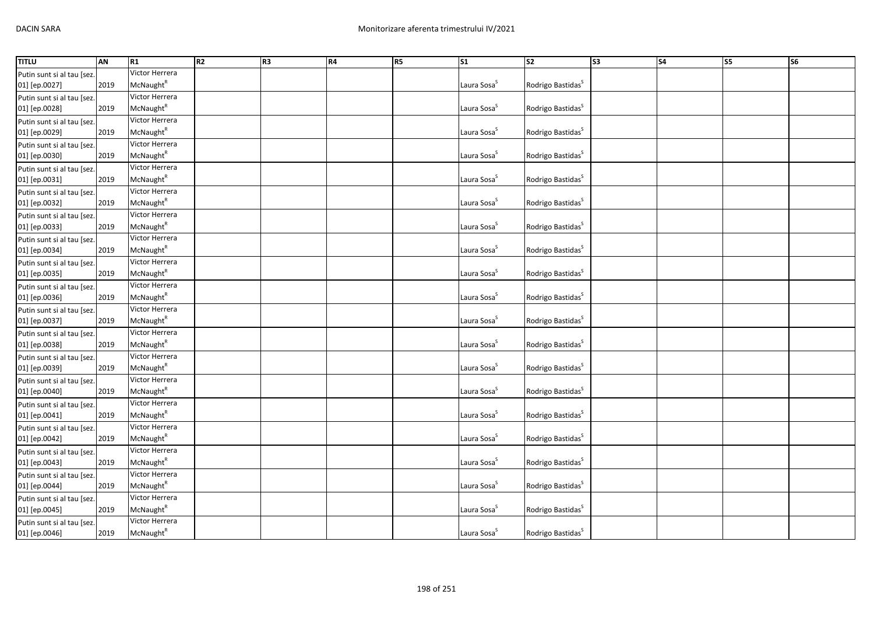| Victor Herrera<br>Putin sunt si al tau [sez.<br>McNaught <sup>R</sup><br>Laura Sosa <sup>S</sup><br>Rodrigo Bastidas <sup>S</sup><br>01] [ep.0027]<br>2019<br>Victor Herrera<br>Putin sunt si al tau [sez.<br>McNaught <sup>R</sup><br>Laura Sosa <sup>S</sup><br>01] [ep.0028]<br>2019<br>Rodrigo Bastidas <sup>S</sup><br>Victor Herrera<br>Putin sunt si al tau [sez<br>McNaught <sup>R</sup><br>Laura Sosa <sup>S</sup><br>Rodrigo Bastidas <sup>S</sup><br>2019<br>01] [ep.0029]<br>Victor Herrera<br>Putin sunt si al tau [sez.<br>McNaught <sup>R</sup><br>Rodrigo Bastidas <sup>S</sup><br>01] [ep.0030]<br>2019<br>Laura Sosa <sup>S</sup><br>Victor Herrera<br>Laura Sosa <sup>S</sup><br>McNaught <sup>R</sup><br>Rodrigo Bastidas <sup>S</sup><br>2019<br>01] [ep.0031]<br>Victor Herrera<br>Putin sunt si al tau [sez.<br>Laura Sosa <sup>S</sup><br>2019<br>McNaught <sup>R</sup><br>Rodrigo Bastidas <sup>S</sup><br>01] [ep.0032]<br>Victor Herrera<br>2019<br>McNaught <sup>R</sup><br>Laura Sosa <sup>S</sup><br>01] [ep.0033]<br>Rodrigo Bastidas <sup>S</sup><br>Victor Herrera<br>McNaught <sup>R</sup><br>Laura Sosa <sup>S</sup><br>2019<br>Rodrigo Bastidas <sup>S</sup><br>01] [ep.0034]<br>Victor Herrera<br>Putin sunt si al tau [sez.<br>McNaught <sup>R</sup><br>2019<br>Laura Sosa <sup>S</sup><br>Rodrigo Bastidas <sup>S</sup><br>01] [ep.0035]<br>Victor Herrera<br>McNaught <sup>R</sup><br>Laura Sosa <sup>S</sup><br>Rodrigo Bastidas <sup>S</sup><br>2019<br>01] [ep.0036]<br>Victor Herrera<br>Putin sunt si al tau [sez<br>Laura Sosa <sup>S</sup><br>McNaught <sup>R</sup><br>Rodrigo Bastidas <sup>S</sup><br>2019<br>01] [ep.0037]<br>Victor Herrera<br>Putin sunt si al tau [sez.<br>McNaught <sup>R</sup><br>Laura Sosa <sup>s</sup><br>2019<br>Rodrigo Bastidas <sup>S</sup><br>01] [ep.0038]<br>Victor Herrera<br>Putin sunt si al tau [sez.<br>Laura Sosa <sup>S</sup><br>McNaught <sup>R</sup><br>Rodrigo Bastidas <sup>S</sup><br>01] [ep.0039]<br>2019<br>Victor Herrera<br>Putin sunt si al tau [sez<br>McNaught <sup>R</sup><br>Laura Sosa <sup>S</sup><br>Rodrigo Bastidas <sup>S</sup><br>01] [ep.0040]<br>2019<br>Victor Herrera<br>Putin sunt si al tau [sez.<br>McNaught <sup>R</sup><br>Laura Sosa <sup>S</sup><br>Rodrigo Bastidas <sup>S</sup><br>01] [ep.0041]<br>2019<br>Victor Herrera<br>Putin sunt si al tau [sez.<br>McNaught <sup>R</sup><br>Laura Sosa <sup>S</sup><br>Rodrigo Bastidas <sup>S</sup><br>01] [ep.0042]<br>2019<br>Victor Herrera<br>Putin sunt si al tau [sez<br>Laura Sosa <sup>S</sup><br>Rodrigo Bastidas <sup>S</sup><br>McNaught <sup>R</sup><br>2019<br>01] [ep.0043]<br>Victor Herrera<br>Putin sunt si al tau [sez.<br>McNaught <sup>R</sup><br>2019<br>Laura Sosa <sup>S</sup><br>Rodrigo Bastidas <sup>S</sup><br>01] [ep.0044]<br>Victor Herrera<br>Putin sunt si al tau [sez.<br>McNaught <sup>R</sup><br>Laura Sosa <sup>S</sup><br>01] [ep.0045]<br>2019<br>Rodrigo Bastidas <sup>5</sup><br>Victor Herrera<br>Putin sunt si al tau [sez. | <b>TITLU</b>               | AN   | R1                    | R <sub>2</sub> | R <sub>3</sub> | <b>R4</b> | R5 | S <sub>1</sub>          | $\overline{\text{S2}}$        | S <sub>3</sub> | S <sub>4</sub> | $\overline{\text{S}}$ | S <sub>6</sub> |
|--------------------------------------------------------------------------------------------------------------------------------------------------------------------------------------------------------------------------------------------------------------------------------------------------------------------------------------------------------------------------------------------------------------------------------------------------------------------------------------------------------------------------------------------------------------------------------------------------------------------------------------------------------------------------------------------------------------------------------------------------------------------------------------------------------------------------------------------------------------------------------------------------------------------------------------------------------------------------------------------------------------------------------------------------------------------------------------------------------------------------------------------------------------------------------------------------------------------------------------------------------------------------------------------------------------------------------------------------------------------------------------------------------------------------------------------------------------------------------------------------------------------------------------------------------------------------------------------------------------------------------------------------------------------------------------------------------------------------------------------------------------------------------------------------------------------------------------------------------------------------------------------------------------------------------------------------------------------------------------------------------------------------------------------------------------------------------------------------------------------------------------------------------------------------------------------------------------------------------------------------------------------------------------------------------------------------------------------------------------------------------------------------------------------------------------------------------------------------------------------------------------------------------------------------------------------------------------------------------------------------------------------------------------------------------------------------------------------------------------------------------------------------------------------------------------------------------------------------------------------------------------------------------------------------------------------------------------------------------------------------------------------------------------------|----------------------------|------|-----------------------|----------------|----------------|-----------|----|-------------------------|-------------------------------|----------------|----------------|-----------------------|----------------|
|                                                                                                                                                                                                                                                                                                                                                                                                                                                                                                                                                                                                                                                                                                                                                                                                                                                                                                                                                                                                                                                                                                                                                                                                                                                                                                                                                                                                                                                                                                                                                                                                                                                                                                                                                                                                                                                                                                                                                                                                                                                                                                                                                                                                                                                                                                                                                                                                                                                                                                                                                                                                                                                                                                                                                                                                                                                                                                                                                                                                                                            |                            |      |                       |                |                |           |    |                         |                               |                |                |                       |                |
|                                                                                                                                                                                                                                                                                                                                                                                                                                                                                                                                                                                                                                                                                                                                                                                                                                                                                                                                                                                                                                                                                                                                                                                                                                                                                                                                                                                                                                                                                                                                                                                                                                                                                                                                                                                                                                                                                                                                                                                                                                                                                                                                                                                                                                                                                                                                                                                                                                                                                                                                                                                                                                                                                                                                                                                                                                                                                                                                                                                                                                            |                            |      |                       |                |                |           |    |                         |                               |                |                |                       |                |
|                                                                                                                                                                                                                                                                                                                                                                                                                                                                                                                                                                                                                                                                                                                                                                                                                                                                                                                                                                                                                                                                                                                                                                                                                                                                                                                                                                                                                                                                                                                                                                                                                                                                                                                                                                                                                                                                                                                                                                                                                                                                                                                                                                                                                                                                                                                                                                                                                                                                                                                                                                                                                                                                                                                                                                                                                                                                                                                                                                                                                                            |                            |      |                       |                |                |           |    |                         |                               |                |                |                       |                |
|                                                                                                                                                                                                                                                                                                                                                                                                                                                                                                                                                                                                                                                                                                                                                                                                                                                                                                                                                                                                                                                                                                                                                                                                                                                                                                                                                                                                                                                                                                                                                                                                                                                                                                                                                                                                                                                                                                                                                                                                                                                                                                                                                                                                                                                                                                                                                                                                                                                                                                                                                                                                                                                                                                                                                                                                                                                                                                                                                                                                                                            |                            |      |                       |                |                |           |    |                         |                               |                |                |                       |                |
|                                                                                                                                                                                                                                                                                                                                                                                                                                                                                                                                                                                                                                                                                                                                                                                                                                                                                                                                                                                                                                                                                                                                                                                                                                                                                                                                                                                                                                                                                                                                                                                                                                                                                                                                                                                                                                                                                                                                                                                                                                                                                                                                                                                                                                                                                                                                                                                                                                                                                                                                                                                                                                                                                                                                                                                                                                                                                                                                                                                                                                            |                            |      |                       |                |                |           |    |                         |                               |                |                |                       |                |
|                                                                                                                                                                                                                                                                                                                                                                                                                                                                                                                                                                                                                                                                                                                                                                                                                                                                                                                                                                                                                                                                                                                                                                                                                                                                                                                                                                                                                                                                                                                                                                                                                                                                                                                                                                                                                                                                                                                                                                                                                                                                                                                                                                                                                                                                                                                                                                                                                                                                                                                                                                                                                                                                                                                                                                                                                                                                                                                                                                                                                                            |                            |      |                       |                |                |           |    |                         |                               |                |                |                       |                |
|                                                                                                                                                                                                                                                                                                                                                                                                                                                                                                                                                                                                                                                                                                                                                                                                                                                                                                                                                                                                                                                                                                                                                                                                                                                                                                                                                                                                                                                                                                                                                                                                                                                                                                                                                                                                                                                                                                                                                                                                                                                                                                                                                                                                                                                                                                                                                                                                                                                                                                                                                                                                                                                                                                                                                                                                                                                                                                                                                                                                                                            |                            |      |                       |                |                |           |    |                         |                               |                |                |                       |                |
|                                                                                                                                                                                                                                                                                                                                                                                                                                                                                                                                                                                                                                                                                                                                                                                                                                                                                                                                                                                                                                                                                                                                                                                                                                                                                                                                                                                                                                                                                                                                                                                                                                                                                                                                                                                                                                                                                                                                                                                                                                                                                                                                                                                                                                                                                                                                                                                                                                                                                                                                                                                                                                                                                                                                                                                                                                                                                                                                                                                                                                            |                            |      |                       |                |                |           |    |                         |                               |                |                |                       |                |
|                                                                                                                                                                                                                                                                                                                                                                                                                                                                                                                                                                                                                                                                                                                                                                                                                                                                                                                                                                                                                                                                                                                                                                                                                                                                                                                                                                                                                                                                                                                                                                                                                                                                                                                                                                                                                                                                                                                                                                                                                                                                                                                                                                                                                                                                                                                                                                                                                                                                                                                                                                                                                                                                                                                                                                                                                                                                                                                                                                                                                                            | Putin sunt si al tau [sez. |      |                       |                |                |           |    |                         |                               |                |                |                       |                |
|                                                                                                                                                                                                                                                                                                                                                                                                                                                                                                                                                                                                                                                                                                                                                                                                                                                                                                                                                                                                                                                                                                                                                                                                                                                                                                                                                                                                                                                                                                                                                                                                                                                                                                                                                                                                                                                                                                                                                                                                                                                                                                                                                                                                                                                                                                                                                                                                                                                                                                                                                                                                                                                                                                                                                                                                                                                                                                                                                                                                                                            |                            |      |                       |                |                |           |    |                         |                               |                |                |                       |                |
|                                                                                                                                                                                                                                                                                                                                                                                                                                                                                                                                                                                                                                                                                                                                                                                                                                                                                                                                                                                                                                                                                                                                                                                                                                                                                                                                                                                                                                                                                                                                                                                                                                                                                                                                                                                                                                                                                                                                                                                                                                                                                                                                                                                                                                                                                                                                                                                                                                                                                                                                                                                                                                                                                                                                                                                                                                                                                                                                                                                                                                            |                            |      |                       |                |                |           |    |                         |                               |                |                |                       |                |
|                                                                                                                                                                                                                                                                                                                                                                                                                                                                                                                                                                                                                                                                                                                                                                                                                                                                                                                                                                                                                                                                                                                                                                                                                                                                                                                                                                                                                                                                                                                                                                                                                                                                                                                                                                                                                                                                                                                                                                                                                                                                                                                                                                                                                                                                                                                                                                                                                                                                                                                                                                                                                                                                                                                                                                                                                                                                                                                                                                                                                                            |                            |      |                       |                |                |           |    |                         |                               |                |                |                       |                |
|                                                                                                                                                                                                                                                                                                                                                                                                                                                                                                                                                                                                                                                                                                                                                                                                                                                                                                                                                                                                                                                                                                                                                                                                                                                                                                                                                                                                                                                                                                                                                                                                                                                                                                                                                                                                                                                                                                                                                                                                                                                                                                                                                                                                                                                                                                                                                                                                                                                                                                                                                                                                                                                                                                                                                                                                                                                                                                                                                                                                                                            | Putin sunt si al tau [sez. |      |                       |                |                |           |    |                         |                               |                |                |                       |                |
|                                                                                                                                                                                                                                                                                                                                                                                                                                                                                                                                                                                                                                                                                                                                                                                                                                                                                                                                                                                                                                                                                                                                                                                                                                                                                                                                                                                                                                                                                                                                                                                                                                                                                                                                                                                                                                                                                                                                                                                                                                                                                                                                                                                                                                                                                                                                                                                                                                                                                                                                                                                                                                                                                                                                                                                                                                                                                                                                                                                                                                            |                            |      |                       |                |                |           |    |                         |                               |                |                |                       |                |
|                                                                                                                                                                                                                                                                                                                                                                                                                                                                                                                                                                                                                                                                                                                                                                                                                                                                                                                                                                                                                                                                                                                                                                                                                                                                                                                                                                                                                                                                                                                                                                                                                                                                                                                                                                                                                                                                                                                                                                                                                                                                                                                                                                                                                                                                                                                                                                                                                                                                                                                                                                                                                                                                                                                                                                                                                                                                                                                                                                                                                                            | Putin sunt si al tau [sez. |      |                       |                |                |           |    |                         |                               |                |                |                       |                |
|                                                                                                                                                                                                                                                                                                                                                                                                                                                                                                                                                                                                                                                                                                                                                                                                                                                                                                                                                                                                                                                                                                                                                                                                                                                                                                                                                                                                                                                                                                                                                                                                                                                                                                                                                                                                                                                                                                                                                                                                                                                                                                                                                                                                                                                                                                                                                                                                                                                                                                                                                                                                                                                                                                                                                                                                                                                                                                                                                                                                                                            |                            |      |                       |                |                |           |    |                         |                               |                |                |                       |                |
|                                                                                                                                                                                                                                                                                                                                                                                                                                                                                                                                                                                                                                                                                                                                                                                                                                                                                                                                                                                                                                                                                                                                                                                                                                                                                                                                                                                                                                                                                                                                                                                                                                                                                                                                                                                                                                                                                                                                                                                                                                                                                                                                                                                                                                                                                                                                                                                                                                                                                                                                                                                                                                                                                                                                                                                                                                                                                                                                                                                                                                            |                            |      |                       |                |                |           |    |                         |                               |                |                |                       |                |
|                                                                                                                                                                                                                                                                                                                                                                                                                                                                                                                                                                                                                                                                                                                                                                                                                                                                                                                                                                                                                                                                                                                                                                                                                                                                                                                                                                                                                                                                                                                                                                                                                                                                                                                                                                                                                                                                                                                                                                                                                                                                                                                                                                                                                                                                                                                                                                                                                                                                                                                                                                                                                                                                                                                                                                                                                                                                                                                                                                                                                                            |                            |      |                       |                |                |           |    |                         |                               |                |                |                       |                |
|                                                                                                                                                                                                                                                                                                                                                                                                                                                                                                                                                                                                                                                                                                                                                                                                                                                                                                                                                                                                                                                                                                                                                                                                                                                                                                                                                                                                                                                                                                                                                                                                                                                                                                                                                                                                                                                                                                                                                                                                                                                                                                                                                                                                                                                                                                                                                                                                                                                                                                                                                                                                                                                                                                                                                                                                                                                                                                                                                                                                                                            | Putin sunt si al tau [sez. |      |                       |                |                |           |    |                         |                               |                |                |                       |                |
|                                                                                                                                                                                                                                                                                                                                                                                                                                                                                                                                                                                                                                                                                                                                                                                                                                                                                                                                                                                                                                                                                                                                                                                                                                                                                                                                                                                                                                                                                                                                                                                                                                                                                                                                                                                                                                                                                                                                                                                                                                                                                                                                                                                                                                                                                                                                                                                                                                                                                                                                                                                                                                                                                                                                                                                                                                                                                                                                                                                                                                            |                            |      |                       |                |                |           |    |                         |                               |                |                |                       |                |
|                                                                                                                                                                                                                                                                                                                                                                                                                                                                                                                                                                                                                                                                                                                                                                                                                                                                                                                                                                                                                                                                                                                                                                                                                                                                                                                                                                                                                                                                                                                                                                                                                                                                                                                                                                                                                                                                                                                                                                                                                                                                                                                                                                                                                                                                                                                                                                                                                                                                                                                                                                                                                                                                                                                                                                                                                                                                                                                                                                                                                                            |                            |      |                       |                |                |           |    |                         |                               |                |                |                       |                |
|                                                                                                                                                                                                                                                                                                                                                                                                                                                                                                                                                                                                                                                                                                                                                                                                                                                                                                                                                                                                                                                                                                                                                                                                                                                                                                                                                                                                                                                                                                                                                                                                                                                                                                                                                                                                                                                                                                                                                                                                                                                                                                                                                                                                                                                                                                                                                                                                                                                                                                                                                                                                                                                                                                                                                                                                                                                                                                                                                                                                                                            |                            |      |                       |                |                |           |    |                         |                               |                |                |                       |                |
|                                                                                                                                                                                                                                                                                                                                                                                                                                                                                                                                                                                                                                                                                                                                                                                                                                                                                                                                                                                                                                                                                                                                                                                                                                                                                                                                                                                                                                                                                                                                                                                                                                                                                                                                                                                                                                                                                                                                                                                                                                                                                                                                                                                                                                                                                                                                                                                                                                                                                                                                                                                                                                                                                                                                                                                                                                                                                                                                                                                                                                            |                            |      |                       |                |                |           |    |                         |                               |                |                |                       |                |
|                                                                                                                                                                                                                                                                                                                                                                                                                                                                                                                                                                                                                                                                                                                                                                                                                                                                                                                                                                                                                                                                                                                                                                                                                                                                                                                                                                                                                                                                                                                                                                                                                                                                                                                                                                                                                                                                                                                                                                                                                                                                                                                                                                                                                                                                                                                                                                                                                                                                                                                                                                                                                                                                                                                                                                                                                                                                                                                                                                                                                                            |                            |      |                       |                |                |           |    |                         |                               |                |                |                       |                |
|                                                                                                                                                                                                                                                                                                                                                                                                                                                                                                                                                                                                                                                                                                                                                                                                                                                                                                                                                                                                                                                                                                                                                                                                                                                                                                                                                                                                                                                                                                                                                                                                                                                                                                                                                                                                                                                                                                                                                                                                                                                                                                                                                                                                                                                                                                                                                                                                                                                                                                                                                                                                                                                                                                                                                                                                                                                                                                                                                                                                                                            |                            |      |                       |                |                |           |    |                         |                               |                |                |                       |                |
|                                                                                                                                                                                                                                                                                                                                                                                                                                                                                                                                                                                                                                                                                                                                                                                                                                                                                                                                                                                                                                                                                                                                                                                                                                                                                                                                                                                                                                                                                                                                                                                                                                                                                                                                                                                                                                                                                                                                                                                                                                                                                                                                                                                                                                                                                                                                                                                                                                                                                                                                                                                                                                                                                                                                                                                                                                                                                                                                                                                                                                            |                            |      |                       |                |                |           |    |                         |                               |                |                |                       |                |
|                                                                                                                                                                                                                                                                                                                                                                                                                                                                                                                                                                                                                                                                                                                                                                                                                                                                                                                                                                                                                                                                                                                                                                                                                                                                                                                                                                                                                                                                                                                                                                                                                                                                                                                                                                                                                                                                                                                                                                                                                                                                                                                                                                                                                                                                                                                                                                                                                                                                                                                                                                                                                                                                                                                                                                                                                                                                                                                                                                                                                                            |                            |      |                       |                |                |           |    |                         |                               |                |                |                       |                |
|                                                                                                                                                                                                                                                                                                                                                                                                                                                                                                                                                                                                                                                                                                                                                                                                                                                                                                                                                                                                                                                                                                                                                                                                                                                                                                                                                                                                                                                                                                                                                                                                                                                                                                                                                                                                                                                                                                                                                                                                                                                                                                                                                                                                                                                                                                                                                                                                                                                                                                                                                                                                                                                                                                                                                                                                                                                                                                                                                                                                                                            |                            |      |                       |                |                |           |    |                         |                               |                |                |                       |                |
|                                                                                                                                                                                                                                                                                                                                                                                                                                                                                                                                                                                                                                                                                                                                                                                                                                                                                                                                                                                                                                                                                                                                                                                                                                                                                                                                                                                                                                                                                                                                                                                                                                                                                                                                                                                                                                                                                                                                                                                                                                                                                                                                                                                                                                                                                                                                                                                                                                                                                                                                                                                                                                                                                                                                                                                                                                                                                                                                                                                                                                            |                            |      |                       |                |                |           |    |                         |                               |                |                |                       |                |
|                                                                                                                                                                                                                                                                                                                                                                                                                                                                                                                                                                                                                                                                                                                                                                                                                                                                                                                                                                                                                                                                                                                                                                                                                                                                                                                                                                                                                                                                                                                                                                                                                                                                                                                                                                                                                                                                                                                                                                                                                                                                                                                                                                                                                                                                                                                                                                                                                                                                                                                                                                                                                                                                                                                                                                                                                                                                                                                                                                                                                                            |                            |      |                       |                |                |           |    |                         |                               |                |                |                       |                |
|                                                                                                                                                                                                                                                                                                                                                                                                                                                                                                                                                                                                                                                                                                                                                                                                                                                                                                                                                                                                                                                                                                                                                                                                                                                                                                                                                                                                                                                                                                                                                                                                                                                                                                                                                                                                                                                                                                                                                                                                                                                                                                                                                                                                                                                                                                                                                                                                                                                                                                                                                                                                                                                                                                                                                                                                                                                                                                                                                                                                                                            |                            |      |                       |                |                |           |    |                         |                               |                |                |                       |                |
|                                                                                                                                                                                                                                                                                                                                                                                                                                                                                                                                                                                                                                                                                                                                                                                                                                                                                                                                                                                                                                                                                                                                                                                                                                                                                                                                                                                                                                                                                                                                                                                                                                                                                                                                                                                                                                                                                                                                                                                                                                                                                                                                                                                                                                                                                                                                                                                                                                                                                                                                                                                                                                                                                                                                                                                                                                                                                                                                                                                                                                            |                            |      |                       |                |                |           |    |                         |                               |                |                |                       |                |
|                                                                                                                                                                                                                                                                                                                                                                                                                                                                                                                                                                                                                                                                                                                                                                                                                                                                                                                                                                                                                                                                                                                                                                                                                                                                                                                                                                                                                                                                                                                                                                                                                                                                                                                                                                                                                                                                                                                                                                                                                                                                                                                                                                                                                                                                                                                                                                                                                                                                                                                                                                                                                                                                                                                                                                                                                                                                                                                                                                                                                                            |                            |      |                       |                |                |           |    |                         |                               |                |                |                       |                |
|                                                                                                                                                                                                                                                                                                                                                                                                                                                                                                                                                                                                                                                                                                                                                                                                                                                                                                                                                                                                                                                                                                                                                                                                                                                                                                                                                                                                                                                                                                                                                                                                                                                                                                                                                                                                                                                                                                                                                                                                                                                                                                                                                                                                                                                                                                                                                                                                                                                                                                                                                                                                                                                                                                                                                                                                                                                                                                                                                                                                                                            |                            |      |                       |                |                |           |    |                         |                               |                |                |                       |                |
|                                                                                                                                                                                                                                                                                                                                                                                                                                                                                                                                                                                                                                                                                                                                                                                                                                                                                                                                                                                                                                                                                                                                                                                                                                                                                                                                                                                                                                                                                                                                                                                                                                                                                                                                                                                                                                                                                                                                                                                                                                                                                                                                                                                                                                                                                                                                                                                                                                                                                                                                                                                                                                                                                                                                                                                                                                                                                                                                                                                                                                            |                            |      |                       |                |                |           |    |                         |                               |                |                |                       |                |
|                                                                                                                                                                                                                                                                                                                                                                                                                                                                                                                                                                                                                                                                                                                                                                                                                                                                                                                                                                                                                                                                                                                                                                                                                                                                                                                                                                                                                                                                                                                                                                                                                                                                                                                                                                                                                                                                                                                                                                                                                                                                                                                                                                                                                                                                                                                                                                                                                                                                                                                                                                                                                                                                                                                                                                                                                                                                                                                                                                                                                                            |                            |      |                       |                |                |           |    |                         |                               |                |                |                       |                |
|                                                                                                                                                                                                                                                                                                                                                                                                                                                                                                                                                                                                                                                                                                                                                                                                                                                                                                                                                                                                                                                                                                                                                                                                                                                                                                                                                                                                                                                                                                                                                                                                                                                                                                                                                                                                                                                                                                                                                                                                                                                                                                                                                                                                                                                                                                                                                                                                                                                                                                                                                                                                                                                                                                                                                                                                                                                                                                                                                                                                                                            |                            |      |                       |                |                |           |    |                         |                               |                |                |                       |                |
|                                                                                                                                                                                                                                                                                                                                                                                                                                                                                                                                                                                                                                                                                                                                                                                                                                                                                                                                                                                                                                                                                                                                                                                                                                                                                                                                                                                                                                                                                                                                                                                                                                                                                                                                                                                                                                                                                                                                                                                                                                                                                                                                                                                                                                                                                                                                                                                                                                                                                                                                                                                                                                                                                                                                                                                                                                                                                                                                                                                                                                            |                            |      |                       |                |                |           |    |                         |                               |                |                |                       |                |
|                                                                                                                                                                                                                                                                                                                                                                                                                                                                                                                                                                                                                                                                                                                                                                                                                                                                                                                                                                                                                                                                                                                                                                                                                                                                                                                                                                                                                                                                                                                                                                                                                                                                                                                                                                                                                                                                                                                                                                                                                                                                                                                                                                                                                                                                                                                                                                                                                                                                                                                                                                                                                                                                                                                                                                                                                                                                                                                                                                                                                                            | 01] [ep.0046]              | 2019 | McNaught <sup>R</sup> |                |                |           |    | Laura Sosa <sup>S</sup> | Rodrigo Bastidas <sup>S</sup> |                |                |                       |                |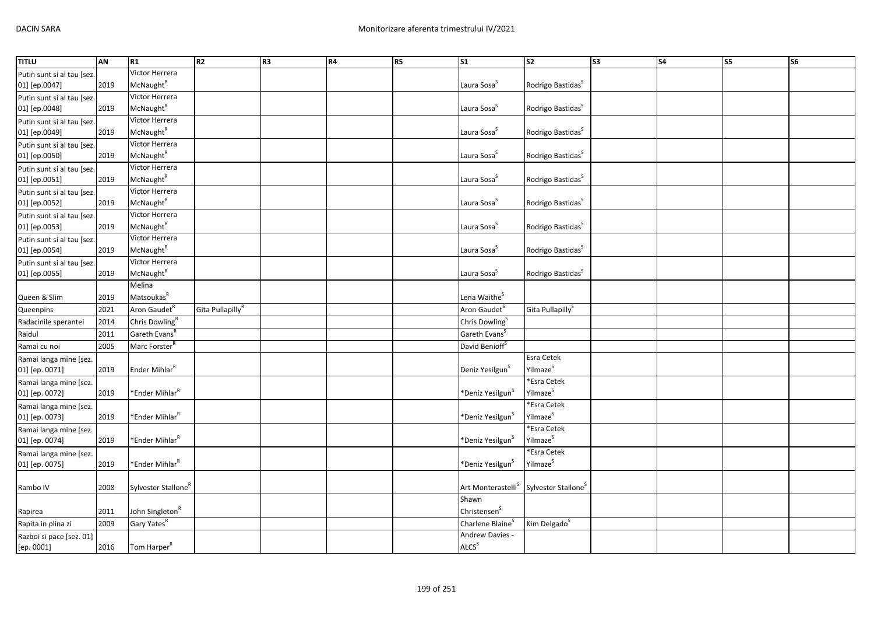| <b>TITLU</b>               | AN   | R1                              | R2                           | R <sub>3</sub> | R4 | R5 | S <sub>1</sub>                 | $\overline{\text{S2}}$          | $\overline{\text{S3}}$ | $\overline{\phantom{a}}$ | <b>S5</b> | $\overline{\text{S6}}$ |
|----------------------------|------|---------------------------------|------------------------------|----------------|----|----|--------------------------------|---------------------------------|------------------------|--------------------------|-----------|------------------------|
| Putin sunt si al tau [sez. |      | Victor Herrera                  |                              |                |    |    |                                |                                 |                        |                          |           |                        |
| 01] [ep.0047]              | 2019 | <b>McNaught</b> <sup>R</sup>    |                              |                |    |    | Laura Sosa <sup>S</sup>        | Rodrigo Bastidas <sup>S</sup>   |                        |                          |           |                        |
| Putin sunt si al tau [sez. |      | Victor Herrera                  |                              |                |    |    |                                |                                 |                        |                          |           |                        |
| 01] [ep.0048]              | 2019 | <b>McNaught</b> <sup>R</sup>    |                              |                |    |    | Laura Sosa <sup>S</sup>        | Rodrigo Bastidas <sup>S</sup>   |                        |                          |           |                        |
| Putin sunt si al tau [sez. |      | Victor Herrera                  |                              |                |    |    |                                |                                 |                        |                          |           |                        |
| 01] [ep.0049]              | 2019 | McNaught <sup>R</sup>           |                              |                |    |    | Laura Sosa <sup>5</sup>        | Rodrigo Bastidas <sup>S</sup>   |                        |                          |           |                        |
| Putin sunt si al tau [sez. |      | Victor Herrera                  |                              |                |    |    |                                |                                 |                        |                          |           |                        |
| 01] [ep.0050]              | 2019 | McNaught <sup>R</sup>           |                              |                |    |    | Laura Sosa <sup>S</sup>        | Rodrigo Bastidas <sup>S</sup>   |                        |                          |           |                        |
| Putin sunt si al tau [sez. |      | Victor Herrera                  |                              |                |    |    |                                |                                 |                        |                          |           |                        |
| 01] [ep.0051]              | 2019 | McNaught <sup>R</sup>           |                              |                |    |    | Laura Sosa <sup>S</sup>        | Rodrigo Bastidas <sup>S</sup>   |                        |                          |           |                        |
| Putin sunt si al tau [sez. |      | Victor Herrera                  |                              |                |    |    |                                |                                 |                        |                          |           |                        |
| 01] [ep.0052]              | 2019 | McNaught <sup>R</sup>           |                              |                |    |    | Laura Sosa <sup>S</sup>        | Rodrigo Bastidas <sup>S</sup>   |                        |                          |           |                        |
| Putin sunt si al tau [sez. |      | Victor Herrera                  |                              |                |    |    |                                |                                 |                        |                          |           |                        |
| 01] [ep.0053]              | 2019 | McNaught <sup>R</sup>           |                              |                |    |    | Laura Sosa <sup>S</sup>        | Rodrigo Bastidas <sup>S</sup>   |                        |                          |           |                        |
| Putin sunt si al tau [sez. |      | Victor Herrera                  |                              |                |    |    |                                |                                 |                        |                          |           |                        |
| 01] [ep.0054]              | 2019 | McNaught <sup>R</sup>           |                              |                |    |    | Laura Sosa <sup>S</sup>        | Rodrigo Bastidas <sup>S</sup>   |                        |                          |           |                        |
| Putin sunt si al tau [sez. |      | Victor Herrera                  |                              |                |    |    |                                |                                 |                        |                          |           |                        |
| 01] [ep.0055]              | 2019 | McNaught <sup>R</sup>           |                              |                |    |    | Laura Sosa <sup>S</sup>        | Rodrigo Bastidas <sup>S</sup>   |                        |                          |           |                        |
|                            |      | Melina                          |                              |                |    |    |                                |                                 |                        |                          |           |                        |
| Queen & Slim               | 2019 | Matsoukas <sup>R</sup>          |                              |                |    |    | Lena Waithe <sup>5</sup>       |                                 |                        |                          |           |                        |
| Queenpins                  | 2021 | Aron Gaudet <sup>R</sup>        | Gita Pullapilly <sup>R</sup> |                |    |    | Aron Gaudet <sup>S</sup>       | Gita Pullapilly <sup>S</sup>    |                        |                          |           |                        |
| Radacinile sperantei       | 2014 | Chris Dowling <sup>R</sup>      |                              |                |    |    | Chris Dowling <sup>S</sup>     |                                 |                        |                          |           |                        |
| Raidul                     | 2011 | Gareth Evans <sup>R</sup>       |                              |                |    |    | Gareth Evans <sup>S</sup>      |                                 |                        |                          |           |                        |
| Ramai cu noi               | 2005 | Marc Forster <sup>R</sup>       |                              |                |    |    | David Benioff <sup>S</sup>     |                                 |                        |                          |           |                        |
| Ramai langa mine [sez.     |      |                                 |                              |                |    |    |                                | <b>Esra Cetek</b>               |                        |                          |           |                        |
| 01] [ep. 0071]             | 2019 | Ender Mihlar <sup>R</sup>       |                              |                |    |    | Deniz Yesilgun <sup>3</sup>    | Yilmaze <sup>S</sup>            |                        |                          |           |                        |
| Ramai langa mine [sez.     |      |                                 |                              |                |    |    |                                | *Esra Cetek                     |                        |                          |           |                        |
| 01] [ep. 0072]             | 2019 | *Ender Mihlar <sup>ĸ</sup>      |                              |                |    |    | *Deniz Yesilgun <sup>5</sup>   | Yilmaze <sup>S</sup>            |                        |                          |           |                        |
| Ramai langa mine [sez.     |      |                                 |                              |                |    |    |                                | *Esra Cetek                     |                        |                          |           |                        |
| 01] [ep. 0073]             | 2019 | *Ender Mihlar <sup>R</sup>      |                              |                |    |    | *Deniz Yesilgun <sup>s</sup>   | Yilmaze <sup>S</sup>            |                        |                          |           |                        |
| Ramai langa mine [sez.     |      |                                 |                              |                |    |    |                                | *Esra Cetek                     |                        |                          |           |                        |
| 01] [ep. 0074]             | 2019 | *Ender Mihlar <sup>R</sup>      |                              |                |    |    | *Deniz Yesilgun <sup>S</sup>   | Yilmaze <sup>S</sup>            |                        |                          |           |                        |
| Ramai langa mine [sez.     |      |                                 |                              |                |    |    |                                | *Esra Cetek                     |                        |                          |           |                        |
| 01] [ep. 0075]             | 2019 | *Ender Mihlar <sup>R</sup>      |                              |                |    |    | *Deniz Yesilgun <sup>3</sup>   | Yilmaze <sup>S</sup>            |                        |                          |           |                        |
|                            |      |                                 |                              |                |    |    |                                |                                 |                        |                          |           |                        |
| Rambo IV                   | 2008 | Sylvester Stallone <sup>R</sup> |                              |                |    |    | Art Monterastelli <sup>S</sup> | Sylvester Stallone <sup>S</sup> |                        |                          |           |                        |
|                            |      |                                 |                              |                |    |    | Shawn                          |                                 |                        |                          |           |                        |
| Rapirea                    | 2011 | John Singleton <sup>R</sup>     |                              |                |    |    | Christensen <sup>5</sup>       |                                 |                        |                          |           |                        |
| Rapita in plina zi         | 2009 | Gary Yates <sup>R</sup>         |                              |                |    |    | Charlene Blaine <sup>5</sup>   | Kim Delgado <sup>S</sup>        |                        |                          |           |                        |
| Razboi si pace [sez. 01]   |      |                                 |                              |                |    |    | Andrew Davies -                |                                 |                        |                          |           |                        |
| [ep. 0001]                 | 2016 | Tom Harper <sup>R</sup>         |                              |                |    |    | ALCS <sup>S</sup>              |                                 |                        |                          |           |                        |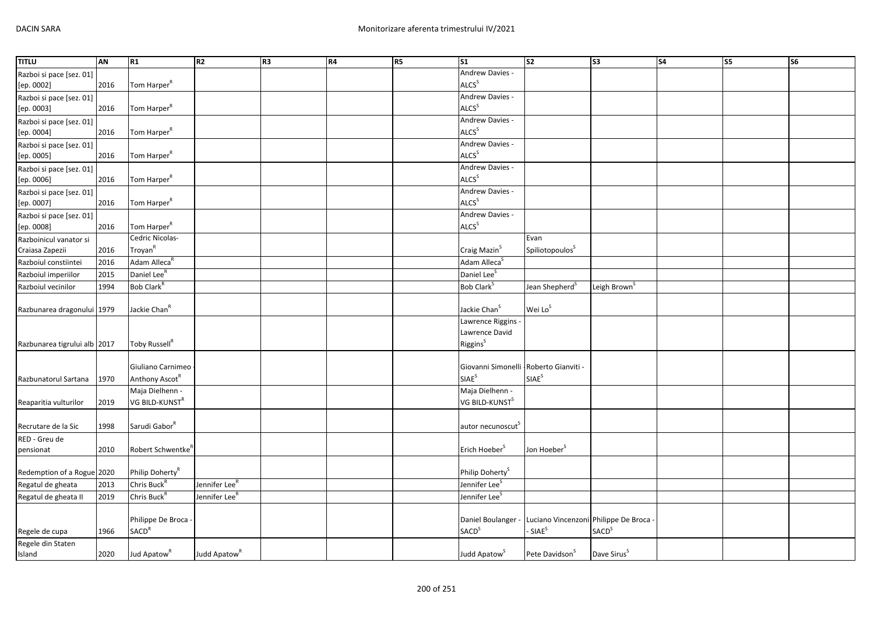| <b>TITLU</b>                 | AN   | R <sub>1</sub>                | R2                        | R <sub>3</sub> | <b>R4</b> | <b>R5</b> | S <sub>1</sub>                          | $\overline{\text{S2}}$                 | S <sub>3</sub>           | <b>S4</b> | $\overline{\text{S5}}$ | $\overline{\text{S6}}$ |
|------------------------------|------|-------------------------------|---------------------------|----------------|-----------|-----------|-----------------------------------------|----------------------------------------|--------------------------|-----------|------------------------|------------------------|
| Razboi si pace [sez. 01]     |      |                               |                           |                |           |           | Andrew Davies -                         |                                        |                          |           |                        |                        |
| [ep. 0002]                   | 2016 | Tom Harper <sup>R</sup>       |                           |                |           |           | ALCS <sup>S</sup>                       |                                        |                          |           |                        |                        |
| Razboi si pace [sez. 01]     |      |                               |                           |                |           |           | Andrew Davies -                         |                                        |                          |           |                        |                        |
| [ep. 0003]                   | 2016 | Tom Harper <sup>R</sup>       |                           |                |           |           | ALCS <sup>S</sup>                       |                                        |                          |           |                        |                        |
| Razboi si pace [sez. 01]     |      |                               |                           |                |           |           | Andrew Davies -                         |                                        |                          |           |                        |                        |
| [ep. 0004]                   | 2016 | Tom Harper <sup>R</sup>       |                           |                |           |           | ALCS <sup>S</sup>                       |                                        |                          |           |                        |                        |
| Razboi si pace [sez. 01]     |      |                               |                           |                |           |           | Andrew Davies -                         |                                        |                          |           |                        |                        |
| [ep. 0005]                   | 2016 | Tom Harper <sup>R</sup>       |                           |                |           |           | ALCS <sup>S</sup>                       |                                        |                          |           |                        |                        |
| Razboi si pace [sez. 01]     |      |                               |                           |                |           |           | Andrew Davies -                         |                                        |                          |           |                        |                        |
| [ep. 0006]                   | 2016 | Tom Harper <sup>R</sup>       |                           |                |           |           | ALCS <sup>S</sup>                       |                                        |                          |           |                        |                        |
| Razboi si pace [sez. 01]     |      |                               |                           |                |           |           | Andrew Davies -                         |                                        |                          |           |                        |                        |
| [ep. 0007]                   | 2016 | Tom Harper <sup>R</sup>       |                           |                |           |           | ALCS <sup>S</sup>                       |                                        |                          |           |                        |                        |
| Razboi si pace [sez. 01]     |      |                               |                           |                |           |           | Andrew Davies -                         |                                        |                          |           |                        |                        |
| [ep. 0008]                   | 2016 | Tom Harper <sup>R</sup>       |                           |                |           |           | ALCS <sup>S</sup>                       |                                        |                          |           |                        |                        |
| Razboinicul vanator si       |      | Cedric Nicolas-               |                           |                |           |           |                                         | Evan                                   |                          |           |                        |                        |
| Craiasa Zapezii              | 2016 | Troyan <sup>R</sup>           |                           |                |           |           | Craig Mazin <sup>S</sup>                | Spiliotopoulos <sup>S</sup>            |                          |           |                        |                        |
| Razboiul constiintei         | 2016 | Adam Alleca <sup>R</sup>      |                           |                |           |           | Adam Alleca <sup>S</sup>                |                                        |                          |           |                        |                        |
| Razboiul imperiilor          | 2015 | Daniel Lee <sup>R</sup>       |                           |                |           |           | Daniel Lee <sup>S</sup>                 |                                        |                          |           |                        |                        |
| Razboiul vecinilor           | 1994 | Bob Clark <sup>R</sup>        |                           |                |           |           | Bob Clark <sup>S</sup>                  | Jean Shepherd <sup>5</sup>             | Leigh Brown <sup>5</sup> |           |                        |                        |
|                              |      |                               |                           |                |           |           |                                         |                                        |                          |           |                        |                        |
| Razbunarea dragonului 1979   |      | Jackie Chan <sup>R</sup>      |                           |                |           |           | Jackie Chan <sup>S</sup>                | Wei Lo <sup>S</sup>                    |                          |           |                        |                        |
|                              |      |                               |                           |                |           |           | Lawrence Riggins -                      |                                        |                          |           |                        |                        |
|                              |      |                               |                           |                |           |           | Lawrence David                          |                                        |                          |           |                        |                        |
| Razbunarea tigrului alb 2017 |      | Toby Russell <sup>R</sup>     |                           |                |           |           | Riggins <sup>S</sup>                    |                                        |                          |           |                        |                        |
|                              |      |                               |                           |                |           |           |                                         |                                        |                          |           |                        |                        |
|                              |      | Giuliano Carnimeo             |                           |                |           |           | Giovanni Simonelli - Roberto Gianviti - |                                        |                          |           |                        |                        |
| Razbunatorul Sartana         | 1970 | Anthony Ascot <sup>R</sup>    |                           |                |           |           | <b>SIAE</b> <sup>S</sup>                | SIAE <sup>S</sup>                      |                          |           |                        |                        |
|                              |      | Maja Dielhenn -               |                           |                |           |           | Maja Dielhenn -                         |                                        |                          |           |                        |                        |
| Reaparitia vulturilor        | 2019 | VG BILD-KUNST <sup>R</sup>    |                           |                |           |           | VG BILD-KUNST <sup>S</sup>              |                                        |                          |           |                        |                        |
|                              |      |                               |                           |                |           |           |                                         |                                        |                          |           |                        |                        |
| Recrutare de la Sic          | 1998 | Sarudi Gabor <sup>R</sup>     |                           |                |           |           | autor necunoscut <sup>s</sup>           |                                        |                          |           |                        |                        |
| RED - Greu de                |      |                               |                           |                |           |           |                                         |                                        |                          |           |                        |                        |
| pensionat                    | 2010 | Robert Schwentke <sup>R</sup> |                           |                |           |           | Erich Hoeber <sup>S</sup>               | Jon Hoeber <sup>S</sup>                |                          |           |                        |                        |
|                              |      |                               |                           |                |           |           |                                         |                                        |                          |           |                        |                        |
| Redemption of a Rogue 2020   |      | Philip Doherty <sup>R</sup>   |                           |                |           |           | Philip Doherty <sup>S</sup>             |                                        |                          |           |                        |                        |
| Regatul de gheata            | 2013 | Chris Buck <sup>R</sup>       | Jennifer Lee <sup>r</sup> |                |           |           | Jennifer Lee <sup>S</sup>               |                                        |                          |           |                        |                        |
| Regatul de gheata II         | 2019 | Chris Buck <sup>R</sup>       | Jennifer Lee <sup>r</sup> |                |           |           | Jennifer Lee <sup>5</sup>               |                                        |                          |           |                        |                        |
|                              |      |                               |                           |                |           |           |                                         |                                        |                          |           |                        |                        |
|                              |      | Philippe De Broca -           |                           |                |           |           | Daniel Boulanger -                      | Luciano Vincenzoni Philippe De Broca - |                          |           |                        |                        |
| Regele de cupa               | 1966 | SACD <sup>R</sup>             |                           |                |           |           | <b>SACD</b> <sup>S</sup>                | - SIAE <sup>S</sup>                    | SACD <sup>S</sup>        |           |                        |                        |
| Regele din Staten            |      |                               |                           |                |           |           |                                         |                                        |                          |           |                        |                        |
| Island                       | 2020 | Jud Apatow <sup>R</sup>       | Judd Apatow <sup>R</sup>  |                |           |           | Judd Apatow <sup>S</sup>                | Pete Davidson <sup>S</sup>             | Dave Sirus <sup>S</sup>  |           |                        |                        |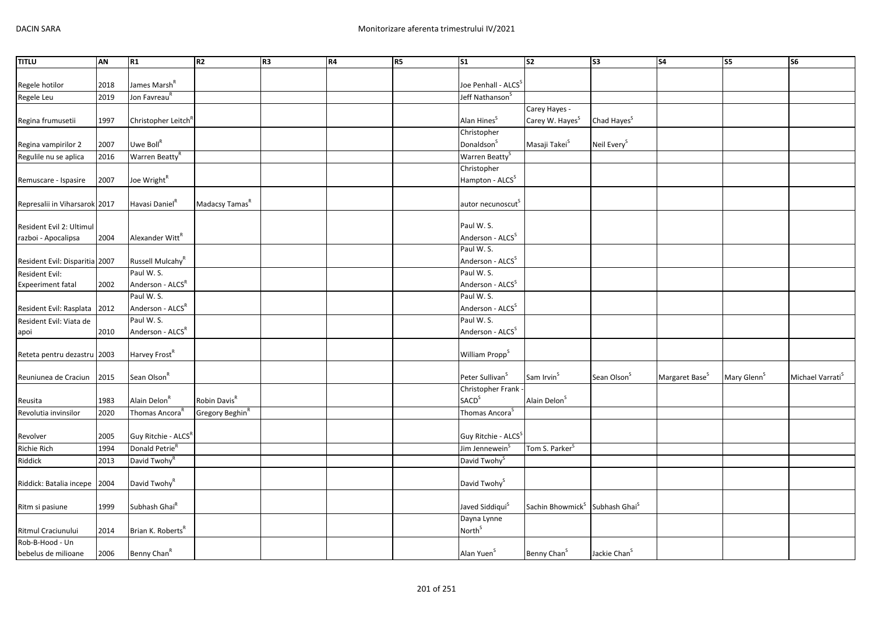| <b>TITLU</b>                   | AN   | R1                              | R <sub>2</sub>              | R <sub>3</sub> | R4 | <b>R5</b> | <b>S1</b>                         | S <sub>2</sub>                                         | S3                       | S <sub>4</sub>             | S5                      | S <sub>6</sub>               |
|--------------------------------|------|---------------------------------|-----------------------------|----------------|----|-----------|-----------------------------------|--------------------------------------------------------|--------------------------|----------------------------|-------------------------|------------------------------|
|                                |      |                                 |                             |                |    |           |                                   |                                                        |                          |                            |                         |                              |
| Regele hotilor                 | 2018 | James Marsh <sup>R</sup>        |                             |                |    |           | Joe Penhall - ALCS <sup>5</sup>   |                                                        |                          |                            |                         |                              |
| Regele Leu                     | 2019 | Jon Favreau <sup>R</sup>        |                             |                |    |           | Jeff Nathanson <sup>5</sup>       |                                                        |                          |                            |                         |                              |
|                                |      |                                 |                             |                |    |           |                                   | Carey Hayes -                                          |                          |                            |                         |                              |
| Regina frumusetii              | 1997 | Christopher Leitch <sup>R</sup> |                             |                |    |           | Alan Hines <sup>S</sup>           | Carey W. Hayes <sup>S</sup>                            | Chad Hayes <sup>S</sup>  |                            |                         |                              |
|                                |      |                                 |                             |                |    |           | Christopher                       |                                                        |                          |                            |                         |                              |
| Regina vampirilor 2            | 2007 | Uwe Boll <sup>R</sup>           |                             |                |    |           | Donaldson <sup>S</sup>            | Masaji Takei <sup>S</sup>                              | Neil Every <sup>S</sup>  |                            |                         |                              |
| Regulile nu se aplica          | 2016 | Warren Beatty <sup>R</sup>      |                             |                |    |           | Warren Beatty <sup>S</sup>        |                                                        |                          |                            |                         |                              |
|                                |      |                                 |                             |                |    |           | Christopher                       |                                                        |                          |                            |                         |                              |
| Remuscare - Ispasire           | 2007 | Joe Wright <sup>R</sup>         |                             |                |    |           | Hampton - ALCS <sup>S</sup>       |                                                        |                          |                            |                         |                              |
|                                |      |                                 |                             |                |    |           |                                   |                                                        |                          |                            |                         |                              |
| Represalii in Viharsarok 2017  |      | Havasi Daniel <sup>R</sup>      | Madacsy Tamas <sup>R</sup>  |                |    |           | autor necunoscut                  |                                                        |                          |                            |                         |                              |
|                                |      |                                 |                             |                |    |           |                                   |                                                        |                          |                            |                         |                              |
| Resident Evil 2: Ultimul       |      |                                 |                             |                |    |           | Paul W. S.                        |                                                        |                          |                            |                         |                              |
| razboi - Apocalipsa            | 2004 | Alexander Witt <sup>R</sup>     |                             |                |    |           | Anderson - ALCS <sup>S</sup>      |                                                        |                          |                            |                         |                              |
|                                |      |                                 |                             |                |    |           | Paul W. S.                        |                                                        |                          |                            |                         |                              |
| Resident Evil: Disparitia 2007 |      | Russell Mulcahy <sup>R</sup>    |                             |                |    |           | Anderson - ALCS <sup>S</sup>      |                                                        |                          |                            |                         |                              |
| Resident Evil:                 |      | Paul W.S.                       |                             |                |    |           | Paul W.S.                         |                                                        |                          |                            |                         |                              |
| <b>Expeeriment fatal</b>       | 2002 | Anderson - ALCSR                |                             |                |    |           | Anderson - ALCS <sup>S</sup>      |                                                        |                          |                            |                         |                              |
|                                |      | Paul W.S.                       |                             |                |    |           | Paul W. S.                        |                                                        |                          |                            |                         |                              |
| Resident Evil: Rasplata        | 2012 | Anderson - ALCS <sup>R</sup>    |                             |                |    |           | Anderson - ALCS <sup>S</sup>      |                                                        |                          |                            |                         |                              |
| Resident Evil: Viata de        |      | Paul W.S.                       |                             |                |    |           | Paul W. S.                        |                                                        |                          |                            |                         |                              |
| apoi                           | 2010 | Anderson - ALCSR                |                             |                |    |           | Anderson - ALCS <sup>S</sup>      |                                                        |                          |                            |                         |                              |
|                                |      |                                 |                             |                |    |           |                                   |                                                        |                          |                            |                         |                              |
| Reteta pentru dezastru 2003    |      | Harvey Frost <sup>R</sup>       |                             |                |    |           | William Propp <sup>S</sup>        |                                                        |                          |                            |                         |                              |
| Reuniunea de Craciun           | 2015 | Sean Olson <sup>R</sup>         |                             |                |    |           | Peter Sullivan <sup>S</sup>       | Sam Irvin <sup>S</sup>                                 | Sean Olson <sup>S</sup>  | Margaret Base <sup>S</sup> | Mary Glenn <sup>S</sup> | Michael Varrati <sup>S</sup> |
|                                |      |                                 |                             |                |    |           | Christopher Frank -               |                                                        |                          |                            |                         |                              |
| Reusita                        | 1983 | Alain Delon <sup>R</sup>        | Robin Davis <sup>R</sup>    |                |    |           | <b>SACD</b> <sup>S</sup>          | Alain Delon <sup>S</sup>                               |                          |                            |                         |                              |
| Revolutia invinsilor           | 2020 | Thomas Ancora <sup>F</sup>      | Gregory Beghin <sup>R</sup> |                |    |           | Thomas Ancora <sup>S</sup>        |                                                        |                          |                            |                         |                              |
|                                |      |                                 |                             |                |    |           |                                   |                                                        |                          |                            |                         |                              |
| Revolver                       | 2005 | Guy Ritchie - ALCS <sup>R</sup> |                             |                |    |           | Guy Ritchie - ALCS <sup>S</sup>   |                                                        |                          |                            |                         |                              |
| <b>Richie Rich</b>             | 1994 | Donald Petrie <sup>R</sup>      |                             |                |    |           | Jim Jennewein <sup>3</sup>        | Tom S. Parker <sup>5</sup>                             |                          |                            |                         |                              |
| Riddick                        | 2013 | David Twohy <sup>R</sup>        |                             |                |    |           | David Twohy <sup>S</sup>          |                                                        |                          |                            |                         |                              |
|                                |      |                                 |                             |                |    |           |                                   |                                                        |                          |                            |                         |                              |
| Riddick: Batalia incepe        | 2004 | David Twohy <sup>R</sup>        |                             |                |    |           | David Twohy <sup>S</sup>          |                                                        |                          |                            |                         |                              |
|                                |      | Subhash Ghai <sup>R</sup>       |                             |                |    |           | Javed Siddiqui <sup>S</sup>       | Sachin Bhowmick <sup>S</sup> Subhash Ghai <sup>S</sup> |                          |                            |                         |                              |
| Ritm si pasiune                | 1999 |                                 |                             |                |    |           |                                   |                                                        |                          |                            |                         |                              |
|                                |      |                                 |                             |                |    |           | Dayna Lynne<br>North <sup>S</sup> |                                                        |                          |                            |                         |                              |
| Ritmul Craciunului             | 2014 | Brian K. Roberts <sup>R</sup>   |                             |                |    |           |                                   |                                                        |                          |                            |                         |                              |
| Rob-B-Hood - Un                |      |                                 |                             |                |    |           | Alan Yuen <sup>S</sup>            | Benny Chan <sup>S</sup>                                | Jackie Chan <sup>S</sup> |                            |                         |                              |
| bebelus de milioane            | 2006 | Benny Chan <sup>R</sup>         |                             |                |    |           |                                   |                                                        |                          |                            |                         |                              |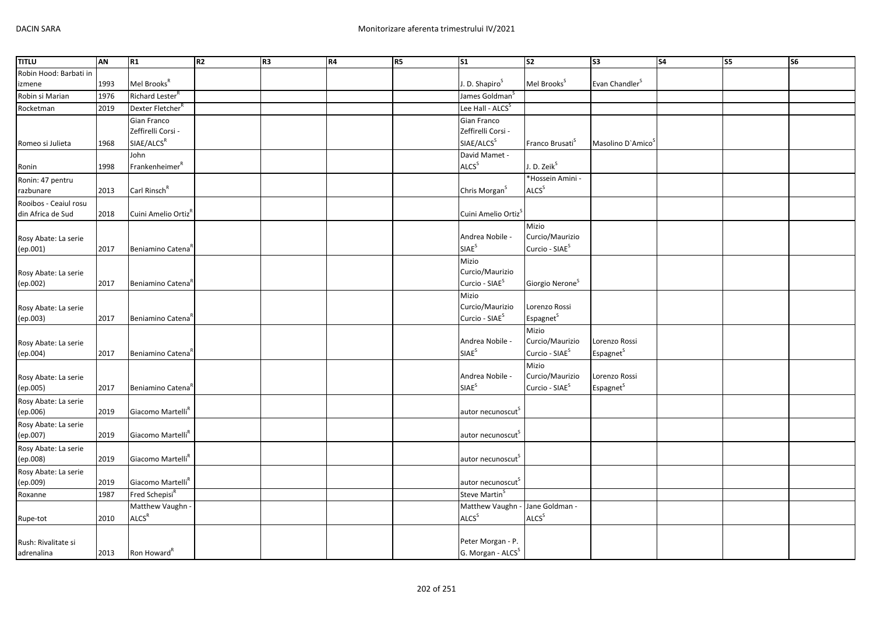| <b>TITLU</b>           | AN   | R1                              | R2 | R <sub>3</sub> | R4 | <b>R5</b> | S <sub>1</sub>                  | S <sub>2</sub>              | <b>S3</b>                     | S <sub>4</sub> | S5 | S <sub>6</sub> |
|------------------------|------|---------------------------------|----|----------------|----|-----------|---------------------------------|-----------------------------|-------------------------------|----------------|----|----------------|
| Robin Hood: Barbati in |      |                                 |    |                |    |           |                                 |                             |                               |                |    |                |
| izmene                 | 1993 | Mel Brooks <sup>R</sup>         |    |                |    |           | J. D. Shapiro <sup>S</sup>      | Mel Brooks <sup>S</sup>     | Evan Chandler <sup>S</sup>    |                |    |                |
| Robin si Marian        | 1976 | Richard Lester <sup>R</sup>     |    |                |    |           | James Goldman <sup>S</sup>      |                             |                               |                |    |                |
| Rocketman              | 2019 | Dexter Fletcher <sup>R</sup>    |    |                |    |           | Lee Hall - ALCS <sup>S</sup>    |                             |                               |                |    |                |
|                        |      | Gian Franco                     |    |                |    |           | Gian Franco                     |                             |                               |                |    |                |
|                        |      | Zeffirelli Corsi -              |    |                |    |           | Zeffirelli Corsi -              |                             |                               |                |    |                |
| Romeo si Julieta       | 1968 | SIAE/ALCS <sup>R</sup>          |    |                |    |           | SIAE/ALCS <sup>S</sup>          | Franco Brusati <sup>S</sup> | Masolino D'Amico <sup>5</sup> |                |    |                |
|                        |      | John                            |    |                |    |           | David Mamet -                   |                             |                               |                |    |                |
| Ronin                  | 1998 | Franc <sup>R</sup>              |    |                |    |           | ALCS <sup>S</sup>               | J. D. Zeik <sup>S</sup>     |                               |                |    |                |
| Ronin: 47 pentru       |      |                                 |    |                |    |           |                                 | *Hossein Amini -            |                               |                |    |                |
| razbunare              | 2013 | Carl Rinsch <sup>R</sup>        |    |                |    |           | Chris Morgan <sup>S</sup>       | ALCS <sup>S</sup>           |                               |                |    |                |
| Rooibos - Ceaiul rosu  |      |                                 |    |                |    |           |                                 |                             |                               |                |    |                |
| din Africa de Sud      | 2018 | Cuini Amelio Ortiz <sup>R</sup> |    |                |    |           | Cuini Amelio Ortiz <sup>5</sup> |                             |                               |                |    |                |
|                        |      |                                 |    |                |    |           |                                 | Mizio                       |                               |                |    |                |
| Rosy Abate: La serie   |      |                                 |    |                |    |           | Andrea Nobile -                 | Curcio/Maurizio             |                               |                |    |                |
| (ep.001)               | 2017 | Beniamino Catena                |    |                |    |           | SIAE <sup>S</sup>               | Curcio - SIAE <sup>S</sup>  |                               |                |    |                |
|                        |      |                                 |    |                |    |           | Mizio                           |                             |                               |                |    |                |
| Rosy Abate: La serie   |      |                                 |    |                |    |           | Curcio/Maurizio                 |                             |                               |                |    |                |
| (ep.002)               | 2017 | Beniamino Catena                |    |                |    |           | Curcio - SIAE <sup>S</sup>      | Giorgio Nerone <sup>S</sup> |                               |                |    |                |
|                        |      |                                 |    |                |    |           | Mizio                           |                             |                               |                |    |                |
| Rosy Abate: La serie   |      |                                 |    |                |    |           | Curcio/Maurizio                 | Lorenzo Rossi               |                               |                |    |                |
| (ep.003)               | 2017 | Beniamino Catena                |    |                |    |           | Curcio - SIAE <sup>S</sup>      | Espagnet <sup>S</sup>       |                               |                |    |                |
|                        |      |                                 |    |                |    |           |                                 | Mizio                       |                               |                |    |                |
| Rosy Abate: La serie   |      |                                 |    |                |    |           | Andrea Nobile -                 | Curcio/Maurizio             | Lorenzo Rossi                 |                |    |                |
| (ep.004)               | 2017 | Beniamino Catena                |    |                |    |           | SIAE <sup>S</sup>               | Curcio - SIAE <sup>S</sup>  | Espagnet <sup>S</sup>         |                |    |                |
|                        |      |                                 |    |                |    |           |                                 | Mizio                       |                               |                |    |                |
| Rosy Abate: La serie   |      |                                 |    |                |    |           | Andrea Nobile -                 | Curcio/Maurizio             | Lorenzo Rossi                 |                |    |                |
| (ep.005)               | 2017 | Beniamino Catena <sup>R</sup>   |    |                |    |           | <b>SIAE</b> <sup>S</sup>        | Curcio - SIAE <sup>S</sup>  | Espagnet <sup>S</sup>         |                |    |                |
| Rosy Abate: La serie   |      |                                 |    |                |    |           |                                 |                             |                               |                |    |                |
| (ep.006)               | 2019 | Giacomo Martelli <sup>R</sup>   |    |                |    |           | autor necunoscut                |                             |                               |                |    |                |
| Rosy Abate: La serie   |      |                                 |    |                |    |           |                                 |                             |                               |                |    |                |
| (ep.007)               | 2019 | Giacomo Martelli <sup>R</sup>   |    |                |    |           | autor necunoscut <sup>3</sup>   |                             |                               |                |    |                |
| Rosy Abate: La serie   |      |                                 |    |                |    |           |                                 |                             |                               |                |    |                |
| (ep.008)               | 2019 | Giacomo Martelli <sup>R</sup>   |    |                |    |           | autor necunoscut                |                             |                               |                |    |                |
| Rosy Abate: La serie   |      |                                 |    |                |    |           |                                 |                             |                               |                |    |                |
| (ep.009)               | 2019 | Giacomo Martelli <sup>R</sup>   |    |                |    |           | autor necunoscut <sup>S</sup>   |                             |                               |                |    |                |
| Roxanne                | 1987 | Fred Schepisi <sup>R</sup>      |    |                |    |           | Steve Martin <sup>S</sup>       |                             |                               |                |    |                |
|                        |      | Matthew Vaughn -                |    |                |    |           | Matthew Vaughn -                | Jane Goldman -              |                               |                |    |                |
| Rupe-tot               | 2010 | ALCS <sup>R</sup>               |    |                |    |           | ALCS <sup>S</sup>               | ALCS <sup>S</sup>           |                               |                |    |                |
|                        |      |                                 |    |                |    |           |                                 |                             |                               |                |    |                |
| Rush: Rivalitate si    |      |                                 |    |                |    |           | Peter Morgan - P.               |                             |                               |                |    |                |
| adrenalina             | 2013 | Ron Howard <sup>"</sup>         |    |                |    |           | G. Morgan - ALCS <sup>S</sup>   |                             |                               |                |    |                |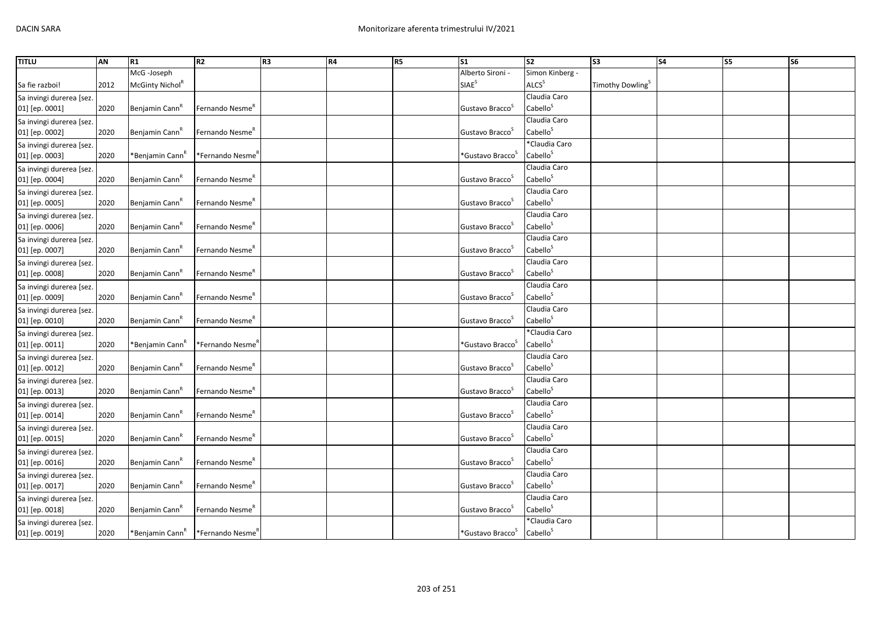| <b>TITLU</b>             | AN   | R1                          | R2                          | R <sub>3</sub> | R4 | R5 | $\overline{\text{S1}}$          | s <sub>2</sub>                       | S3                           | <b>S4</b> | S5 | S6 |
|--------------------------|------|-----------------------------|-----------------------------|----------------|----|----|---------------------------------|--------------------------------------|------------------------------|-----------|----|----|
|                          |      | McG-Joseph                  |                             |                |    |    | Alberto Sironi -                | Simon Kinberg -                      |                              |           |    |    |
| Sa fie razboi!           | 2012 | McGinty Nichol <sup>R</sup> |                             |                |    |    | <b>SIAE</b> <sup>S</sup>        | <b>ALCS</b> <sup>S</sup>             | Timothy Dowling <sup>S</sup> |           |    |    |
| Sa invingi durerea [sez. |      |                             |                             |                |    |    |                                 | Claudia Caro                         |                              |           |    |    |
| 01] [ep. 0001]           | 2020 | Benjamin Cann <sup>n</sup>  | Fernando Nesme <sup>R</sup> |                |    |    | Gustavo Bracco <sup>3</sup>     | Cabello <sup>S</sup>                 |                              |           |    |    |
| Sa invingi durerea [sez. |      |                             |                             |                |    |    |                                 | Claudia Caro                         |                              |           |    |    |
| 01] [ep. 0002]           | 2020 | Benjamin Cann <sup>"</sup>  | Fernando Nesme <sup>R</sup> |                |    |    | Gustavo Bracco <sup>3</sup>     | Cabello <sup>S</sup>                 |                              |           |    |    |
| Sa invingi durerea [sez. |      |                             |                             |                |    |    |                                 | *Claudia Caro                        |                              |           |    |    |
| 01] [ep. 0003]           | 2020 | *Benjamin Cann <sup>n</sup> | *Fernando Nesme′            |                |    |    | *Gustavo Bracco <sup>&gt;</sup> | Cabello <sup>S</sup>                 |                              |           |    |    |
| Sa invingi durerea [sez. |      |                             |                             |                |    |    |                                 | Claudia Caro                         |                              |           |    |    |
| 01] [ep. 0004]           | 2020 | Benjamin Cann <sup>R</sup>  | Fernando Nesme <sup>R</sup> |                |    |    | Gustavo Bracco <sup>3</sup>     | Cabello <sup>S</sup>                 |                              |           |    |    |
| Sa invingi durerea [sez. |      |                             |                             |                |    |    |                                 | Claudia Caro                         |                              |           |    |    |
| 01] [ep. 0005]           | 2020 | Benjamin Cann <sup>R</sup>  | Fernando Nesme <sup>R</sup> |                |    |    | Gustavo Bracco <sup>3</sup>     | Cabello <sup>S</sup>                 |                              |           |    |    |
| Sa invingi durerea [sez. |      |                             |                             |                |    |    |                                 | Claudia Caro                         |                              |           |    |    |
| 01] [ep. 0006]           | 2020 | Benjamin Cann <sup>K</sup>  | Fernando Nesme <sup>R</sup> |                |    |    | Gustavo Bracco <sup>3</sup>     | Cabello <sup>S</sup>                 |                              |           |    |    |
| Sa invingi durerea [sez. |      |                             |                             |                |    |    |                                 | Claudia Caro                         |                              |           |    |    |
| 01] [ep. 0007]           | 2020 | Benjamin Cann               | Fernando Nesme"             |                |    |    | Gustavo Bracco <sup>3</sup>     | Cabello <sup>S</sup>                 |                              |           |    |    |
| Sa invingi durerea [sez. |      |                             |                             |                |    |    |                                 | Claudia Caro                         |                              |           |    |    |
| 01] [ep. 0008]           | 2020 | Benjamin Cann <sup>R</sup>  | Fernando Nesme <sup>R</sup> |                |    |    | Gustavo Bracco <sup>3</sup>     | Cabello <sup>S</sup>                 |                              |           |    |    |
| Sa invingi durerea [sez. |      |                             |                             |                |    |    |                                 | Claudia Caro                         |                              |           |    |    |
| 01] [ep. 0009]           | 2020 | Benjamin Cann <sup>k</sup>  | Fernando Nesme <sup>R</sup> |                |    |    | Gustavo Bracco <sup>3</sup>     | Cabello <sup>S</sup>                 |                              |           |    |    |
| Sa invingi durerea [sez. |      |                             |                             |                |    |    |                                 | Claudia Caro                         |                              |           |    |    |
| 01] [ep. 0010]           | 2020 | Benjamin Cann               | Fernando Nesme"             |                |    |    | Gustavo Bracco                  | Cabello <sup>S</sup>                 |                              |           |    |    |
| Sa invingi durerea [sez. |      |                             |                             |                |    |    |                                 | *Claudia Caro                        |                              |           |    |    |
| 01] [ep. 0011]           | 2020 | *Benjamin Cann <sup>"</sup> | *Fernando Nesme′            |                |    |    | *Gustavo Bracco <sup>&gt;</sup> | Cabello <sup>S</sup>                 |                              |           |    |    |
| Sa invingi durerea [sez. |      |                             |                             |                |    |    |                                 | Claudia Caro                         |                              |           |    |    |
| 01] [ep. 0012]           | 2020 | Benjamin Cann               | Fernando Nesme <sup>R</sup> |                |    |    | Gustavo Bracco                  | Cabello <sup>S</sup>                 |                              |           |    |    |
| Sa invingi durerea [sez. |      |                             |                             |                |    |    |                                 | Claudia Caro                         |                              |           |    |    |
| 01] [ep. 0013]           | 2020 | Benjamin Cann <sup>K</sup>  | Fernando Nesme <sup>n</sup> |                |    |    | Gustavo Bracco <sup>5</sup>     | Cabello <sup>S</sup>                 |                              |           |    |    |
| Sa invingi durerea [sez. |      |                             |                             |                |    |    |                                 | Claudia Caro                         |                              |           |    |    |
| 01] [ep. 0014]           | 2020 | Benjamin Cann               | Fernando Nesme"             |                |    |    | Gustavo Bracco                  | Cabello <sup>S</sup>                 |                              |           |    |    |
| Sa invingi durerea [sez. |      |                             |                             |                |    |    |                                 | Claudia Caro                         |                              |           |    |    |
| 01] [ep. 0015]           | 2020 | Benjamin Cann <sup>k</sup>  | Fernando Nesme <sup>R</sup> |                |    |    | Gustavo Bracco <sup>3</sup>     | Cabello <sup>S</sup>                 |                              |           |    |    |
| Sa invingi durerea [sez. |      |                             |                             |                |    |    |                                 | Claudia Caro<br>Cabello <sup>S</sup> |                              |           |    |    |
| 01] [ep. 0016]           | 2020 | Benjamin Cann <sup>"</sup>  | Fernando Nesme <sup>R</sup> |                |    |    | Gustavo Bracco                  |                                      |                              |           |    |    |
| Sa invingi durerea [sez. |      |                             |                             |                |    |    |                                 | Claudia Caro<br>Cabello <sup>S</sup> |                              |           |    |    |
| 01] [ep. 0017]           | 2020 | Benjamin Cann <sup>k</sup>  | Fernando Nesme <sup>R</sup> |                |    |    | Gustavo Bracco <sup>5</sup>     |                                      |                              |           |    |    |
| Sa invingi durerea [sez. |      |                             |                             |                |    |    |                                 | Claudia Caro<br>Cabello <sup>S</sup> |                              |           |    |    |
| 01] [ep. 0018]           | 2020 | Benjamin Cann               | Fernando Nesme"             |                |    |    | Gustavo Bracco <sup>3</sup>     | *Claudia Caro                        |                              |           |    |    |
| Sa invingi durerea [sez. |      |                             |                             |                |    |    | *Gustavo Bracco <sup>S</sup>    | Cabello <sup>S</sup>                 |                              |           |    |    |
| 01] [ep. 0019]           | 2020 | *Benjamin Cann <sup>k</sup> | *Fernando Nesme             |                |    |    |                                 |                                      |                              |           |    |    |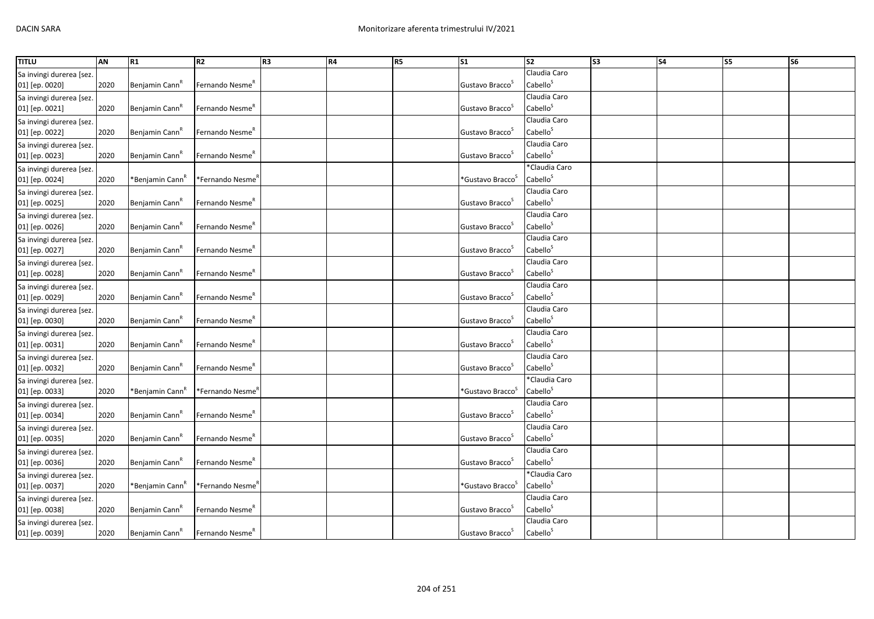| <b>TITLU</b>             | AN   | R1                          | R <sub>2</sub>              | R <sub>3</sub> | R4 | R5 | S <sub>1</sub>                  | $\overline{\text{S2}}$ | S3 | <b>S4</b> | <b>S5</b> | S6 |
|--------------------------|------|-----------------------------|-----------------------------|----------------|----|----|---------------------------------|------------------------|----|-----------|-----------|----|
| Sa invingi durerea [sez. |      |                             |                             |                |    |    |                                 | Claudia Caro           |    |           |           |    |
| 01] [ep. 0020]           | 2020 | Benjamin Cann"              | Fernando Nesme <sup>R</sup> |                |    |    | Gustavo Bracco <sup>5</sup>     | Cabello <sup>S</sup>   |    |           |           |    |
| Sa invingi durerea [sez. |      |                             |                             |                |    |    |                                 | Claudia Caro           |    |           |           |    |
| 01] [ep. 0021]           | 2020 | Benjamin Cann <sup>"</sup>  | Fernando Nesme <sup>R</sup> |                |    |    | Gustavo Bracco <sup>3</sup>     | Cabello <sup>S</sup>   |    |           |           |    |
| Sa invingi durerea [sez. |      |                             |                             |                |    |    |                                 | Claudia Caro           |    |           |           |    |
| 01] [ep. 0022]           | 2020 | Benjamin Cann <sup>"</sup>  | Fernando Nesme <sup>R</sup> |                |    |    | Gustavo Bracco <sup>3</sup>     | Cabello <sup>S</sup>   |    |           |           |    |
| Sa invingi durerea [sez. |      |                             |                             |                |    |    |                                 | Claudia Caro           |    |           |           |    |
| 01] [ep. 0023]           | 2020 | Benjamin Cann <sup>k</sup>  | Fernando Nesme <sup>k</sup> |                |    |    | Gustavo Bracco                  | Cabello <sup>S</sup>   |    |           |           |    |
| Sa invingi durerea [sez. |      |                             |                             |                |    |    |                                 | *Claudia Caro          |    |           |           |    |
| 01] [ep. 0024]           | 2020 | *Benjamin Cann <sup>ĸ</sup> | *Fernando Nesme′            |                |    |    | *Gustavo Bracco <sup>5</sup>    | Cabello <sup>S</sup>   |    |           |           |    |
| Sa invingi durerea [sez. |      |                             |                             |                |    |    |                                 | Claudia Caro           |    |           |           |    |
| 01] [ep. 0025]           | 2020 | Benjamin Cann <sup>K</sup>  | Fernando Nesme <sup>R</sup> |                |    |    | Gustavo Bracco <sup>3</sup>     | Cabello <sup>S</sup>   |    |           |           |    |
| Sa invingi durerea [sez. |      |                             |                             |                |    |    |                                 | Claudia Caro           |    |           |           |    |
| 01] [ep. 0026]           | 2020 | Benjamin Cann <sup>"</sup>  | Fernando Nesme <sup>"</sup> |                |    |    | Gustavo Bracco                  | Cabello <sup>S</sup>   |    |           |           |    |
| Sa invingi durerea [sez. |      |                             |                             |                |    |    |                                 | Claudia Caro           |    |           |           |    |
| 01] [ep. 0027]           | 2020 | Benjamin Cann <sup>"</sup>  | Fernando Nesme <sup>r</sup> |                |    |    | Gustavo Bracco                  | Cabello <sup>S</sup>   |    |           |           |    |
| Sa invingi durerea [sez. |      |                             |                             |                |    |    |                                 | Claudia Caro           |    |           |           |    |
| 01] [ep. 0028]           | 2020 | Benjamin Cann <sup>k</sup>  | Fernando Nesme <sup>R</sup> |                |    |    | Gustavo Bracco <sup>5</sup>     | Cabello <sup>S</sup>   |    |           |           |    |
| Sa invingi durerea [sez. |      |                             |                             |                |    |    |                                 | Claudia Caro           |    |           |           |    |
| 01] [ep. 0029]           | 2020 | Benjamin Cann <sup>"</sup>  | Fernando Nesme <sup>R</sup> |                |    |    | Gustavo Bracco <sup>3</sup>     | Cabello <sup>S</sup>   |    |           |           |    |
| Sa invingi durerea [sez. |      |                             |                             |                |    |    |                                 | Claudia Caro           |    |           |           |    |
| 01] [ep. 0030]           | 2020 | Benjamin Cann <sup>"</sup>  | Fernando Nesme <sup>"</sup> |                |    |    | Gustavo Bracco                  | Cabello <sup>S</sup>   |    |           |           |    |
| Sa invingi durerea [sez. |      |                             |                             |                |    |    |                                 | Claudia Caro           |    |           |           |    |
| 01] [ep. 0031]           | 2020 | Benjamin Cann"              | Fernando Nesme <sup>R</sup> |                |    |    | Gustavo Bracco <sup>5</sup>     | Cabello <sup>S</sup>   |    |           |           |    |
| Sa invingi durerea [sez. |      |                             |                             |                |    |    |                                 | Claudia Caro           |    |           |           |    |
| 01] [ep. 0032]           | 2020 | Benjamin Cann               | Fernando Nesme <sup>K</sup> |                |    |    | Gustavo Bracco                  | Cabello <sup>S</sup>   |    |           |           |    |
| Sa invingi durerea [sez. |      |                             |                             |                |    |    |                                 | *Claudia Caro          |    |           |           |    |
| 01] [ep. 0033]           | 2020 | *Benjamin Cann <sup>n</sup> | *Fernando Nesme′            |                |    |    | *Gustavo Bracco <sup>&gt;</sup> | Cabello <sup>S</sup>   |    |           |           |    |
| Sa invingi durerea [sez. |      |                             |                             |                |    |    |                                 | Claudia Caro           |    |           |           |    |
| 01] [ep. 0034]           | 2020 | Benjamin Cann               | Fernando Nesme <sup>K</sup> |                |    |    | Gustavo Bracco                  | Cabello <sup>S</sup>   |    |           |           |    |
| Sa invingi durerea [sez. |      |                             |                             |                |    |    |                                 | Claudia Caro           |    |           |           |    |
| 01] [ep. 0035]           | 2020 | Benjamin Cann <sup>"</sup>  | Fernando Nesme <sup>R</sup> |                |    |    | Gustavo Bracco <sup>3</sup>     | Cabello <sup>S</sup>   |    |           |           |    |
| Sa invingi durerea [sez. |      |                             |                             |                |    |    |                                 | Claudia Caro           |    |           |           |    |
| 01] [ep. 0036]           | 2020 | Benjamin Cann <sup>"</sup>  | Fernando Nesme <sup>R</sup> |                |    |    | Gustavo Bracco                  | Cabello <sup>S</sup>   |    |           |           |    |
| Sa invingi durerea [sez. |      |                             |                             |                |    |    |                                 | *Claudia Caro          |    |           |           |    |
| 01] [ep. 0037]           | 2020 | *Benjamin Cann <sup>n</sup> | *Fernando Nesme"            |                |    |    | *Gustavo Bracco <sup>&gt;</sup> | Cabello <sup>S</sup>   |    |           |           |    |
| Sa invingi durerea [sez. |      |                             |                             |                |    |    |                                 | Claudia Caro           |    |           |           |    |
| 01] [ep. 0038]           | 2020 | Benjamin Cann               | Fernando Nesme <sup>r</sup> |                |    |    | Gustavo Bracco                  | Cabello <sup>S</sup>   |    |           |           |    |
| Sa invingi durerea [sez. |      |                             |                             |                |    |    |                                 | Claudia Caro           |    |           |           |    |
| 01] [ep. 0039]           | 2020 | Benjamin Cann <sup>"</sup>  | Fernando Nesme <sup>R</sup> |                |    |    | Gustavo Bracco <sup>3</sup>     | Cabello <sup>S</sup>   |    |           |           |    |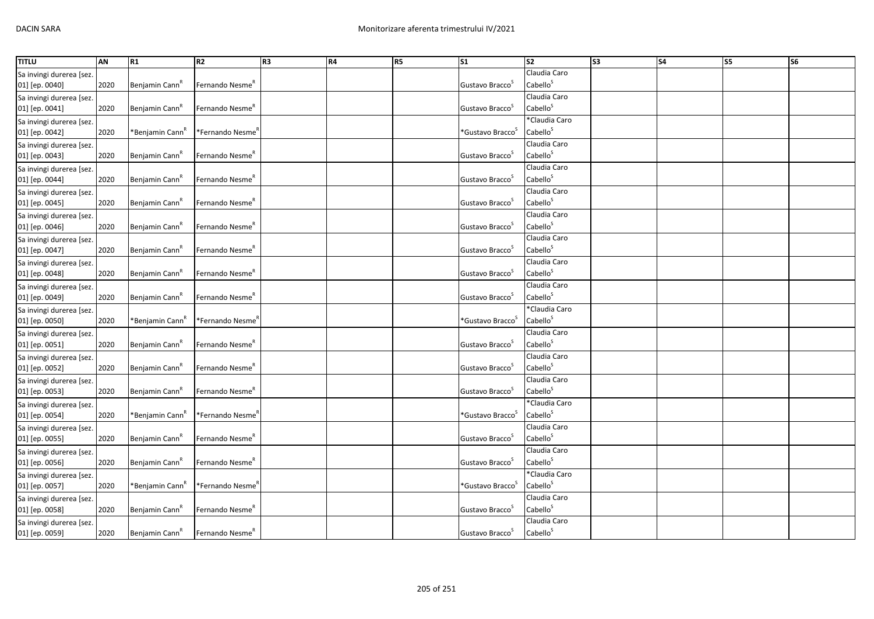| <b>TITLU</b>             | AN   | R1                          | R <sub>2</sub>               | R <sub>3</sub> | R4 | R5 | S <sub>1</sub>                  | $\overline{\text{S2}}$ | $\overline{\text{S3}}$ | <b>S4</b> | <b>S5</b> | S6 |
|--------------------------|------|-----------------------------|------------------------------|----------------|----|----|---------------------------------|------------------------|------------------------|-----------|-----------|----|
| Sa invingi durerea [sez. |      |                             |                              |                |    |    |                                 | Claudia Caro           |                        |           |           |    |
| 01] [ep. 0040]           | 2020 | Benjamin Cann"              | Fernando Nesme <sup>R</sup>  |                |    |    | Gustavo Bracco <sup>5</sup>     | Cabello <sup>S</sup>   |                        |           |           |    |
| Sa invingi durerea [sez. |      |                             |                              |                |    |    |                                 | Claudia Caro           |                        |           |           |    |
| 01] [ep. 0041]           | 2020 | Benjamin Cann <sup>"</sup>  | Fernando Nesme <sup>R</sup>  |                |    |    | Gustavo Bracco <sup>3</sup>     | Cabello <sup>S</sup>   |                        |           |           |    |
| Sa invingi durerea [sez. |      |                             |                              |                |    |    |                                 | *Claudia Caro          |                        |           |           |    |
| 01] [ep. 0042]           | 2020 | *Benjamin Cann <sup>n</sup> | *Fernando Nesme"             |                |    |    | *Gustavo Bracco <sup>&gt;</sup> | Cabello <sup>S</sup>   |                        |           |           |    |
| Sa invingi durerea [sez. |      |                             |                              |                |    |    |                                 | Claudia Caro           |                        |           |           |    |
| 01] [ep. 0043]           | 2020 | Benjamin Cann <sup>k</sup>  | Fernando Nesme <sup>k</sup>  |                |    |    | Gustavo Bracco                  | Cabello <sup>S</sup>   |                        |           |           |    |
| Sa invingi durerea [sez. |      |                             |                              |                |    |    |                                 | Claudia Caro           |                        |           |           |    |
| 01] [ep. 0044]           | 2020 | Benjamin Cann <sup>"</sup>  | Fernando Nesme <sup>R</sup>  |                |    |    | Gustavo Bracco                  | Cabello <sup>S</sup>   |                        |           |           |    |
| Sa invingi durerea [sez. |      |                             |                              |                |    |    |                                 | Claudia Caro           |                        |           |           |    |
| 01] [ep. 0045]           | 2020 | Benjamin Cann <sup>K</sup>  | Fernando Nesme <sup>R</sup>  |                |    |    | Gustavo Bracco <sup>3</sup>     | Cabello <sup>S</sup>   |                        |           |           |    |
| Sa invingi durerea [sez. |      |                             |                              |                |    |    |                                 | Claudia Caro           |                        |           |           |    |
| 01] [ep. 0046]           | 2020 | Benjamin Cann <sup>"</sup>  | Fernando Nesme <sup>"</sup>  |                |    |    | Gustavo Bracco                  | Cabello <sup>S</sup>   |                        |           |           |    |
| Sa invingi durerea [sez. |      |                             |                              |                |    |    |                                 | Claudia Caro           |                        |           |           |    |
| 01] [ep. 0047]           | 2020 | Benjamin Cann <sup>"</sup>  | Fernando Nesme <sup>r</sup>  |                |    |    | Gustavo Bracco                  | Cabello <sup>S</sup>   |                        |           |           |    |
| Sa invingi durerea [sez. |      |                             |                              |                |    |    |                                 | Claudia Caro           |                        |           |           |    |
| 01] [ep. 0048]           | 2020 | Benjamin Cann <sup>"</sup>  | Fernando Nesme <sup>R</sup>  |                |    |    | Gustavo Bracco <sup>5</sup>     | Cabello <sup>S</sup>   |                        |           |           |    |
| Sa invingi durerea [sez. |      |                             |                              |                |    |    |                                 | Claudia Caro           |                        |           |           |    |
| 01] [ep. 0049]           | 2020 | Benjamin Cann <sup>"</sup>  | Fernando Nesme <sup>R</sup>  |                |    |    | Gustavo Bracco <sup>3</sup>     | Cabello <sup>S</sup>   |                        |           |           |    |
| Sa invingi durerea [sez. |      |                             |                              |                |    |    |                                 | *Claudia Caro          |                        |           |           |    |
| 01] [ep. 0050]           | 2020 | *Benjamin Cann <sup>r</sup> | *Fernando Nesme′             |                |    |    | *Gustavo Bracco <sup>&gt;</sup> | Cabello <sup>S</sup>   |                        |           |           |    |
| Sa invingi durerea [sez. |      |                             |                              |                |    |    |                                 | Claudia Caro           |                        |           |           |    |
| 01] [ep. 0051]           | 2020 | Benjamin Cann <sup>"</sup>  | Fernando Nesme <sup>R</sup>  |                |    |    | Gustavo Bracco <sup>5</sup>     | Cabello <sup>S</sup>   |                        |           |           |    |
| Sa invingi durerea [sez. |      |                             |                              |                |    |    |                                 | Claudia Caro           |                        |           |           |    |
| 01] [ep. 0052]           | 2020 | Benjamin Cann               | Fernando Nesme <sup>K</sup>  |                |    |    | Gustavo Bracco                  | Cabello <sup>S</sup>   |                        |           |           |    |
| Sa invingi durerea [sez. |      |                             |                              |                |    |    |                                 | Claudia Caro           |                        |           |           |    |
| 01] [ep. 0053]           | 2020 | Benjamin Cann <sup>"</sup>  | Fernando Nesme <sup>"</sup>  |                |    |    | Gustavo Bracco                  | Cabello <sup>S</sup>   |                        |           |           |    |
| Sa invingi durerea [sez. |      |                             |                              |                |    |    |                                 | *Claudia Caro          |                        |           |           |    |
| 01] [ep. 0054]           | 2020 | *Benjamin Cann <sup>r</sup> | *Fernando Nesme <sup>r</sup> |                |    |    | *Gustavo Bracco <sup>s</sup>    | Cabello <sup>S</sup>   |                        |           |           |    |
| Sa invingi durerea [sez. |      |                             |                              |                |    |    |                                 | Claudia Caro           |                        |           |           |    |
| 01] [ep. 0055]           | 2020 | Benjamin Cann <sup>"</sup>  | Fernando Nesme <sup>R</sup>  |                |    |    | Gustavo Bracco <sup>3</sup>     | Cabello <sup>S</sup>   |                        |           |           |    |
| Sa invingi durerea [sez. |      |                             |                              |                |    |    |                                 | Claudia Caro           |                        |           |           |    |
| 01] [ep. 0056]           | 2020 | Benjamin Cann <sup>"</sup>  | Fernando Nesme <sup>R</sup>  |                |    |    | Gustavo Bracco                  | Cabello <sup>S</sup>   |                        |           |           |    |
| Sa invingi durerea [sez. |      |                             |                              |                |    |    |                                 | *Claudia Caro          |                        |           |           |    |
| 01] [ep. 0057]           | 2020 | *Benjamin Cann <sup>n</sup> | *Fernando Nesme"             |                |    |    | *Gustavo Bracco <sup>&gt;</sup> | Cabello <sup>S</sup>   |                        |           |           |    |
| Sa invingi durerea [sez. |      |                             |                              |                |    |    |                                 | Claudia Caro           |                        |           |           |    |
| 01] [ep. 0058]           | 2020 | Benjamin Cann               | Fernando Nesme <sup>r</sup>  |                |    |    | Gustavo Bracco                  | Cabello <sup>S</sup>   |                        |           |           |    |
| Sa invingi durerea [sez. |      |                             |                              |                |    |    |                                 | Claudia Caro           |                        |           |           |    |
| 01] [ep. 0059]           | 2020 | Benjamin Cann <sup>"</sup>  | Fernando Nesme <sup>R</sup>  |                |    |    | Gustavo Bracco <sup>3</sup>     | Cabello <sup>S</sup>   |                        |           |           |    |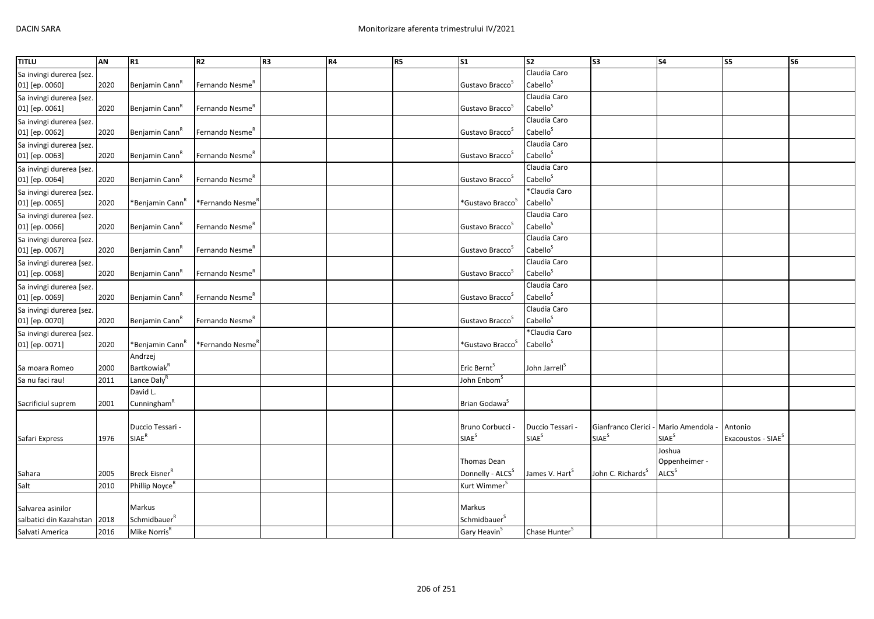| <b>TITLU</b>             | AN   | R1                                  | R <sub>2</sub>               | R <sub>3</sub> | R4 | R5 | $\overline{\text{S1}}$       | $\overline{\text{S2}}$     | $\overline{\text{S3}}$        | <b>S4</b>                | <b>S5</b>                      | $\overline{\text{S6}}$ |
|--------------------------|------|-------------------------------------|------------------------------|----------------|----|----|------------------------------|----------------------------|-------------------------------|--------------------------|--------------------------------|------------------------|
| Sa invingi durerea [sez. |      |                                     |                              |                |    |    |                              | Claudia Caro               |                               |                          |                                |                        |
| 01] [ep. 0060]           | 2020 | Benjamin Cann <sup>"</sup>          | Fernando Nesme <sup>R</sup>  |                |    |    | Gustavo Bracco <sup>S</sup>  | Cabello <sup>S</sup>       |                               |                          |                                |                        |
| Sa invingi durerea [sez. |      |                                     |                              |                |    |    |                              | Claudia Caro               |                               |                          |                                |                        |
| 01] [ep. 0061]           | 2020 | Benjamin Cann <sup>R</sup>          | Fernando Nesme <sup>"</sup>  |                |    |    | Gustavo Bracco <sup>5</sup>  | Cabello <sup>S</sup>       |                               |                          |                                |                        |
| Sa invingi durerea [sez. |      |                                     |                              |                |    |    |                              | Claudia Caro               |                               |                          |                                |                        |
| 01] [ep. 0062]           | 2020 | Benjamin Cann <sup>k</sup>          | Fernando Nesme <sup>R</sup>  |                |    |    | Gustavo Bracco <sup>S</sup>  | Cabello <sup>S</sup>       |                               |                          |                                |                        |
| Sa invingi durerea [sez. |      |                                     |                              |                |    |    |                              | Claudia Caro               |                               |                          |                                |                        |
| 01] [ep. 0063]           | 2020 | Benjamin Cann <sup>R</sup>          | Fernando Nesme <sup>R</sup>  |                |    |    | Gustavo Bracco <sup>S</sup>  | Cabello <sup>S</sup>       |                               |                          |                                |                        |
| Sa invingi durerea [sez. |      |                                     |                              |                |    |    |                              | Claudia Caro               |                               |                          |                                |                        |
| 01] [ep. 0064]           | 2020 | Benjamin Cann <sup>"</sup>          | Fernando Nesme"              |                |    |    | Gustavo Bracco <sup>5</sup>  | Cabello <sup>S</sup>       |                               |                          |                                |                        |
| Sa invingi durerea [sez. |      |                                     |                              |                |    |    |                              | *Claudia Caro              |                               |                          |                                |                        |
| 01] [ep. 0065]           | 2020 | *Benjamin Cann <sup>r</sup>         | *Fernando Nesme′             |                |    |    | *Gustavo Bracco <sup>5</sup> | Cabello <sup>S</sup>       |                               |                          |                                |                        |
| Sa invingi durerea [sez. |      |                                     |                              |                |    |    |                              | Claudia Caro               |                               |                          |                                |                        |
| 01] [ep. 0066]           | 2020 | Benjamin Cann <sup>R</sup>          | Fernando Nesme <sup>R</sup>  |                |    |    | Gustavo Bracco <sup>S</sup>  | Cabello <sup>S</sup>       |                               |                          |                                |                        |
| Sa invingi durerea [sez. |      |                                     |                              |                |    |    |                              | Claudia Caro               |                               |                          |                                |                        |
| 01] [ep. 0067]           | 2020 | Benjamin Cann <sup>K</sup>          | Fernando Nesme"              |                |    |    | Gustavo Bracco <sup>5</sup>  | Cabello <sup>S</sup>       |                               |                          |                                |                        |
| Sa invingi durerea [sez. |      |                                     |                              |                |    |    |                              | Claudia Caro               |                               |                          |                                |                        |
| 01] [ep. 0068]           | 2020 | Benjamin Cann <sup>R</sup>          | Fernando Nesme <sup>R</sup>  |                |    |    | Gustavo Bracco <sup>5</sup>  | Cabello <sup>S</sup>       |                               |                          |                                |                        |
| Sa invingi durerea [sez. |      |                                     |                              |                |    |    |                              | Claudia Caro               |                               |                          |                                |                        |
| 01] [ep. 0069]           | 2020 | Benjamin Cann <sup>k</sup>          | Fernando Nesme <sup>R</sup>  |                |    |    | Gustavo Bracco <sup>S</sup>  | Cabello <sup>S</sup>       |                               |                          |                                |                        |
| Sa invingi durerea [sez. |      |                                     |                              |                |    |    |                              | Claudia Caro               |                               |                          |                                |                        |
| 01] [ep. 0070]           | 2020 | Benjamin Cann                       | Fernando Nesme"              |                |    |    | Gustavo Bracco <sup>S</sup>  | Cabello <sup>S</sup>       |                               |                          |                                |                        |
| Sa invingi durerea [sez. |      |                                     |                              |                |    |    |                              | *Claudia Caro              |                               |                          |                                |                        |
| 01] [ep. 0071]           | 2020 | *Benjamin Cann <sup>R</sup>         | *Fernando Nesme <sup>'</sup> |                |    |    | *Gustavo Bracco <sup>S</sup> | Cabello <sup>S</sup>       |                               |                          |                                |                        |
|                          |      | Andrzej                             |                              |                |    |    |                              |                            |                               |                          |                                |                        |
| Sa moara Romeo           | 2000 | <b>Bartkowiak</b> <sup>R</sup>      |                              |                |    |    | Eric Bernt <sup>5</sup>      | John Jarrell <sup>5</sup>  |                               |                          |                                |                        |
| Sa nu faci rau!          | 2011 | Lance Daly <sup>R</sup><br>David L. |                              |                |    |    | John Enbom <sup>s</sup>      |                            |                               |                          |                                |                        |
|                          | 2001 | Cunningham <sup>R</sup>             |                              |                |    |    | Brian Godawa <sup>S</sup>    |                            |                               |                          |                                |                        |
| Sacrificiul suprem       |      |                                     |                              |                |    |    |                              |                            |                               |                          |                                |                        |
|                          |      | Duccio Tessari -                    |                              |                |    |    | Bruno Corbucci               | Duccio Tessari             | Gianfranco Clerici -          | Mario Amendola           | Antonio                        |                        |
| Safari Express           | 1976 | <b>SIAE<sup>R</sup></b>             |                              |                |    |    | <b>SIAE</b> <sup>S</sup>     | SIAE <sup>S</sup>          | <b>SIAE</b> <sup>S</sup>      | <b>SIAE</b> <sup>S</sup> | Exacoustos - SIAE <sup>S</sup> |                        |
|                          |      |                                     |                              |                |    |    |                              |                            |                               | Joshua                   |                                |                        |
|                          |      |                                     |                              |                |    |    | Thomas Dean                  |                            |                               | Oppenheimer -            |                                |                        |
| Sahara                   | 2005 | Breck Eisner <sup>R</sup>           |                              |                |    |    | Donnelly - ALCS <sup>S</sup> | James V. Hart <sup>S</sup> | John C. Richards <sup>S</sup> | ALCS <sup>S</sup>        |                                |                        |
| Salt                     | 2010 | Phillip Noyce <sup>R</sup>          |                              |                |    |    | Kurt Wimmer <sup>S</sup>     |                            |                               |                          |                                |                        |
|                          |      |                                     |                              |                |    |    |                              |                            |                               |                          |                                |                        |
| Salvarea asinilor        |      | Markus                              |                              |                |    |    | Markus                       |                            |                               |                          |                                |                        |
| salbatici din Kazahstan  | 2018 | Schmidbauer <sup>R</sup>            |                              |                |    |    | Schmidbauer <sup>S</sup>     |                            |                               |                          |                                |                        |
| Salvati America          | 2016 | Mike Norris <sup>R</sup>            |                              |                |    |    | Gary Heavin <sup>5</sup>     | Chase Hunter <sup>3</sup>  |                               |                          |                                |                        |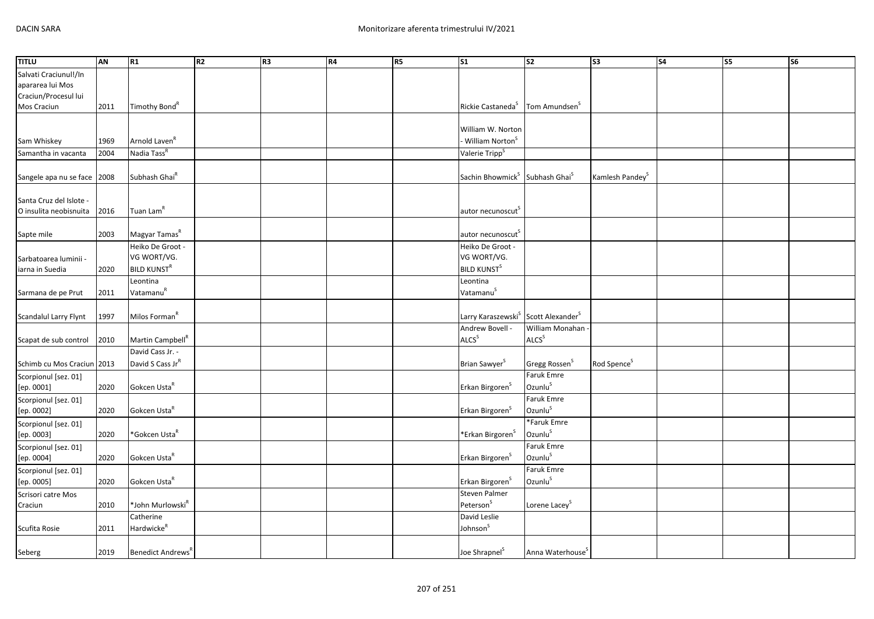| <b>TITLU</b>                             | <b>AN</b> | R1                            | R <sub>2</sub> | R <sub>3</sub> | R4 | R5 | $\overline{\text{S1}}$                                 | $\overline{\text{S2}}$       | $\sqrt{53}$                 | $\overline{\text{S4}}$ | S5 | $\overline{\text{S6}}$ |
|------------------------------------------|-----------|-------------------------------|----------------|----------------|----|----|--------------------------------------------------------|------------------------------|-----------------------------|------------------------|----|------------------------|
| Salvati Craciunul!/In                    |           |                               |                |                |    |    |                                                        |                              |                             |                        |    |                        |
| apararea lui Mos                         |           |                               |                |                |    |    |                                                        |                              |                             |                        |    |                        |
| Craciun/Procesul lui                     |           |                               |                |                |    |    |                                                        |                              |                             |                        |    |                        |
| Mos Craciun                              | 2011      | Timothy Bond <sup>R</sup>     |                |                |    |    | Rickie Castaneda <sup>5</sup>                          | Tom Amundsen <sup>S</sup>    |                             |                        |    |                        |
|                                          |           |                               |                |                |    |    |                                                        |                              |                             |                        |    |                        |
|                                          |           |                               |                |                |    |    | William W. Norton                                      |                              |                             |                        |    |                        |
| Sam Whiskey                              | 1969      | Arnold Laven <sup>R</sup>     |                |                |    |    | William Norton <sup>S</sup>                            |                              |                             |                        |    |                        |
| Samantha in vacanta                      | 2004      | Nadia Tass <sup>R</sup>       |                |                |    |    | Valerie Tripp <sup>S</sup>                             |                              |                             |                        |    |                        |
|                                          |           |                               |                |                |    |    |                                                        |                              |                             |                        |    |                        |
| Sangele apa nu se face                   | 2008      | Subhash Ghai <sup>R</sup>     |                |                |    |    | Sachin Bhowmick <sup>S</sup> Subhash Ghai <sup>S</sup> |                              | Kamlesh Pandey <sup>S</sup> |                        |    |                        |
|                                          |           |                               |                |                |    |    |                                                        |                              |                             |                        |    |                        |
| Santa Cruz del Islote -                  |           |                               |                |                |    |    |                                                        |                              |                             |                        |    |                        |
| O insulita neobisnuita                   | 2016      | Tuan Lam <sup>R</sup>         |                |                |    |    | autor necunoscut                                       |                              |                             |                        |    |                        |
|                                          |           | Magyar Tamas <sup>R</sup>     |                |                |    |    |                                                        |                              |                             |                        |    |                        |
| Sapte mile                               | 2003      | Heiko De Groot -              |                |                |    |    | autor necunoscut <sup>5</sup>                          |                              |                             |                        |    |                        |
|                                          |           | VG WORT/VG.                   |                |                |    |    | Heiko De Groot -<br>VG WORT/VG.                        |                              |                             |                        |    |                        |
| Sarbatoarea luminii -<br>iarna in Suedia | 2020      | <b>BILD KUNST<sup>R</sup></b> |                |                |    |    | <b>BILD KUNST<sup>S</sup></b>                          |                              |                             |                        |    |                        |
|                                          |           | Leontina                      |                |                |    |    | Leontina                                               |                              |                             |                        |    |                        |
| Sarmana de pe Prut                       | 2011      | Vatamanu <sup>R</sup>         |                |                |    |    | Vatamanu <sup>S</sup>                                  |                              |                             |                        |    |                        |
|                                          |           |                               |                |                |    |    |                                                        |                              |                             |                        |    |                        |
| Scandalul Larry Flynt                    | 1997      | Milos Forman <sup>R</sup>     |                |                |    |    | Larry Karaszewski <sup>S</sup>                         | Scott Alexander <sup>S</sup> |                             |                        |    |                        |
|                                          |           |                               |                |                |    |    | Andrew Bovell -                                        | William Monahan              |                             |                        |    |                        |
| Scapat de sub control                    | 2010      | Martin Campbell <sup>R</sup>  |                |                |    |    | ALCS <sup>S</sup>                                      | ALCS <sup>S</sup>            |                             |                        |    |                        |
|                                          |           | David Cass Jr. -              |                |                |    |    |                                                        |                              |                             |                        |    |                        |
| Schimb cu Mos Craciun 2013               |           | David S Cass JrR              |                |                |    |    | Brian Sawyer <sup>S</sup>                              | Gregg Rossen <sup>S</sup>    | Rod Spence <sup>S</sup>     |                        |    |                        |
| Scorpionul [sez. 01]                     |           |                               |                |                |    |    |                                                        | <b>Faruk Emre</b>            |                             |                        |    |                        |
| [ep. 0001]                               | 2020      | Gokcen Usta <sup>R</sup>      |                |                |    |    | Erkan Birgoren <sup>S</sup>                            | Ozunlus                      |                             |                        |    |                        |
| Scorpionul [sez. 01]                     |           |                               |                |                |    |    |                                                        | Faruk Emre                   |                             |                        |    |                        |
| [ep. 0002]                               | 2020      | Gokcen Usta <sup>R</sup>      |                |                |    |    | Erkan Birgoren <sup>S</sup>                            | Ozunlu <sup>S</sup>          |                             |                        |    |                        |
| Scorpionul [sez. 01]                     |           |                               |                |                |    |    |                                                        | *Faruk Emre                  |                             |                        |    |                        |
| [ep. 0003]                               | 2020      | *Gokcen Usta <sup>R</sup>     |                |                |    |    | *Erkan Birgoren <sup>S</sup>                           | Ozunlu <sup>S</sup>          |                             |                        |    |                        |
| Scorpionul [sez. 01]                     |           |                               |                |                |    |    |                                                        | <b>Faruk Emre</b>            |                             |                        |    |                        |
| [ep. 0004]                               | 2020      | Gokcen Usta <sup>R</sup>      |                |                |    |    | Erkan Birgoren <sup>5</sup>                            | Ozunlu <sup>S</sup>          |                             |                        |    |                        |
| Scorpionul [sez. 01]                     |           |                               |                |                |    |    |                                                        | <b>Faruk Emre</b>            |                             |                        |    |                        |
| [ep. 0005]                               | 2020      | Gokcen Usta <sup>R</sup>      |                |                |    |    | Erkan Birgoren <sup>S</sup>                            | Ozunlus                      |                             |                        |    |                        |
| Scrisori catre Mos                       |           |                               |                |                |    |    | Steven Palmer                                          |                              |                             |                        |    |                        |
| Craciun                                  | 2010      | *John Murlowski <sup>R</sup>  |                |                |    |    | Peterson <sup>S</sup>                                  | Lorene Lacey <sup>S</sup>    |                             |                        |    |                        |
|                                          |           | Catherine                     |                |                |    |    | David Leslie                                           |                              |                             |                        |    |                        |
| Scufita Rosie                            | 2011      | Hardwicke <sup>R</sup>        |                |                |    |    | Johnson <sup>S</sup>                                   |                              |                             |                        |    |                        |
|                                          |           |                               |                |                |    |    |                                                        |                              |                             |                        |    |                        |
| Seberg                                   | 2019      | Benedict Andrews <sup>K</sup> |                |                |    |    | Joe Shrapnel <sup>S</sup>                              | Anna Waterhouse <sup>5</sup> |                             |                        |    |                        |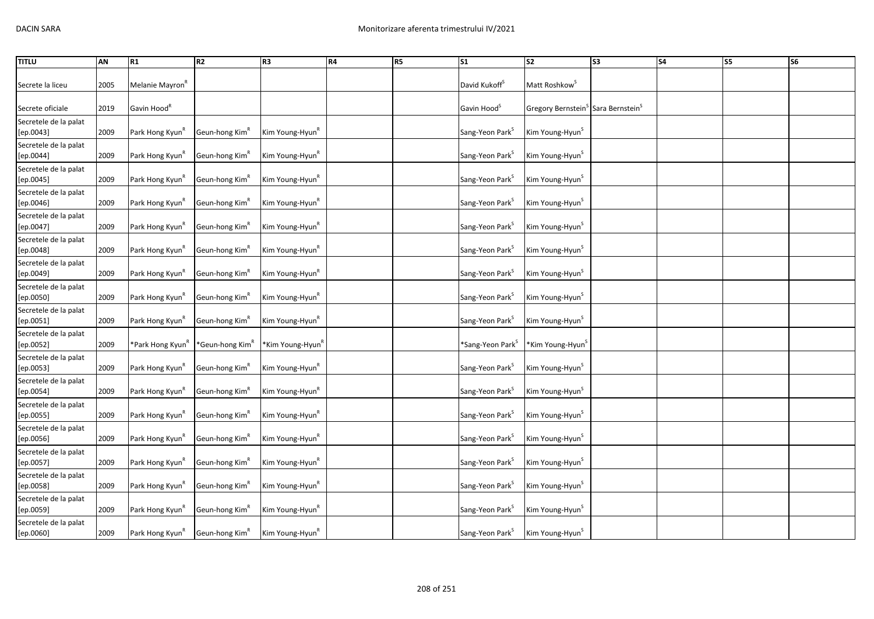| <b>TITLU</b>                       | AN   | R <sub>1</sub>               | <b>R2</b>                   | R3                           | R4 | <b>R5</b> | <b>S1</b>                       | S <sub>2</sub>                                                | S <sub>3</sub> | <b>S4</b> | S5 | S <sub>6</sub> |
|------------------------------------|------|------------------------------|-----------------------------|------------------------------|----|-----------|---------------------------------|---------------------------------------------------------------|----------------|-----------|----|----------------|
| Secrete la liceu                   | 2005 | Melanie Mayron <sup>K</sup>  |                             |                              |    |           | David Kukoff <sup>S</sup>       | Matt Roshkow <sup>3</sup>                                     |                |           |    |                |
| Secrete oficiale                   | 2019 | Gavin Hood <sup>"</sup>      |                             |                              |    |           | Gavin Hood <sup>5</sup>         | Gregory Bernstein <sup>&gt;</sup> Sara Bernstein <sup>S</sup> |                |           |    |                |
| Secretele de la palat<br>[ep.0043] | 2009 | Park Hong Kyun <sup>K</sup>  | Geun-hong Kim <sup>R</sup>  | Kim Young-Hyun <sup>R</sup>  |    |           | Sang-Yeon Park <sup>S</sup>     | Kim Young-Hyun <sup>S</sup>                                   |                |           |    |                |
| Secretele de la palat<br>[ep.0044] | 2009 | Park Hong Kyun <sup>K</sup>  | Geun-hong Kim <sup>K</sup>  | Kim Young-Hyun <sup>n</sup>  |    |           | Sang-Yeon Park <sup>3</sup>     | Kim Young-Hyun <sup>5</sup>                                   |                |           |    |                |
| Secretele de la palat<br>[ep.0045] | 2009 | Park Hong Kyun <sup>K</sup>  | Geun-hong Kim <sup>K</sup>  | Kim Young-Hyun <sup>k</sup>  |    |           | Sang-Yeon Park <sup>S</sup>     | Kim Young-Hyun <sup>S</sup>                                   |                |           |    |                |
| Secretele de la palat<br>[ep.0046] | 2009 | Park Hong Kyun <sup>R</sup>  | Geun-hong Kim <sup>R</sup>  | Kim Young-Hyun <sup>R</sup>  |    |           | Sang-Yeon Park <sup>S</sup>     | Kim Young-Hyun <sup>S</sup>                                   |                |           |    |                |
| Secretele de la palat<br>[ep.0047] | 2009 | Park Hong Kyun <sup>n</sup>  | Geun-hong Kim <sup>n</sup>  | Kim Young-Hyun <sup>R</sup>  |    |           | Sang-Yeon Park <sup>S</sup>     | Kim Young-Hyun <sup>S</sup>                                   |                |           |    |                |
| Secretele de la palat<br>[ep.0048] | 2009 | Park Hong Kyun <sup>R</sup>  | Geun-hong Kim <sup>n</sup>  | Kim Young-Hyun <sup>K</sup>  |    |           | Sang-Yeon Park <sup>S</sup>     | Kim Young-Hyun <sup>S</sup>                                   |                |           |    |                |
| Secretele de la palat<br>[ep.0049] | 2009 | Park Hong Kyun <sup>R</sup>  | Geun-hong Kim <sup>R</sup>  | Kim Young-Hyun <sup>R</sup>  |    |           | Sang-Yeon Park <sup>S</sup>     | Kim Young-Hyun <sup>S</sup>                                   |                |           |    |                |
| Secretele de la palat<br>[ep.0050] | 2009 | Park Hong Kyun <sup>K</sup>  | Geun-hong Kim <sup>K</sup>  | Kim Young-Hyun <sup>k</sup>  |    |           | Sang-Yeon Park <sup>3</sup>     | Kim Young-Hyun <sup>S</sup>                                   |                |           |    |                |
| Secretele de la palat<br>[ep.0051] | 2009 | Park Hong Kyun <sup>n</sup>  | Geun-hong Kim <sup>n</sup>  | Kim Young-Hyun <sup>K</sup>  |    |           | Sang-Yeon Park <sup>3</sup>     | Kim Young-Hyun <sup>S</sup>                                   |                |           |    |                |
| Secretele de la palat<br>[ep.0052] | 2009 | *Park Hong Kyun <sup>n</sup> | *Geun-hong Kim <sup>n</sup> | *Kim Young-Hyun <sup>R</sup> |    |           | *Sang-Yeon Park <sup>&gt;</sup> | *Kim Young-Hyun <sup>5</sup>                                  |                |           |    |                |
| Secretele de la palat<br>[ep.0053] | 2009 | Park Hong Kyun <sup>K</sup>  | Geun-hong Kim <sup>R</sup>  | Kim Young-Hyun <sup>k</sup>  |    |           | Sang-Yeon Park <sup>5</sup>     | Kim Young-Hyun <sup>S</sup>                                   |                |           |    |                |
| Secretele de la palat<br>[ep.0054] | 2009 | Park Hong Kyun <sup>k</sup>  | Geun-hong Kim <sup>R</sup>  | Kim Young-Hyun <sup>k</sup>  |    |           | Sang-Yeon Park <sup>S</sup>     | Kim Young-Hyun <sup>S</sup>                                   |                |           |    |                |
| Secretele de la palat<br>[ep.0055] | 2009 | Park Hong Kyun               | Geun-hong Kim <sup>n</sup>  | Kim Young-Hyun <sup>n</sup>  |    |           | Sang-Yeon Park <sup>S</sup>     | Kim Young-Hyun <sup>3</sup>                                   |                |           |    |                |
| Secretele de la palat<br>[ep.0056] | 2009 | Park Hong Kyun <sup>n</sup>  | Geun-hong Kim <sup>n</sup>  | Kim Young-Hyun <sup>K</sup>  |    |           | Sang-Yeon Park <sup>3</sup>     | Kim Young-Hyun <sup>S</sup>                                   |                |           |    |                |
| Secretele de la palat<br>[ep.0057] | 2009 | Park Hong Kyun <sup>n</sup>  | Geun-hong Kim <sup>n</sup>  | Kim Young-Hyun <sup>k</sup>  |    |           | Sang-Yeon Park <sup>S</sup>     | Kim Young-Hyun <sup>S</sup>                                   |                |           |    |                |
| Secretele de la palat<br>[ep.0058] | 2009 | Park Hong Kyun <sup>n</sup>  | Geun-hong Kim <sup>n</sup>  | Kim Young-Hyun <sup>R</sup>  |    |           | Sang-Yeon Park <sup>S</sup>     | Kim Young-Hyun <sup>S</sup>                                   |                |           |    |                |
| Secretele de la palat<br>[ep.0059] | 2009 | Park Hong Kyun"              | Geun-hong Kim"              | Kim Young-Hyun <sup>n</sup>  |    |           | Sang-Yeon Park <sup>3</sup>     | Kim Young-Hyun <sup>5</sup>                                   |                |           |    |                |
| Secretele de la palat<br>[ep.0060] | 2009 | Park Hong Kyun <sup>k</sup>  | Geun-hong Kim <sup>R</sup>  | Kim Young-Hyun <sup>k</sup>  |    |           | Sang-Yeon Park <sup>S</sup>     | Kim Young-Hyun <sup>5</sup>                                   |                |           |    |                |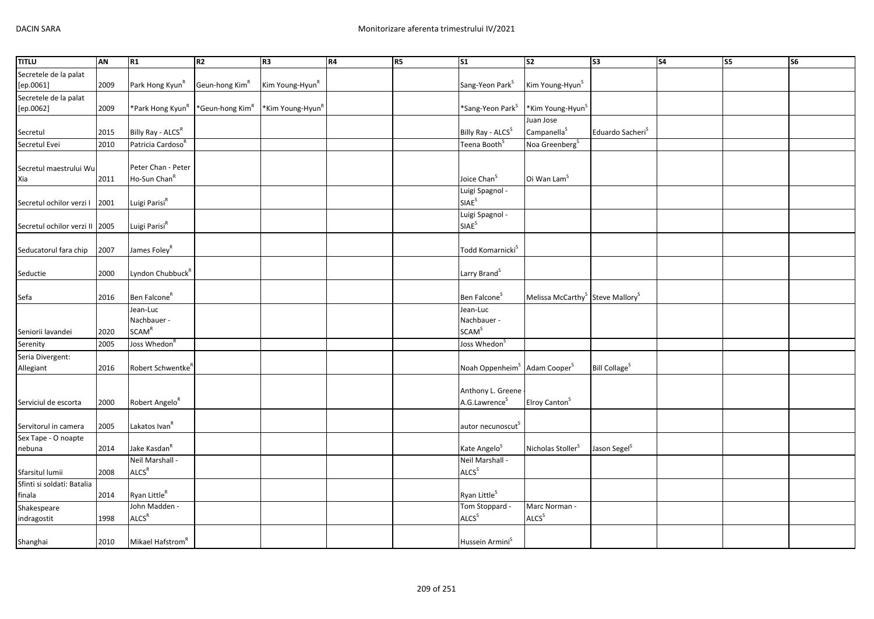| <b>TITLU</b>                   | AN   | R1                                   | R2                          | R3                           | R4 | R <sub>5</sub> | $\overline{\text{S1}}$                               | $\overline{\text{S2}}$                                   | $\overline{\text{S3}}$          | $\overline{\text{S4}}$ | S <sub>5</sub> | <b>S6</b> |
|--------------------------------|------|--------------------------------------|-----------------------------|------------------------------|----|----------------|------------------------------------------------------|----------------------------------------------------------|---------------------------------|------------------------|----------------|-----------|
| Secretele de la palat          |      |                                      |                             |                              |    |                |                                                      |                                                          |                                 |                        |                |           |
| [ep.0061]                      | 2009 | Park Hong Kyun <sup>R</sup>          | Geun-hong Kim <sup>R</sup>  | Kim Young-Hyun <sup>R</sup>  |    |                | Sang-Yeon Park <sup>S</sup>                          | Kim Young-Hyun <sup>S</sup>                              |                                 |                        |                |           |
| Secretele de la palat          |      |                                      |                             |                              |    |                |                                                      |                                                          |                                 |                        |                |           |
| [ep.0062]                      | 2009 | *Park Hong Kyun <sup>R</sup>         | *Geun-hong Kim <sup>R</sup> | *Kim Young-Hyun <sup>R</sup> |    |                | *Sang-Yeon Park <sup>S</sup>                         | *Kim Young-Hyun <sup>S</sup>                             |                                 |                        |                |           |
|                                |      |                                      |                             |                              |    |                |                                                      | Juan Jose                                                |                                 |                        |                |           |
| Secretul                       | 2015 | Billy Ray - ALCSR                    |                             |                              |    |                | Billy Ray - ALCS <sup>S</sup>                        | Campanella <sup>S</sup>                                  | Eduardo Sacheri <sup>S</sup>    |                        |                |           |
| Secretul Evei                  | 2010 | Patricia Cardoso <sup>R</sup>        |                             |                              |    |                | Teena Booth <sup>S</sup>                             | Noa Greenberg <sup>S</sup>                               |                                 |                        |                |           |
|                                |      |                                      |                             |                              |    |                |                                                      |                                                          |                                 |                        |                |           |
| Secretul maestrului Wu         |      | Peter Chan - Peter                   |                             |                              |    |                |                                                      |                                                          |                                 |                        |                |           |
| Xia                            | 2011 | Ho-Sun Chan <sup>R</sup>             |                             |                              |    |                | Joice Chan <sup>S</sup>                              | Oi Wan Lam <sup>S</sup>                                  |                                 |                        |                |           |
|                                |      |                                      |                             |                              |    |                | Luigi Spagnol -                                      |                                                          |                                 |                        |                |           |
| Secretul ochilor verzi I       | 2001 | Luigi Parisi <sup>R</sup>            |                             |                              |    |                | SIAE <sup>S</sup>                                    |                                                          |                                 |                        |                |           |
|                                |      |                                      |                             |                              |    |                | Luigi Spagnol -                                      |                                                          |                                 |                        |                |           |
| Secretul ochilor verzi II 2005 |      | Luigi Parisi <sup>R</sup>            |                             |                              |    |                | SIAE <sup>S</sup>                                    |                                                          |                                 |                        |                |           |
|                                |      |                                      |                             |                              |    |                |                                                      |                                                          |                                 |                        |                |           |
| Seducatorul fara chip          | 2007 | James Foley <sup>R</sup>             |                             |                              |    |                | Todd Komarnicki <sup>S</sup>                         |                                                          |                                 |                        |                |           |
|                                |      |                                      |                             |                              |    |                |                                                      |                                                          |                                 |                        |                |           |
| Seductie                       | 2000 | Lyndon Chubbuck <sup>R</sup>         |                             |                              |    |                | Larry Brand <sup>S</sup>                             |                                                          |                                 |                        |                |           |
|                                |      |                                      |                             |                              |    |                |                                                      |                                                          |                                 |                        |                |           |
| Sefa                           | 2016 | Ben Falcone <sup>R</sup>             |                             |                              |    |                | Ben Falcone <sup>S</sup>                             | Melissa McCarthy <sup>S</sup> Steve Mallory <sup>S</sup> |                                 |                        |                |           |
|                                |      | Jean-Luc                             |                             |                              |    |                | Jean-Luc                                             |                                                          |                                 |                        |                |           |
|                                |      | Nachbauer -                          |                             |                              |    |                | Nachbauer -                                          |                                                          |                                 |                        |                |           |
| Seniorii lavandei              | 2020 | <b>SCAM<sup>R</sup></b>              |                             |                              |    |                | <b>SCAM<sup>S</sup></b>                              |                                                          |                                 |                        |                |           |
| Serenity                       | 2005 | Joss Whedon <sup>F</sup>             |                             |                              |    |                | Joss Whedon <sup>S</sup>                             |                                                          |                                 |                        |                |           |
| Seria Divergent:               |      |                                      |                             |                              |    |                |                                                      |                                                          |                                 |                        |                |           |
| Allegiant                      | 2016 | Robert Schwentke <sup>"</sup>        |                             |                              |    |                | Noah Oppenheim <sup>S</sup> Adam Cooper <sup>S</sup> |                                                          | <b>Bill Collage<sup>S</sup></b> |                        |                |           |
|                                |      |                                      |                             |                              |    |                |                                                      |                                                          |                                 |                        |                |           |
|                                |      |                                      |                             |                              |    |                | Anthony L. Greene                                    |                                                          |                                 |                        |                |           |
| Serviciul de escorta           | 2000 | Robert Angelo <sup>R</sup>           |                             |                              |    |                | A.G.Lawrence <sup>S</sup>                            | Elroy Canton <sup>S</sup>                                |                                 |                        |                |           |
|                                |      |                                      |                             |                              |    |                |                                                      |                                                          |                                 |                        |                |           |
| Servitorul in camera           | 2005 | Lakatos Ivan <sup>R</sup>            |                             |                              |    |                | autor necunoscut <sup>s</sup>                        |                                                          |                                 |                        |                |           |
| Sex Tape - O noapte            |      |                                      |                             |                              |    |                |                                                      |                                                          |                                 |                        |                |           |
| nebuna                         | 2014 | Jake Kasdan <sup>R</sup>             |                             |                              |    |                | Kate Angelo <sup>S</sup>                             | Nicholas Stoller <sup>S</sup>                            | Jason Segel <sup>S</sup>        |                        |                |           |
|                                |      | Neil Marshall -<br>ALCS <sup>R</sup> |                             |                              |    |                | Neil Marshall -<br>ALCS <sup>S</sup>                 |                                                          |                                 |                        |                |           |
| Sfarsitul lumii                | 2008 |                                      |                             |                              |    |                |                                                      |                                                          |                                 |                        |                |           |
| Sfinti si soldati: Batalia     | 2014 | Ryan Little <sup>R</sup>             |                             |                              |    |                | Ryan Little <sup>S</sup>                             |                                                          |                                 |                        |                |           |
| finala                         |      | John Madden -                        |                             |                              |    |                | Tom Stoppard -                                       | Marc Norman -                                            |                                 |                        |                |           |
| Shakespeare                    | 1998 | ALCS <sup>R</sup>                    |                             |                              |    |                | ALCS <sup>S</sup>                                    | ALCS <sup>S</sup>                                        |                                 |                        |                |           |
| indragostit                    |      |                                      |                             |                              |    |                |                                                      |                                                          |                                 |                        |                |           |
|                                |      | Mikael Hafstrom <sup>R</sup>         |                             |                              |    |                | Hussein Armini <sup>S</sup>                          |                                                          |                                 |                        |                |           |
| Shanghai                       | 2010 |                                      |                             |                              |    |                |                                                      |                                                          |                                 |                        |                |           |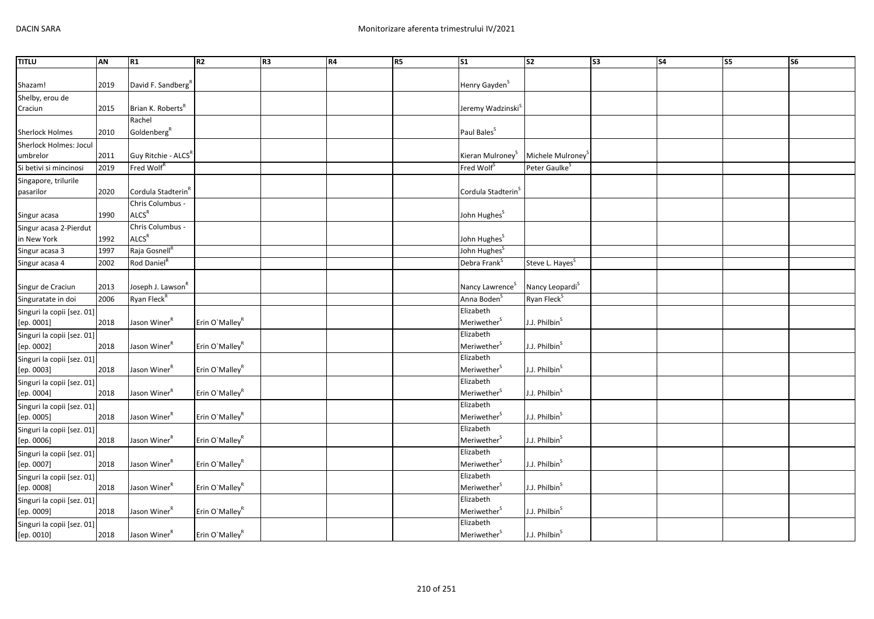| <b>TITLU</b>               | AN   | R1                              | R <sub>2</sub>             | R <sub>3</sub> | R4 | R5 | S <sub>1</sub>                 | S <sub>2</sub>              | S <sub>3</sub> | <b>S4</b> | S5 | S <sub>6</sub> |
|----------------------------|------|---------------------------------|----------------------------|----------------|----|----|--------------------------------|-----------------------------|----------------|-----------|----|----------------|
|                            |      |                                 |                            |                |    |    |                                |                             |                |           |    |                |
| Shazam!                    | 2019 | David F. Sandberg <sup>"</sup>  |                            |                |    |    | Henry Gayden <sup>5</sup>      |                             |                |           |    |                |
| Shelby, erou de            |      |                                 |                            |                |    |    |                                |                             |                |           |    |                |
| Craciun                    | 2015 | Brian K. Roberts <sup>R</sup>   |                            |                |    |    | Jeremy Wadzinski <sup>s</sup>  |                             |                |           |    |                |
|                            |      | Rachel                          |                            |                |    |    |                                |                             |                |           |    |                |
| Sherlock Holmes            | 2010 | Goldenberg <sup>R</sup>         |                            |                |    |    | Paul Bales <sup>S</sup>        |                             |                |           |    |                |
| Sherlock Holmes: Jocul     |      |                                 |                            |                |    |    |                                |                             |                |           |    |                |
| umbrelor                   | 2011 | Guy Ritchie - ALCS <sup>R</sup> |                            |                |    |    | Kieran Mulroney <sup>S</sup>   | Michele Mulroney            |                |           |    |                |
| Si betivi si mincinosi     | 2019 | Fred Wolf <sup>R</sup>          |                            |                |    |    | Fred Wolf <sup>S</sup>         | Peter Gaulke <sup>S</sup>   |                |           |    |                |
| Singapore, trilurile       |      |                                 |                            |                |    |    |                                |                             |                |           |    |                |
| pasarilor                  | 2020 | Cordula Stadterin <sup>k</sup>  |                            |                |    |    | Cordula Stadterin <sup>S</sup> |                             |                |           |    |                |
|                            |      | Chris Columbus -                |                            |                |    |    |                                |                             |                |           |    |                |
| Singur acasa               | 1990 | <b>ALCS<sup>R</sup></b>         |                            |                |    |    | John Hughes <sup>S</sup>       |                             |                |           |    |                |
| Singur acasa 2-Pierdut     |      | Chris Columbus -                |                            |                |    |    |                                |                             |                |           |    |                |
| in New York                | 1992 | ALCS <sup>R</sup>               |                            |                |    |    | John Hughes <sup>S</sup>       |                             |                |           |    |                |
| Singur acasa 3             | 1997 | Raja Gosnell <sup>R</sup>       |                            |                |    |    | John Hughes <sup>S</sup>       |                             |                |           |    |                |
| Singur acasa 4             | 2002 | Rod Daniel <sup>R</sup>         |                            |                |    |    | Debra Frank <sup>5</sup>       | Steve L. Hayes <sup>S</sup> |                |           |    |                |
|                            |      |                                 |                            |                |    |    |                                |                             |                |           |    |                |
| Singur de Craciun          | 2013 | Joseph J. Lawson <sup>R</sup>   |                            |                |    |    | Nancy Lawrence <sup>S</sup>    | Nancy Leopardi <sup>S</sup> |                |           |    |                |
| Singuratate in doi         | 2006 | Ryan Fleck <sup>R</sup>         |                            |                |    |    | Anna Boden <sup>S</sup>        | Ryan Fleck <sup>S</sup>     |                |           |    |                |
| Singuri la copii [sez. 01] |      |                                 |                            |                |    |    | Elizabeth                      |                             |                |           |    |                |
| [ep. 0001]                 | 2018 | Jason Winer <sup>R</sup>        | Erin O'Malley <sup>R</sup> |                |    |    | ${\sf Meri}$                   | J.J. Philbin <sup>S</sup>   |                |           |    |                |
| Singuri la copii [sez. 01] |      |                                 |                            |                |    |    | Elizabeth                      |                             |                |           |    |                |
| [ep. 0002]                 | 2018 | Jason Winer <sup>R</sup>        | Erin O'Malley <sup>R</sup> |                |    |    | Meriwether <sup>S</sup>        | J.J. Philbin <sup>S</sup>   |                |           |    |                |
| Singuri la copii [sez. 01] |      |                                 |                            |                |    |    | Elizabeth                      |                             |                |           |    |                |
| [ep. 0003]                 | 2018 | Jason Winer <sup>R</sup>        | Erin O'Malley <sup>R</sup> |                |    |    | Meriwether <sup>S</sup>        | J.J. Philbin <sup>S</sup>   |                |           |    |                |
| Singuri la copii [sez. 01] |      |                                 |                            |                |    |    | Elizabeth                      |                             |                |           |    |                |
| [ep. 0004]                 | 2018 | Jason Winer <sup>R</sup>        | Erin O'Malley <sup>R</sup> |                |    |    | Meriwether <sup>S</sup>        | J.J. Philbin <sup>S</sup>   |                |           |    |                |
| Singuri la copii [sez. 01] |      |                                 |                            |                |    |    | Elizabeth                      |                             |                |           |    |                |
| [ep. 0005]                 | 2018 | Jason Winer <sup>R</sup>        | Erin O'Malley <sup>R</sup> |                |    |    | Meriwether <sup>S</sup>        | J.J. Philbin <sup>S</sup>   |                |           |    |                |
| Singuri la copii [sez. 01] |      |                                 |                            |                |    |    | Elizabeth                      |                             |                |           |    |                |
| [ep. 0006]                 | 2018 | Jason Winer <sup>R</sup>        | Erin O'Malley <sup>R</sup> |                |    |    | Meriwether <sup>S</sup>        | J.J. Philbin <sup>S</sup>   |                |           |    |                |
| Singuri la copii [sez. 01] |      |                                 |                            |                |    |    | Elizabeth                      |                             |                |           |    |                |
| [ep. 0007]                 | 2018 | Jason Winer <sup>R</sup>        | Erin O'Malley <sup>R</sup> |                |    |    | Meriwether <sup>S</sup>        | J.J. Philbin <sup>S</sup>   |                |           |    |                |
| Singuri la copii [sez. 01] |      |                                 |                            |                |    |    | Elizabeth                      |                             |                |           |    |                |
| [ep. 0008]                 | 2018 | Jason Winer <sup>R</sup>        | Erin O'Malley <sup>R</sup> |                |    |    | Meriwether <sup>S</sup>        | J.J. Philbin <sup>S</sup>   |                |           |    |                |
| Singuri la copii [sez. 01] |      |                                 |                            |                |    |    | Elizabeth                      |                             |                |           |    |                |
| [ep. 0009]                 | 2018 | Jason Winer <sup>R</sup>        | Erin O'Malley <sup>R</sup> |                |    |    | Meriwether <sup>S</sup>        | J.J. Philbin <sup>S</sup>   |                |           |    |                |
| Singuri la copii [sez. 01] |      |                                 |                            |                |    |    | Elizabeth                      |                             |                |           |    |                |
| [ep. 0010]                 | 2018 | Jason Winer <sup>R</sup>        | Erin O'Malley <sup>R</sup> |                |    |    | Meriwether <sup>S</sup>        | J.J. Philbin <sup>S</sup>   |                |           |    |                |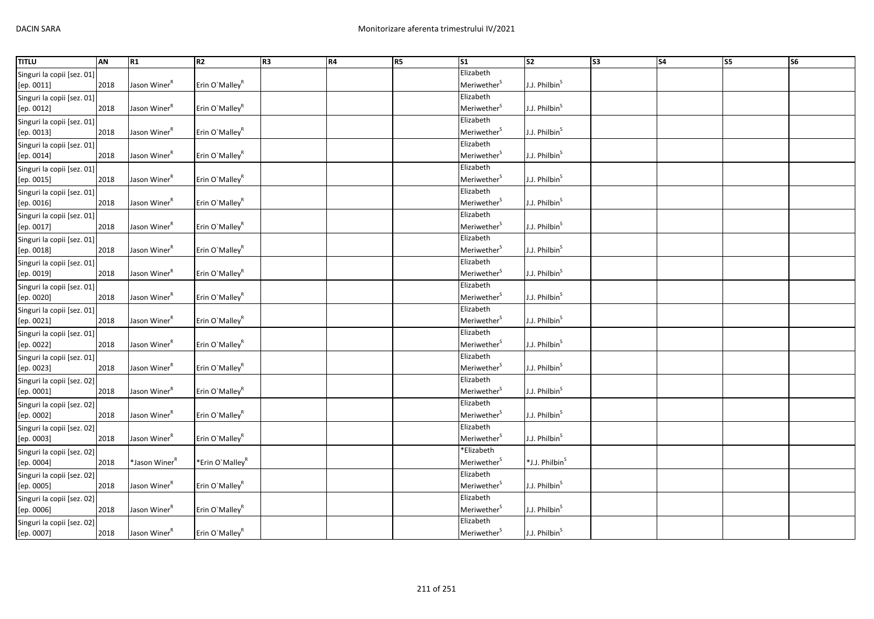| <b>TITLU</b>               | <b>AN</b> | R1                        | R <sub>2</sub>              | R <sub>3</sub> | R4 | <b>R5</b> | $\overline{\text{S1}}$               | $\overline{\text{S2}}$     | $\overline{\text{S3}}$ | S <sub>4</sub> | $\overline{\text{ss}}$ | $\overline{\text{S6}}$ |
|----------------------------|-----------|---------------------------|-----------------------------|----------------|----|-----------|--------------------------------------|----------------------------|------------------------|----------------|------------------------|------------------------|
| Singuri la copii [sez. 01] |           |                           |                             |                |    |           | Elizabeth                            |                            |                        |                |                        |                        |
| [ep. 0011]                 | 2018      | Jason Winer <sup>R</sup>  | Erin O'Malley <sup>R</sup>  |                |    |           | Meriwether <sup>S</sup>              | J.J. Philbin <sup>5</sup>  |                        |                |                        |                        |
| Singuri la copii [sez. 01] |           |                           |                             |                |    |           | Elizabeth                            |                            |                        |                |                        |                        |
| [ep. 0012]                 | 2018      | Jason Winer <sup>R</sup>  | Erin O'Malley <sup>R</sup>  |                |    |           | Meriwether <sup>S</sup>              | J.J. Philbin <sup>S</sup>  |                        |                |                        |                        |
| Singuri la copii [sez. 01] |           |                           |                             |                |    |           | Elizabeth                            |                            |                        |                |                        |                        |
| [ep. 0013]                 | 2018      | Jason Winer <sup>R</sup>  | Erin O'Malley <sup>R</sup>  |                |    |           | Meriwether <sup>S</sup>              | J.J. Philbin <sup>S</sup>  |                        |                |                        |                        |
| Singuri la copii [sez. 01] |           |                           |                             |                |    |           | Elizabeth                            |                            |                        |                |                        |                        |
| [ep. 0014]                 | 2018      | Jason Winer <sup>R</sup>  | Erin O'Malley <sup>R</sup>  |                |    |           | Meriwether <sup>S</sup>              | J.J. Philbin <sup>S</sup>  |                        |                |                        |                        |
| Singuri la copii [sez. 01] |           |                           |                             |                |    |           | Elizabeth                            |                            |                        |                |                        |                        |
| [ep. 0015]                 | 2018      | Jason Winer <sup>R</sup>  | Erin O'Malley <sup>R</sup>  |                |    |           | Meriwether <sup>S</sup>              | J.J. Philbin <sup>S</sup>  |                        |                |                        |                        |
| Singuri la copii [sez. 01] |           |                           |                             |                |    |           | Elizabeth                            |                            |                        |                |                        |                        |
| [ep. 0016]                 | 2018      | Jason Winer <sup>R</sup>  | Erin O'Malley <sup>R</sup>  |                |    |           | Meriwether <sup>S</sup>              | J.J. Philbin <sup>S</sup>  |                        |                |                        |                        |
| Singuri la copii [sez. 01] |           |                           |                             |                |    |           | Elizabeth                            |                            |                        |                |                        |                        |
| [ep. 0017]                 | 2018      | Jason Winer <sup>R</sup>  | Erin O'Malley <sup>R</sup>  |                |    |           | Meriwether <sup>S</sup>              | J.J. Philbin <sup>S</sup>  |                        |                |                        |                        |
| Singuri la copii [sez. 01] |           |                           |                             |                |    |           | Elizabeth                            |                            |                        |                |                        |                        |
| [ep. 0018]                 | 2018      | Jason Winer <sup>R</sup>  | Erin O'Malley <sup>R</sup>  |                |    |           | Meriwether <sup>S</sup>              | J.J. Philbin <sup>S</sup>  |                        |                |                        |                        |
| Singuri la copii [sez. 01] |           |                           |                             |                |    |           | Elizabeth                            |                            |                        |                |                        |                        |
| [ep. 0019]                 | 2018      | Jason Winer <sup>R</sup>  | Erin O'Malley <sup>R</sup>  |                |    |           | Meriwether <sup>S</sup>              | J.J. Philbin <sup>5</sup>  |                        |                |                        |                        |
| Singuri la copii [sez. 01] |           |                           |                             |                |    |           | Elizabeth                            |                            |                        |                |                        |                        |
| [ep. 0020]                 | 2018      | Jason Winer <sup>R</sup>  | Erin O'Malley <sup>R</sup>  |                |    |           | Meriwether <sup>5</sup>              | J.J. Philbin <sup>S</sup>  |                        |                |                        |                        |
| Singuri la copii [sez. 01] |           |                           |                             |                |    |           | Elizabeth                            |                            |                        |                |                        |                        |
| [ep. 0021]                 | 2018      | Jason Winer <sup>R</sup>  | Erin O'Malley <sup>R</sup>  |                |    |           | Meriwether <sup>S</sup>              | J.J. Philbin <sup>S</sup>  |                        |                |                        |                        |
| Singuri la copii [sez. 01] |           |                           |                             |                |    |           | Elizabeth                            |                            |                        |                |                        |                        |
| [ep. 0022]                 | 2018      | Jason Winer <sup>R</sup>  | Erin O'Malley <sup>R</sup>  |                |    |           | Meriwether <sup>S</sup>              | J.J. Philbin <sup>S</sup>  |                        |                |                        |                        |
| Singuri la copii [sez. 01] |           |                           |                             |                |    |           | Elizabeth                            |                            |                        |                |                        |                        |
| [ep. 0023]                 | 2018      | Jason Winer <sup>R</sup>  | Erin O'Malley <sup>R</sup>  |                |    |           | Meriwether <sup>S</sup>              | J.J. Philbin <sup>S</sup>  |                        |                |                        |                        |
| Singuri la copii [sez. 02] |           |                           |                             |                |    |           | Elizabeth                            |                            |                        |                |                        |                        |
| [ep. 0001]                 | 2018      | Jason Winer <sup>R</sup>  | Erin O'Malley <sup>R</sup>  |                |    |           | Meriwether <sup>S</sup>              | J.J. Philbin <sup>S</sup>  |                        |                |                        |                        |
| Singuri la copii [sez. 02] |           |                           |                             |                |    |           | Elizabeth                            |                            |                        |                |                        |                        |
| [ep. 0002]                 | 2018      | Jason Winer <sup>R</sup>  | Erin O'Malley <sup>R</sup>  |                |    |           | Meriwether <sup>5</sup>              | J.J. Philbin <sup>S</sup>  |                        |                |                        |                        |
| Singuri la copii [sez. 02] |           |                           |                             |                |    |           | Elizabeth                            |                            |                        |                |                        |                        |
| [ep. 0003]                 | 2018      | Jason Winer <sup>R</sup>  | Erin O'Malley <sup>R</sup>  |                |    |           | Meriwether <sup>S</sup>              | J.J. Philbin <sup>S</sup>  |                        |                |                        |                        |
| Singuri la copii [sez. 02] |           |                           |                             |                |    |           | *Elizabeth                           |                            |                        |                |                        |                        |
| [ep. 0004]                 | 2018      | *Jason Winer <sup>R</sup> | *Erin O'Malley <sup>R</sup> |                |    |           | Meriwether <sup>S</sup>              | *J.J. Philbin <sup>S</sup> |                        |                |                        |                        |
| Singuri la copii [sez. 02] |           |                           |                             |                |    |           | Elizabeth                            |                            |                        |                |                        |                        |
| [ep. 0005]                 | 2018      | Jason Winer <sup>R</sup>  | Erin O'Malley <sup>R</sup>  |                |    |           | Meriwether <sup>S</sup>              | J.J. Philbin <sup>S</sup>  |                        |                |                        |                        |
| Singuri la copii [sez. 02] |           |                           |                             |                |    |           | Elizabeth<br>Meriwether <sup>S</sup> | J.J. Philbin <sup>S</sup>  |                        |                |                        |                        |
| [ep. 0006]                 | 2018      | Jason Winer <sup>R</sup>  | Erin O'Malley <sup>R</sup>  |                |    |           | Elizabeth                            |                            |                        |                |                        |                        |
| Singuri la copii [sez. 02] |           | Jason Winer <sup>R</sup>  | Erin O'Malley <sup>R</sup>  |                |    |           | Meriwether <sup>5</sup>              | J.J. Philbin <sup>S</sup>  |                        |                |                        |                        |
| [ep. 0007]                 | 2018      |                           |                             |                |    |           |                                      |                            |                        |                |                        |                        |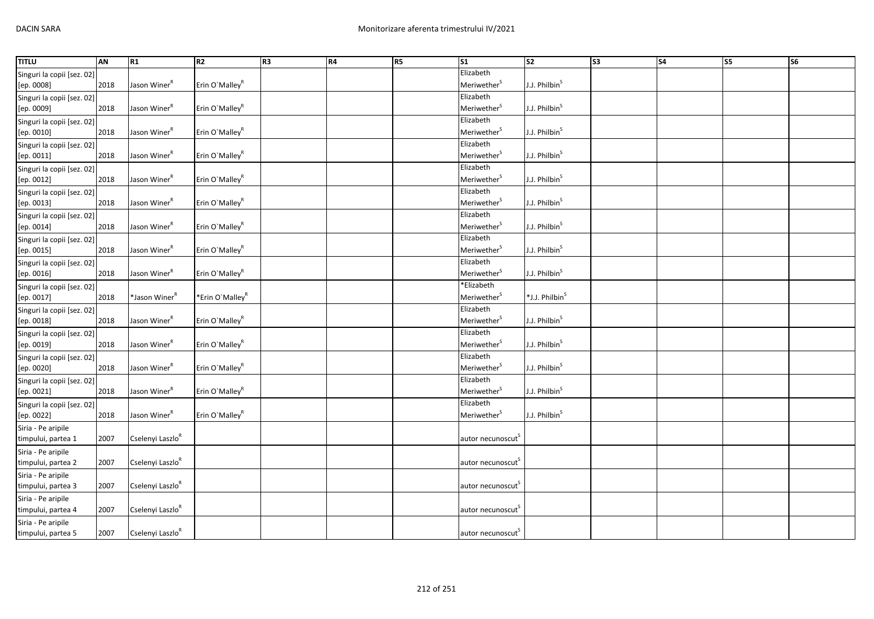| <b>TITLU</b>               | AN   | R1                           | R2                          | R <sub>3</sub> | <b>R4</b> | R5 | $\overline{\text{S1}}$        | $\overline{\text{S2}}$     | $\overline{\text{S3}}$ | $\overline{\text{S4}}$ | S5 | <b>S6</b> |
|----------------------------|------|------------------------------|-----------------------------|----------------|-----------|----|-------------------------------|----------------------------|------------------------|------------------------|----|-----------|
| Singuri la copii [sez. 02] |      |                              |                             |                |           |    | Elizabeth                     |                            |                        |                        |    |           |
| [ep. 0008]                 | 2018 | Jason Winer <sup>R</sup>     | Erin O'Malley <sup>R</sup>  |                |           |    | Meriwether <sup>S</sup>       | J.J. Philbin <sup>S</sup>  |                        |                        |    |           |
| Singuri la copii [sez. 02] |      |                              |                             |                |           |    | Elizabeth                     |                            |                        |                        |    |           |
| [ep. 0009]                 | 2018 | Jason Winer <sup>R</sup>     | Erin O'Malley <sup>R</sup>  |                |           |    | Meriwether <sup>S</sup>       | J.J. Philbin <sup>S</sup>  |                        |                        |    |           |
| Singuri la copii [sez. 02] |      |                              |                             |                |           |    | Elizabeth                     |                            |                        |                        |    |           |
| [ep. 0010]                 | 2018 | Jason Winer <sup>R</sup>     | Erin O'Malley <sup>R</sup>  |                |           |    | Meriwether <sup>S</sup>       | J.J. Philbin <sup>S</sup>  |                        |                        |    |           |
| Singuri la copii [sez. 02] |      |                              |                             |                |           |    | Elizabeth                     |                            |                        |                        |    |           |
| [ep. 0011]                 | 2018 | Jason Winer <sup>R</sup>     | Erin O'Malley <sup>R</sup>  |                |           |    | Meriwether <sup>S</sup>       | J.J. Philbin <sup>S</sup>  |                        |                        |    |           |
| Singuri la copii [sez. 02] |      |                              |                             |                |           |    | Elizabeth                     |                            |                        |                        |    |           |
| [ep. 0012]                 | 2018 | Jason Winer <sup>R</sup>     | Erin O'Malley <sup>R</sup>  |                |           |    | Meriwether <sup>S</sup>       | J.J. Philbin <sup>S</sup>  |                        |                        |    |           |
| Singuri la copii [sez. 02] |      |                              |                             |                |           |    | Elizabeth                     |                            |                        |                        |    |           |
| [ep. 0013]                 | 2018 | Jason Winer <sup>R</sup>     | Erin O'Malley <sup>R</sup>  |                |           |    | Meriwether <sup>S</sup>       | J.J. Philbin <sup>S</sup>  |                        |                        |    |           |
| Singuri la copii [sez. 02] |      |                              |                             |                |           |    | Elizabeth                     |                            |                        |                        |    |           |
| [ep. 0014]                 | 2018 | Jason Winer <sup>R</sup>     | Erin O'Malley <sup>R</sup>  |                |           |    | Meriwether <sup>S</sup>       | J.J. Philbin <sup>S</sup>  |                        |                        |    |           |
| Singuri la copii [sez. 02] |      |                              |                             |                |           |    | Elizabeth                     |                            |                        |                        |    |           |
| [ep. 0015]                 | 2018 | Jason Winer <sup>R</sup>     | Erin O'Malley <sup>R</sup>  |                |           |    | Meriwether <sup>S</sup>       | J.J. Philbin <sup>S</sup>  |                        |                        |    |           |
| Singuri la copii [sez. 02] |      |                              |                             |                |           |    | Elizabeth                     |                            |                        |                        |    |           |
| [ep. 0016]                 | 2018 | Jason Winer <sup>R</sup>     | Erin O'Malley <sup>R</sup>  |                |           |    | Meriwether <sup>S</sup>       | J.J. Philbin <sup>S</sup>  |                        |                        |    |           |
| Singuri la copii [sez. 02] |      |                              |                             |                |           |    | *Elizabeth                    |                            |                        |                        |    |           |
| [ep. 0017]                 | 2018 | *Jason Winer <sup>R</sup>    | *Erin O'Malley <sup>R</sup> |                |           |    | Meriwether <sup>S</sup>       | *J.J. Philbin <sup>S</sup> |                        |                        |    |           |
| Singuri la copii [sez. 02] |      |                              |                             |                |           |    | Elizabeth                     |                            |                        |                        |    |           |
| [ep. 0018]                 | 2018 | Jason Winer <sup>R</sup>     | Erin O'Malley <sup>R</sup>  |                |           |    | Meriwether <sup>S</sup>       | J.J. Philbin <sup>S</sup>  |                        |                        |    |           |
| Singuri la copii [sez. 02] |      |                              |                             |                |           |    | Elizabeth                     |                            |                        |                        |    |           |
| [ep. 0019]                 | 2018 | Jason Winer <sup>R</sup>     | Erin O'Malley <sup>R</sup>  |                |           |    | Meriwether <sup>S</sup>       | J.J. Philbin <sup>S</sup>  |                        |                        |    |           |
| Singuri la copii [sez. 02] |      |                              |                             |                |           |    | Elizabeth                     |                            |                        |                        |    |           |
| [ep. 0020]                 | 2018 | Jason Winer <sup>R</sup>     | Erin O'Malley <sup>R</sup>  |                |           |    | Meriwether <sup>S</sup>       | J.J. Philbin <sup>S</sup>  |                        |                        |    |           |
| Singuri la copii [sez. 02] |      |                              |                             |                |           |    | Elizabeth                     |                            |                        |                        |    |           |
| [ep. 0021]                 | 2018 | Jason Winer <sup>R</sup>     | Erin O'Malley <sup>R</sup>  |                |           |    | Meriwether <sup>S</sup>       | J.J. Philbin <sup>S</sup>  |                        |                        |    |           |
| Singuri la copii [sez. 02] |      |                              |                             |                |           |    | Elizabeth                     |                            |                        |                        |    |           |
| [ep. 0022]                 | 2018 | Jason Winer <sup>R</sup>     | Erin O'Malley <sup>R</sup>  |                |           |    | Meriwether <sup>S</sup>       | J.J. Philbin <sup>S</sup>  |                        |                        |    |           |
| Siria - Pe aripile         |      |                              |                             |                |           |    |                               |                            |                        |                        |    |           |
| timpului, partea 1         | 2007 | Cselenyi Laszlo <sup>R</sup> |                             |                |           |    | autor necunoscut <sup>s</sup> |                            |                        |                        |    |           |
| Siria - Pe aripile         |      |                              |                             |                |           |    |                               |                            |                        |                        |    |           |
| timpului, partea 2         | 2007 | Cselenyi Laszlo <sup>R</sup> |                             |                |           |    | autor necunoscut <sup>5</sup> |                            |                        |                        |    |           |
| Siria - Pe aripile         |      |                              |                             |                |           |    |                               |                            |                        |                        |    |           |
| timpului, partea 3         | 2007 | Cselenyi Laszlo <sup>R</sup> |                             |                |           |    | autor necunoscut <sup>5</sup> |                            |                        |                        |    |           |
| Siria - Pe aripile         |      |                              |                             |                |           |    |                               |                            |                        |                        |    |           |
| timpului, partea 4         | 2007 | Cselenyi Laszlo <sup>R</sup> |                             |                |           |    | autor necunoscut              |                            |                        |                        |    |           |
| Siria - Pe aripile         |      |                              |                             |                |           |    |                               |                            |                        |                        |    |           |
| timpului, partea 5         | 2007 | Cselenyi Laszlo <sup>R</sup> |                             |                |           |    | autor necunoscut              |                            |                        |                        |    |           |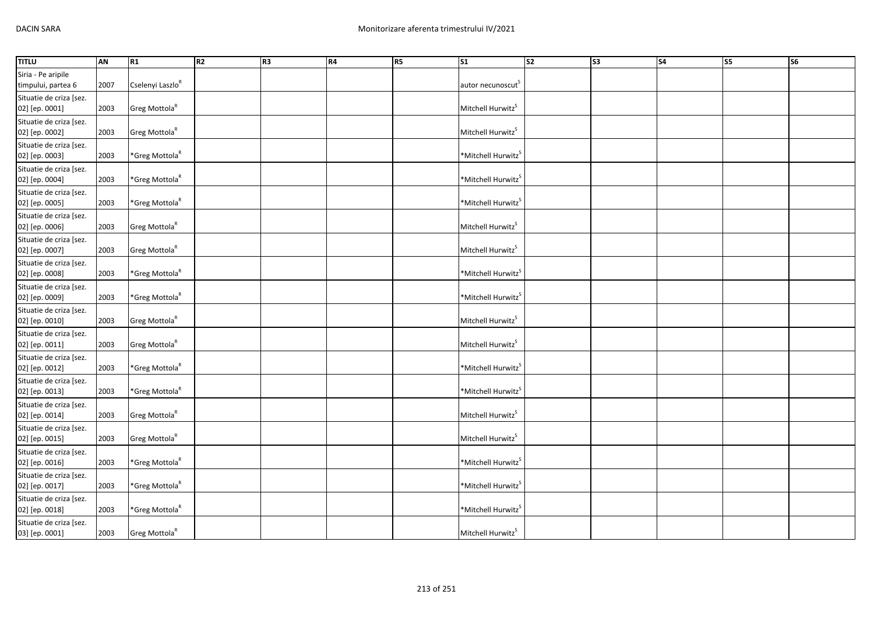| <b>TITLU</b>                              | AN   | R1                           | R <sub>2</sub> | R <sub>3</sub> | <b>R4</b> | R5 | $\mathsf{S}1$                  | $\overline{\text{S2}}$ | S <sub>3</sub> | S <sub>4</sub> | S5 | S <sub>6</sub> |
|-------------------------------------------|------|------------------------------|----------------|----------------|-----------|----|--------------------------------|------------------------|----------------|----------------|----|----------------|
| Siria - Pe aripile                        |      |                              |                |                |           |    |                                |                        |                |                |    |                |
| timpului, partea 6                        | 2007 | Cselenyi Laszlo <sup>R</sup> |                |                |           |    | autor necunoscut <sup>S</sup>  |                        |                |                |    |                |
| Situatie de criza [sez.<br>02] [ep. 0001] | 2003 | Greg Mottola <sup>R</sup>    |                |                |           |    | Mitchell Hurwitz <sup>S</sup>  |                        |                |                |    |                |
| Situatie de criza [sez.                   |      |                              |                |                |           |    |                                |                        |                |                |    |                |
| 02] [ep. 0002]                            | 2003 | Greg Mottola <sup>R</sup>    |                |                |           |    | Mitchell Hurwitz <sup>S</sup>  |                        |                |                |    |                |
| Situatie de criza [sez.<br>02] [ep. 0003] | 2003 | *Greg Mottola <sup>R</sup>   |                |                |           |    | *Mitchell Hurwitz <sup>S</sup> |                        |                |                |    |                |
| Situatie de criza [sez.<br>02] [ep. 0004] | 2003 | *Greg Mottola <sup>R</sup>   |                |                |           |    | *Mitchell Hurwitz <sup>S</sup> |                        |                |                |    |                |
| Situatie de criza [sez.<br>02] [ep. 0005] | 2003 | *Greg Mottola <sup>R</sup>   |                |                |           |    | *Mitchell Hurwitz <sup>S</sup> |                        |                |                |    |                |
| Situatie de criza [sez.<br>02] [ep. 0006] | 2003 | Greg Mottola <sup>R</sup>    |                |                |           |    | Mitchell Hurwitz <sup>S</sup>  |                        |                |                |    |                |
| Situatie de criza [sez.<br>02] [ep. 0007] | 2003 | Greg Mottola <sup>R</sup>    |                |                |           |    | Mitchell Hurwitz <sup>S</sup>  |                        |                |                |    |                |
| Situatie de criza [sez.<br>02] [ep. 0008] | 2003 | *Greg Mottola <sup>R</sup>   |                |                |           |    | *Mitchell Hurwitz <sup>S</sup> |                        |                |                |    |                |
| Situatie de criza [sez.<br>02] [ep. 0009] | 2003 | *Greg Mottola <sup>R</sup>   |                |                |           |    | *Mitchell Hurwitz <sup>S</sup> |                        |                |                |    |                |
| Situatie de criza [sez.<br>02] [ep. 0010] | 2003 | Greg Mottola <sup>R</sup>    |                |                |           |    | Mitchell Hurwitz <sup>S</sup>  |                        |                |                |    |                |
| Situatie de criza [sez.<br>02] [ep. 0011] | 2003 | Greg Mottola <sup>R</sup>    |                |                |           |    | Mitchell Hurwitz <sup>S</sup>  |                        |                |                |    |                |
| Situatie de criza [sez.<br>02] [ep. 0012] | 2003 | *Greg Mottola <sup>R</sup>   |                |                |           |    | *Mitchell Hurwitz <sup>5</sup> |                        |                |                |    |                |
| Situatie de criza [sez.<br>02] [ep. 0013] | 2003 | *Greg Mottola <sup>R</sup>   |                |                |           |    | *Mitchell Hurwitz <sup>5</sup> |                        |                |                |    |                |
| Situatie de criza [sez.<br>02] [ep. 0014] | 2003 | Greg Mottola <sup>R</sup>    |                |                |           |    | Mitchell Hurwitz <sup>S</sup>  |                        |                |                |    |                |
| Situatie de criza [sez.<br>02] [ep. 0015] | 2003 | Greg Mottola <sup>R</sup>    |                |                |           |    | Mitchell Hurwitz <sup>S</sup>  |                        |                |                |    |                |
| Situatie de criza [sez.<br>02] [ep. 0016] | 2003 | $*$ Greg Mottola $R$         |                |                |           |    | *Mitchell Hurwitz <sup>S</sup> |                        |                |                |    |                |
| Situatie de criza [sez.<br>02] [ep. 0017] | 2003 | *Greg Mottola <sup>R</sup>   |                |                |           |    | *Mitchell Hurwitz <sup>S</sup> |                        |                |                |    |                |
| Situatie de criza [sez.<br>02] [ep. 0018] | 2003 | *Greg Mottola <sup>R</sup>   |                |                |           |    | *Mitchell Hurwitz              |                        |                |                |    |                |
| Situatie de criza [sez.<br>03] [ep. 0001] | 2003 | Greg Mottola <sup>R</sup>    |                |                |           |    | Mitchell Hurwitz <sup>S</sup>  |                        |                |                |    |                |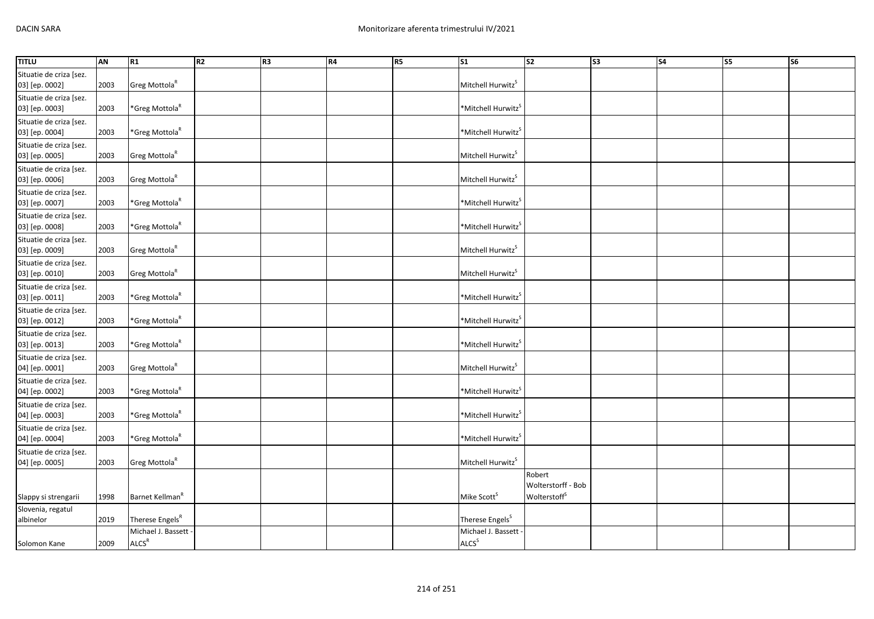| <b>TITLU</b>                              | <b>AN</b> | R1                                        | R2 | R <sub>3</sub> | R4 | R5 | S <sub>1</sub>                          | $\overline{\text{S2}}$                                   | S <sub>3</sub> | S <sub>4</sub> | S5 | S6 |
|-------------------------------------------|-----------|-------------------------------------------|----|----------------|----|----|-----------------------------------------|----------------------------------------------------------|----------------|----------------|----|----|
| Situatie de criza [sez.<br>03] [ep. 0002] | 2003      | Greg Mottola <sup>R</sup>                 |    |                |    |    | Mitchell Hurwitz <sup>S</sup>           |                                                          |                |                |    |    |
| Situatie de criza [sez.<br>03] [ep. 0003] | 2003      | *Greg Mottola <sup>R</sup>                |    |                |    |    | *Mitchell Hurwitz <sup>S</sup>          |                                                          |                |                |    |    |
| Situatie de criza [sez.<br>03] [ep. 0004] | 2003      | *Greg Mottola <sup>R</sup>                |    |                |    |    | *Mitchell Hurwitz <sup>S</sup>          |                                                          |                |                |    |    |
| Situatie de criza [sez.<br>03] [ep. 0005] | 2003      | Greg Mottola <sup>R</sup>                 |    |                |    |    | Mitchell Hurwitz <sup>S</sup>           |                                                          |                |                |    |    |
| Situatie de criza [sez.<br>03] [ep. 0006] | 2003      | Greg Mottola <sup>R</sup>                 |    |                |    |    | Mitchell Hurwitz <sup>S</sup>           |                                                          |                |                |    |    |
| Situatie de criza [sez.<br>03] [ep. 0007] | 2003      | *Greg Mottola <sup>R</sup>                |    |                |    |    | *Mitchell Hurwitz <sup>5</sup>          |                                                          |                |                |    |    |
| Situatie de criza [sez.<br>03] [ep. 0008] | 2003      | *Greg Mottola <sup>R</sup>                |    |                |    |    | *Mitchell Hurwitz <sup>S</sup>          |                                                          |                |                |    |    |
| Situatie de criza [sez.<br>03] [ep. 0009] | 2003      | Greg Mottola <sup>R</sup>                 |    |                |    |    | Mitchell Hurwitz <sup>S</sup>           |                                                          |                |                |    |    |
| Situatie de criza [sez.<br>03] [ep. 0010] | 2003      | Greg Mottola <sup>R</sup>                 |    |                |    |    | Mitchell Hurwitz <sup>S</sup>           |                                                          |                |                |    |    |
| Situatie de criza [sez.<br>03] [ep. 0011] | 2003      | *Greg Mottola <sup>R</sup>                |    |                |    |    | *Mitchell Hurwitz <sup>S</sup>          |                                                          |                |                |    |    |
| Situatie de criza [sez.<br>03] [ep. 0012] | 2003      | *Greg Mottola <sup>R</sup>                |    |                |    |    | *Mitchell Hurwitz <sup>5</sup>          |                                                          |                |                |    |    |
| Situatie de criza [sez.<br>03] [ep. 0013] | 2003      | *Greg Mottola <sup>R</sup>                |    |                |    |    | *Mitchell Hurwitz <sup>S</sup>          |                                                          |                |                |    |    |
| Situatie de criza [sez.<br>04] [ep. 0001] | 2003      | Greg Mottola <sup>R</sup>                 |    |                |    |    | Mitchell Hurwitz <sup>S</sup>           |                                                          |                |                |    |    |
| Situatie de criza [sez.<br>04] [ep. 0002] | 2003      | *Greg Mottola <sup>R</sup>                |    |                |    |    | *Mitchell Hurwitz <sup>S</sup>          |                                                          |                |                |    |    |
| Situatie de criza [sez.<br>04] [ep. 0003] | 2003      | *Greg Mottola <sup>R</sup>                |    |                |    |    | *Mitchell Hurwitz <sup>S</sup>          |                                                          |                |                |    |    |
| Situatie de criza [sez.<br>04] [ep. 0004] | 2003      | *Greg Mottola <sup>R</sup>                |    |                |    |    | *Mitchell Hurwitz <sup>S</sup>          |                                                          |                |                |    |    |
| Situatie de criza [sez.<br>04] [ep. 0005] | 2003      | Greg Mottola <sup>R</sup>                 |    |                |    |    | Mitchell Hurwitz <sup>S</sup>           |                                                          |                |                |    |    |
| Slappy si strengarii                      | 1998      | Barnet Kellman <sup>R</sup>               |    |                |    |    | Mike Scott <sup>S</sup>                 | Robert<br>Wolterstorff - Bob<br>Wolterstoff <sup>S</sup> |                |                |    |    |
| Slovenia, regatul<br>albinelor            | 2019      | Therese Engels <sup>R</sup>               |    |                |    |    | Therese Engels <sup>S</sup>             |                                                          |                |                |    |    |
| Solomon Kane                              | 2009      | Michael J. Bassett -<br>ALCS <sup>R</sup> |    |                |    |    | Michael J. Bassett<br>ALCS <sup>S</sup> |                                                          |                |                |    |    |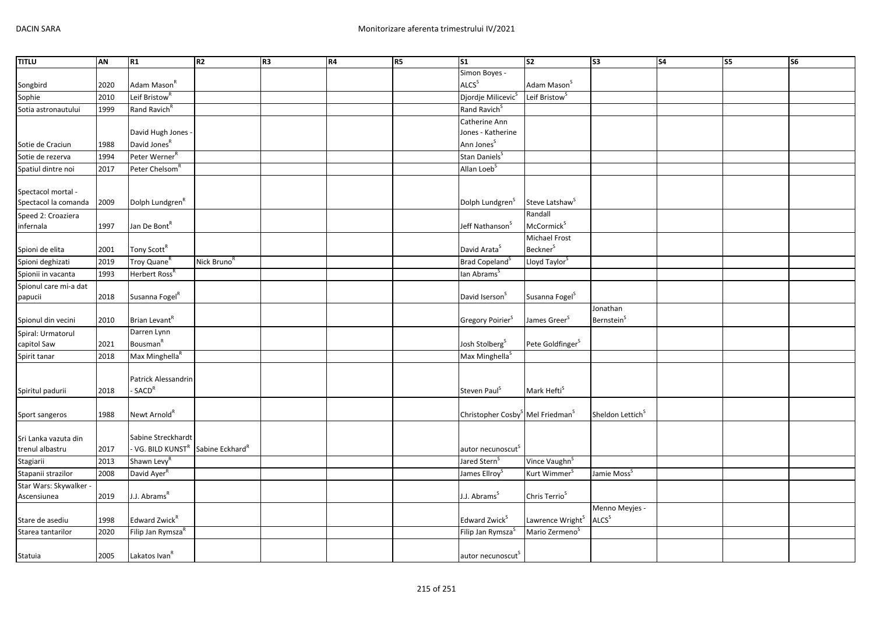| <b>TITLU</b>           | AN   | R1                            | <b>R2</b>                   | R <sub>3</sub> | R4 | R5 | $\overline{\text{S1}}$                                   | s <sub>2</sub>               | S3                            | <b>S4</b> | <b>S5</b> | <b>S6</b> |
|------------------------|------|-------------------------------|-----------------------------|----------------|----|----|----------------------------------------------------------|------------------------------|-------------------------------|-----------|-----------|-----------|
|                        |      |                               |                             |                |    |    | Simon Boyes -                                            |                              |                               |           |           |           |
| Songbird               | 2020 | Adam Mason <sup>R</sup>       |                             |                |    |    | ALCS <sup>S</sup>                                        | Adam Mason <sup>S</sup>      |                               |           |           |           |
| Sophie                 | 2010 | Leif Bristow <sup>"</sup>     |                             |                |    |    | Djordje Milicevic <sup>S</sup>                           | Leif Bristow <sup>3</sup>    |                               |           |           |           |
| Sotia astronautului    | 1999 | Rand Ravich <sup>R</sup>      |                             |                |    |    | Rand Ravich <sup>S</sup>                                 |                              |                               |           |           |           |
|                        |      |                               |                             |                |    |    | Catherine Ann                                            |                              |                               |           |           |           |
|                        |      | David Hugh Jones -            |                             |                |    |    | Jones - Katherine                                        |                              |                               |           |           |           |
| Sotie de Craciun       | 1988 | David Jones <sup>R</sup>      |                             |                |    |    | Ann Jones <sup>S</sup>                                   |                              |                               |           |           |           |
| Sotie de rezerva       | 1994 | Peter Werner <sup>R</sup>     |                             |                |    |    | Stan Daniels <sup>5</sup>                                |                              |                               |           |           |           |
| Spatiul dintre noi     | 2017 | Peter Chelsom <sup>R</sup>    |                             |                |    |    | Allan Loeb <sup>S</sup>                                  |                              |                               |           |           |           |
|                        |      |                               |                             |                |    |    |                                                          |                              |                               |           |           |           |
| Spectacol mortal -     |      |                               |                             |                |    |    |                                                          |                              |                               |           |           |           |
| Spectacol la comanda   | 2009 | Dolph Lundgren <sup>R</sup>   |                             |                |    |    | Dolph Lundgren <sup>S</sup>                              | Steve Latshaw <sup>S</sup>   |                               |           |           |           |
| Speed 2: Croaziera     |      |                               |                             |                |    |    |                                                          | Randall                      |                               |           |           |           |
| infernala              | 1997 | Jan De Bont <sup>R</sup>      |                             |                |    |    | Jeff Nathanson <sup>3</sup>                              | McCormick <sup>S</sup>       |                               |           |           |           |
|                        |      |                               |                             |                |    |    |                                                          | Michael Frost                |                               |           |           |           |
| Spioni de elita        | 2001 | Tony Scott <sup>R</sup>       |                             |                |    |    | David Arata <sup>S</sup>                                 | <b>Beckner</b> <sup>S</sup>  |                               |           |           |           |
| Spioni deghizati       | 2019 | Troy Quane <sup>R</sup>       | Nick Bruno <sup>R</sup>     |                |    |    | Brad Copeland <sup>S</sup>                               | Lloyd Taylor <sup>5</sup>    |                               |           |           |           |
| Spionii in vacanta     | 1993 | Herbert Ross <sup>R</sup>     |                             |                |    |    | lan Abrams <sup>s</sup>                                  |                              |                               |           |           |           |
| Spionul care mi-a dat  |      |                               |                             |                |    |    |                                                          |                              |                               |           |           |           |
| papucii                | 2018 | Susanna Fogel <sup>R</sup>    |                             |                |    |    | David Iserson <sup>5</sup>                               | Susanna Fogel <sup>S</sup>   |                               |           |           |           |
|                        |      |                               |                             |                |    |    |                                                          |                              | Jonathan                      |           |           |           |
| Spionul din vecini     | 2010 | Brian Levant <sup>R</sup>     |                             |                |    |    | Gregory Poirier <sup>S</sup>                             | James Greer <sup>S</sup>     | <b>Bernstein</b> <sup>S</sup> |           |           |           |
| Spiral: Urmatorul      |      | Darren Lynn                   |                             |                |    |    |                                                          |                              |                               |           |           |           |
| capitol Saw            | 2021 | Bousman <sup>R</sup>          |                             |                |    |    | Josh Stolberg <sup>S</sup>                               | Pete Goldfinger <sup>S</sup> |                               |           |           |           |
| Spirit tanar           | 2018 | Max Minghella <sup>R</sup>    |                             |                |    |    | Max Minghella <sup>S</sup>                               |                              |                               |           |           |           |
|                        |      |                               |                             |                |    |    |                                                          |                              |                               |           |           |           |
|                        |      | Patrick Alessandrin           |                             |                |    |    |                                                          |                              |                               |           |           |           |
| Spiritul padurii       | 2018 | - SACD <sup>R</sup>           |                             |                |    |    | Steven Paul <sup>S</sup>                                 | Mark Hefti <sup>S</sup>      |                               |           |           |           |
|                        |      |                               |                             |                |    |    |                                                          |                              |                               |           |           |           |
| Sport sangeros         | 1988 | Newt Arnold <sup>R</sup>      |                             |                |    |    | Christopher Cosby <sup>S</sup> Mel Friedman <sup>S</sup> |                              | Sheldon Lettich <sup>S</sup>  |           |           |           |
|                        |      |                               |                             |                |    |    |                                                          |                              |                               |           |           |           |
| Sri Lanka vazuta din   |      | Sabine Streckhardt            |                             |                |    |    |                                                          |                              |                               |           |           |           |
| trenul albastru        | 2017 | - VG. BILD KUNST <sup>R</sup> | Sabine Eckhard <sup>R</sup> |                |    |    | autor necunoscut <sup>s</sup>                            |                              |                               |           |           |           |
| Stagiarii              | 2013 | Shawn Levy <sup>R</sup>       |                             |                |    |    | Jared Stern <sup>S</sup>                                 | Vince Vaughn <sup>S</sup>    |                               |           |           |           |
| Stapanii strazilor     | 2008 | David Ayer <sup>R</sup>       |                             |                |    |    | James Ellroy <sup>5</sup>                                | Kurt Wimmer <sup>S</sup>     | Jamie Moss <sup>S</sup>       |           |           |           |
| Star Wars: Skywalker - |      |                               |                             |                |    |    |                                                          |                              |                               |           |           |           |
| Ascensiunea            | 2019 | J.J. Abrams <sup>R</sup>      |                             |                |    |    | J.J. Abrams <sup>5</sup>                                 | Chris Terrio <sup>S</sup>    |                               |           |           |           |
|                        |      |                               |                             |                |    |    |                                                          |                              | Menno Meyjes -                |           |           |           |
| Stare de asediu        | 1998 | Edward Zwick <sup>R</sup>     |                             |                |    |    | Edward Zwick <sup>5</sup>                                | Lawrence Wright <sup>S</sup> | ALCS <sup>S</sup>             |           |           |           |
| Starea tantarilor      | 2020 | Filip Jan Rymsza <sup>R</sup> |                             |                |    |    | Filip Jan Rymsza <sup>3</sup>                            | Mario Zermeno <sup>3</sup>   |                               |           |           |           |
|                        |      |                               |                             |                |    |    |                                                          |                              |                               |           |           |           |
| Statuia                | 2005 | Lakatos Ivan <sup>R</sup>     |                             |                |    |    | autor necunoscut <sup>S</sup>                            |                              |                               |           |           |           |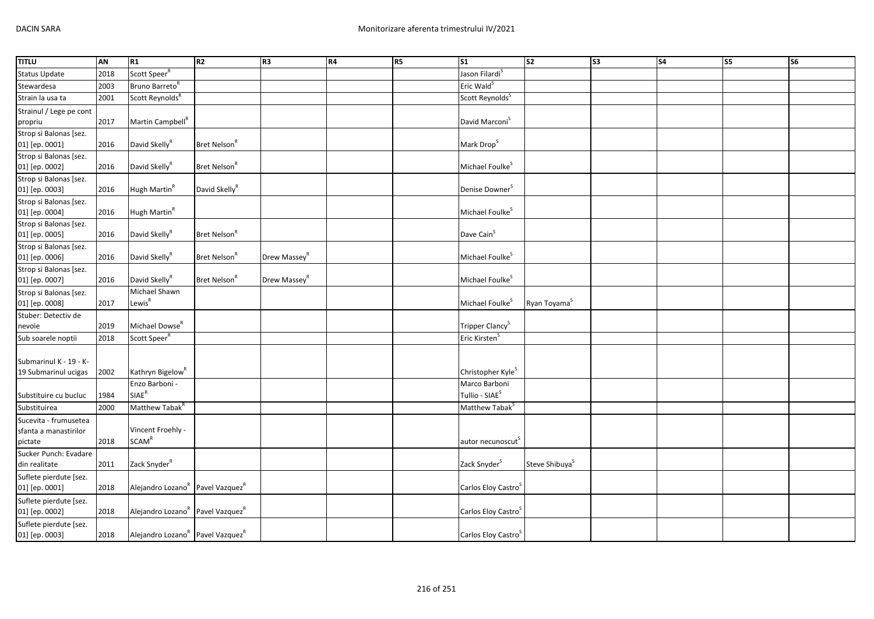| <b>TITLU</b>                                   | AN   | R1                                                       | R <sub>2</sub>            | R <sub>3</sub>           | R4 | R5 | $\mathsf{S}1$                               | S <sub>2</sub>             | S <sub>3</sub> | S <sub>4</sub> | S5 | S6 |
|------------------------------------------------|------|----------------------------------------------------------|---------------------------|--------------------------|----|----|---------------------------------------------|----------------------------|----------------|----------------|----|----|
| <b>Status Update</b>                           | 2018 | Scott Speer <sup>R</sup>                                 |                           |                          |    |    | Jason Filardi <sup>S</sup>                  |                            |                |                |    |    |
| Stewardesa                                     | 2003 | Bruno Barreto <sup>R</sup>                               |                           |                          |    |    | Eric Wald <sup>S</sup>                      |                            |                |                |    |    |
| Strain la usa ta                               | 2001 | Scott Reynolds <sup>R</sup>                              |                           |                          |    |    | Scott Reynolds <sup>S</sup>                 |                            |                |                |    |    |
| Strainul / Lege pe cont                        |      |                                                          |                           |                          |    |    |                                             |                            |                |                |    |    |
| propriu                                        | 2017 | Martin Campbell <sup>K</sup>                             |                           |                          |    |    | David Marconi <sup>S</sup>                  |                            |                |                |    |    |
| Strop si Balonas [sez.                         |      |                                                          |                           |                          |    |    |                                             |                            |                |                |    |    |
| 01] [ep. 0001]                                 | 2016 | David Skelly <sup>R</sup>                                | Bret Nelson <sup>R</sup>  |                          |    |    | Mark Drop <sup>S</sup>                      |                            |                |                |    |    |
| Strop si Balonas [sez.                         |      |                                                          |                           |                          |    |    |                                             |                            |                |                |    |    |
| 01] [ep. 0002]                                 | 2016 | David Skelly <sup>R</sup>                                | Bret Nelson <sup>R</sup>  |                          |    |    | Michael Foulke <sup>S</sup>                 |                            |                |                |    |    |
| Strop si Balonas [sez.                         |      |                                                          |                           |                          |    |    |                                             |                            |                |                |    |    |
| 01] [ep. 0003]                                 | 2016 | Hugh Martin <sup>R</sup>                                 | David Skelly <sup>R</sup> |                          |    |    | Denise Downer <sup>S</sup>                  |                            |                |                |    |    |
| Strop si Balonas [sez.                         | 2016 | Hugh Martin <sup>R</sup>                                 |                           |                          |    |    | Michael Foulke <sup>S</sup>                 |                            |                |                |    |    |
| 01] [ep. 0004]<br>Strop si Balonas [sez.       |      |                                                          |                           |                          |    |    |                                             |                            |                |                |    |    |
| 01] [ep. 0005]                                 | 2016 | David Skelly <sup>R</sup>                                | Bret Nelson <sup>R</sup>  |                          |    |    | Dave Cain <sup>S</sup>                      |                            |                |                |    |    |
| Strop si Balonas [sez.                         |      |                                                          |                           |                          |    |    |                                             |                            |                |                |    |    |
| 01] [ep. 0006]                                 | 2016 | David Skelly <sup>R</sup>                                | Bret Nelson <sup>R</sup>  | Drew Massey <sup>R</sup> |    |    | Michael Foulke <sup>S</sup>                 |                            |                |                |    |    |
| Strop si Balonas [sez.                         |      |                                                          |                           |                          |    |    |                                             |                            |                |                |    |    |
| 01] [ep. 0007]                                 | 2016 | David Skelly <sup>R</sup>                                | Bret Nelson <sup>R</sup>  | Drew Massey <sup>R</sup> |    |    | Michael Foulke <sup>S</sup>                 |                            |                |                |    |    |
| Strop si Balonas [sez.                         |      | Michael Shawn                                            |                           |                          |    |    |                                             |                            |                |                |    |    |
| 01] [ep. 0008]                                 | 2017 | Lewis <sup>R</sup>                                       |                           |                          |    |    | Michael Foulke <sup>S</sup>                 | Ryan Toyama <sup>S</sup>   |                |                |    |    |
| Stuber: Detectiv de                            |      |                                                          |                           |                          |    |    |                                             |                            |                |                |    |    |
| nevoie                                         | 2019 | Michael Dowse <sup>R</sup>                               |                           |                          |    |    | Tripper Clancy <sup>S</sup>                 |                            |                |                |    |    |
| Sub soarele noptii                             | 2018 | Scott Speer <sup>R</sup>                                 |                           |                          |    |    | Eric Kirsten <sup>s</sup>                   |                            |                |                |    |    |
|                                                |      |                                                          |                           |                          |    |    |                                             |                            |                |                |    |    |
| Submarinul K - 19 - K-                         |      |                                                          |                           |                          |    |    |                                             |                            |                |                |    |    |
| 19 Submarinul ucigas                           | 2002 | Kathryn Bigelow <sup>R</sup>                             |                           |                          |    |    | Christopher Kyle <sup>S</sup>               |                            |                |                |    |    |
|                                                |      | Enzo Barboni -<br>$\mathsf{SIAE}^\mathsf{R}$             |                           |                          |    |    | Marco Barboni<br>Tullio - SIAE <sup>S</sup> |                            |                |                |    |    |
| Substituire cu bucluc                          | 1984 |                                                          |                           |                          |    |    |                                             |                            |                |                |    |    |
| Substituirea                                   | 2000 | Matthew Tabak <sup>R</sup>                               |                           |                          |    |    | Matthew Tabak <sup>S</sup>                  |                            |                |                |    |    |
| Sucevita - frumusetea<br>sfanta a manastirilor |      | Vincent Froehly -                                        |                           |                          |    |    |                                             |                            |                |                |    |    |
| pictate                                        | 2018 | <b>SCAM<sup>R</sup></b>                                  |                           |                          |    |    | autor necunoscut <sup>s</sup>               |                            |                |                |    |    |
| Sucker Punch: Evadare                          |      |                                                          |                           |                          |    |    |                                             |                            |                |                |    |    |
| din realitate                                  | 2011 | Zack Snyder <sup>R</sup>                                 |                           |                          |    |    | Zack Snyder <sup>S</sup>                    | Steve Shibuya <sup>S</sup> |                |                |    |    |
| Suflete pierdute [sez.                         |      |                                                          |                           |                          |    |    |                                             |                            |                |                |    |    |
| 01] [ep. 0001]                                 | 2018 | Alejandro Lozano <sup>R</sup> Pavel Vazquez <sup>R</sup> |                           |                          |    |    | Carlos Eloy Castro <sup>5</sup>             |                            |                |                |    |    |
| Suflete pierdute [sez.                         |      |                                                          |                           |                          |    |    |                                             |                            |                |                |    |    |
| 01] [ep. 0002]                                 | 2018 | Alejandro Lozano <sup>R</sup> Pavel Vazquez <sup>R</sup> |                           |                          |    |    | Carlos Eloy Castro <sup>3</sup>             |                            |                |                |    |    |
| Suflete pierdute [sez.                         |      |                                                          |                           |                          |    |    |                                             |                            |                |                |    |    |
| 01] [ep. 0003]                                 | 2018 | Alejandro Lozano <sup>R</sup> Pavel Vazquez <sup>R</sup> |                           |                          |    |    | Carlos Eloy Castro <sup>S</sup>             |                            |                |                |    |    |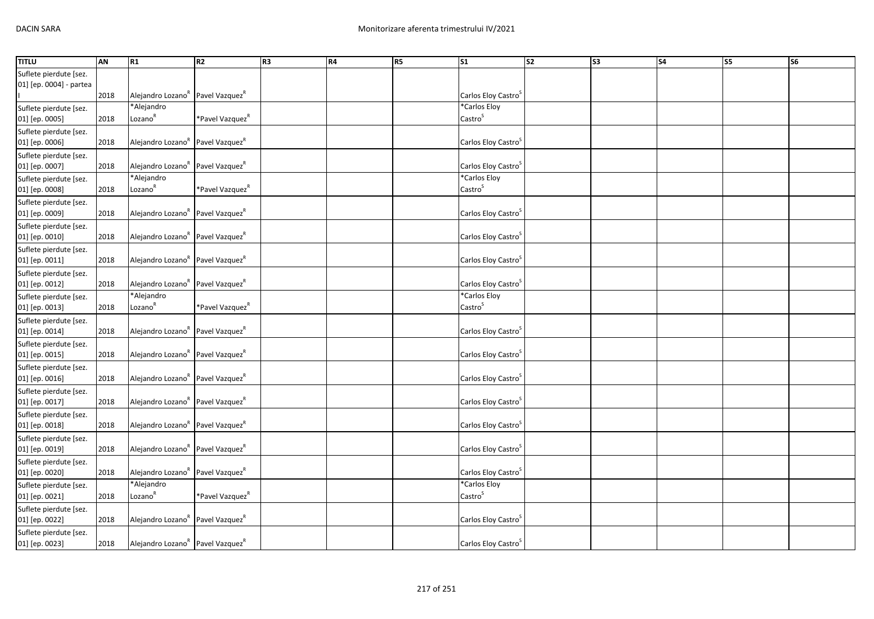| <b>TITLU</b>                                      | AN   | R1                                                       | R2                          | R3 | R4 | R5 | S <sub>1</sub>                             | $\overline{\text{S2}}$ | S <sub>3</sub> | S <sub>4</sub> | S5 | S <sub>6</sub> |
|---------------------------------------------------|------|----------------------------------------------------------|-----------------------------|----|----|----|--------------------------------------------|------------------------|----------------|----------------|----|----------------|
| Suflete pierdute [sez.<br>01] [ep. 0004] - partea | 2018 | Alejandro Lozano <sup>R</sup> Pavel Vazquez <sup>R</sup> |                             |    |    |    | Carlos Eloy Castro <sup>3</sup>            |                        |                |                |    |                |
| Suflete pierdute [sez.<br>01] [ep. 0005]          | 2018 | *Alejandro<br>Lozano <sup>R</sup>                        | *Pavel Vazquez <sup>n</sup> |    |    |    | *Carlos Eloy<br>Castro <sup>S</sup>        |                        |                |                |    |                |
| Suflete pierdute [sez.<br>01] [ep. 0006]          | 2018 | Alejandro Lozano <sup>k</sup> Pavel Vazquez <sup>k</sup> |                             |    |    |    | Carlos Eloy Castro                         |                        |                |                |    |                |
| Suflete pierdute [sez.<br>01] [ep. 0007]          | 2018 | Alejandro Lozano <sup>R</sup> Pavel Vazquez <sup>R</sup> |                             |    |    |    | Carlos Eloy Castro <sup>5</sup>            |                        |                |                |    |                |
| Suflete pierdute [sez.<br>01] [ep. 0008]          | 2018 | *Alejandro<br>Lozano <sup>R</sup>                        | *Pavel Vazquez <sup>"</sup> |    |    |    | *Carlos Eloy<br>Castro <sup>S</sup>        |                        |                |                |    |                |
| Suflete pierdute [sez.<br>01] [ep. 0009]          | 2018 | Alejandro Lozano <sup>R</sup> Pavel Vazquez <sup>R</sup> |                             |    |    |    | Carlos Eloy Castro <sup>S</sup>            |                        |                |                |    |                |
| Suflete pierdute [sez.<br>01] [ep. 0010]          | 2018 | Alejandro Lozano <sup>k</sup> Pavel Vazquez <sup>k</sup> |                             |    |    |    | Carlos Eloy Castro <sup>3</sup>            |                        |                |                |    |                |
| Suflete pierdute [sez.<br>01] [ep. 0011]          | 2018 | Alejandro Lozano <sup>R</sup> Pavel Vazquez <sup>R</sup> |                             |    |    |    | Carlos Eloy Castro <sup>3</sup>            |                        |                |                |    |                |
| Suflete pierdute [sez.<br>01] [ep. 0012]          | 2018 | Alejandro Lozano <sup>R</sup> Pavel Vazquez <sup>R</sup> |                             |    |    |    | Carlos Eloy Castro <sup>S</sup>            |                        |                |                |    |                |
| Suflete pierdute [sez.<br>01] [ep. 0013]          | 2018 | *Alejandro<br>Lozano <sup>R</sup>                        | *Pavel Vazquez <sup>k</sup> |    |    |    | *Carlos Eloy<br>$\text{Castro}^{\text{S}}$ |                        |                |                |    |                |
| Suflete pierdute [sez.<br>01] [ep. 0014]          | 2018 | Alejandro Lozano <sup>R</sup> Pavel Vazquez <sup>R</sup> |                             |    |    |    | Carlos Eloy Castro <sup>s</sup>            |                        |                |                |    |                |
| Suflete pierdute [sez.<br>01] [ep. 0015]          | 2018 | Alejandro Lozano <sup>R</sup> Pavel Vazquez <sup>R</sup> |                             |    |    |    | Carlos Eloy Castro <sup>5</sup>            |                        |                |                |    |                |
| Suflete pierdute [sez.<br>01] [ep. 0016]          | 2018 | Alejandro Lozano <sup>R</sup> Pavel Vazquez <sup>R</sup> |                             |    |    |    | Carlos Eloy Castro <sup>3</sup>            |                        |                |                |    |                |
| Suflete pierdute [sez.<br>01] [ep. 0017]          | 2018 | Alejandro Lozano <sup>R</sup> Pavel Vazquez <sup>R</sup> |                             |    |    |    | Carlos Eloy Castro <sup>5</sup>            |                        |                |                |    |                |
| Suflete pierdute [sez.<br>01] [ep. 0018]          | 2018 | Alejandro Lozano <sup>R</sup> Pavel Vazquez <sup>R</sup> |                             |    |    |    | Carlos Eloy Castro <sup>3</sup>            |                        |                |                |    |                |
| Suflete pierdute [sez.<br>01] [ep. 0019]          | 2018 | Alejandro Lozano <sup>R</sup> Pavel Vazquez <sup>R</sup> |                             |    |    |    | Carlos Eloy Castro <sup>5</sup>            |                        |                |                |    |                |
| Suflete pierdute [sez.<br>01] [ep. 0020]          | 2018 | Alejandro Lozano <sup>R</sup> Pavel Vazquez <sup>R</sup> |                             |    |    |    | Carlos Eloy Castro <sup>3</sup>            |                        |                |                |    |                |
| Suflete pierdute [sez.<br>01] [ep. 0021]          | 2018 | *Alejandro<br>Lozano <sup>R</sup>                        | *Pavel Vazquez <sup>k</sup> |    |    |    | *Carlos Eloy<br>Castro <sup>S</sup>        |                        |                |                |    |                |
| Suflete pierdute [sez.<br>01] [ep. 0022]          | 2018 | Alejandro Lozano <sup>k</sup> Pavel Vazquez <sup>k</sup> |                             |    |    |    | Carlos Eloy Castro <sup>3</sup>            |                        |                |                |    |                |
| Suflete pierdute [sez.<br>01] [ep. 0023]          | 2018 | Alejandro Lozano <sup>R</sup> Pavel Vazquez <sup>R</sup> |                             |    |    |    | Carlos Eloy Castro <sup>5</sup>            |                        |                |                |    |                |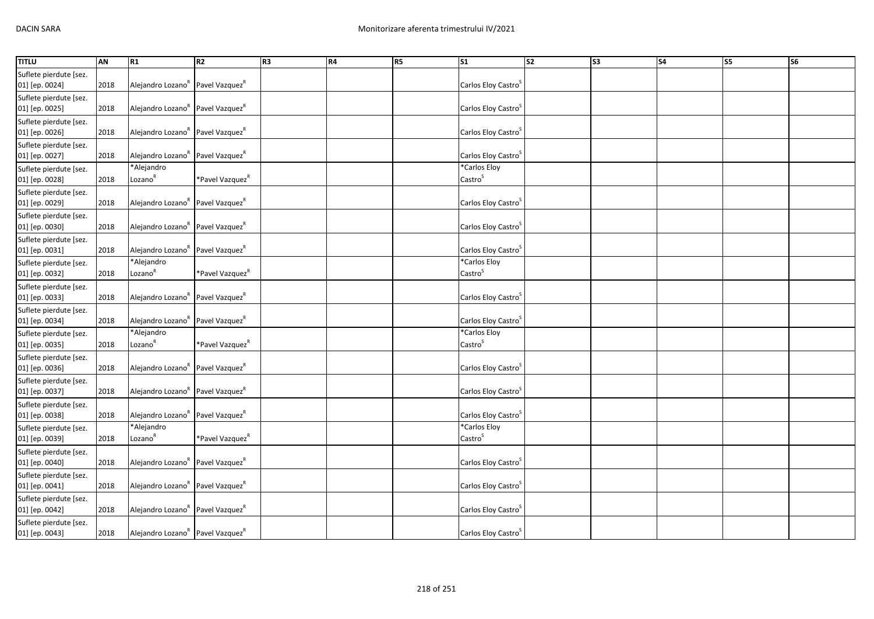| <b>TITLU</b>                             | AN   | R1                                                       | R2                          | R <sub>3</sub> | <b>R4</b> | <b>R5</b> | <b>S1</b>                           | S <sub>2</sub> | S <sub>3</sub> | <b>S4</b> | S5 | S <sub>6</sub> |
|------------------------------------------|------|----------------------------------------------------------|-----------------------------|----------------|-----------|-----------|-------------------------------------|----------------|----------------|-----------|----|----------------|
| Suflete pierdute [sez.<br>01] [ep. 0024] | 2018 | Alejandro Lozano <sup>k</sup> Pavel Vazquez <sup>k</sup> |                             |                |           |           | Carlos Eloy Castro <sup>&gt;</sup>  |                |                |           |    |                |
| Suflete pierdute [sez.<br>01] [ep. 0025] | 2018 | Alejandro Lozano <sup>k</sup> Pavel Vazquez <sup>k</sup> |                             |                |           |           | Carlos Eloy Castro <sup>3</sup>     |                |                |           |    |                |
| Suflete pierdute [sez.<br>01] [ep. 0026] | 2018 | Alejandro Lozano <sup>R</sup> Pavel Vazquez <sup>R</sup> |                             |                |           |           | Carlos Eloy Castro <sup>5</sup>     |                |                |           |    |                |
| Suflete pierdute [sez.<br>01] [ep. 0027] | 2018 | Alejandro Lozano <sup>R</sup> Pavel Vazquez <sup>R</sup> |                             |                |           |           | Carlos Eloy Castro <sup>5</sup>     |                |                |           |    |                |
| Suflete pierdute [sez.<br>01] [ep. 0028] | 2018 | *Alejandro<br>Lozano <sup>R</sup>                        | *Pavel Vazquez <sup>k</sup> |                |           |           | *Carlos Eloy<br>Castro <sup>S</sup> |                |                |           |    |                |
| Suflete pierdute [sez.<br>01] [ep. 0029] | 2018 | Alejandro Lozano <sup>R</sup> Pavel Vazquez <sup>R</sup> |                             |                |           |           | Carlos Eloy Castro <sup>3</sup>     |                |                |           |    |                |
| Suflete pierdute [sez.<br>01] [ep. 0030] | 2018 | Alejandro Lozano <sup>k</sup> Pavel Vazquez <sup>k</sup> |                             |                |           |           | Carlos Eloy Castro <sup>5</sup>     |                |                |           |    |                |
| Suflete pierdute [sez.<br>01] [ep. 0031] | 2018 | Alejandro Lozano <sup>R</sup> Pavel Vazquez <sup>R</sup> |                             |                |           |           | Carlos Eloy Castro <sup>5</sup>     |                |                |           |    |                |
| Suflete pierdute [sez.<br>01] [ep. 0032] | 2018 | *Alejandro<br>Lozano <sup>R</sup>                        | *Pavel Vazquez <sup>R</sup> |                |           |           | *Carlos Eloy<br>Castro <sup>S</sup> |                |                |           |    |                |
| Suflete pierdute [sez.<br>01] [ep. 0033] | 2018 | Alejandro Lozano <sup>k</sup> Pavel Vazquez <sup>k</sup> |                             |                |           |           | Carlos Eloy Castro <sup>5</sup>     |                |                |           |    |                |
| Suflete pierdute [sez.<br>01] [ep. 0034] | 2018 | Alejandro Lozano <sup>R</sup> Pavel Vazquez <sup>R</sup> |                             |                |           |           | Carlos Eloy Castro <sup>3</sup>     |                |                |           |    |                |
| Suflete pierdute [sez.<br>01] [ep. 0035] | 2018 | *Alejandro<br>Lozano <sup>R</sup>                        | *Pavel Vazquez <sup>k</sup> |                |           |           | *Carlos Eloy<br>Castro <sup>S</sup> |                |                |           |    |                |
| Suflete pierdute [sez.<br>01] [ep. 0036] | 2018 | Alejandro Lozano <sup>k</sup> Pavel Vazquez <sup>k</sup> |                             |                |           |           | Carlos Eloy Castro <sup>5</sup>     |                |                |           |    |                |
| Suflete pierdute [sez.<br>01] [ep. 0037] | 2018 | Alejandro Lozano <sup>R</sup> Pavel Vazquez <sup>R</sup> |                             |                |           |           | Carlos Eloy Castro <sup>5</sup>     |                |                |           |    |                |
| Suflete pierdute [sez.<br>01] [ep. 0038] | 2018 | Alejandro Lozano <sup>K</sup> Pavel Vazquez <sup>K</sup> |                             |                |           |           | Carlos Eloy Castro                  |                |                |           |    |                |
| Suflete pierdute [sez.<br>01] [ep. 0039] | 2018 | *Alejandro<br>Lozano <sup>R</sup>                        | *Pavel Vazquez <sup>k</sup> |                |           |           | *Carlos Eloy<br>Castro <sup>S</sup> |                |                |           |    |                |
| Suflete pierdute [sez.<br>01] [ep. 0040] | 2018 | Alejandro Lozano <sup>R</sup> Pavel Vazquez <sup>R</sup> |                             |                |           |           | Carlos Eloy Castro <sup>3</sup>     |                |                |           |    |                |
| Suflete pierdute [sez.<br>01] [ep. 0041] | 2018 | Alejandro Lozano <sup>k</sup> Pavel Vazquez <sup>k</sup> |                             |                |           |           | Carlos Eloy Castro <sup>5</sup>     |                |                |           |    |                |
| Suflete pierdute [sez.<br>01] [ep. 0042] | 2018 | Alejandro Lozano <sup>k</sup> Pavel Vazquez <sup>k</sup> |                             |                |           |           | Carlos Eloy Castro                  |                |                |           |    |                |
| Suflete pierdute [sez.<br>01] [ep. 0043] | 2018 | Alejandro Lozano <sup>R</sup> Pavel Vazquez <sup>R</sup> |                             |                |           |           | Carlos Eloy Castro <sup>5</sup>     |                |                |           |    |                |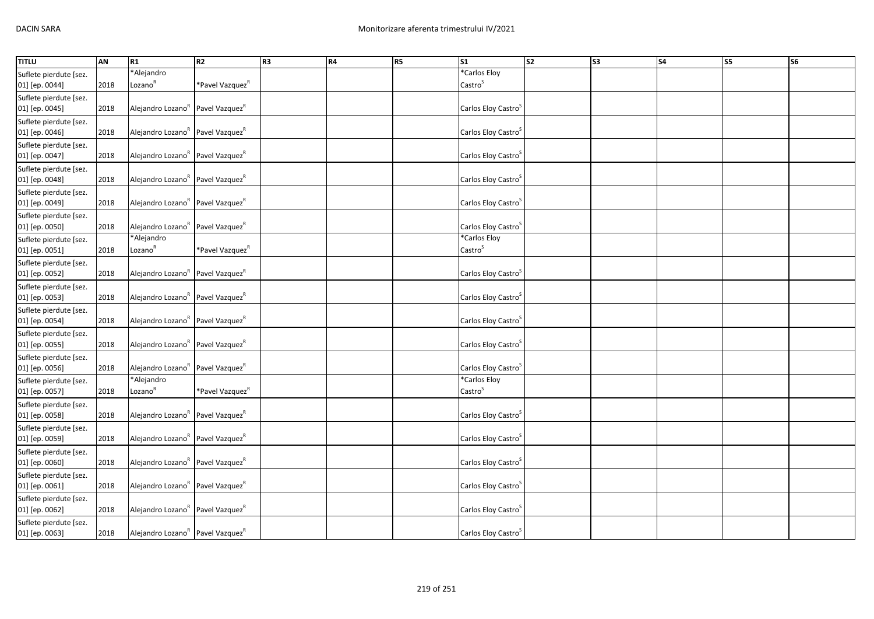| <b>TITLU</b>                             | AN   | R1                                                       | R2                          | R <sub>3</sub> | <b>R4</b> | R5 | S <sub>1</sub>                      | $\overline{\text{S2}}$ | S <sub>3</sub> | S <sub>4</sub> | S5 | S <sub>6</sub> |
|------------------------------------------|------|----------------------------------------------------------|-----------------------------|----------------|-----------|----|-------------------------------------|------------------------|----------------|----------------|----|----------------|
| Suflete pierdute [sez.                   |      | *Alejandro                                               |                             |                |           |    | *Carlos Eloy                        |                        |                |                |    |                |
| 01] [ep. 0044]                           | 2018 | Lozano <sup>R</sup>                                      | *Pavel Vazquez <sup>k</sup> |                |           |    | Castro <sup>S</sup>                 |                        |                |                |    |                |
| Suflete pierdute [sez.<br>01] [ep. 0045] | 2018 | Alejandro Lozano <sup>k</sup> Pavel Vazquez <sup>k</sup> |                             |                |           |    | Carlos Eloy Castro <sup>3</sup>     |                        |                |                |    |                |
| Suflete pierdute [sez.<br>01] [ep. 0046] | 2018 | Alejandro Lozano <sup>R</sup> Pavel Vazquez <sup>R</sup> |                             |                |           |    | Carlos Eloy Castro <sup>5</sup>     |                        |                |                |    |                |
| Suflete pierdute [sez.<br>01] [ep. 0047] | 2018 | Alejandro Lozano <sup>R</sup> Pavel Vazquez <sup>R</sup> |                             |                |           |    | Carlos Eloy Castro <sup>S</sup>     |                        |                |                |    |                |
| Suflete pierdute [sez.<br>01] [ep. 0048] | 2018 | Alejandro Lozano <sup>R</sup> Pavel Vazquez <sup>R</sup> |                             |                |           |    | Carlos Eloy Castro <sup>3</sup>     |                        |                |                |    |                |
| Suflete pierdute [sez.<br>01] [ep. 0049] | 2018 | Alejandro Lozano <sup>R</sup> Pavel Vazquez <sup>R</sup> |                             |                |           |    | Carlos Eloy Castro <sup>3</sup>     |                        |                |                |    |                |
| Suflete pierdute [sez.<br>01] [ep. 0050] | 2018 | Alejandro Lozano <sup>k</sup> Pavel Vazquez <sup>k</sup> |                             |                |           |    | Carlos Eloy Castro <sup>5</sup>     |                        |                |                |    |                |
| Suflete pierdute [sez.<br>01] [ep. 0051] | 2018 | *Alejandro<br>Lozano <sup>R</sup>                        | *Pavel Vazquez <sup>k</sup> |                |           |    | *Carlos Eloy<br>Castro <sup>S</sup> |                        |                |                |    |                |
| Suflete pierdute [sez.<br>01] [ep. 0052] | 2018 | Alejandro Lozano <sup>R</sup> Pavel Vazquez <sup>R</sup> |                             |                |           |    | Carlos Eloy Castro <sup>5</sup>     |                        |                |                |    |                |
| Suflete pierdute [sez.<br>01] [ep. 0053] | 2018 | Alejandro Lozano <sup>R</sup> Pavel Vazquez <sup>R</sup> |                             |                |           |    | Carlos Eloy Castro <sup>3</sup>     |                        |                |                |    |                |
| Suflete pierdute [sez.<br>01] [ep. 0054] | 2018 | Alejandro Lozano <sup>R</sup> Pavel Vazquez <sup>R</sup> |                             |                |           |    | Carlos Eloy Castro <sup>3</sup>     |                        |                |                |    |                |
| Suflete pierdute [sez.<br>01] [ep. 0055] | 2018 | Alejandro Lozano <sup>R</sup> Pavel Vazquez <sup>R</sup> |                             |                |           |    | Carlos Eloy Castro <sup>5</sup>     |                        |                |                |    |                |
| Suflete pierdute [sez.<br>01] [ep. 0056] | 2018 | Alejandro Lozano <sup>R</sup> Pavel Vazquez <sup>R</sup> |                             |                |           |    | Carlos Eloy Castro                  |                        |                |                |    |                |
| Suflete pierdute [sez.<br>01] [ep. 0057] | 2018 | *Alejandro<br>Lozano <sup>R</sup>                        | *Pavel Vazquez <sup>k</sup> |                |           |    | *Carlos Eloy<br>Castro <sup>S</sup> |                        |                |                |    |                |
| Suflete pierdute [sez.<br>01] [ep. 0058] | 2018 | Alejandro Lozano <sup>R</sup> Pavel Vazquez <sup>R</sup> |                             |                |           |    | Carlos Eloy Castro <sup>3</sup>     |                        |                |                |    |                |
| Suflete pierdute [sez.<br>01] [ep. 0059] | 2018 | Alejandro Lozano <sup>R</sup> Pavel Vazquez <sup>R</sup> |                             |                |           |    | Carlos Eloy Castro <sup>3</sup>     |                        |                |                |    |                |
| Suflete pierdute [sez.<br>01] [ep. 0060] | 2018 | Alejandro Lozano <sup>R</sup> Pavel Vazquez <sup>R</sup> |                             |                |           |    | Carlos Eloy Castro <sup>3</sup>     |                        |                |                |    |                |
| Suflete pierdute [sez.<br>01] [ep. 0061] | 2018 | Alejandro Lozano <sup>R</sup> Pavel Vazquez <sup>R</sup> |                             |                |           |    | Carlos Eloy Castro <sup>3</sup>     |                        |                |                |    |                |
| Suflete pierdute [sez.<br>01] [ep. 0062] | 2018 | Alejandro Lozano <sup>R</sup> Pavel Vazquez <sup>R</sup> |                             |                |           |    | Carlos Eloy Castro <sup>3</sup>     |                        |                |                |    |                |
| Suflete pierdute [sez.<br>01] [ep. 0063] | 2018 | Alejandro Lozano <sup>R</sup> Pavel Vazquez <sup>R</sup> |                             |                |           |    | Carlos Eloy Castro <sup>5</sup>     |                        |                |                |    |                |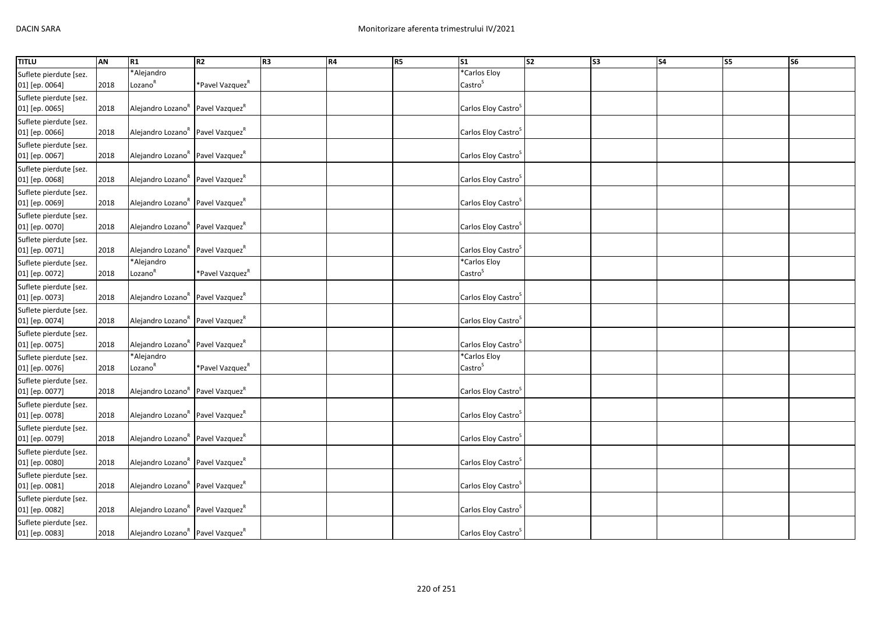| <b>TITLU</b>           | AN   | R <sub>1</sub>                                           | R2                          | R <sub>3</sub> | R4 | <b>R5</b> | S <sub>1</sub>                  | S <sub>2</sub> | S <sub>3</sub> | \$4 | S5 | S <sub>6</sub> |
|------------------------|------|----------------------------------------------------------|-----------------------------|----------------|----|-----------|---------------------------------|----------------|----------------|-----|----|----------------|
| Suflete pierdute [sez. |      | *Alejandro                                               |                             |                |    |           | *Carlos Eloy                    |                |                |     |    |                |
| 01] [ep. 0064]         | 2018 | Lozano <sup>R</sup>                                      | *Pavel Vazquez <sup>k</sup> |                |    |           | Castro <sup>S</sup>             |                |                |     |    |                |
| Suflete pierdute [sez. |      |                                                          |                             |                |    |           |                                 |                |                |     |    |                |
| 01] [ep. 0065]         | 2018 | Alejandro Lozano <sup>k</sup> Pavel Vazquez <sup>k</sup> |                             |                |    |           | Carlos Eloy Castro <sup>3</sup> |                |                |     |    |                |
| Suflete pierdute [sez. |      |                                                          |                             |                |    |           |                                 |                |                |     |    |                |
| 01] [ep. 0066]         | 2018 | Alejandro Lozano <sup>R</sup> Pavel Vazquez <sup>R</sup> |                             |                |    |           | Carlos Eloy Castro <sup>S</sup> |                |                |     |    |                |
| Suflete pierdute [sez. |      |                                                          |                             |                |    |           |                                 |                |                |     |    |                |
| 01] [ep. 0067]         | 2018 | Alejandro Lozano <sup>R</sup> Pavel Vazquez <sup>R</sup> |                             |                |    |           | Carlos Eloy Castro <sup>5</sup> |                |                |     |    |                |
| Suflete pierdute [sez. |      |                                                          |                             |                |    |           |                                 |                |                |     |    |                |
| 01] [ep. 0068]         | 2018 | Alejandro Lozano <sup>R</sup> Pavel Vazquez <sup>R</sup> |                             |                |    |           | Carlos Eloy Castro <sup>5</sup> |                |                |     |    |                |
| Suflete pierdute [sez. |      |                                                          |                             |                |    |           |                                 |                |                |     |    |                |
| 01] [ep. 0069]         | 2018 | Alejandro Lozano <sup>R</sup> Pavel Vazquez <sup>R</sup> |                             |                |    |           | Carlos Eloy Castro <sup>5</sup> |                |                |     |    |                |
| Suflete pierdute [sez. |      |                                                          |                             |                |    |           |                                 |                |                |     |    |                |
| 01] [ep. 0070]         | 2018 | Alejandro Lozano <sup>k</sup> Pavel Vazquez <sup>k</sup> |                             |                |    |           | Carlos Eloy Castro <sup>5</sup> |                |                |     |    |                |
| Suflete pierdute [sez. |      |                                                          |                             |                |    |           |                                 |                |                |     |    |                |
| 01] [ep. 0071]         | 2018 | Alejandro Lozano <sup>k</sup> Pavel Vazquez <sup>k</sup> |                             |                |    |           | Carlos Eloy Castro <sup>5</sup> |                |                |     |    |                |
| Suflete pierdute [sez. |      | *Alejandro                                               |                             |                |    |           | *Carlos Eloy                    |                |                |     |    |                |
| 01] [ep. 0072]         | 2018 | Lozano <sup>R</sup>                                      | *Pavel Vazquez <sup>k</sup> |                |    |           | Castro <sup>S</sup>             |                |                |     |    |                |
| Suflete pierdute [sez. |      |                                                          |                             |                |    |           |                                 |                |                |     |    |                |
| 01] [ep. 0073]         | 2018 | Alejandro Lozano <sup>R</sup> Pavel Vazquez <sup>R</sup> |                             |                |    |           | Carlos Eloy Castro <sup>S</sup> |                |                |     |    |                |
| Suflete pierdute [sez. |      |                                                          |                             |                |    |           |                                 |                |                |     |    |                |
| 01] [ep. 0074]         | 2018 | Alejandro Lozano <sup>R</sup> Pavel Vazquez <sup>R</sup> |                             |                |    |           | Carlos Eloy Castro <sup>3</sup> |                |                |     |    |                |
| Suflete pierdute [sez. |      |                                                          |                             |                |    |           |                                 |                |                |     |    |                |
| 01] [ep. 0075]         | 2018 | Alejandro Lozano <sup>R</sup> Pavel Vazquez <sup>R</sup> |                             |                |    |           | Carlos Eloy Castro <sup>S</sup> |                |                |     |    |                |
| Suflete pierdute [sez. |      | *Alejandro                                               |                             |                |    |           | *Carlos Eloy                    |                |                |     |    |                |
| 01] [ep. 0076]         | 2018 | Lozano <sup>R</sup>                                      | *Pavel Vazquez <sup>"</sup> |                |    |           | Castro <sup>S</sup>             |                |                |     |    |                |
| Suflete pierdute [sez. |      |                                                          |                             |                |    |           |                                 |                |                |     |    |                |
| 01] [ep. 0077]         | 2018 | Alejandro Lozano <sup>R</sup> Pavel Vazquez <sup>R</sup> |                             |                |    |           | Carlos Eloy Castro <sup>3</sup> |                |                |     |    |                |
| Suflete pierdute [sez. |      |                                                          |                             |                |    |           |                                 |                |                |     |    |                |
| 01] [ep. 0078]         | 2018 | Alejandro Lozano <sup>R</sup> Pavel Vazquez <sup>R</sup> |                             |                |    |           | Carlos Eloy Castro <sup>3</sup> |                |                |     |    |                |
| Suflete pierdute [sez. |      |                                                          |                             |                |    |           |                                 |                |                |     |    |                |
| 01] [ep. 0079]         | 2018 | Alejandro Lozano <sup>k</sup> Pavel Vazquez <sup>k</sup> |                             |                |    |           | Carlos Eloy Castro <sup>3</sup> |                |                |     |    |                |
| Suflete pierdute [sez. |      |                                                          |                             |                |    |           |                                 |                |                |     |    |                |
| 01] [ep. 0080]         | 2018 | Alejandro Lozano <sup>R</sup> Pavel Vazquez <sup>R</sup> |                             |                |    |           | Carlos Eloy Castro <sup>5</sup> |                |                |     |    |                |
| Suflete pierdute [sez. |      |                                                          |                             |                |    |           |                                 |                |                |     |    |                |
| 01] [ep. 0081]         | 2018 | Alejandro Lozano <sup>R</sup> Pavel Vazquez <sup>R</sup> |                             |                |    |           | Carlos Eloy Castro <sup>5</sup> |                |                |     |    |                |
| Suflete pierdute [sez. |      |                                                          |                             |                |    |           |                                 |                |                |     |    |                |
| 01] [ep. 0082]         | 2018 | Alejandro Lozano <sup>k</sup> Pavel Vazquez <sup>k</sup> |                             |                |    |           | Carlos Eloy Castro              |                |                |     |    |                |
| Suflete pierdute [sez. |      |                                                          |                             |                |    |           |                                 |                |                |     |    |                |
| 01] [ep. 0083]         | 2018 | Alejandro Lozano <sup>R</sup> Pavel Vazquez <sup>R</sup> |                             |                |    |           | Carlos Eloy Castro <sup>5</sup> |                |                |     |    |                |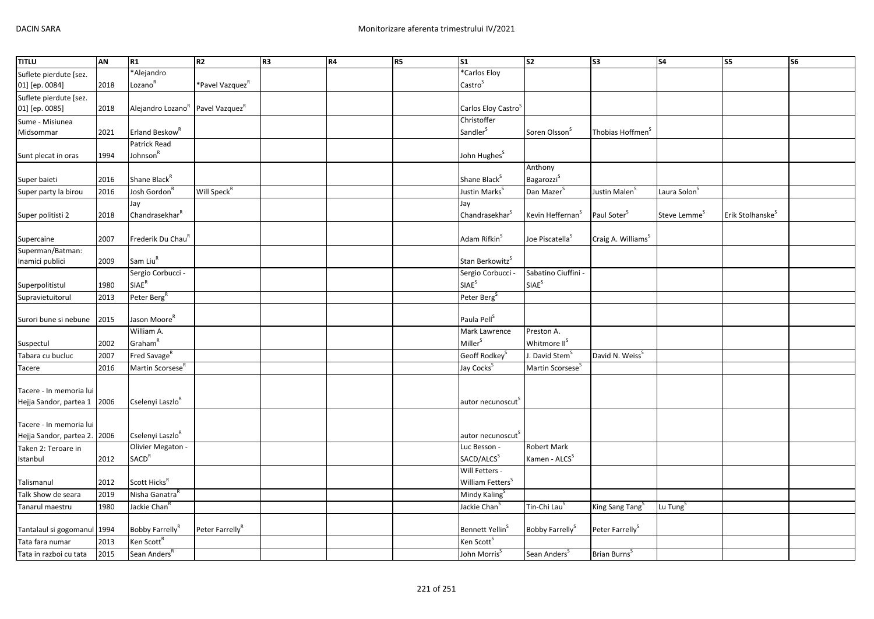| <b>TITLU</b>                 | AN   | R1                                                       | R <sub>2</sub>              | R <sub>3</sub> | R4 | R <sub>5</sub> | S <sub>1</sub>                  | <b>S2</b>                    | S <sub>3</sub>                 | S4                       | S5                           | S6 |
|------------------------------|------|----------------------------------------------------------|-----------------------------|----------------|----|----------------|---------------------------------|------------------------------|--------------------------------|--------------------------|------------------------------|----|
| Suflete pierdute [sez.       |      | *Alejandro                                               |                             |                |    |                | *Carlos Eloy                    |                              |                                |                          |                              |    |
| 01] [ep. 0084]               | 2018 | Lozano <sup>R</sup>                                      | *Pavel Vazquez <sup>R</sup> |                |    |                | Castro <sup>S</sup>             |                              |                                |                          |                              |    |
| Suflete pierdute [sez.       |      |                                                          |                             |                |    |                |                                 |                              |                                |                          |                              |    |
| 01] [ep. 0085]               | 2018 | Alejandro Lozano <sup>R</sup> Pavel Vazquez <sup>R</sup> |                             |                |    |                | Carlos Eloy Castro <sup>5</sup> |                              |                                |                          |                              |    |
| Sume - Misiunea              |      |                                                          |                             |                |    |                | Christoffer                     |                              |                                |                          |                              |    |
| Midsommar                    | 2021 | Erland Beskow <sup>R</sup>                               |                             |                |    |                | Sandler <sup>S</sup>            | Soren Olsson <sup>5</sup>    | Thobias Hoffmen <sup>5</sup>   |                          |                              |    |
|                              |      | Patrick Read                                             |                             |                |    |                |                                 |                              |                                |                          |                              |    |
| Sunt plecat in oras          | 1994 | Johnson <sup>R</sup>                                     |                             |                |    |                | John Hughes <sup>S</sup>        |                              |                                |                          |                              |    |
|                              |      |                                                          |                             |                |    |                |                                 | Anthony                      |                                |                          |                              |    |
| Super baieti                 | 2016 | Shane Black <sup>R</sup>                                 |                             |                |    |                | Shane Black <sup>S</sup>        | Bagarozzi <sup>S</sup>       |                                |                          |                              |    |
| Super party la birou         | 2016 | Josh Gordon <sup>F</sup>                                 | Will Speck <sup>R</sup>     |                |    |                | Justin Marks <sup>S</sup>       | Dan Mazer <sup>S</sup>       | Justin Malen <sup>5</sup>      | Laura Solon <sup>5</sup> |                              |    |
|                              |      | Jay                                                      |                             |                |    |                | Jay                             |                              |                                |                          |                              |    |
| Super politisti 2            | 2018 | Chandrasekhar <sup>R</sup>                               |                             |                |    |                | Chandrasekhar <sup>5</sup>      | Kevin Heffernan <sup>S</sup> | Paul Soter <sup>S</sup>        | Steve Lemme <sup>5</sup> | Erik Stolhanske <sup>5</sup> |    |
|                              |      |                                                          |                             |                |    |                |                                 |                              |                                |                          |                              |    |
| Supercaine                   | 2007 | Frederik Du Chau <sup>k</sup>                            |                             |                |    |                | Adam Rifkin <sup>5</sup>        | Joe Piscatella <sup>S</sup>  | Craig A. Williams <sup>S</sup> |                          |                              |    |
| Superman/Batman:             |      |                                                          |                             |                |    |                |                                 |                              |                                |                          |                              |    |
| Inamici publici              | 2009 | Sam Liu <sup>R</sup>                                     |                             |                |    |                | Stan Berkowitz <sup>S</sup>     |                              |                                |                          |                              |    |
|                              |      | Sergio Corbucci -                                        |                             |                |    |                | Sergio Corbucci -               | Sabatino Ciuffini -          |                                |                          |                              |    |
| Superpolitistul              | 1980 | $\mathsf{SIAE}^\mathsf{R}$                               |                             |                |    |                | SIAE <sup>S</sup>               | SIAE <sup>S</sup>            |                                |                          |                              |    |
| Supravietuitorul             | 2013 | Peter Berg <sup>R</sup>                                  |                             |                |    |                | Peter Berg <sup>S</sup>         |                              |                                |                          |                              |    |
|                              |      |                                                          |                             |                |    |                |                                 |                              |                                |                          |                              |    |
| Surori bune si nebune        | 2015 | Jason Moore <sup>R</sup>                                 |                             |                |    |                | Paula Pell <sup>S</sup>         |                              |                                |                          |                              |    |
|                              |      | William A.                                               |                             |                |    |                | Mark Lawrence                   | Preston A.                   |                                |                          |                              |    |
| Suspectul                    | 2002 | Graham <sup>R</sup>                                      |                             |                |    |                | Miller <sup>S</sup>             | Whitmore II <sup>5</sup>     |                                |                          |                              |    |
| Tabara cu bucluc             | 2007 | Fred Savage <sup>R</sup>                                 |                             |                |    |                | Geoff Rodkey <sup>S</sup>       | J. David Stem <sup>s</sup>   | David N. Weiss <sup>5</sup>    |                          |                              |    |
| Tacere                       | 2016 | Martin Scorsese <sup>R</sup>                             |                             |                |    |                | Jay Cocks <sup>S</sup>          | Martin Scorsese <sup>5</sup> |                                |                          |                              |    |
|                              |      |                                                          |                             |                |    |                |                                 |                              |                                |                          |                              |    |
| Tacere - In memoria lui      |      |                                                          |                             |                |    |                |                                 |                              |                                |                          |                              |    |
| Hejja Sandor, partea 1       | 2006 | Cselenyi Laszlo <sup>R</sup>                             |                             |                |    |                | autor necunoscut                |                              |                                |                          |                              |    |
|                              |      |                                                          |                             |                |    |                |                                 |                              |                                |                          |                              |    |
| Tacere - In memoria lui      |      |                                                          |                             |                |    |                |                                 |                              |                                |                          |                              |    |
| Hejja Sandor, partea 2. 2006 |      | Cselenyi Laszlo <sup>R</sup>                             |                             |                |    |                | autor necunoscut                |                              |                                |                          |                              |    |
| Taken 2: Teroare in          |      | Olivier Megaton -                                        |                             |                |    |                | Luc Besson -                    | <b>Robert Mark</b>           |                                |                          |                              |    |
| Istanbul                     | 2012 | SACD <sup>R</sup>                                        |                             |                |    |                | SACD/ALCS <sup>S</sup>          | Kamen - ALCS <sup>S</sup>    |                                |                          |                              |    |
|                              |      |                                                          |                             |                |    |                | Will Fetters -                  |                              |                                |                          |                              |    |
| Talismanul                   | 2012 | Scott Hicks <sup>R</sup>                                 |                             |                |    |                | William Fetters <sup>S</sup>    |                              |                                |                          |                              |    |
| Talk Show de seara           | 2019 | Nisha Ganatra <sup>R</sup>                               |                             |                |    |                | Mindy Kaling <sup>S</sup>       |                              |                                |                          |                              |    |
| Tanarul maestru              | 1980 | Jackie Chan <sup>R</sup>                                 |                             |                |    |                | Jackie Chan <sup>S</sup>        | Tin-Chi Lau <sup>S</sup>     | King Sang Tang <sup>3</sup>    | Lu Tung <sup>S</sup>     |                              |    |
|                              |      |                                                          |                             |                |    |                |                                 |                              |                                |                          |                              |    |
| Tantalaul si gogomanul 1994  |      | Bobby Farrelly <sup>R</sup>                              | Peter Farrelly <sup>R</sup> |                |    |                | Bennett Yellin <sup>S</sup>     | Bobby Farrelly <sup>S</sup>  | Peter Farrelly <sup>S</sup>    |                          |                              |    |
| Tata fara numar              | 2013 | Ken Scott <sup>R</sup>                                   |                             |                |    |                | Ken Scott <sup>S</sup>          |                              |                                |                          |                              |    |
| Tata in razboi cu tata       | 2015 | Sean Anders <sup>R</sup>                                 |                             |                |    |                | John Morris <sup>S</sup>        | Sean Anders <sup>5</sup>     | Brian Burns <sup>S</sup>       |                          |                              |    |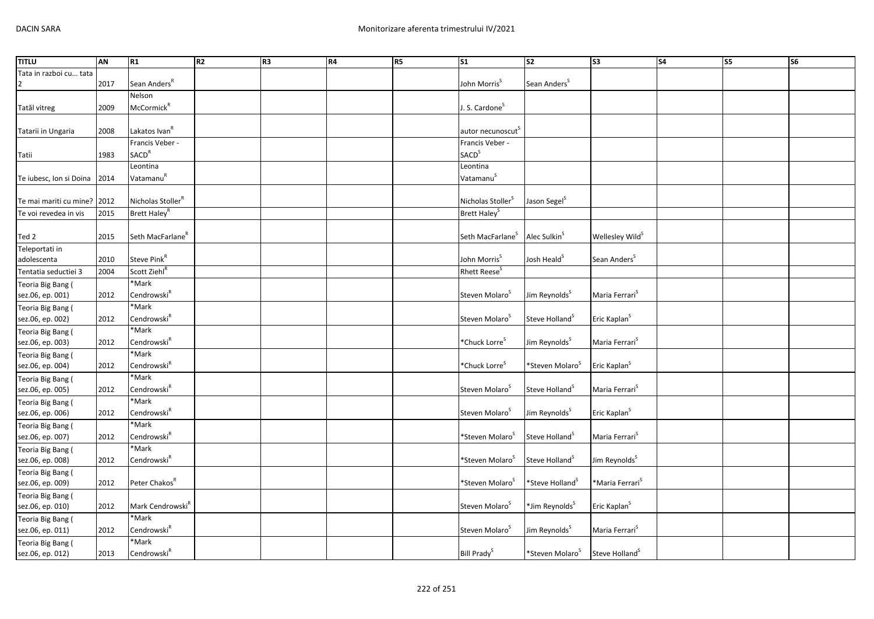| <b>TITLU</b>                          | <b>AN</b> | R1                                    | R <sub>2</sub> | R <sub>3</sub> | R4 | R5 | $\overline{\text{S1}}$            | $\overline{\text{S2}}$      | $\overline{\text{S3}}$      | <b>S4</b> | S5 | <b>S6</b> |
|---------------------------------------|-----------|---------------------------------------|----------------|----------------|----|----|-----------------------------------|-----------------------------|-----------------------------|-----------|----|-----------|
| Tata in razboi cu tata                | 2017      | Sean Anders <sup>R</sup>              |                |                |    |    | John Morris <sup>S</sup>          | Sean Anders <sup>S</sup>    |                             |           |    |           |
|                                       |           | Nelson                                |                |                |    |    |                                   |                             |                             |           |    |           |
| Tatăl vitreg                          | 2009      | McCormick <sup>R</sup>                |                |                |    |    | J. S. Cardone <sup>S</sup>        |                             |                             |           |    |           |
| Tatarii in Ungaria                    | 2008      | Lakatos Ivan <sup>R</sup>             |                |                |    |    | autor necunoscut <sup>s</sup>     |                             |                             |           |    |           |
|                                       |           | Francis Veber -                       |                |                |    |    | Francis Veber -                   |                             |                             |           |    |           |
| Tatii                                 | 1983      | SACD <sup>R</sup>                     |                |                |    |    | <b>SACD</b> <sup>S</sup>          |                             |                             |           |    |           |
| Te iubesc, Ion si Doina               | 2014      | Leontina<br>VatamanuR                 |                |                |    |    | Leontina<br>Vatamanu <sup>S</sup> |                             |                             |           |    |           |
| Te mai mariti cu mine?                | 2012      | Nicholas Stoller <sup>R</sup>         |                |                |    |    | Nicholas Stoller <sup>S</sup>     | Jason Segel <sup>S</sup>    |                             |           |    |           |
| Te voi revedea in vis                 | 2015      | Brett Haley <sup>R</sup>              |                |                |    |    | Brett Haley <sup>S</sup>          |                             |                             |           |    |           |
| Ted 2                                 | 2015      | Seth MacFarlane <sup>R</sup>          |                |                |    |    | Seth MacFarlane <sup>S</sup>      | Alec Sulkin <sup>S</sup>    | Wellesley Wild <sup>S</sup> |           |    |           |
| Teleportati in                        |           |                                       |                |                |    |    |                                   |                             |                             |           |    |           |
| adolescenta                           | 2010      | Steve Pink <sup>R</sup>               |                |                |    |    | John Morris <sup>S</sup>          | Josh Heald <sup>S</sup>     | Sean Anders <sup>S</sup>    |           |    |           |
| Tentatia seductiei 3                  | 2004      | Scott Ziehl <sup>R</sup>              |                |                |    |    | Rhett Reese <sup>S</sup>          |                             |                             |           |    |           |
| Teoria Big Bang (                     |           | *Mark                                 |                |                |    |    |                                   |                             |                             |           |    |           |
| sez.06, ep. 001)                      | 2012      | Cendrowski <sup>R</sup>               |                |                |    |    | Steven Molaro <sup>3</sup>        | Jim Reynolds <sup>5</sup>   | Maria Ferrari <sup>5</sup>  |           |    |           |
| Teoria Big Bang (                     |           | *Mark                                 |                |                |    |    |                                   |                             |                             |           |    |           |
| sez.06, ep. 002)                      | 2012      | $\mathsf{Cendrowski}^\mathsf{R}$      |                |                |    |    | Steven Molaro <sup>3</sup>        | Steve Holland <sup>S</sup>  | Eric Kaplan <sup>S</sup>    |           |    |           |
| Teoria Big Bang (                     |           | *Mark                                 |                |                |    |    |                                   |                             |                             |           |    |           |
| sez.06, ep. 003)                      | 2012      | Cendrowski <sup>R</sup>               |                |                |    |    | *Chuck Lorre <sup>S</sup>         | Jim Reynolds <sup>S</sup>   | Maria Ferrari <sup>S</sup>  |           |    |           |
| Teoria Big Bang (                     |           | *Mark                                 |                |                |    |    |                                   |                             |                             |           |    |           |
| sez.06, ep. 004)                      | 2012      | Cendrowski $^R$<br>*Mark              |                |                |    |    | *Chuck Lorre <sup>S</sup>         | *Steven Molaro <sup>S</sup> | Eric Kaplan <sup>S</sup>    |           |    |           |
| Teoria Big Bang (<br>sez.06, ep. 005) | 2012      | Cendrowski <sup>R</sup>               |                |                |    |    | Steven Molaro <sup>5</sup>        | Steve Holland <sup>5</sup>  | Maria Ferrari <sup>S</sup>  |           |    |           |
| Teoria Big Bang (                     |           | *Mark                                 |                |                |    |    |                                   |                             |                             |           |    |           |
| sez.06, ep. 006)                      | 2012      | Cendrowski $^R$                       |                |                |    |    | Steven Molaro <sup>5</sup>        | Jim Reynolds <sup>S</sup>   | Eric Kaplan <sup>S</sup>    |           |    |           |
| Teoria Big Bang (                     |           | *Mark                                 |                |                |    |    |                                   |                             |                             |           |    |           |
| sez.06, ep. 007)                      | 2012      | Cendrowski <sup>R</sup>               |                |                |    |    | *Steven Molaro <sup>S</sup>       | Steve Holland <sup>S</sup>  | Maria Ferrari <sup>S</sup>  |           |    |           |
| Teoria Big Bang (                     |           | *Mark                                 |                |                |    |    |                                   |                             |                             |           |    |           |
| sez.06, ep. 008)                      | 2012      | Cendrowski <sup>R</sup>               |                |                |    |    | *Steven Molaro <sup>S</sup>       | Steve Holland <sup>S</sup>  | Jim Reynolds <sup>S</sup>   |           |    |           |
| Teoria Big Bang (                     |           |                                       |                |                |    |    |                                   |                             |                             |           |    |           |
| sez.06, ep. 009)                      | 2012      | Peter Chakos <sup>R</sup>             |                |                |    |    | *Steven Molaro <sup>s</sup>       | *Steve Holland <sup>5</sup> | *Maria Ferrari <sup>s</sup> |           |    |           |
| Teoria Big Bang (                     |           |                                       |                |                |    |    |                                   |                             |                             |           |    |           |
| sez.06, ep. 010)                      | 2012      | Mark Cendrowski <sup>R</sup><br>*Mark |                |                |    |    | Steven Molaro <sup>S</sup>        | *Jim Reynolds <sup>S</sup>  | Eric Kaplan <sup>S</sup>    |           |    |           |
| Teoria Big Bang (<br>sez.06, ep. 011) | 2012      | Cendrowski <sup>R</sup>               |                |                |    |    | Steven Molaro <sup>5</sup>        | Jim Reynolds <sup>S</sup>   | Maria Ferrari <sup>S</sup>  |           |    |           |
| Teoria Big Bang (                     |           | *Mark                                 |                |                |    |    |                                   |                             |                             |           |    |           |
| sez.06, ep. 012)                      | 2013      | Cendrowski <sup>R</sup>               |                |                |    |    | Bill Prady <sup>S</sup>           | *Steven Molaro <sup>S</sup> | Steve Holland <sup>S</sup>  |           |    |           |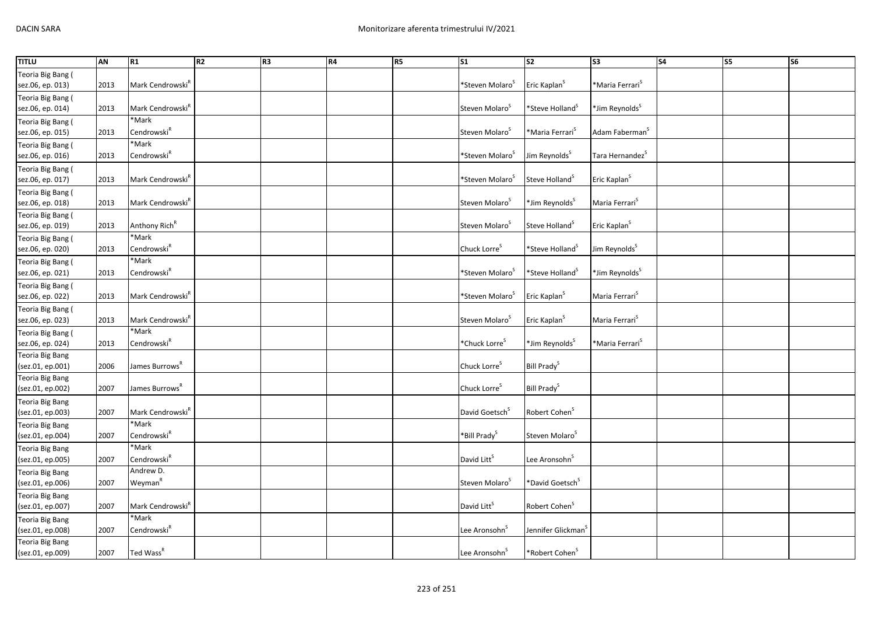| <b>TITLU</b>      | AN   | R1                           | R2 | R3 | R4 | R5 | $\sqrt{51}$                    | $\overline{\text{S2}}$         | s <sub>3</sub>              | $\overline{\phantom{a}}$ S4 | $\overline{\text{S}}$ | <b>S6</b> |
|-------------------|------|------------------------------|----|----|----|----|--------------------------------|--------------------------------|-----------------------------|-----------------------------|-----------------------|-----------|
| Teoria Big Bang ( |      |                              |    |    |    |    |                                |                                |                             |                             |                       |           |
| sez.06, ep. 013)  | 2013 | Mark Cendrowski <sup>k</sup> |    |    |    |    | *Steven Molaro <sup>5</sup>    | Eric Kaplan <sup>S</sup>       | *Maria Ferrari <sup>s</sup> |                             |                       |           |
| Teoria Big Bang ( |      |                              |    |    |    |    |                                |                                |                             |                             |                       |           |
| sez.06, ep. 014)  | 2013 | Mark Cendrowski <sup>R</sup> |    |    |    |    | Steven Molaro <sup>5</sup>     | *Steve Holland <sup>S</sup>    | *Jim Reynolds <sup>s</sup>  |                             |                       |           |
| Teoria Big Bang ( |      | *Mark                        |    |    |    |    |                                |                                |                             |                             |                       |           |
| sez.06, ep. 015)  | 2013 | Cendrowski <sup>R</sup>      |    |    |    |    | Steven Molaro <sup>5</sup>     | *Maria Ferrari <sup>5</sup>    | Adam Faberman <sup>S</sup>  |                             |                       |           |
| Teoria Big Bang ( |      | *Mark                        |    |    |    |    |                                |                                |                             |                             |                       |           |
| sez.06, ep. 016)  | 2013 | Cendrowski <sup>R</sup>      |    |    |    |    | *Steven Molaro <sup>5</sup>    | Jim Reynolds <sup>S</sup>      | Tara Hernandez <sup>S</sup> |                             |                       |           |
| Teoria Big Bang ( |      |                              |    |    |    |    |                                |                                |                             |                             |                       |           |
| sez.06, ep. 017)  | 2013 | Mark Cendrowski <sup>R</sup> |    |    |    |    | *Steven Molaro <sup>&gt;</sup> | Steve Holland <sup>&gt;</sup>  | Eric Kaplan <sup>S</sup>    |                             |                       |           |
| Teoria Big Bang ( |      |                              |    |    |    |    |                                |                                |                             |                             |                       |           |
| sez.06, ep. 018)  | 2013 | Mark Cendrowski <sup>k</sup> |    |    |    |    | Steven Molaro <sup>5</sup>     | *Jim Reynolds <sup>S</sup>     | Maria Ferrari <sup>S</sup>  |                             |                       |           |
| Teoria Big Bang ( |      |                              |    |    |    |    |                                |                                |                             |                             |                       |           |
| sez.06, ep. 019)  | 2013 | Anthony Rich <sup>R</sup>    |    |    |    |    | Steven Molaro <sup>5</sup>     | Steve Holland <sup>5</sup>     | Eric Kaplan <sup>5</sup>    |                             |                       |           |
| Teoria Big Bang ( |      | *Mark                        |    |    |    |    |                                |                                |                             |                             |                       |           |
| sez.06, ep. 020)  | 2013 | Cendrowski <sup>R</sup>      |    |    |    |    | Chuck Lorre <sup>S</sup>       | *Steve Holland <sup>S</sup>    | Jim Reynolds <sup>S</sup>   |                             |                       |           |
| Teoria Big Bang ( |      | *Mark                        |    |    |    |    |                                |                                |                             |                             |                       |           |
| sez.06, ep. 021)  | 2013 | Cendrowski <sup>R</sup>      |    |    |    |    | *Steven Molaro <sup>5</sup>    | *Steve Holland <sup>5</sup>    | *Jim Reynolds <sup>s</sup>  |                             |                       |           |
| Teoria Big Bang ( |      |                              |    |    |    |    |                                |                                |                             |                             |                       |           |
| sez.06, ep. 022)  | 2013 | Mark Cendrowski <sup>R</sup> |    |    |    |    | *Steven Molaro <sup>5</sup>    | Eric Kaplan <sup>S</sup>       | Maria Ferrari <sup>5</sup>  |                             |                       |           |
| Teoria Big Bang ( |      |                              |    |    |    |    |                                |                                |                             |                             |                       |           |
| sez.06, ep. 023)  | 2013 | Mark Cendrowski <sup>R</sup> |    |    |    |    | Steven Molaro <sup>5</sup>     | Eric Kaplan <sup>S</sup>       | Maria Ferrari <sup>S</sup>  |                             |                       |           |
| Teoria Big Bang ( |      | *Mark                        |    |    |    |    |                                |                                |                             |                             |                       |           |
| sez.06, ep. 024)  | 2013 | Cendrowski <sup>R</sup>      |    |    |    |    | *Chuck Lorre <sup>S</sup>      | *Jim Reynolds <sup>S</sup>     | *Maria Ferrari <sup>s</sup> |                             |                       |           |
| Teoria Big Bang   |      |                              |    |    |    |    |                                |                                |                             |                             |                       |           |
| (sez.01, ep.001)  | 2006 | James Burrows <sup>R</sup>   |    |    |    |    | Chuck Lorre <sup>S</sup>       | Bill Prady <sup>S</sup>        |                             |                             |                       |           |
| Teoria Big Bang   |      |                              |    |    |    |    |                                |                                |                             |                             |                       |           |
| (sez.01, ep.002)  | 2007 | James Burrows <sup>K</sup>   |    |    |    |    | Chuck Lorre <sup>S</sup>       | Bill Prady <sup>S</sup>        |                             |                             |                       |           |
| Teoria Big Bang   |      |                              |    |    |    |    |                                |                                |                             |                             |                       |           |
| (sez.01, ep.003)  | 2007 | Mark Cendrowski <sup>R</sup> |    |    |    |    | David Goetsch <sup>S</sup>     | Robert Cohen <sup>S</sup>      |                             |                             |                       |           |
| Teoria Big Bang   |      | *Mark                        |    |    |    |    |                                |                                |                             |                             |                       |           |
| (sez.01, ep.004)  | 2007 | Cendrowski <sup>R</sup>      |    |    |    |    | *Bill Prady <sup>S</sup>       | Steven Molaro <sup>S</sup>     |                             |                             |                       |           |
| Teoria Big Bang   |      | *Mark                        |    |    |    |    |                                |                                |                             |                             |                       |           |
| (sez.01, ep.005)  | 2007 | Cendrowski <sup>R</sup>      |    |    |    |    | David Litt <sup>S</sup>        | Lee Aronsohn <sup>S</sup>      |                             |                             |                       |           |
| Teoria Big Bang   |      | Andrew D.                    |    |    |    |    |                                |                                |                             |                             |                       |           |
| (sez.01, ep.006)  | 2007 | Weyman <sup>R</sup>          |    |    |    |    | Steven Molaro <sup>5</sup>     | *David Goetsch <sup>S</sup>    |                             |                             |                       |           |
| Teoria Big Bang   |      |                              |    |    |    |    |                                |                                |                             |                             |                       |           |
| (sez.01, ep.007)  | 2007 | Mark Cendrowski <sup>R</sup> |    |    |    |    | David Litt <sup>S</sup>        | Robert Cohen <sup>S</sup>      |                             |                             |                       |           |
| Teoria Big Bang   |      | *Mark                        |    |    |    |    |                                |                                |                             |                             |                       |           |
| (sez.01, ep.008)  | 2007 | Cendrowski <sup>R</sup>      |    |    |    |    | Lee Aronsohn <sup>5</sup>      | Jennifer Glickman <sup>5</sup> |                             |                             |                       |           |
| Teoria Big Bang   |      |                              |    |    |    |    |                                |                                |                             |                             |                       |           |
| (sez.01, ep.009)  | 2007 | Ted Wass <sup>R</sup>        |    |    |    |    | Lee Aronsohn <sup>5</sup>      | *Robert Cohen <sup>5</sup>     |                             |                             |                       |           |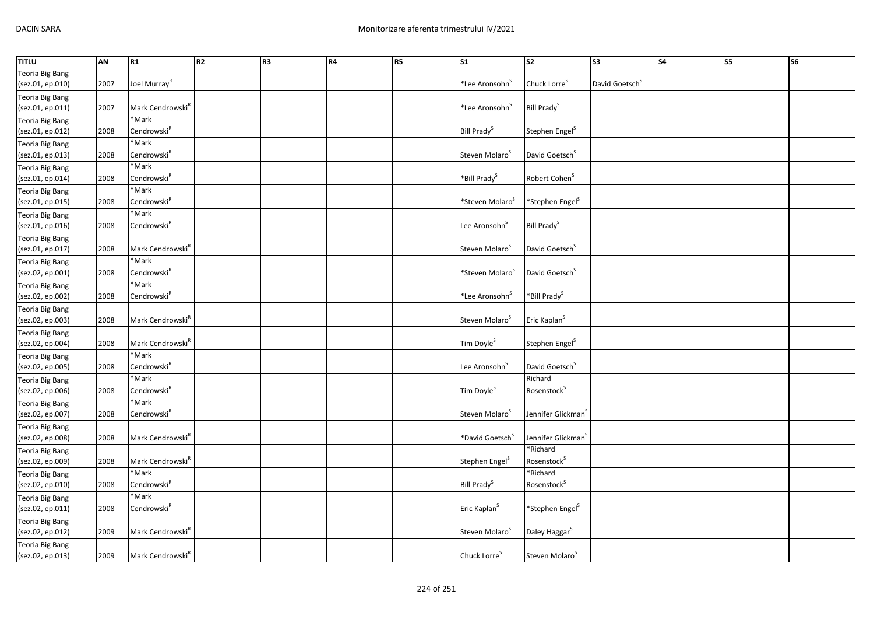| <b>TITLU</b>           | <b>AN</b> | R1                           | R <sub>2</sub> | R <sub>3</sub> | R4 | R5 | $\overline{\text{S1}}$        | $\overline{\text{S2}}$         | $\overline{\text{S3}}$     | S <sub>4</sub> | S5 | <b>S6</b> |
|------------------------|-----------|------------------------------|----------------|----------------|----|----|-------------------------------|--------------------------------|----------------------------|----------------|----|-----------|
| Teoria Big Bang        |           |                              |                |                |    |    |                               |                                |                            |                |    |           |
| (sez.01, ep.010)       | 2007      | Joel Murray <sup>R</sup>     |                |                |    |    | *Lee Aronsohn <sup>&gt;</sup> | Chuck Lorre <sup>S</sup>       | David Goetsch <sup>S</sup> |                |    |           |
| <b>Teoria Big Bang</b> |           |                              |                |                |    |    |                               |                                |                            |                |    |           |
| (sez.01, ep.011)       | 2007      | Mark Cendrowski <sup>R</sup> |                |                |    |    | *Lee Aronsohn <sup>5</sup>    | Bill Prady <sup>S</sup>        |                            |                |    |           |
| <b>Teoria Big Bang</b> |           | *Mark                        |                |                |    |    |                               |                                |                            |                |    |           |
| (sez.01, ep.012)       | 2008      | Cendrowski <sup>R</sup>      |                |                |    |    | Bill Prady <sup>5</sup>       | Stephen Engel <sup>S</sup>     |                            |                |    |           |
| Teoria Big Bang        |           | *Mark                        |                |                |    |    |                               |                                |                            |                |    |           |
| (sez.01, ep.013)       | 2008      | Cendrowski <sup>R</sup>      |                |                |    |    | Steven Molaro <sup>3</sup>    | David Goetsch <sup>S</sup>     |                            |                |    |           |
| Teoria Big Bang        |           | *Mark                        |                |                |    |    |                               |                                |                            |                |    |           |
| (sez.01, ep.014)       | 2008      | Cendrowski <sup>R</sup>      |                |                |    |    | *Bill Prady <sup>S</sup>      | Robert Cohen <sup>S</sup>      |                            |                |    |           |
| Teoria Big Bang        |           | *Mark                        |                |                |    |    |                               |                                |                            |                |    |           |
| (sez.01, ep.015)       | 2008      | Cendrowski <sup>R</sup>      |                |                |    |    | *Steven Molaro <sup>s</sup>   | *Stephen Engel <sup>S</sup>    |                            |                |    |           |
| Teoria Big Bang        |           | *Mark                        |                |                |    |    |                               |                                |                            |                |    |           |
| (sez.01, ep.016)       | 2008      | Cendrowski <sup>R</sup>      |                |                |    |    | Lee Aronsohn <sup>S</sup>     | Bill Prady <sup>S</sup>        |                            |                |    |           |
| Teoria Big Bang        |           |                              |                |                |    |    |                               |                                |                            |                |    |           |
| (sez.01, ep.017)       | 2008      | Mark Cendrowski <sup>R</sup> |                |                |    |    | Steven Molaro <sup>5</sup>    | David Goetsch <sup>S</sup>     |                            |                |    |           |
| Teoria Big Bang        |           | *Mark                        |                |                |    |    |                               |                                |                            |                |    |           |
| (sez.02, ep.001)       | 2008      | Cendrowski <sup>R</sup>      |                |                |    |    | *Steven Molaro <sup>5</sup>   | David Goetsch <sup>S</sup>     |                            |                |    |           |
| Teoria Big Bang        |           | *Mark                        |                |                |    |    |                               |                                |                            |                |    |           |
| (sez.02, ep.002)       | 2008      | Cendrowski <sup>R</sup>      |                |                |    |    | *Lee Aronsohn <sup>&gt;</sup> | *Bill Prady <sup>S</sup>       |                            |                |    |           |
| <b>Teoria Big Bang</b> |           |                              |                |                |    |    |                               |                                |                            |                |    |           |
| (sez.02, ep.003)       | 2008      | Mark Cendrowski <sup>K</sup> |                |                |    |    | Steven Molaro <sup>S</sup>    | Eric Kaplan <sup>S</sup>       |                            |                |    |           |
| Teoria Big Bang        |           |                              |                |                |    |    |                               |                                |                            |                |    |           |
| (sez.02, ep.004)       | 2008      | Mark Cendrowski <sup>R</sup> |                |                |    |    | Tim Doyle <sup>S</sup>        | Stephen Engel <sup>S</sup>     |                            |                |    |           |
| <b>Teoria Big Bang</b> |           | *Mark                        |                |                |    |    |                               |                                |                            |                |    |           |
| (sez.02, ep.005)       | 2008      | Cendrowski $^R$              |                |                |    |    | Lee Aronsohn <sup>S</sup>     | David Goetsch <sup>S</sup>     |                            |                |    |           |
| Teoria Big Bang        |           | *Mark                        |                |                |    |    |                               | Richard                        |                            |                |    |           |
| (sez.02, ep.006)       | 2008      | Cendrowski <sup>R</sup>      |                |                |    |    | Tim Doyle <sup>S</sup>        | Rosenstock <sup>S</sup>        |                            |                |    |           |
| Teoria Big Bang        |           | *Mark                        |                |                |    |    |                               |                                |                            |                |    |           |
| (sez.02, ep.007)       | 2008      | Cendrowski <sup>R</sup>      |                |                |    |    | Steven Molaro <sup>S</sup>    | Jennifer Glickman <sup>S</sup> |                            |                |    |           |
| Teoria Big Bang        |           |                              |                |                |    |    |                               |                                |                            |                |    |           |
| (sez.02, ep.008)       | 2008      | Mark Cendrowski <sup>R</sup> |                |                |    |    | *David Goetsch <sup>S</sup>   | Jennifer Glickman <sup>S</sup> |                            |                |    |           |
| <b>Teoria Big Bang</b> |           |                              |                |                |    |    |                               | *Richard                       |                            |                |    |           |
| (sez.02, ep.009)       | 2008      | Mark Cendrowski <sup>R</sup> |                |                |    |    | Stephen Engel <sup>S</sup>    | Rosenstock <sup>S</sup>        |                            |                |    |           |
| <b>Teoria Big Bang</b> |           | *Mark                        |                |                |    |    |                               | *Richard                       |                            |                |    |           |
| (sez.02, ep.010)       | 2008      | Cendrowski <sup>R</sup>      |                |                |    |    | Bill Prady <sup>S</sup>       | Rosenstock <sup>S</sup>        |                            |                |    |           |
| <b>Teoria Big Bang</b> |           | *Mark                        |                |                |    |    |                               |                                |                            |                |    |           |
| (sez.02, ep.011)       | 2008      | Cendrowski <sup>R</sup>      |                |                |    |    | Eric Kaplan <sup>S</sup>      | *Stephen Engel <sup>S</sup>    |                            |                |    |           |
| Teoria Big Bang        |           |                              |                |                |    |    |                               |                                |                            |                |    |           |
| (sez.02, ep.012)       | 2009      | Mark Cendrowski <sup>R</sup> |                |                |    |    | Steven Molaro <sup>3</sup>    | Daley Haggar <sup>S</sup>      |                            |                |    |           |
| <b>Teoria Big Bang</b> |           |                              |                |                |    |    |                               |                                |                            |                |    |           |
| (sez.02, ep.013)       | 2009      | Mark Cendrowski <sup>R</sup> |                |                |    |    | Chuck Lorre <sup>S</sup>      | Steven Molaro <sup>S</sup>     |                            |                |    |           |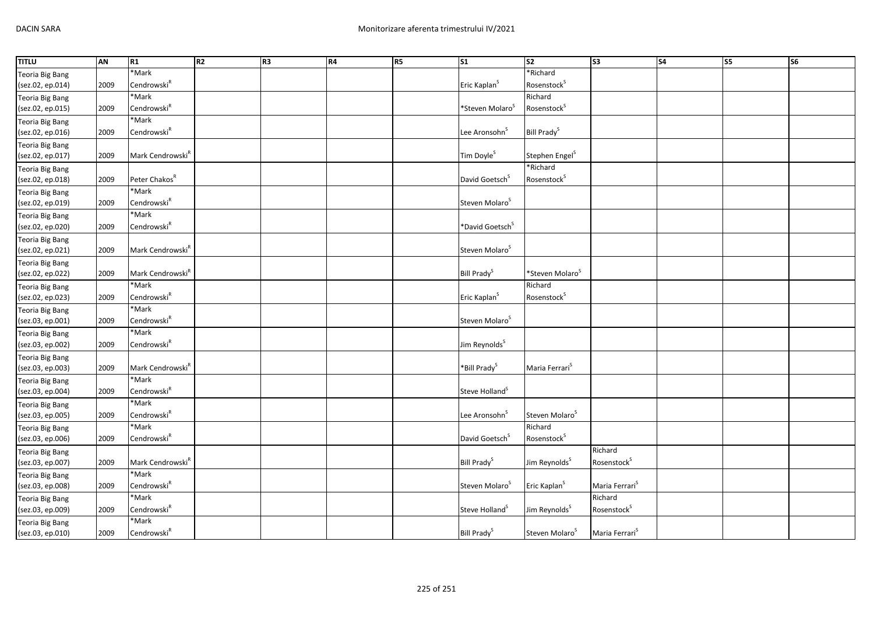| <b>TITLU</b>           | <b>AN</b> | R1                           | R <sub>2</sub> | R <sub>3</sub> | <b>R4</b> | R5 | S <sub>1</sub>              | S <sub>2</sub>              | S <sub>3</sub>             | <b>S4</b> | <b>S5</b> | $\overline{\text{S6}}$ |
|------------------------|-----------|------------------------------|----------------|----------------|-----------|----|-----------------------------|-----------------------------|----------------------------|-----------|-----------|------------------------|
| <b>Teoria Big Bang</b> |           | *Mark                        |                |                |           |    |                             | *Richard                    |                            |           |           |                        |
| (sez.02, ep.014)       | 2009      | Cendrowski <sup>R</sup>      |                |                |           |    | Eric Kaplan <sup>S</sup>    | Rosenstock <sup>S</sup>     |                            |           |           |                        |
| <b>Teoria Big Bang</b> |           | *Mark                        |                |                |           |    |                             | Richard                     |                            |           |           |                        |
| (sez.02, ep.015)       | 2009      | Cendrowski <sup>R</sup>      |                |                |           |    | *Steven Molaro <sup>5</sup> | Rosenstock <sup>S</sup>     |                            |           |           |                        |
| <b>Teoria Big Bang</b> |           | *Mark                        |                |                |           |    |                             |                             |                            |           |           |                        |
| (sez.02, ep.016)       | 2009      | Cendrowski <sup>R</sup>      |                |                |           |    | Lee Aronsohn <sup>S</sup>   | Bill Prady <sup>S</sup>     |                            |           |           |                        |
| <b>Teoria Big Bang</b> |           |                              |                |                |           |    |                             |                             |                            |           |           |                        |
| (sez.02, ep.017)       | 2009      | Mark Cendrowski <sup>R</sup> |                |                |           |    | Tim Doyle <sup>S</sup>      | Stephen Engel <sup>S</sup>  |                            |           |           |                        |
| <b>Teoria Big Bang</b> |           |                              |                |                |           |    |                             | *Richard                    |                            |           |           |                        |
| (sez.02, ep.018)       | 2009      | Peter Chakos <sup>R</sup>    |                |                |           |    | David Goetsch <sup>S</sup>  | Rosenstock <sup>S</sup>     |                            |           |           |                        |
| <b>Teoria Big Bang</b> |           | *Mark                        |                |                |           |    |                             |                             |                            |           |           |                        |
| (sez.02, ep.019)       | 2009      | Cendrowski <sup>R</sup>      |                |                |           |    | Steven Molaro <sup>S</sup>  |                             |                            |           |           |                        |
| Teoria Big Bang        |           | *Mark                        |                |                |           |    |                             |                             |                            |           |           |                        |
| (sez.02, ep.020)       | 2009      | Cendrowski <sup>R</sup>      |                |                |           |    | *David Goetsch <sup>S</sup> |                             |                            |           |           |                        |
| <b>Teoria Big Bang</b> |           |                              |                |                |           |    |                             |                             |                            |           |           |                        |
| (sez.02, ep.021)       | 2009      | Mark Cendrowski <sup>R</sup> |                |                |           |    | Steven Molaro <sup>S</sup>  |                             |                            |           |           |                        |
| <b>Teoria Big Bang</b> |           |                              |                |                |           |    |                             |                             |                            |           |           |                        |
| (sez.02, ep.022)       | 2009      | Mark Cendrowski <sup>R</sup> |                |                |           |    | Bill Prady <sup>S</sup>     | *Steven Molaro <sup>S</sup> |                            |           |           |                        |
| <b>Teoria Big Bang</b> |           | *Mark                        |                |                |           |    |                             | Richard                     |                            |           |           |                        |
| (sez.02, ep.023)       | 2009      | Cendrowski <sup>R</sup>      |                |                |           |    | Eric Kaplan <sup>S</sup>    | Rosenstock <sup>S</sup>     |                            |           |           |                        |
| <b>Teoria Big Bang</b> |           | *Mark                        |                |                |           |    |                             |                             |                            |           |           |                        |
| (sez.03, ep.001)       | 2009      | Cendrowski <sup>R</sup>      |                |                |           |    | Steven Molaro <sup>S</sup>  |                             |                            |           |           |                        |
| <b>Teoria Big Bang</b> |           | *Mark                        |                |                |           |    |                             |                             |                            |           |           |                        |
| (sez.03, ep.002)       | 2009      | Cendrowski <sup>R</sup>      |                |                |           |    | Jim Reynolds <sup>S</sup>   |                             |                            |           |           |                        |
| Teoria Big Bang        |           |                              |                |                |           |    |                             |                             |                            |           |           |                        |
| (sez.03, ep.003)       | 2009      | Mark Cendrowski <sup>R</sup> |                |                |           |    | *Bill Prady <sup>S</sup>    | Maria Ferrari <sup>S</sup>  |                            |           |           |                        |
| <b>Teoria Big Bang</b> |           | *Mark                        |                |                |           |    |                             |                             |                            |           |           |                        |
| (sez.03, ep.004)       | 2009      | Cendrowski <sup>R</sup>      |                |                |           |    | Steve Holland <sup>S</sup>  |                             |                            |           |           |                        |
| <b>Teoria Big Bang</b> |           | *Mark                        |                |                |           |    |                             |                             |                            |           |           |                        |
| (sez.03, ep.005)       | 2009      | Cendrowski <sup>R</sup>      |                |                |           |    | Lee Aronsohn <sup>S</sup>   | Steven Molaro <sup>S</sup>  |                            |           |           |                        |
| <b>Teoria Big Bang</b> |           | *Mark                        |                |                |           |    |                             | Richard                     |                            |           |           |                        |
| (sez.03, ep.006)       | 2009      | Cendrowski <sup>R</sup>      |                |                |           |    | David Goetsch <sup>S</sup>  | Rosenstock <sup>5</sup>     |                            |           |           |                        |
| Teoria Big Bang        |           |                              |                |                |           |    |                             |                             | Richard                    |           |           |                        |
| (sez.03, ep.007)       | 2009      | Mark Cendrowski <sup>R</sup> |                |                |           |    | Bill Prady <sup>S</sup>     | Jim Reynolds <sup>S</sup>   | Rosenstock <sup>S</sup>    |           |           |                        |
| <b>Teoria Big Bang</b> |           | *Mark                        |                |                |           |    |                             |                             |                            |           |           |                        |
| (sez.03, ep.008)       | 2009      | Cendrowski <sup>R</sup>      |                |                |           |    | Steven Molaro <sup>S</sup>  | Eric Kaplan <sup>S</sup>    | Maria Ferrari <sup>S</sup> |           |           |                        |
| <b>Teoria Big Bang</b> |           | *Mark                        |                |                |           |    |                             |                             | Richard                    |           |           |                        |
| (sez.03, ep.009)       | 2009      | Cendrowski <sup>R</sup>      |                |                |           |    | Steve Holland <sup>S</sup>  | Jim Reynolds <sup>S</sup>   | Rosenstock <sup>S</sup>    |           |           |                        |
| <b>Teoria Big Bang</b> |           | *Mark                        |                |                |           |    |                             |                             |                            |           |           |                        |
| (sez.03, ep.010)       | 2009      | Cendrowski <sup>R</sup>      |                |                |           |    | Bill Prady <sup>S</sup>     | Steven Molaro <sup>S</sup>  | Maria Ferrari <sup>S</sup> |           |           |                        |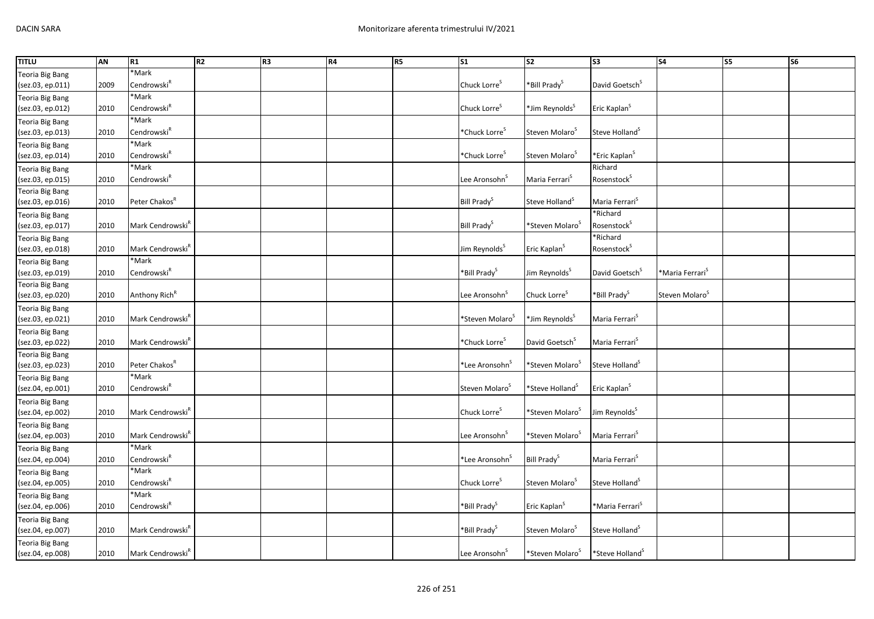| <b>TITLU</b>           | AN   | R1                           | R <sub>2</sub> | R <sub>3</sub> | R4 | R <sub>5</sub> | S <sub>1</sub>              | S <sub>2</sub>              | S3                          | <b>S4</b>                   | <b>S5</b> | <b>S6</b> |
|------------------------|------|------------------------------|----------------|----------------|----|----------------|-----------------------------|-----------------------------|-----------------------------|-----------------------------|-----------|-----------|
| <b>Teoria Big Bang</b> |      | *Mark                        |                |                |    |                |                             |                             |                             |                             |           |           |
| (sez.03, ep.011)       | 2009 | Cendrowski <sup>R</sup>      |                |                |    |                | Chuck Lorre <sup>5</sup>    | *Bill Prady <sup>S</sup>    | David Goetsch <sup>S</sup>  |                             |           |           |
| <b>Teoria Big Bang</b> |      | *Mark                        |                |                |    |                |                             |                             |                             |                             |           |           |
| (sez.03, ep.012)       | 2010 | Cendrowski $^{\mathsf{R}}$   |                |                |    |                | Chuck Lorre <sup>S</sup>    | *Jim Reynolds <sup>S</sup>  | Eric Kaplan <sup>S</sup>    |                             |           |           |
| <b>Teoria Big Bang</b> |      | *Mark                        |                |                |    |                |                             |                             |                             |                             |           |           |
| (sez.03, ep.013)       | 2010 | Cendrowski <sup>R</sup>      |                |                |    |                | *Chuck Lorre <sup>S</sup>   | Steven Molaro <sup>5</sup>  | Steve Holland <sup>S</sup>  |                             |           |           |
| <b>Teoria Big Bang</b> |      | *Mark                        |                |                |    |                |                             |                             |                             |                             |           |           |
| (sez.03, ep.014)       | 2010 | Cendrowski $^{\mathsf{R}}$   |                |                |    |                | *Chuck Lorre <sup>5</sup>   | Steven Molaro <sup>S</sup>  | *Eric Kaplan <sup>S</sup>   |                             |           |           |
| <b>Teoria Big Bang</b> |      | *Mark                        |                |                |    |                |                             |                             | Richard                     |                             |           |           |
| (sez.03, ep.015)       | 2010 | Cendrowski <sup>R</sup>      |                |                |    |                | Lee Aronsohn <sup>S</sup>   | Maria Ferrari <sup>S</sup>  | Rosenstock <sup>S</sup>     |                             |           |           |
| Teoria Big Bang        |      |                              |                |                |    |                |                             |                             |                             |                             |           |           |
| (sez.03, ep.016)       | 2010 | Peter Chakos <sup>R</sup>    |                |                |    |                | Bill Prady <sup>S</sup>     | Steve Holland <sup>5</sup>  | Maria Ferrari <sup>5</sup>  |                             |           |           |
| <b>Teoria Big Bang</b> |      |                              |                |                |    |                |                             |                             | *Richard                    |                             |           |           |
| (sez.03, ep.017)       | 2010 | Mark Cendrowski <sup>R</sup> |                |                |    |                | Bill Prady <sup>S</sup>     | *Steven Molaro <sup>s</sup> | Rosenstock <sup>S</sup>     |                             |           |           |
| Teoria Big Bang        |      |                              |                |                |    |                |                             |                             | *Richard                    |                             |           |           |
| (sez.03, ep.018)       | 2010 | Mark Cendrowski <sup>R</sup> |                |                |    |                | Jim Reynolds <sup>5</sup>   | Eric Kaplan <sup>S</sup>    | Rosenstock <sup>S</sup>     |                             |           |           |
| Teoria Big Bang        |      | *Mark                        |                |                |    |                |                             |                             |                             |                             |           |           |
| (sez.03, ep.019)       | 2010 | Cendrowski <sup>R</sup>      |                |                |    |                | *Bill Prady <sup>S</sup>    | Jim Reynolds <sup>S</sup>   | David Goetsch <sup>S</sup>  | *Maria Ferrari <sup>s</sup> |           |           |
| <b>Teoria Big Bang</b> |      |                              |                |                |    |                |                             |                             |                             |                             |           |           |
| (sez.03, ep.020)       | 2010 | Anthony Rich <sup>R</sup>    |                |                |    |                | Lee Aronsohn <sup>5</sup>   | Chuck Lorre <sup>S</sup>    | *Bill Prady <sup>S</sup>    | Steven Molaro <sup>5</sup>  |           |           |
| <b>Teoria Big Bang</b> |      |                              |                |                |    |                |                             |                             |                             |                             |           |           |
| (sez.03, ep.021)       | 2010 | Mark Cendrowski <sup>R</sup> |                |                |    |                | *Steven Molaro <sup>5</sup> | *Jim Reynolds <sup>5</sup>  | Maria Ferrari <sup>S</sup>  |                             |           |           |
| <b>Teoria Big Bang</b> |      |                              |                |                |    |                |                             |                             |                             |                             |           |           |
| (sez.03, ep.022)       | 2010 | Mark Cendrowski <sup>R</sup> |                |                |    |                | *Chuck Lorre <sup>s</sup>   | David Goetsch <sup>5</sup>  | Maria Ferrari <sup>S</sup>  |                             |           |           |
| <b>Teoria Big Bang</b> |      |                              |                |                |    |                |                             |                             |                             |                             |           |           |
| (sez.03, ep.023)       | 2010 | Peter Chakos <sup>R</sup>    |                |                |    |                | *Lee Aronsohn <sup>S</sup>  | *Steven Molaro <sup>s</sup> | Steve Holland <sup>S</sup>  |                             |           |           |
| <b>Teoria Big Bang</b> |      | *Mark                        |                |                |    |                |                             |                             |                             |                             |           |           |
| (sez.04, ep.001)       | 2010 | Cendrowski <sup>R</sup>      |                |                |    |                | Steven Molaro <sup>5</sup>  | *Steve Holland <sup>5</sup> | Eric Kaplan <sup>S</sup>    |                             |           |           |
| <b>Teoria Big Bang</b> |      |                              |                |                |    |                |                             |                             |                             |                             |           |           |
| (sez.04, ep.002)       | 2010 | Mark Cendrowski <sup>R</sup> |                |                |    |                | Chuck Lorre <sup>S</sup>    | *Steven Molaro <sup>S</sup> | Jim Reynolds <sup>S</sup>   |                             |           |           |
| <b>Teoria Big Bang</b> |      |                              |                |                |    |                |                             |                             |                             |                             |           |           |
| (sez.04, ep.003)       | 2010 | Mark Cendrowski <sup>R</sup> |                |                |    |                | Lee Aronsohn <sup>5</sup>   | *Steven Molaro <sup>s</sup> | Maria Ferrari <sup>S</sup>  |                             |           |           |
| <b>Teoria Big Bang</b> |      | *Mark                        |                |                |    |                |                             |                             |                             |                             |           |           |
| (sez.04, ep.004)       | 2010 | Cendrowski $^R$              |                |                |    |                | *Lee Aronsohn <sup>5</sup>  | Bill Prady <sup>S</sup>     | Maria Ferrari <sup>S</sup>  |                             |           |           |
| <b>Teoria Big Bang</b> |      | *Mark                        |                |                |    |                |                             |                             |                             |                             |           |           |
| (sez.04, ep.005)       | 2010 | Cendrowski <sup>R</sup>      |                |                |    |                | Chuck Lorre <sup>5</sup>    | Steven Molaro <sup>3</sup>  | Steve Holland <sup>S</sup>  |                             |           |           |
| <b>Teoria Big Bang</b> |      | *Mark                        |                |                |    |                |                             |                             |                             |                             |           |           |
| (sez.04, ep.006)       | 2010 | Cendrowski <sup>R</sup>      |                |                |    |                | *Bill Prady <sup>S</sup>    | Eric Kaplan <sup>S</sup>    | *Maria Ferrari <sup>S</sup> |                             |           |           |
| <b>Teoria Big Bang</b> |      |                              |                |                |    |                |                             |                             |                             |                             |           |           |
| (sez.04, ep.007)       | 2010 | Mark Cendrowski <sup>R</sup> |                |                |    |                | *Bill Prady <sup>S</sup>    | Steven Molaro <sup>5</sup>  | Steve Holland <sup>S</sup>  |                             |           |           |
| <b>Teoria Big Bang</b> |      |                              |                |                |    |                |                             |                             |                             |                             |           |           |
| (sez.04, ep.008)       | 2010 | Mark Cendrowski <sup>R</sup> |                |                |    |                | Lee Aronsohn <sup>5</sup>   | *Steven Molaro <sup>S</sup> | *Steve Holland <sup>S</sup> |                             |           |           |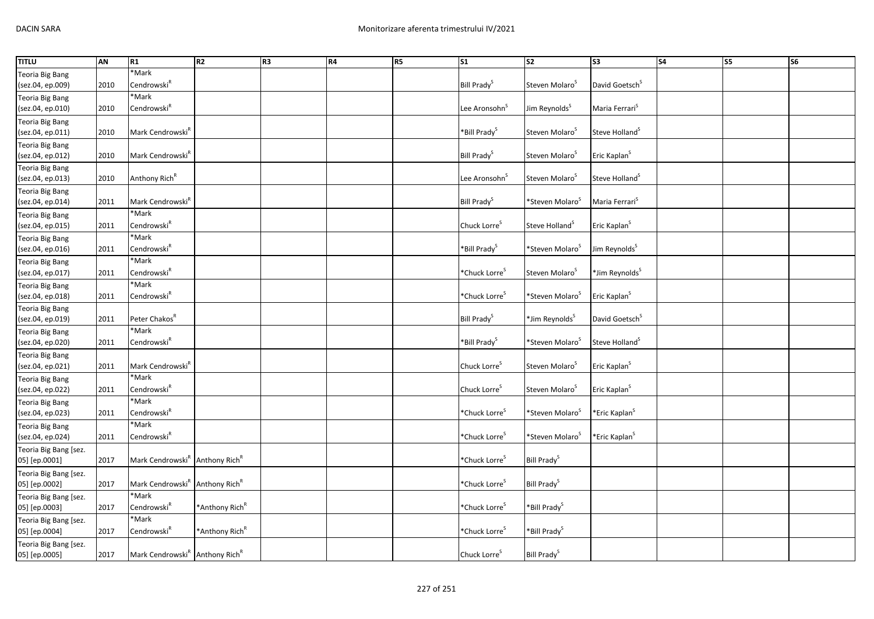| <b>TITLU</b>           | <b>AN</b> | R1                                                     | R <sub>2</sub>             | R <sub>3</sub> | R4 | R <sub>5</sub> | $\overline{\text{S1}}$    | <b>S2</b>                   | 33                         | <b>S4</b> | S <sub>5</sub> | S6 |
|------------------------|-----------|--------------------------------------------------------|----------------------------|----------------|----|----------------|---------------------------|-----------------------------|----------------------------|-----------|----------------|----|
| Teoria Big Bang        |           | *Mark                                                  |                            |                |    |                |                           |                             |                            |           |                |    |
| (sez.04, ep.009)       | 2010      | Cendrowski <sup>R</sup>                                |                            |                |    |                | Bill Prady <sup>S</sup>   | Steven Molaro <sup>s</sup>  | David Goetsch <sup>S</sup> |           |                |    |
| Teoria Big Bang        |           | *Mark                                                  |                            |                |    |                |                           |                             |                            |           |                |    |
| (sez.04, ep.010)       | 2010      | Cendrowski <sup>R</sup>                                |                            |                |    |                | Lee Aronsohn <sup>5</sup> | Jim Reynolds <sup>S</sup>   | Maria Ferrari <sup>S</sup> |           |                |    |
| Teoria Big Bang        |           |                                                        |                            |                |    |                |                           |                             |                            |           |                |    |
| (sez.04, ep.011)       | 2010      | Mark Cendrowski <sup>R</sup>                           |                            |                |    |                | *Bill Prady <sup>S</sup>  | Steven Molaro <sup>5</sup>  | Steve Holland <sup>S</sup> |           |                |    |
| Teoria Big Bang        |           |                                                        |                            |                |    |                |                           |                             |                            |           |                |    |
| (sez.04, ep.012)       | 2010      | Mark Cendrowski <sup>R</sup>                           |                            |                |    |                | Bill Prady <sup>S</sup>   | Steven Molaro <sup>5</sup>  | Eric Kaplan <sup>S</sup>   |           |                |    |
| <b>Teoria Big Bang</b> |           |                                                        |                            |                |    |                |                           |                             |                            |           |                |    |
| (sez.04, ep.013)       | 2010      | Anthony Rich <sup>R</sup>                              |                            |                |    |                | Lee Aronsohn <sup>5</sup> | Steven Molaro <sup>s</sup>  | Steve Holland <sup>S</sup> |           |                |    |
| Teoria Big Bang        |           |                                                        |                            |                |    |                |                           |                             |                            |           |                |    |
| (sez.04, ep.014)       | 2011      | Mark Cendrowski <sup>R</sup>                           |                            |                |    |                | Bill Prady <sup>S</sup>   | *Steven Molaro <sup>5</sup> | Maria Ferrari <sup>S</sup> |           |                |    |
| Teoria Big Bang        |           | *Mark                                                  |                            |                |    |                |                           |                             |                            |           |                |    |
| (sez.04, ep.015)       | 2011      | Cendrowski $^R$                                        |                            |                |    |                | Chuck Lorre <sup>S</sup>  | Steve Holland <sup>S</sup>  | Eric Kaplan <sup>S</sup>   |           |                |    |
| Teoria Big Bang        |           | *Mark                                                  |                            |                |    |                |                           |                             |                            |           |                |    |
| (sez.04, ep.016)       | 2011      | Cendrowski <sup>R</sup>                                |                            |                |    |                | *Bill Prady <sup>S</sup>  | *Steven Molaro <sup>5</sup> | Jim Reynolds <sup>S</sup>  |           |                |    |
| Teoria Big Bang        |           | *Mark                                                  |                            |                |    |                |                           |                             |                            |           |                |    |
| (sez.04, ep.017)       | 2011      | Cendrowski <sup>R</sup>                                |                            |                |    |                | *Chuck Lorre <sup>s</sup> | Steven Molaro <sup>3</sup>  | *Jim Reynolds <sup>S</sup> |           |                |    |
| Teoria Big Bang        |           | *Mark                                                  |                            |                |    |                |                           |                             |                            |           |                |    |
| (sez.04, ep.018)       | 2011      | Cendrowski <sup>R</sup>                                |                            |                |    |                | *Chuck Lorre <sup>s</sup> | *Steven Molaro <sup>5</sup> | Eric Kaplan <sup>S</sup>   |           |                |    |
| <b>Teoria Big Bang</b> |           |                                                        |                            |                |    |                |                           |                             |                            |           |                |    |
| (sez.04, ep.019)       | 2011      | Peter Chakos <sup>R</sup>                              |                            |                |    |                | Bill Prady <sup>S</sup>   | *Jim Reynolds <sup>S</sup>  | David Goetsch <sup>S</sup> |           |                |    |
| Teoria Big Bang        |           | *Mark                                                  |                            |                |    |                |                           |                             |                            |           |                |    |
| (sez.04, ep.020)       | 2011      | Cendrowski <sup>R</sup>                                |                            |                |    |                | *Bill Prady <sup>S</sup>  | *Steven Molaro <sup>S</sup> | Steve Holland <sup>S</sup> |           |                |    |
| Teoria Big Bang        |           |                                                        |                            |                |    |                |                           |                             |                            |           |                |    |
| (sez.04, ep.021)       | 2011      | Mark Cendrowski <sup>R</sup>                           |                            |                |    |                | Chuck Lorre <sup>S</sup>  | Steven Molaro <sup>5</sup>  | Eric Kaplan <sup>S</sup>   |           |                |    |
| <b>Teoria Big Bang</b> |           | *Mark                                                  |                            |                |    |                |                           |                             |                            |           |                |    |
| (sez.04, ep.022)       | 2011      | Cendrowski <sup>R</sup>                                |                            |                |    |                | Chuck Lorre <sup>5</sup>  | Steven Molaro <sup>5</sup>  | Eric Kaplan <sup>S</sup>   |           |                |    |
| <b>Teoria Big Bang</b> |           | *Mark                                                  |                            |                |    |                |                           |                             |                            |           |                |    |
| (sez.04, ep.023)       | 2011      | Cendrowski <sup>R</sup>                                |                            |                |    |                | *Chuck Lorre <sup>S</sup> | *Steven Molaro <sup>5</sup> | *Eric Kaplan <sup>S</sup>  |           |                |    |
| Teoria Big Bang        |           | *Mark                                                  |                            |                |    |                |                           |                             |                            |           |                |    |
| (sez.04, ep.024)       | 2011      | Cendrowski <sup>R</sup>                                |                            |                |    |                | *Chuck Lorre <sup>S</sup> | *Steven Molaro <sup>5</sup> | *Eric Kaplan <sup>S</sup>  |           |                |    |
| Teoria Big Bang [sez.  |           |                                                        |                            |                |    |                |                           |                             |                            |           |                |    |
| 05] [ep.0001]          | 2017      | Mark Cendrowski <sup>R</sup> Anthony Rich <sup>R</sup> |                            |                |    |                | *Chuck Lorre <sup>S</sup> | Bill Prady <sup>S</sup>     |                            |           |                |    |
| Teoria Big Bang [sez.  |           |                                                        |                            |                |    |                |                           |                             |                            |           |                |    |
| 05] [ep.0002]          | 2017      | Mark Cendrowski <sup>R</sup> Anthony Rich <sup>R</sup> |                            |                |    |                | *Chuck Lorre <sup>S</sup> | Bill Prady <sup>S</sup>     |                            |           |                |    |
| Teoria Big Bang [sez.  |           | *Mark                                                  |                            |                |    |                |                           |                             |                            |           |                |    |
| 05] [ep.0003]          | 2017      | Cendrowski $^R$                                        | *Anthony Rich <sup>R</sup> |                |    |                | *Chuck Lorre <sup>S</sup> | *Bill Prady <sup>S</sup>    |                            |           |                |    |
| Teoria Big Bang [sez.  |           | *Mark                                                  |                            |                |    |                |                           |                             |                            |           |                |    |
| 05] [ep.0004]          | 2017      | Cendrowski <sup>R</sup>                                | *Anthony Rich <sup>R</sup> |                |    |                | *Chuck Lorre <sup>5</sup> | *Bill Prady <sup>S</sup>    |                            |           |                |    |
| Teoria Big Bang [sez.  |           |                                                        |                            |                |    |                |                           |                             |                            |           |                |    |
| 05] [ep.0005]          | 2017      | Mark Cendrowski <sup>R</sup> Anthony Rich <sup>R</sup> |                            |                |    |                | Chuck Lorre <sup>S</sup>  | Bill Prady <sup>S</sup>     |                            |           |                |    |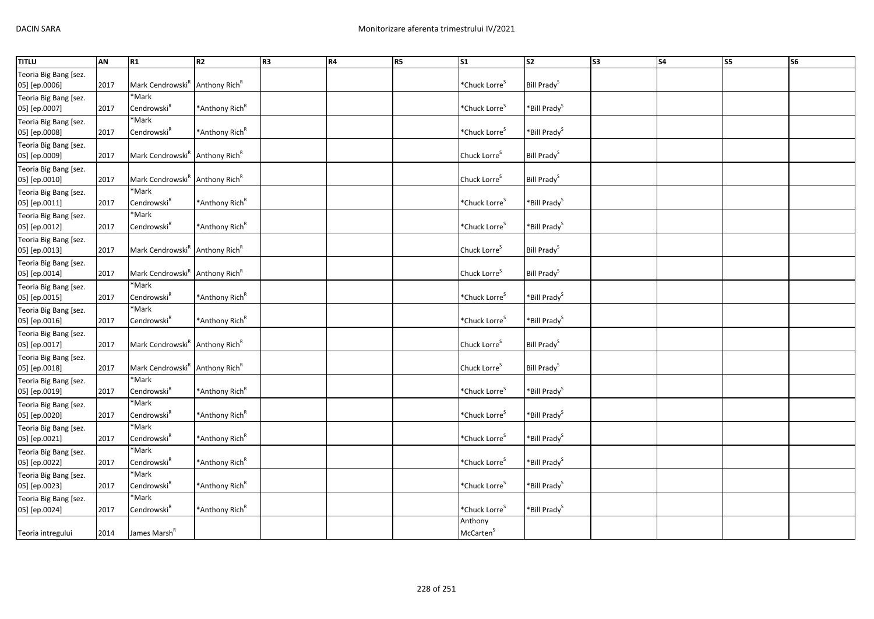| <b>TITLU</b>                           | <b>AN</b> | R1                                                     | R2                         | R <sub>3</sub> | <b>R4</b> | <b>R5</b> | $\overline{\text{S1}}$           | $\overline{\text{S2}}$   | S <sub>3</sub> | S <sub>4</sub> | $\overline{\text{S}}$ | $\overline{\text{S6}}$ |
|----------------------------------------|-----------|--------------------------------------------------------|----------------------------|----------------|-----------|-----------|----------------------------------|--------------------------|----------------|----------------|-----------------------|------------------------|
| Teoria Big Bang [sez.<br>05] [ep.0006] | 2017      | Mark Cendrowski <sup>R</sup> Anthony Rich <sup>R</sup> |                            |                |           |           | *Chuck Lorre <sup>S</sup>        | Bill Prady <sup>S</sup>  |                |                |                       |                        |
| Teoria Big Bang [sez.<br>05] [ep.0007] | 2017      | *Mark<br>Cendrowski <sup>R</sup>                       | *Anthony Rich <sup>R</sup> |                |           |           | *Chuck Lorre <sup>S</sup>        | *Bill Prady <sup>S</sup> |                |                |                       |                        |
| Teoria Big Bang [sez.<br>05] [ep.0008] | 2017      | *Mark<br>Cendrowski <sup>R</sup>                       | *Anthony Rich <sup>R</sup> |                |           |           | *Chuck Lorre <sup>S</sup>        | *Bill Prady <sup>S</sup> |                |                |                       |                        |
| Teoria Big Bang [sez.<br>05] [ep.0009] | 2017      | Mark Cendrowski <sup>R</sup> Anthony Rich <sup>R</sup> |                            |                |           |           | Chuck Lorre <sup>S</sup>         | Bill Prady <sup>S</sup>  |                |                |                       |                        |
| Teoria Big Bang [sez.<br>05] [ep.0010] | 2017      | Mark Cendrowski <sup>R</sup> Anthony Rich <sup>R</sup> |                            |                |           |           | Chuck Lorre <sup>S</sup>         | Bill Prady <sup>S</sup>  |                |                |                       |                        |
| Teoria Big Bang [sez.<br>05] [ep.0011] | 2017      | *Mark<br>Cendrowski <sup>R</sup>                       | *Anthony Rich <sup>R</sup> |                |           |           | *Chuck Lorre <sup>S</sup>        | *Bill Prady <sup>S</sup> |                |                |                       |                        |
| Teoria Big Bang [sez.<br>05] [ep.0012] | 2017      | *Mark<br>Cendrowski <sup>R</sup>                       | *Anthony Rich <sup>R</sup> |                |           |           | *Chuck Lorre <sup>s</sup>        | *Bill Prady <sup>S</sup> |                |                |                       |                        |
| Teoria Big Bang [sez.<br>05] [ep.0013] | 2017      | Mark Cendrowski <sup>R</sup> Anthony Rich <sup>R</sup> |                            |                |           |           | Chuck Lorre <sup>S</sup>         | Bill Prady <sup>S</sup>  |                |                |                       |                        |
| Teoria Big Bang [sez.<br>05] [ep.0014] | 2017      | Mark Cendrowski <sup>R</sup> Anthony Rich <sup>R</sup> |                            |                |           |           | Chuck Lorre <sup>S</sup>         | Bill Prady <sup>S</sup>  |                |                |                       |                        |
| Teoria Big Bang [sez.<br>05] [ep.0015] | 2017      | *Mark<br>Cendrowski <sup>R</sup>                       | *Anthony Rich <sup>R</sup> |                |           |           | *Chuck Lorre <sup>S</sup>        | *Bill Prady <sup>S</sup> |                |                |                       |                        |
| Teoria Big Bang [sez.<br>05] [ep.0016] | 2017      | *Mark<br>Cendrowski <sup>R</sup>                       | *Anthony Rich <sup>R</sup> |                |           |           | *Chuck Lorre <sup>S</sup>        | *Bill Prady <sup>S</sup> |                |                |                       |                        |
| Teoria Big Bang [sez.<br>05] [ep.0017] | 2017      | Mark Cendrowski <sup>R</sup> Anthony Rich <sup>R</sup> |                            |                |           |           | Chuck Lorre <sup>S</sup>         | Bill Prady <sup>S</sup>  |                |                |                       |                        |
| Teoria Big Bang [sez.<br>05] [ep.0018] | 2017      | Mark Cendrowski <sup>R</sup> Anthony Rich <sup>R</sup> |                            |                |           |           | Chuck Lorre <sup>S</sup>         | Bill Prady <sup>S</sup>  |                |                |                       |                        |
| Teoria Big Bang [sez.<br>05] [ep.0019] | 2017      | *Mark<br>Cendrowski <sup>R</sup>                       | *Anthony Rich <sup>R</sup> |                |           |           | *Chuck Lorre <sup>S</sup>        | *Bill Prady <sup>S</sup> |                |                |                       |                        |
| Teoria Big Bang [sez.<br>05] [ep.0020] | 2017      | *Mark<br>Cendrowski <sup>R</sup>                       | *Anthony Rich <sup>R</sup> |                |           |           | *Chuck Lorre <sup>S</sup>        | *Bill Prady <sup>S</sup> |                |                |                       |                        |
| Teoria Big Bang [sez.<br>05] [ep.0021] | 2017      | *Mark<br>Cendrowski <sup>R</sup>                       | *Anthony Rich <sup>R</sup> |                |           |           | *Chuck Lorre <sup>S</sup>        | *Bill Prady <sup>S</sup> |                |                |                       |                        |
| Teoria Big Bang [sez.<br>05] [ep.0022] | 2017      | *Mark<br>Cendrowski <sup>R</sup>                       | *Anthony Rich <sup>R</sup> |                |           |           | *Chuck Lorre <sup>S</sup>        | *Bill Prady <sup>S</sup> |                |                |                       |                        |
| Teoria Big Bang [sez.<br>05] [ep.0023] | 2017      | *Mark<br>Cendrowski <sup>R</sup>                       | *Anthony Rich <sup>R</sup> |                |           |           | *Chuck Lorre <sup>S</sup>        | *Bill Prady <sup>S</sup> |                |                |                       |                        |
| Teoria Big Bang [sez.<br>05] [ep.0024] | 2017      | *Mark<br>Cendrowski <sup>R</sup>                       | *Anthony Rich <sup>R</sup> |                |           |           | *Chuck Lorre <sup>S</sup>        | *Bill Prady <sup>S</sup> |                |                |                       |                        |
| Teoria intregului                      | 2014      | James Marsh <sup>R</sup>                               |                            |                |           |           | Anthony<br>McCarten <sup>S</sup> |                          |                |                |                       |                        |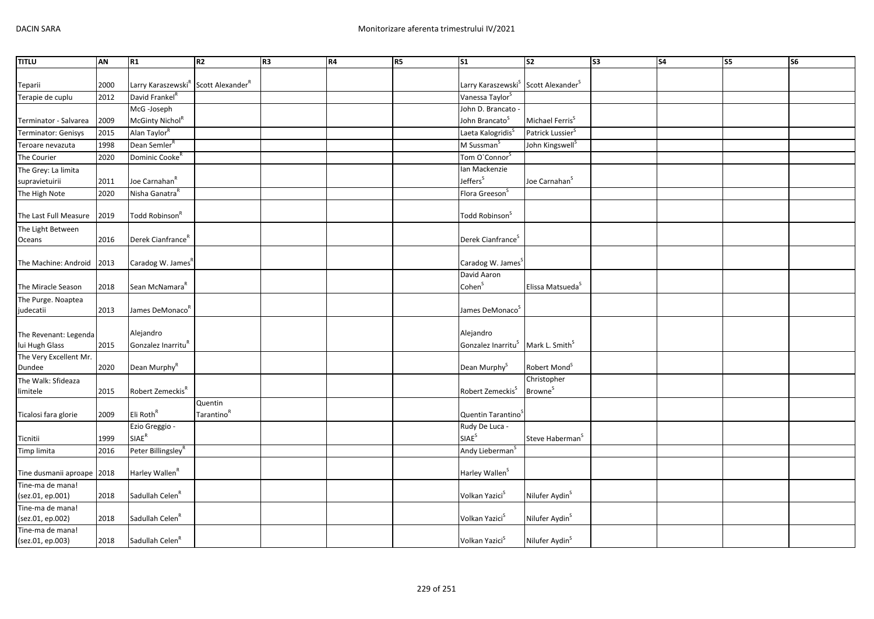| <b>TITLU</b>               | AN   | R1                                                                                                                                                                          | R <sub>2</sub>         | R <sub>3</sub> | R4 | R5 | S <sub>1</sub>                             | <b>S2</b>                    | S <sub>3</sub> | <b>S4</b> | S5 | S6 |
|----------------------------|------|-----------------------------------------------------------------------------------------------------------------------------------------------------------------------------|------------------------|----------------|----|----|--------------------------------------------|------------------------------|----------------|-----------|----|----|
|                            |      |                                                                                                                                                                             |                        |                |    |    |                                            |                              |                |           |    |    |
| Teparii                    | 2000 | Larry Karaszewski <sup>R</sup> Scott Alexander <sup>R</sup>                                                                                                                 |                        |                |    |    | Larry Karaszewski <sup>S</sup>             | Scott Alexander <sup>5</sup> |                |           |    |    |
| Terapie de cuplu           | 2012 | David Frankel <sup>R</sup>                                                                                                                                                  |                        |                |    |    | Vanessa Taylor <sup>S</sup>                |                              |                |           |    |    |
|                            |      | McG-Joseph                                                                                                                                                                  |                        |                |    |    | John D. Brancato -                         |                              |                |           |    |    |
| Terminator - Salvarea      | 2009 | McGinty Nichol <sup>R</sup>                                                                                                                                                 |                        |                |    |    | John Brancato <sup>S</sup>                 | Michael Ferris <sup>S</sup>  |                |           |    |    |
| Terminator: Genisys        | 2015 | Alan Taylor <sup>R</sup>                                                                                                                                                    |                        |                |    |    | Laeta Kalogridis <sup>S</sup>              | Patrick Lussier <sup>S</sup> |                |           |    |    |
| Teroare nevazuta           | 1998 | Dean Semler <sup>R</sup>                                                                                                                                                    |                        |                |    |    | M Sussman <sup>S</sup>                     | John Kingswell <sup>S</sup>  |                |           |    |    |
| The Courier                | 2020 | Dominic Cooke <sup>R</sup>                                                                                                                                                  |                        |                |    |    | Tom O'Connor <sup>S</sup>                  |                              |                |           |    |    |
| The Grey: La limita        |      |                                                                                                                                                                             |                        |                |    |    | Ian Mackenzie                              |                              |                |           |    |    |
| supravietuirii             | 2011 | Joe Carnahan <sup>R</sup>                                                                                                                                                   |                        |                |    |    | Jeffers <sup>S</sup>                       | Joe Carnahan <sup>s</sup>    |                |           |    |    |
| The High Note              | 2020 | Nisha Ganatra <sup>R</sup>                                                                                                                                                  |                        |                |    |    | Flora Greeson <sup>S</sup>                 |                              |                |           |    |    |
|                            |      |                                                                                                                                                                             |                        |                |    |    |                                            |                              |                |           |    |    |
| The Last Full Measure      | 2019 | Todd Robinson <sup>R</sup>                                                                                                                                                  |                        |                |    |    | Todd Robinson <sup>S</sup>                 |                              |                |           |    |    |
| The Light Between          |      |                                                                                                                                                                             |                        |                |    |    |                                            |                              |                |           |    |    |
| Oceans                     | 2016 | Derek Cianfrance <sup>R</sup>                                                                                                                                               |                        |                |    |    | Derek Cianfrance <sup>5</sup>              |                              |                |           |    |    |
|                            |      |                                                                                                                                                                             |                        |                |    |    |                                            |                              |                |           |    |    |
| The Machine: Android       | 2013 | Caradog W. James <sup>R</sup>                                                                                                                                               |                        |                |    |    | Caradog W. James <sup>S</sup>              |                              |                |           |    |    |
|                            |      |                                                                                                                                                                             |                        |                |    |    | David Aaron                                |                              |                |           |    |    |
| The Miracle Season         | 2018 | Sean McNamara <sup>k</sup>                                                                                                                                                  |                        |                |    |    | Cohen <sup>S</sup>                         | Elissa Matsueda <sup>S</sup> |                |           |    |    |
| The Purge. Noaptea         |      |                                                                                                                                                                             |                        |                |    |    |                                            |                              |                |           |    |    |
| judecatii                  | 2013 | James DeMonaco <sup>R</sup>                                                                                                                                                 |                        |                |    |    | James DeMonaco <sup>S</sup>                |                              |                |           |    |    |
|                            |      |                                                                                                                                                                             |                        |                |    |    |                                            |                              |                |           |    |    |
| The Revenant: Legenda      |      | Alejandro                                                                                                                                                                   |                        |                |    |    | Alejandro                                  |                              |                |           |    |    |
| lui Hugh Glass             | 2015 | Gonzalez Inarritu <sup>R</sup>                                                                                                                                              |                        |                |    |    | Gonzalez Inarritu <sup>S</sup>             | Mark L. Smith <sup>S</sup>   |                |           |    |    |
| The Very Excellent Mr.     |      |                                                                                                                                                                             |                        |                |    |    |                                            |                              |                |           |    |    |
| Dundee                     | 2020 | Dean Murphy <sup>R</sup>                                                                                                                                                    |                        |                |    |    | Dean Murphy <sup>S</sup>                   | Robert Mond <sup>S</sup>     |                |           |    |    |
| The Walk: Sfideaza         |      |                                                                                                                                                                             |                        |                |    |    |                                            | Christopher                  |                |           |    |    |
| limitele                   | 2015 | Robert Zemeckis <sup>R</sup>                                                                                                                                                |                        |                |    |    | Robert Zemeckis <sup>S</sup>               | <b>Browne</b> <sup>S</sup>   |                |           |    |    |
|                            |      |                                                                                                                                                                             | Quentin                |                |    |    |                                            |                              |                |           |    |    |
| Ticalosi fara glorie       | 2009 | Eli Roth <sup>R</sup>                                                                                                                                                       | Tarantino <sup>R</sup> |                |    |    | Quentin Tarantino                          |                              |                |           |    |    |
|                            |      | Ezio Greggio -<br>$\ensuremath{\mathsf{S}}\xspace\ensuremath{\mathsf{I}}\xspace\ensuremath{\mathsf{A}}\xspace\ensuremath{\mathsf{E}}\xspace^\ensuremath{\mathsf{R}}\xspace$ |                        |                |    |    | Rudy De Luca -<br><b>SIAE</b> <sup>S</sup> |                              |                |           |    |    |
| Ticnitii                   | 1999 |                                                                                                                                                                             |                        |                |    |    |                                            | Steve Haberman <sup>5</sup>  |                |           |    |    |
| Timp limita                | 2016 | Peter Billingsley <sup>R</sup>                                                                                                                                              |                        |                |    |    | Andy Lieberman <sup>S</sup>                |                              |                |           |    |    |
| Tine dusmanii aproape 2018 |      | Harley Wallen <sup>R</sup>                                                                                                                                                  |                        |                |    |    | Harley Wallen <sup>S</sup>                 |                              |                |           |    |    |
| Tine-ma de mana!           |      |                                                                                                                                                                             |                        |                |    |    |                                            |                              |                |           |    |    |
| (sez.01, ep.001)           | 2018 | Sadullah Celen <sup>R</sup>                                                                                                                                                 |                        |                |    |    | Volkan Yazici <sup>S</sup>                 | Nilufer Aydin <sup>S</sup>   |                |           |    |    |
| Tine-ma de mana!           |      |                                                                                                                                                                             |                        |                |    |    |                                            |                              |                |           |    |    |
| (sez.01, ep.002)           | 2018 | Sadullah Celen <sup>R</sup>                                                                                                                                                 |                        |                |    |    | Volkan Yazici <sup>S</sup>                 | Nilufer Aydin <sup>S</sup>   |                |           |    |    |
| Tine-ma de mana!           |      |                                                                                                                                                                             |                        |                |    |    |                                            |                              |                |           |    |    |
| (sez.01, ep.003)           | 2018 | Sadullah Celen <sup>R</sup>                                                                                                                                                 |                        |                |    |    | Volkan Yazici <sup>S</sup>                 | Nilufer Aydin <sup>S</sup>   |                |           |    |    |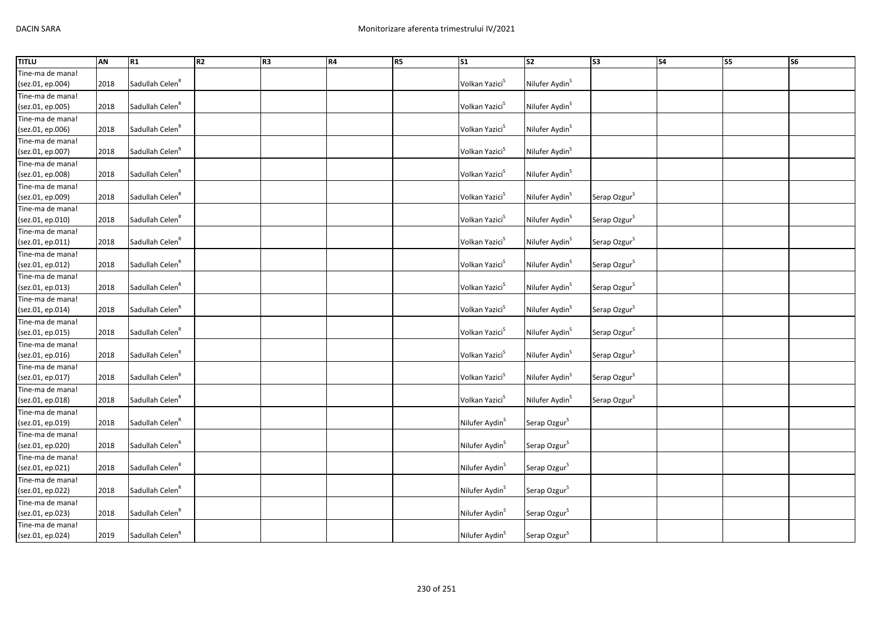| <b>TITLU</b>                         | <b>AN</b> | R1                          | R <sub>2</sub> | R <sub>3</sub> | R4 | R <sub>5</sub> | $\overline{\text{S1}}$     | S <sub>2</sub>             | S <sub>3</sub>           | <b>S4</b> | S5 | <b>S6</b> |
|--------------------------------------|-----------|-----------------------------|----------------|----------------|----|----------------|----------------------------|----------------------------|--------------------------|-----------|----|-----------|
| Tine-ma de mana!                     |           |                             |                |                |    |                |                            |                            |                          |           |    |           |
| (sez.01, ep.004)                     | 2018      | Sadullah Celen <sup>R</sup> |                |                |    |                | Volkan Yazici <sup>S</sup> | Nilufer Aydin <sup>S</sup> |                          |           |    |           |
| Tine-ma de mana!                     |           |                             |                |                |    |                |                            |                            |                          |           |    |           |
| (sez.01, ep.005)                     | 2018      | Sadullah Celen <sup>R</sup> |                |                |    |                | Volkan Yazici <sup>S</sup> | Nilufer Aydin <sup>S</sup> |                          |           |    |           |
| Tine-ma de mana!                     |           |                             |                |                |    |                |                            |                            |                          |           |    |           |
| (sez.01, ep.006)                     | 2018      | Sadullah Celen <sup>R</sup> |                |                |    |                | Volkan Yazici <sup>S</sup> | Nilufer Aydin <sup>S</sup> |                          |           |    |           |
| Tine-ma de mana!                     |           |                             |                |                |    |                |                            |                            |                          |           |    |           |
| (sez.01, ep.007)                     | 2018      | Sadullah Celen <sup>R</sup> |                |                |    |                | Volkan Yazici <sup>S</sup> | Nilufer Aydin <sup>S</sup> |                          |           |    |           |
| Tine-ma de mana!                     |           |                             |                |                |    |                |                            |                            |                          |           |    |           |
| (sez.01, ep.008)                     | 2018      | Sadullah Celen <sup>R</sup> |                |                |    |                | Volkan Yazici <sup>S</sup> | Nilufer Aydin <sup>S</sup> |                          |           |    |           |
| Tine-ma de mana!                     |           |                             |                |                |    |                |                            |                            |                          |           |    |           |
| (sez.01, ep.009)                     | 2018      | Sadullah Celen <sup>R</sup> |                |                |    |                | Volkan Yazici <sup>S</sup> | Nilufer Aydin <sup>S</sup> | Serap Ozgur <sup>S</sup> |           |    |           |
| Tine-ma de mana!                     |           |                             |                |                |    |                |                            |                            |                          |           |    |           |
| (sez.01, ep.010)                     | 2018      | Sadullah Celen <sup>R</sup> |                |                |    |                | Volkan Yazici <sup>S</sup> | Nilufer Aydin <sup>S</sup> | Serap Ozgur <sup>S</sup> |           |    |           |
| Tine-ma de mana!                     |           |                             |                |                |    |                |                            |                            |                          |           |    |           |
| (sez.01, ep.011)                     | 2018      | Sadullah Celen <sup>R</sup> |                |                |    |                | Volkan Yazici <sup>S</sup> | Nilufer Aydin <sup>S</sup> | Serap Ozgur <sup>S</sup> |           |    |           |
| Tine-ma de mana!                     |           |                             |                |                |    |                |                            |                            |                          |           |    |           |
| (sez.01, ep.012)                     | 2018      | Sadullah Celen <sup>R</sup> |                |                |    |                | Volkan Yazici <sup>S</sup> | Nilufer Aydin <sup>S</sup> | Serap Ozgur <sup>S</sup> |           |    |           |
| Tine-ma de mana!                     |           |                             |                |                |    |                |                            |                            |                          |           |    |           |
| (sez.01, ep.013)                     | 2018      | Sadullah Celen <sup>R</sup> |                |                |    |                | Volkan Yazici <sup>S</sup> | Nilufer Aydin <sup>S</sup> | Serap Ozgur <sup>S</sup> |           |    |           |
| Tine-ma de mana!                     |           |                             |                |                |    |                |                            |                            |                          |           |    |           |
| (sez.01, ep.014)                     | 2018      | Sadullah Celen <sup>R</sup> |                |                |    |                | Volkan Yazici <sup>S</sup> | Nilufer Aydin <sup>S</sup> | Serap Ozgur <sup>S</sup> |           |    |           |
| Tine-ma de mana!                     |           |                             |                |                |    |                |                            |                            |                          |           |    |           |
| (sez.01, ep.015)                     | 2018      | Sadullah Celen <sup>R</sup> |                |                |    |                | Volkan Yazici <sup>S</sup> | Nilufer Aydin <sup>S</sup> | Serap Ozgur <sup>S</sup> |           |    |           |
| Tine-ma de mana!                     |           |                             |                |                |    |                |                            |                            |                          |           |    |           |
| (sez.01, ep.016)                     | 2018      | Sadullah Celen <sup>R</sup> |                |                |    |                | Volkan Yazici <sup>S</sup> | Nilufer Aydin <sup>S</sup> | Serap Ozgur <sup>S</sup> |           |    |           |
| Tine-ma de mana!                     |           |                             |                |                |    |                |                            |                            |                          |           |    |           |
| (sez.01, ep.017)                     | 2018      | Sadullah Celen <sup>R</sup> |                |                |    |                | Volkan Yazici <sup>S</sup> | Nilufer Aydin <sup>S</sup> | Serap Ozgur <sup>S</sup> |           |    |           |
| Tine-ma de mana!                     |           |                             |                |                |    |                |                            |                            |                          |           |    |           |
| (sez.01, ep.018)                     | 2018      | Sadullah Celen <sup>R</sup> |                |                |    |                | Volkan Yazici <sup>S</sup> | Nilufer Aydin <sup>S</sup> | Serap Ozgur <sup>S</sup> |           |    |           |
| Tine-ma de mana!                     | 2018      | Sadullah Celen <sup>R</sup> |                |                |    |                |                            |                            |                          |           |    |           |
| (sez.01, ep.019)<br>Tine-ma de mana! |           |                             |                |                |    |                | Nilufer Aydin <sup>S</sup> | Serap Ozgur <sup>S</sup>   |                          |           |    |           |
| (sez.01, ep.020)                     | 2018      | Sadullah Celen <sup>R</sup> |                |                |    |                | Nilufer Aydin <sup>S</sup> | Serap Ozgur <sup>S</sup>   |                          |           |    |           |
|                                      |           |                             |                |                |    |                |                            |                            |                          |           |    |           |
| Tine-ma de mana!<br>(sez.01, ep.021) | 2018      | Sadullah Celen <sup>R</sup> |                |                |    |                | Nilufer Aydin <sup>S</sup> | Serap Ozgur <sup>S</sup>   |                          |           |    |           |
| Tine-ma de mana!                     |           |                             |                |                |    |                |                            |                            |                          |           |    |           |
| (sez.01, ep.022)                     | 2018      | Sadullah Celen <sup>R</sup> |                |                |    |                | Nilufer Aydin <sup>S</sup> | Serap Ozgur <sup>S</sup>   |                          |           |    |           |
| Tine-ma de mana!                     |           |                             |                |                |    |                |                            |                            |                          |           |    |           |
| (sez.01, ep.023)                     | 2018      | Sadullah Celen <sup>R</sup> |                |                |    |                | Nilufer Aydin <sup>S</sup> | Serap Ozgur <sup>S</sup>   |                          |           |    |           |
| Tine-ma de mana!                     |           |                             |                |                |    |                |                            |                            |                          |           |    |           |
| (sez.01, ep.024)                     | 2019      | Sadullah Celen <sup>R</sup> |                |                |    |                | Nilufer Aydin <sup>S</sup> | Serap Ozgur <sup>S</sup>   |                          |           |    |           |
|                                      |           |                             |                |                |    |                |                            |                            |                          |           |    |           |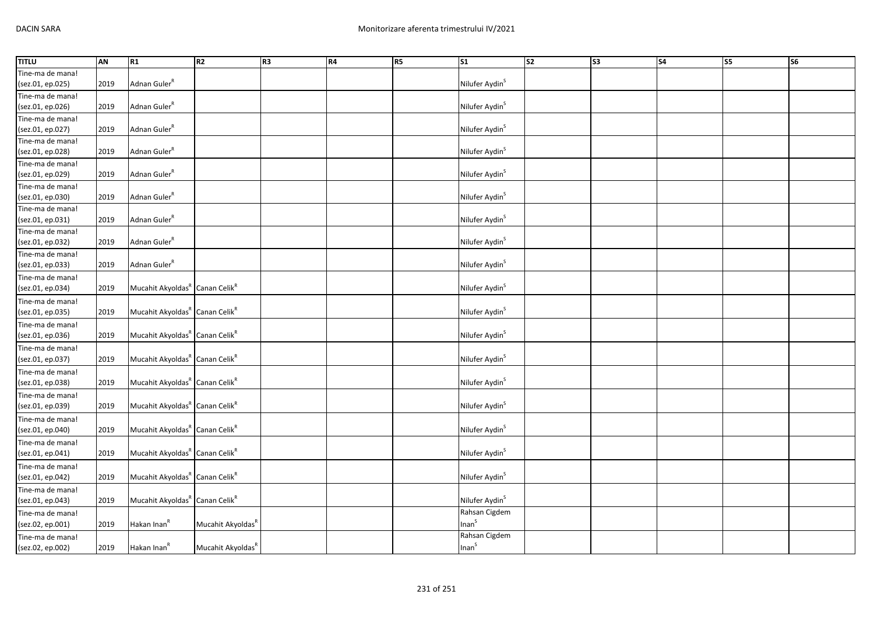| <b>TITLU</b>     | AN   | R1                                                     | R2                            | R <sub>3</sub> | <b>R4</b> | R5 | S1                         | s <sub>2</sub> | S <sub>3</sub> | <b>S4</b> | <b>S5</b> | <b>S6</b> |
|------------------|------|--------------------------------------------------------|-------------------------------|----------------|-----------|----|----------------------------|----------------|----------------|-----------|-----------|-----------|
| Tine-ma de mana! |      |                                                        |                               |                |           |    |                            |                |                |           |           |           |
| (sez.01, ep.025) | 2019 | Adnan Guler <sup>R</sup>                               |                               |                |           |    | Nilufer Aydin <sup>S</sup> |                |                |           |           |           |
| Tine-ma de mana! |      |                                                        |                               |                |           |    |                            |                |                |           |           |           |
| (sez.01, ep.026) | 2019 | Adnan Guler <sup>R</sup>                               |                               |                |           |    | Nilufer Aydin <sup>S</sup> |                |                |           |           |           |
| Tine-ma de mana! |      |                                                        |                               |                |           |    |                            |                |                |           |           |           |
| (sez.01, ep.027) | 2019 | Adnan Guler <sup>R</sup>                               |                               |                |           |    | Nilufer Aydin <sup>S</sup> |                |                |           |           |           |
| Tine-ma de mana! |      |                                                        |                               |                |           |    |                            |                |                |           |           |           |
| (sez.01, ep.028) | 2019 | Adnan Guler <sup>R</sup>                               |                               |                |           |    | Nilufer Aydin <sup>S</sup> |                |                |           |           |           |
| Tine-ma de mana! |      |                                                        |                               |                |           |    |                            |                |                |           |           |           |
| (sez.01, ep.029) | 2019 | Adnan Guler <sup>R</sup>                               |                               |                |           |    | Nilufer Aydin <sup>S</sup> |                |                |           |           |           |
| Tine-ma de mana! |      |                                                        |                               |                |           |    |                            |                |                |           |           |           |
| (sez.01, ep.030) | 2019 | Adnan Guler <sup>R</sup>                               |                               |                |           |    | Nilufer Aydin <sup>S</sup> |                |                |           |           |           |
| Tine-ma de mana! |      |                                                        |                               |                |           |    |                            |                |                |           |           |           |
| (sez.01, ep.031) | 2019 | Adnan Guler <sup>R</sup>                               |                               |                |           |    | Nilufer Aydin <sup>S</sup> |                |                |           |           |           |
| Tine-ma de mana! |      |                                                        |                               |                |           |    |                            |                |                |           |           |           |
| (sez.01, ep.032) | 2019 | Adnan Guler <sup>R</sup>                               |                               |                |           |    | Nilufer Aydin <sup>S</sup> |                |                |           |           |           |
| Tine-ma de mana! |      |                                                        |                               |                |           |    |                            |                |                |           |           |           |
| (sez.01, ep.033) | 2019 | Adnan Guler <sup>R</sup>                               |                               |                |           |    | Nilufer Aydin <sup>S</sup> |                |                |           |           |           |
| Tine-ma de mana! |      |                                                        |                               |                |           |    |                            |                |                |           |           |           |
| (sez.01, ep.034) | 2019 | Mucahit Akyoldas <sup>R</sup> Canan Celik <sup>R</sup> |                               |                |           |    | Nilufer Aydin <sup>S</sup> |                |                |           |           |           |
| Tine-ma de mana! |      |                                                        |                               |                |           |    |                            |                |                |           |           |           |
| (sez.01, ep.035) | 2019 | Mucahit Akyoldas <sup>R</sup> Canan Celik <sup>R</sup> |                               |                |           |    | Nilufer Aydin <sup>S</sup> |                |                |           |           |           |
| Tine-ma de mana! |      |                                                        |                               |                |           |    |                            |                |                |           |           |           |
| (sez.01, ep.036) | 2019 | Mucahit Akyoldas <sup>R</sup> Canan Celik <sup>R</sup> |                               |                |           |    | Nilufer Aydin <sup>S</sup> |                |                |           |           |           |
| Tine-ma de mana! |      |                                                        |                               |                |           |    |                            |                |                |           |           |           |
| (sez.01, ep.037) | 2019 | Mucahit Akyoldas <sup>R</sup> Canan Celik <sup>R</sup> |                               |                |           |    | Nilufer Aydin <sup>S</sup> |                |                |           |           |           |
| Tine-ma de mana! |      |                                                        |                               |                |           |    |                            |                |                |           |           |           |
| (sez.01, ep.038) | 2019 | Mucahit Akyoldas <sup>R</sup> Canan Celik <sup>R</sup> |                               |                |           |    | Nilufer Aydin <sup>S</sup> |                |                |           |           |           |
| Tine-ma de mana! |      |                                                        |                               |                |           |    |                            |                |                |           |           |           |
| (sez.01, ep.039) | 2019 | Mucahit Akyoldas <sup>R</sup> Canan Celik <sup>R</sup> |                               |                |           |    | Nilufer Aydin <sup>S</sup> |                |                |           |           |           |
| Tine-ma de mana! |      |                                                        |                               |                |           |    |                            |                |                |           |           |           |
| (sez.01, ep.040) | 2019 | Mucahit Akyoldas <sup>R</sup> Canan Celik <sup>R</sup> |                               |                |           |    | Nilufer Aydin <sup>S</sup> |                |                |           |           |           |
| Tine-ma de mana! |      |                                                        |                               |                |           |    |                            |                |                |           |           |           |
| (sez.01, ep.041) | 2019 | Mucahit Akyoldas <sup>R</sup> Canan Celik <sup>R</sup> |                               |                |           |    | Nilufer Aydin <sup>S</sup> |                |                |           |           |           |
| Tine-ma de mana! |      |                                                        |                               |                |           |    |                            |                |                |           |           |           |
| (sez.01, ep.042) | 2019 | Mucahit Akyoldas <sup>R</sup> Canan Celik <sup>R</sup> |                               |                |           |    | Nilufer Aydin <sup>S</sup> |                |                |           |           |           |
| Tine-ma de mana! |      |                                                        |                               |                |           |    |                            |                |                |           |           |           |
| (sez.01, ep.043) | 2019 | Mucahit Akyoldas <sup>R</sup> Canan Celik <sup>R</sup> |                               |                |           |    | Nilufer Aydin <sup>S</sup> |                |                |           |           |           |
| Tine-ma de mana! |      |                                                        |                               |                |           |    | Rahsan Cigdem              |                |                |           |           |           |
| (sez.02, ep.001) | 2019 | Hakan Inan <sup>R</sup>                                | Mucahit Akyoldas <sup>R</sup> |                |           |    | Inan <sup>S</sup>          |                |                |           |           |           |
| Tine-ma de mana! |      |                                                        |                               |                |           |    | Rahsan Cigdem              |                |                |           |           |           |
| (sez.02, ep.002) | 2019 | Hakan Inan <sup>R</sup>                                | Mucahit Akyoldas <sup>R</sup> |                |           |    | Inan <sup>S</sup>          |                |                |           |           |           |
|                  |      |                                                        |                               |                |           |    |                            |                |                |           |           |           |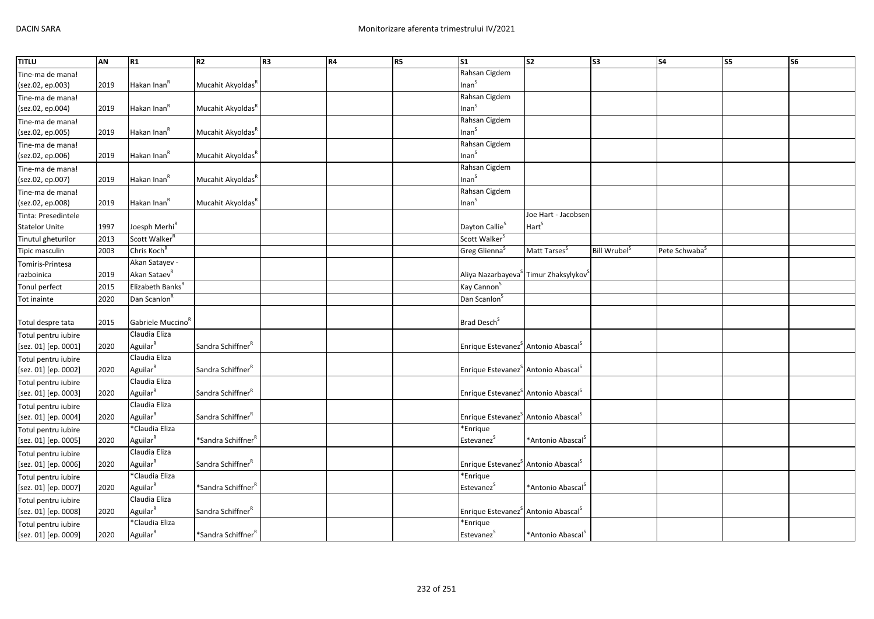| <b>TITLU</b>          | AN   | R1                            | R <sub>2</sub>                 | R <sub>3</sub> | R4 | R5 | S <sub>1</sub>                                              | $\overline{\text{S2}}$        | $\overline{\text{S3}}$   | S <sub>4</sub>            | S5 | S6 |
|-----------------------|------|-------------------------------|--------------------------------|----------------|----|----|-------------------------------------------------------------|-------------------------------|--------------------------|---------------------------|----|----|
| Tine-ma de mana!      |      |                               |                                |                |    |    | Rahsan Cigdem                                               |                               |                          |                           |    |    |
| (sez.02, ep.003)      | 2019 | Hakan Inan <sup>R</sup>       | Mucahit Akyoldas <sup>k</sup>  |                |    |    | Inan <sup>S</sup>                                           |                               |                          |                           |    |    |
| Tine-ma de mana!      |      |                               |                                |                |    |    | Rahsan Cigdem                                               |                               |                          |                           |    |    |
| (sez.02, ep.004)      | 2019 | Hakan Inan <sup>R</sup>       | Mucahit Akyoldas <sup>k</sup>  |                |    |    | Inan <sup>S</sup>                                           |                               |                          |                           |    |    |
| Tine-ma de mana!      |      |                               |                                |                |    |    | Rahsan Cigdem                                               |                               |                          |                           |    |    |
| (sez.02, ep.005)      | 2019 | Hakan Inan <sup>R</sup>       | Mucahit Akyoldas <sup>R</sup>  |                |    |    | Inan <sup>S</sup>                                           |                               |                          |                           |    |    |
| Tine-ma de mana!      |      |                               |                                |                |    |    | Rahsan Cigdem                                               |                               |                          |                           |    |    |
| (sez.02, ep.006)      | 2019 | Hakan Inan <sup>R</sup>       | Mucahit Akyoldas <sup>R</sup>  |                |    |    | Inan <sup>S</sup>                                           |                               |                          |                           |    |    |
| Tine-ma de mana!      |      |                               |                                |                |    |    | Rahsan Cigdem                                               |                               |                          |                           |    |    |
| (sez.02, ep.007)      | 2019 | Hakan Inan <sup>R</sup>       | Mucahit Akyoldas <sup>R</sup>  |                |    |    | Inan <sup>S</sup>                                           |                               |                          |                           |    |    |
| Tine-ma de mana!      |      |                               |                                |                |    |    | Rahsan Cigdem                                               |                               |                          |                           |    |    |
| (sez.02, ep.008)      | 2019 | Hakan Inan <sup>R</sup>       | Mucahit Akyoldas <sup>R</sup>  |                |    |    | Inan <sup>S</sup>                                           |                               |                          |                           |    |    |
| Tinta: Presedintele   |      |                               |                                |                |    |    |                                                             | Joe Hart - Jacobsen           |                          |                           |    |    |
| <b>Statelor Unite</b> | 1997 | Joesph Merhi <sup>R</sup>     |                                |                |    |    | Dayton Callie <sup>S</sup>                                  | Hart <sup>s</sup>             |                          |                           |    |    |
| Tinutul gheturilor    | 2013 | Scott Walker <sup>R</sup>     |                                |                |    |    | Scott Walker <sup>S</sup>                                   |                               |                          |                           |    |    |
| Tipic masculin        | 2003 | Chris Koch <sup>R</sup>       |                                |                |    |    | Greg Glienna <sup>S</sup>                                   | Matt Tarses <sup>S</sup>      | Bill Wrubel <sup>S</sup> | Pete Schwaba <sup>5</sup> |    |    |
| Tomiris-Printesa      |      | Akan Satayev -                |                                |                |    |    |                                                             |                               |                          |                           |    |    |
| razboinica            | 2019 | Akan Sataev <sup>R</sup>      |                                |                |    |    | Aliya Nazarbayeva <sup>5</sup> Timur Zhaksylykov            |                               |                          |                           |    |    |
| Tonul perfect         | 2015 | Elizabeth Banks <sup>R</sup>  |                                |                |    |    | Kay Cannon <sup>S</sup>                                     |                               |                          |                           |    |    |
| Tot inainte           | 2020 | Dan Scanlon <sup>8</sup>      |                                |                |    |    | Dan Scanlon <sup>5</sup>                                    |                               |                          |                           |    |    |
|                       |      |                               |                                |                |    |    |                                                             |                               |                          |                           |    |    |
| Totul despre tata     | 2015 | Gabriele Muccino <sup>R</sup> |                                |                |    |    | Brad Desch <sup>S</sup>                                     |                               |                          |                           |    |    |
| Totul pentru iubire   |      | Claudia Eliza                 |                                |                |    |    |                                                             |                               |                          |                           |    |    |
| [sez. 01] [ep. 0001]  | 2020 | Aguilar <sup>R</sup>          | Sandra Schiffner <sup>R</sup>  |                |    |    | Enrique Estevanez <sup>S</sup> Antonio Abascal <sup>S</sup> |                               |                          |                           |    |    |
| Totul pentru iubire   |      | Claudia Eliza                 |                                |                |    |    |                                                             |                               |                          |                           |    |    |
| [sez. 01] [ep. 0002]  | 2020 | Aguilar <sup>R</sup>          | Sandra Schiffner <sup>R</sup>  |                |    |    | Enrique Estevanez <sup>S</sup> Antonio Abascal <sup>S</sup> |                               |                          |                           |    |    |
| Totul pentru iubire   |      | Claudia Eliza                 |                                |                |    |    |                                                             |                               |                          |                           |    |    |
| [sez. 01] [ep. 0003]  | 2020 | Aguilar <sup>R</sup>          | Sandra Schiffner <sup>R</sup>  |                |    |    | Enrique Estevanez <sup>S</sup> Antonio Abascal <sup>S</sup> |                               |                          |                           |    |    |
| Totul pentru iubire   |      | Claudia Eliza                 |                                |                |    |    |                                                             |                               |                          |                           |    |    |
| [sez. 01] [ep. 0004]  | 2020 | Aguilar <sup>R</sup>          | Sandra Schiffner <sup>R</sup>  |                |    |    | Enrique Estevanez <sup>S</sup> Antonio Abascal <sup>S</sup> |                               |                          |                           |    |    |
| Totul pentru iubire   |      | *Claudia Eliza                |                                |                |    |    | *Enrique                                                    |                               |                          |                           |    |    |
| [sez. 01] [ep. 0005]  | 2020 | Aguilar <sup>R</sup>          | *Sandra Schiffner <sup>R</sup> |                |    |    | Estevanez <sup>S</sup>                                      | *Antonio Abascal <sup>S</sup> |                          |                           |    |    |
| Totul pentru iubire   |      | Claudia Eliza                 |                                |                |    |    |                                                             |                               |                          |                           |    |    |
| [sez. 01] [ep. 0006]  | 2020 | Aguilar <sup>R</sup>          | Sandra Schiffner <sup>R</sup>  |                |    |    | Enrique Estevanez <sup>S</sup> Antonio Abascal <sup>S</sup> |                               |                          |                           |    |    |
| Totul pentru iubire   |      | *Claudia Eliza                |                                |                |    |    | *Enrique                                                    |                               |                          |                           |    |    |
| [sez. 01] [ep. 0007]  | 2020 | Aguilar <sup>R</sup>          | *Sandra Schiffner <sup>R</sup> |                |    |    | Estevanez <sup>S</sup>                                      | *Antonio Abascal <sup>S</sup> |                          |                           |    |    |
| Totul pentru iubire   |      | Claudia Eliza                 |                                |                |    |    |                                                             |                               |                          |                           |    |    |
| [sez. 01] [ep. 0008]  | 2020 | Aguilar <sup>R</sup>          | Sandra Schiffner <sup>R</sup>  |                |    |    | Enrique Estevanez <sup>S</sup> Antonio Abascal <sup>S</sup> |                               |                          |                           |    |    |
| Totul pentru iubire   |      | *Claudia Eliza                |                                |                |    |    | *Enrique                                                    |                               |                          |                           |    |    |
| [sez. 01] [ep. 0009]  | 2020 | Aguilar <sup>R</sup>          | *Sandra Schiffner <sup>R</sup> |                |    |    | Estevanez <sup>S</sup>                                      | *Antonio Abascal <sup>S</sup> |                          |                           |    |    |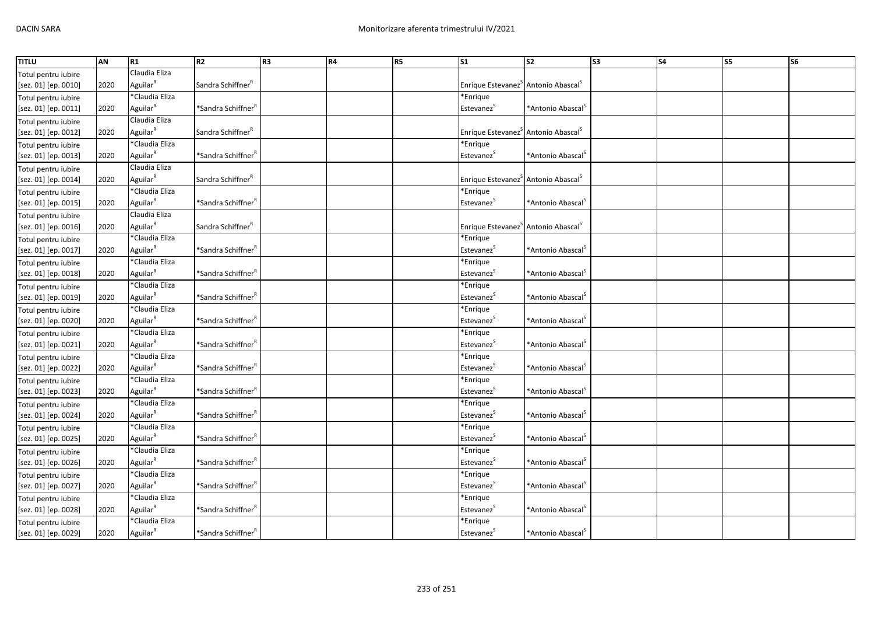| Claudia Eliza<br>Totul pentru iubire<br>Aguilar <sup>R</sup><br>Sandra Schiffner <sup>R</sup><br>Enrique Estevanez <sup>S</sup> Antonio Abascal <sup>S</sup><br>[sez. 01] [ep. 0010]<br>2020<br>*Claudia Eliza<br>*Enrique<br>Totul pentru iubire<br>Aguilar <sup>R</sup><br>*Sandra Schiffner <sup>f</sup><br>Estevanez <sup>S</sup><br>[sez. 01] [ep. 0011]<br>2020<br>*Antonio Abascal <sup>5</sup><br>Claudia Eliza<br>Totul pentru iubire<br>Aguilar <sup>R</sup><br>Sandra Schiffner <sup>R</sup><br>Enrique Estevanez <sup>S</sup> Antonio Abascal <sup>S</sup><br>2020<br>[sez. 01] [ep. 0012]<br>*Claudia Eliza<br>*Enrique<br>Totul pentru iubire<br>Aguilar <sup>R</sup><br>*Sandra Schiffner <sup>R</sup><br>Estevanez <sup>S</sup><br>2020<br>*Antonio Abascal <sup>5</sup><br>[sez. 01] [ep. 0013]<br>Claudia Eliza<br>Totul pentru iubire<br>Aguilar <sup>R</sup><br>Enrique Estevanez <sup>S</sup> Antonio Abascal <sup>S</sup><br>Sandra Schiffner <sup>R</sup><br>[sez. 01] [ep. 0014]<br>2020<br>*Claudia Eliza<br>*Enrique<br>Totul pentru iubire<br>Aguilar <sup>R</sup><br>Estevanez <sup>S</sup><br>*Sandra Schiffner <sup>F</sup><br>*Antonio Abascal <sup>S</sup><br>[sez. 01] [ep. 0015]<br>2020<br>Claudia Eliza<br>Totul pentru iubire<br>Aguilar <sup>R</sup><br>Sandra Schiffner <sup>R</sup><br>Enrique Estevanez <sup>S</sup> Antonio Abascal <sup>S</sup><br>[sez. 01] [ep. 0016]<br>2020<br>*Claudia Eliza<br>*Enrique<br>Totul pentru iubire<br>Aguilar $^R$<br>Estevanez <sup>S</sup><br>*Sandra Schiffner <sup>†</sup><br>*Antonio Abascal <sup>5</sup><br>[sez. 01] [ep. 0017]<br>2020<br>*Claudia Eliza<br>*Enrique<br>Totul pentru iubire<br>Aguilar <sup>R</sup><br>*Sandra Schiffner <sup>R</sup><br>2020<br>Estevanez <sup>5</sup><br>*Antonio Abascal <sup>5</sup><br>[sez. 01] [ep. 0018]<br>*Claudia Eliza<br>*Enrique<br>Totul pentru iubire<br>Aguilar <sup>R</sup><br>*Antonio Abascal <sup>S</sup><br>[sez. 01] [ep. 0019]<br>2020<br>*Sandra Schiffner <sup>†</sup><br>Estevanez <sup>5</sup><br>*Claudia Eliza<br>*Enrique<br>Totul pentru iubire<br>Aguilar <sup>R</sup><br>Estevanez <sup>S</sup><br>*Antonio Abascal <sup>S</sup><br>[sez. 01] [ep. 0020]<br>2020<br>*Sandra Schiffner <sup>'</sup><br>*Claudia Eliza<br>*Enrique<br>Totul pentru iubire<br>Aguilar <sup>R</sup><br>*Sandra Schiffner <sup>F</sup><br>*Antonio Abascal <sup>S</sup><br>Estevanez <sup>S</sup><br>[sez. 01] [ep. 0021]<br>2020<br>*Claudia Eliza<br>*Enrique<br>Totul pentru iubire<br>Aguilar $^R$<br>*Sandra Schiffner <sup>R</sup><br>[sez. 01] [ep. 0022]<br>2020<br>Estevanez<br>*Antonio Abascal <sup>3</sup><br>*Claudia Eliza<br>*Enrique<br>Totul pentru iubire<br>Aguilar <sup>R</sup><br>*Antonio Abascal <sup>S</sup><br>[sez. 01] [ep. 0023]<br>2020<br>*Sandra Schiffner <sup>†</sup><br>Estevanez <sup>5</sup><br>*Claudia Eliza<br>*Enrique<br>Totul pentru iubire<br>Aguilar <sup>R</sup><br>*Sandra Schiffner <sup>F</sup><br>Estevanez <sup>S</sup><br>*Antonio Abascal <sup>S</sup><br>[sez. 01] [ep. 0024]<br>2020<br>*Claudia Eliza<br>*Enrique<br>Totul pentru iubire<br>Aguilar <sup>R</sup><br>*Sandra Schiffner <sup>f</sup><br>[sez. 01] [ep. 0025]<br>2020<br>Estevanez<br>*Antonio Abascal <sup>&gt;</sup><br>*Claudia Eliza<br>*Enrique<br>Totul pentru iubire<br>Aguilar <sup>R</sup><br>2020<br>*Sandra Schiffner <sup>†</sup><br>Estevanez<br>*Antonio Abascal <sup>S</sup><br>[sez. 01] [ep. 0026]<br>*Claudia Eliza<br>*Enrique<br>Totul pentru iubire<br>Aguilar <sup>R</sup><br>Estevanez <sup>S</sup><br>[sez. 01] [ep. 0027]<br>2020<br>*Sandra Schiffner <sup>*</sup><br>*Antonio Abascal <sup>5</sup><br>*Claudia Eliza<br>*Enrique<br>Totul pentru iubire<br>Aguilar <sup>R</sup><br>Estevanez<br>[sez. 01] [ep. 0028]<br>*Sandra Schiffner <sup>'</sup><br>*Antonio Abascal <sup>-</sup><br>2020<br>*Claudia Eliza<br>*Enrique<br>Totul pentru iubire | <b>TITLU</b>         | <b>AN</b> | R1                   | R <sub>2</sub>                 | R <sub>3</sub> | R4 | R5 | $\overline{\text{S1}}$ | S <sub>2</sub>                   | S <sub>3</sub> | <b>S4</b> | S5 | S <sub>6</sub> |
|----------------------------------------------------------------------------------------------------------------------------------------------------------------------------------------------------------------------------------------------------------------------------------------------------------------------------------------------------------------------------------------------------------------------------------------------------------------------------------------------------------------------------------------------------------------------------------------------------------------------------------------------------------------------------------------------------------------------------------------------------------------------------------------------------------------------------------------------------------------------------------------------------------------------------------------------------------------------------------------------------------------------------------------------------------------------------------------------------------------------------------------------------------------------------------------------------------------------------------------------------------------------------------------------------------------------------------------------------------------------------------------------------------------------------------------------------------------------------------------------------------------------------------------------------------------------------------------------------------------------------------------------------------------------------------------------------------------------------------------------------------------------------------------------------------------------------------------------------------------------------------------------------------------------------------------------------------------------------------------------------------------------------------------------------------------------------------------------------------------------------------------------------------------------------------------------------------------------------------------------------------------------------------------------------------------------------------------------------------------------------------------------------------------------------------------------------------------------------------------------------------------------------------------------------------------------------------------------------------------------------------------------------------------------------------------------------------------------------------------------------------------------------------------------------------------------------------------------------------------------------------------------------------------------------------------------------------------------------------------------------------------------------------------------------------------------------------------------------------------------------------------------------------------------------------------------------------------------------------------------------------------------------------------------------------------------------------------------------------------------------------------------------------------------------------------------------------------------------------------------------------------------------------------------------------------------------------------------------------------------------------------------------------------------------------------------------------------------------------------------------------------------------------------------------------------------------------------------------------------------------------------------------------------------------------------|----------------------|-----------|----------------------|--------------------------------|----------------|----|----|------------------------|----------------------------------|----------------|-----------|----|----------------|
|                                                                                                                                                                                                                                                                                                                                                                                                                                                                                                                                                                                                                                                                                                                                                                                                                                                                                                                                                                                                                                                                                                                                                                                                                                                                                                                                                                                                                                                                                                                                                                                                                                                                                                                                                                                                                                                                                                                                                                                                                                                                                                                                                                                                                                                                                                                                                                                                                                                                                                                                                                                                                                                                                                                                                                                                                                                                                                                                                                                                                                                                                                                                                                                                                                                                                                                                                                                                                                                                                                                                                                                                                                                                                                                                                                                                                                                                                                                                        |                      |           |                      |                                |                |    |    |                        |                                  |                |           |    |                |
|                                                                                                                                                                                                                                                                                                                                                                                                                                                                                                                                                                                                                                                                                                                                                                                                                                                                                                                                                                                                                                                                                                                                                                                                                                                                                                                                                                                                                                                                                                                                                                                                                                                                                                                                                                                                                                                                                                                                                                                                                                                                                                                                                                                                                                                                                                                                                                                                                                                                                                                                                                                                                                                                                                                                                                                                                                                                                                                                                                                                                                                                                                                                                                                                                                                                                                                                                                                                                                                                                                                                                                                                                                                                                                                                                                                                                                                                                                                                        |                      |           |                      |                                |                |    |    |                        |                                  |                |           |    |                |
|                                                                                                                                                                                                                                                                                                                                                                                                                                                                                                                                                                                                                                                                                                                                                                                                                                                                                                                                                                                                                                                                                                                                                                                                                                                                                                                                                                                                                                                                                                                                                                                                                                                                                                                                                                                                                                                                                                                                                                                                                                                                                                                                                                                                                                                                                                                                                                                                                                                                                                                                                                                                                                                                                                                                                                                                                                                                                                                                                                                                                                                                                                                                                                                                                                                                                                                                                                                                                                                                                                                                                                                                                                                                                                                                                                                                                                                                                                                                        |                      |           |                      |                                |                |    |    |                        |                                  |                |           |    |                |
|                                                                                                                                                                                                                                                                                                                                                                                                                                                                                                                                                                                                                                                                                                                                                                                                                                                                                                                                                                                                                                                                                                                                                                                                                                                                                                                                                                                                                                                                                                                                                                                                                                                                                                                                                                                                                                                                                                                                                                                                                                                                                                                                                                                                                                                                                                                                                                                                                                                                                                                                                                                                                                                                                                                                                                                                                                                                                                                                                                                                                                                                                                                                                                                                                                                                                                                                                                                                                                                                                                                                                                                                                                                                                                                                                                                                                                                                                                                                        |                      |           |                      |                                |                |    |    |                        |                                  |                |           |    |                |
|                                                                                                                                                                                                                                                                                                                                                                                                                                                                                                                                                                                                                                                                                                                                                                                                                                                                                                                                                                                                                                                                                                                                                                                                                                                                                                                                                                                                                                                                                                                                                                                                                                                                                                                                                                                                                                                                                                                                                                                                                                                                                                                                                                                                                                                                                                                                                                                                                                                                                                                                                                                                                                                                                                                                                                                                                                                                                                                                                                                                                                                                                                                                                                                                                                                                                                                                                                                                                                                                                                                                                                                                                                                                                                                                                                                                                                                                                                                                        |                      |           |                      |                                |                |    |    |                        |                                  |                |           |    |                |
|                                                                                                                                                                                                                                                                                                                                                                                                                                                                                                                                                                                                                                                                                                                                                                                                                                                                                                                                                                                                                                                                                                                                                                                                                                                                                                                                                                                                                                                                                                                                                                                                                                                                                                                                                                                                                                                                                                                                                                                                                                                                                                                                                                                                                                                                                                                                                                                                                                                                                                                                                                                                                                                                                                                                                                                                                                                                                                                                                                                                                                                                                                                                                                                                                                                                                                                                                                                                                                                                                                                                                                                                                                                                                                                                                                                                                                                                                                                                        |                      |           |                      |                                |                |    |    |                        |                                  |                |           |    |                |
|                                                                                                                                                                                                                                                                                                                                                                                                                                                                                                                                                                                                                                                                                                                                                                                                                                                                                                                                                                                                                                                                                                                                                                                                                                                                                                                                                                                                                                                                                                                                                                                                                                                                                                                                                                                                                                                                                                                                                                                                                                                                                                                                                                                                                                                                                                                                                                                                                                                                                                                                                                                                                                                                                                                                                                                                                                                                                                                                                                                                                                                                                                                                                                                                                                                                                                                                                                                                                                                                                                                                                                                                                                                                                                                                                                                                                                                                                                                                        |                      |           |                      |                                |                |    |    |                        |                                  |                |           |    |                |
|                                                                                                                                                                                                                                                                                                                                                                                                                                                                                                                                                                                                                                                                                                                                                                                                                                                                                                                                                                                                                                                                                                                                                                                                                                                                                                                                                                                                                                                                                                                                                                                                                                                                                                                                                                                                                                                                                                                                                                                                                                                                                                                                                                                                                                                                                                                                                                                                                                                                                                                                                                                                                                                                                                                                                                                                                                                                                                                                                                                                                                                                                                                                                                                                                                                                                                                                                                                                                                                                                                                                                                                                                                                                                                                                                                                                                                                                                                                                        |                      |           |                      |                                |                |    |    |                        |                                  |                |           |    |                |
|                                                                                                                                                                                                                                                                                                                                                                                                                                                                                                                                                                                                                                                                                                                                                                                                                                                                                                                                                                                                                                                                                                                                                                                                                                                                                                                                                                                                                                                                                                                                                                                                                                                                                                                                                                                                                                                                                                                                                                                                                                                                                                                                                                                                                                                                                                                                                                                                                                                                                                                                                                                                                                                                                                                                                                                                                                                                                                                                                                                                                                                                                                                                                                                                                                                                                                                                                                                                                                                                                                                                                                                                                                                                                                                                                                                                                                                                                                                                        |                      |           |                      |                                |                |    |    |                        |                                  |                |           |    |                |
|                                                                                                                                                                                                                                                                                                                                                                                                                                                                                                                                                                                                                                                                                                                                                                                                                                                                                                                                                                                                                                                                                                                                                                                                                                                                                                                                                                                                                                                                                                                                                                                                                                                                                                                                                                                                                                                                                                                                                                                                                                                                                                                                                                                                                                                                                                                                                                                                                                                                                                                                                                                                                                                                                                                                                                                                                                                                                                                                                                                                                                                                                                                                                                                                                                                                                                                                                                                                                                                                                                                                                                                                                                                                                                                                                                                                                                                                                                                                        |                      |           |                      |                                |                |    |    |                        |                                  |                |           |    |                |
|                                                                                                                                                                                                                                                                                                                                                                                                                                                                                                                                                                                                                                                                                                                                                                                                                                                                                                                                                                                                                                                                                                                                                                                                                                                                                                                                                                                                                                                                                                                                                                                                                                                                                                                                                                                                                                                                                                                                                                                                                                                                                                                                                                                                                                                                                                                                                                                                                                                                                                                                                                                                                                                                                                                                                                                                                                                                                                                                                                                                                                                                                                                                                                                                                                                                                                                                                                                                                                                                                                                                                                                                                                                                                                                                                                                                                                                                                                                                        |                      |           |                      |                                |                |    |    |                        |                                  |                |           |    |                |
|                                                                                                                                                                                                                                                                                                                                                                                                                                                                                                                                                                                                                                                                                                                                                                                                                                                                                                                                                                                                                                                                                                                                                                                                                                                                                                                                                                                                                                                                                                                                                                                                                                                                                                                                                                                                                                                                                                                                                                                                                                                                                                                                                                                                                                                                                                                                                                                                                                                                                                                                                                                                                                                                                                                                                                                                                                                                                                                                                                                                                                                                                                                                                                                                                                                                                                                                                                                                                                                                                                                                                                                                                                                                                                                                                                                                                                                                                                                                        |                      |           |                      |                                |                |    |    |                        |                                  |                |           |    |                |
|                                                                                                                                                                                                                                                                                                                                                                                                                                                                                                                                                                                                                                                                                                                                                                                                                                                                                                                                                                                                                                                                                                                                                                                                                                                                                                                                                                                                                                                                                                                                                                                                                                                                                                                                                                                                                                                                                                                                                                                                                                                                                                                                                                                                                                                                                                                                                                                                                                                                                                                                                                                                                                                                                                                                                                                                                                                                                                                                                                                                                                                                                                                                                                                                                                                                                                                                                                                                                                                                                                                                                                                                                                                                                                                                                                                                                                                                                                                                        |                      |           |                      |                                |                |    |    |                        |                                  |                |           |    |                |
|                                                                                                                                                                                                                                                                                                                                                                                                                                                                                                                                                                                                                                                                                                                                                                                                                                                                                                                                                                                                                                                                                                                                                                                                                                                                                                                                                                                                                                                                                                                                                                                                                                                                                                                                                                                                                                                                                                                                                                                                                                                                                                                                                                                                                                                                                                                                                                                                                                                                                                                                                                                                                                                                                                                                                                                                                                                                                                                                                                                                                                                                                                                                                                                                                                                                                                                                                                                                                                                                                                                                                                                                                                                                                                                                                                                                                                                                                                                                        |                      |           |                      |                                |                |    |    |                        |                                  |                |           |    |                |
|                                                                                                                                                                                                                                                                                                                                                                                                                                                                                                                                                                                                                                                                                                                                                                                                                                                                                                                                                                                                                                                                                                                                                                                                                                                                                                                                                                                                                                                                                                                                                                                                                                                                                                                                                                                                                                                                                                                                                                                                                                                                                                                                                                                                                                                                                                                                                                                                                                                                                                                                                                                                                                                                                                                                                                                                                                                                                                                                                                                                                                                                                                                                                                                                                                                                                                                                                                                                                                                                                                                                                                                                                                                                                                                                                                                                                                                                                                                                        |                      |           |                      |                                |                |    |    |                        |                                  |                |           |    |                |
|                                                                                                                                                                                                                                                                                                                                                                                                                                                                                                                                                                                                                                                                                                                                                                                                                                                                                                                                                                                                                                                                                                                                                                                                                                                                                                                                                                                                                                                                                                                                                                                                                                                                                                                                                                                                                                                                                                                                                                                                                                                                                                                                                                                                                                                                                                                                                                                                                                                                                                                                                                                                                                                                                                                                                                                                                                                                                                                                                                                                                                                                                                                                                                                                                                                                                                                                                                                                                                                                                                                                                                                                                                                                                                                                                                                                                                                                                                                                        |                      |           |                      |                                |                |    |    |                        |                                  |                |           |    |                |
|                                                                                                                                                                                                                                                                                                                                                                                                                                                                                                                                                                                                                                                                                                                                                                                                                                                                                                                                                                                                                                                                                                                                                                                                                                                                                                                                                                                                                                                                                                                                                                                                                                                                                                                                                                                                                                                                                                                                                                                                                                                                                                                                                                                                                                                                                                                                                                                                                                                                                                                                                                                                                                                                                                                                                                                                                                                                                                                                                                                                                                                                                                                                                                                                                                                                                                                                                                                                                                                                                                                                                                                                                                                                                                                                                                                                                                                                                                                                        |                      |           |                      |                                |                |    |    |                        |                                  |                |           |    |                |
|                                                                                                                                                                                                                                                                                                                                                                                                                                                                                                                                                                                                                                                                                                                                                                                                                                                                                                                                                                                                                                                                                                                                                                                                                                                                                                                                                                                                                                                                                                                                                                                                                                                                                                                                                                                                                                                                                                                                                                                                                                                                                                                                                                                                                                                                                                                                                                                                                                                                                                                                                                                                                                                                                                                                                                                                                                                                                                                                                                                                                                                                                                                                                                                                                                                                                                                                                                                                                                                                                                                                                                                                                                                                                                                                                                                                                                                                                                                                        |                      |           |                      |                                |                |    |    |                        |                                  |                |           |    |                |
|                                                                                                                                                                                                                                                                                                                                                                                                                                                                                                                                                                                                                                                                                                                                                                                                                                                                                                                                                                                                                                                                                                                                                                                                                                                                                                                                                                                                                                                                                                                                                                                                                                                                                                                                                                                                                                                                                                                                                                                                                                                                                                                                                                                                                                                                                                                                                                                                                                                                                                                                                                                                                                                                                                                                                                                                                                                                                                                                                                                                                                                                                                                                                                                                                                                                                                                                                                                                                                                                                                                                                                                                                                                                                                                                                                                                                                                                                                                                        |                      |           |                      |                                |                |    |    |                        |                                  |                |           |    |                |
|                                                                                                                                                                                                                                                                                                                                                                                                                                                                                                                                                                                                                                                                                                                                                                                                                                                                                                                                                                                                                                                                                                                                                                                                                                                                                                                                                                                                                                                                                                                                                                                                                                                                                                                                                                                                                                                                                                                                                                                                                                                                                                                                                                                                                                                                                                                                                                                                                                                                                                                                                                                                                                                                                                                                                                                                                                                                                                                                                                                                                                                                                                                                                                                                                                                                                                                                                                                                                                                                                                                                                                                                                                                                                                                                                                                                                                                                                                                                        |                      |           |                      |                                |                |    |    |                        |                                  |                |           |    |                |
|                                                                                                                                                                                                                                                                                                                                                                                                                                                                                                                                                                                                                                                                                                                                                                                                                                                                                                                                                                                                                                                                                                                                                                                                                                                                                                                                                                                                                                                                                                                                                                                                                                                                                                                                                                                                                                                                                                                                                                                                                                                                                                                                                                                                                                                                                                                                                                                                                                                                                                                                                                                                                                                                                                                                                                                                                                                                                                                                                                                                                                                                                                                                                                                                                                                                                                                                                                                                                                                                                                                                                                                                                                                                                                                                                                                                                                                                                                                                        |                      |           |                      |                                |                |    |    |                        |                                  |                |           |    |                |
|                                                                                                                                                                                                                                                                                                                                                                                                                                                                                                                                                                                                                                                                                                                                                                                                                                                                                                                                                                                                                                                                                                                                                                                                                                                                                                                                                                                                                                                                                                                                                                                                                                                                                                                                                                                                                                                                                                                                                                                                                                                                                                                                                                                                                                                                                                                                                                                                                                                                                                                                                                                                                                                                                                                                                                                                                                                                                                                                                                                                                                                                                                                                                                                                                                                                                                                                                                                                                                                                                                                                                                                                                                                                                                                                                                                                                                                                                                                                        |                      |           |                      |                                |                |    |    |                        |                                  |                |           |    |                |
|                                                                                                                                                                                                                                                                                                                                                                                                                                                                                                                                                                                                                                                                                                                                                                                                                                                                                                                                                                                                                                                                                                                                                                                                                                                                                                                                                                                                                                                                                                                                                                                                                                                                                                                                                                                                                                                                                                                                                                                                                                                                                                                                                                                                                                                                                                                                                                                                                                                                                                                                                                                                                                                                                                                                                                                                                                                                                                                                                                                                                                                                                                                                                                                                                                                                                                                                                                                                                                                                                                                                                                                                                                                                                                                                                                                                                                                                                                                                        |                      |           |                      |                                |                |    |    |                        |                                  |                |           |    |                |
|                                                                                                                                                                                                                                                                                                                                                                                                                                                                                                                                                                                                                                                                                                                                                                                                                                                                                                                                                                                                                                                                                                                                                                                                                                                                                                                                                                                                                                                                                                                                                                                                                                                                                                                                                                                                                                                                                                                                                                                                                                                                                                                                                                                                                                                                                                                                                                                                                                                                                                                                                                                                                                                                                                                                                                                                                                                                                                                                                                                                                                                                                                                                                                                                                                                                                                                                                                                                                                                                                                                                                                                                                                                                                                                                                                                                                                                                                                                                        |                      |           |                      |                                |                |    |    |                        |                                  |                |           |    |                |
|                                                                                                                                                                                                                                                                                                                                                                                                                                                                                                                                                                                                                                                                                                                                                                                                                                                                                                                                                                                                                                                                                                                                                                                                                                                                                                                                                                                                                                                                                                                                                                                                                                                                                                                                                                                                                                                                                                                                                                                                                                                                                                                                                                                                                                                                                                                                                                                                                                                                                                                                                                                                                                                                                                                                                                                                                                                                                                                                                                                                                                                                                                                                                                                                                                                                                                                                                                                                                                                                                                                                                                                                                                                                                                                                                                                                                                                                                                                                        |                      |           |                      |                                |                |    |    |                        |                                  |                |           |    |                |
|                                                                                                                                                                                                                                                                                                                                                                                                                                                                                                                                                                                                                                                                                                                                                                                                                                                                                                                                                                                                                                                                                                                                                                                                                                                                                                                                                                                                                                                                                                                                                                                                                                                                                                                                                                                                                                                                                                                                                                                                                                                                                                                                                                                                                                                                                                                                                                                                                                                                                                                                                                                                                                                                                                                                                                                                                                                                                                                                                                                                                                                                                                                                                                                                                                                                                                                                                                                                                                                                                                                                                                                                                                                                                                                                                                                                                                                                                                                                        |                      |           |                      |                                |                |    |    |                        |                                  |                |           |    |                |
|                                                                                                                                                                                                                                                                                                                                                                                                                                                                                                                                                                                                                                                                                                                                                                                                                                                                                                                                                                                                                                                                                                                                                                                                                                                                                                                                                                                                                                                                                                                                                                                                                                                                                                                                                                                                                                                                                                                                                                                                                                                                                                                                                                                                                                                                                                                                                                                                                                                                                                                                                                                                                                                                                                                                                                                                                                                                                                                                                                                                                                                                                                                                                                                                                                                                                                                                                                                                                                                                                                                                                                                                                                                                                                                                                                                                                                                                                                                                        |                      |           |                      |                                |                |    |    |                        |                                  |                |           |    |                |
|                                                                                                                                                                                                                                                                                                                                                                                                                                                                                                                                                                                                                                                                                                                                                                                                                                                                                                                                                                                                                                                                                                                                                                                                                                                                                                                                                                                                                                                                                                                                                                                                                                                                                                                                                                                                                                                                                                                                                                                                                                                                                                                                                                                                                                                                                                                                                                                                                                                                                                                                                                                                                                                                                                                                                                                                                                                                                                                                                                                                                                                                                                                                                                                                                                                                                                                                                                                                                                                                                                                                                                                                                                                                                                                                                                                                                                                                                                                                        |                      |           |                      |                                |                |    |    |                        |                                  |                |           |    |                |
|                                                                                                                                                                                                                                                                                                                                                                                                                                                                                                                                                                                                                                                                                                                                                                                                                                                                                                                                                                                                                                                                                                                                                                                                                                                                                                                                                                                                                                                                                                                                                                                                                                                                                                                                                                                                                                                                                                                                                                                                                                                                                                                                                                                                                                                                                                                                                                                                                                                                                                                                                                                                                                                                                                                                                                                                                                                                                                                                                                                                                                                                                                                                                                                                                                                                                                                                                                                                                                                                                                                                                                                                                                                                                                                                                                                                                                                                                                                                        |                      |           |                      |                                |                |    |    |                        |                                  |                |           |    |                |
|                                                                                                                                                                                                                                                                                                                                                                                                                                                                                                                                                                                                                                                                                                                                                                                                                                                                                                                                                                                                                                                                                                                                                                                                                                                                                                                                                                                                                                                                                                                                                                                                                                                                                                                                                                                                                                                                                                                                                                                                                                                                                                                                                                                                                                                                                                                                                                                                                                                                                                                                                                                                                                                                                                                                                                                                                                                                                                                                                                                                                                                                                                                                                                                                                                                                                                                                                                                                                                                                                                                                                                                                                                                                                                                                                                                                                                                                                                                                        |                      |           |                      |                                |                |    |    |                        |                                  |                |           |    |                |
|                                                                                                                                                                                                                                                                                                                                                                                                                                                                                                                                                                                                                                                                                                                                                                                                                                                                                                                                                                                                                                                                                                                                                                                                                                                                                                                                                                                                                                                                                                                                                                                                                                                                                                                                                                                                                                                                                                                                                                                                                                                                                                                                                                                                                                                                                                                                                                                                                                                                                                                                                                                                                                                                                                                                                                                                                                                                                                                                                                                                                                                                                                                                                                                                                                                                                                                                                                                                                                                                                                                                                                                                                                                                                                                                                                                                                                                                                                                                        |                      |           |                      |                                |                |    |    |                        |                                  |                |           |    |                |
|                                                                                                                                                                                                                                                                                                                                                                                                                                                                                                                                                                                                                                                                                                                                                                                                                                                                                                                                                                                                                                                                                                                                                                                                                                                                                                                                                                                                                                                                                                                                                                                                                                                                                                                                                                                                                                                                                                                                                                                                                                                                                                                                                                                                                                                                                                                                                                                                                                                                                                                                                                                                                                                                                                                                                                                                                                                                                                                                                                                                                                                                                                                                                                                                                                                                                                                                                                                                                                                                                                                                                                                                                                                                                                                                                                                                                                                                                                                                        |                      |           |                      |                                |                |    |    |                        |                                  |                |           |    |                |
|                                                                                                                                                                                                                                                                                                                                                                                                                                                                                                                                                                                                                                                                                                                                                                                                                                                                                                                                                                                                                                                                                                                                                                                                                                                                                                                                                                                                                                                                                                                                                                                                                                                                                                                                                                                                                                                                                                                                                                                                                                                                                                                                                                                                                                                                                                                                                                                                                                                                                                                                                                                                                                                                                                                                                                                                                                                                                                                                                                                                                                                                                                                                                                                                                                                                                                                                                                                                                                                                                                                                                                                                                                                                                                                                                                                                                                                                                                                                        |                      |           |                      |                                |                |    |    |                        |                                  |                |           |    |                |
|                                                                                                                                                                                                                                                                                                                                                                                                                                                                                                                                                                                                                                                                                                                                                                                                                                                                                                                                                                                                                                                                                                                                                                                                                                                                                                                                                                                                                                                                                                                                                                                                                                                                                                                                                                                                                                                                                                                                                                                                                                                                                                                                                                                                                                                                                                                                                                                                                                                                                                                                                                                                                                                                                                                                                                                                                                                                                                                                                                                                                                                                                                                                                                                                                                                                                                                                                                                                                                                                                                                                                                                                                                                                                                                                                                                                                                                                                                                                        |                      |           |                      |                                |                |    |    |                        |                                  |                |           |    |                |
|                                                                                                                                                                                                                                                                                                                                                                                                                                                                                                                                                                                                                                                                                                                                                                                                                                                                                                                                                                                                                                                                                                                                                                                                                                                                                                                                                                                                                                                                                                                                                                                                                                                                                                                                                                                                                                                                                                                                                                                                                                                                                                                                                                                                                                                                                                                                                                                                                                                                                                                                                                                                                                                                                                                                                                                                                                                                                                                                                                                                                                                                                                                                                                                                                                                                                                                                                                                                                                                                                                                                                                                                                                                                                                                                                                                                                                                                                                                                        |                      |           |                      |                                |                |    |    |                        |                                  |                |           |    |                |
|                                                                                                                                                                                                                                                                                                                                                                                                                                                                                                                                                                                                                                                                                                                                                                                                                                                                                                                                                                                                                                                                                                                                                                                                                                                                                                                                                                                                                                                                                                                                                                                                                                                                                                                                                                                                                                                                                                                                                                                                                                                                                                                                                                                                                                                                                                                                                                                                                                                                                                                                                                                                                                                                                                                                                                                                                                                                                                                                                                                                                                                                                                                                                                                                                                                                                                                                                                                                                                                                                                                                                                                                                                                                                                                                                                                                                                                                                                                                        |                      |           |                      |                                |                |    |    |                        |                                  |                |           |    |                |
|                                                                                                                                                                                                                                                                                                                                                                                                                                                                                                                                                                                                                                                                                                                                                                                                                                                                                                                                                                                                                                                                                                                                                                                                                                                                                                                                                                                                                                                                                                                                                                                                                                                                                                                                                                                                                                                                                                                                                                                                                                                                                                                                                                                                                                                                                                                                                                                                                                                                                                                                                                                                                                                                                                                                                                                                                                                                                                                                                                                                                                                                                                                                                                                                                                                                                                                                                                                                                                                                                                                                                                                                                                                                                                                                                                                                                                                                                                                                        |                      |           |                      |                                |                |    |    |                        |                                  |                |           |    |                |
|                                                                                                                                                                                                                                                                                                                                                                                                                                                                                                                                                                                                                                                                                                                                                                                                                                                                                                                                                                                                                                                                                                                                                                                                                                                                                                                                                                                                                                                                                                                                                                                                                                                                                                                                                                                                                                                                                                                                                                                                                                                                                                                                                                                                                                                                                                                                                                                                                                                                                                                                                                                                                                                                                                                                                                                                                                                                                                                                                                                                                                                                                                                                                                                                                                                                                                                                                                                                                                                                                                                                                                                                                                                                                                                                                                                                                                                                                                                                        |                      |           |                      |                                |                |    |    |                        |                                  |                |           |    |                |
|                                                                                                                                                                                                                                                                                                                                                                                                                                                                                                                                                                                                                                                                                                                                                                                                                                                                                                                                                                                                                                                                                                                                                                                                                                                                                                                                                                                                                                                                                                                                                                                                                                                                                                                                                                                                                                                                                                                                                                                                                                                                                                                                                                                                                                                                                                                                                                                                                                                                                                                                                                                                                                                                                                                                                                                                                                                                                                                                                                                                                                                                                                                                                                                                                                                                                                                                                                                                                                                                                                                                                                                                                                                                                                                                                                                                                                                                                                                                        |                      |           |                      |                                |                |    |    |                        |                                  |                |           |    |                |
|                                                                                                                                                                                                                                                                                                                                                                                                                                                                                                                                                                                                                                                                                                                                                                                                                                                                                                                                                                                                                                                                                                                                                                                                                                                                                                                                                                                                                                                                                                                                                                                                                                                                                                                                                                                                                                                                                                                                                                                                                                                                                                                                                                                                                                                                                                                                                                                                                                                                                                                                                                                                                                                                                                                                                                                                                                                                                                                                                                                                                                                                                                                                                                                                                                                                                                                                                                                                                                                                                                                                                                                                                                                                                                                                                                                                                                                                                                                                        | [sez. 01] [ep. 0029] | 2020      | Aguilar <sup>R</sup> | *Sandra Schiffner <sup>†</sup> |                |    |    | Estevanez              | *Antonio Abascal <sup>&gt;</sup> |                |           |    |                |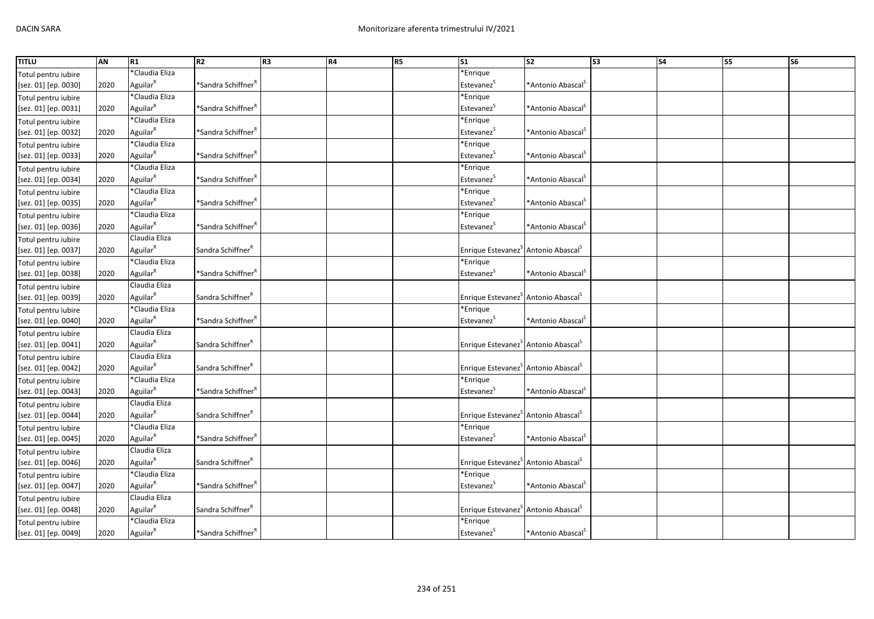| <b>TITLU</b>         | AN   | R1                   | R <sub>2</sub>                                  | R <sub>3</sub> | R4 | R <sub>5</sub> | $\overline{\text{s1}}$                                      | $\overline{\text{S2}}$        | $\overline{\text{S3}}$ | $\overline{\phantom{a}}$ S4 | $\overline{\text{S}}$ | <b>S6</b> |
|----------------------|------|----------------------|-------------------------------------------------|----------------|----|----------------|-------------------------------------------------------------|-------------------------------|------------------------|-----------------------------|-----------------------|-----------|
| Totul pentru iubire  |      | *Claudia Eliza       |                                                 |                |    |                | *Enrique                                                    |                               |                        |                             |                       |           |
| [sez. 01] [ep. 0030] | 2020 | Aguilar <sup>R</sup> | *Sandra Schiffner <sup>F</sup>                  |                |    |                | Estevanez <sup>S</sup>                                      | *Antonio Abascal <sup>S</sup> |                        |                             |                       |           |
| Totul pentru iubire  |      | *Claudia Eliza       |                                                 |                |    |                | *Enrique                                                    |                               |                        |                             |                       |           |
| [sez. 01] [ep. 0031] | 2020 | Aguilar <sup>R</sup> | *Sandra Schiffner <sup>†</sup>                  |                |    |                | Estevanez <sup>S</sup>                                      | *Antonio Abascal <sup>S</sup> |                        |                             |                       |           |
| Totul pentru iubire  |      | *Claudia Eliza       |                                                 |                |    |                | *Enrique                                                    |                               |                        |                             |                       |           |
| [sez. 01] [ep. 0032] | 2020 | Aguilar <sup>R</sup> | *Sandra Schiffner <sup>r</sup>                  |                |    |                | Estevanez <sup>S</sup>                                      | *Antonio Abascal <sup>S</sup> |                        |                             |                       |           |
| Totul pentru iubire  |      | *Claudia Eliza       |                                                 |                |    |                | *Enrique                                                    |                               |                        |                             |                       |           |
| [sez. 01] [ep. 0033] | 2020 | Aguilar <sup>R</sup> | *Sandra Schiffner <sup>R</sup>                  |                |    |                | Estevanez <sup>S</sup>                                      | *Antonio Abascal <sup>5</sup> |                        |                             |                       |           |
| Totul pentru iubire  |      | *Claudia Eliza       |                                                 |                |    |                | *Enrique                                                    |                               |                        |                             |                       |           |
| [sez. 01] [ep. 0034] | 2020 | Aguilar <sup>R</sup> | *Sandra Schiffner $^{\text{\tiny{\textsf{F}}}}$ |                |    |                | Estevanez <sup>S</sup>                                      | *Antonio Abascal <sup>S</sup> |                        |                             |                       |           |
| Totul pentru iubire  |      | *Claudia Eliza       |                                                 |                |    |                | *Enrique                                                    |                               |                        |                             |                       |           |
| [sez. 01] [ep. 0035] | 2020 | Aguilar <sup>R</sup> | *Sandra Schiffner <sup>r</sup>                  |                |    |                | Estevanez <sup>S</sup>                                      | *Antonio Abascal <sup>S</sup> |                        |                             |                       |           |
| Totul pentru iubire  |      | *Claudia Eliza       |                                                 |                |    |                | *Enrique                                                    |                               |                        |                             |                       |           |
| [sez. 01] [ep. 0036] | 2020 | Aguilar <sup>R</sup> | *Sandra Schiffner <sup>r</sup>                  |                |    |                | Estevanez <sup>5</sup>                                      | *Antonio Abascal <sup>S</sup> |                        |                             |                       |           |
| Totul pentru iubire  |      | Claudia Eliza        |                                                 |                |    |                |                                                             |                               |                        |                             |                       |           |
| [sez. 01] [ep. 0037] | 2020 | Aguilar <sup>R</sup> | Sandra Schiffner <sup>"</sup>                   |                |    |                | Enrique Estevanez <sup>S</sup> Antonio Abascal <sup>S</sup> |                               |                        |                             |                       |           |
| Totul pentru iubire  |      | *Claudia Eliza       |                                                 |                |    |                | *Enrique                                                    |                               |                        |                             |                       |           |
| [sez. 01] [ep. 0038] | 2020 | Aguilar <sup>R</sup> | *Sandra Schiffner <sup>F</sup>                  |                |    |                | Estevanez <sup>S</sup>                                      | *Antonio Abascal <sup>S</sup> |                        |                             |                       |           |
| Totul pentru iubire  |      | Claudia Eliza        |                                                 |                |    |                |                                                             |                               |                        |                             |                       |           |
| [sez. 01] [ep. 0039] | 2020 | Aguilar <sup>R</sup> | Sandra Schiffner <sup>k</sup>                   |                |    |                | Enrique Estevanez <sup>S</sup> Antonio Abascal <sup>S</sup> |                               |                        |                             |                       |           |
| Totul pentru iubire  |      | *Claudia Eliza       |                                                 |                |    |                | *Enrique                                                    |                               |                        |                             |                       |           |
| [sez. 01] [ep. 0040] | 2020 | Aguilar <sup>R</sup> | *Sandra Schiffner <sup>"</sup>                  |                |    |                | Estevanez <sup>S</sup>                                      | *Antonio Abascal <sup>5</sup> |                        |                             |                       |           |
| Totul pentru iubire  |      | Claudia Eliza        |                                                 |                |    |                |                                                             |                               |                        |                             |                       |           |
| [sez. 01] [ep. 0041] | 2020 | Aguilar <sup>R</sup> | Sandra Schiffner <sup>R</sup>                   |                |    |                | Enrique Estevanez <sup>S</sup> Antonio Abascal <sup>S</sup> |                               |                        |                             |                       |           |
| Totul pentru iubire  |      | Claudia Eliza        |                                                 |                |    |                |                                                             |                               |                        |                             |                       |           |
| [sez. 01] [ep. 0042] | 2020 | Aguilar <sup>R</sup> | Sandra Schiffner <sup>R</sup>                   |                |    |                | Enrique Estevanez <sup>S</sup> Antonio Abascal <sup>S</sup> |                               |                        |                             |                       |           |
| Totul pentru iubire  |      | *Claudia Eliza       |                                                 |                |    |                | *Enrique                                                    |                               |                        |                             |                       |           |
| [sez. 01] [ep. 0043] | 2020 | Aguilar <sup>R</sup> | *Sandra Schiffner <sup>r</sup>                  |                |    |                | Estevanez <sup>S</sup>                                      | *Antonio Abascal <sup>S</sup> |                        |                             |                       |           |
| Totul pentru iubire  |      | Claudia Eliza        |                                                 |                |    |                |                                                             |                               |                        |                             |                       |           |
| [sez. 01] [ep. 0044] | 2020 | Aguilar <sup>R</sup> | Sandra Schiffner <sup>R</sup>                   |                |    |                | Enrique Estevanez <sup>S</sup> Antonio Abascal <sup>S</sup> |                               |                        |                             |                       |           |
| Totul pentru iubire  |      | *Claudia Eliza       |                                                 |                |    |                | *Enrique                                                    |                               |                        |                             |                       |           |
| [sez. 01] [ep. 0045] | 2020 | Aguilar <sup>R</sup> | *Sandra Schiffner $^{\text{\tiny{\textsf{F}}}}$ |                |    |                | Estevanez <sup>S</sup>                                      | *Antonio Abascal <sup>S</sup> |                        |                             |                       |           |
| Totul pentru iubire  |      | Claudia Eliza        |                                                 |                |    |                |                                                             |                               |                        |                             |                       |           |
| [sez. 01] [ep. 0046] | 2020 | Aguilar <sup>R</sup> | Sandra Schiffner <sup>R</sup>                   |                |    |                | Enrique Estevanez <sup>S</sup> Antonio Abascal <sup>S</sup> |                               |                        |                             |                       |           |
| Totul pentru iubire  |      | *Claudia Eliza       |                                                 |                |    |                | *Enrique                                                    |                               |                        |                             |                       |           |
| [sez. 01] [ep. 0047] | 2020 | Aguilar <sup>R</sup> | *Sandra Schiffner <sup>F</sup>                  |                |    |                | Estevanez <sup>5</sup>                                      | *Antonio Abascal <sup>5</sup> |                        |                             |                       |           |
| Totul pentru iubire  |      | Claudia Eliza        |                                                 |                |    |                |                                                             |                               |                        |                             |                       |           |
| [sez. 01] [ep. 0048] | 2020 | Aguilar              | Sandra Schiffner <sup>"</sup>                   |                |    |                | Enrique Estevanez <sup>S</sup> Antonio Abascal <sup>S</sup> |                               |                        |                             |                       |           |
| Totul pentru iubire  |      | *Claudia Eliza       |                                                 |                |    |                | *Enrique                                                    |                               |                        |                             |                       |           |
| [sez. 01] [ep. 0049] | 2020 | Aguilar <sup>R</sup> | *Sandra Schiffner <sup>F</sup>                  |                |    |                | Estevanez <sup>S</sup>                                      | *Antonio Abascal <sup>5</sup> |                        |                             |                       |           |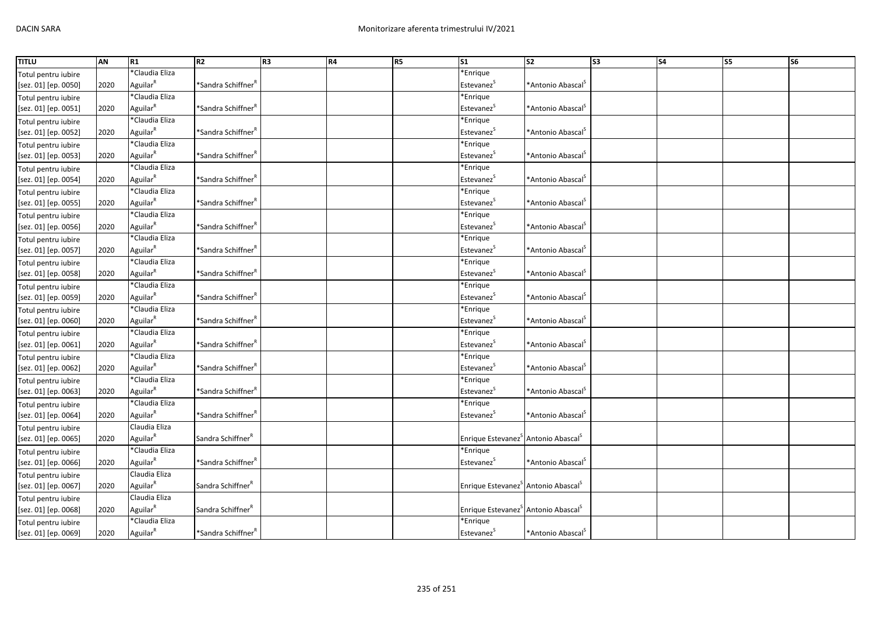| <b>TITLU</b>         | AN   | R1                   | R <sub>2</sub>                                  | R <sub>3</sub> | R4 | R5 | S <sub>1</sub>                                              | S <sub>2</sub>                | S <sub>3</sub> | <b>S4</b> | $\overline{\text{S}}$ | <b>S6</b> |
|----------------------|------|----------------------|-------------------------------------------------|----------------|----|----|-------------------------------------------------------------|-------------------------------|----------------|-----------|-----------------------|-----------|
| Totul pentru iubire  |      | *Claudia Eliza       |                                                 |                |    |    | *Enrique                                                    |                               |                |           |                       |           |
| [sez. 01] [ep. 0050] | 2020 | Aguilar <sup>R</sup> | *Sandra Schiffner <sup>F</sup>                  |                |    |    | Estevanez <sup>S</sup>                                      | *Antonio Abascal <sup>S</sup> |                |           |                       |           |
| Totul pentru iubire  |      | *Claudia Eliza       |                                                 |                |    |    | *Enrique                                                    |                               |                |           |                       |           |
| [sez. 01] [ep. 0051] | 2020 | Aguilar <sup>R</sup> | *Sandra Schiffner <sup>F</sup>                  |                |    |    | Estevanez <sup>S</sup>                                      | *Antonio Abascal <sup>5</sup> |                |           |                       |           |
| Totul pentru iubire  |      | *Claudia Eliza       |                                                 |                |    |    | *Enrique                                                    |                               |                |           |                       |           |
| [sez. 01] [ep. 0052] | 2020 | Aguilar <sup>R</sup> | *Sandra Schiffner <sup>r</sup>                  |                |    |    | Estevanez <sup>S</sup>                                      | *Antonio Abascal <sup>S</sup> |                |           |                       |           |
| Totul pentru iubire  |      | *Claudia Eliza       |                                                 |                |    |    | *Enrique                                                    |                               |                |           |                       |           |
| [sez. 01] [ep. 0053] | 2020 | Aguilar <sup>R</sup> | *Sandra Schiffner <sup>R</sup>                  |                |    |    | Estevanez <sup>S</sup>                                      | *Antonio Abascal <sup>5</sup> |                |           |                       |           |
| Totul pentru iubire  |      | *Claudia Eliza       |                                                 |                |    |    | *Enrique                                                    |                               |                |           |                       |           |
| [sez. 01] [ep. 0054] | 2020 | Aguilar <sup>R</sup> | *Sandra Schiffner <sup>r</sup>                  |                |    |    | Estevanez <sup>S</sup>                                      | *Antonio Abascal <sup>S</sup> |                |           |                       |           |
| Totul pentru iubire  |      | *Claudia Eliza       |                                                 |                |    |    | *Enrique                                                    |                               |                |           |                       |           |
| [sez. 01] [ep. 0055] | 2020 | Aguilar <sup>R</sup> | *Sandra Schiffner <sup>r</sup>                  |                |    |    | Estevanez <sup>S</sup>                                      | *Antonio Abascal <sup>S</sup> |                |           |                       |           |
| Totul pentru iubire  |      | *Claudia Eliza       |                                                 |                |    |    | *Enrique                                                    |                               |                |           |                       |           |
| [sez. 01] [ep. 0056] | 2020 | Aguilar <sup>R</sup> | *Sandra Schiffner <sup>r</sup>                  |                |    |    | Estevanez <sup>S</sup>                                      | *Antonio Abascal <sup>5</sup> |                |           |                       |           |
| Totul pentru iubire  |      | *Claudia Eliza       |                                                 |                |    |    | *Enrique                                                    |                               |                |           |                       |           |
| [sez. 01] [ep. 0057] | 2020 | Aguilar <sup>R</sup> | *Sandra Schiffner $^{\text{\tiny{\textsf{F}}}}$ |                |    |    | Estevanez <sup>S</sup>                                      | *Antonio Abascal <sup>5</sup> |                |           |                       |           |
| Totul pentru iubire  |      | *Claudia Eliza       |                                                 |                |    |    | *Enrique                                                    |                               |                |           |                       |           |
| [sez. 01] [ep. 0058] | 2020 | Aguilar <sup>R</sup> | *Sandra Schiffner <sup>F</sup>                  |                |    |    | Estevanez <sup>S</sup>                                      | *Antonio Abascal <sup>5</sup> |                |           |                       |           |
| Totul pentru iubire  |      | *Claudia Eliza       |                                                 |                |    |    | *Enrique                                                    |                               |                |           |                       |           |
| [sez. 01] [ep. 0059] | 2020 | Aguilar <sup>R</sup> | *Sandra Schiffner <sup>r</sup>                  |                |    |    | Estevanez <sup>5</sup>                                      | *Antonio Abascal <sup>5</sup> |                |           |                       |           |
| Totul pentru iubire  |      | *Claudia Eliza       |                                                 |                |    |    | *Enrique                                                    |                               |                |           |                       |           |
| [sez. 01] [ep. 0060] | 2020 | Aguilar <sup>R</sup> | *Sandra Schiffner <sup>"</sup>                  |                |    |    | Estevanez <sup>S</sup>                                      | *Antonio Abascal <sup>5</sup> |                |           |                       |           |
| Totul pentru iubire  |      | *Claudia Eliza       |                                                 |                |    |    | *Enrique                                                    |                               |                |           |                       |           |
| [sez. 01] [ep. 0061] | 2020 | Aguilar <sup>R</sup> | *Sandra Schiffner <sup>F</sup>                  |                |    |    | Estevanez <sup>S</sup>                                      | *Antonio Abascal <sup>S</sup> |                |           |                       |           |
| Totul pentru iubire  |      | *Claudia Eliza       |                                                 |                |    |    | *Enrique                                                    |                               |                |           |                       |           |
| [sez. 01] [ep. 0062] | 2020 | Aguilar <sup>R</sup> | *Sandra Schiffner <sup>F</sup>                  |                |    |    | Estevanez                                                   | *Antonio Abascal <sup>S</sup> |                |           |                       |           |
| Totul pentru iubire  |      | *Claudia Eliza       |                                                 |                |    |    | *Enrique                                                    |                               |                |           |                       |           |
| [sez. 01] [ep. 0063] | 2020 | Aguilar <sup>R</sup> | *Sandra Schiffner <sup>r</sup>                  |                |    |    | Estevanez <sup>S</sup>                                      | *Antonio Abascal <sup>5</sup> |                |           |                       |           |
| Totul pentru iubire  |      | *Claudia Eliza       |                                                 |                |    |    | *Enrique                                                    |                               |                |           |                       |           |
| [sez. 01] [ep. 0064] | 2020 | Aguilar <sup>R</sup> | *Sandra Schiffner <sup>"</sup>                  |                |    |    | Estevanez <sup>5</sup>                                      | *Antonio Abascal <sup>S</sup> |                |           |                       |           |
| Totul pentru iubire  |      | Claudia Eliza        |                                                 |                |    |    |                                                             |                               |                |           |                       |           |
| [sez. 01] [ep. 0065] | 2020 | Aguilar <sup>R</sup> | Sandra Schiffner <sup>"</sup>                   |                |    |    | Enrique Estevanez <sup>S</sup> Antonio Abascal <sup>S</sup> |                               |                |           |                       |           |
| Totul pentru iubire  |      | *Claudia Eliza       |                                                 |                |    |    | *Enrique                                                    |                               |                |           |                       |           |
| [sez. 01] [ep. 0066] | 2020 | Aguilar <sup>R</sup> | *Sandra Schiffner                               |                |    |    | Estevanez <sup>5</sup>                                      | *Antonio Abascal <sup>5</sup> |                |           |                       |           |
| Totul pentru iubire  |      | Claudia Eliza        |                                                 |                |    |    |                                                             |                               |                |           |                       |           |
| [sez. 01] [ep. 0067] | 2020 | Aguilar <sup>R</sup> | Sandra Schiffner <sup>R</sup>                   |                |    |    | Enrique Estevanez <sup>S</sup> Antonio Abascal <sup>S</sup> |                               |                |           |                       |           |
| Totul pentru iubire  |      | Claudia Eliza        |                                                 |                |    |    |                                                             |                               |                |           |                       |           |
| [sez. 01] [ep. 0068] | 2020 | Aguilar <sup>R</sup> | Sandra Schiffner <sup>"</sup>                   |                |    |    | Enrique Estevanez <sup>5</sup> Antonio Abascal <sup>S</sup> |                               |                |           |                       |           |
| Totul pentru iubire  |      | *Claudia Eliza       |                                                 |                |    |    | *Enrique                                                    |                               |                |           |                       |           |
| [sez. 01] [ep. 0069] | 2020 | Aguilar <sup>R</sup> | *Sandra Schiffner <sup>F</sup>                  |                |    |    | Estevanez <sup>S</sup>                                      | *Antonio Abascal <sup>S</sup> |                |           |                       |           |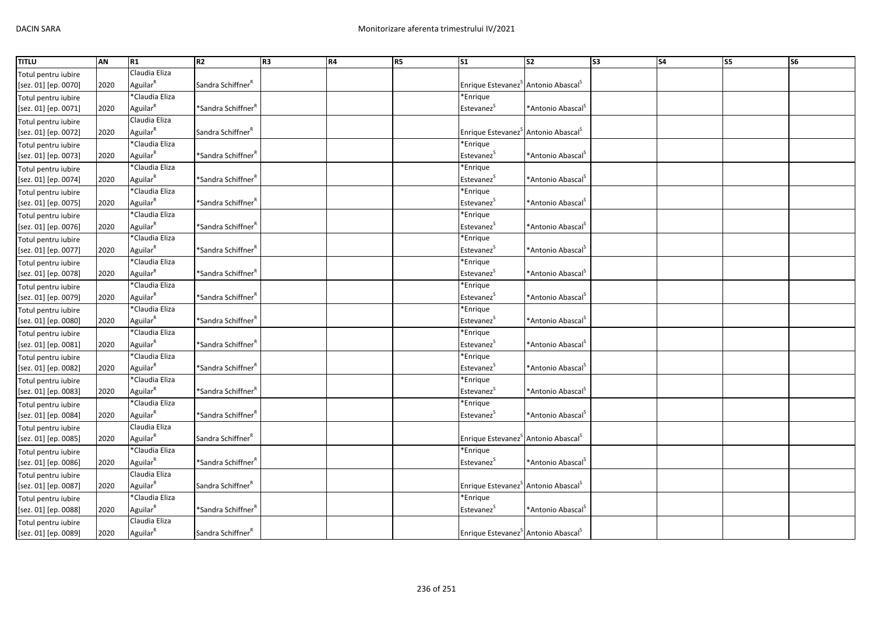| <b>TITLU</b>         | AN   | R1                   | R2                                              | R <sub>3</sub> | R4 | R5 | $\mathsf{S}1$                                               | S <sub>2</sub>                   | S <sub>3</sub> | <b>S4</b> | $\overline{\text{S}}$ | $\overline{\text{S6}}$ |
|----------------------|------|----------------------|-------------------------------------------------|----------------|----|----|-------------------------------------------------------------|----------------------------------|----------------|-----------|-----------------------|------------------------|
| Totul pentru iubire  |      | Claudia Eliza        |                                                 |                |    |    |                                                             |                                  |                |           |                       |                        |
| [sez. 01] [ep. 0070] | 2020 | Aguilar <sup>R</sup> | Sandra Schiffner <sup>R</sup>                   |                |    |    | Enrique Estevanez <sup>S</sup> Antonio Abascal <sup>S</sup> |                                  |                |           |                       |                        |
| Totul pentru iubire  |      | *Claudia Eliza       |                                                 |                |    |    | *Enrique                                                    |                                  |                |           |                       |                        |
| [sez. 01] [ep. 0071] | 2020 | Aguilar <sup>R</sup> | *Sandra Schiffner <sup>F</sup>                  |                |    |    | Estevanez <sup>S</sup>                                      | *Antonio Abascal <sup>5</sup>    |                |           |                       |                        |
| Totul pentru iubire  |      | Claudia Eliza        |                                                 |                |    |    |                                                             |                                  |                |           |                       |                        |
| [sez. 01] [ep. 0072] | 2020 | Aguilar <sup>R</sup> | Sandra Schiffner <sup>R</sup>                   |                |    |    | Enrique Estevanez <sup>S</sup> Antonio Abascal <sup>S</sup> |                                  |                |           |                       |                        |
| Totul pentru iubire  |      | *Claudia Eliza       |                                                 |                |    |    | *Enrique                                                    |                                  |                |           |                       |                        |
| [sez. 01] [ep. 0073] | 2020 | Aguilar <sup>R</sup> | *Sandra Schiffner <sup>R</sup>                  |                |    |    | Estevanez <sup>S</sup>                                      | *Antonio Abascal <sup>S</sup>    |                |           |                       |                        |
| Totul pentru iubire  |      | *Claudia Eliza       |                                                 |                |    |    | *Enrique                                                    |                                  |                |           |                       |                        |
| [sez. 01] [ep. 0074] | 2020 | Aguilar <sup>R</sup> | *Sandra Schiffner'                              |                |    |    | Estevanez <sup>5</sup>                                      | *Antonio Abascal <sup>5</sup>    |                |           |                       |                        |
| Totul pentru iubire  |      | *Claudia Eliza       |                                                 |                |    |    | *Enrique                                                    |                                  |                |           |                       |                        |
| [sez. 01] [ep. 0075] | 2020 | Aguilar <sup>R</sup> | *Sandra Schiffner <sup>F</sup>                  |                |    |    | Estevanez <sup>S</sup>                                      | *Antonio Abascal <sup>S</sup>    |                |           |                       |                        |
| Totul pentru iubire  |      | *Claudia Eliza       |                                                 |                |    |    | *Enrique                                                    |                                  |                |           |                       |                        |
| [sez. 01] [ep. 0076] | 2020 | Aguilar <sup>R</sup> | *Sandra Schiffner <sup>ĸ</sup>                  |                |    |    | Estevanez <sup>S</sup>                                      | *Antonio Abascal <sup>5</sup>    |                |           |                       |                        |
| Totul pentru iubire  |      | *Claudia Eliza       |                                                 |                |    |    | *Enrique                                                    |                                  |                |           |                       |                        |
| [sez. 01] [ep. 0077] | 2020 | Aguilar <sup>R</sup> | *Sandra Schiffner <sup>"</sup>                  |                |    |    | Estevanez <sup>S</sup>                                      | *Antonio Abascal <sup>5</sup>    |                |           |                       |                        |
| Totul pentru iubire  |      | *Claudia Eliza       |                                                 |                |    |    | *Enrique                                                    |                                  |                |           |                       |                        |
| [sez. 01] [ep. 0078] | 2020 | Aguilar <sup>R</sup> | *Sandra Schiffner <sup>F</sup>                  |                |    |    | Estevanez <sup>5</sup>                                      | *Antonio Abascal <sup>5</sup>    |                |           |                       |                        |
| Totul pentru iubire  |      | *Claudia Eliza       |                                                 |                |    |    | *Enrique                                                    |                                  |                |           |                       |                        |
| [sez. 01] [ep. 0079] | 2020 | Aguilar <sup>R</sup> | *Sandra Schiffner $^{\text{\tiny{\textsf{F}}}}$ |                |    |    | Estevanez <sup>5</sup>                                      | *Antonio Abascal <sup>5</sup>    |                |           |                       |                        |
| Totul pentru iubire  |      | *Claudia Eliza       |                                                 |                |    |    | *Enrique                                                    |                                  |                |           |                       |                        |
| [sez. 01] [ep. 0080] | 2020 | Aguilar <sup>R</sup> | *Sandra Schiffner <sup>"</sup>                  |                |    |    | Estevanez <sup>S</sup>                                      | *Antonio Abascal <sup>S</sup>    |                |           |                       |                        |
| Totul pentru iubire  |      | *Claudia Eliza       |                                                 |                |    |    | *Enrique                                                    |                                  |                |           |                       |                        |
| [sez. 01] [ep. 0081] | 2020 | Aguilar <sup>R</sup> | *Sandra Schiffner <sup>r</sup>                  |                |    |    | Estevanez <sup>S</sup>                                      | *Antonio Abascal <sup>S</sup>    |                |           |                       |                        |
| Totul pentru iubire  |      | *Claudia Eliza       |                                                 |                |    |    | *Enrique                                                    |                                  |                |           |                       |                        |
| [sez. 01] [ep. 0082] | 2020 | Aguilar <sup>R</sup> | *Sandra Schiffner <sup>"</sup>                  |                |    |    | Estevanez <sup>5</sup>                                      | *Antonio Abascal <sup>&gt;</sup> |                |           |                       |                        |
| Totul pentru iubire  |      | *Claudia Eliza       |                                                 |                |    |    | *Enrique                                                    |                                  |                |           |                       |                        |
| [sez. 01] [ep. 0083] | 2020 | Aguilar <sup>R</sup> | *Sandra Schiffner <sup>r</sup>                  |                |    |    | Estevanez <sup>5</sup>                                      | *Antonio Abascal <sup>5</sup>    |                |           |                       |                        |
| Totul pentru iubire  |      | *Claudia Eliza       |                                                 |                |    |    | *Enrique                                                    |                                  |                |           |                       |                        |
| [sez. 01] [ep. 0084] | 2020 | Aguilar <sup>R</sup> | *Sandra Schiffner <sup>"</sup>                  |                |    |    | Estevanez <sup>5</sup>                                      | *Antonio Abascal <sup>5</sup>    |                |           |                       |                        |
| Totul pentru iubire  |      | Claudia Eliza        |                                                 |                |    |    |                                                             |                                  |                |           |                       |                        |
| [sez. 01] [ep. 0085] | 2020 | Aguilar <sup>R</sup> | Sandra Schiffner <sup>R</sup>                   |                |    |    | Enrique Estevanez <sup>5</sup> Antonio Abascal <sup>5</sup> |                                  |                |           |                       |                        |
| Totul pentru iubire  |      | *Claudia Eliza       |                                                 |                |    |    | *Enrique                                                    |                                  |                |           |                       |                        |
| [sez. 01] [ep. 0086] | 2020 | Aguilar <sup>R</sup> | *Sandra Schiffner <sup>"</sup>                  |                |    |    | Estevanez <sup>S</sup>                                      | *Antonio Abascal <sup>S</sup>    |                |           |                       |                        |
| Totul pentru iubire  |      | Claudia Eliza        |                                                 |                |    |    |                                                             |                                  |                |           |                       |                        |
| [sez. 01] [ep. 0087] | 2020 | Aguilar <sup>R</sup> | Sandra Schiffner <sup>R</sup>                   |                |    |    | Enrique Estevanez <sup>S</sup> Antonio Abascal <sup>S</sup> |                                  |                |           |                       |                        |
| Totul pentru iubire  |      | *Claudia Eliza       |                                                 |                |    |    | *Enrique                                                    |                                  |                |           |                       |                        |
| [sez. 01] [ep. 0088] | 2020 | Aguilar <sup>R</sup> | *Sandra Schiffner <sup>'</sup>                  |                |    |    | Estevanez <sup>5</sup>                                      | *Antonio Abascal <sup>&gt;</sup> |                |           |                       |                        |
| Totul pentru iubire  |      | Claudia Eliza        |                                                 |                |    |    |                                                             |                                  |                |           |                       |                        |
| [sez. 01] [ep. 0089] | 2020 | Aguilar <sup>R</sup> | Sandra Schiffner <sup>R</sup>                   |                |    |    | Enrique Estevanez <sup>S</sup> Antonio Abascal <sup>S</sup> |                                  |                |           |                       |                        |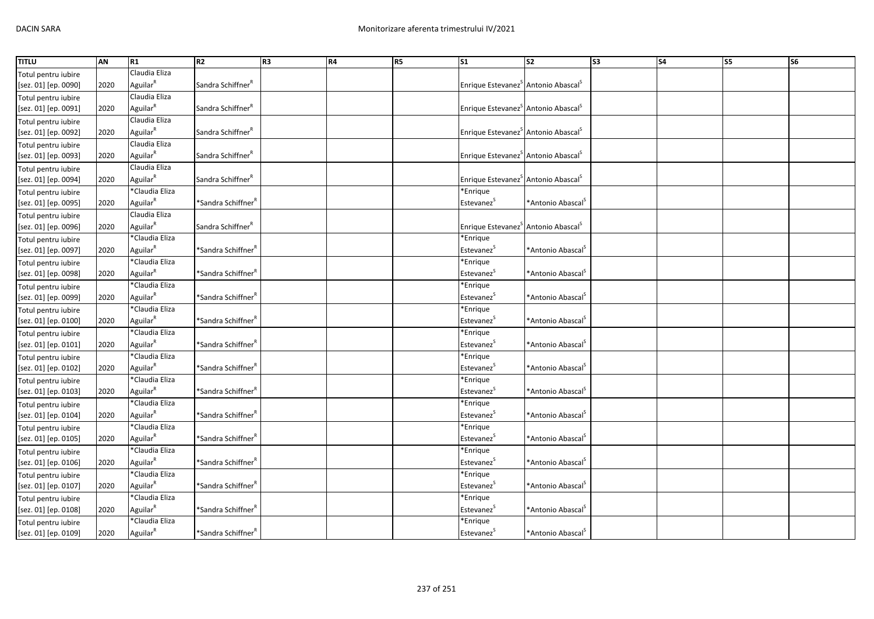| <b>TITLU</b>         | AN   | R1                   | R <sub>2</sub>                 | R <sub>3</sub> | <b>R4</b> | R <sub>5</sub> | $\mathsf{S}1$                                                  | <b>S2</b>                        | S <sub>3</sub> | <b>S4</b> | S5 | S <sub>6</sub> |
|----------------------|------|----------------------|--------------------------------|----------------|-----------|----------------|----------------------------------------------------------------|----------------------------------|----------------|-----------|----|----------------|
| Totul pentru iubire  |      | Claudia Eliza        |                                |                |           |                |                                                                |                                  |                |           |    |                |
| [sez. 01] [ep. 0090] | 2020 | Aguilar <sup>R</sup> | Sandra Schiffner <sup>R</sup>  |                |           |                | Enrique Estevanez <sup>&gt;</sup> Antonio Abascal <sup>5</sup> |                                  |                |           |    |                |
| Totul pentru iubire  |      | Claudia Eliza        |                                |                |           |                |                                                                |                                  |                |           |    |                |
| [sez. 01] [ep. 0091] | 2020 | Aguilar <sup>R</sup> | Sandra Schiffner <sup>"</sup>  |                |           |                | Enrique Estevanez <sup>S</sup> Antonio Abascal <sup>S</sup>    |                                  |                |           |    |                |
| Totul pentru iubire  |      | Claudia Eliza        |                                |                |           |                |                                                                |                                  |                |           |    |                |
| [sez. 01] [ep. 0092] | 2020 | Aguilar <sup>R</sup> | Sandra Schiffner <sup>R</sup>  |                |           |                | Enrique Estevanez <sup>S</sup> Antonio Abascal <sup>S</sup>    |                                  |                |           |    |                |
| Totul pentru iubire  |      | Claudia Eliza        |                                |                |           |                |                                                                |                                  |                |           |    |                |
| [sez. 01] [ep. 0093] | 2020 | Aguilar <sup>R</sup> | Sandra Schiffner <sup>R</sup>  |                |           |                | Enrique Estevanez <sup>S</sup> Antonio Abascal <sup>S</sup>    |                                  |                |           |    |                |
| Totul pentru iubire  |      | Claudia Eliza        |                                |                |           |                |                                                                |                                  |                |           |    |                |
| [sez. 01] [ep. 0094] | 2020 | Aguilar <sup>R</sup> | Sandra Schiffner <sup>"</sup>  |                |           |                | Enrique Estevanez <sup>3</sup> Antonio Abascal <sup>3</sup>    |                                  |                |           |    |                |
| Totul pentru iubire  |      | *Claudia Eliza       |                                |                |           |                | *Enrique                                                       |                                  |                |           |    |                |
| [sez. 01] [ep. 0095] | 2020 | Aguilar <sup>R</sup> | *Sandra Schiffner <sup>F</sup> |                |           |                | Estevanez <sup>S</sup>                                         | *Antonio Abascal <sup>S</sup>    |                |           |    |                |
| Totul pentru iubire  |      | Claudia Eliza        |                                |                |           |                |                                                                |                                  |                |           |    |                |
| [sez. 01] [ep. 0096] | 2020 | Aguilar <sup>R</sup> | Sandra Schiffner <sup>"</sup>  |                |           |                | Enrique Estevanez <sup>S</sup> Antonio Abascal <sup>S</sup>    |                                  |                |           |    |                |
| Totul pentru iubire  |      | *Claudia Eliza       |                                |                |           |                | *Enrique                                                       |                                  |                |           |    |                |
| [sez. 01] [ep. 0097] | 2020 | Aguilar <sup>R</sup> | *Sandra Schiffner <sup>r</sup> |                |           |                | Estevanez <sup>S</sup>                                         | *Antonio Abascal <sup>5</sup>    |                |           |    |                |
| Totul pentru iubire  |      | *Claudia Eliza       |                                |                |           |                | *Enrique                                                       |                                  |                |           |    |                |
| [sez. 01] [ep. 0098] | 2020 | Aguilar <sup>R</sup> | *Sandra Schiffner <sup>F</sup> |                |           |                | Estevanez <sup>S</sup>                                         | *Antonio Abascal <sup>5</sup>    |                |           |    |                |
| Totul pentru iubire  |      | *Claudia Eliza       |                                |                |           |                | *Enrique                                                       |                                  |                |           |    |                |
| [sez. 01] [ep. 0099] | 2020 | Aguilar <sup>R</sup> | *Sandra Schiffner <sup>r</sup> |                |           |                | Estevanez <sup>S</sup>                                         | *Antonio Abascal <sup>5</sup>    |                |           |    |                |
| Totul pentru iubire  |      | *Claudia Eliza       |                                |                |           |                | *Enrique                                                       |                                  |                |           |    |                |
| [sez. 01] [ep. 0100] | 2020 | Aguilar <sup>R</sup> | *Sandra Schiffner <sup>"</sup> |                |           |                | Estevanez <sup>S</sup>                                         | *Antonio Abascal <sup>5</sup>    |                |           |    |                |
| Totul pentru iubire  |      | *Claudia Eliza       |                                |                |           |                | *Enrique                                                       |                                  |                |           |    |                |
| [sez. 01] [ep. 0101] | 2020 | Aguilar <sup>R</sup> | *Sandra Schiffner <sup>F</sup> |                |           |                | Estevanez <sup>S</sup>                                         | *Antonio Abascal <sup>S</sup>    |                |           |    |                |
| Totul pentru iubire  |      | *Claudia Eliza       |                                |                |           |                | *Enrique                                                       |                                  |                |           |    |                |
| [sez. 01] [ep. 0102] | 2020 | Aguilar <sup>R</sup> | *Sandra Schiffner <sup>"</sup> |                |           |                | Estevanez                                                      | *Antonio Abascal <sup>S</sup>    |                |           |    |                |
| Totul pentru iubire  |      | *Claudia Eliza       |                                |                |           |                | *Enrique                                                       |                                  |                |           |    |                |
| [sez. 01] [ep. 0103] | 2020 | Aguilar <sup>R</sup> | *Sandra Schiffner <sup>F</sup> |                |           |                | Estevanez <sup>S</sup>                                         | *Antonio Abascal <sup>S</sup>    |                |           |    |                |
| Totul pentru iubire  |      | *Claudia Eliza       |                                |                |           |                | *Enrique                                                       |                                  |                |           |    |                |
| [sez. 01] [ep. 0104] | 2020 | Aguilar <sup>R</sup> | *Sandra Schiffner <sup>F</sup> |                |           |                | Estevanez <sup>5</sup>                                         | *Antonio Abascal <sup>5</sup>    |                |           |    |                |
| Totul pentru iubire  |      | *Claudia Eliza       |                                |                |           |                | *Enrique                                                       |                                  |                |           |    |                |
| [sez. 01] [ep. 0105] | 2020 | Aguilar <sup>R</sup> | *Sandra Schiffner <sup>F</sup> |                |           |                | Estevanez                                                      | *Antonio Abascal <sup>5</sup>    |                |           |    |                |
| Totul pentru iubire  |      | *Claudia Eliza       |                                |                |           |                | *Enrique                                                       |                                  |                |           |    |                |
| [sez. 01] [ep. 0106] | 2020 | Aguilar <sup>R</sup> | *Sandra Schiffner <sup>"</sup> |                |           |                | Estevanez                                                      | *Antonio Abascal <sup>S</sup>    |                |           |    |                |
| Totul pentru iubire  |      | *Claudia Eliza       |                                |                |           |                | *Enrique                                                       |                                  |                |           |    |                |
| [sez. 01] [ep. 0107] | 2020 | Aguilar <sup>R</sup> | *Sandra Schiffner <sup>F</sup> |                |           |                | Estevanez <sup>S</sup>                                         | *Antonio Abascal <sup>S</sup>    |                |           |    |                |
| Totul pentru iubire  |      | *Claudia Eliza       |                                |                |           |                | *Enrique                                                       |                                  |                |           |    |                |
| [sez. 01] [ep. 0108] | 2020 | Aguilar <sup>R</sup> | *Sandra Schiffner <sup>'</sup> |                |           |                | Estevanez <sup>5</sup>                                         | *Antonio Abascal <sup>&gt;</sup> |                |           |    |                |
| Totul pentru iubire  |      | *Claudia Eliza       |                                |                |           |                | *Enrique                                                       |                                  |                |           |    |                |
| [sez. 01] [ep. 0109] | 2020 | Aguilar <sup>R</sup> | *Sandra Schiffner <sup>*</sup> |                |           |                | Estevanez                                                      | *Antonio Abascal <sup>5</sup>    |                |           |    |                |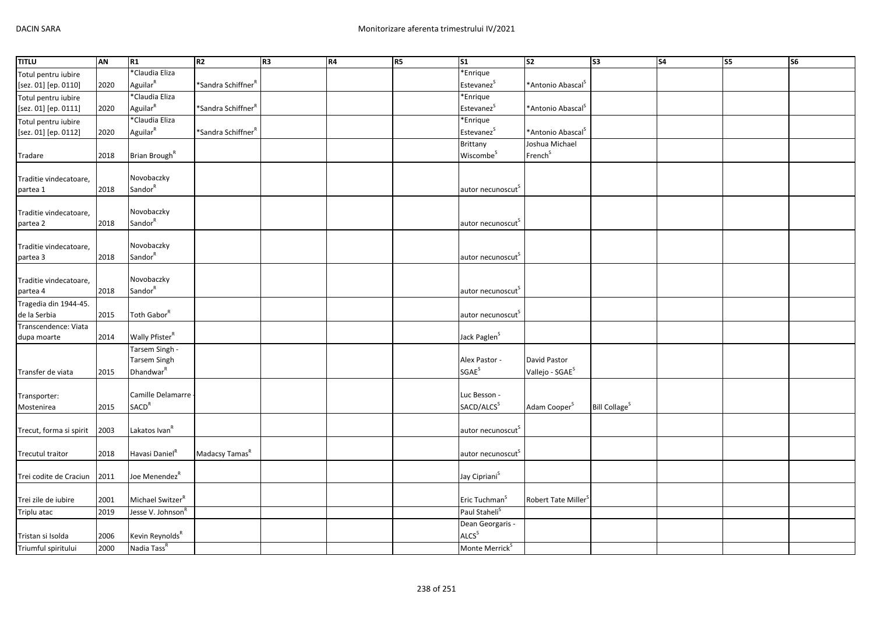| <b>TITLU</b>            | AN   | R1                           | R <sub>2</sub>                 | R <sub>3</sub> | R <sub>4</sub> | R <sub>5</sub> | S <sub>1</sub>                | $\overline{\text{S2}}$        | $\overline{\text{S3}}$          | $\overline{\text{S4}}$ | S <sub>5</sub> | $\overline{\text{S6}}$ |
|-------------------------|------|------------------------------|--------------------------------|----------------|----------------|----------------|-------------------------------|-------------------------------|---------------------------------|------------------------|----------------|------------------------|
| Totul pentru iubire     |      | *Claudia Eliza               |                                |                |                |                | *Enrique                      |                               |                                 |                        |                |                        |
| [sez. 01] [ep. 0110]    | 2020 | Aguilar <sup>R</sup>         | *Sandra Schiffner <sup>F</sup> |                |                |                | Estevanez <sup>S</sup>        | *Antonio Abascal <sup>S</sup> |                                 |                        |                |                        |
| Totul pentru iubire     |      | *Claudia Eliza               |                                |                |                |                | *Enrique                      |                               |                                 |                        |                |                        |
| [sez. 01] [ep. 0111]    | 2020 | Aguilar <sup>R</sup>         | *Sandra Schiffner <sup>F</sup> |                |                |                | Estevanez <sup>S</sup>        | *Antonio Abascal <sup>S</sup> |                                 |                        |                |                        |
| Totul pentru iubire     |      | *Claudia Eliza               |                                |                |                |                | *Enrique                      |                               |                                 |                        |                |                        |
| [sez. 01] [ep. 0112]    | 2020 | Aguilar <sup>R</sup>         | *Sandra Schiffner <sup>F</sup> |                |                |                | Estevanez <sup>S</sup>        | *Antonio Abascal <sup>S</sup> |                                 |                        |                |                        |
|                         |      |                              |                                |                |                |                | Brittany                      | Joshua Michael                |                                 |                        |                |                        |
| Tradare                 | 2018 | Brian Brough <sup>R</sup>    |                                |                |                |                | Wiscombe <sup>S</sup>         | French <sup>S</sup>           |                                 |                        |                |                        |
|                         |      |                              |                                |                |                |                |                               |                               |                                 |                        |                |                        |
| Traditie vindecatoare,  |      | Novobaczky                   |                                |                |                |                |                               |                               |                                 |                        |                |                        |
| partea 1                | 2018 | Sandor                       |                                |                |                |                | autor necunoscut              |                               |                                 |                        |                |                        |
|                         |      |                              |                                |                |                |                |                               |                               |                                 |                        |                |                        |
| Traditie vindecatoare,  |      | Novobaczky                   |                                |                |                |                |                               |                               |                                 |                        |                |                        |
| partea 2                | 2018 | Sandor <sup>R</sup>          |                                |                |                |                | autor necunoscut              |                               |                                 |                        |                |                        |
|                         |      |                              |                                |                |                |                |                               |                               |                                 |                        |                |                        |
| Traditie vindecatoare,  |      | Novobaczky                   |                                |                |                |                |                               |                               |                                 |                        |                |                        |
| partea 3                | 2018 | Sandor <sup>R</sup>          |                                |                |                |                | autor necunoscut <sup>3</sup> |                               |                                 |                        |                |                        |
|                         |      |                              |                                |                |                |                |                               |                               |                                 |                        |                |                        |
| Traditie vindecatoare,  |      | Novobaczky                   |                                |                |                |                |                               |                               |                                 |                        |                |                        |
| partea 4                | 2018 | Sandor <sup>R</sup>          |                                |                |                |                | autor necunoscut              |                               |                                 |                        |                |                        |
| Tragedia din 1944-45.   |      |                              |                                |                |                |                |                               |                               |                                 |                        |                |                        |
| de la Serbia            | 2015 | Toth Gabor <sup>R</sup>      |                                |                |                |                | autor necunoscut <sup>S</sup> |                               |                                 |                        |                |                        |
| Transcendence: Viata    |      |                              |                                |                |                |                |                               |                               |                                 |                        |                |                        |
| dupa moarte             | 2014 | Wally Pfister <sup>R</sup>   |                                |                |                |                | Jack Paglen <sup>S</sup>      |                               |                                 |                        |                |                        |
|                         |      | Tarsem Singh -               |                                |                |                |                |                               |                               |                                 |                        |                |                        |
|                         |      | <b>Tarsem Singh</b>          |                                |                |                |                | Alex Pastor -                 | David Pastor                  |                                 |                        |                |                        |
| Transfer de viata       | 2015 | Dhandwar <sup>R</sup>        |                                |                |                |                | <b>SGAE<sup>S</sup></b>       | Vallejo - SGAE <sup>S</sup>   |                                 |                        |                |                        |
|                         |      |                              |                                |                |                |                |                               |                               |                                 |                        |                |                        |
| Transporter:            |      | Camille Delamarre            |                                |                |                |                | Luc Besson -                  |                               |                                 |                        |                |                        |
| Mostenirea              | 2015 | SACD <sup>R</sup>            |                                |                |                |                | SACD/ALCS <sup>S</sup>        | Adam Cooper <sup>S</sup>      | <b>Bill Collage<sup>S</sup></b> |                        |                |                        |
|                         |      |                              |                                |                |                |                |                               |                               |                                 |                        |                |                        |
| Trecut, forma si spirit | 2003 | Lakatos Ivan <sup>R</sup>    |                                |                |                |                | autor necunoscut <sup>S</sup> |                               |                                 |                        |                |                        |
|                         |      |                              |                                |                |                |                |                               |                               |                                 |                        |                |                        |
| Trecutul traitor        | 2018 | Havasi Daniel <sup>R</sup>   | Madacsy Tamas <sup>R</sup>     |                |                |                | autor necunoscut              |                               |                                 |                        |                |                        |
|                         |      |                              |                                |                |                |                |                               |                               |                                 |                        |                |                        |
| Trei codite de Craciun  | 2011 | Joe Menendez <sup>R</sup>    |                                |                |                |                | Jay Cipriani <sup>S</sup>     |                               |                                 |                        |                |                        |
|                         |      |                              |                                |                |                |                |                               |                               |                                 |                        |                |                        |
| Trei zile de iubire     | 2001 | Michael Switzer <sup>R</sup> |                                |                |                |                | Eric Tuchman <sup>S</sup>     | Robert Tate Miller            |                                 |                        |                |                        |
| Triplu atac             | 2019 | Jesse V. Johnson             |                                |                |                |                | Paul Staheli <sup>S</sup>     |                               |                                 |                        |                |                        |
|                         |      |                              |                                |                |                |                | Dean Georgaris -              |                               |                                 |                        |                |                        |
| Tristan si Isolda       | 2006 | Kevin Reynolds <sup>R</sup>  |                                |                |                |                | ALCS <sup>S</sup>             |                               |                                 |                        |                |                        |
| Triumful spiritului     | 2000 | Nadia Tass <sup>R</sup>      |                                |                |                |                | Monte Merrick <sup>S</sup>    |                               |                                 |                        |                |                        |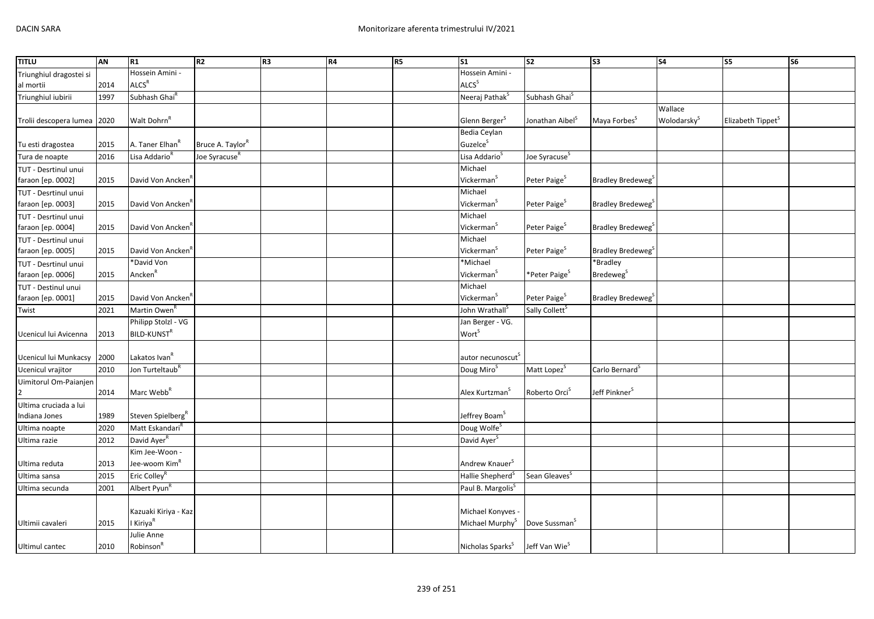| <b>TITLU</b>            | AN   | R1                            | R <sub>2</sub>               | R <sub>3</sub> | R4 | R <sub>5</sub> | S <sub>1</sub>                | s <sub>2</sub>              | $\overline{\text{S3}}$        | <b>S4</b>               | S5                            | S <sub>6</sub> |
|-------------------------|------|-------------------------------|------------------------------|----------------|----|----------------|-------------------------------|-----------------------------|-------------------------------|-------------------------|-------------------------------|----------------|
| Triunghiul dragostei si |      | Hossein Amini -               |                              |                |    |                | Hossein Amini -               |                             |                               |                         |                               |                |
| al mortii               | 2014 | ALCS <sup>R</sup>             |                              |                |    |                | ALCS <sup>S</sup>             |                             |                               |                         |                               |                |
| Triunghiul iubirii      | 1997 | Subhash Ghai <sup>R</sup>     |                              |                |    |                | Neeraj Pathak <sup>S</sup>    | Subhash Ghai <sup>5</sup>   |                               |                         |                               |                |
|                         |      |                               |                              |                |    |                |                               |                             |                               | Wallace                 |                               |                |
| Trolii descopera lumea  | 2020 | Walt Dohrn <sup>R</sup>       |                              |                |    |                | Glenn Berger <sup>S</sup>     | Jonathan Aibel <sup>S</sup> | Maya Forbes <sup>S</sup>      | Wolodarsky <sup>S</sup> | Elizabeth Tippet <sup>S</sup> |                |
|                         |      |                               |                              |                |    |                | Bedia Ceylan                  |                             |                               |                         |                               |                |
| Tu esti dragostea       | 2015 | A. Taner Elhan <sup>k</sup>   | Bruce A. Taylor <sup>R</sup> |                |    |                | Guzelce <sup>S</sup>          |                             |                               |                         |                               |                |
| Tura de noapte          | 2016 | Lisa Addario <sup>R</sup>     | Joe Syracuse <sup>R</sup>    |                |    |                | Lisa Addario <sup>S</sup>     | Joe Syracuse <sup>S</sup>   |                               |                         |                               |                |
| TUT - Desrtinul unui    |      |                               |                              |                |    |                | Michael                       |                             |                               |                         |                               |                |
| faraon [ep. 0002]       | 2015 | David Von Ancken <sup>®</sup> |                              |                |    |                | Vickerman <sup>S</sup>        | Peter Paige <sup>S</sup>    | Bradley Bredeweg <sup>S</sup> |                         |                               |                |
| TUT - Desrtinul unui    |      |                               |                              |                |    |                | Michael                       |                             |                               |                         |                               |                |
| faraon [ep. 0003]       | 2015 | David Von Ancken <sup>R</sup> |                              |                |    |                | Vickerman <sup>5</sup>        | Peter Paige <sup>S</sup>    | Bradley Bredeweg <sup>S</sup> |                         |                               |                |
| TUT - Desrtinul unui    |      |                               |                              |                |    |                | Michael                       |                             |                               |                         |                               |                |
| faraon [ep. 0004]       | 2015 | David Von Ancken              |                              |                |    |                | Vickerman <sup>S</sup>        | Peter Paige <sup>S</sup>    | Bradley Bredeweg <sup>3</sup> |                         |                               |                |
| TUT - Desrtinul unui    |      |                               |                              |                |    |                | Michael                       |                             |                               |                         |                               |                |
| faraon [ep. 0005]       | 2015 | David Von Ancken <sup>R</sup> |                              |                |    |                | Vickerman <sup>S</sup>        | Peter Paige <sup>S</sup>    | Bradley Bredeweg              |                         |                               |                |
| TUT - Desrtinul unui    |      | *David Von                    |                              |                |    |                | *Michael                      |                             | *Bradley                      |                         |                               |                |
| faraon [ep. 0006]       | 2015 | Ancken <sup>R</sup>           |                              |                |    |                | Vickerman <sup>S</sup>        | *Peter Paige <sup>S</sup>   | Bredeweg <sup>S</sup>         |                         |                               |                |
| TUT - Destinul unui     |      |                               |                              |                |    |                | Michael                       |                             |                               |                         |                               |                |
| faraon [ep. 0001]       | 2015 | David Von Ancken <sup>R</sup> |                              |                |    |                | Vickerman <sup>S</sup>        | Peter Paige <sup>S</sup>    | Bradley Bredeweg <sup>S</sup> |                         |                               |                |
| Twist                   | 2021 | Martin Owen <sup>F</sup>      |                              |                |    |                | John Wrathall <sup>S</sup>    | Sally Collett <sup>5</sup>  |                               |                         |                               |                |
|                         |      | Philipp Stolzl - VG           |                              |                |    |                | Jan Berger - VG.              |                             |                               |                         |                               |                |
| Ucenicul lui Avicenna   | 2013 | BILD-KUNST <sup>R</sup>       |                              |                |    |                | Worts                         |                             |                               |                         |                               |                |
|                         |      |                               |                              |                |    |                |                               |                             |                               |                         |                               |                |
| Ucenicul lui Munkacsy   | 2000 | Lakatos Ivan <sup>k</sup>     |                              |                |    |                | autor necunoscut <sup>S</sup> |                             |                               |                         |                               |                |
| Ucenicul vrajitor       | 2010 | Jon Turteltaub <sup>R</sup>   |                              |                |    |                | Doug Miro <sup>S</sup>        | Matt Lopez <sup>S</sup>     | Carlo Bernard <sup>S</sup>    |                         |                               |                |
|                         |      |                               |                              |                |    |                |                               |                             |                               |                         |                               |                |
| Uimitorul Om-Paianjen   | 2014 | Marc Webb <sup>R</sup>        |                              |                |    |                | Alex Kurtzman <sup>5</sup>    | Roberto Orci <sup>S</sup>   | Jeff Pinkner <sup>S</sup>     |                         |                               |                |
| Ultima cruciada a lui   |      |                               |                              |                |    |                |                               |                             |                               |                         |                               |                |
| Indiana Jones           | 1989 | Steven Spielberg <sup>R</sup> |                              |                |    |                | Jeffrey Boam <sup>S</sup>     |                             |                               |                         |                               |                |
|                         | 2020 | Matt Eskandari <sup>R</sup>   |                              |                |    |                | Doug Wolfe <sup>S</sup>       |                             |                               |                         |                               |                |
| Ultima noapte           |      | David Ayer <sup>R</sup>       |                              |                |    |                |                               |                             |                               |                         |                               |                |
| Ultima razie            | 2012 | Kim Jee-Woon -                |                              |                |    |                | David Ayer <sup>5</sup>       |                             |                               |                         |                               |                |
|                         |      |                               |                              |                |    |                |                               |                             |                               |                         |                               |                |
| Ultima reduta           | 2013 | Jee-woom Kim <sup>R</sup>     |                              |                |    |                | Andrew Knauer <sup>S</sup>    |                             |                               |                         |                               |                |
| Ultima sansa            | 2015 | Eric Colley <sup>f</sup>      |                              |                |    |                | Hallie Shepherd <sup>S</sup>  | Sean Gleaves <sup>S</sup>   |                               |                         |                               |                |
| Ultima secunda          | 2001 | Albert Pyun <sup>R</sup>      |                              |                |    |                | Paul B. Margolis <sup>S</sup> |                             |                               |                         |                               |                |
|                         |      |                               |                              |                |    |                |                               |                             |                               |                         |                               |                |
|                         |      | Kazuaki Kiriya - Kaz          |                              |                |    |                | Michael Konyves -             |                             |                               |                         |                               |                |
| Ultimii cavaleri        | 2015 | I Kiriya <sup>R</sup>         |                              |                |    |                | Michael Murphy <sup>S</sup>   | Dove Sussman <sup>S</sup>   |                               |                         |                               |                |
|                         |      | Julie Anne                    |                              |                |    |                |                               |                             |                               |                         |                               |                |
| Ultimul cantec          | 2010 | Robinson <sup>R</sup>         |                              |                |    |                | Nicholas Sparks <sup>S</sup>  | Jeff Van Wie <sup>S</sup>   |                               |                         |                               |                |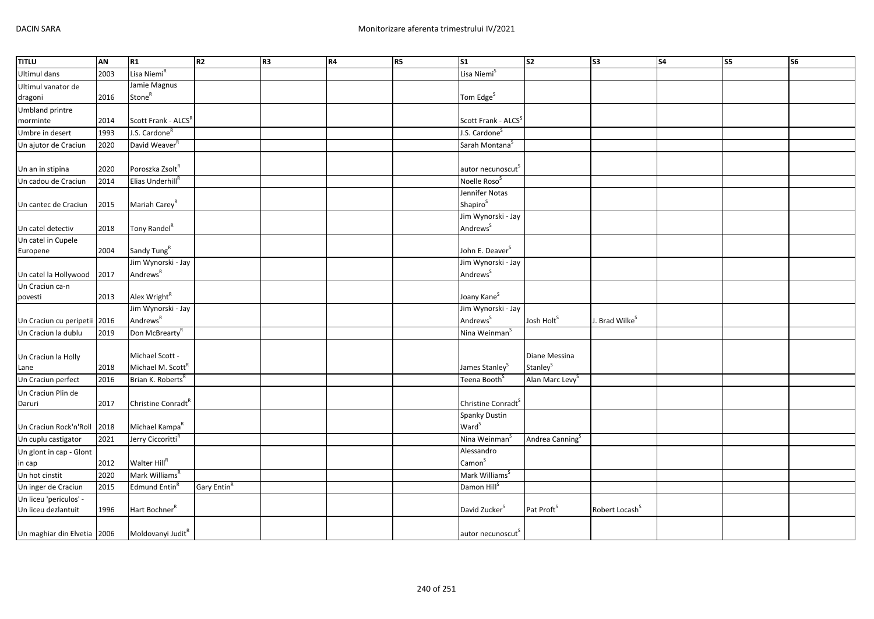| <b>TITLU</b>                 | AN   | R1                              | R <sub>2</sub>          | R <sub>3</sub> | <b>R4</b> | <b>R5</b> | $\mathsf{S}1$                   | S <sub>2</sub>              | S <sub>3</sub>             | <b>S4</b> | S5 | S <sub>6</sub> |
|------------------------------|------|---------------------------------|-------------------------|----------------|-----------|-----------|---------------------------------|-----------------------------|----------------------------|-----------|----|----------------|
| <b>Ultimul dans</b>          | 2003 | Lisa Niemi <sup>R</sup>         |                         |                |           |           | Lisa Niemi <sup>S</sup>         |                             |                            |           |    |                |
| Ultimul vanator de           |      | Jamie Magnus                    |                         |                |           |           |                                 |                             |                            |           |    |                |
| dragoni                      | 2016 | Stone <sup>R</sup>              |                         |                |           |           | Tom Edge <sup>S</sup>           |                             |                            |           |    |                |
| <b>Umbland printre</b>       |      |                                 |                         |                |           |           |                                 |                             |                            |           |    |                |
| morminte                     | 2014 | Scott Frank - ALCS <sup>R</sup> |                         |                |           |           | Scott Frank - ALCS <sup>5</sup> |                             |                            |           |    |                |
| Umbre in desert              | 1993 | J.S. Cardone <sup>R</sup>       |                         |                |           |           | J.S. Cardone <sup>S</sup>       |                             |                            |           |    |                |
| Un ajutor de Craciun         | 2020 | David Weaver <sup>R</sup>       |                         |                |           |           | Sarah Montana <sup>S</sup>      |                             |                            |           |    |                |
|                              |      |                                 |                         |                |           |           |                                 |                             |                            |           |    |                |
| Un an in stipina             | 2020 | Poroszka Zsolt <sup>R</sup>     |                         |                |           |           | autor necunoscut <sup>S</sup>   |                             |                            |           |    |                |
| Un cadou de Craciun          | 2014 | Elias Underhill <sup>R</sup>    |                         |                |           |           | Noelle Roso <sup>5</sup>        |                             |                            |           |    |                |
|                              |      |                                 |                         |                |           |           | Jennifer Notas                  |                             |                            |           |    |                |
| Un cantec de Craciun         | 2015 | Mariah Carey <sup>R</sup>       |                         |                |           |           | Shapiro <sup>S</sup>            |                             |                            |           |    |                |
|                              |      |                                 |                         |                |           |           | Jim Wynorski - Jay              |                             |                            |           |    |                |
| Un catel detectiv            | 2018 | Tony Randel <sup>R</sup>        |                         |                |           |           | Andrews <sup>S</sup>            |                             |                            |           |    |                |
| Un catel in Cupele           |      |                                 |                         |                |           |           |                                 |                             |                            |           |    |                |
| Europene                     | 2004 | Sandy Tung <sup>R</sup>         |                         |                |           |           | John E. Deaver <sup>S</sup>     |                             |                            |           |    |                |
|                              |      | Jim Wynorski - Jay              |                         |                |           |           | Jim Wynorski - Jay              |                             |                            |           |    |                |
| Un catel la Hollywood        | 2017 | Andrews <sup>R</sup>            |                         |                |           |           | Andrews <sup>S</sup>            |                             |                            |           |    |                |
| Un Craciun ca-n              |      |                                 |                         |                |           |           |                                 |                             |                            |           |    |                |
| povesti                      | 2013 | Alex Wright <sup>R</sup>        |                         |                |           |           | Joany Kane <sup>S</sup>         |                             |                            |           |    |                |
|                              |      | Jim Wynorski - Jay              |                         |                |           |           | Jim Wynorski - Jay              |                             |                            |           |    |                |
| Un Craciun cu peripetii 2016 |      | Andrews <sup>R</sup>            |                         |                |           |           | Andrews <sup>S</sup>            | Josh Holt <sup>S</sup>      | J. Brad Wilke <sup>s</sup> |           |    |                |
| Un Craciun la dublu          | 2019 | Don McBrearty <sup>R</sup>      |                         |                |           |           | Nina Weinman <sup>s</sup>       |                             |                            |           |    |                |
|                              |      |                                 |                         |                |           |           |                                 |                             |                            |           |    |                |
| Un Craciun la Holly          |      | Michael Scott -                 |                         |                |           |           |                                 | Diane Messina               |                            |           |    |                |
| Lane                         | 2018 | Michael M. Scott <sup>R</sup>   |                         |                |           |           | James Stanley <sup>S</sup>      | Stanley <sup>S</sup>        |                            |           |    |                |
| Un Craciun perfect           | 2016 | Brian K. Roberts <sup>R</sup>   |                         |                |           |           | Teena Booth <sup>s</sup>        | Alan Marc Levy <sup>S</sup> |                            |           |    |                |
| Un Craciun Plin de           |      |                                 |                         |                |           |           |                                 |                             |                            |           |    |                |
| Daruri                       | 2017 | Christine Conradt <sup>R</sup>  |                         |                |           |           | Christine Conradt <sup>S</sup>  |                             |                            |           |    |                |
|                              |      |                                 |                         |                |           |           | Spanky Dustin                   |                             |                            |           |    |                |
| Un Craciun Rock'n'Roll       | 2018 | Michael Kampa <sup>R</sup>      |                         |                |           |           | Ward <sup>S</sup>               |                             |                            |           |    |                |
| Un cuplu castigator          | 2021 | Jerry Ciccoritti <sup>R</sup>   |                         |                |           |           | Nina Weinman <sup>5</sup>       | Andrea Canning <sup>S</sup> |                            |           |    |                |
| Un glont in cap - Glont      |      |                                 |                         |                |           |           | Alessandro                      |                             |                            |           |    |                |
| in cap                       | 2012 | Walter Hill <sup>R</sup>        |                         |                |           |           | Camon <sup>S</sup>              |                             |                            |           |    |                |
| Un hot cinstit               | 2020 | Mark Williams <sup>R</sup>      |                         |                |           |           | Mark Williams <sup>S</sup>      |                             |                            |           |    |                |
| Un inger de Craciun          | 2015 | Edmund Entin <sup>6</sup>       | Gary Entin <sup>R</sup> |                |           |           | Damon Hill <sup>S</sup>         |                             |                            |           |    |                |
| Un liceu 'periculos' -       |      |                                 |                         |                |           |           |                                 |                             |                            |           |    |                |
| Un liceu dezlantuit          | 1996 | Hart Bochner <sup>R</sup>       |                         |                |           |           | David Zucker <sup>S</sup>       | Pat Proft <sup>S</sup>      | Robert Locash <sup>S</sup> |           |    |                |
|                              |      |                                 |                         |                |           |           |                                 |                             |                            |           |    |                |
| Un maghiar din Elvetia 2006  |      | Moldovanyi Judit <sup>R</sup>   |                         |                |           |           | autor necunoscut <sup>S</sup>   |                             |                            |           |    |                |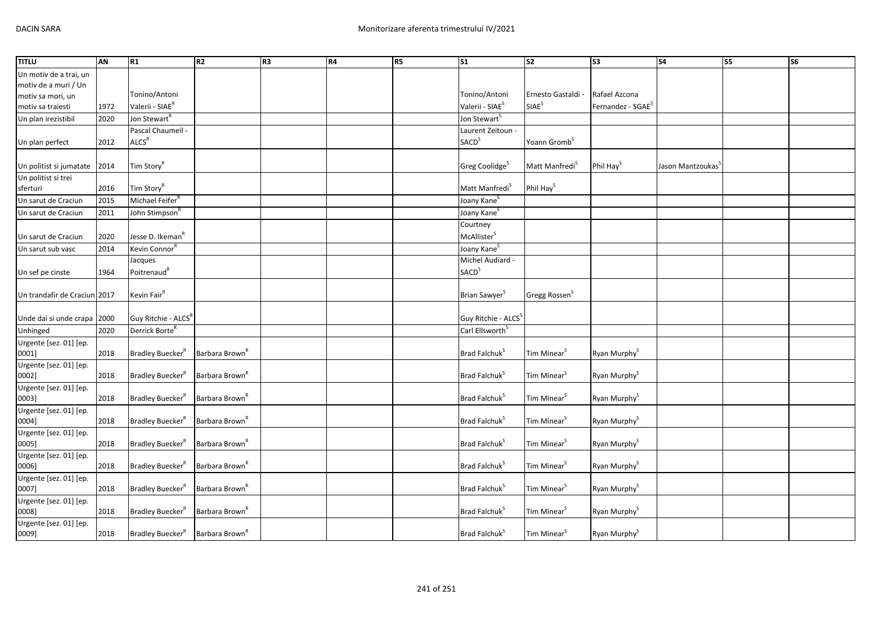| <b>TITLU</b>                 | AN   | R1                              | <b>R2</b>                  | R3 | <b>R4</b> | <b>R5</b> | $\mathsf{I}_{\mathsf{S1}}$      | $\overline{\text{S2}}$     | S <sub>3</sub>                | S <sub>4</sub>                | S5 | S <sub>6</sub> |
|------------------------------|------|---------------------------------|----------------------------|----|-----------|-----------|---------------------------------|----------------------------|-------------------------------|-------------------------------|----|----------------|
| Un motiv de a trai, un       |      |                                 |                            |    |           |           |                                 |                            |                               |                               |    |                |
| motiv de a muri / Un         |      |                                 |                            |    |           |           |                                 |                            |                               |                               |    |                |
| motiv sa mori, un            |      | Tonino/Antoni                   |                            |    |           |           | Tonino/Antoni                   | Ernesto Gastaldi -         | Rafael Azcona                 |                               |    |                |
| motiv sa traiesti            | 1972 | Valerii - SIAE <sup>R</sup>     |                            |    |           |           | Valerii - SIAE <sup>S</sup>     | SIAE <sup>S</sup>          | Fernandez - SGAE <sup>S</sup> |                               |    |                |
| Un plan irezistibil          | 2020 | Jon Stewart <sup>R</sup>        |                            |    |           |           | Jon Stewart <sup>S</sup>        |                            |                               |                               |    |                |
|                              |      | Pascal Chaumeil -               |                            |    |           |           | Laurent Zeitoun -               |                            |                               |                               |    |                |
| Un plan perfect              | 2012 | $\mathsf{ALCS}^\mathsf{R}$      |                            |    |           |           | <b>SACD</b> <sup>S</sup>        | Yoann Gromb <sup>S</sup>   |                               |                               |    |                |
|                              |      |                                 |                            |    |           |           |                                 |                            |                               |                               |    |                |
| Un politist si jumatate      | 2014 | Tim Story <sup>R</sup>          |                            |    |           |           | Greg Coolidge <sup>S</sup>      | Matt Manfredi <sup>S</sup> | Phil Hay <sup>S</sup>         | Jason Mantzoukas <sup>5</sup> |    |                |
| Un politist si trei          |      |                                 |                            |    |           |           |                                 |                            |                               |                               |    |                |
| sferturi                     | 2016 | Tim Story <sup>R</sup>          |                            |    |           |           | Matt Manfredi <sup>S</sup>      | Phil Hay <sup>S</sup>      |                               |                               |    |                |
| Un sarut de Craciun          | 2015 | Michael Feifer <sup>R</sup>     |                            |    |           |           | Joany Kane <sup>S</sup>         |                            |                               |                               |    |                |
| Un sarut de Craciun          | 2011 | John Stimpson <sup>R</sup>      |                            |    |           |           | Joany Kane <sup>5</sup>         |                            |                               |                               |    |                |
|                              |      |                                 |                            |    |           |           | Courtney                        |                            |                               |                               |    |                |
| Un sarut de Craciun          | 2020 | Jesse D. Ikeman <sup>R</sup>    |                            |    |           |           | McAllister <sup>S</sup>         |                            |                               |                               |    |                |
| Un sarut sub vasc            | 2014 | Kevin Connor <sup>R</sup>       |                            |    |           |           | Joany Kane <sup>S</sup>         |                            |                               |                               |    |                |
|                              |      | Jacques                         |                            |    |           |           | Michel Audiard -                |                            |                               |                               |    |                |
| Un sef pe cinste             | 1964 | Poitrenaud <sup>R</sup>         |                            |    |           |           | SACD <sup>S</sup>               |                            |                               |                               |    |                |
|                              |      |                                 |                            |    |           |           |                                 |                            |                               |                               |    |                |
| Un trandafir de Craciun 2017 |      | Kevin Fair <sup>R</sup>         |                            |    |           |           | Brian Sawyer <sup>S</sup>       | Gregg Rossen <sup>S</sup>  |                               |                               |    |                |
|                              |      |                                 |                            |    |           |           |                                 |                            |                               |                               |    |                |
| Unde dai si unde crapa 2000  |      | Guy Ritchie - ALCS <sup>R</sup> |                            |    |           |           | Guy Ritchie - ALCS <sup>S</sup> |                            |                               |                               |    |                |
| Unhinged                     | 2020 | Derrick Borte <sup>R</sup>      |                            |    |           |           | Carl Ellsworth <sup>S</sup>     |                            |                               |                               |    |                |
| Urgente [sez. 01] [ep.       |      |                                 |                            |    |           |           |                                 |                            |                               |                               |    |                |
| 0001]                        | 2018 | Bradley Buecker <sup>R</sup>    | Barbara Brown <sup>R</sup> |    |           |           | Brad Falchuk <sup>S</sup>       | Tim Minear <sup>S</sup>    | Ryan Murphy <sup>S</sup>      |                               |    |                |
| Urgente [sez. 01] [ep.       |      |                                 |                            |    |           |           |                                 |                            |                               |                               |    |                |
| 0002]                        | 2018 | Bradley Buecker <sup>R</sup>    | Barbara Brown <sup>R</sup> |    |           |           | Brad Falchuk <sup>S</sup>       | Tim Minear <sup>S</sup>    | Ryan Murphy <sup>S</sup>      |                               |    |                |
| Urgente [sez. 01] [ep.       |      |                                 |                            |    |           |           |                                 |                            |                               |                               |    |                |
| 0003]                        | 2018 | Bradley Buecker <sup>R</sup>    | Barbara Brown <sup>R</sup> |    |           |           | Brad Falchuk <sup>S</sup>       | Tim Minear <sup>S</sup>    | Ryan Murphy <sup>S</sup>      |                               |    |                |
| Urgente [sez. 01] [ep.       |      |                                 |                            |    |           |           |                                 |                            |                               |                               |    |                |
| 0004]                        | 2018 | Bradley Buecker <sup>R</sup>    | Barbara Brown <sup>R</sup> |    |           |           | Brad Falchuk <sup>S</sup>       | Tim Minear <sup>S</sup>    | Ryan Murphy <sup>S</sup>      |                               |    |                |
| Urgente [sez. 01] [ep.       |      |                                 |                            |    |           |           |                                 |                            |                               |                               |    |                |
| 0005]                        | 2018 | Bradley Buecker <sup>R</sup>    | Barbara Brown <sup>R</sup> |    |           |           | Brad Falchuk <sup>5</sup>       | Tim Minear <sup>S</sup>    | Ryan Murphy <sup>S</sup>      |                               |    |                |
| Urgente [sez. 01] [ep.       |      |                                 |                            |    |           |           |                                 |                            |                               |                               |    |                |
| 0006]                        | 2018 | Bradley Buecker <sup>R</sup>    | Barbara Brown <sup>R</sup> |    |           |           | Brad Falchuk <sup>5</sup>       | Tim Minear <sup>S</sup>    | Ryan Murphy <sup>S</sup>      |                               |    |                |
| Urgente [sez. 01] [ep.       |      |                                 |                            |    |           |           |                                 |                            |                               |                               |    |                |
| 0007]                        | 2018 | Bradley Buecker <sup>R</sup>    | Barbara Brown <sup>R</sup> |    |           |           | Brad Falchuk <sup>S</sup>       | Tim Minear <sup>S</sup>    | Ryan Murphy <sup>S</sup>      |                               |    |                |
| Urgente [sez. 01] [ep.       |      |                                 |                            |    |           |           |                                 |                            |                               |                               |    |                |
| 0008]                        | 2018 | Bradley Buecker <sup>R</sup>    | Barbara Brown <sup>R</sup> |    |           |           | Brad Falchuk <sup>S</sup>       | Tim Minear <sup>S</sup>    | Ryan Murphy <sup>S</sup>      |                               |    |                |
| Urgente [sez. 01] [ep.       |      |                                 |                            |    |           |           |                                 |                            |                               |                               |    |                |
| 0009]                        | 2018 | Bradley Buecker <sup>R</sup>    | Barbara Brown <sup>R</sup> |    |           |           | Brad Falchuk <sup>S</sup>       | Tim Minear <sup>S</sup>    | Ryan Murphy <sup>S</sup>      |                               |    |                |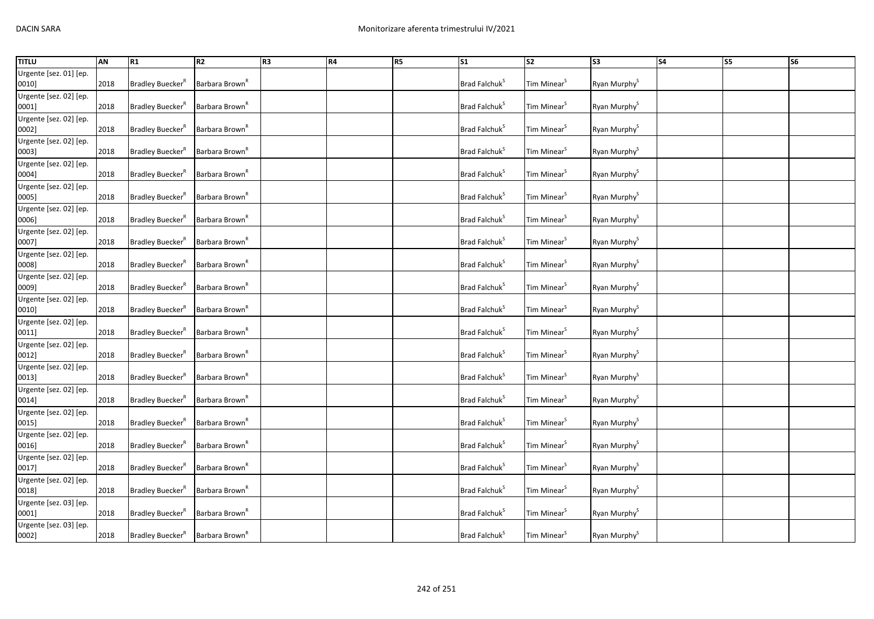| <b>TITLU</b>                    | AN   | R1                                  | R2                         | R <sub>3</sub> | R4 | R <sub>5</sub> | $\overline{\text{S1}}$    | $\overline{\text{S2}}$  | S <sub>3</sub>           | <b>S4</b> | <b>S5</b> | S <sub>6</sub> |
|---------------------------------|------|-------------------------------------|----------------------------|----------------|----|----------------|---------------------------|-------------------------|--------------------------|-----------|-----------|----------------|
| Urgente [sez. 01] [ep.          |      |                                     |                            |                |    |                |                           |                         |                          |           |           |                |
| 0010]                           | 2018 | Bradley Buecker <sup>R</sup>        | Barbara Brown <sup>K</sup> |                |    |                | Brad Falchuk <sup>S</sup> | Tim Minear <sup>S</sup> | Ryan Murphy <sup>S</sup> |           |           |                |
| Urgente [sez. 02] [ep.<br>0001] | 2018 | Bradley Buecker <sup>R</sup>        | Barbara Brown <sup>R</sup> |                |    |                | Brad Falchuk <sup>S</sup> | Tim Minear <sup>S</sup> | Ryan Murphy <sup>S</sup> |           |           |                |
| Urgente [sez. 02] [ep.<br>0002] | 2018 | Bradley Buecker <sup>R</sup>        | Barbara Brown <sup>R</sup> |                |    |                | Brad Falchuk <sup>S</sup> | Tim Minear <sup>S</sup> | Ryan Murphy <sup>S</sup> |           |           |                |
| Urgente [sez. 02] [ep.<br>0003] | 2018 | Bradley Buecker <sup>R</sup>        | Barbara Brown <sup>K</sup> |                |    |                | Brad Falchuk <sup>S</sup> | Tim Minear <sup>S</sup> | Ryan Murphy <sup>S</sup> |           |           |                |
| Urgente [sez. 02] [ep.<br>0004] | 2018 | Bradley Buecker <sup>R</sup>        | Barbara Brown <sup>R</sup> |                |    |                | Brad Falchuk <sup>S</sup> | Tim Minear <sup>S</sup> | Ryan Murphy <sup>S</sup> |           |           |                |
| Urgente [sez. 02] [ep.<br>0005] | 2018 | Bradley Buecker <sup>R</sup>        | Barbara Brown <sup>K</sup> |                |    |                | Brad Falchuk <sup>S</sup> | Tim Minear <sup>S</sup> | Ryan Murphy <sup>S</sup> |           |           |                |
| Urgente [sez. 02] [ep.<br>0006] | 2018 | <b>Bradley Buecker</b> <sup>R</sup> | Barbara Brown <sup>R</sup> |                |    |                | Brad Falchuk <sup>S</sup> | Tim Minear <sup>S</sup> | Ryan Murphy <sup>S</sup> |           |           |                |
| Urgente [sez. 02] [ep.<br>0007] | 2018 | Bradley Buecker <sup>R</sup>        | Barbara Brown <sup>"</sup> |                |    |                | Brad Falchuk <sup>S</sup> | Tim Minear <sup>S</sup> | Ryan Murphy <sup>S</sup> |           |           |                |
| Urgente [sez. 02] [ep.<br>0008] | 2018 | Bradley Buecker <sup>"</sup>        | Barbara Brown <sup>R</sup> |                |    |                | Brad Falchuk <sup>S</sup> | Tim Minear <sup>S</sup> | Ryan Murphy <sup>S</sup> |           |           |                |
| Urgente [sez. 02] [ep.<br>0009] | 2018 | Bradley Buecker <sup>R</sup>        | Barbara Brown <sup>R</sup> |                |    |                | Brad Falchuk <sup>S</sup> | Tim Minear <sup>S</sup> | Ryan Murphy <sup>S</sup> |           |           |                |
| Urgente [sez. 02] [ep.<br>0010] | 2018 | Bradley Buecker <sup>R</sup>        | Barbara Brown <sup>R</sup> |                |    |                | Brad Falchuk <sup>S</sup> | Tim Minear <sup>S</sup> | Ryan Murphy <sup>S</sup> |           |           |                |
| Urgente [sez. 02] [ep.<br>0011] | 2018 | Bradley Buecker <sup>R</sup>        | Barbara Brown <sup>R</sup> |                |    |                | Brad Falchuk <sup>S</sup> | Tim Minear <sup>S</sup> | Ryan Murphy <sup>S</sup> |           |           |                |
| Urgente [sez. 02] [ep.<br>0012] | 2018 | Bradley Buecker <sup>R</sup>        | Barbara Brown <sup>K</sup> |                |    |                | Brad Falchuk <sup>S</sup> | Tim Minear <sup>S</sup> | Ryan Murphy <sup>S</sup> |           |           |                |
| Urgente [sez. 02] [ep.<br>0013] | 2018 | Bradley Buecker <sup>R</sup>        | Barbara Brown <sup>R</sup> |                |    |                | Brad Falchuk <sup>S</sup> | Tim Minear <sup>S</sup> | Ryan Murphy <sup>S</sup> |           |           |                |
| Urgente [sez. 02] [ep.<br>0014] | 2018 | Bradley Buecker <sup>R</sup>        | Barbara Brown <sup>R</sup> |                |    |                | Brad Falchuk <sup>S</sup> | Tim Minear <sup>S</sup> | Ryan Murphy <sup>S</sup> |           |           |                |
| Urgente [sez. 02] [ep.<br>0015] | 2018 | Bradley Buecker <sup>®</sup>        | Barbara Brown <sup>R</sup> |                |    |                | Brad Falchuk <sup>S</sup> | Tim Minear <sup>S</sup> | Ryan Murphy <sup>S</sup> |           |           |                |
| Urgente [sez. 02] [ep.<br>0016] | 2018 | Bradley Buecker <sup>R</sup>        | Barbara Brown <sup>"</sup> |                |    |                | Brad Falchuk <sup>S</sup> | Tim Minear <sup>S</sup> | Ryan Murphy <sup>S</sup> |           |           |                |
| Urgente [sez. 02] [ep.<br>0017] | 2018 | Bradley Buecker <sup>R</sup>        | Barbara Brown <sup>R</sup> |                |    |                | Brad Falchuk <sup>S</sup> | Tim Minear <sup>S</sup> | Ryan Murphy <sup>S</sup> |           |           |                |
| Urgente [sez. 02] [ep.<br>0018] | 2018 | Bradley Buecker <sup>R</sup>        | Barbara Brown <sup>R</sup> |                |    |                | Brad Falchuk <sup>S</sup> | Tim Minear <sup>S</sup> | Ryan Murphy <sup>S</sup> |           |           |                |
| Urgente [sez. 03] [ep.<br>0001] | 2018 | Bradley Buecker <sup>®</sup>        | Barbara Brown <sup>R</sup> |                |    |                | Brad Falchuk <sup>5</sup> | Tim Minear <sup>S</sup> | Ryan Murphy <sup>S</sup> |           |           |                |
| Urgente [sez. 03] [ep.<br>0002] | 2018 | Bradley Buecker <sup>R</sup>        | Barbara Brown <sup>R</sup> |                |    |                | Brad Falchuk <sup>S</sup> | Tim Minear <sup>S</sup> | Ryan Murphy <sup>S</sup> |           |           |                |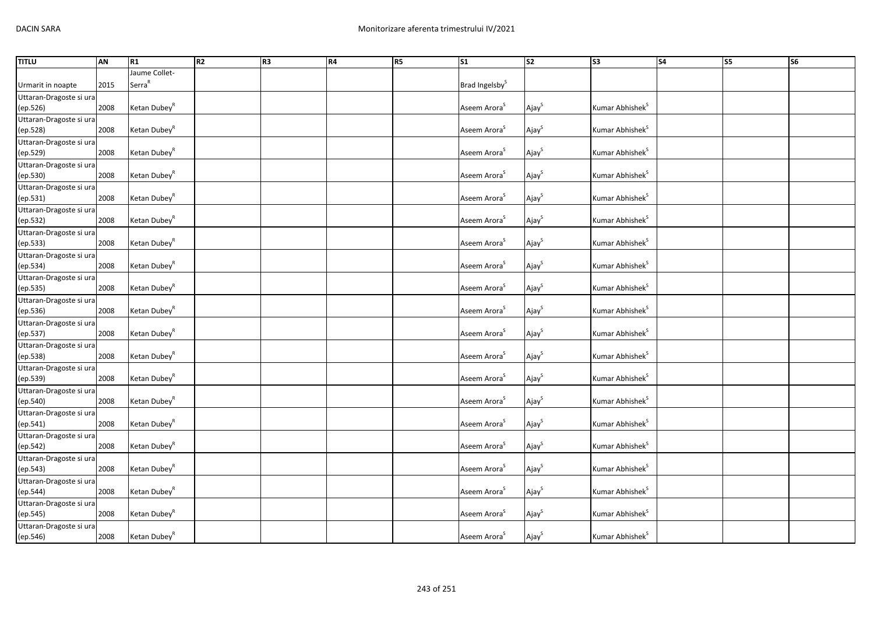| <b>TITLU</b>            | AN   | R1                       | R <sub>2</sub> | R <sub>3</sub> | R4 | R <sub>5</sub> | S <sub>1</sub>             | <b>S2</b>         | S <sub>3</sub>              | <b>S4</b> | S5 | S6 |
|-------------------------|------|--------------------------|----------------|----------------|----|----------------|----------------------------|-------------------|-----------------------------|-----------|----|----|
|                         |      | Jaume Collet-            |                |                |    |                |                            |                   |                             |           |    |    |
| Urmarit in noapte       | 2015 | Serra <sup>R</sup>       |                |                |    |                | Brad Ingelsby <sup>S</sup> |                   |                             |           |    |    |
| Uttaran-Dragoste si ura |      |                          |                |                |    |                |                            |                   |                             |           |    |    |
| (ep.526)                | 2008 | Ketan Dubey <sup>R</sup> |                |                |    |                | Aseem Arora <sup>S</sup>   | Ajay <sup>S</sup> | Kumar Abhishek <sup>S</sup> |           |    |    |
| Uttaran-Dragoste si ura |      |                          |                |                |    |                |                            |                   |                             |           |    |    |
| (ep.528)                | 2008 | Ketan Dubey <sup>R</sup> |                |                |    |                | Aseem Arora <sup>S</sup>   | Ajay <sup>S</sup> | Kumar Abhishek <sup>S</sup> |           |    |    |
| Uttaran-Dragoste si ura |      |                          |                |                |    |                |                            |                   |                             |           |    |    |
|                         | 2008 | Ketan Dubey <sup>R</sup> |                |                |    |                | Aseem Arora <sup>S</sup>   | Ajay <sup>S</sup> | Kumar Abhishek <sup>S</sup> |           |    |    |
| (ep.529)                |      |                          |                |                |    |                |                            |                   |                             |           |    |    |
| Uttaran-Dragoste si ura |      |                          |                |                |    |                | Aseem Arora <sup>S</sup>   |                   | Kumar Abhishek <sup>S</sup> |           |    |    |
| (ep.530)                | 2008 | Ketan Dubey <sup>R</sup> |                |                |    |                |                            | Ajay <sup>S</sup> |                             |           |    |    |
| Uttaran-Dragoste si ura |      |                          |                |                |    |                |                            |                   |                             |           |    |    |
| (ep.531)                | 2008 | Ketan Dubey <sup>R</sup> |                |                |    |                | Aseem Arora <sup>S</sup>   | Ajay <sup>S</sup> | Kumar Abhishek <sup>S</sup> |           |    |    |
| Uttaran-Dragoste si ura |      |                          |                |                |    |                |                            |                   |                             |           |    |    |
| (ep.532)                | 2008 | Ketan Dubey <sup>R</sup> |                |                |    |                | Aseem Arora <sup>S</sup>   | Ajay <sup>S</sup> | Kumar Abhishek <sup>S</sup> |           |    |    |
| Uttaran-Dragoste si ura |      |                          |                |                |    |                |                            |                   |                             |           |    |    |
| (ep.533)                | 2008 | Ketan Dubey <sup>R</sup> |                |                |    |                | Aseem Arora <sup>S</sup>   | Ajay <sup>S</sup> | Kumar Abhishek <sup>S</sup> |           |    |    |
| Uttaran-Dragoste si ura |      |                          |                |                |    |                |                            |                   |                             |           |    |    |
| (ep.534)                | 2008 | Ketan Dubey <sup>R</sup> |                |                |    |                | Aseem Arora <sup>S</sup>   | Ajay <sup>S</sup> | Kumar Abhishek <sup>S</sup> |           |    |    |
| Uttaran-Dragoste si ura |      |                          |                |                |    |                |                            |                   |                             |           |    |    |
| (ep.535)                | 2008 | Ketan Dubey <sup>R</sup> |                |                |    |                | Aseem Arora <sup>S</sup>   | Ajay <sup>S</sup> | Kumar Abhishek <sup>S</sup> |           |    |    |
| Uttaran-Dragoste si ura |      |                          |                |                |    |                |                            |                   |                             |           |    |    |
| (ep.536)                | 2008 | Ketan Dubey <sup>R</sup> |                |                |    |                | Aseem Arora <sup>S</sup>   | Ajay <sup>S</sup> | Kumar Abhishek <sup>S</sup> |           |    |    |
| Uttaran-Dragoste si ura |      |                          |                |                |    |                |                            |                   |                             |           |    |    |
| (ep.537)                | 2008 | Ketan Dubey <sup>R</sup> |                |                |    |                | Aseem Arora <sup>S</sup>   | Ajay <sup>S</sup> | Kumar Abhishek <sup>S</sup> |           |    |    |
| Uttaran-Dragoste si ura |      |                          |                |                |    |                |                            |                   |                             |           |    |    |
| (ep.538)                | 2008 | Ketan Dubey <sup>R</sup> |                |                |    |                | Aseem Arora <sup>S</sup>   | Ajay <sup>S</sup> | Kumar Abhishek <sup>S</sup> |           |    |    |
|                         |      |                          |                |                |    |                |                            |                   |                             |           |    |    |
| Uttaran-Dragoste si ura | 2008 | Ketan Dubey <sup>R</sup> |                |                |    |                | Aseem Arora <sup>S</sup>   | Ajay <sup>S</sup> | Kumar Abhishek <sup>S</sup> |           |    |    |
| (ep.539)                |      |                          |                |                |    |                |                            |                   |                             |           |    |    |
| Uttaran-Dragoste si ura |      | Ketan Dubey <sup>R</sup> |                |                |    |                | Aseem Arora <sup>S</sup>   |                   |                             |           |    |    |
| (ep.540)                | 2008 |                          |                |                |    |                |                            | Ajay <sup>S</sup> | Kumar Abhishek <sup>S</sup> |           |    |    |
| Uttaran-Dragoste si ura |      |                          |                |                |    |                |                            |                   |                             |           |    |    |
| (ep.541)                | 2008 | Ketan Dubey <sup>R</sup> |                |                |    |                | Aseem Arora <sup>S</sup>   | Ajay <sup>S</sup> | Kumar Abhishek <sup>S</sup> |           |    |    |
| Uttaran-Dragoste si ura |      |                          |                |                |    |                |                            |                   |                             |           |    |    |
| (ep.542)                | 2008 | Ketan Dubey <sup>R</sup> |                |                |    |                | Aseem Arora <sup>S</sup>   | Ajay <sup>S</sup> | Kumar Abhishek <sup>S</sup> |           |    |    |
| Uttaran-Dragoste si ura |      |                          |                |                |    |                |                            |                   |                             |           |    |    |
| (ep.543)                | 2008 | Ketan Dubey <sup>R</sup> |                |                |    |                | Aseem Arora <sup>S</sup>   | Ajay              | Kumar Abhishek <sup>S</sup> |           |    |    |
| Uttaran-Dragoste si ura |      |                          |                |                |    |                |                            |                   |                             |           |    |    |
| (ep.544)                | 2008 | Ketan Dubey <sup>R</sup> |                |                |    |                | Aseem Arora <sup>S</sup>   | Ajay <sup>S</sup> | Kumar Abhishek <sup>S</sup> |           |    |    |
| Uttaran-Dragoste si ura |      |                          |                |                |    |                |                            |                   |                             |           |    |    |
| (ep.545)                | 2008 | Ketan Dubey <sup>R</sup> |                |                |    |                | Aseem Arora <sup>S</sup>   | Ajay <sup>S</sup> | Kumar Abhishek <sup>S</sup> |           |    |    |
| Uttaran-Dragoste si ura |      |                          |                |                |    |                |                            |                   |                             |           |    |    |
| (ep.546)                | 2008 | Ketan Dubey <sup>R</sup> |                |                |    |                | Aseem Arora <sup>S</sup>   | Ajay <sup>S</sup> | Kumar Abhishek <sup>S</sup> |           |    |    |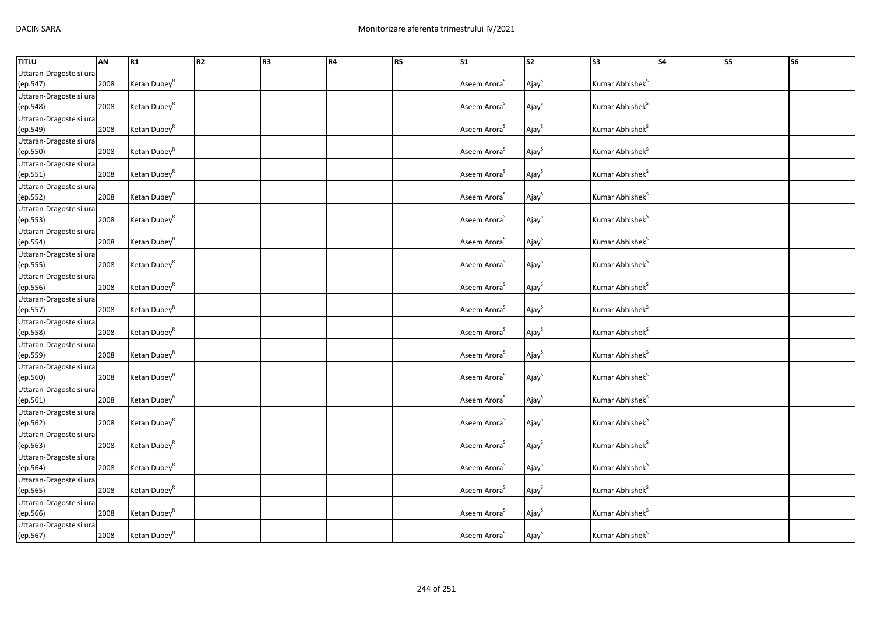| <b>TITLU</b>            | <b>AN</b> | R1                       | R <sub>2</sub> | R <sub>3</sub> | R4 | R <sub>5</sub> | $\overline{\text{S1}}$   | $\overline{\text{S2}}$ | $\overline{\text{S3}}$      | <b>S4</b> | S5 | <b>S6</b> |
|-------------------------|-----------|--------------------------|----------------|----------------|----|----------------|--------------------------|------------------------|-----------------------------|-----------|----|-----------|
| Uttaran-Dragoste si ura |           |                          |                |                |    |                |                          |                        |                             |           |    |           |
| (ep.547)                | 2008      | Ketan Dubey <sup>R</sup> |                |                |    |                | Aseem Arora <sup>S</sup> | Ajay <sup>S</sup>      | Kumar Abhishek <sup>S</sup> |           |    |           |
| Uttaran-Dragoste si ura |           |                          |                |                |    |                |                          |                        |                             |           |    |           |
| (ep.548)                | 2008      | Ketan Dubey <sup>R</sup> |                |                |    |                | Aseem Arora <sup>S</sup> | Ajay <sup>S</sup>      | Kumar Abhishek <sup>S</sup> |           |    |           |
| Uttaran-Dragoste si ura |           |                          |                |                |    |                |                          |                        |                             |           |    |           |
| (ep.549)                | 2008      | Ketan Dubey <sup>R</sup> |                |                |    |                | Aseem Arora <sup>S</sup> | Ajay                   | Kumar Abhishek <sup>S</sup> |           |    |           |
| Uttaran-Dragoste si ura |           |                          |                |                |    |                |                          |                        |                             |           |    |           |
| (ep.550)                | 2008      | Ketan Dubey <sup>R</sup> |                |                |    |                | Aseem Arora <sup>S</sup> | Ajay <sup>S</sup>      | Kumar Abhishek <sup>S</sup> |           |    |           |
| Uttaran-Dragoste si ura |           |                          |                |                |    |                |                          |                        |                             |           |    |           |
| (ep.551)                | 2008      | Ketan Dubey <sup>R</sup> |                |                |    |                | Aseem Arora <sup>S</sup> | Ajay <sup>S</sup>      | Kumar Abhishek <sup>S</sup> |           |    |           |
| Uttaran-Dragoste si ura |           |                          |                |                |    |                |                          |                        |                             |           |    |           |
| (ep.552)                | 2008      | Ketan Dubey <sup>R</sup> |                |                |    |                | Aseem Arora <sup>S</sup> | Ajay <sup>S</sup>      | Kumar Abhishek <sup>S</sup> |           |    |           |
| Uttaran-Dragoste si ura |           |                          |                |                |    |                |                          |                        |                             |           |    |           |
| (ep.553)                | 2008      | Ketan Dubey <sup>R</sup> |                |                |    |                | Aseem Arora <sup>S</sup> | Ajay <sup>S</sup>      | Kumar Abhishek <sup>S</sup> |           |    |           |
| Uttaran-Dragoste si ura |           |                          |                |                |    |                |                          |                        |                             |           |    |           |
| (ep.554)                | 2008      | Ketan Dubey <sup>R</sup> |                |                |    |                | Aseem Arora <sup>S</sup> | Ajay <sup>S</sup>      | Kumar Abhishek <sup>S</sup> |           |    |           |
| Uttaran-Dragoste si ura |           |                          |                |                |    |                |                          |                        |                             |           |    |           |
| (ep.555)                | 2008      | Ketan Dubey <sup>R</sup> |                |                |    |                | Aseem Arora <sup>S</sup> | Ajay <sup>S</sup>      | Kumar Abhishek <sup>S</sup> |           |    |           |
| Uttaran-Dragoste si ura |           |                          |                |                |    |                |                          |                        |                             |           |    |           |
| (ep.556)                | 2008      | Ketan Dubey <sup>R</sup> |                |                |    |                | Aseem Arora <sup>S</sup> | Ajay <sup>S</sup>      | Kumar Abhishek <sup>S</sup> |           |    |           |
| Uttaran-Dragoste si ura |           |                          |                |                |    |                |                          |                        |                             |           |    |           |
| (ep.557)                | 2008      | Ketan Dubey <sup>R</sup> |                |                |    |                | Aseem Arora <sup>S</sup> | Ajay <sup>S</sup>      | Kumar Abhishek <sup>S</sup> |           |    |           |
| Uttaran-Dragoste si ura |           |                          |                |                |    |                |                          |                        |                             |           |    |           |
| (ep.558)                | 2008      | Ketan Dubey <sup>R</sup> |                |                |    |                | Aseem Arora <sup>S</sup> | Ajay <sup>S</sup>      | Kumar Abhishek <sup>S</sup> |           |    |           |
| Uttaran-Dragoste si ura |           |                          |                |                |    |                |                          |                        |                             |           |    |           |
| (ep.559)                | 2008      | Ketan Dubey <sup>R</sup> |                |                |    |                | Aseem Arora <sup>S</sup> | Ajay <sup>S</sup>      | Kumar Abhishek <sup>S</sup> |           |    |           |
| Uttaran-Dragoste si ura |           |                          |                |                |    |                |                          |                        |                             |           |    |           |
| (ep.560)                | 2008      | Ketan Dubey <sup>R</sup> |                |                |    |                | Aseem Arora <sup>S</sup> | Ajay <sup>S</sup>      | Kumar Abhishek <sup>S</sup> |           |    |           |
| Uttaran-Dragoste si ura |           |                          |                |                |    |                |                          |                        |                             |           |    |           |
| (ep.561)                | 2008      | Ketan Dubey <sup>R</sup> |                |                |    |                | Aseem Arora <sup>S</sup> | Ajay <sup>S</sup>      | Kumar Abhishek <sup>S</sup> |           |    |           |
| Uttaran-Dragoste si ura |           |                          |                |                |    |                |                          |                        |                             |           |    |           |
| (ep.562)                | 2008      | Ketan Dubey <sup>R</sup> |                |                |    |                | Aseem Arora <sup>S</sup> | Ajay <sup>S</sup>      | Kumar Abhishek <sup>S</sup> |           |    |           |
| Uttaran-Dragoste si ura |           |                          |                |                |    |                |                          |                        |                             |           |    |           |
| (ep.563)                | 2008      | Ketan Dubey <sup>R</sup> |                |                |    |                | Aseem Arora <sup>S</sup> | Ajay <sup>S</sup>      | Kumar Abhishek <sup>S</sup> |           |    |           |
| Uttaran-Dragoste si ura |           |                          |                |                |    |                |                          |                        |                             |           |    |           |
| (ep.564)                | 2008      | Ketan Dubey <sup>R</sup> |                |                |    |                | Aseem Arora <sup>S</sup> | Ajay <sup>S</sup>      | Kumar Abhishek <sup>S</sup> |           |    |           |
| Uttaran-Dragoste si ura |           |                          |                |                |    |                |                          |                        |                             |           |    |           |
| (ep.565)                | 2008      | Ketan Dubey <sup>R</sup> |                |                |    |                | Aseem Arora <sup>S</sup> | Ajay <sup>S</sup>      | Kumar Abhishek <sup>S</sup> |           |    |           |
| Uttaran-Dragoste si ura |           |                          |                |                |    |                |                          |                        |                             |           |    |           |
| (ep.566)                | 2008      | Ketan Dubey <sup>R</sup> |                |                |    |                | Aseem Arora <sup>S</sup> | Ajay <sup>S</sup>      | Kumar Abhishek <sup>S</sup> |           |    |           |
| Uttaran-Dragoste si ura |           |                          |                |                |    |                |                          |                        |                             |           |    |           |
| (ep.567)                | 2008      | Ketan Dubey <sup>R</sup> |                |                |    |                | Aseem Arora <sup>S</sup> | Ajay <sup>S</sup>      | Kumar Abhishek <sup>S</sup> |           |    |           |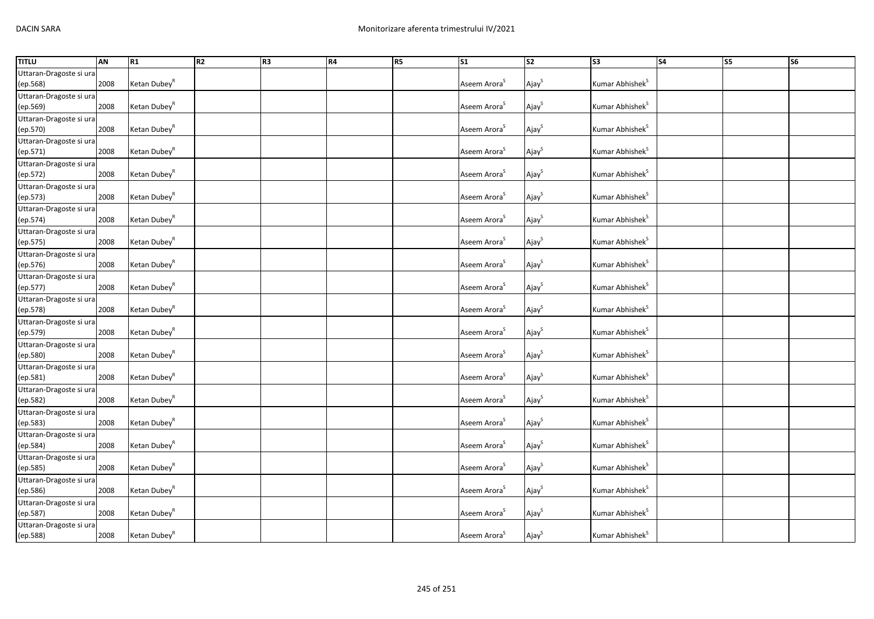| <b>TITLU</b>            | <b>AN</b> | R1                       | R <sub>2</sub> | R <sub>3</sub> | R4 | R <sub>5</sub> | $\overline{\text{S1}}$   | $\overline{\text{S2}}$ | $\overline{\text{S3}}$      | <b>S4</b> | S5 | <b>S6</b> |
|-------------------------|-----------|--------------------------|----------------|----------------|----|----------------|--------------------------|------------------------|-----------------------------|-----------|----|-----------|
| Uttaran-Dragoste si ura |           |                          |                |                |    |                |                          |                        |                             |           |    |           |
| (ep.568)                | 2008      | Ketan Dubey <sup>R</sup> |                |                |    |                | Aseem Arora <sup>S</sup> | Ajay <sup>S</sup>      | Kumar Abhishek <sup>S</sup> |           |    |           |
| Uttaran-Dragoste si ura |           |                          |                |                |    |                |                          |                        |                             |           |    |           |
| (ep.569)                | 2008      | Ketan Dubey <sup>R</sup> |                |                |    |                | Aseem Arora <sup>S</sup> | Ajay <sup>S</sup>      | Kumar Abhishek <sup>S</sup> |           |    |           |
| Uttaran-Dragoste si ura |           |                          |                |                |    |                |                          |                        |                             |           |    |           |
| (ep.570)                | 2008      | Ketan Dubey <sup>R</sup> |                |                |    |                | Aseem Arora <sup>S</sup> | Ajay <sup>S</sup>      | Kumar Abhishek <sup>S</sup> |           |    |           |
| Uttaran-Dragoste si ura |           |                          |                |                |    |                |                          |                        |                             |           |    |           |
| (ep.571)                | 2008      | Ketan Dubey <sup>R</sup> |                |                |    |                | Aseem Arora <sup>S</sup> | Ajay <sup>S</sup>      | Kumar Abhishek <sup>S</sup> |           |    |           |
| Uttaran-Dragoste si ura |           |                          |                |                |    |                |                          |                        |                             |           |    |           |
| (ep.572)                | 2008      | Ketan Dubey <sup>R</sup> |                |                |    |                | Aseem Arora <sup>S</sup> | Ajay <sup>S</sup>      | Kumar Abhishek <sup>S</sup> |           |    |           |
| Uttaran-Dragoste si ura |           |                          |                |                |    |                |                          |                        |                             |           |    |           |
| (ep.573)                | 2008      | Ketan Dubey <sup>R</sup> |                |                |    |                | Aseem Arora <sup>S</sup> | Ajay <sup>S</sup>      | Kumar Abhishek <sup>S</sup> |           |    |           |
| Uttaran-Dragoste si ura |           |                          |                |                |    |                |                          |                        |                             |           |    |           |
| (ep.574)                | 2008      | Ketan Dubey <sup>R</sup> |                |                |    |                | Aseem Arora <sup>S</sup> | Ajay <sup>S</sup>      | Kumar Abhishek <sup>S</sup> |           |    |           |
| Uttaran-Dragoste si ura |           |                          |                |                |    |                |                          |                        |                             |           |    |           |
| (ep.575)                | 2008      | Ketan Dubey <sup>R</sup> |                |                |    |                | Aseem Arora <sup>S</sup> | Ajay <sup>S</sup>      | Kumar Abhishek <sup>S</sup> |           |    |           |
| Uttaran-Dragoste si ura |           |                          |                |                |    |                |                          |                        |                             |           |    |           |
| (ep.576)                | 2008      | Ketan Dubey <sup>R</sup> |                |                |    |                | Aseem Arora <sup>S</sup> | Ajay <sup>S</sup>      | Kumar Abhishek <sup>S</sup> |           |    |           |
| Uttaran-Dragoste si ura |           |                          |                |                |    |                |                          |                        |                             |           |    |           |
| (ep.577)                | 2008      | Ketan Dubey <sup>R</sup> |                |                |    |                | Aseem Arora <sup>S</sup> | Ajay <sup>S</sup>      | Kumar Abhishek <sup>S</sup> |           |    |           |
| Uttaran-Dragoste si ura |           |                          |                |                |    |                |                          |                        |                             |           |    |           |
| (ep.578)                | 2008      | Ketan Dubey <sup>R</sup> |                |                |    |                | Aseem Arora <sup>S</sup> | Ajay <sup>S</sup>      | Kumar Abhishek <sup>S</sup> |           |    |           |
| Uttaran-Dragoste si ura |           |                          |                |                |    |                |                          |                        |                             |           |    |           |
| (ep.579)                | 2008      | Ketan Dubey <sup>R</sup> |                |                |    |                | Aseem Arora <sup>S</sup> | Ajay <sup>S</sup>      | Kumar Abhishek <sup>S</sup> |           |    |           |
| Uttaran-Dragoste si ura |           |                          |                |                |    |                |                          |                        |                             |           |    |           |
| (ep.580)                | 2008      | Ketan Dubey <sup>R</sup> |                |                |    |                | Aseem Arora <sup>S</sup> | Ajay <sup>S</sup>      | Kumar Abhishek <sup>S</sup> |           |    |           |
| Uttaran-Dragoste si ura |           |                          |                |                |    |                |                          |                        |                             |           |    |           |
| (ep.581)                | 2008      | Ketan Dubey <sup>R</sup> |                |                |    |                | Aseem Arora <sup>S</sup> | Ajay <sup>S</sup>      | Kumar Abhishek <sup>S</sup> |           |    |           |
| Uttaran-Dragoste si ura |           |                          |                |                |    |                |                          |                        |                             |           |    |           |
| (ep.582)                | 2008      | Ketan Dubey <sup>R</sup> |                |                |    |                | Aseem Arora <sup>S</sup> | Ajay <sup>S</sup>      | Kumar Abhishek <sup>S</sup> |           |    |           |
| Uttaran-Dragoste si ura |           |                          |                |                |    |                |                          |                        |                             |           |    |           |
| (ep.583)                | 2008      | Ketan Dubey <sup>R</sup> |                |                |    |                | Aseem Arora <sup>S</sup> | Ajay <sup>S</sup>      | Kumar Abhishek <sup>S</sup> |           |    |           |
| Uttaran-Dragoste si ura |           |                          |                |                |    |                |                          |                        |                             |           |    |           |
| (ep.584)                | 2008      | Ketan Dubey <sup>R</sup> |                |                |    |                | Aseem Arora <sup>S</sup> | Ajay <sup>S</sup>      | Kumar Abhishek <sup>S</sup> |           |    |           |
| Uttaran-Dragoste si ura |           |                          |                |                |    |                |                          |                        |                             |           |    |           |
| (ep.585)                | 2008      | Ketan Dubey <sup>R</sup> |                |                |    |                | Aseem Arora <sup>S</sup> | Ajay <sup>S</sup>      | Kumar Abhishek <sup>S</sup> |           |    |           |
| Uttaran-Dragoste si ura |           |                          |                |                |    |                |                          |                        |                             |           |    |           |
| (ep.586)                | 2008      | Ketan Dubey <sup>R</sup> |                |                |    |                | Aseem Arora <sup>S</sup> | Ajay <sup>S</sup>      | Kumar Abhishek <sup>S</sup> |           |    |           |
| Uttaran-Dragoste si ura |           |                          |                |                |    |                |                          |                        |                             |           |    |           |
| (ep.587)                | 2008      | Ketan Dubey <sup>R</sup> |                |                |    |                | Aseem Arora <sup>S</sup> | Ajay <sup>S</sup>      | Kumar Abhishek <sup>S</sup> |           |    |           |
| Uttaran-Dragoste si ura |           |                          |                |                |    |                |                          |                        |                             |           |    |           |
| (ep.588)                | 2008      | Ketan Dubey <sup>R</sup> |                |                |    |                | Aseem Arora <sup>S</sup> | Ajay <sup>S</sup>      | Kumar Abhishek <sup>S</sup> |           |    |           |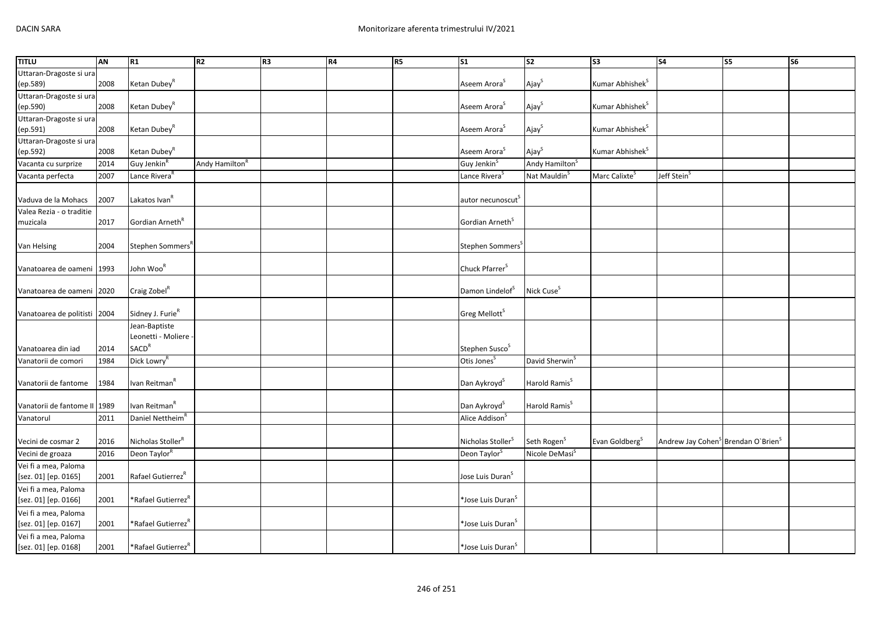| <b>TITLU</b>                 | AN   | R1                             | R <sub>2</sub>             | R3 | R4 | <b>R5</b> | <b>S1</b>                     | S <sub>2</sub>             | S <sub>3</sub>              | <b>S4</b>                                                  | S5 | S6 |
|------------------------------|------|--------------------------------|----------------------------|----|----|-----------|-------------------------------|----------------------------|-----------------------------|------------------------------------------------------------|----|----|
| Uttaran-Dragoste si ura      |      |                                |                            |    |    |           |                               |                            |                             |                                                            |    |    |
| (ep.589)                     | 2008 | Ketan Dubey <sup>R</sup>       |                            |    |    |           | Aseem Arora <sup>S</sup>      | Ajay <sup>S</sup>          | Kumar Abhishek <sup>S</sup> |                                                            |    |    |
| Uttaran-Dragoste si ura      |      |                                |                            |    |    |           |                               |                            |                             |                                                            |    |    |
| (ep.590)                     | 2008 | Ketan Dubey <sup>R</sup>       |                            |    |    |           | Aseem Arora <sup>S</sup>      | Ajay <sup>S</sup>          | Kumar Abhishek <sup>S</sup> |                                                            |    |    |
| Uttaran-Dragoste si ura      |      |                                |                            |    |    |           |                               |                            |                             |                                                            |    |    |
| (ep.591)                     | 2008 | Ketan Dubey <sup>R</sup>       |                            |    |    |           | Aseem Arora <sup>S</sup>      | Ajay <sup>S</sup>          | Kumar Abhishek <sup>S</sup> |                                                            |    |    |
| Uttaran-Dragoste si ura      |      |                                |                            |    |    |           |                               |                            |                             |                                                            |    |    |
| (ep.592)                     | 2008 | Ketan Dubey <sup>R</sup>       |                            |    |    |           | Aseem Arora <sup>S</sup>      | Ajay <sup>S</sup>          | Kumar Abhishek <sup>S</sup> |                                                            |    |    |
| Vacanta cu surprize          | 2014 | Guy Jenkin <sup>R</sup>        | Andy Hamilton <sup>R</sup> |    |    |           | Guy Jenkin <sup>S</sup>       | Andy Hamilton <sup>S</sup> |                             |                                                            |    |    |
| Vacanta perfecta             | 2007 | Lance Rivera <sup>R</sup>      |                            |    |    |           | Lance Rivera <sup>S</sup>     | Nat Mauldin <sup>S</sup>   | Marc Calixte <sup>5</sup>   | Jeff Stein <sup>s</sup>                                    |    |    |
| Vaduva de la Mohacs          | 2007 | Lakatos Ivan <sup>R</sup>      |                            |    |    |           | autor necunoscut <sup>5</sup> |                            |                             |                                                            |    |    |
| Valea Rezia - o traditie     |      |                                |                            |    |    |           |                               |                            |                             |                                                            |    |    |
| muzicala                     | 2017 | Gordian Arneth <sup>R</sup>    |                            |    |    |           | Gordian Arneth <sup>S</sup>   |                            |                             |                                                            |    |    |
|                              |      |                                |                            |    |    |           |                               |                            |                             |                                                            |    |    |
| Van Helsing                  | 2004 | Stephen Sommers <sup>K</sup>   |                            |    |    |           | Stephen Sommers <sup>5</sup>  |                            |                             |                                                            |    |    |
|                              |      |                                |                            |    |    |           |                               |                            |                             |                                                            |    |    |
| Vanatoarea de oameni         | 1993 | John Woo <sup>R</sup>          |                            |    |    |           | Chuck Pfarrer <sup>S</sup>    |                            |                             |                                                            |    |    |
| Vanatoarea de oameni 2020    |      | Craig Zobel <sup>R</sup>       |                            |    |    |           | Damon Lindelof <sup>S</sup>   | Nick Cuse <sup>S</sup>     |                             |                                                            |    |    |
| Vanatoarea de politisti 2004 |      | Sidney J. Furie <sup>R</sup>   |                            |    |    |           | Greg Mellott <sup>S</sup>     |                            |                             |                                                            |    |    |
|                              |      | Jean-Baptiste                  |                            |    |    |           |                               |                            |                             |                                                            |    |    |
|                              |      | Leonetti - Moliere -           |                            |    |    |           |                               |                            |                             |                                                            |    |    |
| Vanatoarea din iad           | 2014 | <b>SACD<sup>R</sup></b>        |                            |    |    |           | Stephen Susco <sup>S</sup>    |                            |                             |                                                            |    |    |
| Vanatorii de comori          | 1984 | Dick Lowry <sup>R</sup>        |                            |    |    |           | Otis Jones <sup>S</sup>       | David Sherwin <sup>S</sup> |                             |                                                            |    |    |
|                              |      |                                |                            |    |    |           |                               |                            |                             |                                                            |    |    |
| Vanatorii de fantome         | 1984 | Ivan Reitman <sup>R</sup>      |                            |    |    |           | Dan Aykroyd <sup>S</sup>      | Harold Ramis <sup>S</sup>  |                             |                                                            |    |    |
|                              |      |                                |                            |    |    |           |                               |                            |                             |                                                            |    |    |
| Vanatorii de fantome II      | 1989 | Ivan Reitman <sup>R</sup>      |                            |    |    |           | Dan Aykroyd <sup>S</sup>      | Harold Ramis <sup>S</sup>  |                             |                                                            |    |    |
| Vanatorul                    | 2011 | Daniel Nettheim <sup>R</sup>   |                            |    |    |           | Alice Addison <sup>S</sup>    |                            |                             |                                                            |    |    |
|                              |      |                                |                            |    |    |           |                               |                            |                             |                                                            |    |    |
| Vecini de cosmar 2           | 2016 | Nicholas Stoller <sup>R</sup>  |                            |    |    |           | Nicholas Stoller <sup>S</sup> | Seth Rogen <sup>S</sup>    | Evan Goldberg <sup>S</sup>  | Andrew Jay Cohen <sup>S</sup> Brendan O'Brien <sup>S</sup> |    |    |
| Vecini de groaza             | 2016 | Deon Taylor <sup>R</sup>       |                            |    |    |           | Deon Taylor <sup>S</sup>      | Nicole DeMasi <sup>S</sup> |                             |                                                            |    |    |
| Vei fi a mea, Paloma         |      |                                |                            |    |    |           |                               |                            |                             |                                                            |    |    |
| [sez. 01] [ep. 0165]         | 2001 | Rafael Gutierrez <sup>R</sup>  |                            |    |    |           | Jose Luis Duran <sup>S</sup>  |                            |                             |                                                            |    |    |
| Vei fi a mea, Paloma         |      |                                |                            |    |    |           |                               |                            |                             |                                                            |    |    |
| [sez. 01] [ep. 0166]         | 2001 | *Rafael Gutierrez              |                            |    |    |           | *Jose Luis Duran <sup>S</sup> |                            |                             |                                                            |    |    |
| Vei fi a mea, Paloma         |      |                                |                            |    |    |           |                               |                            |                             |                                                            |    |    |
| [sez. 01] [ep. 0167]         | 2001 | *Rafael Gutierrez <sup>*</sup> |                            |    |    |           | *Jose Luis Duran <sup>s</sup> |                            |                             |                                                            |    |    |
| Vei fi a mea, Paloma         |      |                                |                            |    |    |           |                               |                            |                             |                                                            |    |    |
| [sez. 01] [ep. 0168]         | 2001 | *Rafael Gutierrez"             |                            |    |    |           | *Jose Luis Duran <sup>S</sup> |                            |                             |                                                            |    |    |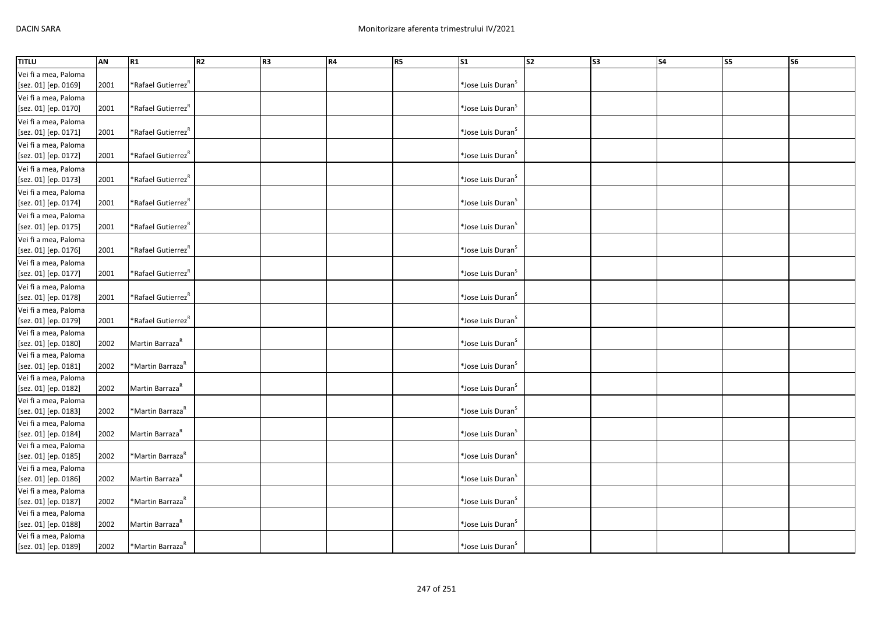| <b>TITLU</b>                                 | AN   | R <sub>1</sub>                 | R2 | R3 | R4 | R5 | S <sub>1</sub>                 | $\overline{\text{S2}}$ | S3 | <b>S4</b> | <b>S5</b> | <b>S6</b> |
|----------------------------------------------|------|--------------------------------|----|----|----|----|--------------------------------|------------------------|----|-----------|-----------|-----------|
| Vei fi a mea, Paloma                         |      |                                |    |    |    |    |                                |                        |    |           |           |           |
| [sez. 01] [ep. 0169]                         | 2001 | "Rafael Gutierrez              |    |    |    |    | *Jose Luis Duran <sup>S</sup>  |                        |    |           |           |           |
| Vei fi a mea, Paloma                         |      |                                |    |    |    |    |                                |                        |    |           |           |           |
| [sez. 01] [ep. 0170]                         | 2001 | *Rafael Gutierrez <sup>R</sup> |    |    |    |    | *Jose Luis Duran <sup>S</sup>  |                        |    |           |           |           |
| Vei fi a mea, Paloma                         |      |                                |    |    |    |    |                                |                        |    |           |           |           |
| [sez. 01] [ep. 0171]                         | 2001 | *Rafael Gutierrez <sup>R</sup> |    |    |    |    | *Jose Luis Duran $^{\text{S}}$ |                        |    |           |           |           |
| Vei fi a mea, Paloma                         |      |                                |    |    |    |    |                                |                        |    |           |           |           |
| [sez. 01] [ep. 0172]                         | 2001 | *Rafael Gutierrez <sup>R</sup> |    |    |    |    | *Jose Luis Duran <sup>S</sup>  |                        |    |           |           |           |
| Vei fi a mea, Paloma                         |      |                                |    |    |    |    |                                |                        |    |           |           |           |
| [sez. 01] [ep. 0173]                         | 2001 | *Rafael Gutierrez <sup>R</sup> |    |    |    |    | *Jose Luis Duran <sup>S</sup>  |                        |    |           |           |           |
| Vei fi a mea, Paloma                         |      |                                |    |    |    |    |                                |                        |    |           |           |           |
| [sez. 01] [ep. 0174]                         | 2001 | Rafael Gutierrez <sup>K</sup>  |    |    |    |    | *Jose Luis Duran <sup>S</sup>  |                        |    |           |           |           |
|                                              |      |                                |    |    |    |    |                                |                        |    |           |           |           |
| Vei fi a mea, Paloma<br>[sez. 01] [ep. 0175] | 2001 | *Rafael Gutierrez <sup>R</sup> |    |    |    |    | *Jose Luis Duran <sup>S</sup>  |                        |    |           |           |           |
|                                              |      |                                |    |    |    |    |                                |                        |    |           |           |           |
| Vei fi a mea, Paloma                         | 2001 | *Rafael Gutierrez <sup>R</sup> |    |    |    |    | *Jose Luis Duran <sup>S</sup>  |                        |    |           |           |           |
| [sez. 01] [ep. 0176]                         |      |                                |    |    |    |    |                                |                        |    |           |           |           |
| Vei fi a mea, Paloma                         |      |                                |    |    |    |    | *Jose Luis Duran <sup>S</sup>  |                        |    |           |           |           |
| [sez. 01] [ep. 0177]                         | 2001 | *Rafael Gutierrez <sup>R</sup> |    |    |    |    |                                |                        |    |           |           |           |
| Vei fi a mea, Paloma                         |      |                                |    |    |    |    |                                |                        |    |           |           |           |
| [sez. 01] [ep. 0178]                         | 2001 | *Rafael Gutierrez <sup>R</sup> |    |    |    |    | *Jose Luis Duran <sup>S</sup>  |                        |    |           |           |           |
| Vei fi a mea, Paloma                         |      |                                |    |    |    |    |                                |                        |    |           |           |           |
| [sez. 01] [ep. 0179]                         | 2001 | *Rafael Gutierrez <sup>R</sup> |    |    |    |    | *Jose Luis Duran <sup>S</sup>  |                        |    |           |           |           |
| Vei fi a mea, Paloma                         |      |                                |    |    |    |    |                                |                        |    |           |           |           |
| [sez. 01] [ep. 0180]                         | 2002 | Martin Barraza <sup>R</sup>    |    |    |    |    | *Jose Luis Duran <sup>S</sup>  |                        |    |           |           |           |
| Vei fi a mea, Paloma                         |      |                                |    |    |    |    |                                |                        |    |           |           |           |
| [sez. 01] [ep. 0181]                         | 2002 | *Martin Barraza <sup>R</sup>   |    |    |    |    | *Jose Luis Duran <sup>S</sup>  |                        |    |           |           |           |
| Vei fi a mea, Paloma                         |      |                                |    |    |    |    |                                |                        |    |           |           |           |
| [sez. 01] [ep. 0182]                         | 2002 | Martin Barraza <sup>k</sup>    |    |    |    |    | *Jose Luis Duran <sup>S</sup>  |                        |    |           |           |           |
| Vei fi a mea, Paloma                         | 2002 | *Martin Barraza <sup>R</sup>   |    |    |    |    | *Jose Luis Duran <sup>S</sup>  |                        |    |           |           |           |
| [sez. 01] [ep. 0183]                         |      |                                |    |    |    |    |                                |                        |    |           |           |           |
| Vei fi a mea, Paloma                         | 2002 | Martin Barraza <sup>R</sup>    |    |    |    |    | *Jose Luis Duran <sup>S</sup>  |                        |    |           |           |           |
| [sez. 01] [ep. 0184]                         |      |                                |    |    |    |    |                                |                        |    |           |           |           |
| Vei fi a mea, Paloma<br>[sez. 01] [ep. 0185] | 2002 | *Martin Barraza <sup>R</sup>   |    |    |    |    | *Jose Luis Duran <sup>S</sup>  |                        |    |           |           |           |
|                                              |      |                                |    |    |    |    |                                |                        |    |           |           |           |
| Vei fi a mea, Paloma                         | 2002 | Martin Barraza <sup>R</sup>    |    |    |    |    | *Jose Luis Duran <sup>S</sup>  |                        |    |           |           |           |
| [sez. 01] [ep. 0186]                         |      |                                |    |    |    |    |                                |                        |    |           |           |           |
| Vei fi a mea, Paloma<br>[sez. 01] [ep. 0187] | 2002 | *Martin Barraza <sup>R</sup>   |    |    |    |    | *Jose Luis Duran <sup>S</sup>  |                        |    |           |           |           |
| Vei fi a mea, Paloma                         |      |                                |    |    |    |    |                                |                        |    |           |           |           |
| [sez. 01] [ep. 0188]                         | 2002 | Martin Barraza <sup>R</sup>    |    |    |    |    | *Jose Luis Duran <sup>S</sup>  |                        |    |           |           |           |
| Vei fi a mea, Paloma                         |      |                                |    |    |    |    |                                |                        |    |           |           |           |
|                                              |      |                                |    |    |    |    |                                |                        |    |           |           |           |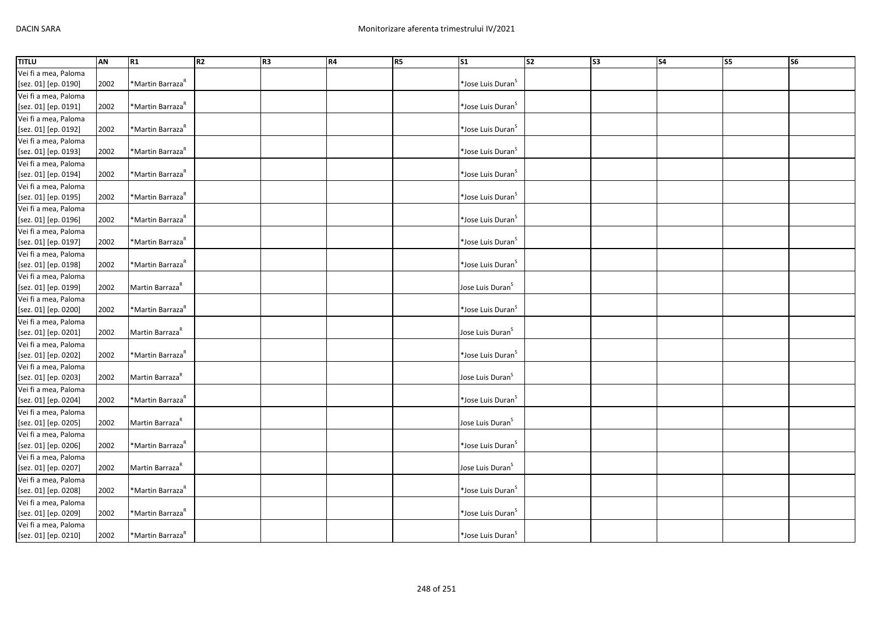| <b>TITLU</b>         | AN   | R1                           | R <sub>2</sub> | R <sub>3</sub> | R4 | R5 | S <sub>1</sub>                | s <sub>2</sub> | s <sub>3</sub> | <b>S4</b> | $\overline{\text{S}}$ | S6 |
|----------------------|------|------------------------------|----------------|----------------|----|----|-------------------------------|----------------|----------------|-----------|-----------------------|----|
| Vei fi a mea, Paloma |      |                              |                |                |    |    |                               |                |                |           |                       |    |
| [sez. 01] [ep. 0190] | 2002 | *Martin Barraza <sup>R</sup> |                |                |    |    | *Jose Luis Duran <sup>S</sup> |                |                |           |                       |    |
| Vei fi a mea, Paloma |      |                              |                |                |    |    |                               |                |                |           |                       |    |
| [sez. 01] [ep. 0191] | 2002 | *Martin Barraza <sup>R</sup> |                |                |    |    | *Jose Luis Duran <sup>S</sup> |                |                |           |                       |    |
| Vei fi a mea, Paloma |      |                              |                |                |    |    |                               |                |                |           |                       |    |
| [sez. 01] [ep. 0192] | 2002 | *Martin Barraza <sup>R</sup> |                |                |    |    | *Jose Luis Duran <sup>S</sup> |                |                |           |                       |    |
| Vei fi a mea, Paloma |      |                              |                |                |    |    |                               |                |                |           |                       |    |
| [sez. 01] [ep. 0193] | 2002 | *Martin Barraza <sup>R</sup> |                |                |    |    | *Jose Luis Duran <sup>S</sup> |                |                |           |                       |    |
| Vei fi a mea, Paloma |      |                              |                |                |    |    |                               |                |                |           |                       |    |
| [sez. 01] [ep. 0194] | 2002 | *Martin Barraza <sup>R</sup> |                |                |    |    | *Jose Luis Duran <sup>S</sup> |                |                |           |                       |    |
| Vei fi a mea, Paloma |      |                              |                |                |    |    |                               |                |                |           |                       |    |
| [sez. 01] [ep. 0195] | 2002 | *Martin Barraza <sup>R</sup> |                |                |    |    | *Jose Luis Duran <sup>S</sup> |                |                |           |                       |    |
| Vei fi a mea, Paloma |      |                              |                |                |    |    |                               |                |                |           |                       |    |
| [sez. 01] [ep. 0196] | 2002 | *Martin Barraza <sup>R</sup> |                |                |    |    | *Jose Luis Duran <sup>S</sup> |                |                |           |                       |    |
| Vei fi a mea, Paloma |      |                              |                |                |    |    |                               |                |                |           |                       |    |
| [sez. 01] [ep. 0197] | 2002 | *Martin Barraza <sup>k</sup> |                |                |    |    | *Jose Luis Duran <sup>S</sup> |                |                |           |                       |    |
| Vei fi a mea, Paloma |      |                              |                |                |    |    |                               |                |                |           |                       |    |
| [sez. 01] [ep. 0198] | 2002 | *Martin Barraza <sup>ĸ</sup> |                |                |    |    | *Jose Luis Duran <sup>S</sup> |                |                |           |                       |    |
| Vei fi a mea, Paloma |      |                              |                |                |    |    |                               |                |                |           |                       |    |
| [sez. 01] [ep. 0199] | 2002 | Martin Barraza <sup>R</sup>  |                |                |    |    | Jose Luis Duran <sup>S</sup>  |                |                |           |                       |    |
| Vei fi a mea, Paloma |      |                              |                |                |    |    |                               |                |                |           |                       |    |
| [sez. 01] [ep. 0200] | 2002 | *Martin Barraza <sup>R</sup> |                |                |    |    | *Jose Luis Duran <sup>S</sup> |                |                |           |                       |    |
| Vei fi a mea, Paloma |      |                              |                |                |    |    |                               |                |                |           |                       |    |
| [sez. 01] [ep. 0201] | 2002 | Martin Barraza <sup>R</sup>  |                |                |    |    | Jose Luis Duran <sup>S</sup>  |                |                |           |                       |    |
| Vei fi a mea, Paloma |      |                              |                |                |    |    |                               |                |                |           |                       |    |
| [sez. 01] [ep. 0202] | 2002 | *Martin Barraza <sup>k</sup> |                |                |    |    | *Jose Luis Duran <sup>S</sup> |                |                |           |                       |    |
| Vei fi a mea, Paloma |      |                              |                |                |    |    |                               |                |                |           |                       |    |
| [sez. 01] [ep. 0203] | 2002 | Martin Barraza <sup>k</sup>  |                |                |    |    | Jose Luis Duran <sup>S</sup>  |                |                |           |                       |    |
| Vei fi a mea, Paloma |      |                              |                |                |    |    |                               |                |                |           |                       |    |
| [sez. 01] [ep. 0204] | 2002 | *Martin Barraza <sup>R</sup> |                |                |    |    | *Jose Luis Duran <sup>S</sup> |                |                |           |                       |    |
| Vei fi a mea, Paloma |      |                              |                |                |    |    |                               |                |                |           |                       |    |
| [sez. 01] [ep. 0205] | 2002 | Martin Barraza <sup>R</sup>  |                |                |    |    | Jose Luis Duran <sup>S</sup>  |                |                |           |                       |    |
| Vei fi a mea, Paloma |      |                              |                |                |    |    |                               |                |                |           |                       |    |
| [sez. 01] [ep. 0206] | 2002 | *Martin Barraza <sup>R</sup> |                |                |    |    | *Jose Luis Duran <sup>S</sup> |                |                |           |                       |    |
| Vei fi a mea, Paloma |      |                              |                |                |    |    |                               |                |                |           |                       |    |
| [sez. 01] [ep. 0207] | 2002 | Martin Barraza <sup>R</sup>  |                |                |    |    | Jose Luis Duran <sup>S</sup>  |                |                |           |                       |    |
| Vei fi a mea, Paloma |      |                              |                |                |    |    |                               |                |                |           |                       |    |
| [sez. 01] [ep. 0208] | 2002 | *Martin Barraza <sup>R</sup> |                |                |    |    | *Jose Luis Duran <sup>S</sup> |                |                |           |                       |    |
| Vei fi a mea, Paloma |      |                              |                |                |    |    |                               |                |                |           |                       |    |
| [sez. 01] [ep. 0209] | 2002 | *Martin Barraza <sup>R</sup> |                |                |    |    | *Jose Luis Duran <sup>S</sup> |                |                |           |                       |    |
| Vei fi a mea, Paloma |      |                              |                |                |    |    |                               |                |                |           |                       |    |
| [sez. 01] [ep. 0210] | 2002 | *Martin Barraza <sup>R</sup> |                |                |    |    | *Jose Luis Duran <sup>S</sup> |                |                |           |                       |    |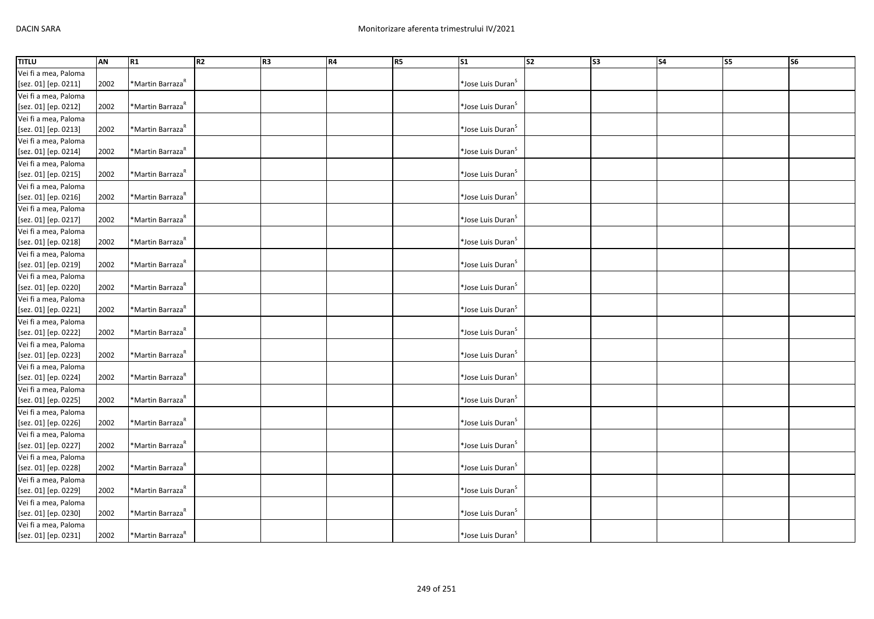| <b>TITLU</b>         | AN   | R1                           | R <sub>2</sub> | R3 | R4 | R <sub>5</sub> | $\overline{\text{S1}}$        | $\overline{\text{S2}}$ | S3 | $\overline{\phantom{a}}$ S4 | S5 | <b>S6</b> |
|----------------------|------|------------------------------|----------------|----|----|----------------|-------------------------------|------------------------|----|-----------------------------|----|-----------|
| Vei fi a mea, Paloma |      |                              |                |    |    |                |                               |                        |    |                             |    |           |
| [sez. 01] [ep. 0211] | 2002 | *Martin Barraza <sup>R</sup> |                |    |    |                | *Jose Luis Duran <sup>s</sup> |                        |    |                             |    |           |
| Vei fi a mea, Paloma |      |                              |                |    |    |                |                               |                        |    |                             |    |           |
| [sez. 01] [ep. 0212] | 2002 | *Martin Barraza <sup>R</sup> |                |    |    |                | *Jose Luis Duran <sup>S</sup> |                        |    |                             |    |           |
| Vei fi a mea, Paloma |      |                              |                |    |    |                |                               |                        |    |                             |    |           |
| [sez. 01] [ep. 0213] | 2002 | *Martin Barraza <sup>R</sup> |                |    |    |                | *Jose Luis Duran <sup>S</sup> |                        |    |                             |    |           |
| Vei fi a mea, Paloma |      |                              |                |    |    |                |                               |                        |    |                             |    |           |
| [sez. 01] [ep. 0214] | 2002 | *Martin Barraza <sup>R</sup> |                |    |    |                | *Jose Luis Duran <sup>S</sup> |                        |    |                             |    |           |
| Vei fi a mea, Paloma |      |                              |                |    |    |                |                               |                        |    |                             |    |           |
| [sez. 01] [ep. 0215] | 2002 | *Martin Barraza <sup>R</sup> |                |    |    |                | *Jose Luis Duran <sup>S</sup> |                        |    |                             |    |           |
| Vei fi a mea, Paloma |      |                              |                |    |    |                |                               |                        |    |                             |    |           |
| [sez. 01] [ep. 0216] | 2002 | *Martin Barraza <sup>R</sup> |                |    |    |                | *Jose Luis Duran <sup>S</sup> |                        |    |                             |    |           |
| Vei fi a mea, Paloma |      |                              |                |    |    |                |                               |                        |    |                             |    |           |
| [sez. 01] [ep. 0217] | 2002 | *Martin Barraza <sup>R</sup> |                |    |    |                | *Jose Luis Duran <sup>S</sup> |                        |    |                             |    |           |
| Vei fi a mea, Paloma |      |                              |                |    |    |                |                               |                        |    |                             |    |           |
| [sez. 01] [ep. 0218] | 2002 | *Martin Barraza <sup>R</sup> |                |    |    |                | *Jose Luis Duran <sup>S</sup> |                        |    |                             |    |           |
| Vei fi a mea, Paloma |      |                              |                |    |    |                |                               |                        |    |                             |    |           |
| [sez. 01] [ep. 0219] | 2002 | *Martin Barraza <sup>k</sup> |                |    |    |                | *Jose Luis Duran <sup>S</sup> |                        |    |                             |    |           |
| Vei fi a mea, Paloma |      |                              |                |    |    |                |                               |                        |    |                             |    |           |
| [sez. 01] [ep. 0220] | 2002 | *Martin Barraza <sup>R</sup> |                |    |    |                | *Jose Luis Duran <sup>S</sup> |                        |    |                             |    |           |
| Vei fi a mea, Paloma |      |                              |                |    |    |                |                               |                        |    |                             |    |           |
| [sez. 01] [ep. 0221] | 2002 | *Martin Barraza <sup>R</sup> |                |    |    |                | *Jose Luis Duran <sup>S</sup> |                        |    |                             |    |           |
| Vei fi a mea, Paloma |      |                              |                |    |    |                |                               |                        |    |                             |    |           |
| [sez. 01] [ep. 0222] | 2002 | *Martin Barraza <sup>R</sup> |                |    |    |                | *Jose Luis Duran <sup>S</sup> |                        |    |                             |    |           |
| Vei fi a mea, Paloma |      |                              |                |    |    |                |                               |                        |    |                             |    |           |
| [sez. 01] [ep. 0223] | 2002 | *Martin Barraza <sup>R</sup> |                |    |    |                | *Jose Luis Duran <sup>S</sup> |                        |    |                             |    |           |
| Vei fi a mea, Paloma |      |                              |                |    |    |                |                               |                        |    |                             |    |           |
| [sez. 01] [ep. 0224] | 2002 | *Martin Barraza <sup>R</sup> |                |    |    |                | *Jose Luis Duran <sup>S</sup> |                        |    |                             |    |           |
| Vei fi a mea, Paloma |      |                              |                |    |    |                |                               |                        |    |                             |    |           |
| [sez. 01] [ep. 0225] | 2002 | *Martin Barraza <sup>R</sup> |                |    |    |                | *Jose Luis Duran <sup>S</sup> |                        |    |                             |    |           |
| Vei fi a mea, Paloma |      |                              |                |    |    |                |                               |                        |    |                             |    |           |
| [sez. 01] [ep. 0226] | 2002 | *Martin Barraza <sup>k</sup> |                |    |    |                | *Jose Luis Duran <sup>5</sup> |                        |    |                             |    |           |
| Vei fi a mea, Paloma |      |                              |                |    |    |                |                               |                        |    |                             |    |           |
| [sez. 01] [ep. 0227] | 2002 | *Martin Barraza <sup>K</sup> |                |    |    |                | *Jose Luis Duran <sup>S</sup> |                        |    |                             |    |           |
| Vei fi a mea, Paloma |      |                              |                |    |    |                |                               |                        |    |                             |    |           |
| [sez. 01] [ep. 0228] | 2002 | *Martin Barraza <sup>R</sup> |                |    |    |                | *Jose Luis Duran <sup>S</sup> |                        |    |                             |    |           |
| Vei fi a mea, Paloma |      |                              |                |    |    |                |                               |                        |    |                             |    |           |
| [sez. 01] [ep. 0229] | 2002 | *Martin Barraza <sup>R</sup> |                |    |    |                | *Jose Luis Duran <sup>S</sup> |                        |    |                             |    |           |
| Vei fi a mea, Paloma |      |                              |                |    |    |                |                               |                        |    |                             |    |           |
| [sez. 01] [ep. 0230] | 2002 | *Martin Barraza <sup>R</sup> |                |    |    |                | *Jose Luis Duran <sup>S</sup> |                        |    |                             |    |           |
| Vei fi a mea, Paloma |      |                              |                |    |    |                |                               |                        |    |                             |    |           |
| [sez. 01] [ep. 0231] | 2002 | *Martin Barraza <sup>R</sup> |                |    |    |                | *Jose Luis Duran <sup>S</sup> |                        |    |                             |    |           |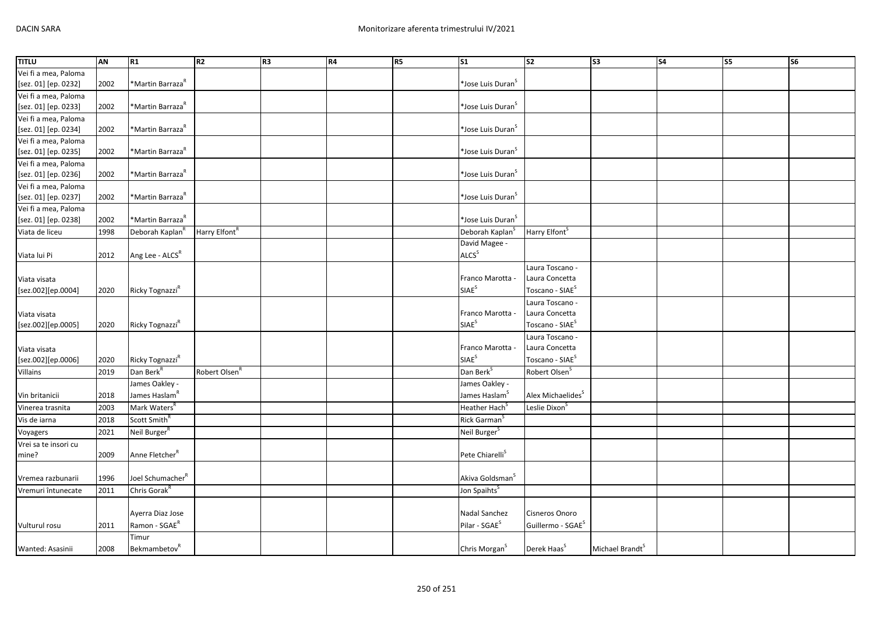| <b>TITLU</b>         | AN   | R <sub>1</sub>                  | R2                        | R <sub>3</sub> | R4 | R5 | S1                            | $\overline{\text{S2}}$        | S <sub>3</sub>              | S <sub>4</sub> | S5 | S6 |
|----------------------|------|---------------------------------|---------------------------|----------------|----|----|-------------------------------|-------------------------------|-----------------------------|----------------|----|----|
| Vei fi a mea, Paloma |      |                                 |                           |                |    |    |                               |                               |                             |                |    |    |
| [sez. 01] [ep. 0232] | 2002 | *Martin Barraza <sup>"</sup>    |                           |                |    |    | *Jose Luis Duran <sup>S</sup> |                               |                             |                |    |    |
| Vei fi a mea, Paloma |      |                                 |                           |                |    |    |                               |                               |                             |                |    |    |
| [sez. 01] [ep. 0233] | 2002 | *Martin Barraza <sup>R</sup>    |                           |                |    |    | *Jose Luis Duran <sup>S</sup> |                               |                             |                |    |    |
| Vei fi a mea, Paloma |      |                                 |                           |                |    |    |                               |                               |                             |                |    |    |
| [sez. 01] [ep. 0234] | 2002 | *Martin Barraza <sup>R</sup>    |                           |                |    |    | *Jose Luis Duran <sup>S</sup> |                               |                             |                |    |    |
| Vei fi a mea, Paloma |      |                                 |                           |                |    |    |                               |                               |                             |                |    |    |
| [sez. 01] [ep. 0235] | 2002 | *Martin Barraza <sup>R</sup>    |                           |                |    |    | *Jose Luis Duran <sup>S</sup> |                               |                             |                |    |    |
| Vei fi a mea, Paloma |      |                                 |                           |                |    |    |                               |                               |                             |                |    |    |
| [sez. 01] [ep. 0236] | 2002 | *Martin Barraza <sup>R</sup>    |                           |                |    |    | *Jose Luis Duran <sup>S</sup> |                               |                             |                |    |    |
| Vei fi a mea, Paloma |      |                                 |                           |                |    |    |                               |                               |                             |                |    |    |
| [sez. 01] [ep. 0237] | 2002 | *Martin Barraza <sup>R</sup>    |                           |                |    |    | *Jose Luis Duran <sup>S</sup> |                               |                             |                |    |    |
| Vei fi a mea, Paloma |      |                                 |                           |                |    |    |                               |                               |                             |                |    |    |
| [sez. 01] [ep. 0238] | 2002 | *Martin Barraza <sup>"</sup>    |                           |                |    |    | *Jose Luis Duran <sup>5</sup> |                               |                             |                |    |    |
| Viata de liceu       | 1998 | Deborah Kaplan <sup>R</sup>     | Harry Elfont <sup>R</sup> |                |    |    | Deborah Kaplan <sup>S</sup>   | Harry Elfont <sup>S</sup>     |                             |                |    |    |
|                      |      |                                 |                           |                |    |    | David Magee -                 |                               |                             |                |    |    |
| Viata lui Pi         | 2012 | Ang Lee - ALCSR                 |                           |                |    |    | ALCS <sup>S</sup>             |                               |                             |                |    |    |
|                      |      |                                 |                           |                |    |    |                               | Laura Toscano -               |                             |                |    |    |
| Viata visata         |      |                                 |                           |                |    |    | Franco Marotta                | Laura Concetta                |                             |                |    |    |
| [sez.002][ep.0004]   | 2020 | Ricky Tognazzi <sup>R</sup>     |                           |                |    |    | <b>SIAE</b> <sup>S</sup>      | Toscano - SIAE <sup>S</sup>   |                             |                |    |    |
|                      |      |                                 |                           |                |    |    |                               | Laura Toscano -               |                             |                |    |    |
| Viata visata         |      |                                 |                           |                |    |    | Franco Marotta -              | Laura Concetta                |                             |                |    |    |
| [sez.002][ep.0005]   | 2020 | Ricky Tognazzi <sup>R</sup>     |                           |                |    |    | SIAE <sup>S</sup>             | Toscano - SIAE <sup>S</sup>   |                             |                |    |    |
|                      |      |                                 |                           |                |    |    |                               | Laura Toscano -               |                             |                |    |    |
| Viata visata         |      |                                 |                           |                |    |    | Franco Marotta                | Laura Concetta                |                             |                |    |    |
| [sez.002][ep.0006]   | 2020 | Ricky Tognazzi <sup>R</sup>     |                           |                |    |    | SIAE <sup>S</sup>             | Toscano - SIAE <sup>S</sup>   |                             |                |    |    |
| Villains             | 2019 | Dan Berk <sup>R</sup>           | Robert Olsen <sup>R</sup> |                |    |    | Dan Berk <sup>S</sup>         | Robert Olsen <sup>S</sup>     |                             |                |    |    |
|                      |      | James Oakley -                  |                           |                |    |    | James Oakley -                |                               |                             |                |    |    |
| Vin britanicii       | 2018 | James Haslam <sup>R</sup>       |                           |                |    |    | James Haslam <sup>S</sup>     | Alex Michaelides <sup>S</sup> |                             |                |    |    |
| Vinerea trasnita     | 2003 | Mark Waters <sup>R</sup>        |                           |                |    |    | Heather Hach <sup>5</sup>     | Leslie Dixon <sup>S</sup>     |                             |                |    |    |
| Vis de iarna         | 2018 | Scott Smith <sup>R</sup>        |                           |                |    |    | Rick Garman <sup>5</sup>      |                               |                             |                |    |    |
| Voyagers             | 2021 | Neil Burger <sup>R</sup>        |                           |                |    |    | Neil Burger <sup>S</sup>      |                               |                             |                |    |    |
| Vrei sa te insori cu |      |                                 |                           |                |    |    |                               |                               |                             |                |    |    |
| mine?                | 2009 | Anne Fletcher <sup>R</sup>      |                           |                |    |    | Pete Chiarelli <sup>S</sup>   |                               |                             |                |    |    |
|                      |      |                                 |                           |                |    |    |                               |                               |                             |                |    |    |
| Vremea razbunarii    | 1996 | Joel Schumacher <sup>R</sup>    |                           |                |    |    | Akiva Goldsman <sup>5</sup>   |                               |                             |                |    |    |
| Vremuri întunecate   | 2011 | Chris Gorak <sup>R</sup>        |                           |                |    |    | Jon Spaihts <sup>S</sup>      |                               |                             |                |    |    |
|                      |      |                                 |                           |                |    |    |                               |                               |                             |                |    |    |
|                      |      | Ayerra Diaz Jose                |                           |                |    |    | Nadal Sanchez                 | <b>Cisneros Onoro</b>         |                             |                |    |    |
| Vulturul rosu        | 2011 | Ramon - SGAE <sup>R</sup>       |                           |                |    |    | Pilar - SGAE <sup>S</sup>     | Guillermo - SGAE <sup>S</sup> |                             |                |    |    |
|                      |      | Timur                           |                           |                |    |    |                               |                               |                             |                |    |    |
| Wanted: Asasinii     | 2008 | <b>Bekmambetov</b> <sup>R</sup> |                           |                |    |    | Chris Morgan <sup>5</sup>     | Derek Haas <sup>S</sup>       | Michael Brandt <sup>S</sup> |                |    |    |